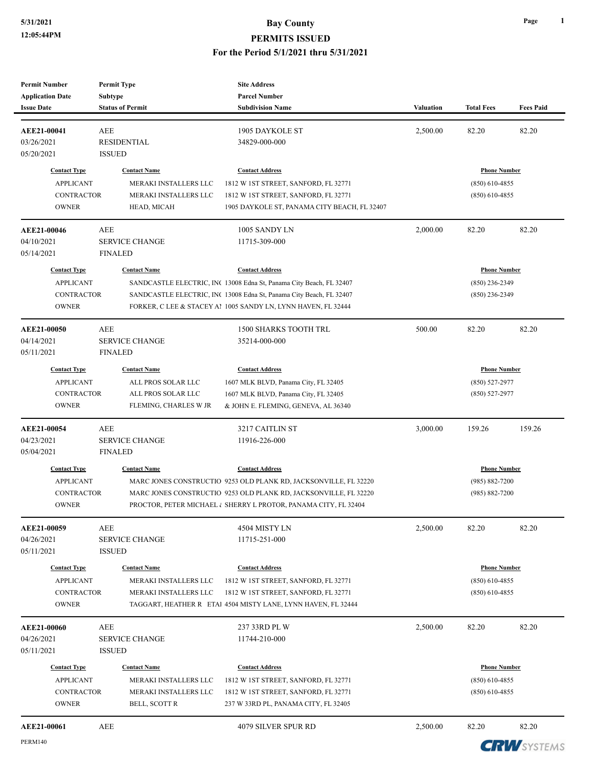| <b>Permit Number</b><br><b>Application Date</b><br><b>Issue Date</b> | <b>Permit Type</b><br><b>Subtype</b><br><b>Status of Permit</b> | <b>Site Address</b><br><b>Parcel Number</b><br><b>Subdivision Name</b> | <b>Valuation</b>                     | <b>Total Fees</b>   | <b>Fees Paid</b> |
|----------------------------------------------------------------------|-----------------------------------------------------------------|------------------------------------------------------------------------|--------------------------------------|---------------------|------------------|
|                                                                      |                                                                 |                                                                        |                                      |                     |                  |
| AEE21-00041                                                          | AEE                                                             | 1905 DAYKOLE ST                                                        | 2,500.00                             | 82.20               | 82.20            |
| 03/26/2021                                                           | <b>RESIDENTIAL</b>                                              | 34829-000-000                                                          |                                      |                     |                  |
| 05/20/2021                                                           | <b>ISSUED</b>                                                   |                                                                        |                                      |                     |                  |
| <b>Contact Type</b>                                                  | <b>Contact Name</b>                                             | <b>Contact Address</b>                                                 |                                      | <b>Phone Number</b> |                  |
| <b>APPLICANT</b>                                                     | MERAKI INSTALLERS LLC                                           | 1812 W 1ST STREET, SANFORD, FL 32771                                   |                                      | $(850)$ 610-4855    |                  |
| <b>CONTRACTOR</b>                                                    | MERAKI INSTALLERS LLC                                           | 1812 W 1ST STREET, SANFORD, FL 32771                                   |                                      | $(850)$ 610-4855    |                  |
| <b>OWNER</b>                                                         | HEAD, MICAH                                                     | 1905 DAYKOLE ST, PANAMA CITY BEACH, FL 32407                           |                                      |                     |                  |
| AEE21-00046                                                          | AEE                                                             | 1005 SANDY LN                                                          | 2,000.00                             | 82.20               | 82.20            |
| 04/10/2021                                                           | <b>SERVICE CHANGE</b>                                           | 11715-309-000                                                          |                                      |                     |                  |
| 05/14/2021                                                           | <b>FINALED</b>                                                  |                                                                        |                                      |                     |                  |
| <b>Contact Type</b>                                                  | <b>Contact Name</b>                                             | <b>Contact Address</b>                                                 |                                      | <b>Phone Number</b> |                  |
| <b>APPLICANT</b>                                                     |                                                                 | SANDCASTLE ELECTRIC, INC 13008 Edna St, Panama City Beach, FL 32407    |                                      | (850) 236-2349      |                  |
| <b>CONTRACTOR</b>                                                    |                                                                 | SANDCASTLE ELECTRIC, INC 13008 Edna St, Panama City Beach, FL 32407    |                                      | (850) 236-2349      |                  |
| <b>OWNER</b>                                                         |                                                                 | FORKER, C LEE & STACEY Al 1005 SANDY LN, LYNN HAVEN, FL 32444          |                                      |                     |                  |
| AEE21-00050                                                          | <b>AEE</b>                                                      | <b>1500 SHARKS TOOTH TRL</b>                                           | 500.00                               | 82.20               | 82.20            |
| 04/14/2021                                                           | <b>SERVICE CHANGE</b>                                           | 35214-000-000                                                          |                                      |                     |                  |
| 05/11/2021                                                           | <b>FINALED</b>                                                  |                                                                        |                                      |                     |                  |
| <b>Contact Type</b>                                                  | <b>Contact Name</b>                                             | <b>Contact Address</b>                                                 |                                      | <b>Phone Number</b> |                  |
| <b>APPLICANT</b>                                                     | ALL PROS SOLAR LLC                                              | 1607 MLK BLVD, Panama City, FL 32405                                   |                                      | $(850) 527 - 2977$  |                  |
| <b>CONTRACTOR</b>                                                    | ALL PROS SOLAR LLC                                              | 1607 MLK BLVD, Panama City, FL 32405                                   |                                      | $(850) 527 - 2977$  |                  |
| <b>OWNER</b>                                                         | FLEMING, CHARLES W JR                                           | & JOHN E. FLEMING, GENEVA, AL 36340                                    |                                      |                     |                  |
| AEE21-00054                                                          | <b>AEE</b>                                                      | 3217 CAITLIN ST                                                        | 3,000.00                             | 159.26              | 159.26           |
| 04/23/2021                                                           | <b>SERVICE CHANGE</b>                                           | 11916-226-000                                                          |                                      |                     |                  |
| 05/04/2021                                                           | <b>FINALED</b>                                                  |                                                                        |                                      |                     |                  |
| <b>Contact Type</b>                                                  | <b>Contact Name</b>                                             | <b>Contact Address</b>                                                 |                                      | <b>Phone Number</b> |                  |
| <b>APPLICANT</b>                                                     |                                                                 | MARC JONES CONSTRUCTIO 9253 OLD PLANK RD, JACKSONVILLE, FL 32220       | $(985) 882 - 7200$<br>(985) 882-7200 |                     |                  |
| <b>CONTRACTOR</b>                                                    |                                                                 | MARC JONES CONSTRUCTIO 9253 OLD PLANK RD, JACKSONVILLE, FL 32220       |                                      |                     |                  |
| <b>OWNER</b>                                                         |                                                                 | PROCTOR, PETER MICHAEL & SHERRY L PROTOR, PANAMA CITY, FL 32404        |                                      |                     |                  |
| AEE21-00059                                                          | AEE                                                             | 4504 MISTY LN                                                          | 2,500.00                             | 82.20               | 82.20            |
| 04/26/2021                                                           | <b>SERVICE CHANGE</b>                                           | 11715-251-000                                                          |                                      |                     |                  |
| 05/11/2021                                                           | <b>ISSUED</b>                                                   |                                                                        |                                      |                     |                  |
| <b>Contact Type</b>                                                  | <b>Contact Name</b>                                             | <b>Contact Address</b>                                                 |                                      | <b>Phone Number</b> |                  |
| <b>APPLICANT</b>                                                     | MERAKI INSTALLERS LLC                                           | 1812 W 1ST STREET, SANFORD, FL 32771                                   |                                      | $(850)$ 610-4855    |                  |
| <b>CONTRACTOR</b>                                                    | MERAKI INSTALLERS LLC                                           | 1812 W 1ST STREET, SANFORD, FL 32771                                   |                                      | $(850)$ 610-4855    |                  |
| <b>OWNER</b>                                                         |                                                                 | TAGGART, HEATHER R ETAL 4504 MISTY LANE, LYNN HAVEN, FL 32444          |                                      |                     |                  |
|                                                                      | AEE                                                             | 237 33RD PL W                                                          | 2,500.00                             | 82.20               | 82.20            |
| <b>AEE21-00060</b><br>04/26/2021                                     | <b>SERVICE CHANGE</b>                                           | 11744-210-000                                                          |                                      |                     |                  |
| 05/11/2021                                                           | <b>ISSUED</b>                                                   |                                                                        |                                      |                     |                  |
| <b>Contact Type</b>                                                  | <b>Contact Name</b>                                             | <b>Contact Address</b>                                                 |                                      | <b>Phone Number</b> |                  |
| <b>APPLICANT</b>                                                     | MERAKI INSTALLERS LLC                                           | 1812 W 1ST STREET, SANFORD, FL 32771                                   |                                      | $(850)$ 610-4855    |                  |
| <b>CONTRACTOR</b>                                                    | MERAKI INSTALLERS LLC                                           | 1812 W 1ST STREET, SANFORD, FL 32771                                   |                                      | $(850)$ 610-4855    |                  |
| <b>OWNER</b>                                                         | BELL, SCOTT R                                                   | 237 W 33RD PL, PANAMA CITY, FL 32405                                   |                                      |                     |                  |
|                                                                      |                                                                 |                                                                        |                                      |                     |                  |

**CRW**SYSTEMS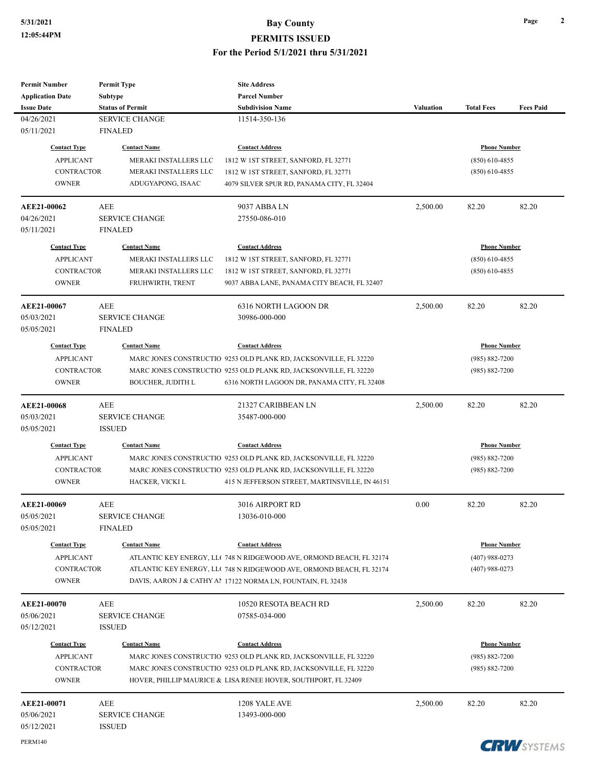| Subtype<br><b>Parcel Number</b><br><b>Status of Permit</b><br><b>Subdivision Name</b><br><b>Valuation</b><br><b>Total Fees</b><br><b>SERVICE CHANGE</b><br>11514-350-136<br><b>FINALED</b><br><b>Contact Type</b><br><b>Contact Name</b><br><b>Contact Address</b><br><b>Phone Number</b><br><b>APPLICANT</b><br>MERAKI INSTALLERS LLC<br>$(850)$ 610-4855<br>1812 W IST STREET, SANFORD, FL 32771<br><b>CONTRACTOR</b><br>MERAKI INSTALLERS LLC<br>1812 W 1ST STREET, SANFORD, FL 32771<br>$(850)$ 610-4855<br><b>OWNER</b><br>ADUGYAPONG, ISAAC<br>4079 SILVER SPUR RD, PANAMA CITY, FL 32404<br>9037 ABBA LN<br>2,500.00<br>82.20<br>82.20<br>AEE<br><b>SERVICE CHANGE</b><br>27550-086-010<br><b>FINALED</b><br><b>Contact Type</b><br><b>Phone Number</b><br><b>Contact Name</b><br><b>Contact Address</b><br><b>APPLICANT</b><br>MERAKI INSTALLERS LLC<br>1812 W 1ST STREET, SANFORD, FL 32771<br>$(850)$ 610-4855<br><b>CONTRACTOR</b><br>MERAKI INSTALLERS LLC<br>$(850)$ 610-4855<br>1812 W 1ST STREET, SANFORD, FL 32771<br><b>OWNER</b><br>FRUHWIRTH, TRENT<br>9037 ABBA LANE, PANAMA CITY BEACH, FL 32407<br><b>AEE</b><br>6316 NORTH LAGOON DR<br>2,500.00<br>82.20<br>82.20<br><b>SERVICE CHANGE</b><br>30986-000-000<br>05/05/2021<br><b>FINALED</b><br><b>Contact Type</b><br><b>Contact Name</b><br><b>Phone Number</b><br><b>Contact Address</b><br><b>APPLICANT</b><br>MARC JONES CONSTRUCTIO 9253 OLD PLANK RD, JACKSONVILLE, FL 32220<br>$(985) 882 - 7200$<br><b>CONTRACTOR</b><br>MARC JONES CONSTRUCTIO 9253 OLD PLANK RD, JACKSONVILLE, FL 32220<br>$(985) 882 - 7200$<br><b>OWNER</b><br><b>BOUCHER, JUDITH L</b><br>6316 NORTH LAGOON DR, PANAMA CITY, FL 32408<br>21327 CARIBBEAN LN<br>82.20<br>AEE<br>2,500.00<br>82.20<br><b>SERVICE CHANGE</b><br>35487-000-000<br><b>ISSUED</b><br><b>Contact Type</b><br><b>Contact Name</b><br><b>Contact Address</b><br><b>Phone Number</b><br><b>APPLICANT</b><br>MARC JONES CONSTRUCTIO 9253 OLD PLANK RD, JACKSONVILLE, FL 32220<br>$(985) 882 - 7200$<br><b>CONTRACTOR</b><br>MARC JONES CONSTRUCTIO 9253 OLD PLANK RD, JACKSONVILLE, FL 32220<br>$(985) 882 - 7200$<br><b>OWNER</b><br>HACKER, VICKI L<br>415 N JEFFERSON STREET, MARTINSVILLE, IN 46151<br>3016 AIRPORT RD<br>0.00<br>AEE<br>82.20<br>82.20<br>13036-010-000<br><b>SERVICE CHANGE</b><br>05/05/2021<br><b>FINALED</b><br><b>Contact Type</b><br><b>Contact Name</b><br><b>Contact Address</b><br><b>Phone Number</b><br>ATLANTIC KEY ENERGY, LLC 748 N RIDGEWOOD AVE, ORMOND BEACH, FL 32174<br><b>APPLICANT</b><br>$(407)$ 988-0273<br><b>CONTRACTOR</b><br>ATLANTIC KEY ENERGY, LL(748 N RIDGEWOOD AVE, ORMOND BEACH, FL 32174<br>$(407)$ 988-0273<br><b>OWNER</b><br>DAVIS, AARON J & CATHY AP 17122 NORMA LN, FOUNTAIN, FL 32438<br>82.20<br>AEE<br>10520 RESOTA BEACH RD<br>2,500.00<br>82.20<br><b>SERVICE CHANGE</b><br>07585-034-000<br><b>ISSUED</b><br><b>Phone Number</b><br><b>Contact Type</b><br><b>Contact Name</b><br><b>Contact Address</b><br><b>APPLICANT</b><br>MARC JONES CONSTRUCTIO 9253 OLD PLANK RD, JACKSONVILLE, FL 32220<br>$(985) 882 - 7200$<br><b>CONTRACTOR</b><br>MARC JONES CONSTRUCTIO 9253 OLD PLANK RD, JACKSONVILLE, FL 32220<br>$(985) 882 - 7200$<br>HOVER, PHILLIP MAURICE & LISA RENEE HOVER, SOUTHPORT, FL 32409<br><b>OWNER</b><br>2,500.00<br>82.20<br>82.20<br><b>AEE21-00071</b><br>AEE<br>1208 YALE AVE<br><b>SERVICE CHANGE</b><br>05/06/2021<br>13493-000-000<br>05/12/2021<br><b>ISSUED</b><br>PERM140<br><b>CDIAL</b> AVANTULE | <b>Permit Number</b>    | <b>Permit Type</b> | <b>Site Address</b> |  |                  |
|------------------------------------------------------------------------------------------------------------------------------------------------------------------------------------------------------------------------------------------------------------------------------------------------------------------------------------------------------------------------------------------------------------------------------------------------------------------------------------------------------------------------------------------------------------------------------------------------------------------------------------------------------------------------------------------------------------------------------------------------------------------------------------------------------------------------------------------------------------------------------------------------------------------------------------------------------------------------------------------------------------------------------------------------------------------------------------------------------------------------------------------------------------------------------------------------------------------------------------------------------------------------------------------------------------------------------------------------------------------------------------------------------------------------------------------------------------------------------------------------------------------------------------------------------------------------------------------------------------------------------------------------------------------------------------------------------------------------------------------------------------------------------------------------------------------------------------------------------------------------------------------------------------------------------------------------------------------------------------------------------------------------------------------------------------------------------------------------------------------------------------------------------------------------------------------------------------------------------------------------------------------------------------------------------------------------------------------------------------------------------------------------------------------------------------------------------------------------------------------------------------------------------------------------------------------------------------------------------------------------------------------------------------------------------------------------------------------------------------------------------------------------------------------------------------------------------------------------------------------------------------------------------------------------------------------------------------------------------------------------------------------------------------------------------------------------------------------------------------------------------------------------------------------------------------------------------------------------------------------------------------------------------------------------------------------------------------------------------------------------------------------------------------------------------------------------------------------------------------------------------------------------------|-------------------------|--------------------|---------------------|--|------------------|
|                                                                                                                                                                                                                                                                                                                                                                                                                                                                                                                                                                                                                                                                                                                                                                                                                                                                                                                                                                                                                                                                                                                                                                                                                                                                                                                                                                                                                                                                                                                                                                                                                                                                                                                                                                                                                                                                                                                                                                                                                                                                                                                                                                                                                                                                                                                                                                                                                                                                                                                                                                                                                                                                                                                                                                                                                                                                                                                                                                                                                                                                                                                                                                                                                                                                                                                                                                                                                                                                                                                              | <b>Application Date</b> |                    |                     |  |                  |
|                                                                                                                                                                                                                                                                                                                                                                                                                                                                                                                                                                                                                                                                                                                                                                                                                                                                                                                                                                                                                                                                                                                                                                                                                                                                                                                                                                                                                                                                                                                                                                                                                                                                                                                                                                                                                                                                                                                                                                                                                                                                                                                                                                                                                                                                                                                                                                                                                                                                                                                                                                                                                                                                                                                                                                                                                                                                                                                                                                                                                                                                                                                                                                                                                                                                                                                                                                                                                                                                                                                              | <b>Issue Date</b>       |                    |                     |  | <b>Fees Paid</b> |
|                                                                                                                                                                                                                                                                                                                                                                                                                                                                                                                                                                                                                                                                                                                                                                                                                                                                                                                                                                                                                                                                                                                                                                                                                                                                                                                                                                                                                                                                                                                                                                                                                                                                                                                                                                                                                                                                                                                                                                                                                                                                                                                                                                                                                                                                                                                                                                                                                                                                                                                                                                                                                                                                                                                                                                                                                                                                                                                                                                                                                                                                                                                                                                                                                                                                                                                                                                                                                                                                                                                              | 04/26/2021              |                    |                     |  |                  |
|                                                                                                                                                                                                                                                                                                                                                                                                                                                                                                                                                                                                                                                                                                                                                                                                                                                                                                                                                                                                                                                                                                                                                                                                                                                                                                                                                                                                                                                                                                                                                                                                                                                                                                                                                                                                                                                                                                                                                                                                                                                                                                                                                                                                                                                                                                                                                                                                                                                                                                                                                                                                                                                                                                                                                                                                                                                                                                                                                                                                                                                                                                                                                                                                                                                                                                                                                                                                                                                                                                                              | 05/11/2021              |                    |                     |  |                  |
|                                                                                                                                                                                                                                                                                                                                                                                                                                                                                                                                                                                                                                                                                                                                                                                                                                                                                                                                                                                                                                                                                                                                                                                                                                                                                                                                                                                                                                                                                                                                                                                                                                                                                                                                                                                                                                                                                                                                                                                                                                                                                                                                                                                                                                                                                                                                                                                                                                                                                                                                                                                                                                                                                                                                                                                                                                                                                                                                                                                                                                                                                                                                                                                                                                                                                                                                                                                                                                                                                                                              |                         |                    |                     |  |                  |
|                                                                                                                                                                                                                                                                                                                                                                                                                                                                                                                                                                                                                                                                                                                                                                                                                                                                                                                                                                                                                                                                                                                                                                                                                                                                                                                                                                                                                                                                                                                                                                                                                                                                                                                                                                                                                                                                                                                                                                                                                                                                                                                                                                                                                                                                                                                                                                                                                                                                                                                                                                                                                                                                                                                                                                                                                                                                                                                                                                                                                                                                                                                                                                                                                                                                                                                                                                                                                                                                                                                              |                         |                    |                     |  |                  |
|                                                                                                                                                                                                                                                                                                                                                                                                                                                                                                                                                                                                                                                                                                                                                                                                                                                                                                                                                                                                                                                                                                                                                                                                                                                                                                                                                                                                                                                                                                                                                                                                                                                                                                                                                                                                                                                                                                                                                                                                                                                                                                                                                                                                                                                                                                                                                                                                                                                                                                                                                                                                                                                                                                                                                                                                                                                                                                                                                                                                                                                                                                                                                                                                                                                                                                                                                                                                                                                                                                                              |                         |                    |                     |  |                  |
|                                                                                                                                                                                                                                                                                                                                                                                                                                                                                                                                                                                                                                                                                                                                                                                                                                                                                                                                                                                                                                                                                                                                                                                                                                                                                                                                                                                                                                                                                                                                                                                                                                                                                                                                                                                                                                                                                                                                                                                                                                                                                                                                                                                                                                                                                                                                                                                                                                                                                                                                                                                                                                                                                                                                                                                                                                                                                                                                                                                                                                                                                                                                                                                                                                                                                                                                                                                                                                                                                                                              |                         |                    |                     |  |                  |
|                                                                                                                                                                                                                                                                                                                                                                                                                                                                                                                                                                                                                                                                                                                                                                                                                                                                                                                                                                                                                                                                                                                                                                                                                                                                                                                                                                                                                                                                                                                                                                                                                                                                                                                                                                                                                                                                                                                                                                                                                                                                                                                                                                                                                                                                                                                                                                                                                                                                                                                                                                                                                                                                                                                                                                                                                                                                                                                                                                                                                                                                                                                                                                                                                                                                                                                                                                                                                                                                                                                              | AEE21-00062             |                    |                     |  |                  |
|                                                                                                                                                                                                                                                                                                                                                                                                                                                                                                                                                                                                                                                                                                                                                                                                                                                                                                                                                                                                                                                                                                                                                                                                                                                                                                                                                                                                                                                                                                                                                                                                                                                                                                                                                                                                                                                                                                                                                                                                                                                                                                                                                                                                                                                                                                                                                                                                                                                                                                                                                                                                                                                                                                                                                                                                                                                                                                                                                                                                                                                                                                                                                                                                                                                                                                                                                                                                                                                                                                                              | 04/26/2021              |                    |                     |  |                  |
|                                                                                                                                                                                                                                                                                                                                                                                                                                                                                                                                                                                                                                                                                                                                                                                                                                                                                                                                                                                                                                                                                                                                                                                                                                                                                                                                                                                                                                                                                                                                                                                                                                                                                                                                                                                                                                                                                                                                                                                                                                                                                                                                                                                                                                                                                                                                                                                                                                                                                                                                                                                                                                                                                                                                                                                                                                                                                                                                                                                                                                                                                                                                                                                                                                                                                                                                                                                                                                                                                                                              | 05/11/2021              |                    |                     |  |                  |
|                                                                                                                                                                                                                                                                                                                                                                                                                                                                                                                                                                                                                                                                                                                                                                                                                                                                                                                                                                                                                                                                                                                                                                                                                                                                                                                                                                                                                                                                                                                                                                                                                                                                                                                                                                                                                                                                                                                                                                                                                                                                                                                                                                                                                                                                                                                                                                                                                                                                                                                                                                                                                                                                                                                                                                                                                                                                                                                                                                                                                                                                                                                                                                                                                                                                                                                                                                                                                                                                                                                              |                         |                    |                     |  |                  |
|                                                                                                                                                                                                                                                                                                                                                                                                                                                                                                                                                                                                                                                                                                                                                                                                                                                                                                                                                                                                                                                                                                                                                                                                                                                                                                                                                                                                                                                                                                                                                                                                                                                                                                                                                                                                                                                                                                                                                                                                                                                                                                                                                                                                                                                                                                                                                                                                                                                                                                                                                                                                                                                                                                                                                                                                                                                                                                                                                                                                                                                                                                                                                                                                                                                                                                                                                                                                                                                                                                                              |                         |                    |                     |  |                  |
|                                                                                                                                                                                                                                                                                                                                                                                                                                                                                                                                                                                                                                                                                                                                                                                                                                                                                                                                                                                                                                                                                                                                                                                                                                                                                                                                                                                                                                                                                                                                                                                                                                                                                                                                                                                                                                                                                                                                                                                                                                                                                                                                                                                                                                                                                                                                                                                                                                                                                                                                                                                                                                                                                                                                                                                                                                                                                                                                                                                                                                                                                                                                                                                                                                                                                                                                                                                                                                                                                                                              |                         |                    |                     |  |                  |
|                                                                                                                                                                                                                                                                                                                                                                                                                                                                                                                                                                                                                                                                                                                                                                                                                                                                                                                                                                                                                                                                                                                                                                                                                                                                                                                                                                                                                                                                                                                                                                                                                                                                                                                                                                                                                                                                                                                                                                                                                                                                                                                                                                                                                                                                                                                                                                                                                                                                                                                                                                                                                                                                                                                                                                                                                                                                                                                                                                                                                                                                                                                                                                                                                                                                                                                                                                                                                                                                                                                              |                         |                    |                     |  |                  |
|                                                                                                                                                                                                                                                                                                                                                                                                                                                                                                                                                                                                                                                                                                                                                                                                                                                                                                                                                                                                                                                                                                                                                                                                                                                                                                                                                                                                                                                                                                                                                                                                                                                                                                                                                                                                                                                                                                                                                                                                                                                                                                                                                                                                                                                                                                                                                                                                                                                                                                                                                                                                                                                                                                                                                                                                                                                                                                                                                                                                                                                                                                                                                                                                                                                                                                                                                                                                                                                                                                                              |                         |                    |                     |  |                  |
|                                                                                                                                                                                                                                                                                                                                                                                                                                                                                                                                                                                                                                                                                                                                                                                                                                                                                                                                                                                                                                                                                                                                                                                                                                                                                                                                                                                                                                                                                                                                                                                                                                                                                                                                                                                                                                                                                                                                                                                                                                                                                                                                                                                                                                                                                                                                                                                                                                                                                                                                                                                                                                                                                                                                                                                                                                                                                                                                                                                                                                                                                                                                                                                                                                                                                                                                                                                                                                                                                                                              | AEE21-00067             |                    |                     |  |                  |
|                                                                                                                                                                                                                                                                                                                                                                                                                                                                                                                                                                                                                                                                                                                                                                                                                                                                                                                                                                                                                                                                                                                                                                                                                                                                                                                                                                                                                                                                                                                                                                                                                                                                                                                                                                                                                                                                                                                                                                                                                                                                                                                                                                                                                                                                                                                                                                                                                                                                                                                                                                                                                                                                                                                                                                                                                                                                                                                                                                                                                                                                                                                                                                                                                                                                                                                                                                                                                                                                                                                              | 05/03/2021              |                    |                     |  |                  |
|                                                                                                                                                                                                                                                                                                                                                                                                                                                                                                                                                                                                                                                                                                                                                                                                                                                                                                                                                                                                                                                                                                                                                                                                                                                                                                                                                                                                                                                                                                                                                                                                                                                                                                                                                                                                                                                                                                                                                                                                                                                                                                                                                                                                                                                                                                                                                                                                                                                                                                                                                                                                                                                                                                                                                                                                                                                                                                                                                                                                                                                                                                                                                                                                                                                                                                                                                                                                                                                                                                                              |                         |                    |                     |  |                  |
|                                                                                                                                                                                                                                                                                                                                                                                                                                                                                                                                                                                                                                                                                                                                                                                                                                                                                                                                                                                                                                                                                                                                                                                                                                                                                                                                                                                                                                                                                                                                                                                                                                                                                                                                                                                                                                                                                                                                                                                                                                                                                                                                                                                                                                                                                                                                                                                                                                                                                                                                                                                                                                                                                                                                                                                                                                                                                                                                                                                                                                                                                                                                                                                                                                                                                                                                                                                                                                                                                                                              |                         |                    |                     |  |                  |
|                                                                                                                                                                                                                                                                                                                                                                                                                                                                                                                                                                                                                                                                                                                                                                                                                                                                                                                                                                                                                                                                                                                                                                                                                                                                                                                                                                                                                                                                                                                                                                                                                                                                                                                                                                                                                                                                                                                                                                                                                                                                                                                                                                                                                                                                                                                                                                                                                                                                                                                                                                                                                                                                                                                                                                                                                                                                                                                                                                                                                                                                                                                                                                                                                                                                                                                                                                                                                                                                                                                              |                         |                    |                     |  |                  |
|                                                                                                                                                                                                                                                                                                                                                                                                                                                                                                                                                                                                                                                                                                                                                                                                                                                                                                                                                                                                                                                                                                                                                                                                                                                                                                                                                                                                                                                                                                                                                                                                                                                                                                                                                                                                                                                                                                                                                                                                                                                                                                                                                                                                                                                                                                                                                                                                                                                                                                                                                                                                                                                                                                                                                                                                                                                                                                                                                                                                                                                                                                                                                                                                                                                                                                                                                                                                                                                                                                                              |                         |                    |                     |  |                  |
|                                                                                                                                                                                                                                                                                                                                                                                                                                                                                                                                                                                                                                                                                                                                                                                                                                                                                                                                                                                                                                                                                                                                                                                                                                                                                                                                                                                                                                                                                                                                                                                                                                                                                                                                                                                                                                                                                                                                                                                                                                                                                                                                                                                                                                                                                                                                                                                                                                                                                                                                                                                                                                                                                                                                                                                                                                                                                                                                                                                                                                                                                                                                                                                                                                                                                                                                                                                                                                                                                                                              |                         |                    |                     |  |                  |
|                                                                                                                                                                                                                                                                                                                                                                                                                                                                                                                                                                                                                                                                                                                                                                                                                                                                                                                                                                                                                                                                                                                                                                                                                                                                                                                                                                                                                                                                                                                                                                                                                                                                                                                                                                                                                                                                                                                                                                                                                                                                                                                                                                                                                                                                                                                                                                                                                                                                                                                                                                                                                                                                                                                                                                                                                                                                                                                                                                                                                                                                                                                                                                                                                                                                                                                                                                                                                                                                                                                              | <b>AEE21-00068</b>      |                    |                     |  |                  |
|                                                                                                                                                                                                                                                                                                                                                                                                                                                                                                                                                                                                                                                                                                                                                                                                                                                                                                                                                                                                                                                                                                                                                                                                                                                                                                                                                                                                                                                                                                                                                                                                                                                                                                                                                                                                                                                                                                                                                                                                                                                                                                                                                                                                                                                                                                                                                                                                                                                                                                                                                                                                                                                                                                                                                                                                                                                                                                                                                                                                                                                                                                                                                                                                                                                                                                                                                                                                                                                                                                                              | 05/03/2021              |                    |                     |  |                  |
|                                                                                                                                                                                                                                                                                                                                                                                                                                                                                                                                                                                                                                                                                                                                                                                                                                                                                                                                                                                                                                                                                                                                                                                                                                                                                                                                                                                                                                                                                                                                                                                                                                                                                                                                                                                                                                                                                                                                                                                                                                                                                                                                                                                                                                                                                                                                                                                                                                                                                                                                                                                                                                                                                                                                                                                                                                                                                                                                                                                                                                                                                                                                                                                                                                                                                                                                                                                                                                                                                                                              | 05/05/2021              |                    |                     |  |                  |
|                                                                                                                                                                                                                                                                                                                                                                                                                                                                                                                                                                                                                                                                                                                                                                                                                                                                                                                                                                                                                                                                                                                                                                                                                                                                                                                                                                                                                                                                                                                                                                                                                                                                                                                                                                                                                                                                                                                                                                                                                                                                                                                                                                                                                                                                                                                                                                                                                                                                                                                                                                                                                                                                                                                                                                                                                                                                                                                                                                                                                                                                                                                                                                                                                                                                                                                                                                                                                                                                                                                              |                         |                    |                     |  |                  |
|                                                                                                                                                                                                                                                                                                                                                                                                                                                                                                                                                                                                                                                                                                                                                                                                                                                                                                                                                                                                                                                                                                                                                                                                                                                                                                                                                                                                                                                                                                                                                                                                                                                                                                                                                                                                                                                                                                                                                                                                                                                                                                                                                                                                                                                                                                                                                                                                                                                                                                                                                                                                                                                                                                                                                                                                                                                                                                                                                                                                                                                                                                                                                                                                                                                                                                                                                                                                                                                                                                                              |                         |                    |                     |  |                  |
|                                                                                                                                                                                                                                                                                                                                                                                                                                                                                                                                                                                                                                                                                                                                                                                                                                                                                                                                                                                                                                                                                                                                                                                                                                                                                                                                                                                                                                                                                                                                                                                                                                                                                                                                                                                                                                                                                                                                                                                                                                                                                                                                                                                                                                                                                                                                                                                                                                                                                                                                                                                                                                                                                                                                                                                                                                                                                                                                                                                                                                                                                                                                                                                                                                                                                                                                                                                                                                                                                                                              |                         |                    |                     |  |                  |
|                                                                                                                                                                                                                                                                                                                                                                                                                                                                                                                                                                                                                                                                                                                                                                                                                                                                                                                                                                                                                                                                                                                                                                                                                                                                                                                                                                                                                                                                                                                                                                                                                                                                                                                                                                                                                                                                                                                                                                                                                                                                                                                                                                                                                                                                                                                                                                                                                                                                                                                                                                                                                                                                                                                                                                                                                                                                                                                                                                                                                                                                                                                                                                                                                                                                                                                                                                                                                                                                                                                              |                         |                    |                     |  |                  |
|                                                                                                                                                                                                                                                                                                                                                                                                                                                                                                                                                                                                                                                                                                                                                                                                                                                                                                                                                                                                                                                                                                                                                                                                                                                                                                                                                                                                                                                                                                                                                                                                                                                                                                                                                                                                                                                                                                                                                                                                                                                                                                                                                                                                                                                                                                                                                                                                                                                                                                                                                                                                                                                                                                                                                                                                                                                                                                                                                                                                                                                                                                                                                                                                                                                                                                                                                                                                                                                                                                                              |                         |                    |                     |  |                  |
|                                                                                                                                                                                                                                                                                                                                                                                                                                                                                                                                                                                                                                                                                                                                                                                                                                                                                                                                                                                                                                                                                                                                                                                                                                                                                                                                                                                                                                                                                                                                                                                                                                                                                                                                                                                                                                                                                                                                                                                                                                                                                                                                                                                                                                                                                                                                                                                                                                                                                                                                                                                                                                                                                                                                                                                                                                                                                                                                                                                                                                                                                                                                                                                                                                                                                                                                                                                                                                                                                                                              | <b>AEE21-00069</b>      |                    |                     |  |                  |
|                                                                                                                                                                                                                                                                                                                                                                                                                                                                                                                                                                                                                                                                                                                                                                                                                                                                                                                                                                                                                                                                                                                                                                                                                                                                                                                                                                                                                                                                                                                                                                                                                                                                                                                                                                                                                                                                                                                                                                                                                                                                                                                                                                                                                                                                                                                                                                                                                                                                                                                                                                                                                                                                                                                                                                                                                                                                                                                                                                                                                                                                                                                                                                                                                                                                                                                                                                                                                                                                                                                              | 05/05/2021              |                    |                     |  |                  |
|                                                                                                                                                                                                                                                                                                                                                                                                                                                                                                                                                                                                                                                                                                                                                                                                                                                                                                                                                                                                                                                                                                                                                                                                                                                                                                                                                                                                                                                                                                                                                                                                                                                                                                                                                                                                                                                                                                                                                                                                                                                                                                                                                                                                                                                                                                                                                                                                                                                                                                                                                                                                                                                                                                                                                                                                                                                                                                                                                                                                                                                                                                                                                                                                                                                                                                                                                                                                                                                                                                                              |                         |                    |                     |  |                  |
|                                                                                                                                                                                                                                                                                                                                                                                                                                                                                                                                                                                                                                                                                                                                                                                                                                                                                                                                                                                                                                                                                                                                                                                                                                                                                                                                                                                                                                                                                                                                                                                                                                                                                                                                                                                                                                                                                                                                                                                                                                                                                                                                                                                                                                                                                                                                                                                                                                                                                                                                                                                                                                                                                                                                                                                                                                                                                                                                                                                                                                                                                                                                                                                                                                                                                                                                                                                                                                                                                                                              |                         |                    |                     |  |                  |
|                                                                                                                                                                                                                                                                                                                                                                                                                                                                                                                                                                                                                                                                                                                                                                                                                                                                                                                                                                                                                                                                                                                                                                                                                                                                                                                                                                                                                                                                                                                                                                                                                                                                                                                                                                                                                                                                                                                                                                                                                                                                                                                                                                                                                                                                                                                                                                                                                                                                                                                                                                                                                                                                                                                                                                                                                                                                                                                                                                                                                                                                                                                                                                                                                                                                                                                                                                                                                                                                                                                              |                         |                    |                     |  |                  |
|                                                                                                                                                                                                                                                                                                                                                                                                                                                                                                                                                                                                                                                                                                                                                                                                                                                                                                                                                                                                                                                                                                                                                                                                                                                                                                                                                                                                                                                                                                                                                                                                                                                                                                                                                                                                                                                                                                                                                                                                                                                                                                                                                                                                                                                                                                                                                                                                                                                                                                                                                                                                                                                                                                                                                                                                                                                                                                                                                                                                                                                                                                                                                                                                                                                                                                                                                                                                                                                                                                                              |                         |                    |                     |  |                  |
|                                                                                                                                                                                                                                                                                                                                                                                                                                                                                                                                                                                                                                                                                                                                                                                                                                                                                                                                                                                                                                                                                                                                                                                                                                                                                                                                                                                                                                                                                                                                                                                                                                                                                                                                                                                                                                                                                                                                                                                                                                                                                                                                                                                                                                                                                                                                                                                                                                                                                                                                                                                                                                                                                                                                                                                                                                                                                                                                                                                                                                                                                                                                                                                                                                                                                                                                                                                                                                                                                                                              |                         |                    |                     |  |                  |
|                                                                                                                                                                                                                                                                                                                                                                                                                                                                                                                                                                                                                                                                                                                                                                                                                                                                                                                                                                                                                                                                                                                                                                                                                                                                                                                                                                                                                                                                                                                                                                                                                                                                                                                                                                                                                                                                                                                                                                                                                                                                                                                                                                                                                                                                                                                                                                                                                                                                                                                                                                                                                                                                                                                                                                                                                                                                                                                                                                                                                                                                                                                                                                                                                                                                                                                                                                                                                                                                                                                              | <b>AEE21-00070</b>      |                    |                     |  |                  |
|                                                                                                                                                                                                                                                                                                                                                                                                                                                                                                                                                                                                                                                                                                                                                                                                                                                                                                                                                                                                                                                                                                                                                                                                                                                                                                                                                                                                                                                                                                                                                                                                                                                                                                                                                                                                                                                                                                                                                                                                                                                                                                                                                                                                                                                                                                                                                                                                                                                                                                                                                                                                                                                                                                                                                                                                                                                                                                                                                                                                                                                                                                                                                                                                                                                                                                                                                                                                                                                                                                                              | 05/06/2021              |                    |                     |  |                  |
|                                                                                                                                                                                                                                                                                                                                                                                                                                                                                                                                                                                                                                                                                                                                                                                                                                                                                                                                                                                                                                                                                                                                                                                                                                                                                                                                                                                                                                                                                                                                                                                                                                                                                                                                                                                                                                                                                                                                                                                                                                                                                                                                                                                                                                                                                                                                                                                                                                                                                                                                                                                                                                                                                                                                                                                                                                                                                                                                                                                                                                                                                                                                                                                                                                                                                                                                                                                                                                                                                                                              | 05/12/2021              |                    |                     |  |                  |
|                                                                                                                                                                                                                                                                                                                                                                                                                                                                                                                                                                                                                                                                                                                                                                                                                                                                                                                                                                                                                                                                                                                                                                                                                                                                                                                                                                                                                                                                                                                                                                                                                                                                                                                                                                                                                                                                                                                                                                                                                                                                                                                                                                                                                                                                                                                                                                                                                                                                                                                                                                                                                                                                                                                                                                                                                                                                                                                                                                                                                                                                                                                                                                                                                                                                                                                                                                                                                                                                                                                              |                         |                    |                     |  |                  |
|                                                                                                                                                                                                                                                                                                                                                                                                                                                                                                                                                                                                                                                                                                                                                                                                                                                                                                                                                                                                                                                                                                                                                                                                                                                                                                                                                                                                                                                                                                                                                                                                                                                                                                                                                                                                                                                                                                                                                                                                                                                                                                                                                                                                                                                                                                                                                                                                                                                                                                                                                                                                                                                                                                                                                                                                                                                                                                                                                                                                                                                                                                                                                                                                                                                                                                                                                                                                                                                                                                                              |                         |                    |                     |  |                  |
|                                                                                                                                                                                                                                                                                                                                                                                                                                                                                                                                                                                                                                                                                                                                                                                                                                                                                                                                                                                                                                                                                                                                                                                                                                                                                                                                                                                                                                                                                                                                                                                                                                                                                                                                                                                                                                                                                                                                                                                                                                                                                                                                                                                                                                                                                                                                                                                                                                                                                                                                                                                                                                                                                                                                                                                                                                                                                                                                                                                                                                                                                                                                                                                                                                                                                                                                                                                                                                                                                                                              |                         |                    |                     |  |                  |
|                                                                                                                                                                                                                                                                                                                                                                                                                                                                                                                                                                                                                                                                                                                                                                                                                                                                                                                                                                                                                                                                                                                                                                                                                                                                                                                                                                                                                                                                                                                                                                                                                                                                                                                                                                                                                                                                                                                                                                                                                                                                                                                                                                                                                                                                                                                                                                                                                                                                                                                                                                                                                                                                                                                                                                                                                                                                                                                                                                                                                                                                                                                                                                                                                                                                                                                                                                                                                                                                                                                              |                         |                    |                     |  |                  |
|                                                                                                                                                                                                                                                                                                                                                                                                                                                                                                                                                                                                                                                                                                                                                                                                                                                                                                                                                                                                                                                                                                                                                                                                                                                                                                                                                                                                                                                                                                                                                                                                                                                                                                                                                                                                                                                                                                                                                                                                                                                                                                                                                                                                                                                                                                                                                                                                                                                                                                                                                                                                                                                                                                                                                                                                                                                                                                                                                                                                                                                                                                                                                                                                                                                                                                                                                                                                                                                                                                                              |                         |                    |                     |  |                  |
|                                                                                                                                                                                                                                                                                                                                                                                                                                                                                                                                                                                                                                                                                                                                                                                                                                                                                                                                                                                                                                                                                                                                                                                                                                                                                                                                                                                                                                                                                                                                                                                                                                                                                                                                                                                                                                                                                                                                                                                                                                                                                                                                                                                                                                                                                                                                                                                                                                                                                                                                                                                                                                                                                                                                                                                                                                                                                                                                                                                                                                                                                                                                                                                                                                                                                                                                                                                                                                                                                                                              |                         |                    |                     |  |                  |
|                                                                                                                                                                                                                                                                                                                                                                                                                                                                                                                                                                                                                                                                                                                                                                                                                                                                                                                                                                                                                                                                                                                                                                                                                                                                                                                                                                                                                                                                                                                                                                                                                                                                                                                                                                                                                                                                                                                                                                                                                                                                                                                                                                                                                                                                                                                                                                                                                                                                                                                                                                                                                                                                                                                                                                                                                                                                                                                                                                                                                                                                                                                                                                                                                                                                                                                                                                                                                                                                                                                              |                         |                    |                     |  |                  |
|                                                                                                                                                                                                                                                                                                                                                                                                                                                                                                                                                                                                                                                                                                                                                                                                                                                                                                                                                                                                                                                                                                                                                                                                                                                                                                                                                                                                                                                                                                                                                                                                                                                                                                                                                                                                                                                                                                                                                                                                                                                                                                                                                                                                                                                                                                                                                                                                                                                                                                                                                                                                                                                                                                                                                                                                                                                                                                                                                                                                                                                                                                                                                                                                                                                                                                                                                                                                                                                                                                                              |                         |                    |                     |  |                  |

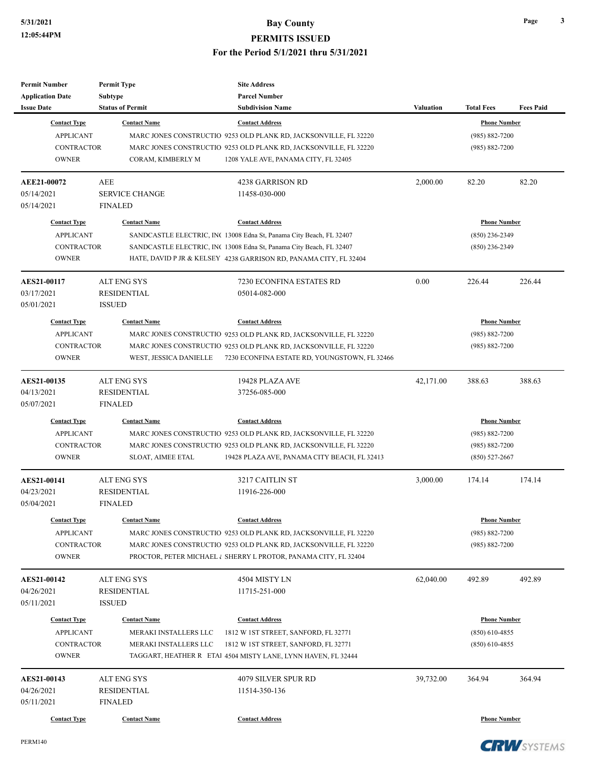| <b>Permit Number</b>                         | <b>Permit Type</b>                 | <b>Site Address</b>                                                 |                  |                     |                  |
|----------------------------------------------|------------------------------------|---------------------------------------------------------------------|------------------|---------------------|------------------|
| <b>Application Date</b><br><b>Issue Date</b> | Subtype<br><b>Status of Permit</b> | <b>Parcel Number</b><br><b>Subdivision Name</b>                     | <b>Valuation</b> | <b>Total Fees</b>   | <b>Fees Paid</b> |
| <b>Contact Type</b>                          | <b>Contact Name</b>                | <b>Contact Address</b>                                              |                  | <b>Phone Number</b> |                  |
| <b>APPLICANT</b>                             |                                    | MARC JONES CONSTRUCTIO 9253 OLD PLANK RD, JACKSONVILLE, FL 32220    |                  | $(985) 882 - 7200$  |                  |
| <b>CONTRACTOR</b>                            |                                    | MARC JONES CONSTRUCTIO 9253 OLD PLANK RD, JACKSONVILLE, FL 32220    |                  | $(985) 882 - 7200$  |                  |
| <b>OWNER</b>                                 | CORAM, KIMBERLY M                  | 1208 YALE AVE, PANAMA CITY, FL 32405                                |                  |                     |                  |
|                                              |                                    |                                                                     |                  |                     |                  |
| AEE21-00072                                  | <b>AEE</b>                         | 4238 GARRISON RD                                                    | 2,000.00         | 82.20               | 82.20            |
| 05/14/2021                                   | <b>SERVICE CHANGE</b>              | 11458-030-000                                                       |                  |                     |                  |
| 05/14/2021                                   | <b>FINALED</b>                     |                                                                     |                  |                     |                  |
| <b>Contact Type</b>                          | <b>Contact Name</b>                | <b>Contact Address</b>                                              |                  | <b>Phone Number</b> |                  |
| <b>APPLICANT</b>                             |                                    | SANDCASTLE ELECTRIC, INC 13008 Edna St, Panama City Beach, FL 32407 |                  | $(850)$ 236-2349    |                  |
| <b>CONTRACTOR</b>                            |                                    | SANDCASTLE ELECTRIC, INC 13008 Edna St, Panama City Beach, FL 32407 |                  | $(850)$ 236-2349    |                  |
| <b>OWNER</b>                                 |                                    | HATE, DAVID P JR & KELSEY 4238 GARRISON RD, PANAMA CITY, FL 32404   |                  |                     |                  |
| AES21-00117                                  | <b>ALT ENG SYS</b>                 | 7230 ECONFINA ESTATES RD                                            | 0.00             | 226.44              | 226.44           |
| 03/17/2021                                   | <b>RESIDENTIAL</b>                 | 05014-082-000                                                       |                  |                     |                  |
| 05/01/2021                                   | <b>ISSUED</b>                      |                                                                     |                  |                     |                  |
| <b>Contact Type</b>                          | <b>Contact Name</b>                | <b>Contact Address</b>                                              |                  | <b>Phone Number</b> |                  |
| <b>APPLICANT</b>                             |                                    | MARC JONES CONSTRUCTIO 9253 OLD PLANK RD, JACKSONVILLE, FL 32220    |                  | $(985) 882 - 7200$  |                  |
| <b>CONTRACTOR</b>                            |                                    | MARC JONES CONSTRUCTIO 9253 OLD PLANK RD, JACKSONVILLE, FL 32220    |                  | $(985) 882 - 7200$  |                  |
| <b>OWNER</b>                                 | WEST, JESSICA DANIELLE             | 7230 ECONFINA ESTATE RD, YOUNGSTOWN, FL 32466                       |                  |                     |                  |
| AES21-00135                                  | ALT ENG SYS                        | 19428 PLAZA AVE                                                     | 42,171.00        | 388.63              | 388.63           |
| 04/13/2021                                   | RESIDENTIAL                        | 37256-085-000                                                       |                  |                     |                  |
| 05/07/2021                                   | <b>FINALED</b>                     |                                                                     |                  |                     |                  |
| <b>Contact Type</b>                          | <b>Contact Name</b>                | <b>Contact Address</b>                                              |                  | <b>Phone Number</b> |                  |
| <b>APPLICANT</b>                             |                                    | MARC JONES CONSTRUCTIO 9253 OLD PLANK RD, JACKSONVILLE, FL 32220    |                  | $(985) 882 - 7200$  |                  |
| <b>CONTRACTOR</b>                            |                                    | MARC JONES CONSTRUCTIO 9253 OLD PLANK RD, JACKSONVILLE, FL 32220    |                  | $(985) 882 - 7200$  |                  |
| <b>OWNER</b>                                 | SLOAT, AIMEE ETAL                  | 19428 PLAZA AVE, PANAMA CITY BEACH, FL 32413                        |                  | $(850) 527 - 2667$  |                  |
| <b>AES21-00141</b>                           | <b>ALT ENG SYS</b>                 | 3217 CAITLIN ST                                                     | 3,000.00         | 174.14              | 174.14           |
| 04/23/2021                                   | <b>RESIDENTIAL</b>                 | 11916-226-000                                                       |                  |                     |                  |
| 05/04/2021                                   | <b>FINALED</b>                     |                                                                     |                  |                     |                  |
| <b>Contact Type</b>                          | <b>Contact Name</b>                | <b>Contact Address</b>                                              |                  | <b>Phone Number</b> |                  |
| <b>APPLICANT</b>                             |                                    | MARC JONES CONSTRUCTIO 9253 OLD PLANK RD, JACKSONVILLE, FL 32220    |                  | $(985) 882 - 7200$  |                  |
| <b>CONTRACTOR</b>                            |                                    | MARC JONES CONSTRUCTIO 9253 OLD PLANK RD, JACKSONVILLE, FL 32220    |                  | $(985) 882 - 7200$  |                  |
| <b>OWNER</b>                                 |                                    | PROCTOR, PETER MICHAEL & SHERRY L PROTOR, PANAMA CITY, FL 32404     |                  |                     |                  |
| AES21-00142                                  | ALT ENG SYS                        | 4504 MISTY LN                                                       | 62,040.00        | 492.89              | 492.89           |
| 04/26/2021                                   | RESIDENTIAL                        | 11715-251-000                                                       |                  |                     |                  |
| 05/11/2021                                   | <b>ISSUED</b>                      |                                                                     |                  |                     |                  |
| <b>Contact Type</b>                          | <b>Contact Name</b>                | <b>Contact Address</b>                                              |                  | <b>Phone Number</b> |                  |
| <b>APPLICANT</b>                             | MERAKI INSTALLERS LLC              | 1812 W 1ST STREET, SANFORD, FL 32771                                |                  | $(850)$ 610-4855    |                  |
| <b>CONTRACTOR</b>                            | MERAKI INSTALLERS LLC              | 1812 W 1ST STREET, SANFORD, FL 32771                                |                  | $(850)$ 610-4855    |                  |
| <b>OWNER</b>                                 |                                    | TAGGART, HEATHER R ETAI 4504 MISTY LANE, LYNN HAVEN, FL 32444       |                  |                     |                  |
| <b>AES21-00143</b>                           | <b>ALT ENG SYS</b>                 | 4079 SILVER SPUR RD                                                 | 39,732.00        | 364.94              | 364.94           |
| 04/26/2021                                   | RESIDENTIAL                        | 11514-350-136                                                       |                  |                     |                  |
| 05/11/2021                                   | <b>FINALED</b>                     |                                                                     |                  |                     |                  |
| <b>Contact Type</b>                          | <b>Contact Name</b>                | <b>Contact Address</b>                                              |                  | <b>Phone Number</b> |                  |
|                                              |                                    |                                                                     |                  |                     |                  |

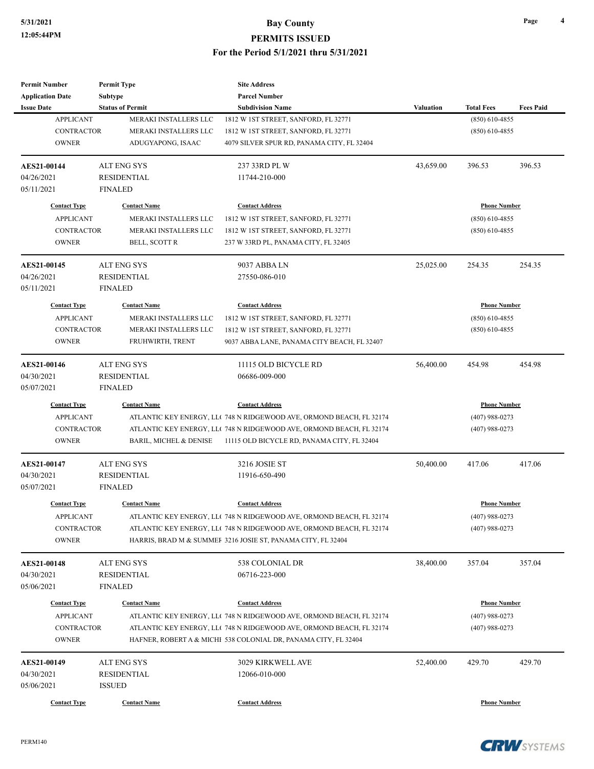| <b>Permit Number</b>    | <b>Permit Type</b>                | <b>Site Address</b>                                                  |                  |                     |                  |
|-------------------------|-----------------------------------|----------------------------------------------------------------------|------------------|---------------------|------------------|
| <b>Application Date</b> | Subtype                           | <b>Parcel Number</b>                                                 |                  |                     |                  |
| <b>Issue Date</b>       | <b>Status of Permit</b>           | <b>Subdivision Name</b>                                              | <b>Valuation</b> | <b>Total Fees</b>   | <b>Fees Paid</b> |
| <b>APPLICANT</b>        | MERAKI INSTALLERS LLC             | 1812 W IST STREET, SANFORD, FL 32771                                 |                  | $(850)$ 610-4855    |                  |
| <b>CONTRACTOR</b>       | MERAKI INSTALLERS LLC             | 1812 W 1ST STREET, SANFORD, FL 32771                                 |                  | $(850)$ 610-4855    |                  |
| <b>OWNER</b>            | ADUGYAPONG, ISAAC                 | 4079 SILVER SPUR RD, PANAMA CITY, FL 32404                           |                  |                     |                  |
| AES21-00144             | <b>ALT ENG SYS</b>                | 237 33RD PL W                                                        | 43,659.00        | 396.53              | 396.53           |
| 04/26/2021              | <b>RESIDENTIAL</b>                | 11744-210-000                                                        |                  |                     |                  |
| 05/11/2021              | <b>FINALED</b>                    |                                                                      |                  |                     |                  |
| <b>Contact Type</b>     | <b>Contact Name</b>               | <b>Contact Address</b>                                               |                  | <b>Phone Number</b> |                  |
| <b>APPLICANT</b>        | MERAKI INSTALLERS LLC             | 1812 W IST STREET, SANFORD, FL 32771                                 |                  | $(850)$ 610-4855    |                  |
| <b>CONTRACTOR</b>       | MERAKI INSTALLERS LLC             | 1812 W 1ST STREET, SANFORD, FL 32771                                 |                  | $(850)$ 610-4855    |                  |
| <b>OWNER</b>            | BELL, SCOTT R                     | 237 W 33RD PL, PANAMA CITY, FL 32405                                 |                  |                     |                  |
| AES21-00145             | <b>ALT ENG SYS</b>                | 9037 ABBA LN                                                         | 25,025.00        | 254.35              | 254.35           |
| 04/26/2021              | <b>RESIDENTIAL</b>                | 27550-086-010                                                        |                  |                     |                  |
| 05/11/2021              | <b>FINALED</b>                    |                                                                      |                  |                     |                  |
| <b>Contact Type</b>     | <b>Contact Name</b>               | <b>Contact Address</b>                                               |                  | <b>Phone Number</b> |                  |
| <b>APPLICANT</b>        | MERAKI INSTALLERS LLC             | 1812 W 1ST STREET, SANFORD, FL 32771                                 |                  | $(850)$ 610-4855    |                  |
| <b>CONTRACTOR</b>       | MERAKI INSTALLERS LLC             | 1812 W IST STREET, SANFORD, FL 32771                                 |                  | $(850)$ 610-4855    |                  |
| <b>OWNER</b>            | FRUHWIRTH, TRENT                  | 9037 ABBA LANE, PANAMA CITY BEACH, FL 32407                          |                  |                     |                  |
|                         |                                   |                                                                      |                  |                     |                  |
| AES21-00146             | <b>ALT ENG SYS</b>                | 11115 OLD BICYCLE RD                                                 | 56,400.00        | 454.98              | 454.98           |
| 04/30/2021              | <b>RESIDENTIAL</b>                | 06686-009-000                                                        |                  |                     |                  |
| 05/07/2021              | <b>FINALED</b>                    |                                                                      |                  |                     |                  |
| <b>Contact Type</b>     | <b>Contact Name</b>               | <b>Contact Address</b>                                               |                  | <b>Phone Number</b> |                  |
| <b>APPLICANT</b>        |                                   | ATLANTIC KEY ENERGY, LLC 748 N RIDGEWOOD AVE, ORMOND BEACH, FL 32174 |                  | $(407)$ 988-0273    |                  |
| CONTRACTOR              |                                   | ATLANTIC KEY ENERGY, LLC 748 N RIDGEWOOD AVE, ORMOND BEACH, FL 32174 |                  | $(407)$ 988-0273    |                  |
| <b>OWNER</b>            | <b>BARIL, MICHEL &amp; DENISE</b> | 11115 OLD BICYCLE RD, PANAMA CITY, FL 32404                          |                  |                     |                  |
| AES21-00147             | <b>ALT ENG SYS</b>                | 3216 JOSIE ST                                                        | 50,400.00        | 417.06              | 417.06           |
| 04/30/2021              | <b>RESIDENTIAL</b>                | 11916-650-490                                                        |                  |                     |                  |
| 05/07/2021              | <b>FINALED</b>                    |                                                                      |                  |                     |                  |
| <b>Contact Type</b>     | <b>Contact Name</b>               | <b>Contact Address</b>                                               |                  | <b>Phone Number</b> |                  |
| <b>APPLICANT</b>        |                                   | ATLANTIC KEY ENERGY, LLC 748 N RIDGEWOOD AVE, ORMOND BEACH, FL 32174 |                  | $(407)$ 988-0273    |                  |
| CONTRACTOR              |                                   | ATLANTIC KEY ENERGY, LL( 748 N RIDGEWOOD AVE, ORMOND BEACH, FL 32174 |                  | $(407)$ 988-0273    |                  |
| <b>OWNER</b>            |                                   | HARRIS, BRAD M & SUMMEF 3216 JOSIE ST, PANAMA CITY, FL 32404         |                  |                     |                  |
| AES21-00148             | ALT ENG SYS                       | 538 COLONIAL DR                                                      | 38,400.00        | 357.04              | 357.04           |
| 04/30/2021              | <b>RESIDENTIAL</b>                | 06716-223-000                                                        |                  |                     |                  |
| 05/06/2021              | <b>FINALED</b>                    |                                                                      |                  |                     |                  |
| <b>Contact Type</b>     | <b>Contact Name</b>               |                                                                      |                  |                     |                  |
|                         |                                   | <b>Contact Address</b>                                               |                  | <b>Phone Number</b> |                  |
| <b>APPLICANT</b>        |                                   | ATLANTIC KEY ENERGY, LLC 748 N RIDGEWOOD AVE, ORMOND BEACH, FL 32174 |                  | $(407)$ 988-0273    |                  |
| CONTRACTOR              |                                   | ATLANTIC KEY ENERGY, LL(748 N RIDGEWOOD AVE, ORMOND BEACH, FL 32174  |                  | $(407)$ 988-0273    |                  |
| <b>OWNER</b>            |                                   | HAFNER, ROBERT A & MICHI 538 COLONIAL DR, PANAMA CITY, FL 32404      |                  |                     |                  |
| AES21-00149             | <b>ALT ENG SYS</b>                | 3029 KIRKWELL AVE                                                    | 52,400.00        | 429.70              | 429.70           |
| 04/30/2021              | <b>RESIDENTIAL</b>                | 12066-010-000                                                        |                  |                     |                  |
| 05/06/2021              | <b>ISSUED</b>                     |                                                                      |                  |                     |                  |
| <b>Contact Type</b>     | <b>Contact Name</b>               | <b>Contact Address</b>                                               |                  | <b>Phone Number</b> |                  |
|                         |                                   |                                                                      |                  |                     |                  |

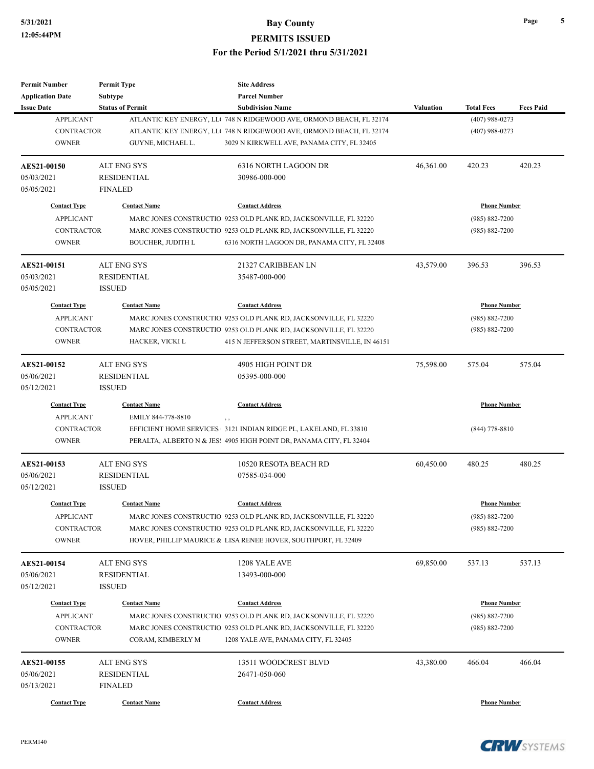| <b>Permit Number</b>    | <b>Permit Type</b>       | <b>Site Address</b>                                                  |                     |                     |                  |  |
|-------------------------|--------------------------|----------------------------------------------------------------------|---------------------|---------------------|------------------|--|
| <b>Application Date</b> | <b>Subtype</b>           | <b>Parcel Number</b>                                                 |                     |                     |                  |  |
| <b>Issue Date</b>       | <b>Status of Permit</b>  | <b>Subdivision Name</b>                                              | <b>Valuation</b>    | <b>Total Fees</b>   | <b>Fees Paid</b> |  |
| <b>APPLICANT</b>        |                          | ATLANTIC KEY ENERGY, LLC 748 N RIDGEWOOD AVE, ORMOND BEACH, FL 32174 |                     | $(407)$ 988-0273    |                  |  |
| <b>CONTRACTOR</b>       |                          | ATLANTIC KEY ENERGY, LLC 748 N RIDGEWOOD AVE, ORMOND BEACH, FL 32174 |                     | $(407)$ 988-0273    |                  |  |
| <b>OWNER</b>            | GUYNE, MICHAEL L.        | 3029 N KIRKWELL AVE, PANAMA CITY, FL 32405                           |                     |                     |                  |  |
| AES21-00150             | <b>ALT ENG SYS</b>       | 6316 NORTH LAGOON DR                                                 | 46,361.00           | 420.23              | 420.23           |  |
| 05/03/2021              | <b>RESIDENTIAL</b>       | 30986-000-000                                                        |                     |                     |                  |  |
| 05/05/2021              | <b>FINALED</b>           |                                                                      |                     |                     |                  |  |
| <b>Contact Type</b>     | <b>Contact Name</b>      | <b>Contact Address</b>                                               |                     | <b>Phone Number</b> |                  |  |
| <b>APPLICANT</b>        |                          | MARC JONES CONSTRUCTIO 9253 OLD PLANK RD, JACKSONVILLE, FL 32220     |                     | $(985) 882 - 7200$  |                  |  |
| <b>CONTRACTOR</b>       |                          | MARC JONES CONSTRUCTIO 9253 OLD PLANK RD, JACKSONVILLE, FL 32220     |                     | $(985) 882 - 7200$  |                  |  |
| <b>OWNER</b>            | <b>BOUCHER, JUDITH L</b> | 6316 NORTH LAGOON DR, PANAMA CITY, FL 32408                          |                     |                     |                  |  |
| <b>AES21-00151</b>      | <b>ALT ENG SYS</b>       | 21327 CARIBBEAN LN                                                   | 43,579.00           | 396.53              | 396.53           |  |
| 05/03/2021              | <b>RESIDENTIAL</b>       | 35487-000-000                                                        |                     |                     |                  |  |
| 05/05/2021              | <b>ISSUED</b>            |                                                                      |                     |                     |                  |  |
| <b>Contact Type</b>     | <b>Contact Name</b>      | <b>Contact Address</b>                                               |                     | <b>Phone Number</b> |                  |  |
| <b>APPLICANT</b>        |                          | MARC JONES CONSTRUCTIO 9253 OLD PLANK RD, JACKSONVILLE, FL 32220     |                     | $(985) 882 - 7200$  |                  |  |
| <b>CONTRACTOR</b>       |                          | MARC JONES CONSTRUCTIO 9253 OLD PLANK RD, JACKSONVILLE, FL 32220     |                     | $(985) 882 - 7200$  |                  |  |
| <b>OWNER</b>            | HACKER, VICKI L          | 415 N JEFFERSON STREET, MARTINSVILLE, IN 46151                       |                     |                     |                  |  |
|                         |                          |                                                                      |                     |                     |                  |  |
| <b>AES21-00152</b>      | <b>ALT ENG SYS</b>       | 4905 HIGH POINT DR                                                   | 75,598.00           | 575.04              | 575.04           |  |
| 05/06/2021              | <b>RESIDENTIAL</b>       | 05395-000-000                                                        |                     |                     |                  |  |
| 05/12/2021              | <b>ISSUED</b>            |                                                                      |                     |                     |                  |  |
| <b>Contact Type</b>     | <b>Contact Name</b>      | <b>Contact Address</b>                                               | <b>Phone Number</b> |                     |                  |  |
| <b>APPLICANT</b>        | EMILY 844-778-8810       | , ,                                                                  |                     |                     |                  |  |
| <b>CONTRACTOR</b>       |                          | EFFICIENT HOME SERVICES 3121 INDIAN RIDGE PL, LAKELAND, FL 33810     |                     | $(844)$ 778-8810    |                  |  |
| <b>OWNER</b>            |                          | PERALTA, ALBERTO N & JES: 4905 HIGH POINT DR, PANAMA CITY, FL 32404  |                     |                     |                  |  |
| <b>AES21-00153</b>      | <b>ALT ENG SYS</b>       | 10520 RESOTA BEACH RD                                                | 60,450.00           | 480.25              | 480.25           |  |
| 05/06/2021              | <b>RESIDENTIAL</b>       | 07585-034-000                                                        |                     |                     |                  |  |
| 05/12/2021              | <b>ISSUED</b>            |                                                                      |                     |                     |                  |  |
| <b>Contact Type</b>     | <b>Contact Name</b>      | <b>Contact Address</b>                                               |                     | <b>Phone Number</b> |                  |  |
| <b>APPLICANT</b>        |                          | MARC JONES CONSTRUCTIO 9253 OLD PLANK RD, JACKSONVILLE, FL 32220     |                     | $(985) 882 - 7200$  |                  |  |
| CONTRACTOR              |                          | MARC JONES CONSTRUCTIO 9253 OLD PLANK RD, JACKSONVILLE, FL 32220     |                     | $(985) 882 - 7200$  |                  |  |
| <b>OWNER</b>            |                          | HOVER, PHILLIP MAURICE & LISA RENEE HOVER, SOUTHPORT, FL 32409       |                     |                     |                  |  |
| <b>AES21-00154</b>      | ALT ENG SYS              | 1208 YALE AVE                                                        | 69,850.00           | 537.13              | 537.13           |  |
| 05/06/2021              | <b>RESIDENTIAL</b>       | 13493-000-000                                                        |                     |                     |                  |  |
| 05/12/2021              | <b>ISSUED</b>            |                                                                      |                     |                     |                  |  |
| <b>Contact Type</b>     | <b>Contact Name</b>      | <b>Contact Address</b>                                               |                     | <b>Phone Number</b> |                  |  |
| <b>APPLICANT</b>        |                          | MARC JONES CONSTRUCTIO 9253 OLD PLANK RD, JACKSONVILLE, FL 32220     |                     | $(985) 882 - 7200$  |                  |  |
| <b>CONTRACTOR</b>       |                          | MARC JONES CONSTRUCTIO 9253 OLD PLANK RD, JACKSONVILLE, FL 32220     |                     | $(985) 882 - 7200$  |                  |  |
| <b>OWNER</b>            | CORAM, KIMBERLY M        | 1208 YALE AVE, PANAMA CITY, FL 32405                                 |                     |                     |                  |  |
|                         |                          |                                                                      |                     |                     |                  |  |
| AES21-00155             | ALT ENG SYS              | 13511 WOODCREST BLVD                                                 | 43,380.00           | 466.04              | 466.04           |  |
| 05/06/2021              | RESIDENTIAL              | 26471-050-060                                                        |                     |                     |                  |  |
| 05/13/2021              | <b>FINALED</b>           |                                                                      |                     |                     |                  |  |
| <b>Contact Type</b>     | <b>Contact Name</b>      | <b>Contact Address</b>                                               |                     | <b>Phone Number</b> |                  |  |

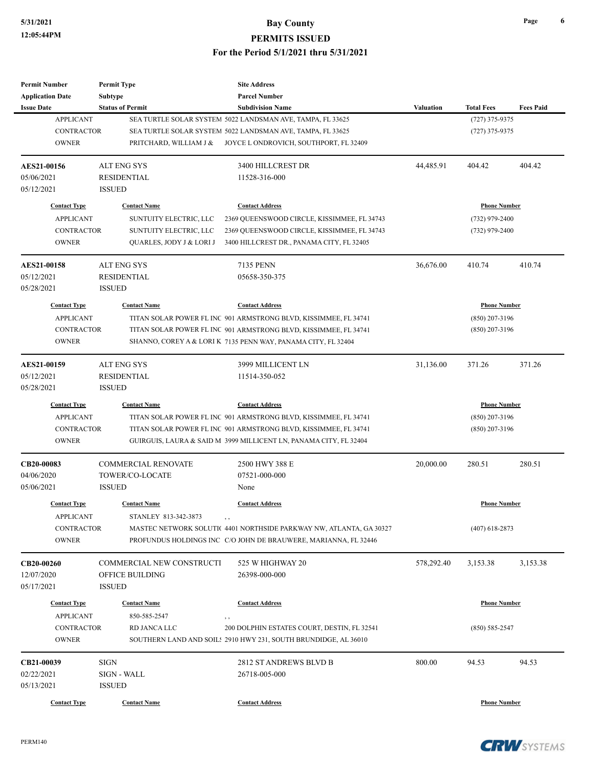| <b>Permit Number</b>       | <b>Permit Type</b>               | <b>Site Address</b>                                                                                                                    |                  |                     |                  |
|----------------------------|----------------------------------|----------------------------------------------------------------------------------------------------------------------------------------|------------------|---------------------|------------------|
| <b>Application Date</b>    | Subtype                          | <b>Parcel Number</b>                                                                                                                   |                  |                     |                  |
| <b>Issue Date</b>          | <b>Status of Permit</b>          | <b>Subdivision Name</b>                                                                                                                | <b>Valuation</b> | <b>Total Fees</b>   | <b>Fees Paid</b> |
| <b>APPLICANT</b>           |                                  | SEA TURTLE SOLAR SYSTEM 5022 LANDSMAN AVE, TAMPA, FL 33625                                                                             |                  | $(727)$ 375-9375    |                  |
| <b>CONTRACTOR</b>          |                                  | SEA TURTLE SOLAR SYSTEM 5022 LANDSMAN AVE, TAMPA, FL 33625                                                                             |                  | $(727)$ 375-9375    |                  |
| <b>OWNER</b>               | PRITCHARD, WILLIAM J &           | JOYCE L ONDROVICH, SOUTHPORT, FL 32409                                                                                                 |                  |                     |                  |
| AES21-00156                | <b>ALT ENG SYS</b>               | 3400 HILLCREST DR                                                                                                                      | 44,485.91        | 404.42              | 404.42           |
| 05/06/2021                 | <b>RESIDENTIAL</b>               | 11528-316-000                                                                                                                          |                  |                     |                  |
| 05/12/2021                 | <b>ISSUED</b>                    |                                                                                                                                        |                  |                     |                  |
| <b>Contact Type</b>        | <b>Contact Name</b>              | <b>Contact Address</b>                                                                                                                 |                  | <b>Phone Number</b> |                  |
| <b>APPLICANT</b>           | SUNTUITY ELECTRIC, LLC           | 2369 QUEENSWOOD CIRCLE, KISSIMMEE, FL 34743                                                                                            |                  | $(732)$ 979-2400    |                  |
| <b>CONTRACTOR</b>          | SUNTUITY ELECTRIC, LLC           | 2369 QUEENSWOOD CIRCLE, KISSIMMEE, FL 34743                                                                                            |                  | $(732)$ 979-2400    |                  |
| <b>OWNER</b>               | QUARLES, JODY J & LORI J         | 3400 HILLCREST DR., PANAMA CITY, FL 32405                                                                                              |                  |                     |                  |
| <b>AES21-00158</b>         | <b>ALT ENG SYS</b>               | 7135 PENN                                                                                                                              | 36,676.00        | 410.74              | 410.74           |
| 05/12/2021                 | RESIDENTIAL                      | 05658-350-375                                                                                                                          |                  |                     |                  |
| 05/28/2021                 | <b>ISSUED</b>                    |                                                                                                                                        |                  |                     |                  |
| <b>Contact Type</b>        | <b>Contact Name</b>              | <b>Contact Address</b>                                                                                                                 |                  | <b>Phone Number</b> |                  |
| <b>APPLICANT</b>           |                                  | TITAN SOLAR POWER FL INC 901 ARMSTRONG BLVD, KISSIMMEE, FL 34741                                                                       |                  | $(850)$ 207-3196    |                  |
| <b>CONTRACTOR</b>          |                                  | TITAN SOLAR POWER FL INC 901 ARMSTRONG BLVD, KISSIMMEE, FL 34741                                                                       |                  | $(850)$ 207-3196    |                  |
| <b>OWNER</b>               |                                  | SHANNO, COREY A & LORI K 7135 PENN WAY, PANAMA CITY, FL 32404                                                                          |                  |                     |                  |
| AES21-00159                | <b>ALT ENG SYS</b>               | 3999 MILLICENT LN                                                                                                                      | 31,136.00        | 371.26              | 371.26           |
| 05/12/2021                 | <b>RESIDENTIAL</b>               | 11514-350-052                                                                                                                          |                  |                     |                  |
| 05/28/2021                 | <b>ISSUED</b>                    |                                                                                                                                        |                  |                     |                  |
| <b>Contact Type</b>        | <b>Contact Name</b>              | <b>Contact Address</b>                                                                                                                 |                  | <b>Phone Number</b> |                  |
| <b>APPLICANT</b>           |                                  | TITAN SOLAR POWER FL INC 901 ARMSTRONG BLVD, KISSIMMEE, FL 34741                                                                       |                  | $(850)$ 207-3196    |                  |
| CONTRACTOR                 |                                  | TITAN SOLAR POWER FL INC 901 ARMSTRONG BLVD, KISSIMMEE, FL 34741                                                                       |                  | $(850)$ 207-3196    |                  |
| <b>OWNER</b>               |                                  | GUIRGUIS, LAURA & SAID M 3999 MILLICENT LN, PANAMA CITY, FL 32404                                                                      |                  |                     |                  |
| CB20-00083                 | <b>COMMERCIAL RENOVATE</b>       | 2500 HWY 388 E                                                                                                                         | 20,000.00        | 280.51              | 280.51           |
| 04/06/2020                 | TOWER/CO-LOCATE                  | 07521-000-000                                                                                                                          |                  |                     |                  |
| 05/06/2021                 | <b>ISSUED</b>                    | None                                                                                                                                   |                  |                     |                  |
| <b>Contact Type</b>        | <b>Contact Name</b>              | <b>Contact Address</b>                                                                                                                 |                  | <b>Phone Number</b> |                  |
| <b>APPLICANT</b>           | STANLEY 813-342-3873             | $, \, , \,$                                                                                                                            |                  |                     |                  |
| CONTRACTOR<br><b>OWNER</b> |                                  | MASTEC NETWORK SOLUTIC 4401 NORTHSIDE PARKWAY NW, ATLANTA, GA 30327<br>PROFUNDUS HOLDINGS INC C/O JOHN DE BRAUWERE, MARIANNA, FL 32446 |                  | $(407)$ 618-2873    |                  |
| CB20-00260                 | <b>COMMERCIAL NEW CONSTRUCTI</b> | 525 W HIGHWAY 20                                                                                                                       | 578,292.40       | 3,153.38            | 3,153.38         |
| 12/07/2020                 | OFFICE BUILDING                  | 26398-000-000                                                                                                                          |                  |                     |                  |
| 05/17/2021                 | <b>ISSUED</b>                    |                                                                                                                                        |                  |                     |                  |
| <b>Contact Type</b>        | <b>Contact Name</b>              | <b>Contact Address</b>                                                                                                                 |                  | <b>Phone Number</b> |                  |
| <b>APPLICANT</b>           | 850-585-2547                     | , ,                                                                                                                                    |                  |                     |                  |
| CONTRACTOR                 | RD JANCA LLC                     | 200 DOLPHIN ESTATES COURT, DESTIN, FL 32541                                                                                            |                  | $(850) 585 - 2547$  |                  |
| <b>OWNER</b>               |                                  | SOUTHERN LAND AND SOIL: 2910 HWY 231, SOUTH BRUNDIDGE, AL 36010                                                                        |                  |                     |                  |
| CB21-00039                 | <b>SIGN</b>                      | 2812 ST ANDREWS BLVD B                                                                                                                 | 800.00           | 94.53               | 94.53            |
| 02/22/2021                 | SIGN - WALL                      | 26718-005-000                                                                                                                          |                  |                     |                  |
| 05/13/2021                 | <b>ISSUED</b>                    |                                                                                                                                        |                  |                     |                  |
| <b>Contact Type</b>        | <b>Contact Name</b>              | <b>Contact Address</b>                                                                                                                 |                  | <b>Phone Number</b> |                  |



**Page 6**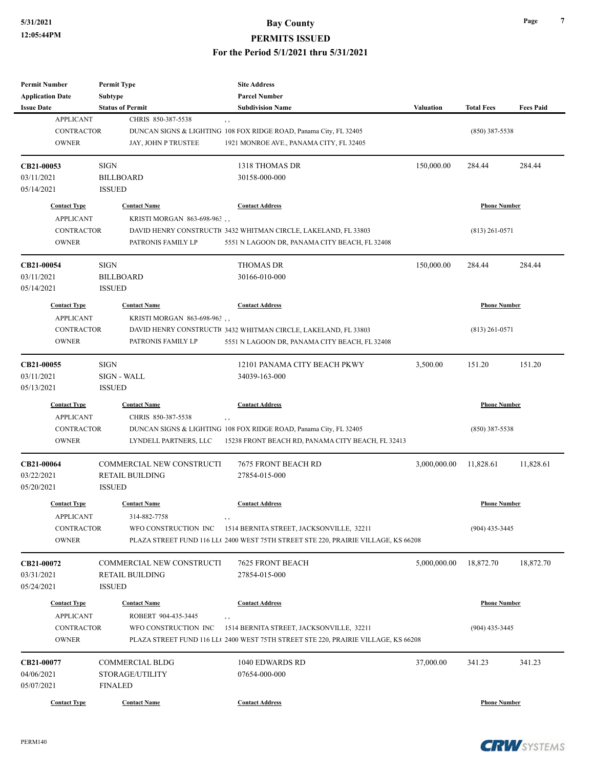| <b>Permit Number</b>    | <b>Permit Type</b>               | <b>Site Address</b>                                                               |                  |                     |                  |
|-------------------------|----------------------------------|-----------------------------------------------------------------------------------|------------------|---------------------|------------------|
| <b>Application Date</b> | Subtype                          | <b>Parcel Number</b>                                                              |                  |                     |                  |
| <b>Issue Date</b>       | <b>Status of Permit</b>          | <b>Subdivision Name</b>                                                           | <b>Valuation</b> | <b>Total Fees</b>   | <b>Fees Paid</b> |
| <b>APPLICANT</b>        | CHRIS 850-387-5538               | , ,                                                                               |                  |                     |                  |
| <b>CONTRACTOR</b>       |                                  | DUNCAN SIGNS & LIGHTING 108 FOX RIDGE ROAD, Panama City, FL 32405                 |                  | $(850)$ 387-5538    |                  |
| <b>OWNER</b>            | JAY, JOHN P TRUSTEE              | 1921 MONROE AVE., PANAMA CITY, FL 32405                                           |                  |                     |                  |
| CB21-00053              | <b>SIGN</b>                      | 1318 THOMAS DR                                                                    | 150,000.00       | 284.44              | 284.44           |
| 03/11/2021              | <b>BILLBOARD</b>                 | 30158-000-000                                                                     |                  |                     |                  |
| 05/14/2021              | <b>ISSUED</b>                    |                                                                                   |                  |                     |                  |
| <b>Contact Type</b>     | <b>Contact Name</b>              | <b>Contact Address</b>                                                            |                  | <b>Phone Number</b> |                  |
| <b>APPLICANT</b>        | KRISTI MORGAN 863-698-963,       |                                                                                   |                  |                     |                  |
| <b>CONTRACTOR</b>       |                                  | DAVID HENRY CONSTRUCTI 3432 WHITMAN CIRCLE, LAKELAND, FL 33803                    |                  | $(813)$ 261-0571    |                  |
| <b>OWNER</b>            | PATRONIS FAMILY LP               | 5551 N LAGOON DR, PANAMA CITY BEACH, FL 32408                                     |                  |                     |                  |
| CB21-00054              | SIGN                             | <b>THOMAS DR</b>                                                                  | 150,000.00       | 284.44              | 284.44           |
| 03/11/2021              | <b>BILLBOARD</b>                 | 30166-010-000                                                                     |                  |                     |                  |
| 05/14/2021              | <b>ISSUED</b>                    |                                                                                   |                  |                     |                  |
| <b>Contact Type</b>     | <b>Contact Name</b>              | <b>Contact Address</b>                                                            |                  | <b>Phone Number</b> |                  |
| <b>APPLICANT</b>        | KRISTI MORGAN 863-698-963,       |                                                                                   |                  |                     |                  |
| <b>CONTRACTOR</b>       |                                  | DAVID HENRY CONSTRUCTI 3432 WHITMAN CIRCLE, LAKELAND, FL 33803                    |                  | $(813)$ 261-0571    |                  |
| <b>OWNER</b>            | PATRONIS FAMILY LP               | 5551 N LAGOON DR, PANAMA CITY BEACH, FL 32408                                     |                  |                     |                  |
| CB21-00055              | <b>SIGN</b>                      | 12101 PANAMA CITY BEACH PKWY                                                      | 3,500.00         | 151.20              | 151.20           |
| 03/11/2021              | <b>SIGN - WALL</b>               | 34039-163-000                                                                     |                  |                     |                  |
| 05/13/2021              | <b>ISSUED</b>                    |                                                                                   |                  |                     |                  |
| <b>Contact Type</b>     | <b>Contact Name</b>              | <b>Contact Address</b>                                                            |                  | <b>Phone Number</b> |                  |
| <b>APPLICANT</b>        | CHRIS 850-387-5538               | $, \, ,$                                                                          |                  |                     |                  |
| <b>CONTRACTOR</b>       |                                  | DUNCAN SIGNS & LIGHTING 108 FOX RIDGE ROAD, Panama City, FL 32405                 |                  | $(850)$ 387-5538    |                  |
| <b>OWNER</b>            | LYNDELL PARTNERS, LLC            | 15238 FRONT BEACH RD, PANAMA CITY BEACH, FL 32413                                 |                  |                     |                  |
| CB21-00064              | <b>COMMERCIAL NEW CONSTRUCTI</b> | 7675 FRONT BEACH RD                                                               | 3,000,000.00     | 11,828.61           | 11,828.61        |
| 03/22/2021              | <b>RETAIL BUILDING</b>           | 27854-015-000                                                                     |                  |                     |                  |
| 05/20/2021              | <b>ISSUED</b>                    |                                                                                   |                  |                     |                  |
| <b>Contact Type</b>     | <b>Contact Name</b>              | <b>Contact Address</b>                                                            |                  | <b>Phone Number</b> |                  |
| <b>APPLICANT</b>        | 314-882-7758                     | , ,                                                                               |                  |                     |                  |
| CONTRACTOR              | WFO CONSTRUCTION INC             | 1514 BERNITA STREET, JACKSONVILLE, 32211                                          |                  | $(904)$ 435-3445    |                  |
| <b>OWNER</b>            |                                  | PLAZA STREET FUND 116 LL(2400 WEST 75TH STREET STE 220, PRAIRIE VILLAGE, KS 66208 |                  |                     |                  |
| CB21-00072              | COMMERCIAL NEW CONSTRUCTI        | <b>7625 FRONT BEACH</b>                                                           | 5,000,000.00     | 18,872.70           | 18,872.70        |
| 03/31/2021              | <b>RETAIL BUILDING</b>           | 27854-015-000                                                                     |                  |                     |                  |
| 05/24/2021              | <b>ISSUED</b>                    |                                                                                   |                  |                     |                  |
| <b>Contact Type</b>     | <b>Contact Name</b>              | <b>Contact Address</b>                                                            |                  | <b>Phone Number</b> |                  |
| <b>APPLICANT</b>        | ROBERT 904-435-3445              |                                                                                   |                  |                     |                  |
| CONTRACTOR              | WFO CONSTRUCTION INC             | 1514 BERNITA STREET, JACKSONVILLE, 32211                                          |                  | $(904)$ 435-3445    |                  |
| <b>OWNER</b>            |                                  | PLAZA STREET FUND 116 LL(2400 WEST 75TH STREET STE 220, PRAIRIE VILLAGE, KS 66208 |                  |                     |                  |
| CB21-00077              | <b>COMMERCIAL BLDG</b>           | 1040 EDWARDS RD                                                                   | 37,000.00        | 341.23              | 341.23           |
| 04/06/2021              | STORAGE/UTILITY                  | 07654-000-000                                                                     |                  |                     |                  |
| 05/07/2021              | <b>FINALED</b>                   |                                                                                   |                  |                     |                  |
| <b>Contact Type</b>     | <b>Contact Name</b>              | <b>Contact Address</b>                                                            |                  | <b>Phone Number</b> |                  |
|                         |                                  |                                                                                   |                  |                     |                  |



**Page 7**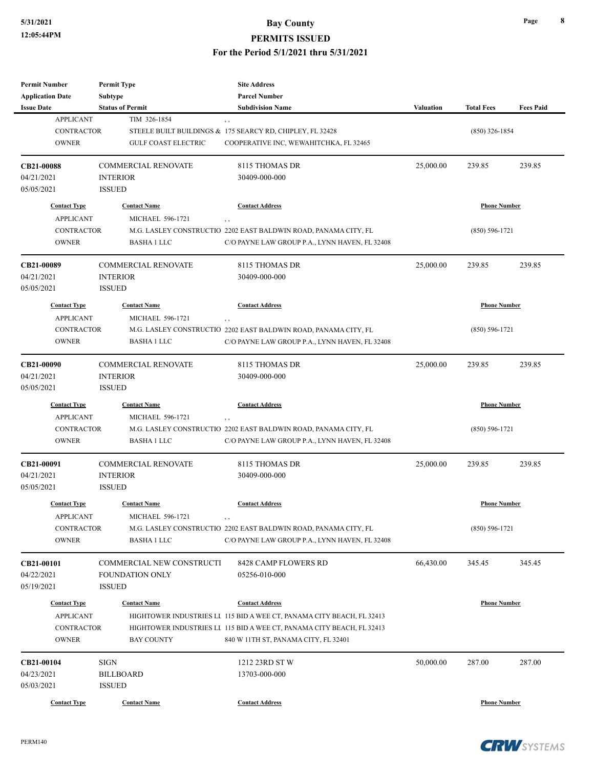| <b>Permit Number</b>                    | <b>Permit Type</b>         | <b>Site Address</b>                                                                             |                  |                     |                  |  |
|-----------------------------------------|----------------------------|-------------------------------------------------------------------------------------------------|------------------|---------------------|------------------|--|
| <b>Application Date</b>                 | <b>Subtype</b>             | <b>Parcel Number</b>                                                                            |                  |                     |                  |  |
| <b>Issue Date</b>                       | <b>Status of Permit</b>    | <b>Subdivision Name</b>                                                                         | <b>Valuation</b> | <b>Total Fees</b>   | <b>Fees Paid</b> |  |
| <b>APPLICANT</b>                        | TIM 326-1854               | , ,                                                                                             |                  |                     |                  |  |
| <b>CONTRACTOR</b>                       |                            | STEELE BUILT BUILDINGS & 175 SEARCY RD, CHIPLEY, FL 32428                                       |                  | $(850)$ 326-1854    |                  |  |
| <b>OWNER</b>                            | <b>GULF COAST ELECTRIC</b> | COOPERATIVE INC, WEWAHITCHKA, FL 32465                                                          |                  |                     |                  |  |
| CB21-00088                              | COMMERCIAL RENOVATE        | 8115 THOMAS DR                                                                                  | 25,000.00        | 239.85              | 239.85           |  |
| 04/21/2021                              | <b>INTERIOR</b>            | 30409-000-000                                                                                   |                  |                     |                  |  |
| 05/05/2021                              | <b>ISSUED</b>              |                                                                                                 |                  |                     |                  |  |
| <b>Contact Type</b>                     | <b>Contact Name</b>        | <b>Contact Address</b>                                                                          |                  | <b>Phone Number</b> |                  |  |
| <b>APPLICANT</b>                        | MICHAEL 596-1721           | , ,                                                                                             |                  |                     |                  |  |
| <b>CONTRACTOR</b>                       |                            | M.G. LASLEY CONSTRUCTIO 2202 EAST BALDWIN ROAD, PANAMA CITY, FL                                 |                  | (850) 596-1721      |                  |  |
| <b>OWNER</b>                            | <b>BASHA 1 LLC</b>         | C/O PAYNE LAW GROUP P.A., LYNN HAVEN, FL 32408                                                  |                  |                     |                  |  |
| CB21-00089                              | <b>COMMERCIAL RENOVATE</b> | 8115 THOMAS DR                                                                                  | 25,000.00        | 239.85              | 239.85           |  |
| 04/21/2021                              | <b>INTERIOR</b>            | 30409-000-000                                                                                   |                  |                     |                  |  |
| 05/05/2021                              | <b>ISSUED</b>              |                                                                                                 |                  |                     |                  |  |
| <b>Contact Type</b>                     | <b>Contact Name</b>        | <b>Contact Address</b>                                                                          |                  | <b>Phone Number</b> |                  |  |
| <b>APPLICANT</b>                        | MICHAEL 596-1721           | , ,                                                                                             |                  |                     |                  |  |
| <b>CONTRACTOR</b>                       |                            | M.G. LASLEY CONSTRUCTIO 2202 EAST BALDWIN ROAD, PANAMA CITY, FL                                 |                  | $(850) 596 - 1721$  |                  |  |
| <b>OWNER</b>                            | <b>BASHA 1 LLC</b>         | C/O PAYNE LAW GROUP P.A., LYNN HAVEN, FL 32408                                                  |                  |                     |                  |  |
|                                         |                            |                                                                                                 |                  |                     |                  |  |
| CB21-00090                              | COMMERCIAL RENOVATE        | 8115 THOMAS DR                                                                                  | 25,000.00        | 239.85              | 239.85           |  |
| 04/21/2021                              | <b>INTERIOR</b>            | 30409-000-000                                                                                   |                  |                     |                  |  |
| 05/05/2021                              | <b>ISSUED</b>              |                                                                                                 |                  |                     |                  |  |
| <b>Contact Type</b>                     | <b>Contact Name</b>        | <b>Contact Address</b>                                                                          |                  | <b>Phone Number</b> |                  |  |
| <b>APPLICANT</b>                        | MICHAEL 596-1721           | , ,                                                                                             |                  |                     |                  |  |
| <b>CONTRACTOR</b>                       |                            | M.G. LASLEY CONSTRUCTIO 2202 EAST BALDWIN ROAD, PANAMA CITY, FL                                 |                  | $(850) 596 - 1721$  |                  |  |
| <b>OWNER</b>                            | <b>BASHA 1 LLC</b>         | C/O PAYNE LAW GROUP P.A., LYNN HAVEN, FL 32408                                                  |                  |                     |                  |  |
| CB21-00091                              | COMMERCIAL RENOVATE        | 8115 THOMAS DR                                                                                  | 25,000.00        | 239.85              | 239.85           |  |
| 04/21/2021                              | <b>INTERIOR</b>            | 30409-000-000                                                                                   |                  |                     |                  |  |
| 05/05/2021                              | <b>ISSUED</b>              |                                                                                                 |                  |                     |                  |  |
| <b>Contact Type</b>                     | <b>Contact Name</b>        | <b>Contact Address</b>                                                                          |                  | <b>Phone Number</b> |                  |  |
| <b>APPLICANT</b>                        | MICHAEL 596-1721           | , ,                                                                                             |                  |                     |                  |  |
| <b>CONTRACTOR</b>                       |                            | M.G. LASLEY CONSTRUCTIO 2202 EAST BALDWIN ROAD, PANAMA CITY, FL                                 |                  | $(850) 596 - 1721$  |                  |  |
| <b>OWNER</b>                            | <b>BASHA 1 LLC</b>         | C/O PAYNE LAW GROUP P.A., LYNN HAVEN, FL 32408                                                  |                  |                     |                  |  |
| CB21-00101                              | COMMERCIAL NEW CONSTRUCTI  | 8428 CAMP FLOWERS RD                                                                            | 66,430.00        | 345.45              | 345.45           |  |
| 04/22/2021                              | <b>FOUNDATION ONLY</b>     | 05256-010-000                                                                                   |                  |                     |                  |  |
| 05/19/2021                              | <b>ISSUED</b>              |                                                                                                 |                  |                     |                  |  |
|                                         |                            |                                                                                                 |                  |                     |                  |  |
| <b>Contact Type</b><br><b>APPLICANT</b> | <b>Contact Name</b>        | <b>Contact Address</b><br>HIGHTOWER INDUSTRIES LI 115 BID A WEE CT, PANAMA CITY BEACH, FL 32413 |                  | <b>Phone Number</b> |                  |  |
| CONTRACTOR                              |                            | HIGHTOWER INDUSTRIES LI 115 BID A WEE CT, PANAMA CITY BEACH, FL 32413                           |                  |                     |                  |  |
|                                         |                            |                                                                                                 |                  |                     |                  |  |
| <b>OWNER</b>                            | <b>BAY COUNTY</b>          | 840 W 11TH ST, PANAMA CITY, FL 32401                                                            |                  |                     |                  |  |
| CB21-00104                              | <b>SIGN</b>                | 1212 23RD ST W                                                                                  | 50,000.00        | 287.00              | 287.00           |  |
| 04/23/2021                              | BILLBOARD                  | 13703-000-000                                                                                   |                  |                     |                  |  |
| 05/03/2021                              | <b>ISSUED</b>              |                                                                                                 |                  |                     |                  |  |
| <b>Contact Type</b>                     | <b>Contact Name</b>        | <b>Contact Address</b>                                                                          |                  | <b>Phone Number</b> |                  |  |

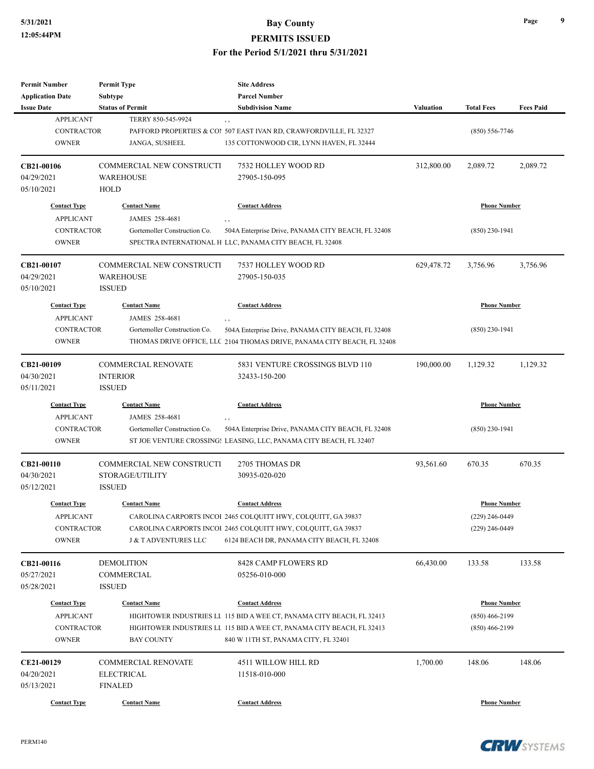| <b>Permit Number</b>              | <b>Permit Type</b>               | <b>Site Address</b>                                                                                           |                  |                     |                  |
|-----------------------------------|----------------------------------|---------------------------------------------------------------------------------------------------------------|------------------|---------------------|------------------|
| <b>Application Date</b>           | Subtype                          | <b>Parcel Number</b>                                                                                          |                  |                     |                  |
| <b>Issue Date</b>                 | <b>Status of Permit</b>          | <b>Subdivision Name</b>                                                                                       | <b>Valuation</b> | <b>Total Fees</b>   | <b>Fees Paid</b> |
| <b>APPLICANT</b>                  | TERRY 850-545-9924               | , ,                                                                                                           |                  |                     |                  |
| <b>CONTRACTOR</b>                 |                                  | PAFFORD PROPERTIES & COI 507 EAST IVAN RD, CRAWFORDVILLE, FL 32327                                            |                  | $(850) 556 - 7746$  |                  |
| <b>OWNER</b>                      | JANGA, SUSHEEL                   | 135 COTTONWOOD CIR, LYNN HAVEN, FL 32444                                                                      |                  |                     |                  |
| CB21-00106                        | <b>COMMERCIAL NEW CONSTRUCTI</b> | 7532 HOLLEY WOOD RD                                                                                           | 312,800.00       | 2,089.72            | 2,089.72         |
| 04/29/2021                        | <b>WAREHOUSE</b>                 | 27905-150-095                                                                                                 |                  |                     |                  |
| 05/10/2021                        | HOLD                             |                                                                                                               |                  |                     |                  |
| <b>Contact Type</b>               | <b>Contact Name</b>              | <b>Contact Address</b>                                                                                        |                  | <b>Phone Number</b> |                  |
| <b>APPLICANT</b>                  | JAMES 258-4681                   | $, \, ,$                                                                                                      |                  |                     |                  |
| <b>CONTRACTOR</b>                 | Gortemoller Construction Co.     | 504A Enterprise Drive, PANAMA CITY BEACH, FL 32408                                                            |                  | $(850)$ 230-1941    |                  |
| <b>OWNER</b>                      |                                  | SPECTRA INTERNATIONAL H LLC, PANAMA CITY BEACH, FL 32408                                                      |                  |                     |                  |
| CB21-00107                        | COMMERCIAL NEW CONSTRUCTI        | 7537 HOLLEY WOOD RD                                                                                           | 629,478.72       | 3,756.96            | 3,756.96         |
| 04/29/2021                        | <b>WAREHOUSE</b>                 | 27905-150-035                                                                                                 |                  |                     |                  |
| 05/10/2021                        | <b>ISSUED</b>                    |                                                                                                               |                  |                     |                  |
| <b>Contact Type</b>               | <b>Contact Name</b>              | <b>Contact Address</b>                                                                                        |                  | <b>Phone Number</b> |                  |
| <b>APPLICANT</b>                  | JAMES 258-4681                   |                                                                                                               |                  |                     |                  |
| <b>CONTRACTOR</b>                 | Gortemoller Construction Co.     | 504A Enterprise Drive, PANAMA CITY BEACH, FL 32408                                                            |                  | $(850)$ 230-1941    |                  |
| <b>OWNER</b>                      |                                  | THOMAS DRIVE OFFICE, LLC 2104 THOMAS DRIVE, PANAMA CITY BEACH, FL 32408                                       |                  |                     |                  |
| CB21-00109                        | <b>COMMERCIAL RENOVATE</b>       | 5831 VENTURE CROSSINGS BLVD 110                                                                               | 190,000.00       | 1,129.32            | 1,129.32         |
| 04/30/2021                        | <b>INTERIOR</b>                  | 32433-150-200                                                                                                 |                  |                     |                  |
| 05/11/2021                        | <b>ISSUED</b>                    |                                                                                                               |                  |                     |                  |
| <b>Contact Type</b>               | <b>Contact Name</b>              | <b>Contact Address</b>                                                                                        |                  | <b>Phone Number</b> |                  |
| <b>APPLICANT</b>                  | JAMES 258-4681                   | $, \,$                                                                                                        |                  |                     |                  |
| <b>CONTRACTOR</b>                 | Gortemoller Construction Co.     | 504A Enterprise Drive, PANAMA CITY BEACH, FL 32408                                                            |                  | $(850)$ 230-1941    |                  |
| <b>OWNER</b>                      |                                  | ST JOE VENTURE CROSSING: LEASING, LLC, PANAMA CITY BEACH, FL 32407                                            |                  |                     |                  |
| CB21-00110                        | COMMERCIAL NEW CONSTRUCTI        | 2705 THOMAS DR                                                                                                | 93,561.60        | 670.35              | 670.35           |
| 04/30/2021                        | STORAGE/UTILITY                  | 30935-020-020                                                                                                 |                  |                     |                  |
| 05/12/2021                        | <b>ISSUED</b>                    |                                                                                                               |                  |                     |                  |
| <b>Contact Type</b>               | <b>Contact Name</b>              | <b>Contact Address</b>                                                                                        |                  | <b>Phone Number</b> |                  |
| <b>APPLICANT</b>                  |                                  | CAROLINA CARPORTS INCOI 2465 COLQUITT HWY, COLQUITT, GA 39837                                                 |                  | $(229)$ 246-0449    |                  |
| <b>CONTRACTOR</b>                 |                                  | CAROLINA CARPORTS INCOI 2465 COLQUITT HWY, COLQUITT, GA 39837                                                 |                  | $(229)$ 246-0449    |                  |
| <b>OWNER</b>                      | <b>J &amp; T ADVENTURES LLC</b>  | 6124 BEACH DR, PANAMA CITY BEACH, FL 32408                                                                    |                  |                     |                  |
| CB21-00116                        | <b>DEMOLITION</b>                | 8428 CAMP FLOWERS RD                                                                                          | 66,430.00        | 133.58              | 133.58           |
| 05/27/2021                        | COMMERCIAL                       | 05256-010-000                                                                                                 |                  |                     |                  |
| 05/28/2021                        | <b>ISSUED</b>                    |                                                                                                               |                  |                     |                  |
| <b>Contact Type</b>               | <b>Contact Name</b>              | <b>Contact Address</b>                                                                                        |                  | <b>Phone Number</b> |                  |
| <b>APPLICANT</b>                  |                                  |                                                                                                               |                  | $(850)$ 466-2199    |                  |
|                                   |                                  | HIGHTOWER INDUSTRIES LL 115 BID A WEE CT, PANAMA CITY BEACH, FL 32413                                         |                  |                     |                  |
| <b>CONTRACTOR</b><br><b>OWNER</b> | <b>BAY COUNTY</b>                | HIGHTOWER INDUSTRIES LI 115 BID A WEE CT, PANAMA CITY BEACH, FL 32413<br>840 W 11TH ST, PANAMA CITY, FL 32401 |                  | $(850)$ 466-2199    |                  |
|                                   |                                  |                                                                                                               |                  |                     |                  |
| CE21-00129                        | <b>COMMERCIAL RENOVATE</b>       | 4511 WILLOW HILL RD                                                                                           | 1,700.00         | 148.06              | 148.06           |
| 04/20/2021                        | <b>ELECTRICAL</b>                | 11518-010-000                                                                                                 |                  |                     |                  |
| 05/13/2021                        | <b>FINALED</b>                   |                                                                                                               |                  |                     |                  |
| <b>Contact Type</b>               | <b>Contact Name</b>              | <b>Contact Address</b>                                                                                        |                  | <b>Phone Number</b> |                  |



**Page 9**

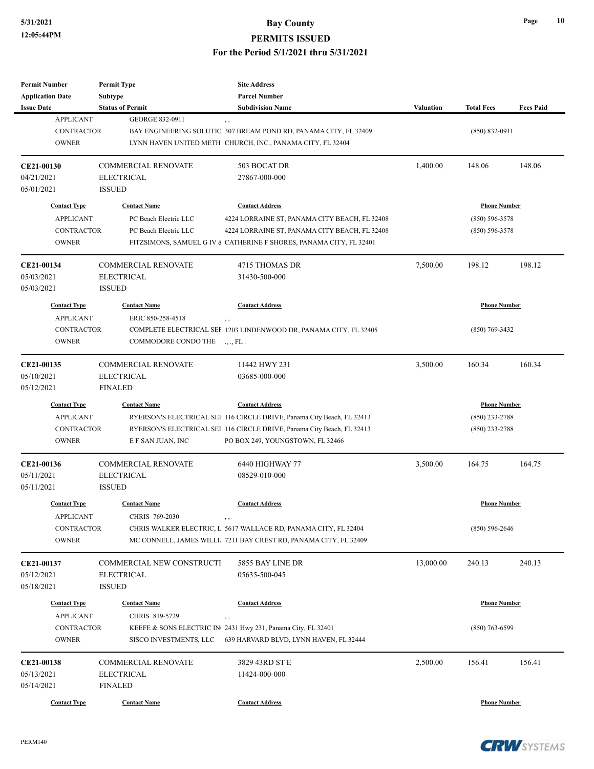| <b>Permit Number</b><br><b>Application Date</b> | <b>Permit Type</b><br><b>Subtype</b> | <b>Site Address</b><br><b>Parcel Number</b>                            |           |                     |                  |
|-------------------------------------------------|--------------------------------------|------------------------------------------------------------------------|-----------|---------------------|------------------|
| <b>Issue Date</b>                               | <b>Status of Permit</b>              | <b>Subdivision Name</b>                                                | Valuation | <b>Total Fees</b>   | <b>Fees Paid</b> |
| <b>APPLICANT</b>                                | <b>GEORGE 832-0911</b>               | $, \, , \,$                                                            |           |                     |                  |
| <b>CONTRACTOR</b>                               |                                      | BAY ENGINEERING SOLUTIO 307 BREAM POND RD, PANAMA CITY, FL 32409       |           | $(850) 832 - 0911$  |                  |
| <b>OWNER</b>                                    |                                      | LYNN HAVEN UNITED METH CHURCH, INC., PANAMA CITY, FL 32404             |           |                     |                  |
|                                                 |                                      |                                                                        |           |                     |                  |
| CE21-00130                                      | <b>COMMERCIAL RENOVATE</b>           | 503 BOCAT DR                                                           | 1,400.00  | 148.06              | 148.06           |
| 04/21/2021                                      | <b>ELECTRICAL</b>                    | 27867-000-000                                                          |           |                     |                  |
| 05/01/2021                                      | <b>ISSUED</b>                        |                                                                        |           |                     |                  |
| <b>Contact Type</b>                             | <b>Contact Name</b>                  | <b>Contact Address</b>                                                 |           | <b>Phone Number</b> |                  |
| <b>APPLICANT</b>                                | PC Beach Electric LLC                | 4224 LORRAINE ST, PANAMA CITY BEACH, FL 32408                          |           | $(850) 596 - 3578$  |                  |
| <b>CONTRACTOR</b>                               | PC Beach Electric LLC                | 4224 LORRAINE ST, PANAMA CITY BEACH, FL 32408                          |           | $(850) 596 - 3578$  |                  |
| <b>OWNER</b>                                    |                                      | FITZSIMONS, SAMUEL G IV & CATHERINE F SHORES, PANAMA CITY, FL 32401    |           |                     |                  |
| CE21-00134                                      | <b>COMMERCIAL RENOVATE</b>           | 4715 THOMAS DR                                                         | 7,500.00  | 198.12              | 198.12           |
| 05/03/2021                                      | <b>ELECTRICAL</b>                    | 31430-500-000                                                          |           |                     |                  |
| 05/03/2021                                      | <b>ISSUED</b>                        |                                                                        |           |                     |                  |
| <b>Contact Type</b>                             | <b>Contact Name</b>                  | <b>Contact Address</b>                                                 |           | <b>Phone Number</b> |                  |
| <b>APPLICANT</b>                                | ERIC 850-258-4518                    | $, \, , \,$                                                            |           |                     |                  |
| <b>CONTRACTOR</b>                               |                                      | COMPLETE ELECTRICAL SEF 1203 LINDENWOOD DR, PANAMA CITY, FL 32405      |           | $(850) 769 - 3432$  |                  |
| <b>OWNER</b>                                    | COMMODORE CONDO THE                  | $\ldots$ , FL.                                                         |           |                     |                  |
| CE21-00135                                      | <b>COMMERCIAL RENOVATE</b>           | 11442 HWY 231                                                          | 3,500.00  | 160.34              | 160.34           |
| 05/10/2021                                      | <b>ELECTRICAL</b>                    | 03685-000-000                                                          |           |                     |                  |
| 05/12/2021                                      | <b>FINALED</b>                       |                                                                        |           |                     |                  |
| <b>Contact Type</b>                             | <b>Contact Name</b>                  | <b>Contact Address</b>                                                 |           | <b>Phone Number</b> |                  |
| <b>APPLICANT</b>                                |                                      | RYERSON'S ELECTRICAL SEI 116 CIRCLE DRIVE, Panama City Beach, FL 32413 |           | $(850)$ 233-2788    |                  |
| <b>CONTRACTOR</b>                               |                                      | RYERSON'S ELECTRICAL SEI 116 CIRCLE DRIVE, Panama City Beach, FL 32413 |           | $(850)$ 233-2788    |                  |
| <b>OWNER</b>                                    | E F SAN JUAN, INC                    | PO BOX 249, YOUNGSTOWN, FL 32466                                       |           |                     |                  |
| CE21-00136                                      | <b>COMMERCIAL RENOVATE</b>           | 6440 HIGHWAY 77                                                        | 3,500.00  | 164.75              | 164.75           |
| 05/11/2021                                      | <b>ELECTRICAL</b>                    | 08529-010-000                                                          |           |                     |                  |
| 05/11/2021                                      | <b>ISSUED</b>                        |                                                                        |           |                     |                  |
| <b>Contact Type</b>                             | <b>Contact Name</b>                  | <b>Contact Address</b>                                                 |           | <b>Phone Number</b> |                  |
| <b>APPLICANT</b>                                | CHRIS 769-2030                       |                                                                        |           |                     |                  |
| CONTRACTOR                                      |                                      | CHRIS WALKER ELECTRIC, L 5617 WALLACE RD, PANAMA CITY, FL 32404        |           | $(850) 596 - 2646$  |                  |
| <b>OWNER</b>                                    |                                      | MC CONNELL, JAMES WILLL 7211 BAY CREST RD, PANAMA CITY, FL 32409       |           |                     |                  |
| CE21-00137                                      | COMMERCIAL NEW CONSTRUCTI            | 5855 BAY LINE DR                                                       | 13,000.00 | 240.13              | 240.13           |
| 05/12/2021                                      | ELECTRICAL                           | 05635-500-045                                                          |           |                     |                  |
| 05/18/2021                                      | <b>ISSUED</b>                        |                                                                        |           |                     |                  |
| <b>Contact Type</b>                             | <b>Contact Name</b>                  | <b>Contact Address</b>                                                 |           | <b>Phone Number</b> |                  |
| <b>APPLICANT</b>                                | CHRIS 819-5729                       | , ,                                                                    |           |                     |                  |
| <b>CONTRACTOR</b>                               |                                      | KEEFE & SONS ELECTRIC IN 2431 Hwy 231, Panama City, FL 32401           |           | $(850)$ 763-6599    |                  |
| <b>OWNER</b>                                    | SISCO INVESTMENTS, LLC               | 639 HARVARD BLVD, LYNN HAVEN, FL 32444                                 |           |                     |                  |
| CE21-00138                                      | COMMERCIAL RENOVATE                  | 3829 43RD ST E                                                         | 2,500.00  | 156.41              | 156.41           |
|                                                 |                                      |                                                                        |           |                     |                  |
|                                                 | <b>ELECTRICAL</b>                    | 11424-000-000                                                          |           |                     |                  |
| 05/13/2021<br>05/14/2021                        | <b>FINALED</b>                       |                                                                        |           |                     |                  |

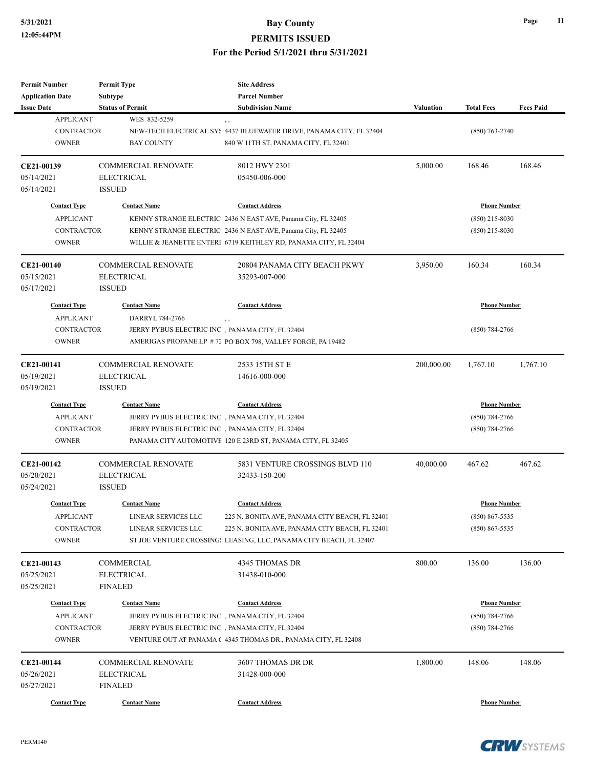| <b>Permit Number</b>    | <b>Permit Type</b>         | <b>Site Address</b>                                                 |                  |                     |                  |
|-------------------------|----------------------------|---------------------------------------------------------------------|------------------|---------------------|------------------|
| <b>Application Date</b> | <b>Subtype</b>             | <b>Parcel Number</b>                                                |                  |                     |                  |
| <b>Issue Date</b>       | <b>Status of Permit</b>    | <b>Subdivision Name</b>                                             | <b>Valuation</b> | <b>Total Fees</b>   | <b>Fees Paid</b> |
| <b>APPLICANT</b>        | WES 832-5259               | , ,                                                                 |                  |                     |                  |
| <b>CONTRACTOR</b>       |                            | NEW-TECH ELECTRICAL SYS 4437 BLUEWATER DRIVE, PANAMA CITY, FL 32404 |                  | $(850)$ 763-2740    |                  |
| <b>OWNER</b>            | <b>BAY COUNTY</b>          | 840 W 11TH ST, PANAMA CITY, FL 32401                                |                  |                     |                  |
|                         |                            |                                                                     |                  |                     |                  |
| CE21-00139              | <b>COMMERCIAL RENOVATE</b> | 8012 HWY 2301                                                       | 5,000.00         | 168.46              | 168.46           |
| 05/14/2021              | <b>ELECTRICAL</b>          | 05450-006-000                                                       |                  |                     |                  |
| 05/14/2021              | <b>ISSUED</b>              |                                                                     |                  |                     |                  |
| <b>Contact Type</b>     | <b>Contact Name</b>        | <b>Contact Address</b>                                              |                  | <b>Phone Number</b> |                  |
| <b>APPLICANT</b>        |                            | KENNY STRANGE ELECTRIC 2436 N EAST AVE, Panama City, FL 32405       |                  | $(850)$ 215-8030    |                  |
| <b>CONTRACTOR</b>       |                            | KENNY STRANGE ELECTRIC 2436 N EAST AVE, Panama City, FL 32405       |                  | $(850)$ 215-8030    |                  |
| <b>OWNER</b>            |                            | WILLIE & JEANETTE ENTERI 6719 KEITHLEY RD, PANAMA CITY, FL 32404    |                  |                     |                  |
|                         |                            |                                                                     |                  |                     |                  |
| CE21-00140              | <b>COMMERCIAL RENOVATE</b> | 20804 PANAMA CITY BEACH PKWY                                        | 3,950.00         | 160.34              | 160.34           |
| 05/15/2021              | <b>ELECTRICAL</b>          | 35293-007-000                                                       |                  |                     |                  |
| 05/17/2021              | <b>ISSUED</b>              |                                                                     |                  |                     |                  |
| <b>Contact Type</b>     | <b>Contact Name</b>        | <b>Contact Address</b>                                              |                  | <b>Phone Number</b> |                  |
|                         |                            |                                                                     |                  |                     |                  |
| <b>APPLICANT</b>        | DARRYL 784-2766            | , ,                                                                 |                  |                     |                  |
| CONTRACTOR              |                            | JERRY PYBUS ELECTRIC INC, PANAMA CITY, FL 32404                     |                  | $(850)$ 784-2766    |                  |
| <b>OWNER</b>            |                            | AMERIGAS PROPANE LP #72 PO BOX 798, VALLEY FORGE, PA 19482          |                  |                     |                  |
| CE21-00141              | COMMERCIAL RENOVATE        | 2533 15TH ST E                                                      | 200,000.00       | 1,767.10            | 1,767.10         |
| 05/19/2021              | <b>ELECTRICAL</b>          | 14616-000-000                                                       |                  |                     |                  |
| 05/19/2021              | <b>ISSUED</b>              |                                                                     |                  |                     |                  |
| <b>Contact Type</b>     | <b>Contact Name</b>        | <b>Contact Address</b>                                              |                  | <b>Phone Number</b> |                  |
| <b>APPLICANT</b>        |                            | JERRY PYBUS ELECTRIC INC, PANAMA CITY, FL 32404                     |                  | $(850) 784 - 2766$  |                  |
| <b>CONTRACTOR</b>       |                            | JERRY PYBUS ELECTRIC INC, PANAMA CITY, FL 32404                     |                  | $(850) 784 - 2766$  |                  |
| <b>OWNER</b>            |                            | PANAMA CITY AUTOMOTIVE 120 E 23RD ST, PANAMA CITY, FL 32405         |                  |                     |                  |
|                         |                            |                                                                     |                  |                     |                  |
| CE21-00142              | <b>COMMERCIAL RENOVATE</b> | 5831 VENTURE CROSSINGS BLVD 110                                     | 40,000.00        | 467.62              | 467.62           |
| 05/20/2021              | <b>ELECTRICAL</b>          | 32433-150-200                                                       |                  |                     |                  |
| 05/24/2021              | <b>ISSUED</b>              |                                                                     |                  |                     |                  |
|                         |                            |                                                                     |                  |                     |                  |
| <b>Contact Type</b>     | <b>Contact Name</b>        | <b>Contact Address</b>                                              |                  | <b>Phone Number</b> |                  |
| <b>APPLICANT</b>        | LINEAR SERVICES LLC        | 225 N. BONITA AVE, PANAMA CITY BEACH, FL 32401                      |                  | $(850) 867 - 5535$  |                  |
| CONTRACTOR              | LINEAR SERVICES LLC        | 225 N. BONITA AVE, PANAMA CITY BEACH, FL 32401                      |                  | $(850) 867 - 5535$  |                  |
| <b>OWNER</b>            |                            | ST JOE VENTURE CROSSING: LEASING, LLC, PANAMA CITY BEACH, FL 32407  |                  |                     |                  |
| CE21-00143              | COMMERCIAL                 | 4345 THOMAS DR                                                      | 800.00           | 136.00              | 136.00           |
| 05/25/2021              | <b>ELECTRICAL</b>          | 31438-010-000                                                       |                  |                     |                  |
| 05/25/2021              | <b>FINALED</b>             |                                                                     |                  |                     |                  |
|                         |                            |                                                                     |                  |                     |                  |
| <b>Contact Type</b>     | <b>Contact Name</b>        | <b>Contact Address</b>                                              |                  | <b>Phone Number</b> |                  |
| <b>APPLICANT</b>        |                            | JERRY PYBUS ELECTRIC INC, PANAMA CITY, FL 32404                     |                  | $(850) 784 - 2766$  |                  |
| <b>CONTRACTOR</b>       |                            | JERRY PYBUS ELECTRIC INC , PANAMA CITY, FL 32404                    |                  | $(850) 784 - 2766$  |                  |
| <b>OWNER</b>            |                            | VENTURE OUT AT PANAMA C 4345 THOMAS DR., PANAMA CITY, FL 32408      |                  |                     |                  |
|                         |                            |                                                                     |                  |                     |                  |
| CE21-00144              | COMMERCIAL RENOVATE        | 3607 THOMAS DR DR                                                   | 1,800.00         | 148.06              | 148.06           |
| 05/26/2021              | <b>ELECTRICAL</b>          | 31428-000-000                                                       |                  |                     |                  |
| 05/27/2021              | <b>FINALED</b>             |                                                                     |                  |                     |                  |
| <b>Contact Type</b>     | <b>Contact Name</b>        | <b>Contact Address</b>                                              |                  | <b>Phone Number</b> |                  |



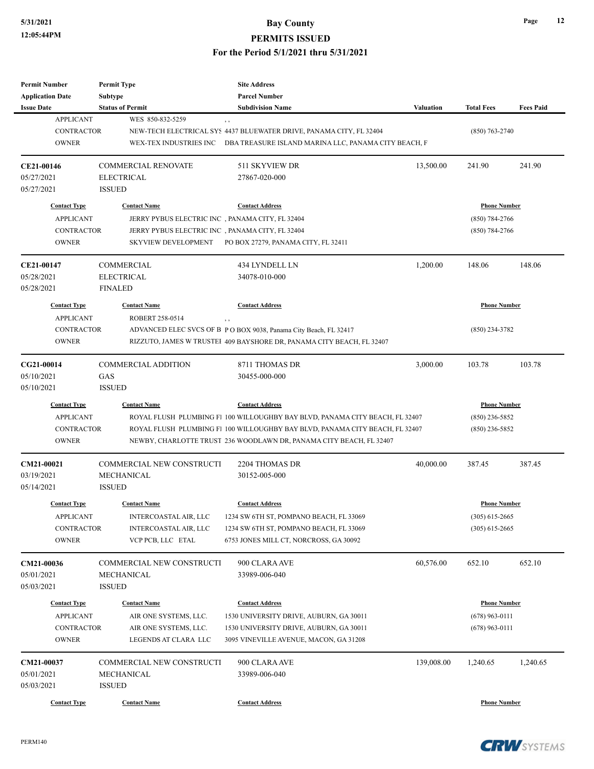| <b>Permit Number</b>    | <b>Permit Type</b>         | <b>Site Address</b>                                                          |                  |                     |                  |
|-------------------------|----------------------------|------------------------------------------------------------------------------|------------------|---------------------|------------------|
| <b>Application Date</b> | <b>Subtype</b>             | <b>Parcel Number</b>                                                         |                  |                     |                  |
| <b>Issue Date</b>       | <b>Status of Permit</b>    | <b>Subdivision Name</b>                                                      | <b>Valuation</b> | <b>Total Fees</b>   | <b>Fees Paid</b> |
| <b>APPLICANT</b>        | WES 850-832-5259           | , ,                                                                          |                  |                     |                  |
| <b>CONTRACTOR</b>       |                            | NEW-TECH ELECTRICAL SYS 4437 BLUEWATER DRIVE, PANAMA CITY, FL 32404          |                  | $(850)$ 763-2740    |                  |
| <b>OWNER</b>            | WEX-TEX INDUSTRIES INC     | DBA TREASURE ISLAND MARINA LLC, PANAMA CITY BEACH, F                         |                  |                     |                  |
|                         |                            |                                                                              |                  |                     |                  |
| CE21-00146              | <b>COMMERCIAL RENOVATE</b> | 511 SKYVIEW DR                                                               | 13,500.00        | 241.90              | 241.90           |
| 05/27/2021              | <b>ELECTRICAL</b>          | 27867-020-000                                                                |                  |                     |                  |
| 05/27/2021              | <b>ISSUED</b>              |                                                                              |                  |                     |                  |
|                         |                            |                                                                              |                  |                     |                  |
| <b>Contact Type</b>     | <b>Contact Name</b>        | <b>Contact Address</b>                                                       |                  | <b>Phone Number</b> |                  |
| <b>APPLICANT</b>        |                            | JERRY PYBUS ELECTRIC INC, PANAMA CITY, FL 32404                              |                  | $(850)$ 784-2766    |                  |
| <b>CONTRACTOR</b>       |                            | JERRY PYBUS ELECTRIC INC, PANAMA CITY, FL 32404                              |                  | (850) 784-2766      |                  |
| <b>OWNER</b>            | <b>SKYVIEW DEVELOPMENT</b> | PO BOX 27279, PANAMA CITY, FL 32411                                          |                  |                     |                  |
| CE21-00147              | COMMERCIAL                 | 434 LYNDELL LN                                                               | 1,200.00         | 148.06              | 148.06           |
| 05/28/2021              | <b>ELECTRICAL</b>          | 34078-010-000                                                                |                  |                     |                  |
| 05/28/2021              | <b>FINALED</b>             |                                                                              |                  |                     |                  |
| <b>Contact Type</b>     | <b>Contact Name</b>        | <b>Contact Address</b>                                                       |                  | <b>Phone Number</b> |                  |
|                         |                            |                                                                              |                  |                     |                  |
| <b>APPLICANT</b>        | ROBERT 258-0514            | $, \, ,$                                                                     |                  |                     |                  |
| <b>CONTRACTOR</b>       |                            | ADVANCED ELEC SVCS OF B PO BOX 9038, Panama City Beach, FL 32417             |                  | $(850)$ 234-3782    |                  |
| <b>OWNER</b>            |                            | RIZZUTO, JAMES W TRUSTEI 409 BAYSHORE DR, PANAMA CITY BEACH, FL 32407        |                  |                     |                  |
| CG21-00014              | <b>COMMERCIAL ADDITION</b> | 8711 THOMAS DR                                                               | 3,000.00         | 103.78              | 103.78           |
| 05/10/2021              | GAS                        | 30455-000-000                                                                |                  |                     |                  |
| 05/10/2021              | <b>ISSUED</b>              |                                                                              |                  |                     |                  |
| <b>Contact Type</b>     | <b>Contact Name</b>        | <b>Contact Address</b>                                                       |                  | <b>Phone Number</b> |                  |
| <b>APPLICANT</b>        |                            | ROYAL FLUSH PLUMBING F1 100 WILLOUGHBY BAY BLVD, PANAMA CITY BEACH, FL 32407 |                  | $(850)$ 236-5852    |                  |
| <b>CONTRACTOR</b>       |                            | ROYAL FLUSH PLUMBING F1 100 WILLOUGHBY BAY BLVD, PANAMA CITY BEACH, FL 32407 |                  | (850) 236-5852      |                  |
| <b>OWNER</b>            |                            | NEWBY, CHARLOTTE TRUST 236 WOODLAWN DR, PANAMA CITY BEACH, FL 32407          |                  |                     |                  |
| <b>CM21-00021</b>       | COMMERCIAL NEW CONSTRUCTI  | 2204 THOMAS DR                                                               | 40,000.00        | 387.45              | 387.45           |
| 03/19/2021              | MECHANICAL                 | 30152-005-000                                                                |                  |                     |                  |
| 05/14/2021              | <b>ISSUED</b>              |                                                                              |                  |                     |                  |
|                         |                            |                                                                              |                  |                     |                  |
| <b>Contact Type</b>     | <b>Contact Name</b>        | <b>Contact Address</b>                                                       |                  | <b>Phone Number</b> |                  |
| <b>APPLICANT</b>        | INTERCOASTAL AIR, LLC      | 1234 SW 6TH ST, POMPANO BEACH, FL 33069                                      |                  | $(305)$ 615-2665    |                  |
| CONTRACTOR              | INTERCOASTAL AIR, LLC      | 1234 SW 6TH ST, POMPANO BEACH, FL 33069                                      |                  | $(305)$ 615-2665    |                  |
| <b>OWNER</b>            | VCP PCB, LLC ETAL          | 6753 JONES MILL CT, NORCROSS, GA 30092                                       |                  |                     |                  |
| CM21-00036              | COMMERCIAL NEW CONSTRUCTI  | 900 CLARA AVE                                                                | 60,576.00        | 652.10              | 652.10           |
| 05/01/2021              | MECHANICAL                 | 33989-006-040                                                                |                  |                     |                  |
| 05/03/2021              | <b>ISSUED</b>              |                                                                              |                  |                     |                  |
|                         |                            |                                                                              |                  |                     |                  |
| <b>Contact Type</b>     | <b>Contact Name</b>        | <b>Contact Address</b>                                                       |                  | <b>Phone Number</b> |                  |
| <b>APPLICANT</b>        | AIR ONE SYSTEMS, LLC.      | 1530 UNIVERSITY DRIVE, AUBURN, GA 30011                                      |                  | $(678)$ 963-0111    |                  |
| <b>CONTRACTOR</b>       | AIR ONE SYSTEMS, LLC.      | 1530 UNIVERSITY DRIVE, AUBURN, GA 30011                                      |                  | $(678)$ 963-0111    |                  |
| <b>OWNER</b>            | LEGENDS AT CLARA LLC       | 3095 VINEVILLE AVENUE, MACON, GA 31208                                       |                  |                     |                  |
| CM21-00037              | COMMERCIAL NEW CONSTRUCTI  | 900 CLARA AVE                                                                | 139,008.00       | 1,240.65            | 1,240.65         |
| 05/01/2021              | MECHANICAL                 | 33989-006-040                                                                |                  |                     |                  |
| 05/03/2021              | <b>ISSUED</b>              |                                                                              |                  |                     |                  |
|                         |                            |                                                                              |                  |                     |                  |
| <b>Contact Type</b>     | <b>Contact Name</b>        | <b>Contact Address</b>                                                       |                  | <b>Phone Number</b> |                  |

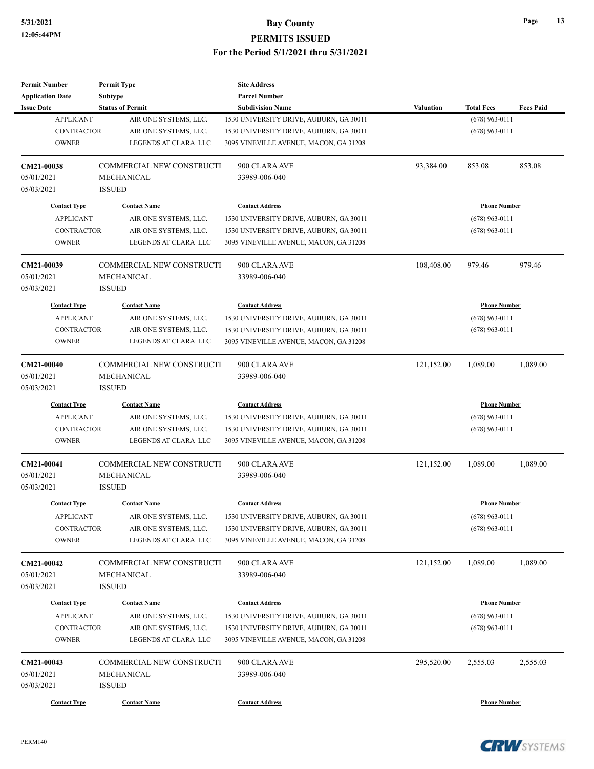| <b>Permit Number</b><br><b>Application Date</b> | <b>Permit Type</b><br>Subtype    | <b>Site Address</b><br><b>Parcel Number</b> |                  |                     |                  |
|-------------------------------------------------|----------------------------------|---------------------------------------------|------------------|---------------------|------------------|
| <b>Issue Date</b>                               | <b>Status of Permit</b>          | <b>Subdivision Name</b>                     | <b>Valuation</b> | <b>Total Fees</b>   | <b>Fees Paid</b> |
| <b>APPLICANT</b>                                | AIR ONE SYSTEMS, LLC.            | 1530 UNIVERSITY DRIVE, AUBURN, GA 30011     |                  | $(678)$ 963-0111    |                  |
| <b>CONTRACTOR</b>                               | AIR ONE SYSTEMS, LLC.            | 1530 UNIVERSITY DRIVE, AUBURN, GA 30011     |                  | $(678)$ 963-0111    |                  |
| <b>OWNER</b>                                    | LEGENDS AT CLARA LLC             | 3095 VINEVILLE AVENUE, MACON, GA 31208      |                  |                     |                  |
| CM21-00038                                      | COMMERCIAL NEW CONSTRUCTI        | 900 CLARA AVE                               | 93,384.00        | 853.08              | 853.08           |
| 05/01/2021                                      | MECHANICAL                       | 33989-006-040                               |                  |                     |                  |
| 05/03/2021                                      | <b>ISSUED</b>                    |                                             |                  |                     |                  |
| <b>Contact Type</b>                             | <b>Contact Name</b>              | <b>Contact Address</b>                      |                  | <b>Phone Number</b> |                  |
| <b>APPLICANT</b>                                | AIR ONE SYSTEMS, LLC.            | 1530 UNIVERSITY DRIVE, AUBURN, GA 30011     |                  | $(678)$ 963-0111    |                  |
| <b>CONTRACTOR</b>                               | AIR ONE SYSTEMS, LLC.            | 1530 UNIVERSITY DRIVE, AUBURN, GA 30011     |                  | $(678)$ 963-0111    |                  |
| <b>OWNER</b>                                    | LEGENDS AT CLARA LLC             | 3095 VINEVILLE AVENUE, MACON, GA 31208      |                  |                     |                  |
| CM21-00039                                      | COMMERCIAL NEW CONSTRUCTI        | 900 CLARA AVE                               | 108,408.00       | 979.46              | 979.46           |
| 05/01/2021                                      | MECHANICAL                       | 33989-006-040                               |                  |                     |                  |
| 05/03/2021                                      | <b>ISSUED</b>                    |                                             |                  |                     |                  |
| <b>Contact Type</b>                             | <b>Contact Name</b>              | <b>Contact Address</b>                      |                  | <b>Phone Number</b> |                  |
| <b>APPLICANT</b>                                | AIR ONE SYSTEMS, LLC.            | 1530 UNIVERSITY DRIVE, AUBURN, GA 30011     |                  | $(678)$ 963-0111    |                  |
| <b>CONTRACTOR</b>                               | AIR ONE SYSTEMS, LLC.            | 1530 UNIVERSITY DRIVE, AUBURN, GA 30011     |                  | $(678)$ 963-0111    |                  |
| <b>OWNER</b>                                    | LEGENDS AT CLARA LLC             | 3095 VINEVILLE AVENUE, MACON, GA 31208      |                  |                     |                  |
| CM21-00040                                      | COMMERCIAL NEW CONSTRUCTI        | 900 CLARA AVE                               | 121,152.00       | 1,089.00            | 1,089.00         |
| 05/01/2021                                      | MECHANICAL                       | 33989-006-040                               |                  |                     |                  |
| 05/03/2021                                      | <b>ISSUED</b>                    |                                             |                  |                     |                  |
| <b>Contact Type</b>                             | <b>Contact Name</b>              | <b>Contact Address</b>                      |                  | <b>Phone Number</b> |                  |
| <b>APPLICANT</b>                                | AIR ONE SYSTEMS, LLC.            | 1530 UNIVERSITY DRIVE, AUBURN, GA 30011     |                  | $(678)$ 963-0111    |                  |
| <b>CONTRACTOR</b>                               | AIR ONE SYSTEMS, LLC.            | 1530 UNIVERSITY DRIVE, AUBURN, GA 30011     |                  | $(678)$ 963-0111    |                  |
| <b>OWNER</b>                                    | LEGENDS AT CLARA LLC             | 3095 VINEVILLE AVENUE, MACON, GA 31208      |                  |                     |                  |
| CM21-00041                                      | <b>COMMERCIAL NEW CONSTRUCTI</b> | 900 CLARA AVE                               | 121,152.00       | 1.089.00            | 1,089.00         |
| 05/01/2021                                      | MECHANICAL                       | 33989-006-040                               |                  |                     |                  |
| 05/03/2021                                      | <b>ISSUED</b>                    |                                             |                  |                     |                  |
| <b>Contact Type</b>                             | <b>Contact Name</b>              | <b>Contact Address</b>                      |                  | <b>Phone Number</b> |                  |
| <b>APPLICANT</b>                                | AIR ONE SYSTEMS, LLC.            | 1530 UNIVERSITY DRIVE, AUBURN, GA 30011     |                  | $(678)$ 963-0111    |                  |
| <b>CONTRACTOR</b>                               | AIR ONE SYSTEMS, LLC.            | 1530 UNIVERSITY DRIVE, AUBURN, GA 30011     |                  | $(678)$ 963-0111    |                  |
| <b>OWNER</b>                                    | LEGENDS AT CLARA LLC             | 3095 VINEVILLE AVENUE, MACON, GA 31208      |                  |                     |                  |
| <b>CM21-00042</b>                               | COMMERCIAL NEW CONSTRUCTI        | 900 CLARA AVE                               | 121,152.00       | 1,089.00            | 1,089.00         |
| 05/01/2021                                      | <b>MECHANICAL</b>                | 33989-006-040                               |                  |                     |                  |
| 05/03/2021                                      | <b>ISSUED</b>                    |                                             |                  |                     |                  |
| <b>Contact Type</b>                             | <b>Contact Name</b>              | <b>Contact Address</b>                      |                  | <b>Phone Number</b> |                  |
| <b>APPLICANT</b>                                | AIR ONE SYSTEMS, LLC.            | 1530 UNIVERSITY DRIVE, AUBURN, GA 30011     |                  | $(678)$ 963-0111    |                  |
| CONTRACTOR                                      | AIR ONE SYSTEMS, LLC.            | 1530 UNIVERSITY DRIVE, AUBURN, GA 30011     |                  | $(678)$ 963-0111    |                  |
| <b>OWNER</b>                                    | LEGENDS AT CLARA LLC             | 3095 VINEVILLE AVENUE, MACON, GA 31208      |                  |                     |                  |
| CM21-00043                                      | COMMERCIAL NEW CONSTRUCTI        | 900 CLARA AVE                               | 295,520.00       | 2,555.03            | 2,555.03         |
| 05/01/2021                                      | MECHANICAL                       | 33989-006-040                               |                  |                     |                  |
| 05/03/2021                                      | <b>ISSUED</b>                    |                                             |                  |                     |                  |
| <b>Contact Type</b>                             | <b>Contact Name</b>              | <b>Contact Address</b>                      |                  | <b>Phone Number</b> |                  |

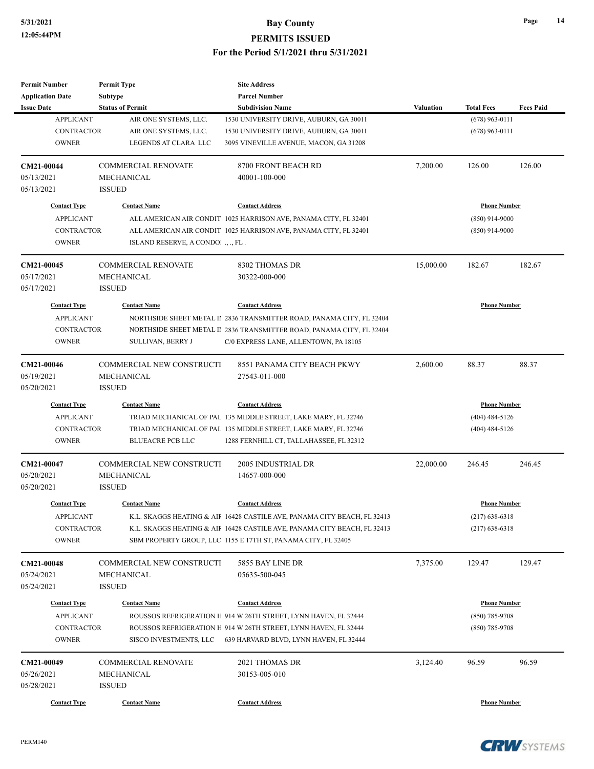| <b>Permit Number</b>       | <b>Permit Type</b>               | <b>Site Address</b>                                                                                                              |                  |                     |                  |
|----------------------------|----------------------------------|----------------------------------------------------------------------------------------------------------------------------------|------------------|---------------------|------------------|
| <b>Application Date</b>    | Subtype                          | <b>Parcel Number</b>                                                                                                             |                  |                     |                  |
| <b>Issue Date</b>          | <b>Status of Permit</b>          | <b>Subdivision Name</b>                                                                                                          | <b>Valuation</b> | <b>Total Fees</b>   | <b>Fees Paid</b> |
| <b>APPLICANT</b>           | AIR ONE SYSTEMS, LLC.            | 1530 UNIVERSITY DRIVE, AUBURN, GA 30011                                                                                          |                  | $(678)$ 963-0111    |                  |
| <b>CONTRACTOR</b>          | AIR ONE SYSTEMS, LLC.            | 1530 UNIVERSITY DRIVE, AUBURN, GA 30011                                                                                          |                  | $(678)$ 963-0111    |                  |
| <b>OWNER</b>               | LEGENDS AT CLARA LLC             | 3095 VINEVILLE AVENUE, MACON, GA 31208                                                                                           |                  |                     |                  |
| CM21-00044                 | <b>COMMERCIAL RENOVATE</b>       | 8700 FRONT BEACH RD                                                                                                              | 7,200.00         | 126.00              | 126.00           |
| 05/13/2021                 | MECHANICAL                       | 40001-100-000                                                                                                                    |                  |                     |                  |
| 05/13/2021                 | <b>ISSUED</b>                    |                                                                                                                                  |                  |                     |                  |
| <b>Contact Type</b>        | <b>Contact Name</b>              | <b>Contact Address</b>                                                                                                           |                  | <b>Phone Number</b> |                  |
| <b>APPLICANT</b>           |                                  | ALL AMERICAN AIR CONDIT 1025 HARRISON AVE, PANAMA CITY, FL 32401                                                                 |                  | $(850)$ 914-9000    |                  |
| <b>CONTRACTOR</b>          |                                  | ALL AMERICAN AIR CONDIT 1025 HARRISON AVE, PANAMA CITY, FL 32401                                                                 |                  | $(850)$ 914-9000    |                  |
| <b>OWNER</b>               | ISLAND RESERVE, A CONDO!, ., FL. |                                                                                                                                  |                  |                     |                  |
| CM21-00045                 | <b>COMMERCIAL RENOVATE</b>       | 8302 THOMAS DR                                                                                                                   | 15,000.00        | 182.67              | 182.67           |
| 05/17/2021                 | MECHANICAL                       | 30322-000-000                                                                                                                    |                  |                     |                  |
| 05/17/2021                 | <b>ISSUED</b>                    |                                                                                                                                  |                  |                     |                  |
| <b>Contact Type</b>        | <b>Contact Name</b>              | <b>Contact Address</b>                                                                                                           |                  | <b>Phone Number</b> |                  |
| <b>APPLICANT</b>           |                                  | NORTHSIDE SHEET METAL II 2836 TRANSMITTER ROAD, PANAMA CITY, FL 32404                                                            |                  |                     |                  |
| <b>CONTRACTOR</b>          |                                  | NORTHSIDE SHEET METAL II 2836 TRANSMITTER ROAD, PANAMA CITY, FL 32404                                                            |                  |                     |                  |
| <b>OWNER</b>               | SULLIVAN, BERRY J                | C/0 EXPRESS LANE, ALLENTOWN, PA 18105                                                                                            |                  |                     |                  |
|                            |                                  |                                                                                                                                  |                  |                     |                  |
| CM21-00046                 | <b>COMMERCIAL NEW CONSTRUCTI</b> | 8551 PANAMA CITY BEACH PKWY                                                                                                      | 2,600.00         | 88.37               | 88.37            |
| 05/19/2021                 | <b>MECHANICAL</b>                | 27543-011-000                                                                                                                    |                  |                     |                  |
| 05/20/2021                 | <b>ISSUED</b>                    |                                                                                                                                  |                  |                     |                  |
| <b>Contact Type</b>        | <b>Contact Name</b>              | <b>Contact Address</b>                                                                                                           |                  | <b>Phone Number</b> |                  |
| <b>APPLICANT</b>           |                                  | TRIAD MECHANICAL OF PAL 135 MIDDLE STREET, LAKE MARY, FL 32746                                                                   |                  | $(404)$ 484-5126    |                  |
| <b>CONTRACTOR</b>          |                                  | TRIAD MECHANICAL OF PAL 135 MIDDLE STREET, LAKE MARY, FL 32746                                                                   |                  | $(404)$ 484-5126    |                  |
| <b>OWNER</b>               | <b>BLUEACRE PCB LLC</b>          | 1288 FERNHILL CT, TALLAHASSEE, FL 32312                                                                                          |                  |                     |                  |
| CM21-00047                 | COMMERCIAL NEW CONSTRUCTI        | 2005 INDUSTRIAL DR                                                                                                               | 22,000.00        | 246.45              | 246.45           |
| 05/20/2021                 | MECHANICAL                       | 14657-000-000                                                                                                                    |                  |                     |                  |
| 05/20/2021                 | <b>ISSUED</b>                    |                                                                                                                                  |                  |                     |                  |
| <b>Contact Type</b>        | <b>Contact Name</b>              | <b>Contact Address</b>                                                                                                           |                  | <b>Phone Number</b> |                  |
| <b>APPLICANT</b>           |                                  | K.L. SKAGGS HEATING & AIF 16428 CASTILE AVE, PANAMA CITY BEACH, FL 32413                                                         |                  | $(217)$ 638-6318    |                  |
| CONTRACTOR                 |                                  | K.L. SKAGGS HEATING & AIF 16428 CASTILE AVE, PANAMA CITY BEACH, FL 32413                                                         |                  | $(217)$ 638-6318    |                  |
| <b>OWNER</b>               |                                  | SBM PROPERTY GROUP, LLC 1155 E 17TH ST, PANAMA CITY, FL 32405                                                                    |                  |                     |                  |
| CM21-00048                 | COMMERCIAL NEW CONSTRUCTI        | 5855 BAY LINE DR                                                                                                                 | 7,375.00         | 129.47              | 129.47           |
| 05/24/2021                 | MECHANICAL                       | 05635-500-045                                                                                                                    |                  |                     |                  |
| 05/24/2021                 | <b>ISSUED</b>                    |                                                                                                                                  |                  |                     |                  |
|                            |                                  | <b>Contact Address</b>                                                                                                           |                  |                     |                  |
| <b>Contact Type</b>        | <b>Contact Name</b>              |                                                                                                                                  |                  | <b>Phone Number</b> |                  |
| <b>APPLICANT</b>           |                                  | ROUSSOS REFRIGERATION H 914 W 26TH STREET, LYNN HAVEN, FL 32444                                                                  |                  | $(850)$ 785-9708    |                  |
| CONTRACTOR<br><b>OWNER</b> |                                  | ROUSSOS REFRIGERATION H 914 W 26TH STREET, LYNN HAVEN, FL 32444<br>SISCO INVESTMENTS, LLC 639 HARVARD BLVD, LYNN HAVEN, FL 32444 |                  | $(850)$ 785-9708    |                  |
|                            |                                  |                                                                                                                                  |                  |                     |                  |
| CM21-00049                 | <b>COMMERCIAL RENOVATE</b>       | 2021 THOMAS DR                                                                                                                   | 3,124.40         | 96.59               | 96.59            |
| 05/26/2021                 | MECHANICAL                       | 30153-005-010                                                                                                                    |                  |                     |                  |
| 05/28/2021                 | <b>ISSUED</b>                    |                                                                                                                                  |                  |                     |                  |
| <b>Contact Type</b>        | <b>Contact Name</b>              | <b>Contact Address</b>                                                                                                           |                  | <b>Phone Number</b> |                  |



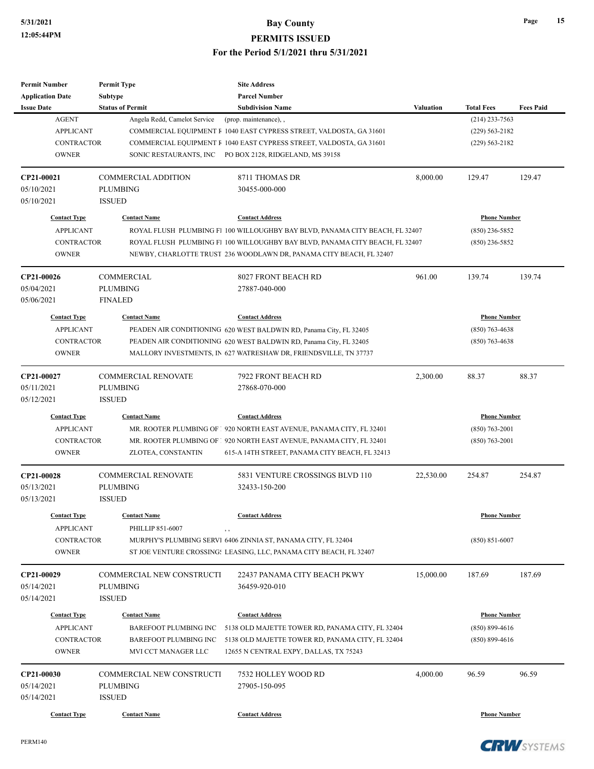| <b>Permit Number</b>              | <b>Permit Type</b>                      | <b>Site Address</b>                                                                                                                 |                  |                     |                  |
|-----------------------------------|-----------------------------------------|-------------------------------------------------------------------------------------------------------------------------------------|------------------|---------------------|------------------|
| <b>Application Date</b>           | Subtype                                 | <b>Parcel Number</b>                                                                                                                |                  |                     |                  |
| <b>Issue Date</b>                 | <b>Status of Permit</b>                 | <b>Subdivision Name</b>                                                                                                             | <b>Valuation</b> | <b>Total Fees</b>   | <b>Fees Paid</b> |
| <b>AGENT</b>                      | Angela Redd, Camelot Service            | (prop. maintenance), ,                                                                                                              |                  | $(214)$ 233-7563    |                  |
| <b>APPLICANT</b>                  |                                         | COMMERCIAL EQUIPMENT F 1040 EAST CYPRESS STREET, VALDOSTA, GA 31601                                                                 |                  | $(229)$ 563-2182    |                  |
| <b>CONTRACTOR</b>                 |                                         | COMMERCIAL EQUIPMENT F 1040 EAST CYPRESS STREET, VALDOSTA, GA 31601                                                                 |                  | $(229) 563 - 2182$  |                  |
| <b>OWNER</b>                      | SONIC RESTAURANTS, INC                  | PO BOX 2128, RIDGELAND, MS 39158                                                                                                    |                  |                     |                  |
| CP21-00021                        | <b>COMMERCIAL ADDITION</b>              | 8711 THOMAS DR                                                                                                                      | 8,000.00         | 129.47              | 129.47           |
| 05/10/2021                        | <b>PLUMBING</b>                         | 30455-000-000                                                                                                                       |                  |                     |                  |
| 05/10/2021                        | <b>ISSUED</b>                           |                                                                                                                                     |                  |                     |                  |
| <b>Contact Type</b>               | <b>Contact Name</b>                     | <b>Contact Address</b>                                                                                                              |                  | <b>Phone Number</b> |                  |
| <b>APPLICANT</b>                  |                                         | ROYAL FLUSH PLUMBING F1 100 WILLOUGHBY BAY BLVD, PANAMA CITY BEACH, FL 32407                                                        |                  | $(850)$ 236-5852    |                  |
| <b>CONTRACTOR</b>                 |                                         | ROYAL FLUSH PLUMBING F1 100 WILLOUGHBY BAY BLVD, PANAMA CITY BEACH, FL 32407                                                        |                  | $(850)$ 236-5852    |                  |
| <b>OWNER</b>                      |                                         | NEWBY, CHARLOTTE TRUST 236 WOODLAWN DR, PANAMA CITY BEACH, FL 32407                                                                 |                  |                     |                  |
|                                   |                                         |                                                                                                                                     |                  |                     |                  |
| CP21-00026                        | COMMERCIAL                              | <b>8027 FRONT BEACH RD</b>                                                                                                          | 961.00           | 139.74              | 139.74           |
| 05/04/2021                        | <b>PLUMBING</b>                         | 27887-040-000                                                                                                                       |                  |                     |                  |
| 05/06/2021                        | <b>FINALED</b>                          |                                                                                                                                     |                  |                     |                  |
| <b>Contact Type</b>               | <b>Contact Name</b>                     | <b>Contact Address</b>                                                                                                              |                  | <b>Phone Number</b> |                  |
| <b>APPLICANT</b>                  |                                         | PEADEN AIR CONDITIONING 620 WEST BALDWIN RD, Panama City, FL 32405                                                                  |                  | $(850)$ 763-4638    |                  |
| <b>CONTRACTOR</b>                 |                                         | PEADEN AIR CONDITIONING 620 WEST BALDWIN RD, Panama City, FL 32405                                                                  |                  | $(850)$ 763-4638    |                  |
| <b>OWNER</b>                      |                                         | MALLORY INVESTMENTS, IN 627 WATRESHAW DR, FRIENDSVILLE, TN 37737                                                                    |                  |                     |                  |
| CP21-00027                        | <b>COMMERCIAL RENOVATE</b>              | 7922 FRONT BEACH RD                                                                                                                 | 2,300.00         | 88.37               | 88.37            |
| 05/11/2021                        | <b>PLUMBING</b>                         | 27868-070-000                                                                                                                       |                  |                     |                  |
| 05/12/2021                        | <b>ISSUED</b>                           |                                                                                                                                     |                  |                     |                  |
| <b>Contact Type</b>               | <b>Contact Name</b>                     | <b>Contact Address</b>                                                                                                              |                  | <b>Phone Number</b> |                  |
| <b>APPLICANT</b>                  |                                         | MR. ROOTER PLUMBING OF 1 920 NORTH EAST AVENUE, PANAMA CITY, FL 32401                                                               |                  | $(850)$ 763-2001    |                  |
| <b>CONTRACTOR</b>                 |                                         | MR. ROOTER PLUMBING OF 1 920 NORTH EAST AVENUE, PANAMA CITY, FL 32401                                                               |                  | $(850)$ 763-2001    |                  |
| <b>OWNER</b>                      | ZLOTEA, CONSTANTIN                      | 615-A 14TH STREET, PANAMA CITY BEACH, FL 32413                                                                                      |                  |                     |                  |
| CP21-00028                        | <b>COMMERCIAL RENOVATE</b>              | 5831 VENTURE CROSSINGS BLVD 110                                                                                                     | 22,530.00        | 254.87              | 254.87           |
| 05/13/2021                        | <b>PLUMBING</b>                         | 32433-150-200                                                                                                                       |                  |                     |                  |
| 05/13/2021                        | <b>ISSUED</b>                           |                                                                                                                                     |                  |                     |                  |
| <b>Contact Type</b>               |                                         | <b>Contact Address</b>                                                                                                              |                  | <b>Phone Number</b> |                  |
| <b>APPLICANT</b>                  | <b>Contact Name</b><br>PHILLIP 851-6007 |                                                                                                                                     |                  |                     |                  |
|                                   |                                         | $, \, ,$                                                                                                                            |                  | $(850) 851 - 6007$  |                  |
| <b>CONTRACTOR</b><br><b>OWNER</b> |                                         | MURPHY'S PLUMBING SERVI 6406 ZINNIA ST, PANAMA CITY, FL 32404<br>ST JOE VENTURE CROSSING: LEASING, LLC, PANAMA CITY BEACH, FL 32407 |                  |                     |                  |
|                                   |                                         |                                                                                                                                     |                  |                     |                  |
| CP21-00029                        | COMMERCIAL NEW CONSTRUCTI               | 22437 PANAMA CITY BEACH PKWY                                                                                                        | 15,000.00        | 187.69              | 187.69           |
| 05/14/2021                        | <b>PLUMBING</b>                         | 36459-920-010                                                                                                                       |                  |                     |                  |
| 05/14/2021                        | <b>ISSUED</b>                           |                                                                                                                                     |                  |                     |                  |
| <b>Contact Type</b>               | <b>Contact Name</b>                     | <b>Contact Address</b>                                                                                                              |                  | <b>Phone Number</b> |                  |
| <b>APPLICANT</b>                  | BAREFOOT PLUMBING INC                   | 5138 OLD MAJETTE TOWER RD, PANAMA CITY, FL 32404                                                                                    |                  | $(850) 899 - 4616$  |                  |
| <b>CONTRACTOR</b>                 | BAREFOOT PLUMBING INC                   | 5138 OLD MAJETTE TOWER RD, PANAMA CITY, FL 32404                                                                                    |                  | $(850) 899 - 4616$  |                  |
| <b>OWNER</b>                      | MVI CCT MANAGER LLC                     | 12655 N CENTRAL EXPY, DALLAS, TX 75243                                                                                              |                  |                     |                  |
| CP21-00030                        | COMMERCIAL NEW CONSTRUCTI               | 7532 HOLLEY WOOD RD                                                                                                                 | 4,000.00         | 96.59               | 96.59            |
| 05/14/2021                        | <b>PLUMBING</b>                         | 27905-150-095                                                                                                                       |                  |                     |                  |
| 05/14/2021                        | <b>ISSUED</b>                           |                                                                                                                                     |                  |                     |                  |
|                                   |                                         |                                                                                                                                     |                  |                     |                  |
| <b>Contact Type</b>               | <b>Contact Name</b>                     | <b>Contact Address</b>                                                                                                              |                  | <b>Phone Number</b> |                  |

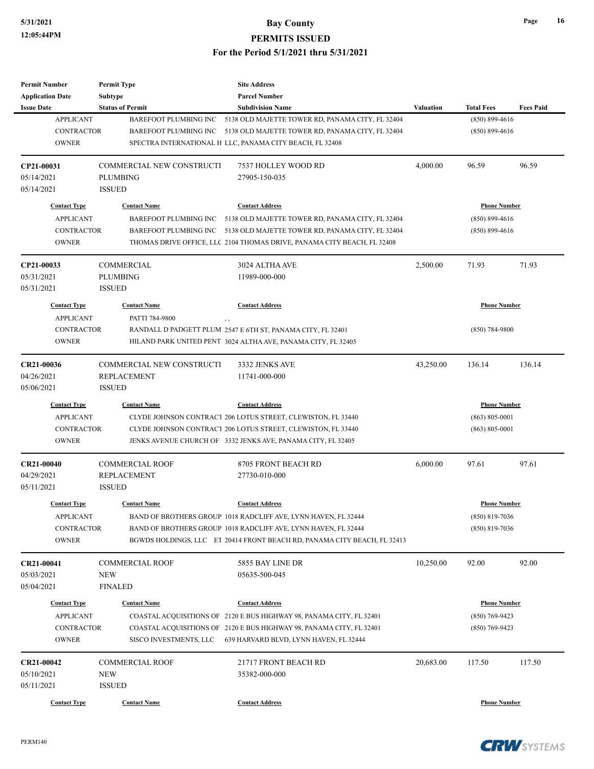Ĭ.

| <b>Permit Number</b><br><b>Application Date</b>                              | <b>Permit Type</b><br><b>Subtype</b>                                             | <b>Site Address</b><br><b>Parcel Number</b>                                                                                                                                                                                                           |                  |                                                                 |                  |
|------------------------------------------------------------------------------|----------------------------------------------------------------------------------|-------------------------------------------------------------------------------------------------------------------------------------------------------------------------------------------------------------------------------------------------------|------------------|-----------------------------------------------------------------|------------------|
| <b>Issue Date</b><br><b>APPLICANT</b><br><b>CONTRACTOR</b><br><b>OWNER</b>   | <b>Status of Permit</b><br><b>BAREFOOT PLUMBING INC</b><br>BAREFOOT PLUMBING INC | <b>Subdivision Name</b><br>5138 OLD MAJETTE TOWER RD, PANAMA CITY, FL 32404<br>5138 OLD MAJETTE TOWER RD, PANAMA CITY, FL 32404<br>SPECTRA INTERNATIONAL H LLC, PANAMA CITY BEACH, FL 32408                                                           | <b>Valuation</b> | <b>Total Fees</b><br>$(850) 899 - 4616$<br>$(850) 899 - 4616$   | <b>Fees Paid</b> |
| CP21-00031<br>05/14/2021<br>05/14/2021                                       | COMMERCIAL NEW CONSTRUCTI<br><b>PLUMBING</b><br><b>ISSUED</b>                    | 7537 HOLLEY WOOD RD<br>27905-150-035                                                                                                                                                                                                                  | 4,000.00         | 96.59                                                           | 96.59            |
| <b>Contact Type</b><br><b>APPLICANT</b><br><b>CONTRACTOR</b><br><b>OWNER</b> | <b>Contact Name</b>                                                              | <b>Contact Address</b><br>BAREFOOT PLUMBING INC 5138 OLD MAJETTE TOWER RD, PANAMA CITY, FL 32404<br>BAREFOOT PLUMBING INC 5138 OLD MAJETTE TOWER RD, PANAMA CITY, FL 32404<br>THOMAS DRIVE OFFICE, LLC 2104 THOMAS DRIVE, PANAMA CITY BEACH, FL 32408 |                  | <b>Phone Number</b><br>$(850) 899 - 4616$<br>$(850) 899 - 4616$ |                  |
| CP21-00033<br>05/31/2021<br>05/31/2021                                       | <b>COMMERCIAL</b><br><b>PLUMBING</b><br><b>ISSUED</b>                            | 3024 ALTHA AVE<br>11989-000-000                                                                                                                                                                                                                       | 2,500.00         | 71.93                                                           | 71.93            |
| <b>Contact Type</b><br><b>APPLICANT</b><br><b>CONTRACTOR</b><br><b>OWNER</b> | <b>Contact Name</b><br>PATTI 784-9800                                            | <b>Contact Address</b><br>$\overline{\phantom{a}}$<br>RANDALL D PADGETT PLUM 2547 E 6TH ST, PANAMA CITY, FL 32401<br>HILAND PARK UNITED PENT 3024 ALTHA AVE, PANAMA CITY, FL 32405                                                                    |                  | <b>Phone Number</b><br>$(850)$ 784-9800                         |                  |
| CR21-00036<br>04/26/2021<br>05/06/2021                                       | COMMERCIAL NEW CONSTRUCTI<br><b>REPLACEMENT</b><br><b>ISSUED</b>                 | 3332 JENKS AVE<br>11741-000-000                                                                                                                                                                                                                       | 43,250.00        | 136.14                                                          | 136.14           |
| <b>Contact Type</b><br><b>APPLICANT</b><br><b>CONTRACTOR</b><br><b>OWNER</b> | <b>Contact Name</b>                                                              | <b>Contact Address</b><br>CLYDE JOHNSON CONTRACT 206 LOTUS STREET, CLEWISTON, FL 33440<br>CLYDE JOHNSON CONTRACT 206 LOTUS STREET, CLEWISTON, FL 33440<br>JENKS AVENUE CHURCH OF 3332 JENKS AVE, PANAMA CITY, FL 32405                                |                  | <b>Phone Number</b><br>$(863) 805 - 0001$<br>$(863) 805 - 0001$ |                  |
| <b>CR21-00040</b><br>04/29/2021<br>05/11/2021                                | <b>COMMERCIAL ROOF</b><br><b>REPLACEMENT</b><br><b>ISSUED</b>                    | 8705 FRONT BEACH RD<br>27730-010-000                                                                                                                                                                                                                  | 6,000.00         | 97.61                                                           | 97.61            |
| <b>Contact Type</b><br><b>APPLICANT</b><br><b>CONTRACTOR</b><br><b>OWNER</b> | <b>Contact Name</b>                                                              | <b>Contact Address</b><br>BAND OF BROTHERS GROUP 1018 RADCLIFF AVE, LYNN HAVEN, FL 32444<br>BAND OF BROTHERS GROUP 1018 RADCLIFF AVE, LYNN HAVEN, FL 32444<br>BGWDS HOLDINGS, LLC ET 20414 FRONT BEACH RD, PANAMA CITY BEACH, FL 32413                |                  | <b>Phone Number</b><br>$(850) 819 - 7036$<br>$(850)$ 819-7036   |                  |
| CR21-00041<br>05/03/2021<br>05/04/2021                                       | <b>COMMERCIAL ROOF</b><br><b>NEW</b><br><b>FINALED</b>                           | 5855 BAY LINE DR<br>05635-500-045                                                                                                                                                                                                                     | 10,250.00        | 92.00                                                           | 92.00            |
| <b>Contact Type</b><br><b>APPLICANT</b><br><b>CONTRACTOR</b><br><b>OWNER</b> | <b>Contact Name</b><br>SISCO INVESTMENTS, LLC                                    | <b>Contact Address</b><br>COASTAL ACQUISITIONS OF 2120 E BUS HIGHWAY 98, PANAMA CITY, FL 32401<br>COASTAL ACQUISITIONS OF 2120 E BUS HIGHWAY 98, PANAMA CITY, FL 32401<br>639 HARVARD BLVD, LYNN HAVEN, FL 32444                                      |                  | <b>Phone Number</b><br>$(850)$ 769-9423<br>$(850)$ 769-9423     |                  |
| CR21-00042<br>05/10/2021<br>05/11/2021                                       | <b>COMMERCIAL ROOF</b><br><b>NEW</b><br><b>ISSUED</b>                            | 21717 FRONT BEACH RD<br>35382-000-000                                                                                                                                                                                                                 | 20,683.00        | 117.50                                                          | 117.50           |
| <b>Contact Type</b>                                                          | <b>Contact Name</b>                                                              | <b>Contact Address</b>                                                                                                                                                                                                                                |                  | <b>Phone Number</b>                                             |                  |

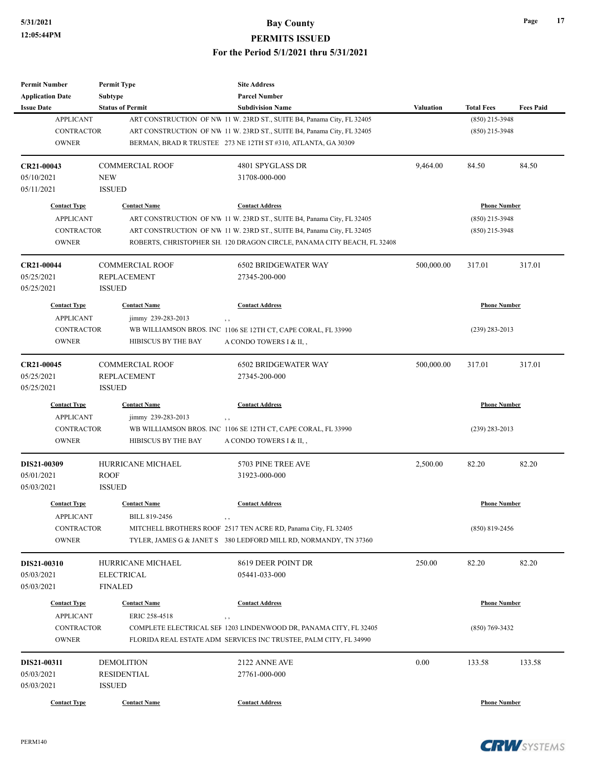| <b>Permit Number</b>     | <b>Permit Type</b>           | <b>Site Address</b>                                                              |                  |                     |                  |
|--------------------------|------------------------------|----------------------------------------------------------------------------------|------------------|---------------------|------------------|
| <b>Application Date</b>  | <b>Subtype</b>               | <b>Parcel Number</b>                                                             |                  |                     |                  |
| <b>Issue Date</b>        | <b>Status of Permit</b>      | <b>Subdivision Name</b>                                                          | <b>Valuation</b> | <b>Total Fees</b>   | <b>Fees Paid</b> |
| <b>APPLICANT</b>         |                              | ART CONSTRUCTION OF NW 11 W. 23RD ST., SUITE B4, Panama City, FL 32405           |                  | $(850)$ 215-3948    |                  |
| <b>CONTRACTOR</b>        |                              | ART CONSTRUCTION OF NW 11 W. 23RD ST., SUITE B4, Panama City, FL 32405           |                  | $(850)$ 215-3948    |                  |
| <b>OWNER</b>             |                              | BERMAN, BRAD R TRUSTEE 273 NE 12TH ST #310, ATLANTA, GA 30309                    |                  |                     |                  |
| CR21-00043               | <b>COMMERCIAL ROOF</b>       | 4801 SPYGLASS DR                                                                 | 9,464.00         | 84.50               | 84.50            |
| 05/10/2021               | <b>NEW</b>                   | 31708-000-000                                                                    |                  |                     |                  |
| 05/11/2021               | <b>ISSUED</b>                |                                                                                  |                  |                     |                  |
| <b>Contact Type</b>      | <b>Contact Name</b>          | <b>Contact Address</b>                                                           |                  | <b>Phone Number</b> |                  |
| <b>APPLICANT</b>         |                              | ART CONSTRUCTION OF NW 11 W. 23RD ST., SUITE B4, Panama City, FL 32405           |                  | $(850)$ 215-3948    |                  |
| CONTRACTOR               |                              | ART CONSTRUCTION OF NW 11 W. 23RD ST., SUITE B4, Panama City, FL 32405           |                  | $(850)$ 215-3948    |                  |
| <b>OWNER</b>             |                              | ROBERTS, CHRISTOPHER SH. 120 DRAGON CIRCLE, PANAMA CITY BEACH, FL 32408          |                  |                     |                  |
| CR21-00044               | <b>COMMERCIAL ROOF</b>       | <b>6502 BRIDGEWATER WAY</b>                                                      | 500,000.00       | 317.01              | 317.01           |
| 05/25/2021               | <b>REPLACEMENT</b>           | 27345-200-000                                                                    |                  |                     |                  |
| 05/25/2021               | <b>ISSUED</b>                |                                                                                  |                  |                     |                  |
| <b>Contact Type</b>      | <b>Contact Name</b>          | <b>Contact Address</b>                                                           |                  | <b>Phone Number</b> |                  |
| <b>APPLICANT</b>         | jimmy 239-283-2013           | $, \, ,$                                                                         |                  |                     |                  |
| <b>CONTRACTOR</b>        |                              | WB WILLIAMSON BROS. INC 1106 SE 12TH CT, CAPE CORAL, FL 33990                    |                  | $(239)$ 283-2013    |                  |
| <b>OWNER</b>             | HIBISCUS BY THE BAY          | A CONDO TOWERS I & II,,                                                          |                  |                     |                  |
| CR21-00045               | <b>COMMERCIAL ROOF</b>       | <b>6502 BRIDGEWATER WAY</b>                                                      | 500,000.00       | 317.01              | 317.01           |
| 05/25/2021               | <b>REPLACEMENT</b>           | 27345-200-000                                                                    |                  |                     |                  |
| 05/25/2021               | <b>ISSUED</b>                |                                                                                  |                  |                     |                  |
| <b>Contact Type</b>      | <b>Contact Name</b>          | <b>Contact Address</b>                                                           |                  | <b>Phone Number</b> |                  |
| <b>APPLICANT</b>         | jimmy 239-283-2013           | $, \, , \,$                                                                      |                  |                     |                  |
| <b>CONTRACTOR</b>        |                              | WB WILLIAMSON BROS. INC 1106 SE 12TH CT, CAPE CORAL, FL 33990                    |                  | $(239)$ 283-2013    |                  |
| <b>OWNER</b>             | HIBISCUS BY THE BAY          | A CONDO TOWERS I & II,,                                                          |                  |                     |                  |
| DIS21-00309              | <b>HURRICANE MICHAEL</b>     | 5703 PINE TREE AVE                                                               | 2,500.00         | 82.20               | 82.20            |
| 05/01/2021               | <b>ROOF</b>                  | 31923-000-000                                                                    |                  |                     |                  |
| 05/03/2021               | <b>ISSUED</b>                |                                                                                  |                  |                     |                  |
| <b>Contact Type</b>      | <b>Contact Name</b>          | <b>Contact Address</b>                                                           |                  | <b>Phone Number</b> |                  |
| <b>APPLICANT</b>         | BILL 819-2456                | , ,                                                                              |                  |                     |                  |
| <b>CONTRACTOR</b>        |                              | MITCHELL BROTHERS ROOF 2517 TEN ACRE RD, Panama City, FL 32405                   |                  | $(850)$ 819-2456    |                  |
| <b>OWNER</b>             |                              | TYLER, JAMES G & JANET S 380 LEDFORD MILL RD, NORMANDY, TN 37360                 |                  |                     |                  |
| DIS21-00310              | HURRICANE MICHAEL            | 8619 DEER POINT DR                                                               | 250.00           | 82.20               | 82.20            |
| 05/03/2021               | <b>ELECTRICAL</b>            | 05441-033-000                                                                    |                  |                     |                  |
| 05/03/2021               | <b>FINALED</b>               |                                                                                  |                  |                     |                  |
| <b>Contact Type</b>      | <b>Contact Name</b>          | <b>Contact Address</b>                                                           |                  | <b>Phone Number</b> |                  |
| <b>APPLICANT</b>         | ERIC 258-4518                |                                                                                  |                  |                     |                  |
| CONTRACTOR               |                              | $, \, , \,$<br>COMPLETE ELECTRICAL SEF 1203 LINDENWOOD DR, PANAMA CITY, FL 32405 |                  | $(850) 769 - 3432$  |                  |
| <b>OWNER</b>             |                              | FLORIDA REAL ESTATE ADM SERVICES INC TRUSTEE, PALM CITY, FL 34990                |                  |                     |                  |
|                          |                              |                                                                                  |                  |                     |                  |
| DIS21-00311              | <b>DEMOLITION</b>            | 2122 ANNE AVE                                                                    | 0.00             | 133.58              | 133.58           |
| 05/03/2021<br>05/03/2021 | RESIDENTIAL<br><b>ISSUED</b> | 27761-000-000                                                                    |                  |                     |                  |
|                          |                              |                                                                                  |                  |                     |                  |
| <b>Contact Type</b>      | <b>Contact Name</b>          | <b>Contact Address</b>                                                           |                  | <b>Phone Number</b> |                  |

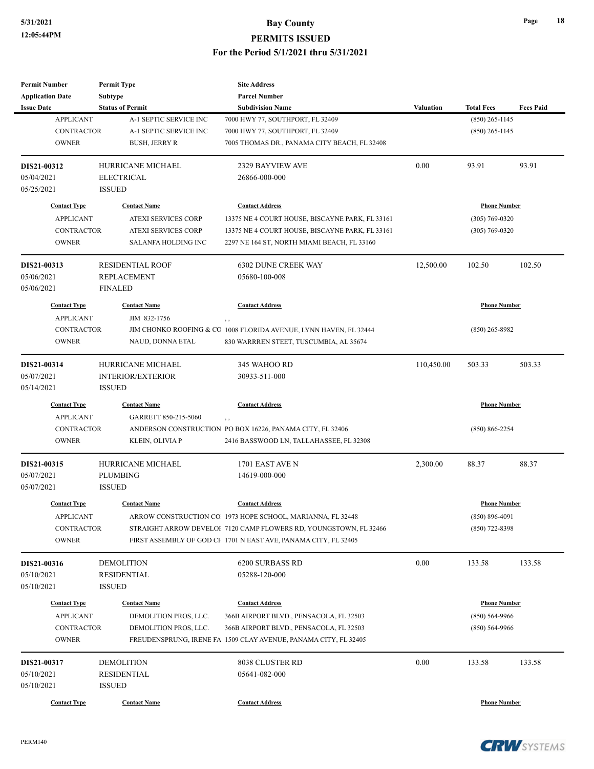| <b>Permit Number</b>    | <b>Permit Type</b>       | <b>Site Address</b>                                               |                  |                     |                  |
|-------------------------|--------------------------|-------------------------------------------------------------------|------------------|---------------------|------------------|
| <b>Application Date</b> | <b>Subtype</b>           | <b>Parcel Number</b>                                              |                  |                     |                  |
| <b>Issue Date</b>       | <b>Status of Permit</b>  | <b>Subdivision Name</b>                                           | <b>Valuation</b> | <b>Total Fees</b>   | <b>Fees Paid</b> |
| <b>APPLICANT</b>        | A-1 SEPTIC SERVICE INC   | 7000 HWY 77, SOUTHPORT, FL 32409                                  |                  | $(850)$ 265-1145    |                  |
| <b>CONTRACTOR</b>       | A-1 SEPTIC SERVICE INC   | 7000 HWY 77, SOUTHPORT, FL 32409                                  |                  | $(850)$ 265-1145    |                  |
| <b>OWNER</b>            | <b>BUSH, JERRY R</b>     | 7005 THOMAS DR., PANAMA CITY BEACH, FL 32408                      |                  |                     |                  |
| DIS21-00312             | HURRICANE MICHAEL        | 2329 BAYVIEW AVE                                                  | 0.00             | 93.91               | 93.91            |
| 05/04/2021              | <b>ELECTRICAL</b>        | 26866-000-000                                                     |                  |                     |                  |
| 05/25/2021              | <b>ISSUED</b>            |                                                                   |                  |                     |                  |
| <b>Contact Type</b>     | <b>Contact Name</b>      | <b>Contact Address</b>                                            |                  | <b>Phone Number</b> |                  |
| <b>APPLICANT</b>        | ATEXI SERVICES CORP      | 13375 NE 4 COURT HOUSE, BISCAYNE PARK, FL 33161                   |                  | $(305) 769 - 0320$  |                  |
| <b>CONTRACTOR</b>       | ATEXI SERVICES CORP      | 13375 NE 4 COURT HOUSE, BISCAYNE PARK, FL 33161                   |                  | $(305) 769 - 0320$  |                  |
| <b>OWNER</b>            | SALANFA HOLDING INC      | 2297 NE 164 ST, NORTH MIAMI BEACH, FL 33160                       |                  |                     |                  |
| DIS21-00313             | <b>RESIDENTIAL ROOF</b>  | <b>6302 DUNE CREEK WAY</b>                                        | 12,500.00        | 102.50              | 102.50           |
| 05/06/2021              | <b>REPLACEMENT</b>       | 05680-100-008                                                     |                  |                     |                  |
| 05/06/2021              | <b>FINALED</b>           |                                                                   |                  |                     |                  |
| <b>Contact Type</b>     | <b>Contact Name</b>      | <b>Contact Address</b>                                            |                  | <b>Phone Number</b> |                  |
| <b>APPLICANT</b>        | JIM 832-1756             | , ,                                                               |                  |                     |                  |
| <b>CONTRACTOR</b>       |                          | JIM CHONKO ROOFING & CO 1008 FLORIDA AVENUE, LYNN HAVEN, FL 32444 |                  | $(850)$ 265-8982    |                  |
| <b>OWNER</b>            | NAUD, DONNA ETAL         | 830 WARRREN STEET, TUSCUMBIA, AL 35674                            |                  |                     |                  |
| DIS21-00314             | HURRICANE MICHAEL        | 345 WAHOO RD                                                      | 110,450.00       | 503.33              | 503.33           |
| 05/07/2021              | <b>INTERIOR/EXTERIOR</b> | 30933-511-000                                                     |                  |                     |                  |
| 05/14/2021              | <b>ISSUED</b>            |                                                                   |                  |                     |                  |
| <b>Contact Type</b>     | <b>Contact Name</b>      | <b>Contact Address</b>                                            |                  | <b>Phone Number</b> |                  |
| <b>APPLICANT</b>        | GARRETT 850-215-5060     | $, \, , \,$                                                       |                  |                     |                  |
| <b>CONTRACTOR</b>       |                          | ANDERSON CONSTRUCTION PO BOX 16226, PANAMA CITY, FL 32406         |                  | $(850) 866 - 2254$  |                  |
| <b>OWNER</b>            | KLEIN, OLIVIA P          | 2416 BASSWOOD LN, TALLAHASSEE, FL 32308                           |                  |                     |                  |
| DIS21-00315             | HURRICANE MICHAEL        | 1701 EAST AVE N                                                   | 2,300.00         | 88.37               | 88.37            |
| 05/07/2021              | <b>PLUMBING</b>          | 14619-000-000                                                     |                  |                     |                  |
| 05/07/2021              | <b>ISSUED</b>            |                                                                   |                  |                     |                  |
| <b>Contact Type</b>     | <b>Contact Name</b>      | <b>Contact Address</b>                                            |                  | <b>Phone Number</b> |                  |
| <b>APPLICANT</b>        |                          | ARROW CONSTRUCTION CO. 1973 HOPE SCHOOL, MARIANNA, FL 32448       |                  | $(850) 896 - 4091$  |                  |
| CONTRACTOR              |                          | STRAIGHT ARROW DEVELOI 7120 CAMP FLOWERS RD, YOUNGSTOWN, FL 32466 |                  | $(850)$ 722-8398    |                  |
| <b>OWNER</b>            |                          | FIRST ASSEMBLY OF GOD CF 1701 N EAST AVE, PANAMA CITY, FL 32405   |                  |                     |                  |
| DIS21-00316             | <b>DEMOLITION</b>        | <b>6200 SURBASS RD</b>                                            | 0.00             | 133.58              | 133.58           |
| 05/10/2021              | <b>RESIDENTIAL</b>       | 05288-120-000                                                     |                  |                     |                  |
| 05/10/2021              | <b>ISSUED</b>            |                                                                   |                  |                     |                  |
| <b>Contact Type</b>     | <b>Contact Name</b>      | <b>Contact Address</b>                                            |                  | <b>Phone Number</b> |                  |
| <b>APPLICANT</b>        | DEMOLITION PROS, LLC.    | 366B AIRPORT BLVD., PENSACOLA, FL 32503                           |                  | $(850) 564-9966$    |                  |
| <b>CONTRACTOR</b>       | DEMOLITION PROS, LLC.    | 366B AIRPORT BLVD., PENSACOLA, FL 32503                           |                  | $(850) 564-9966$    |                  |
| <b>OWNER</b>            |                          | FREUDENSPRUNG, IRENE FA 1509 CLAY AVENUE, PANAMA CITY, FL 32405   |                  |                     |                  |
| DIS21-00317             | <b>DEMOLITION</b>        | 8038 CLUSTER RD                                                   | 0.00             | 133.58              | 133.58           |
| 05/10/2021              | RESIDENTIAL              | 05641-082-000                                                     |                  |                     |                  |
| 05/10/2021              | <b>ISSUED</b>            |                                                                   |                  |                     |                  |
| <b>Contact Type</b>     | <b>Contact Name</b>      | <b>Contact Address</b>                                            |                  | <b>Phone Number</b> |                  |
|                         |                          |                                                                   |                  |                     |                  |

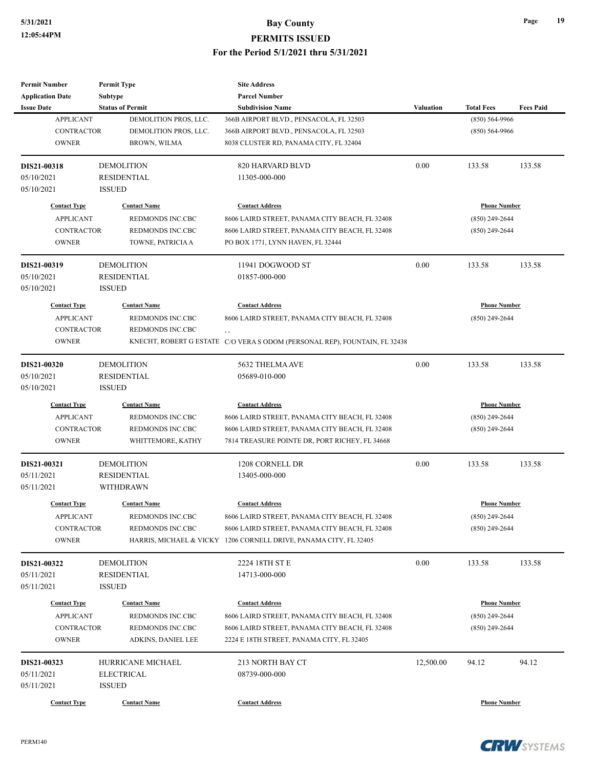| <b>Permit Number</b>    | <b>Permit Type</b>      | <b>Site Address</b>                                                        |                  |                     |                  |
|-------------------------|-------------------------|----------------------------------------------------------------------------|------------------|---------------------|------------------|
| <b>Application Date</b> | Subtype                 | <b>Parcel Number</b>                                                       |                  |                     |                  |
| <b>Issue Date</b>       | <b>Status of Permit</b> | <b>Subdivision Name</b>                                                    | <b>Valuation</b> | <b>Total Fees</b>   | <b>Fees Paid</b> |
| <b>APPLICANT</b>        | DEMOLITION PROS, LLC.   | 366B AIRPORT BLVD., PENSACOLA, FL 32503                                    |                  | $(850) 564-9966$    |                  |
| <b>CONTRACTOR</b>       | DEMOLITION PROS, LLC.   | 366B AIRPORT BLVD., PENSACOLA, FL 32503                                    |                  | $(850) 564-9966$    |                  |
| <b>OWNER</b>            | <b>BROWN, WILMA</b>     | 8038 CLUSTER RD, PANAMA CITY, FL 32404                                     |                  |                     |                  |
| DIS21-00318             | <b>DEMOLITION</b>       | 820 HARVARD BLVD                                                           | 0.00             | 133.58              | 133.58           |
| 05/10/2021              | <b>RESIDENTIAL</b>      | 11305-000-000                                                              |                  |                     |                  |
| 05/10/2021              | <b>ISSUED</b>           |                                                                            |                  |                     |                  |
| <b>Contact Type</b>     | <b>Contact Name</b>     | <b>Contact Address</b>                                                     |                  | <b>Phone Number</b> |                  |
| <b>APPLICANT</b>        | <b>REDMONDS INC.CBC</b> | 8606 LAIRD STREET, PANAMA CITY BEACH, FL 32408                             |                  | $(850)$ 249-2644    |                  |
| <b>CONTRACTOR</b>       | REDMONDS INC.CBC        | 8606 LAIRD STREET, PANAMA CITY BEACH, FL 32408                             |                  | $(850)$ 249-2644    |                  |
| <b>OWNER</b>            | TOWNE, PATRICIA A       | PO BOX 1771, LYNN HAVEN, FL 32444                                          |                  |                     |                  |
| DIS21-00319             | <b>DEMOLITION</b>       | 11941 DOGWOOD ST                                                           | 0.00             | 133.58              | 133.58           |
| 05/10/2021              | RESIDENTIAL             | 01857-000-000                                                              |                  |                     |                  |
| 05/10/2021              | <b>ISSUED</b>           |                                                                            |                  |                     |                  |
| <b>Contact Type</b>     | <b>Contact Name</b>     | <b>Contact Address</b>                                                     |                  | <b>Phone Number</b> |                  |
| <b>APPLICANT</b>        | REDMONDS INC.CBC        | 8606 LAIRD STREET, PANAMA CITY BEACH, FL 32408                             |                  | $(850)$ 249-2644    |                  |
| CONTRACTOR              | REDMONDS INC.CBC        |                                                                            |                  |                     |                  |
| <b>OWNER</b>            |                         | KNECHT, ROBERT G ESTATE C/O VERA S ODOM (PERSONAL REP), FOUNTAIN, FL 32438 |                  |                     |                  |
| DIS21-00320             | <b>DEMOLITION</b>       | 5632 THELMA AVE                                                            | 0.00             | 133.58              | 133.58           |
| 05/10/2021              | <b>RESIDENTIAL</b>      | 05689-010-000                                                              |                  |                     |                  |
| 05/10/2021              | <b>ISSUED</b>           |                                                                            |                  |                     |                  |
| <b>Contact Type</b>     | <b>Contact Name</b>     | <b>Contact Address</b>                                                     |                  | <b>Phone Number</b> |                  |
| <b>APPLICANT</b>        | REDMONDS INC.CBC        | 8606 LAIRD STREET, PANAMA CITY BEACH, FL 32408                             |                  | $(850)$ 249-2644    |                  |
| <b>CONTRACTOR</b>       | REDMONDS INC.CBC        | 8606 LAIRD STREET, PANAMA CITY BEACH, FL 32408                             |                  | $(850)$ 249-2644    |                  |
| <b>OWNER</b>            | WHITTEMORE, KATHY       | 7814 TREASURE POINTE DR, PORT RICHEY, FL 34668                             |                  |                     |                  |
| DIS21-00321             | <b>DEMOLITION</b>       | 1208 CORNELL DR                                                            | 0.00             | 133.58              | 133.58           |
| 05/11/2021              | <b>RESIDENTIAL</b>      | 13405-000-000                                                              |                  |                     |                  |
| 05/11/2021              | <b>WITHDRAWN</b>        |                                                                            |                  |                     |                  |
| <b>Contact Type</b>     | <b>Contact Name</b>     | <b>Contact Address</b>                                                     |                  | <b>Phone Number</b> |                  |
| <b>APPLICANT</b>        | REDMONDS INC.CBC        | 8606 LAIRD STREET, PANAMA CITY BEACH, FL 32408                             |                  | $(850)$ 249-2644    |                  |
| <b>CONTRACTOR</b>       | REDMONDS INC.CBC        | 8606 LAIRD STREET, PANAMA CITY BEACH, FL 32408                             |                  | $(850)$ 249-2644    |                  |
| <b>OWNER</b>            | HARRIS, MICHAEL & VICKY | 1206 CORNELL DRIVE, PANAMA CITY, FL 32405                                  |                  |                     |                  |
| DIS21-00322             | <b>DEMOLITION</b>       | 2224 18TH ST E                                                             | 0.00             | 133.58              | 133.58           |
| 05/11/2021              | <b>RESIDENTIAL</b>      | 14713-000-000                                                              |                  |                     |                  |
| 05/11/2021              | <b>ISSUED</b>           |                                                                            |                  |                     |                  |
| <b>Contact Type</b>     | <b>Contact Name</b>     | <b>Contact Address</b>                                                     |                  | <b>Phone Number</b> |                  |
| <b>APPLICANT</b>        | REDMONDS INC.CBC        | 8606 LAIRD STREET, PANAMA CITY BEACH, FL 32408                             |                  | $(850)$ 249-2644    |                  |
| <b>CONTRACTOR</b>       | REDMONDS INC.CBC        | 8606 LAIRD STREET, PANAMA CITY BEACH, FL 32408                             |                  | $(850)$ 249-2644    |                  |
| <b>OWNER</b>            | ADKINS, DANIEL LEE      | 2224 E 18TH STREET, PANAMA CITY, FL 32405                                  |                  |                     |                  |
| DIS21-00323             | HURRICANE MICHAEL       | 213 NORTH BAY CT                                                           | 12,500.00        | 94.12               | 94.12            |
| 05/11/2021              | <b>ELECTRICAL</b>       | 08739-000-000                                                              |                  |                     |                  |
|                         |                         |                                                                            |                  |                     |                  |
| 05/11/2021              | <b>ISSUED</b>           |                                                                            |                  |                     |                  |

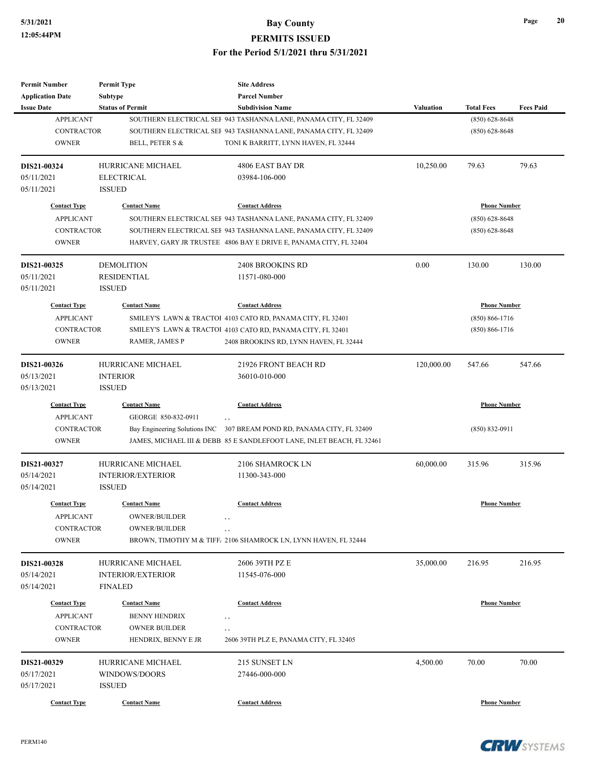| <b>Permit Number</b>    | <b>Permit Type</b>       | <b>Site Address</b>                                                    |            |                     |                  |
|-------------------------|--------------------------|------------------------------------------------------------------------|------------|---------------------|------------------|
| <b>Application Date</b> | <b>Subtype</b>           | <b>Parcel Number</b>                                                   |            |                     |                  |
| <b>Issue Date</b>       | <b>Status of Permit</b>  | <b>Subdivision Name</b>                                                | Valuation  | <b>Total Fees</b>   | <b>Fees Paid</b> |
| <b>APPLICANT</b>        |                          | SOUTHERN ELECTRICAL SEF 943 TASHANNA LANE, PANAMA CITY, FL 32409       |            | $(850) 628 - 8648$  |                  |
| <b>CONTRACTOR</b>       |                          | SOUTHERN ELECTRICAL SEF 943 TASHANNA LANE, PANAMA CITY, FL 32409       |            | $(850) 628 - 8648$  |                  |
| <b>OWNER</b>            | BELL, PETER S &          | TONI K BARRITT, LYNN HAVEN, FL 32444                                   |            |                     |                  |
| DIS21-00324             | HURRICANE MICHAEL        | 4806 EAST BAY DR                                                       | 10,250.00  | 79.63               | 79.63            |
| 05/11/2021              | <b>ELECTRICAL</b>        | 03984-106-000                                                          |            |                     |                  |
| 05/11/2021              | <b>ISSUED</b>            |                                                                        |            |                     |                  |
| <b>Contact Type</b>     | <b>Contact Name</b>      | <b>Contact Address</b>                                                 |            | <b>Phone Number</b> |                  |
| <b>APPLICANT</b>        |                          | SOUTHERN ELECTRICAL SEF 943 TASHANNA LANE, PANAMA CITY, FL 32409       |            | $(850) 628 - 8648$  |                  |
| <b>CONTRACTOR</b>       |                          | SOUTHERN ELECTRICAL SEF 943 TASHANNA LANE, PANAMA CITY, FL 32409       |            | $(850) 628 - 8648$  |                  |
| <b>OWNER</b>            |                          | HARVEY, GARY JR TRUSTEE 4806 BAY E DRIVE E, PANAMA CITY, FL 32404      |            |                     |                  |
| DIS21-00325             | <b>DEMOLITION</b>        | <b>2408 BROOKINS RD</b>                                                | 0.00       | 130.00              | 130.00           |
| 05/11/2021              | <b>RESIDENTIAL</b>       | 11571-080-000                                                          |            |                     |                  |
| 05/11/2021              | <b>ISSUED</b>            |                                                                        |            |                     |                  |
| <b>Contact Type</b>     | <b>Contact Name</b>      | <b>Contact Address</b>                                                 |            | <b>Phone Number</b> |                  |
| <b>APPLICANT</b>        |                          | SMILEY'S LAWN & TRACTOI 4103 CATO RD, PANAMA CITY, FL 32401            |            | $(850) 866 - 1716$  |                  |
| <b>CONTRACTOR</b>       |                          | SMILEY'S LAWN & TRACTOI 4103 CATO RD, PANAMA CITY, FL 32401            |            | $(850) 866 - 1716$  |                  |
| <b>OWNER</b>            | RAMER, JAMES P           | 2408 BROOKINS RD, LYNN HAVEN, FL 32444                                 |            |                     |                  |
| DIS21-00326             | HURRICANE MICHAEL        | 21926 FRONT BEACH RD                                                   | 120,000.00 | 547.66              | 547.66           |
| 05/13/2021              | <b>INTERIOR</b>          | 36010-010-000                                                          |            |                     |                  |
| 05/13/2021              | <b>ISSUED</b>            |                                                                        |            |                     |                  |
| <b>Contact Type</b>     | <b>Contact Name</b>      | <b>Contact Address</b>                                                 |            | <b>Phone Number</b> |                  |
| <b>APPLICANT</b>        | GEORGE 850-832-0911      | , ,                                                                    |            |                     |                  |
| <b>CONTRACTOR</b>       |                          | Bay Engineering Solutions INC 307 BREAM POND RD, PANAMA CITY, FL 32409 |            | $(850) 832 - 0911$  |                  |
| <b>OWNER</b>            |                          | JAMES, MICHAEL III & DEBB 85 E SANDLEFOOT LANE, INLET BEACH, FL 32461  |            |                     |                  |
| DIS21-00327             | HURRICANE MICHAEL        | 2106 SHAMROCK LN                                                       | 60,000.00  | 315.96              | 315.96           |
| 05/14/2021              | <b>INTERIOR/EXTERIOR</b> | 11300-343-000                                                          |            |                     |                  |
| 05/14/2021              | <b>ISSUED</b>            |                                                                        |            |                     |                  |
| <b>Contact Type</b>     | <b>Contact Name</b>      | <b>Contact Address</b>                                                 |            | <b>Phone Number</b> |                  |
| <b>APPLICANT</b>        | OWNER/BUILDER            | , ,                                                                    |            |                     |                  |
| CONTRACTOR              | <b>OWNER/BUILDER</b>     | $, \, ,$                                                               |            |                     |                  |
| <b>OWNER</b>            |                          | BROWN, TIMOTHY M & TIFF. 2106 SHAMROCK LN, LYNN HAVEN, FL 32444        |            |                     |                  |
| DIS21-00328             | HURRICANE MICHAEL        | 2606 39TH PZ E                                                         | 35,000.00  | 216.95              | 216.95           |
| 05/14/2021              | <b>INTERIOR/EXTERIOR</b> | 11545-076-000                                                          |            |                     |                  |
| 05/14/2021              | FINALED                  |                                                                        |            |                     |                  |
| <b>Contact Type</b>     | <b>Contact Name</b>      | <b>Contact Address</b>                                                 |            | <b>Phone Number</b> |                  |
| <b>APPLICANT</b>        | <b>BENNY HENDRIX</b>     | , ,                                                                    |            |                     |                  |
| <b>CONTRACTOR</b>       | <b>OWNER BUILDER</b>     | , ,                                                                    |            |                     |                  |
| <b>OWNER</b>            | HENDRIX, BENNY E JR      | 2606 39TH PLZ E, PANAMA CITY, FL 32405                                 |            |                     |                  |
| DIS21-00329             | HURRICANE MICHAEL        | 215 SUNSET LN                                                          | 4,500.00   | 70.00               | 70.00            |
| 05/17/2021              | WINDOWS/DOORS            | 27446-000-000                                                          |            |                     |                  |
| 05/17/2021              | <b>ISSUED</b>            |                                                                        |            |                     |                  |
| <b>Contact Type</b>     | <b>Contact Name</b>      | <b>Contact Address</b>                                                 |            | <b>Phone Number</b> |                  |
|                         |                          |                                                                        |            |                     |                  |

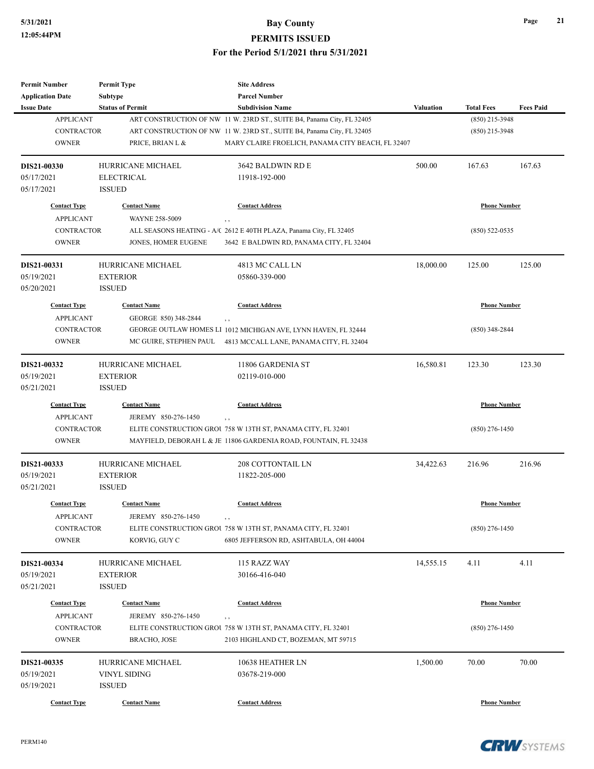| <b>Permit Number</b>    | <b>Permit Type</b>       | <b>Site Address</b>                                                    |                  |                     |                  |
|-------------------------|--------------------------|------------------------------------------------------------------------|------------------|---------------------|------------------|
| <b>Application Date</b> | <b>Subtype</b>           | <b>Parcel Number</b>                                                   |                  |                     |                  |
| <b>Issue Date</b>       | <b>Status of Permit</b>  | <b>Subdivision Name</b>                                                | <b>Valuation</b> | <b>Total Fees</b>   | <b>Fees Paid</b> |
| <b>APPLICANT</b>        |                          | ART CONSTRUCTION OF NW 11 W. 23RD ST., SUITE B4, Panama City, FL 32405 |                  | (850) 215-3948      |                  |
| <b>CONTRACTOR</b>       |                          | ART CONSTRUCTION OF NW 11 W. 23RD ST., SUITE B4, Panama City, FL 32405 |                  | $(850)$ 215-3948    |                  |
| <b>OWNER</b>            | PRICE, BRIAN L &         | MARY CLAIRE FROELICH, PANAMA CITY BEACH, FL 32407                      |                  |                     |                  |
| DIS21-00330             | <b>HURRICANE MICHAEL</b> | 3642 BALDWIN RD E                                                      | 500.00           | 167.63              | 167.63           |
| 05/17/2021              | <b>ELECTRICAL</b>        | 11918-192-000                                                          |                  |                     |                  |
| 05/17/2021              | <b>ISSUED</b>            |                                                                        |                  |                     |                  |
| <b>Contact Type</b>     | <b>Contact Name</b>      | <b>Contact Address</b>                                                 |                  | <b>Phone Number</b> |                  |
| <b>APPLICANT</b>        | <b>WAYNE 258-5009</b>    | , ,                                                                    |                  |                     |                  |
| <b>CONTRACTOR</b>       |                          | ALL SEASONS HEATING - A/C 2612 E 40TH PLAZA, Panama City, FL 32405     |                  | $(850)$ 522-0535    |                  |
| <b>OWNER</b>            | JONES, HOMER EUGENE      | 3642 E BALDWIN RD, PANAMA CITY, FL 32404                               |                  |                     |                  |
| DIS21-00331             | HURRICANE MICHAEL        | 4813 MC CALL LN                                                        | 18,000.00        | 125.00              | 125.00           |
| 05/19/2021              | <b>EXTERIOR</b>          | 05860-339-000                                                          |                  |                     |                  |
| 05/20/2021              | <b>ISSUED</b>            |                                                                        |                  |                     |                  |
| <b>Contact Type</b>     | <b>Contact Name</b>      | <b>Contact Address</b>                                                 |                  | <b>Phone Number</b> |                  |
| <b>APPLICANT</b>        | GEORGE 850) 348-2844     | , ,                                                                    |                  |                     |                  |
| <b>CONTRACTOR</b>       |                          | GEORGE OUTLAW HOMES LI 1012 MICHIGAN AVE, LYNN HAVEN, FL 32444         |                  | $(850)$ 348-2844    |                  |
| <b>OWNER</b>            | MC GUIRE, STEPHEN PAUL   | 4813 MCCALL LANE, PANAMA CITY, FL 32404                                |                  |                     |                  |
| DIS21-00332             | HURRICANE MICHAEL        | 11806 GARDENIA ST                                                      | 16,580.81        | 123.30              | 123.30           |
| 05/19/2021              | <b>EXTERIOR</b>          | 02119-010-000                                                          |                  |                     |                  |
| 05/21/2021              | <b>ISSUED</b>            |                                                                        |                  |                     |                  |
| <b>Contact Type</b>     | <b>Contact Name</b>      | <b>Contact Address</b>                                                 |                  | <b>Phone Number</b> |                  |
| <b>APPLICANT</b>        | JEREMY 850-276-1450      | , ,                                                                    |                  |                     |                  |
| CONTRACTOR              |                          | ELITE CONSTRUCTION GROU 758 W 13TH ST, PANAMA CITY, FL 32401           |                  | $(850)$ 276-1450    |                  |
| <b>OWNER</b>            |                          | MAYFIELD, DEBORAH L & JE 11806 GARDENIA ROAD, FOUNTAIN, FL 32438       |                  |                     |                  |
| DIS21-00333             | HURRICANE MICHAEL        | <b>208 COTTONTAIL LN</b>                                               | 34,422.63        | 216.96              | 216.96           |
| 05/19/2021              | <b>EXTERIOR</b>          | 11822-205-000                                                          |                  |                     |                  |
| 05/21/2021              | <b>ISSUED</b>            |                                                                        |                  |                     |                  |
| <b>Contact Type</b>     | <b>Contact Name</b>      | <b>Contact Address</b>                                                 |                  | <b>Phone Number</b> |                  |
| <b>APPLICANT</b>        | JEREMY 850-276-1450      |                                                                        |                  |                     |                  |
| CONTRACTOR              |                          | ELITE CONSTRUCTION GROU 758 W 13TH ST, PANAMA CITY, FL 32401           |                  | $(850)$ 276-1450    |                  |
| <b>OWNER</b>            | KORVIG, GUY C            | 6805 JEFFERSON RD, ASHTABULA, OH 44004                                 |                  |                     |                  |
| DIS21-00334             | HURRICANE MICHAEL        | 115 RAZZ WAY                                                           | 14,555.15        | 4.11                | 4.11             |
| 05/19/2021              | <b>EXTERIOR</b>          | 30166-416-040                                                          |                  |                     |                  |
| 05/21/2021              | <b>ISSUED</b>            |                                                                        |                  |                     |                  |
| <b>Contact Type</b>     | <b>Contact Name</b>      | <b>Contact Address</b>                                                 |                  | <b>Phone Number</b> |                  |
| <b>APPLICANT</b>        | JEREMY 850-276-1450      | , ,                                                                    |                  |                     |                  |
| CONTRACTOR              |                          | ELITE CONSTRUCTION GROU 758 W 13TH ST, PANAMA CITY, FL 32401           |                  | $(850)$ 276-1450    |                  |
| <b>OWNER</b>            | <b>BRACHO, JOSE</b>      | 2103 HIGHLAND CT, BOZEMAN, MT 59715                                    |                  |                     |                  |
| DIS21-00335             | <b>HURRICANE MICHAEL</b> | 10638 HEATHER LN                                                       | 1,500.00         | 70.00               | 70.00            |
| 05/19/2021              | VINYL SIDING             | 03678-219-000                                                          |                  |                     |                  |
| 05/19/2021              | <b>ISSUED</b>            |                                                                        |                  |                     |                  |
| <b>Contact Type</b>     | <b>Contact Name</b>      | <b>Contact Address</b>                                                 |                  | <b>Phone Number</b> |                  |

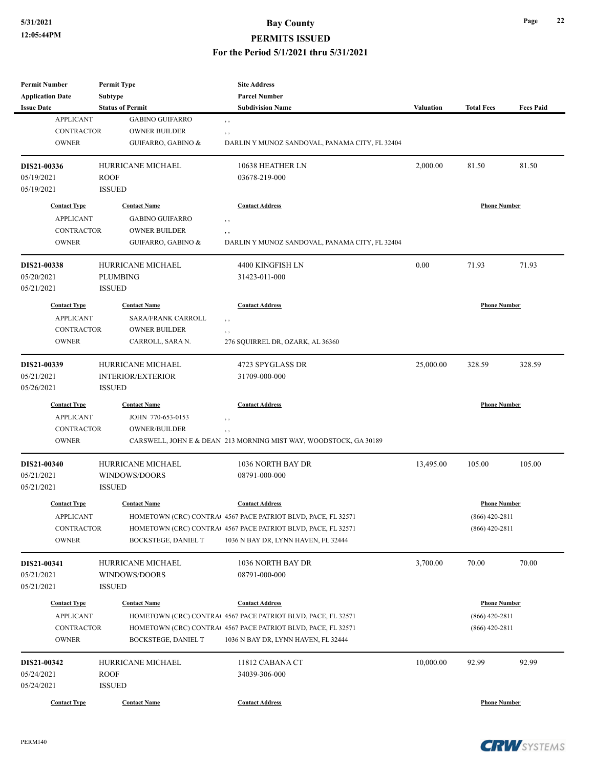# **5/31/2021 Bay County PERMITS ISSUED**

#### **For the Period 5/1/2021 thru 5/31/2021**

| <b>Permit Number</b><br><b>Application Date</b>                              | <b>Permit Type</b><br><b>Subtype</b>                                                                       | <b>Site Address</b><br><b>Parcel Number</b><br><b>Subdivision Name</b>                                                                                                                         |           |                                                             |                  |
|------------------------------------------------------------------------------|------------------------------------------------------------------------------------------------------------|------------------------------------------------------------------------------------------------------------------------------------------------------------------------------------------------|-----------|-------------------------------------------------------------|------------------|
| <b>Issue Date</b><br><b>APPLICANT</b><br><b>CONTRACTOR</b><br><b>OWNER</b>   | <b>Status of Permit</b><br><b>GABINO GUIFARRO</b><br><b>OWNER BUILDER</b><br><b>GUIFARRO, GABINO &amp;</b> | , ,<br>, ,<br>DARLIN Y MUNOZ SANDOVAL, PANAMA CITY, FL 32404                                                                                                                                   | Valuation | <b>Total Fees</b>                                           | <b>Fees Paid</b> |
| DIS21-00336<br>05/19/2021<br>05/19/2021                                      | HURRICANE MICHAEL<br><b>ROOF</b><br><b>ISSUED</b>                                                          | 10638 HEATHER LN<br>03678-219-000                                                                                                                                                              | 2,000.00  | 81.50                                                       | 81.50            |
| <b>Contact Type</b><br><b>APPLICANT</b><br><b>CONTRACTOR</b><br><b>OWNER</b> | <b>Contact Name</b><br><b>GABINO GUIFARRO</b><br><b>OWNER BUILDER</b><br>GUIFARRO, GABINO &                | <b>Contact Address</b><br>, ,<br>, ,<br>DARLIN Y MUNOZ SANDOVAL, PANAMA CITY, FL 32404                                                                                                         |           | <b>Phone Number</b>                                         |                  |
| DIS21-00338<br>05/20/2021<br>05/21/2021                                      | <b>HURRICANE MICHAEL</b><br><b>PLUMBING</b><br><b>ISSUED</b>                                               | 4400 KINGFISH LN<br>31423-011-000                                                                                                                                                              | 0.00      | 71.93                                                       | 71.93            |
| <b>Contact Type</b><br><b>APPLICANT</b><br><b>CONTRACTOR</b><br><b>OWNER</b> | <b>Contact Name</b><br><b>SARA/FRANK CARROLL</b><br><b>OWNER BUILDER</b><br>CARROLL, SARA N.               | <b>Contact Address</b><br>$, \, , \,$<br>, ,<br>276 SQUIRREL DR, OZARK, AL 36360                                                                                                               |           | <b>Phone Number</b>                                         |                  |
| DIS21-00339<br>05/21/2021<br>05/26/2021                                      | HURRICANE MICHAEL<br><b>INTERIOR/EXTERIOR</b><br><b>ISSUED</b>                                             | 4723 SPYGLASS DR<br>31709-000-000                                                                                                                                                              | 25,000.00 | 328.59                                                      | 328.59           |
| <b>Contact Type</b><br><b>APPLICANT</b><br><b>CONTRACTOR</b><br><b>OWNER</b> | <b>Contact Name</b><br>JOHN 770-653-0153<br><b>OWNER/BUILDER</b>                                           | <b>Contact Address</b><br>$, \,$<br>, ,<br>CARSWELL, JOHN E & DEAN 213 MORNING MIST WAY, WOODSTOCK, GA 30189                                                                                   |           | <b>Phone Number</b>                                         |                  |
| DIS21-00340<br>05/21/2021<br>05/21/2021                                      | <b>HURRICANE MICHAEL</b><br>WINDOWS/DOORS<br><b>ISSUED</b>                                                 | 1036 NORTH BAY DR<br>08791-000-000                                                                                                                                                             | 13,495.00 | 105.00                                                      | 105.00           |
| <b>Contact Type</b><br><b>APPLICANT</b><br><b>CONTRACTOR</b><br><b>OWNER</b> | <b>Contact Name</b><br><b>BOCKSTEGE, DANIEL T</b>                                                          | <b>Contact Address</b><br>HOMETOWN (CRC) CONTRA(4567 PACE PATRIOT BLVD, PACE, FL 32571<br>HOMETOWN (CRC) CONTRA(4567 PACE PATRIOT BLVD, PACE, FL 32571<br>1036 N BAY DR, LYNN HAVEN, FL 32444  |           | <b>Phone Number</b><br>$(866)$ 420-2811<br>$(866)$ 420-2811 |                  |
| DIS21-00341<br>05/21/2021<br>05/21/2021                                      | HURRICANE MICHAEL<br>WINDOWS/DOORS<br><b>ISSUED</b>                                                        | 1036 NORTH BAY DR<br>08791-000-000                                                                                                                                                             | 3,700.00  | 70.00                                                       | 70.00            |
| <b>Contact Type</b><br><b>APPLICANT</b><br>CONTRACTOR<br><b>OWNER</b>        | <b>Contact Name</b><br><b>BOCKSTEGE, DANIEL T</b>                                                          | <b>Contact Address</b><br>HOMETOWN (CRC) CONTRAC 4567 PACE PATRIOT BLVD, PACE, FL 32571<br>HOMETOWN (CRC) CONTRA(4567 PACE PATRIOT BLVD, PACE, FL 32571<br>1036 N BAY DR, LYNN HAVEN, FL 32444 |           | <b>Phone Number</b><br>$(866)$ 420-2811<br>$(866)$ 420-2811 |                  |
| DIS21-00342<br>05/24/2021<br>05/24/2021                                      | HURRICANE MICHAEL<br><b>ROOF</b><br><b>ISSUED</b>                                                          | 11812 CABANA CT<br>34039-306-000                                                                                                                                                               | 10,000.00 | 92.99                                                       | 92.99            |
| <b>Contact Type</b>                                                          | <b>Contact Name</b>                                                                                        | <b>Contact Address</b>                                                                                                                                                                         |           | <b>Phone Number</b>                                         |                  |

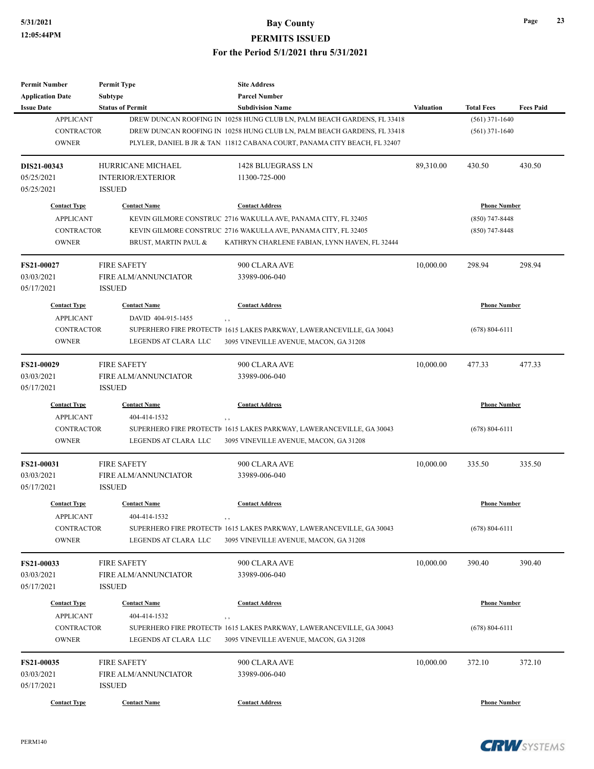**Permit Number**

**Permit Type**

# **5/31/2021 Bay County PERMITS ISSUED For the Period 5/1/2021 thru 5/31/2021**

**Site Address**

| <b>Status of Permit</b><br><b>Subdivision Name</b><br><b>Valuation</b><br><b>Total Fees</b><br><b>APPLICANT</b><br>$(561)$ 371-1640<br>DREW DUNCAN ROOFING IN 10258 HUNG CLUB LN, PALM BEACH GARDENS, FL 33418<br><b>CONTRACTOR</b><br>DREW DUNCAN ROOFING IN 10258 HUNG CLUB LN, PALM BEACH GARDENS, FL 33418<br>$(561)$ 371-1640<br><b>OWNER</b><br>PLYLER, DANIEL B JR & TAN. 11812 CABANA COURT, PANAMA CITY BEACH, FL 32407<br><b>HURRICANE MICHAEL</b><br>1428 BLUEGRASS LN<br>89,310.00<br>430.50<br>430.50<br><b>INTERIOR/EXTERIOR</b><br>11300-725-000<br><b>ISSUED</b><br><b>Contact Type</b><br><b>Contact Name</b><br><b>Contact Address</b><br><b>Phone Number</b><br><b>APPLICANT</b><br>KEVIN GILMORE CONSTRUC 2716 WAKULLA AVE, PANAMA CITY, FL 32405<br>$(850)$ 747-8448<br><b>CONTRACTOR</b><br>KEVIN GILMORE CONSTRUC 2716 WAKULLA AVE, PANAMA CITY, FL 32405<br>$(850)$ 747-8448<br><b>OWNER</b><br>BRUST, MARTIN PAUL &<br>KATHRYN CHARLENE FABIAN, LYNN HAVEN, FL 32444<br>10,000.00<br>298.94<br>298.94<br>FS21-00027<br><b>FIRE SAFETY</b><br>900 CLARA AVE<br>03/03/2021<br><b>FIRE ALM/ANNUNCIATOR</b><br>33989-006-040<br><b>ISSUED</b><br><b>Contact Type</b><br><b>Contact Name</b><br><b>Contact Address</b><br><b>Phone Number</b><br><b>APPLICANT</b><br>DAVID 404-915-1455<br><b>CONTRACTOR</b><br>SUPERHERO FIRE PROTECTI 1615 LAKES PARKWAY, LAWERANCEVILLE, GA 30043<br>$(678) 804 - 6111$<br><b>OWNER</b><br>LEGENDS AT CLARA LLC<br>3095 VINEVILLE AVENUE, MACON, GA 31208<br><b>FIRE SAFETY</b><br>10,000.00<br>477.33<br><b>FS21-00029</b><br>900 CLARA AVE<br>477.33<br>03/03/2021<br>FIRE ALM/ANNUNCIATOR<br>33989-006-040<br><b>ISSUED</b><br><b>Contact Type</b><br><b>Contact Name</b><br><b>Contact Address</b><br><b>Phone Number</b><br><b>APPLICANT</b><br>404-414-1532<br>$, \, ,$<br><b>CONTRACTOR</b><br>$(678) 804 - 6111$<br>SUPERHERO FIRE PROTECTI 1615 LAKES PARKWAY, LAWERANCEVILLE, GA 30043<br><b>OWNER</b><br>LEGENDS AT CLARA LLC<br>3095 VINEVILLE AVENUE, MACON, GA 31208<br>10,000.00<br><b>FIRE SAFETY</b><br>900 CLARA AVE<br>335.50<br>FS21-00031<br>335.50<br><b>FIRE ALM/ANNUNCIATOR</b><br>33989-006-040<br><b>ISSUED</b><br><b>Contact Type</b><br><b>Contact Name</b><br><b>Contact Address</b><br><b>Phone Number</b><br><b>APPLICANT</b><br>404-414-1532<br>, ,<br>CONTRACTOR<br>SUPERHERO FIRE PROTECTI 1615 LAKES PARKWAY, LAWERANCEVILLE, GA 30043<br>$(678) 804 - 6111$<br><b>OWNER</b><br>LEGENDS AT CLARA LLC<br>3095 VINEVILLE AVENUE, MACON, GA 31208<br>390.40<br><b>FIRE SAFETY</b><br>900 CLARA AVE<br>10,000.00<br>390.40<br>FS21-00033<br>03/03/2021<br>FIRE ALM/ANNUNCIATOR<br>33989-006-040<br><b>ISSUED</b><br><b>Contact Address</b><br><b>Phone Number</b><br><b>Contact Type</b><br><b>Contact Name</b><br><b>APPLICANT</b><br>404-414-1532<br>, ,<br><b>CONTRACTOR</b><br>SUPERHERO FIRE PROTECTI 1615 LAKES PARKWAY, LAWERANCEVILLE, GA 30043<br>$(678) 804 - 6111$<br><b>OWNER</b><br>LEGENDS AT CLARA LLC<br>3095 VINEVILLE AVENUE, MACON, GA 31208<br>10,000.00<br>FS21-00035<br><b>FIRE SAFETY</b><br>900 CLARA AVE<br>372.10<br>372.10<br>FIRE ALM/ANNUNCIATOR<br>33989-006-040<br><b>ISSUED</b><br><b>Phone Number</b><br><b>Contact Type</b><br><b>Contact Name</b><br><b>Contact Address</b> | <b>Application Date</b> | Subtype | <b>Parcel Number</b> |  |                  |
|------------------------------------------------------------------------------------------------------------------------------------------------------------------------------------------------------------------------------------------------------------------------------------------------------------------------------------------------------------------------------------------------------------------------------------------------------------------------------------------------------------------------------------------------------------------------------------------------------------------------------------------------------------------------------------------------------------------------------------------------------------------------------------------------------------------------------------------------------------------------------------------------------------------------------------------------------------------------------------------------------------------------------------------------------------------------------------------------------------------------------------------------------------------------------------------------------------------------------------------------------------------------------------------------------------------------------------------------------------------------------------------------------------------------------------------------------------------------------------------------------------------------------------------------------------------------------------------------------------------------------------------------------------------------------------------------------------------------------------------------------------------------------------------------------------------------------------------------------------------------------------------------------------------------------------------------------------------------------------------------------------------------------------------------------------------------------------------------------------------------------------------------------------------------------------------------------------------------------------------------------------------------------------------------------------------------------------------------------------------------------------------------------------------------------------------------------------------------------------------------------------------------------------------------------------------------------------------------------------------------------------------------------------------------------------------------------------------------------------------------------------------------------------------------------------------------------------------------------------------------------------------------------------------------------------------------------------------------------------------------------------------------------------------------------------------------------------------------------------------------------------------------------------------------------------------------------------------------------------------------------------------------------------------------------|-------------------------|---------|----------------------|--|------------------|
|                                                                                                                                                                                                                                                                                                                                                                                                                                                                                                                                                                                                                                                                                                                                                                                                                                                                                                                                                                                                                                                                                                                                                                                                                                                                                                                                                                                                                                                                                                                                                                                                                                                                                                                                                                                                                                                                                                                                                                                                                                                                                                                                                                                                                                                                                                                                                                                                                                                                                                                                                                                                                                                                                                                                                                                                                                                                                                                                                                                                                                                                                                                                                                                                                                                                                                      | <b>Issue Date</b>       |         |                      |  | <b>Fees Paid</b> |
|                                                                                                                                                                                                                                                                                                                                                                                                                                                                                                                                                                                                                                                                                                                                                                                                                                                                                                                                                                                                                                                                                                                                                                                                                                                                                                                                                                                                                                                                                                                                                                                                                                                                                                                                                                                                                                                                                                                                                                                                                                                                                                                                                                                                                                                                                                                                                                                                                                                                                                                                                                                                                                                                                                                                                                                                                                                                                                                                                                                                                                                                                                                                                                                                                                                                                                      |                         |         |                      |  |                  |
|                                                                                                                                                                                                                                                                                                                                                                                                                                                                                                                                                                                                                                                                                                                                                                                                                                                                                                                                                                                                                                                                                                                                                                                                                                                                                                                                                                                                                                                                                                                                                                                                                                                                                                                                                                                                                                                                                                                                                                                                                                                                                                                                                                                                                                                                                                                                                                                                                                                                                                                                                                                                                                                                                                                                                                                                                                                                                                                                                                                                                                                                                                                                                                                                                                                                                                      |                         |         |                      |  |                  |
|                                                                                                                                                                                                                                                                                                                                                                                                                                                                                                                                                                                                                                                                                                                                                                                                                                                                                                                                                                                                                                                                                                                                                                                                                                                                                                                                                                                                                                                                                                                                                                                                                                                                                                                                                                                                                                                                                                                                                                                                                                                                                                                                                                                                                                                                                                                                                                                                                                                                                                                                                                                                                                                                                                                                                                                                                                                                                                                                                                                                                                                                                                                                                                                                                                                                                                      |                         |         |                      |  |                  |
|                                                                                                                                                                                                                                                                                                                                                                                                                                                                                                                                                                                                                                                                                                                                                                                                                                                                                                                                                                                                                                                                                                                                                                                                                                                                                                                                                                                                                                                                                                                                                                                                                                                                                                                                                                                                                                                                                                                                                                                                                                                                                                                                                                                                                                                                                                                                                                                                                                                                                                                                                                                                                                                                                                                                                                                                                                                                                                                                                                                                                                                                                                                                                                                                                                                                                                      | DIS21-00343             |         |                      |  |                  |
|                                                                                                                                                                                                                                                                                                                                                                                                                                                                                                                                                                                                                                                                                                                                                                                                                                                                                                                                                                                                                                                                                                                                                                                                                                                                                                                                                                                                                                                                                                                                                                                                                                                                                                                                                                                                                                                                                                                                                                                                                                                                                                                                                                                                                                                                                                                                                                                                                                                                                                                                                                                                                                                                                                                                                                                                                                                                                                                                                                                                                                                                                                                                                                                                                                                                                                      | 05/25/2021              |         |                      |  |                  |
|                                                                                                                                                                                                                                                                                                                                                                                                                                                                                                                                                                                                                                                                                                                                                                                                                                                                                                                                                                                                                                                                                                                                                                                                                                                                                                                                                                                                                                                                                                                                                                                                                                                                                                                                                                                                                                                                                                                                                                                                                                                                                                                                                                                                                                                                                                                                                                                                                                                                                                                                                                                                                                                                                                                                                                                                                                                                                                                                                                                                                                                                                                                                                                                                                                                                                                      | 05/25/2021              |         |                      |  |                  |
|                                                                                                                                                                                                                                                                                                                                                                                                                                                                                                                                                                                                                                                                                                                                                                                                                                                                                                                                                                                                                                                                                                                                                                                                                                                                                                                                                                                                                                                                                                                                                                                                                                                                                                                                                                                                                                                                                                                                                                                                                                                                                                                                                                                                                                                                                                                                                                                                                                                                                                                                                                                                                                                                                                                                                                                                                                                                                                                                                                                                                                                                                                                                                                                                                                                                                                      |                         |         |                      |  |                  |
|                                                                                                                                                                                                                                                                                                                                                                                                                                                                                                                                                                                                                                                                                                                                                                                                                                                                                                                                                                                                                                                                                                                                                                                                                                                                                                                                                                                                                                                                                                                                                                                                                                                                                                                                                                                                                                                                                                                                                                                                                                                                                                                                                                                                                                                                                                                                                                                                                                                                                                                                                                                                                                                                                                                                                                                                                                                                                                                                                                                                                                                                                                                                                                                                                                                                                                      |                         |         |                      |  |                  |
|                                                                                                                                                                                                                                                                                                                                                                                                                                                                                                                                                                                                                                                                                                                                                                                                                                                                                                                                                                                                                                                                                                                                                                                                                                                                                                                                                                                                                                                                                                                                                                                                                                                                                                                                                                                                                                                                                                                                                                                                                                                                                                                                                                                                                                                                                                                                                                                                                                                                                                                                                                                                                                                                                                                                                                                                                                                                                                                                                                                                                                                                                                                                                                                                                                                                                                      |                         |         |                      |  |                  |
|                                                                                                                                                                                                                                                                                                                                                                                                                                                                                                                                                                                                                                                                                                                                                                                                                                                                                                                                                                                                                                                                                                                                                                                                                                                                                                                                                                                                                                                                                                                                                                                                                                                                                                                                                                                                                                                                                                                                                                                                                                                                                                                                                                                                                                                                                                                                                                                                                                                                                                                                                                                                                                                                                                                                                                                                                                                                                                                                                                                                                                                                                                                                                                                                                                                                                                      |                         |         |                      |  |                  |
|                                                                                                                                                                                                                                                                                                                                                                                                                                                                                                                                                                                                                                                                                                                                                                                                                                                                                                                                                                                                                                                                                                                                                                                                                                                                                                                                                                                                                                                                                                                                                                                                                                                                                                                                                                                                                                                                                                                                                                                                                                                                                                                                                                                                                                                                                                                                                                                                                                                                                                                                                                                                                                                                                                                                                                                                                                                                                                                                                                                                                                                                                                                                                                                                                                                                                                      |                         |         |                      |  |                  |
|                                                                                                                                                                                                                                                                                                                                                                                                                                                                                                                                                                                                                                                                                                                                                                                                                                                                                                                                                                                                                                                                                                                                                                                                                                                                                                                                                                                                                                                                                                                                                                                                                                                                                                                                                                                                                                                                                                                                                                                                                                                                                                                                                                                                                                                                                                                                                                                                                                                                                                                                                                                                                                                                                                                                                                                                                                                                                                                                                                                                                                                                                                                                                                                                                                                                                                      |                         |         |                      |  |                  |
|                                                                                                                                                                                                                                                                                                                                                                                                                                                                                                                                                                                                                                                                                                                                                                                                                                                                                                                                                                                                                                                                                                                                                                                                                                                                                                                                                                                                                                                                                                                                                                                                                                                                                                                                                                                                                                                                                                                                                                                                                                                                                                                                                                                                                                                                                                                                                                                                                                                                                                                                                                                                                                                                                                                                                                                                                                                                                                                                                                                                                                                                                                                                                                                                                                                                                                      | 05/17/2021              |         |                      |  |                  |
|                                                                                                                                                                                                                                                                                                                                                                                                                                                                                                                                                                                                                                                                                                                                                                                                                                                                                                                                                                                                                                                                                                                                                                                                                                                                                                                                                                                                                                                                                                                                                                                                                                                                                                                                                                                                                                                                                                                                                                                                                                                                                                                                                                                                                                                                                                                                                                                                                                                                                                                                                                                                                                                                                                                                                                                                                                                                                                                                                                                                                                                                                                                                                                                                                                                                                                      |                         |         |                      |  |                  |
|                                                                                                                                                                                                                                                                                                                                                                                                                                                                                                                                                                                                                                                                                                                                                                                                                                                                                                                                                                                                                                                                                                                                                                                                                                                                                                                                                                                                                                                                                                                                                                                                                                                                                                                                                                                                                                                                                                                                                                                                                                                                                                                                                                                                                                                                                                                                                                                                                                                                                                                                                                                                                                                                                                                                                                                                                                                                                                                                                                                                                                                                                                                                                                                                                                                                                                      |                         |         |                      |  |                  |
|                                                                                                                                                                                                                                                                                                                                                                                                                                                                                                                                                                                                                                                                                                                                                                                                                                                                                                                                                                                                                                                                                                                                                                                                                                                                                                                                                                                                                                                                                                                                                                                                                                                                                                                                                                                                                                                                                                                                                                                                                                                                                                                                                                                                                                                                                                                                                                                                                                                                                                                                                                                                                                                                                                                                                                                                                                                                                                                                                                                                                                                                                                                                                                                                                                                                                                      |                         |         |                      |  |                  |
|                                                                                                                                                                                                                                                                                                                                                                                                                                                                                                                                                                                                                                                                                                                                                                                                                                                                                                                                                                                                                                                                                                                                                                                                                                                                                                                                                                                                                                                                                                                                                                                                                                                                                                                                                                                                                                                                                                                                                                                                                                                                                                                                                                                                                                                                                                                                                                                                                                                                                                                                                                                                                                                                                                                                                                                                                                                                                                                                                                                                                                                                                                                                                                                                                                                                                                      |                         |         |                      |  |                  |
|                                                                                                                                                                                                                                                                                                                                                                                                                                                                                                                                                                                                                                                                                                                                                                                                                                                                                                                                                                                                                                                                                                                                                                                                                                                                                                                                                                                                                                                                                                                                                                                                                                                                                                                                                                                                                                                                                                                                                                                                                                                                                                                                                                                                                                                                                                                                                                                                                                                                                                                                                                                                                                                                                                                                                                                                                                                                                                                                                                                                                                                                                                                                                                                                                                                                                                      |                         |         |                      |  |                  |
|                                                                                                                                                                                                                                                                                                                                                                                                                                                                                                                                                                                                                                                                                                                                                                                                                                                                                                                                                                                                                                                                                                                                                                                                                                                                                                                                                                                                                                                                                                                                                                                                                                                                                                                                                                                                                                                                                                                                                                                                                                                                                                                                                                                                                                                                                                                                                                                                                                                                                                                                                                                                                                                                                                                                                                                                                                                                                                                                                                                                                                                                                                                                                                                                                                                                                                      |                         |         |                      |  |                  |
|                                                                                                                                                                                                                                                                                                                                                                                                                                                                                                                                                                                                                                                                                                                                                                                                                                                                                                                                                                                                                                                                                                                                                                                                                                                                                                                                                                                                                                                                                                                                                                                                                                                                                                                                                                                                                                                                                                                                                                                                                                                                                                                                                                                                                                                                                                                                                                                                                                                                                                                                                                                                                                                                                                                                                                                                                                                                                                                                                                                                                                                                                                                                                                                                                                                                                                      | 05/17/2021              |         |                      |  |                  |
|                                                                                                                                                                                                                                                                                                                                                                                                                                                                                                                                                                                                                                                                                                                                                                                                                                                                                                                                                                                                                                                                                                                                                                                                                                                                                                                                                                                                                                                                                                                                                                                                                                                                                                                                                                                                                                                                                                                                                                                                                                                                                                                                                                                                                                                                                                                                                                                                                                                                                                                                                                                                                                                                                                                                                                                                                                                                                                                                                                                                                                                                                                                                                                                                                                                                                                      |                         |         |                      |  |                  |
|                                                                                                                                                                                                                                                                                                                                                                                                                                                                                                                                                                                                                                                                                                                                                                                                                                                                                                                                                                                                                                                                                                                                                                                                                                                                                                                                                                                                                                                                                                                                                                                                                                                                                                                                                                                                                                                                                                                                                                                                                                                                                                                                                                                                                                                                                                                                                                                                                                                                                                                                                                                                                                                                                                                                                                                                                                                                                                                                                                                                                                                                                                                                                                                                                                                                                                      |                         |         |                      |  |                  |
|                                                                                                                                                                                                                                                                                                                                                                                                                                                                                                                                                                                                                                                                                                                                                                                                                                                                                                                                                                                                                                                                                                                                                                                                                                                                                                                                                                                                                                                                                                                                                                                                                                                                                                                                                                                                                                                                                                                                                                                                                                                                                                                                                                                                                                                                                                                                                                                                                                                                                                                                                                                                                                                                                                                                                                                                                                                                                                                                                                                                                                                                                                                                                                                                                                                                                                      |                         |         |                      |  |                  |
|                                                                                                                                                                                                                                                                                                                                                                                                                                                                                                                                                                                                                                                                                                                                                                                                                                                                                                                                                                                                                                                                                                                                                                                                                                                                                                                                                                                                                                                                                                                                                                                                                                                                                                                                                                                                                                                                                                                                                                                                                                                                                                                                                                                                                                                                                                                                                                                                                                                                                                                                                                                                                                                                                                                                                                                                                                                                                                                                                                                                                                                                                                                                                                                                                                                                                                      |                         |         |                      |  |                  |
|                                                                                                                                                                                                                                                                                                                                                                                                                                                                                                                                                                                                                                                                                                                                                                                                                                                                                                                                                                                                                                                                                                                                                                                                                                                                                                                                                                                                                                                                                                                                                                                                                                                                                                                                                                                                                                                                                                                                                                                                                                                                                                                                                                                                                                                                                                                                                                                                                                                                                                                                                                                                                                                                                                                                                                                                                                                                                                                                                                                                                                                                                                                                                                                                                                                                                                      |                         |         |                      |  |                  |
|                                                                                                                                                                                                                                                                                                                                                                                                                                                                                                                                                                                                                                                                                                                                                                                                                                                                                                                                                                                                                                                                                                                                                                                                                                                                                                                                                                                                                                                                                                                                                                                                                                                                                                                                                                                                                                                                                                                                                                                                                                                                                                                                                                                                                                                                                                                                                                                                                                                                                                                                                                                                                                                                                                                                                                                                                                                                                                                                                                                                                                                                                                                                                                                                                                                                                                      | 03/03/2021              |         |                      |  |                  |
|                                                                                                                                                                                                                                                                                                                                                                                                                                                                                                                                                                                                                                                                                                                                                                                                                                                                                                                                                                                                                                                                                                                                                                                                                                                                                                                                                                                                                                                                                                                                                                                                                                                                                                                                                                                                                                                                                                                                                                                                                                                                                                                                                                                                                                                                                                                                                                                                                                                                                                                                                                                                                                                                                                                                                                                                                                                                                                                                                                                                                                                                                                                                                                                                                                                                                                      | 05/17/2021              |         |                      |  |                  |
|                                                                                                                                                                                                                                                                                                                                                                                                                                                                                                                                                                                                                                                                                                                                                                                                                                                                                                                                                                                                                                                                                                                                                                                                                                                                                                                                                                                                                                                                                                                                                                                                                                                                                                                                                                                                                                                                                                                                                                                                                                                                                                                                                                                                                                                                                                                                                                                                                                                                                                                                                                                                                                                                                                                                                                                                                                                                                                                                                                                                                                                                                                                                                                                                                                                                                                      |                         |         |                      |  |                  |
|                                                                                                                                                                                                                                                                                                                                                                                                                                                                                                                                                                                                                                                                                                                                                                                                                                                                                                                                                                                                                                                                                                                                                                                                                                                                                                                                                                                                                                                                                                                                                                                                                                                                                                                                                                                                                                                                                                                                                                                                                                                                                                                                                                                                                                                                                                                                                                                                                                                                                                                                                                                                                                                                                                                                                                                                                                                                                                                                                                                                                                                                                                                                                                                                                                                                                                      |                         |         |                      |  |                  |
|                                                                                                                                                                                                                                                                                                                                                                                                                                                                                                                                                                                                                                                                                                                                                                                                                                                                                                                                                                                                                                                                                                                                                                                                                                                                                                                                                                                                                                                                                                                                                                                                                                                                                                                                                                                                                                                                                                                                                                                                                                                                                                                                                                                                                                                                                                                                                                                                                                                                                                                                                                                                                                                                                                                                                                                                                                                                                                                                                                                                                                                                                                                                                                                                                                                                                                      |                         |         |                      |  |                  |
|                                                                                                                                                                                                                                                                                                                                                                                                                                                                                                                                                                                                                                                                                                                                                                                                                                                                                                                                                                                                                                                                                                                                                                                                                                                                                                                                                                                                                                                                                                                                                                                                                                                                                                                                                                                                                                                                                                                                                                                                                                                                                                                                                                                                                                                                                                                                                                                                                                                                                                                                                                                                                                                                                                                                                                                                                                                                                                                                                                                                                                                                                                                                                                                                                                                                                                      |                         |         |                      |  |                  |
|                                                                                                                                                                                                                                                                                                                                                                                                                                                                                                                                                                                                                                                                                                                                                                                                                                                                                                                                                                                                                                                                                                                                                                                                                                                                                                                                                                                                                                                                                                                                                                                                                                                                                                                                                                                                                                                                                                                                                                                                                                                                                                                                                                                                                                                                                                                                                                                                                                                                                                                                                                                                                                                                                                                                                                                                                                                                                                                                                                                                                                                                                                                                                                                                                                                                                                      |                         |         |                      |  |                  |
|                                                                                                                                                                                                                                                                                                                                                                                                                                                                                                                                                                                                                                                                                                                                                                                                                                                                                                                                                                                                                                                                                                                                                                                                                                                                                                                                                                                                                                                                                                                                                                                                                                                                                                                                                                                                                                                                                                                                                                                                                                                                                                                                                                                                                                                                                                                                                                                                                                                                                                                                                                                                                                                                                                                                                                                                                                                                                                                                                                                                                                                                                                                                                                                                                                                                                                      |                         |         |                      |  |                  |
|                                                                                                                                                                                                                                                                                                                                                                                                                                                                                                                                                                                                                                                                                                                                                                                                                                                                                                                                                                                                                                                                                                                                                                                                                                                                                                                                                                                                                                                                                                                                                                                                                                                                                                                                                                                                                                                                                                                                                                                                                                                                                                                                                                                                                                                                                                                                                                                                                                                                                                                                                                                                                                                                                                                                                                                                                                                                                                                                                                                                                                                                                                                                                                                                                                                                                                      | 05/17/2021              |         |                      |  |                  |
|                                                                                                                                                                                                                                                                                                                                                                                                                                                                                                                                                                                                                                                                                                                                                                                                                                                                                                                                                                                                                                                                                                                                                                                                                                                                                                                                                                                                                                                                                                                                                                                                                                                                                                                                                                                                                                                                                                                                                                                                                                                                                                                                                                                                                                                                                                                                                                                                                                                                                                                                                                                                                                                                                                                                                                                                                                                                                                                                                                                                                                                                                                                                                                                                                                                                                                      |                         |         |                      |  |                  |
|                                                                                                                                                                                                                                                                                                                                                                                                                                                                                                                                                                                                                                                                                                                                                                                                                                                                                                                                                                                                                                                                                                                                                                                                                                                                                                                                                                                                                                                                                                                                                                                                                                                                                                                                                                                                                                                                                                                                                                                                                                                                                                                                                                                                                                                                                                                                                                                                                                                                                                                                                                                                                                                                                                                                                                                                                                                                                                                                                                                                                                                                                                                                                                                                                                                                                                      |                         |         |                      |  |                  |
|                                                                                                                                                                                                                                                                                                                                                                                                                                                                                                                                                                                                                                                                                                                                                                                                                                                                                                                                                                                                                                                                                                                                                                                                                                                                                                                                                                                                                                                                                                                                                                                                                                                                                                                                                                                                                                                                                                                                                                                                                                                                                                                                                                                                                                                                                                                                                                                                                                                                                                                                                                                                                                                                                                                                                                                                                                                                                                                                                                                                                                                                                                                                                                                                                                                                                                      |                         |         |                      |  |                  |
|                                                                                                                                                                                                                                                                                                                                                                                                                                                                                                                                                                                                                                                                                                                                                                                                                                                                                                                                                                                                                                                                                                                                                                                                                                                                                                                                                                                                                                                                                                                                                                                                                                                                                                                                                                                                                                                                                                                                                                                                                                                                                                                                                                                                                                                                                                                                                                                                                                                                                                                                                                                                                                                                                                                                                                                                                                                                                                                                                                                                                                                                                                                                                                                                                                                                                                      |                         |         |                      |  |                  |
|                                                                                                                                                                                                                                                                                                                                                                                                                                                                                                                                                                                                                                                                                                                                                                                                                                                                                                                                                                                                                                                                                                                                                                                                                                                                                                                                                                                                                                                                                                                                                                                                                                                                                                                                                                                                                                                                                                                                                                                                                                                                                                                                                                                                                                                                                                                                                                                                                                                                                                                                                                                                                                                                                                                                                                                                                                                                                                                                                                                                                                                                                                                                                                                                                                                                                                      |                         |         |                      |  |                  |
|                                                                                                                                                                                                                                                                                                                                                                                                                                                                                                                                                                                                                                                                                                                                                                                                                                                                                                                                                                                                                                                                                                                                                                                                                                                                                                                                                                                                                                                                                                                                                                                                                                                                                                                                                                                                                                                                                                                                                                                                                                                                                                                                                                                                                                                                                                                                                                                                                                                                                                                                                                                                                                                                                                                                                                                                                                                                                                                                                                                                                                                                                                                                                                                                                                                                                                      | 03/03/2021              |         |                      |  |                  |
|                                                                                                                                                                                                                                                                                                                                                                                                                                                                                                                                                                                                                                                                                                                                                                                                                                                                                                                                                                                                                                                                                                                                                                                                                                                                                                                                                                                                                                                                                                                                                                                                                                                                                                                                                                                                                                                                                                                                                                                                                                                                                                                                                                                                                                                                                                                                                                                                                                                                                                                                                                                                                                                                                                                                                                                                                                                                                                                                                                                                                                                                                                                                                                                                                                                                                                      | 05/17/2021              |         |                      |  |                  |
|                                                                                                                                                                                                                                                                                                                                                                                                                                                                                                                                                                                                                                                                                                                                                                                                                                                                                                                                                                                                                                                                                                                                                                                                                                                                                                                                                                                                                                                                                                                                                                                                                                                                                                                                                                                                                                                                                                                                                                                                                                                                                                                                                                                                                                                                                                                                                                                                                                                                                                                                                                                                                                                                                                                                                                                                                                                                                                                                                                                                                                                                                                                                                                                                                                                                                                      |                         |         |                      |  |                  |
|                                                                                                                                                                                                                                                                                                                                                                                                                                                                                                                                                                                                                                                                                                                                                                                                                                                                                                                                                                                                                                                                                                                                                                                                                                                                                                                                                                                                                                                                                                                                                                                                                                                                                                                                                                                                                                                                                                                                                                                                                                                                                                                                                                                                                                                                                                                                                                                                                                                                                                                                                                                                                                                                                                                                                                                                                                                                                                                                                                                                                                                                                                                                                                                                                                                                                                      |                         |         |                      |  |                  |



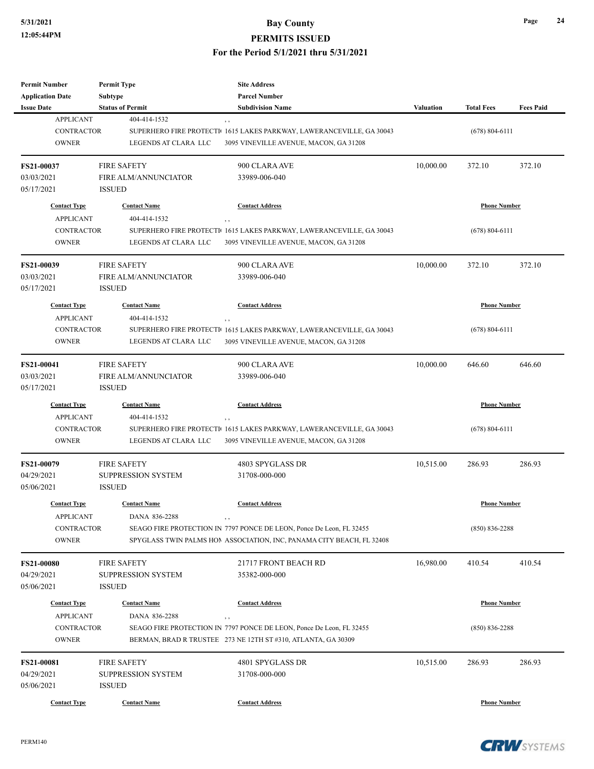| <b>Permit Number</b>                         | <b>Permit Type</b>                        | <b>Site Address</b>                                                                                                                           |                  |                     |                  |
|----------------------------------------------|-------------------------------------------|-----------------------------------------------------------------------------------------------------------------------------------------------|------------------|---------------------|------------------|
| <b>Application Date</b><br><b>Issue Date</b> | <b>Subtype</b><br><b>Status of Permit</b> | <b>Parcel Number</b><br><b>Subdivision Name</b>                                                                                               | <b>Valuation</b> | <b>Total Fees</b>   | <b>Fees Paid</b> |
| <b>APPLICANT</b>                             | 404-414-1532                              |                                                                                                                                               |                  |                     |                  |
| <b>CONTRACTOR</b>                            |                                           | , ,<br>SUPERHERO FIRE PROTECTI 1615 LAKES PARKWAY, LAWERANCEVILLE, GA 30043                                                                   |                  | $(678) 804 - 6111$  |                  |
| <b>OWNER</b>                                 | LEGENDS AT CLARA LLC                      | 3095 VINEVILLE AVENUE, MACON, GA 31208                                                                                                        |                  |                     |                  |
|                                              |                                           |                                                                                                                                               |                  |                     |                  |
| FS21-00037                                   | <b>FIRE SAFETY</b>                        | 900 CLARA AVE                                                                                                                                 | 10,000.00        | 372.10              | 372.10           |
| 03/03/2021                                   | <b>FIRE ALM/ANNUNCIATOR</b>               | 33989-006-040                                                                                                                                 |                  |                     |                  |
| 05/17/2021                                   | <b>ISSUED</b>                             |                                                                                                                                               |                  |                     |                  |
| <b>Contact Type</b>                          | <b>Contact Name</b>                       | <b>Contact Address</b>                                                                                                                        |                  | <b>Phone Number</b> |                  |
| <b>APPLICANT</b>                             | 404-414-1532                              |                                                                                                                                               |                  |                     |                  |
| <b>CONTRACTOR</b>                            |                                           | $, \, ,$<br>SUPERHERO FIRE PROTECTI <sup>1</sup> 1615 LAKES PARKWAY, LAWERANCEVILLE, GA 30043                                                 |                  | $(678) 804 - 6111$  |                  |
| <b>OWNER</b>                                 | LEGENDS AT CLARA LLC                      | 3095 VINEVILLE AVENUE, MACON, GA 31208                                                                                                        |                  |                     |                  |
|                                              |                                           |                                                                                                                                               |                  |                     |                  |
| <b>FS21-00039</b>                            | <b>FIRE SAFETY</b>                        | 900 CLARA AVE                                                                                                                                 | 10,000.00        | 372.10              | 372.10           |
| 03/03/2021                                   | FIRE ALM/ANNUNCIATOR                      | 33989-006-040                                                                                                                                 |                  |                     |                  |
| 05/17/2021                                   | <b>ISSUED</b>                             |                                                                                                                                               |                  |                     |                  |
|                                              |                                           |                                                                                                                                               |                  |                     |                  |
| <b>Contact Type</b>                          | <b>Contact Name</b>                       | <b>Contact Address</b>                                                                                                                        |                  | <b>Phone Number</b> |                  |
| <b>APPLICANT</b>                             | 404-414-1532                              | $, \, ,$                                                                                                                                      |                  |                     |                  |
| <b>CONTRACTOR</b>                            |                                           | SUPERHERO FIRE PROTECTI 1615 LAKES PARKWAY, LAWERANCEVILLE, GA 30043                                                                          |                  | $(678) 804 - 6111$  |                  |
| <b>OWNER</b>                                 | LEGENDS AT CLARA LLC                      | 3095 VINEVILLE AVENUE, MACON, GA 31208                                                                                                        |                  |                     |                  |
| FS21-00041                                   | <b>FIRE SAFETY</b>                        | 900 CLARA AVE                                                                                                                                 | 10,000.00        | 646.60              | 646.60           |
| 03/03/2021                                   | FIRE ALM/ANNUNCIATOR                      | 33989-006-040                                                                                                                                 |                  |                     |                  |
| 05/17/2021                                   | <b>ISSUED</b>                             |                                                                                                                                               |                  |                     |                  |
|                                              |                                           |                                                                                                                                               |                  |                     |                  |
| <b>Contact Type</b>                          | <b>Contact Name</b>                       | <b>Contact Address</b>                                                                                                                        |                  | <b>Phone Number</b> |                  |
| <b>APPLICANT</b><br><b>CONTRACTOR</b>        | 404-414-1532                              | $, \, , \,$                                                                                                                                   |                  |                     |                  |
| <b>OWNER</b>                                 | LEGENDS AT CLARA LLC                      | SUPERHERO FIRE PROTECTI <sup>1</sup> 1615 LAKES PARKWAY, LAWERANCEVILLE, GA 30043<br>3095 VINEVILLE AVENUE, MACON, GA 31208                   |                  | $(678) 804 - 6111$  |                  |
|                                              |                                           |                                                                                                                                               |                  |                     |                  |
| <b>FS21-00079</b>                            | <b>FIRE SAFETY</b>                        | 4803 SPYGLASS DR                                                                                                                              | 10,515.00        | 286.93              | 286.93           |
| 04/29/2021                                   | <b>SUPPRESSION SYSTEM</b>                 | 31708-000-000                                                                                                                                 |                  |                     |                  |
| 05/06/2021                                   | <b>ISSUED</b>                             |                                                                                                                                               |                  |                     |                  |
| <b>Contact Type</b>                          | <b>Contact Name</b>                       | <b>Contact Address</b>                                                                                                                        |                  | <b>Phone Number</b> |                  |
|                                              |                                           |                                                                                                                                               |                  |                     |                  |
| <b>APPLICANT</b>                             | DANA 836-2288                             | , ,                                                                                                                                           |                  |                     |                  |
| <b>CONTRACTOR</b><br><b>OWNER</b>            |                                           | SEAGO FIRE PROTECTION IN 7797 PONCE DE LEON, Ponce De Leon, FL 32455<br>SPYGLASS TWIN PALMS HON ASSOCIATION, INC, PANAMA CITY BEACH, FL 32408 |                  | $(850) 836 - 2288$  |                  |
|                                              |                                           |                                                                                                                                               |                  |                     |                  |
| <b>FS21-00080</b>                            | <b>FIRE SAFETY</b>                        | 21717 FRONT BEACH RD                                                                                                                          | 16,980.00        | 410.54              | 410.54           |
| 04/29/2021                                   | <b>SUPPRESSION SYSTEM</b>                 | 35382-000-000                                                                                                                                 |                  |                     |                  |
| 05/06/2021                                   | <b>ISSUED</b>                             |                                                                                                                                               |                  |                     |                  |
|                                              |                                           |                                                                                                                                               |                  |                     |                  |
| <b>Contact Type</b>                          | <b>Contact Name</b>                       | <b>Contact Address</b>                                                                                                                        |                  | <b>Phone Number</b> |                  |
| <b>APPLICANT</b>                             | DANA 836-2288                             | , ,                                                                                                                                           |                  |                     |                  |
| <b>CONTRACTOR</b>                            |                                           | SEAGO FIRE PROTECTION IN 7797 PONCE DE LEON, Ponce De Leon, FL 32455                                                                          |                  | $(850) 836 - 2288$  |                  |
| <b>OWNER</b>                                 |                                           | BERMAN, BRAD R TRUSTEE 273 NE 12TH ST #310, ATLANTA, GA 30309                                                                                 |                  |                     |                  |
| FS21-00081                                   | <b>FIRE SAFETY</b>                        | 4801 SPYGLASS DR                                                                                                                              | 10,515.00        | 286.93              | 286.93           |
| 04/29/2021                                   | <b>SUPPRESSION SYSTEM</b>                 | 31708-000-000                                                                                                                                 |                  |                     |                  |
| 05/06/2021                                   | <b>ISSUED</b>                             |                                                                                                                                               |                  |                     |                  |
|                                              |                                           |                                                                                                                                               |                  |                     |                  |
| <b>Contact Type</b>                          | <b>Contact Name</b>                       | <b>Contact Address</b>                                                                                                                        |                  | <b>Phone Number</b> |                  |

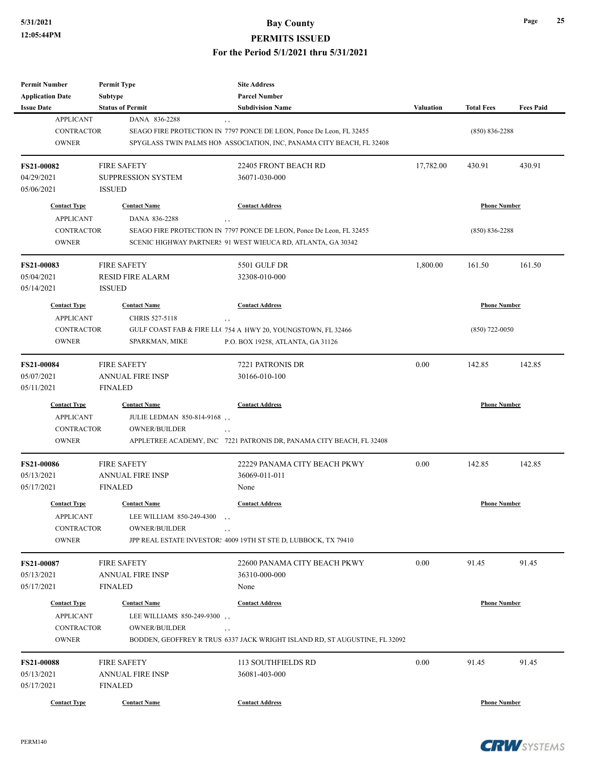| <b>Permit Number</b>    | <b>Permit Type</b>         | <b>Site Address</b>                                                        |                  |                     |                  |
|-------------------------|----------------------------|----------------------------------------------------------------------------|------------------|---------------------|------------------|
| <b>Application Date</b> | <b>Subtype</b>             | <b>Parcel Number</b>                                                       |                  |                     |                  |
| <b>Issue Date</b>       | <b>Status of Permit</b>    | <b>Subdivision Name</b>                                                    | <b>Valuation</b> | <b>Total Fees</b>   | <b>Fees Paid</b> |
| <b>APPLICANT</b>        | DANA 836-2288              | , ,                                                                        |                  |                     |                  |
| <b>CONTRACTOR</b>       |                            | SEAGO FIRE PROTECTION IN 7797 PONCE DE LEON, Ponce De Leon, FL 32455       |                  | $(850) 836 - 2288$  |                  |
| <b>OWNER</b>            |                            | SPYGLASS TWIN PALMS HOMASSOCIATION, INC, PANAMA CITY BEACH, FL 32408       |                  |                     |                  |
|                         |                            |                                                                            |                  |                     |                  |
| <b>FS21-00082</b>       | <b>FIRE SAFETY</b>         | 22405 FRONT BEACH RD                                                       | 17,782.00        | 430.91              | 430.91           |
| 04/29/2021              | <b>SUPPRESSION SYSTEM</b>  | 36071-030-000                                                              |                  |                     |                  |
| 05/06/2021              | <b>ISSUED</b>              |                                                                            |                  |                     |                  |
| <b>Contact Type</b>     | <b>Contact Name</b>        | <b>Contact Address</b>                                                     |                  | <b>Phone Number</b> |                  |
| <b>APPLICANT</b>        | DANA 836-2288              | $, \, ,$                                                                   |                  |                     |                  |
| <b>CONTRACTOR</b>       |                            | SEAGO FIRE PROTECTION IN 7797 PONCE DE LEON, Ponce De Leon, FL 32455       |                  | $(850) 836 - 2288$  |                  |
| <b>OWNER</b>            |                            | SCENIC HIGHWAY PARTNERS 91 WEST WIEUCA RD, ATLANTA, GA 30342               |                  |                     |                  |
|                         |                            |                                                                            |                  |                     |                  |
| <b>FS21-00083</b>       | <b>FIRE SAFETY</b>         | 5501 GULF DR                                                               | 1,800.00         | 161.50              | 161.50           |
| 05/04/2021              | <b>RESID FIRE ALARM</b>    | 32308-010-000                                                              |                  |                     |                  |
| 05/14/2021              | <b>ISSUED</b>              |                                                                            |                  |                     |                  |
| <b>Contact Type</b>     | <b>Contact Name</b>        | <b>Contact Address</b>                                                     |                  | <b>Phone Number</b> |                  |
| <b>APPLICANT</b>        | CHRIS 527-5118             | $, \, ,$                                                                   |                  |                     |                  |
| <b>CONTRACTOR</b>       |                            | GULF COAST FAB & FIRE LL(754 A HWY 20, YOUNGSTOWN, FL 32466                |                  | $(850)$ 722-0050    |                  |
| <b>OWNER</b>            | <b>SPARKMAN, MIKE</b>      | P.O. BOX 19258, ATLANTA, GA 31126                                          |                  |                     |                  |
|                         |                            |                                                                            |                  |                     |                  |
| FS21-00084              | <b>FIRE SAFETY</b>         | 7221 PATRONIS DR                                                           | 0.00             | 142.85              | 142.85           |
| 05/07/2021              | <b>ANNUAL FIRE INSP</b>    | 30166-010-100                                                              |                  |                     |                  |
| 05/11/2021              | <b>FINALED</b>             |                                                                            |                  |                     |                  |
| <b>Contact Type</b>     | <b>Contact Name</b>        | <b>Contact Address</b>                                                     |                  | <b>Phone Number</b> |                  |
| <b>APPLICANT</b>        | JULIE LEDMAN 850-814-9168, |                                                                            |                  |                     |                  |
| CONTRACTOR              | <b>OWNER/BUILDER</b>       | , ,                                                                        |                  |                     |                  |
| <b>OWNER</b>            |                            | APPLETREE ACADEMY, INC 7221 PATRONIS DR, PANAMA CITY BEACH, FL 32408       |                  |                     |                  |
|                         |                            |                                                                            |                  |                     |                  |
| <b>FS21-00086</b>       | <b>FIRE SAFETY</b>         | 22229 PANAMA CITY BEACH PKWY                                               | 0.00             | 142.85              | 142.85           |
| 05/13/2021              | <b>ANNUAL FIRE INSP</b>    | 36069-011-011                                                              |                  |                     |                  |
| 05/17/2021              | <b>FINALED</b>             | None                                                                       |                  |                     |                  |
| <b>Contact Type</b>     | <b>Contact Name</b>        | <b>Contact Address</b>                                                     |                  | <b>Phone Number</b> |                  |
| <b>APPLICANT</b>        | LEE WILLIAM 850-249-4300   |                                                                            |                  |                     |                  |
| CONTRACTOR              | <b>OWNER/BUILDER</b>       | , ,                                                                        |                  |                     |                  |
| <b>OWNER</b>            |                            | JPP REAL ESTATE INVESTOR: 4009 19TH ST STE D, LUBBOCK, TX 79410            |                  |                     |                  |
|                         |                            |                                                                            |                  |                     |                  |
| <b>FS21-00087</b>       | <b>FIRE SAFETY</b>         | 22600 PANAMA CITY BEACH PKWY                                               | 0.00             | 91.45               | 91.45            |
| 05/13/2021              | <b>ANNUAL FIRE INSP</b>    | 36310-000-000                                                              |                  |                     |                  |
| 05/17/2021              | <b>FINALED</b>             | None                                                                       |                  |                     |                  |
| <b>Contact Type</b>     | <b>Contact Name</b>        | <b>Contact Address</b>                                                     |                  | <b>Phone Number</b> |                  |
| <b>APPLICANT</b>        | LEE WILLIAMS 850-249-9300, |                                                                            |                  |                     |                  |
| CONTRACTOR              | <b>OWNER/BUILDER</b>       | $, \, ,$                                                                   |                  |                     |                  |
| <b>OWNER</b>            |                            | BODDEN, GEOFFREY R TRUS 6337 JACK WRIGHT ISLAND RD, ST AUGUSTINE, FL 32092 |                  |                     |                  |
|                         |                            |                                                                            |                  |                     |                  |
| <b>FS21-00088</b>       | <b>FIRE SAFETY</b>         | 113 SOUTHFIELDS RD                                                         | 0.00             | 91.45               | 91.45            |
| 05/13/2021              | <b>ANNUAL FIRE INSP</b>    | 36081-403-000                                                              |                  |                     |                  |
| 05/17/2021              | <b>FINALED</b>             |                                                                            |                  |                     |                  |
| <b>Contact Type</b>     | <b>Contact Name</b>        | <b>Contact Address</b>                                                     |                  | <b>Phone Number</b> |                  |

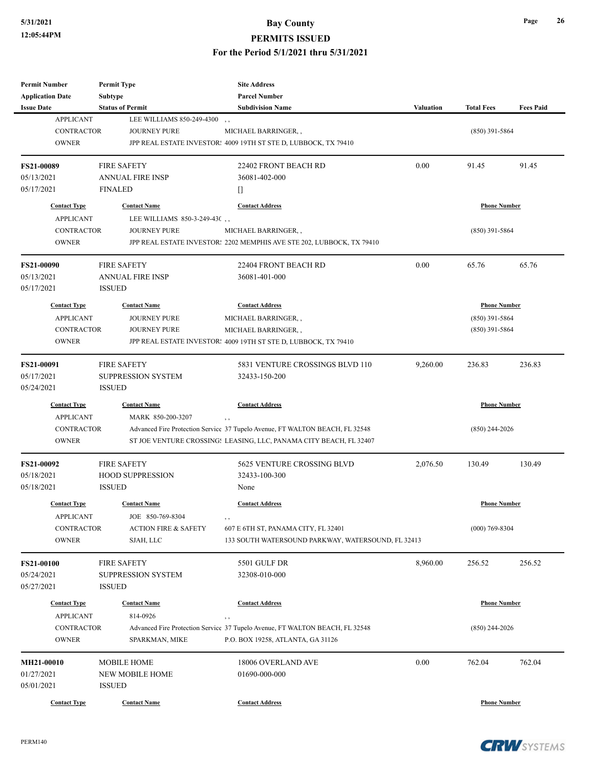## **5/31/2021 Bay County**

### **PERMITS ISSUED**

### **For the Period 5/1/2021 thru 5/31/2021**

| <b>Permit Number</b>    | <b>Permit Type</b>              | <b>Site Address</b>                                                          |                  |                     |                  |
|-------------------------|---------------------------------|------------------------------------------------------------------------------|------------------|---------------------|------------------|
| <b>Application Date</b> | <b>Subtype</b>                  | <b>Parcel Number</b>                                                         |                  |                     |                  |
| <b>Issue Date</b>       | <b>Status of Permit</b>         | <b>Subdivision Name</b>                                                      | <b>Valuation</b> | <b>Total Fees</b>   | <b>Fees Paid</b> |
| <b>APPLICANT</b>        | LEE WILLIAMS 850-249-4300       |                                                                              |                  |                     |                  |
| <b>CONTRACTOR</b>       | <b>JOURNEY PURE</b>             | MICHAEL BARRINGER,,                                                          |                  | $(850)$ 391-5864    |                  |
| <b>OWNER</b>            |                                 | JPP REAL ESTATE INVESTOR: 4009 19TH ST STE D, LUBBOCK, TX 79410              |                  |                     |                  |
| <b>FS21-00089</b>       | <b>FIRE SAFETY</b>              | 22402 FRONT BEACH RD                                                         | 0.00             | 91.45               | 91.45            |
| 05/13/2021              | <b>ANNUAL FIRE INSP</b>         | 36081-402-000                                                                |                  |                     |                  |
| 05/17/2021              | <b>FINALED</b>                  | O                                                                            |                  |                     |                  |
| <b>Contact Type</b>     | <b>Contact Name</b>             | <b>Contact Address</b>                                                       |                  | <b>Phone Number</b> |                  |
| <b>APPLICANT</b>        | LEE WILLIAMS 850-3-249-430,     |                                                                              |                  |                     |                  |
| <b>CONTRACTOR</b>       | <b>JOURNEY PURE</b>             | MICHAEL BARRINGER,,                                                          |                  | $(850)$ 391-5864    |                  |
| <b>OWNER</b>            |                                 | JPP REAL ESTATE INVESTOR: 2202 MEMPHIS AVE STE 202, LUBBOCK, TX 79410        |                  |                     |                  |
| <b>FS21-00090</b>       | <b>FIRE SAFETY</b>              | 22404 FRONT BEACH RD                                                         | 0.00             | 65.76               | 65.76            |
| 05/13/2021              | <b>ANNUAL FIRE INSP</b>         | 36081-401-000                                                                |                  |                     |                  |
| 05/17/2021              | <b>ISSUED</b>                   |                                                                              |                  |                     |                  |
| <b>Contact Type</b>     | <b>Contact Name</b>             | <b>Contact Address</b>                                                       |                  | <b>Phone Number</b> |                  |
| <b>APPLICANT</b>        | <b>JOURNEY PURE</b>             | MICHAEL BARRINGER,,                                                          |                  | $(850)$ 391-5864    |                  |
| <b>CONTRACTOR</b>       | <b>JOURNEY PURE</b>             | MICHAEL BARRINGER,,                                                          |                  | $(850)$ 391-5864    |                  |
| <b>OWNER</b>            |                                 | JPP REAL ESTATE INVESTOR: 4009 19TH ST STE D, LUBBOCK, TX 79410              |                  |                     |                  |
|                         |                                 |                                                                              |                  |                     |                  |
| <b>FS21-00091</b>       | <b>FIRE SAFETY</b>              | 5831 VENTURE CROSSINGS BLVD 110                                              | 9,260.00         | 236.83              | 236.83           |
| 05/17/2021              | <b>SUPPRESSION SYSTEM</b>       | 32433-150-200                                                                |                  |                     |                  |
| 05/24/2021              | <b>ISSUED</b>                   |                                                                              |                  |                     |                  |
| <b>Contact Type</b>     | <b>Contact Name</b>             | <b>Contact Address</b>                                                       |                  | <b>Phone Number</b> |                  |
| <b>APPLICANT</b>        | MARK 850-200-3207               | ,,                                                                           |                  |                     |                  |
| CONTRACTOR              |                                 | Advanced Fire Protection Service 37 Tupelo Avenue, FT WALTON BEACH, FL 32548 |                  | $(850)$ 244-2026    |                  |
| <b>OWNER</b>            |                                 | ST JOE VENTURE CROSSING: LEASING, LLC, PANAMA CITY BEACH, FL 32407           |                  |                     |                  |
| <b>FS21-00092</b>       | <b>FIRE SAFETY</b>              | 5625 VENTURE CROSSING BLVD                                                   | 2,076.50         | 130.49              | 130.49           |
| 05/18/2021              | <b>HOOD SUPPRESSION</b>         | 32433-100-300                                                                |                  |                     |                  |
| 05/18/2021              | <b>ISSUED</b>                   | None                                                                         |                  |                     |                  |
| <b>Contact Type</b>     | <b>Contact Name</b>             | <b>Contact Address</b>                                                       |                  | <b>Phone Number</b> |                  |
| <b>APPLICANT</b>        | JOE 850-769-8304                |                                                                              |                  |                     |                  |
| <b>CONTRACTOR</b>       | <b>ACTION FIRE &amp; SAFETY</b> | 607 E 6TH ST, PANAMA CITY, FL 32401                                          |                  | $(000)$ 769-8304    |                  |
| <b>OWNER</b>            | SJAH, LLC                       | 133 SOUTH WATERSOUND PARKWAY, WATERSOUND, FL 32413                           |                  |                     |                  |
| <b>FS21-00100</b>       | <b>FIRE SAFETY</b>              | 5501 GULF DR                                                                 | 8,960.00         | 256.52              | 256.52           |
| 05/24/2021              | <b>SUPPRESSION SYSTEM</b>       | 32308-010-000                                                                |                  |                     |                  |
| 05/27/2021              | <b>ISSUED</b>                   |                                                                              |                  |                     |                  |
| <b>Contact Type</b>     | <b>Contact Name</b>             | <b>Contact Address</b>                                                       |                  | <b>Phone Number</b> |                  |
| <b>APPLICANT</b>        | 814-0926                        | , ,                                                                          |                  |                     |                  |
| <b>CONTRACTOR</b>       |                                 | Advanced Fire Protection Service 37 Tupelo Avenue, FT WALTON BEACH, FL 32548 |                  | $(850)$ 244-2026    |                  |
| <b>OWNER</b>            | SPARKMAN, MIKE                  | P.O. BOX 19258, ATLANTA, GA 31126                                            |                  |                     |                  |
| <b>MH21-00010</b>       | <b>MOBILE HOME</b>              | 18006 OVERLAND AVE                                                           | 0.00             | 762.04              | 762.04           |
| 01/27/2021              | <b>NEW MOBILE HOME</b>          | 01690-000-000                                                                |                  |                     |                  |
| 05/01/2021              | <b>ISSUED</b>                   |                                                                              |                  |                     |                  |
| <b>Contact Type</b>     | <b>Contact Name</b>             | <b>Contact Address</b>                                                       |                  | <b>Phone Number</b> |                  |

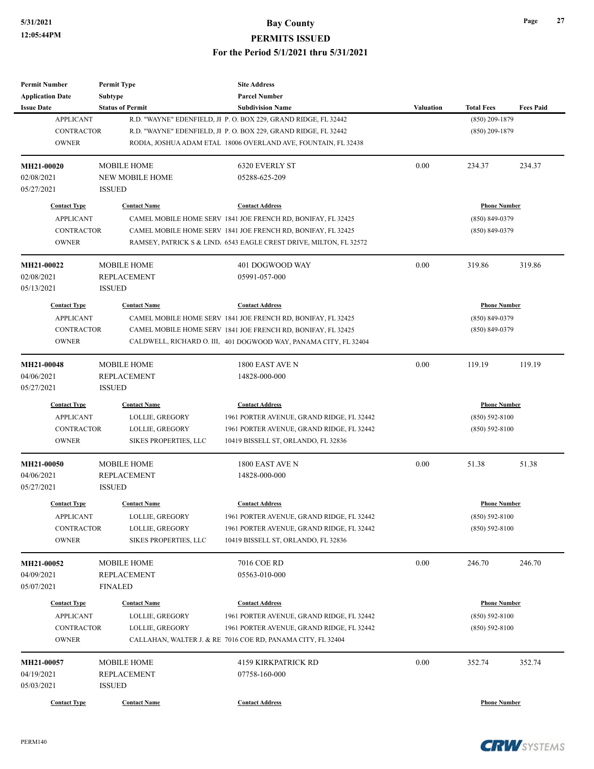| <b>Permit Number</b>    | <b>Permit Type</b>           | <b>Site Address</b>                                                |                  |                     |                  |
|-------------------------|------------------------------|--------------------------------------------------------------------|------------------|---------------------|------------------|
| <b>Application Date</b> | Subtype                      | <b>Parcel Number</b>                                               |                  |                     |                  |
| <b>Issue Date</b>       | <b>Status of Permit</b>      | <b>Subdivision Name</b>                                            | <b>Valuation</b> | <b>Total Fees</b>   | <b>Fees Paid</b> |
| <b>APPLICANT</b>        |                              | R.D. "WAYNE" EDENFIELD, JI P. O. BOX 229, GRAND RIDGE, FL 32442    |                  | $(850)$ 209-1879    |                  |
| <b>CONTRACTOR</b>       |                              | R.D. "WAYNE" EDENFIELD, JI P. O. BOX 229, GRAND RIDGE, FL 32442    |                  | $(850)$ 209-1879    |                  |
| <b>OWNER</b>            |                              | RODIA, JOSHUA ADAM ETAL 18006 OVERLAND AVE, FOUNTAIN, FL 32438     |                  |                     |                  |
| MH21-00020              | <b>MOBILE HOME</b>           | 6320 EVERLY ST                                                     | 0.00             | 234.37              | 234.37           |
| 02/08/2021              | <b>NEW MOBILE HOME</b>       | 05288-625-209                                                      |                  |                     |                  |
| 05/27/2021              | <b>ISSUED</b>                |                                                                    |                  |                     |                  |
| <b>Contact Type</b>     | <b>Contact Name</b>          | <b>Contact Address</b>                                             |                  | <b>Phone Number</b> |                  |
| <b>APPLICANT</b>        |                              | CAMEL MOBILE HOME SERV 1841 JOE FRENCH RD, BONIFAY, FL 32425       |                  | $(850) 849 - 0379$  |                  |
| <b>CONTRACTOR</b>       |                              | CAMEL MOBILE HOME SERV 1841 JOE FRENCH RD, BONIFAY, FL 32425       |                  | $(850) 849 - 0379$  |                  |
| <b>OWNER</b>            |                              | RAMSEY, PATRICK S & LIND. 6543 EAGLE CREST DRIVE, MILTON, FL 32572 |                  |                     |                  |
| MH21-00022              | <b>MOBILE HOME</b>           | 401 DOGWOOD WAY                                                    | 0.00             | 319.86              | 319.86           |
| 02/08/2021              | <b>REPLACEMENT</b>           | 05991-057-000                                                      |                  |                     |                  |
| 05/13/2021              | <b>ISSUED</b>                |                                                                    |                  |                     |                  |
| <b>Contact Type</b>     | <b>Contact Name</b>          | <b>Contact Address</b>                                             |                  | <b>Phone Number</b> |                  |
| <b>APPLICANT</b>        |                              | CAMEL MOBILE HOME SERV 1841 JOE FRENCH RD, BONIFAY, FL 32425       |                  | $(850) 849 - 0379$  |                  |
| <b>CONTRACTOR</b>       |                              | CAMEL MOBILE HOME SERV 1841 JOE FRENCH RD, BONIFAY, FL 32425       |                  | $(850) 849 - 0379$  |                  |
| <b>OWNER</b>            |                              | CALDWELL, RICHARD O. III, 401 DOGWOOD WAY, PANAMA CITY, FL 32404   |                  |                     |                  |
|                         |                              |                                                                    |                  |                     |                  |
| MH21-00048              | <b>MOBILE HOME</b>           | 1800 EAST AVE N                                                    | 0.00             | 119.19              | 119.19           |
| 04/06/2021              | REPLACEMENT                  | 14828-000-000                                                      |                  |                     |                  |
| 05/27/2021              | <b>ISSUED</b>                |                                                                    |                  |                     |                  |
| <b>Contact Type</b>     | <b>Contact Name</b>          | <b>Contact Address</b>                                             |                  | <b>Phone Number</b> |                  |
| <b>APPLICANT</b>        | LOLLIE, GREGORY              | 1961 PORTER AVENUE, GRAND RIDGE, FL 32442                          |                  | $(850) 592 - 8100$  |                  |
| <b>CONTRACTOR</b>       | LOLLIE, GREGORY              | 1961 PORTER AVENUE, GRAND RIDGE, FL 32442                          |                  | $(850) 592 - 8100$  |                  |
| <b>OWNER</b>            | <b>SIKES PROPERTIES, LLC</b> | 10419 BISSELL ST, ORLANDO, FL 32836                                |                  |                     |                  |
| MH21-00050              | <b>MOBILE HOME</b>           | 1800 EAST AVE N                                                    | 0.00             | 51.38               | 51.38            |
| 04/06/2021              | <b>REPLACEMENT</b>           | 14828-000-000                                                      |                  |                     |                  |
| 05/27/2021              | <b>ISSUED</b>                |                                                                    |                  |                     |                  |
| <b>Contact Type</b>     | <b>Contact Name</b>          | <b>Contact Address</b>                                             |                  | <b>Phone Number</b> |                  |
| <b>APPLICANT</b>        | LOLLIE, GREGORY              | 1961 PORTER AVENUE, GRAND RIDGE, FL 32442                          |                  | $(850) 592 - 8100$  |                  |
| CONTRACTOR              | LOLLIE, GREGORY              | 1961 PORTER AVENUE, GRAND RIDGE, FL 32442                          |                  | $(850) 592 - 8100$  |                  |
| <b>OWNER</b>            | <b>SIKES PROPERTIES, LLC</b> | 10419 BISSELL ST, ORLANDO, FL 32836                                |                  |                     |                  |
| MH21-00052              | <b>MOBILE HOME</b>           | 7016 COE RD                                                        | 0.00             | 246.70              | 246.70           |
| 04/09/2021              | REPLACEMENT                  | 05563-010-000                                                      |                  |                     |                  |
| 05/07/2021              | <b>FINALED</b>               |                                                                    |                  |                     |                  |
| <b>Contact Type</b>     | <b>Contact Name</b>          | <b>Contact Address</b>                                             |                  | <b>Phone Number</b> |                  |
| <b>APPLICANT</b>        | LOLLIE, GREGORY              | 1961 PORTER AVENUE, GRAND RIDGE, FL 32442                          |                  | $(850) 592 - 8100$  |                  |
| CONTRACTOR              | LOLLIE, GREGORY              | 1961 PORTER AVENUE, GRAND RIDGE, FL 32442                          |                  | $(850) 592 - 8100$  |                  |
| <b>OWNER</b>            |                              | CALLAHAN, WALTER J. & RE 7016 COE RD, PANAMA CITY, FL 32404        |                  |                     |                  |
| MH21-00057              | MOBILE HOME                  | <b>4159 KIRKPATRICK RD</b>                                         | 0.00             | 352.74              | 352.74           |
| 04/19/2021              | REPLACEMENT                  | 07758-160-000                                                      |                  |                     |                  |
| 05/03/2021              | <b>ISSUED</b>                |                                                                    |                  |                     |                  |
| <b>Contact Type</b>     | <b>Contact Name</b>          | <b>Contact Address</b>                                             |                  | <b>Phone Number</b> |                  |
|                         |                              |                                                                    |                  |                     |                  |

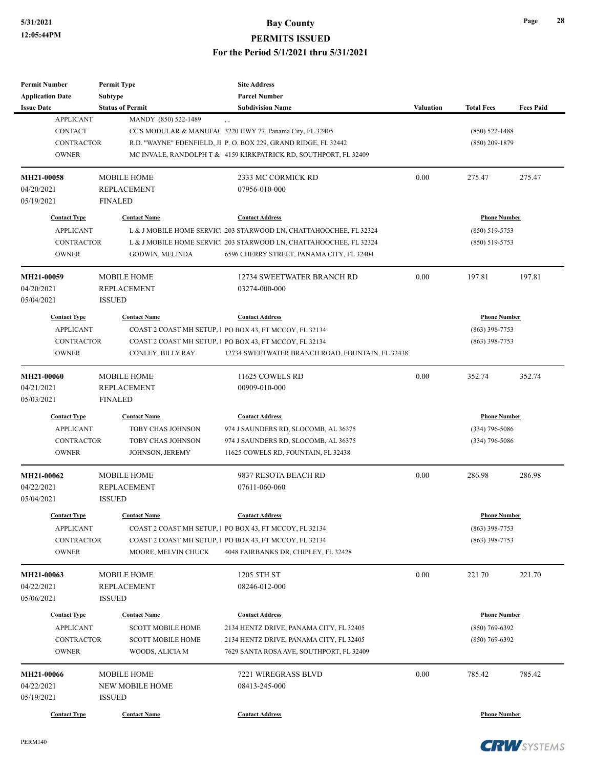| <b>Permit Number</b>    | <b>Permit Type</b>       | <b>Site Address</b>                                                |                  |                     |                  |
|-------------------------|--------------------------|--------------------------------------------------------------------|------------------|---------------------|------------------|
| <b>Application Date</b> | <b>Subtype</b>           | <b>Parcel Number</b>                                               |                  |                     |                  |
| <b>Issue Date</b>       | <b>Status of Permit</b>  | <b>Subdivision Name</b>                                            | <b>Valuation</b> | <b>Total Fees</b>   | <b>Fees Paid</b> |
| <b>APPLICANT</b>        | MANDY (850) 522-1489     | , ,                                                                |                  |                     |                  |
| <b>CONTACT</b>          |                          | CC'S MODULAR & MANUFAC 3220 HWY 77, Panama City, FL 32405          |                  | $(850)$ 522-1488    |                  |
| <b>CONTRACTOR</b>       |                          | R.D. "WAYNE" EDENFIELD, JI P. O. BOX 229, GRAND RIDGE, FL 32442    |                  | $(850)$ 209-1879    |                  |
| <b>OWNER</b>            |                          | MC INVALE, RANDOLPH T & 4159 KIRKPATRICK RD, SOUTHPORT, FL 32409   |                  |                     |                  |
| MH21-00058              | <b>MOBILE HOME</b>       | 2333 MC CORMICK RD                                                 | 0.00             | 275.47              | 275.47           |
| 04/20/2021              | <b>REPLACEMENT</b>       | 07956-010-000                                                      |                  |                     |                  |
| 05/19/2021              | <b>FINALED</b>           |                                                                    |                  |                     |                  |
| <b>Contact Type</b>     | <b>Contact Name</b>      | <b>Contact Address</b>                                             |                  | <b>Phone Number</b> |                  |
| <b>APPLICANT</b>        |                          | L & J MOBILE HOME SERVIC 203 STARWOOD LN, CHATTAHOOCHEE, FL 32324  |                  | $(850) 519 - 5753$  |                  |
| <b>CONTRACTOR</b>       |                          | L & J MOBILE HOME SERVICI 203 STARWOOD LN, CHATTAHOOCHEE, FL 32324 |                  | $(850) 519 - 5753$  |                  |
| <b>OWNER</b>            | GODWIN, MELINDA          | 6596 CHERRY STREET, PANAMA CITY, FL 32404                          |                  |                     |                  |
| MH21-00059              | <b>MOBILE HOME</b>       | 12734 SWEETWATER BRANCH RD                                         | 0.00             | 197.81              | 197.81           |
| 04/20/2021              | <b>REPLACEMENT</b>       | 03274-000-000                                                      |                  |                     |                  |
| 05/04/2021              | <b>ISSUED</b>            |                                                                    |                  |                     |                  |
| <b>Contact Type</b>     | <b>Contact Name</b>      | <b>Contact Address</b>                                             |                  | <b>Phone Number</b> |                  |
| <b>APPLICANT</b>        |                          | COAST 2 COAST MH SETUP, 1 PO BOX 43, FT MCCOY, FL 32134            |                  | $(863)$ 398-7753    |                  |
| <b>CONTRACTOR</b>       |                          | COAST 2 COAST MH SETUP, 1 PO BOX 43, FT MCCOY, FL 32134            |                  | $(863)$ 398-7753    |                  |
| <b>OWNER</b>            | CONLEY, BILLY RAY        | 12734 SWEETWATER BRANCH ROAD, FOUNTAIN, FL 32438                   |                  |                     |                  |
|                         |                          |                                                                    |                  |                     |                  |
| <b>MH21-00060</b>       | <b>MOBILE HOME</b>       | 11625 COWELS RD                                                    | 0.00             | 352.74              | 352.74           |
| 04/21/2021              | <b>REPLACEMENT</b>       | 00909-010-000                                                      |                  |                     |                  |
| 05/03/2021              | <b>FINALED</b>           |                                                                    |                  |                     |                  |
| <b>Contact Type</b>     | <b>Contact Name</b>      | <b>Contact Address</b>                                             |                  | <b>Phone Number</b> |                  |
| <b>APPLICANT</b>        | <b>TOBY CHAS JOHNSON</b> | 974 J SAUNDERS RD, SLOCOMB, AL 36375                               |                  | $(334)$ 796-5086    |                  |
| <b>CONTRACTOR</b>       | <b>TOBY CHAS JOHNSON</b> | 974 J SAUNDERS RD, SLOCOMB, AL 36375                               |                  | $(334)$ 796-5086    |                  |
| <b>OWNER</b>            | JOHNSON, JEREMY          | 11625 COWELS RD, FOUNTAIN, FL 32438                                |                  |                     |                  |
| <b>MH21-00062</b>       | <b>MOBILE HOME</b>       | 9837 RESOTA BEACH RD                                               | 0.00             | 286.98              | 286.98           |
| 04/22/2021              | <b>REPLACEMENT</b>       | 07611-060-060                                                      |                  |                     |                  |
| 05/04/2021              | <b>ISSUED</b>            |                                                                    |                  |                     |                  |
| <b>Contact Type</b>     | <b>Contact Name</b>      | <b>Contact Address</b>                                             |                  | <b>Phone Number</b> |                  |
| <b>APPLICANT</b>        |                          | COAST 2 COAST MH SETUP, 1 PO BOX 43, FT MCCOY, FL 32134            |                  | $(863)$ 398-7753    |                  |
| CONTRACTOR              |                          | COAST 2 COAST MH SETUP, 1 PO BOX 43, FT MCCOY, FL 32134            |                  | $(863)$ 398-7753    |                  |
| <b>OWNER</b>            | MOORE, MELVIN CHUCK      | 4048 FAIRBANKS DR, CHIPLEY, FL 32428                               |                  |                     |                  |
| MH21-00063              | <b>MOBILE HOME</b>       | 1205 5TH ST                                                        | 0.00             | 221.70              | 221.70           |
| 04/22/2021              | <b>REPLACEMENT</b>       | 08246-012-000                                                      |                  |                     |                  |
| 05/06/2021              | <b>ISSUED</b>            |                                                                    |                  |                     |                  |
| <b>Contact Type</b>     | <b>Contact Name</b>      | <b>Contact Address</b>                                             |                  | <b>Phone Number</b> |                  |
| <b>APPLICANT</b>        | <b>SCOTT MOBILE HOME</b> | 2134 HENTZ DRIVE, PANAMA CITY, FL 32405                            |                  | $(850)$ 769-6392    |                  |
| CONTRACTOR              | <b>SCOTT MOBILE HOME</b> | 2134 HENTZ DRIVE, PANAMA CITY, FL 32405                            |                  | $(850)$ 769-6392    |                  |
| <b>OWNER</b>            | WOODS, ALICIA M          | 7629 SANTA ROSA AVE, SOUTHPORT, FL 32409                           |                  |                     |                  |
| MH21-00066              | <b>MOBILE HOME</b>       | 7221 WIREGRASS BLVD                                                | 0.00             | 785.42              | 785.42           |
| 04/22/2021              | NEW MOBILE HOME          | 08413-245-000                                                      |                  |                     |                  |
| 05/19/2021              | <b>ISSUED</b>            |                                                                    |                  |                     |                  |
| <b>Contact Type</b>     | <b>Contact Name</b>      | <b>Contact Address</b>                                             |                  | <b>Phone Number</b> |                  |
|                         |                          |                                                                    |                  |                     |                  |

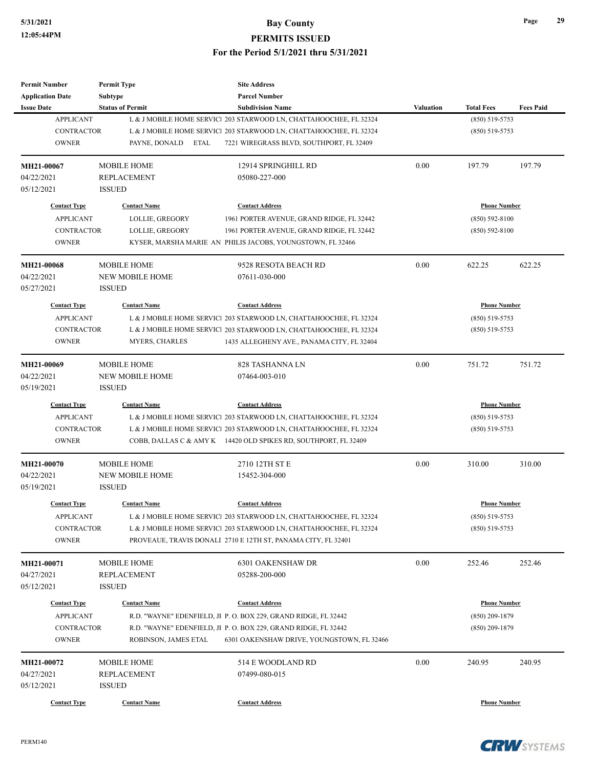| Permit Number           | <b>Permit Type</b>      | <b>Site Address</b>                                                |           |                     |                  |
|-------------------------|-------------------------|--------------------------------------------------------------------|-----------|---------------------|------------------|
| <b>Application Date</b> | <b>Subtype</b>          | <b>Parcel Number</b>                                               |           |                     |                  |
| <b>Issue Date</b>       | <b>Status of Permit</b> | <b>Subdivision Name</b>                                            | Valuation | <b>Total Fees</b>   | <b>Fees Paid</b> |
| <b>APPLICANT</b>        |                         | L & J MOBILE HOME SERVIC 203 STARWOOD LN, CHATTAHOOCHEE, FL 32324  |           | $(850) 519 - 5753$  |                  |
| <b>CONTRACTOR</b>       |                         | L & J MOBILE HOME SERVICI 203 STARWOOD LN, CHATTAHOOCHEE, FL 32324 |           | $(850) 519 - 5753$  |                  |
| <b>OWNER</b>            | PAYNE, DONALD<br>ETAL   | 7221 WIREGRASS BLVD, SOUTHPORT, FL 32409                           |           |                     |                  |
| MH21-00067              | <b>MOBILE HOME</b>      | 12914 SPRINGHILL RD                                                | 0.00      | 197.79              | 197.79           |
| 04/22/2021              | <b>REPLACEMENT</b>      | 05080-227-000                                                      |           |                     |                  |
| 05/12/2021              | <b>ISSUED</b>           |                                                                    |           |                     |                  |
| <b>Contact Type</b>     | <b>Contact Name</b>     | <b>Contact Address</b>                                             |           | <b>Phone Number</b> |                  |
| <b>APPLICANT</b>        | LOLLIE, GREGORY         | 1961 PORTER AVENUE, GRAND RIDGE, FL 32442                          |           | $(850) 592 - 8100$  |                  |
| <b>CONTRACTOR</b>       | LOLLIE, GREGORY         | 1961 PORTER AVENUE, GRAND RIDGE, FL 32442                          |           | $(850) 592 - 8100$  |                  |
| <b>OWNER</b>            |                         | KYSER, MARSHA MARIE AN PHILIS JACOBS, YOUNGSTOWN, FL 32466         |           |                     |                  |
| <b>MH21-00068</b>       | <b>MOBILE HOME</b>      | 9528 RESOTA BEACH RD                                               | 0.00      | 622.25              | 622.25           |
| 04/22/2021              | <b>NEW MOBILE HOME</b>  | 07611-030-000                                                      |           |                     |                  |
| 05/27/2021              | <b>ISSUED</b>           |                                                                    |           |                     |                  |
| <b>Contact Type</b>     | <b>Contact Name</b>     | <b>Contact Address</b>                                             |           | <b>Phone Number</b> |                  |
| <b>APPLICANT</b>        |                         | L & J MOBILE HOME SERVIC1 203 STARWOOD LN, CHATTAHOOCHEE, FL 32324 |           | $(850) 519 - 5753$  |                  |
| <b>CONTRACTOR</b>       |                         | L & J MOBILE HOME SERVIC1 203 STARWOOD LN, CHATTAHOOCHEE, FL 32324 |           | $(850) 519 - 5753$  |                  |
| <b>OWNER</b>            | MYERS, CHARLES          | 1435 ALLEGHENY AVE., PANAMA CITY, FL 32404                         |           |                     |                  |
|                         |                         |                                                                    |           |                     |                  |
| MH21-00069              | <b>MOBILE HOME</b>      | 828 TASHANNA LN                                                    | 0.00      | 751.72              | 751.72           |
| 04/22/2021              | <b>NEW MOBILE HOME</b>  | 07464-003-010                                                      |           |                     |                  |
| 05/19/2021              | <b>ISSUED</b>           |                                                                    |           |                     |                  |
| <b>Contact Type</b>     | <b>Contact Name</b>     | <b>Contact Address</b>                                             |           | <b>Phone Number</b> |                  |
| <b>APPLICANT</b>        |                         | L & J MOBILE HOME SERVICI 203 STARWOOD LN, CHATTAHOOCHEE, FL 32324 |           | $(850) 519 - 5753$  |                  |
| <b>CONTRACTOR</b>       |                         | L & J MOBILE HOME SERVICI 203 STARWOOD LN, CHATTAHOOCHEE, FL 32324 |           | $(850)$ 519-5753    |                  |
| <b>OWNER</b>            |                         | COBB, DALLAS C & AMY K 14420 OLD SPIKES RD, SOUTHPORT, FL 32409    |           |                     |                  |
| MH21-00070              | <b>MOBILE HOME</b>      | 2710 12TH ST E                                                     | 0.00      | 310.00              | 310.00           |
| 04/22/2021              | <b>NEW MOBILE HOME</b>  | 15452-304-000                                                      |           |                     |                  |
| 05/19/2021              | <b>ISSUED</b>           |                                                                    |           |                     |                  |
| <b>Contact Type</b>     | <b>Contact Name</b>     | <b>Contact Address</b>                                             |           | <b>Phone Number</b> |                  |
| APPLICANT               |                         | L & J MOBILE HOME SERVICI 203 STARWOOD LN, CHATTAHOOCHEE, FL 32324 |           | $(850) 519 - 5753$  |                  |
| CONTRACTOR              |                         | L & J MOBILE HOME SERVIC  203 STARWOOD LN, CHATTAHOOCHEE, FL 32324 |           | $(850)$ 519-5753    |                  |
| <b>OWNER</b>            |                         | PROVEAUE, TRAVIS DONALI 2710 E 12TH ST, PANAMA CITY, FL 32401      |           |                     |                  |
| <b>MH21-00071</b>       | <b>MOBILE HOME</b>      | 6301 OAKENSHAW DR                                                  | 0.00      | 252.46              | 252.46           |
| 04/27/2021              | <b>REPLACEMENT</b>      | 05288-200-000                                                      |           |                     |                  |
| 05/12/2021              | <b>ISSUED</b>           |                                                                    |           |                     |                  |
| <b>Contact Type</b>     | <b>Contact Name</b>     | <b>Contact Address</b>                                             |           | <b>Phone Number</b> |                  |
| <b>APPLICANT</b>        |                         | R.D. "WAYNE" EDENFIELD, JI P. O. BOX 229, GRAND RIDGE, FL 32442    |           | $(850)$ 209-1879    |                  |
| <b>CONTRACTOR</b>       |                         | R.D. "WAYNE" EDENFIELD, JI P. O. BOX 229, GRAND RIDGE, FL 32442    |           | $(850)$ 209-1879    |                  |
| <b>OWNER</b>            | ROBINSON, JAMES ETAL    | 6301 OAKENSHAW DRIVE, YOUNGSTOWN, FL 32466                         |           |                     |                  |
|                         |                         |                                                                    |           |                     |                  |
| MH21-00072              | <b>MOBILE HOME</b>      | 514 E WOODLAND RD                                                  | 0.00      | 240.95              | 240.95           |
| 04/27/2021              | <b>REPLACEMENT</b>      | 07499-080-015                                                      |           |                     |                  |
| 05/12/2021              | <b>ISSUED</b>           |                                                                    |           |                     |                  |
| <b>Contact Type</b>     | <b>Contact Name</b>     | <b>Contact Address</b>                                             |           | <b>Phone Number</b> |                  |

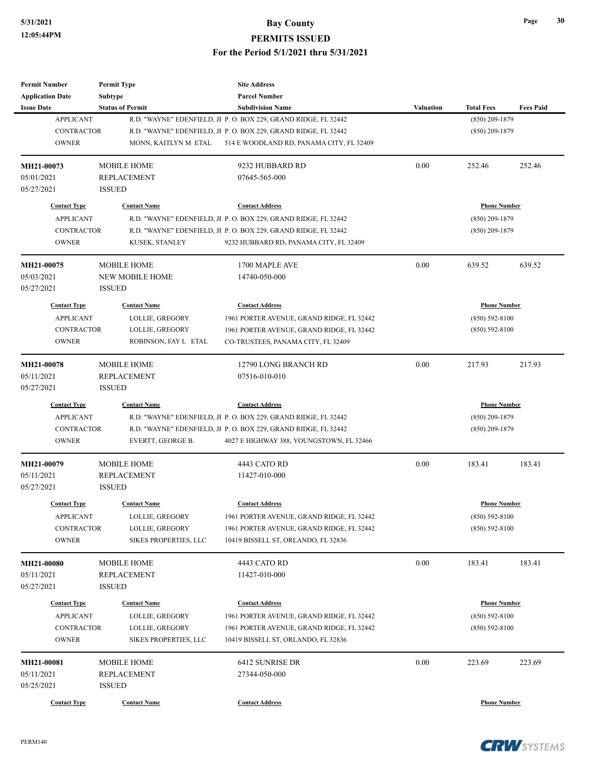| <b>Application Date</b><br><b>Subtype</b><br><b>Parcel Number</b><br><b>Status of Permit</b><br><b>Total Fees</b><br><b>Issue Date</b><br><b>Subdivision Name</b><br><b>Valuation</b><br><b>APPLICANT</b><br>R.D. "WAYNE" EDENFIELD, JI P. O. BOX 229, GRAND RIDGE, FL 32442<br>$(850)$ 209-1879<br><b>CONTRACTOR</b><br>R.D. "WAYNE" EDENFIELD, JI P. O. BOX 229, GRAND RIDGE, FL 32442<br>$(850)$ 209-1879<br><b>OWNER</b><br>MONN, KAITLYN M ETAL<br>514 E WOODLAND RD, PANAMA CITY, FL 32409<br>MH21-00073<br><b>MOBILE HOME</b><br>9232 HUBBARD RD<br>0.00<br>252.46<br>05/01/2021<br>07645-565-000<br><b>REPLACEMENT</b><br><b>ISSUED</b><br>05/27/2021<br><b>Contact Type</b><br><b>Contact Name</b><br><b>Contact Address</b><br><b>Phone Number</b><br><b>APPLICANT</b><br>R.D. "WAYNE" EDENFIELD, JI P. O. BOX 229, GRAND RIDGE, FL 32442<br>$(850)$ 209-1879<br><b>CONTRACTOR</b><br>R.D. "WAYNE" EDENFIELD, JI P. O. BOX 229, GRAND RIDGE, FL 32442<br>$(850)$ 209-1879<br><b>OWNER</b><br>KUSEK, STANLEY<br>9232 HUBBARD RD, PANAMA CITY, FL 32409<br>MH21-00075<br>0.00<br>639.52<br><b>MOBILE HOME</b><br>1700 MAPLE AVE<br>05/03/2021<br><b>NEW MOBILE HOME</b><br>14740-050-000<br>05/27/2021<br><b>ISSUED</b><br><b>Contact Type</b><br><b>Contact Name</b><br><b>Contact Address</b><br><b>Phone Number</b><br><b>APPLICANT</b><br>LOLLIE, GREGORY<br>1961 PORTER AVENUE, GRAND RIDGE, FL 32442<br>$(850) 592 - 8100$<br><b>CONTRACTOR</b><br>LOLLIE, GREGORY<br>1961 PORTER AVENUE, GRAND RIDGE, FL 32442<br>$(850) 592 - 8100$<br><b>OWNER</b><br>ROBINSON, FAY L ETAL<br>CO-TRUSTEES, PANAMA CITY, FL 32409<br>MH21-00078<br>0.00<br><b>MOBILE HOME</b><br>12790 LONG BRANCH RD<br>217.93<br>05/11/2021<br><b>REPLACEMENT</b><br>07516-010-010<br>05/27/2021<br><b>ISSUED</b><br><b>Contact Type</b><br><b>Contact Name</b><br><b>Contact Address</b><br><b>Phone Number</b><br><b>APPLICANT</b><br>R.D. "WAYNE" EDENFIELD, JI P. O. BOX 229, GRAND RIDGE, FL 32442<br>$(850)$ 209-1879<br><b>CONTRACTOR</b><br>R.D. "WAYNE" EDENFIELD, JI P. O. BOX 229, GRAND RIDGE, FL 32442<br>$(850)$ 209-1879<br><b>OWNER</b><br>EVERTT, GEORGE B.<br>4027 E HIGHWAY 388, YOUNGSTOWN, FL 32466<br>0.00<br>183.41<br><b>MOBILE HOME</b><br>4443 CATO RD<br>MH21-00079<br>05/11/2021<br><b>REPLACEMENT</b><br>11427-010-000<br>05/27/2021<br><b>ISSUED</b><br><b>Contact Type</b><br><b>Contact Name</b><br><b>Contact Address</b><br><b>Phone Number</b><br><b>APPLICANT</b><br>LOLLIE, GREGORY<br>1961 PORTER AVENUE, GRAND RIDGE, FL 32442<br>$(850) 592 - 8100$<br>CONTRACTOR<br>LOLLIE, GREGORY<br>1961 PORTER AVENUE, GRAND RIDGE, FL 32442<br>$(850) 592 - 8100$<br><b>OWNER</b><br><b>SIKES PROPERTIES, LLC</b><br>10419 BISSELL ST, ORLANDO, FL 32836<br>0.00<br>MOBILE HOME<br>4443 CATO RD<br>183.41<br><b>MH21-00080</b><br>05/11/2021<br>REPLACEMENT<br>11427-010-000<br>05/27/2021<br><b>ISSUED</b><br><b>Contact Name</b><br><b>Phone Number</b><br><b>Contact Type</b><br><b>Contact Address</b><br><b>APPLICANT</b><br>LOLLIE, GREGORY<br>$(850) 592 - 8100$<br>1961 PORTER AVENUE, GRAND RIDGE, FL 32442<br>CONTRACTOR<br>LOLLIE, GREGORY<br>1961 PORTER AVENUE, GRAND RIDGE, FL 32442<br>$(850) 592 - 8100$<br><b>OWNER</b><br>SIKES PROPERTIES, LLC<br>10419 BISSELL ST, ORLANDO, FL 32836<br>MH21-00081<br><b>MOBILE HOME</b><br>6412 SUNRISE DR<br>0.00<br>223.69<br>05/11/2021<br>REPLACEMENT<br>27344-050-000<br>05/25/2021<br><b>ISSUED</b><br><b>Phone Number</b> | <b>Permit Number</b> | <b>Permit Type</b>  | <b>Site Address</b>    |  |                  |
|-------------------------------------------------------------------------------------------------------------------------------------------------------------------------------------------------------------------------------------------------------------------------------------------------------------------------------------------------------------------------------------------------------------------------------------------------------------------------------------------------------------------------------------------------------------------------------------------------------------------------------------------------------------------------------------------------------------------------------------------------------------------------------------------------------------------------------------------------------------------------------------------------------------------------------------------------------------------------------------------------------------------------------------------------------------------------------------------------------------------------------------------------------------------------------------------------------------------------------------------------------------------------------------------------------------------------------------------------------------------------------------------------------------------------------------------------------------------------------------------------------------------------------------------------------------------------------------------------------------------------------------------------------------------------------------------------------------------------------------------------------------------------------------------------------------------------------------------------------------------------------------------------------------------------------------------------------------------------------------------------------------------------------------------------------------------------------------------------------------------------------------------------------------------------------------------------------------------------------------------------------------------------------------------------------------------------------------------------------------------------------------------------------------------------------------------------------------------------------------------------------------------------------------------------------------------------------------------------------------------------------------------------------------------------------------------------------------------------------------------------------------------------------------------------------------------------------------------------------------------------------------------------------------------------------------------------------------------------------------------------------------------------------------------------------------------------------------------------------------------------------------------------------------------------------------------------------------------------------------------------------------------------------------------------------------------------------------------------------------------------------------------------------------------------------------------------------------------------------------------------------|----------------------|---------------------|------------------------|--|------------------|
|                                                                                                                                                                                                                                                                                                                                                                                                                                                                                                                                                                                                                                                                                                                                                                                                                                                                                                                                                                                                                                                                                                                                                                                                                                                                                                                                                                                                                                                                                                                                                                                                                                                                                                                                                                                                                                                                                                                                                                                                                                                                                                                                                                                                                                                                                                                                                                                                                                                                                                                                                                                                                                                                                                                                                                                                                                                                                                                                                                                                                                                                                                                                                                                                                                                                                                                                                                                                                                                                                                       |                      |                     |                        |  |                  |
|                                                                                                                                                                                                                                                                                                                                                                                                                                                                                                                                                                                                                                                                                                                                                                                                                                                                                                                                                                                                                                                                                                                                                                                                                                                                                                                                                                                                                                                                                                                                                                                                                                                                                                                                                                                                                                                                                                                                                                                                                                                                                                                                                                                                                                                                                                                                                                                                                                                                                                                                                                                                                                                                                                                                                                                                                                                                                                                                                                                                                                                                                                                                                                                                                                                                                                                                                                                                                                                                                                       |                      |                     |                        |  | <b>Fees Paid</b> |
|                                                                                                                                                                                                                                                                                                                                                                                                                                                                                                                                                                                                                                                                                                                                                                                                                                                                                                                                                                                                                                                                                                                                                                                                                                                                                                                                                                                                                                                                                                                                                                                                                                                                                                                                                                                                                                                                                                                                                                                                                                                                                                                                                                                                                                                                                                                                                                                                                                                                                                                                                                                                                                                                                                                                                                                                                                                                                                                                                                                                                                                                                                                                                                                                                                                                                                                                                                                                                                                                                                       |                      |                     |                        |  |                  |
|                                                                                                                                                                                                                                                                                                                                                                                                                                                                                                                                                                                                                                                                                                                                                                                                                                                                                                                                                                                                                                                                                                                                                                                                                                                                                                                                                                                                                                                                                                                                                                                                                                                                                                                                                                                                                                                                                                                                                                                                                                                                                                                                                                                                                                                                                                                                                                                                                                                                                                                                                                                                                                                                                                                                                                                                                                                                                                                                                                                                                                                                                                                                                                                                                                                                                                                                                                                                                                                                                                       |                      |                     |                        |  |                  |
|                                                                                                                                                                                                                                                                                                                                                                                                                                                                                                                                                                                                                                                                                                                                                                                                                                                                                                                                                                                                                                                                                                                                                                                                                                                                                                                                                                                                                                                                                                                                                                                                                                                                                                                                                                                                                                                                                                                                                                                                                                                                                                                                                                                                                                                                                                                                                                                                                                                                                                                                                                                                                                                                                                                                                                                                                                                                                                                                                                                                                                                                                                                                                                                                                                                                                                                                                                                                                                                                                                       |                      |                     |                        |  |                  |
|                                                                                                                                                                                                                                                                                                                                                                                                                                                                                                                                                                                                                                                                                                                                                                                                                                                                                                                                                                                                                                                                                                                                                                                                                                                                                                                                                                                                                                                                                                                                                                                                                                                                                                                                                                                                                                                                                                                                                                                                                                                                                                                                                                                                                                                                                                                                                                                                                                                                                                                                                                                                                                                                                                                                                                                                                                                                                                                                                                                                                                                                                                                                                                                                                                                                                                                                                                                                                                                                                                       |                      |                     |                        |  | 252.46           |
|                                                                                                                                                                                                                                                                                                                                                                                                                                                                                                                                                                                                                                                                                                                                                                                                                                                                                                                                                                                                                                                                                                                                                                                                                                                                                                                                                                                                                                                                                                                                                                                                                                                                                                                                                                                                                                                                                                                                                                                                                                                                                                                                                                                                                                                                                                                                                                                                                                                                                                                                                                                                                                                                                                                                                                                                                                                                                                                                                                                                                                                                                                                                                                                                                                                                                                                                                                                                                                                                                                       |                      |                     |                        |  |                  |
|                                                                                                                                                                                                                                                                                                                                                                                                                                                                                                                                                                                                                                                                                                                                                                                                                                                                                                                                                                                                                                                                                                                                                                                                                                                                                                                                                                                                                                                                                                                                                                                                                                                                                                                                                                                                                                                                                                                                                                                                                                                                                                                                                                                                                                                                                                                                                                                                                                                                                                                                                                                                                                                                                                                                                                                                                                                                                                                                                                                                                                                                                                                                                                                                                                                                                                                                                                                                                                                                                                       |                      |                     |                        |  |                  |
|                                                                                                                                                                                                                                                                                                                                                                                                                                                                                                                                                                                                                                                                                                                                                                                                                                                                                                                                                                                                                                                                                                                                                                                                                                                                                                                                                                                                                                                                                                                                                                                                                                                                                                                                                                                                                                                                                                                                                                                                                                                                                                                                                                                                                                                                                                                                                                                                                                                                                                                                                                                                                                                                                                                                                                                                                                                                                                                                                                                                                                                                                                                                                                                                                                                                                                                                                                                                                                                                                                       |                      |                     |                        |  |                  |
|                                                                                                                                                                                                                                                                                                                                                                                                                                                                                                                                                                                                                                                                                                                                                                                                                                                                                                                                                                                                                                                                                                                                                                                                                                                                                                                                                                                                                                                                                                                                                                                                                                                                                                                                                                                                                                                                                                                                                                                                                                                                                                                                                                                                                                                                                                                                                                                                                                                                                                                                                                                                                                                                                                                                                                                                                                                                                                                                                                                                                                                                                                                                                                                                                                                                                                                                                                                                                                                                                                       |                      |                     |                        |  |                  |
|                                                                                                                                                                                                                                                                                                                                                                                                                                                                                                                                                                                                                                                                                                                                                                                                                                                                                                                                                                                                                                                                                                                                                                                                                                                                                                                                                                                                                                                                                                                                                                                                                                                                                                                                                                                                                                                                                                                                                                                                                                                                                                                                                                                                                                                                                                                                                                                                                                                                                                                                                                                                                                                                                                                                                                                                                                                                                                                                                                                                                                                                                                                                                                                                                                                                                                                                                                                                                                                                                                       |                      |                     |                        |  |                  |
|                                                                                                                                                                                                                                                                                                                                                                                                                                                                                                                                                                                                                                                                                                                                                                                                                                                                                                                                                                                                                                                                                                                                                                                                                                                                                                                                                                                                                                                                                                                                                                                                                                                                                                                                                                                                                                                                                                                                                                                                                                                                                                                                                                                                                                                                                                                                                                                                                                                                                                                                                                                                                                                                                                                                                                                                                                                                                                                                                                                                                                                                                                                                                                                                                                                                                                                                                                                                                                                                                                       |                      |                     |                        |  |                  |
|                                                                                                                                                                                                                                                                                                                                                                                                                                                                                                                                                                                                                                                                                                                                                                                                                                                                                                                                                                                                                                                                                                                                                                                                                                                                                                                                                                                                                                                                                                                                                                                                                                                                                                                                                                                                                                                                                                                                                                                                                                                                                                                                                                                                                                                                                                                                                                                                                                                                                                                                                                                                                                                                                                                                                                                                                                                                                                                                                                                                                                                                                                                                                                                                                                                                                                                                                                                                                                                                                                       |                      |                     |                        |  | 639.52           |
|                                                                                                                                                                                                                                                                                                                                                                                                                                                                                                                                                                                                                                                                                                                                                                                                                                                                                                                                                                                                                                                                                                                                                                                                                                                                                                                                                                                                                                                                                                                                                                                                                                                                                                                                                                                                                                                                                                                                                                                                                                                                                                                                                                                                                                                                                                                                                                                                                                                                                                                                                                                                                                                                                                                                                                                                                                                                                                                                                                                                                                                                                                                                                                                                                                                                                                                                                                                                                                                                                                       |                      |                     |                        |  |                  |
|                                                                                                                                                                                                                                                                                                                                                                                                                                                                                                                                                                                                                                                                                                                                                                                                                                                                                                                                                                                                                                                                                                                                                                                                                                                                                                                                                                                                                                                                                                                                                                                                                                                                                                                                                                                                                                                                                                                                                                                                                                                                                                                                                                                                                                                                                                                                                                                                                                                                                                                                                                                                                                                                                                                                                                                                                                                                                                                                                                                                                                                                                                                                                                                                                                                                                                                                                                                                                                                                                                       |                      |                     |                        |  |                  |
|                                                                                                                                                                                                                                                                                                                                                                                                                                                                                                                                                                                                                                                                                                                                                                                                                                                                                                                                                                                                                                                                                                                                                                                                                                                                                                                                                                                                                                                                                                                                                                                                                                                                                                                                                                                                                                                                                                                                                                                                                                                                                                                                                                                                                                                                                                                                                                                                                                                                                                                                                                                                                                                                                                                                                                                                                                                                                                                                                                                                                                                                                                                                                                                                                                                                                                                                                                                                                                                                                                       |                      |                     |                        |  |                  |
|                                                                                                                                                                                                                                                                                                                                                                                                                                                                                                                                                                                                                                                                                                                                                                                                                                                                                                                                                                                                                                                                                                                                                                                                                                                                                                                                                                                                                                                                                                                                                                                                                                                                                                                                                                                                                                                                                                                                                                                                                                                                                                                                                                                                                                                                                                                                                                                                                                                                                                                                                                                                                                                                                                                                                                                                                                                                                                                                                                                                                                                                                                                                                                                                                                                                                                                                                                                                                                                                                                       |                      |                     |                        |  |                  |
|                                                                                                                                                                                                                                                                                                                                                                                                                                                                                                                                                                                                                                                                                                                                                                                                                                                                                                                                                                                                                                                                                                                                                                                                                                                                                                                                                                                                                                                                                                                                                                                                                                                                                                                                                                                                                                                                                                                                                                                                                                                                                                                                                                                                                                                                                                                                                                                                                                                                                                                                                                                                                                                                                                                                                                                                                                                                                                                                                                                                                                                                                                                                                                                                                                                                                                                                                                                                                                                                                                       |                      |                     |                        |  |                  |
|                                                                                                                                                                                                                                                                                                                                                                                                                                                                                                                                                                                                                                                                                                                                                                                                                                                                                                                                                                                                                                                                                                                                                                                                                                                                                                                                                                                                                                                                                                                                                                                                                                                                                                                                                                                                                                                                                                                                                                                                                                                                                                                                                                                                                                                                                                                                                                                                                                                                                                                                                                                                                                                                                                                                                                                                                                                                                                                                                                                                                                                                                                                                                                                                                                                                                                                                                                                                                                                                                                       |                      |                     |                        |  |                  |
|                                                                                                                                                                                                                                                                                                                                                                                                                                                                                                                                                                                                                                                                                                                                                                                                                                                                                                                                                                                                                                                                                                                                                                                                                                                                                                                                                                                                                                                                                                                                                                                                                                                                                                                                                                                                                                                                                                                                                                                                                                                                                                                                                                                                                                                                                                                                                                                                                                                                                                                                                                                                                                                                                                                                                                                                                                                                                                                                                                                                                                                                                                                                                                                                                                                                                                                                                                                                                                                                                                       |                      |                     |                        |  | 217.93           |
|                                                                                                                                                                                                                                                                                                                                                                                                                                                                                                                                                                                                                                                                                                                                                                                                                                                                                                                                                                                                                                                                                                                                                                                                                                                                                                                                                                                                                                                                                                                                                                                                                                                                                                                                                                                                                                                                                                                                                                                                                                                                                                                                                                                                                                                                                                                                                                                                                                                                                                                                                                                                                                                                                                                                                                                                                                                                                                                                                                                                                                                                                                                                                                                                                                                                                                                                                                                                                                                                                                       |                      |                     |                        |  |                  |
|                                                                                                                                                                                                                                                                                                                                                                                                                                                                                                                                                                                                                                                                                                                                                                                                                                                                                                                                                                                                                                                                                                                                                                                                                                                                                                                                                                                                                                                                                                                                                                                                                                                                                                                                                                                                                                                                                                                                                                                                                                                                                                                                                                                                                                                                                                                                                                                                                                                                                                                                                                                                                                                                                                                                                                                                                                                                                                                                                                                                                                                                                                                                                                                                                                                                                                                                                                                                                                                                                                       |                      |                     |                        |  |                  |
|                                                                                                                                                                                                                                                                                                                                                                                                                                                                                                                                                                                                                                                                                                                                                                                                                                                                                                                                                                                                                                                                                                                                                                                                                                                                                                                                                                                                                                                                                                                                                                                                                                                                                                                                                                                                                                                                                                                                                                                                                                                                                                                                                                                                                                                                                                                                                                                                                                                                                                                                                                                                                                                                                                                                                                                                                                                                                                                                                                                                                                                                                                                                                                                                                                                                                                                                                                                                                                                                                                       |                      |                     |                        |  |                  |
|                                                                                                                                                                                                                                                                                                                                                                                                                                                                                                                                                                                                                                                                                                                                                                                                                                                                                                                                                                                                                                                                                                                                                                                                                                                                                                                                                                                                                                                                                                                                                                                                                                                                                                                                                                                                                                                                                                                                                                                                                                                                                                                                                                                                                                                                                                                                                                                                                                                                                                                                                                                                                                                                                                                                                                                                                                                                                                                                                                                                                                                                                                                                                                                                                                                                                                                                                                                                                                                                                                       |                      |                     |                        |  |                  |
|                                                                                                                                                                                                                                                                                                                                                                                                                                                                                                                                                                                                                                                                                                                                                                                                                                                                                                                                                                                                                                                                                                                                                                                                                                                                                                                                                                                                                                                                                                                                                                                                                                                                                                                                                                                                                                                                                                                                                                                                                                                                                                                                                                                                                                                                                                                                                                                                                                                                                                                                                                                                                                                                                                                                                                                                                                                                                                                                                                                                                                                                                                                                                                                                                                                                                                                                                                                                                                                                                                       |                      |                     |                        |  |                  |
|                                                                                                                                                                                                                                                                                                                                                                                                                                                                                                                                                                                                                                                                                                                                                                                                                                                                                                                                                                                                                                                                                                                                                                                                                                                                                                                                                                                                                                                                                                                                                                                                                                                                                                                                                                                                                                                                                                                                                                                                                                                                                                                                                                                                                                                                                                                                                                                                                                                                                                                                                                                                                                                                                                                                                                                                                                                                                                                                                                                                                                                                                                                                                                                                                                                                                                                                                                                                                                                                                                       |                      |                     |                        |  |                  |
|                                                                                                                                                                                                                                                                                                                                                                                                                                                                                                                                                                                                                                                                                                                                                                                                                                                                                                                                                                                                                                                                                                                                                                                                                                                                                                                                                                                                                                                                                                                                                                                                                                                                                                                                                                                                                                                                                                                                                                                                                                                                                                                                                                                                                                                                                                                                                                                                                                                                                                                                                                                                                                                                                                                                                                                                                                                                                                                                                                                                                                                                                                                                                                                                                                                                                                                                                                                                                                                                                                       |                      |                     |                        |  | 183.41           |
|                                                                                                                                                                                                                                                                                                                                                                                                                                                                                                                                                                                                                                                                                                                                                                                                                                                                                                                                                                                                                                                                                                                                                                                                                                                                                                                                                                                                                                                                                                                                                                                                                                                                                                                                                                                                                                                                                                                                                                                                                                                                                                                                                                                                                                                                                                                                                                                                                                                                                                                                                                                                                                                                                                                                                                                                                                                                                                                                                                                                                                                                                                                                                                                                                                                                                                                                                                                                                                                                                                       |                      |                     |                        |  |                  |
|                                                                                                                                                                                                                                                                                                                                                                                                                                                                                                                                                                                                                                                                                                                                                                                                                                                                                                                                                                                                                                                                                                                                                                                                                                                                                                                                                                                                                                                                                                                                                                                                                                                                                                                                                                                                                                                                                                                                                                                                                                                                                                                                                                                                                                                                                                                                                                                                                                                                                                                                                                                                                                                                                                                                                                                                                                                                                                                                                                                                                                                                                                                                                                                                                                                                                                                                                                                                                                                                                                       |                      |                     |                        |  |                  |
|                                                                                                                                                                                                                                                                                                                                                                                                                                                                                                                                                                                                                                                                                                                                                                                                                                                                                                                                                                                                                                                                                                                                                                                                                                                                                                                                                                                                                                                                                                                                                                                                                                                                                                                                                                                                                                                                                                                                                                                                                                                                                                                                                                                                                                                                                                                                                                                                                                                                                                                                                                                                                                                                                                                                                                                                                                                                                                                                                                                                                                                                                                                                                                                                                                                                                                                                                                                                                                                                                                       |                      |                     |                        |  |                  |
|                                                                                                                                                                                                                                                                                                                                                                                                                                                                                                                                                                                                                                                                                                                                                                                                                                                                                                                                                                                                                                                                                                                                                                                                                                                                                                                                                                                                                                                                                                                                                                                                                                                                                                                                                                                                                                                                                                                                                                                                                                                                                                                                                                                                                                                                                                                                                                                                                                                                                                                                                                                                                                                                                                                                                                                                                                                                                                                                                                                                                                                                                                                                                                                                                                                                                                                                                                                                                                                                                                       |                      |                     |                        |  |                  |
|                                                                                                                                                                                                                                                                                                                                                                                                                                                                                                                                                                                                                                                                                                                                                                                                                                                                                                                                                                                                                                                                                                                                                                                                                                                                                                                                                                                                                                                                                                                                                                                                                                                                                                                                                                                                                                                                                                                                                                                                                                                                                                                                                                                                                                                                                                                                                                                                                                                                                                                                                                                                                                                                                                                                                                                                                                                                                                                                                                                                                                                                                                                                                                                                                                                                                                                                                                                                                                                                                                       |                      |                     |                        |  |                  |
|                                                                                                                                                                                                                                                                                                                                                                                                                                                                                                                                                                                                                                                                                                                                                                                                                                                                                                                                                                                                                                                                                                                                                                                                                                                                                                                                                                                                                                                                                                                                                                                                                                                                                                                                                                                                                                                                                                                                                                                                                                                                                                                                                                                                                                                                                                                                                                                                                                                                                                                                                                                                                                                                                                                                                                                                                                                                                                                                                                                                                                                                                                                                                                                                                                                                                                                                                                                                                                                                                                       |                      |                     |                        |  |                  |
|                                                                                                                                                                                                                                                                                                                                                                                                                                                                                                                                                                                                                                                                                                                                                                                                                                                                                                                                                                                                                                                                                                                                                                                                                                                                                                                                                                                                                                                                                                                                                                                                                                                                                                                                                                                                                                                                                                                                                                                                                                                                                                                                                                                                                                                                                                                                                                                                                                                                                                                                                                                                                                                                                                                                                                                                                                                                                                                                                                                                                                                                                                                                                                                                                                                                                                                                                                                                                                                                                                       |                      |                     |                        |  | 183.41           |
|                                                                                                                                                                                                                                                                                                                                                                                                                                                                                                                                                                                                                                                                                                                                                                                                                                                                                                                                                                                                                                                                                                                                                                                                                                                                                                                                                                                                                                                                                                                                                                                                                                                                                                                                                                                                                                                                                                                                                                                                                                                                                                                                                                                                                                                                                                                                                                                                                                                                                                                                                                                                                                                                                                                                                                                                                                                                                                                                                                                                                                                                                                                                                                                                                                                                                                                                                                                                                                                                                                       |                      |                     |                        |  |                  |
|                                                                                                                                                                                                                                                                                                                                                                                                                                                                                                                                                                                                                                                                                                                                                                                                                                                                                                                                                                                                                                                                                                                                                                                                                                                                                                                                                                                                                                                                                                                                                                                                                                                                                                                                                                                                                                                                                                                                                                                                                                                                                                                                                                                                                                                                                                                                                                                                                                                                                                                                                                                                                                                                                                                                                                                                                                                                                                                                                                                                                                                                                                                                                                                                                                                                                                                                                                                                                                                                                                       |                      |                     |                        |  |                  |
|                                                                                                                                                                                                                                                                                                                                                                                                                                                                                                                                                                                                                                                                                                                                                                                                                                                                                                                                                                                                                                                                                                                                                                                                                                                                                                                                                                                                                                                                                                                                                                                                                                                                                                                                                                                                                                                                                                                                                                                                                                                                                                                                                                                                                                                                                                                                                                                                                                                                                                                                                                                                                                                                                                                                                                                                                                                                                                                                                                                                                                                                                                                                                                                                                                                                                                                                                                                                                                                                                                       |                      |                     |                        |  |                  |
|                                                                                                                                                                                                                                                                                                                                                                                                                                                                                                                                                                                                                                                                                                                                                                                                                                                                                                                                                                                                                                                                                                                                                                                                                                                                                                                                                                                                                                                                                                                                                                                                                                                                                                                                                                                                                                                                                                                                                                                                                                                                                                                                                                                                                                                                                                                                                                                                                                                                                                                                                                                                                                                                                                                                                                                                                                                                                                                                                                                                                                                                                                                                                                                                                                                                                                                                                                                                                                                                                                       |                      |                     |                        |  |                  |
|                                                                                                                                                                                                                                                                                                                                                                                                                                                                                                                                                                                                                                                                                                                                                                                                                                                                                                                                                                                                                                                                                                                                                                                                                                                                                                                                                                                                                                                                                                                                                                                                                                                                                                                                                                                                                                                                                                                                                                                                                                                                                                                                                                                                                                                                                                                                                                                                                                                                                                                                                                                                                                                                                                                                                                                                                                                                                                                                                                                                                                                                                                                                                                                                                                                                                                                                                                                                                                                                                                       |                      |                     |                        |  |                  |
|                                                                                                                                                                                                                                                                                                                                                                                                                                                                                                                                                                                                                                                                                                                                                                                                                                                                                                                                                                                                                                                                                                                                                                                                                                                                                                                                                                                                                                                                                                                                                                                                                                                                                                                                                                                                                                                                                                                                                                                                                                                                                                                                                                                                                                                                                                                                                                                                                                                                                                                                                                                                                                                                                                                                                                                                                                                                                                                                                                                                                                                                                                                                                                                                                                                                                                                                                                                                                                                                                                       |                      |                     |                        |  |                  |
|                                                                                                                                                                                                                                                                                                                                                                                                                                                                                                                                                                                                                                                                                                                                                                                                                                                                                                                                                                                                                                                                                                                                                                                                                                                                                                                                                                                                                                                                                                                                                                                                                                                                                                                                                                                                                                                                                                                                                                                                                                                                                                                                                                                                                                                                                                                                                                                                                                                                                                                                                                                                                                                                                                                                                                                                                                                                                                                                                                                                                                                                                                                                                                                                                                                                                                                                                                                                                                                                                                       |                      |                     |                        |  | 223.69           |
|                                                                                                                                                                                                                                                                                                                                                                                                                                                                                                                                                                                                                                                                                                                                                                                                                                                                                                                                                                                                                                                                                                                                                                                                                                                                                                                                                                                                                                                                                                                                                                                                                                                                                                                                                                                                                                                                                                                                                                                                                                                                                                                                                                                                                                                                                                                                                                                                                                                                                                                                                                                                                                                                                                                                                                                                                                                                                                                                                                                                                                                                                                                                                                                                                                                                                                                                                                                                                                                                                                       |                      |                     |                        |  |                  |
|                                                                                                                                                                                                                                                                                                                                                                                                                                                                                                                                                                                                                                                                                                                                                                                                                                                                                                                                                                                                                                                                                                                                                                                                                                                                                                                                                                                                                                                                                                                                                                                                                                                                                                                                                                                                                                                                                                                                                                                                                                                                                                                                                                                                                                                                                                                                                                                                                                                                                                                                                                                                                                                                                                                                                                                                                                                                                                                                                                                                                                                                                                                                                                                                                                                                                                                                                                                                                                                                                                       |                      |                     |                        |  |                  |
|                                                                                                                                                                                                                                                                                                                                                                                                                                                                                                                                                                                                                                                                                                                                                                                                                                                                                                                                                                                                                                                                                                                                                                                                                                                                                                                                                                                                                                                                                                                                                                                                                                                                                                                                                                                                                                                                                                                                                                                                                                                                                                                                                                                                                                                                                                                                                                                                                                                                                                                                                                                                                                                                                                                                                                                                                                                                                                                                                                                                                                                                                                                                                                                                                                                                                                                                                                                                                                                                                                       | <b>Contact Type</b>  | <b>Contact Name</b> | <b>Contact Address</b> |  |                  |

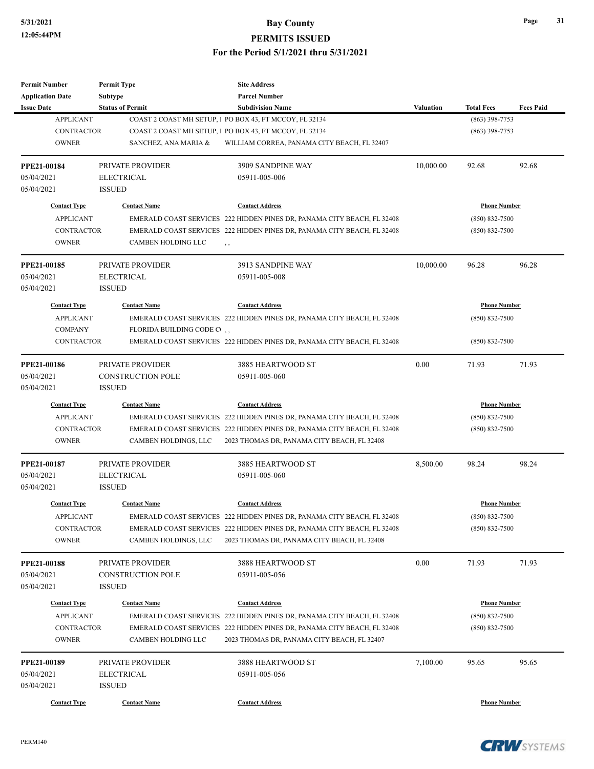# **5/31/2021 Bay County PERMITS ISSUED**

**For the Period 5/1/2021 thru 5/31/2021**

| <b>Permit Number</b>    | <b>Permit Type</b>        | <b>Site Address</b>                                                     |                  |                     |                  |
|-------------------------|---------------------------|-------------------------------------------------------------------------|------------------|---------------------|------------------|
| <b>Application Date</b> | Subtype                   | <b>Parcel Number</b>                                                    |                  |                     |                  |
| <b>Issue Date</b>       | <b>Status of Permit</b>   | <b>Subdivision Name</b>                                                 | <b>Valuation</b> | <b>Total Fees</b>   | <b>Fees Paid</b> |
| <b>APPLICANT</b>        |                           | COAST 2 COAST MH SETUP, 1 PO BOX 43, FT MCCOY, FL 32134                 |                  | $(863)$ 398-7753    |                  |
| <b>CONTRACTOR</b>       |                           | COAST 2 COAST MH SETUP, 1 PO BOX 43, FT MCCOY, FL 32134                 |                  | $(863)$ 398-7753    |                  |
| <b>OWNER</b>            | SANCHEZ, ANA MARIA &      | WILLIAM CORREA, PANAMA CITY BEACH, FL 32407                             |                  |                     |                  |
| <b>PPE21-00184</b>      | PRIVATE PROVIDER          | 3909 SANDPINE WAY                                                       | 10,000.00        | 92.68               | 92.68            |
| 05/04/2021              | <b>ELECTRICAL</b>         | 05911-005-006                                                           |                  |                     |                  |
| 05/04/2021              | <b>ISSUED</b>             |                                                                         |                  |                     |                  |
| <b>Contact Type</b>     | <b>Contact Name</b>       | <b>Contact Address</b>                                                  |                  | <b>Phone Number</b> |                  |
| <b>APPLICANT</b>        |                           | EMERALD COAST SERVICES 222 HIDDEN PINES DR, PANAMA CITY BEACH, FL 32408 |                  | $(850) 832 - 7500$  |                  |
| <b>CONTRACTOR</b>       |                           | EMERALD COAST SERVICES 222 HIDDEN PINES DR, PANAMA CITY BEACH, FL 32408 |                  | $(850) 832 - 7500$  |                  |
| <b>OWNER</b>            | CAMBEN HOLDING LLC        | , ,                                                                     |                  |                     |                  |
| PPE21-00185             | PRIVATE PROVIDER          | 3913 SANDPINE WAY                                                       | 10,000.00        | 96.28               | 96.28            |
| 05/04/2021              | <b>ELECTRICAL</b>         | 05911-005-008                                                           |                  |                     |                  |
| 05/04/2021              | <b>ISSUED</b>             |                                                                         |                  |                     |                  |
| <b>Contact Type</b>     | <b>Contact Name</b>       | <b>Contact Address</b>                                                  |                  | <b>Phone Number</b> |                  |
| <b>APPLICANT</b>        |                           | EMERALD COAST SERVICES 222 HIDDEN PINES DR, PANAMA CITY BEACH, FL 32408 |                  | $(850) 832 - 7500$  |                  |
| <b>COMPANY</b>          | FLORIDA BUILDING CODE CO, |                                                                         |                  |                     |                  |
| <b>CONTRACTOR</b>       |                           | EMERALD COAST SERVICES 222 HIDDEN PINES DR, PANAMA CITY BEACH, FL 32408 |                  | $(850) 832 - 7500$  |                  |
|                         |                           |                                                                         |                  |                     |                  |
| PPE21-00186             | PRIVATE PROVIDER          | 3885 HEARTWOOD ST                                                       | 0.00             | 71.93               | 71.93            |
| 05/04/2021              | <b>CONSTRUCTION POLE</b>  | 05911-005-060                                                           |                  |                     |                  |
| 05/04/2021              | <b>ISSUED</b>             |                                                                         |                  |                     |                  |
| <b>Contact Type</b>     | <b>Contact Name</b>       | <b>Contact Address</b>                                                  |                  | <b>Phone Number</b> |                  |
| <b>APPLICANT</b>        |                           | EMERALD COAST SERVICES 222 HIDDEN PINES DR, PANAMA CITY BEACH, FL 32408 |                  | $(850) 832 - 7500$  |                  |
| <b>CONTRACTOR</b>       |                           | EMERALD COAST SERVICES 222 HIDDEN PINES DR, PANAMA CITY BEACH, FL 32408 |                  | $(850) 832 - 7500$  |                  |
| <b>OWNER</b>            | CAMBEN HOLDINGS, LLC      | 2023 THOMAS DR, PANAMA CITY BEACH, FL 32408                             |                  |                     |                  |
| PPE21-00187             | PRIVATE PROVIDER          | 3885 HEARTWOOD ST                                                       | 8,500.00         | 98.24               | 98.24            |
| 05/04/2021              | <b>ELECTRICAL</b>         | 05911-005-060                                                           |                  |                     |                  |
| 05/04/2021              | <b>ISSUED</b>             |                                                                         |                  |                     |                  |
| <b>Contact Type</b>     | <b>Contact Name</b>       | <b>Contact Address</b>                                                  |                  | <b>Phone Number</b> |                  |
| <b>APPLICANT</b>        |                           | EMERALD COAST SERVICES 222 HIDDEN PINES DR, PANAMA CITY BEACH, FL 32408 |                  | (850) 832-7500      |                  |
| <b>CONTRACTOR</b>       |                           | EMERALD COAST SERVICES 222 HIDDEN PINES DR, PANAMA CITY BEACH, FL 32408 |                  | $(850) 832 - 7500$  |                  |
| <b>OWNER</b>            | CAMBEN HOLDINGS, LLC      | 2023 THOMAS DR, PANAMA CITY BEACH, FL 32408                             |                  |                     |                  |
| PPE21-00188             | PRIVATE PROVIDER          | 3888 HEARTWOOD ST                                                       | 0.00             | 71.93               | 71.93            |
| 05/04/2021              | CONSTRUCTION POLE         | 05911-005-056                                                           |                  |                     |                  |
| 05/04/2021              | <b>ISSUED</b>             |                                                                         |                  |                     |                  |
|                         |                           |                                                                         |                  |                     |                  |
| <b>Contact Type</b>     | <b>Contact Name</b>       | <b>Contact Address</b>                                                  |                  | <b>Phone Number</b> |                  |
| <b>APPLICANT</b>        |                           | EMERALD COAST SERVICES 222 HIDDEN PINES DR, PANAMA CITY BEACH, FL 32408 |                  | $(850) 832 - 7500$  |                  |
| <b>CONTRACTOR</b>       |                           | EMERALD COAST SERVICES 222 HIDDEN PINES DR, PANAMA CITY BEACH, FL 32408 |                  | $(850) 832 - 7500$  |                  |
| <b>OWNER</b>            | CAMBEN HOLDING LLC        | 2023 THOMAS DR, PANAMA CITY BEACH, FL 32407                             |                  |                     |                  |
| PPE21-00189             | PRIVATE PROVIDER          | 3888 HEARTWOOD ST                                                       | 7,100.00         | 95.65               | 95.65            |
| 05/04/2021              | <b>ELECTRICAL</b>         | 05911-005-056                                                           |                  |                     |                  |
| 05/04/2021              | <b>ISSUED</b>             |                                                                         |                  |                     |                  |
|                         |                           |                                                                         |                  |                     |                  |
| <b>Contact Type</b>     | <b>Contact Name</b>       | <b>Contact Address</b>                                                  |                  | <b>Phone Number</b> |                  |

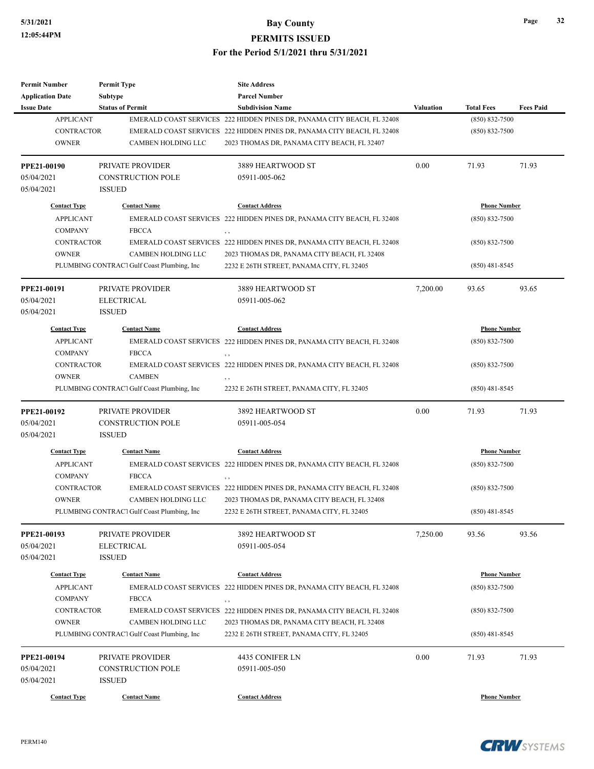| <b>Permit Number</b>    | <b>Permit Type</b>                         | <b>Site Address</b>                                                            |                  |                     |                  |
|-------------------------|--------------------------------------------|--------------------------------------------------------------------------------|------------------|---------------------|------------------|
| <b>Application Date</b> | <b>Subtype</b>                             | <b>Parcel Number</b>                                                           |                  |                     |                  |
| <b>Issue Date</b>       | <b>Status of Permit</b>                    | <b>Subdivision Name</b>                                                        | <b>Valuation</b> | <b>Total Fees</b>   | <b>Fees Paid</b> |
| <b>APPLICANT</b>        |                                            | EMERALD COAST SERVICES 222 HIDDEN PINES DR, PANAMA CITY BEACH, FL 32408        |                  | $(850) 832 - 7500$  |                  |
| <b>CONTRACTOR</b>       |                                            | EMERALD COAST SERVICES 222 HIDDEN PINES DR, PANAMA CITY BEACH, FL 32408        |                  | $(850) 832 - 7500$  |                  |
| <b>OWNER</b>            | CAMBEN HOLDING LLC                         | 2023 THOMAS DR, PANAMA CITY BEACH, FL 32407                                    |                  |                     |                  |
| PPE21-00190             | PRIVATE PROVIDER                           | 3889 HEARTWOOD ST                                                              | 0.00             | 71.93               | 71.93            |
| 05/04/2021              | <b>CONSTRUCTION POLE</b>                   | 05911-005-062                                                                  |                  |                     |                  |
| 05/04/2021              | <b>ISSUED</b>                              |                                                                                |                  |                     |                  |
| <b>Contact Type</b>     | <b>Contact Name</b>                        | <b>Contact Address</b>                                                         |                  | <b>Phone Number</b> |                  |
| <b>APPLICANT</b>        |                                            | EMERALD COAST SERVICES 222 HIDDEN PINES DR, PANAMA CITY BEACH, FL 32408        |                  | $(850) 832 - 7500$  |                  |
| <b>COMPANY</b>          | <b>FBCCA</b>                               | , ,                                                                            |                  |                     |                  |
| <b>CONTRACTOR</b>       |                                            | EMERALD COAST SERVICES 222 HIDDEN PINES DR, PANAMA CITY BEACH, FL 32408        |                  | $(850) 832 - 7500$  |                  |
| <b>OWNER</b>            | CAMBEN HOLDING LLC                         | 2023 THOMAS DR, PANAMA CITY BEACH, FL 32408                                    |                  |                     |                  |
|                         | PLUMBING CONTRACT Gulf Coast Plumbing, Inc | 2232 E 26TH STREET, PANAMA CITY, FL 32405                                      |                  | $(850)$ 481-8545    |                  |
| PPE21-00191             | PRIVATE PROVIDER                           | 3889 HEARTWOOD ST                                                              | 7,200.00         | 93.65               | 93.65            |
| 05/04/2021              | <b>ELECTRICAL</b>                          | 05911-005-062                                                                  |                  |                     |                  |
| 05/04/2021              | <b>ISSUED</b>                              |                                                                                |                  |                     |                  |
| <b>Contact Type</b>     | <b>Contact Name</b>                        | <b>Contact Address</b>                                                         |                  | <b>Phone Number</b> |                  |
| <b>APPLICANT</b>        |                                            | EMERALD COAST SERVICES 222 HIDDEN PINES DR, PANAMA CITY BEACH, FL 32408        |                  | $(850) 832 - 7500$  |                  |
| <b>COMPANY</b>          | <b>FBCCA</b>                               | $, \, ,$                                                                       |                  |                     |                  |
| <b>CONTRACTOR</b>       |                                            | EMERALD COAST SERVICES 222 HIDDEN PINES DR, PANAMA CITY BEACH, FL 32408        |                  | $(850) 832 - 7500$  |                  |
| <b>OWNER</b>            | <b>CAMBEN</b>                              | $, \, ,$                                                                       |                  |                     |                  |
|                         | PLUMBING CONTRACT Gulf Coast Plumbing, Inc | 2232 E 26TH STREET, PANAMA CITY, FL 32405                                      |                  | $(850)$ 481-8545    |                  |
| PPE21-00192             | PRIVATE PROVIDER                           | 3892 HEARTWOOD ST                                                              | 0.00             | 71.93               | 71.93            |
| 05/04/2021              | <b>CONSTRUCTION POLE</b>                   | 05911-005-054                                                                  |                  |                     |                  |
| 05/04/2021              | <b>ISSUED</b>                              |                                                                                |                  |                     |                  |
| <b>Contact Type</b>     | <b>Contact Name</b>                        | <b>Contact Address</b>                                                         |                  | <b>Phone Number</b> |                  |
| <b>APPLICANT</b>        |                                            | EMERALD COAST SERVICES 222 HIDDEN PINES DR, PANAMA CITY BEACH, FL 32408        |                  | $(850) 832 - 7500$  |                  |
| <b>COMPANY</b>          | <b>FBCCA</b>                               |                                                                                |                  |                     |                  |
| <b>CONTRACTOR</b>       |                                            | , ,<br>EMERALD COAST SERVICES 222 HIDDEN PINES DR, PANAMA CITY BEACH, FL 32408 |                  | $(850) 832 - 7500$  |                  |
| <b>OWNER</b>            | <b>CAMBEN HOLDING LLC</b>                  | 2023 THOMAS DR, PANAMA CITY BEACH, FL 32408                                    |                  |                     |                  |
|                         | PLUMBING CONTRACT Gulf Coast Plumbing, Inc | 2232 E 26TH STREET, PANAMA CITY, FL 32405                                      |                  | $(850)$ 481-8545    |                  |
|                         |                                            |                                                                                |                  |                     |                  |
| PPE21-00193             | PRIVATE PROVIDER                           | 3892 HEARTWOOD ST                                                              | 7,250.00         | 93.56               | 93.56            |
| 05/04/2021              | <b>ELECTRICAL</b>                          | 05911-005-054                                                                  |                  |                     |                  |
| 05/04/2021              | <b>ISSUED</b>                              |                                                                                |                  |                     |                  |
| <b>Contact Type</b>     | <b>Contact Name</b>                        | <b>Contact Address</b>                                                         |                  | <b>Phone Number</b> |                  |
| <b>APPLICANT</b>        |                                            | EMERALD COAST SERVICES 222 HIDDEN PINES DR, PANAMA CITY BEACH, FL 32408        |                  | $(850) 832 - 7500$  |                  |
| <b>COMPANY</b>          | <b>FBCCA</b>                               | $, \, ,$                                                                       |                  |                     |                  |
| CONTRACTOR              |                                            | EMERALD COAST SERVICES 222 HIDDEN PINES DR, PANAMA CITY BEACH, FL 32408        |                  | $(850) 832 - 7500$  |                  |
| <b>OWNER</b>            | CAMBEN HOLDING LLC                         | 2023 THOMAS DR, PANAMA CITY BEACH, FL 32408                                    |                  |                     |                  |
|                         | PLUMBING CONTRACT Gulf Coast Plumbing, Inc | 2232 E 26TH STREET, PANAMA CITY, FL 32405                                      |                  | $(850)$ 481-8545    |                  |
| PPE21-00194             | PRIVATE PROVIDER                           | 4435 CONIFER LN                                                                | 0.00             | 71.93               | 71.93            |
| 05/04/2021              | <b>CONSTRUCTION POLE</b>                   | 05911-005-050                                                                  |                  |                     |                  |
| 05/04/2021              | <b>ISSUED</b>                              |                                                                                |                  |                     |                  |
|                         |                                            |                                                                                |                  |                     |                  |
| <b>Contact Type</b>     | <b>Contact Name</b>                        | <b>Contact Address</b>                                                         |                  | <b>Phone Number</b> |                  |



**CRW**SYSTEMS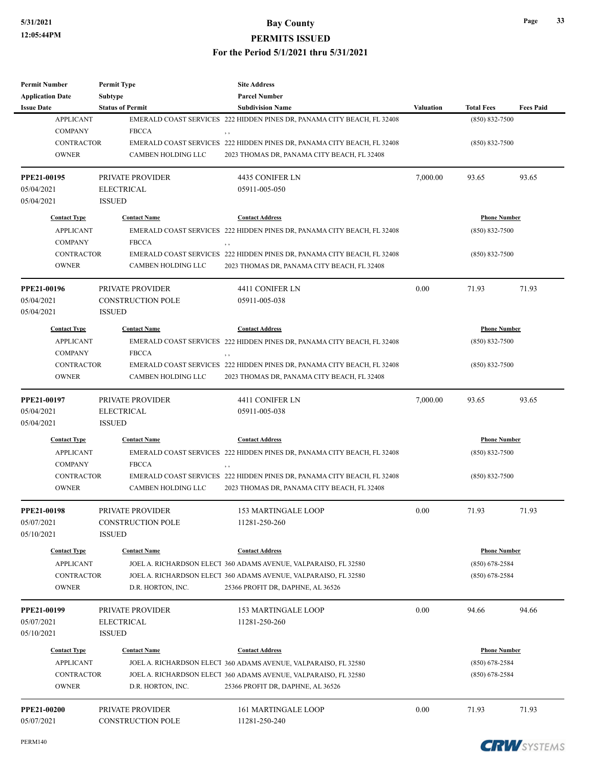## **5/31/2021 Bay County**

**PERMITS ISSUED**

### **For the Period 5/1/2021 thru 5/31/2021**

| <b>Application Date</b> | Subtype                  | <b>Parcel Number</b>                                                           |                  |                     |                  |
|-------------------------|--------------------------|--------------------------------------------------------------------------------|------------------|---------------------|------------------|
| <b>Issue Date</b>       | <b>Status of Permit</b>  | <b>Subdivision Name</b>                                                        | <b>Valuation</b> | <b>Total Fees</b>   | <b>Fees Paid</b> |
| <b>APPLICANT</b>        |                          | EMERALD COAST SERVICES 222 HIDDEN PINES DR, PANAMA CITY BEACH, FL 32408        |                  | $(850) 832 - 7500$  |                  |
| <b>COMPANY</b>          | <b>FBCCA</b>             | , ,                                                                            |                  |                     |                  |
| <b>CONTRACTOR</b>       |                          | EMERALD COAST SERVICES 222 HIDDEN PINES DR, PANAMA CITY BEACH, FL 32408        |                  | $(850) 832 - 7500$  |                  |
| <b>OWNER</b>            | CAMBEN HOLDING LLC       | 2023 THOMAS DR, PANAMA CITY BEACH, FL 32408                                    |                  |                     |                  |
| PPE21-00195             | PRIVATE PROVIDER         | 4435 CONIFER LN                                                                | 7,000.00         | 93.65               | 93.65            |
| 05/04/2021              | <b>ELECTRICAL</b>        | 05911-005-050                                                                  |                  |                     |                  |
| 05/04/2021              | <b>ISSUED</b>            |                                                                                |                  |                     |                  |
| <b>Contact Type</b>     | <b>Contact Name</b>      | <b>Contact Address</b>                                                         |                  | <b>Phone Number</b> |                  |
| <b>APPLICANT</b>        |                          | EMERALD COAST SERVICES 222 HIDDEN PINES DR, PANAMA CITY BEACH, FL 32408        |                  | $(850) 832 - 7500$  |                  |
| <b>COMPANY</b>          | <b>FBCCA</b>             |                                                                                |                  |                     |                  |
| <b>CONTRACTOR</b>       |                          | , ,<br>EMERALD COAST SERVICES 222 HIDDEN PINES DR, PANAMA CITY BEACH, FL 32408 |                  | $(850) 832 - 7500$  |                  |
| <b>OWNER</b>            | CAMBEN HOLDING LLC       | 2023 THOMAS DR, PANAMA CITY BEACH, FL 32408                                    |                  |                     |                  |
|                         |                          |                                                                                |                  |                     |                  |
| PPE21-00196             | PRIVATE PROVIDER         | 4411 CONIFER LN                                                                | 0.00             | 71.93               | 71.93            |
| 05/04/2021              | <b>CONSTRUCTION POLE</b> | 05911-005-038                                                                  |                  |                     |                  |
| 05/04/2021              | <b>ISSUED</b>            |                                                                                |                  |                     |                  |
| <b>Contact Type</b>     | <b>Contact Name</b>      | <b>Contact Address</b>                                                         |                  | <b>Phone Number</b> |                  |
| <b>APPLICANT</b>        |                          | EMERALD COAST SERVICES 222 HIDDEN PINES DR, PANAMA CITY BEACH, FL 32408        |                  | $(850) 832 - 7500$  |                  |
| <b>COMPANY</b>          | <b>FBCCA</b>             | , ,                                                                            |                  |                     |                  |
| <b>CONTRACTOR</b>       |                          | EMERALD COAST SERVICES 222 HIDDEN PINES DR, PANAMA CITY BEACH, FL 32408        |                  | $(850) 832 - 7500$  |                  |
| <b>OWNER</b>            | CAMBEN HOLDING LLC       | 2023 THOMAS DR, PANAMA CITY BEACH, FL 32408                                    |                  |                     |                  |
|                         |                          |                                                                                |                  |                     |                  |
| PPE21-00197             | PRIVATE PROVIDER         | 4411 CONIFER LN                                                                | 7,000.00         | 93.65               | 93.65            |
| 05/04/2021              | <b>ELECTRICAL</b>        | 05911-005-038                                                                  |                  |                     |                  |
| 05/04/2021              | <b>ISSUED</b>            |                                                                                |                  |                     |                  |
| <b>Contact Type</b>     | <b>Contact Name</b>      | <b>Contact Address</b>                                                         |                  | <b>Phone Number</b> |                  |
| <b>APPLICANT</b>        |                          | EMERALD COAST SERVICES 222 HIDDEN PINES DR, PANAMA CITY BEACH, FL 32408        |                  | $(850) 832 - 7500$  |                  |
| <b>COMPANY</b>          | <b>FBCCA</b>             | , ,                                                                            |                  |                     |                  |
| <b>CONTRACTOR</b>       |                          | EMERALD COAST SERVICES 222 HIDDEN PINES DR, PANAMA CITY BEACH, FL 32408        |                  | $(850) 832 - 7500$  |                  |
| <b>OWNER</b>            | CAMBEN HOLDING LLC       | 2023 THOMAS DR, PANAMA CITY BEACH, FL 32408                                    |                  |                     |                  |
| PPE21-00198             | PRIVATE PROVIDER         | <b>153 MARTINGALE LOOP</b>                                                     | 0.00             | 71.93               | 71.93            |
| 05/07/2021              | <b>CONSTRUCTION POLE</b> | 11281-250-260                                                                  |                  |                     |                  |
| 05/10/2021              | <b>ISSUED</b>            |                                                                                |                  |                     |                  |
| <b>Contact Type</b>     | <b>Contact Name</b>      | <b>Contact Address</b>                                                         |                  | <b>Phone Number</b> |                  |
| <b>APPLICANT</b>        |                          | JOEL A. RICHARDSON ELECT 360 ADAMS AVENUE, VALPARAISO, FL 32580                |                  | $(850)$ 678-2584    |                  |
| <b>CONTRACTOR</b>       |                          | JOEL A. RICHARDSON ELECT 360 ADAMS AVENUE, VALPARAISO, FL 32580                |                  | $(850)$ 678-2584    |                  |
| <b>OWNER</b>            | D.R. HORTON, INC.        | 25366 PROFIT DR, DAPHNE, AL 36526                                              |                  |                     |                  |
| <b>PPE21-00199</b>      | PRIVATE PROVIDER         | <b>153 MARTINGALE LOOP</b>                                                     | 0.00             | 94.66               | 94.66            |
| 05/07/2021              | <b>ELECTRICAL</b>        | 11281-250-260                                                                  |                  |                     |                  |
| 05/10/2021              | <b>ISSUED</b>            |                                                                                |                  |                     |                  |
| <b>Contact Type</b>     | <b>Contact Name</b>      | <b>Contact Address</b>                                                         |                  | <b>Phone Number</b> |                  |
| <b>APPLICANT</b>        |                          | JOEL A. RICHARDSON ELECT 360 ADAMS AVENUE, VALPARAISO, FL 32580                |                  | $(850)$ 678-2584    |                  |
| <b>CONTRACTOR</b>       |                          | JOEL A. RICHARDSON ELECT 360 ADAMS AVENUE, VALPARAISO, FL 32580                |                  | $(850)$ 678-2584    |                  |
| <b>OWNER</b>            | D.R. HORTON, INC.        | 25366 PROFIT DR, DAPHNE, AL 36526                                              |                  |                     |                  |
|                         |                          |                                                                                |                  |                     |                  |
| PPE21-00200             | PRIVATE PROVIDER         | <b>161 MARTINGALE LOOP</b>                                                     | 0.00             | 71.93               | 71.93            |
| 05/07/2021              | <b>CONSTRUCTION POLE</b> | 11281-250-240                                                                  |                  |                     |                  |

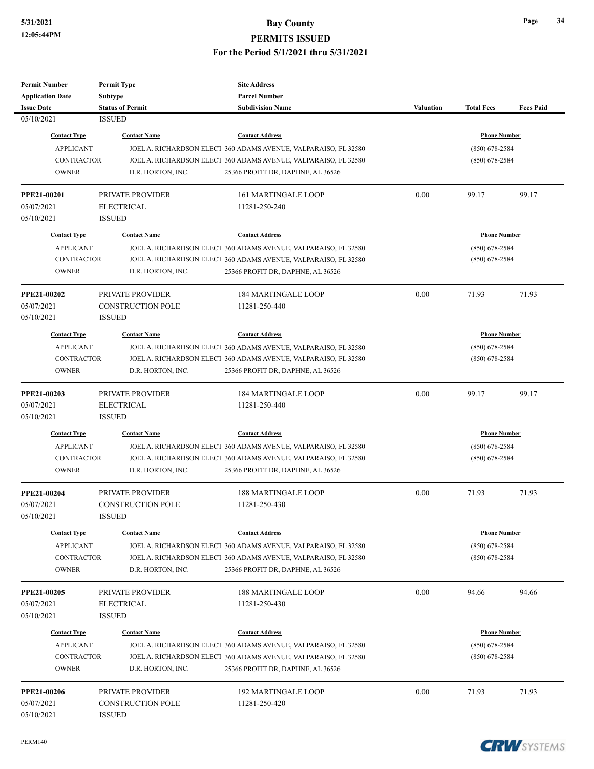| <b>Permit Number</b>      | <b>Permit Type</b>                    | <b>Site Address</b>                                             |                  |                     |                  |
|---------------------------|---------------------------------------|-----------------------------------------------------------------|------------------|---------------------|------------------|
| <b>Application Date</b>   | <b>Subtype</b>                        | <b>Parcel Number</b>                                            |                  |                     |                  |
| <b>Issue Date</b>         | <b>Status of Permit</b>               | <b>Subdivision Name</b>                                         | <b>Valuation</b> | <b>Total Fees</b>   | <b>Fees Paid</b> |
| 05/10/2021                | <b>ISSUED</b>                         |                                                                 |                  |                     |                  |
| <b>Contact Type</b>       | <b>Contact Name</b>                   | <b>Contact Address</b>                                          |                  | <b>Phone Number</b> |                  |
| <b>APPLICANT</b>          |                                       | JOEL A. RICHARDSON ELECT 360 ADAMS AVENUE, VALPARAISO, FL 32580 |                  | $(850) 678 - 2584$  |                  |
| <b>CONTRACTOR</b>         |                                       | JOEL A. RICHARDSON ELECT 360 ADAMS AVENUE, VALPARAISO, FL 32580 |                  | $(850)$ 678-2584    |                  |
| <b>OWNER</b>              | D.R. HORTON, INC.                     | 25366 PROFIT DR, DAPHNE, AL 36526                               |                  |                     |                  |
|                           |                                       |                                                                 |                  |                     |                  |
| PPE21-00201               | PRIVATE PROVIDER                      | <b>161 MARTINGALE LOOP</b>                                      | 0.00             | 99.17               | 99.17            |
| 05/07/2021                | <b>ELECTRICAL</b>                     | 11281-250-240                                                   |                  |                     |                  |
| 05/10/2021                | <b>ISSUED</b>                         |                                                                 |                  |                     |                  |
| <b>Contact Type</b>       | <b>Contact Name</b>                   | <b>Contact Address</b>                                          |                  | <b>Phone Number</b> |                  |
| <b>APPLICANT</b>          |                                       | JOEL A. RICHARDSON ELECT 360 ADAMS AVENUE, VALPARAISO, FL 32580 |                  | $(850)$ 678-2584    |                  |
| <b>CONTRACTOR</b>         |                                       | JOEL A. RICHARDSON ELECT 360 ADAMS AVENUE, VALPARAISO, FL 32580 |                  | $(850)$ 678-2584    |                  |
| <b>OWNER</b>              | D.R. HORTON, INC.                     | 25366 PROFIT DR, DAPHNE, AL 36526                               |                  |                     |                  |
|                           |                                       |                                                                 |                  |                     |                  |
| <b>PPE21-00202</b>        | PRIVATE PROVIDER                      | <b>184 MARTINGALE LOOP</b>                                      | 0.00             | 71.93               | 71.93            |
| 05/07/2021                | <b>CONSTRUCTION POLE</b>              | 11281-250-440                                                   |                  |                     |                  |
| 05/10/2021                | <b>ISSUED</b>                         |                                                                 |                  |                     |                  |
| <b>Contact Type</b>       | <b>Contact Name</b>                   | <b>Contact Address</b>                                          |                  | <b>Phone Number</b> |                  |
|                           |                                       |                                                                 |                  |                     |                  |
| <b>APPLICANT</b>          |                                       | JOEL A. RICHARDSON ELECT 360 ADAMS AVENUE, VALPARAISO, FL 32580 |                  | $(850)$ 678-2584    |                  |
| <b>CONTRACTOR</b>         |                                       | JOEL A. RICHARDSON ELECT 360 ADAMS AVENUE, VALPARAISO, FL 32580 |                  | $(850)$ 678-2584    |                  |
| <b>OWNER</b>              | D.R. HORTON, INC.                     | 25366 PROFIT DR, DAPHNE, AL 36526                               |                  |                     |                  |
| <b>PPE21-00203</b>        | PRIVATE PROVIDER                      | <b>184 MARTINGALE LOOP</b>                                      | 0.00             | 99.17               | 99.17            |
| 05/07/2021                | <b>ELECTRICAL</b>                     | 11281-250-440                                                   |                  |                     |                  |
| 05/10/2021                | <b>ISSUED</b>                         |                                                                 |                  |                     |                  |
|                           |                                       |                                                                 |                  |                     |                  |
| <b>Contact Type</b>       | <b>Contact Name</b>                   | <b>Contact Address</b>                                          |                  | <b>Phone Number</b> |                  |
| <b>APPLICANT</b>          |                                       | JOEL A. RICHARDSON ELECT 360 ADAMS AVENUE, VALPARAISO, FL 32580 |                  | $(850)$ 678-2584    |                  |
| <b>CONTRACTOR</b>         |                                       | JOEL A. RICHARDSON ELECT 360 ADAMS AVENUE, VALPARAISO, FL 32580 |                  | $(850)$ 678-2584    |                  |
| <b>OWNER</b>              | D.R. HORTON, INC.                     | 25366 PROFIT DR, DAPHNE, AL 36526                               |                  |                     |                  |
| PPE21-00204               | PRIVATE PROVIDER                      | <b>188 MARTINGALE LOOP</b>                                      | 0.00             | 71.93               | 71.93            |
| 05/07/2021                | <b>CONSTRUCTION POLE</b>              | 11281-250-430                                                   |                  |                     |                  |
| 05/10/2021                | <b>ISSUED</b>                         |                                                                 |                  |                     |                  |
|                           |                                       |                                                                 |                  |                     |                  |
| <b>Contact Type</b>       | <b>Contact Name</b>                   | <b>Contact Address</b>                                          |                  | <b>Phone Number</b> |                  |
| <b>APPLICANT</b>          |                                       | JOEL A. RICHARDSON ELECT 360 ADAMS AVENUE, VALPARAISO, FL 32580 |                  | $(850)$ 678-2584    |                  |
| CONTRACTOR                |                                       | JOEL A. RICHARDSON ELECT 360 ADAMS AVENUE, VALPARAISO, FL 32580 |                  | $(850)$ 678-2584    |                  |
| <b>OWNER</b>              | D.R. HORTON, INC.                     | 25366 PROFIT DR, DAPHNE, AL 36526                               |                  |                     |                  |
|                           |                                       |                                                                 |                  |                     |                  |
| PPE21-00205<br>05/07/2021 | PRIVATE PROVIDER<br><b>ELECTRICAL</b> | <b>188 MARTINGALE LOOP</b><br>11281-250-430                     | 0.00             | 94.66               | 94.66            |
| 05/10/2021                | <b>ISSUED</b>                         |                                                                 |                  |                     |                  |
|                           |                                       |                                                                 |                  |                     |                  |
| <b>Contact Type</b>       | <b>Contact Name</b>                   | <b>Contact Address</b>                                          |                  | <b>Phone Number</b> |                  |
| <b>APPLICANT</b>          |                                       | JOEL A. RICHARDSON ELECT 360 ADAMS AVENUE, VALPARAISO, FL 32580 |                  | $(850)$ 678-2584    |                  |
| CONTRACTOR                |                                       | JOEL A. RICHARDSON ELECT 360 ADAMS AVENUE, VALPARAISO, FL 32580 |                  | $(850)$ 678-2584    |                  |
| <b>OWNER</b>              | D.R. HORTON, INC.                     | 25366 PROFIT DR, DAPHNE, AL 36526                               |                  |                     |                  |
|                           |                                       |                                                                 |                  |                     |                  |
| <b>PPE21-00206</b>        | PRIVATE PROVIDER                      | <b>192 MARTINGALE LOOP</b>                                      | 0.00             | 71.93               | 71.93            |
| 05/07/2021                | <b>CONSTRUCTION POLE</b>              | 11281-250-420                                                   |                  |                     |                  |
| 05/10/2021                | <b>ISSUED</b>                         |                                                                 |                  |                     |                  |

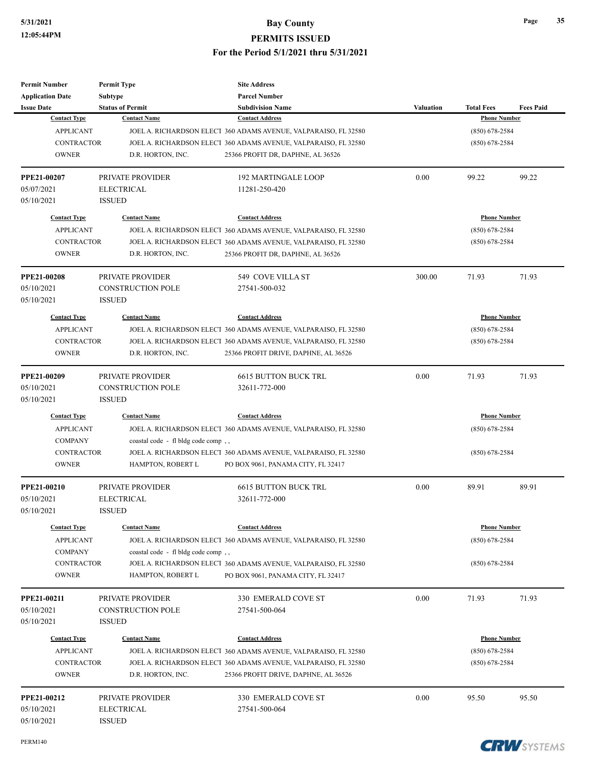| <b>Permit Number</b>      | <b>Permit Type</b>                    | <b>Site Address</b>                                             |                  |                     |                  |
|---------------------------|---------------------------------------|-----------------------------------------------------------------|------------------|---------------------|------------------|
| <b>Application Date</b>   | <b>Subtype</b>                        | <b>Parcel Number</b>                                            |                  |                     |                  |
| <b>Issue Date</b>         | <b>Status of Permit</b>               | <b>Subdivision Name</b>                                         | <b>Valuation</b> | <b>Total Fees</b>   | <b>Fees Paid</b> |
| <b>Contact Type</b>       | <b>Contact Name</b>                   | <b>Contact Address</b>                                          |                  | <b>Phone Number</b> |                  |
| <b>APPLICANT</b>          |                                       | JOEL A. RICHARDSON ELECT 360 ADAMS AVENUE, VALPARAISO, FL 32580 |                  | $(850)$ 678-2584    |                  |
| <b>CONTRACTOR</b>         |                                       | JOEL A. RICHARDSON ELECT 360 ADAMS AVENUE, VALPARAISO, FL 32580 |                  | $(850)$ 678-2584    |                  |
| <b>OWNER</b>              | D.R. HORTON, INC.                     | 25366 PROFIT DR, DAPHNE, AL 36526                               |                  |                     |                  |
| PPE21-00207               | PRIVATE PROVIDER                      | <b>192 MARTINGALE LOOP</b>                                      | 0.00             | 99.22               | 99.22            |
| 05/07/2021                | <b>ELECTRICAL</b>                     | 11281-250-420                                                   |                  |                     |                  |
| 05/10/2021                | <b>ISSUED</b>                         |                                                                 |                  |                     |                  |
| <b>Contact Type</b>       | <b>Contact Name</b>                   | <b>Contact Address</b>                                          |                  | <b>Phone Number</b> |                  |
| <b>APPLICANT</b>          |                                       | JOEL A. RICHARDSON ELECT 360 ADAMS AVENUE, VALPARAISO, FL 32580 |                  | $(850)$ 678-2584    |                  |
| <b>CONTRACTOR</b>         |                                       | JOEL A. RICHARDSON ELECT 360 ADAMS AVENUE, VALPARAISO, FL 32580 |                  | $(850)$ 678-2584    |                  |
|                           |                                       |                                                                 |                  |                     |                  |
| <b>OWNER</b>              | D.R. HORTON, INC.                     | 25366 PROFIT DR, DAPHNE, AL 36526                               |                  |                     |                  |
| PPE21-00208               | PRIVATE PROVIDER                      | 549 COVE VILLA ST                                               | 300.00           | 71.93               | 71.93            |
| 05/10/2021                | <b>CONSTRUCTION POLE</b>              | 27541-500-032                                                   |                  |                     |                  |
| 05/10/2021                | <b>ISSUED</b>                         |                                                                 |                  |                     |                  |
| <b>Contact Type</b>       | <b>Contact Name</b>                   | <b>Contact Address</b>                                          |                  | <b>Phone Number</b> |                  |
| <b>APPLICANT</b>          |                                       | JOEL A. RICHARDSON ELECT 360 ADAMS AVENUE, VALPARAISO, FL 32580 |                  | $(850)$ 678-2584    |                  |
| <b>CONTRACTOR</b>         |                                       | JOEL A. RICHARDSON ELECT 360 ADAMS AVENUE, VALPARAISO, FL 32580 |                  | $(850) 678 - 2584$  |                  |
| <b>OWNER</b>              | D.R. HORTON, INC.                     | 25366 PROFIT DRIVE, DAPHNE, AL 36526                            |                  |                     |                  |
|                           |                                       |                                                                 |                  |                     |                  |
| PPE21-00209               | PRIVATE PROVIDER                      | 6615 BUTTON BUCK TRL                                            | 0.00             | 71.93               | 71.93            |
| 05/10/2021                | <b>CONSTRUCTION POLE</b>              | 32611-772-000                                                   |                  |                     |                  |
| 05/10/2021                | <b>ISSUED</b>                         |                                                                 |                  |                     |                  |
| <b>Contact Type</b>       | <b>Contact Name</b>                   | <b>Contact Address</b>                                          |                  | <b>Phone Number</b> |                  |
| <b>APPLICANT</b>          |                                       | JOEL A. RICHARDSON ELECT 360 ADAMS AVENUE, VALPARAISO, FL 32580 |                  | $(850)$ 678-2584    |                  |
| <b>COMPANY</b>            | coastal code - fl bldg code comp,     |                                                                 |                  |                     |                  |
| <b>CONTRACTOR</b>         |                                       | JOEL A. RICHARDSON ELECT 360 ADAMS AVENUE, VALPARAISO, FL 32580 |                  | $(850)$ 678-2584    |                  |
| <b>OWNER</b>              | HAMPTON, ROBERT L                     | PO BOX 9061, PANAMA CITY, FL 32417                              |                  |                     |                  |
| PPE21-00210               | <b>PRIVATE PROVIDER</b>               | <b>6615 BUTTON BUCK TRL</b>                                     | 0.00             | 89.91               | 89.91            |
| 05/10/2021                | <b>ELECTRICAL</b>                     | 32611-772-000                                                   |                  |                     |                  |
| 05/10/2021                | <b>ISSUED</b>                         |                                                                 |                  |                     |                  |
| <b>Contact Type</b>       | <b>Contact Name</b>                   | <b>Contact Address</b>                                          |                  | <b>Phone Number</b> |                  |
| <b>APPLICANT</b>          |                                       | JOEL A. RICHARDSON ELECT 360 ADAMS AVENUE, VALPARAISO, FL 32580 |                  | $(850)$ 678-2584    |                  |
| <b>COMPANY</b>            | coastal code - fl bldg code comp,     |                                                                 |                  |                     |                  |
| <b>CONTRACTOR</b>         |                                       | JOEL A. RICHARDSON ELECT 360 ADAMS AVENUE, VALPARAISO, FL 32580 |                  | $(850)$ 678-2584    |                  |
| <b>OWNER</b>              |                                       |                                                                 |                  |                     |                  |
|                           | HAMPTON, ROBERT L                     | PO BOX 9061, PANAMA CITY, FL 32417                              |                  |                     |                  |
| PPE21-00211               | PRIVATE PROVIDER                      | 330 EMERALD COVE ST                                             | 0.00             | 71.93               | 71.93            |
| 05/10/2021                | <b>CONSTRUCTION POLE</b>              | 27541-500-064                                                   |                  |                     |                  |
| 05/10/2021                | <b>ISSUED</b>                         |                                                                 |                  |                     |                  |
| <b>Contact Type</b>       | <b>Contact Name</b>                   | <b>Contact Address</b>                                          |                  | <b>Phone Number</b> |                  |
| <b>APPLICANT</b>          |                                       | JOEL A. RICHARDSON ELECT 360 ADAMS AVENUE, VALPARAISO, FL 32580 |                  | $(850)$ 678-2584    |                  |
| <b>CONTRACTOR</b>         |                                       | JOEL A. RICHARDSON ELECT 360 ADAMS AVENUE, VALPARAISO, FL 32580 |                  | $(850)$ 678-2584    |                  |
| <b>OWNER</b>              | D.R. HORTON, INC.                     | 25366 PROFIT DRIVE, DAPHNE, AL 36526                            |                  |                     |                  |
|                           |                                       |                                                                 |                  |                     |                  |
| PPE21-00212<br>05/10/2021 | PRIVATE PROVIDER<br><b>ELECTRICAL</b> | 330 EMERALD COVE ST<br>27541-500-064                            | 0.00             | 95.50               | 95.50            |
| 05/10/2021                | <b>ISSUED</b>                         |                                                                 |                  |                     |                  |
|                           |                                       |                                                                 |                  |                     |                  |

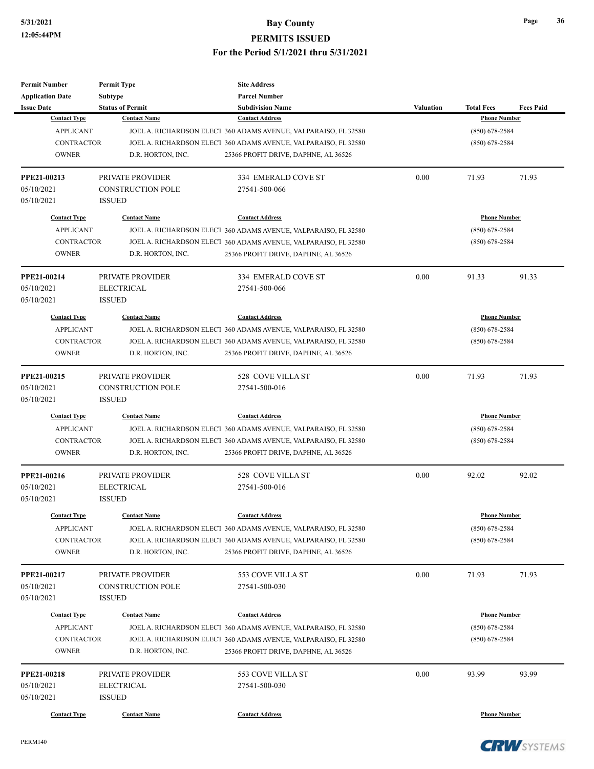| <b>Permit Number</b>    | <b>Permit Type</b>       | <b>Site Address</b>                                             |                  |                     |                  |
|-------------------------|--------------------------|-----------------------------------------------------------------|------------------|---------------------|------------------|
| <b>Application Date</b> | <b>Subtype</b>           | <b>Parcel Number</b>                                            |                  |                     |                  |
| <b>Issue Date</b>       | <b>Status of Permit</b>  | <b>Subdivision Name</b>                                         | <b>Valuation</b> | <b>Total Fees</b>   | <b>Fees Paid</b> |
| <b>Contact Type</b>     | <b>Contact Name</b>      | <b>Contact Address</b>                                          |                  | <b>Phone Number</b> |                  |
| <b>APPLICANT</b>        |                          | JOEL A. RICHARDSON ELECT 360 ADAMS AVENUE, VALPARAISO, FL 32580 |                  | $(850)$ 678-2584    |                  |
| <b>CONTRACTOR</b>       |                          | JOEL A. RICHARDSON ELECT 360 ADAMS AVENUE, VALPARAISO, FL 32580 |                  | $(850)$ 678-2584    |                  |
| <b>OWNER</b>            | D.R. HORTON, INC.        | 25366 PROFIT DRIVE, DAPHNE, AL 36526                            |                  |                     |                  |
| PPE21-00213             | <b>PRIVATE PROVIDER</b>  | 334 EMERALD COVE ST                                             | 0.00             | 71.93               | 71.93            |
| 05/10/2021              | <b>CONSTRUCTION POLE</b> | 27541-500-066                                                   |                  |                     |                  |
| 05/10/2021              | <b>ISSUED</b>            |                                                                 |                  |                     |                  |
| <b>Contact Type</b>     | <b>Contact Name</b>      | <b>Contact Address</b>                                          |                  | <b>Phone Number</b> |                  |
| <b>APPLICANT</b>        |                          | JOEL A. RICHARDSON ELECT 360 ADAMS AVENUE, VALPARAISO, FL 32580 |                  | $(850)$ 678-2584    |                  |
| <b>CONTRACTOR</b>       |                          | JOEL A. RICHARDSON ELECT 360 ADAMS AVENUE, VALPARAISO, FL 32580 |                  | $(850)$ 678-2584    |                  |
| <b>OWNER</b>            | D.R. HORTON, INC.        | 25366 PROFIT DRIVE, DAPHNE, AL 36526                            |                  |                     |                  |
| PPE21-00214             | PRIVATE PROVIDER         | 334 EMERALD COVE ST                                             | 0.00             | 91.33               | 91.33            |
| 05/10/2021              | <b>ELECTRICAL</b>        | 27541-500-066                                                   |                  |                     |                  |
| 05/10/2021              | <b>ISSUED</b>            |                                                                 |                  |                     |                  |
| <b>Contact Type</b>     | <b>Contact Name</b>      | <b>Contact Address</b>                                          |                  | <b>Phone Number</b> |                  |
| <b>APPLICANT</b>        |                          | JOEL A. RICHARDSON ELECT 360 ADAMS AVENUE, VALPARAISO, FL 32580 |                  | $(850)$ 678-2584    |                  |
| <b>CONTRACTOR</b>       |                          | JOEL A. RICHARDSON ELECT 360 ADAMS AVENUE, VALPARAISO, FL 32580 |                  | $(850) 678 - 2584$  |                  |
| <b>OWNER</b>            | D.R. HORTON, INC.        | 25366 PROFIT DRIVE, DAPHNE, AL 36526                            |                  |                     |                  |
| PPE21-00215             | PRIVATE PROVIDER         | 528 COVE VILLA ST                                               | 0.00             | 71.93               | 71.93            |
| 05/10/2021              | <b>CONSTRUCTION POLE</b> | 27541-500-016                                                   |                  |                     |                  |
| 05/10/2021              | <b>ISSUED</b>            |                                                                 |                  |                     |                  |
| <b>Contact Type</b>     | <b>Contact Name</b>      | <b>Contact Address</b>                                          |                  | <b>Phone Number</b> |                  |
| <b>APPLICANT</b>        |                          | JOEL A. RICHARDSON ELECT 360 ADAMS AVENUE, VALPARAISO, FL 32580 |                  | $(850)$ 678-2584    |                  |
| <b>CONTRACTOR</b>       |                          | JOEL A. RICHARDSON ELECT 360 ADAMS AVENUE, VALPARAISO, FL 32580 |                  | $(850)$ 678-2584    |                  |
| <b>OWNER</b>            | D.R. HORTON, INC.        | 25366 PROFIT DRIVE, DAPHNE, AL 36526                            |                  |                     |                  |
| PPE21-00216             | PRIVATE PROVIDER         | 528 COVE VILLA ST                                               | 0.00             | 92.02               | 92.02            |
| 05/10/2021              | <b>ELECTRICAL</b>        | 27541-500-016                                                   |                  |                     |                  |
| 05/10/2021              | <b>ISSUED</b>            |                                                                 |                  |                     |                  |
| <b>Contact Type</b>     | <b>Contact Name</b>      | <b>Contact Address</b>                                          |                  | <b>Phone Number</b> |                  |
| <b>APPLICANT</b>        |                          | JOEL A. RICHARDSON ELECT 360 ADAMS AVENUE, VALPARAISO, FL 32580 |                  | $(850)$ 678-2584    |                  |
| <b>CONTRACTOR</b>       |                          | JOEL A. RICHARDSON ELECT 360 ADAMS AVENUE, VALPARAISO, FL 32580 |                  | $(850)$ 678-2584    |                  |
| <b>OWNER</b>            | D.R. HORTON, INC.        | 25366 PROFIT DRIVE, DAPHNE, AL 36526                            |                  |                     |                  |
| PPE21-00217             | PRIVATE PROVIDER         | 553 COVE VILLA ST                                               | 0.00             | 71.93               | 71.93            |
| 05/10/2021              | CONSTRUCTION POLE        | 27541-500-030                                                   |                  |                     |                  |
| 05/10/2021              | <b>ISSUED</b>            |                                                                 |                  |                     |                  |
| <b>Contact Type</b>     | <b>Contact Name</b>      | <b>Contact Address</b>                                          |                  | <b>Phone Number</b> |                  |
| <b>APPLICANT</b>        |                          | JOEL A. RICHARDSON ELECT 360 ADAMS AVENUE, VALPARAISO, FL 32580 |                  | $(850)$ 678-2584    |                  |
| <b>CONTRACTOR</b>       |                          | JOEL A. RICHARDSON ELECT 360 ADAMS AVENUE, VALPARAISO, FL 32580 |                  | $(850)$ 678-2584    |                  |
| <b>OWNER</b>            | D.R. HORTON, INC.        | 25366 PROFIT DRIVE, DAPHNE, AL 36526                            |                  |                     |                  |
| PPE21-00218             | PRIVATE PROVIDER         | 553 COVE VILLA ST                                               | 0.00             | 93.99               | 93.99            |
| 05/10/2021              | <b>ELECTRICAL</b>        | 27541-500-030                                                   |                  |                     |                  |
| 05/10/2021              | <b>ISSUED</b>            |                                                                 |                  |                     |                  |
| <b>Contact Type</b>     | <b>Contact Name</b>      | <b>Contact Address</b>                                          |                  | <b>Phone Number</b> |                  |

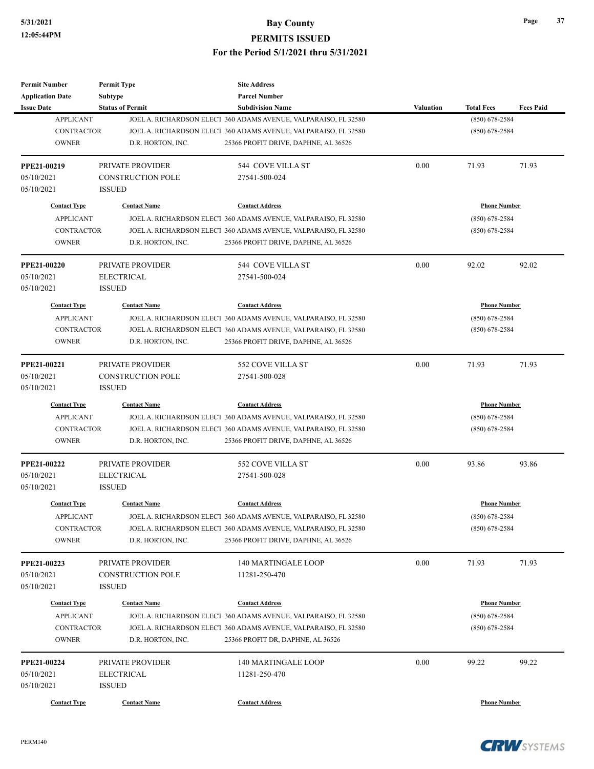| <b>Permit Number</b>                    | <b>Permit Type</b>       | <b>Site Address</b>                                                                        |           |                                         |                  |
|-----------------------------------------|--------------------------|--------------------------------------------------------------------------------------------|-----------|-----------------------------------------|------------------|
| <b>Application Date</b>                 | Subtype                  | <b>Parcel Number</b>                                                                       |           |                                         |                  |
| <b>Issue Date</b><br><b>APPLICANT</b>   | <b>Status of Permit</b>  | <b>Subdivision Name</b><br>JOEL A. RICHARDSON ELECT 360 ADAMS AVENUE, VALPARAISO, FL 32580 | Valuation | <b>Total Fees</b><br>$(850) 678 - 2584$ | <b>Fees Paid</b> |
| <b>CONTRACTOR</b>                       |                          | JOEL A. RICHARDSON ELECT 360 ADAMS AVENUE, VALPARAISO, FL 32580                            |           | $(850)$ 678-2584                        |                  |
| <b>OWNER</b>                            | D.R. HORTON, INC.        | 25366 PROFIT DRIVE, DAPHNE, AL 36526                                                       |           |                                         |                  |
|                                         |                          |                                                                                            |           |                                         |                  |
| PPE21-00219                             | PRIVATE PROVIDER         | 544 COVE VILLA ST                                                                          | 0.00      | 71.93                                   | 71.93            |
| 05/10/2021                              | <b>CONSTRUCTION POLE</b> | 27541-500-024                                                                              |           |                                         |                  |
| 05/10/2021                              | <b>ISSUED</b>            |                                                                                            |           |                                         |                  |
| <b>Contact Type</b>                     | <b>Contact Name</b>      | <b>Contact Address</b>                                                                     |           | <b>Phone Number</b>                     |                  |
| <b>APPLICANT</b>                        |                          | JOEL A. RICHARDSON ELECT 360 ADAMS AVENUE, VALPARAISO, FL 32580                            |           | $(850)$ 678-2584                        |                  |
| <b>CONTRACTOR</b>                       |                          | JOEL A. RICHARDSON ELECT 360 ADAMS AVENUE, VALPARAISO, FL 32580                            |           | $(850)$ 678-2584                        |                  |
| <b>OWNER</b>                            | D.R. HORTON, INC.        | 25366 PROFIT DRIVE, DAPHNE, AL 36526                                                       |           |                                         |                  |
| <b>PPE21-00220</b>                      | PRIVATE PROVIDER         | 544 COVE VILLA ST                                                                          | 0.00      | 92.02                                   | 92.02            |
| 05/10/2021                              | <b>ELECTRICAL</b>        | 27541-500-024                                                                              |           |                                         |                  |
| 05/10/2021                              | <b>ISSUED</b>            |                                                                                            |           |                                         |                  |
| <b>Contact Type</b>                     | <b>Contact Name</b>      | <b>Contact Address</b>                                                                     |           | <b>Phone Number</b>                     |                  |
| <b>APPLICANT</b>                        |                          | JOEL A. RICHARDSON ELECT 360 ADAMS AVENUE, VALPARAISO, FL 32580                            |           | $(850)$ 678-2584                        |                  |
| <b>CONTRACTOR</b>                       |                          | JOEL A. RICHARDSON ELECT 360 ADAMS AVENUE, VALPARAISO, FL 32580                            |           | $(850)$ 678-2584                        |                  |
| <b>OWNER</b>                            | D.R. HORTON, INC.        | 25366 PROFIT DRIVE, DAPHNE, AL 36526                                                       |           |                                         |                  |
|                                         |                          |                                                                                            |           |                                         |                  |
| PPE21-00221                             | PRIVATE PROVIDER         | 552 COVE VILLA ST                                                                          | 0.00      | 71.93                                   | 71.93            |
| 05/10/2021                              | <b>CONSTRUCTION POLE</b> | 27541-500-028                                                                              |           |                                         |                  |
| 05/10/2021                              | <b>ISSUED</b>            |                                                                                            |           |                                         |                  |
| <b>Contact Type</b>                     | <b>Contact Name</b>      | <b>Contact Address</b>                                                                     |           | <b>Phone Number</b>                     |                  |
| <b>APPLICANT</b>                        |                          | JOEL A. RICHARDSON ELECT 360 ADAMS AVENUE, VALPARAISO, FL 32580                            |           | $(850)$ 678-2584                        |                  |
| <b>CONTRACTOR</b>                       |                          | JOEL A. RICHARDSON ELECT 360 ADAMS AVENUE, VALPARAISO, FL 32580                            |           | $(850)$ 678-2584                        |                  |
| <b>OWNER</b>                            | D.R. HORTON, INC.        | 25366 PROFIT DRIVE, DAPHNE, AL 36526                                                       |           |                                         |                  |
| PPE21-00222                             | PRIVATE PROVIDER         | 552 COVE VILLA ST                                                                          | 0.00      | 93.86                                   | 93.86            |
| 05/10/2021                              | <b>ELECTRICAL</b>        | 27541-500-028                                                                              |           |                                         |                  |
| 05/10/2021                              | <b>ISSUED</b>            |                                                                                            |           |                                         |                  |
| <b>Contact Type</b>                     | <b>Contact Name</b>      | <b>Contact Address</b>                                                                     |           | <b>Phone Number</b>                     |                  |
| APPLICANT                               |                          | JOEL A. RICHARDSON ELECT 360 ADAMS AVENUE, VALPARAISO, FL 32580                            |           | $(850) 678 - 2584$                      |                  |
| <b>CONTRACTOR</b>                       |                          | JOEL A. RICHARDSON ELECT 360 ADAMS AVENUE, VALPARAISO, FL 32580                            |           | $(850)$ 678-2584                        |                  |
| <b>OWNER</b>                            | D.R. HORTON, INC.        | 25366 PROFIT DRIVE, DAPHNE, AL 36526                                                       |           |                                         |                  |
| PPE21-00223                             | PRIVATE PROVIDER         | 140 MARTINGALE LOOP                                                                        | 0.00      | 71.93                                   | 71.93            |
| 05/10/2021                              | <b>CONSTRUCTION POLE</b> | 11281-250-470                                                                              |           |                                         |                  |
| 05/10/2021                              | <b>ISSUED</b>            |                                                                                            |           |                                         |                  |
|                                         |                          |                                                                                            |           |                                         |                  |
| <b>Contact Type</b><br><b>APPLICANT</b> | <b>Contact Name</b>      | <b>Contact Address</b><br>JOEL A. RICHARDSON ELECT 360 ADAMS AVENUE, VALPARAISO, FL 32580  |           | <b>Phone Number</b><br>$(850)$ 678-2584 |                  |
| <b>CONTRACTOR</b>                       |                          | JOEL A. RICHARDSON ELECT 360 ADAMS AVENUE, VALPARAISO, FL 32580                            |           | $(850)$ 678-2584                        |                  |
| <b>OWNER</b>                            | D.R. HORTON, INC.        | 25366 PROFIT DR, DAPHNE, AL 36526                                                          |           |                                         |                  |
|                                         |                          |                                                                                            |           |                                         |                  |
| PPE21-00224                             | PRIVATE PROVIDER         | 140 MARTINGALE LOOP                                                                        | 0.00      | 99.22                                   | 99.22            |
| 05/10/2021                              | <b>ELECTRICAL</b>        | 11281-250-470                                                                              |           |                                         |                  |
| 05/10/2021                              | <b>ISSUED</b>            |                                                                                            |           |                                         |                  |
| <b>Contact Type</b>                     | <b>Contact Name</b>      | <b>Contact Address</b>                                                                     |           | <b>Phone Number</b>                     |                  |

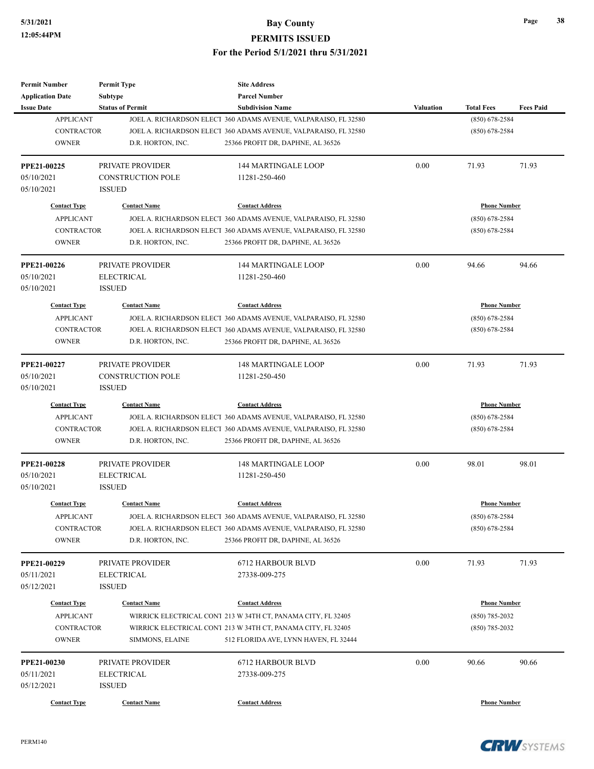| <b>Permit Number</b>    | <b>Permit Type</b>       | <b>Site Address</b>                                             |                  |                     |                  |
|-------------------------|--------------------------|-----------------------------------------------------------------|------------------|---------------------|------------------|
| <b>Application Date</b> | <b>Subtype</b>           | <b>Parcel Number</b>                                            |                  |                     |                  |
| <b>Issue Date</b>       | <b>Status of Permit</b>  | <b>Subdivision Name</b>                                         | <b>Valuation</b> | <b>Total Fees</b>   | <b>Fees Paid</b> |
| <b>APPLICANT</b>        |                          | JOEL A. RICHARDSON ELECT 360 ADAMS AVENUE, VALPARAISO, FL 32580 |                  | $(850) 678 - 2584$  |                  |
| <b>CONTRACTOR</b>       |                          | JOEL A. RICHARDSON ELECT 360 ADAMS AVENUE, VALPARAISO, FL 32580 |                  | $(850)$ 678-2584    |                  |
| <b>OWNER</b>            | D.R. HORTON, INC.        | 25366 PROFIT DR, DAPHNE, AL 36526                               |                  |                     |                  |
| <b>PPE21-00225</b>      | PRIVATE PROVIDER         | <b>144 MARTINGALE LOOP</b>                                      | 0.00             | 71.93               | 71.93            |
| 05/10/2021              | <b>CONSTRUCTION POLE</b> | 11281-250-460                                                   |                  |                     |                  |
| 05/10/2021              | <b>ISSUED</b>            |                                                                 |                  |                     |                  |
| <b>Contact Type</b>     | <b>Contact Name</b>      | <b>Contact Address</b>                                          |                  | <b>Phone Number</b> |                  |
| <b>APPLICANT</b>        |                          | JOEL A. RICHARDSON ELECT 360 ADAMS AVENUE, VALPARAISO, FL 32580 |                  | $(850)$ 678-2584    |                  |
| <b>CONTRACTOR</b>       |                          | JOEL A. RICHARDSON ELECT 360 ADAMS AVENUE, VALPARAISO, FL 32580 |                  | $(850)$ 678-2584    |                  |
| <b>OWNER</b>            | D.R. HORTON, INC.        | 25366 PROFIT DR, DAPHNE, AL 36526                               |                  |                     |                  |
| PPE21-00226             | PRIVATE PROVIDER         | <b>144 MARTINGALE LOOP</b>                                      | 0.00             | 94.66               | 94.66            |
| 05/10/2021              | <b>ELECTRICAL</b>        | 11281-250-460                                                   |                  |                     |                  |
| 05/10/2021              | <b>ISSUED</b>            |                                                                 |                  |                     |                  |
| <b>Contact Type</b>     | <b>Contact Name</b>      | <b>Contact Address</b>                                          |                  | <b>Phone Number</b> |                  |
| <b>APPLICANT</b>        |                          | JOEL A. RICHARDSON ELECT 360 ADAMS AVENUE, VALPARAISO, FL 32580 |                  | $(850)$ 678-2584    |                  |
| <b>CONTRACTOR</b>       |                          | JOEL A. RICHARDSON ELECT 360 ADAMS AVENUE, VALPARAISO, FL 32580 |                  | $(850)$ 678-2584    |                  |
| <b>OWNER</b>            | D.R. HORTON, INC.        | 25366 PROFIT DR, DAPHNE, AL 36526                               |                  |                     |                  |
|                         |                          |                                                                 |                  |                     |                  |
| PPE21-00227             | PRIVATE PROVIDER         | <b>148 MARTINGALE LOOP</b>                                      | 0.00             | 71.93               | 71.93            |
| 05/10/2021              | <b>CONSTRUCTION POLE</b> | 11281-250-450                                                   |                  |                     |                  |
| 05/10/2021              | <b>ISSUED</b>            |                                                                 |                  |                     |                  |
| <b>Contact Type</b>     | <b>Contact Name</b>      | <b>Contact Address</b>                                          |                  | <b>Phone Number</b> |                  |
| <b>APPLICANT</b>        |                          | JOEL A. RICHARDSON ELECT 360 ADAMS AVENUE, VALPARAISO, FL 32580 |                  | $(850)$ 678-2584    |                  |
| <b>CONTRACTOR</b>       |                          | JOEL A. RICHARDSON ELECT 360 ADAMS AVENUE, VALPARAISO, FL 32580 |                  | $(850)$ 678-2584    |                  |
| <b>OWNER</b>            | D.R. HORTON, INC.        | 25366 PROFIT DR, DAPHNE, AL 36526                               |                  |                     |                  |
| <b>PPE21-00228</b>      | PRIVATE PROVIDER         | <b>148 MARTINGALE LOOP</b>                                      | 0.00             | 98.01               | 98.01            |
| 05/10/2021              | <b>ELECTRICAL</b>        | 11281-250-450                                                   |                  |                     |                  |
| 05/10/2021              | <b>ISSUED</b>            |                                                                 |                  |                     |                  |
| <b>Contact Type</b>     | <b>Contact Name</b>      | <b>Contact Address</b>                                          |                  | <b>Phone Number</b> |                  |
| <b>APPLICANT</b>        |                          | JOEL A. RICHARDSON ELECT 360 ADAMS AVENUE, VALPARAISO, FL 32580 |                  | $(850) 678 - 2584$  |                  |
| CONTRACTOR              |                          | JOEL A. RICHARDSON ELECT 360 ADAMS AVENUE, VALPARAISO, FL 32580 |                  | $(850)$ 678-2584    |                  |
| <b>OWNER</b>            | D.R. HORTON, INC.        | 25366 PROFIT DR, DAPHNE, AL 36526                               |                  |                     |                  |
| PPE21-00229             | PRIVATE PROVIDER         | 6712 HARBOUR BLVD                                               | 0.00             | 71.93               | 71.93            |
| 05/11/2021              | <b>ELECTRICAL</b>        | 27338-009-275                                                   |                  |                     |                  |
| 05/12/2021              | <b>ISSUED</b>            |                                                                 |                  |                     |                  |
| <b>Contact Type</b>     | <b>Contact Name</b>      | <b>Contact Address</b>                                          |                  | <b>Phone Number</b> |                  |
| <b>APPLICANT</b>        |                          | WIRRICK ELECTRICAL CONT 213 W 34TH CT, PANAMA CITY, FL 32405    |                  | $(850) 785 - 2032$  |                  |
| CONTRACTOR              |                          | WIRRICK ELECTRICAL CONT 213 W 34TH CT, PANAMA CITY, FL 32405    |                  | $(850)$ 785-2032    |                  |
| <b>OWNER</b>            | SIMMONS, ELAINE          | 512 FLORIDA AVE, LYNN HAVEN, FL 32444                           |                  |                     |                  |
|                         |                          |                                                                 |                  |                     |                  |
| PPE21-00230             | PRIVATE PROVIDER         | 6712 HARBOUR BLVD                                               | 0.00             | 90.66               | 90.66            |
| 05/11/2021              | <b>ELECTRICAL</b>        | 27338-009-275                                                   |                  |                     |                  |
| 05/12/2021              | <b>ISSUED</b>            |                                                                 |                  |                     |                  |
| <b>Contact Type</b>     | <b>Contact Name</b>      | <b>Contact Address</b>                                          |                  | <b>Phone Number</b> |                  |

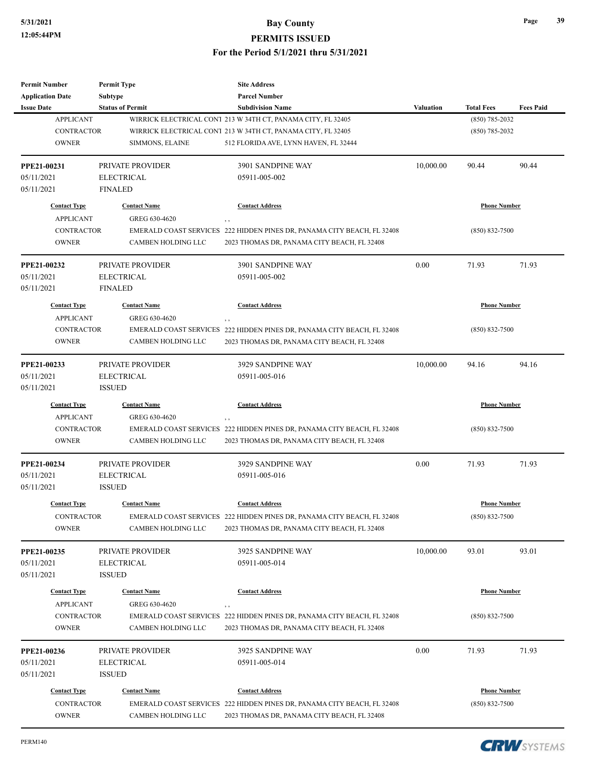| <b>Permit Number</b>                         | <b>Permit Type</b>                        | <b>Site Address</b>                                                                                                    |           |                     |                  |
|----------------------------------------------|-------------------------------------------|------------------------------------------------------------------------------------------------------------------------|-----------|---------------------|------------------|
| <b>Application Date</b><br><b>Issue Date</b> | <b>Subtype</b><br><b>Status of Permit</b> | <b>Parcel Number</b><br><b>Subdivision Name</b>                                                                        | Valuation | <b>Total Fees</b>   | <b>Fees Paid</b> |
| <b>APPLICANT</b>                             |                                           | WIRRICK ELECTRICAL CONT 213 W 34TH CT, PANAMA CITY, FL 32405                                                           |           | $(850)$ 785-2032    |                  |
| <b>CONTRACTOR</b>                            |                                           | WIRRICK ELECTRICAL CONT 213 W 34TH CT, PANAMA CITY, FL 32405                                                           |           | $(850)$ 785-2032    |                  |
| <b>OWNER</b>                                 | SIMMONS, ELAINE                           | 512 FLORIDA AVE, LYNN HAVEN, FL 32444                                                                                  |           |                     |                  |
|                                              |                                           |                                                                                                                        |           |                     |                  |
| PPE21-00231                                  | PRIVATE PROVIDER                          | 3901 SANDPINE WAY                                                                                                      | 10,000.00 | 90.44               | 90.44            |
| 05/11/2021                                   | <b>ELECTRICAL</b>                         | 05911-005-002                                                                                                          |           |                     |                  |
| 05/11/2021                                   | <b>FINALED</b>                            |                                                                                                                        |           |                     |                  |
| <b>Contact Type</b>                          | <b>Contact Name</b>                       | <b>Contact Address</b>                                                                                                 |           | <b>Phone Number</b> |                  |
| <b>APPLICANT</b>                             | GREG 630-4620                             | , ,                                                                                                                    |           |                     |                  |
| <b>CONTRACTOR</b>                            | EMERALD COAST SERVICES                    | 222 HIDDEN PINES DR, PANAMA CITY BEACH, FL 32408                                                                       |           | $(850) 832 - 7500$  |                  |
| <b>OWNER</b>                                 | CAMBEN HOLDING LLC                        | 2023 THOMAS DR, PANAMA CITY BEACH, FL 32408                                                                            |           |                     |                  |
| PPE21-00232                                  | PRIVATE PROVIDER                          | 3901 SANDPINE WAY                                                                                                      | 0.00      | 71.93               | 71.93            |
| 05/11/2021                                   | <b>ELECTRICAL</b>                         | 05911-005-002                                                                                                          |           |                     |                  |
| 05/11/2021                                   | <b>FINALED</b>                            |                                                                                                                        |           |                     |                  |
| <b>Contact Type</b>                          | <b>Contact Name</b>                       | <b>Contact Address</b>                                                                                                 |           | <b>Phone Number</b> |                  |
| <b>APPLICANT</b>                             | GREG 630-4620                             |                                                                                                                        |           |                     |                  |
| <b>CONTRACTOR</b>                            | EMERALD COAST SERVICES                    | , ,<br>222 HIDDEN PINES DR, PANAMA CITY BEACH, FL 32408                                                                |           | $(850) 832 - 7500$  |                  |
| <b>OWNER</b>                                 | <b>CAMBEN HOLDING LLC</b>                 | 2023 THOMAS DR, PANAMA CITY BEACH, FL 32408                                                                            |           |                     |                  |
|                                              |                                           |                                                                                                                        |           |                     |                  |
| PPE21-00233                                  | PRIVATE PROVIDER                          | 3929 SANDPINE WAY                                                                                                      | 10,000.00 | 94.16               | 94.16            |
| 05/11/2021                                   | <b>ELECTRICAL</b>                         | 05911-005-016                                                                                                          |           |                     |                  |
| 05/11/2021                                   | <b>ISSUED</b>                             |                                                                                                                        |           |                     |                  |
| <b>Contact Type</b>                          | <b>Contact Name</b>                       | <b>Contact Address</b>                                                                                                 |           | <b>Phone Number</b> |                  |
| <b>APPLICANT</b>                             | GREG 630-4620                             | , ,                                                                                                                    |           |                     |                  |
| <b>CONTRACTOR</b>                            |                                           | EMERALD COAST SERVICES 222 HIDDEN PINES DR, PANAMA CITY BEACH, FL 32408                                                |           | $(850) 832 - 7500$  |                  |
|                                              |                                           |                                                                                                                        |           |                     |                  |
| <b>OWNER</b>                                 | <b>CAMBEN HOLDING LLC</b>                 | 2023 THOMAS DR, PANAMA CITY BEACH, FL 32408                                                                            |           |                     |                  |
| PPE21-00234                                  | PRIVATE PROVIDER                          | 3929 SANDPINE WAY                                                                                                      | 0.00      | 71.93               | 71.93            |
| 05/11/2021                                   | <b>ELECTRICAL</b>                         | 05911-005-016                                                                                                          |           |                     |                  |
| 05/11/2021                                   | <b>ISSUED</b>                             |                                                                                                                        |           |                     |                  |
|                                              |                                           |                                                                                                                        |           |                     |                  |
| <b>Contact Type</b>                          | <b>Contact Name</b>                       | <b>Contact Address</b>                                                                                                 |           | <b>Phone Number</b> |                  |
| CONTRACTOR                                   |                                           | EMERALD COAST SERVICES 222 HIDDEN PINES DR, PANAMA CITY BEACH, FL 32408                                                |           | (850) 832-7500      |                  |
| <b>OWNER</b>                                 | <b>CAMBEN HOLDING LLC</b>                 | 2023 THOMAS DR, PANAMA CITY BEACH, FL 32408                                                                            |           |                     |                  |
| PPE21-00235                                  | PRIVATE PROVIDER                          | 3925 SANDPINE WAY                                                                                                      | 10,000.00 | 93.01               | 93.01            |
| 05/11/2021                                   | <b>ELECTRICAL</b>                         | 05911-005-014                                                                                                          |           |                     |                  |
| 05/11/2021                                   | <b>ISSUED</b>                             |                                                                                                                        |           |                     |                  |
| <b>Contact Type</b>                          | <b>Contact Name</b>                       | <b>Contact Address</b>                                                                                                 |           | <b>Phone Number</b> |                  |
| <b>APPLICANT</b>                             | GREG 630-4620                             |                                                                                                                        |           |                     |                  |
| <b>CONTRACTOR</b>                            |                                           | EMERALD COAST SERVICES 222 HIDDEN PINES DR, PANAMA CITY BEACH, FL 32408                                                |           | $(850) 832 - 7500$  |                  |
| <b>OWNER</b>                                 | CAMBEN HOLDING LLC                        | 2023 THOMAS DR, PANAMA CITY BEACH, FL 32408                                                                            |           |                     |                  |
| PPE21-00236                                  | PRIVATE PROVIDER                          | 3925 SANDPINE WAY                                                                                                      | 0.00      | 71.93               | 71.93            |
| 05/11/2021                                   | <b>ELECTRICAL</b>                         | 05911-005-014                                                                                                          |           |                     |                  |
| 05/11/2021                                   | <b>ISSUED</b>                             |                                                                                                                        |           |                     |                  |
|                                              |                                           |                                                                                                                        |           |                     |                  |
| <b>Contact Type</b>                          | <b>Contact Name</b>                       | <b>Contact Address</b>                                                                                                 |           | <b>Phone Number</b> |                  |
| <b>CONTRACTOR</b><br><b>OWNER</b>            | CAMBEN HOLDING LLC                        | EMERALD COAST SERVICES 222 HIDDEN PINES DR, PANAMA CITY BEACH, FL 32408<br>2023 THOMAS DR, PANAMA CITY BEACH, FL 32408 |           | $(850) 832 - 7500$  |                  |

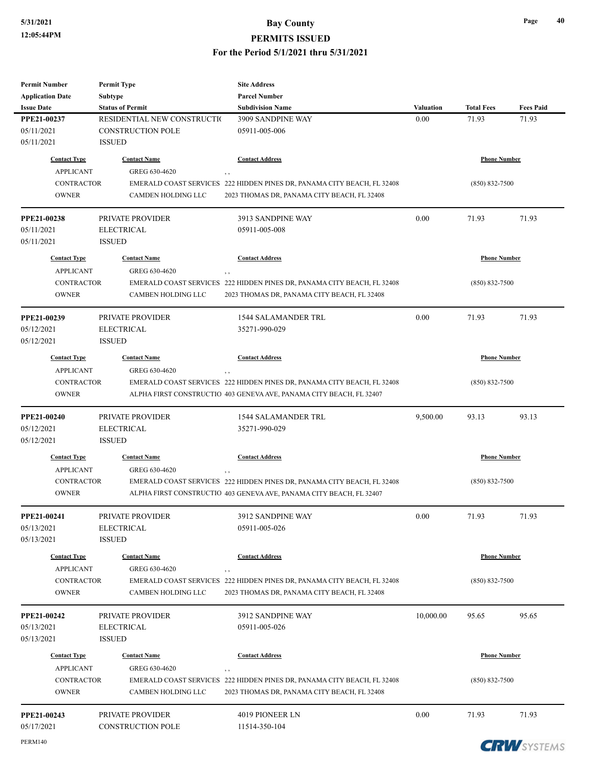| <b>Permit Number</b>    | <b>Permit Type</b>          | <b>Site Address</b>                                                                 |           |                     |                       |
|-------------------------|-----------------------------|-------------------------------------------------------------------------------------|-----------|---------------------|-----------------------|
| <b>Application Date</b> | <b>Subtype</b>              | <b>Parcel Number</b>                                                                |           |                     |                       |
| <b>Issue Date</b>       | <b>Status of Permit</b>     | <b>Subdivision Name</b>                                                             | Valuation | <b>Total Fees</b>   | <b>Fees Paid</b>      |
| PPE21-00237             | RESIDENTIAL NEW CONSTRUCTIO | 3909 SANDPINE WAY                                                                   | 0.00      | 71.93               | 71.93                 |
| 05/11/2021              | <b>CONSTRUCTION POLE</b>    | 05911-005-006                                                                       |           |                     |                       |
| 05/11/2021              | <b>ISSUED</b>               |                                                                                     |           |                     |                       |
| <b>Contact Type</b>     | <b>Contact Name</b>         | <b>Contact Address</b>                                                              |           | <b>Phone Number</b> |                       |
| <b>APPLICANT</b>        | GREG 630-4620               |                                                                                     |           |                     |                       |
| <b>CONTRACTOR</b>       |                             | $, \, ,$<br>EMERALD COAST SERVICES 222 HIDDEN PINES DR, PANAMA CITY BEACH, FL 32408 |           | $(850) 832 - 7500$  |                       |
| <b>OWNER</b>            | <b>CAMDEN HOLDING LLC</b>   | 2023 THOMAS DR, PANAMA CITY BEACH, FL 32408                                         |           |                     |                       |
|                         |                             |                                                                                     |           |                     |                       |
| <b>PPE21-00238</b>      | <b>PRIVATE PROVIDER</b>     | 3913 SANDPINE WAY                                                                   | 0.00      | 71.93               | 71.93                 |
| 05/11/2021              | <b>ELECTRICAL</b>           | 05911-005-008                                                                       |           |                     |                       |
| 05/11/2021              | <b>ISSUED</b>               |                                                                                     |           |                     |                       |
|                         |                             |                                                                                     |           |                     |                       |
| <b>Contact Type</b>     | <b>Contact Name</b>         | <b>Contact Address</b>                                                              |           | <b>Phone Number</b> |                       |
| <b>APPLICANT</b>        | GREG 630-4620               |                                                                                     |           |                     |                       |
| <b>CONTRACTOR</b>       |                             | EMERALD COAST SERVICES 222 HIDDEN PINES DR, PANAMA CITY BEACH, FL 32408             |           | $(850) 832 - 7500$  |                       |
| <b>OWNER</b>            | <b>CAMBEN HOLDING LLC</b>   | 2023 THOMAS DR, PANAMA CITY BEACH, FL 32408                                         |           |                     |                       |
| PPE21-00239             | PRIVATE PROVIDER            | 1544 SALAMANDER TRL                                                                 | 0.00      | 71.93               | 71.93                 |
|                         | <b>ELECTRICAL</b>           | 35271-990-029                                                                       |           |                     |                       |
| 05/12/2021              |                             |                                                                                     |           |                     |                       |
| 05/12/2021              | <b>ISSUED</b>               |                                                                                     |           |                     |                       |
| <b>Contact Type</b>     | <b>Contact Name</b>         | <b>Contact Address</b>                                                              |           | <b>Phone Number</b> |                       |
| <b>APPLICANT</b>        | GREG 630-4620               | $, \, ,$                                                                            |           |                     |                       |
| <b>CONTRACTOR</b>       |                             | EMERALD COAST SERVICES 222 HIDDEN PINES DR, PANAMA CITY BEACH, FL 32408             |           | $(850) 832 - 7500$  |                       |
| <b>OWNER</b>            |                             | ALPHA FIRST CONSTRUCTIO 403 GENEVA AVE, PANAMA CITY BEACH, FL 32407                 |           |                     |                       |
|                         |                             |                                                                                     |           |                     |                       |
| PPE21-00240             | PRIVATE PROVIDER            | <b>1544 SALAMANDER TRL</b>                                                          | 9,500.00  | 93.13               | 93.13                 |
| 05/12/2021              | <b>ELECTRICAL</b>           | 35271-990-029                                                                       |           |                     |                       |
| 05/12/2021              | <b>ISSUED</b>               |                                                                                     |           |                     |                       |
| <b>Contact Type</b>     | <b>Contact Name</b>         | <b>Contact Address</b>                                                              |           | <b>Phone Number</b> |                       |
| <b>APPLICANT</b>        | GREG 630-4620               |                                                                                     |           |                     |                       |
| CONTRACTOR              |                             | EMERALD COAST SERVICES 222 HIDDEN PINES DR, PANAMA CITY BEACH, FL 32408             |           | $(850) 832 - 7500$  |                       |
| <b>OWNER</b>            |                             | ALPHA FIRST CONSTRUCTIO 403 GENEVA AVE, PANAMA CITY BEACH, FL 32407                 |           |                     |                       |
|                         |                             |                                                                                     |           |                     |                       |
| <b>PPE21-00241</b>      | PRIVATE PROVIDER            | 3912 SANDPINE WAY                                                                   | $0.00\,$  | 71.93               | 71.93                 |
| 05/13/2021              | <b>ELECTRICAL</b>           | 05911-005-026                                                                       |           |                     |                       |
| 05/13/2021              | <b>ISSUED</b>               |                                                                                     |           |                     |                       |
|                         |                             |                                                                                     |           | <b>Phone Number</b> |                       |
| <b>Contact Type</b>     | <b>Contact Name</b>         | <b>Contact Address</b>                                                              |           |                     |                       |
| <b>APPLICANT</b>        | GREG 630-4620               | , ,                                                                                 |           |                     |                       |
| CONTRACTOR              |                             | EMERALD COAST SERVICES 222 HIDDEN PINES DR, PANAMA CITY BEACH, FL 32408             |           | $(850) 832 - 7500$  |                       |
| <b>OWNER</b>            | CAMBEN HOLDING LLC          | 2023 THOMAS DR, PANAMA CITY BEACH, FL 32408                                         |           |                     |                       |
|                         |                             | 3912 SANDPINE WAY                                                                   |           |                     |                       |
| PPE21-00242             | PRIVATE PROVIDER            |                                                                                     | 10,000.00 | 95.65               | 95.65                 |
| 05/13/2021              | <b>ELECTRICAL</b>           | 05911-005-026                                                                       |           |                     |                       |
| 05/13/2021              | <b>ISSUED</b>               |                                                                                     |           |                     |                       |
| <b>Contact Type</b>     | <b>Contact Name</b>         | <b>Contact Address</b>                                                              |           | <b>Phone Number</b> |                       |
| <b>APPLICANT</b>        | GREG 630-4620               | $, \, ,$                                                                            |           |                     |                       |
| <b>CONTRACTOR</b>       |                             | EMERALD COAST SERVICES 222 HIDDEN PINES DR, PANAMA CITY BEACH, FL 32408             |           | $(850) 832 - 7500$  |                       |
| <b>OWNER</b>            | CAMBEN HOLDING LLC          | 2023 THOMAS DR, PANAMA CITY BEACH, FL 32408                                         |           |                     |                       |
|                         |                             |                                                                                     |           |                     |                       |
| PPE21-00243             | PRIVATE PROVIDER            | 4019 PIONEER LN                                                                     | 0.00      | 71.93               | 71.93                 |
| 05/17/2021              | <b>CONSTRUCTION POLE</b>    | 11514-350-104                                                                       |           |                     |                       |
| PERM140                 |                             |                                                                                     |           |                     | <b>CDIAL</b> OVERFLIE |

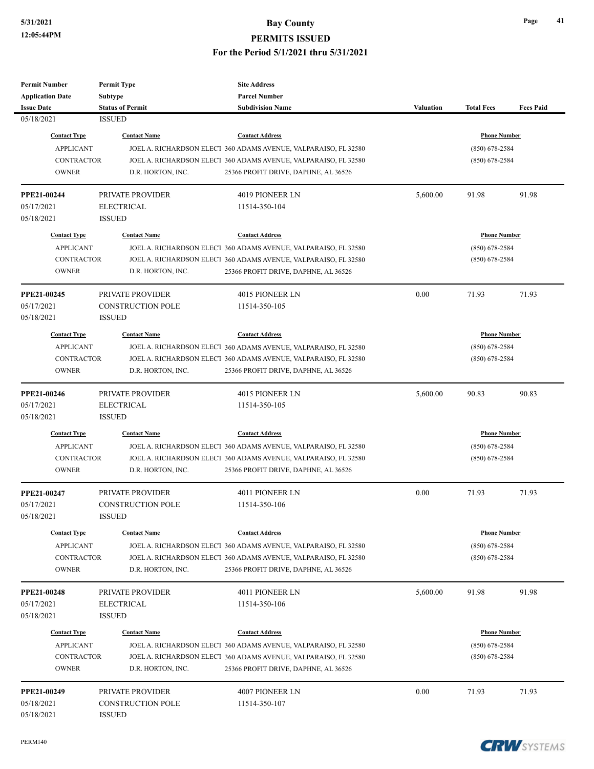| <b>Permit Number</b>    | <b>Permit Type</b>       | <b>Site Address</b>                                             |                  |                     |                  |
|-------------------------|--------------------------|-----------------------------------------------------------------|------------------|---------------------|------------------|
| <b>Application Date</b> | <b>Subtype</b>           | <b>Parcel Number</b>                                            |                  |                     |                  |
| <b>Issue Date</b>       | <b>Status of Permit</b>  | <b>Subdivision Name</b>                                         | <b>Valuation</b> | <b>Total Fees</b>   | <b>Fees Paid</b> |
| 05/18/2021              | <b>ISSUED</b>            |                                                                 |                  |                     |                  |
| <b>Contact Type</b>     | <b>Contact Name</b>      | <b>Contact Address</b>                                          |                  | <b>Phone Number</b> |                  |
| <b>APPLICANT</b>        |                          | JOEL A. RICHARDSON ELECT 360 ADAMS AVENUE, VALPARAISO, FL 32580 |                  | $(850)$ 678-2584    |                  |
| <b>CONTRACTOR</b>       |                          | JOEL A. RICHARDSON ELECT 360 ADAMS AVENUE, VALPARAISO, FL 32580 |                  | $(850)$ 678-2584    |                  |
| <b>OWNER</b>            | D.R. HORTON, INC.        | 25366 PROFIT DRIVE, DAPHNE, AL 36526                            |                  |                     |                  |
|                         |                          |                                                                 |                  |                     |                  |
| PPE21-00244             | PRIVATE PROVIDER         | 4019 PIONEER LN                                                 | 5,600.00         | 91.98               | 91.98            |
| 05/17/2021              | <b>ELECTRICAL</b>        | 11514-350-104                                                   |                  |                     |                  |
| 05/18/2021              | <b>ISSUED</b>            |                                                                 |                  |                     |                  |
| <b>Contact Type</b>     | <b>Contact Name</b>      | <b>Contact Address</b>                                          |                  | <b>Phone Number</b> |                  |
| <b>APPLICANT</b>        |                          | JOEL A. RICHARDSON ELECT 360 ADAMS AVENUE, VALPARAISO, FL 32580 |                  | $(850)$ 678-2584    |                  |
| <b>CONTRACTOR</b>       |                          | JOEL A. RICHARDSON ELECT 360 ADAMS AVENUE, VALPARAISO, FL 32580 |                  | $(850)$ 678-2584    |                  |
| <b>OWNER</b>            | D.R. HORTON, INC.        | 25366 PROFIT DRIVE, DAPHNE, AL 36526                            |                  |                     |                  |
|                         |                          |                                                                 |                  |                     |                  |
| PPE21-00245             | PRIVATE PROVIDER         | 4015 PIONEER LN                                                 | 0.00             | 71.93               | 71.93            |
| 05/17/2021              | <b>CONSTRUCTION POLE</b> | 11514-350-105                                                   |                  |                     |                  |
| 05/18/2021              | <b>ISSUED</b>            |                                                                 |                  |                     |                  |
| <b>Contact Type</b>     | <b>Contact Name</b>      | <b>Contact Address</b>                                          |                  | <b>Phone Number</b> |                  |
| <b>APPLICANT</b>        |                          | JOEL A. RICHARDSON ELECT 360 ADAMS AVENUE, VALPARAISO, FL 32580 |                  | $(850)$ 678-2584    |                  |
| <b>CONTRACTOR</b>       |                          | JOEL A. RICHARDSON ELECT 360 ADAMS AVENUE, VALPARAISO, FL 32580 |                  | $(850)$ 678-2584    |                  |
| <b>OWNER</b>            | D.R. HORTON, INC.        | 25366 PROFIT DRIVE, DAPHNE, AL 36526                            |                  |                     |                  |
|                         |                          |                                                                 |                  |                     |                  |
| PPE21-00246             | PRIVATE PROVIDER         | 4015 PIONEER LN                                                 | 5,600.00         | 90.83               | 90.83            |
| 05/17/2021              | <b>ELECTRICAL</b>        | 11514-350-105                                                   |                  |                     |                  |
| 05/18/2021              | <b>ISSUED</b>            |                                                                 |                  |                     |                  |
| <b>Contact Type</b>     | <b>Contact Name</b>      | <b>Contact Address</b>                                          |                  | <b>Phone Number</b> |                  |
| <b>APPLICANT</b>        |                          | JOEL A. RICHARDSON ELECT 360 ADAMS AVENUE, VALPARAISO, FL 32580 |                  | $(850)$ 678-2584    |                  |
| <b>CONTRACTOR</b>       |                          | JOEL A. RICHARDSON ELECT 360 ADAMS AVENUE, VALPARAISO, FL 32580 |                  | $(850)$ 678-2584    |                  |
| <b>OWNER</b>            | D.R. HORTON, INC.        | 25366 PROFIT DRIVE, DAPHNE, AL 36526                            |                  |                     |                  |
|                         |                          |                                                                 |                  |                     |                  |
| PPE21-00247             | PRIVATE PROVIDER         | 4011 PIONEER LN                                                 | 0.00             | 71.93               | 71.93            |
| 05/17/2021              | <b>CONSTRUCTION POLE</b> | 11514-350-106                                                   |                  |                     |                  |
| 05/18/2021              | ISSUED                   |                                                                 |                  |                     |                  |
| <b>Contact Type</b>     | <b>Contact Name</b>      | <b>Contact Address</b>                                          |                  | <b>Phone Number</b> |                  |
| <b>APPLICANT</b>        |                          | JOEL A. RICHARDSON ELECT 360 ADAMS AVENUE, VALPARAISO, FL 32580 |                  | $(850)$ 678-2584    |                  |
| <b>CONTRACTOR</b>       |                          | JOEL A. RICHARDSON ELECT 360 ADAMS AVENUE, VALPARAISO, FL 32580 |                  | $(850)$ 678-2584    |                  |
| <b>OWNER</b>            | D.R. HORTON, INC.        | 25366 PROFIT DRIVE, DAPHNE, AL 36526                            |                  |                     |                  |
|                         |                          |                                                                 |                  |                     |                  |
| PPE21-00248             | PRIVATE PROVIDER         | 4011 PIONEER LN                                                 | 5,600.00         | 91.98               | 91.98            |
| 05/17/2021              | <b>ELECTRICAL</b>        | 11514-350-106                                                   |                  |                     |                  |
| 05/18/2021              | <b>ISSUED</b>            |                                                                 |                  |                     |                  |
| <b>Contact Type</b>     | <b>Contact Name</b>      | <b>Contact Address</b>                                          |                  | <b>Phone Number</b> |                  |
| <b>APPLICANT</b>        |                          | JOEL A. RICHARDSON ELECT 360 ADAMS AVENUE, VALPARAISO, FL 32580 |                  | $(850)$ 678-2584    |                  |
| <b>CONTRACTOR</b>       |                          | JOEL A. RICHARDSON ELECT 360 ADAMS AVENUE, VALPARAISO, FL 32580 |                  | $(850)$ 678-2584    |                  |
| <b>OWNER</b>            | D.R. HORTON, INC.        | 25366 PROFIT DRIVE, DAPHNE, AL 36526                            |                  |                     |                  |
|                         |                          |                                                                 |                  |                     |                  |
| <b>PPE21-00249</b>      | PRIVATE PROVIDER         | 4007 PIONEER LN                                                 | 0.00             | 71.93               | 71.93            |
| 05/18/2021              | <b>CONSTRUCTION POLE</b> | 11514-350-107                                                   |                  |                     |                  |
| 05/18/2021              | <b>ISSUED</b>            |                                                                 |                  |                     |                  |

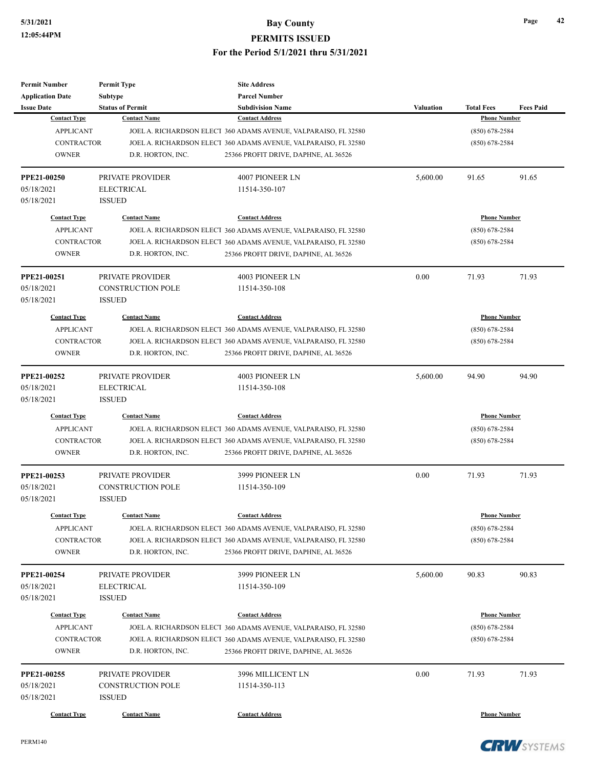| <b>Permit Number</b>    | <b>Permit Type</b>       | <b>Site Address</b>                                             |                  |                     |                  |
|-------------------------|--------------------------|-----------------------------------------------------------------|------------------|---------------------|------------------|
| <b>Application Date</b> | <b>Subtype</b>           | <b>Parcel Number</b>                                            |                  |                     |                  |
| <b>Issue Date</b>       | <b>Status of Permit</b>  | <b>Subdivision Name</b>                                         | <b>Valuation</b> | <b>Total Fees</b>   | <b>Fees Paid</b> |
| <b>Contact Type</b>     | <b>Contact Name</b>      | <b>Contact Address</b>                                          |                  | <b>Phone Number</b> |                  |
| <b>APPLICANT</b>        |                          | JOEL A. RICHARDSON ELECT 360 ADAMS AVENUE, VALPARAISO, FL 32580 |                  | (850) 678-2584      |                  |
| <b>CONTRACTOR</b>       |                          | JOEL A. RICHARDSON ELECT 360 ADAMS AVENUE, VALPARAISO, FL 32580 |                  | $(850)$ 678-2584    |                  |
| <b>OWNER</b>            | D.R. HORTON, INC.        | 25366 PROFIT DRIVE, DAPHNE, AL 36526                            |                  |                     |                  |
| PPE21-00250             | PRIVATE PROVIDER         | 4007 PIONEER LN                                                 | 5,600.00         | 91.65               | 91.65            |
| 05/18/2021              | <b>ELECTRICAL</b>        | 11514-350-107                                                   |                  |                     |                  |
| 05/18/2021              | <b>ISSUED</b>            |                                                                 |                  |                     |                  |
| <b>Contact Type</b>     | <b>Contact Name</b>      | <b>Contact Address</b>                                          |                  | <b>Phone Number</b> |                  |
| <b>APPLICANT</b>        |                          | JOEL A. RICHARDSON ELECT 360 ADAMS AVENUE, VALPARAISO, FL 32580 |                  | $(850)$ 678-2584    |                  |
| <b>CONTRACTOR</b>       |                          | JOEL A. RICHARDSON ELECT 360 ADAMS AVENUE, VALPARAISO, FL 32580 |                  | $(850)$ 678-2584    |                  |
| <b>OWNER</b>            | D.R. HORTON, INC.        | 25366 PROFIT DRIVE, DAPHNE, AL 36526                            |                  |                     |                  |
| PPE21-00251             | PRIVATE PROVIDER         | <b>4003 PIONEER LN</b>                                          | 0.00             | 71.93               | 71.93            |
| 05/18/2021              | <b>CONSTRUCTION POLE</b> | 11514-350-108                                                   |                  |                     |                  |
| 05/18/2021              | <b>ISSUED</b>            |                                                                 |                  |                     |                  |
| <b>Contact Type</b>     | <b>Contact Name</b>      | <b>Contact Address</b>                                          |                  | <b>Phone Number</b> |                  |
| <b>APPLICANT</b>        |                          | JOEL A. RICHARDSON ELECT 360 ADAMS AVENUE, VALPARAISO, FL 32580 |                  | $(850)$ 678-2584    |                  |
| <b>CONTRACTOR</b>       |                          | JOEL A. RICHARDSON ELECT 360 ADAMS AVENUE, VALPARAISO, FL 32580 |                  | $(850) 678 - 2584$  |                  |
| <b>OWNER</b>            | D.R. HORTON, INC.        | 25366 PROFIT DRIVE, DAPHNE, AL 36526                            |                  |                     |                  |
| PPE21-00252             | PRIVATE PROVIDER         | 4003 PIONEER LN                                                 | 5,600.00         | 94.90               | 94.90            |
| 05/18/2021              | <b>ELECTRICAL</b>        | 11514-350-108                                                   |                  |                     |                  |
| 05/18/2021              | <b>ISSUED</b>            |                                                                 |                  |                     |                  |
| <b>Contact Type</b>     | <b>Contact Name</b>      | <b>Contact Address</b>                                          |                  | <b>Phone Number</b> |                  |
| <b>APPLICANT</b>        |                          | JOEL A. RICHARDSON ELECT 360 ADAMS AVENUE, VALPARAISO, FL 32580 |                  | $(850)$ 678-2584    |                  |
| <b>CONTRACTOR</b>       |                          | JOEL A. RICHARDSON ELECT 360 ADAMS AVENUE, VALPARAISO, FL 32580 |                  | $(850)$ 678-2584    |                  |
| <b>OWNER</b>            | D.R. HORTON, INC.        | 25366 PROFIT DRIVE, DAPHNE, AL 36526                            |                  |                     |                  |
| PPE21-00253             | PRIVATE PROVIDER         | 3999 PIONEER LN                                                 | 0.00             | 71.93               | 71.93            |
| 05/18/2021              | <b>CONSTRUCTION POLE</b> | 11514-350-109                                                   |                  |                     |                  |
| 05/18/2021              | <b>ISSUED</b>            |                                                                 |                  |                     |                  |
| <b>Contact Type</b>     | <b>Contact Name</b>      | <b>Contact Address</b>                                          |                  | <b>Phone Number</b> |                  |
| <b>APPLICANT</b>        |                          | JOEL A. RICHARDSON ELECT 360 ADAMS AVENUE, VALPARAISO, FL 32580 |                  | $(850)$ 678-2584    |                  |
| <b>CONTRACTOR</b>       |                          | JOEL A. RICHARDSON ELECT 360 ADAMS AVENUE, VALPARAISO, FL 32580 |                  | $(850)$ 678-2584    |                  |
| <b>OWNER</b>            | D.R. HORTON, INC.        | 25366 PROFIT DRIVE, DAPHNE, AL 36526                            |                  |                     |                  |
| PPE21-00254             | PRIVATE PROVIDER         | 3999 PIONEER LN                                                 | 5,600.00         | 90.83               | 90.83            |
| 05/18/2021              | <b>ELECTRICAL</b>        | 11514-350-109                                                   |                  |                     |                  |
| 05/18/2021              | <b>ISSUED</b>            |                                                                 |                  |                     |                  |
| <b>Contact Type</b>     | <b>Contact Name</b>      | <b>Contact Address</b>                                          |                  | <b>Phone Number</b> |                  |
| <b>APPLICANT</b>        |                          | JOEL A. RICHARDSON ELECT 360 ADAMS AVENUE, VALPARAISO, FL 32580 |                  | $(850)$ 678-2584    |                  |
| CONTRACTOR              |                          | JOEL A. RICHARDSON ELECT 360 ADAMS AVENUE, VALPARAISO, FL 32580 |                  | $(850)$ 678-2584    |                  |
| <b>OWNER</b>            | D.R. HORTON, INC.        | 25366 PROFIT DRIVE, DAPHNE, AL 36526                            |                  |                     |                  |
| PPE21-00255             | PRIVATE PROVIDER         | 3996 MILLICENT LN                                               | 0.00             | 71.93               | 71.93            |
| 05/18/2021              | <b>CONSTRUCTION POLE</b> | 11514-350-113                                                   |                  |                     |                  |
| 05/18/2021              | <b>ISSUED</b>            |                                                                 |                  |                     |                  |
| <b>Contact Type</b>     | <b>Contact Name</b>      | <b>Contact Address</b>                                          |                  | <b>Phone Number</b> |                  |
|                         |                          |                                                                 |                  |                     |                  |

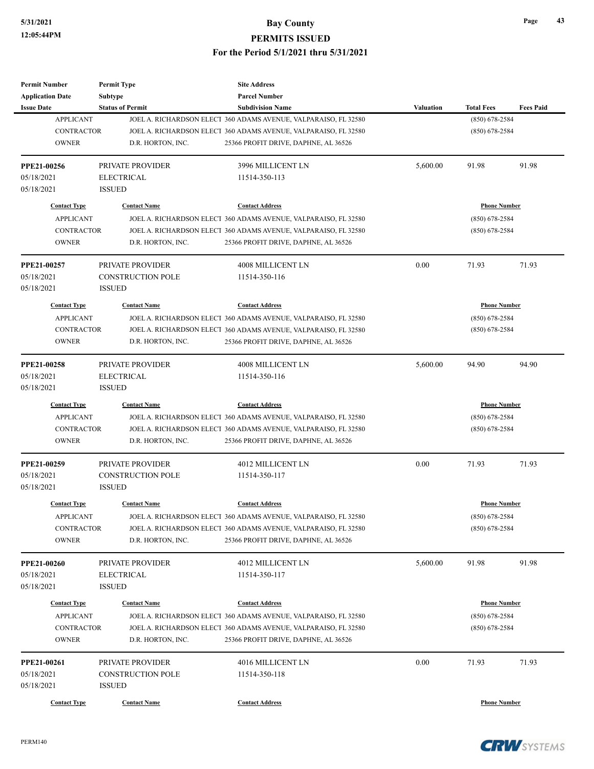| <b>Permit Number</b>                    | <b>Permit Type</b>       | <b>Site Address</b>                                                                       |           |                                         |                  |
|-----------------------------------------|--------------------------|-------------------------------------------------------------------------------------------|-----------|-----------------------------------------|------------------|
| <b>Application Date</b>                 | <b>Subtype</b>           | <b>Parcel Number</b>                                                                      |           |                                         |                  |
| <b>Issue Date</b>                       | <b>Status of Permit</b>  | <b>Subdivision Name</b>                                                                   | Valuation | <b>Total Fees</b>                       | <b>Fees Paid</b> |
| <b>APPLICANT</b>                        |                          | JOEL A. RICHARDSON ELECT 360 ADAMS AVENUE, VALPARAISO, FL 32580                           |           | $(850) 678 - 2584$                      |                  |
| <b>CONTRACTOR</b>                       |                          | JOEL A. RICHARDSON ELECT 360 ADAMS AVENUE, VALPARAISO, FL 32580                           |           | $(850)$ 678-2584                        |                  |
| <b>OWNER</b>                            | D.R. HORTON, INC.        | 25366 PROFIT DRIVE, DAPHNE, AL 36526                                                      |           |                                         |                  |
| PPE21-00256                             | PRIVATE PROVIDER         | 3996 MILLICENT LN                                                                         | 5,600.00  | 91.98                                   | 91.98            |
| 05/18/2021                              | <b>ELECTRICAL</b>        | 11514-350-113                                                                             |           |                                         |                  |
| 05/18/2021                              | <b>ISSUED</b>            |                                                                                           |           |                                         |                  |
| <b>Contact Type</b>                     | <b>Contact Name</b>      | <b>Contact Address</b>                                                                    |           | <b>Phone Number</b>                     |                  |
| <b>APPLICANT</b>                        |                          | JOEL A. RICHARDSON ELECT 360 ADAMS AVENUE, VALPARAISO, FL 32580                           |           | $(850)$ 678-2584                        |                  |
| <b>CONTRACTOR</b>                       |                          | JOEL A. RICHARDSON ELECT 360 ADAMS AVENUE, VALPARAISO, FL 32580                           |           | $(850)$ 678-2584                        |                  |
| <b>OWNER</b>                            | D.R. HORTON, INC.        | 25366 PROFIT DRIVE, DAPHNE, AL 36526                                                      |           |                                         |                  |
| PPE21-00257                             | <b>PRIVATE PROVIDER</b>  | 4008 MILLICENT LN                                                                         | 0.00      | 71.93                                   | 71.93            |
| 05/18/2021                              | <b>CONSTRUCTION POLE</b> | 11514-350-116                                                                             |           |                                         |                  |
| 05/18/2021                              | <b>ISSUED</b>            |                                                                                           |           |                                         |                  |
| <b>Contact Type</b>                     | <b>Contact Name</b>      | <b>Contact Address</b>                                                                    |           | <b>Phone Number</b>                     |                  |
| <b>APPLICANT</b>                        |                          | JOEL A. RICHARDSON ELECT 360 ADAMS AVENUE, VALPARAISO, FL 32580                           |           | $(850)$ 678-2584                        |                  |
| <b>CONTRACTOR</b>                       |                          | JOEL A. RICHARDSON ELECT 360 ADAMS AVENUE, VALPARAISO, FL 32580                           |           | $(850)$ 678-2584                        |                  |
| <b>OWNER</b>                            | D.R. HORTON, INC.        | 25366 PROFIT DRIVE, DAPHNE, AL 36526                                                      |           |                                         |                  |
|                                         |                          |                                                                                           |           |                                         |                  |
| <b>PPE21-00258</b>                      | PRIVATE PROVIDER         | 4008 MILLICENT LN                                                                         | 5,600.00  | 94.90                                   | 94.90            |
| 05/18/2021                              | <b>ELECTRICAL</b>        | 11514-350-116                                                                             |           |                                         |                  |
| 05/18/2021                              | <b>ISSUED</b>            |                                                                                           |           |                                         |                  |
| <b>Contact Type</b>                     | <b>Contact Name</b>      | <b>Contact Address</b>                                                                    |           | <b>Phone Number</b>                     |                  |
| <b>APPLICANT</b>                        |                          | JOEL A. RICHARDSON ELECT 360 ADAMS AVENUE, VALPARAISO, FL 32580                           |           | $(850)$ 678-2584                        |                  |
| <b>CONTRACTOR</b>                       |                          | JOEL A. RICHARDSON ELECT 360 ADAMS AVENUE, VALPARAISO, FL 32580                           |           | $(850)$ 678-2584                        |                  |
| <b>OWNER</b>                            | D.R. HORTON, INC.        | 25366 PROFIT DRIVE, DAPHNE, AL 36526                                                      |           |                                         |                  |
| <b>PPE21-00259</b>                      | PRIVATE PROVIDER         | 4012 MILLICENT LN                                                                         | 0.00      | 71.93                                   | 71.93            |
| 05/18/2021                              | <b>CONSTRUCTION POLE</b> | 11514-350-117                                                                             |           |                                         |                  |
| 05/18/2021                              | <b>ISSUED</b>            |                                                                                           |           |                                         |                  |
| <b>Contact Type</b>                     | <b>Contact Name</b>      | <b>Contact Address</b>                                                                    |           | <b>Phone Number</b>                     |                  |
| <b>APPLICANT</b>                        |                          | JOEL A. RICHARDSON ELECT 360 ADAMS AVENUE, VALPARAISO, FL 32580                           |           | $(850)$ 678-2584                        |                  |
| <b>CONTRACTOR</b>                       |                          | JOEL A. RICHARDSON ELECT 360 ADAMS AVENUE, VALPARAISO, FL 32580                           |           | $(850)$ 678-2584                        |                  |
| <b>OWNER</b>                            | D.R. HORTON, INC.        | 25366 PROFIT DRIVE, DAPHNE, AL 36526                                                      |           |                                         |                  |
| <b>PPE21-00260</b>                      | PRIVATE PROVIDER         | 4012 MILLICENT LN                                                                         | 5,600.00  | 91.98                                   | 91.98            |
| 05/18/2021                              | <b>ELECTRICAL</b>        | 11514-350-117                                                                             |           |                                         |                  |
| 05/18/2021                              | <b>ISSUED</b>            |                                                                                           |           |                                         |                  |
|                                         |                          |                                                                                           |           |                                         |                  |
| <b>Contact Type</b><br><b>APPLICANT</b> | <b>Contact Name</b>      | <b>Contact Address</b><br>JOEL A. RICHARDSON ELECT 360 ADAMS AVENUE, VALPARAISO, FL 32580 |           | <b>Phone Number</b><br>$(850)$ 678-2584 |                  |
| <b>CONTRACTOR</b>                       |                          | JOEL A. RICHARDSON ELECT 360 ADAMS AVENUE, VALPARAISO, FL 32580                           |           | $(850)$ 678-2584                        |                  |
| <b>OWNER</b>                            | D.R. HORTON, INC.        | 25366 PROFIT DRIVE, DAPHNE, AL 36526                                                      |           |                                         |                  |
|                                         |                          |                                                                                           |           |                                         |                  |
| PPE21-00261                             | PRIVATE PROVIDER         | 4016 MILLICENT LN                                                                         | 0.00      | 71.93                                   | 71.93            |
| 05/18/2021                              | <b>CONSTRUCTION POLE</b> | 11514-350-118                                                                             |           |                                         |                  |
| 05/18/2021                              | <b>ISSUED</b>            |                                                                                           |           |                                         |                  |
| <b>Contact Type</b>                     | <b>Contact Name</b>      | <b>Contact Address</b>                                                                    |           | <b>Phone Number</b>                     |                  |

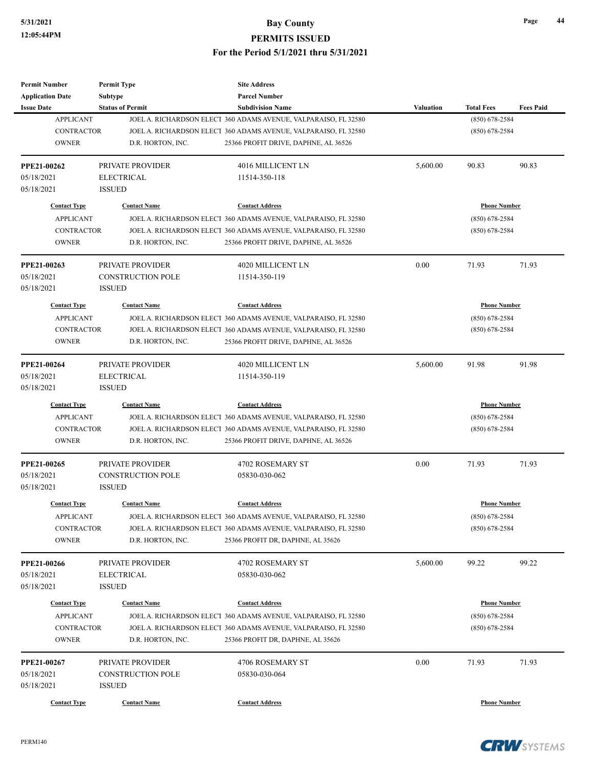| <b>Permit Number</b>                    | <b>Permit Type</b>       | <b>Site Address</b>                                                                       |                  |                                         |                  |
|-----------------------------------------|--------------------------|-------------------------------------------------------------------------------------------|------------------|-----------------------------------------|------------------|
| <b>Application Date</b>                 | <b>Subtype</b>           | <b>Parcel Number</b>                                                                      |                  |                                         |                  |
| <b>Issue Date</b>                       | <b>Status of Permit</b>  | <b>Subdivision Name</b>                                                                   | <b>Valuation</b> | <b>Total Fees</b>                       | <b>Fees Paid</b> |
| <b>APPLICANT</b>                        |                          | JOEL A. RICHARDSON ELECT 360 ADAMS AVENUE, VALPARAISO, FL 32580                           |                  | $(850) 678 - 2584$                      |                  |
| <b>CONTRACTOR</b>                       |                          | JOEL A. RICHARDSON ELECT 360 ADAMS AVENUE, VALPARAISO, FL 32580                           |                  | $(850) 678 - 2584$                      |                  |
| <b>OWNER</b>                            | D.R. HORTON, INC.        | 25366 PROFIT DRIVE, DAPHNE, AL 36526                                                      |                  |                                         |                  |
| PPE21-00262                             | PRIVATE PROVIDER         | 4016 MILLICENT LN                                                                         | 5,600.00         | 90.83                                   | 90.83            |
| 05/18/2021                              | <b>ELECTRICAL</b>        | 11514-350-118                                                                             |                  |                                         |                  |
| 05/18/2021                              | <b>ISSUED</b>            |                                                                                           |                  |                                         |                  |
| <b>Contact Type</b>                     | <b>Contact Name</b>      | <b>Contact Address</b>                                                                    |                  | <b>Phone Number</b>                     |                  |
| <b>APPLICANT</b>                        |                          | JOEL A. RICHARDSON ELECT 360 ADAMS AVENUE, VALPARAISO, FL 32580                           |                  | $(850)$ 678-2584                        |                  |
| <b>CONTRACTOR</b>                       |                          | JOEL A. RICHARDSON ELECT 360 ADAMS AVENUE, VALPARAISO, FL 32580                           |                  | $(850)$ 678-2584                        |                  |
| <b>OWNER</b>                            | D.R. HORTON, INC.        | 25366 PROFIT DRIVE, DAPHNE, AL 36526                                                      |                  |                                         |                  |
| PPE21-00263                             | PRIVATE PROVIDER         | 4020 MILLICENT LN                                                                         | 0.00             | 71.93                                   | 71.93            |
| 05/18/2021                              | <b>CONSTRUCTION POLE</b> | 11514-350-119                                                                             |                  |                                         |                  |
| 05/18/2021                              | <b>ISSUED</b>            |                                                                                           |                  |                                         |                  |
| <b>Contact Type</b>                     | <b>Contact Name</b>      | <b>Contact Address</b>                                                                    |                  | <b>Phone Number</b>                     |                  |
| <b>APPLICANT</b>                        |                          | JOEL A. RICHARDSON ELECT 360 ADAMS AVENUE, VALPARAISO, FL 32580                           |                  | $(850)$ 678-2584                        |                  |
| <b>CONTRACTOR</b>                       |                          | JOEL A. RICHARDSON ELECT 360 ADAMS AVENUE, VALPARAISO, FL 32580                           |                  | $(850)$ 678-2584                        |                  |
| <b>OWNER</b>                            | D.R. HORTON, INC.        | 25366 PROFIT DRIVE, DAPHNE, AL 36526                                                      |                  |                                         |                  |
|                                         |                          |                                                                                           |                  |                                         |                  |
| PPE21-00264                             | PRIVATE PROVIDER         | 4020 MILLICENT LN                                                                         | 5,600.00         | 91.98                                   | 91.98            |
| 05/18/2021                              | <b>ELECTRICAL</b>        | 11514-350-119                                                                             |                  |                                         |                  |
| 05/18/2021                              | <b>ISSUED</b>            |                                                                                           |                  |                                         |                  |
| <b>Contact Type</b>                     | <b>Contact Name</b>      | <b>Contact Address</b>                                                                    |                  | <b>Phone Number</b>                     |                  |
| <b>APPLICANT</b>                        |                          | JOEL A. RICHARDSON ELECT 360 ADAMS AVENUE, VALPARAISO, FL 32580                           |                  | $(850)$ 678-2584                        |                  |
| <b>CONTRACTOR</b>                       |                          | JOEL A. RICHARDSON ELECT 360 ADAMS AVENUE, VALPARAISO, FL 32580                           |                  | $(850)$ 678-2584                        |                  |
| <b>OWNER</b>                            | D.R. HORTON, INC.        | 25366 PROFIT DRIVE, DAPHNE, AL 36526                                                      |                  |                                         |                  |
| PPE21-00265                             | PRIVATE PROVIDER         | 4702 ROSEMARY ST                                                                          | 0.00             | 71.93                                   | 71.93            |
| 05/18/2021                              | <b>CONSTRUCTION POLE</b> | 05830-030-062                                                                             |                  |                                         |                  |
| 05/18/2021                              | <b>ISSUED</b>            |                                                                                           |                  |                                         |                  |
| <b>Contact Type</b>                     | <b>Contact Name</b>      | <b>Contact Address</b>                                                                    |                  | <b>Phone Number</b>                     |                  |
| <b>APPLICANT</b>                        |                          | JOEL A. RICHARDSON ELECT 360 ADAMS AVENUE, VALPARAISO, FL 32580                           |                  | $(850) 678 - 2584$                      |                  |
| CONTRACTOR                              |                          | JOEL A. RICHARDSON ELECT 360 ADAMS AVENUE, VALPARAISO, FL 32580                           |                  | $(850)$ 678-2584                        |                  |
| <b>OWNER</b>                            | D.R. HORTON, INC.        | 25366 PROFIT DR, DAPHNE, AL 35626                                                         |                  |                                         |                  |
| PPE21-00266                             | PRIVATE PROVIDER         | 4702 ROSEMARY ST                                                                          | 5,600.00         | 99.22                                   | 99.22            |
| 05/18/2021                              | <b>ELECTRICAL</b>        | 05830-030-062                                                                             |                  |                                         |                  |
| 05/18/2021                              | <b>ISSUED</b>            |                                                                                           |                  |                                         |                  |
|                                         |                          |                                                                                           |                  |                                         |                  |
| <b>Contact Type</b><br><b>APPLICANT</b> | <b>Contact Name</b>      | <b>Contact Address</b><br>JOEL A. RICHARDSON ELECT 360 ADAMS AVENUE, VALPARAISO, FL 32580 |                  | <b>Phone Number</b><br>$(850)$ 678-2584 |                  |
| CONTRACTOR                              |                          | JOEL A. RICHARDSON ELECT 360 ADAMS AVENUE, VALPARAISO, FL 32580                           |                  | $(850)$ 678-2584                        |                  |
| <b>OWNER</b>                            | D.R. HORTON, INC.        | 25366 PROFIT DR, DAPHNE, AL 35626                                                         |                  |                                         |                  |
|                                         |                          |                                                                                           |                  |                                         |                  |
| PPE21-00267                             | PRIVATE PROVIDER         | 4706 ROSEMARY ST                                                                          | 0.00             | 71.93                                   | 71.93            |
| 05/18/2021                              | <b>CONSTRUCTION POLE</b> | 05830-030-064                                                                             |                  |                                         |                  |
| 05/18/2021                              | <b>ISSUED</b>            |                                                                                           |                  |                                         |                  |
| <b>Contact Type</b>                     | <b>Contact Name</b>      | <b>Contact Address</b>                                                                    |                  | <b>Phone Number</b>                     |                  |
|                                         |                          |                                                                                           |                  |                                         |                  |

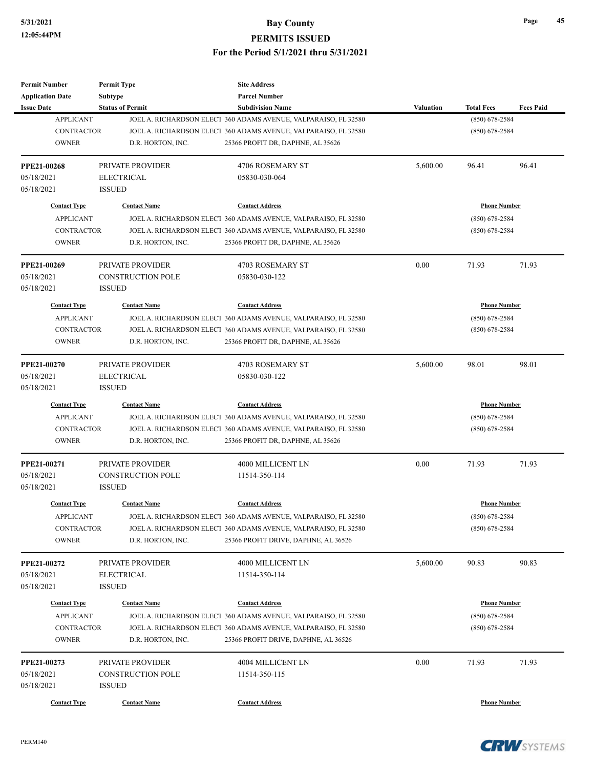| <b>Permit Number</b>                    | <b>Permit Type</b>       | <b>Site Address</b>                                                                       |           |                                         |                  |
|-----------------------------------------|--------------------------|-------------------------------------------------------------------------------------------|-----------|-----------------------------------------|------------------|
| <b>Application Date</b>                 | <b>Subtype</b>           | <b>Parcel Number</b>                                                                      |           |                                         |                  |
| <b>Issue Date</b>                       | <b>Status of Permit</b>  | <b>Subdivision Name</b>                                                                   | Valuation | <b>Total Fees</b>                       | <b>Fees Paid</b> |
| <b>APPLICANT</b>                        |                          | JOEL A. RICHARDSON ELECT 360 ADAMS AVENUE, VALPARAISO, FL 32580                           |           | $(850) 678 - 2584$                      |                  |
| <b>CONTRACTOR</b>                       |                          | JOEL A. RICHARDSON ELECT 360 ADAMS AVENUE, VALPARAISO, FL 32580                           |           | $(850)$ 678-2584                        |                  |
| <b>OWNER</b>                            | D.R. HORTON, INC.        | 25366 PROFIT DR, DAPHNE, AL 35626                                                         |           |                                         |                  |
| <b>PPE21-00268</b>                      | <b>PRIVATE PROVIDER</b>  | 4706 ROSEMARY ST                                                                          | 5,600.00  | 96.41                                   | 96.41            |
| 05/18/2021                              | <b>ELECTRICAL</b>        | 05830-030-064                                                                             |           |                                         |                  |
| 05/18/2021                              | <b>ISSUED</b>            |                                                                                           |           |                                         |                  |
| <b>Contact Type</b>                     | <b>Contact Name</b>      | <b>Contact Address</b>                                                                    |           | <b>Phone Number</b>                     |                  |
| <b>APPLICANT</b>                        |                          | JOEL A. RICHARDSON ELECT 360 ADAMS AVENUE, VALPARAISO, FL 32580                           |           | $(850)$ 678-2584                        |                  |
| <b>CONTRACTOR</b>                       |                          | JOEL A. RICHARDSON ELECT 360 ADAMS AVENUE, VALPARAISO, FL 32580                           |           | $(850)$ 678-2584                        |                  |
| <b>OWNER</b>                            | D.R. HORTON, INC.        | 25366 PROFIT DR, DAPHNE, AL 35626                                                         |           |                                         |                  |
| PPE21-00269                             | PRIVATE PROVIDER         | 4703 ROSEMARY ST                                                                          | 0.00      | 71.93                                   | 71.93            |
| 05/18/2021                              | <b>CONSTRUCTION POLE</b> | 05830-030-122                                                                             |           |                                         |                  |
| 05/18/2021                              | <b>ISSUED</b>            |                                                                                           |           |                                         |                  |
| <b>Contact Type</b>                     | <b>Contact Name</b>      | <b>Contact Address</b>                                                                    |           | <b>Phone Number</b>                     |                  |
| <b>APPLICANT</b>                        |                          | JOEL A. RICHARDSON ELECT 360 ADAMS AVENUE, VALPARAISO, FL 32580                           |           | $(850)$ 678-2584                        |                  |
| <b>CONTRACTOR</b>                       |                          | JOEL A. RICHARDSON ELECT 360 ADAMS AVENUE, VALPARAISO, FL 32580                           |           | $(850)$ 678-2584                        |                  |
| <b>OWNER</b>                            | D.R. HORTON, INC.        | 25366 PROFIT DR, DAPHNE, AL 35626                                                         |           |                                         |                  |
|                                         |                          |                                                                                           |           |                                         |                  |
| <b>PPE21-00270</b>                      | PRIVATE PROVIDER         | 4703 ROSEMARY ST                                                                          | 5,600.00  | 98.01                                   | 98.01            |
| 05/18/2021                              | <b>ELECTRICAL</b>        | 05830-030-122                                                                             |           |                                         |                  |
| 05/18/2021                              | <b>ISSUED</b>            |                                                                                           |           |                                         |                  |
| <b>Contact Type</b>                     | <b>Contact Name</b>      | <b>Contact Address</b>                                                                    |           | <b>Phone Number</b>                     |                  |
| <b>APPLICANT</b>                        |                          | JOEL A. RICHARDSON ELECT 360 ADAMS AVENUE, VALPARAISO, FL 32580                           |           | $(850)$ 678-2584                        |                  |
| <b>CONTRACTOR</b>                       |                          | JOEL A. RICHARDSON ELECT 360 ADAMS AVENUE, VALPARAISO, FL 32580                           |           | $(850)$ 678-2584                        |                  |
| <b>OWNER</b>                            | D.R. HORTON, INC.        | 25366 PROFIT DR, DAPHNE, AL 35626                                                         |           |                                         |                  |
| PPE21-00271                             | <b>PRIVATE PROVIDER</b>  | 4000 MILLICENT LN                                                                         | 0.00      | 71.93                                   | 71.93            |
| 05/18/2021                              | <b>CONSTRUCTION POLE</b> | 11514-350-114                                                                             |           |                                         |                  |
| 05/18/2021                              | <b>ISSUED</b>            |                                                                                           |           |                                         |                  |
| <b>Contact Type</b>                     | <b>Contact Name</b>      | <b>Contact Address</b>                                                                    |           | <b>Phone Number</b>                     |                  |
| APPLICANT                               |                          | JOEL A. RICHARDSON ELECT 360 ADAMS AVENUE, VALPARAISO, FL 32580                           |           | $(850)$ 678-2584                        |                  |
| CONTRACTOR                              |                          | JOEL A. RICHARDSON ELECT 360 ADAMS AVENUE, VALPARAISO, FL 32580                           |           | $(850)$ 678-2584                        |                  |
| <b>OWNER</b>                            | D.R. HORTON, INC.        | 25366 PROFIT DRIVE, DAPHNE, AL 36526                                                      |           |                                         |                  |
| PPE21-00272                             | PRIVATE PROVIDER         | 4000 MILLICENT LN                                                                         | 5,600.00  | 90.83                                   | 90.83            |
| 05/18/2021                              | <b>ELECTRICAL</b>        | 11514-350-114                                                                             |           |                                         |                  |
| 05/18/2021                              | <b>ISSUED</b>            |                                                                                           |           |                                         |                  |
|                                         |                          |                                                                                           |           |                                         |                  |
| <b>Contact Type</b><br><b>APPLICANT</b> | <b>Contact Name</b>      | <b>Contact Address</b><br>JOEL A. RICHARDSON ELECT 360 ADAMS AVENUE, VALPARAISO, FL 32580 |           | <b>Phone Number</b><br>$(850)$ 678-2584 |                  |
| <b>CONTRACTOR</b>                       |                          | JOEL A. RICHARDSON ELECT 360 ADAMS AVENUE, VALPARAISO, FL 32580                           |           | $(850)$ 678-2584                        |                  |
| <b>OWNER</b>                            | D.R. HORTON, INC.        |                                                                                           |           |                                         |                  |
|                                         |                          | 25366 PROFIT DRIVE, DAPHNE, AL 36526                                                      |           |                                         |                  |
| PPE21-00273                             | PRIVATE PROVIDER         | 4004 MILLICENT LN                                                                         | 0.00      | 71.93                                   | 71.93            |
| 05/18/2021                              | CONSTRUCTION POLE        | 11514-350-115                                                                             |           |                                         |                  |
| 05/18/2021                              | <b>ISSUED</b>            |                                                                                           |           |                                         |                  |
| <b>Contact Type</b>                     | <b>Contact Name</b>      | <b>Contact Address</b>                                                                    |           | <b>Phone Number</b>                     |                  |
|                                         |                          |                                                                                           |           |                                         |                  |



**Page 45**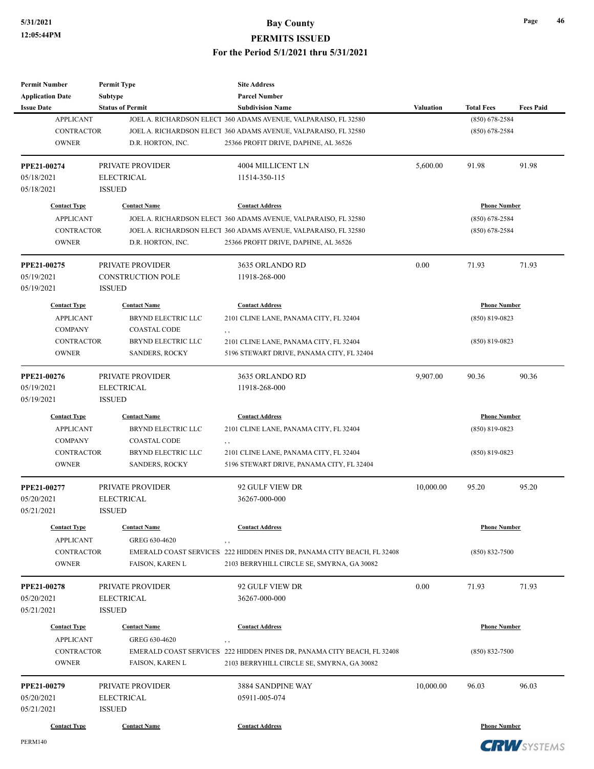PERM140

| Subtype<br><b>Parcel Number</b><br><b>Application Date</b><br><b>Fees Paid</b><br><b>Issue Date</b><br><b>Status of Permit</b><br><b>Subdivision Name</b><br><b>Valuation</b><br><b>Total Fees</b><br><b>APPLICANT</b><br>JOEL A. RICHARDSON ELECT 360 ADAMS AVENUE, VALPARAISO, FL 32580<br>$(850) 678 - 2584$<br><b>CONTRACTOR</b><br>JOEL A. RICHARDSON ELECT 360 ADAMS AVENUE, VALPARAISO, FL 32580<br>$(850)$ 678-2584<br><b>OWNER</b><br>D.R. HORTON, INC.<br>25366 PROFIT DRIVE, DAPHNE, AL 36526<br>PPE21-00274<br>91.98<br>91.98<br>PRIVATE PROVIDER<br>4004 MILLICENT LN<br>5,600.00<br>05/18/2021<br>ELECTRICAL<br>11514-350-115<br><b>ISSUED</b><br>05/18/2021<br><b>Contact Type</b><br><b>Contact Name</b><br><b>Contact Address</b><br><b>Phone Number</b><br><b>APPLICANT</b><br>JOEL A. RICHARDSON ELECT 360 ADAMS AVENUE, VALPARAISO, FL 32580<br>$(850)$ 678-2584<br><b>CONTRACTOR</b><br>JOEL A. RICHARDSON ELECT 360 ADAMS AVENUE, VALPARAISO, FL 32580<br>$(850)$ 678-2584<br><b>OWNER</b><br>25366 PROFIT DRIVE, DAPHNE, AL 36526<br>D.R. HORTON, INC.<br>PPE21-00275<br>0.00<br>71.93<br>71.93<br>PRIVATE PROVIDER<br>3635 ORLANDO RD<br><b>CONSTRUCTION POLE</b><br>05/19/2021<br>11918-268-000<br>05/19/2021<br><b>ISSUED</b><br><b>Phone Number</b><br><b>Contact Type</b><br><b>Contact Name</b><br><b>Contact Address</b><br><b>APPLICANT</b><br><b>BRYND ELECTRIC LLC</b><br>2101 CLINE LANE, PANAMA CITY, FL 32404<br>$(850)$ 819-0823<br><b>COMPANY</b><br><b>COASTAL CODE</b><br>, ,<br><b>CONTRACTOR</b><br>BRYND ELECTRIC LLC<br>2101 CLINE LANE, PANAMA CITY, FL 32404<br>$(850)$ 819-0823<br><b>OWNER</b><br><b>SANDERS, ROCKY</b><br>5196 STEWART DRIVE, PANAMA CITY, FL 32404<br>PPE21-00276<br>PRIVATE PROVIDER<br>3635 ORLANDO RD<br>9,907.00<br>90.36<br>90.36<br>05/19/2021<br><b>ELECTRICAL</b><br>11918-268-000<br>05/19/2021<br><b>ISSUED</b><br><b>Contact Type</b><br><b>Contact Name</b><br><b>Contact Address</b><br><b>Phone Number</b><br><b>APPLICANT</b><br>BRYND ELECTRIC LLC<br>2101 CLINE LANE, PANAMA CITY, FL 32404<br>$(850)$ 819-0823<br><b>COMPANY</b><br><b>COASTAL CODE</b><br>, ,<br><b>CONTRACTOR</b><br>BRYND ELECTRIC LLC<br>2101 CLINE LANE, PANAMA CITY, FL 32404<br>$(850)$ 819-0823<br><b>OWNER</b><br><b>SANDERS, ROCKY</b><br>5196 STEWART DRIVE, PANAMA CITY, FL 32404<br>95.20<br>PPE21-00277<br>PRIVATE PROVIDER<br>92 GULF VIEW DR<br>10,000.00<br>95.20<br><b>ELECTRICAL</b><br>05/20/2021<br>36267-000-000<br>05/21/2021<br><b>ISSUED</b><br><b>Contact Type</b><br><b>Contact Name</b><br><b>Contact Address</b><br><b>Phone Number</b><br><b>APPLICANT</b><br>GREG 630-4620<br>, ,<br><b>CONTRACTOR</b><br>EMERALD COAST SERVICES 222 HIDDEN PINES DR, PANAMA CITY BEACH, FL 32408<br>$(850) 832 - 7500$<br><b>OWNER</b><br>2103 BERRYHILL CIRCLE SE, SMYRNA, GA 30082<br>FAISON, KAREN L<br>0.00<br>71.93<br><b>PPE21-00278</b><br>PRIVATE PROVIDER<br>92 GULF VIEW DR<br>71.93<br>05/20/2021<br><b>ELECTRICAL</b><br>36267-000-000<br>05/21/2021<br><b>ISSUED</b><br><b>Phone Number</b><br><b>Contact Type</b><br><b>Contact Name</b><br><b>Contact Address</b><br><b>APPLICANT</b><br>GREG 630-4620<br>, ,<br><b>CONTRACTOR</b><br>EMERALD COAST SERVICES 222 HIDDEN PINES DR, PANAMA CITY BEACH, FL 32408<br>$(850) 832 - 7500$<br><b>OWNER</b><br>FAISON, KAREN L<br>2103 BERRYHILL CIRCLE SE, SMYRNA, GA 30082<br>96.03<br>PPE21-00279<br>PRIVATE PROVIDER<br>3884 SANDPINE WAY<br>10,000.00<br>96.03<br>05/20/2021<br>ELECTRICAL<br>05911-005-074<br>05/21/2021<br><b>ISSUED</b><br><b>Contact Address</b><br><b>Phone Number</b><br><b>Contact Type</b><br><b>Contact Name</b> | <b>Permit Number</b> | <b>Permit Type</b> | <b>Site Address</b> |  |  |
|---------------------------------------------------------------------------------------------------------------------------------------------------------------------------------------------------------------------------------------------------------------------------------------------------------------------------------------------------------------------------------------------------------------------------------------------------------------------------------------------------------------------------------------------------------------------------------------------------------------------------------------------------------------------------------------------------------------------------------------------------------------------------------------------------------------------------------------------------------------------------------------------------------------------------------------------------------------------------------------------------------------------------------------------------------------------------------------------------------------------------------------------------------------------------------------------------------------------------------------------------------------------------------------------------------------------------------------------------------------------------------------------------------------------------------------------------------------------------------------------------------------------------------------------------------------------------------------------------------------------------------------------------------------------------------------------------------------------------------------------------------------------------------------------------------------------------------------------------------------------------------------------------------------------------------------------------------------------------------------------------------------------------------------------------------------------------------------------------------------------------------------------------------------------------------------------------------------------------------------------------------------------------------------------------------------------------------------------------------------------------------------------------------------------------------------------------------------------------------------------------------------------------------------------------------------------------------------------------------------------------------------------------------------------------------------------------------------------------------------------------------------------------------------------------------------------------------------------------------------------------------------------------------------------------------------------------------------------------------------------------------------------------------------------------------------------------------------------------------------------------------------------------------------------------------------------------------------------------------------------------------------------------------------------------------------------------------------------------------------------------------------------------------------------------------------------------------------------------------------------------------------------------------------------------------------------------------------------------------------------------------------------------------------------------|----------------------|--------------------|---------------------|--|--|
|                                                                                                                                                                                                                                                                                                                                                                                                                                                                                                                                                                                                                                                                                                                                                                                                                                                                                                                                                                                                                                                                                                                                                                                                                                                                                                                                                                                                                                                                                                                                                                                                                                                                                                                                                                                                                                                                                                                                                                                                                                                                                                                                                                                                                                                                                                                                                                                                                                                                                                                                                                                                                                                                                                                                                                                                                                                                                                                                                                                                                                                                                                                                                                                                                                                                                                                                                                                                                                                                                                                                                                                                                                                                           |                      |                    |                     |  |  |
|                                                                                                                                                                                                                                                                                                                                                                                                                                                                                                                                                                                                                                                                                                                                                                                                                                                                                                                                                                                                                                                                                                                                                                                                                                                                                                                                                                                                                                                                                                                                                                                                                                                                                                                                                                                                                                                                                                                                                                                                                                                                                                                                                                                                                                                                                                                                                                                                                                                                                                                                                                                                                                                                                                                                                                                                                                                                                                                                                                                                                                                                                                                                                                                                                                                                                                                                                                                                                                                                                                                                                                                                                                                                           |                      |                    |                     |  |  |
|                                                                                                                                                                                                                                                                                                                                                                                                                                                                                                                                                                                                                                                                                                                                                                                                                                                                                                                                                                                                                                                                                                                                                                                                                                                                                                                                                                                                                                                                                                                                                                                                                                                                                                                                                                                                                                                                                                                                                                                                                                                                                                                                                                                                                                                                                                                                                                                                                                                                                                                                                                                                                                                                                                                                                                                                                                                                                                                                                                                                                                                                                                                                                                                                                                                                                                                                                                                                                                                                                                                                                                                                                                                                           |                      |                    |                     |  |  |
|                                                                                                                                                                                                                                                                                                                                                                                                                                                                                                                                                                                                                                                                                                                                                                                                                                                                                                                                                                                                                                                                                                                                                                                                                                                                                                                                                                                                                                                                                                                                                                                                                                                                                                                                                                                                                                                                                                                                                                                                                                                                                                                                                                                                                                                                                                                                                                                                                                                                                                                                                                                                                                                                                                                                                                                                                                                                                                                                                                                                                                                                                                                                                                                                                                                                                                                                                                                                                                                                                                                                                                                                                                                                           |                      |                    |                     |  |  |
|                                                                                                                                                                                                                                                                                                                                                                                                                                                                                                                                                                                                                                                                                                                                                                                                                                                                                                                                                                                                                                                                                                                                                                                                                                                                                                                                                                                                                                                                                                                                                                                                                                                                                                                                                                                                                                                                                                                                                                                                                                                                                                                                                                                                                                                                                                                                                                                                                                                                                                                                                                                                                                                                                                                                                                                                                                                                                                                                                                                                                                                                                                                                                                                                                                                                                                                                                                                                                                                                                                                                                                                                                                                                           |                      |                    |                     |  |  |
|                                                                                                                                                                                                                                                                                                                                                                                                                                                                                                                                                                                                                                                                                                                                                                                                                                                                                                                                                                                                                                                                                                                                                                                                                                                                                                                                                                                                                                                                                                                                                                                                                                                                                                                                                                                                                                                                                                                                                                                                                                                                                                                                                                                                                                                                                                                                                                                                                                                                                                                                                                                                                                                                                                                                                                                                                                                                                                                                                                                                                                                                                                                                                                                                                                                                                                                                                                                                                                                                                                                                                                                                                                                                           |                      |                    |                     |  |  |
|                                                                                                                                                                                                                                                                                                                                                                                                                                                                                                                                                                                                                                                                                                                                                                                                                                                                                                                                                                                                                                                                                                                                                                                                                                                                                                                                                                                                                                                                                                                                                                                                                                                                                                                                                                                                                                                                                                                                                                                                                                                                                                                                                                                                                                                                                                                                                                                                                                                                                                                                                                                                                                                                                                                                                                                                                                                                                                                                                                                                                                                                                                                                                                                                                                                                                                                                                                                                                                                                                                                                                                                                                                                                           |                      |                    |                     |  |  |
|                                                                                                                                                                                                                                                                                                                                                                                                                                                                                                                                                                                                                                                                                                                                                                                                                                                                                                                                                                                                                                                                                                                                                                                                                                                                                                                                                                                                                                                                                                                                                                                                                                                                                                                                                                                                                                                                                                                                                                                                                                                                                                                                                                                                                                                                                                                                                                                                                                                                                                                                                                                                                                                                                                                                                                                                                                                                                                                                                                                                                                                                                                                                                                                                                                                                                                                                                                                                                                                                                                                                                                                                                                                                           |                      |                    |                     |  |  |
|                                                                                                                                                                                                                                                                                                                                                                                                                                                                                                                                                                                                                                                                                                                                                                                                                                                                                                                                                                                                                                                                                                                                                                                                                                                                                                                                                                                                                                                                                                                                                                                                                                                                                                                                                                                                                                                                                                                                                                                                                                                                                                                                                                                                                                                                                                                                                                                                                                                                                                                                                                                                                                                                                                                                                                                                                                                                                                                                                                                                                                                                                                                                                                                                                                                                                                                                                                                                                                                                                                                                                                                                                                                                           |                      |                    |                     |  |  |
|                                                                                                                                                                                                                                                                                                                                                                                                                                                                                                                                                                                                                                                                                                                                                                                                                                                                                                                                                                                                                                                                                                                                                                                                                                                                                                                                                                                                                                                                                                                                                                                                                                                                                                                                                                                                                                                                                                                                                                                                                                                                                                                                                                                                                                                                                                                                                                                                                                                                                                                                                                                                                                                                                                                                                                                                                                                                                                                                                                                                                                                                                                                                                                                                                                                                                                                                                                                                                                                                                                                                                                                                                                                                           |                      |                    |                     |  |  |
|                                                                                                                                                                                                                                                                                                                                                                                                                                                                                                                                                                                                                                                                                                                                                                                                                                                                                                                                                                                                                                                                                                                                                                                                                                                                                                                                                                                                                                                                                                                                                                                                                                                                                                                                                                                                                                                                                                                                                                                                                                                                                                                                                                                                                                                                                                                                                                                                                                                                                                                                                                                                                                                                                                                                                                                                                                                                                                                                                                                                                                                                                                                                                                                                                                                                                                                                                                                                                                                                                                                                                                                                                                                                           |                      |                    |                     |  |  |
|                                                                                                                                                                                                                                                                                                                                                                                                                                                                                                                                                                                                                                                                                                                                                                                                                                                                                                                                                                                                                                                                                                                                                                                                                                                                                                                                                                                                                                                                                                                                                                                                                                                                                                                                                                                                                                                                                                                                                                                                                                                                                                                                                                                                                                                                                                                                                                                                                                                                                                                                                                                                                                                                                                                                                                                                                                                                                                                                                                                                                                                                                                                                                                                                                                                                                                                                                                                                                                                                                                                                                                                                                                                                           |                      |                    |                     |  |  |
|                                                                                                                                                                                                                                                                                                                                                                                                                                                                                                                                                                                                                                                                                                                                                                                                                                                                                                                                                                                                                                                                                                                                                                                                                                                                                                                                                                                                                                                                                                                                                                                                                                                                                                                                                                                                                                                                                                                                                                                                                                                                                                                                                                                                                                                                                                                                                                                                                                                                                                                                                                                                                                                                                                                                                                                                                                                                                                                                                                                                                                                                                                                                                                                                                                                                                                                                                                                                                                                                                                                                                                                                                                                                           |                      |                    |                     |  |  |
|                                                                                                                                                                                                                                                                                                                                                                                                                                                                                                                                                                                                                                                                                                                                                                                                                                                                                                                                                                                                                                                                                                                                                                                                                                                                                                                                                                                                                                                                                                                                                                                                                                                                                                                                                                                                                                                                                                                                                                                                                                                                                                                                                                                                                                                                                                                                                                                                                                                                                                                                                                                                                                                                                                                                                                                                                                                                                                                                                                                                                                                                                                                                                                                                                                                                                                                                                                                                                                                                                                                                                                                                                                                                           |                      |                    |                     |  |  |
|                                                                                                                                                                                                                                                                                                                                                                                                                                                                                                                                                                                                                                                                                                                                                                                                                                                                                                                                                                                                                                                                                                                                                                                                                                                                                                                                                                                                                                                                                                                                                                                                                                                                                                                                                                                                                                                                                                                                                                                                                                                                                                                                                                                                                                                                                                                                                                                                                                                                                                                                                                                                                                                                                                                                                                                                                                                                                                                                                                                                                                                                                                                                                                                                                                                                                                                                                                                                                                                                                                                                                                                                                                                                           |                      |                    |                     |  |  |
|                                                                                                                                                                                                                                                                                                                                                                                                                                                                                                                                                                                                                                                                                                                                                                                                                                                                                                                                                                                                                                                                                                                                                                                                                                                                                                                                                                                                                                                                                                                                                                                                                                                                                                                                                                                                                                                                                                                                                                                                                                                                                                                                                                                                                                                                                                                                                                                                                                                                                                                                                                                                                                                                                                                                                                                                                                                                                                                                                                                                                                                                                                                                                                                                                                                                                                                                                                                                                                                                                                                                                                                                                                                                           |                      |                    |                     |  |  |
|                                                                                                                                                                                                                                                                                                                                                                                                                                                                                                                                                                                                                                                                                                                                                                                                                                                                                                                                                                                                                                                                                                                                                                                                                                                                                                                                                                                                                                                                                                                                                                                                                                                                                                                                                                                                                                                                                                                                                                                                                                                                                                                                                                                                                                                                                                                                                                                                                                                                                                                                                                                                                                                                                                                                                                                                                                                                                                                                                                                                                                                                                                                                                                                                                                                                                                                                                                                                                                                                                                                                                                                                                                                                           |                      |                    |                     |  |  |
|                                                                                                                                                                                                                                                                                                                                                                                                                                                                                                                                                                                                                                                                                                                                                                                                                                                                                                                                                                                                                                                                                                                                                                                                                                                                                                                                                                                                                                                                                                                                                                                                                                                                                                                                                                                                                                                                                                                                                                                                                                                                                                                                                                                                                                                                                                                                                                                                                                                                                                                                                                                                                                                                                                                                                                                                                                                                                                                                                                                                                                                                                                                                                                                                                                                                                                                                                                                                                                                                                                                                                                                                                                                                           |                      |                    |                     |  |  |
|                                                                                                                                                                                                                                                                                                                                                                                                                                                                                                                                                                                                                                                                                                                                                                                                                                                                                                                                                                                                                                                                                                                                                                                                                                                                                                                                                                                                                                                                                                                                                                                                                                                                                                                                                                                                                                                                                                                                                                                                                                                                                                                                                                                                                                                                                                                                                                                                                                                                                                                                                                                                                                                                                                                                                                                                                                                                                                                                                                                                                                                                                                                                                                                                                                                                                                                                                                                                                                                                                                                                                                                                                                                                           |                      |                    |                     |  |  |
|                                                                                                                                                                                                                                                                                                                                                                                                                                                                                                                                                                                                                                                                                                                                                                                                                                                                                                                                                                                                                                                                                                                                                                                                                                                                                                                                                                                                                                                                                                                                                                                                                                                                                                                                                                                                                                                                                                                                                                                                                                                                                                                                                                                                                                                                                                                                                                                                                                                                                                                                                                                                                                                                                                                                                                                                                                                                                                                                                                                                                                                                                                                                                                                                                                                                                                                                                                                                                                                                                                                                                                                                                                                                           |                      |                    |                     |  |  |
|                                                                                                                                                                                                                                                                                                                                                                                                                                                                                                                                                                                                                                                                                                                                                                                                                                                                                                                                                                                                                                                                                                                                                                                                                                                                                                                                                                                                                                                                                                                                                                                                                                                                                                                                                                                                                                                                                                                                                                                                                                                                                                                                                                                                                                                                                                                                                                                                                                                                                                                                                                                                                                                                                                                                                                                                                                                                                                                                                                                                                                                                                                                                                                                                                                                                                                                                                                                                                                                                                                                                                                                                                                                                           |                      |                    |                     |  |  |
|                                                                                                                                                                                                                                                                                                                                                                                                                                                                                                                                                                                                                                                                                                                                                                                                                                                                                                                                                                                                                                                                                                                                                                                                                                                                                                                                                                                                                                                                                                                                                                                                                                                                                                                                                                                                                                                                                                                                                                                                                                                                                                                                                                                                                                                                                                                                                                                                                                                                                                                                                                                                                                                                                                                                                                                                                                                                                                                                                                                                                                                                                                                                                                                                                                                                                                                                                                                                                                                                                                                                                                                                                                                                           |                      |                    |                     |  |  |
|                                                                                                                                                                                                                                                                                                                                                                                                                                                                                                                                                                                                                                                                                                                                                                                                                                                                                                                                                                                                                                                                                                                                                                                                                                                                                                                                                                                                                                                                                                                                                                                                                                                                                                                                                                                                                                                                                                                                                                                                                                                                                                                                                                                                                                                                                                                                                                                                                                                                                                                                                                                                                                                                                                                                                                                                                                                                                                                                                                                                                                                                                                                                                                                                                                                                                                                                                                                                                                                                                                                                                                                                                                                                           |                      |                    |                     |  |  |
|                                                                                                                                                                                                                                                                                                                                                                                                                                                                                                                                                                                                                                                                                                                                                                                                                                                                                                                                                                                                                                                                                                                                                                                                                                                                                                                                                                                                                                                                                                                                                                                                                                                                                                                                                                                                                                                                                                                                                                                                                                                                                                                                                                                                                                                                                                                                                                                                                                                                                                                                                                                                                                                                                                                                                                                                                                                                                                                                                                                                                                                                                                                                                                                                                                                                                                                                                                                                                                                                                                                                                                                                                                                                           |                      |                    |                     |  |  |
|                                                                                                                                                                                                                                                                                                                                                                                                                                                                                                                                                                                                                                                                                                                                                                                                                                                                                                                                                                                                                                                                                                                                                                                                                                                                                                                                                                                                                                                                                                                                                                                                                                                                                                                                                                                                                                                                                                                                                                                                                                                                                                                                                                                                                                                                                                                                                                                                                                                                                                                                                                                                                                                                                                                                                                                                                                                                                                                                                                                                                                                                                                                                                                                                                                                                                                                                                                                                                                                                                                                                                                                                                                                                           |                      |                    |                     |  |  |
|                                                                                                                                                                                                                                                                                                                                                                                                                                                                                                                                                                                                                                                                                                                                                                                                                                                                                                                                                                                                                                                                                                                                                                                                                                                                                                                                                                                                                                                                                                                                                                                                                                                                                                                                                                                                                                                                                                                                                                                                                                                                                                                                                                                                                                                                                                                                                                                                                                                                                                                                                                                                                                                                                                                                                                                                                                                                                                                                                                                                                                                                                                                                                                                                                                                                                                                                                                                                                                                                                                                                                                                                                                                                           |                      |                    |                     |  |  |
|                                                                                                                                                                                                                                                                                                                                                                                                                                                                                                                                                                                                                                                                                                                                                                                                                                                                                                                                                                                                                                                                                                                                                                                                                                                                                                                                                                                                                                                                                                                                                                                                                                                                                                                                                                                                                                                                                                                                                                                                                                                                                                                                                                                                                                                                                                                                                                                                                                                                                                                                                                                                                                                                                                                                                                                                                                                                                                                                                                                                                                                                                                                                                                                                                                                                                                                                                                                                                                                                                                                                                                                                                                                                           |                      |                    |                     |  |  |
|                                                                                                                                                                                                                                                                                                                                                                                                                                                                                                                                                                                                                                                                                                                                                                                                                                                                                                                                                                                                                                                                                                                                                                                                                                                                                                                                                                                                                                                                                                                                                                                                                                                                                                                                                                                                                                                                                                                                                                                                                                                                                                                                                                                                                                                                                                                                                                                                                                                                                                                                                                                                                                                                                                                                                                                                                                                                                                                                                                                                                                                                                                                                                                                                                                                                                                                                                                                                                                                                                                                                                                                                                                                                           |                      |                    |                     |  |  |
|                                                                                                                                                                                                                                                                                                                                                                                                                                                                                                                                                                                                                                                                                                                                                                                                                                                                                                                                                                                                                                                                                                                                                                                                                                                                                                                                                                                                                                                                                                                                                                                                                                                                                                                                                                                                                                                                                                                                                                                                                                                                                                                                                                                                                                                                                                                                                                                                                                                                                                                                                                                                                                                                                                                                                                                                                                                                                                                                                                                                                                                                                                                                                                                                                                                                                                                                                                                                                                                                                                                                                                                                                                                                           |                      |                    |                     |  |  |
|                                                                                                                                                                                                                                                                                                                                                                                                                                                                                                                                                                                                                                                                                                                                                                                                                                                                                                                                                                                                                                                                                                                                                                                                                                                                                                                                                                                                                                                                                                                                                                                                                                                                                                                                                                                                                                                                                                                                                                                                                                                                                                                                                                                                                                                                                                                                                                                                                                                                                                                                                                                                                                                                                                                                                                                                                                                                                                                                                                                                                                                                                                                                                                                                                                                                                                                                                                                                                                                                                                                                                                                                                                                                           |                      |                    |                     |  |  |
|                                                                                                                                                                                                                                                                                                                                                                                                                                                                                                                                                                                                                                                                                                                                                                                                                                                                                                                                                                                                                                                                                                                                                                                                                                                                                                                                                                                                                                                                                                                                                                                                                                                                                                                                                                                                                                                                                                                                                                                                                                                                                                                                                                                                                                                                                                                                                                                                                                                                                                                                                                                                                                                                                                                                                                                                                                                                                                                                                                                                                                                                                                                                                                                                                                                                                                                                                                                                                                                                                                                                                                                                                                                                           |                      |                    |                     |  |  |
|                                                                                                                                                                                                                                                                                                                                                                                                                                                                                                                                                                                                                                                                                                                                                                                                                                                                                                                                                                                                                                                                                                                                                                                                                                                                                                                                                                                                                                                                                                                                                                                                                                                                                                                                                                                                                                                                                                                                                                                                                                                                                                                                                                                                                                                                                                                                                                                                                                                                                                                                                                                                                                                                                                                                                                                                                                                                                                                                                                                                                                                                                                                                                                                                                                                                                                                                                                                                                                                                                                                                                                                                                                                                           |                      |                    |                     |  |  |
|                                                                                                                                                                                                                                                                                                                                                                                                                                                                                                                                                                                                                                                                                                                                                                                                                                                                                                                                                                                                                                                                                                                                                                                                                                                                                                                                                                                                                                                                                                                                                                                                                                                                                                                                                                                                                                                                                                                                                                                                                                                                                                                                                                                                                                                                                                                                                                                                                                                                                                                                                                                                                                                                                                                                                                                                                                                                                                                                                                                                                                                                                                                                                                                                                                                                                                                                                                                                                                                                                                                                                                                                                                                                           |                      |                    |                     |  |  |
|                                                                                                                                                                                                                                                                                                                                                                                                                                                                                                                                                                                                                                                                                                                                                                                                                                                                                                                                                                                                                                                                                                                                                                                                                                                                                                                                                                                                                                                                                                                                                                                                                                                                                                                                                                                                                                                                                                                                                                                                                                                                                                                                                                                                                                                                                                                                                                                                                                                                                                                                                                                                                                                                                                                                                                                                                                                                                                                                                                                                                                                                                                                                                                                                                                                                                                                                                                                                                                                                                                                                                                                                                                                                           |                      |                    |                     |  |  |
|                                                                                                                                                                                                                                                                                                                                                                                                                                                                                                                                                                                                                                                                                                                                                                                                                                                                                                                                                                                                                                                                                                                                                                                                                                                                                                                                                                                                                                                                                                                                                                                                                                                                                                                                                                                                                                                                                                                                                                                                                                                                                                                                                                                                                                                                                                                                                                                                                                                                                                                                                                                                                                                                                                                                                                                                                                                                                                                                                                                                                                                                                                                                                                                                                                                                                                                                                                                                                                                                                                                                                                                                                                                                           |                      |                    |                     |  |  |
|                                                                                                                                                                                                                                                                                                                                                                                                                                                                                                                                                                                                                                                                                                                                                                                                                                                                                                                                                                                                                                                                                                                                                                                                                                                                                                                                                                                                                                                                                                                                                                                                                                                                                                                                                                                                                                                                                                                                                                                                                                                                                                                                                                                                                                                                                                                                                                                                                                                                                                                                                                                                                                                                                                                                                                                                                                                                                                                                                                                                                                                                                                                                                                                                                                                                                                                                                                                                                                                                                                                                                                                                                                                                           |                      |                    |                     |  |  |
|                                                                                                                                                                                                                                                                                                                                                                                                                                                                                                                                                                                                                                                                                                                                                                                                                                                                                                                                                                                                                                                                                                                                                                                                                                                                                                                                                                                                                                                                                                                                                                                                                                                                                                                                                                                                                                                                                                                                                                                                                                                                                                                                                                                                                                                                                                                                                                                                                                                                                                                                                                                                                                                                                                                                                                                                                                                                                                                                                                                                                                                                                                                                                                                                                                                                                                                                                                                                                                                                                                                                                                                                                                                                           |                      |                    |                     |  |  |
|                                                                                                                                                                                                                                                                                                                                                                                                                                                                                                                                                                                                                                                                                                                                                                                                                                                                                                                                                                                                                                                                                                                                                                                                                                                                                                                                                                                                                                                                                                                                                                                                                                                                                                                                                                                                                                                                                                                                                                                                                                                                                                                                                                                                                                                                                                                                                                                                                                                                                                                                                                                                                                                                                                                                                                                                                                                                                                                                                                                                                                                                                                                                                                                                                                                                                                                                                                                                                                                                                                                                                                                                                                                                           |                      |                    |                     |  |  |
|                                                                                                                                                                                                                                                                                                                                                                                                                                                                                                                                                                                                                                                                                                                                                                                                                                                                                                                                                                                                                                                                                                                                                                                                                                                                                                                                                                                                                                                                                                                                                                                                                                                                                                                                                                                                                                                                                                                                                                                                                                                                                                                                                                                                                                                                                                                                                                                                                                                                                                                                                                                                                                                                                                                                                                                                                                                                                                                                                                                                                                                                                                                                                                                                                                                                                                                                                                                                                                                                                                                                                                                                                                                                           |                      |                    |                     |  |  |
|                                                                                                                                                                                                                                                                                                                                                                                                                                                                                                                                                                                                                                                                                                                                                                                                                                                                                                                                                                                                                                                                                                                                                                                                                                                                                                                                                                                                                                                                                                                                                                                                                                                                                                                                                                                                                                                                                                                                                                                                                                                                                                                                                                                                                                                                                                                                                                                                                                                                                                                                                                                                                                                                                                                                                                                                                                                                                                                                                                                                                                                                                                                                                                                                                                                                                                                                                                                                                                                                                                                                                                                                                                                                           |                      |                    |                     |  |  |
|                                                                                                                                                                                                                                                                                                                                                                                                                                                                                                                                                                                                                                                                                                                                                                                                                                                                                                                                                                                                                                                                                                                                                                                                                                                                                                                                                                                                                                                                                                                                                                                                                                                                                                                                                                                                                                                                                                                                                                                                                                                                                                                                                                                                                                                                                                                                                                                                                                                                                                                                                                                                                                                                                                                                                                                                                                                                                                                                                                                                                                                                                                                                                                                                                                                                                                                                                                                                                                                                                                                                                                                                                                                                           |                      |                    |                     |  |  |
|                                                                                                                                                                                                                                                                                                                                                                                                                                                                                                                                                                                                                                                                                                                                                                                                                                                                                                                                                                                                                                                                                                                                                                                                                                                                                                                                                                                                                                                                                                                                                                                                                                                                                                                                                                                                                                                                                                                                                                                                                                                                                                                                                                                                                                                                                                                                                                                                                                                                                                                                                                                                                                                                                                                                                                                                                                                                                                                                                                                                                                                                                                                                                                                                                                                                                                                                                                                                                                                                                                                                                                                                                                                                           |                      |                    |                     |  |  |
|                                                                                                                                                                                                                                                                                                                                                                                                                                                                                                                                                                                                                                                                                                                                                                                                                                                                                                                                                                                                                                                                                                                                                                                                                                                                                                                                                                                                                                                                                                                                                                                                                                                                                                                                                                                                                                                                                                                                                                                                                                                                                                                                                                                                                                                                                                                                                                                                                                                                                                                                                                                                                                                                                                                                                                                                                                                                                                                                                                                                                                                                                                                                                                                                                                                                                                                                                                                                                                                                                                                                                                                                                                                                           |                      |                    |                     |  |  |
|                                                                                                                                                                                                                                                                                                                                                                                                                                                                                                                                                                                                                                                                                                                                                                                                                                                                                                                                                                                                                                                                                                                                                                                                                                                                                                                                                                                                                                                                                                                                                                                                                                                                                                                                                                                                                                                                                                                                                                                                                                                                                                                                                                                                                                                                                                                                                                                                                                                                                                                                                                                                                                                                                                                                                                                                                                                                                                                                                                                                                                                                                                                                                                                                                                                                                                                                                                                                                                                                                                                                                                                                                                                                           |                      |                    |                     |  |  |
|                                                                                                                                                                                                                                                                                                                                                                                                                                                                                                                                                                                                                                                                                                                                                                                                                                                                                                                                                                                                                                                                                                                                                                                                                                                                                                                                                                                                                                                                                                                                                                                                                                                                                                                                                                                                                                                                                                                                                                                                                                                                                                                                                                                                                                                                                                                                                                                                                                                                                                                                                                                                                                                                                                                                                                                                                                                                                                                                                                                                                                                                                                                                                                                                                                                                                                                                                                                                                                                                                                                                                                                                                                                                           |                      |                    |                     |  |  |
|                                                                                                                                                                                                                                                                                                                                                                                                                                                                                                                                                                                                                                                                                                                                                                                                                                                                                                                                                                                                                                                                                                                                                                                                                                                                                                                                                                                                                                                                                                                                                                                                                                                                                                                                                                                                                                                                                                                                                                                                                                                                                                                                                                                                                                                                                                                                                                                                                                                                                                                                                                                                                                                                                                                                                                                                                                                                                                                                                                                                                                                                                                                                                                                                                                                                                                                                                                                                                                                                                                                                                                                                                                                                           |                      |                    |                     |  |  |
|                                                                                                                                                                                                                                                                                                                                                                                                                                                                                                                                                                                                                                                                                                                                                                                                                                                                                                                                                                                                                                                                                                                                                                                                                                                                                                                                                                                                                                                                                                                                                                                                                                                                                                                                                                                                                                                                                                                                                                                                                                                                                                                                                                                                                                                                                                                                                                                                                                                                                                                                                                                                                                                                                                                                                                                                                                                                                                                                                                                                                                                                                                                                                                                                                                                                                                                                                                                                                                                                                                                                                                                                                                                                           |                      |                    |                     |  |  |
|                                                                                                                                                                                                                                                                                                                                                                                                                                                                                                                                                                                                                                                                                                                                                                                                                                                                                                                                                                                                                                                                                                                                                                                                                                                                                                                                                                                                                                                                                                                                                                                                                                                                                                                                                                                                                                                                                                                                                                                                                                                                                                                                                                                                                                                                                                                                                                                                                                                                                                                                                                                                                                                                                                                                                                                                                                                                                                                                                                                                                                                                                                                                                                                                                                                                                                                                                                                                                                                                                                                                                                                                                                                                           |                      |                    |                     |  |  |

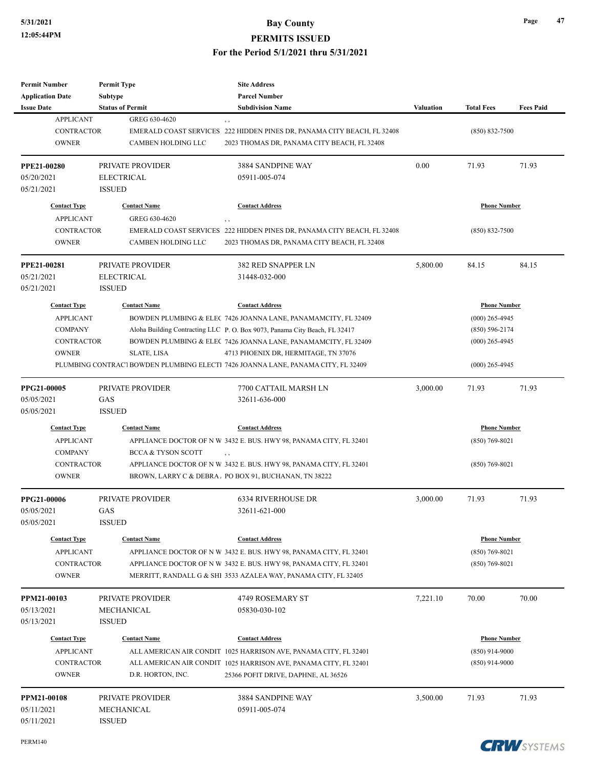| <b>Permit Number</b>    | <b>Permit Type</b>            | <b>Site Address</b>                                                              |                  |                     |                  |
|-------------------------|-------------------------------|----------------------------------------------------------------------------------|------------------|---------------------|------------------|
| <b>Application Date</b> | Subtype                       | <b>Parcel Number</b>                                                             |                  |                     |                  |
| <b>Issue Date</b>       | <b>Status of Permit</b>       | <b>Subdivision Name</b>                                                          | <b>Valuation</b> | <b>Total Fees</b>   | <b>Fees Paid</b> |
| <b>APPLICANT</b>        | GREG 630-4620                 | , ,                                                                              |                  |                     |                  |
| <b>CONTRACTOR</b>       |                               | EMERALD COAST SERVICES 222 HIDDEN PINES DR, PANAMA CITY BEACH, FL 32408          |                  | $(850) 832 - 7500$  |                  |
| <b>OWNER</b>            | CAMBEN HOLDING LLC            | 2023 THOMAS DR, PANAMA CITY BEACH, FL 32408                                      |                  |                     |                  |
| <b>PPE21-00280</b>      | PRIVATE PROVIDER              | 3884 SANDPINE WAY                                                                | 0.00             | 71.93               | 71.93            |
| 05/20/2021              | <b>ELECTRICAL</b>             | 05911-005-074                                                                    |                  |                     |                  |
| 05/21/2021              | <b>ISSUED</b>                 |                                                                                  |                  |                     |                  |
| <b>Contact Type</b>     | <b>Contact Name</b>           | <b>Contact Address</b>                                                           |                  | <b>Phone Number</b> |                  |
| <b>APPLICANT</b>        | GREG 630-4620                 | $, \, , \,$                                                                      |                  |                     |                  |
| <b>CONTRACTOR</b>       |                               | EMERALD COAST SERVICES 222 HIDDEN PINES DR, PANAMA CITY BEACH, FL 32408          |                  | $(850) 832 - 7500$  |                  |
| <b>OWNER</b>            | CAMBEN HOLDING LLC            | 2023 THOMAS DR, PANAMA CITY BEACH, FL 32408                                      |                  |                     |                  |
| PPE21-00281             | PRIVATE PROVIDER              | <b>382 RED SNAPPER LN</b>                                                        | 5,800.00         | 84.15               | 84.15            |
| 05/21/2021              | <b>ELECTRICAL</b>             | 31448-032-000                                                                    |                  |                     |                  |
| 05/21/2021              | <b>ISSUED</b>                 |                                                                                  |                  |                     |                  |
| <b>Contact Type</b>     | <b>Contact Name</b>           | <b>Contact Address</b>                                                           |                  | <b>Phone Number</b> |                  |
| <b>APPLICANT</b>        |                               | BOWDEN PLUMBING & ELEC 7426 JOANNA LANE, PANAMAMCITY, FL 32409                   |                  | $(000)$ 265-4945    |                  |
| <b>COMPANY</b>          |                               | Aloha Building Contracting LLC P. O. Box 9073, Panama City Beach, FL 32417       |                  | $(850) 596 - 2174$  |                  |
| <b>CONTRACTOR</b>       |                               | BOWDEN PLUMBING & ELEC 7426 JOANNA LANE, PANAMAMCITY, FL 32409                   |                  | $(000)$ 265-4945    |                  |
| <b>OWNER</b>            | <b>SLATE, LISA</b>            | 4713 PHOENIX DR, HERMITAGE, TN 37076                                             |                  |                     |                  |
|                         |                               | PLUMBING CONTRACT BOWDEN PLUMBING ELECTI 7426 JOANNA LANE, PANAMA CITY, FL 32409 |                  | $(000)$ 265-4945    |                  |
| PPG21-00005             | PRIVATE PROVIDER              | 7700 CATTAIL MARSH LN                                                            | 3,000.00         | 71.93               | 71.93            |
| 05/05/2021              | GAS                           | 32611-636-000                                                                    |                  |                     |                  |
| 05/05/2021              | <b>ISSUED</b>                 |                                                                                  |                  |                     |                  |
| <b>Contact Type</b>     | <b>Contact Name</b>           | <b>Contact Address</b>                                                           |                  | <b>Phone Number</b> |                  |
| <b>APPLICANT</b>        |                               | APPLIANCE DOCTOR OF N W 3432 E. BUS. HWY 98, PANAMA CITY, FL 32401               |                  | $(850)$ 769-8021    |                  |
| <b>COMPANY</b>          | <b>BCCA &amp; TYSON SCOTT</b> | $, \, , \,$                                                                      |                  |                     |                  |
| <b>CONTRACTOR</b>       |                               | APPLIANCE DOCTOR OF N W 3432 E. BUS. HWY 98, PANAMA CITY, FL 32401               |                  | $(850) 769 - 8021$  |                  |
| <b>OWNER</b>            |                               | BROWN, LARRY C & DEBRA. PO BOX 91, BUCHANAN, TN 38222                            |                  |                     |                  |
| PPG21-00006             | PRIVATE PROVIDER              | <b>6334 RIVERHOUSE DR</b>                                                        | 3,000.00         | 71.93               | 71.93            |
| 05/05/2021              | GAS                           | 32611-621-000                                                                    |                  |                     |                  |
| 05/05/2021              | <b>ISSUED</b>                 |                                                                                  |                  |                     |                  |
| <b>Contact Type</b>     | <b>Contact Name</b>           | <b>Contact Address</b>                                                           |                  | <b>Phone Number</b> |                  |
| <b>APPLICANT</b>        |                               | APPLIANCE DOCTOR OF N W 3432 E. BUS. HWY 98, PANAMA CITY, FL 32401               |                  | $(850)$ 769-8021    |                  |
| <b>CONTRACTOR</b>       |                               | APPLIANCE DOCTOR OF N W 3432 E. BUS. HWY 98, PANAMA CITY, FL 32401               |                  | $(850)$ 769-8021    |                  |
| <b>OWNER</b>            |                               | MERRITT, RANDALL G & SHI 3533 AZALEA WAY, PANAMA CITY, FL 32405                  |                  |                     |                  |
| PPM21-00103             | PRIVATE PROVIDER              | 4749 ROSEMARY ST                                                                 | 7,221.10         | 70.00               | 70.00            |
| 05/13/2021              | MECHANICAL                    | 05830-030-102                                                                    |                  |                     |                  |
| 05/13/2021              | ISSUED                        |                                                                                  |                  |                     |                  |
| <b>Contact Type</b>     | <b>Contact Name</b>           | <b>Contact Address</b>                                                           |                  | <b>Phone Number</b> |                  |
| <b>APPLICANT</b>        |                               | ALL AMERICAN AIR CONDIT 1025 HARRISON AVE, PANAMA CITY, FL 32401                 |                  | $(850)$ 914-9000    |                  |
| <b>CONTRACTOR</b>       |                               | ALL AMERICAN AIR CONDIT 1025 HARRISON AVE, PANAMA CITY, FL 32401                 |                  | $(850)$ 914-9000    |                  |
| <b>OWNER</b>            | D.R. HORTON, INC.             | 25366 POFIT DRIVE, DAPHNE, AL 36526                                              |                  |                     |                  |
| PPM21-00108             | PRIVATE PROVIDER              | 3884 SANDPINE WAY                                                                | 3,500.00         | 71.93               | 71.93            |
| 05/11/2021              | MECHANICAL                    | 05911-005-074                                                                    |                  |                     |                  |
| 05/11/2021              | <b>ISSUED</b>                 |                                                                                  |                  |                     |                  |



**Page 47**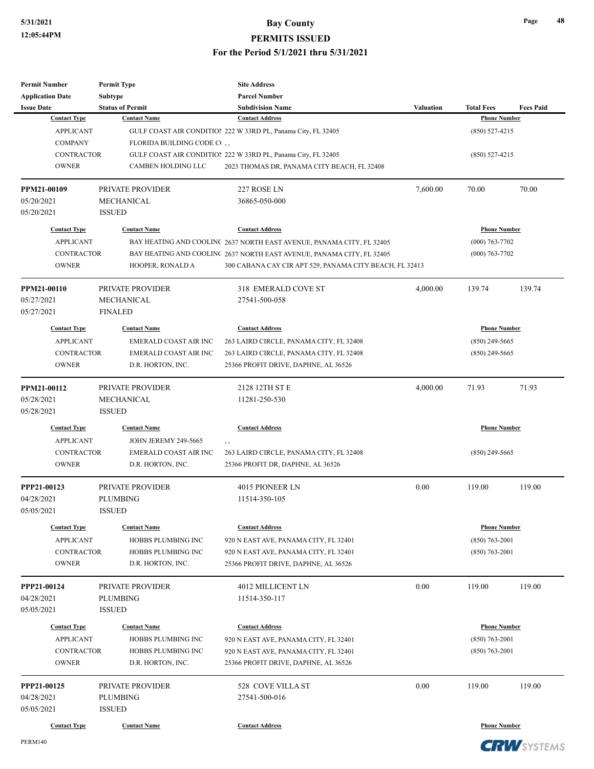| <b>Permit Number</b>    | <b>Permit Type</b>          | <b>Site Address</b>                                                   |                  |                     |                  |
|-------------------------|-----------------------------|-----------------------------------------------------------------------|------------------|---------------------|------------------|
| <b>Application Date</b> | Subtype                     | <b>Parcel Number</b>                                                  |                  |                     |                  |
| <b>Issue Date</b>       | <b>Status of Permit</b>     | <b>Subdivision Name</b>                                               | <b>Valuation</b> | <b>Total Fees</b>   | <b>Fees Paid</b> |
| <b>Contact Type</b>     | <b>Contact Name</b>         | <b>Contact Address</b>                                                |                  | <b>Phone Number</b> |                  |
| <b>APPLICANT</b>        |                             | GULF COAST AIR CONDITION 222 W 33RD PL, Panama City, FL 32405         |                  | $(850)$ 527-4215    |                  |
| <b>COMPANY</b>          | FLORIDA BUILDING CODE C     |                                                                       |                  |                     |                  |
| <b>CONTRACTOR</b>       |                             | GULF COAST AIR CONDITION 222 W 33RD PL, Panama City, FL 32405         |                  | $(850)$ 527-4215    |                  |
| <b>OWNER</b>            | CAMBEN HOLDING LLC          | 2023 THOMAS DR, PANAMA CITY BEACH, FL 32408                           |                  |                     |                  |
| PPM21-00109             | PRIVATE PROVIDER            | 227 ROSE LN                                                           | 7,600.00         | 70.00               | 70.00            |
| 05/20/2021              | MECHANICAL                  | 36865-050-000                                                         |                  |                     |                  |
| 05/20/2021              | <b>ISSUED</b>               |                                                                       |                  |                     |                  |
| <b>Contact Type</b>     | <b>Contact Name</b>         | <b>Contact Address</b>                                                |                  | <b>Phone Number</b> |                  |
| <b>APPLICANT</b>        |                             | BAY HEATING AND COOLINC 2637 NORTH EAST AVENUE, PANAMA CITY, FL 32405 |                  | $(000)$ 763-7702    |                  |
| <b>CONTRACTOR</b>       |                             | BAY HEATING AND COOLINC 2637 NORTH EAST AVENUE, PANAMA CITY, FL 32405 |                  | $(000)$ 763-7702    |                  |
| <b>OWNER</b>            | HOOPER, RONALD A            | 300 CABANA CAY CIR APT 529, PANAMA CITY BEACH, FL 32413               |                  |                     |                  |
| PPM21-00110             | PRIVATE PROVIDER            | 318 EMERALD COVE ST                                                   | 4,000.00         | 139.74              | 139.74           |
| 05/27/2021              | <b>MECHANICAL</b>           | 27541-500-058                                                         |                  |                     |                  |
| 05/27/2021              | <b>FINALED</b>              |                                                                       |                  |                     |                  |
| <b>Contact Type</b>     | <b>Contact Name</b>         | <b>Contact Address</b>                                                |                  | <b>Phone Number</b> |                  |
| <b>APPLICANT</b>        | EMERALD COAST AIR INC       |                                                                       |                  |                     |                  |
|                         |                             | 263 LAIRD CIRCLE, PANAMA CITY, FL 32408                               |                  | $(850)$ 249-5665    |                  |
| <b>CONTRACTOR</b>       | EMERALD COAST AIR INC       | 263 LAIRD CIRCLE, PANAMA CITY, FL 32408                               |                  | $(850)$ 249-5665    |                  |
| <b>OWNER</b>            | D.R. HORTON, INC.           | 25366 PROFIT DRIVE, DAPHNE, AL 36526                                  |                  |                     |                  |
| PPM21-00112             | PRIVATE PROVIDER            | 2128 12TH ST E                                                        | 4,000.00         | 71.93               | 71.93            |
| 05/28/2021              | MECHANICAL                  | 11281-250-530                                                         |                  |                     |                  |
| 05/28/2021              | <b>ISSUED</b>               |                                                                       |                  |                     |                  |
| <b>Contact Type</b>     | <b>Contact Name</b>         | <b>Contact Address</b>                                                |                  | <b>Phone Number</b> |                  |
| <b>APPLICANT</b>        | <b>JOHN JEREMY 249-5665</b> |                                                                       |                  |                     |                  |
| <b>CONTRACTOR</b>       | EMERALD COAST AIR INC       | 263 LAIRD CIRCLE, PANAMA CITY, FL 32408                               |                  | $(850)$ 249-5665    |                  |
| <b>OWNER</b>            | D.R. HORTON, INC.           | 25366 PROFIT DR, DAPHNE, AL 36526                                     |                  |                     |                  |
| PPP21-00123             | PRIVATE PROVIDER            | 4015 PIONEER LN                                                       | 0.00             | 119.00              | 119.00           |
| 04/28/2021              | PLUMBING                    | 11514-350-105                                                         |                  |                     |                  |
| 05/05/2021              | <b>ISSUED</b>               |                                                                       |                  |                     |                  |
| <b>Contact Type</b>     | <b>Contact Name</b>         | <b>Contact Address</b>                                                |                  | <b>Phone Number</b> |                  |
| <b>APPLICANT</b>        | HOBBS PLUMBING INC          | 920 N EAST AVE, PANAMA CITY, FL 32401                                 |                  | $(850)$ 763-2001    |                  |
| <b>CONTRACTOR</b>       | HOBBS PLUMBING INC          | 920 N EAST AVE, PANAMA CITY, FL 32401                                 |                  | $(850)$ 763-2001    |                  |
| <b>OWNER</b>            | D.R. HORTON, INC.           | 25366 PROFIT DRIVE, DAPHNE, AL 36526                                  |                  |                     |                  |
| PPP21-00124             | PRIVATE PROVIDER            | <b>4012 MILLICENT LN</b>                                              | 0.00             | 119.00              | 119.00           |
| 04/28/2021              | PLUMBING                    | 11514-350-117                                                         |                  |                     |                  |
| 05/05/2021              | <b>ISSUED</b>               |                                                                       |                  |                     |                  |
| <b>Contact Type</b>     | <b>Contact Name</b>         | <b>Contact Address</b>                                                |                  | <b>Phone Number</b> |                  |
| <b>APPLICANT</b>        | HOBBS PLUMBING INC          | 920 N EAST AVE, PANAMA CITY, FL 32401                                 |                  | $(850)$ 763-2001    |                  |
| <b>CONTRACTOR</b>       | HOBBS PLUMBING INC          | 920 N EAST AVE, PANAMA CITY, FL 32401                                 |                  | $(850)$ 763-2001    |                  |
| <b>OWNER</b>            | D.R. HORTON, INC.           | 25366 PROFIT DRIVE, DAPHNE, AL 36526                                  |                  |                     |                  |
| PPP21-00125             | PRIVATE PROVIDER            | 528 COVE VILLA ST                                                     | 0.00             | 119.00              | 119.00           |
| 04/28/2021              | PLUMBING                    | 27541-500-016                                                         |                  |                     |                  |
| 05/05/2021              | <b>ISSUED</b>               |                                                                       |                  |                     |                  |
| <b>Contact Type</b>     | <b>Contact Name</b>         | <b>Contact Address</b>                                                |                  | <b>Phone Number</b> |                  |
|                         |                             |                                                                       |                  |                     |                  |

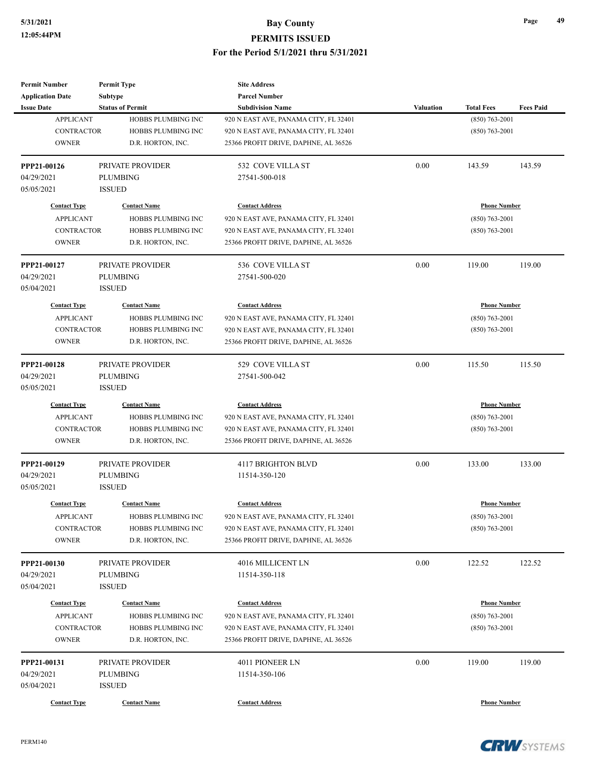| <b>Permit Number</b>    | <b>Permit Type</b>        | <b>Site Address</b>                   |           |                     |                  |
|-------------------------|---------------------------|---------------------------------------|-----------|---------------------|------------------|
| <b>Application Date</b> | <b>Subtype</b>            | <b>Parcel Number</b>                  |           |                     |                  |
| <b>Issue Date</b>       | <b>Status of Permit</b>   | <b>Subdivision Name</b>               | Valuation | <b>Total Fees</b>   | <b>Fees Paid</b> |
| <b>APPLICANT</b>        | HOBBS PLUMBING INC        | 920 N EAST AVE, PANAMA CITY, FL 32401 |           | $(850) 763 - 2001$  |                  |
| <b>CONTRACTOR</b>       | HOBBS PLUMBING INC        | 920 N EAST AVE, PANAMA CITY, FL 32401 |           | $(850) 763 - 2001$  |                  |
| <b>OWNER</b>            | D.R. HORTON, INC.         | 25366 PROFIT DRIVE, DAPHNE, AL 36526  |           |                     |                  |
| PPP21-00126             | PRIVATE PROVIDER          | 532 COVE VILLA ST                     | 0.00      | 143.59              | 143.59           |
| 04/29/2021              | <b>PLUMBING</b>           | 27541-500-018                         |           |                     |                  |
| 05/05/2021              | <b>ISSUED</b>             |                                       |           |                     |                  |
| <b>Contact Type</b>     | <b>Contact Name</b>       | <b>Contact Address</b>                |           | <b>Phone Number</b> |                  |
| <b>APPLICANT</b>        | HOBBS PLUMBING INC        | 920 N EAST AVE, PANAMA CITY, FL 32401 |           | $(850) 763 - 2001$  |                  |
| <b>CONTRACTOR</b>       | HOBBS PLUMBING INC        | 920 N EAST AVE, PANAMA CITY, FL 32401 |           | $(850)$ 763-2001    |                  |
| <b>OWNER</b>            | D.R. HORTON, INC.         | 25366 PROFIT DRIVE, DAPHNE, AL 36526  |           |                     |                  |
| PPP21-00127             | <b>PRIVATE PROVIDER</b>   | 536 COVE VILLA ST                     | 0.00      | 119.00              | 119.00           |
| 04/29/2021              | <b>PLUMBING</b>           | 27541-500-020                         |           |                     |                  |
| 05/04/2021              | <b>ISSUED</b>             |                                       |           |                     |                  |
| <b>Contact Type</b>     | <b>Contact Name</b>       | <b>Contact Address</b>                |           | <b>Phone Number</b> |                  |
| <b>APPLICANT</b>        | HOBBS PLUMBING INC        | 920 N EAST AVE, PANAMA CITY, FL 32401 |           | $(850) 763 - 2001$  |                  |
| <b>CONTRACTOR</b>       | <b>HOBBS PLUMBING INC</b> | 920 N EAST AVE, PANAMA CITY, FL 32401 |           | $(850) 763 - 2001$  |                  |
| <b>OWNER</b>            | D.R. HORTON, INC.         | 25366 PROFIT DRIVE, DAPHNE, AL 36526  |           |                     |                  |
|                         |                           |                                       |           |                     |                  |
| PPP21-00128             | PRIVATE PROVIDER          | 529 COVE VILLA ST                     | 0.00      | 115.50              | 115.50           |
| 04/29/2021              | <b>PLUMBING</b>           | 27541-500-042                         |           |                     |                  |
| 05/05/2021              | <b>ISSUED</b>             |                                       |           |                     |                  |
| <b>Contact Type</b>     | <b>Contact Name</b>       | <b>Contact Address</b>                |           | <b>Phone Number</b> |                  |
| <b>APPLICANT</b>        | HOBBS PLUMBING INC        | 920 N EAST AVE, PANAMA CITY, FL 32401 |           | $(850) 763 - 2001$  |                  |
| <b>CONTRACTOR</b>       | HOBBS PLUMBING INC        | 920 N EAST AVE, PANAMA CITY, FL 32401 |           | $(850)$ 763-2001    |                  |
| <b>OWNER</b>            | D.R. HORTON, INC.         | 25366 PROFIT DRIVE, DAPHNE, AL 36526  |           |                     |                  |
| PPP21-00129             | PRIVATE PROVIDER          | 4117 BRIGHTON BLVD                    | 0.00      | 133.00              | 133.00           |
| 04/29/2021              | <b>PLUMBING</b>           | 11514-350-120                         |           |                     |                  |
| 05/05/2021              | <b>ISSUED</b>             |                                       |           |                     |                  |
| <b>Contact Type</b>     | <b>Contact Name</b>       | <b>Contact Address</b>                |           | <b>Phone Number</b> |                  |
| <b>APPLICANT</b>        | HOBBS PLUMBING INC        | 920 N EAST AVE, PANAMA CITY, FL 32401 |           | $(850) 763 - 2001$  |                  |
| CONTRACTOR              | HOBBS PLUMBING INC        | 920 N EAST AVE, PANAMA CITY, FL 32401 |           | $(850) 763 - 2001$  |                  |
| <b>OWNER</b>            | D.R. HORTON, INC.         | 25366 PROFIT DRIVE, DAPHNE, AL 36526  |           |                     |                  |
| PPP21-00130             | PRIVATE PROVIDER          | 4016 MILLICENT LN                     | 0.00      | 122.52              | 122.52           |
| 04/29/2021              | <b>PLUMBING</b>           | 11514-350-118                         |           |                     |                  |
| 05/04/2021              | <b>ISSUED</b>             |                                       |           |                     |                  |
| <b>Contact Type</b>     | <b>Contact Name</b>       | <b>Contact Address</b>                |           | <b>Phone Number</b> |                  |
| <b>APPLICANT</b>        | HOBBS PLUMBING INC        | 920 N EAST AVE, PANAMA CITY, FL 32401 |           | $(850)$ 763-2001    |                  |
| <b>CONTRACTOR</b>       | HOBBS PLUMBING INC        | 920 N EAST AVE, PANAMA CITY, FL 32401 |           | $(850) 763 - 2001$  |                  |
| <b>OWNER</b>            | D.R. HORTON, INC.         | 25366 PROFIT DRIVE, DAPHNE, AL 36526  |           |                     |                  |
|                         |                           |                                       |           |                     |                  |
| PPP21-00131             | PRIVATE PROVIDER          | 4011 PIONEER LN                       | 0.00      | 119.00              | 119.00           |
| 04/29/2021              | <b>PLUMBING</b>           | 11514-350-106                         |           |                     |                  |
| 05/04/2021              | <b>ISSUED</b>             |                                       |           |                     |                  |
| <b>Contact Type</b>     | <b>Contact Name</b>       | <b>Contact Address</b>                |           | <b>Phone Number</b> |                  |

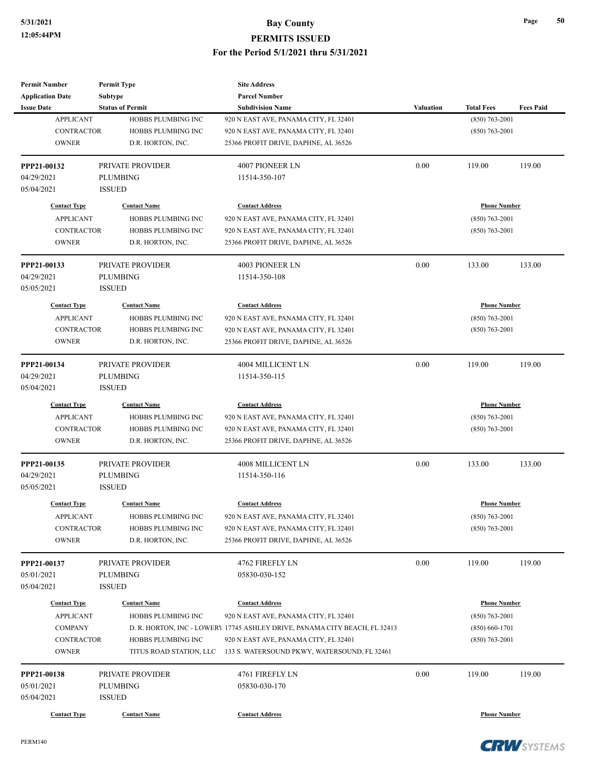| <b>Permit Number</b>     | <b>Permit Type</b>        | <b>Site Address</b>                                                        |                     |                     |                  |
|--------------------------|---------------------------|----------------------------------------------------------------------------|---------------------|---------------------|------------------|
| <b>Application Date</b>  | <b>Subtype</b>            | <b>Parcel Number</b>                                                       |                     |                     |                  |
| <b>Issue Date</b>        | <b>Status of Permit</b>   | <b>Subdivision Name</b>                                                    | <b>Valuation</b>    | <b>Total Fees</b>   | <b>Fees Paid</b> |
| <b>APPLICANT</b>         | HOBBS PLUMBING INC        | 920 N EAST AVE, PANAMA CITY, FL 32401                                      |                     | $(850) 763 - 2001$  |                  |
| <b>CONTRACTOR</b>        | <b>HOBBS PLUMBING INC</b> | 920 N EAST AVE, PANAMA CITY, FL 32401                                      |                     | $(850)$ 763-2001    |                  |
| <b>OWNER</b>             | D.R. HORTON, INC.         | 25366 PROFIT DRIVE, DAPHNE, AL 36526                                       |                     |                     |                  |
| PPP21-00132              | PRIVATE PROVIDER          | 4007 PIONEER LN                                                            | 0.00                | 119.00              | 119.00           |
| 04/29/2021               | <b>PLUMBING</b>           | 11514-350-107                                                              |                     |                     |                  |
| 05/04/2021               | <b>ISSUED</b>             |                                                                            |                     |                     |                  |
| <b>Contact Type</b>      | <b>Contact Name</b>       | <b>Contact Address</b>                                                     |                     | <b>Phone Number</b> |                  |
| <b>APPLICANT</b>         | <b>HOBBS PLUMBING INC</b> | 920 N EAST AVE, PANAMA CITY, FL 32401                                      |                     | $(850)$ 763-2001    |                  |
| <b>CONTRACTOR</b>        | HOBBS PLUMBING INC        | 920 N EAST AVE, PANAMA CITY, FL 32401                                      |                     | $(850) 763 - 2001$  |                  |
| <b>OWNER</b>             | D.R. HORTON, INC.         | 25366 PROFIT DRIVE, DAPHNE, AL 36526                                       |                     |                     |                  |
| PPP21-00133              | PRIVATE PROVIDER          | 4003 PIONEER LN                                                            | 0.00                | 133.00              | 133.00           |
| 04/29/2021               | <b>PLUMBING</b>           | 11514-350-108                                                              |                     |                     |                  |
| 05/05/2021               | <b>ISSUED</b>             |                                                                            |                     |                     |                  |
| <b>Contact Type</b>      | <b>Contact Name</b>       | <b>Contact Address</b>                                                     |                     | <b>Phone Number</b> |                  |
| <b>APPLICANT</b>         | HOBBS PLUMBING INC        | 920 N EAST AVE, PANAMA CITY, FL 32401                                      |                     | $(850) 763 - 2001$  |                  |
| <b>CONTRACTOR</b>        | <b>HOBBS PLUMBING INC</b> | 920 N EAST AVE, PANAMA CITY, FL 32401                                      |                     | $(850) 763 - 2001$  |                  |
| <b>OWNER</b>             | D.R. HORTON, INC.         | 25366 PROFIT DRIVE, DAPHNE, AL 36526                                       |                     |                     |                  |
| PPP21-00134              | PRIVATE PROVIDER          | 4004 MILLICENT LN                                                          | 0.00                | 119.00              | 119.00           |
| 04/29/2021               | <b>PLUMBING</b>           | 11514-350-115                                                              |                     |                     |                  |
| 05/04/2021               | <b>ISSUED</b>             |                                                                            |                     |                     |                  |
| <b>Contact Type</b>      | <b>Contact Name</b>       | <b>Contact Address</b>                                                     | <b>Phone Number</b> |                     |                  |
| <b>APPLICANT</b>         | HOBBS PLUMBING INC        | 920 N EAST AVE, PANAMA CITY, FL 32401                                      |                     | $(850) 763 - 2001$  |                  |
| <b>CONTRACTOR</b>        | HOBBS PLUMBING INC        | 920 N EAST AVE, PANAMA CITY, FL 32401                                      |                     | $(850)$ 763-2001    |                  |
| <b>OWNER</b>             | D.R. HORTON, INC.         | 25366 PROFIT DRIVE, DAPHNE, AL 36526                                       |                     |                     |                  |
| PPP21-00135              | PRIVATE PROVIDER          | 4008 MILLICENT LN                                                          | 0.00                | 133.00              | 133.00           |
| 04/29/2021               | <b>PLUMBING</b>           | 11514-350-116                                                              |                     |                     |                  |
| 05/05/2021               | <b>ISSUED</b>             |                                                                            |                     |                     |                  |
| <b>Contact Type</b>      | <b>Contact Name</b>       | <b>Contact Address</b>                                                     |                     | <b>Phone Number</b> |                  |
| <b>APPLICANT</b>         | HOBBS PLUMBING INC        | 920 N EAST AVE, PANAMA CITY, FL 32401                                      |                     | $(850) 763 - 2001$  |                  |
| <b>CONTRACTOR</b>        | HOBBS PLUMBING INC        | 920 N EAST AVE, PANAMA CITY, FL 32401                                      |                     | $(850) 763 - 2001$  |                  |
| <b>OWNER</b>             | D.R. HORTON, INC.         | 25366 PROFIT DRIVE, DAPHNE, AL 36526                                       |                     |                     |                  |
| PPP21-00137              | PRIVATE PROVIDER          | 4762 FIREFLY LN                                                            | 0.00                | 119.00              | 119.00           |
| 05/01/2021               | <b>PLUMBING</b>           | 05830-030-152                                                              |                     |                     |                  |
| 05/04/2021               | <b>ISSUED</b>             |                                                                            |                     |                     |                  |
| <b>Contact Type</b>      | <b>Contact Name</b>       | <b>Contact Address</b>                                                     |                     | <b>Phone Number</b> |                  |
| <b>APPLICANT</b>         | HOBBS PLUMBING INC        | 920 N EAST AVE, PANAMA CITY, FL 32401                                      |                     | $(850)$ 763-2001    |                  |
|                          |                           | D. R. HORTON, INC - LOWERY 17745 ASHLEY DRIVE, PANAMA CITY BEACH, FL 32413 |                     | $(850) 660 - 1701$  |                  |
| <b>COMPANY</b>           |                           | 920 N EAST AVE, PANAMA CITY, FL 32401                                      |                     | $(850)$ 763-2001    |                  |
| <b>CONTRACTOR</b>        | HOBBS PLUMBING INC        |                                                                            |                     |                     |                  |
| <b>OWNER</b>             | TITUS ROAD STATION, LLC   | 133 S. WATERSOUND PKWY, WATERSOUND, FL 32461                               |                     |                     |                  |
| PPP21-00138              | PRIVATE PROVIDER          | 4761 FIREFLY LN                                                            | 0.00                | 119.00              | 119.00           |
|                          | <b>PLUMBING</b>           | 05830-030-170                                                              |                     |                     |                  |
| 05/01/2021<br>05/04/2021 | <b>ISSUED</b>             |                                                                            |                     |                     |                  |

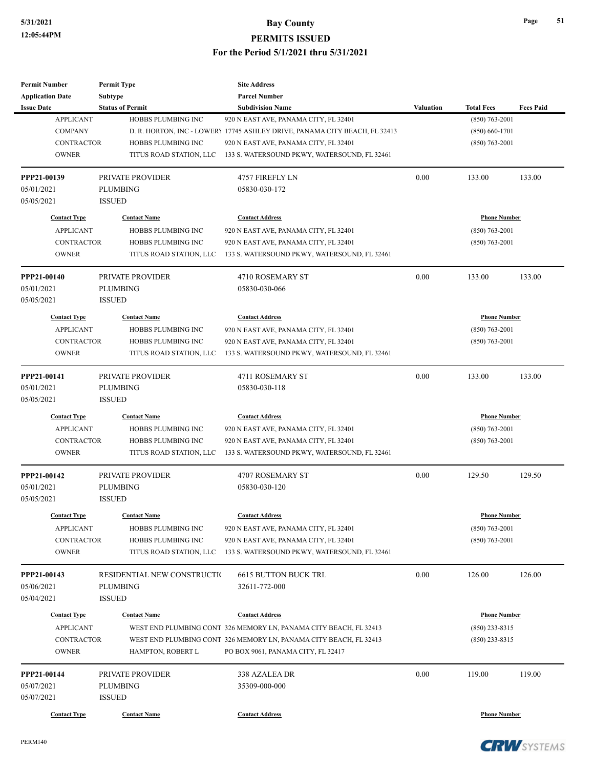| <b>Permit Number</b>    | <b>Permit Type</b>          | <b>Site Address</b>                                                        |                  |                     |                  |
|-------------------------|-----------------------------|----------------------------------------------------------------------------|------------------|---------------------|------------------|
| <b>Application Date</b> | Subtype                     | <b>Parcel Number</b>                                                       |                  |                     |                  |
| <b>Issue Date</b>       | <b>Status of Permit</b>     | <b>Subdivision Name</b>                                                    | <b>Valuation</b> | <b>Total Fees</b>   | <b>Fees Paid</b> |
| <b>APPLICANT</b>        | HOBBS PLUMBING INC          | 920 N EAST AVE, PANAMA CITY, FL 32401                                      |                  | $(850)$ 763-2001    |                  |
| <b>COMPANY</b>          |                             | D. R. HORTON, INC - LOWERY 17745 ASHLEY DRIVE, PANAMA CITY BEACH, FL 32413 |                  | $(850) 660 - 1701$  |                  |
| <b>CONTRACTOR</b>       | HOBBS PLUMBING INC          | 920 N EAST AVE, PANAMA CITY, FL 32401                                      |                  | $(850)$ 763-2001    |                  |
| <b>OWNER</b>            | TITUS ROAD STATION, LLC     | 133 S. WATERSOUND PKWY, WATERSOUND, FL 32461                               |                  |                     |                  |
| PPP21-00139             | PRIVATE PROVIDER            | 4757 FIREFLY LN                                                            | 0.00             | 133.00              | 133.00           |
| 05/01/2021              | PLUMBING                    | 05830-030-172                                                              |                  |                     |                  |
| 05/05/2021              | <b>ISSUED</b>               |                                                                            |                  |                     |                  |
| <b>Contact Type</b>     | <b>Contact Name</b>         | <b>Contact Address</b>                                                     |                  | <b>Phone Number</b> |                  |
| <b>APPLICANT</b>        | HOBBS PLUMBING INC          | 920 N EAST AVE, PANAMA CITY, FL 32401                                      |                  | $(850) 763 - 2001$  |                  |
| <b>CONTRACTOR</b>       | HOBBS PLUMBING INC          | 920 N EAST AVE, PANAMA CITY, FL 32401                                      |                  | $(850)$ 763-2001    |                  |
| <b>OWNER</b>            | TITUS ROAD STATION, LLC     | 133 S. WATERSOUND PKWY, WATERSOUND, FL 32461                               |                  |                     |                  |
| PPP21-00140             | PRIVATE PROVIDER            | 4710 ROSEMARY ST                                                           | 0.00             | 133.00              | 133.00           |
| 05/01/2021              | PLUMBING                    | 05830-030-066                                                              |                  |                     |                  |
| 05/05/2021              | <b>ISSUED</b>               |                                                                            |                  |                     |                  |
| <b>Contact Type</b>     | <b>Contact Name</b>         | <b>Contact Address</b>                                                     |                  | <b>Phone Number</b> |                  |
| <b>APPLICANT</b>        | HOBBS PLUMBING INC          | 920 N EAST AVE, PANAMA CITY, FL 32401                                      |                  | $(850) 763 - 2001$  |                  |
| <b>CONTRACTOR</b>       | HOBBS PLUMBING INC          | 920 N EAST AVE, PANAMA CITY, FL 32401                                      |                  | $(850) 763 - 2001$  |                  |
| <b>OWNER</b>            | TITUS ROAD STATION, LLC     | 133 S. WATERSOUND PKWY, WATERSOUND, FL 32461                               |                  |                     |                  |
| PPP21-00141             | PRIVATE PROVIDER            | 4711 ROSEMARY ST                                                           | 0.00             | 133.00              | 133.00           |
| 05/01/2021              | <b>PLUMBING</b>             | 05830-030-118                                                              |                  |                     |                  |
| 05/05/2021              | <b>ISSUED</b>               |                                                                            |                  |                     |                  |
| <b>Contact Type</b>     | <b>Contact Name</b>         | <b>Contact Address</b>                                                     |                  | <b>Phone Number</b> |                  |
| <b>APPLICANT</b>        | HOBBS PLUMBING INC          | 920 N EAST AVE, PANAMA CITY, FL 32401                                      |                  | $(850) 763 - 2001$  |                  |
| <b>CONTRACTOR</b>       | HOBBS PLUMBING INC          | 920 N EAST AVE, PANAMA CITY, FL 32401                                      |                  | $(850)$ 763-2001    |                  |
| <b>OWNER</b>            | TITUS ROAD STATION, LLC     | 133 S. WATERSOUND PKWY, WATERSOUND, FL 32461                               |                  |                     |                  |
| PPP21-00142             | PRIVATE PROVIDER            | 4707 ROSEMARY ST                                                           | 0.00             | 129.50              | 129.50           |
| 05/01/2021              | PLUMBING                    | 05830-030-120                                                              |                  |                     |                  |
| 05/05/2021              | <b>ISSUED</b>               |                                                                            |                  |                     |                  |
| <b>Contact Type</b>     | <b>Contact Name</b>         | <b>Contact Address</b>                                                     |                  | <b>Phone Number</b> |                  |
| <b>APPLICANT</b>        | HOBBS PLUMBING INC          | 920 N EAST AVE, PANAMA CITY, FL 32401                                      |                  | $(850)$ 763-2001    |                  |
| <b>CONTRACTOR</b>       | HOBBS PLUMBING INC          | 920 N EAST AVE, PANAMA CITY, FL 32401                                      |                  | $(850)$ 763-2001    |                  |
| <b>OWNER</b>            | TITUS ROAD STATION, LLC     | 133 S. WATERSOUND PKWY, WATERSOUND, FL 32461                               |                  |                     |                  |
| PPP21-00143             | RESIDENTIAL NEW CONSTRUCTIO | <b>6615 BUTTON BUCK TRL</b>                                                | 0.00             | 126.00              | 126.00           |
| 05/06/2021              | PLUMBING                    | 32611-772-000                                                              |                  |                     |                  |
| 05/04/2021              | <b>ISSUED</b>               |                                                                            |                  |                     |                  |
| <b>Contact Type</b>     | <b>Contact Name</b>         | <b>Contact Address</b>                                                     |                  | <b>Phone Number</b> |                  |
| <b>APPLICANT</b>        |                             | WEST END PLUMBING CONT 326 MEMORY LN, PANAMA CITY BEACH, FL 32413          |                  | $(850)$ 233-8315    |                  |
| <b>CONTRACTOR</b>       |                             | WEST END PLUMBING CONT 326 MEMORY LN, PANAMA CITY BEACH, FL 32413          |                  | $(850)$ 233-8315    |                  |
| <b>OWNER</b>            | HAMPTON, ROBERT L           | PO BOX 9061, PANAMA CITY, FL 32417                                         |                  |                     |                  |
| PPP21-00144             | PRIVATE PROVIDER            | 338 AZALEA DR                                                              | 0.00             | 119.00              | 119.00           |
| 05/07/2021              | PLUMBING                    | 35309-000-000                                                              |                  |                     |                  |
| 05/07/2021              | <b>ISSUED</b>               |                                                                            |                  |                     |                  |
| <b>Contact Type</b>     | <b>Contact Name</b>         | <b>Contact Address</b>                                                     |                  | <b>Phone Number</b> |                  |

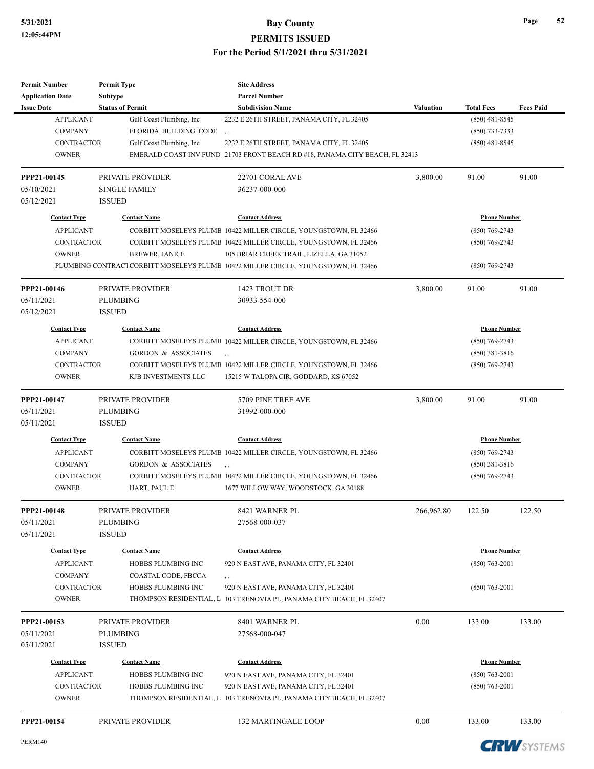| <b>Issue Date</b><br><b>Status of Permit</b><br><b>Subdivision Name</b><br><b>Valuation</b><br><b>Total Fees</b><br><b>Fees Paid</b><br><b>APPLICANT</b><br>Gulf Coast Plumbing, Inc<br>$(850)$ 481-8545<br>2232 E 26TH STREET, PANAMA CITY, FL 32405<br><b>COMPANY</b><br>FLORIDA BUILDING CODE<br>(850) 733-7333<br>, ,<br><b>CONTRACTOR</b><br>Gulf Coast Plumbing, Inc.<br>$(850)$ 481-8545<br>2232 E 26TH STREET, PANAMA CITY, FL 32405<br><b>OWNER</b><br>EMERALD COAST INV FUND 21703 FRONT BEACH RD #18, PANAMA CITY BEACH, FL 32413<br>3,800.00<br>91.00<br>91.00<br>PRIVATE PROVIDER<br>22701 CORAL AVE<br><b>SINGLE FAMILY</b><br>36237-000-000<br><b>ISSUED</b><br><b>Contact Type</b><br><b>Contact Name</b><br><b>Contact Address</b><br><b>Phone Number</b><br><b>APPLICANT</b><br>CORBITT MOSELEYS PLUMB 10422 MILLER CIRCLE, YOUNGSTOWN, FL 32466<br>$(850)$ 769-2743<br><b>CONTRACTOR</b><br>CORBITT MOSELEYS PLUMB 10422 MILLER CIRCLE, YOUNGSTOWN, FL 32466<br>$(850)$ 769-2743<br><b>OWNER</b><br><b>BREWER, JANICE</b><br>105 BRIAR CREEK TRAIL, LIZELLA, GA 31052<br>PLUMBING CONTRACT CORBITT MOSELEYS PLUMB 10422 MILLER CIRCLE, YOUNGSTOWN, FL 32466<br>$(850)$ 769-2743<br>1423 TROUT DR<br>3,800.00<br>91.00<br>91.00<br>PRIVATE PROVIDER<br><b>PLUMBING</b><br>30933-554-000<br><b>ISSUED</b><br><b>Contact Type</b><br><b>Contact Name</b><br><b>Contact Address</b><br><b>Phone Number</b><br><b>APPLICANT</b><br>CORBITT MOSELEYS PLUMB 10422 MILLER CIRCLE, YOUNGSTOWN, FL 32466<br>$(850)$ 769-2743<br><b>COMPANY</b><br>$(850)$ 381-3816<br><b>GORDON &amp; ASSOCIATES</b><br>, ,<br>CONTRACTOR<br>$(850)$ 769-2743<br>CORBITT MOSELEYS PLUMB 10422 MILLER CIRCLE, YOUNGSTOWN, FL 32466<br><b>OWNER</b><br>KJB INVESTMENTS LLC<br>15215 W TALOPA CIR, GODDARD, KS 67052<br>3,800.00<br>91.00<br>91.00<br>PRIVATE PROVIDER<br>5709 PINE TREE AVE<br>PPP21-00147<br><b>PLUMBING</b><br>31992-000-000<br><b>ISSUED</b><br><b>Contact Type</b><br><b>Contact Name</b><br><b>Contact Address</b><br><b>Phone Number</b><br><b>APPLICANT</b><br>CORBITT MOSELEYS PLUMB 10422 MILLER CIRCLE, YOUNGSTOWN, FL 32466<br>$(850)$ 769-2743<br><b>COMPANY</b><br><b>GORDON &amp; ASSOCIATES</b><br>$(850)$ 381-3816<br>, ,<br><b>CONTRACTOR</b><br>CORBITT MOSELEYS PLUMB 10422 MILLER CIRCLE, YOUNGSTOWN, FL 32466<br>$(850)$ 769-2743<br><b>OWNER</b><br>HART, PAUL E<br>1677 WILLOW WAY, WOODSTOCK, GA 30188<br>PRIVATE PROVIDER<br>8421 WARNER PL<br>266,962.80<br>122.50<br>122.50<br>PPP21-00148<br><b>PLUMBING</b><br>27568-000-037<br><b>ISSUED</b><br><b>Contact Type</b><br><b>Contact Name</b><br><b>Contact Address</b><br><b>Phone Number</b><br>HOBBS PLUMBING INC<br>920 N EAST AVE, PANAMA CITY, FL 32401<br>$(850)$ 763-2001<br><b>APPLICANT</b><br><b>COMPANY</b><br>COASTAL CODE, FBCCA<br>, ,<br><b>CONTRACTOR</b><br>HOBBS PLUMBING INC<br>920 N EAST AVE, PANAMA CITY, FL 32401<br>$(850)$ 763-2001<br><b>OWNER</b><br>THOMPSON RESIDENTIAL, L 103 TRENOVIA PL, PANAMA CITY BEACH, FL 32407<br>0.00<br>PRIVATE PROVIDER<br>8401 WARNER PL<br>133.00<br><b>PLUMBING</b><br>27568-000-047<br><b>ISSUED</b><br><b>Phone Number</b><br><b>Contact Type</b><br><b>Contact Name</b><br><b>Contact Address</b><br><b>APPLICANT</b><br>HOBBS PLUMBING INC<br>920 N EAST AVE, PANAMA CITY, FL 32401<br>$(850)$ 763-2001<br>CONTRACTOR<br>HOBBS PLUMBING INC<br>920 N EAST AVE, PANAMA CITY, FL 32401<br>$(850)$ 763-2001<br><b>OWNER</b><br>THOMPSON RESIDENTIAL, L 103 TRENOVIA PL, PANAMA CITY BEACH, FL 32407<br>PRIVATE PROVIDER<br>0.00<br><b>132 MARTINGALE LOOP</b><br>133.00 | <b>Permit Number</b>    | <b>Permit Type</b> | <b>Site Address</b>  |  |        |
|-------------------------------------------------------------------------------------------------------------------------------------------------------------------------------------------------------------------------------------------------------------------------------------------------------------------------------------------------------------------------------------------------------------------------------------------------------------------------------------------------------------------------------------------------------------------------------------------------------------------------------------------------------------------------------------------------------------------------------------------------------------------------------------------------------------------------------------------------------------------------------------------------------------------------------------------------------------------------------------------------------------------------------------------------------------------------------------------------------------------------------------------------------------------------------------------------------------------------------------------------------------------------------------------------------------------------------------------------------------------------------------------------------------------------------------------------------------------------------------------------------------------------------------------------------------------------------------------------------------------------------------------------------------------------------------------------------------------------------------------------------------------------------------------------------------------------------------------------------------------------------------------------------------------------------------------------------------------------------------------------------------------------------------------------------------------------------------------------------------------------------------------------------------------------------------------------------------------------------------------------------------------------------------------------------------------------------------------------------------------------------------------------------------------------------------------------------------------------------------------------------------------------------------------------------------------------------------------------------------------------------------------------------------------------------------------------------------------------------------------------------------------------------------------------------------------------------------------------------------------------------------------------------------------------------------------------------------------------------------------------------------------------------------------------------------------------------------------------------------------------------------------------------------------------------------------------------------------------------------------------------------------------------------------------------------------------------------------------------------------------------------------------------------------------------------------------------------------------------------------------------------------------------------------------------------------------------------------------------------------------|-------------------------|--------------------|----------------------|--|--------|
|                                                                                                                                                                                                                                                                                                                                                                                                                                                                                                                                                                                                                                                                                                                                                                                                                                                                                                                                                                                                                                                                                                                                                                                                                                                                                                                                                                                                                                                                                                                                                                                                                                                                                                                                                                                                                                                                                                                                                                                                                                                                                                                                                                                                                                                                                                                                                                                                                                                                                                                                                                                                                                                                                                                                                                                                                                                                                                                                                                                                                                                                                                                                                                                                                                                                                                                                                                                                                                                                                                                                                                                                                         | <b>Application Date</b> | <b>Subtype</b>     | <b>Parcel Number</b> |  |        |
|                                                                                                                                                                                                                                                                                                                                                                                                                                                                                                                                                                                                                                                                                                                                                                                                                                                                                                                                                                                                                                                                                                                                                                                                                                                                                                                                                                                                                                                                                                                                                                                                                                                                                                                                                                                                                                                                                                                                                                                                                                                                                                                                                                                                                                                                                                                                                                                                                                                                                                                                                                                                                                                                                                                                                                                                                                                                                                                                                                                                                                                                                                                                                                                                                                                                                                                                                                                                                                                                                                                                                                                                                         |                         |                    |                      |  |        |
|                                                                                                                                                                                                                                                                                                                                                                                                                                                                                                                                                                                                                                                                                                                                                                                                                                                                                                                                                                                                                                                                                                                                                                                                                                                                                                                                                                                                                                                                                                                                                                                                                                                                                                                                                                                                                                                                                                                                                                                                                                                                                                                                                                                                                                                                                                                                                                                                                                                                                                                                                                                                                                                                                                                                                                                                                                                                                                                                                                                                                                                                                                                                                                                                                                                                                                                                                                                                                                                                                                                                                                                                                         |                         |                    |                      |  |        |
|                                                                                                                                                                                                                                                                                                                                                                                                                                                                                                                                                                                                                                                                                                                                                                                                                                                                                                                                                                                                                                                                                                                                                                                                                                                                                                                                                                                                                                                                                                                                                                                                                                                                                                                                                                                                                                                                                                                                                                                                                                                                                                                                                                                                                                                                                                                                                                                                                                                                                                                                                                                                                                                                                                                                                                                                                                                                                                                                                                                                                                                                                                                                                                                                                                                                                                                                                                                                                                                                                                                                                                                                                         |                         |                    |                      |  |        |
|                                                                                                                                                                                                                                                                                                                                                                                                                                                                                                                                                                                                                                                                                                                                                                                                                                                                                                                                                                                                                                                                                                                                                                                                                                                                                                                                                                                                                                                                                                                                                                                                                                                                                                                                                                                                                                                                                                                                                                                                                                                                                                                                                                                                                                                                                                                                                                                                                                                                                                                                                                                                                                                                                                                                                                                                                                                                                                                                                                                                                                                                                                                                                                                                                                                                                                                                                                                                                                                                                                                                                                                                                         |                         |                    |                      |  |        |
|                                                                                                                                                                                                                                                                                                                                                                                                                                                                                                                                                                                                                                                                                                                                                                                                                                                                                                                                                                                                                                                                                                                                                                                                                                                                                                                                                                                                                                                                                                                                                                                                                                                                                                                                                                                                                                                                                                                                                                                                                                                                                                                                                                                                                                                                                                                                                                                                                                                                                                                                                                                                                                                                                                                                                                                                                                                                                                                                                                                                                                                                                                                                                                                                                                                                                                                                                                                                                                                                                                                                                                                                                         |                         |                    |                      |  |        |
|                                                                                                                                                                                                                                                                                                                                                                                                                                                                                                                                                                                                                                                                                                                                                                                                                                                                                                                                                                                                                                                                                                                                                                                                                                                                                                                                                                                                                                                                                                                                                                                                                                                                                                                                                                                                                                                                                                                                                                                                                                                                                                                                                                                                                                                                                                                                                                                                                                                                                                                                                                                                                                                                                                                                                                                                                                                                                                                                                                                                                                                                                                                                                                                                                                                                                                                                                                                                                                                                                                                                                                                                                         | PPP21-00145             |                    |                      |  |        |
|                                                                                                                                                                                                                                                                                                                                                                                                                                                                                                                                                                                                                                                                                                                                                                                                                                                                                                                                                                                                                                                                                                                                                                                                                                                                                                                                                                                                                                                                                                                                                                                                                                                                                                                                                                                                                                                                                                                                                                                                                                                                                                                                                                                                                                                                                                                                                                                                                                                                                                                                                                                                                                                                                                                                                                                                                                                                                                                                                                                                                                                                                                                                                                                                                                                                                                                                                                                                                                                                                                                                                                                                                         | 05/10/2021              |                    |                      |  |        |
|                                                                                                                                                                                                                                                                                                                                                                                                                                                                                                                                                                                                                                                                                                                                                                                                                                                                                                                                                                                                                                                                                                                                                                                                                                                                                                                                                                                                                                                                                                                                                                                                                                                                                                                                                                                                                                                                                                                                                                                                                                                                                                                                                                                                                                                                                                                                                                                                                                                                                                                                                                                                                                                                                                                                                                                                                                                                                                                                                                                                                                                                                                                                                                                                                                                                                                                                                                                                                                                                                                                                                                                                                         | 05/12/2021              |                    |                      |  |        |
|                                                                                                                                                                                                                                                                                                                                                                                                                                                                                                                                                                                                                                                                                                                                                                                                                                                                                                                                                                                                                                                                                                                                                                                                                                                                                                                                                                                                                                                                                                                                                                                                                                                                                                                                                                                                                                                                                                                                                                                                                                                                                                                                                                                                                                                                                                                                                                                                                                                                                                                                                                                                                                                                                                                                                                                                                                                                                                                                                                                                                                                                                                                                                                                                                                                                                                                                                                                                                                                                                                                                                                                                                         |                         |                    |                      |  |        |
|                                                                                                                                                                                                                                                                                                                                                                                                                                                                                                                                                                                                                                                                                                                                                                                                                                                                                                                                                                                                                                                                                                                                                                                                                                                                                                                                                                                                                                                                                                                                                                                                                                                                                                                                                                                                                                                                                                                                                                                                                                                                                                                                                                                                                                                                                                                                                                                                                                                                                                                                                                                                                                                                                                                                                                                                                                                                                                                                                                                                                                                                                                                                                                                                                                                                                                                                                                                                                                                                                                                                                                                                                         |                         |                    |                      |  |        |
|                                                                                                                                                                                                                                                                                                                                                                                                                                                                                                                                                                                                                                                                                                                                                                                                                                                                                                                                                                                                                                                                                                                                                                                                                                                                                                                                                                                                                                                                                                                                                                                                                                                                                                                                                                                                                                                                                                                                                                                                                                                                                                                                                                                                                                                                                                                                                                                                                                                                                                                                                                                                                                                                                                                                                                                                                                                                                                                                                                                                                                                                                                                                                                                                                                                                                                                                                                                                                                                                                                                                                                                                                         |                         |                    |                      |  |        |
|                                                                                                                                                                                                                                                                                                                                                                                                                                                                                                                                                                                                                                                                                                                                                                                                                                                                                                                                                                                                                                                                                                                                                                                                                                                                                                                                                                                                                                                                                                                                                                                                                                                                                                                                                                                                                                                                                                                                                                                                                                                                                                                                                                                                                                                                                                                                                                                                                                                                                                                                                                                                                                                                                                                                                                                                                                                                                                                                                                                                                                                                                                                                                                                                                                                                                                                                                                                                                                                                                                                                                                                                                         |                         |                    |                      |  |        |
|                                                                                                                                                                                                                                                                                                                                                                                                                                                                                                                                                                                                                                                                                                                                                                                                                                                                                                                                                                                                                                                                                                                                                                                                                                                                                                                                                                                                                                                                                                                                                                                                                                                                                                                                                                                                                                                                                                                                                                                                                                                                                                                                                                                                                                                                                                                                                                                                                                                                                                                                                                                                                                                                                                                                                                                                                                                                                                                                                                                                                                                                                                                                                                                                                                                                                                                                                                                                                                                                                                                                                                                                                         |                         |                    |                      |  |        |
|                                                                                                                                                                                                                                                                                                                                                                                                                                                                                                                                                                                                                                                                                                                                                                                                                                                                                                                                                                                                                                                                                                                                                                                                                                                                                                                                                                                                                                                                                                                                                                                                                                                                                                                                                                                                                                                                                                                                                                                                                                                                                                                                                                                                                                                                                                                                                                                                                                                                                                                                                                                                                                                                                                                                                                                                                                                                                                                                                                                                                                                                                                                                                                                                                                                                                                                                                                                                                                                                                                                                                                                                                         | PPP21-00146             |                    |                      |  |        |
|                                                                                                                                                                                                                                                                                                                                                                                                                                                                                                                                                                                                                                                                                                                                                                                                                                                                                                                                                                                                                                                                                                                                                                                                                                                                                                                                                                                                                                                                                                                                                                                                                                                                                                                                                                                                                                                                                                                                                                                                                                                                                                                                                                                                                                                                                                                                                                                                                                                                                                                                                                                                                                                                                                                                                                                                                                                                                                                                                                                                                                                                                                                                                                                                                                                                                                                                                                                                                                                                                                                                                                                                                         | 05/11/2021              |                    |                      |  |        |
|                                                                                                                                                                                                                                                                                                                                                                                                                                                                                                                                                                                                                                                                                                                                                                                                                                                                                                                                                                                                                                                                                                                                                                                                                                                                                                                                                                                                                                                                                                                                                                                                                                                                                                                                                                                                                                                                                                                                                                                                                                                                                                                                                                                                                                                                                                                                                                                                                                                                                                                                                                                                                                                                                                                                                                                                                                                                                                                                                                                                                                                                                                                                                                                                                                                                                                                                                                                                                                                                                                                                                                                                                         | 05/12/2021              |                    |                      |  |        |
|                                                                                                                                                                                                                                                                                                                                                                                                                                                                                                                                                                                                                                                                                                                                                                                                                                                                                                                                                                                                                                                                                                                                                                                                                                                                                                                                                                                                                                                                                                                                                                                                                                                                                                                                                                                                                                                                                                                                                                                                                                                                                                                                                                                                                                                                                                                                                                                                                                                                                                                                                                                                                                                                                                                                                                                                                                                                                                                                                                                                                                                                                                                                                                                                                                                                                                                                                                                                                                                                                                                                                                                                                         |                         |                    |                      |  |        |
|                                                                                                                                                                                                                                                                                                                                                                                                                                                                                                                                                                                                                                                                                                                                                                                                                                                                                                                                                                                                                                                                                                                                                                                                                                                                                                                                                                                                                                                                                                                                                                                                                                                                                                                                                                                                                                                                                                                                                                                                                                                                                                                                                                                                                                                                                                                                                                                                                                                                                                                                                                                                                                                                                                                                                                                                                                                                                                                                                                                                                                                                                                                                                                                                                                                                                                                                                                                                                                                                                                                                                                                                                         |                         |                    |                      |  |        |
|                                                                                                                                                                                                                                                                                                                                                                                                                                                                                                                                                                                                                                                                                                                                                                                                                                                                                                                                                                                                                                                                                                                                                                                                                                                                                                                                                                                                                                                                                                                                                                                                                                                                                                                                                                                                                                                                                                                                                                                                                                                                                                                                                                                                                                                                                                                                                                                                                                                                                                                                                                                                                                                                                                                                                                                                                                                                                                                                                                                                                                                                                                                                                                                                                                                                                                                                                                                                                                                                                                                                                                                                                         |                         |                    |                      |  |        |
|                                                                                                                                                                                                                                                                                                                                                                                                                                                                                                                                                                                                                                                                                                                                                                                                                                                                                                                                                                                                                                                                                                                                                                                                                                                                                                                                                                                                                                                                                                                                                                                                                                                                                                                                                                                                                                                                                                                                                                                                                                                                                                                                                                                                                                                                                                                                                                                                                                                                                                                                                                                                                                                                                                                                                                                                                                                                                                                                                                                                                                                                                                                                                                                                                                                                                                                                                                                                                                                                                                                                                                                                                         |                         |                    |                      |  |        |
|                                                                                                                                                                                                                                                                                                                                                                                                                                                                                                                                                                                                                                                                                                                                                                                                                                                                                                                                                                                                                                                                                                                                                                                                                                                                                                                                                                                                                                                                                                                                                                                                                                                                                                                                                                                                                                                                                                                                                                                                                                                                                                                                                                                                                                                                                                                                                                                                                                                                                                                                                                                                                                                                                                                                                                                                                                                                                                                                                                                                                                                                                                                                                                                                                                                                                                                                                                                                                                                                                                                                                                                                                         |                         |                    |                      |  |        |
|                                                                                                                                                                                                                                                                                                                                                                                                                                                                                                                                                                                                                                                                                                                                                                                                                                                                                                                                                                                                                                                                                                                                                                                                                                                                                                                                                                                                                                                                                                                                                                                                                                                                                                                                                                                                                                                                                                                                                                                                                                                                                                                                                                                                                                                                                                                                                                                                                                                                                                                                                                                                                                                                                                                                                                                                                                                                                                                                                                                                                                                                                                                                                                                                                                                                                                                                                                                                                                                                                                                                                                                                                         |                         |                    |                      |  |        |
|                                                                                                                                                                                                                                                                                                                                                                                                                                                                                                                                                                                                                                                                                                                                                                                                                                                                                                                                                                                                                                                                                                                                                                                                                                                                                                                                                                                                                                                                                                                                                                                                                                                                                                                                                                                                                                                                                                                                                                                                                                                                                                                                                                                                                                                                                                                                                                                                                                                                                                                                                                                                                                                                                                                                                                                                                                                                                                                                                                                                                                                                                                                                                                                                                                                                                                                                                                                                                                                                                                                                                                                                                         | 05/11/2021              |                    |                      |  |        |
|                                                                                                                                                                                                                                                                                                                                                                                                                                                                                                                                                                                                                                                                                                                                                                                                                                                                                                                                                                                                                                                                                                                                                                                                                                                                                                                                                                                                                                                                                                                                                                                                                                                                                                                                                                                                                                                                                                                                                                                                                                                                                                                                                                                                                                                                                                                                                                                                                                                                                                                                                                                                                                                                                                                                                                                                                                                                                                                                                                                                                                                                                                                                                                                                                                                                                                                                                                                                                                                                                                                                                                                                                         | 05/11/2021              |                    |                      |  |        |
|                                                                                                                                                                                                                                                                                                                                                                                                                                                                                                                                                                                                                                                                                                                                                                                                                                                                                                                                                                                                                                                                                                                                                                                                                                                                                                                                                                                                                                                                                                                                                                                                                                                                                                                                                                                                                                                                                                                                                                                                                                                                                                                                                                                                                                                                                                                                                                                                                                                                                                                                                                                                                                                                                                                                                                                                                                                                                                                                                                                                                                                                                                                                                                                                                                                                                                                                                                                                                                                                                                                                                                                                                         |                         |                    |                      |  |        |
|                                                                                                                                                                                                                                                                                                                                                                                                                                                                                                                                                                                                                                                                                                                                                                                                                                                                                                                                                                                                                                                                                                                                                                                                                                                                                                                                                                                                                                                                                                                                                                                                                                                                                                                                                                                                                                                                                                                                                                                                                                                                                                                                                                                                                                                                                                                                                                                                                                                                                                                                                                                                                                                                                                                                                                                                                                                                                                                                                                                                                                                                                                                                                                                                                                                                                                                                                                                                                                                                                                                                                                                                                         |                         |                    |                      |  |        |
|                                                                                                                                                                                                                                                                                                                                                                                                                                                                                                                                                                                                                                                                                                                                                                                                                                                                                                                                                                                                                                                                                                                                                                                                                                                                                                                                                                                                                                                                                                                                                                                                                                                                                                                                                                                                                                                                                                                                                                                                                                                                                                                                                                                                                                                                                                                                                                                                                                                                                                                                                                                                                                                                                                                                                                                                                                                                                                                                                                                                                                                                                                                                                                                                                                                                                                                                                                                                                                                                                                                                                                                                                         |                         |                    |                      |  |        |
|                                                                                                                                                                                                                                                                                                                                                                                                                                                                                                                                                                                                                                                                                                                                                                                                                                                                                                                                                                                                                                                                                                                                                                                                                                                                                                                                                                                                                                                                                                                                                                                                                                                                                                                                                                                                                                                                                                                                                                                                                                                                                                                                                                                                                                                                                                                                                                                                                                                                                                                                                                                                                                                                                                                                                                                                                                                                                                                                                                                                                                                                                                                                                                                                                                                                                                                                                                                                                                                                                                                                                                                                                         |                         |                    |                      |  |        |
|                                                                                                                                                                                                                                                                                                                                                                                                                                                                                                                                                                                                                                                                                                                                                                                                                                                                                                                                                                                                                                                                                                                                                                                                                                                                                                                                                                                                                                                                                                                                                                                                                                                                                                                                                                                                                                                                                                                                                                                                                                                                                                                                                                                                                                                                                                                                                                                                                                                                                                                                                                                                                                                                                                                                                                                                                                                                                                                                                                                                                                                                                                                                                                                                                                                                                                                                                                                                                                                                                                                                                                                                                         |                         |                    |                      |  |        |
|                                                                                                                                                                                                                                                                                                                                                                                                                                                                                                                                                                                                                                                                                                                                                                                                                                                                                                                                                                                                                                                                                                                                                                                                                                                                                                                                                                                                                                                                                                                                                                                                                                                                                                                                                                                                                                                                                                                                                                                                                                                                                                                                                                                                                                                                                                                                                                                                                                                                                                                                                                                                                                                                                                                                                                                                                                                                                                                                                                                                                                                                                                                                                                                                                                                                                                                                                                                                                                                                                                                                                                                                                         |                         |                    |                      |  |        |
|                                                                                                                                                                                                                                                                                                                                                                                                                                                                                                                                                                                                                                                                                                                                                                                                                                                                                                                                                                                                                                                                                                                                                                                                                                                                                                                                                                                                                                                                                                                                                                                                                                                                                                                                                                                                                                                                                                                                                                                                                                                                                                                                                                                                                                                                                                                                                                                                                                                                                                                                                                                                                                                                                                                                                                                                                                                                                                                                                                                                                                                                                                                                                                                                                                                                                                                                                                                                                                                                                                                                                                                                                         | 05/11/2021              |                    |                      |  |        |
|                                                                                                                                                                                                                                                                                                                                                                                                                                                                                                                                                                                                                                                                                                                                                                                                                                                                                                                                                                                                                                                                                                                                                                                                                                                                                                                                                                                                                                                                                                                                                                                                                                                                                                                                                                                                                                                                                                                                                                                                                                                                                                                                                                                                                                                                                                                                                                                                                                                                                                                                                                                                                                                                                                                                                                                                                                                                                                                                                                                                                                                                                                                                                                                                                                                                                                                                                                                                                                                                                                                                                                                                                         | 05/11/2021              |                    |                      |  |        |
|                                                                                                                                                                                                                                                                                                                                                                                                                                                                                                                                                                                                                                                                                                                                                                                                                                                                                                                                                                                                                                                                                                                                                                                                                                                                                                                                                                                                                                                                                                                                                                                                                                                                                                                                                                                                                                                                                                                                                                                                                                                                                                                                                                                                                                                                                                                                                                                                                                                                                                                                                                                                                                                                                                                                                                                                                                                                                                                                                                                                                                                                                                                                                                                                                                                                                                                                                                                                                                                                                                                                                                                                                         |                         |                    |                      |  |        |
|                                                                                                                                                                                                                                                                                                                                                                                                                                                                                                                                                                                                                                                                                                                                                                                                                                                                                                                                                                                                                                                                                                                                                                                                                                                                                                                                                                                                                                                                                                                                                                                                                                                                                                                                                                                                                                                                                                                                                                                                                                                                                                                                                                                                                                                                                                                                                                                                                                                                                                                                                                                                                                                                                                                                                                                                                                                                                                                                                                                                                                                                                                                                                                                                                                                                                                                                                                                                                                                                                                                                                                                                                         |                         |                    |                      |  |        |
|                                                                                                                                                                                                                                                                                                                                                                                                                                                                                                                                                                                                                                                                                                                                                                                                                                                                                                                                                                                                                                                                                                                                                                                                                                                                                                                                                                                                                                                                                                                                                                                                                                                                                                                                                                                                                                                                                                                                                                                                                                                                                                                                                                                                                                                                                                                                                                                                                                                                                                                                                                                                                                                                                                                                                                                                                                                                                                                                                                                                                                                                                                                                                                                                                                                                                                                                                                                                                                                                                                                                                                                                                         |                         |                    |                      |  |        |
|                                                                                                                                                                                                                                                                                                                                                                                                                                                                                                                                                                                                                                                                                                                                                                                                                                                                                                                                                                                                                                                                                                                                                                                                                                                                                                                                                                                                                                                                                                                                                                                                                                                                                                                                                                                                                                                                                                                                                                                                                                                                                                                                                                                                                                                                                                                                                                                                                                                                                                                                                                                                                                                                                                                                                                                                                                                                                                                                                                                                                                                                                                                                                                                                                                                                                                                                                                                                                                                                                                                                                                                                                         |                         |                    |                      |  |        |
|                                                                                                                                                                                                                                                                                                                                                                                                                                                                                                                                                                                                                                                                                                                                                                                                                                                                                                                                                                                                                                                                                                                                                                                                                                                                                                                                                                                                                                                                                                                                                                                                                                                                                                                                                                                                                                                                                                                                                                                                                                                                                                                                                                                                                                                                                                                                                                                                                                                                                                                                                                                                                                                                                                                                                                                                                                                                                                                                                                                                                                                                                                                                                                                                                                                                                                                                                                                                                                                                                                                                                                                                                         |                         |                    |                      |  |        |
|                                                                                                                                                                                                                                                                                                                                                                                                                                                                                                                                                                                                                                                                                                                                                                                                                                                                                                                                                                                                                                                                                                                                                                                                                                                                                                                                                                                                                                                                                                                                                                                                                                                                                                                                                                                                                                                                                                                                                                                                                                                                                                                                                                                                                                                                                                                                                                                                                                                                                                                                                                                                                                                                                                                                                                                                                                                                                                                                                                                                                                                                                                                                                                                                                                                                                                                                                                                                                                                                                                                                                                                                                         | PPP21-00153             |                    |                      |  | 133.00 |
|                                                                                                                                                                                                                                                                                                                                                                                                                                                                                                                                                                                                                                                                                                                                                                                                                                                                                                                                                                                                                                                                                                                                                                                                                                                                                                                                                                                                                                                                                                                                                                                                                                                                                                                                                                                                                                                                                                                                                                                                                                                                                                                                                                                                                                                                                                                                                                                                                                                                                                                                                                                                                                                                                                                                                                                                                                                                                                                                                                                                                                                                                                                                                                                                                                                                                                                                                                                                                                                                                                                                                                                                                         | 05/11/2021              |                    |                      |  |        |
|                                                                                                                                                                                                                                                                                                                                                                                                                                                                                                                                                                                                                                                                                                                                                                                                                                                                                                                                                                                                                                                                                                                                                                                                                                                                                                                                                                                                                                                                                                                                                                                                                                                                                                                                                                                                                                                                                                                                                                                                                                                                                                                                                                                                                                                                                                                                                                                                                                                                                                                                                                                                                                                                                                                                                                                                                                                                                                                                                                                                                                                                                                                                                                                                                                                                                                                                                                                                                                                                                                                                                                                                                         | 05/11/2021              |                    |                      |  |        |
|                                                                                                                                                                                                                                                                                                                                                                                                                                                                                                                                                                                                                                                                                                                                                                                                                                                                                                                                                                                                                                                                                                                                                                                                                                                                                                                                                                                                                                                                                                                                                                                                                                                                                                                                                                                                                                                                                                                                                                                                                                                                                                                                                                                                                                                                                                                                                                                                                                                                                                                                                                                                                                                                                                                                                                                                                                                                                                                                                                                                                                                                                                                                                                                                                                                                                                                                                                                                                                                                                                                                                                                                                         |                         |                    |                      |  |        |
|                                                                                                                                                                                                                                                                                                                                                                                                                                                                                                                                                                                                                                                                                                                                                                                                                                                                                                                                                                                                                                                                                                                                                                                                                                                                                                                                                                                                                                                                                                                                                                                                                                                                                                                                                                                                                                                                                                                                                                                                                                                                                                                                                                                                                                                                                                                                                                                                                                                                                                                                                                                                                                                                                                                                                                                                                                                                                                                                                                                                                                                                                                                                                                                                                                                                                                                                                                                                                                                                                                                                                                                                                         |                         |                    |                      |  |        |
|                                                                                                                                                                                                                                                                                                                                                                                                                                                                                                                                                                                                                                                                                                                                                                                                                                                                                                                                                                                                                                                                                                                                                                                                                                                                                                                                                                                                                                                                                                                                                                                                                                                                                                                                                                                                                                                                                                                                                                                                                                                                                                                                                                                                                                                                                                                                                                                                                                                                                                                                                                                                                                                                                                                                                                                                                                                                                                                                                                                                                                                                                                                                                                                                                                                                                                                                                                                                                                                                                                                                                                                                                         |                         |                    |                      |  |        |
|                                                                                                                                                                                                                                                                                                                                                                                                                                                                                                                                                                                                                                                                                                                                                                                                                                                                                                                                                                                                                                                                                                                                                                                                                                                                                                                                                                                                                                                                                                                                                                                                                                                                                                                                                                                                                                                                                                                                                                                                                                                                                                                                                                                                                                                                                                                                                                                                                                                                                                                                                                                                                                                                                                                                                                                                                                                                                                                                                                                                                                                                                                                                                                                                                                                                                                                                                                                                                                                                                                                                                                                                                         |                         |                    |                      |  |        |
|                                                                                                                                                                                                                                                                                                                                                                                                                                                                                                                                                                                                                                                                                                                                                                                                                                                                                                                                                                                                                                                                                                                                                                                                                                                                                                                                                                                                                                                                                                                                                                                                                                                                                                                                                                                                                                                                                                                                                                                                                                                                                                                                                                                                                                                                                                                                                                                                                                                                                                                                                                                                                                                                                                                                                                                                                                                                                                                                                                                                                                                                                                                                                                                                                                                                                                                                                                                                                                                                                                                                                                                                                         | PPP21-00154             |                    |                      |  | 133.00 |

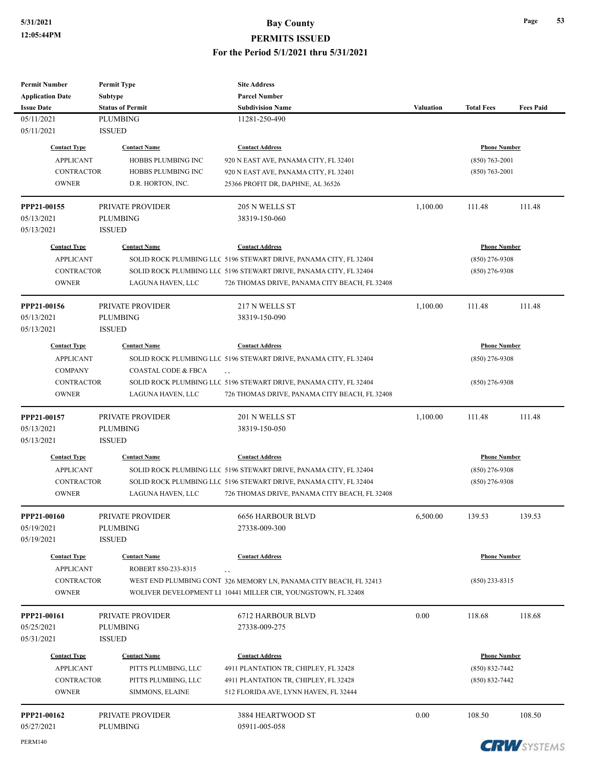| <b>Permit Number</b>    | <b>Permit Type</b>      | <b>Site Address</b>                                                                                                |           |                     |                  |
|-------------------------|-------------------------|--------------------------------------------------------------------------------------------------------------------|-----------|---------------------|------------------|
| <b>Application Date</b> | <b>Subtype</b>          | <b>Parcel Number</b>                                                                                               |           |                     |                  |
| <b>Issue Date</b>       | <b>Status of Permit</b> | <b>Subdivision Name</b>                                                                                            | Valuation | <b>Total Fees</b>   | <b>Fees Paid</b> |
| 05/11/2021              | <b>PLUMBING</b>         | 11281-250-490                                                                                                      |           |                     |                  |
| 05/11/2021              | <b>ISSUED</b>           |                                                                                                                    |           |                     |                  |
| <b>Contact Type</b>     | <b>Contact Name</b>     | <b>Contact Address</b>                                                                                             |           | <b>Phone Number</b> |                  |
| <b>APPLICANT</b>        | HOBBS PLUMBING INC      | 920 N EAST AVE, PANAMA CITY, FL 32401                                                                              |           | $(850)$ 763-2001    |                  |
| <b>CONTRACTOR</b>       | HOBBS PLUMBING INC      | 920 N EAST AVE, PANAMA CITY, FL 32401                                                                              |           | $(850) 763 - 2001$  |                  |
| <b>OWNER</b>            | D.R. HORTON, INC.       | 25366 PROFIT DR, DAPHNE, AL 36526                                                                                  |           |                     |                  |
| PPP21-00155             | PRIVATE PROVIDER        | 205 N WELLS ST                                                                                                     | 1,100.00  | 111.48              | 111.48           |
| 05/13/2021              | <b>PLUMBING</b>         | 38319-150-060                                                                                                      |           |                     |                  |
| 05/13/2021              | <b>ISSUED</b>           |                                                                                                                    |           |                     |                  |
| <b>Contact Type</b>     | <b>Contact Name</b>     | <b>Contact Address</b>                                                                                             |           | <b>Phone Number</b> |                  |
| <b>APPLICANT</b>        |                         | SOLID ROCK PLUMBING LLC 5196 STEWART DRIVE, PANAMA CITY, FL 32404                                                  |           | $(850)$ 276-9308    |                  |
| <b>CONTRACTOR</b>       |                         |                                                                                                                    |           | $(850)$ 276-9308    |                  |
| <b>OWNER</b>            | LAGUNA HAVEN, LLC       | SOLID ROCK PLUMBING LLC 5196 STEWART DRIVE, PANAMA CITY, FL 32404<br>726 THOMAS DRIVE, PANAMA CITY BEACH, FL 32408 |           |                     |                  |
|                         |                         |                                                                                                                    |           |                     |                  |
| PPP21-00156             | PRIVATE PROVIDER        | 217 N WELLS ST                                                                                                     | 1,100.00  | 111.48              | 111.48           |
| 05/13/2021              | <b>PLUMBING</b>         | 38319-150-090                                                                                                      |           |                     |                  |
| 05/13/2021              | <b>ISSUED</b>           |                                                                                                                    |           |                     |                  |
| <b>Contact Type</b>     | <b>Contact Name</b>     | <b>Contact Address</b>                                                                                             |           | <b>Phone Number</b> |                  |
| <b>APPLICANT</b>        |                         | SOLID ROCK PLUMBING LLC 5196 STEWART DRIVE, PANAMA CITY, FL 32404                                                  |           | $(850)$ 276-9308    |                  |
| <b>COMPANY</b>          | COASTAL CODE & FBCA     | $, \, ,$                                                                                                           |           |                     |                  |
| <b>CONTRACTOR</b>       |                         | SOLID ROCK PLUMBING LLC 5196 STEWART DRIVE, PANAMA CITY, FL 32404                                                  |           | $(850)$ 276-9308    |                  |
| <b>OWNER</b>            | LAGUNA HAVEN, LLC       | 726 THOMAS DRIVE, PANAMA CITY BEACH, FL 32408                                                                      |           |                     |                  |
|                         |                         |                                                                                                                    |           |                     |                  |
| PPP21-00157             | PRIVATE PROVIDER        | 201 N WELLS ST                                                                                                     | 1,100.00  | 111.48              | 111.48           |
| 05/13/2021              | PLUMBING                | 38319-150-050                                                                                                      |           |                     |                  |
| 05/13/2021              | <b>ISSUED</b>           |                                                                                                                    |           |                     |                  |
| <b>Contact Type</b>     | <b>Contact Name</b>     | <b>Contact Address</b>                                                                                             |           | <b>Phone Number</b> |                  |
| <b>APPLICANT</b>        |                         | SOLID ROCK PLUMBING LLC 5196 STEWART DRIVE, PANAMA CITY, FL 32404                                                  |           | $(850)$ 276-9308    |                  |
| <b>CONTRACTOR</b>       |                         | SOLID ROCK PLUMBING LLC 5196 STEWART DRIVE, PANAMA CITY, FL 32404                                                  |           | $(850)$ 276-9308    |                  |
| <b>OWNER</b>            | LAGUNA HAVEN, LLC       | 726 THOMAS DRIVE, PANAMA CITY BEACH, FL 32408                                                                      |           |                     |                  |
| PPP21-00160             | PRIVATE PROVIDER        | <b>6656 HARBOUR BLVD</b>                                                                                           | 6,500.00  | 139.53              | 139.53           |
| 05/19/2021              | PLUMBING                | 27338-009-300                                                                                                      |           |                     |                  |
| 05/19/2021              | <b>ISSUED</b>           |                                                                                                                    |           |                     |                  |
| <b>Contact Type</b>     | <b>Contact Name</b>     | <b>Contact Address</b>                                                                                             |           | <b>Phone Number</b> |                  |
| <b>APPLICANT</b>        | ROBERT 850-233-8315     | $, \, ,$                                                                                                           |           |                     |                  |
| <b>CONTRACTOR</b>       |                         | WEST END PLUMBING CONT 326 MEMORY LN, PANAMA CITY BEACH, FL 32413                                                  |           | $(850)$ 233-8315    |                  |
| <b>OWNER</b>            |                         | WOLIVER DEVELOPMENT LI 10441 MILLER CIR, YOUNGSTOWN, FL 32408                                                      |           |                     |                  |
|                         |                         |                                                                                                                    |           |                     |                  |
| PPP21-00161             | PRIVATE PROVIDER        | <b>6712 HARBOUR BLVD</b>                                                                                           | 0.00      | 118.68              | 118.68           |
| 05/25/2021              | PLUMBING                | 27338-009-275                                                                                                      |           |                     |                  |
| 05/31/2021              | <b>ISSUED</b>           |                                                                                                                    |           |                     |                  |
| <b>Contact Type</b>     | <b>Contact Name</b>     | <b>Contact Address</b>                                                                                             |           | <b>Phone Number</b> |                  |
| <b>APPLICANT</b>        | PITTS PLUMBING, LLC     | 4911 PLANTATION TR, CHIPLEY, FL 32428                                                                              |           | $(850) 832 - 7442$  |                  |
| <b>CONTRACTOR</b>       | PITTS PLUMBING, LLC     | 4911 PLANTATION TR, CHIPLEY, FL 32428                                                                              |           | $(850) 832 - 7442$  |                  |
| <b>OWNER</b>            | SIMMONS, ELAINE         | 512 FLORIDA AVE, LYNN HAVEN, FL 32444                                                                              |           |                     |                  |
| PPP21-00162             | PRIVATE PROVIDER        | 3884 HEARTWOOD ST                                                                                                  | 0.00      | 108.50              | 108.50           |
|                         | <b>PLUMBING</b>         | 05911-005-058                                                                                                      |           |                     |                  |
| 05/27/2021              |                         |                                                                                                                    |           |                     |                  |

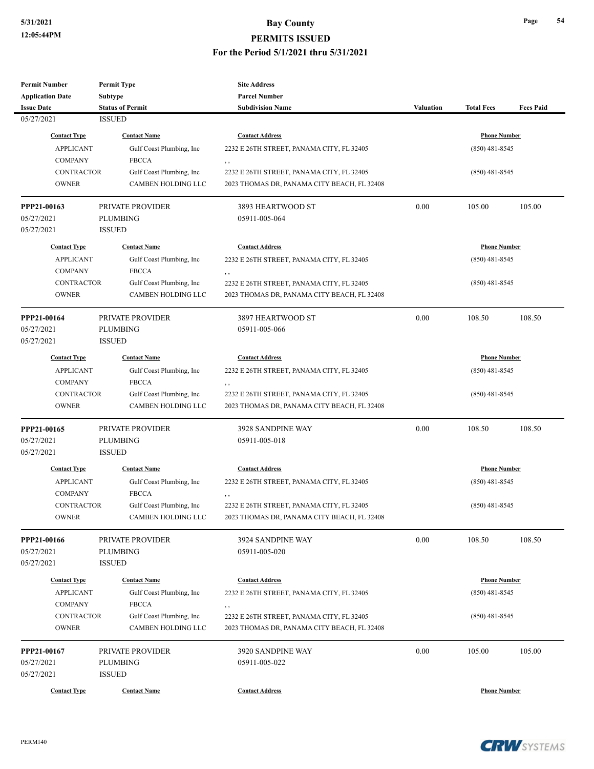| <b>Permit Number</b>    | <b>Permit Type</b>        | <b>Site Address</b>                         |                  |                     |                  |  |
|-------------------------|---------------------------|---------------------------------------------|------------------|---------------------|------------------|--|
| <b>Application Date</b> | Subtype                   | <b>Parcel Number</b>                        |                  |                     |                  |  |
| <b>Issue Date</b>       | <b>Status of Permit</b>   | <b>Subdivision Name</b>                     | <b>Valuation</b> | <b>Total Fees</b>   | <b>Fees Paid</b> |  |
| 05/27/2021              | <b>ISSUED</b>             |                                             |                  |                     |                  |  |
| <b>Contact Type</b>     | <b>Contact Name</b>       | <b>Contact Address</b>                      |                  | <b>Phone Number</b> |                  |  |
| <b>APPLICANT</b>        | Gulf Coast Plumbing, Inc  | 2232 E 26TH STREET, PANAMA CITY, FL 32405   |                  | $(850)$ 481-8545    |                  |  |
| <b>COMPANY</b>          | <b>FBCCA</b>              | , ,                                         |                  |                     |                  |  |
| <b>CONTRACTOR</b>       | Gulf Coast Plumbing, Inc  | 2232 E 26TH STREET, PANAMA CITY, FL 32405   |                  | $(850)$ 481-8545    |                  |  |
| <b>OWNER</b>            | <b>CAMBEN HOLDING LLC</b> | 2023 THOMAS DR, PANAMA CITY BEACH, FL 32408 |                  |                     |                  |  |
| PPP21-00163             | PRIVATE PROVIDER          | 3893 HEARTWOOD ST                           | 0.00             | 105.00              | 105.00           |  |
| 05/27/2021              | <b>PLUMBING</b>           | 05911-005-064                               |                  |                     |                  |  |
| 05/27/2021              | <b>ISSUED</b>             |                                             |                  |                     |                  |  |
| <b>Contact Type</b>     | <b>Contact Name</b>       | <b>Contact Address</b>                      |                  | <b>Phone Number</b> |                  |  |
| <b>APPLICANT</b>        | Gulf Coast Plumbing, Inc  | 2232 E 26TH STREET, PANAMA CITY, FL 32405   |                  | $(850)$ 481-8545    |                  |  |
| <b>COMPANY</b>          | <b>FBCCA</b>              | , ,                                         |                  |                     |                  |  |
| <b>CONTRACTOR</b>       | Gulf Coast Plumbing, Inc  | 2232 E 26TH STREET, PANAMA CITY, FL 32405   |                  | $(850)$ 481-8545    |                  |  |
| <b>OWNER</b>            | <b>CAMBEN HOLDING LLC</b> | 2023 THOMAS DR, PANAMA CITY BEACH, FL 32408 |                  |                     |                  |  |
| PPP21-00164             | PRIVATE PROVIDER          | 3897 HEARTWOOD ST                           | 0.00             | 108.50              | 108.50           |  |
| 05/27/2021              | <b>PLUMBING</b>           | 05911-005-066                               |                  |                     |                  |  |
| 05/27/2021              | <b>ISSUED</b>             |                                             |                  |                     |                  |  |
| <b>Contact Type</b>     | <b>Contact Name</b>       | <b>Contact Address</b>                      |                  | <b>Phone Number</b> |                  |  |
| <b>APPLICANT</b>        | Gulf Coast Plumbing, Inc  | 2232 E 26TH STREET, PANAMA CITY, FL 32405   |                  | $(850)$ 481-8545    |                  |  |
| <b>COMPANY</b>          | <b>FBCCA</b>              | , ,                                         |                  |                     |                  |  |
| <b>CONTRACTOR</b>       | Gulf Coast Plumbing, Inc  | 2232 E 26TH STREET, PANAMA CITY, FL 32405   |                  | $(850)$ 481-8545    |                  |  |
| <b>OWNER</b>            | CAMBEN HOLDING LLC        | 2023 THOMAS DR, PANAMA CITY BEACH, FL 32408 |                  |                     |                  |  |
| PPP21-00165             | PRIVATE PROVIDER          | 3928 SANDPINE WAY                           | 0.00             | 108.50              | 108.50           |  |
| 05/27/2021              | <b>PLUMBING</b>           | 05911-005-018                               |                  |                     |                  |  |
| 05/27/2021              | <b>ISSUED</b>             |                                             |                  |                     |                  |  |
| <b>Contact Type</b>     | <b>Contact Name</b>       | <b>Contact Address</b>                      |                  | <b>Phone Number</b> |                  |  |
| <b>APPLICANT</b>        | Gulf Coast Plumbing, Inc  | 2232 E 26TH STREET, PANAMA CITY, FL 32405   |                  | $(850)$ 481-8545    |                  |  |
| <b>COMPANY</b>          | ${\rm FBCCA}$             | , ,                                         |                  |                     |                  |  |
| <b>CONTRACTOR</b>       | Gulf Coast Plumbing, Inc. | 2232 E 26TH STREET, PANAMA CITY, FL 32405   |                  | $(850)$ 481-8545    |                  |  |
| OWNER                   | CAMBEN HOLDING LLC        | 2023 THOMAS DR, PANAMA CITY BEACH, FL 32408 |                  |                     |                  |  |
| PPP21-00166             | PRIVATE PROVIDER          | 3924 SANDPINE WAY                           | 0.00             | 108.50              | 108.50           |  |
| 05/27/2021              | <b>PLUMBING</b>           | 05911-005-020                               |                  |                     |                  |  |
| 05/27/2021              | <b>ISSUED</b>             |                                             |                  |                     |                  |  |
| <b>Contact Type</b>     | <b>Contact Name</b>       | <b>Contact Address</b>                      |                  | <b>Phone Number</b> |                  |  |
| <b>APPLICANT</b>        | Gulf Coast Plumbing, Inc  | 2232 E 26TH STREET, PANAMA CITY, FL 32405   |                  | $(850)$ 481-8545    |                  |  |
| <b>COMPANY</b>          | <b>FBCCA</b>              | , ,                                         |                  |                     |                  |  |
| <b>CONTRACTOR</b>       | Gulf Coast Plumbing, Inc  | 2232 E 26TH STREET, PANAMA CITY, FL 32405   |                  | $(850)$ 481-8545    |                  |  |
| <b>OWNER</b>            | CAMBEN HOLDING LLC        | 2023 THOMAS DR, PANAMA CITY BEACH, FL 32408 |                  |                     |                  |  |
| PPP21-00167             | PRIVATE PROVIDER          | 3920 SANDPINE WAY                           | 0.00             | 105.00              | 105.00           |  |
| 05/27/2021              | <b>PLUMBING</b>           | 05911-005-022                               |                  |                     |                  |  |
| 05/27/2021              | <b>ISSUED</b>             |                                             |                  |                     |                  |  |
| <b>Contact Type</b>     | <b>Contact Name</b>       | <b>Contact Address</b>                      |                  | <b>Phone Number</b> |                  |  |

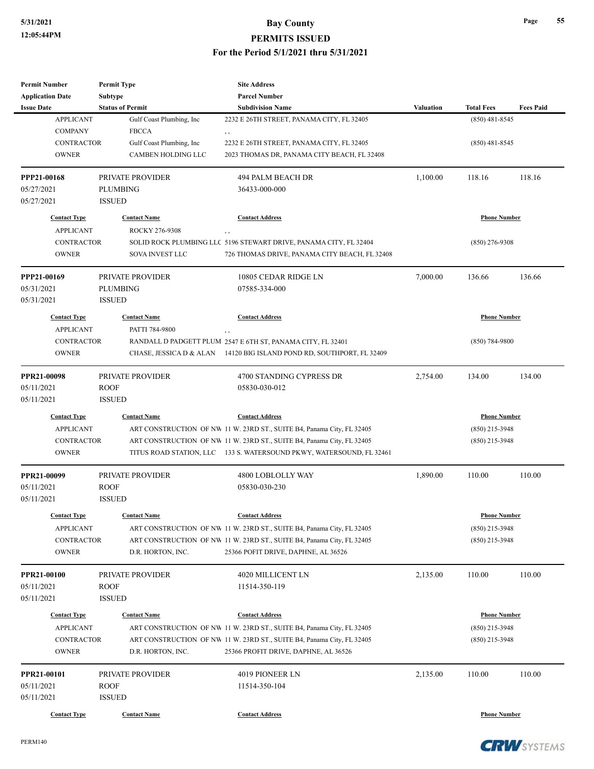| <b>Permit Number</b>                  | <b>Permit Type</b>       | <b>Site Address</b>                                                                                           |                  |                     |                  |
|---------------------------------------|--------------------------|---------------------------------------------------------------------------------------------------------------|------------------|---------------------|------------------|
| <b>Application Date</b>               | Subtype                  | <b>Parcel Number</b>                                                                                          |                  |                     |                  |
| <b>Issue Date</b>                     | <b>Status of Permit</b>  | <b>Subdivision Name</b>                                                                                       | <b>Valuation</b> | <b>Total Fees</b>   | <b>Fees Paid</b> |
| <b>APPLICANT</b>                      | Gulf Coast Plumbing, Inc | 2232 E 26TH STREET, PANAMA CITY, FL 32405                                                                     |                  | $(850)$ 481-8545    |                  |
| <b>COMPANY</b>                        | <b>FBCCA</b>             | , ,                                                                                                           |                  |                     |                  |
| <b>CONTRACTOR</b>                     | Gulf Coast Plumbing, Inc | 2232 E 26TH STREET, PANAMA CITY, FL 32405                                                                     |                  | $(850)$ 481-8545    |                  |
| <b>OWNER</b>                          | CAMBEN HOLDING LLC       | 2023 THOMAS DR, PANAMA CITY BEACH, FL 32408                                                                   |                  |                     |                  |
| PPP21-00168                           | PRIVATE PROVIDER         | 494 PALM BEACH DR                                                                                             | 1,100.00         | 118.16              | 118.16           |
| 05/27/2021                            | <b>PLUMBING</b>          | 36433-000-000                                                                                                 |                  |                     |                  |
| 05/27/2021                            | <b>ISSUED</b>            |                                                                                                               |                  |                     |                  |
| <b>Contact Type</b>                   | <b>Contact Name</b>      | <b>Contact Address</b>                                                                                        |                  | <b>Phone Number</b> |                  |
| <b>APPLICANT</b>                      | ROCKY 276-9308           | , ,                                                                                                           |                  |                     |                  |
| <b>CONTRACTOR</b>                     |                          | SOLID ROCK PLUMBING LLC 5196 STEWART DRIVE, PANAMA CITY, FL 32404                                             |                  | $(850)$ 276-9308    |                  |
| <b>OWNER</b>                          | SOVA INVEST LLC          | 726 THOMAS DRIVE, PANAMA CITY BEACH, FL 32408                                                                 |                  |                     |                  |
| PPP21-00169                           | PRIVATE PROVIDER         | 10805 CEDAR RIDGE LN                                                                                          | 7,000.00         | 136.66              | 136.66           |
| 05/31/2021                            | <b>PLUMBING</b>          | 07585-334-000                                                                                                 |                  |                     |                  |
| 05/31/2021                            | <b>ISSUED</b>            |                                                                                                               |                  |                     |                  |
| <b>Contact Type</b>                   | <b>Contact Name</b>      | <b>Contact Address</b>                                                                                        |                  | <b>Phone Number</b> |                  |
| <b>APPLICANT</b>                      | PATTI 784-9800           | ,,                                                                                                            |                  |                     |                  |
| <b>CONTRACTOR</b>                     |                          | RANDALL D PADGETT PLUM 2547 E 6TH ST, PANAMA CITY, FL 32401                                                   |                  | $(850) 784 - 9800$  |                  |
| <b>OWNER</b>                          | CHASE, JESSICA D & ALAN  | 14120 BIG ISLAND POND RD, SOUTHPORT, FL 32409                                                                 |                  |                     |                  |
| PPR21-00098                           | PRIVATE PROVIDER         |                                                                                                               |                  |                     | 134.00           |
| 05/11/2021                            | <b>ROOF</b>              | 4700 STANDING CYPRESS DR<br>05830-030-012                                                                     | 2,754.00         | 134.00              |                  |
| 05/11/2021                            | <b>ISSUED</b>            |                                                                                                               |                  |                     |                  |
| <b>Contact Type</b>                   | <b>Contact Name</b>      | <b>Contact Address</b>                                                                                        |                  | <b>Phone Number</b> |                  |
| <b>APPLICANT</b>                      |                          | ART CONSTRUCTION OF NW 11 W. 23RD ST., SUITE B4, Panama City, FL 32405                                        |                  | $(850)$ 215-3948    |                  |
| <b>CONTRACTOR</b>                     |                          | ART CONSTRUCTION OF NW 11 W. 23RD ST., SUITE B4, Panama City, FL 32405                                        |                  | $(850)$ 215-3948    |                  |
| <b>OWNER</b>                          |                          | TITUS ROAD STATION, LLC 133 S. WATERSOUND PKWY, WATERSOUND, FL 32461                                          |                  |                     |                  |
| PPR21-00099                           | PRIVATE PROVIDER         | 4800 LOBLOLLY WAY                                                                                             | 1,890.00         | 110.00              | 110.00           |
| 05/11/2021                            | <b>ROOF</b>              | 05830-030-230                                                                                                 |                  |                     |                  |
| 05/11/2021                            | <b>ISSUED</b>            |                                                                                                               |                  |                     |                  |
|                                       | <b>Contact Name</b>      | <b>Contact Address</b>                                                                                        |                  |                     |                  |
| <b>Contact Type</b>                   |                          |                                                                                                               |                  | <b>Phone Number</b> |                  |
| <b>APPLICANT</b><br><b>CONTRACTOR</b> |                          | ART CONSTRUCTION OF NW 11 W. 23RD ST., SUITE B4, Panama City, FL 32405                                        |                  | $(850)$ 215-3948    |                  |
| <b>OWNER</b>                          | D.R. HORTON, INC.        | ART CONSTRUCTION OF NW 11 W. 23RD ST., SUITE B4, Panama City, FL 32405<br>25366 POFIT DRIVE, DAPHNE, AL 36526 |                  | $(850)$ 215-3948    |                  |
|                                       |                          |                                                                                                               |                  |                     |                  |
| PPR21-00100                           | PRIVATE PROVIDER         | 4020 MILLICENT LN                                                                                             | 2,135.00         | 110.00              | 110.00           |
| 05/11/2021                            | <b>ROOF</b>              | 11514-350-119                                                                                                 |                  |                     |                  |
| 05/11/2021                            | <b>ISSUED</b>            |                                                                                                               |                  |                     |                  |
| <b>Contact Type</b>                   | <b>Contact Name</b>      | <b>Contact Address</b>                                                                                        |                  | <b>Phone Number</b> |                  |
| <b>APPLICANT</b>                      |                          | ART CONSTRUCTION OF NW 11 W. 23RD ST., SUITE B4, Panama City, FL 32405                                        |                  | $(850)$ 215-3948    |                  |
| CONTRACTOR                            |                          | ART CONSTRUCTION OF NW 11 W. 23RD ST., SUITE B4, Panama City, FL 32405                                        |                  | $(850)$ 215-3948    |                  |
| <b>OWNER</b>                          | D.R. HORTON, INC.        | 25366 PROFIT DRIVE, DAPHNE, AL 36526                                                                          |                  |                     |                  |
| PPR21-00101                           | PRIVATE PROVIDER         | 4019 PIONEER LN                                                                                               | 2,135.00         | 110.00              | 110.00           |
| 05/11/2021                            | <b>ROOF</b>              | 11514-350-104                                                                                                 |                  |                     |                  |
| 05/11/2021                            | <b>ISSUED</b>            |                                                                                                               |                  |                     |                  |
| <b>Contact Type</b>                   | <b>Contact Name</b>      | <b>Contact Address</b>                                                                                        |                  | <b>Phone Number</b> |                  |

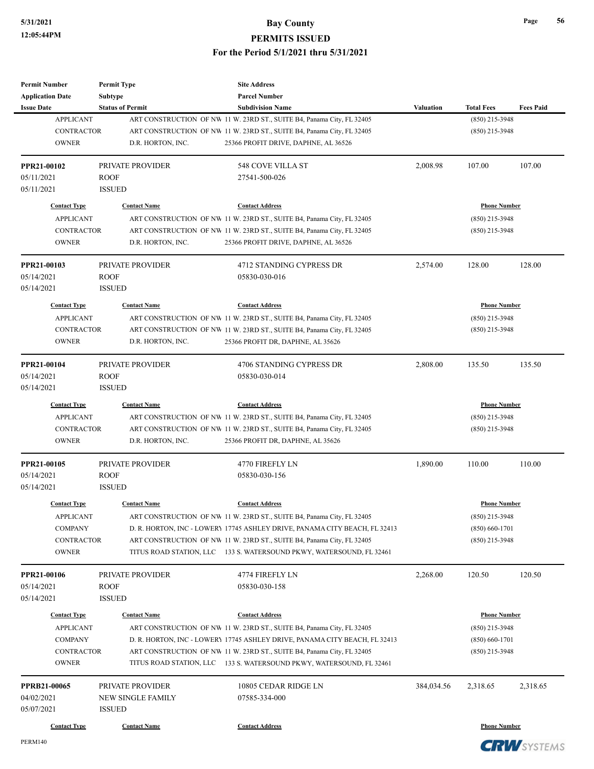| <b>Permit Number</b>    | <b>Permit Type</b>      | <b>Site Address</b>                                                        |                  |                     |                  |
|-------------------------|-------------------------|----------------------------------------------------------------------------|------------------|---------------------|------------------|
| <b>Application Date</b> | <b>Subtype</b>          | <b>Parcel Number</b>                                                       |                  |                     |                  |
| <b>Issue Date</b>       | <b>Status of Permit</b> | <b>Subdivision Name</b>                                                    | <b>Valuation</b> | <b>Total Fees</b>   | <b>Fees Paid</b> |
| <b>APPLICANT</b>        |                         | ART CONSTRUCTION OF NW 11 W. 23RD ST., SUITE B4, Panama City, FL 32405     |                  | $(850)$ 215-3948    |                  |
| <b>CONTRACTOR</b>       |                         | ART CONSTRUCTION OF NW 11 W. 23RD ST., SUITE B4, Panama City, FL 32405     |                  | (850) 215-3948      |                  |
| <b>OWNER</b>            | D.R. HORTON, INC.       | 25366 PROFIT DRIVE, DAPHNE, AL 36526                                       |                  |                     |                  |
| PPR21-00102             | PRIVATE PROVIDER        | 548 COVE VILLA ST                                                          | 2,008.98         | 107.00              | 107.00           |
| 05/11/2021              | <b>ROOF</b>             | 27541-500-026                                                              |                  |                     |                  |
| 05/11/2021              | <b>ISSUED</b>           |                                                                            |                  |                     |                  |
| <b>Contact Type</b>     | <b>Contact Name</b>     | <b>Contact Address</b>                                                     |                  | <b>Phone Number</b> |                  |
| <b>APPLICANT</b>        |                         | ART CONSTRUCTION OF NW 11 W. 23RD ST., SUITE B4, Panama City, FL 32405     |                  | $(850)$ 215-3948    |                  |
| <b>CONTRACTOR</b>       |                         | ART CONSTRUCTION OF NW 11 W. 23RD ST., SUITE B4, Panama City, FL 32405     |                  | (850) 215-3948      |                  |
| <b>OWNER</b>            | D.R. HORTON, INC.       | 25366 PROFIT DRIVE, DAPHNE, AL 36526                                       |                  |                     |                  |
| PPR21-00103             | <b>PRIVATE PROVIDER</b> | 4712 STANDING CYPRESS DR                                                   | 2,574.00         | 128.00              | 128.00           |
| 05/14/2021              | <b>ROOF</b>             | 05830-030-016                                                              |                  |                     |                  |
| 05/14/2021              | <b>ISSUED</b>           |                                                                            |                  |                     |                  |
| <b>Contact Type</b>     | <b>Contact Name</b>     | <b>Contact Address</b>                                                     |                  | <b>Phone Number</b> |                  |
| <b>APPLICANT</b>        |                         | ART CONSTRUCTION OF NW 11 W. 23RD ST., SUITE B4, Panama City, FL 32405     |                  | (850) 215-3948      |                  |
| <b>CONTRACTOR</b>       |                         | ART CONSTRUCTION OF NW 11 W. 23RD ST., SUITE B4, Panama City, FL 32405     |                  | (850) 215-3948      |                  |
| <b>OWNER</b>            | D.R. HORTON, INC.       | 25366 PROFIT DR, DAPHNE, AL 35626                                          |                  |                     |                  |
|                         |                         |                                                                            |                  |                     |                  |
| PPR21-00104             | PRIVATE PROVIDER        | 4706 STANDING CYPRESS DR                                                   | 2,808.00         | 135.50              | 135.50           |
| 05/14/2021              | <b>ROOF</b>             | 05830-030-014                                                              |                  |                     |                  |
| 05/14/2021              | <b>ISSUED</b>           |                                                                            |                  |                     |                  |
| <b>Contact Type</b>     | <b>Contact Name</b>     | <b>Contact Address</b>                                                     |                  | <b>Phone Number</b> |                  |
| <b>APPLICANT</b>        |                         | ART CONSTRUCTION OF NW 11 W. 23RD ST., SUITE B4, Panama City, FL 32405     |                  | (850) 215-3948      |                  |
| <b>CONTRACTOR</b>       |                         | ART CONSTRUCTION OF NW 11 W. 23RD ST., SUITE B4, Panama City, FL 32405     |                  | (850) 215-3948      |                  |
| <b>OWNER</b>            | D.R. HORTON, INC.       | 25366 PROFIT DR, DAPHNE, AL 35626                                          |                  |                     |                  |
| PPR21-00105             | PRIVATE PROVIDER        | 4770 FIREFLY LN                                                            | 1,890.00         | 110.00              | 110.00           |
| 05/14/2021              | <b>ROOF</b>             | 05830-030-156                                                              |                  |                     |                  |
| 05/14/2021              | <b>ISSUED</b>           |                                                                            |                  |                     |                  |
| <b>Contact Type</b>     | <b>Contact Name</b>     | <b>Contact Address</b>                                                     |                  | <b>Phone Number</b> |                  |
| <b>APPLICANT</b>        |                         | ART CONSTRUCTION OF NW 11 W. 23RD ST., SUITE B4, Panama City, FL 32405     |                  | (850) 215-3948      |                  |
| <b>COMPANY</b>          |                         | D. R. HORTON, INC - LOWERY 17745 ASHLEY DRIVE, PANAMA CITY BEACH, FL 32413 |                  | $(850) 660 - 1701$  |                  |
| <b>CONTRACTOR</b>       |                         | ART CONSTRUCTION OF NW 11 W. 23RD ST., SUITE B4, Panama City, FL 32405     |                  | $(850)$ 215-3948    |                  |
| <b>OWNER</b>            |                         | TITUS ROAD STATION, LLC 133 S. WATERSOUND PKWY, WATERSOUND, FL 32461       |                  |                     |                  |
| PPR21-00106             | PRIVATE PROVIDER        | 4774 FIREFLY LN                                                            | 2,268.00         | 120.50              | 120.50           |
| 05/14/2021              | <b>ROOF</b>             | 05830-030-158                                                              |                  |                     |                  |
| 05/14/2021              | <b>ISSUED</b>           |                                                                            |                  |                     |                  |
| <b>Contact Type</b>     | <b>Contact Name</b>     | <b>Contact Address</b>                                                     |                  | <b>Phone Number</b> |                  |
| <b>APPLICANT</b>        |                         | ART CONSTRUCTION OF NW 11 W. 23RD ST., SUITE B4, Panama City, FL 32405     |                  | (850) 215-3948      |                  |
| <b>COMPANY</b>          |                         | D. R. HORTON, INC - LOWERY 17745 ASHLEY DRIVE, PANAMA CITY BEACH, FL 32413 |                  | $(850) 660 - 1701$  |                  |
| CONTRACTOR              |                         | ART CONSTRUCTION OF NW 11 W. 23RD ST., SUITE B4, Panama City, FL 32405     |                  | $(850)$ 215-3948    |                  |
| <b>OWNER</b>            |                         | TITUS ROAD STATION, LLC 133 S. WATERSOUND PKWY, WATERSOUND, FL 32461       |                  |                     |                  |
| <b>PPRB21-00065</b>     | PRIVATE PROVIDER        | 10805 CEDAR RIDGE LN                                                       | 384,034.56       | 2,318.65            | 2,318.65         |
| 04/02/2021              | NEW SINGLE FAMILY       | 07585-334-000                                                              |                  |                     |                  |
| 05/07/2021              | <b>ISSUED</b>           |                                                                            |                  |                     |                  |
| <b>Contact Type</b>     | <b>Contact Name</b>     | <b>Contact Address</b>                                                     |                  | <b>Phone Number</b> |                  |

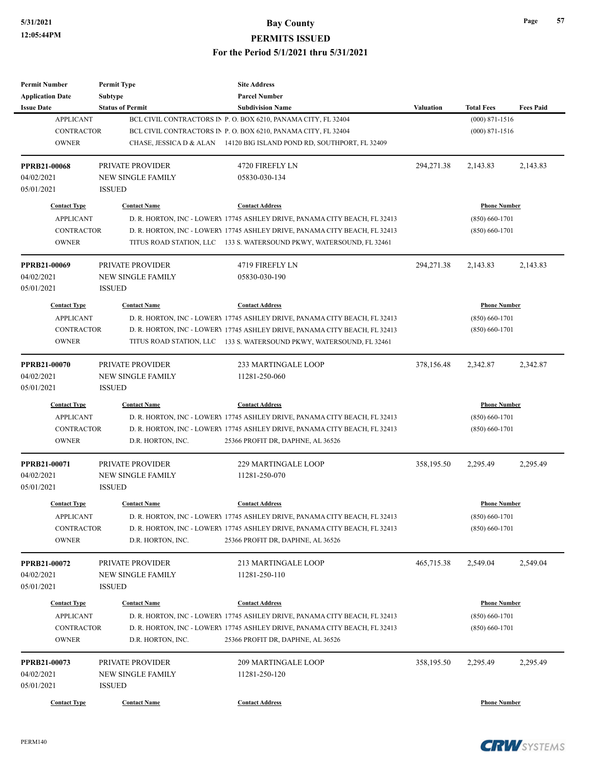### **5/31/2021 Bay County**

**PERMITS ISSUED**

**For the Period 5/1/2021 thru 5/31/2021**

| <b>Permit Number</b><br><b>Application Date</b> | <b>Permit Type</b><br><b>Subtype</b> | <b>Site Address</b><br><b>Parcel Number</b>                                |            |                     |                  |
|-------------------------------------------------|--------------------------------------|----------------------------------------------------------------------------|------------|---------------------|------------------|
| <b>Issue Date</b>                               | <b>Status of Permit</b>              | <b>Subdivision Name</b>                                                    | Valuation  | <b>Total Fees</b>   | <b>Fees Paid</b> |
| <b>APPLICANT</b>                                |                                      | BCL CIVIL CONTRACTORS IN P. O. BOX 6210, PANAMA CITY, FL 32404             |            | $(000)$ 871-1516    |                  |
| <b>CONTRACTOR</b>                               |                                      | BCL CIVIL CONTRACTORS IN P. O. BOX 6210, PANAMA CITY, FL 32404             |            | $(000)$ 871-1516    |                  |
| <b>OWNER</b>                                    |                                      | CHASE, JESSICA D & ALAN 14120 BIG ISLAND POND RD, SOUTHPORT, FL 32409      |            |                     |                  |
|                                                 |                                      |                                                                            |            |                     |                  |
| <b>PPRB21-00068</b>                             | <b>PRIVATE PROVIDER</b>              | 4720 FIREFLY LN                                                            | 294,271.38 | 2,143.83            | 2,143.83         |
| 04/02/2021                                      | <b>NEW SINGLE FAMILY</b>             | 05830-030-134                                                              |            |                     |                  |
| 05/01/2021                                      | <b>ISSUED</b>                        |                                                                            |            |                     |                  |
| <b>Contact Type</b>                             | <b>Contact Name</b>                  | <b>Contact Address</b>                                                     |            | <b>Phone Number</b> |                  |
| <b>APPLICANT</b>                                |                                      | D. R. HORTON, INC - LOWERY 17745 ASHLEY DRIVE, PANAMA CITY BEACH, FL 32413 |            | $(850) 660 - 1701$  |                  |
| <b>CONTRACTOR</b>                               |                                      | D. R. HORTON, INC - LOWERY 17745 ASHLEY DRIVE, PANAMA CITY BEACH, FL 32413 |            | $(850) 660 - 1701$  |                  |
| <b>OWNER</b>                                    |                                      | TITUS ROAD STATION, LLC 133 S. WATERSOUND PKWY, WATERSOUND, FL 32461       |            |                     |                  |
| PPRB21-00069                                    | PRIVATE PROVIDER                     | 4719 FIREFLY LN                                                            | 294,271.38 | 2,143.83            | 2,143.83         |
| 04/02/2021                                      | <b>NEW SINGLE FAMILY</b>             | 05830-030-190                                                              |            |                     |                  |
| 05/01/2021                                      | <b>ISSUED</b>                        |                                                                            |            |                     |                  |
| <b>Contact Type</b>                             | <b>Contact Name</b>                  | <b>Contact Address</b>                                                     |            | <b>Phone Number</b> |                  |
| <b>APPLICANT</b>                                |                                      | D. R. HORTON, INC - LOWERY 17745 ASHLEY DRIVE, PANAMA CITY BEACH, FL 32413 |            | $(850) 660 - 1701$  |                  |
| <b>CONTRACTOR</b>                               |                                      | D. R. HORTON, INC - LOWERY 17745 ASHLEY DRIVE, PANAMA CITY BEACH, FL 32413 |            | $(850) 660 - 1701$  |                  |
| <b>OWNER</b>                                    |                                      | TITUS ROAD STATION, LLC 133 S. WATERSOUND PKWY, WATERSOUND, FL 32461       |            |                     |                  |
|                                                 |                                      |                                                                            |            |                     |                  |
| <b>PPRB21-00070</b>                             | PRIVATE PROVIDER                     | <b>233 MARTINGALE LOOP</b>                                                 | 378,156.48 | 2,342.87            | 2,342.87         |
| 04/02/2021                                      | <b>NEW SINGLE FAMILY</b>             | 11281-250-060                                                              |            |                     |                  |
| 05/01/2021                                      | <b>ISSUED</b>                        |                                                                            |            |                     |                  |
| <b>Contact Type</b>                             | <b>Contact Name</b>                  | <b>Contact Address</b>                                                     |            | <b>Phone Number</b> |                  |
| <b>APPLICANT</b>                                |                                      | D. R. HORTON, INC - LOWERY 17745 ASHLEY DRIVE, PANAMA CITY BEACH, FL 32413 |            | $(850) 660 - 1701$  |                  |
| <b>CONTRACTOR</b>                               |                                      | D. R. HORTON, INC - LOWERY 17745 ASHLEY DRIVE, PANAMA CITY BEACH, FL 32413 |            | $(850) 660 - 1701$  |                  |
| <b>OWNER</b>                                    | D.R. HORTON, INC.                    | 25366 PROFIT DR, DAPHNE, AL 36526                                          |            |                     |                  |
| PPRB21-00071                                    | PRIVATE PROVIDER                     | <b>229 MARTINGALE LOOP</b>                                                 | 358,195.50 | 2,295.49            | 2,295.49         |
| 04/02/2021                                      | <b>NEW SINGLE FAMILY</b>             | 11281-250-070                                                              |            |                     |                  |
| 05/01/2021                                      | <b>ISSUED</b>                        |                                                                            |            |                     |                  |
| <b>Contact Type</b>                             | <b>Contact Name</b>                  | <b>Contact Address</b>                                                     |            | <b>Phone Number</b> |                  |
| APPLICANT                                       |                                      | D. R. HORTON, INC - LOWERY 17745 ASHLEY DRIVE, PANAMA CITY BEACH, FL 32413 |            | $(850) 660 - 1701$  |                  |
| CONTRACTOR                                      |                                      | D. R. HORTON, INC - LOWERY 17745 ASHLEY DRIVE, PANAMA CITY BEACH, FL 32413 |            | $(850) 660 - 1701$  |                  |
| <b>OWNER</b>                                    | D.R. HORTON, INC.                    | 25366 PROFIT DR, DAPHNE, AL 36526                                          |            |                     |                  |
| PPRB21-00072                                    | PRIVATE PROVIDER                     | 213 MARTINGALE LOOP                                                        | 465,715.38 | 2,549.04            | 2,549.04         |
| 04/02/2021                                      | NEW SINGLE FAMILY                    | 11281-250-110                                                              |            |                     |                  |
| 05/01/2021                                      | <b>ISSUED</b>                        |                                                                            |            |                     |                  |
|                                                 |                                      |                                                                            |            |                     |                  |
| <b>Contact Type</b>                             | <b>Contact Name</b>                  | <b>Contact Address</b>                                                     |            | <b>Phone Number</b> |                  |
| <b>APPLICANT</b>                                |                                      | D. R. HORTON, INC - LOWERY 17745 ASHLEY DRIVE, PANAMA CITY BEACH, FL 32413 |            | $(850) 660 - 1701$  |                  |
| <b>CONTRACTOR</b>                               |                                      | D. R. HORTON, INC - LOWERY 17745 ASHLEY DRIVE, PANAMA CITY BEACH, FL 32413 |            | $(850) 660 - 1701$  |                  |
| <b>OWNER</b>                                    | D.R. HORTON, INC.                    | 25366 PROFIT DR, DAPHNE, AL 36526                                          |            |                     |                  |
| PPRB21-00073                                    | PRIVATE PROVIDER                     | 209 MARTINGALE LOOP                                                        | 358,195.50 | 2,295.49            | 2,295.49         |
| 04/02/2021                                      | NEW SINGLE FAMILY                    | 11281-250-120                                                              |            |                     |                  |
| 05/01/2021                                      | <b>ISSUED</b>                        |                                                                            |            |                     |                  |
| <b>Contact Type</b>                             | <b>Contact Name</b>                  | <b>Contact Address</b>                                                     |            | <b>Phone Number</b> |                  |
|                                                 |                                      |                                                                            |            |                     |                  |

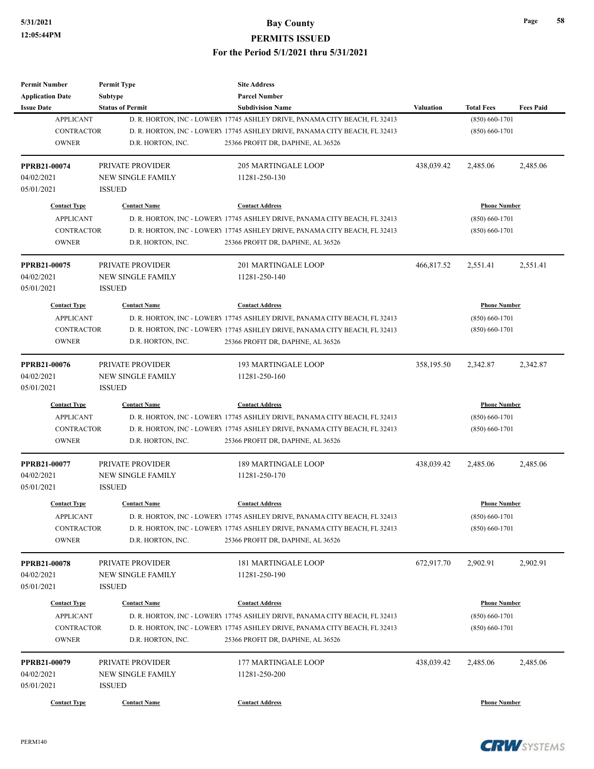| <b>Permit Number</b>                         | <b>Permit Type</b>       | <b>Site Address</b>                                                        |                     |                                         |                  |  |
|----------------------------------------------|--------------------------|----------------------------------------------------------------------------|---------------------|-----------------------------------------|------------------|--|
| <b>Application Date</b><br><b>Issue Date</b> | <b>Subtype</b>           | <b>Parcel Number</b><br><b>Subdivision Name</b>                            |                     |                                         |                  |  |
| <b>APPLICANT</b>                             | <b>Status of Permit</b>  | D. R. HORTON, INC - LOWERY 17745 ASHLEY DRIVE, PANAMA CITY BEACH, FL 32413 | Valuation           | <b>Total Fees</b><br>$(850) 660 - 1701$ | <b>Fees Paid</b> |  |
| <b>CONTRACTOR</b>                            |                          | D. R. HORTON, INC - LOWERY 17745 ASHLEY DRIVE, PANAMA CITY BEACH, FL 32413 |                     | $(850) 660 - 1701$                      |                  |  |
| <b>OWNER</b>                                 | D.R. HORTON, INC.        | 25366 PROFIT DR, DAPHNE, AL 36526                                          |                     |                                         |                  |  |
|                                              |                          |                                                                            |                     |                                         |                  |  |
| PPRB21-00074                                 | <b>PRIVATE PROVIDER</b>  | <b>205 MARTINGALE LOOP</b>                                                 | 438,039.42          | 2,485.06                                | 2,485.06         |  |
| 04/02/2021                                   | <b>NEW SINGLE FAMILY</b> | 11281-250-130                                                              |                     |                                         |                  |  |
| 05/01/2021                                   | <b>ISSUED</b>            |                                                                            |                     |                                         |                  |  |
| <b>Contact Type</b>                          | <b>Contact Name</b>      | <b>Contact Address</b>                                                     |                     | <b>Phone Number</b>                     |                  |  |
| <b>APPLICANT</b>                             |                          | D. R. HORTON, INC - LOWERY 17745 ASHLEY DRIVE, PANAMA CITY BEACH, FL 32413 |                     | $(850) 660 - 1701$                      |                  |  |
| <b>CONTRACTOR</b>                            |                          | D. R. HORTON, INC - LOWERY 17745 ASHLEY DRIVE, PANAMA CITY BEACH, FL 32413 |                     | $(850) 660 - 1701$                      |                  |  |
| <b>OWNER</b>                                 | D.R. HORTON, INC.        | 25366 PROFIT DR, DAPHNE, AL 36526                                          |                     |                                         |                  |  |
| <b>PPRB21-00075</b>                          | PRIVATE PROVIDER         | <b>201 MARTINGALE LOOP</b>                                                 | 466,817.52          | 2,551.41                                | 2,551.41         |  |
| 04/02/2021                                   | <b>NEW SINGLE FAMILY</b> | 11281-250-140                                                              |                     |                                         |                  |  |
| 05/01/2021                                   | <b>ISSUED</b>            |                                                                            |                     |                                         |                  |  |
| <b>Contact Type</b>                          | <b>Contact Name</b>      | <b>Contact Address</b>                                                     |                     | <b>Phone Number</b>                     |                  |  |
| <b>APPLICANT</b>                             |                          | D. R. HORTON, INC - LOWERY 17745 ASHLEY DRIVE, PANAMA CITY BEACH, FL 32413 |                     | $(850) 660 - 1701$                      |                  |  |
| <b>CONTRACTOR</b>                            |                          | D. R. HORTON, INC - LOWERY 17745 ASHLEY DRIVE, PANAMA CITY BEACH, FL 32413 |                     | $(850) 660 - 1701$                      |                  |  |
| <b>OWNER</b>                                 | D.R. HORTON, INC.        | 25366 PROFIT DR, DAPHNE, AL 36526                                          |                     |                                         |                  |  |
|                                              |                          |                                                                            |                     |                                         |                  |  |
| <b>PPRB21-00076</b>                          | PRIVATE PROVIDER         | 193 MARTINGALE LOOP                                                        | 358,195.50          | 2,342.87                                | 2,342.87         |  |
| 04/02/2021                                   | <b>NEW SINGLE FAMILY</b> | 11281-250-160                                                              |                     |                                         |                  |  |
| 05/01/2021                                   | <b>ISSUED</b>            |                                                                            |                     |                                         |                  |  |
| <b>Contact Type</b>                          | <b>Contact Name</b>      | <b>Contact Address</b>                                                     | <b>Phone Number</b> |                                         |                  |  |
| <b>APPLICANT</b>                             |                          | D. R. HORTON, INC - LOWERY 17745 ASHLEY DRIVE, PANAMA CITY BEACH, FL 32413 |                     | $(850) 660 - 1701$                      |                  |  |
| <b>CONTRACTOR</b>                            |                          | D. R. HORTON, INC - LOWERY 17745 ASHLEY DRIVE, PANAMA CITY BEACH, FL 32413 |                     | $(850) 660 - 1701$                      |                  |  |
| <b>OWNER</b>                                 | D.R. HORTON, INC.        | 25366 PROFIT DR, DAPHNE, AL 36526                                          |                     |                                         |                  |  |
| <b>PPRB21-00077</b>                          | PRIVATE PROVIDER         | <b>189 MARTINGALE LOOP</b>                                                 | 438,039.42          | 2,485.06                                | 2.485.06         |  |
| 04/02/2021                                   | <b>NEW SINGLE FAMILY</b> | 11281-250-170                                                              |                     |                                         |                  |  |
| 05/01/2021                                   | <b>ISSUED</b>            |                                                                            |                     |                                         |                  |  |
| <b>Contact Type</b>                          | <b>Contact Name</b>      | <b>Contact Address</b>                                                     |                     | <b>Phone Number</b>                     |                  |  |
| APPLICANT                                    |                          | D. R. HORTON, INC - LOWERY 17745 ASHLEY DRIVE, PANAMA CITY BEACH, FL 32413 |                     | $(850) 660 - 1701$                      |                  |  |
| CONTRACTOR                                   |                          | D. R. HORTON, INC - LOWERY 17745 ASHLEY DRIVE, PANAMA CITY BEACH, FL 32413 |                     | $(850) 660 - 1701$                      |                  |  |
| <b>OWNER</b>                                 | D.R. HORTON, INC.        | 25366 PROFIT DR, DAPHNE, AL 36526                                          |                     |                                         |                  |  |
| <b>PPRB21-00078</b>                          | PRIVATE PROVIDER         | 181 MARTINGALE LOOP                                                        | 672,917.70          | 2,902.91                                | 2,902.91         |  |
| 04/02/2021                                   | <b>NEW SINGLE FAMILY</b> | 11281-250-190                                                              |                     |                                         |                  |  |
| 05/01/2021                                   | <b>ISSUED</b>            |                                                                            |                     |                                         |                  |  |
|                                              |                          |                                                                            |                     |                                         |                  |  |
| <b>Contact Type</b>                          | <b>Contact Name</b>      | <b>Contact Address</b>                                                     |                     | <b>Phone Number</b>                     |                  |  |
| <b>APPLICANT</b>                             |                          | D. R. HORTON, INC - LOWERY 17745 ASHLEY DRIVE, PANAMA CITY BEACH, FL 32413 |                     | $(850) 660 - 1701$                      |                  |  |
| CONTRACTOR                                   |                          | D. R. HORTON, INC - LOWERY 17745 ASHLEY DRIVE, PANAMA CITY BEACH, FL 32413 |                     | $(850) 660 - 1701$                      |                  |  |
| <b>OWNER</b>                                 | D.R. HORTON, INC.        | 25366 PROFIT DR, DAPHNE, AL 36526                                          |                     |                                         |                  |  |
| PPRB21-00079                                 | PRIVATE PROVIDER         | 177 MARTINGALE LOOP                                                        | 438,039.42          | 2,485.06                                | 2,485.06         |  |
| 04/02/2021                                   | NEW SINGLE FAMILY        | 11281-250-200                                                              |                     |                                         |                  |  |
| 05/01/2021                                   | <b>ISSUED</b>            |                                                                            |                     |                                         |                  |  |
| <b>Contact Type</b>                          | <b>Contact Name</b>      | <b>Contact Address</b>                                                     |                     | <b>Phone Number</b>                     |                  |  |
|                                              |                          |                                                                            |                     |                                         |                  |  |

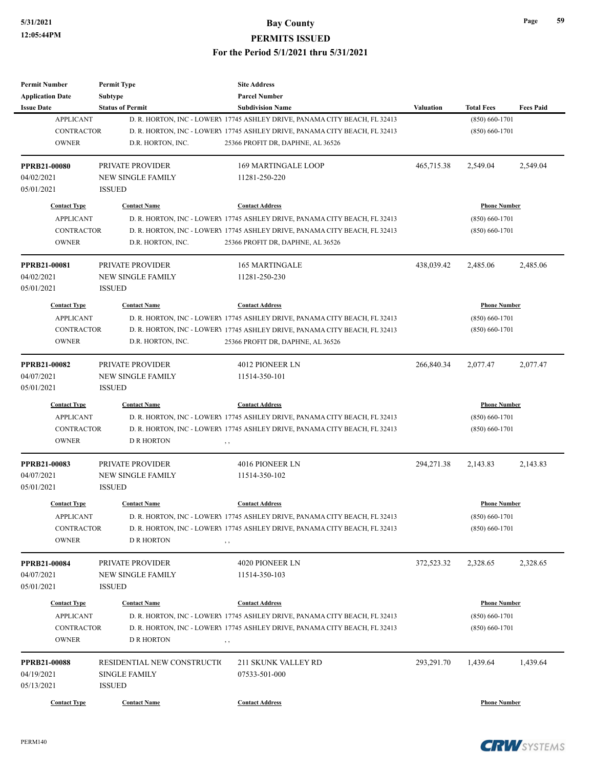| <b>Permit Number</b>    | <b>Permit Type</b>          | <b>Site Address</b>                                                        |                  |                     |                  |
|-------------------------|-----------------------------|----------------------------------------------------------------------------|------------------|---------------------|------------------|
| <b>Application Date</b> | <b>Subtype</b>              | <b>Parcel Number</b>                                                       |                  |                     |                  |
| <b>Issue Date</b>       | <b>Status of Permit</b>     | <b>Subdivision Name</b>                                                    | <b>Valuation</b> | <b>Total Fees</b>   | <b>Fees Paid</b> |
| <b>APPLICANT</b>        |                             | D. R. HORTON, INC - LOWERY 17745 ASHLEY DRIVE, PANAMA CITY BEACH, FL 32413 |                  | $(850) 660 - 1701$  |                  |
| <b>CONTRACTOR</b>       |                             | D. R. HORTON, INC - LOWERY 17745 ASHLEY DRIVE, PANAMA CITY BEACH, FL 32413 |                  | $(850) 660 - 1701$  |                  |
| <b>OWNER</b>            | D.R. HORTON, INC.           | 25366 PROFIT DR, DAPHNE, AL 36526                                          |                  |                     |                  |
| <b>PPRB21-00080</b>     | PRIVATE PROVIDER            | <b>169 MARTINGALE LOOP</b>                                                 | 465,715.38       | 2,549.04            | 2,549.04         |
| 04/02/2021              | <b>NEW SINGLE FAMILY</b>    | 11281-250-220                                                              |                  |                     |                  |
| 05/01/2021              | <b>ISSUED</b>               |                                                                            |                  |                     |                  |
| <b>Contact Type</b>     | <b>Contact Name</b>         | <b>Contact Address</b>                                                     |                  | <b>Phone Number</b> |                  |
| <b>APPLICANT</b>        |                             | D. R. HORTON, INC - LOWERY 17745 ASHLEY DRIVE, PANAMA CITY BEACH, FL 32413 |                  | $(850) 660 - 1701$  |                  |
| <b>CONTRACTOR</b>       |                             | D. R. HORTON, INC - LOWERY 17745 ASHLEY DRIVE, PANAMA CITY BEACH, FL 32413 |                  | $(850) 660 - 1701$  |                  |
| <b>OWNER</b>            | D.R. HORTON, INC.           | 25366 PROFIT DR, DAPHNE, AL 36526                                          |                  |                     |                  |
| <b>PPRB21-00081</b>     | PRIVATE PROVIDER            | <b>165 MARTINGALE</b>                                                      | 438,039.42       | 2,485.06            | 2,485.06         |
| 04/02/2021              | <b>NEW SINGLE FAMILY</b>    | 11281-250-230                                                              |                  |                     |                  |
| 05/01/2021              | <b>ISSUED</b>               |                                                                            |                  |                     |                  |
| <b>Contact Type</b>     | <b>Contact Name</b>         | <b>Contact Address</b>                                                     |                  | <b>Phone Number</b> |                  |
| <b>APPLICANT</b>        |                             | D. R. HORTON, INC - LOWERY 17745 ASHLEY DRIVE, PANAMA CITY BEACH, FL 32413 |                  | $(850) 660 - 1701$  |                  |
| <b>CONTRACTOR</b>       |                             | D. R. HORTON, INC - LOWERY 17745 ASHLEY DRIVE, PANAMA CITY BEACH, FL 32413 |                  | $(850) 660 - 1701$  |                  |
| <b>OWNER</b>            | D.R. HORTON, INC.           | 25366 PROFIT DR, DAPHNE, AL 36526                                          |                  |                     |                  |
| <b>PPRB21-00082</b>     | PRIVATE PROVIDER            | 4012 PIONEER LN                                                            | 266,840.34       | 2,077.47            | 2,077.47         |
| 04/07/2021              | <b>NEW SINGLE FAMILY</b>    | 11514-350-101                                                              |                  |                     |                  |
| 05/01/2021              | <b>ISSUED</b>               |                                                                            |                  |                     |                  |
|                         |                             |                                                                            |                  |                     |                  |
| <b>Contact Type</b>     | <b>Contact Name</b>         | <b>Contact Address</b>                                                     |                  | <b>Phone Number</b> |                  |
| <b>APPLICANT</b>        |                             | D. R. HORTON, INC - LOWERY 17745 ASHLEY DRIVE, PANAMA CITY BEACH, FL 32413 |                  | $(850) 660 - 1701$  |                  |
| <b>CONTRACTOR</b>       |                             | D. R. HORTON, INC - LOWERY 17745 ASHLEY DRIVE, PANAMA CITY BEACH, FL 32413 |                  | $(850) 660 - 1701$  |                  |
| <b>OWNER</b>            | <b>D R HORTON</b>           | , ,                                                                        |                  |                     |                  |
| <b>PPRB21-00083</b>     | PRIVATE PROVIDER            | 4016 PIONEER LN                                                            | 294,271.38       | 2,143.83            | 2,143.83         |
| 04/07/2021              | <b>NEW SINGLE FAMILY</b>    | 11514-350-102                                                              |                  |                     |                  |
| 05/01/2021              | <b>ISSUED</b>               |                                                                            |                  |                     |                  |
| <b>Contact Type</b>     | <b>Contact Name</b>         | <b>Contact Address</b>                                                     |                  | <b>Phone Number</b> |                  |
| <b>APPLICANT</b>        |                             | D. R. HORTON, INC - LOWERY 17745 ASHLEY DRIVE, PANAMA CITY BEACH, FL 32413 |                  | $(850) 660 - 1701$  |                  |
| <b>CONTRACTOR</b>       |                             | D. R. HORTON, INC - LOWERY 17745 ASHLEY DRIVE, PANAMA CITY BEACH, FL 32413 |                  | $(850) 660 - 1701$  |                  |
| <b>OWNER</b>            | <b>D R HORTON</b>           | , ,                                                                        |                  |                     |                  |
| <b>PPRB21-00084</b>     | PRIVATE PROVIDER            | 4020 PIONEER LN                                                            | 372,523.32       | 2,328.65            | 2,328.65         |
| 04/07/2021              | <b>NEW SINGLE FAMILY</b>    | 11514-350-103                                                              |                  |                     |                  |
| 05/01/2021              | <b>ISSUED</b>               |                                                                            |                  |                     |                  |
| <b>Contact Type</b>     | <b>Contact Name</b>         | <b>Contact Address</b>                                                     |                  | <b>Phone Number</b> |                  |
| <b>APPLICANT</b>        |                             | D. R. HORTON, INC - LOWERY 17745 ASHLEY DRIVE, PANAMA CITY BEACH, FL 32413 |                  | $(850) 660 - 1701$  |                  |
| <b>CONTRACTOR</b>       |                             | D. R. HORTON, INC - LOWERY 17745 ASHLEY DRIVE, PANAMA CITY BEACH, FL 32413 |                  | $(850) 660 - 1701$  |                  |
| <b>OWNER</b>            | <b>D R HORTON</b>           | $, \, , \,$                                                                |                  |                     |                  |
|                         |                             |                                                                            |                  |                     |                  |
| <b>PPRB21-00088</b>     | RESIDENTIAL NEW CONSTRUCTIO | 211 SKUNK VALLEY RD                                                        | 293,291.70       | 1,439.64            | 1,439.64         |
| 04/19/2021              | <b>SINGLE FAMILY</b>        | 07533-501-000                                                              |                  |                     |                  |
| 05/13/2021              | <b>ISSUED</b>               |                                                                            |                  |                     |                  |
| <b>Contact Type</b>     | <b>Contact Name</b>         | <b>Contact Address</b>                                                     |                  | <b>Phone Number</b> |                  |

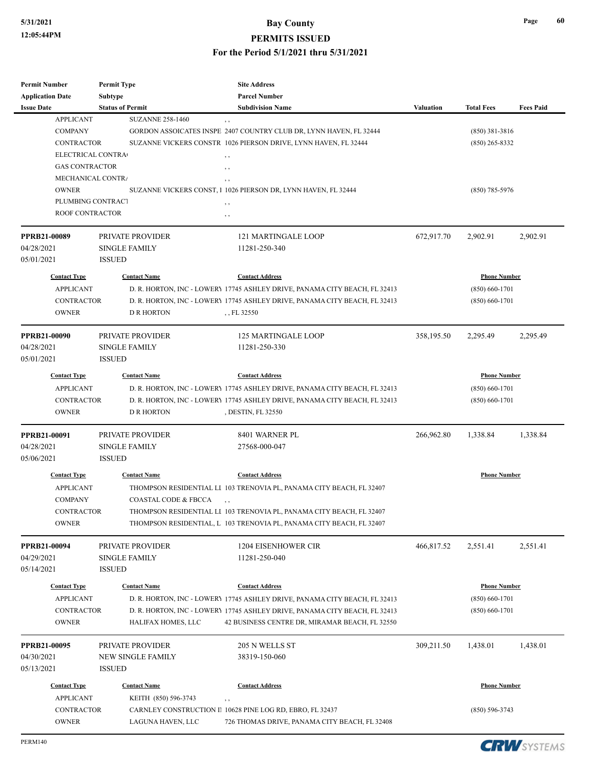| <b>Permit Number</b>     | <b>Permit Type</b>              | <b>Site Address</b>                                                        |                  |                     |                  |
|--------------------------|---------------------------------|----------------------------------------------------------------------------|------------------|---------------------|------------------|
| <b>Application Date</b>  | <b>Subtype</b>                  | <b>Parcel Number</b>                                                       |                  |                     |                  |
| <b>Issue Date</b>        | <b>Status of Permit</b>         | <b>Subdivision Name</b>                                                    | <b>Valuation</b> | <b>Total Fees</b>   | <b>Fees Paid</b> |
| <b>APPLICANT</b>         | <b>SUZANNE 258-1460</b>         | , ,                                                                        |                  |                     |                  |
| <b>COMPANY</b>           |                                 | GORDON ASSOICATES INSPE 2407 COUNTRY CLUB DR, LYNN HAVEN, FL 32444         |                  | $(850)$ 381-3816    |                  |
| <b>CONTRACTOR</b>        |                                 | SUZANNE VICKERS CONSTR 1026 PIERSON DRIVE, LYNN HAVEN, FL 32444            |                  | $(850)$ 265-8332    |                  |
| ELECTRICAL CONTRA        |                                 | , ,                                                                        |                  |                     |                  |
| <b>GAS CONTRACTOR</b>    |                                 | , ,                                                                        |                  |                     |                  |
| <b>MECHANICAL CONTRA</b> |                                 | $, \, ,$                                                                   |                  |                     |                  |
| <b>OWNER</b>             |                                 | SUZANNE VICKERS CONST, 1 1026 PIERSON DR, LYNN HAVEN, FL 32444             |                  | $(850)$ 785-5976    |                  |
| PLUMBING CONTRACT        |                                 | , ,                                                                        |                  |                     |                  |
| ROOF CONTRACTOR          |                                 | , ,                                                                        |                  |                     |                  |
| PPRB21-00089             | PRIVATE PROVIDER                | <b>121 MARTINGALE LOOP</b>                                                 | 672,917.70       | 2,902.91            | 2,902.91         |
| 04/28/2021               | <b>SINGLE FAMILY</b>            | 11281-250-340                                                              |                  |                     |                  |
| 05/01/2021               | <b>ISSUED</b>                   |                                                                            |                  |                     |                  |
|                          |                                 |                                                                            |                  |                     |                  |
| <b>Contact Type</b>      | <b>Contact Name</b>             | <b>Contact Address</b>                                                     |                  | <b>Phone Number</b> |                  |
| <b>APPLICANT</b>         |                                 | D. R. HORTON, INC - LOWERY 17745 ASHLEY DRIVE, PANAMA CITY BEACH, FL 32413 |                  | $(850) 660 - 1701$  |                  |
| <b>CONTRACTOR</b>        |                                 | D. R. HORTON, INC - LOWERY 17745 ASHLEY DRIVE, PANAMA CITY BEACH, FL 32413 |                  | $(850) 660 - 1701$  |                  |
| <b>OWNER</b>             | <b>D R HORTON</b>               | , , FL 32550                                                               |                  |                     |                  |
| <b>PPRB21-00090</b>      | PRIVATE PROVIDER                | <b>125 MARTINGALE LOOP</b>                                                 | 358,195.50       | 2,295.49            | 2,295.49         |
| 04/28/2021               | <b>SINGLE FAMILY</b>            | 11281-250-330                                                              |                  |                     |                  |
| 05/01/2021               | <b>ISSUED</b>                   |                                                                            |                  |                     |                  |
| <b>Contact Type</b>      | <b>Contact Name</b>             | <b>Contact Address</b>                                                     |                  | <b>Phone Number</b> |                  |
|                          |                                 |                                                                            |                  |                     |                  |
| <b>APPLICANT</b>         |                                 | D. R. HORTON, INC - LOWERY 17745 ASHLEY DRIVE, PANAMA CITY BEACH, FL 32413 |                  | $(850) 660 - 1701$  |                  |
| <b>CONTRACTOR</b>        |                                 | D. R. HORTON, INC - LOWERY 17745 ASHLEY DRIVE, PANAMA CITY BEACH, FL 32413 |                  | $(850) 660 - 1701$  |                  |
| <b>OWNER</b>             | <b>D R HORTON</b>               | , DESTIN, FL 32550                                                         |                  |                     |                  |
| <b>PPRB21-00091</b>      | PRIVATE PROVIDER                | 8401 WARNER PL                                                             | 266,962.80       | 1,338.84            | 1,338.84         |
| 04/28/2021               | <b>SINGLE FAMILY</b>            | 27568-000-047                                                              |                  |                     |                  |
| 05/06/2021               | <b>ISSUED</b>                   |                                                                            |                  |                     |                  |
| <b>Contact Type</b>      | <b>Contact Name</b>             | <b>Contact Address</b>                                                     |                  | <b>Phone Number</b> |                  |
| <b>APPLICANT</b>         |                                 | THOMPSON RESIDENTIAL LI 103 TRENOVIA PL, PANAMA CITY BEACH, FL 32407       |                  |                     |                  |
| <b>COMPANY</b>           | <b>COASTAL CODE &amp; FBCCA</b> |                                                                            |                  |                     |                  |
| <b>CONTRACTOR</b>        |                                 | THOMPSON RESIDENTIAL LI 103 TRENOVIA PL, PANAMA CITY BEACH, FL 32407       |                  |                     |                  |
| <b>OWNER</b>             |                                 | THOMPSON RESIDENTIAL, L 103 TRENOVIA PL, PANAMA CITY BEACH, FL 32407       |                  |                     |                  |
| PPRB21-00094             | PRIVATE PROVIDER                | 1204 EISENHOWER CIR                                                        | 466,817.52       | 2,551.41            | 2,551.41         |
| 04/29/2021               | <b>SINGLE FAMILY</b>            | 11281-250-040                                                              |                  |                     |                  |
| 05/14/2021               | <b>ISSUED</b>                   |                                                                            |                  |                     |                  |
|                          |                                 |                                                                            |                  |                     |                  |
| <b>Contact Type</b>      | <b>Contact Name</b>             | <b>Contact Address</b>                                                     |                  | <b>Phone Number</b> |                  |
| <b>APPLICANT</b>         |                                 | D. R. HORTON, INC - LOWERY 17745 ASHLEY DRIVE, PANAMA CITY BEACH, FL 32413 |                  | $(850) 660 - 1701$  |                  |
| <b>CONTRACTOR</b>        |                                 | D. R. HORTON, INC - LOWERY 17745 ASHLEY DRIVE, PANAMA CITY BEACH, FL 32413 |                  | $(850) 660 - 1701$  |                  |
| <b>OWNER</b>             | HALIFAX HOMES, LLC              | 42 BUSINESS CENTRE DR, MIRAMAR BEACH, FL 32550                             |                  |                     |                  |
| PPRB21-00095             | PRIVATE PROVIDER                | 205 N WELLS ST                                                             | 309,211.50       | 1,438.01            | 1,438.01         |
| 04/30/2021               | <b>NEW SINGLE FAMILY</b>        | 38319-150-060                                                              |                  |                     |                  |
| 05/13/2021               | <b>ISSUED</b>                   |                                                                            |                  |                     |                  |
| <b>Contact Type</b>      | <b>Contact Name</b>             | <b>Contact Address</b>                                                     |                  | <b>Phone Number</b> |                  |
| <b>APPLICANT</b>         | KEITH (850) 596-3743            | , ,                                                                        |                  |                     |                  |
| <b>CONTRACTOR</b>        |                                 | CARNLEY CONSTRUCTION II 10628 PINE LOG RD, EBRO, FL 32437                  |                  | $(850) 596 - 3743$  |                  |
| OWNER                    | LAGUNA HAVEN, LLC               | 726 THOMAS DRIVE, PANAMA CITY BEACH, FL 32408                              |                  |                     |                  |
|                          |                                 |                                                                            |                  |                     |                  |

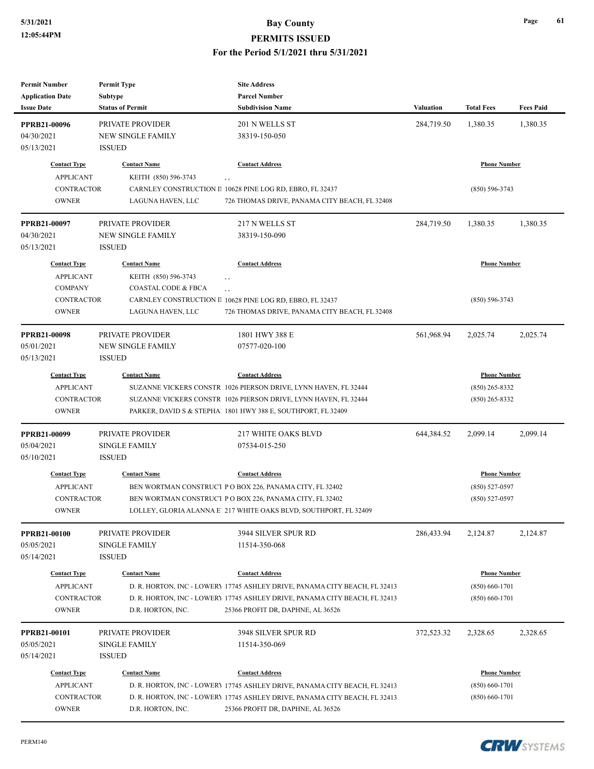| <b>Permit Number</b>              | <b>Permit Type</b>                       | <b>Site Address</b>                                                        |                  |                     |                  |
|-----------------------------------|------------------------------------------|----------------------------------------------------------------------------|------------------|---------------------|------------------|
| <b>Application Date</b>           | Subtype                                  | <b>Parcel Number</b>                                                       |                  |                     |                  |
| <b>Issue Date</b>                 | <b>Status of Permit</b>                  | <b>Subdivision Name</b>                                                    | <b>Valuation</b> | <b>Total Fees</b>   | <b>Fees Paid</b> |
| <b>PPRB21-00096</b>               | PRIVATE PROVIDER                         | 201 N WELLS ST                                                             | 284,719.50       | 1,380.35            | 1,380.35         |
| 04/30/2021                        | <b>NEW SINGLE FAMILY</b>                 | 38319-150-050                                                              |                  |                     |                  |
| 05/13/2021                        | <b>ISSUED</b>                            |                                                                            |                  |                     |                  |
|                                   |                                          |                                                                            |                  |                     |                  |
| <b>Contact Type</b>               | <b>Contact Name</b>                      | <b>Contact Address</b>                                                     |                  | <b>Phone Number</b> |                  |
| <b>APPLICANT</b>                  | KEITH (850) 596-3743                     | $, \, ,$                                                                   |                  |                     |                  |
| <b>CONTRACTOR</b>                 |                                          | CARNLEY CONSTRUCTION II 10628 PINE LOG RD, EBRO, FL 32437                  |                  | $(850) 596 - 3743$  |                  |
| <b>OWNER</b>                      | LAGUNA HAVEN, LLC                        | 726 THOMAS DRIVE, PANAMA CITY BEACH, FL 32408                              |                  |                     |                  |
| <b>PPRB21-00097</b>               | PRIVATE PROVIDER                         | 217 N WELLS ST                                                             | 284,719.50       | 1,380.35            | 1,380.35         |
| 04/30/2021                        | <b>NEW SINGLE FAMILY</b>                 | 38319-150-090                                                              |                  |                     |                  |
| 05/13/2021                        | <b>ISSUED</b>                            |                                                                            |                  |                     |                  |
| <b>Contact Type</b>               | <b>Contact Name</b>                      | <b>Contact Address</b>                                                     |                  | <b>Phone Number</b> |                  |
| <b>APPLICANT</b>                  | KEITH (850) 596-3743                     | , ,                                                                        |                  |                     |                  |
| <b>COMPANY</b>                    | COASTAL CODE & FBCA                      | $, \, ,$                                                                   |                  |                     |                  |
| <b>CONTRACTOR</b>                 |                                          | CARNLEY CONSTRUCTION II 10628 PINE LOG RD, EBRO, FL 32437                  |                  | $(850) 596 - 3743$  |                  |
| <b>OWNER</b>                      | LAGUNA HAVEN, LLC                        | 726 THOMAS DRIVE, PANAMA CITY BEACH, FL 32408                              |                  |                     |                  |
| <b>PPRB21-00098</b>               | PRIVATE PROVIDER                         | 1801 HWY 388 E                                                             | 561,968.94       | 2,025.74            | 2,025.74         |
| 05/01/2021                        | <b>NEW SINGLE FAMILY</b>                 | 07577-020-100                                                              |                  |                     |                  |
| 05/13/2021                        | <b>ISSUED</b>                            |                                                                            |                  |                     |                  |
| <b>Contact Type</b>               | <b>Contact Name</b>                      | <b>Contact Address</b>                                                     |                  | <b>Phone Number</b> |                  |
| <b>APPLICANT</b>                  |                                          | SUZANNE VICKERS CONSTR 1026 PIERSON DRIVE, LYNN HAVEN, FL 32444            |                  | $(850)$ 265-8332    |                  |
| <b>CONTRACTOR</b>                 |                                          | SUZANNE VICKERS CONSTR 1026 PIERSON DRIVE, LYNN HAVEN, FL 32444            |                  | $(850)$ 265-8332    |                  |
| <b>OWNER</b>                      |                                          | PARKER, DAVID S & STEPHA! 1801 HWY 388 E, SOUTHPORT, FL 32409              |                  |                     |                  |
|                                   |                                          |                                                                            |                  |                     |                  |
| PPRB21-00099                      | PRIVATE PROVIDER                         | 217 WHITE OAKS BLVD                                                        | 644,384.52       | 2,099.14            | 2,099.14         |
| 05/04/2021                        | <b>SINGLE FAMILY</b>                     | 07534-015-250                                                              |                  |                     |                  |
| 05/10/2021                        | <b>ISSUED</b>                            |                                                                            |                  |                     |                  |
| <b>Contact Type</b>               | <b>Contact Name</b>                      | <b>Contact Address</b>                                                     |                  | <b>Phone Number</b> |                  |
| <b>APPLICANT</b>                  |                                          | BEN WORTMAN CONSTRUCT PO BOX 226, PANAMA CITY, FL 32402                    |                  | $(850) 527 - 0597$  |                  |
| CONTRACTOR                        |                                          | BEN WORTMAN CONSTRUCT P O BOX 226, PANAMA CITY, FL 32402                   |                  | $(850)$ 527-0597    |                  |
| <b>OWNER</b>                      |                                          | LOLLEY, GLORIA ALANNA E 217 WHITE OAKS BLVD, SOUTHPORT, FL 32409           |                  |                     |                  |
| PPRB21-00100                      | PRIVATE PROVIDER                         | 3944 SILVER SPUR RD                                                        | 286,433.94       | 2,124.87            | 2,124.87         |
| 05/05/2021                        | <b>SINGLE FAMILY</b>                     | 11514-350-068                                                              |                  |                     |                  |
| 05/14/2021                        | <b>ISSUED</b>                            |                                                                            |                  |                     |                  |
| <b>Contact Type</b>               | <b>Contact Name</b>                      | <b>Contact Address</b>                                                     |                  | <b>Phone Number</b> |                  |
| <b>APPLICANT</b>                  |                                          | D. R. HORTON, INC - LOWERY 17745 ASHLEY DRIVE, PANAMA CITY BEACH, FL 32413 |                  | $(850) 660 - 1701$  |                  |
| <b>CONTRACTOR</b>                 |                                          | D. R. HORTON, INC - LOWERY 17745 ASHLEY DRIVE, PANAMA CITY BEACH, FL 32413 |                  | $(850) 660 - 1701$  |                  |
| <b>OWNER</b>                      | D.R. HORTON, INC.                        | 25366 PROFIT DR, DAPHNE, AL 36526                                          |                  |                     |                  |
|                                   |                                          |                                                                            |                  |                     |                  |
| <b>PPRB21-00101</b><br>05/05/2021 | PRIVATE PROVIDER<br><b>SINGLE FAMILY</b> | 3948 SILVER SPUR RD<br>11514-350-069                                       | 372,523.32       | 2,328.65            | 2,328.65         |
| 05/14/2021                        | <b>ISSUED</b>                            |                                                                            |                  |                     |                  |
|                                   |                                          |                                                                            |                  |                     |                  |
| <b>Contact Type</b>               | <b>Contact Name</b>                      | <b>Contact Address</b>                                                     |                  | <b>Phone Number</b> |                  |
| <b>APPLICANT</b>                  |                                          | D. R. HORTON, INC - LOWERY 17745 ASHLEY DRIVE, PANAMA CITY BEACH, FL 32413 |                  | $(850) 660 - 1701$  |                  |
| <b>CONTRACTOR</b>                 |                                          | D. R. HORTON, INC - LOWERY 17745 ASHLEY DRIVE, PANAMA CITY BEACH, FL 32413 |                  | $(850) 660 - 1701$  |                  |
| <b>OWNER</b>                      | D.R. HORTON, INC.                        | 25366 PROFIT DR, DAPHNE, AL 36526                                          |                  |                     |                  |

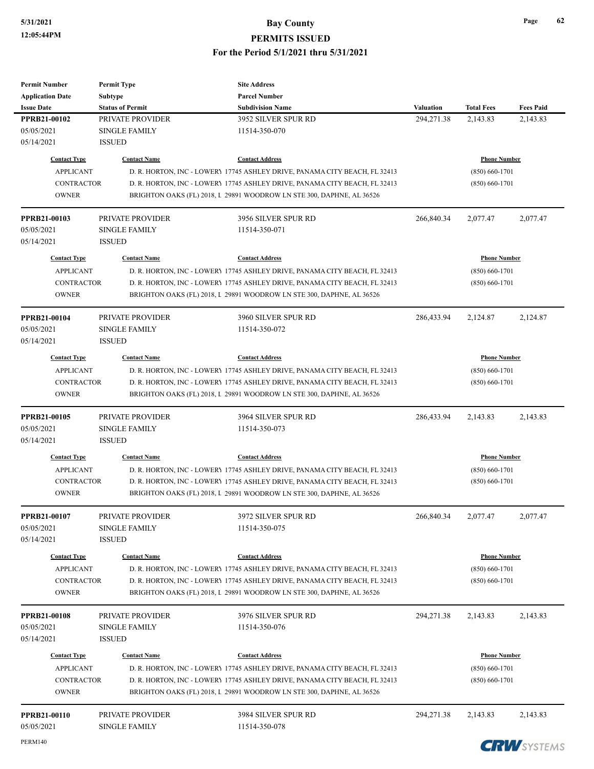### **5/31/2021 Bay County**

#### **PERMITS ISSUED**

#### **For the Period 5/1/2021 thru 5/31/2021**

| <b>Permit Number</b>              | <b>Permit Type</b>                       | <b>Site Address</b>                                                                                                                                 |            |                     |                  |
|-----------------------------------|------------------------------------------|-----------------------------------------------------------------------------------------------------------------------------------------------------|------------|---------------------|------------------|
| <b>Application Date</b>           | Subtype                                  | <b>Parcel Number</b>                                                                                                                                |            |                     |                  |
| <b>Issue Date</b>                 | <b>Status of Permit</b>                  | <b>Subdivision Name</b>                                                                                                                             | Valuation  | <b>Total Fees</b>   | <b>Fees Paid</b> |
| PPRB21-00102                      | PRIVATE PROVIDER                         | 3952 SILVER SPUR RD                                                                                                                                 | 294,271.38 | 2,143.83            | 2,143.83         |
| 05/05/2021                        | <b>SINGLE FAMILY</b>                     | 11514-350-070                                                                                                                                       |            |                     |                  |
| 05/14/2021                        | <b>ISSUED</b>                            |                                                                                                                                                     |            |                     |                  |
|                                   |                                          |                                                                                                                                                     |            |                     |                  |
| <b>Contact Type</b>               | <b>Contact Name</b>                      | <b>Contact Address</b>                                                                                                                              |            | <b>Phone Number</b> |                  |
| <b>APPLICANT</b>                  |                                          | D. R. HORTON, INC - LOWERY 17745 ASHLEY DRIVE, PANAMA CITY BEACH, FL 32413                                                                          |            | $(850) 660 - 1701$  |                  |
| <b>CONTRACTOR</b>                 |                                          | D. R. HORTON, INC - LOWERY 17745 ASHLEY DRIVE, PANAMA CITY BEACH, FL 32413                                                                          |            | $(850) 660 - 1701$  |                  |
| <b>OWNER</b>                      |                                          | BRIGHTON OAKS (FL) 2018, L 29891 WOODROW LN STE 300, DAPHNE, AL 36526                                                                               |            |                     |                  |
| PPRB21-00103                      | PRIVATE PROVIDER                         | 3956 SILVER SPUR RD                                                                                                                                 | 266,840.34 | 2,077.47            | 2,077.47         |
| 05/05/2021                        | <b>SINGLE FAMILY</b>                     | 11514-350-071                                                                                                                                       |            |                     |                  |
| 05/14/2021                        | <b>ISSUED</b>                            |                                                                                                                                                     |            |                     |                  |
| <b>Contact Type</b>               | <b>Contact Name</b>                      | <b>Contact Address</b>                                                                                                                              |            | <b>Phone Number</b> |                  |
| <b>APPLICANT</b>                  |                                          | D. R. HORTON, INC - LOWERY 17745 ASHLEY DRIVE, PANAMA CITY BEACH, FL 32413                                                                          |            | $(850) 660 - 1701$  |                  |
| <b>CONTRACTOR</b>                 |                                          | D. R. HORTON, INC - LOWERY 17745 ASHLEY DRIVE, PANAMA CITY BEACH, FL 32413                                                                          |            | $(850) 660 - 1701$  |                  |
| <b>OWNER</b>                      |                                          | BRIGHTON OAKS (FL) 2018, L 29891 WOODROW LN STE 300, DAPHNE, AL 36526                                                                               |            |                     |                  |
| PPRB21-00104                      | PRIVATE PROVIDER                         | 3960 SILVER SPUR RD                                                                                                                                 | 286,433.94 | 2,124.87            | 2,124.87         |
| 05/05/2021                        | <b>SINGLE FAMILY</b>                     | 11514-350-072                                                                                                                                       |            |                     |                  |
| 05/14/2021                        | <b>ISSUED</b>                            |                                                                                                                                                     |            |                     |                  |
|                                   |                                          |                                                                                                                                                     |            |                     |                  |
| <b>Contact Type</b>               | <b>Contact Name</b>                      | <b>Contact Address</b>                                                                                                                              |            | <b>Phone Number</b> |                  |
| <b>APPLICANT</b>                  |                                          | D. R. HORTON, INC - LOWERY 17745 ASHLEY DRIVE, PANAMA CITY BEACH, FL 32413                                                                          |            | $(850) 660 - 1701$  |                  |
| <b>CONTRACTOR</b>                 |                                          | D. R. HORTON, INC - LOWERY 17745 ASHLEY DRIVE, PANAMA CITY BEACH, FL 32413                                                                          |            | $(850) 660 - 1701$  |                  |
| <b>OWNER</b>                      |                                          | BRIGHTON OAKS (FL) 2018, L 29891 WOODROW LN STE 300, DAPHNE, AL 36526                                                                               |            |                     |                  |
|                                   |                                          |                                                                                                                                                     |            |                     |                  |
| PPRB21-00105                      | PRIVATE PROVIDER                         | 3964 SILVER SPUR RD                                                                                                                                 | 286,433.94 | 2,143.83            | 2,143.83         |
| 05/05/2021                        | <b>SINGLE FAMILY</b>                     | 11514-350-073                                                                                                                                       |            |                     |                  |
| 05/14/2021                        | <b>ISSUED</b>                            |                                                                                                                                                     |            |                     |                  |
| <b>Contact Type</b>               | <b>Contact Name</b>                      | <b>Contact Address</b>                                                                                                                              |            | <b>Phone Number</b> |                  |
| <b>APPLICANT</b>                  |                                          | D. R. HORTON, INC - LOWER) 17745 ASHLEY DRIVE, PANAMA CITY BEACH, FL 32413                                                                          |            | $(850) 660 - 1701$  |                  |
| <b>CONTRACTOR</b>                 |                                          | D. R. HORTON, INC - LOWERY 17745 ASHLEY DRIVE, PANAMA CITY BEACH, FL 32413                                                                          |            | $(850) 660 - 1701$  |                  |
| <b>OWNER</b>                      |                                          | BRIGHTON OAKS (FL) 2018, L 29891 WOODROW LN STE 300, DAPHNE, AL 36526                                                                               |            |                     |                  |
|                                   |                                          |                                                                                                                                                     |            |                     |                  |
|                                   |                                          |                                                                                                                                                     |            |                     |                  |
| PPRB21-00107                      | PRIVATE PROVIDER                         | 3972 SILVER SPUR RD                                                                                                                                 | 266,840.34 | 2,077.47            | 2,077.47         |
| 05/05/2021<br>05/14/2021          | SINGLE FAMILY                            | 11514-350-075                                                                                                                                       |            |                     |                  |
|                                   | <b>ISSUED</b>                            |                                                                                                                                                     |            |                     |                  |
| <b>Contact Type</b>               | <b>Contact Name</b>                      | <b>Contact Address</b>                                                                                                                              |            | <b>Phone Number</b> |                  |
| <b>APPLICANT</b>                  |                                          | D. R. HORTON, INC - LOWER) 17745 ASHLEY DRIVE, PANAMA CITY BEACH, FL 32413                                                                          |            | $(850) 660 - 1701$  |                  |
| <b>CONTRACTOR</b>                 |                                          | D. R. HORTON, INC - LOWERY 17745 ASHLEY DRIVE, PANAMA CITY BEACH, FL 32413                                                                          |            | $(850) 660 - 1701$  |                  |
| <b>OWNER</b>                      |                                          | BRIGHTON OAKS (FL) 2018, L 29891 WOODROW LN STE 300, DAPHNE, AL 36526                                                                               |            |                     |                  |
| <b>PPRB21-00108</b>               | PRIVATE PROVIDER                         | 3976 SILVER SPUR RD                                                                                                                                 | 294,271.38 | 2,143.83            | 2,143.83         |
| 05/05/2021                        | <b>SINGLE FAMILY</b>                     | 11514-350-076                                                                                                                                       |            |                     |                  |
| 05/14/2021                        | <b>ISSUED</b>                            |                                                                                                                                                     |            |                     |                  |
| <b>Contact Type</b>               | <b>Contact Name</b>                      | <b>Contact Address</b>                                                                                                                              |            | <b>Phone Number</b> |                  |
| <b>APPLICANT</b>                  |                                          |                                                                                                                                                     |            | $(850) 660 - 1701$  |                  |
|                                   |                                          | D. R. HORTON, INC - LOWERY 17745 ASHLEY DRIVE, PANAMA CITY BEACH, FL 32413                                                                          |            |                     |                  |
| <b>CONTRACTOR</b><br><b>OWNER</b> |                                          | D. R. HORTON, INC - LOWERY 17745 ASHLEY DRIVE, PANAMA CITY BEACH, FL 32413<br>BRIGHTON OAKS (FL) 2018, L 29891 WOODROW LN STE 300, DAPHNE, AL 36526 |            | $(850) 660 - 1701$  |                  |
|                                   |                                          |                                                                                                                                                     |            |                     |                  |
| PPRB21-00110<br>05/05/2021        | PRIVATE PROVIDER<br><b>SINGLE FAMILY</b> | 3984 SILVER SPUR RD<br>11514-350-078                                                                                                                | 294,271.38 | 2,143.83            | 2,143.83         |

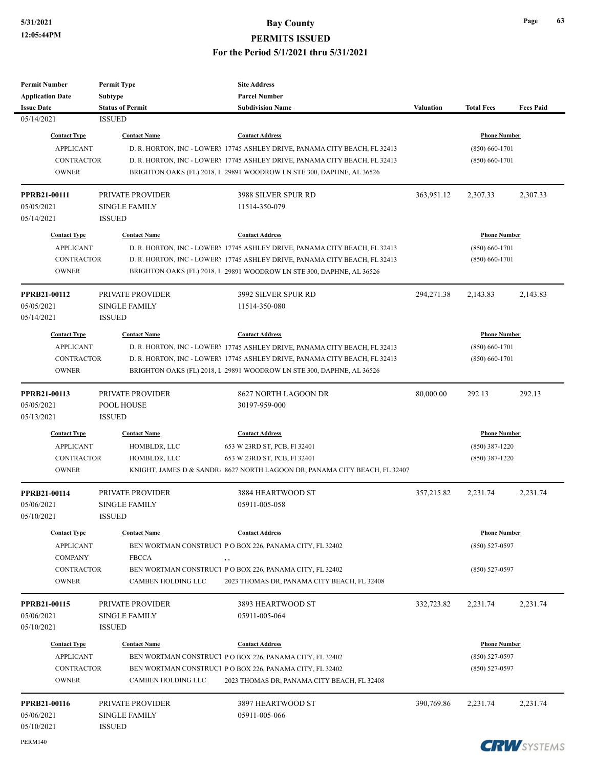| <b>Permit Number</b>    | <b>Permit Type</b>      | <b>Site Address</b>                                                        |                  |                     |                       |
|-------------------------|-------------------------|----------------------------------------------------------------------------|------------------|---------------------|-----------------------|
| <b>Application Date</b> | <b>Subtype</b>          | <b>Parcel Number</b>                                                       |                  |                     |                       |
| <b>Issue Date</b>       | <b>Status of Permit</b> | <b>Subdivision Name</b>                                                    | <b>Valuation</b> | <b>Total Fees</b>   | <b>Fees Paid</b>      |
| 05/14/2021              | <b>ISSUED</b>           |                                                                            |                  |                     |                       |
| <b>Contact Type</b>     | <b>Contact Name</b>     | <b>Contact Address</b>                                                     |                  | <b>Phone Number</b> |                       |
| <b>APPLICANT</b>        |                         | D. R. HORTON, INC - LOWERY 17745 ASHLEY DRIVE, PANAMA CITY BEACH, FL 32413 |                  | $(850) 660 - 1701$  |                       |
| <b>CONTRACTOR</b>       |                         | D. R. HORTON, INC - LOWERY 17745 ASHLEY DRIVE, PANAMA CITY BEACH, FL 32413 |                  | $(850) 660 - 1701$  |                       |
| <b>OWNER</b>            |                         | BRIGHTON OAKS (FL) 2018, L 29891 WOODROW LN STE 300, DAPHNE, AL 36526      |                  |                     |                       |
|                         |                         |                                                                            |                  |                     |                       |
| PPRB21-00111            | PRIVATE PROVIDER        | 3988 SILVER SPUR RD                                                        | 363,951.12       | 2,307.33            | 2,307.33              |
| 05/05/2021              | <b>SINGLE FAMILY</b>    | 11514-350-079                                                              |                  |                     |                       |
| 05/14/2021              | <b>ISSUED</b>           |                                                                            |                  |                     |                       |
| <b>Contact Type</b>     | <b>Contact Name</b>     | <b>Contact Address</b>                                                     |                  | <b>Phone Number</b> |                       |
| <b>APPLICANT</b>        |                         | D. R. HORTON, INC - LOWERY 17745 ASHLEY DRIVE, PANAMA CITY BEACH, FL 32413 |                  | $(850) 660 - 1701$  |                       |
| <b>CONTRACTOR</b>       |                         | D. R. HORTON, INC - LOWERY 17745 ASHLEY DRIVE, PANAMA CITY BEACH, FL 32413 |                  | $(850) 660 - 1701$  |                       |
| <b>OWNER</b>            |                         | BRIGHTON OAKS (FL) 2018, L 29891 WOODROW LN STE 300, DAPHNE, AL 36526      |                  |                     |                       |
|                         |                         |                                                                            |                  |                     |                       |
| PPRB21-00112            | PRIVATE PROVIDER        | 3992 SILVER SPUR RD                                                        | 294,271.38       | 2,143.83            | 2,143.83              |
| 05/05/2021              | <b>SINGLE FAMILY</b>    | 11514-350-080                                                              |                  |                     |                       |
| 05/14/2021              | <b>ISSUED</b>           |                                                                            |                  |                     |                       |
| <b>Contact Type</b>     | <b>Contact Name</b>     | <b>Contact Address</b>                                                     |                  | <b>Phone Number</b> |                       |
| <b>APPLICANT</b>        |                         | D. R. HORTON, INC - LOWERY 17745 ASHLEY DRIVE, PANAMA CITY BEACH, FL 32413 |                  | $(850) 660 - 1701$  |                       |
| <b>CONTRACTOR</b>       |                         | D. R. HORTON, INC - LOWERY 17745 ASHLEY DRIVE, PANAMA CITY BEACH, FL 32413 |                  | $(850) 660 - 1701$  |                       |
| <b>OWNER</b>            |                         | BRIGHTON OAKS (FL) 2018, L 29891 WOODROW LN STE 300, DAPHNE, AL 36526      |                  |                     |                       |
|                         |                         |                                                                            |                  |                     |                       |
| PPRB21-00113            | PRIVATE PROVIDER        | 8627 NORTH LAGOON DR                                                       | 80,000.00        | 292.13              | 292.13                |
| 05/05/2021              | POOL HOUSE              | 30197-959-000                                                              |                  |                     |                       |
| 05/13/2021              | <b>ISSUED</b>           |                                                                            |                  |                     |                       |
| <b>Contact Type</b>     | <b>Contact Name</b>     | <b>Contact Address</b>                                                     |                  | <b>Phone Number</b> |                       |
| <b>APPLICANT</b>        | HOMBLDR, LLC            | 653 W 23RD ST, PCB, Fl 32401                                               |                  | $(850)$ 387-1220    |                       |
| <b>CONTRACTOR</b>       | HOMBLDR, LLC            | 653 W 23RD ST, PCB, Fl 32401                                               |                  | $(850)$ 387-1220    |                       |
| <b>OWNER</b>            |                         | KNIGHT, JAMES D & SANDR/ 8627 NORTH LAGOON DR, PANAMA CITY BEACH, FL 32407 |                  |                     |                       |
|                         |                         |                                                                            |                  |                     |                       |
| PPRB21-00114            | PRIVATE PROVIDER        | 3884 HEARTWOOD ST                                                          | 357,215.82       | 2,231.74            | 2,231.74              |
| 05/06/2021              | <b>SINGLE FAMILY</b>    | 05911-005-058                                                              |                  |                     |                       |
| 05/10/2021              | <b>ISSUED</b>           |                                                                            |                  |                     |                       |
| <b>Contact Type</b>     | <b>Contact Name</b>     | <b>Contact Address</b>                                                     |                  | <b>Phone Number</b> |                       |
| <b>APPLICANT</b>        |                         | BEN WORTMAN CONSTRUCT P O BOX 226, PANAMA CITY, FL 32402                   |                  | $(850) 527 - 0597$  |                       |
| <b>COMPANY</b>          | <b>FBCCA</b>            | , ,                                                                        |                  |                     |                       |
| <b>CONTRACTOR</b>       |                         | BEN WORTMAN CONSTRUCT P O BOX 226, PANAMA CITY, FL 32402                   |                  | $(850)$ 527-0597    |                       |
| <b>OWNER</b>            | CAMBEN HOLDING LLC      | 2023 THOMAS DR, PANAMA CITY BEACH, FL 32408                                |                  |                     |                       |
|                         |                         |                                                                            |                  |                     |                       |
| PPRB21-00115            | PRIVATE PROVIDER        | 3893 HEARTWOOD ST                                                          | 332,723.82       | 2,231.74            | 2,231.74              |
| 05/06/2021              | <b>SINGLE FAMILY</b>    | 05911-005-064                                                              |                  |                     |                       |
| 05/10/2021              | <b>ISSUED</b>           |                                                                            |                  |                     |                       |
| <b>Contact Type</b>     | <b>Contact Name</b>     | <b>Contact Address</b>                                                     |                  | <b>Phone Number</b> |                       |
| <b>APPLICANT</b>        |                         | BEN WORTMAN CONSTRUCT P O BOX 226, PANAMA CITY, FL 32402                   |                  | $(850) 527 - 0597$  |                       |
| <b>CONTRACTOR</b>       |                         | BEN WORTMAN CONSTRUCT P O BOX 226, PANAMA CITY, FL 32402                   |                  | $(850)$ 527-0597    |                       |
| <b>OWNER</b>            | CAMBEN HOLDING LLC      | 2023 THOMAS DR, PANAMA CITY BEACH, FL 32408                                |                  |                     |                       |
|                         |                         |                                                                            |                  |                     |                       |
| PPRB21-00116            | PRIVATE PROVIDER        | 3897 HEARTWOOD ST                                                          | 390,769.86       | 2,231.74            | 2,231.74              |
| 05/06/2021              | <b>SINGLE FAMILY</b>    | 05911-005-066                                                              |                  |                     |                       |
| 05/10/2021              | <b>ISSUED</b>           |                                                                            |                  |                     |                       |
| PERM140                 |                         |                                                                            |                  |                     | <b>COLLA</b> AVANTULA |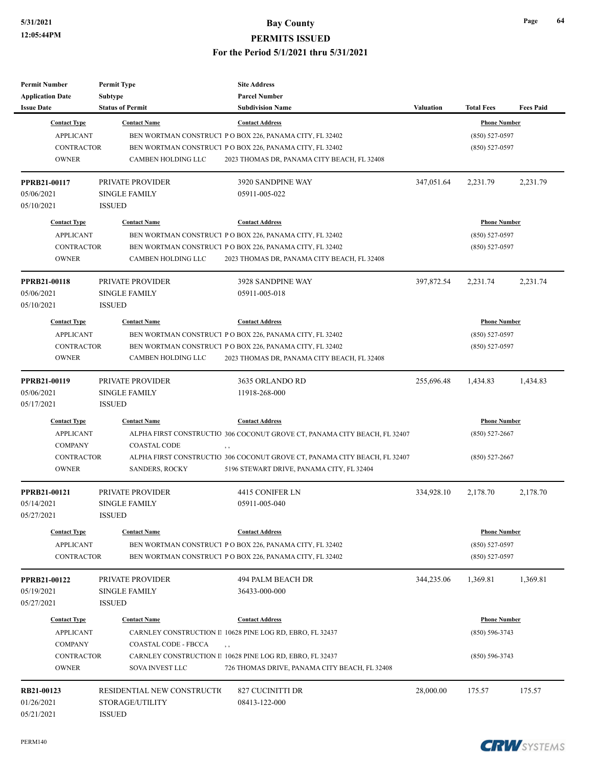| <b>Permit Number</b>    | <b>Permit Type</b>          | <b>Site Address</b>                                                       |                  |                     |                  |
|-------------------------|-----------------------------|---------------------------------------------------------------------------|------------------|---------------------|------------------|
| <b>Application Date</b> | <b>Subtype</b>              | <b>Parcel Number</b>                                                      |                  |                     |                  |
| <b>Issue Date</b>       | <b>Status of Permit</b>     | <b>Subdivision Name</b>                                                   | <b>Valuation</b> | <b>Total Fees</b>   | <b>Fees Paid</b> |
| <b>Contact Type</b>     | <b>Contact Name</b>         | <b>Contact Address</b>                                                    |                  | <b>Phone Number</b> |                  |
| <b>APPLICANT</b>        |                             | BEN WORTMAN CONSTRUCT P O BOX 226, PANAMA CITY, FL 32402                  |                  | $(850) 527 - 0597$  |                  |
| <b>CONTRACTOR</b>       |                             | BEN WORTMAN CONSTRUCT P O BOX 226, PANAMA CITY, FL 32402                  |                  | $(850)$ 527-0597    |                  |
| <b>OWNER</b>            | CAMBEN HOLDING LLC          | 2023 THOMAS DR, PANAMA CITY BEACH, FL 32408                               |                  |                     |                  |
| PPRB21-00117            | PRIVATE PROVIDER            | 3920 SANDPINE WAY                                                         | 347,051.64       | 2,231.79            | 2,231.79         |
| 05/06/2021              | <b>SINGLE FAMILY</b>        | 05911-005-022                                                             |                  |                     |                  |
| 05/10/2021              | <b>ISSUED</b>               |                                                                           |                  |                     |                  |
| <b>Contact Type</b>     | <b>Contact Name</b>         | <b>Contact Address</b>                                                    |                  | <b>Phone Number</b> |                  |
| <b>APPLICANT</b>        |                             | BEN WORTMAN CONSTRUCT PO BOX 226, PANAMA CITY, FL 32402                   |                  | $(850) 527 - 0597$  |                  |
| <b>CONTRACTOR</b>       |                             | BEN WORTMAN CONSTRUCT P O BOX 226, PANAMA CITY, FL 32402                  |                  | $(850) 527 - 0597$  |                  |
| <b>OWNER</b>            | CAMBEN HOLDING LLC          | 2023 THOMAS DR, PANAMA CITY BEACH, FL 32408                               |                  |                     |                  |
| <b>PPRB21-00118</b>     | PRIVATE PROVIDER            | 3928 SANDPINE WAY                                                         | 397,872.54       | 2,231.74            | 2,231.74         |
| 05/06/2021              | <b>SINGLE FAMILY</b>        | 05911-005-018                                                             |                  |                     |                  |
| 05/10/2021              | <b>ISSUED</b>               |                                                                           |                  |                     |                  |
| <b>Contact Type</b>     | <b>Contact Name</b>         | <b>Contact Address</b>                                                    |                  | <b>Phone Number</b> |                  |
| <b>APPLICANT</b>        |                             | BEN WORTMAN CONSTRUCT P O BOX 226, PANAMA CITY, FL 32402                  |                  | $(850) 527 - 0597$  |                  |
| <b>CONTRACTOR</b>       |                             | BEN WORTMAN CONSTRUCT PO BOX 226, PANAMA CITY, FL 32402                   |                  | $(850)$ 527-0597    |                  |
| <b>OWNER</b>            | <b>CAMBEN HOLDING LLC</b>   | 2023 THOMAS DR, PANAMA CITY BEACH, FL 32408                               |                  |                     |                  |
| PPRB21-00119            | <b>PRIVATE PROVIDER</b>     | 3635 ORLANDO RD                                                           | 255,696.48       | 1,434.83            | 1,434.83         |
| 05/06/2021              | <b>SINGLE FAMILY</b>        | 11918-268-000                                                             |                  |                     |                  |
| 05/17/2021              | <b>ISSUED</b>               |                                                                           |                  |                     |                  |
| <b>Contact Type</b>     | <b>Contact Name</b>         | <b>Contact Address</b>                                                    |                  | <b>Phone Number</b> |                  |
| <b>APPLICANT</b>        |                             | ALPHA FIRST CONSTRUCTIO 306 COCONUT GROVE CT, PANAMA CITY BEACH, FL 32407 |                  | $(850) 527 - 2667$  |                  |
| <b>COMPANY</b>          | <b>COASTAL CODE</b>         | $, \, ,$                                                                  |                  |                     |                  |
| <b>CONTRACTOR</b>       |                             | ALPHA FIRST CONSTRUCTIO 306 COCONUT GROVE CT, PANAMA CITY BEACH, FL 32407 | $(850)$ 527-2667 |                     |                  |
| <b>OWNER</b>            | <b>SANDERS, ROCKY</b>       | 5196 STEWART DRIVE, PANAMA CITY, FL 32404                                 |                  |                     |                  |
| PPRB21-00121            | PRIVATE PROVIDER            | 4415 CONIFER LN                                                           | 334,928.10       | 2,178.70            | 2,178.70         |
| 05/14/2021              | <b>SINGLE FAMILY</b>        | 05911-005-040                                                             |                  |                     |                  |
| 05/27/2021              | ISSUED                      |                                                                           |                  |                     |                  |
| <b>Contact Type</b>     | <b>Contact Name</b>         | <b>Contact Address</b>                                                    |                  | <b>Phone Number</b> |                  |
| <b>APPLICANT</b>        |                             | BEN WORTMAN CONSTRUCT P O BOX 226, PANAMA CITY, FL 32402                  |                  | $(850) 527 - 0597$  |                  |
| CONTRACTOR              |                             | BEN WORTMAN CONSTRUCT PO BOX 226, PANAMA CITY, FL 32402                   |                  | $(850) 527 - 0597$  |                  |
| PPRB21-00122            | PRIVATE PROVIDER            | 494 PALM BEACH DR                                                         | 344,235.06       | 1,369.81            | 1,369.81         |
| 05/19/2021              | <b>SINGLE FAMILY</b>        | 36433-000-000                                                             |                  |                     |                  |
| 05/27/2021              | <b>ISSUED</b>               |                                                                           |                  |                     |                  |
| <b>Contact Type</b>     | <b>Contact Name</b>         | <b>Contact Address</b>                                                    |                  | <b>Phone Number</b> |                  |
| <b>APPLICANT</b>        |                             | CARNLEY CONSTRUCTION II 10628 PINE LOG RD, EBRO, FL 32437                 |                  | $(850) 596 - 3743$  |                  |
| <b>COMPANY</b>          | COASTAL CODE - FBCCA        | $, \, ,$                                                                  |                  |                     |                  |
| CONTRACTOR              |                             | CARNLEY CONSTRUCTION II 10628 PINE LOG RD, EBRO, FL 32437                 |                  | $(850) 596 - 3743$  |                  |
| <b>OWNER</b>            | SOVA INVEST LLC             | 726 THOMAS DRIVE, PANAMA CITY BEACH, FL 32408                             |                  |                     |                  |
| RB21-00123              | RESIDENTIAL NEW CONSTRUCTIO | 827 CUCINITTI DR                                                          | 28,000.00        | 175.57              | 175.57           |
| 01/26/2021              | STORAGE/UTILITY             | 08413-122-000                                                             |                  |                     |                  |
| 05/21/2021              | <b>ISSUED</b>               |                                                                           |                  |                     |                  |

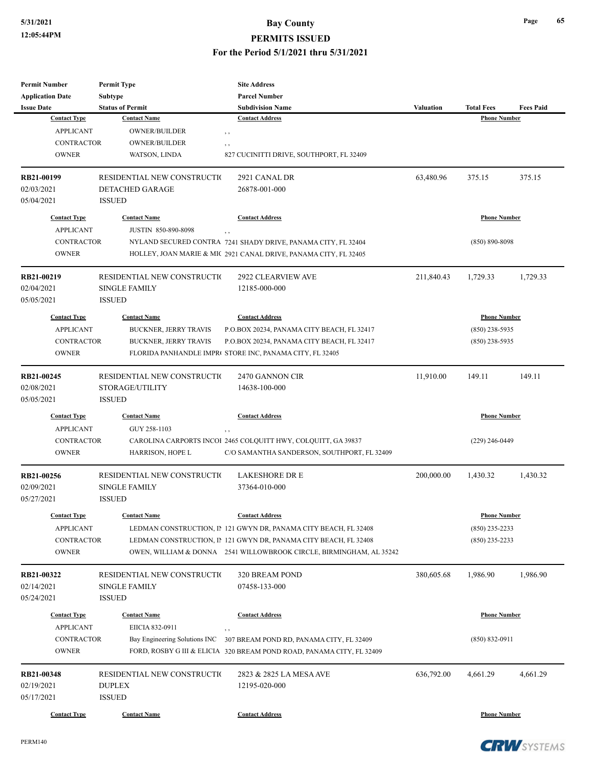| <b>Permit Number</b>    | <b>Permit Type</b>            | <b>Site Address</b>                                                   |                  |                     |                  |
|-------------------------|-------------------------------|-----------------------------------------------------------------------|------------------|---------------------|------------------|
| <b>Application Date</b> | Subtype                       | <b>Parcel Number</b>                                                  |                  |                     |                  |
| <b>Issue Date</b>       | <b>Status of Permit</b>       | <b>Subdivision Name</b>                                               | <b>Valuation</b> | <b>Total Fees</b>   | <b>Fees Paid</b> |
| <b>Contact Type</b>     | <b>Contact Name</b>           | <b>Contact Address</b>                                                |                  | <b>Phone Number</b> |                  |
| <b>APPLICANT</b>        | OWNER/BUILDER                 | , ,                                                                   |                  |                     |                  |
| <b>CONTRACTOR</b>       | OWNER/BUILDER                 | , ,                                                                   |                  |                     |                  |
| <b>OWNER</b>            | WATSON, LINDA                 | 827 CUCINITTI DRIVE, SOUTHPORT, FL 32409                              |                  |                     |                  |
| RB21-00199              | RESIDENTIAL NEW CONSTRUCTIO   | 2921 CANAL DR                                                         | 63,480.96        | 375.15              | 375.15           |
| 02/03/2021              | <b>DETACHED GARAGE</b>        | 26878-001-000                                                         |                  |                     |                  |
| 05/04/2021              | <b>ISSUED</b>                 |                                                                       |                  |                     |                  |
| <b>Contact Type</b>     | <b>Contact Name</b>           | <b>Contact Address</b>                                                |                  | <b>Phone Number</b> |                  |
| <b>APPLICANT</b>        | <b>JUSTIN 850-890-8098</b>    | , ,                                                                   |                  |                     |                  |
| <b>CONTRACTOR</b>       |                               | NYLAND SECURED CONTRA 7241 SHADY DRIVE, PANAMA CITY, FL 32404         |                  | $(850) 890 - 8098$  |                  |
| <b>OWNER</b>            |                               | HOLLEY, JOAN MARIE & MIC 2921 CANAL DRIVE, PANAMA CITY, FL 32405      |                  |                     |                  |
| RB21-00219              | RESIDENTIAL NEW CONSTRUCTIO   | 2922 CLEARVIEW AVE                                                    | 211,840.43       | 1,729.33            | 1,729.33         |
| 02/04/2021              | <b>SINGLE FAMILY</b>          | 12185-000-000                                                         |                  |                     |                  |
| 05/05/2021              | <b>ISSUED</b>                 |                                                                       |                  |                     |                  |
| <b>Contact Type</b>     | <b>Contact Name</b>           | <b>Contact Address</b>                                                |                  | <b>Phone Number</b> |                  |
| <b>APPLICANT</b>        | <b>BUCKNER, JERRY TRAVIS</b>  | P.O.BOX 20234, PANAMA CITY BEACH, FL 32417                            |                  | $(850)$ 238-5935    |                  |
| <b>CONTRACTOR</b>       | BUCKNER, JERRY TRAVIS         | P.O.BOX 20234, PANAMA CITY BEACH, FL 32417                            |                  | $(850)$ 238-5935    |                  |
| <b>OWNER</b>            |                               | FLORIDA PANHANDLE IMPR( STORE INC, PANAMA CITY, FL 32405              |                  |                     |                  |
| RB21-00245              | RESIDENTIAL NEW CONSTRUCTIO   | 2470 GANNON CIR                                                       | 11,910.00        | 149.11              | 149.11           |
| 02/08/2021              | STORAGE/UTILITY               | 14638-100-000                                                         |                  |                     |                  |
| 05/05/2021              | <b>ISSUED</b>                 |                                                                       |                  |                     |                  |
| <b>Contact Type</b>     | <b>Contact Name</b>           | <b>Contact Address</b>                                                |                  | <b>Phone Number</b> |                  |
| <b>APPLICANT</b>        | GUY 258-1103                  | , ,                                                                   |                  |                     |                  |
| <b>CONTRACTOR</b>       |                               | CAROLINA CARPORTS INCOI 2465 COLQUITT HWY, COLQUITT, GA 39837         |                  | $(229)$ 246-0449    |                  |
| <b>OWNER</b>            | HARRISON, HOPE L              | C/O SAMANTHA SANDERSON, SOUTHPORT, FL 32409                           |                  |                     |                  |
| RB21-00256              | RESIDENTIAL NEW CONSTRUCTIO   | <b>LAKESHORE DR E</b>                                                 | 200,000.00       | 1,430.32            | 1,430.32         |
| 02/09/2021              | <b>SINGLE FAMILY</b>          | 37364-010-000                                                         |                  |                     |                  |
| 05/27/2021              | <b>ISSUED</b>                 |                                                                       |                  |                     |                  |
| <b>Contact Type</b>     | <b>Contact Name</b>           | <b>Contact Address</b>                                                |                  | <b>Phone Number</b> |                  |
| <b>APPLICANT</b>        |                               | LEDMAN CONSTRUCTION, IP 121 GWYN DR, PANAMA CITY BEACH, FL 32408      |                  | $(850)$ 235-2233    |                  |
| CONTRACTOR              |                               | LEDMAN CONSTRUCTION, IP 121 GWYN DR, PANAMA CITY BEACH, FL 32408      |                  | $(850)$ 235-2233    |                  |
| <b>OWNER</b>            |                               | OWEN, WILLIAM & DONNA 2541 WILLOWBROOK CIRCLE, BIRMINGHAM, AL 35242   |                  |                     |                  |
| RB21-00322              | RESIDENTIAL NEW CONSTRUCTIO   | 320 BREAM POND                                                        | 380,605.68       | 1,986.90            | 1,986.90         |
| 02/14/2021              | <b>SINGLE FAMILY</b>          | 07458-133-000                                                         |                  |                     |                  |
| 05/24/2021              | <b>ISSUED</b>                 |                                                                       |                  |                     |                  |
| <b>Contact Type</b>     | <b>Contact Name</b>           | <b>Contact Address</b>                                                |                  | <b>Phone Number</b> |                  |
| <b>APPLICANT</b>        | EIICIA 832-0911               | , ,                                                                   |                  |                     |                  |
| CONTRACTOR              | Bay Engineering Solutions INC | 307 BREAM POND RD, PANAMA CITY, FL 32409                              |                  | $(850) 832 - 0911$  |                  |
| <b>OWNER</b>            |                               | FORD, ROSBY G III & ELICIA 320 BREAM POND ROAD, PANAMA CITY, FL 32409 |                  |                     |                  |
| RB21-00348              | RESIDENTIAL NEW CONSTRUCTIO   | 2823 & 2825 LA MESA AVE                                               | 636,792.00       | 4,661.29            | 4,661.29         |
| 02/19/2021              | <b>DUPLEX</b>                 | 12195-020-000                                                         |                  |                     |                  |
| 05/17/2021              | <b>ISSUED</b>                 |                                                                       |                  |                     |                  |
| <b>Contact Type</b>     | <b>Contact Name</b>           | <b>Contact Address</b>                                                |                  | <b>Phone Number</b> |                  |

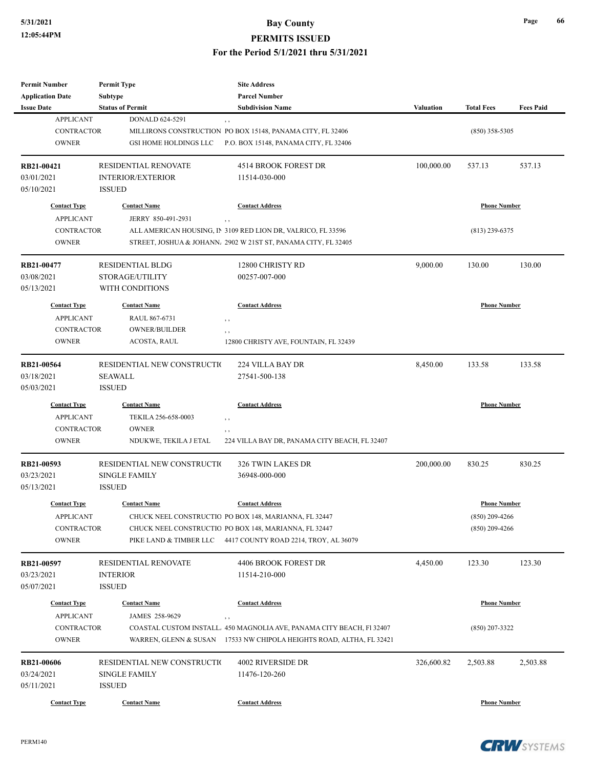| <b>Permit Number</b>                         | <b>Permit Type</b>                 | <b>Site Address</b>                                                    |                  |                     |                  |
|----------------------------------------------|------------------------------------|------------------------------------------------------------------------|------------------|---------------------|------------------|
| <b>Application Date</b><br><b>Issue Date</b> | Subtype<br><b>Status of Permit</b> | <b>Parcel Number</b><br><b>Subdivision Name</b>                        | <b>Valuation</b> | <b>Total Fees</b>   | <b>Fees Paid</b> |
| <b>APPLICANT</b>                             | DONALD 624-5291                    |                                                                        |                  |                     |                  |
| <b>CONTRACTOR</b>                            |                                    | $, \, ,$<br>MILLIRONS CONSTRUCTION PO BOX 15148, PANAMA CITY, FL 32406 |                  | $(850)$ 358-5305    |                  |
| <b>OWNER</b>                                 | <b>GSI HOME HOLDINGS LLC</b>       | P.O. BOX 15148, PANAMA CITY, FL 32406                                  |                  |                     |                  |
|                                              |                                    |                                                                        |                  |                     |                  |
| RB21-00421                                   | <b>RESIDENTIAL RENOVATE</b>        | 4514 BROOK FOREST DR                                                   | 100,000.00       | 537.13              | 537.13           |
| 03/01/2021                                   | <b>INTERIOR/EXTERIOR</b>           | 11514-030-000                                                          |                  |                     |                  |
| 05/10/2021                                   | <b>ISSUED</b>                      |                                                                        |                  |                     |                  |
|                                              |                                    |                                                                        |                  |                     |                  |
| <b>Contact Type</b>                          | <b>Contact Name</b>                | <b>Contact Address</b>                                                 |                  | <b>Phone Number</b> |                  |
| <b>APPLICANT</b>                             | JERRY 850-491-2931                 | $, \, ,$                                                               |                  |                     |                  |
| <b>CONTRACTOR</b>                            |                                    | ALL AMERICAN HOUSING, IN 3109 RED LION DR, VALRICO, FL 33596           |                  | $(813)$ 239-6375    |                  |
| <b>OWNER</b>                                 |                                    | STREET, JOSHUA & JOHANN. 2902 W 21ST ST, PANAMA CITY, FL 32405         |                  |                     |                  |
| RB21-00477                                   | <b>RESIDENTIAL BLDG</b>            | 12800 CHRISTY RD                                                       | 9,000.00         | 130.00              | 130.00           |
| 03/08/2021                                   | STORAGE/UTILITY                    | 00257-007-000                                                          |                  |                     |                  |
| 05/13/2021                                   | WITH CONDITIONS                    |                                                                        |                  |                     |                  |
|                                              |                                    |                                                                        |                  |                     |                  |
| <b>Contact Type</b>                          | <b>Contact Name</b>                | <b>Contact Address</b>                                                 |                  | <b>Phone Number</b> |                  |
| <b>APPLICANT</b>                             | RAUL 867-6731                      | $, \, , \,$                                                            |                  |                     |                  |
| <b>CONTRACTOR</b>                            | <b>OWNER/BUILDER</b>               | , ,                                                                    |                  |                     |                  |
| <b>OWNER</b>                                 | ACOSTA, RAUL                       | 12800 CHRISTY AVE, FOUNTAIN, FL 32439                                  |                  |                     |                  |
| RB21-00564                                   | RESIDENTIAL NEW CONSTRUCTIO        | 224 VILLA BAY DR                                                       | 8,450.00         | 133.58              | 133.58           |
| 03/18/2021                                   | <b>SEAWALL</b>                     | 27541-500-138                                                          |                  |                     |                  |
| 05/03/2021                                   | <b>ISSUED</b>                      |                                                                        |                  |                     |                  |
| <b>Contact Type</b>                          | <b>Contact Name</b>                | <b>Contact Address</b>                                                 |                  | <b>Phone Number</b> |                  |
| <b>APPLICANT</b>                             | TEKILA 256-658-0003                |                                                                        |                  |                     |                  |
| <b>CONTRACTOR</b>                            | <b>OWNER</b>                       | , ,                                                                    |                  |                     |                  |
| <b>OWNER</b>                                 | NDUKWE, TEKILA J ETAL              | $, \, , \,$<br>224 VILLA BAY DR, PANAMA CITY BEACH, FL 32407           |                  |                     |                  |
|                                              |                                    |                                                                        |                  |                     |                  |
| RB21-00593                                   | RESIDENTIAL NEW CONSTRUCTIO        | 326 TWIN LAKES DR                                                      | 200,000.00       | 830.25              | 830.25           |
| 03/23/2021                                   | <b>SINGLE FAMILY</b>               | 36948-000-000                                                          |                  |                     |                  |
| 05/13/2021                                   | <b>ISSUED</b>                      |                                                                        |                  |                     |                  |
| <b>Contact Type</b>                          | <b>Contact Name</b>                | <b>Contact Address</b>                                                 |                  | <b>Phone Number</b> |                  |
|                                              |                                    |                                                                        |                  |                     |                  |
| <b>APPLICANT</b>                             |                                    | CHUCK NEEL CONSTRUCTIO PO BOX 148, MARIANNA, FL 32447                  |                  | $(850)$ 209-4266    |                  |
| <b>CONTRACTOR</b>                            |                                    | CHUCK NEEL CONSTRUCTIO PO BOX 148, MARIANNA, FL 32447                  |                  | $(850)$ 209-4266    |                  |
| <b>OWNER</b>                                 | PIKE LAND & TIMBER LLC             | 4417 COUNTY ROAD 2214, TROY, AL 36079                                  |                  |                     |                  |
| RB21-00597                                   | <b>RESIDENTIAL RENOVATE</b>        | 4406 BROOK FOREST DR                                                   | 4,450.00         | 123.30              | 123.30           |
| 03/23/2021                                   | <b>INTERIOR</b>                    | 11514-210-000                                                          |                  |                     |                  |
| 05/07/2021                                   | <b>ISSUED</b>                      |                                                                        |                  |                     |                  |
| <b>Contact Type</b>                          | <b>Contact Name</b>                | <b>Contact Address</b>                                                 |                  | <b>Phone Number</b> |                  |
|                                              |                                    |                                                                        |                  |                     |                  |
| <b>APPLICANT</b>                             | JAMES 258-9629                     | , ,                                                                    |                  |                     |                  |
| CONTRACTOR                                   |                                    | COASTAL CUSTOM INSTALL. 450 MAGNOLIA AVE, PANAMA CITY BEACH, F1 32407  |                  | $(850)$ 207-3322    |                  |
| <b>OWNER</b>                                 |                                    | WARREN, GLENN & SUSAN 17533 NW CHIPOLA HEIGHTS ROAD, ALTHA, FL 32421   |                  |                     |                  |
| RB21-00606                                   | RESIDENTIAL NEW CONSTRUCTIO        | 4002 RIVERSIDE DR                                                      | 326,600.82       | 2,503.88            | 2,503.88         |
| 03/24/2021                                   | <b>SINGLE FAMILY</b>               | 11476-120-260                                                          |                  |                     |                  |
| 05/11/2021                                   | <b>ISSUED</b>                      |                                                                        |                  |                     |                  |
|                                              |                                    |                                                                        |                  |                     |                  |
| <b>Contact Type</b>                          | <b>Contact Name</b>                | <b>Contact Address</b>                                                 |                  | <b>Phone Number</b> |                  |

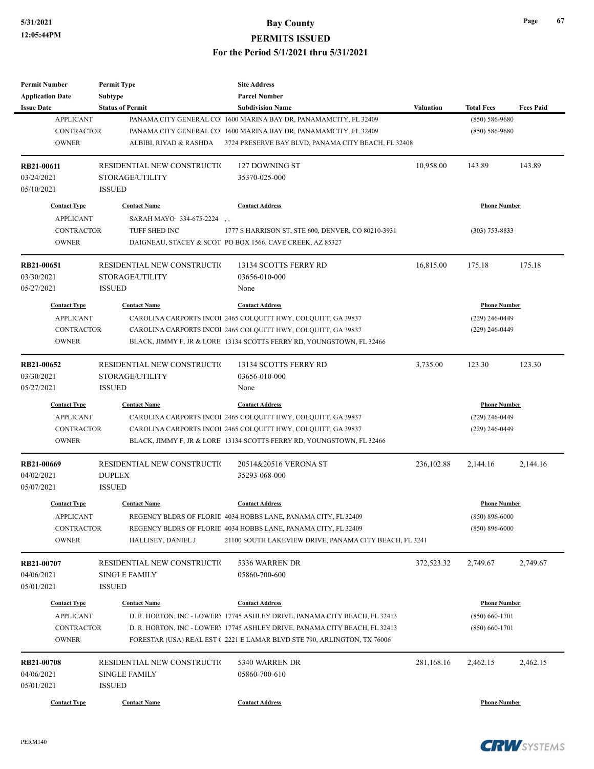## **5/31/2021 Bay County**

**PERMITS ISSUED**

**For the Period 5/1/2021 thru 5/31/2021**

| <b>Permit Number</b>              | <b>Permit Type</b>          | <b>Site Address</b>                                                                                                                                   |                     |                     |                  |
|-----------------------------------|-----------------------------|-------------------------------------------------------------------------------------------------------------------------------------------------------|---------------------|---------------------|------------------|
| <b>Application Date</b>           | Subtype                     | <b>Parcel Number</b>                                                                                                                                  |                     |                     |                  |
| <b>Issue Date</b>                 | <b>Status of Permit</b>     | <b>Subdivision Name</b>                                                                                                                               | <b>Valuation</b>    | <b>Total Fees</b>   | <b>Fees Paid</b> |
| <b>APPLICANT</b>                  |                             | PANAMA CITY GENERAL CO 1600 MARINA BAY DR, PANAMAMCITY, FL 32409                                                                                      |                     | $(850) 586 - 9680$  |                  |
| <b>CONTRACTOR</b>                 |                             | PANAMA CITY GENERAL CO 1600 MARINA BAY DR, PANAMAMCITY, FL 32409                                                                                      |                     | $(850) 586 - 9680$  |                  |
| <b>OWNER</b>                      | ALBIBI, RIYAD & RASHDA      | 3724 PRESERVE BAY BLVD, PANAMA CITY BEACH, FL 32408                                                                                                   |                     |                     |                  |
| RB21-00611                        | RESIDENTIAL NEW CONSTRUCTIO | 127 DOWNING ST                                                                                                                                        | 10,958.00           | 143.89              | 143.89           |
| 03/24/2021                        | STORAGE/UTILITY             | 35370-025-000                                                                                                                                         |                     |                     |                  |
| 05/10/2021                        | <b>ISSUED</b>               |                                                                                                                                                       |                     |                     |                  |
| <b>Contact Type</b>               | <b>Contact Name</b>         | <b>Contact Address</b>                                                                                                                                |                     | <b>Phone Number</b> |                  |
| <b>APPLICANT</b>                  | SARAH MAYO 334-675-2224     | , ,                                                                                                                                                   |                     |                     |                  |
| <b>CONTRACTOR</b>                 | TUFF SHED INC               | 1777 S HARRISON ST, STE 600, DENVER, CO 80210-3931                                                                                                    |                     | $(303)$ 753-8833    |                  |
| <b>OWNER</b>                      |                             | DAIGNEAU, STACEY & SCOT PO BOX 1566, CAVE CREEK, AZ 85327                                                                                             |                     |                     |                  |
| RB21-00651                        | RESIDENTIAL NEW CONSTRUCTIO | 13134 SCOTTS FERRY RD                                                                                                                                 | 16,815.00           | 175.18              | 175.18           |
| 03/30/2021                        | STORAGE/UTILITY             | 03656-010-000                                                                                                                                         |                     |                     |                  |
| 05/27/2021                        | <b>ISSUED</b>               | None                                                                                                                                                  |                     |                     |                  |
| <b>Contact Type</b>               | <b>Contact Name</b>         | <b>Contact Address</b>                                                                                                                                |                     | <b>Phone Number</b> |                  |
| <b>APPLICANT</b>                  |                             | CAROLINA CARPORTS INCOI 2465 COLQUITT HWY, COLQUITT, GA 39837                                                                                         |                     | $(229)$ 246-0449    |                  |
| <b>CONTRACTOR</b>                 |                             | CAROLINA CARPORTS INCOI 2465 COLQUITT HWY, COLQUITT, GA 39837                                                                                         |                     | $(229)$ 246-0449    |                  |
| <b>OWNER</b>                      |                             | BLACK, JIMMY F, JR & LORE' 13134 SCOTTS FERRY RD, YOUNGSTOWN, FL 32466                                                                                |                     |                     |                  |
|                                   |                             |                                                                                                                                                       |                     |                     |                  |
| RB21-00652                        | RESIDENTIAL NEW CONSTRUCTIO | 13134 SCOTTS FERRY RD                                                                                                                                 | 3,735.00            | 123.30              | 123.30           |
| 03/30/2021                        | STORAGE/UTILITY             | 03656-010-000                                                                                                                                         |                     |                     |                  |
| 05/27/2021                        | <b>ISSUED</b>               | None                                                                                                                                                  |                     |                     |                  |
| <b>Contact Type</b>               | <b>Contact Name</b>         | <b>Contact Address</b>                                                                                                                                | <b>Phone Number</b> |                     |                  |
| <b>APPLICANT</b>                  |                             | CAROLINA CARPORTS INCOI 2465 COLQUITT HWY, COLQUITT, GA 39837                                                                                         |                     | $(229)$ 246-0449    |                  |
| <b>CONTRACTOR</b>                 |                             | CAROLINA CARPORTS INCOI 2465 COLQUITT HWY, COLQUITT, GA 39837                                                                                         |                     | $(229)$ 246-0449    |                  |
| <b>OWNER</b>                      |                             | BLACK, JIMMY F, JR & LORE 13134 SCOTTS FERRY RD, YOUNGSTOWN, FL 32466                                                                                 |                     |                     |                  |
| RB21-00669                        | RESIDENTIAL NEW CONSTRUCTIO | 20514&20516 VERONA ST                                                                                                                                 | 236,102.88          | 2,144.16            | 2,144.16         |
| 04/02/2021                        | <b>DUPLEX</b>               | 35293-068-000                                                                                                                                         |                     |                     |                  |
| 05/07/2021                        | <b>ISSUED</b>               |                                                                                                                                                       |                     |                     |                  |
| <b>Contact Type</b>               | <b>Contact Name</b>         | <b>Contact Address</b>                                                                                                                                |                     | <b>Phone Number</b> |                  |
| <b>APPLICANT</b>                  |                             | REGENCY BLDRS OF FLORID 4034 HOBBS LANE, PANAMA CITY, FL 32409                                                                                        |                     | $(850) 896 - 6000$  |                  |
| <b>CONTRACTOR</b>                 |                             | REGENCY BLDRS OF FLORID 4034 HOBBS LANE, PANAMA CITY, FL 32409                                                                                        |                     | $(850) 896 - 6000$  |                  |
| <b>OWNER</b>                      | HALLISEY, DANIEL J          | 21100 SOUTH LAKEVIEW DRIVE, PANAMA CITY BEACH, FL 3241                                                                                                |                     |                     |                  |
| RB21-00707                        | RESIDENTIAL NEW CONSTRUCTIO | 5336 WARREN DR                                                                                                                                        | 372,523.32          | 2,749.67            | 2,749.67         |
| 04/06/2021                        | <b>SINGLE FAMILY</b>        | 05860-700-600                                                                                                                                         |                     |                     |                  |
| 05/01/2021                        | <b>ISSUED</b>               |                                                                                                                                                       |                     |                     |                  |
| <b>Contact Type</b>               | <b>Contact Name</b>         | <b>Contact Address</b>                                                                                                                                |                     | <b>Phone Number</b> |                  |
| <b>APPLICANT</b>                  |                             | D. R. HORTON, INC - LOWERY 17745 ASHLEY DRIVE, PANAMA CITY BEACH, FL 32413                                                                            |                     | $(850) 660 - 1701$  |                  |
|                                   |                             |                                                                                                                                                       |                     |                     |                  |
| <b>CONTRACTOR</b><br><b>OWNER</b> |                             | D. R. HORTON, INC - LOWERY 17745 ASHLEY DRIVE, PANAMA CITY BEACH, FL 32413<br>FORESTAR (USA) REAL EST (2221 E LAMAR BLVD STE 790, ARLINGTON, TX 76006 |                     | $(850) 660 - 1701$  |                  |
|                                   |                             |                                                                                                                                                       |                     |                     |                  |
| RB21-00708                        | RESIDENTIAL NEW CONSTRUCTIO | 5340 WARREN DR                                                                                                                                        | 281,168.16          | 2,462.15            | 2,462.15         |
| 04/06/2021                        | <b>SINGLE FAMILY</b>        | 05860-700-610                                                                                                                                         |                     |                     |                  |
| 05/01/2021                        | <b>ISSUED</b>               |                                                                                                                                                       |                     |                     |                  |
| <b>Contact Type</b>               | <b>Contact Name</b>         | <b>Contact Address</b>                                                                                                                                |                     | <b>Phone Number</b> |                  |



**Page 67**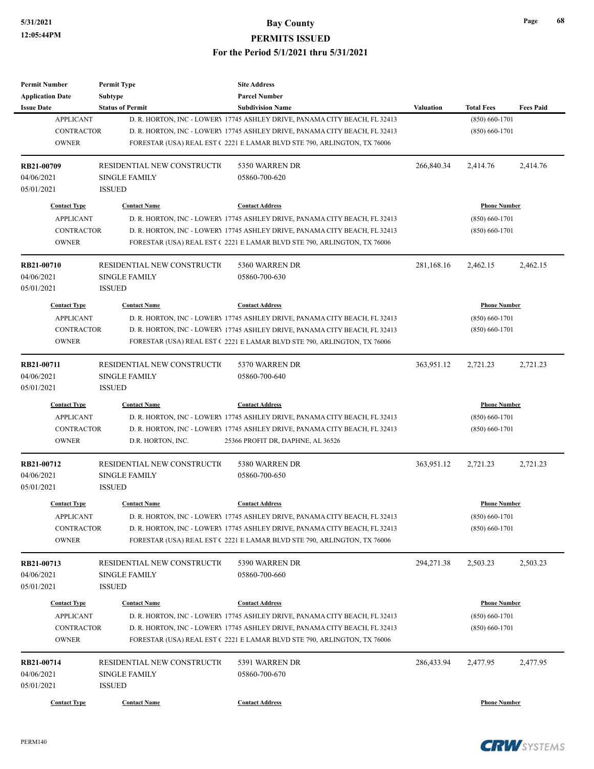| <b>Permit Number</b>       | <b>Permit Type</b>          | <b>Site Address</b>                                                                                                                                   |                  |                     |                  |
|----------------------------|-----------------------------|-------------------------------------------------------------------------------------------------------------------------------------------------------|------------------|---------------------|------------------|
| <b>Application Date</b>    | Subtype                     | <b>Parcel Number</b>                                                                                                                                  |                  |                     |                  |
| <b>Issue Date</b>          | <b>Status of Permit</b>     | <b>Subdivision Name</b>                                                                                                                               | <b>Valuation</b> | <b>Total Fees</b>   | <b>Fees Paid</b> |
| <b>APPLICANT</b>           |                             | D. R. HORTON, INC - LOWERY 17745 ASHLEY DRIVE, PANAMA CITY BEACH, FL 32413                                                                            |                  | $(850) 660 - 1701$  |                  |
| <b>CONTRACTOR</b>          |                             | D. R. HORTON, INC - LOWERY 17745 ASHLEY DRIVE, PANAMA CITY BEACH, FL 32413                                                                            |                  | $(850) 660 - 1701$  |                  |
| <b>OWNER</b>               |                             | FORESTAR (USA) REAL EST (2221 E LAMAR BLVD STE 790, ARLINGTON, TX 76006                                                                               |                  |                     |                  |
| RB21-00709                 | RESIDENTIAL NEW CONSTRUCTIO | 5350 WARREN DR                                                                                                                                        | 266,840.34       | 2,414.76            | 2,414.76         |
| 04/06/2021                 | <b>SINGLE FAMILY</b>        | 05860-700-620                                                                                                                                         |                  |                     |                  |
| 05/01/2021                 | <b>ISSUED</b>               |                                                                                                                                                       |                  |                     |                  |
| <b>Contact Type</b>        | <b>Contact Name</b>         | <b>Contact Address</b>                                                                                                                                |                  | <b>Phone Number</b> |                  |
| <b>APPLICANT</b>           |                             | D. R. HORTON, INC - LOWER 17745 ASHLEY DRIVE, PANAMA CITY BEACH, FL 32413                                                                             |                  | $(850) 660 - 1701$  |                  |
| <b>CONTRACTOR</b>          |                             | D. R. HORTON, INC - LOWERY 17745 ASHLEY DRIVE, PANAMA CITY BEACH, FL 32413                                                                            |                  | $(850) 660 - 1701$  |                  |
| <b>OWNER</b>               |                             | FORESTAR (USA) REAL EST (2221 E LAMAR BLVD STE 790, ARLINGTON, TX 76006                                                                               |                  |                     |                  |
| RB21-00710                 | RESIDENTIAL NEW CONSTRUCTIO | 5360 WARREN DR                                                                                                                                        | 281,168.16       | 2,462.15            | 2,462.15         |
| 04/06/2021                 | <b>SINGLE FAMILY</b>        | 05860-700-630                                                                                                                                         |                  |                     |                  |
| 05/01/2021                 | <b>ISSUED</b>               |                                                                                                                                                       |                  |                     |                  |
| <b>Contact Type</b>        | <b>Contact Name</b>         | <b>Contact Address</b>                                                                                                                                |                  | <b>Phone Number</b> |                  |
| <b>APPLICANT</b>           |                             | D. R. HORTON, INC - LOWERY 17745 ASHLEY DRIVE, PANAMA CITY BEACH, FL 32413                                                                            |                  | $(850) 660 - 1701$  |                  |
| <b>CONTRACTOR</b>          |                             | D. R. HORTON, INC - LOWERY 17745 ASHLEY DRIVE, PANAMA CITY BEACH, FL 32413                                                                            |                  | $(850) 660 - 1701$  |                  |
| <b>OWNER</b>               |                             | FORESTAR (USA) REAL EST (2221 E LAMAR BLVD STE 790, ARLINGTON, TX 76006                                                                               |                  |                     |                  |
| RB21-00711                 | RESIDENTIAL NEW CONSTRUCTIO | 5370 WARREN DR                                                                                                                                        | 363,951.12       | 2,721.23            | 2,721.23         |
| 04/06/2021                 | <b>SINGLE FAMILY</b>        | 05860-700-640                                                                                                                                         |                  |                     |                  |
| 05/01/2021                 | <b>ISSUED</b>               |                                                                                                                                                       |                  |                     |                  |
| <b>Contact Type</b>        | <b>Contact Name</b>         | <b>Contact Address</b>                                                                                                                                |                  | <b>Phone Number</b> |                  |
| <b>APPLICANT</b>           |                             | D. R. HORTON, INC - LOWERY 17745 ASHLEY DRIVE, PANAMA CITY BEACH, FL 32413                                                                            |                  | $(850) 660 - 1701$  |                  |
| <b>CONTRACTOR</b>          |                             | D. R. HORTON, INC - LOWERY 17745 ASHLEY DRIVE, PANAMA CITY BEACH, FL 32413                                                                            |                  | $(850) 660 - 1701$  |                  |
| <b>OWNER</b>               | D.R. HORTON, INC.           | 25366 PROFIT DR, DAPHNE, AL 36526                                                                                                                     |                  |                     |                  |
| RB21-00712                 | RESIDENTIAL NEW CONSTRUCTIO | 5380 WARREN DR                                                                                                                                        | 363,951.12       | 2,721.23            | 2,721.23         |
| 04/06/2021                 | <b>SINGLE FAMILY</b>        | 05860-700-650                                                                                                                                         |                  |                     |                  |
| 05/01/2021                 | <b>ISSUED</b>               |                                                                                                                                                       |                  |                     |                  |
| <b>Contact Type</b>        | <b>Contact Name</b>         | <b>Contact Address</b>                                                                                                                                |                  | <b>Phone Number</b> |                  |
| <b>APPLICANT</b>           |                             | D. R. HORTON, INC - LOWERY 17745 ASHLEY DRIVE, PANAMA CITY BEACH, FL 32413                                                                            |                  | $(850) 660 - 1701$  |                  |
| CONTRACTOR                 |                             | D. R. HORTON, INC - LOWERY 17745 ASHLEY DRIVE, PANAMA CITY BEACH, FL 32413                                                                            |                  | $(850) 660 - 1701$  |                  |
| <b>OWNER</b>               |                             | FORESTAR (USA) REAL EST (2221 E LAMAR BLVD STE 790, ARLINGTON, TX 76006                                                                               |                  |                     |                  |
| RB21-00713                 | RESIDENTIAL NEW CONSTRUCTIO | 5390 WARREN DR                                                                                                                                        | 294,271.38       | 2,503.23            | 2,503.23         |
| 04/06/2021                 | <b>SINGLE FAMILY</b>        | 05860-700-660                                                                                                                                         |                  |                     |                  |
| 05/01/2021                 | <b>ISSUED</b>               |                                                                                                                                                       |                  |                     |                  |
|                            |                             |                                                                                                                                                       |                  |                     |                  |
| <b>Contact Type</b>        | <b>Contact Name</b>         | <b>Contact Address</b>                                                                                                                                |                  | <b>Phone Number</b> |                  |
| <b>APPLICANT</b>           |                             | D. R. HORTON, INC - LOWERY 17745 ASHLEY DRIVE, PANAMA CITY BEACH, FL 32413                                                                            |                  | $(850) 660 - 1701$  |                  |
| CONTRACTOR<br><b>OWNER</b> |                             | D. R. HORTON, INC - LOWERY 17745 ASHLEY DRIVE, PANAMA CITY BEACH, FL 32413<br>FORESTAR (USA) REAL EST (2221 E LAMAR BLVD STE 790, ARLINGTON, TX 76006 |                  | $(850) 660 - 1701$  |                  |
|                            |                             |                                                                                                                                                       |                  |                     |                  |
| RB21-00714                 | RESIDENTIAL NEW CONSTRUCTIO | 5391 WARREN DR                                                                                                                                        | 286,433.94       | 2,477.95            | 2,477.95         |
| 04/06/2021                 | <b>SINGLE FAMILY</b>        | 05860-700-670                                                                                                                                         |                  |                     |                  |
| 05/01/2021                 | <b>ISSUED</b>               |                                                                                                                                                       |                  |                     |                  |
| <b>Contact Type</b>        | <b>Contact Name</b>         | <b>Contact Address</b>                                                                                                                                |                  | <b>Phone Number</b> |                  |

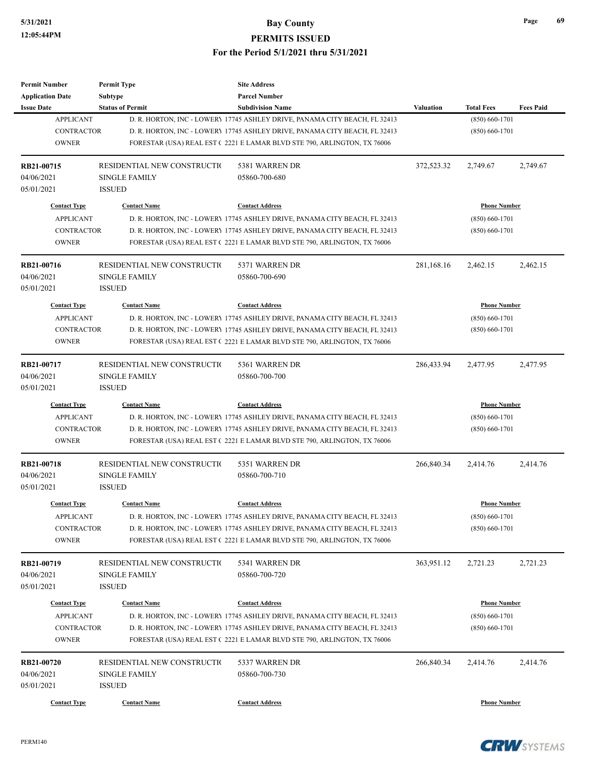| <b>Permit Number</b>    | <b>Permit Type</b>          | <b>Site Address</b>                                                        |                  |                     |                  |
|-------------------------|-----------------------------|----------------------------------------------------------------------------|------------------|---------------------|------------------|
| <b>Application Date</b> | Subtype                     | <b>Parcel Number</b>                                                       |                  |                     |                  |
| <b>Issue Date</b>       | <b>Status of Permit</b>     | <b>Subdivision Name</b>                                                    | <b>Valuation</b> | <b>Total Fees</b>   | <b>Fees Paid</b> |
| <b>APPLICANT</b>        |                             | D. R. HORTON, INC - LOWERY 17745 ASHLEY DRIVE, PANAMA CITY BEACH, FL 32413 |                  | $(850) 660 - 1701$  |                  |
| <b>CONTRACTOR</b>       |                             | D. R. HORTON, INC - LOWERY 17745 ASHLEY DRIVE, PANAMA CITY BEACH, FL 32413 |                  | $(850) 660 - 1701$  |                  |
| <b>OWNER</b>            |                             | FORESTAR (USA) REAL EST (2221 E LAMAR BLVD STE 790, ARLINGTON, TX 76006    |                  |                     |                  |
|                         |                             |                                                                            |                  |                     |                  |
| RB21-00715              | RESIDENTIAL NEW CONSTRUCTIO | 5381 WARREN DR                                                             | 372,523.32       | 2,749.67            | 2,749.67         |
| 04/06/2021              | <b>SINGLE FAMILY</b>        | 05860-700-680                                                              |                  |                     |                  |
| 05/01/2021              | <b>ISSUED</b>               |                                                                            |                  |                     |                  |
|                         |                             |                                                                            |                  |                     |                  |
| <b>Contact Type</b>     | <b>Contact Name</b>         | <b>Contact Address</b>                                                     |                  | <b>Phone Number</b> |                  |
| <b>APPLICANT</b>        |                             | D. R. HORTON, INC - LOWERY 17745 ASHLEY DRIVE, PANAMA CITY BEACH, FL 32413 |                  | $(850) 660 - 1701$  |                  |
| <b>CONTRACTOR</b>       |                             | D. R. HORTON, INC - LOWERY 17745 ASHLEY DRIVE, PANAMA CITY BEACH, FL 32413 |                  | $(850) 660 - 1701$  |                  |
| <b>OWNER</b>            |                             | FORESTAR (USA) REAL EST (2221 E LAMAR BLVD STE 790, ARLINGTON, TX 76006    |                  |                     |                  |
| RB21-00716              | RESIDENTIAL NEW CONSTRUCTIO | 5371 WARREN DR                                                             | 281,168.16       | 2,462.15            | 2,462.15         |
| 04/06/2021              | <b>SINGLE FAMILY</b>        | 05860-700-690                                                              |                  |                     |                  |
| 05/01/2021              | <b>ISSUED</b>               |                                                                            |                  |                     |                  |
|                         |                             |                                                                            |                  |                     |                  |
| <b>Contact Type</b>     | <b>Contact Name</b>         | <b>Contact Address</b>                                                     |                  | <b>Phone Number</b> |                  |
| <b>APPLICANT</b>        |                             | D. R. HORTON, INC - LOWERY 17745 ASHLEY DRIVE, PANAMA CITY BEACH, FL 32413 |                  | $(850) 660 - 1701$  |                  |
| <b>CONTRACTOR</b>       |                             | D. R. HORTON, INC - LOWERY 17745 ASHLEY DRIVE, PANAMA CITY BEACH, FL 32413 |                  | $(850) 660 - 1701$  |                  |
| <b>OWNER</b>            |                             | FORESTAR (USA) REAL EST (2221 E LAMAR BLVD STE 790, ARLINGTON, TX 76006    |                  |                     |                  |
| RB21-00717              | RESIDENTIAL NEW CONSTRUCTIO | 5361 WARREN DR                                                             | 286,433.94       | 2,477.95            | 2,477.95         |
| 04/06/2021              | <b>SINGLE FAMILY</b>        | 05860-700-700                                                              |                  |                     |                  |
| 05/01/2021              | <b>ISSUED</b>               |                                                                            |                  |                     |                  |
| <b>Contact Type</b>     | <b>Contact Name</b>         | <b>Contact Address</b>                                                     |                  | <b>Phone Number</b> |                  |
| <b>APPLICANT</b>        |                             | D. R. HORTON, INC - LOWERY 17745 ASHLEY DRIVE, PANAMA CITY BEACH, FL 32413 |                  | $(850) 660 - 1701$  |                  |
| <b>CONTRACTOR</b>       |                             | D. R. HORTON, INC - LOWERY 17745 ASHLEY DRIVE, PANAMA CITY BEACH, FL 32413 |                  | $(850)$ 660-1701    |                  |
| <b>OWNER</b>            |                             | FORESTAR (USA) REAL EST (2221 E LAMAR BLVD STE 790, ARLINGTON, TX 76006    |                  |                     |                  |
| <b>RB21-00718</b>       | RESIDENTIAL NEW CONSTRUCTIO | 5351 WARREN DR                                                             | 266,840.34       | 2,414.76            | 2,414.76         |
| 04/06/2021              | <b>SINGLE FAMILY</b>        | 05860-700-710                                                              |                  |                     |                  |
| 05/01/2021              | <b>ISSUED</b>               |                                                                            |                  |                     |                  |
|                         |                             |                                                                            |                  |                     |                  |
| <b>Contact Type</b>     | <b>Contact Name</b>         | <b>Contact Address</b>                                                     |                  | <b>Phone Number</b> |                  |
| <b>APPLICANT</b>        |                             | D. R. HORTON, INC - LOWER 17745 ASHLEY DRIVE, PANAMA CITY BEACH, FL 32413  |                  | $(850) 660 - 1701$  |                  |
| CONTRACTOR              |                             | D. R. HORTON, INC - LOWERY 17745 ASHLEY DRIVE, PANAMA CITY BEACH, FL 32413 |                  | $(850) 660 - 1701$  |                  |
| <b>OWNER</b>            |                             | FORESTAR (USA) REAL EST (2221 E LAMAR BLVD STE 790, ARLINGTON, TX 76006    |                  |                     |                  |
| RB21-00719              | RESIDENTIAL NEW CONSTRUCTIO | 5341 WARREN DR                                                             | 363,951.12       | 2,721.23            | 2,721.23         |
| 04/06/2021              | <b>SINGLE FAMILY</b>        | 05860-700-720                                                              |                  |                     |                  |
| 05/01/2021              | <b>ISSUED</b>               |                                                                            |                  |                     |                  |
|                         |                             |                                                                            |                  |                     |                  |
| <b>Contact Type</b>     | <b>Contact Name</b>         | <b>Contact Address</b>                                                     |                  | <b>Phone Number</b> |                  |
| <b>APPLICANT</b>        |                             | D. R. HORTON, INC - LOWERY 17745 ASHLEY DRIVE, PANAMA CITY BEACH, FL 32413 |                  | $(850) 660 - 1701$  |                  |
| CONTRACTOR              |                             | D. R. HORTON, INC - LOWERY 17745 ASHLEY DRIVE, PANAMA CITY BEACH, FL 32413 |                  | $(850) 660 - 1701$  |                  |
| <b>OWNER</b>            |                             | FORESTAR (USA) REAL EST (2221 E LAMAR BLVD STE 790, ARLINGTON, TX 76006    |                  |                     |                  |
| RB21-00720              | RESIDENTIAL NEW CONSTRUCTIO | 5337 WARREN DR                                                             | 266,840.34       | 2,414.76            | 2,414.76         |
| 04/06/2021              | SINGLE FAMILY               | 05860-700-730                                                              |                  |                     |                  |
| 05/01/2021              | <b>ISSUED</b>               |                                                                            |                  |                     |                  |
|                         |                             |                                                                            |                  |                     |                  |
| <b>Contact Type</b>     | <b>Contact Name</b>         | <b>Contact Address</b>                                                     |                  | <b>Phone Number</b> |                  |

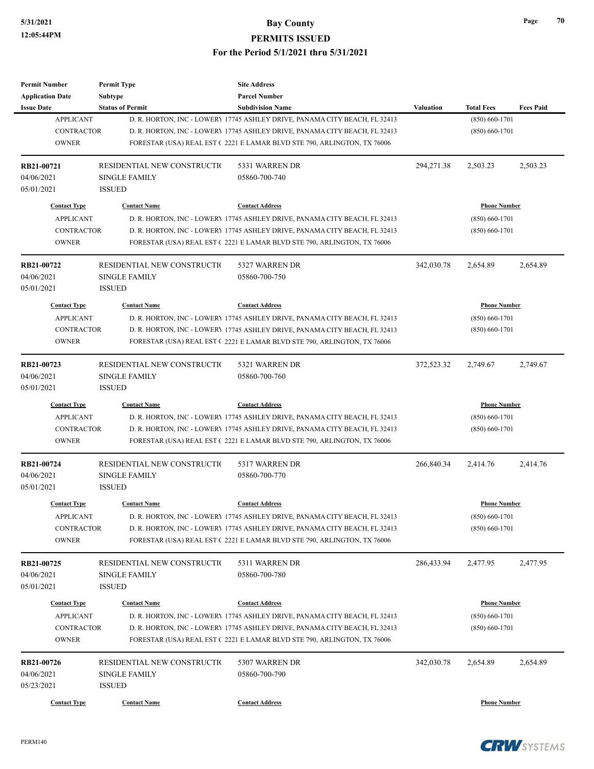| <b>Permit Number</b>    | <b>Permit Type</b>          | <b>Site Address</b>                                                        |                  |                     |                  |
|-------------------------|-----------------------------|----------------------------------------------------------------------------|------------------|---------------------|------------------|
| <b>Application Date</b> | Subtype                     | <b>Parcel Number</b>                                                       |                  |                     |                  |
| <b>Issue Date</b>       | <b>Status of Permit</b>     | <b>Subdivision Name</b>                                                    | <b>Valuation</b> | <b>Total Fees</b>   | <b>Fees Paid</b> |
| <b>APPLICANT</b>        |                             | D. R. HORTON, INC - LOWERY 17745 ASHLEY DRIVE, PANAMA CITY BEACH, FL 32413 |                  | $(850) 660 - 1701$  |                  |
| <b>CONTRACTOR</b>       |                             | D. R. HORTON, INC - LOWERY 17745 ASHLEY DRIVE, PANAMA CITY BEACH, FL 32413 |                  | $(850) 660 - 1701$  |                  |
| <b>OWNER</b>            |                             | FORESTAR (USA) REAL EST (2221 E LAMAR BLVD STE 790, ARLINGTON, TX 76006    |                  |                     |                  |
|                         |                             |                                                                            |                  |                     |                  |
| RB21-00721              | RESIDENTIAL NEW CONSTRUCTIO | 5331 WARREN DR                                                             | 294,271.38       | 2,503.23            | 2,503.23         |
| 04/06/2021              | <b>SINGLE FAMILY</b>        | 05860-700-740                                                              |                  |                     |                  |
| 05/01/2021              | <b>ISSUED</b>               |                                                                            |                  |                     |                  |
|                         |                             |                                                                            |                  |                     |                  |
| <b>Contact Type</b>     | <b>Contact Name</b>         | <b>Contact Address</b>                                                     |                  | <b>Phone Number</b> |                  |
| <b>APPLICANT</b>        |                             | D. R. HORTON, INC - LOWERY 17745 ASHLEY DRIVE, PANAMA CITY BEACH, FL 32413 |                  | $(850) 660 - 1701$  |                  |
| <b>CONTRACTOR</b>       |                             | D. R. HORTON, INC - LOWERY 17745 ASHLEY DRIVE, PANAMA CITY BEACH, FL 32413 |                  | $(850) 660 - 1701$  |                  |
| <b>OWNER</b>            |                             | FORESTAR (USA) REAL EST (2221 E LAMAR BLVD STE 790, ARLINGTON, TX 76006    |                  |                     |                  |
| RB21-00722              | RESIDENTIAL NEW CONSTRUCTIO | 5327 WARREN DR                                                             | 342,030.78       | 2,654.89            | 2,654.89         |
| 04/06/2021              | <b>SINGLE FAMILY</b>        | 05860-700-750                                                              |                  |                     |                  |
| 05/01/2021              | <b>ISSUED</b>               |                                                                            |                  |                     |                  |
| <b>Contact Type</b>     | <b>Contact Name</b>         | <b>Contact Address</b>                                                     |                  | <b>Phone Number</b> |                  |
| <b>APPLICANT</b>        |                             | D. R. HORTON, INC - LOWERY 17745 ASHLEY DRIVE, PANAMA CITY BEACH, FL 32413 |                  | $(850) 660 - 1701$  |                  |
| <b>CONTRACTOR</b>       |                             | D. R. HORTON, INC - LOWERY 17745 ASHLEY DRIVE, PANAMA CITY BEACH, FL 32413 |                  | $(850) 660 - 1701$  |                  |
| <b>OWNER</b>            |                             |                                                                            |                  |                     |                  |
|                         |                             | FORESTAR (USA) REAL EST (2221 E LAMAR BLVD STE 790, ARLINGTON, TX 76006    |                  |                     |                  |
| RB21-00723              | RESIDENTIAL NEW CONSTRUCTIO | 5321 WARREN DR                                                             | 372,523.32       | 2,749.67            | 2,749.67         |
| 04/06/2021              | <b>SINGLE FAMILY</b>        | 05860-700-760                                                              |                  |                     |                  |
| 05/01/2021              | <b>ISSUED</b>               |                                                                            |                  |                     |                  |
| <b>Contact Type</b>     | <b>Contact Name</b>         | <b>Contact Address</b>                                                     |                  | <b>Phone Number</b> |                  |
| <b>APPLICANT</b>        |                             | D. R. HORTON, INC - LOWERY 17745 ASHLEY DRIVE, PANAMA CITY BEACH, FL 32413 |                  | $(850) 660 - 1701$  |                  |
| <b>CONTRACTOR</b>       |                             | D. R. HORTON, INC - LOWERY 17745 ASHLEY DRIVE, PANAMA CITY BEACH, FL 32413 |                  | $(850) 660 - 1701$  |                  |
| <b>OWNER</b>            |                             | FORESTAR (USA) REAL EST (2221 E LAMAR BLVD STE 790, ARLINGTON, TX 76006    |                  |                     |                  |
|                         |                             |                                                                            |                  |                     |                  |
| RB21-00724              | RESIDENTIAL NEW CONSTRUCTIO | 5317 WARREN DR                                                             | 266,840.34       | 2,414.76            | 2,414.76         |
| 04/06/2021              | <b>SINGLE FAMILY</b>        | 05860-700-770                                                              |                  |                     |                  |
| 05/01/2021              | <b>ISSUED</b>               |                                                                            |                  |                     |                  |
| <b>Contact Type</b>     | <b>Contact Name</b>         | <b>Contact Address</b>                                                     |                  | <b>Phone Number</b> |                  |
| <b>APPLICANT</b>        |                             | D. R. HORTON, INC - LOWERY 17745 ASHLEY DRIVE, PANAMA CITY BEACH, FL 32413 |                  | $(850) 660 - 1701$  |                  |
| CONTRACTOR              |                             | D. R. HORTON, INC - LOWERY 17745 ASHLEY DRIVE, PANAMA CITY BEACH, FL 32413 |                  | $(850) 660 - 1701$  |                  |
| <b>OWNER</b>            |                             | FORESTAR (USA) REAL EST (2221 E LAMAR BLVD STE 790, ARLINGTON, TX 76006    |                  |                     |                  |
|                         |                             |                                                                            |                  |                     |                  |
| RB21-00725              | RESIDENTIAL NEW CONSTRUCTIO | 5311 WARREN DR                                                             | 286,433.94       | 2,477.95            | 2,477.95         |
| 04/06/2021              | <b>SINGLE FAMILY</b>        | 05860-700-780                                                              |                  |                     |                  |
| 05/01/2021              | <b>ISSUED</b>               |                                                                            |                  |                     |                  |
| <b>Contact Type</b>     | <b>Contact Name</b>         | <b>Contact Address</b>                                                     |                  | <b>Phone Number</b> |                  |
| <b>APPLICANT</b>        |                             | D. R. HORTON, INC - LOWERY 17745 ASHLEY DRIVE, PANAMA CITY BEACH, FL 32413 |                  | $(850) 660 - 1701$  |                  |
| CONTRACTOR              |                             | D. R. HORTON, INC - LOWERY 17745 ASHLEY DRIVE, PANAMA CITY BEACH, FL 32413 |                  | $(850) 660 - 1701$  |                  |
| <b>OWNER</b>            |                             | FORESTAR (USA) REAL EST (2221 E LAMAR BLVD STE 790, ARLINGTON, TX 76006    |                  |                     |                  |
|                         |                             |                                                                            |                  |                     |                  |
| RB21-00726              | RESIDENTIAL NEW CONSTRUCTIO | 5307 WARREN DR                                                             | 342,030.78       | 2,654.89            | 2,654.89         |
| 04/06/2021              | <b>SINGLE FAMILY</b>        | 05860-700-790                                                              |                  |                     |                  |
| 05/23/2021              | <b>ISSUED</b>               |                                                                            |                  |                     |                  |
| <b>Contact Type</b>     | <b>Contact Name</b>         | <b>Contact Address</b>                                                     |                  | <b>Phone Number</b> |                  |
|                         |                             |                                                                            |                  |                     |                  |

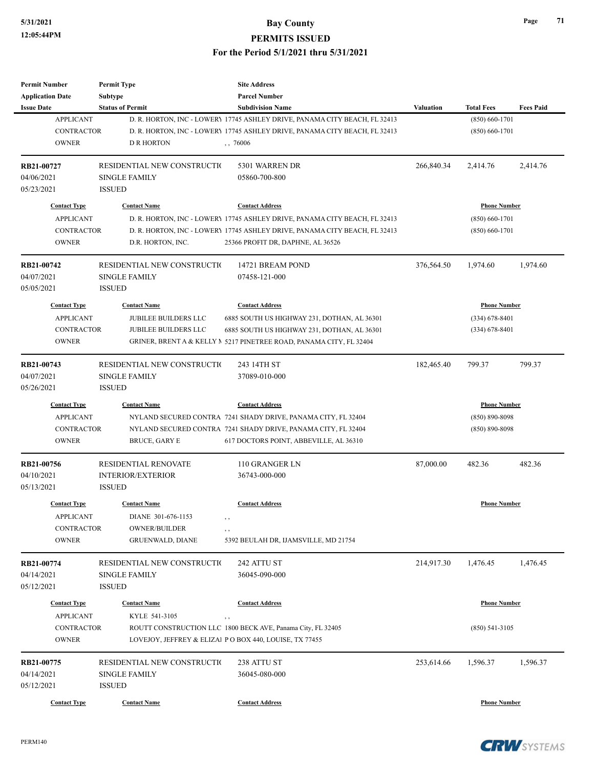# **5/31/2021 Bay County**

**PERMITS ISSUED**

**For the Period 5/1/2021 thru 5/31/2021**

| <b>Permit Number</b>                  | <b>Permit Type</b>          | <b>Site Address</b>                                                                                   |            |                                         |                  |
|---------------------------------------|-----------------------------|-------------------------------------------------------------------------------------------------------|------------|-----------------------------------------|------------------|
| <b>Application Date</b>               | <b>Subtype</b>              | <b>Parcel Number</b>                                                                                  |            |                                         |                  |
| <b>Issue Date</b><br><b>APPLICANT</b> | <b>Status of Permit</b>     | <b>Subdivision Name</b><br>D. R. HORTON, INC - LOWERY 17745 ASHLEY DRIVE, PANAMA CITY BEACH, FL 32413 | Valuation  | <b>Total Fees</b><br>$(850) 660 - 1701$ | <b>Fees Paid</b> |
| <b>CONTRACTOR</b>                     |                             | D. R. HORTON, INC - LOWERY 17745 ASHLEY DRIVE, PANAMA CITY BEACH, FL 32413                            |            | $(850) 660 - 1701$                      |                  |
| <b>OWNER</b>                          | <b>D R HORTON</b>           | , 76006                                                                                               |            |                                         |                  |
|                                       |                             |                                                                                                       |            |                                         |                  |
| RB21-00727                            | RESIDENTIAL NEW CONSTRUCTIO | 5301 WARREN DR                                                                                        | 266,840.34 | 2,414.76                                | 2,414.76         |
| 04/06/2021                            | <b>SINGLE FAMILY</b>        | 05860-700-800                                                                                         |            |                                         |                  |
| 05/23/2021                            | <b>ISSUED</b>               |                                                                                                       |            |                                         |                  |
| <b>Contact Type</b>                   | <b>Contact Name</b>         | <b>Contact Address</b>                                                                                |            | <b>Phone Number</b>                     |                  |
| <b>APPLICANT</b>                      |                             | D. R. HORTON, INC - LOWERY 17745 ASHLEY DRIVE, PANAMA CITY BEACH, FL 32413                            |            | $(850) 660 - 1701$                      |                  |
| <b>CONTRACTOR</b>                     |                             | D. R. HORTON, INC - LOWERY 17745 ASHLEY DRIVE, PANAMA CITY BEACH, FL 32413                            |            | $(850) 660 - 1701$                      |                  |
| <b>OWNER</b>                          | D.R. HORTON, INC.           | 25366 PROFIT DR, DAPHNE, AL 36526                                                                     |            |                                         |                  |
| RB21-00742                            | RESIDENTIAL NEW CONSTRUCTIO | 14721 BREAM POND                                                                                      | 376,564.50 | 1,974.60                                | 1,974.60         |
| 04/07/2021                            | <b>SINGLE FAMILY</b>        | 07458-121-000                                                                                         |            |                                         |                  |
| 05/05/2021                            | <b>ISSUED</b>               |                                                                                                       |            |                                         |                  |
| <b>Contact Type</b>                   | <b>Contact Name</b>         | <b>Contact Address</b>                                                                                |            | <b>Phone Number</b>                     |                  |
| <b>APPLICANT</b>                      | <b>JUBILEE BUILDERS LLC</b> | 6885 SOUTH US HIGHWAY 231, DOTHAN, AL 36301                                                           |            | $(334) 678 - 8401$                      |                  |
| <b>CONTRACTOR</b>                     | <b>JUBILEE BUILDERS LLC</b> | 6885 SOUTH US HIGHWAY 231, DOTHAN, AL 36301                                                           |            | $(334) 678 - 8401$                      |                  |
| <b>OWNER</b>                          |                             | GRINER, BRENT A & KELLY $\land$ 5217 PINETREE ROAD, PANAMA CITY, FL 32404                             |            |                                         |                  |
|                                       |                             |                                                                                                       |            |                                         |                  |
| RB21-00743                            | RESIDENTIAL NEW CONSTRUCTIO | 243 14TH ST                                                                                           | 182,465.40 | 799.37                                  | 799.37           |
| 04/07/2021                            | <b>SINGLE FAMILY</b>        | 37089-010-000                                                                                         |            |                                         |                  |
| 05/26/2021                            | <b>ISSUED</b>               |                                                                                                       |            |                                         |                  |
| <b>Contact Type</b>                   | <b>Contact Name</b>         | <b>Contact Address</b>                                                                                |            | <b>Phone Number</b>                     |                  |
| <b>APPLICANT</b>                      |                             | NYLAND SECURED CONTRA 7241 SHADY DRIVE, PANAMA CITY, FL 32404                                         |            | $(850) 890 - 8098$                      |                  |
| <b>CONTRACTOR</b>                     |                             | NYLAND SECURED CONTRA 7241 SHADY DRIVE, PANAMA CITY, FL 32404                                         |            | $(850) 890 - 8098$                      |                  |
| <b>OWNER</b>                          | <b>BRUCE, GARY E</b>        | 617 DOCTORS POINT, ABBEVILLE, AL 36310                                                                |            |                                         |                  |
| RB21-00756                            | <b>RESIDENTIAL RENOVATE</b> | 110 GRANGER LN                                                                                        | 87,000.00  | 482.36                                  | 482.36           |
| 04/10/2021                            | <b>INTERIOR/EXTERIOR</b>    | 36743-000-000                                                                                         |            |                                         |                  |
| 05/13/2021                            | <b>ISSUED</b>               |                                                                                                       |            |                                         |                  |
| <b>Contact Type</b>                   | <b>Contact Name</b>         | <b>Contact Address</b>                                                                                |            | <b>Phone Number</b>                     |                  |
| <b>APPLICANT</b>                      | DIANE 301-676-1153          |                                                                                                       |            |                                         |                  |
| CONTRACTOR                            | <b>OWNER/BUILDER</b>        |                                                                                                       |            |                                         |                  |
| <b>OWNER</b>                          | <b>GRUENWALD, DIANE</b>     | 5392 BEULAH DR, IJAMSVILLE, MD 21754                                                                  |            |                                         |                  |
|                                       |                             |                                                                                                       |            |                                         |                  |
| RB21-00774                            | RESIDENTIAL NEW CONSTRUCTIO | 242 ATTU ST                                                                                           | 214,917.30 | 1,476.45                                | 1,476.45         |
| 04/14/2021                            | <b>SINGLE FAMILY</b>        | 36045-090-000                                                                                         |            |                                         |                  |
| 05/12/2021                            | <b>ISSUED</b>               |                                                                                                       |            |                                         |                  |
| <b>Contact Type</b>                   | <b>Contact Name</b>         | <b>Contact Address</b>                                                                                |            | <b>Phone Number</b>                     |                  |
| <b>APPLICANT</b>                      | KYLE 541-3105               | , ,                                                                                                   |            |                                         |                  |
| <b>CONTRACTOR</b>                     |                             | ROUTT CONSTRUCTION LLC 1800 BECK AVE, Panama City, FL 32405                                           |            | $(850)$ 541-3105                        |                  |
| <b>OWNER</b>                          |                             | LOVEJOY, JEFFREY & ELIZAl PO BOX 440, LOUISE, TX 77455                                                |            |                                         |                  |
| RB21-00775                            | RESIDENTIAL NEW CONSTRUCTIO | 238 ATTU ST                                                                                           | 253,614.66 | 1,596.37                                | 1,596.37         |
| 04/14/2021                            | SINGLE FAMILY               | 36045-080-000                                                                                         |            |                                         |                  |
| 05/12/2021                            | <b>ISSUED</b>               |                                                                                                       |            |                                         |                  |
|                                       |                             |                                                                                                       |            |                                         |                  |
| <b>Contact Type</b>                   | <b>Contact Name</b>         | <b>Contact Address</b>                                                                                |            | <b>Phone Number</b>                     |                  |

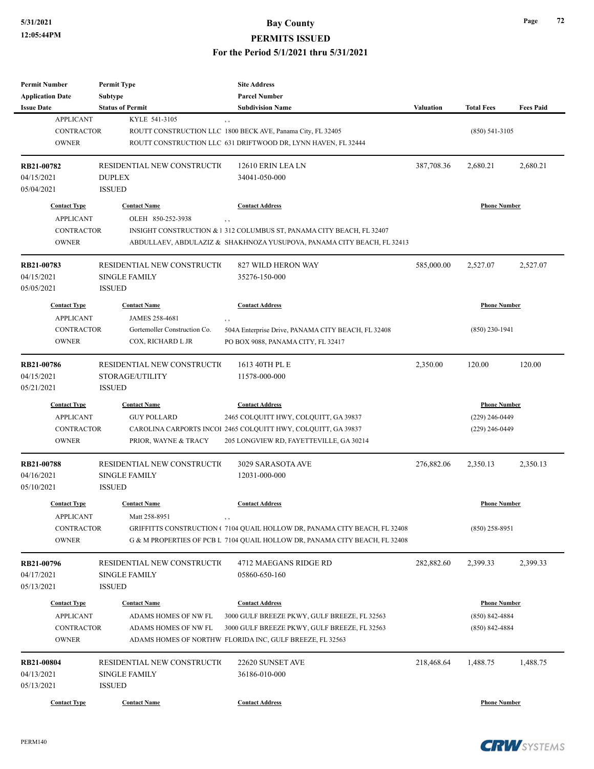| <b>Permit Number</b>    | <b>Permit Type</b>           |                                                                             |                  |                     |                  |
|-------------------------|------------------------------|-----------------------------------------------------------------------------|------------------|---------------------|------------------|
| <b>Application Date</b> | Subtype                      | <b>Parcel Number</b>                                                        |                  |                     |                  |
| <b>Issue Date</b>       | <b>Status of Permit</b>      | <b>Subdivision Name</b>                                                     | <b>Valuation</b> | <b>Total Fees</b>   | <b>Fees Paid</b> |
| <b>APPLICANT</b>        | KYLE 541-3105                |                                                                             |                  |                     |                  |
| <b>CONTRACTOR</b>       |                              | ROUTT CONSTRUCTION LLC 1800 BECK AVE, Panama City, FL 32405                 |                  | $(850)$ 541-3105    |                  |
| <b>OWNER</b>            |                              | ROUTT CONSTRUCTION LLC 631 DRIFTWOOD DR, LYNN HAVEN, FL 32444               |                  |                     |                  |
| RB21-00782              | RESIDENTIAL NEW CONSTRUCTIO  | 12610 ERIN LEA LN                                                           | 387,708.36       | 2,680.21            | 2,680.21         |
| 04/15/2021              | <b>DUPLEX</b>                | 34041-050-000                                                               |                  |                     |                  |
| 05/04/2021              | <b>ISSUED</b>                |                                                                             |                  |                     |                  |
| <b>Contact Type</b>     | <b>Contact Name</b>          | <b>Contact Address</b>                                                      |                  | <b>Phone Number</b> |                  |
| <b>APPLICANT</b>        | OLEH 850-252-3938            |                                                                             |                  |                     |                  |
| <b>CONTRACTOR</b>       |                              | INSIGHT CONSTRUCTION & 1 312 COLUMBUS ST, PANAMA CITY BEACH, FL 32407       |                  |                     |                  |
| <b>OWNER</b>            |                              | ABDULLAEV, ABDULAZIZ & SHAKHNOZA YUSUPOVA, PANAMA CITY BEACH, FL 32413      |                  |                     |                  |
| RB21-00783              | RESIDENTIAL NEW CONSTRUCTIO  | 827 WILD HERON WAY                                                          | 585,000.00       | 2,527.07            | 2,527.07         |
| 04/15/2021              | <b>SINGLE FAMILY</b>         | 35276-150-000                                                               |                  |                     |                  |
| 05/05/2021              | <b>ISSUED</b>                |                                                                             |                  |                     |                  |
| <b>Contact Type</b>     | <b>Contact Name</b>          | <b>Contact Address</b>                                                      |                  | <b>Phone Number</b> |                  |
| <b>APPLICANT</b>        | JAMES 258-4681               |                                                                             |                  |                     |                  |
| <b>CONTRACTOR</b>       | Gortemoller Construction Co. | ,,<br>504A Enterprise Drive, PANAMA CITY BEACH, FL 32408                    |                  | $(850)$ 230-1941    |                  |
| <b>OWNER</b>            | COX, RICHARD L JR            | PO BOX 9088, PANAMA CITY, FL 32417                                          |                  |                     |                  |
|                         |                              |                                                                             |                  |                     |                  |
| RB21-00786              | RESIDENTIAL NEW CONSTRUCTIO  | 1613 40TH PL E                                                              | 2,350.00         | 120.00              | 120.00           |
| 04/15/2021              | STORAGE/UTILITY              | 11578-000-000                                                               |                  |                     |                  |
| 05/21/2021              | <b>ISSUED</b>                |                                                                             |                  |                     |                  |
| <b>Contact Type</b>     | <b>Contact Name</b>          | <b>Contact Address</b>                                                      |                  | <b>Phone Number</b> |                  |
| <b>APPLICANT</b>        | <b>GUY POLLARD</b>           | 2465 COLQUITT HWY, COLQUITT, GA 39837                                       |                  | $(229)$ 246-0449    |                  |
| <b>CONTRACTOR</b>       |                              | CAROLINA CARPORTS INCOI 2465 COLQUITT HWY, COLQUITT, GA 39837               |                  | $(229)$ 246-0449    |                  |
| <b>OWNER</b>            | PRIOR, WAYNE & TRACY         | 205 LONGVIEW RD, FAYETTEVILLE, GA 30214                                     |                  |                     |                  |
| RB21-00788              | RESIDENTIAL NEW CONSTRUCTIO  | 3029 SARASOTA AVE                                                           | 276,882.06       | 2,350.13            | 2,350.13         |
| 04/16/2021              | <b>SINGLE FAMILY</b>         | 12031-000-000                                                               |                  |                     |                  |
| 05/10/2021              | <b>ISSUED</b>                |                                                                             |                  |                     |                  |
|                         |                              |                                                                             |                  |                     |                  |
| <b>Contact Type</b>     | <b>Contact Name</b>          | <b>Contact Address</b>                                                      |                  | <b>Phone Number</b> |                  |
| APPLICANT               | Matt 258-8951                | , ,                                                                         |                  |                     |                  |
| CONTRACTOR              |                              | GRIFFITTS CONSTRUCTION (7104 QUAIL HOLLOW DR, PANAMA CITY BEACH, FL 32408   |                  | $(850)$ 258-8951    |                  |
| <b>OWNER</b>            |                              | G & M PROPERTIES OF PCB L 7104 QUAIL HOLLOW DR, PANAMA CITY BEACH, FL 32408 |                  |                     |                  |
| RB21-00796              | RESIDENTIAL NEW CONSTRUCTIO  | 4712 MAEGANS RIDGE RD                                                       | 282,882.60       | 2,399.33            | 2,399.33         |
| 04/17/2021              | <b>SINGLE FAMILY</b>         | 05860-650-160                                                               |                  |                     |                  |
| 05/13/2021              | <b>ISSUED</b>                |                                                                             |                  |                     |                  |
| <b>Contact Type</b>     | <b>Contact Name</b>          | <b>Contact Address</b>                                                      |                  | <b>Phone Number</b> |                  |
| <b>APPLICANT</b>        | ADAMS HOMES OF NW FL         | 3000 GULF BREEZE PKWY, GULF BREEZE, FL 32563                                |                  | $(850) 842 - 4884$  |                  |
| <b>CONTRACTOR</b>       | ADAMS HOMES OF NW FL         | 3000 GULF BREEZE PKWY, GULF BREEZE, FL 32563                                |                  | $(850)$ 842-4884    |                  |
| <b>OWNER</b>            |                              | ADAMS HOMES OF NORTHW FLORIDA INC, GULF BREEZE, FL 32563                    |                  |                     |                  |
| <b>RB21-00804</b>       | RESIDENTIAL NEW CONSTRUCTIO  | 22620 SUNSET AVE                                                            | 218,468.64       | 1,488.75            | 1,488.75         |
| 04/13/2021              | <b>SINGLE FAMILY</b>         | 36186-010-000                                                               |                  |                     |                  |
| 05/13/2021              | <b>ISSUED</b>                |                                                                             |                  |                     |                  |
|                         |                              |                                                                             |                  |                     |                  |
| <b>Contact Type</b>     | <b>Contact Name</b>          | <b>Contact Address</b>                                                      |                  | <b>Phone Number</b> |                  |

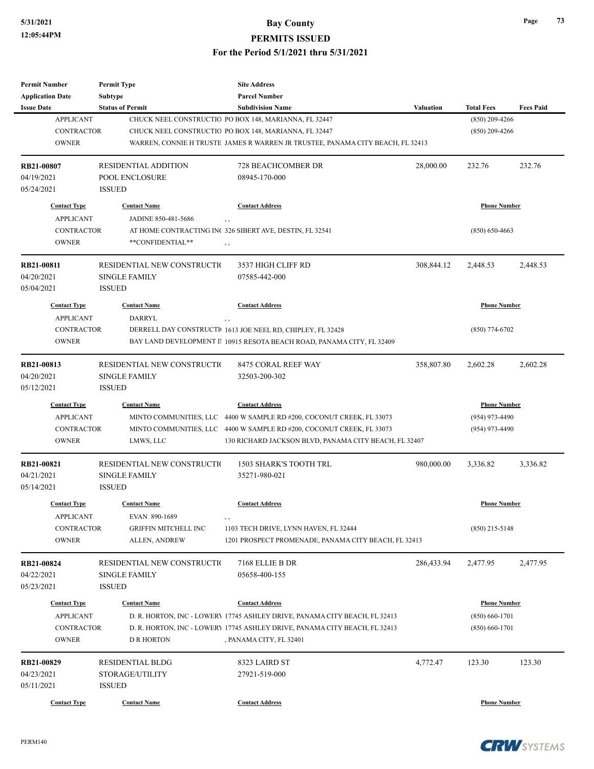**PERMITS ISSUED**

| Permit Number                         | <b>Permit Type</b>          | <b>Site Address</b>                                                                                            |            |                     |                  |
|---------------------------------------|-----------------------------|----------------------------------------------------------------------------------------------------------------|------------|---------------------|------------------|
| <b>Application Date</b>               | Subtype                     | <b>Parcel Number</b>                                                                                           |            |                     |                  |
| <b>Issue Date</b>                     | <b>Status of Permit</b>     | <b>Subdivision Name</b>                                                                                        | Valuation  | <b>Total Fees</b>   | <b>Fees Paid</b> |
| <b>APPLICANT</b><br><b>CONTRACTOR</b> |                             | CHUCK NEEL CONSTRUCTIO PO BOX 148, MARIANNA, FL 32447<br>CHUCK NEEL CONSTRUCTIO PO BOX 148, MARIANNA, FL 32447 |            | $(850)$ 209-4266    |                  |
| <b>OWNER</b>                          |                             | WARREN, CONNIE H TRUSTE JAMES R WARREN JR TRUSTEE, PANAMA CITY BEACH, FL 32413                                 |            | $(850)$ 209-4266    |                  |
|                                       |                             |                                                                                                                |            |                     |                  |
| RB21-00807                            | RESIDENTIAL ADDITION        | <b>728 BEACHCOMBER DR</b>                                                                                      | 28,000.00  | 232.76              | 232.76           |
| 04/19/2021                            | POOL ENCLOSURE              | 08945-170-000                                                                                                  |            |                     |                  |
| 05/24/2021                            | <b>ISSUED</b>               |                                                                                                                |            |                     |                  |
| <b>Contact Type</b>                   | <b>Contact Name</b>         | <b>Contact Address</b>                                                                                         |            | <b>Phone Number</b> |                  |
| <b>APPLICANT</b>                      | JADINE 850-481-5686         |                                                                                                                |            |                     |                  |
| <b>CONTRACTOR</b>                     |                             | AT HOME CONTRACTING INC 326 SIBERT AVE, DESTIN, FL 32541                                                       |            | $(850) 650 - 4663$  |                  |
| <b>OWNER</b>                          | **CONFIDENTIAL**            | , ,                                                                                                            |            |                     |                  |
| RB21-00811                            | RESIDENTIAL NEW CONSTRUCTIO | 3537 HIGH CLIFF RD                                                                                             | 308,844.12 | 2,448.53            | 2,448.53         |
| 04/20/2021                            | <b>SINGLE FAMILY</b>        | 07585-442-000                                                                                                  |            |                     |                  |
| 05/04/2021                            | <b>ISSUED</b>               |                                                                                                                |            |                     |                  |
| <b>Contact Type</b>                   | <b>Contact Name</b>         | <b>Contact Address</b>                                                                                         |            | <b>Phone Number</b> |                  |
| <b>APPLICANT</b>                      | DARRYL                      | , ,                                                                                                            |            |                     |                  |
| <b>CONTRACTOR</b>                     |                             | DERRELL DAY CONSTRUCTI 1613 JOE NEEL RD, CHIPLEY, FL 32428                                                     |            | $(850)$ 774-6702    |                  |
| <b>OWNER</b>                          |                             | BAY LAND DEVELOPMENT II 10915 RESOTA BEACH ROAD, PANAMA CITY, FL 32409                                         |            |                     |                  |
|                                       |                             |                                                                                                                |            |                     |                  |
| RB21-00813                            | RESIDENTIAL NEW CONSTRUCTIO | 8475 CORAL REEF WAY                                                                                            | 358,807.80 | 2,602.28            | 2,602.28         |
| 04/20/2021                            | <b>SINGLE FAMILY</b>        | 32503-200-302                                                                                                  |            |                     |                  |
| 05/12/2021                            | <b>ISSUED</b>               |                                                                                                                |            |                     |                  |
| <b>Contact Type</b>                   | <b>Contact Name</b>         | <b>Contact Address</b>                                                                                         |            | <b>Phone Number</b> |                  |
| <b>APPLICANT</b>                      |                             | MINTO COMMUNITIES, LLC 4400 W SAMPLE RD #200, COCONUT CREEK, FL 33073                                          |            | $(954)$ 973-4490    |                  |
| <b>CONTRACTOR</b>                     |                             | MINTO COMMUNITIES, LLC 4400 W SAMPLE RD #200, COCONUT CREEK, FL 33073                                          |            | $(954)$ 973-4490    |                  |
| <b>OWNER</b>                          | LMWS, LLC                   | 130 RICHARD JACKSON BLVD, PANAMA CITY BEACH, FL 32407                                                          |            |                     |                  |
| RB21-00821                            | RESIDENTIAL NEW CONSTRUCTIO | <b>1503 SHARK'S TOOTH TRL</b>                                                                                  | 980,000.00 | 3,336.82            | 3,336.82         |
| 04/21/2021                            | <b>SINGLE FAMILY</b>        | 35271-980-021                                                                                                  |            |                     |                  |
| 05/14/2021                            | <b>ISSUED</b>               |                                                                                                                |            |                     |                  |
| <b>Contact Type</b>                   | <b>Contact Name</b>         | <b>Contact Address</b>                                                                                         |            | <b>Phone Number</b> |                  |
| APPLICANT                             | EVAN 890-1689               |                                                                                                                |            |                     |                  |
| CONTRACTOR                            | GRIFFIN MITCHELL INC        | 1103 TECH DRIVE, LYNN HAVEN, FL 32444                                                                          |            | $(850)$ 215-5148    |                  |
| <b>OWNER</b>                          | ALLEN, ANDREW               | 1201 PROSPECT PROMENADE, PANAMA CITY BEACH, FL 32413                                                           |            |                     |                  |
|                                       |                             |                                                                                                                |            |                     |                  |
| RB21-00824                            | RESIDENTIAL NEW CONSTRUCTIO | 7168 ELLIE B DR                                                                                                | 286,433.94 | 2,477.95            | 2,477.95         |
| 04/22/2021                            | <b>SINGLE FAMILY</b>        | 05658-400-155                                                                                                  |            |                     |                  |
| 05/23/2021                            | <b>ISSUED</b>               |                                                                                                                |            |                     |                  |
| <b>Contact Type</b>                   | <b>Contact Name</b>         | <b>Contact Address</b>                                                                                         |            | <b>Phone Number</b> |                  |
| <b>APPLICANT</b>                      |                             | D. R. HORTON, INC - LOWERY 17745 ASHLEY DRIVE, PANAMA CITY BEACH, FL 32413                                     |            | $(850) 660 - 1701$  |                  |
| <b>CONTRACTOR</b>                     |                             | D. R. HORTON, INC - LOWERY 17745 ASHLEY DRIVE, PANAMA CITY BEACH, FL 32413                                     |            | $(850) 660 - 1701$  |                  |
| <b>OWNER</b>                          | <b>D R HORTON</b>           | , PANAMA CITY, FL 32401                                                                                        |            |                     |                  |
| RB21-00829                            | <b>RESIDENTIAL BLDG</b>     | 8323 LAIRD ST                                                                                                  | 4,772.47   | 123.30              | 123.30           |
| 04/23/2021                            | STORAGE/UTILITY             | 27921-519-000                                                                                                  |            |                     |                  |
| 05/11/2021                            | <b>ISSUED</b>               |                                                                                                                |            |                     |                  |
|                                       | <b>Contact Name</b>         | <b>Contact Address</b>                                                                                         |            | <b>Phone Number</b> |                  |
| <b>Contact Type</b>                   |                             |                                                                                                                |            |                     |                  |

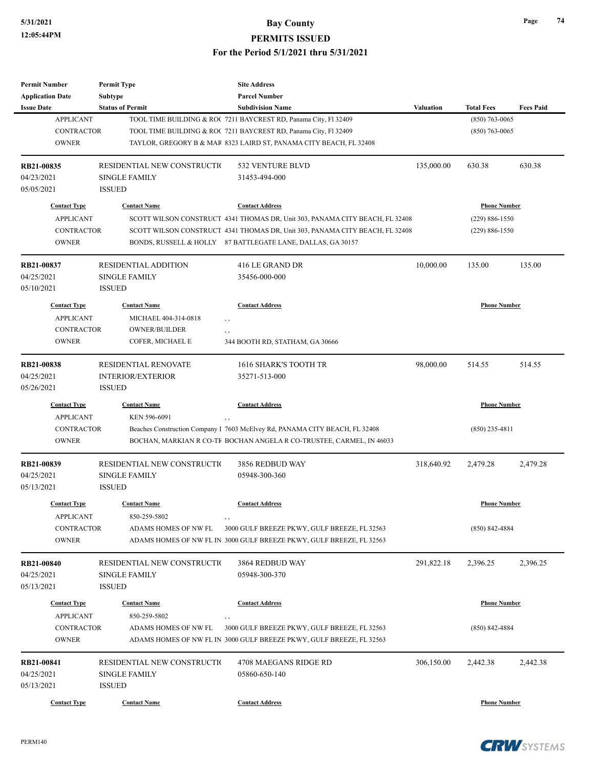#### **5/31/2021 Bay County PERMITS ISSUED**

| <b>Permit Number</b>              | <b>Permit Type</b>          | <b>Site Address</b>                                                                                                  |                     |                     |                  |
|-----------------------------------|-----------------------------|----------------------------------------------------------------------------------------------------------------------|---------------------|---------------------|------------------|
| <b>Application Date</b>           | <b>Subtype</b>              | <b>Parcel Number</b>                                                                                                 |                     |                     |                  |
| <b>Issue Date</b>                 | <b>Status of Permit</b>     | <b>Subdivision Name</b>                                                                                              | <b>Valuation</b>    | <b>Total Fees</b>   | <b>Fees Paid</b> |
| <b>APPLICANT</b>                  |                             | TOOL TIME BUILDING & ROC 7211 BAYCREST RD, Panama City, Fl 32409                                                     |                     | $(850)$ 763-0065    |                  |
| <b>CONTRACTOR</b>                 |                             | TOOL TIME BUILDING & ROC 7211 BAYCREST RD, Panama City, Fl 32409                                                     |                     | $(850)$ 763-0065    |                  |
| <b>OWNER</b>                      |                             | TAYLOR, GREGORY B & MAR 8323 LAIRD ST, PANAMA CITY BEACH, FL 32408                                                   |                     |                     |                  |
| RB21-00835                        | RESIDENTIAL NEW CONSTRUCTIO | 532 VENTURE BLVD                                                                                                     | 135,000.00          | 630.38              | 630.38           |
| 04/23/2021                        | <b>SINGLE FAMILY</b>        | 31453-494-000                                                                                                        |                     |                     |                  |
| 05/05/2021                        | <b>ISSUED</b>               |                                                                                                                      |                     |                     |                  |
| <b>Contact Type</b>               | <b>Contact Name</b>         | <b>Contact Address</b>                                                                                               |                     | <b>Phone Number</b> |                  |
| <b>APPLICANT</b>                  |                             | SCOTT WILSON CONSTRUCT 4341 THOMAS DR, Unit 303, PANAMA CITY BEACH, FL 32408                                         |                     | $(229) 886 - 1550$  |                  |
| <b>CONTRACTOR</b>                 |                             | SCOTT WILSON CONSTRUCT 4341 THOMAS DR, Unit 303, PANAMA CITY BEACH, FL 32408                                         |                     | $(229) 886 - 1550$  |                  |
| <b>OWNER</b>                      |                             | BONDS, RUSSELL & HOLLY 87 BATTLEGATE LANE, DALLAS, GA 30157                                                          |                     |                     |                  |
| RB21-00837                        | <b>RESIDENTIAL ADDITION</b> | 416 LE GRAND DR                                                                                                      | 10,000.00           | 135.00              | 135.00           |
| 04/25/2021                        | <b>SINGLE FAMILY</b>        | 35456-000-000                                                                                                        |                     |                     |                  |
| 05/10/2021                        | <b>ISSUED</b>               |                                                                                                                      |                     |                     |                  |
| <b>Contact Type</b>               | <b>Contact Name</b>         | <b>Contact Address</b>                                                                                               |                     | <b>Phone Number</b> |                  |
| <b>APPLICANT</b>                  | MICHAEL 404-314-0818        | , ,                                                                                                                  |                     |                     |                  |
| <b>CONTRACTOR</b>                 | <b>OWNER/BUILDER</b>        |                                                                                                                      |                     |                     |                  |
| <b>OWNER</b>                      | COFER, MICHAEL E            | , ,<br>344 BOOTH RD, STATHAM, GA 30666                                                                               |                     |                     |                  |
|                                   |                             |                                                                                                                      |                     |                     |                  |
| <b>RB21-00838</b>                 | RESIDENTIAL RENOVATE        | 1616 SHARK'S TOOTH TR                                                                                                | 98,000.00           | 514.55              | 514.55           |
| 04/25/2021                        | <b>INTERIOR/EXTERIOR</b>    | 35271-513-000                                                                                                        |                     |                     |                  |
| 05/26/2021                        | <b>ISSUED</b>               |                                                                                                                      |                     |                     |                  |
| <b>Contact Type</b>               | <b>Contact Name</b>         | <b>Contact Address</b>                                                                                               | <b>Phone Number</b> |                     |                  |
| <b>APPLICANT</b>                  | KEN 596-6091                | , ,                                                                                                                  |                     |                     |                  |
| <b>CONTRACTOR</b>                 |                             | Beaches Construction Company I 7603 McElvey Rd, PANAMA CITY BEACH, FL 32408                                          |                     | $(850)$ 235-4811    |                  |
| <b>OWNER</b>                      |                             | BOCHAN, MARKIAN R CO-TF BOCHAN ANGELA R CO-TRUSTEE, CARMEL, IN 46033                                                 |                     |                     |                  |
| RB21-00839                        | RESIDENTIAL NEW CONSTRUCTIO | 3856 REDBUD WAY                                                                                                      | 318,640.92          | 2,479.28            | 2,479.28         |
| 04/25/2021                        | <b>SINGLE FAMILY</b>        | 05948-300-360                                                                                                        |                     |                     |                  |
| 05/13/2021                        | <b>ISSUED</b>               |                                                                                                                      |                     |                     |                  |
| <b>Contact Type</b>               | <b>Contact Name</b>         | <b>Contact Address</b>                                                                                               |                     | <b>Phone Number</b> |                  |
| <b>APPLICANT</b>                  | 850-259-5802                |                                                                                                                      |                     |                     |                  |
|                                   |                             | $, \, , \,$                                                                                                          |                     |                     |                  |
| <b>CONTRACTOR</b><br><b>OWNER</b> | ADAMS HOMES OF NW FL        | 3000 GULF BREEZE PKWY, GULF BREEZE, FL 32563<br>ADAMS HOMES OF NW FL IN 3000 GULF BREEZE PKWY, GULF BREEZE, FL 32563 |                     | $(850) 842 - 4884$  |                  |
|                                   |                             |                                                                                                                      |                     |                     |                  |
| RB21-00840                        | RESIDENTIAL NEW CONSTRUCTIO | 3864 REDBUD WAY                                                                                                      | 291,822.18          | 2,396.25            | 2,396.25         |
| 04/25/2021                        | <b>SINGLE FAMILY</b>        | 05948-300-370                                                                                                        |                     |                     |                  |
| 05/13/2021                        | <b>ISSUED</b>               |                                                                                                                      |                     |                     |                  |
| <b>Contact Type</b>               | <b>Contact Name</b>         | <b>Contact Address</b>                                                                                               |                     | <b>Phone Number</b> |                  |
| <b>APPLICANT</b>                  | 850-259-5802                | , ,                                                                                                                  |                     |                     |                  |
| <b>CONTRACTOR</b>                 | ADAMS HOMES OF NW FL        | 3000 GULF BREEZE PKWY, GULF BREEZE, FL 32563                                                                         |                     | $(850) 842 - 4884$  |                  |
| <b>OWNER</b>                      |                             | ADAMS HOMES OF NW FL IN 3000 GULF BREEZE PKWY, GULF BREEZE, FL 32563                                                 |                     |                     |                  |
| RB21-00841                        | RESIDENTIAL NEW CONSTRUCTIO | 4708 MAEGANS RIDGE RD                                                                                                | 306,150.00          | 2,442.38            | 2,442.38         |
|                                   |                             |                                                                                                                      |                     |                     |                  |
| 04/25/2021                        | <b>SINGLE FAMILY</b>        | 05860-650-140                                                                                                        |                     |                     |                  |
| 05/13/2021                        | <b>ISSUED</b>               |                                                                                                                      |                     |                     |                  |
| <b>Contact Type</b>               | <b>Contact Name</b>         | <b>Contact Address</b>                                                                                               |                     | <b>Phone Number</b> |                  |

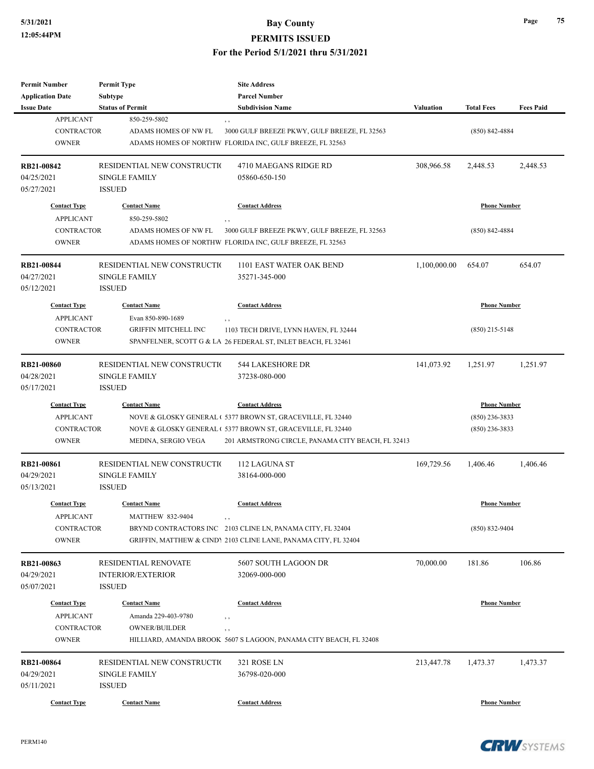| <b>Permit Number</b>     | <b>Permit Type</b>                    | <b>Site Address</b>                                               |                  |                     |                  |
|--------------------------|---------------------------------------|-------------------------------------------------------------------|------------------|---------------------|------------------|
| <b>Application Date</b>  | Subtype                               | <b>Parcel Number</b>                                              |                  |                     |                  |
| <b>Issue Date</b>        | <b>Status of Permit</b>               | <b>Subdivision Name</b>                                           | <b>Valuation</b> | <b>Total Fees</b>   | <b>Fees Paid</b> |
| <b>APPLICANT</b>         | 850-259-5802                          | , ,                                                               |                  |                     |                  |
| <b>CONTRACTOR</b>        | ADAMS HOMES OF NW FL                  | 3000 GULF BREEZE PKWY, GULF BREEZE, FL 32563                      |                  | $(850)$ 842-4884    |                  |
| <b>OWNER</b>             |                                       | ADAMS HOMES OF NORTHW FLORIDA INC, GULF BREEZE, FL 32563          |                  |                     |                  |
| RB21-00842               | RESIDENTIAL NEW CONSTRUCTIO           | 4710 MAEGANS RIDGE RD                                             | 308,966.58       | 2,448.53            | 2,448.53         |
| 04/25/2021               | <b>SINGLE FAMILY</b>                  | 05860-650-150                                                     |                  |                     |                  |
| 05/27/2021               | <b>ISSUED</b>                         |                                                                   |                  |                     |                  |
| <b>Contact Type</b>      | <b>Contact Name</b>                   | <b>Contact Address</b>                                            |                  | <b>Phone Number</b> |                  |
| <b>APPLICANT</b>         | 850-259-5802                          | , ,                                                               |                  |                     |                  |
| <b>CONTRACTOR</b>        | ADAMS HOMES OF NW FL                  | 3000 GULF BREEZE PKWY, GULF BREEZE, FL 32563                      |                  | $(850)$ 842-4884    |                  |
| <b>OWNER</b>             |                                       | ADAMS HOMES OF NORTHW FLORIDA INC, GULF BREEZE, FL 32563          |                  |                     |                  |
| RB21-00844               | RESIDENTIAL NEW CONSTRUCTIO           | 1101 EAST WATER OAK BEND                                          | 1,100,000.00     | 654.07              | 654.07           |
|                          |                                       |                                                                   |                  |                     |                  |
| 04/27/2021<br>05/12/2021 | <b>SINGLE FAMILY</b><br><b>ISSUED</b> | 35271-345-000                                                     |                  |                     |                  |
| <b>Contact Type</b>      | <b>Contact Name</b>                   | <b>Contact Address</b>                                            |                  | <b>Phone Number</b> |                  |
| <b>APPLICANT</b>         | Evan 850-890-1689                     | , ,                                                               |                  |                     |                  |
| <b>CONTRACTOR</b>        | GRIFFIN MITCHELL INC                  | 1103 TECH DRIVE, LYNN HAVEN, FL 32444                             |                  | $(850)$ 215-5148    |                  |
| <b>OWNER</b>             |                                       | SPANFELNER, SCOTT G & LA 26 FEDERAL ST, INLET BEACH, FL 32461     |                  |                     |                  |
|                          |                                       |                                                                   |                  |                     |                  |
| RB21-00860               | RESIDENTIAL NEW CONSTRUCTIO           | 544 LAKESHORE DR                                                  | 141,073.92       | 1,251.97            | 1,251.97         |
| 04/28/2021               | <b>SINGLE FAMILY</b>                  | 37238-080-000                                                     |                  |                     |                  |
| 05/17/2021               | <b>ISSUED</b>                         |                                                                   |                  |                     |                  |
| <b>Contact Type</b>      | <b>Contact Name</b>                   | <b>Contact Address</b>                                            |                  | <b>Phone Number</b> |                  |
| <b>APPLICANT</b>         |                                       | NOVE & GLOSKY GENERAL (5377 BROWN ST, GRACEVILLE, FL 32440        |                  | $(850)$ 236-3833    |                  |
| <b>CONTRACTOR</b>        |                                       | NOVE & GLOSKY GENERAL (5377 BROWN ST, GRACEVILLE, FL 32440        |                  | $(850)$ 236-3833    |                  |
| <b>OWNER</b>             | MEDINA, SERGIO VEGA                   | 201 ARMSTRONG CIRCLE, PANAMA CITY BEACH, FL 32413                 |                  |                     |                  |
| <b>RB21-00861</b>        | RESIDENTIAL NEW CONSTRUCTIO           | 112 LAGUNA ST                                                     | 169,729.56       | 1,406.46            | 1,406.46         |
| 04/29/2021               | <b>SINGLE FAMILY</b>                  | 38164-000-000                                                     |                  |                     |                  |
| 05/13/2021               | <b>ISSUED</b>                         |                                                                   |                  |                     |                  |
| <b>Contact Type</b>      | <b>Contact Name</b>                   | <b>Contact Address</b>                                            |                  | <b>Phone Number</b> |                  |
| <b>APPLICANT</b>         | MATTHEW 832-9404                      |                                                                   |                  |                     |                  |
| <b>CONTRACTOR</b>        |                                       | , ,<br>BRYND CONTRACTORS INC 2103 CLINE LN, PANAMA CITY, FL 32404 |                  | $(850) 832 - 9404$  |                  |
| <b>OWNER</b>             |                                       | GRIFFIN, MATTHEW & CINDY 2103 CLINE LANE, PANAMA CITY, FL 32404   |                  |                     |                  |
|                          |                                       |                                                                   |                  |                     |                  |
| RB21-00863               | RESIDENTIAL RENOVATE                  | 5607 SOUTH LAGOON DR                                              | 70,000.00        | 181.86              | 106.86           |
| 04/29/2021               | <b>INTERIOR/EXTERIOR</b>              | 32069-000-000                                                     |                  |                     |                  |
| 05/07/2021               | <b>ISSUED</b>                         |                                                                   |                  |                     |                  |
| <b>Contact Type</b>      | <b>Contact Name</b>                   | <b>Contact Address</b>                                            |                  | <b>Phone Number</b> |                  |
| <b>APPLICANT</b>         | Amanda 229-403-9780                   | , ,                                                               |                  |                     |                  |
| CONTRACTOR               | <b>OWNER/BUILDER</b>                  | , ,                                                               |                  |                     |                  |
| <b>OWNER</b>             |                                       | HILLIARD, AMANDA BROOK 5607 S LAGOON, PANAMA CITY BEACH, FL 32408 |                  |                     |                  |
| RB21-00864               |                                       |                                                                   |                  |                     | 1,473.37         |
|                          | RESIDENTIAL NEW CONSTRUCTIO           | 321 ROSE LN                                                       | 213,447.78       | 1,473.37            |                  |
| 04/29/2021               | SINGLE FAMILY                         | 36798-020-000                                                     |                  |                     |                  |
| 05/11/2021               | <b>ISSUED</b>                         |                                                                   |                  |                     |                  |
| <b>Contact Type</b>      | <b>Contact Name</b>                   | <b>Contact Address</b>                                            |                  | <b>Phone Number</b> |                  |

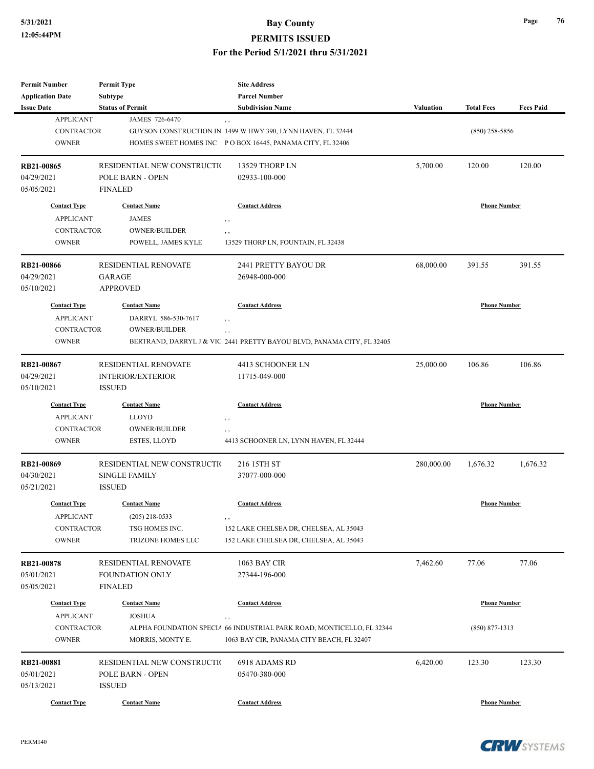| <b>Permit Number</b><br><b>Application Date</b>                              | <b>Permit Type</b><br><b>Subtype</b>                                           | <b>Site Address</b><br><b>Parcel Number</b>                                                                                                                 |            |                                           |                  |
|------------------------------------------------------------------------------|--------------------------------------------------------------------------------|-------------------------------------------------------------------------------------------------------------------------------------------------------------|------------|-------------------------------------------|------------------|
| <b>Issue Date</b>                                                            | <b>Status of Permit</b>                                                        | <b>Subdivision Name</b>                                                                                                                                     | Valuation  | <b>Total Fees</b>                         | <b>Fees Paid</b> |
| <b>APPLICANT</b><br><b>CONTRACTOR</b><br><b>OWNER</b>                        | JAMES 726-6470                                                                 | $, \, , \,$<br>GUYSON CONSTRUCTION IN 1499 W HWY 390, LYNN HAVEN, FL 32444<br>HOMES SWEET HOMES INC PO BOX 16445, PANAMA CITY, FL 32406                     |            | $(850)$ 258-5856                          |                  |
| <b>RB21-00865</b><br>04/29/2021<br>05/05/2021                                | RESIDENTIAL NEW CONSTRUCTION<br><b>POLE BARN - OPEN</b><br><b>FINALED</b>      | 13529 THORP LN<br>02933-100-000                                                                                                                             | 5,700.00   | 120.00                                    | 120.00           |
| <b>Contact Type</b><br><b>APPLICANT</b><br><b>CONTRACTOR</b><br><b>OWNER</b> | <b>Contact Name</b><br><b>JAMES</b><br>OWNER/BUILDER<br>POWELL, JAMES KYLE     | <b>Contact Address</b><br>$, \, , \,$<br>, ,<br>13529 THORP LN, FOUNTAIN, FL 32438                                                                          |            | <b>Phone Number</b>                       |                  |
| <b>RB21-00866</b><br>04/29/2021<br>05/10/2021                                | <b>RESIDENTIAL RENOVATE</b><br>GARAGE<br><b>APPROVED</b>                       | 2441 PRETTY BAYOU DR<br>26948-000-000                                                                                                                       | 68,000.00  | 391.55                                    | 391.55           |
| <b>Contact Type</b><br><b>APPLICANT</b><br><b>CONTRACTOR</b><br><b>OWNER</b> | <b>Contact Name</b><br>DARRYL 586-530-7617<br><b>OWNER/BUILDER</b>             | <b>Contact Address</b><br>, ,<br>, ,<br>BERTRAND, DARRYL J & VIC 2441 PRETTY BAYOU BLVD, PANAMA CITY, FL 32405                                              |            | <b>Phone Number</b>                       |                  |
| <b>RB21-00867</b><br>04/29/2021<br>05/10/2021                                | <b>RESIDENTIAL RENOVATE</b><br><b>INTERIOR/EXTERIOR</b><br><b>ISSUED</b>       | 4413 SCHOONER LN<br>11715-049-000                                                                                                                           | 25,000.00  | 106.86                                    | 106.86           |
| <b>Contact Type</b><br><b>APPLICANT</b><br><b>CONTRACTOR</b><br><b>OWNER</b> | <b>Contact Name</b><br>LLOYD<br><b>OWNER/BUILDER</b><br>ESTES, LLOYD           | <b>Contact Address</b><br>, ,<br>, ,<br>4413 SCHOONER LN, LYNN HAVEN, FL 32444                                                                              |            | <b>Phone Number</b>                       |                  |
| RB21-00869<br>04/30/2021<br>05/21/2021                                       | RESIDENTIAL NEW CONSTRUCTIO<br><b>SINGLE FAMILY</b><br><b>ISSUED</b>           | 216 15TH ST<br>37077-000-000                                                                                                                                | 280,000.00 | 1,676.32                                  | 1,676.32         |
| <b>Contact Type</b><br><b>APPLICANT</b><br><b>CONTRACTOR</b><br><b>OWNER</b> | <b>Contact Name</b><br>$(205)$ 218-0533<br>TSG HOMES INC.<br>TRIZONE HOMES LLC | <b>Contact Address</b><br>, ,<br>152 LAKE CHELSEA DR, CHELSEA, AL 35043<br>152 LAKE CHELSEA DR, CHELSEA, AL 35043                                           |            | <b>Phone Number</b>                       |                  |
| RB21-00878<br>05/01/2021<br>05/05/2021                                       | <b>RESIDENTIAL RENOVATE</b><br><b>FOUNDATION ONLY</b><br><b>FINALED</b>        | 1063 BAY CIR<br>27344-196-000                                                                                                                               | 7,462.60   | 77.06                                     | 77.06            |
| <b>Contact Type</b><br><b>APPLICANT</b><br><b>CONTRACTOR</b><br><b>OWNER</b> | <b>Contact Name</b><br><b>JOSHUA</b><br>MORRIS, MONTY E.                       | <b>Contact Address</b><br>$, \, , \,$<br>ALPHA FOUNDATION SPECIA 66 INDUSTRIAL PARK ROAD, MONTICELLO, FL 32344<br>1063 BAY CIR, PANAMA CITY BEACH, FL 32407 |            | <b>Phone Number</b><br>$(850) 877 - 1313$ |                  |
| <b>RB21-00881</b><br>05/01/2021<br>05/13/2021                                | RESIDENTIAL NEW CONSTRUCTION<br>POLE BARN - OPEN<br><b>ISSUED</b>              | 6918 ADAMS RD<br>05470-380-000                                                                                                                              | 6,420.00   | 123.30                                    | 123.30           |
| <b>Contact Type</b>                                                          | <b>Contact Name</b>                                                            | <b>Contact Address</b>                                                                                                                                      |            | <b>Phone Number</b>                       |                  |

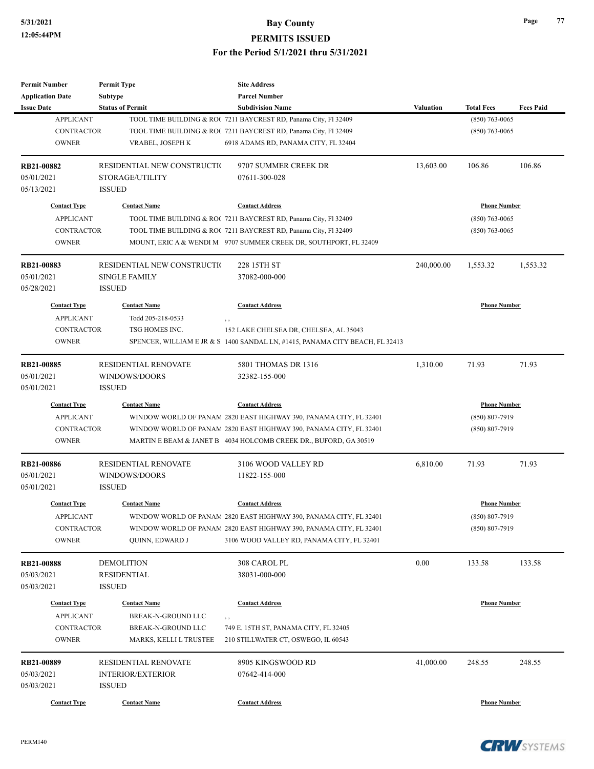| <b>Permit Number</b>    | <b>Permit Type</b>          | <b>Site Address</b>                                                           |                  |                     |                  |
|-------------------------|-----------------------------|-------------------------------------------------------------------------------|------------------|---------------------|------------------|
| <b>Application Date</b> | Subtype                     | <b>Parcel Number</b>                                                          |                  |                     |                  |
| <b>Issue Date</b>       | <b>Status of Permit</b>     | <b>Subdivision Name</b>                                                       | <b>Valuation</b> | <b>Total Fees</b>   | <b>Fees Paid</b> |
| <b>APPLICANT</b>        |                             | TOOL TIME BUILDING & ROC 7211 BAYCREST RD, Panama City, Fl 32409              |                  | $(850) 763 - 0065$  |                  |
| <b>CONTRACTOR</b>       |                             | TOOL TIME BUILDING & ROC 7211 BAYCREST RD, Panama City, Fl 32409              |                  | $(850)$ 763-0065    |                  |
| <b>OWNER</b>            | VRABEL, JOSEPH K            | 6918 ADAMS RD, PANAMA CITY, FL 32404                                          |                  |                     |                  |
| RB21-00882              | RESIDENTIAL NEW CONSTRUCTIO | 9707 SUMMER CREEK DR                                                          | 13,603.00        | 106.86              | 106.86           |
| 05/01/2021              | STORAGE/UTILITY             | 07611-300-028                                                                 |                  |                     |                  |
| 05/13/2021              | <b>ISSUED</b>               |                                                                               |                  |                     |                  |
| <b>Contact Type</b>     | <b>Contact Name</b>         | <b>Contact Address</b>                                                        |                  | <b>Phone Number</b> |                  |
| <b>APPLICANT</b>        |                             | TOOL TIME BUILDING & ROC 7211 BAYCREST RD, Panama City, Fl 32409              |                  | $(850)$ 763-0065    |                  |
| <b>CONTRACTOR</b>       |                             | TOOL TIME BUILDING & ROC 7211 BAYCREST RD, Panama City, Fl 32409              |                  | $(850)$ 763-0065    |                  |
| <b>OWNER</b>            |                             | MOUNT, ERIC A & WENDI M 9707 SUMMER CREEK DR, SOUTHPORT, FL 32409             |                  |                     |                  |
| RB21-00883              | RESIDENTIAL NEW CONSTRUCTIO | 228 15TH ST                                                                   | 240,000.00       | 1,553.32            | 1,553.32         |
| 05/01/2021              | <b>SINGLE FAMILY</b>        | 37082-000-000                                                                 |                  |                     |                  |
| 05/28/2021              | <b>ISSUED</b>               |                                                                               |                  |                     |                  |
| <b>Contact Type</b>     | <b>Contact Name</b>         | <b>Contact Address</b>                                                        |                  | <b>Phone Number</b> |                  |
| <b>APPLICANT</b>        | Todd 205-218-0533           | ,,                                                                            |                  |                     |                  |
| <b>CONTRACTOR</b>       | TSG HOMES INC.              | 152 LAKE CHELSEA DR, CHELSEA, AL 35043                                        |                  |                     |                  |
| <b>OWNER</b>            |                             | SPENCER, WILLIAM E JR & S. 1400 SANDAL LN, #1415, PANAMA CITY BEACH, FL 32413 |                  |                     |                  |
|                         |                             |                                                                               |                  |                     |                  |
| <b>RB21-00885</b>       | RESIDENTIAL RENOVATE        | 5801 THOMAS DR 1316                                                           | 1,310.00         | 71.93               | 71.93            |
| 05/01/2021              | WINDOWS/DOORS               | 32382-155-000                                                                 |                  |                     |                  |
| 05/01/2021              | <b>ISSUED</b>               |                                                                               |                  |                     |                  |
| <b>Contact Type</b>     | <b>Contact Name</b>         | <b>Contact Address</b>                                                        |                  | <b>Phone Number</b> |                  |
| <b>APPLICANT</b>        |                             | WINDOW WORLD OF PANAM 2820 EAST HIGHWAY 390, PANAMA CITY, FL 32401            |                  | $(850) 807 - 7919$  |                  |
| <b>CONTRACTOR</b>       |                             | WINDOW WORLD OF PANAM 2820 EAST HIGHWAY 390, PANAMA CITY, FL 32401            |                  | $(850) 807 - 7919$  |                  |
| <b>OWNER</b>            |                             | MARTIN E BEAM & JANET B 4034 HOLCOMB CREEK DR., BUFORD, GA 30519              |                  |                     |                  |
| RB21-00886              | <b>RESIDENTIAL RENOVATE</b> | 3106 WOOD VALLEY RD                                                           | 6,810.00         | 71.93               | 71.93            |
| 05/01/2021              | WINDOWS/DOORS               | 11822-155-000                                                                 |                  |                     |                  |
| 05/01/2021              | <b>ISSUED</b>               |                                                                               |                  |                     |                  |
| <b>Contact Type</b>     | <b>Contact Name</b>         | <b>Contact Address</b>                                                        |                  | <b>Phone Number</b> |                  |
| <b>APPLICANT</b>        |                             | WINDOW WORLD OF PANAM  2820 EAST HIGHWAY 390, PANAMA CITY, FL 32401           |                  | $(850) 807 - 7919$  |                  |
| <b>CONTRACTOR</b>       |                             | WINDOW WORLD OF PANAM 2820 EAST HIGHWAY 390, PANAMA CITY, FL 32401            |                  | $(850) 807 - 7919$  |                  |
| <b>OWNER</b>            | QUINN, EDWARD J             | 3106 WOOD VALLEY RD, PANAMA CITY, FL 32401                                    |                  |                     |                  |
| RB21-00888              | <b>DEMOLITION</b>           | 308 CAROL PL                                                                  | 0.00             | 133.58              | 133.58           |
| 05/03/2021              | RESIDENTIAL                 | 38031-000-000                                                                 |                  |                     |                  |
| 05/03/2021              | <b>ISSUED</b>               |                                                                               |                  |                     |                  |
| <b>Contact Type</b>     | <b>Contact Name</b>         | <b>Contact Address</b>                                                        |                  | <b>Phone Number</b> |                  |
|                         |                             |                                                                               |                  |                     |                  |
| <b>APPLICANT</b>        | BREAK-N-GROUND LLC          | $, \, , \,$                                                                   |                  |                     |                  |
| <b>CONTRACTOR</b>       | BREAK-N-GROUND LLC          | 749 E. 15TH ST, PANAMA CITY, FL 32405                                         |                  |                     |                  |
| <b>OWNER</b>            | MARKS, KELLI L TRUSTEE      | 210 STILLWATER CT, OSWEGO, IL 60543                                           |                  |                     |                  |
| RB21-00889              | RESIDENTIAL RENOVATE        | 8905 KINGSWOOD RD                                                             | 41,000.00        | 248.55              | 248.55           |
| 05/03/2021              | <b>INTERIOR/EXTERIOR</b>    | 07642-414-000                                                                 |                  |                     |                  |
| 05/03/2021              | <b>ISSUED</b>               |                                                                               |                  |                     |                  |
| <b>Contact Type</b>     | <b>Contact Name</b>         | <b>Contact Address</b>                                                        |                  | <b>Phone Number</b> |                  |
|                         |                             |                                                                               |                  |                     |                  |

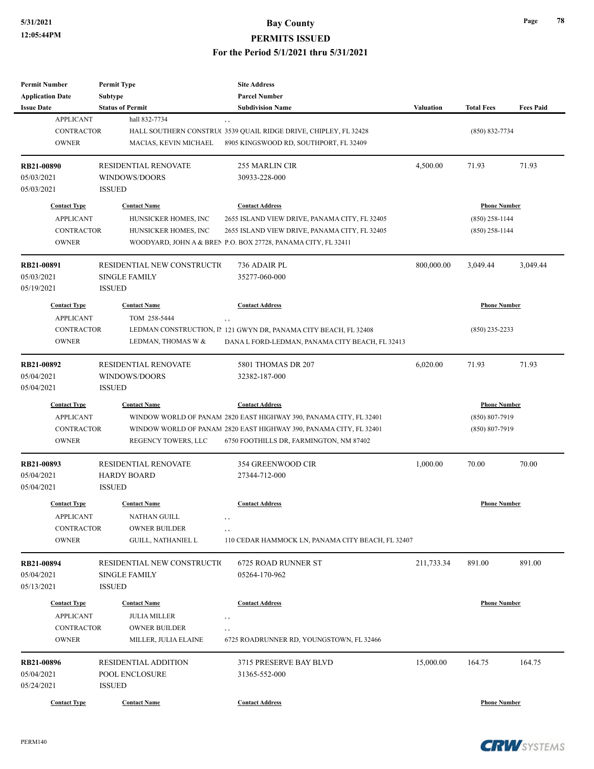| <b>Permit Number</b>    | <b>Permit Type</b>           | <b>Site Address</b>                                                |                  |                     |                  |
|-------------------------|------------------------------|--------------------------------------------------------------------|------------------|---------------------|------------------|
| <b>Application Date</b> | <b>Subtype</b>               | <b>Parcel Number</b>                                               |                  |                     |                  |
| <b>Issue Date</b>       | <b>Status of Permit</b>      | <b>Subdivision Name</b>                                            | <b>Valuation</b> | <b>Total Fees</b>   | <b>Fees Paid</b> |
| <b>APPLICANT</b>        | hall 832-7734                | , ,                                                                |                  |                     |                  |
| CONTRACTOR              |                              | HALL SOUTHERN CONSTRU(3539 QUAIL RIDGE DRIVE, CHIPLEY, FL 32428    |                  | $(850) 832 - 7734$  |                  |
| <b>OWNER</b>            | MACIAS, KEVIN MICHAEL        | 8905 KINGSWOOD RD, SOUTHPORT, FL 32409                             |                  |                     |                  |
|                         |                              |                                                                    |                  |                     |                  |
| <b>RB21-00890</b>       | RESIDENTIAL RENOVATE         | <b>255 MARLIN CIR</b>                                              | 4,500.00         | 71.93               | 71.93            |
| 05/03/2021              | WINDOWS/DOORS                | 30933-228-000                                                      |                  |                     |                  |
| 05/03/2021              | <b>ISSUED</b>                |                                                                    |                  |                     |                  |
| <b>Contact Type</b>     | <b>Contact Name</b>          | <b>Contact Address</b>                                             |                  | <b>Phone Number</b> |                  |
| <b>APPLICANT</b>        | HUNSICKER HOMES, INC         | 2655 ISLAND VIEW DRIVE, PANAMA CITY, FL 32405                      |                  | $(850)$ 258-1144    |                  |
| CONTRACTOR              | HUNSICKER HOMES, INC         | 2655 ISLAND VIEW DRIVE, PANAMA CITY, FL 32405                      |                  | (850) 258-1144      |                  |
| <b>OWNER</b>            |                              | WOODYARD, JOHN A & BREN P.O. BOX 27728, PANAMA CITY, FL 32411      |                  |                     |                  |
|                         |                              |                                                                    |                  |                     |                  |
| RB21-00891              | RESIDENTIAL NEW CONSTRUCTION | 736 ADAIR PL                                                       | 800,000.00       | 3,049.44            | 3,049.44         |
| 05/03/2021              | <b>SINGLE FAMILY</b>         | 35277-060-000                                                      |                  |                     |                  |
| 05/19/2021              | <b>ISSUED</b>                |                                                                    |                  |                     |                  |
| <b>Contact Type</b>     | <b>Contact Name</b>          | <b>Contact Address</b>                                             |                  | <b>Phone Number</b> |                  |
| <b>APPLICANT</b>        | TOM 258-5444                 | , ,                                                                |                  |                     |                  |
| <b>CONTRACTOR</b>       |                              | LEDMAN CONSTRUCTION, IP 121 GWYN DR, PANAMA CITY BEACH, FL 32408   |                  | $(850)$ 235-2233    |                  |
| <b>OWNER</b>            | LEDMAN, THOMAS W &           | DANA L FORD-LEDMAN, PANAMA CITY BEACH, FL 32413                    |                  |                     |                  |
|                         |                              |                                                                    |                  |                     |                  |
| RB21-00892              | RESIDENTIAL RENOVATE         | 5801 THOMAS DR 207                                                 | 6,020.00         | 71.93               | 71.93            |
| 05/04/2021              | WINDOWS/DOORS                | 32382-187-000                                                      |                  |                     |                  |
| 05/04/2021              | <b>ISSUED</b>                |                                                                    |                  |                     |                  |
| <b>Contact Type</b>     | <b>Contact Name</b>          | <b>Contact Address</b>                                             |                  | <b>Phone Number</b> |                  |
|                         |                              |                                                                    |                  |                     |                  |
| <b>APPLICANT</b>        |                              | WINDOW WORLD OF PANAM 2820 EAST HIGHWAY 390, PANAMA CITY, FL 32401 |                  | $(850) 807 - 7919$  |                  |
| <b>CONTRACTOR</b>       |                              | WINDOW WORLD OF PANAM 2820 EAST HIGHWAY 390, PANAMA CITY, FL 32401 |                  | $(850) 807 - 7919$  |                  |
| <b>OWNER</b>            | REGENCY TOWERS, LLC          | 6750 FOOTHILLS DR, FARMINGTON, NM 87402                            |                  |                     |                  |
| RB21-00893              | <b>RESIDENTIAL RENOVATE</b>  | 354 GREENWOOD CIR                                                  | 1,000.00         | 70.00               | 70.00            |
| 05/04/2021              | <b>HARDY BOARD</b>           | 27344-712-000                                                      |                  |                     |                  |
| 05/04/2021              | <b>ISSUED</b>                |                                                                    |                  |                     |                  |
|                         |                              |                                                                    |                  |                     |                  |
| <b>Contact Type</b>     | <b>Contact Name</b>          | <b>Contact Address</b>                                             |                  | <b>Phone Number</b> |                  |
| <b>APPLICANT</b>        | NATHAN GUILL                 | , ,                                                                |                  |                     |                  |
| CONTRACTOR              | <b>OWNER BUILDER</b>         | $, \, ,$                                                           |                  |                     |                  |
| <b>OWNER</b>            | <b>GUILL, NATHANIEL L</b>    | 110 CEDAR HAMMOCK LN, PANAMA CITY BEACH, FL 32407                  |                  |                     |                  |
|                         |                              |                                                                    |                  |                     |                  |
| RB21-00894              | RESIDENTIAL NEW CONSTRUCTIO  | <b>6725 ROAD RUNNER ST</b>                                         | 211,733.34       | 891.00              | 891.00           |
| 05/04/2021              | SINGLE FAMILY                | 05264-170-962                                                      |                  |                     |                  |
| 05/13/2021              | <b>ISSUED</b>                |                                                                    |                  |                     |                  |
| <b>Contact Type</b>     | <b>Contact Name</b>          | <b>Contact Address</b>                                             |                  | <b>Phone Number</b> |                  |
| <b>APPLICANT</b>        | <b>JULIA MILLER</b>          | , ,                                                                |                  |                     |                  |
| CONTRACTOR              | <b>OWNER BUILDER</b>         | , ,                                                                |                  |                     |                  |
| <b>OWNER</b>            | MILLER, JULIA ELAINE         | 6725 ROADRUNNER RD, YOUNGSTOWN, FL 32466                           |                  |                     |                  |
|                         |                              |                                                                    |                  |                     |                  |
| RB21-00896              | RESIDENTIAL ADDITION         | 3715 PRESERVE BAY BLVD                                             | 15,000.00        | 164.75              | 164.75           |
| 05/04/2021              | POOL ENCLOSURE               | 31365-552-000                                                      |                  |                     |                  |
| 05/24/2021              | <b>ISSUED</b>                |                                                                    |                  |                     |                  |
| <b>Contact Type</b>     | <b>Contact Name</b>          | <b>Contact Address</b>                                             |                  | <b>Phone Number</b> |                  |

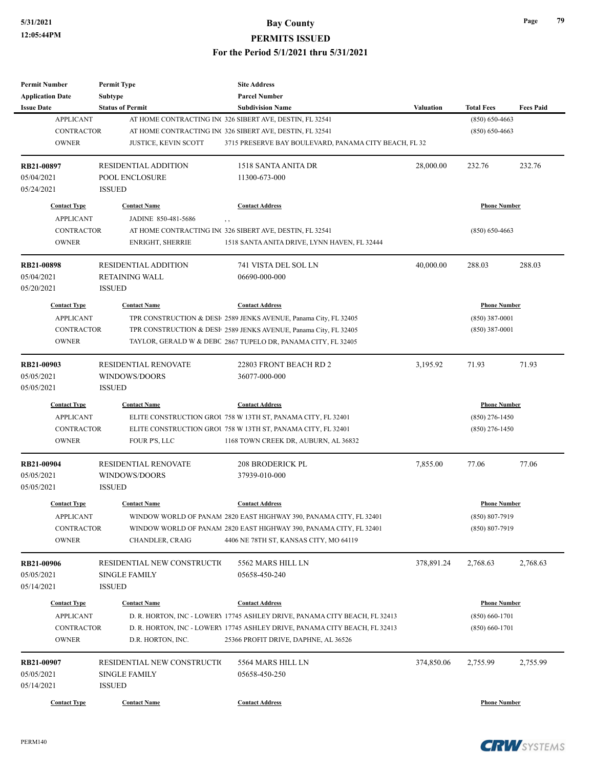**PERMITS ISSUED**

| Permit Number            | <b>Permit Type</b>           | <b>Site Address</b>                                                           |                     |                     |                  |
|--------------------------|------------------------------|-------------------------------------------------------------------------------|---------------------|---------------------|------------------|
| <b>Application Date</b>  | <b>Subtype</b>               | <b>Parcel Number</b>                                                          |                     |                     |                  |
| <b>Issue Date</b>        | <b>Status of Permit</b>      | <b>Subdivision Name</b>                                                       | Valuation           | <b>Total Fees</b>   | <b>Fees Paid</b> |
| <b>APPLICANT</b>         |                              | AT HOME CONTRACTING INC 326 SIBERT AVE, DESTIN, FL 32541                      |                     | $(850) 650 - 4663$  |                  |
| <b>CONTRACTOR</b>        |                              | AT HOME CONTRACTING INC 326 SIBERT AVE, DESTIN, FL 32541                      |                     | $(850) 650 - 4663$  |                  |
| <b>OWNER</b>             | <b>JUSTICE, KEVIN SCOTT</b>  | 3715 PRESERVE BAY BOULEVARD, PANAMA CITY BEACH, FL 32                         |                     |                     |                  |
| RB21-00897               | <b>RESIDENTIAL ADDITION</b>  | 1518 SANTA ANITA DR                                                           | 28,000.00           | 232.76              | 232.76           |
| 05/04/2021               | POOL ENCLOSURE               | 11300-673-000                                                                 |                     |                     |                  |
| 05/24/2021               | <b>ISSUED</b>                |                                                                               |                     |                     |                  |
| <b>Contact Type</b>      | <b>Contact Name</b>          | <b>Contact Address</b>                                                        |                     | <b>Phone Number</b> |                  |
| <b>APPLICANT</b>         | JADINE 850-481-5686          |                                                                               |                     |                     |                  |
| <b>CONTRACTOR</b>        |                              | AT HOME CONTRACTING INC 326 SIBERT AVE, DESTIN, FL 32541                      |                     | $(850) 650 - 4663$  |                  |
| <b>OWNER</b>             | <b>ENRIGHT, SHERRIE</b>      | 1518 SANTA ANITA DRIVE, LYNN HAVEN, FL 32444                                  |                     |                     |                  |
| RB21-00898               | <b>RESIDENTIAL ADDITION</b>  | 741 VISTA DEL SOL LN                                                          | 40,000.00           | 288.03              | 288.03           |
| 05/04/2021               | <b>RETAINING WALL</b>        | 06690-000-000                                                                 |                     |                     |                  |
| 05/20/2021               | <b>ISSUED</b>                |                                                                               |                     |                     |                  |
| <b>Contact Type</b>      | <b>Contact Name</b>          | <b>Contact Address</b>                                                        |                     | <b>Phone Number</b> |                  |
| <b>APPLICANT</b>         |                              | TPR CONSTRUCTION & DESI <sup>1</sup> 2589 JENKS AVENUE, Panama City, FL 32405 |                     | $(850)$ 387-0001    |                  |
| <b>CONTRACTOR</b>        |                              | TPR CONSTRUCTION & DESI <sup>1</sup> 2589 JENKS AVENUE, Panama City, FL 32405 |                     | $(850)$ 387-0001    |                  |
| <b>OWNER</b>             |                              | TAYLOR, GERALD W & DEBC 2867 TUPELO DR, PANAMA CITY, FL 32405                 |                     |                     |                  |
|                          |                              |                                                                               |                     |                     |                  |
| RB21-00903               | <b>RESIDENTIAL RENOVATE</b>  | 22803 FRONT BEACH RD 2                                                        | 3,195.92            | 71.93               | 71.93            |
| 05/05/2021               | WINDOWS/DOORS                | 36077-000-000                                                                 |                     |                     |                  |
| 05/05/2021               | <b>ISSUED</b>                |                                                                               |                     |                     |                  |
| <b>Contact Type</b>      | <b>Contact Name</b>          | <b>Contact Address</b>                                                        | <b>Phone Number</b> |                     |                  |
| <b>APPLICANT</b>         |                              | ELITE CONSTRUCTION GROU 758 W 13TH ST, PANAMA CITY, FL 32401                  |                     | $(850)$ 276-1450    |                  |
| <b>CONTRACTOR</b>        |                              | ELITE CONSTRUCTION GROU 758 W 13TH ST, PANAMA CITY, FL 32401                  |                     | $(850)$ 276-1450    |                  |
| <b>OWNER</b>             | FOUR P'S, LLC                | 1168 TOWN CREEK DR, AUBURN, AL 36832                                          |                     |                     |                  |
| RB21-00904               | <b>RESIDENTIAL RENOVATE</b>  | 208 BRODERICK PL                                                              | 7,855.00            | 77.06               | 77.06            |
| 05/05/2021               | WINDOWS/DOORS                | 37939-010-000                                                                 |                     |                     |                  |
| 05/05/2021               | <b>ISSUED</b>                |                                                                               |                     |                     |                  |
| <b>Contact Type</b>      | <b>Contact Name</b>          | <b>Contact Address</b>                                                        |                     | <b>Phone Number</b> |                  |
| APPLICANT                |                              | WINDOW WORLD OF PANAM 2820 EAST HIGHWAY 390, PANAMA CITY, FL 32401            |                     | (850) 807-7919      |                  |
| CONTRACTOR               |                              | WINDOW WORLD OF PANAM 2820 EAST HIGHWAY 390, PANAMA CITY, FL 32401            |                     | $(850) 807 - 7919$  |                  |
| <b>OWNER</b>             | CHANDLER, CRAIG              | 4406 NE 78TH ST, KANSAS CITY, MO 64119                                        |                     |                     |                  |
|                          | RESIDENTIAL NEW CONSTRUCTION | 5562 MARS HILL LN                                                             | 378,891.24          | 2,768.63            | 2,768.63         |
| RB21-00906<br>05/05/2021 | <b>SINGLE FAMILY</b>         | 05658-450-240                                                                 |                     |                     |                  |
| 05/14/2021               |                              |                                                                               |                     |                     |                  |
|                          | <b>ISSUED</b>                |                                                                               |                     |                     |                  |
| <b>Contact Type</b>      | <b>Contact Name</b>          | <b>Contact Address</b>                                                        |                     | <b>Phone Number</b> |                  |
| <b>APPLICANT</b>         |                              | D. R. HORTON, INC - LOWERY 17745 ASHLEY DRIVE, PANAMA CITY BEACH, FL 32413    |                     | $(850) 660 - 1701$  |                  |
| <b>CONTRACTOR</b>        |                              | D. R. HORTON, INC - LOWERY 17745 ASHLEY DRIVE, PANAMA CITY BEACH, FL 32413    |                     | $(850) 660 - 1701$  |                  |
| <b>OWNER</b>             | D.R. HORTON, INC.            | 25366 PROFIT DRIVE, DAPHNE, AL 36526                                          |                     |                     |                  |
| RB21-00907               | RESIDENTIAL NEW CONSTRUCTIO  | 5564 MARS HILL LN                                                             | 374,850.06          | 2,755.99            | 2,755.99         |
| 05/05/2021               | SINGLE FAMILY                | 05658-450-250                                                                 |                     |                     |                  |
| 05/14/2021               | <b>ISSUED</b>                |                                                                               |                     |                     |                  |
|                          |                              |                                                                               |                     |                     |                  |
| <b>Contact Type</b>      | <b>Contact Name</b>          | <b>Contact Address</b>                                                        |                     | <b>Phone Number</b> |                  |

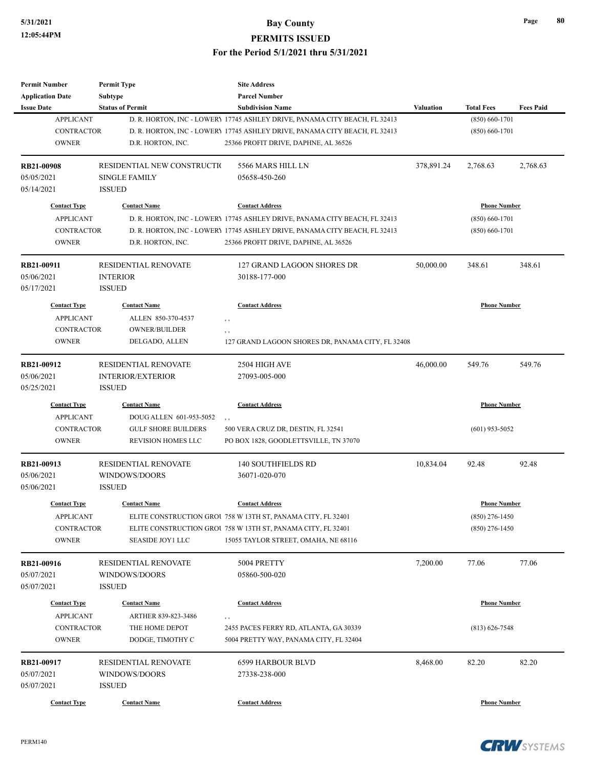#### **5/31/2021 Bay County PERMITS ISSUED**

| <b>Permit Number</b>    | <b>Permit Type</b>          | <b>Site Address</b>                                                        |            |                     |                  |
|-------------------------|-----------------------------|----------------------------------------------------------------------------|------------|---------------------|------------------|
| <b>Application Date</b> | Subtype                     | <b>Parcel Number</b>                                                       |            |                     |                  |
| <b>Issue Date</b>       | <b>Status of Permit</b>     | <b>Subdivision Name</b>                                                    | Valuation  | <b>Total Fees</b>   | <b>Fees Paid</b> |
| <b>APPLICANT</b>        |                             | D. R. HORTON, INC - LOWERY 17745 ASHLEY DRIVE, PANAMA CITY BEACH, FL 32413 |            | $(850) 660 - 1701$  |                  |
| <b>CONTRACTOR</b>       |                             | D. R. HORTON, INC - LOWERY 17745 ASHLEY DRIVE, PANAMA CITY BEACH, FL 32413 |            | $(850) 660 - 1701$  |                  |
| <b>OWNER</b>            | D.R. HORTON, INC.           | 25366 PROFIT DRIVE, DAPHNE, AL 36526                                       |            |                     |                  |
| <b>RB21-00908</b>       | RESIDENTIAL NEW CONSTRUCTIO | 5566 MARS HILL LN                                                          | 378,891.24 | 2,768.63            | 2,768.63         |
| 05/05/2021              | <b>SINGLE FAMILY</b>        | 05658-450-260                                                              |            |                     |                  |
| 05/14/2021              | <b>ISSUED</b>               |                                                                            |            |                     |                  |
| <b>Contact Type</b>     | <b>Contact Name</b>         | <b>Contact Address</b>                                                     |            | <b>Phone Number</b> |                  |
| <b>APPLICANT</b>        |                             | D. R. HORTON, INC - LOWERY 17745 ASHLEY DRIVE, PANAMA CITY BEACH, FL 32413 |            | $(850) 660 - 1701$  |                  |
| <b>CONTRACTOR</b>       |                             | D. R. HORTON, INC - LOWERY 17745 ASHLEY DRIVE, PANAMA CITY BEACH, FL 32413 |            | $(850) 660 - 1701$  |                  |
| <b>OWNER</b>            | D.R. HORTON, INC.           | 25366 PROFIT DRIVE, DAPHNE, AL 36526                                       |            |                     |                  |
| RB21-00911              | <b>RESIDENTIAL RENOVATE</b> | 127 GRAND LAGOON SHORES DR                                                 | 50,000.00  | 348.61              | 348.61           |
| 05/06/2021              |                             |                                                                            |            |                     |                  |
|                         | <b>INTERIOR</b>             | 30188-177-000                                                              |            |                     |                  |
| 05/17/2021              | <b>ISSUED</b>               |                                                                            |            |                     |                  |
| <b>Contact Type</b>     | <b>Contact Name</b>         | <b>Contact Address</b>                                                     |            | <b>Phone Number</b> |                  |
| <b>APPLICANT</b>        | ALLEN 850-370-4537          | , ,                                                                        |            |                     |                  |
| <b>CONTRACTOR</b>       | <b>OWNER/BUILDER</b>        | , ,                                                                        |            |                     |                  |
| <b>OWNER</b>            | DELGADO, ALLEN              | 127 GRAND LAGOON SHORES DR, PANAMA CITY, FL 32408                          |            |                     |                  |
| RB21-00912              | RESIDENTIAL RENOVATE        | 2504 HIGH AVE                                                              | 46,000.00  | 549.76              | 549.76           |
| 05/06/2021              | <b>INTERIOR/EXTERIOR</b>    | 27093-005-000                                                              |            |                     |                  |
| 05/25/2021              | <b>ISSUED</b>               |                                                                            |            |                     |                  |
| <b>Contact Type</b>     | <b>Contact Name</b>         | <b>Contact Address</b>                                                     |            | <b>Phone Number</b> |                  |
| <b>APPLICANT</b>        | DOUG ALLEN 601-953-5052     | $, \, , \,$                                                                |            |                     |                  |
| <b>CONTRACTOR</b>       | <b>GULF SHORE BUILDERS</b>  | 500 VERA CRUZ DR, DESTIN, FL 32541                                         |            | $(601)$ 953-5052    |                  |
| <b>OWNER</b>            | <b>REVISION HOMES LLC</b>   | PO BOX 1828, GOODLETTSVILLE, TN 37070                                      |            |                     |                  |
| RB21-00913              | <b>RESIDENTIAL RENOVATE</b> | <b>140 SOUTHFIELDS RD</b>                                                  | 10,834.04  | 92.48               | 92.48            |
| 05/06/2021              | WINDOWS/DOORS               | 36071-020-070                                                              |            |                     |                  |
| 05/06/2021              | <b>ISSUED</b>               |                                                                            |            |                     |                  |
| <b>Contact Type</b>     | <b>Contact Name</b>         | <b>Contact Address</b>                                                     |            | <b>Phone Number</b> |                  |
|                         |                             |                                                                            |            |                     |                  |
| <b>APPLICANT</b>        |                             | ELITE CONSTRUCTION GROU 758 W 13TH ST, PANAMA CITY, FL 32401               |            | $(850)$ 276-1450    |                  |
| CONTRACTOR              |                             | ELITE CONSTRUCTION GROU 758 W 13TH ST, PANAMA CITY, FL 32401               |            | $(850)$ 276-1450    |                  |
| <b>OWNER</b>            | <b>SEASIDE JOY1 LLC</b>     | 15055 TAYLOR STREET, OMAHA, NE 68116                                       |            |                     |                  |
| RB21-00916              | <b>RESIDENTIAL RENOVATE</b> | 5004 PRETTY                                                                | 7,200.00   | 77.06               | 77.06            |
| 05/07/2021              | WINDOWS/DOORS               | 05860-500-020                                                              |            |                     |                  |
| 05/07/2021              | <b>ISSUED</b>               |                                                                            |            |                     |                  |
| <b>Contact Type</b>     | <b>Contact Name</b>         | <b>Contact Address</b>                                                     |            | <b>Phone Number</b> |                  |
| <b>APPLICANT</b>        | ARTHER 839-823-3486         | $, \, , \,$                                                                |            |                     |                  |
| <b>CONTRACTOR</b>       | THE HOME DEPOT              | 2455 PACES FERRY RD, ATLANTA, GA 30339                                     |            | $(813) 626 - 7548$  |                  |
| <b>OWNER</b>            | DODGE, TIMOTHY C            | 5004 PRETTY WAY, PANAMA CITY, FL 32404                                     |            |                     |                  |
| RB21-00917              | RESIDENTIAL RENOVATE        | <b>6599 HARBOUR BLVD</b>                                                   | 8,468.00   | 82.20               | 82.20            |
| 05/07/2021              |                             |                                                                            |            |                     |                  |
|                         | WINDOWS/DOORS               | 27338-238-000                                                              |            |                     |                  |
| 05/07/2021              | <b>ISSUED</b>               |                                                                            |            |                     |                  |
| <b>Contact Type</b>     | <b>Contact Name</b>         | <b>Contact Address</b>                                                     |            | <b>Phone Number</b> |                  |



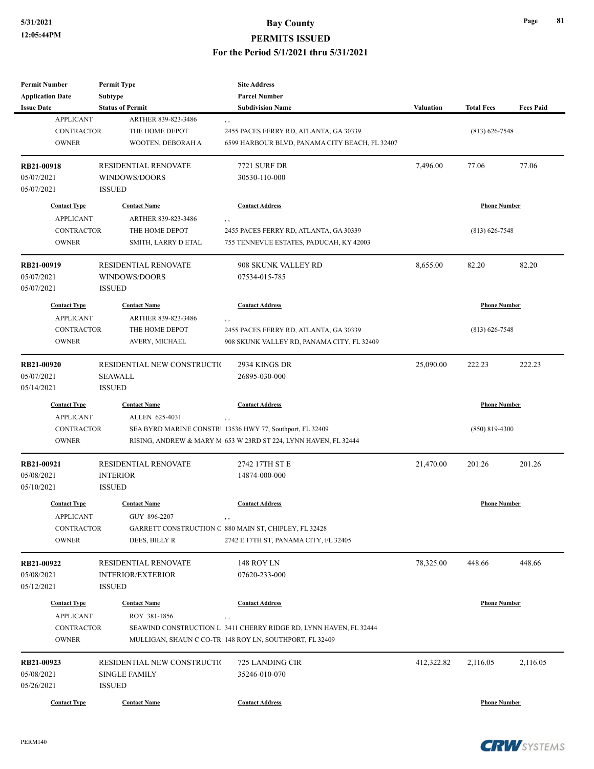| <b>Permit Number</b>    | <b>Permit Type</b>          | <b>Site Address</b>                                               |                  |                     |                  |
|-------------------------|-----------------------------|-------------------------------------------------------------------|------------------|---------------------|------------------|
| <b>Application Date</b> | Subtype                     | <b>Parcel Number</b>                                              |                  |                     |                  |
| <b>Issue Date</b>       | <b>Status of Permit</b>     | <b>Subdivision Name</b>                                           | <b>Valuation</b> | <b>Total Fees</b>   | <b>Fees Paid</b> |
| <b>APPLICANT</b>        | ARTHER 839-823-3486         | , ,                                                               |                  |                     |                  |
| <b>CONTRACTOR</b>       | THE HOME DEPOT              | 2455 PACES FERRY RD, ATLANTA, GA 30339                            |                  | $(813) 626 - 7548$  |                  |
| <b>OWNER</b>            | WOOTEN, DEBORAH A           | 6599 HARBOUR BLVD, PANAMA CITY BEACH, FL 32407                    |                  |                     |                  |
|                         |                             |                                                                   |                  |                     |                  |
| RB21-00918              | <b>RESIDENTIAL RENOVATE</b> | <b>7721 SURF DR</b>                                               | 7,496.00         | 77.06               | 77.06            |
| 05/07/2021              | WINDOWS/DOORS               | 30530-110-000                                                     |                  |                     |                  |
| 05/07/2021              | <b>ISSUED</b>               |                                                                   |                  |                     |                  |
| <b>Contact Type</b>     | <b>Contact Name</b>         | <b>Contact Address</b>                                            |                  | <b>Phone Number</b> |                  |
| <b>APPLICANT</b>        | ARTHER 839-823-3486         |                                                                   |                  |                     |                  |
| <b>CONTRACTOR</b>       | THE HOME DEPOT              | , ,<br>2455 PACES FERRY RD, ATLANTA, GA 30339                     |                  | $(813) 626 - 7548$  |                  |
| <b>OWNER</b>            |                             |                                                                   |                  |                     |                  |
|                         | SMITH, LARRY D ETAL         | 755 TENNEVUE ESTATES, PADUCAH, KY 42003                           |                  |                     |                  |
| RB21-00919              | RESIDENTIAL RENOVATE        | 908 SKUNK VALLEY RD                                               | 8,655.00         | 82.20               | 82.20            |
| 05/07/2021              | WINDOWS/DOORS               | 07534-015-785                                                     |                  |                     |                  |
| 05/07/2021              | <b>ISSUED</b>               |                                                                   |                  |                     |                  |
|                         |                             |                                                                   |                  |                     |                  |
| <b>Contact Type</b>     | <b>Contact Name</b>         | <b>Contact Address</b>                                            |                  | <b>Phone Number</b> |                  |
| <b>APPLICANT</b>        | ARTHER 839-823-3486         | , ,                                                               |                  |                     |                  |
| CONTRACTOR              | THE HOME DEPOT              | 2455 PACES FERRY RD, ATLANTA, GA 30339                            |                  | $(813) 626 - 7548$  |                  |
| <b>OWNER</b>            | AVERY, MICHAEL              | 908 SKUNK VALLEY RD, PANAMA CITY, FL 32409                        |                  |                     |                  |
| RB21-00920              | RESIDENTIAL NEW CONSTRUCTIO | 2934 KINGS DR                                                     | 25,090.00        | 222.23              | 222.23           |
| 05/07/2021              | <b>SEAWALL</b>              | 26895-030-000                                                     |                  |                     |                  |
| 05/14/2021              | <b>ISSUED</b>               |                                                                   |                  |                     |                  |
|                         |                             |                                                                   |                  |                     |                  |
| <b>Contact Type</b>     | <b>Contact Name</b>         | <b>Contact Address</b>                                            |                  | <b>Phone Number</b> |                  |
| <b>APPLICANT</b>        | ALLEN 625-4031              | , ,                                                               |                  |                     |                  |
| CONTRACTOR              |                             | SEA BYRD MARINE CONSTR1 13536 HWY 77, Southport, FL 32409         |                  | $(850)$ 819-4300    |                  |
| <b>OWNER</b>            |                             | RISING, ANDREW & MARY M 653 W 23RD ST 224, LYNN HAVEN, FL 32444   |                  |                     |                  |
| RB21-00921              | RESIDENTIAL RENOVATE        | 2742 17TH ST E                                                    | 21,470.00        | 201.26              | 201.26           |
| 05/08/2021              | <b>INTERIOR</b>             | 14874-000-000                                                     |                  |                     |                  |
| 05/10/2021              | <b>ISSUED</b>               |                                                                   |                  |                     |                  |
|                         |                             |                                                                   |                  |                     |                  |
| <b>Contact Type</b>     | <b>Contact Name</b>         | <b>Contact Address</b>                                            |                  | <b>Phone Number</b> |                  |
| <b>APPLICANT</b>        | GUY 896-2207                |                                                                   |                  |                     |                  |
| CONTRACTOR              |                             | GARRETT CONSTRUCTION O 880 MAIN ST, CHIPLEY, FL 32428             |                  |                     |                  |
| <b>OWNER</b>            | DEES, BILLY R               | 2742 E 17TH ST, PANAMA CITY, FL 32405                             |                  |                     |                  |
|                         |                             |                                                                   |                  |                     |                  |
| RB21-00922              | <b>RESIDENTIAL RENOVATE</b> | 148 ROY LN                                                        | 78,325.00        | 448.66              | 448.66           |
| 05/08/2021              | <b>INTERIOR/EXTERIOR</b>    | 07620-233-000                                                     |                  |                     |                  |
| 05/12/2021              | <b>ISSUED</b>               |                                                                   |                  |                     |                  |
| <b>Contact Type</b>     | <b>Contact Name</b>         | <b>Contact Address</b>                                            |                  | <b>Phone Number</b> |                  |
| <b>APPLICANT</b>        | ROY 381-1856                | , ,                                                               |                  |                     |                  |
| CONTRACTOR              |                             | SEAWIND CONSTRUCTION L 3411 CHERRY RIDGE RD, LYNN HAVEN, FL 32444 |                  |                     |                  |
| <b>OWNER</b>            |                             | MULLIGAN, SHAUN C CO-TR 148 ROY LN, SOUTHPORT, FL 32409           |                  |                     |                  |
|                         |                             |                                                                   |                  |                     |                  |
| RB21-00923              | RESIDENTIAL NEW CONSTRUCTIO | 725 LANDING CIR                                                   | 412,322.82       | 2,116.05            | 2,116.05         |
| 05/08/2021              | <b>SINGLE FAMILY</b>        | 35246-010-070                                                     |                  |                     |                  |
| 05/26/2021              | <b>ISSUED</b>               |                                                                   |                  |                     |                  |
| <b>Contact Type</b>     | <b>Contact Name</b>         | <b>Contact Address</b>                                            |                  | <b>Phone Number</b> |                  |

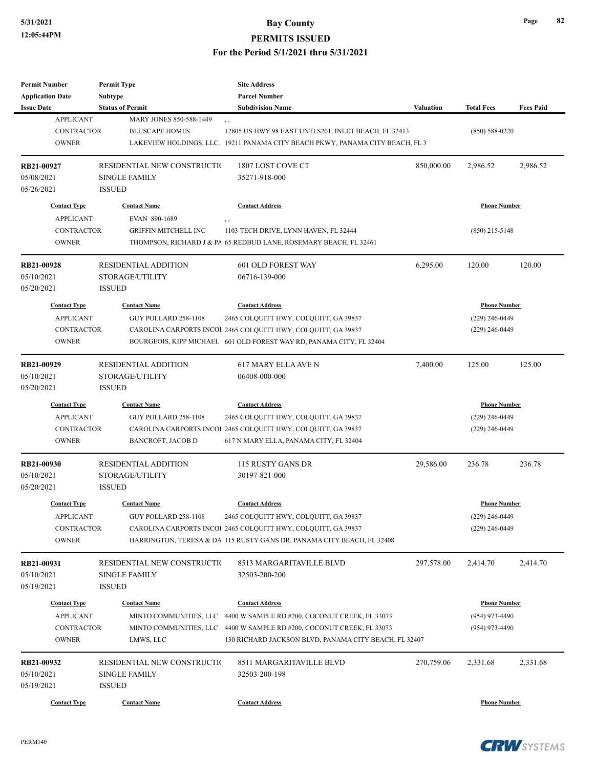**PERMITS ISSUED**

| Permit Number            | <b>Permit Type</b>               | <b>Site Address</b>                                                           |                  |                     |                  |
|--------------------------|----------------------------------|-------------------------------------------------------------------------------|------------------|---------------------|------------------|
| <b>Application Date</b>  | Subtype                          | <b>Parcel Number</b>                                                          |                  |                     |                  |
| <b>Issue Date</b>        | <b>Status of Permit</b>          | <b>Subdivision Name</b>                                                       | <b>Valuation</b> | <b>Total Fees</b>   | <b>Fees Paid</b> |
| <b>APPLICANT</b>         | MARY JONES 850-588-1449          | $, \, , \,$                                                                   |                  |                     |                  |
| <b>CONTRACTOR</b>        | <b>BLUSCAPE HOMES</b>            | 12805 US HWY 98 EAST UNTI S201, INLET BEACH, FL 32413                         |                  | $(850) 588 - 0220$  |                  |
| <b>OWNER</b>             |                                  | LAKEVIEW HOLDINGS, LLC. 19211 PANAMA CITY BEACH PKWY, PANAMA CITY BEACH, FL 3 |                  |                     |                  |
| RB21-00927               | RESIDENTIAL NEW CONSTRUCTIO      | 1807 LOST COVE CT                                                             | 850,000.00       | 2,986.52            | 2,986.52         |
| 05/08/2021               | <b>SINGLE FAMILY</b>             | 35271-918-000                                                                 |                  |                     |                  |
| 05/26/2021               | <b>ISSUED</b>                    |                                                                               |                  |                     |                  |
| <b>Contact Type</b>      | <b>Contact Name</b>              | <b>Contact Address</b>                                                        |                  | <b>Phone Number</b> |                  |
| <b>APPLICANT</b>         | EVAN 890-1689                    | ,,                                                                            |                  |                     |                  |
| <b>CONTRACTOR</b>        | <b>GRIFFIN MITCHELL INC</b>      | 1103 TECH DRIVE, LYNN HAVEN, FL 32444                                         |                  | $(850)$ 215-5148    |                  |
| <b>OWNER</b>             |                                  | THOMPSON, RICHARD J & PA 65 REDBUD LANE, ROSEMARY BEACH, FL 32461             |                  |                     |                  |
|                          | <b>RESIDENTIAL ADDITION</b>      | 601 OLD FOREST WAY                                                            | 6,295.00         | 120.00              | 120.00           |
| RB21-00928<br>05/10/2021 |                                  |                                                                               |                  |                     |                  |
| 05/20/2021               | STORAGE/UTILITY<br><b>ISSUED</b> | 06716-139-000                                                                 |                  |                     |                  |
| <b>Contact Type</b>      | <b>Contact Name</b>              | <b>Contact Address</b>                                                        |                  | <b>Phone Number</b> |                  |
| <b>APPLICANT</b>         | GUY POLLARD 258-1108             | 2465 COLQUITT HWY, COLQUITT, GA 39837                                         |                  | $(229)$ 246-0449    |                  |
| <b>CONTRACTOR</b>        |                                  | CAROLINA CARPORTS INCOI 2465 COLQUITT HWY, COLQUITT, GA 39837                 |                  | $(229)$ 246-0449    |                  |
| <b>OWNER</b>             |                                  | BOURGEOIS, KIPP MICHAEL 601 OLD FOREST WAY RD, PANAMA CITY, FL 32404          |                  |                     |                  |
|                          |                                  |                                                                               |                  |                     |                  |
| RB21-00929               | <b>RESIDENTIAL ADDITION</b>      | <b>617 MARY ELLA AVE N</b>                                                    | 7,400.00         | 125.00              | 125.00           |
| 05/10/2021               | STORAGE/UTILITY                  | 06408-000-000                                                                 |                  |                     |                  |
| 05/20/2021               | <b>ISSUED</b>                    |                                                                               |                  |                     |                  |
| <b>Contact Type</b>      | <b>Contact Name</b>              | <b>Contact Address</b>                                                        |                  | <b>Phone Number</b> |                  |
| <b>APPLICANT</b>         | GUY POLLARD 258-1108             | 2465 COLQUITT HWY, COLQUITT, GA 39837                                         |                  | $(229)$ 246-0449    |                  |
| <b>CONTRACTOR</b>        |                                  | CAROLINA CARPORTS INCOI 2465 COLQUITT HWY, COLQUITT, GA 39837                 |                  | $(229)$ 246-0449    |                  |
| <b>OWNER</b>             | BANCROFT, JACOB D                | 617 N MARY ELLA, PANAMA CITY, FL 32404                                        |                  |                     |                  |
| RB21-00930               | <b>RESIDENTIAL ADDITION</b>      | 115 RUSTY GANS DR                                                             | 29,586.00        | 236.78              | 236.78           |
| 05/10/2021               | STORAGE/UTILITY                  | 30197-821-000                                                                 |                  |                     |                  |
| 05/20/2021               | <b>ISSUED</b>                    |                                                                               |                  |                     |                  |
| <b>Contact Type</b>      | <b>Contact Name</b>              | <b>Contact Address</b>                                                        |                  | <b>Phone Number</b> |                  |
| APPLICANT                | GUY POLLARD 258-1108             | 2465 COLQUITT HWY, COLQUITT, GA 39837                                         |                  | $(229)$ 246-0449    |                  |
| <b>CONTRACTOR</b>        |                                  | CAROLINA CARPORTS INCOI 2465 COLQUITT HWY, COLQUITT, GA 39837                 |                  | $(229)$ 246-0449    |                  |
| <b>OWNER</b>             |                                  | HARRINGTON, TERESA & DA 115 RUSTY GANS DR, PANAMA CITY BEACH, FL 32408        |                  |                     |                  |
|                          |                                  |                                                                               |                  |                     |                  |
| RB21-00931               | RESIDENTIAL NEW CONSTRUCTIO      | 8513 MARGARITAVILLE BLVD                                                      | 297,578.00       | 2,414.70            | 2,414.70         |
| 05/10/2021               | <b>SINGLE FAMILY</b>             | 32503-200-200                                                                 |                  |                     |                  |
| 05/19/2021               | <b>ISSUED</b>                    |                                                                               |                  |                     |                  |
| <b>Contact Type</b>      | <b>Contact Name</b>              | <b>Contact Address</b>                                                        |                  | <b>Phone Number</b> |                  |
| <b>APPLICANT</b>         |                                  | MINTO COMMUNITIES, LLC 4400 W SAMPLE RD #200, COCONUT CREEK, FL 33073         |                  | (954) 973-4490      |                  |
| <b>CONTRACTOR</b>        |                                  | MINTO COMMUNITIES, LLC 4400 W SAMPLE RD #200, COCONUT CREEK, FL 33073         |                  | $(954)$ 973-4490    |                  |
| <b>OWNER</b>             | LMWS, LLC                        | 130 RICHARD JACKSON BLVD, PANAMA CITY BEACH, FL 32407                         |                  |                     |                  |
| RB21-00932               | RESIDENTIAL NEW CONSTRUCTIO      | 8511 MARGARITAVILLE BLVD                                                      | 270,759.06       | 2,331.68            | 2,331.68         |
| 05/10/2021               | <b>SINGLE FAMILY</b>             | 32503-200-198                                                                 |                  |                     |                  |
| 05/19/2021               | <b>ISSUED</b>                    |                                                                               |                  |                     |                  |
|                          |                                  |                                                                               |                  |                     |                  |
| <b>Contact Type</b>      | <b>Contact Name</b>              | <b>Contact Address</b>                                                        |                  | <b>Phone Number</b> |                  |

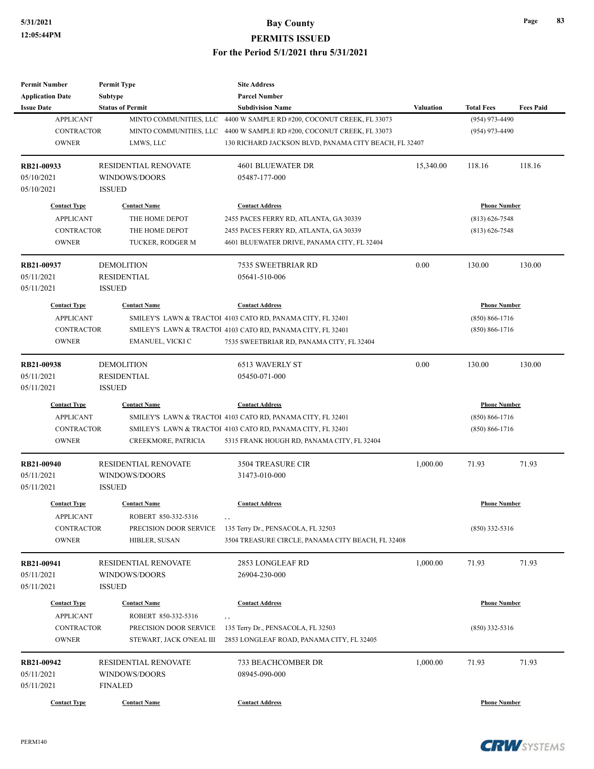| <b>Permit Number</b>    | <b>Permit Type</b>          | <b>Site Address</b>                                         |                  |                     |                  |
|-------------------------|-----------------------------|-------------------------------------------------------------|------------------|---------------------|------------------|
| <b>Application Date</b> | Subtype                     | <b>Parcel Number</b>                                        |                  |                     |                  |
| <b>Issue Date</b>       | <b>Status of Permit</b>     | <b>Subdivision Name</b>                                     | <b>Valuation</b> | <b>Total Fees</b>   | <b>Fees Paid</b> |
| <b>APPLICANT</b>        | MINTO COMMUNITIES, LLC      | 4400 W SAMPLE RD #200, COCONUT CREEK, FL 33073              |                  | (954) 973-4490      |                  |
| <b>CONTRACTOR</b>       | MINTO COMMUNITIES, LLC      | 4400 W SAMPLE RD #200, COCONUT CREEK, FL 33073              |                  | (954) 973-4490      |                  |
| <b>OWNER</b>            | LMWS, LLC                   | 130 RICHARD JACKSON BLVD, PANAMA CITY BEACH, FL 32407       |                  |                     |                  |
| RB21-00933              | <b>RESIDENTIAL RENOVATE</b> | 4601 BLUEWATER DR                                           | 15,340.00        | 118.16              | 118.16           |
| 05/10/2021              | WINDOWS/DOORS               | 05487-177-000                                               |                  |                     |                  |
| 05/10/2021              | <b>ISSUED</b>               |                                                             |                  |                     |                  |
| <b>Contact Type</b>     | <b>Contact Name</b>         | <b>Contact Address</b>                                      |                  | <b>Phone Number</b> |                  |
| <b>APPLICANT</b>        | THE HOME DEPOT              | 2455 PACES FERRY RD, ATLANTA, GA 30339                      |                  | $(813) 626 - 7548$  |                  |
| <b>CONTRACTOR</b>       | THE HOME DEPOT              | 2455 PACES FERRY RD, ATLANTA, GA 30339                      |                  | $(813) 626 - 7548$  |                  |
| <b>OWNER</b>            | TUCKER, RODGER M            | 4601 BLUEWATER DRIVE, PANAMA CITY, FL 32404                 |                  |                     |                  |
| RB21-00937              | <b>DEMOLITION</b>           | 7535 SWEETBRIAR RD                                          | 0.00             | 130.00              | 130.00           |
| 05/11/2021              | RESIDENTIAL                 | 05641-510-006                                               |                  |                     |                  |
| 05/11/2021              | <b>ISSUED</b>               |                                                             |                  |                     |                  |
| <b>Contact Type</b>     | <b>Contact Name</b>         | <b>Contact Address</b>                                      |                  | <b>Phone Number</b> |                  |
| <b>APPLICANT</b>        |                             | SMILEY'S LAWN & TRACTOI 4103 CATO RD, PANAMA CITY, FL 32401 |                  | $(850) 866 - 1716$  |                  |
| <b>CONTRACTOR</b>       |                             | SMILEY'S LAWN & TRACTOI 4103 CATO RD, PANAMA CITY, FL 32401 |                  | $(850) 866 - 1716$  |                  |
| <b>OWNER</b>            | EMANUEL, VICKI C            | 7535 SWEETBRIAR RD, PANAMA CITY, FL 32404                   |                  |                     |                  |
| RB21-00938              | <b>DEMOLITION</b>           | <b>6513 WAVERLY ST</b>                                      | 0.00             | 130.00              | 130.00           |
| 05/11/2021              | <b>RESIDENTIAL</b>          | 05450-071-000                                               |                  |                     |                  |
| 05/11/2021              | <b>ISSUED</b>               |                                                             |                  |                     |                  |
| <b>Contact Type</b>     | <b>Contact Name</b>         | <b>Contact Address</b>                                      |                  | <b>Phone Number</b> |                  |
| <b>APPLICANT</b>        |                             | SMILEY'S LAWN & TRACTOI 4103 CATO RD, PANAMA CITY, FL 32401 |                  | $(850) 866 - 1716$  |                  |
| <b>CONTRACTOR</b>       |                             | SMILEY'S LAWN & TRACTOI 4103 CATO RD, PANAMA CITY, FL 32401 |                  | $(850) 866 - 1716$  |                  |
| <b>OWNER</b>            | CREEKMORE, PATRICIA         | 5315 FRANK HOUGH RD, PANAMA CITY, FL 32404                  |                  |                     |                  |
| RB21-00940              | <b>RESIDENTIAL RENOVATE</b> | <b>3504 TREASURE CIR</b>                                    | 1,000.00         | 71.93               | 71.93            |
| 05/11/2021              | WINDOWS/DOORS               | 31473-010-000                                               |                  |                     |                  |
| 05/11/2021              | <b>ISSUED</b>               |                                                             |                  |                     |                  |
| <b>Contact Type</b>     | <b>Contact Name</b>         | <b>Contact Address</b>                                      |                  | <b>Phone Number</b> |                  |
| APPLICANT               | ROBERT 850-332-5316         |                                                             |                  |                     |                  |
| CONTRACTOR              | PRECISION DOOR SERVICE      | 135 Terry Dr., PENSACOLA, FL 32503                          |                  | (850) 332-5316      |                  |
| <b>OWNER</b>            | HIBLER, SUSAN               | 3504 TREASURE CIRCLE, PANAMA CITY BEACH, FL 32408           |                  |                     |                  |
| RB21-00941              | RESIDENTIAL RENOVATE        | 2853 LONGLEAF RD                                            | 1,000.00         | 71.93               | 71.93            |
| 05/11/2021              | WINDOWS/DOORS               | 26904-230-000                                               |                  |                     |                  |
| 05/11/2021              | <b>ISSUED</b>               |                                                             |                  |                     |                  |
| <b>Contact Type</b>     | <b>Contact Name</b>         | <b>Contact Address</b>                                      |                  | <b>Phone Number</b> |                  |
| <b>APPLICANT</b>        | ROBERT 850-332-5316         | , ,                                                         |                  |                     |                  |
| CONTRACTOR              | PRECISION DOOR SERVICE      | 135 Terry Dr., PENSACOLA, FL 32503                          |                  | $(850)$ 332-5316    |                  |
| <b>OWNER</b>            | STEWART, JACK O'NEAL III    | 2853 LONGLEAF ROAD, PANAMA CITY, FL 32405                   |                  |                     |                  |
| RB21-00942              | RESIDENTIAL RENOVATE        | 733 BEACHCOMBER DR                                          | 1,000.00         | 71.93               | 71.93            |
| 05/11/2021              | WINDOWS/DOORS               | 08945-090-000                                               |                  |                     |                  |
| 05/11/2021              | <b>FINALED</b>              |                                                             |                  |                     |                  |
| <b>Contact Type</b>     | <b>Contact Name</b>         | <b>Contact Address</b>                                      |                  | <b>Phone Number</b> |                  |



**CRW**SYSTEMS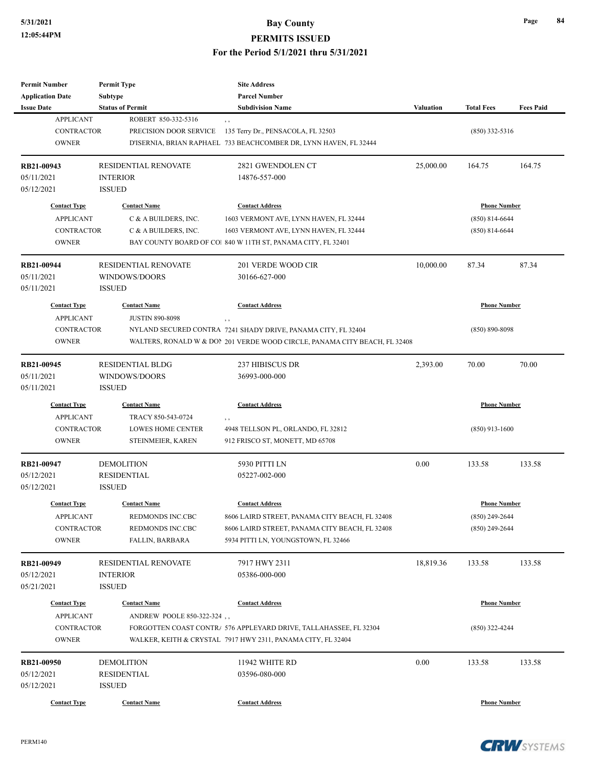| <b>Permit Number</b>       | <b>Permit Type</b>        | <b>Site Address</b>                                                        |                  |                     |                  |
|----------------------------|---------------------------|----------------------------------------------------------------------------|------------------|---------------------|------------------|
| <b>Application Date</b>    | <b>Subtype</b>            | <b>Parcel Number</b>                                                       |                  |                     |                  |
| <b>Issue Date</b>          | <b>Status of Permit</b>   | <b>Subdivision Name</b>                                                    | <b>Valuation</b> | <b>Total Fees</b>   | <b>Fees Paid</b> |
| <b>APPLICANT</b>           | ROBERT 850-332-5316       | , ,                                                                        |                  |                     |                  |
| <b>CONTRACTOR</b>          | PRECISION DOOR SERVICE    | 135 Terry Dr., PENSACOLA, FL 32503                                         |                  | $(850)$ 332-5316    |                  |
| <b>OWNER</b>               |                           | D'ISERNIA, BRIAN RAPHAEL 733 BEACHCOMBER DR, LYNN HAVEN, FL 32444          |                  |                     |                  |
|                            |                           |                                                                            |                  |                     |                  |
| RB21-00943                 | RESIDENTIAL RENOVATE      | 2821 GWENDOLEN CT                                                          | 25,000.00        | 164.75              | 164.75           |
| 05/11/2021                 | <b>INTERIOR</b>           | 14876-557-000                                                              |                  |                     |                  |
| 05/12/2021                 | <b>ISSUED</b>             |                                                                            |                  |                     |                  |
| <b>Contact Type</b>        | <b>Contact Name</b>       | <b>Contact Address</b>                                                     |                  | <b>Phone Number</b> |                  |
| <b>APPLICANT</b>           | C & A BUILDERS, INC.      | 1603 VERMONT AVE, LYNN HAVEN, FL 32444                                     |                  | $(850) 814 - 6644$  |                  |
| CONTRACTOR                 | C & A BUILDERS, INC.      | 1603 VERMONT AVE, LYNN HAVEN, FL 32444                                     |                  | $(850) 814 - 6644$  |                  |
| <b>OWNER</b>               |                           | BAY COUNTY BOARD OF CO 840 W 11TH ST, PANAMA CITY, FL 32401                |                  |                     |                  |
| RB21-00944                 | RESIDENTIAL RENOVATE      | 201 VERDE WOOD CIR                                                         | 10,000.00        | 87.34               | 87.34            |
| 05/11/2021                 | WINDOWS/DOORS             | 30166-627-000                                                              |                  |                     |                  |
| 05/11/2021                 | <b>ISSUED</b>             |                                                                            |                  |                     |                  |
| <b>Contact Type</b>        | <b>Contact Name</b>       | <b>Contact Address</b>                                                     |                  | <b>Phone Number</b> |                  |
| <b>APPLICANT</b>           | <b>JUSTIN 890-8098</b>    | , ,                                                                        |                  |                     |                  |
| <b>CONTRACTOR</b>          |                           | NYLAND SECURED CONTRA 7241 SHADY DRIVE, PANAMA CITY, FL 32404              |                  | (850) 890-8098      |                  |
| <b>OWNER</b>               |                           | WALTERS, RONALD W & DON 201 VERDE WOOD CIRCLE, PANAMA CITY BEACH, FL 32408 |                  |                     |                  |
|                            |                           |                                                                            |                  |                     |                  |
| RB21-00945                 | <b>RESIDENTIAL BLDG</b>   | 237 HIBISCUS DR                                                            | 2,393.00         | 70.00               | 70.00            |
| 05/11/2021                 | WINDOWS/DOORS             | 36993-000-000                                                              |                  |                     |                  |
| 05/11/2021                 | <b>ISSUED</b>             |                                                                            |                  |                     |                  |
| <b>Contact Type</b>        | <b>Contact Name</b>       | <b>Contact Address</b>                                                     |                  | <b>Phone Number</b> |                  |
| <b>APPLICANT</b>           | TRACY 850-543-0724        | , ,                                                                        |                  |                     |                  |
| <b>CONTRACTOR</b>          | LOWES HOME CENTER         | 4948 TELLSON PL, ORLANDO, FL 32812                                         |                  | $(850)$ 913-1600    |                  |
| <b>OWNER</b>               | STEINMEIER, KAREN         | 912 FRISCO ST, MONETT, MD 65708                                            |                  |                     |                  |
| RB21-00947                 | <b>DEMOLITION</b>         | 5930 PITTI LN                                                              | 0.00             | 133.58              | 133.58           |
| 05/12/2021                 | <b>RESIDENTIAL</b>        | 05227-002-000                                                              |                  |                     |                  |
| 05/12/2021                 | <b>ISSUED</b>             |                                                                            |                  |                     |                  |
| <b>Contact Type</b>        | <b>Contact Name</b>       | <b>Contact Address</b>                                                     |                  | <b>Phone Number</b> |                  |
| <b>APPLICANT</b>           | REDMONDS INC.CBC          | 8606 LAIRD STREET, PANAMA CITY BEACH, FL 32408                             |                  | $(850)$ 249-2644    |                  |
| CONTRACTOR                 | REDMONDS INC.CBC          | 8606 LAIRD STREET, PANAMA CITY BEACH, FL 32408                             |                  | $(850)$ 249-2644    |                  |
| <b>OWNER</b>               | FALLIN, BARBARA           | 5934 PITTI LN, YOUNGSTOWN, FL 32466                                        |                  |                     |                  |
|                            |                           |                                                                            |                  |                     |                  |
| RB21-00949                 | RESIDENTIAL RENOVATE      | 7917 HWY 2311                                                              | 18,819.36        | 133.58              | 133.58           |
| 05/12/2021                 | <b>INTERIOR</b>           | 05386-000-000                                                              |                  |                     |                  |
| 05/21/2021                 | <b>ISSUED</b>             |                                                                            |                  |                     |                  |
| <b>Contact Type</b>        | <b>Contact Name</b>       | <b>Contact Address</b>                                                     |                  | <b>Phone Number</b> |                  |
| <b>APPLICANT</b>           | ANDREW POOLE 850-322-324, |                                                                            |                  |                     |                  |
|                            |                           | FORGOTTEN COAST CONTRA 576 APPLEYARD DRIVE, TALLAHASSEE, FL 32304          |                  |                     |                  |
| CONTRACTOR<br><b>OWNER</b> |                           | WALKER, KEITH & CRYSTAL 7917 HWY 2311, PANAMA CITY, FL 32404               |                  | $(850)$ 322-4244    |                  |
|                            |                           |                                                                            |                  |                     |                  |
| RB21-00950                 | <b>DEMOLITION</b>         | 11942 WHITE RD                                                             | 0.00             | 133.58              | 133.58           |
| 05/12/2021                 | <b>RESIDENTIAL</b>        | 03596-080-000                                                              |                  |                     |                  |
| 05/12/2021                 | <b>ISSUED</b>             |                                                                            |                  |                     |                  |
| <b>Contact Type</b>        | <b>Contact Name</b>       | <b>Contact Address</b>                                                     |                  | <b>Phone Number</b> |                  |
|                            |                           |                                                                            |                  |                     |                  |

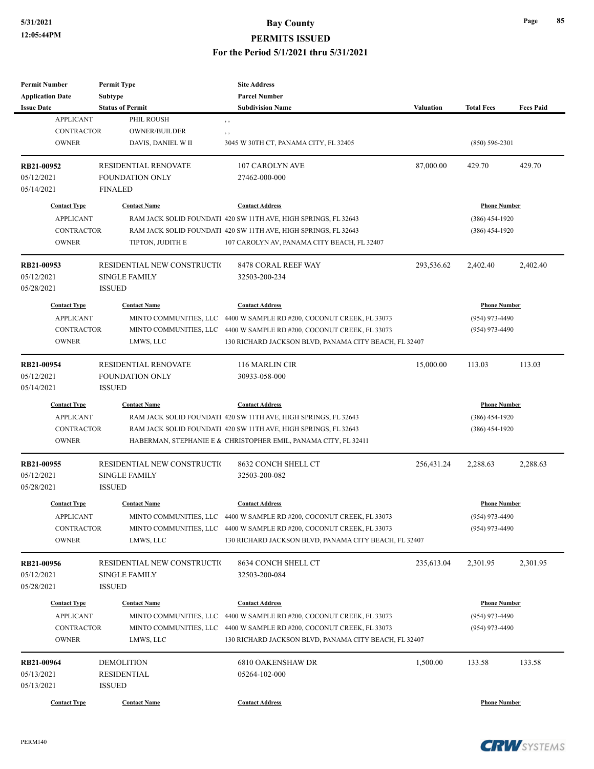| <b>Permit Number</b>    | <b>Permit Type</b>          | <b>Site Address</b>                                                   |            |                     |                  |
|-------------------------|-----------------------------|-----------------------------------------------------------------------|------------|---------------------|------------------|
| <b>Application Date</b> | <b>Subtype</b>              | <b>Parcel Number</b>                                                  |            |                     |                  |
| <b>Issue Date</b>       | <b>Status of Permit</b>     | <b>Subdivision Name</b>                                               | Valuation  | <b>Total Fees</b>   | <b>Fees Paid</b> |
| <b>APPLICANT</b>        | PHIL ROUSH                  | , ,                                                                   |            |                     |                  |
| <b>CONTRACTOR</b>       | <b>OWNER/BUILDER</b>        | , ,                                                                   |            |                     |                  |
| <b>OWNER</b>            | DAVIS, DANIEL W II          | 3045 W 30TH CT, PANAMA CITY, FL 32405                                 |            | $(850) 596 - 2301$  |                  |
| RB21-00952              | <b>RESIDENTIAL RENOVATE</b> | 107 CAROLYN AVE                                                       | 87,000.00  | 429.70              | 429.70           |
| 05/12/2021              | <b>FOUNDATION ONLY</b>      | 27462-000-000                                                         |            |                     |                  |
| 05/14/2021              | <b>FINALED</b>              |                                                                       |            |                     |                  |
| <b>Contact Type</b>     | <b>Contact Name</b>         | <b>Contact Address</b>                                                |            | <b>Phone Number</b> |                  |
| <b>APPLICANT</b>        |                             | RAM JACK SOLID FOUNDATI 420 SW 11TH AVE, HIGH SPRINGS, FL 32643       |            | $(386)$ 454-1920    |                  |
| <b>CONTRACTOR</b>       |                             | RAM JACK SOLID FOUNDATI 420 SW 11TH AVE, HIGH SPRINGS, FL 32643       |            | $(386)$ 454-1920    |                  |
| <b>OWNER</b>            | TIPTON, JUDITH E            | 107 CAROLYN AV, PANAMA CITY BEACH, FL 32407                           |            |                     |                  |
| RB21-00953              | RESIDENTIAL NEW CONSTRUCTIO | 8478 CORAL REEF WAY                                                   | 293,536.62 | 2,402.40            | 2,402.40         |
| 05/12/2021              | <b>SINGLE FAMILY</b>        | 32503-200-234                                                         |            |                     |                  |
| 05/28/2021              | <b>ISSUED</b>               |                                                                       |            |                     |                  |
| <b>Contact Type</b>     | <b>Contact Name</b>         | <b>Contact Address</b>                                                |            | <b>Phone Number</b> |                  |
| <b>APPLICANT</b>        | MINTO COMMUNITIES, LLC      | 4400 W SAMPLE RD #200, COCONUT CREEK, FL 33073                        |            | (954) 973-4490      |                  |
| <b>CONTRACTOR</b>       | MINTO COMMUNITIES, LLC      | 4400 W SAMPLE RD #200, COCONUT CREEK, FL 33073                        |            | $(954)$ 973-4490    |                  |
| <b>OWNER</b>            | LMWS, LLC                   | 130 RICHARD JACKSON BLVD, PANAMA CITY BEACH, FL 32407                 |            |                     |                  |
|                         |                             |                                                                       |            |                     |                  |
| RB21-00954              | RESIDENTIAL RENOVATE        | 116 MARLIN CIR                                                        | 15,000.00  | 113.03              | 113.03           |
| 05/12/2021              | <b>FOUNDATION ONLY</b>      | 30933-058-000                                                         |            |                     |                  |
| 05/14/2021              | <b>ISSUED</b>               |                                                                       |            |                     |                  |
| <b>Contact Type</b>     | <b>Contact Name</b>         | <b>Contact Address</b>                                                |            | <b>Phone Number</b> |                  |
| <b>APPLICANT</b>        |                             | RAM JACK SOLID FOUNDATI 420 SW 11TH AVE, HIGH SPRINGS, FL 32643       |            | $(386)$ 454-1920    |                  |
| <b>CONTRACTOR</b>       |                             | RAM JACK SOLID FOUNDATI 420 SW 11TH AVE, HIGH SPRINGS, FL 32643       |            | $(386)$ 454-1920    |                  |
| <b>OWNER</b>            |                             | HABERMAN, STEPHANIE E & CHRISTOPHER EMIL, PANAMA CITY, FL 32411       |            |                     |                  |
| RB21-00955              | RESIDENTIAL NEW CONSTRUCTIO | 8632 CONCH SHELL CT                                                   | 256,431.24 | 2,288.63            | 2,288.63         |
| 05/12/2021              | <b>SINGLE FAMILY</b>        | 32503-200-082                                                         |            |                     |                  |
| 05/28/2021              | <b>ISSUED</b>               |                                                                       |            |                     |                  |
| <b>Contact Type</b>     | <b>Contact Name</b>         | <b>Contact Address</b>                                                |            | <b>Phone Number</b> |                  |
| <b>APPLICANT</b>        |                             | MINTO COMMUNITIES, LLC 4400 W SAMPLE RD #200, COCONUT CREEK, FL 33073 |            | (954) 973-4490      |                  |
| <b>CONTRACTOR</b>       |                             | MINTO COMMUNITIES, LLC 4400 W SAMPLE RD #200, COCONUT CREEK, FL 33073 |            | $(954)$ 973-4490    |                  |
| <b>OWNER</b>            | LMWS, LLC                   | 130 RICHARD JACKSON BLVD, PANAMA CITY BEACH, FL 32407                 |            |                     |                  |
| RB21-00956              | RESIDENTIAL NEW CONSTRUCTIO | 8634 CONCH SHELL CT                                                   | 235,613.04 | 2,301.95            | 2,301.95         |
| 05/12/2021              | <b>SINGLE FAMILY</b>        | 32503-200-084                                                         |            |                     |                  |
| 05/28/2021              | <b>ISSUED</b>               |                                                                       |            |                     |                  |
| <b>Contact Type</b>     | <b>Contact Name</b>         | <b>Contact Address</b>                                                |            | <b>Phone Number</b> |                  |
| <b>APPLICANT</b>        | MINTO COMMUNITIES, LLC      | 4400 W SAMPLE RD #200, COCONUT CREEK, FL 33073                        |            | (954) 973-4490      |                  |
| <b>CONTRACTOR</b>       |                             | MINTO COMMUNITIES, LLC 4400 W SAMPLE RD #200, COCONUT CREEK, FL 33073 |            | (954) 973-4490      |                  |
| <b>OWNER</b>            | LMWS, LLC                   | 130 RICHARD JACKSON BLVD, PANAMA CITY BEACH, FL 32407                 |            |                     |                  |
| RB21-00964              | <b>DEMOLITION</b>           | 6810 OAKENSHAW DR                                                     | 1,500.00   | 133.58              | 133.58           |
| 05/13/2021              | RESIDENTIAL                 | 05264-102-000                                                         |            |                     |                  |
| 05/13/2021              | <b>ISSUED</b>               |                                                                       |            |                     |                  |
|                         |                             |                                                                       |            |                     |                  |
| <b>Contact Type</b>     | <b>Contact Name</b>         | <b>Contact Address</b>                                                |            | <b>Phone Number</b> |                  |

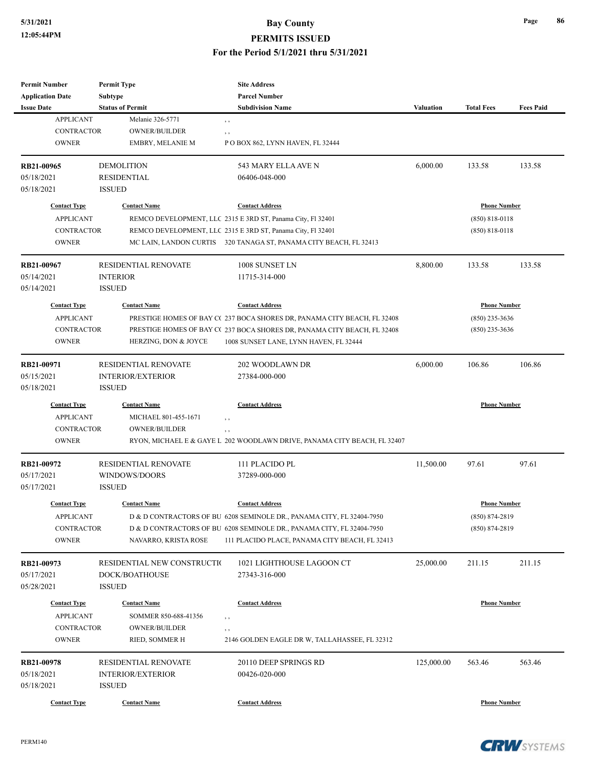| <b>Permit Number</b>                    | <b>Permit Type</b>                          | <b>Site Address</b>                                                      |                  |                     |                  |
|-----------------------------------------|---------------------------------------------|--------------------------------------------------------------------------|------------------|---------------------|------------------|
| <b>Application Date</b>                 | Subtype                                     | <b>Parcel Number</b>                                                     |                  |                     |                  |
| <b>Issue Date</b>                       | <b>Status of Permit</b>                     | <b>Subdivision Name</b>                                                  | <b>Valuation</b> | <b>Total Fees</b>   | <b>Fees Paid</b> |
| <b>APPLICANT</b>                        | Melanie 326-5771                            | $, \, , \,$                                                              |                  |                     |                  |
| <b>CONTRACTOR</b>                       | <b>OWNER/BUILDER</b>                        | , ,                                                                      |                  |                     |                  |
| <b>OWNER</b>                            | <b>EMBRY, MELANIE M</b>                     | POBOX 862, LYNN HAVEN, FL 32444                                          |                  |                     |                  |
| RB21-00965                              | <b>DEMOLITION</b>                           | 543 MARY ELLA AVE N                                                      | 6,000.00         | 133.58              | 133.58           |
| 05/18/2021                              | <b>RESIDENTIAL</b>                          | 06406-048-000                                                            |                  |                     |                  |
| 05/18/2021                              | <b>ISSUED</b>                               |                                                                          |                  |                     |                  |
| <b>Contact Type</b>                     | <b>Contact Name</b>                         | <b>Contact Address</b>                                                   |                  | <b>Phone Number</b> |                  |
| <b>APPLICANT</b>                        |                                             | REMCO DEVELOPMENT, LLC 2315 E 3RD ST, Panama City, Fl 32401              |                  | $(850) 818 - 0118$  |                  |
| <b>CONTRACTOR</b>                       |                                             | REMCO DEVELOPMENT, LLC 2315 E 3RD ST, Panama City, Fl 32401              |                  | $(850) 818 - 0118$  |                  |
| <b>OWNER</b>                            |                                             | MC LAIN, LANDON CURTIS 320 TANAGA ST, PANAMA CITY BEACH, FL 32413        |                  |                     |                  |
| RB21-00967                              | RESIDENTIAL RENOVATE                        | 1008 SUNSET LN                                                           | 8,800.00         | 133.58              | 133.58           |
| 05/14/2021                              | <b>INTERIOR</b>                             | 11715-314-000                                                            |                  |                     |                  |
| 05/14/2021                              | <b>ISSUED</b>                               |                                                                          |                  |                     |                  |
| <b>Contact Type</b>                     | <b>Contact Name</b>                         | <b>Contact Address</b>                                                   |                  | <b>Phone Number</b> |                  |
| <b>APPLICANT</b>                        |                                             | PRESTIGE HOMES OF BAY C(237 BOCA SHORES DR, PANAMA CITY BEACH, FL 32408  |                  | $(850)$ 235-3636    |                  |
| <b>CONTRACTOR</b>                       |                                             | PRESTIGE HOMES OF BAY C(237 BOCA SHORES DR, PANAMA CITY BEACH, FL 32408  |                  | $(850)$ 235-3636    |                  |
| <b>OWNER</b>                            | HERZING, DON & JOYCE                        | 1008 SUNSET LANE, LYNN HAVEN, FL 32444                                   |                  |                     |                  |
|                                         |                                             |                                                                          |                  |                     |                  |
| RB21-00971                              | RESIDENTIAL RENOVATE                        | 202 WOODLAWN DR                                                          | 6,000.00         | 106.86              | 106.86           |
| 05/15/2021                              | <b>INTERIOR/EXTERIOR</b>                    | 27384-000-000                                                            |                  |                     |                  |
| 05/18/2021                              | <b>ISSUED</b>                               |                                                                          |                  |                     |                  |
| <b>Contact Type</b>                     | <b>Contact Name</b>                         | <b>Contact Address</b>                                                   |                  | <b>Phone Number</b> |                  |
| <b>APPLICANT</b>                        | MICHAEL 801-455-1671                        | , ,                                                                      |                  |                     |                  |
| CONTRACTOR                              | OWNER/BUILDER                               | $, \, ,$                                                                 |                  |                     |                  |
| <b>OWNER</b>                            |                                             | RYON, MICHAEL E & GAYE L 202 WOODLAWN DRIVE, PANAMA CITY BEACH, FL 32407 |                  |                     |                  |
| RB21-00972                              | RESIDENTIAL RENOVATE                        | 111 PLACIDO PL                                                           | 11,500.00        | 97.61               | 97.61            |
| 05/17/2021                              | WINDOWS/DOORS                               | 37289-000-000                                                            |                  |                     |                  |
| 05/17/2021                              | <b>ISSUED</b>                               |                                                                          |                  |                     |                  |
| <b>Contact Type</b>                     | <b>Contact Name</b>                         | <b>Contact Address</b>                                                   |                  | <b>Phone Number</b> |                  |
| <b>APPLICANT</b>                        |                                             | D & D CONTRACTORS OF BU 6208 SEMINOLE DR., PANAMA CITY, FL 32404-7950    |                  | $(850) 874 - 2819$  |                  |
| <b>CONTRACTOR</b>                       |                                             | D & D CONTRACTORS OF BU 6208 SEMINOLE DR., PANAMA CITY, FL 32404-7950    |                  | $(850) 874 - 2819$  |                  |
| <b>OWNER</b>                            | NAVARRO, KRISTA ROSE                        | 111 PLACIDO PLACE, PANAMA CITY BEACH, FL 32413                           |                  |                     |                  |
| RB21-00973                              | RESIDENTIAL NEW CONSTRUCTIO                 | 1021 LIGHTHOUSE LAGOON CT                                                | 25,000.00        | 211.15              | 211.15           |
| 05/17/2021                              | DOCK/BOATHOUSE                              | 27343-316-000                                                            |                  |                     |                  |
| 05/28/2021                              | <b>ISSUED</b>                               |                                                                          |                  |                     |                  |
|                                         |                                             |                                                                          |                  |                     |                  |
| <b>Contact Type</b><br><b>APPLICANT</b> | <b>Contact Name</b><br>SOMMER 850-688-41356 | <b>Contact Address</b>                                                   |                  | <b>Phone Number</b> |                  |
| CONTRACTOR                              | <b>OWNER/BUILDER</b>                        | , ,                                                                      |                  |                     |                  |
| <b>OWNER</b>                            | RIED, SOMMER H                              | , ,<br>2146 GOLDEN EAGLE DR W, TALLAHASSEE, FL 32312                     |                  |                     |                  |
|                                         |                                             |                                                                          |                  |                     |                  |
| RB21-00978                              | RESIDENTIAL RENOVATE                        | 20110 DEEP SPRINGS RD                                                    | 125,000.00       | 563.46              | 563.46           |
| 05/18/2021                              | <b>INTERIOR/EXTERIOR</b>                    | 00426-020-000                                                            |                  |                     |                  |
| 05/18/2021                              | <b>ISSUED</b>                               |                                                                          |                  |                     |                  |
| <b>Contact Type</b>                     | <b>Contact Name</b>                         | <b>Contact Address</b>                                                   |                  | <b>Phone Number</b> |                  |

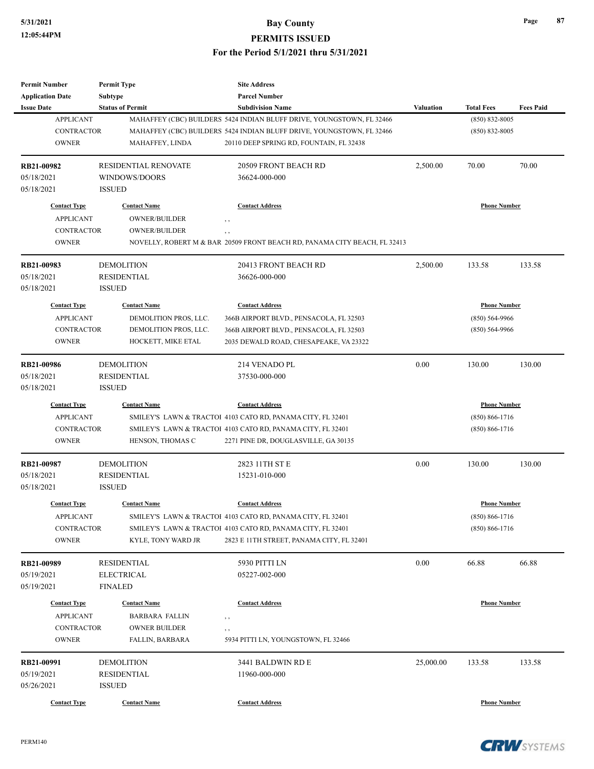**PERMITS ISSUED**

| <b>Permit Number</b>     | <b>Permit Type</b>                      | <b>Site Address</b>                                                       |           |                     |                  |
|--------------------------|-----------------------------------------|---------------------------------------------------------------------------|-----------|---------------------|------------------|
| <b>Application Date</b>  | <b>Subtype</b>                          | <b>Parcel Number</b>                                                      |           |                     |                  |
| <b>Issue Date</b>        | <b>Status of Permit</b>                 | <b>Subdivision Name</b>                                                   | Valuation | <b>Total Fees</b>   | <b>Fees Paid</b> |
| <b>APPLICANT</b>         |                                         | MAHAFFEY (CBC) BUILDERS 5424 INDIAN BLUFF DRIVE, YOUNGSTOWN, FL 32466     |           | $(850) 832 - 8005$  |                  |
| <b>CONTRACTOR</b>        |                                         | MAHAFFEY (CBC) BUILDERS 5424 INDIAN BLUFF DRIVE, YOUNGSTOWN, FL 32466     |           | $(850) 832 - 8005$  |                  |
| <b>OWNER</b>             | MAHAFFEY, LINDA                         | 20110 DEEP SPRING RD, FOUNTAIN, FL 32438                                  |           |                     |                  |
| RB21-00982               | <b>RESIDENTIAL RENOVATE</b>             | 20509 FRONT BEACH RD                                                      | 2,500.00  | 70.00               | 70.00            |
| 05/18/2021               | WINDOWS/DOORS                           | 36624-000-000                                                             |           |                     |                  |
| 05/18/2021               | <b>ISSUED</b>                           |                                                                           |           |                     |                  |
| <b>Contact Type</b>      | <b>Contact Name</b>                     | <b>Contact Address</b>                                                    |           | <b>Phone Number</b> |                  |
| <b>APPLICANT</b>         | <b>OWNER/BUILDER</b>                    | , ,                                                                       |           |                     |                  |
| <b>CONTRACTOR</b>        | OWNER/BUILDER                           | $, \, , \,$                                                               |           |                     |                  |
| <b>OWNER</b>             |                                         | NOVELLY, ROBERT M & BAR 20509 FRONT BEACH RD, PANAMA CITY BEACH, FL 32413 |           |                     |                  |
| RB21-00983               | <b>DEMOLITION</b>                       | 20413 FRONT BEACH RD                                                      | 2,500.00  | 133.58              | 133.58           |
| 05/18/2021               | <b>RESIDENTIAL</b>                      | 36626-000-000                                                             |           |                     |                  |
| 05/18/2021               | <b>ISSUED</b>                           |                                                                           |           |                     |                  |
| <b>Contact Type</b>      | <b>Contact Name</b>                     | <b>Contact Address</b>                                                    |           | <b>Phone Number</b> |                  |
| <b>APPLICANT</b>         | DEMOLITION PROS, LLC.                   | 366B AIRPORT BLVD., PENSACOLA, FL 32503                                   |           | $(850) 564-9966$    |                  |
| <b>CONTRACTOR</b>        | DEMOLITION PROS, LLC.                   | 366B AIRPORT BLVD., PENSACOLA, FL 32503                                   |           | $(850) 564-9966$    |                  |
| <b>OWNER</b>             | HOCKETT, MIKE ETAL                      | 2035 DEWALD ROAD, CHESAPEAKE, VA 23322                                    |           |                     |                  |
|                          |                                         |                                                                           |           |                     |                  |
| RB21-00986               | <b>DEMOLITION</b>                       | 214 VENADO PL                                                             | 0.00      | 130.00              | 130.00           |
| 05/18/2021               | <b>RESIDENTIAL</b>                      | 37530-000-000                                                             |           |                     |                  |
| 05/18/2021               | <b>ISSUED</b>                           |                                                                           |           |                     |                  |
| <b>Contact Type</b>      | <b>Contact Name</b>                     | <b>Contact Address</b>                                                    |           | <b>Phone Number</b> |                  |
| <b>APPLICANT</b>         |                                         | SMILEY'S LAWN & TRACTOI 4103 CATO RD, PANAMA CITY, FL 32401               |           | $(850) 866 - 1716$  |                  |
| <b>CONTRACTOR</b>        |                                         | SMILEY'S LAWN & TRACTOI 4103 CATO RD, PANAMA CITY, FL 32401               |           | $(850) 866 - 1716$  |                  |
| <b>OWNER</b>             | HENSON, THOMAS C                        | 2271 PINE DR, DOUGLASVILLE, GA 30135                                      |           |                     |                  |
| RB21-00987               | <b>DEMOLITION</b>                       | 2823 11TH ST E                                                            | 0.00      | 130.00              | 130.00           |
| 05/18/2021               | <b>RESIDENTIAL</b>                      | 15231-010-000                                                             |           |                     |                  |
| 05/18/2021               | <b>ISSUED</b>                           |                                                                           |           |                     |                  |
| <b>Contact Type</b>      | <b>Contact Name</b>                     | <b>Contact Address</b>                                                    |           | <b>Phone Number</b> |                  |
| APPLICANT                |                                         | SMILEY'S LAWN & TRACTOI 4103 CATO RD, PANAMA CITY, FL 32401               |           | $(850) 866 - 1716$  |                  |
| CONTRACTOR               |                                         | SMILEY'S LAWN & TRACTOI 4103 CATO RD, PANAMA CITY, FL 32401               |           | $(850) 866 - 1716$  |                  |
| <b>OWNER</b>             | KYLE, TONY WARD JR                      | 2823 E 11TH STREET, PANAMA CITY, FL 32401                                 |           |                     |                  |
|                          |                                         |                                                                           | 0.00      | 66.88               | 66.88            |
| RB21-00989<br>05/19/2021 | <b>RESIDENTIAL</b><br><b>ELECTRICAL</b> | 5930 PITTI LN<br>05227-002-000                                            |           |                     |                  |
|                          | <b>FINALED</b>                          |                                                                           |           |                     |                  |
| 05/19/2021               |                                         |                                                                           |           |                     |                  |
| <b>Contact Type</b>      | <b>Contact Name</b>                     | <b>Contact Address</b>                                                    |           | <b>Phone Number</b> |                  |
| <b>APPLICANT</b>         | <b>BARBARA FALLIN</b>                   | , ,                                                                       |           |                     |                  |
| <b>CONTRACTOR</b>        | <b>OWNER BUILDER</b>                    | , ,                                                                       |           |                     |                  |
| <b>OWNER</b>             | FALLIN, BARBARA                         | 5934 PITTI LN, YOUNGSTOWN, FL 32466                                       |           |                     |                  |
| RB21-00991               | <b>DEMOLITION</b>                       | 3441 BALDWIN RD E                                                         | 25,000.00 | 133.58              | 133.58           |
| 05/19/2021               | <b>RESIDENTIAL</b>                      | 11960-000-000                                                             |           |                     |                  |
| 05/26/2021               | <b>ISSUED</b>                           |                                                                           |           |                     |                  |
| <b>Contact Type</b>      | <b>Contact Name</b>                     | <b>Contact Address</b>                                                    |           | <b>Phone Number</b> |                  |
|                          |                                         |                                                                           |           |                     |                  |

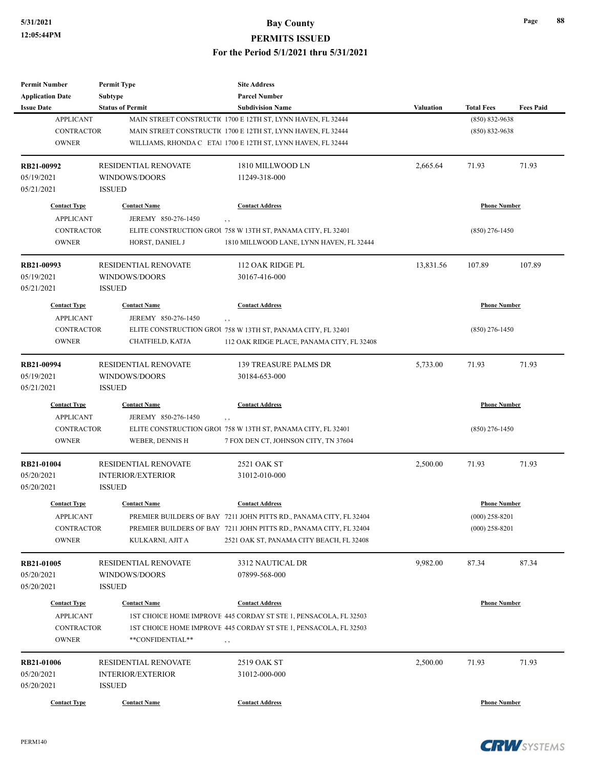| <b>Permit Number</b>     | <b>Permit Type</b>                    | <b>Site Address</b>                                                |                  |                     |                  |
|--------------------------|---------------------------------------|--------------------------------------------------------------------|------------------|---------------------|------------------|
| <b>Application Date</b>  | <b>Subtype</b>                        | <b>Parcel Number</b>                                               |                  |                     |                  |
| <b>Issue Date</b>        | <b>Status of Permit</b>               | <b>Subdivision Name</b>                                            | <b>Valuation</b> | <b>Total Fees</b>   | <b>Fees Paid</b> |
| <b>APPLICANT</b>         |                                       | MAIN STREET CONSTRUCTIC 1700 E 12TH ST, LYNN HAVEN, FL 32444       |                  | $(850) 832 - 9638$  |                  |
| <b>CONTRACTOR</b>        |                                       | MAIN STREET CONSTRUCTI(1700 E 12TH ST, LYNN HAVEN, FL 32444        |                  | $(850) 832 - 9638$  |                  |
| <b>OWNER</b>             |                                       | WILLIAMS, RHONDA C ETAI 1700 E 12TH ST, LYNN HAVEN, FL 32444       |                  |                     |                  |
| RB21-00992               | RESIDENTIAL RENOVATE                  | 1810 MILLWOOD LN                                                   | 2,665.64         | 71.93               | 71.93            |
| 05/19/2021               | WINDOWS/DOORS                         | 11249-318-000                                                      |                  |                     |                  |
| 05/21/2021               | <b>ISSUED</b>                         |                                                                    |                  |                     |                  |
| <b>Contact Type</b>      | <b>Contact Name</b>                   | <b>Contact Address</b>                                             |                  | <b>Phone Number</b> |                  |
| <b>APPLICANT</b>         | JEREMY 850-276-1450                   | $, \, ,$                                                           |                  |                     |                  |
| <b>CONTRACTOR</b>        |                                       | ELITE CONSTRUCTION GROU 758 W 13TH ST, PANAMA CITY, FL 32401       |                  | $(850)$ 276-1450    |                  |
| <b>OWNER</b>             | HORST, DANIEL J                       | 1810 MILLWOOD LANE, LYNN HAVEN, FL 32444                           |                  |                     |                  |
| RB21-00993               | <b>RESIDENTIAL RENOVATE</b>           | 112 OAK RIDGE PL                                                   | 13,831.56        | 107.89              | 107.89           |
| 05/19/2021               | WINDOWS/DOORS                         | 30167-416-000                                                      |                  |                     |                  |
| 05/21/2021               | <b>ISSUED</b>                         |                                                                    |                  |                     |                  |
| <b>Contact Type</b>      | <b>Contact Name</b>                   | <b>Contact Address</b>                                             |                  | <b>Phone Number</b> |                  |
| <b>APPLICANT</b>         | JEREMY 850-276-1450                   | $, \, ,$                                                           |                  |                     |                  |
| <b>CONTRACTOR</b>        |                                       | ELITE CONSTRUCTION GROU 758 W 13TH ST, PANAMA CITY, FL 32401       |                  | $(850)$ 276-1450    |                  |
| <b>OWNER</b>             | CHATFIELD, KATJA                      | 112 OAK RIDGE PLACE, PANAMA CITY, FL 32408                         |                  |                     |                  |
|                          |                                       |                                                                    |                  |                     |                  |
| RB21-00994               | <b>RESIDENTIAL RENOVATE</b>           | <b>139 TREASURE PALMS DR</b>                                       | 5,733.00         | 71.93               | 71.93            |
| 05/19/2021               | WINDOWS/DOORS                         | 30184-653-000                                                      |                  |                     |                  |
| 05/21/2021               | <b>ISSUED</b>                         |                                                                    |                  |                     |                  |
| <b>Contact Type</b>      | <b>Contact Name</b>                   | <b>Contact Address</b>                                             |                  | <b>Phone Number</b> |                  |
| <b>APPLICANT</b>         | JEREMY 850-276-1450                   | $, \, , \,$                                                        |                  |                     |                  |
| <b>CONTRACTOR</b>        |                                       | ELITE CONSTRUCTION GROU 758 W 13TH ST, PANAMA CITY, FL 32401       |                  | $(850)$ 276-1450    |                  |
| <b>OWNER</b>             | WEBER, DENNIS H                       | 7 FOX DEN CT, JOHNSON CITY, TN 37604                               |                  |                     |                  |
| RB21-01004               | <b>RESIDENTIAL RENOVATE</b>           | 2521 OAK ST                                                        | 2,500.00         | 71.93               | 71.93            |
| 05/20/2021               | <b>INTERIOR/EXTERIOR</b>              | 31012-010-000                                                      |                  |                     |                  |
| 05/20/2021               | <b>ISSUED</b>                         |                                                                    |                  |                     |                  |
| <b>Contact Type</b>      | <b>Contact Name</b>                   | <b>Contact Address</b>                                             |                  | <b>Phone Number</b> |                  |
| <b>APPLICANT</b>         |                                       | PREMIER BUILDERS OF BAY 7211 JOHN PITTS RD., PANAMA CITY, FL 32404 |                  | $(000)$ 258-8201    |                  |
| CONTRACTOR               |                                       | PREMIER BUILDERS OF BAY 7211 JOHN PITTS RD., PANAMA CITY, FL 32404 |                  | $(000)$ 258-8201    |                  |
| <b>OWNER</b>             | KULKARNI, AJIT A                      | 2521 OAK ST, PANAMA CITY BEACH, FL 32408                           |                  |                     |                  |
|                          |                                       |                                                                    | 9,982.00         |                     | 87.34            |
| RB21-01005<br>05/20/2021 | RESIDENTIAL RENOVATE<br>WINDOWS/DOORS | 3312 NAUTICAL DR<br>07899-568-000                                  |                  | 87.34               |                  |
|                          |                                       |                                                                    |                  |                     |                  |
| 05/20/2021               | <b>ISSUED</b>                         |                                                                    |                  |                     |                  |
| <b>Contact Type</b>      | <b>Contact Name</b>                   | <b>Contact Address</b>                                             |                  | <b>Phone Number</b> |                  |
| <b>APPLICANT</b>         |                                       | 1ST CHOICE HOME IMPROVE 445 CORDAY ST STE 1, PENSACOLA, FL 32503   |                  |                     |                  |
| CONTRACTOR               |                                       | 1ST CHOICE HOME IMPROVE 445 CORDAY ST STE 1, PENSACOLA, FL 32503   |                  |                     |                  |
| <b>OWNER</b>             | **CONFIDENTIAL**                      | , ,                                                                |                  |                     |                  |
| RB21-01006               | RESIDENTIAL RENOVATE                  | 2519 OAK ST                                                        | 2,500.00         | 71.93               | 71.93            |
| 05/20/2021               | <b>INTERIOR/EXTERIOR</b>              | 31012-000-000                                                      |                  |                     |                  |
| 05/20/2021               | <b>ISSUED</b>                         |                                                                    |                  |                     |                  |
|                          |                                       |                                                                    |                  |                     |                  |
| <b>Contact Type</b>      | <b>Contact Name</b>                   | <b>Contact Address</b>                                             |                  | <b>Phone Number</b> |                  |

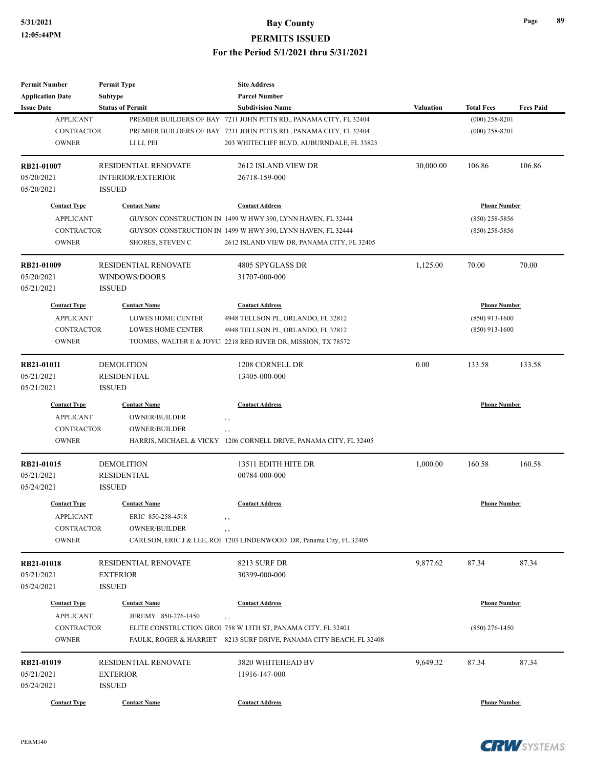| <b>Permit Number</b>                  | <b>Permit Type</b>          | <b>Site Address</b>                                                                                             |           |                                      |                  |
|---------------------------------------|-----------------------------|-----------------------------------------------------------------------------------------------------------------|-----------|--------------------------------------|------------------|
| <b>Application Date</b>               | <b>Subtype</b>              | <b>Parcel Number</b>                                                                                            |           |                                      |                  |
| <b>Issue Date</b><br><b>APPLICANT</b> | <b>Status of Permit</b>     | <b>Subdivision Name</b>                                                                                         | Valuation | <b>Total Fees</b>                    | <b>Fees Paid</b> |
| <b>CONTRACTOR</b>                     |                             | PREMIER BUILDERS OF BAY 7211 JOHN PITTS RD., PANAMA CITY, FL 32404                                              |           | $(000)$ 258-8201<br>$(000)$ 258-8201 |                  |
| <b>OWNER</b>                          | LI LI, PEI                  | PREMIER BUILDERS OF BAY 7211 JOHN PITTS RD., PANAMA CITY, FL 32404<br>203 WHITECLIFF BLVD, AUBURNDALE, FL 33823 |           |                                      |                  |
|                                       |                             |                                                                                                                 |           |                                      |                  |
| RB21-01007                            | <b>RESIDENTIAL RENOVATE</b> | 2612 ISLAND VIEW DR                                                                                             | 30,000.00 | 106.86                               | 106.86           |
| 05/20/2021                            | <b>INTERIOR/EXTERIOR</b>    | 26718-159-000                                                                                                   |           |                                      |                  |
| 05/20/2021                            | <b>ISSUED</b>               |                                                                                                                 |           |                                      |                  |
| <b>Contact Type</b>                   | <b>Contact Name</b>         | <b>Contact Address</b>                                                                                          |           | <b>Phone Number</b>                  |                  |
| <b>APPLICANT</b>                      |                             | GUYSON CONSTRUCTION IN 1499 W HWY 390, LYNN HAVEN, FL 32444                                                     |           | $(850)$ 258-5856                     |                  |
| <b>CONTRACTOR</b>                     |                             | GUYSON CONSTRUCTION IN 1499 W HWY 390, LYNN HAVEN, FL 32444                                                     |           | $(850)$ 258-5856                     |                  |
| <b>OWNER</b>                          | <b>SHORES, STEVEN C</b>     | 2612 ISLAND VIEW DR, PANAMA CITY, FL 32405                                                                      |           |                                      |                  |
| RB21-01009                            | <b>RESIDENTIAL RENOVATE</b> | 4805 SPYGLASS DR                                                                                                | 1,125.00  | 70.00                                | 70.00            |
| 05/20/2021                            | WINDOWS/DOORS               | 31707-000-000                                                                                                   |           |                                      |                  |
| 05/21/2021                            | <b>ISSUED</b>               |                                                                                                                 |           |                                      |                  |
| <b>Contact Type</b>                   | <b>Contact Name</b>         | <b>Contact Address</b>                                                                                          |           | <b>Phone Number</b>                  |                  |
| <b>APPLICANT</b>                      | <b>LOWES HOME CENTER</b>    | 4948 TELLSON PL, ORLANDO, FL 32812                                                                              |           | $(850)$ 913-1600                     |                  |
| <b>CONTRACTOR</b>                     | <b>LOWES HOME CENTER</b>    | 4948 TELLSON PL, ORLANDO, FL 32812                                                                              |           | $(850)$ 913-1600                     |                  |
| <b>OWNER</b>                          |                             | TOOMBS, WALTER E & JOYCI 2218 RED RIVER DR, MISSION, TX 78572                                                   |           |                                      |                  |
|                                       |                             |                                                                                                                 |           |                                      |                  |
| RB21-01011                            | <b>DEMOLITION</b>           | 1208 CORNELL DR                                                                                                 | 0.00      | 133.58                               | 133.58           |
| 05/21/2021                            | <b>RESIDENTIAL</b>          | 13405-000-000                                                                                                   |           |                                      |                  |
| 05/21/2021                            | <b>ISSUED</b>               |                                                                                                                 |           |                                      |                  |
| <b>Contact Type</b>                   | <b>Contact Name</b>         | <b>Contact Address</b>                                                                                          |           | <b>Phone Number</b>                  |                  |
| <b>APPLICANT</b>                      | <b>OWNER/BUILDER</b>        | $, \, \cdot$                                                                                                    |           |                                      |                  |
| <b>CONTRACTOR</b>                     | <b>OWNER/BUILDER</b>        | $, \, ,$                                                                                                        |           |                                      |                  |
| <b>OWNER</b>                          |                             | HARRIS, MICHAEL & VICKY 1206 CORNELL DRIVE, PANAMA CITY, FL 32405                                               |           |                                      |                  |
| RB21-01015                            | <b>DEMOLITION</b>           | 13511 EDITH HITE DR                                                                                             | 1,000.00  | 160.58                               | 160.58           |
| 05/21/2021                            | <b>RESIDENTIAL</b>          | 00784-000-000                                                                                                   |           |                                      |                  |
| 05/24/2021                            | <b>ISSUED</b>               |                                                                                                                 |           |                                      |                  |
| <b>Contact Type</b>                   | <b>Contact Name</b>         | <b>Contact Address</b>                                                                                          |           | <b>Phone Number</b>                  |                  |
| <b>APPLICANT</b>                      | ERIC 850-258-4518           |                                                                                                                 |           |                                      |                  |
| CONTRACTOR                            | <b>OWNER/BUILDER</b>        |                                                                                                                 |           |                                      |                  |
| <b>OWNER</b>                          |                             | CARLSON, ERIC J & LEE, ROI 1203 LINDENWOOD DR, Panama City, FL 32405                                            |           |                                      |                  |
|                                       |                             |                                                                                                                 |           |                                      |                  |
| RB21-01018                            | RESIDENTIAL RENOVATE        | 8213 SURF DR                                                                                                    | 9,877.62  | 87.34                                | 87.34            |
| 05/21/2021                            | <b>EXTERIOR</b>             | 30399-000-000                                                                                                   |           |                                      |                  |
| 05/24/2021                            | <b>ISSUED</b>               |                                                                                                                 |           |                                      |                  |
| <b>Contact Type</b>                   | <b>Contact Name</b>         | <b>Contact Address</b>                                                                                          |           | <b>Phone Number</b>                  |                  |
| <b>APPLICANT</b>                      | JEREMY 850-276-1450         | $, \, ,$                                                                                                        |           |                                      |                  |
| <b>CONTRACTOR</b>                     |                             | ELITE CONSTRUCTION GROU 758 W 13TH ST, PANAMA CITY, FL 32401                                                    |           | $(850)$ 276-1450                     |                  |
| <b>OWNER</b>                          |                             | FAULK, ROGER & HARRIET 8213 SURF DRIVE, PANAMA CITY BEACH, FL 32408                                             |           |                                      |                  |
| RB21-01019                            | RESIDENTIAL RENOVATE        | 3820 WHITEHEAD BV                                                                                               | 9,649.32  | 87.34                                | 87.34            |
| 05/21/2021                            | <b>EXTERIOR</b>             | 11916-147-000                                                                                                   |           |                                      |                  |
| 05/24/2021                            | <b>ISSUED</b>               |                                                                                                                 |           |                                      |                  |
|                                       |                             |                                                                                                                 |           |                                      |                  |
| <b>Contact Type</b>                   | <b>Contact Name</b>         | <b>Contact Address</b>                                                                                          |           | <b>Phone Number</b>                  |                  |

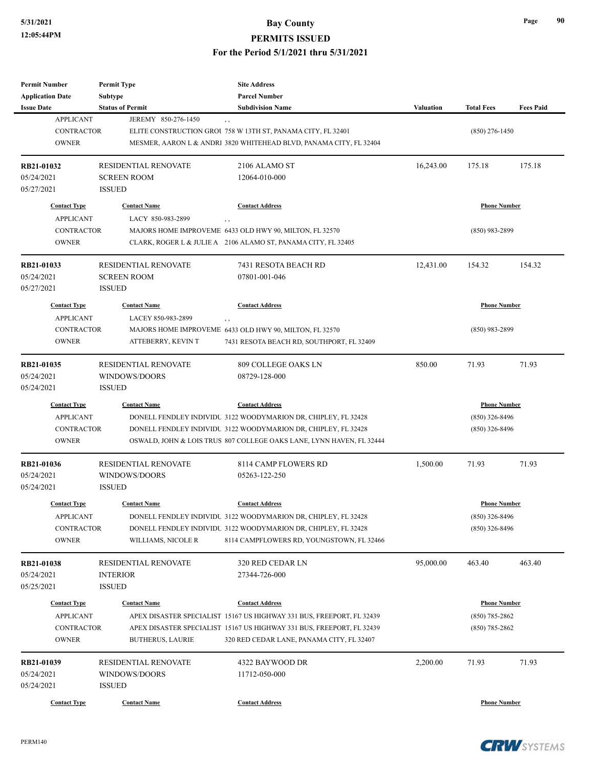| Permit Number                         | <b>Permit Type</b>                             | <b>Site Address</b>                                                         |           |                     |                  |
|---------------------------------------|------------------------------------------------|-----------------------------------------------------------------------------|-----------|---------------------|------------------|
| <b>Application Date</b>               | <b>Subtype</b>                                 | <b>Parcel Number</b>                                                        |           |                     |                  |
| <b>Issue Date</b><br><b>APPLICANT</b> | <b>Status of Permit</b><br>JEREMY 850-276-1450 | <b>Subdivision Name</b>                                                     | Valuation | <b>Total Fees</b>   | <b>Fees Paid</b> |
| <b>CONTRACTOR</b>                     |                                                | $, \, , \,$<br>ELITE CONSTRUCTION GROU 758 W 13TH ST, PANAMA CITY, FL 32401 |           |                     |                  |
| <b>OWNER</b>                          |                                                |                                                                             |           | $(850)$ 276-1450    |                  |
|                                       |                                                | MESMER, AARON L & ANDRI 3820 WHITEHEAD BLVD, PANAMA CITY, FL 32404          |           |                     |                  |
| RB21-01032                            | <b>RESIDENTIAL RENOVATE</b>                    | 2106 ALAMO ST                                                               | 16,243.00 | 175.18              | 175.18           |
| 05/24/2021                            | <b>SCREEN ROOM</b>                             | 12064-010-000                                                               |           |                     |                  |
| 05/27/2021                            | <b>ISSUED</b>                                  |                                                                             |           |                     |                  |
| <b>Contact Type</b>                   | <b>Contact Name</b>                            | <b>Contact Address</b>                                                      |           | <b>Phone Number</b> |                  |
| <b>APPLICANT</b>                      | LACY 850-983-2899                              |                                                                             |           |                     |                  |
| <b>CONTRACTOR</b>                     |                                                | MAJORS HOME IMPROVEME 6433 OLD HWY 90, MILTON, FL 32570                     |           | $(850)$ 983-2899    |                  |
| <b>OWNER</b>                          |                                                | CLARK, ROGER L & JULIE A 2106 ALAMO ST, PANAMA CITY, FL 32405               |           |                     |                  |
| RB21-01033                            | <b>RESIDENTIAL RENOVATE</b>                    | 7431 RESOTA BEACH RD                                                        | 12,431.00 | 154.32              | 154.32           |
| 05/24/2021                            | <b>SCREEN ROOM</b>                             | 07801-001-046                                                               |           |                     |                  |
| 05/27/2021                            | <b>ISSUED</b>                                  |                                                                             |           |                     |                  |
| <b>Contact Type</b>                   | <b>Contact Name</b>                            | <b>Contact Address</b>                                                      |           | <b>Phone Number</b> |                  |
| <b>APPLICANT</b>                      | LACEY 850-983-2899                             | $, \, , \,$                                                                 |           |                     |                  |
| <b>CONTRACTOR</b>                     |                                                | MAJORS HOME IMPROVEME 6433 OLD HWY 90, MILTON, FL 32570                     |           | $(850)$ 983-2899    |                  |
| <b>OWNER</b>                          | ATTEBERRY, KEVIN T                             | 7431 RESOTA BEACH RD, SOUTHPORT, FL 32409                                   |           |                     |                  |
|                                       |                                                |                                                                             |           |                     |                  |
| RB21-01035                            | <b>RESIDENTIAL RENOVATE</b>                    | 809 COLLEGE OAKS LN                                                         | 850.00    | 71.93               | 71.93            |
| 05/24/2021                            | WINDOWS/DOORS                                  | 08729-128-000                                                               |           |                     |                  |
| 05/24/2021                            | <b>ISSUED</b>                                  |                                                                             |           |                     |                  |
| <b>Contact Type</b>                   | <b>Contact Name</b>                            | <b>Contact Address</b>                                                      |           | <b>Phone Number</b> |                  |
| <b>APPLICANT</b>                      |                                                | DONELL FENDLEY INDIVIDU 3122 WOODYMARION DR, CHIPLEY, FL 32428              |           | $(850)$ 326-8496    |                  |
| <b>CONTRACTOR</b>                     |                                                | DONELL FENDLEY INDIVIDU 3122 WOODYMARION DR, CHIPLEY, FL 32428              |           | $(850)$ 326-8496    |                  |
| <b>OWNER</b>                          |                                                | OSWALD, JOHN & LOIS TRUS 807 COLLEGE OAKS LANE, LYNN HAVEN, FL 32444        |           |                     |                  |
| RB21-01036                            | <b>RESIDENTIAL RENOVATE</b>                    | 8114 CAMP FLOWERS RD                                                        | 1,500.00  | 71.93               | 71.93            |
| 05/24/2021                            | WINDOWS/DOORS                                  | 05263-122-250                                                               |           |                     |                  |
| 05/24/2021                            | <b>ISSUED</b>                                  |                                                                             |           |                     |                  |
| <b>Contact Type</b>                   | <b>Contact Name</b>                            | <b>Contact Address</b>                                                      |           | <b>Phone Number</b> |                  |
| APPLICANT                             |                                                | DONELL FENDLEY INDIVIDU 3122 WOODYMARION DR, CHIPLEY, FL 32428              |           | $(850)$ 326-8496    |                  |
| CONTRACTOR                            |                                                | DONELL FENDLEY INDIVIDU 3122 WOODYMARION DR, CHIPLEY, FL 32428              |           | $(850)$ 326-8496    |                  |
| <b>OWNER</b>                          | WILLIAMS, NICOLE R                             | 8114 CAMPFLOWERS RD, YOUNGSTOWN, FL 32466                                   |           |                     |                  |
|                                       |                                                |                                                                             |           |                     |                  |
| RB21-01038                            | RESIDENTIAL RENOVATE                           | 320 RED CEDAR LN                                                            | 95,000.00 | 463.40              | 463.40           |
| 05/24/2021                            | <b>INTERIOR</b>                                | 27344-726-000                                                               |           |                     |                  |
| 05/25/2021                            | <b>ISSUED</b>                                  |                                                                             |           |                     |                  |
| <b>Contact Type</b>                   | <b>Contact Name</b>                            | <b>Contact Address</b>                                                      |           | <b>Phone Number</b> |                  |
| <b>APPLICANT</b>                      |                                                | APEX DISASTER SPECIALIST 15167 US HIGHWAY 331 BUS, FREEPORT, FL 32439       |           | $(850)$ 785-2862    |                  |
| <b>CONTRACTOR</b>                     |                                                | APEX DISASTER SPECIALIST 15167 US HIGHWAY 331 BUS, FREEPORT, FL 32439       |           | $(850)$ 785-2862    |                  |
| <b>OWNER</b>                          | <b>BUTHERUS, LAURIE</b>                        | 320 RED CEDAR LANE, PANAMA CITY, FL 32407                                   |           |                     |                  |
| RB21-01039                            | RESIDENTIAL RENOVATE                           | 4322 BAYWOOD DR                                                             | 2,200.00  | 71.93               | 71.93            |
| 05/24/2021                            | WINDOWS/DOORS                                  | 11712-050-000                                                               |           |                     |                  |
| 05/24/2021                            | <b>ISSUED</b>                                  |                                                                             |           |                     |                  |
|                                       |                                                |                                                                             |           |                     |                  |
| <b>Contact Type</b>                   | <b>Contact Name</b>                            | <b>Contact Address</b>                                                      |           | <b>Phone Number</b> |                  |



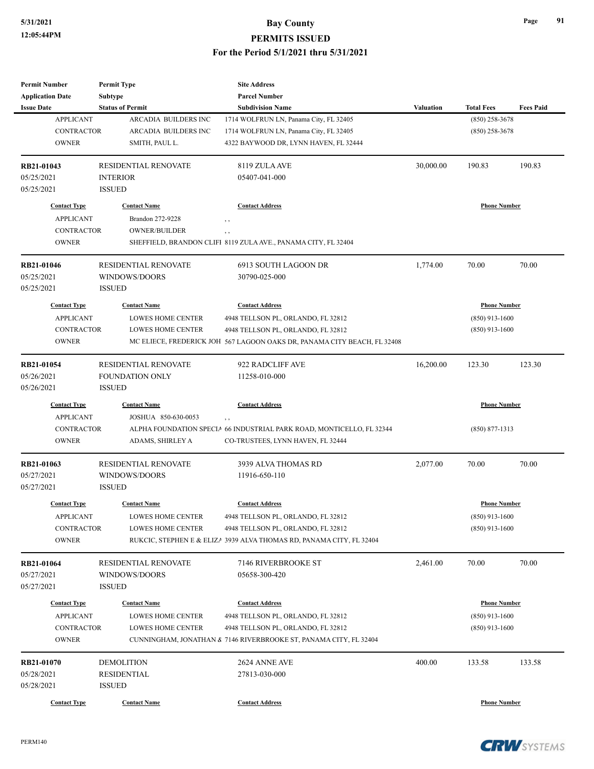| <b>Permit Number</b>    | <b>Permit Type</b>          | <b>Site Address</b>                                                      |                     |                     |                  |
|-------------------------|-----------------------------|--------------------------------------------------------------------------|---------------------|---------------------|------------------|
| <b>Application Date</b> | <b>Subtype</b>              | <b>Parcel Number</b>                                                     |                     |                     |                  |
| <b>Issue Date</b>       | <b>Status of Permit</b>     | <b>Subdivision Name</b>                                                  | <b>Valuation</b>    | <b>Total Fees</b>   | <b>Fees Paid</b> |
| <b>APPLICANT</b>        | ARCADIA BUILDERS INC        | 1714 WOLFRUN LN, Panama City, FL 32405                                   |                     | $(850)$ 258-3678    |                  |
| <b>CONTRACTOR</b>       | ARCADIA BUILDERS INC        | 1714 WOLFRUN LN, Panama City, FL 32405                                   |                     | $(850)$ 258-3678    |                  |
| <b>OWNER</b>            | SMITH, PAUL L.              | 4322 BAYWOOD DR, LYNN HAVEN, FL 32444                                    |                     |                     |                  |
| RB21-01043              | RESIDENTIAL RENOVATE        | 8119 ZULA AVE                                                            | 30,000.00           | 190.83              | 190.83           |
| 05/25/2021              | <b>INTERIOR</b>             | 05407-041-000                                                            |                     |                     |                  |
| 05/25/2021              | <b>ISSUED</b>               |                                                                          |                     |                     |                  |
| <b>Contact Type</b>     | <b>Contact Name</b>         | <b>Contact Address</b>                                                   |                     | <b>Phone Number</b> |                  |
| <b>APPLICANT</b>        | Brandon 272-9228            | , ,                                                                      |                     |                     |                  |
| <b>CONTRACTOR</b>       | <b>OWNER/BUILDER</b>        | $, \, , \,$                                                              |                     |                     |                  |
| <b>OWNER</b>            |                             | SHEFFIELD, BRANDON CLIFI 8119 ZULA AVE., PANAMA CITY, FL 32404           |                     |                     |                  |
| RB21-01046              | <b>RESIDENTIAL RENOVATE</b> | 6913 SOUTH LAGOON DR                                                     | 1,774.00            | 70.00               | 70.00            |
| 05/25/2021              | WINDOWS/DOORS               | 30790-025-000                                                            |                     |                     |                  |
| 05/25/2021              | <b>ISSUED</b>               |                                                                          |                     |                     |                  |
| <b>Contact Type</b>     | <b>Contact Name</b>         | <b>Contact Address</b>                                                   |                     | <b>Phone Number</b> |                  |
| <b>APPLICANT</b>        | <b>LOWES HOME CENTER</b>    | 4948 TELLSON PL, ORLANDO, FL 32812                                       |                     | $(850)$ 913-1600    |                  |
| <b>CONTRACTOR</b>       | <b>LOWES HOME CENTER</b>    |                                                                          |                     | $(850)$ 913-1600    |                  |
|                         |                             | 4948 TELLSON PL, ORLANDO, FL 32812                                       |                     |                     |                  |
| <b>OWNER</b>            |                             | MC ELIECE, FREDERICK JOH 567 LAGOON OAKS DR, PANAMA CITY BEACH, FL 32408 |                     |                     |                  |
| RB21-01054              | <b>RESIDENTIAL RENOVATE</b> | 922 RADCLIFF AVE                                                         | 16,200.00           | 123.30              | 123.30           |
| 05/26/2021              | <b>FOUNDATION ONLY</b>      | 11258-010-000                                                            |                     |                     |                  |
| 05/26/2021              | <b>ISSUED</b>               |                                                                          |                     |                     |                  |
| <b>Contact Type</b>     | <b>Contact Name</b>         | <b>Contact Address</b>                                                   | <b>Phone Number</b> |                     |                  |
| <b>APPLICANT</b>        | JOSHUA 850-630-0053         | $, \, , \,$                                                              |                     |                     |                  |
| <b>CONTRACTOR</b>       |                             | ALPHA FOUNDATION SPECIA 66 INDUSTRIAL PARK ROAD, MONTICELLO, FL 32344    |                     | $(850) 877 - 1313$  |                  |
| <b>OWNER</b>            | ADAMS, SHIRLEY A            | CO-TRUSTEES, LYNN HAVEN, FL 32444                                        |                     |                     |                  |
| RB21-01063              | <b>RESIDENTIAL RENOVATE</b> | 3939 ALVA THOMAS RD                                                      | 2,077.00            | 70.00               | 70.00            |
| 05/27/2021              | WINDOWS/DOORS               | 11916-650-110                                                            |                     |                     |                  |
| 05/27/2021              | <b>ISSUED</b>               |                                                                          |                     |                     |                  |
| <b>Contact Type</b>     | <b>Contact Name</b>         | <b>Contact Address</b>                                                   |                     | <b>Phone Number</b> |                  |
| <b>APPLICANT</b>        | LOWES HOME CENTER           | 4948 TELLSON PL, ORLANDO, FL 32812                                       |                     | $(850)$ 913-1600    |                  |
| CONTRACTOR              | <b>LOWES HOME CENTER</b>    | 4948 TELLSON PL, ORLANDO, FL 32812                                       |                     | $(850)$ 913-1600    |                  |
| <b>OWNER</b>            |                             | RUKCIC, STEPHEN E & ELIZA 3939 ALVA THOMAS RD, PANAMA CITY, FL 32404     |                     |                     |                  |
|                         |                             |                                                                          |                     |                     |                  |
| RB21-01064              | <b>RESIDENTIAL RENOVATE</b> | <b>7146 RIVERBROOKE ST</b>                                               | 2,461.00            | 70.00               | 70.00            |
| 05/27/2021              | WINDOWS/DOORS               | 05658-300-420                                                            |                     |                     |                  |
| 05/27/2021              | <b>ISSUED</b>               |                                                                          |                     |                     |                  |
| <b>Contact Type</b>     | <b>Contact Name</b>         | <b>Contact Address</b>                                                   |                     | <b>Phone Number</b> |                  |
| <b>APPLICANT</b>        | <b>LOWES HOME CENTER</b>    | 4948 TELLSON PL, ORLANDO, FL 32812                                       |                     | $(850)$ 913-1600    |                  |
| CONTRACTOR              | <b>LOWES HOME CENTER</b>    | 4948 TELLSON PL, ORLANDO, FL 32812                                       |                     | $(850)$ 913-1600    |                  |
| <b>OWNER</b>            |                             | CUNNINGHAM, JONATHAN & 7146 RIVERBROOKE ST, PANAMA CITY, FL 32404        |                     |                     |                  |
| RB21-01070              | <b>DEMOLITION</b>           | 2624 ANNE AVE                                                            | 400.00              | 133.58              | 133.58           |
| 05/28/2021              | RESIDENTIAL                 | 27813-030-000                                                            |                     |                     |                  |
| 05/28/2021              | <b>ISSUED</b>               |                                                                          |                     |                     |                  |
| <b>Contact Type</b>     | <b>Contact Name</b>         | <b>Contact Address</b>                                                   |                     | <b>Phone Number</b> |                  |
|                         |                             |                                                                          |                     |                     |                  |

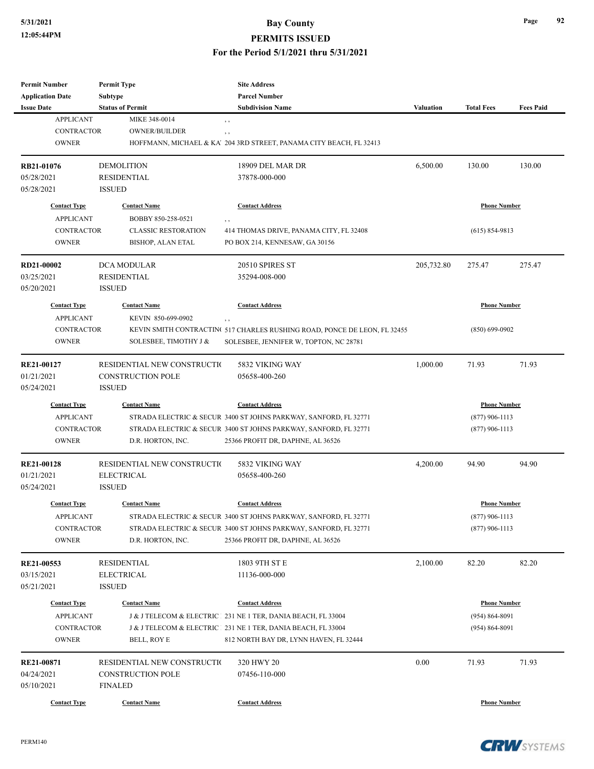#### **PERMITS ISSUED**

**For the Period 5/1/2021 thru 5/31/2021**

| <b>Permit Number</b>    | <b>Permit Type</b>          | <b>Site Address</b>                                                       |            |                     |                  |
|-------------------------|-----------------------------|---------------------------------------------------------------------------|------------|---------------------|------------------|
| <b>Application Date</b> | Subtype                     | <b>Parcel Number</b>                                                      |            |                     |                  |
| <b>Issue Date</b>       | <b>Status of Permit</b>     | <b>Subdivision Name</b>                                                   | Valuation  | <b>Total Fees</b>   | <b>Fees Paid</b> |
| <b>APPLICANT</b>        | MIKE 348-0014               | , ,                                                                       |            |                     |                  |
| <b>CONTRACTOR</b>       | <b>OWNER/BUILDER</b>        | $, \, , \,$                                                               |            |                     |                  |
| <b>OWNER</b>            |                             | HOFFMANN, MICHAEL & KA' 204 3RD STREET, PANAMA CITY BEACH, FL 32413       |            |                     |                  |
| RB21-01076              | <b>DEMOLITION</b>           | 18909 DEL MAR DR                                                          | 6,500.00   | 130.00              | 130.00           |
| 05/28/2021              | <b>RESIDENTIAL</b>          | 37878-000-000                                                             |            |                     |                  |
| 05/28/2021              | <b>ISSUED</b>               |                                                                           |            |                     |                  |
| <b>Contact Type</b>     | <b>Contact Name</b>         | <b>Contact Address</b>                                                    |            | <b>Phone Number</b> |                  |
| <b>APPLICANT</b>        | BOBBY 850-258-0521          | , ,                                                                       |            |                     |                  |
| <b>CONTRACTOR</b>       | <b>CLASSIC RESTORATION</b>  | 414 THOMAS DRIVE, PANAMA CITY, FL 32408                                   |            | $(615) 854 - 9813$  |                  |
| <b>OWNER</b>            | <b>BISHOP, ALAN ETAL</b>    | PO BOX 214, KENNESAW, GA 30156                                            |            |                     |                  |
| RD21-00002              | DCA MODULAR                 | 20510 SPIRES ST                                                           | 205,732.80 | 275.47              | 275.47           |
| 03/25/2021              | <b>RESIDENTIAL</b>          | 35294-008-000                                                             |            |                     |                  |
| 05/20/2021              | <b>ISSUED</b>               |                                                                           |            |                     |                  |
| <b>Contact Type</b>     | <b>Contact Name</b>         | <b>Contact Address</b>                                                    |            | <b>Phone Number</b> |                  |
| <b>APPLICANT</b>        | KEVIN 850-699-0902          | $, \, ,$                                                                  |            |                     |                  |
| <b>CONTRACTOR</b>       |                             | KEVIN SMITH CONTRACTING 517 CHARLES RUSHING ROAD, PONCE DE LEON, FL 32455 |            | $(850) 699 - 0902$  |                  |
| <b>OWNER</b>            | SOLESBEE, TIMOTHY J &       | SOLESBEE, JENNIFER W, TOPTON, NC 28781                                    |            |                     |                  |
| RE21-00127              | RESIDENTIAL NEW CONSTRUCTIO | 5832 VIKING WAY                                                           | 1,000.00   | 71.93               | 71.93            |
| 01/21/2021              | <b>CONSTRUCTION POLE</b>    | 05658-400-260                                                             |            |                     |                  |
| 05/24/2021              | <b>ISSUED</b>               |                                                                           |            |                     |                  |
| <b>Contact Type</b>     | <b>Contact Name</b>         | <b>Contact Address</b>                                                    |            | <b>Phone Number</b> |                  |
| <b>APPLICANT</b>        |                             | STRADA ELECTRIC & SECUR 3400 ST JOHNS PARKWAY, SANFORD, FL 32771          |            | $(877)$ 906-1113    |                  |
| <b>CONTRACTOR</b>       |                             | STRADA ELECTRIC & SECUR 3400 ST JOHNS PARKWAY, SANFORD, FL 32771          |            | $(877)$ 906-1113    |                  |
| <b>OWNER</b>            | D.R. HORTON, INC.           | 25366 PROFIT DR, DAPHNE, AL 36526                                         |            |                     |                  |
| <b>RE21-00128</b>       | RESIDENTIAL NEW CONSTRUCTIO | 5832 VIKING WAY                                                           | 4,200.00   | 94.90               | 94.90            |
| 01/21/2021              | <b>ELECTRICAL</b>           | 05658-400-260                                                             |            |                     |                  |
| 05/24/2021              | <b>ISSUED</b>               |                                                                           |            |                     |                  |
| <b>Contact Type</b>     | <b>Contact Name</b>         | <b>Contact Address</b>                                                    |            | <b>Phone Number</b> |                  |
| APPLICANT               |                             | STRADA ELECTRIC & SECUR 3400 ST JOHNS PARKWAY, SANFORD, FL 32771          |            | $(877)$ 906-1113    |                  |
| <b>CONTRACTOR</b>       |                             | STRADA ELECTRIC & SECUR 3400 ST JOHNS PARKWAY, SANFORD, FL 32771          |            | $(877)$ 906-1113    |                  |
| <b>OWNER</b>            | D.R. HORTON, INC.           | 25366 PROFIT DR, DAPHNE, AL 36526                                         |            |                     |                  |
| RE21-00553              | <b>RESIDENTIAL</b>          | 1803 9TH ST E                                                             | 2,100.00   | 82.20               | 82.20            |
| 03/15/2021              | <b>ELECTRICAL</b>           | 11136-000-000                                                             |            |                     |                  |
| 05/21/2021              | <b>ISSUED</b>               |                                                                           |            |                     |                  |
| <b>Contact Type</b>     | <b>Contact Name</b>         | <b>Contact Address</b>                                                    |            | <b>Phone Number</b> |                  |
| <b>APPLICANT</b>        |                             | J & J TELECOM & ELECTRIC 231 NE 1 TER, DANIA BEACH, FL 33004              |            | $(954) 864 - 8091$  |                  |
| <b>CONTRACTOR</b>       |                             | J & J TELECOM & ELECTRIC 231 NE 1 TER, DANIA BEACH, FL 33004              |            | $(954) 864 - 8091$  |                  |
| <b>OWNER</b>            | BELL, ROY E                 | 812 NORTH BAY DR, LYNN HAVEN, FL 32444                                    |            |                     |                  |
| RE21-00871              | RESIDENTIAL NEW CONSTRUCTIO | 320 HWY 20                                                                | $0.00\,$   | 71.93               | 71.93            |
| 04/24/2021              | <b>CONSTRUCTION POLE</b>    | 07456-110-000                                                             |            |                     |                  |
| 05/10/2021              | <b>FINALED</b>              |                                                                           |            |                     |                  |
|                         |                             |                                                                           |            |                     |                  |
| <b>Contact Type</b>     | <b>Contact Name</b>         | <b>Contact Address</b>                                                    |            | <b>Phone Number</b> |                  |



**Page 92**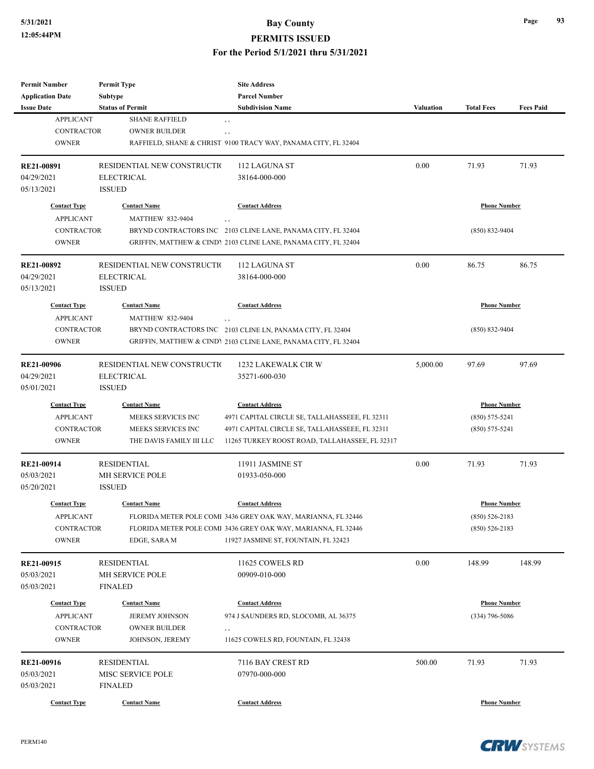#### **PERMITS ISSUED**

| <b>Permit Number</b>     | <b>Permit Type</b>          | <b>Site Address</b>                                                 |                  |                     |                  |
|--------------------------|-----------------------------|---------------------------------------------------------------------|------------------|---------------------|------------------|
| <b>Application Date</b>  | <b>Subtype</b>              | <b>Parcel Number</b>                                                |                  |                     |                  |
| <b>Issue Date</b>        | <b>Status of Permit</b>     | <b>Subdivision Name</b>                                             | <b>Valuation</b> | <b>Total Fees</b>   | <b>Fees Paid</b> |
| <b>APPLICANT</b>         | <b>SHANE RAFFIELD</b>       | $, \, , \,$                                                         |                  |                     |                  |
| <b>CONTRACTOR</b>        | <b>OWNER BUILDER</b>        | $, \, , \,$                                                         |                  |                     |                  |
| <b>OWNER</b>             |                             | RAFFIELD, SHANE & CHRIST 9100 TRACY WAY, PANAMA CITY, FL 32404      |                  |                     |                  |
|                          |                             |                                                                     |                  |                     |                  |
| <b>RE21-00891</b>        | RESIDENTIAL NEW CONSTRUCTIO | 112 LAGUNA ST                                                       | 0.00             | 71.93               | 71.93            |
| 04/29/2021               | <b>ELECTRICAL</b>           | 38164-000-000                                                       |                  |                     |                  |
| 05/13/2021               | <b>ISSUED</b>               |                                                                     |                  |                     |                  |
| <b>Contact Type</b>      | <b>Contact Name</b>         | <b>Contact Address</b>                                              |                  | <b>Phone Number</b> |                  |
| <b>APPLICANT</b>         | <b>MATTHEW 832-9404</b>     |                                                                     |                  |                     |                  |
| <b>CONTRACTOR</b>        |                             | , ,<br>BRYND CONTRACTORS INC 2103 CLINE LANE, PANAMA CITY, FL 32404 |                  | $(850) 832 - 9404$  |                  |
|                          |                             |                                                                     |                  |                     |                  |
| <b>OWNER</b>             |                             | GRIFFIN, MATTHEW & CINDY 2103 CLINE LANE, PANAMA CITY, FL 32404     |                  |                     |                  |
| RE21-00892               | RESIDENTIAL NEW CONSTRUCTIO | 112 LAGUNA ST                                                       | 0.00             | 86.75               | 86.75            |
| 04/29/2021               | <b>ELECTRICAL</b>           | 38164-000-000                                                       |                  |                     |                  |
| 05/13/2021               | <b>ISSUED</b>               |                                                                     |                  |                     |                  |
|                          |                             |                                                                     |                  |                     |                  |
| <b>Contact Type</b>      | <b>Contact Name</b>         | <b>Contact Address</b>                                              |                  | <b>Phone Number</b> |                  |
| <b>APPLICANT</b>         | <b>MATTHEW 832-9404</b>     | , ,                                                                 |                  |                     |                  |
| <b>CONTRACTOR</b>        |                             | BRYND CONTRACTORS INC 2103 CLINE LN, PANAMA CITY, FL 32404          |                  | $(850) 832 - 9404$  |                  |
| <b>OWNER</b>             |                             | GRIFFIN, MATTHEW & CINDY 2103 CLINE LANE, PANAMA CITY, FL 32404     |                  |                     |                  |
| <b>RE21-00906</b>        | RESIDENTIAL NEW CONSTRUCTIO | 1232 LAKEWALK CIR W                                                 | 5,000.00         | 97.69               | 97.69            |
| 04/29/2021               | <b>ELECTRICAL</b>           | 35271-600-030                                                       |                  |                     |                  |
| 05/01/2021               | <b>ISSUED</b>               |                                                                     |                  |                     |                  |
|                          |                             |                                                                     |                  |                     |                  |
| <b>Contact Type</b>      | <b>Contact Name</b>         | <b>Contact Address</b>                                              |                  | <b>Phone Number</b> |                  |
| <b>APPLICANT</b>         | MEEKS SERVICES INC          | 4971 CAPITAL CIRCLE SE, TALLAHASSEEE, FL 32311                      |                  | $(850) 575 - 5241$  |                  |
| <b>CONTRACTOR</b>        | MEEKS SERVICES INC          | 4971 CAPITAL CIRCLE SE, TALLAHASSEEE, FL 32311                      |                  | $(850) 575 - 5241$  |                  |
| <b>OWNER</b>             | THE DAVIS FAMILY III LLC    | 11265 TURKEY ROOST ROAD, TALLAHASSEE, FL 32317                      |                  |                     |                  |
|                          | <b>RESIDENTIAL</b>          | 11911 JASMINE ST                                                    | 0.00             | 71.93               | 71.93            |
| RE21-00914<br>05/03/2021 | MH SERVICE POLE             | 01933-050-000                                                       |                  |                     |                  |
|                          | <b>ISSUED</b>               |                                                                     |                  |                     |                  |
| 05/20/2021               |                             |                                                                     |                  |                     |                  |
| <b>Contact Type</b>      | <b>Contact Name</b>         | <b>Contact Address</b>                                              |                  | <b>Phone Number</b> |                  |
| <b>APPLICANT</b>         |                             | FLORIDA METER POLE COMI 3436 GREY OAK WAY, MARIANNA, FL 32446       |                  | $(850) 526 - 2183$  |                  |
| <b>CONTRACTOR</b>        |                             | FLORIDA METER POLE COMI 3436 GREY OAK WAY, MARIANNA, FL 32446       |                  | $(850) 526 - 2183$  |                  |
| <b>OWNER</b>             | EDGE, SARA M                | 11927 JASMINE ST, FOUNTAIN, FL 32423                                |                  |                     |                  |
|                          |                             |                                                                     |                  |                     |                  |
| RE21-00915               | <b>RESIDENTIAL</b>          | 11625 COWELS RD                                                     | 0.00             | 148.99              | 148.99           |
| 05/03/2021               | MH SERVICE POLE             | 00909-010-000                                                       |                  |                     |                  |
| 05/03/2021               | <b>FINALED</b>              |                                                                     |                  |                     |                  |
| <b>Contact Type</b>      | <b>Contact Name</b>         | <b>Contact Address</b>                                              |                  | <b>Phone Number</b> |                  |
| <b>APPLICANT</b>         | <b>JEREMY JOHNSON</b>       | 974 J SAUNDERS RD, SLOCOMB, AL 36375                                |                  | $(334)$ 796-5086    |                  |
| <b>CONTRACTOR</b>        | <b>OWNER BUILDER</b>        | $, \, , \,$                                                         |                  |                     |                  |
| <b>OWNER</b>             | JOHNSON, JEREMY             | 11625 COWELS RD, FOUNTAIN, FL 32438                                 |                  |                     |                  |
|                          |                             |                                                                     |                  |                     |                  |
| RE21-00916               | <b>RESIDENTIAL</b>          | 7116 BAY CREST RD                                                   | 500.00           | 71.93               | 71.93            |
| 05/03/2021               | MISC SERVICE POLE           | 07970-000-000                                                       |                  |                     |                  |
| 05/03/2021               | <b>FINALED</b>              |                                                                     |                  |                     |                  |
| <b>Contact Type</b>      | <b>Contact Name</b>         | <b>Contact Address</b>                                              |                  | <b>Phone Number</b> |                  |

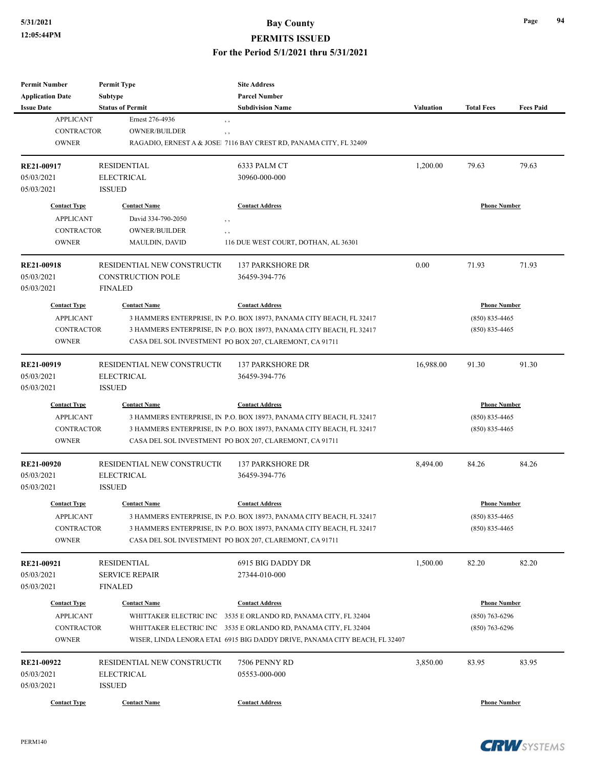#### **PERMITS ISSUED**

| <b>Permit Number</b>    | <b>Permit Type</b>          | <b>Site Address</b>                                                        |                  |                     |                  |
|-------------------------|-----------------------------|----------------------------------------------------------------------------|------------------|---------------------|------------------|
| <b>Application Date</b> | Subtype                     | <b>Parcel Number</b>                                                       |                  |                     |                  |
| <b>Issue Date</b>       | <b>Status of Permit</b>     | <b>Subdivision Name</b>                                                    | <b>Valuation</b> | <b>Total Fees</b>   | <b>Fees Paid</b> |
| <b>APPLICANT</b>        | Ernest 276-4936             | $, \, , \,$                                                                |                  |                     |                  |
| <b>CONTRACTOR</b>       | <b>OWNER/BUILDER</b>        | $, \, , \,$                                                                |                  |                     |                  |
| <b>OWNER</b>            |                             | RAGADIO, ERNEST A & JOSE! 7116 BAY CREST RD, PANAMA CITY, FL 32409         |                  |                     |                  |
| RE21-00917              | <b>RESIDENTIAL</b>          | 6333 PALM CT                                                               | 1,200.00         | 79.63               | 79.63            |
| 05/03/2021              | <b>ELECTRICAL</b>           | 30960-000-000                                                              |                  |                     |                  |
| 05/03/2021              | <b>ISSUED</b>               |                                                                            |                  |                     |                  |
| <b>Contact Type</b>     | <b>Contact Name</b>         | <b>Contact Address</b>                                                     |                  | <b>Phone Number</b> |                  |
| <b>APPLICANT</b>        | David 334-790-2050          | $, \, , \,$                                                                |                  |                     |                  |
| <b>CONTRACTOR</b>       | <b>OWNER/BUILDER</b>        | , ,                                                                        |                  |                     |                  |
| <b>OWNER</b>            | <b>MAULDIN, DAVID</b>       | 116 DUE WEST COURT, DOTHAN, AL 36301                                       |                  |                     |                  |
| <b>RE21-00918</b>       | RESIDENTIAL NEW CONSTRUCTIO | <b>137 PARKSHORE DR</b>                                                    | 0.00             | 71.93               | 71.93            |
| 05/03/2021              | <b>CONSTRUCTION POLE</b>    | 36459-394-776                                                              |                  |                     |                  |
| 05/03/2021              | <b>FINALED</b>              |                                                                            |                  |                     |                  |
| <b>Contact Type</b>     | <b>Contact Name</b>         | <b>Contact Address</b>                                                     |                  | <b>Phone Number</b> |                  |
| <b>APPLICANT</b>        |                             | 3 HAMMERS ENTERPRISE, IN P.O. BOX 18973, PANAMA CITY BEACH, FL 32417       |                  | $(850) 835 - 4465$  |                  |
| <b>CONTRACTOR</b>       |                             | 3 HAMMERS ENTERPRISE, IN P.O. BOX 18973, PANAMA CITY BEACH, FL 32417       |                  | $(850)$ 835-4465    |                  |
| <b>OWNER</b>            |                             | CASA DEL SOL INVESTMENT PO BOX 207, CLAREMONT, CA 91711                    |                  |                     |                  |
| RE21-00919              | RESIDENTIAL NEW CONSTRUCTIO | <b>137 PARKSHORE DR</b>                                                    | 16,988.00        | 91.30               | 91.30            |
| 05/03/2021              | <b>ELECTRICAL</b>           | 36459-394-776                                                              |                  |                     |                  |
| 05/03/2021              | <b>ISSUED</b>               |                                                                            |                  |                     |                  |
| <b>Contact Type</b>     | <b>Contact Name</b>         | <b>Contact Address</b>                                                     |                  | <b>Phone Number</b> |                  |
| <b>APPLICANT</b>        |                             | 3 HAMMERS ENTERPRISE, IN P.O. BOX 18973, PANAMA CITY BEACH, FL 32417       |                  | $(850) 835 - 4465$  |                  |
| <b>CONTRACTOR</b>       |                             | 3 HAMMERS ENTERPRISE, IN P.O. BOX 18973, PANAMA CITY BEACH, FL 32417       |                  | $(850)$ 835-4465    |                  |
| <b>OWNER</b>            |                             | CASA DEL SOL INVESTMENT PO BOX 207, CLAREMONT, CA 91711                    |                  |                     |                  |
| <b>RE21-00920</b>       | RESIDENTIAL NEW CONSTRUCTIO | <b>137 PARKSHORE DR</b>                                                    | 8,494.00         | 84.26               | 84.26            |
| 05/03/2021              | <b>ELECTRICAL</b>           | 36459-394-776                                                              |                  |                     |                  |
| 05/03/2021              | <b>ISSUED</b>               |                                                                            |                  |                     |                  |
| <b>Contact Type</b>     | <b>Contact Name</b>         | <b>Contact Address</b>                                                     |                  | <b>Phone Number</b> |                  |
| <b>APPLICANT</b>        |                             | 3 HAMMERS ENTERPRISE, IN P.O. BOX 18973, PANAMA CITY BEACH, FL 32417       |                  | $(850) 835 - 4465$  |                  |
| <b>CONTRACTOR</b>       |                             | 3 HAMMERS ENTERPRISE, IN P.O. BOX 18973, PANAMA CITY BEACH, FL 32417       |                  | $(850) 835 - 4465$  |                  |
| <b>OWNER</b>            |                             | CASA DEL SOL INVESTMENT PO BOX 207, CLAREMONT, CA 91711                    |                  |                     |                  |
| RE21-00921              | <b>RESIDENTIAL</b>          | 6915 BIG DADDY DR                                                          | 1,500.00         | 82.20               | 82.20            |
| 05/03/2021              | <b>SERVICE REPAIR</b>       | 27344-010-000                                                              |                  |                     |                  |
| 05/03/2021              | FINALED                     |                                                                            |                  |                     |                  |
| <b>Contact Type</b>     | <b>Contact Name</b>         | <b>Contact Address</b>                                                     |                  | <b>Phone Number</b> |                  |
| <b>APPLICANT</b>        |                             | WHITTAKER ELECTRIC INC 3535 E ORLANDO RD, PANAMA CITY, FL 32404            |                  | $(850)$ 763-6296    |                  |
| <b>CONTRACTOR</b>       |                             | WHITTAKER ELECTRIC INC 3535 E ORLANDO RD, PANAMA CITY, FL 32404            |                  | $(850)$ 763-6296    |                  |
| <b>OWNER</b>            |                             | WISER, LINDA LENORA ETAI 6915 BIG DADDY DRIVE, PANAMA CITY BEACH, FL 32407 |                  |                     |                  |
| RE21-00922              | RESIDENTIAL NEW CONSTRUCTIO | 7506 PENNY RD                                                              | 3,850.00         | 83.95               | 83.95            |
| 05/03/2021              | <b>ELECTRICAL</b>           | 05553-000-000                                                              |                  |                     |                  |
| 05/03/2021              | <b>ISSUED</b>               |                                                                            |                  |                     |                  |
|                         |                             |                                                                            |                  |                     |                  |
| <b>Contact Type</b>     | <b>Contact Name</b>         | <b>Contact Address</b>                                                     |                  | <b>Phone Number</b> |                  |

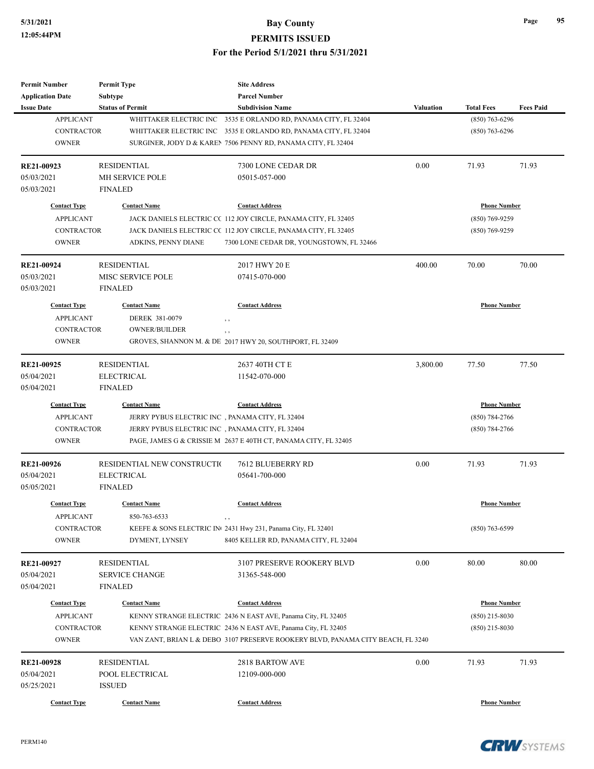| <b>Permit Number</b>    | <b>Permit Type</b>          | <b>Site Address</b>                                                             |                  |                     |                  |
|-------------------------|-----------------------------|---------------------------------------------------------------------------------|------------------|---------------------|------------------|
| <b>Application Date</b> | Subtype                     | <b>Parcel Number</b>                                                            |                  |                     |                  |
| <b>Issue Date</b>       | <b>Status of Permit</b>     | <b>Subdivision Name</b>                                                         | <b>Valuation</b> | <b>Total Fees</b>   | <b>Fees Paid</b> |
| <b>APPLICANT</b>        | WHITTAKER ELECTRIC INC      | 3535 E ORLANDO RD, PANAMA CITY, FL 32404                                        |                  | $(850)$ 763-6296    |                  |
| <b>CONTRACTOR</b>       |                             | WHITTAKER ELECTRIC INC 3535 E ORLANDO RD, PANAMA CITY, FL 32404                 |                  | $(850)$ 763-6296    |                  |
| <b>OWNER</b>            |                             | SURGINER, JODY D & KAREN 7506 PENNY RD, PANAMA CITY, FL 32404                   |                  |                     |                  |
| RE21-00923              | <b>RESIDENTIAL</b>          | 7300 LONE CEDAR DR                                                              | 0.00             | 71.93               | 71.93            |
| 05/03/2021              | MH SERVICE POLE             | 05015-057-000                                                                   |                  |                     |                  |
| 05/03/2021              | <b>FINALED</b>              |                                                                                 |                  |                     |                  |
| <b>Contact Type</b>     | <b>Contact Name</b>         | <b>Contact Address</b>                                                          |                  | <b>Phone Number</b> |                  |
| <b>APPLICANT</b>        |                             | JACK DANIELS ELECTRIC CC 112 JOY CIRCLE, PANAMA CITY, FL 32405                  |                  | (850) 769-9259      |                  |
| <b>CONTRACTOR</b>       |                             | JACK DANIELS ELECTRIC CC 112 JOY CIRCLE, PANAMA CITY, FL 32405                  |                  | $(850)$ 769-9259    |                  |
| <b>OWNER</b>            | ADKINS, PENNY DIANE         | 7300 LONE CEDAR DR, YOUNGSTOWN, FL 32466                                        |                  |                     |                  |
| RE21-00924              | <b>RESIDENTIAL</b>          | 2017 HWY 20 E                                                                   | 400.00           | 70.00               | 70.00            |
| 05/03/2021              | <b>MISC SERVICE POLE</b>    | 07415-070-000                                                                   |                  |                     |                  |
| 05/03/2021              | <b>FINALED</b>              |                                                                                 |                  |                     |                  |
| <b>Contact Type</b>     | <b>Contact Name</b>         | <b>Contact Address</b>                                                          |                  | <b>Phone Number</b> |                  |
| <b>APPLICANT</b>        | DEREK 381-0079              | , ,                                                                             |                  |                     |                  |
| <b>CONTRACTOR</b>       | <b>OWNER/BUILDER</b>        |                                                                                 |                  |                     |                  |
| <b>OWNER</b>            |                             | GROVES, SHANNON M. & DE 2017 HWY 20, SOUTHPORT, FL 32409                        |                  |                     |                  |
|                         |                             |                                                                                 |                  |                     |                  |
| RE21-00925              | <b>RESIDENTIAL</b>          | 2637 40TH CT E                                                                  | 3,800.00         | 77.50               | 77.50            |
| 05/04/2021              | <b>ELECTRICAL</b>           | 11542-070-000                                                                   |                  |                     |                  |
| 05/04/2021              | <b>FINALED</b>              |                                                                                 |                  |                     |                  |
| <b>Contact Type</b>     | <b>Contact Name</b>         | <b>Contact Address</b>                                                          |                  | <b>Phone Number</b> |                  |
| <b>APPLICANT</b>        |                             | JERRY PYBUS ELECTRIC INC, PANAMA CITY, FL 32404                                 |                  | $(850) 784 - 2766$  |                  |
| <b>CONTRACTOR</b>       |                             | JERRY PYBUS ELECTRIC INC, PANAMA CITY, FL 32404                                 |                  | $(850) 784 - 2766$  |                  |
| <b>OWNER</b>            |                             | PAGE, JAMES G & CRISSIE M 2637 E 40TH CT, PANAMA CITY, FL 32405                 |                  |                     |                  |
| RE21-00926              | RESIDENTIAL NEW CONSTRUCTIO | 7612 BLUEBERRY RD                                                               | 0.00             | 71.93               | 71.93            |
| 05/04/2021              | <b>ELECTRICAL</b>           | 05641-700-000                                                                   |                  |                     |                  |
| 05/05/2021              | <b>FINALED</b>              |                                                                                 |                  |                     |                  |
| <b>Contact Type</b>     | <b>Contact Name</b>         | <b>Contact Address</b>                                                          |                  | <b>Phone Number</b> |                  |
| <b>APPLICANT</b>        | 850-763-6533                | $, \, \,$                                                                       |                  |                     |                  |
| CONTRACTOR              |                             | KEEFE & SONS ELECTRIC IN 2431 Hwy 231, Panama City, FL 32401                    |                  | $(850)$ 763-6599    |                  |
| <b>OWNER</b>            | DYMENT, LYNSEY              | 8405 KELLER RD, PANAMA CITY, FL 32404                                           |                  |                     |                  |
| RE21-00927              | <b>RESIDENTIAL</b>          | 3107 PRESERVE ROOKERY BLVD                                                      | 0.00             | 80.00               | 80.00            |
| 05/04/2021              | <b>SERVICE CHANGE</b>       | 31365-548-000                                                                   |                  |                     |                  |
| 05/04/2021              | <b>FINALED</b>              |                                                                                 |                  |                     |                  |
|                         |                             |                                                                                 |                  |                     |                  |
| <b>Contact Type</b>     | <b>Contact Name</b>         | <b>Contact Address</b>                                                          |                  | <b>Phone Number</b> |                  |
| <b>APPLICANT</b>        |                             | KENNY STRANGE ELECTRIC 2436 N EAST AVE, Panama City, FL 32405                   |                  | $(850)$ 215-8030    |                  |
| CONTRACTOR              |                             | KENNY STRANGE ELECTRIC 2436 N EAST AVE, Panama City, FL 32405                   |                  | $(850)$ 215-8030    |                  |
| <b>OWNER</b>            |                             | VAN ZANT, BRIAN L & DEBO 3107 PRESERVE ROOKERY BLVD, PANAMA CITY BEACH, FL 3240 |                  |                     |                  |
| RE21-00928              | <b>RESIDENTIAL</b>          | 2818 BARTOW AVE                                                                 | 0.00             | 71.93               | 71.93            |
| 05/04/2021              | POOL ELECTRICAL             | 12109-000-000                                                                   |                  |                     |                  |
| 05/25/2021              | <b>ISSUED</b>               |                                                                                 |                  |                     |                  |
| <b>Contact Type</b>     | <b>Contact Name</b>         | <b>Contact Address</b>                                                          |                  | <b>Phone Number</b> |                  |
|                         |                             |                                                                                 |                  |                     |                  |

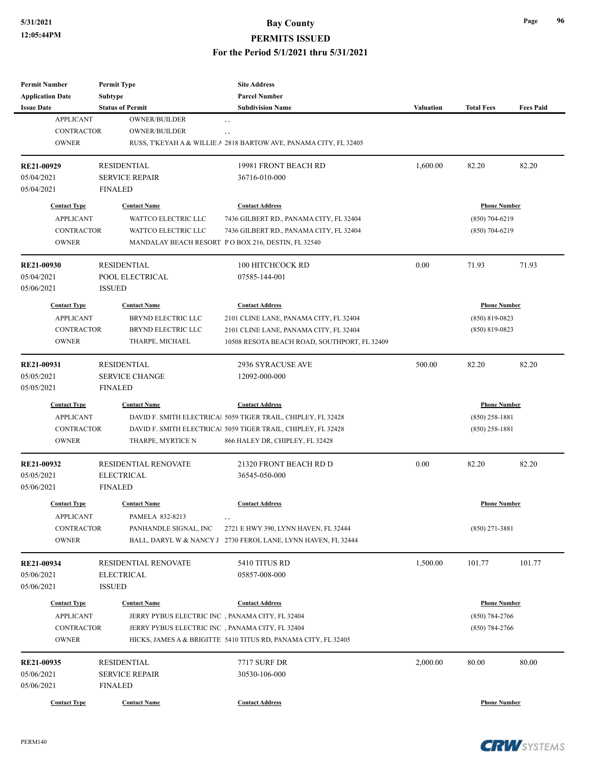**PERMITS ISSUED**

| Permit Number            | <b>Permit Type</b>                        | <b>Site Address</b>                                               |           |                     |                  |
|--------------------------|-------------------------------------------|-------------------------------------------------------------------|-----------|---------------------|------------------|
| <b>Application Date</b>  | Subtype                                   | <b>Parcel Number</b>                                              |           |                     |                  |
| <b>Issue Date</b>        | <b>Status of Permit</b>                   | <b>Subdivision Name</b>                                           | Valuation | <b>Total Fees</b>   | <b>Fees Paid</b> |
| <b>APPLICANT</b>         | <b>OWNER/BUILDER</b>                      | $, \, , \,$                                                       |           |                     |                  |
| <b>CONTRACTOR</b>        | <b>OWNER/BUILDER</b>                      | $, \, ,$                                                          |           |                     |                  |
| <b>OWNER</b>             |                                           | RUSS, T'KEYAH A & WILLIE A 2818 BARTOW AVE, PANAMA CITY, FL 32405 |           |                     |                  |
| RE21-00929               | <b>RESIDENTIAL</b>                        | 19981 FRONT BEACH RD                                              | 1,600.00  | 82.20               | 82.20            |
| 05/04/2021               | <b>SERVICE REPAIR</b>                     | 36716-010-000                                                     |           |                     |                  |
| 05/04/2021               | <b>FINALED</b>                            |                                                                   |           |                     |                  |
| <b>Contact Type</b>      | <b>Contact Name</b>                       | <b>Contact Address</b>                                            |           | <b>Phone Number</b> |                  |
| <b>APPLICANT</b>         | WATTCO ELECTRIC LLC                       | 7436 GILBERT RD., PANAMA CITY, FL 32404                           |           | $(850)$ 704-6219    |                  |
| <b>CONTRACTOR</b>        | WATTCO ELECTRIC LLC                       | 7436 GILBERT RD., PANAMA CITY, FL 32404                           |           | $(850)$ 704-6219    |                  |
| <b>OWNER</b>             |                                           | MANDALAY BEACH RESORT PO BOX 216, DESTIN, FL 32540                |           |                     |                  |
| RE21-00930               | <b>RESIDENTIAL</b>                        | 100 HITCHCOCK RD                                                  | 0.00      | 71.93               | 71.93            |
| 05/04/2021               | POOL ELECTRICAL                           | 07585-144-001                                                     |           |                     |                  |
| 05/06/2021               | <b>ISSUED</b>                             |                                                                   |           |                     |                  |
| <b>Contact Type</b>      | <b>Contact Name</b>                       | <b>Contact Address</b>                                            |           | <b>Phone Number</b> |                  |
| <b>APPLICANT</b>         | <b>BRYND ELECTRIC LLC</b>                 | 2101 CLINE LANE, PANAMA CITY, FL 32404                            |           | $(850) 819 - 0823$  |                  |
| <b>CONTRACTOR</b>        | <b>BRYND ELECTRIC LLC</b>                 | 2101 CLINE LANE, PANAMA CITY, FL 32404                            |           | $(850)$ 819-0823    |                  |
| <b>OWNER</b>             | THARPE, MICHAEL                           | 10508 RESOTA BEACH ROAD, SOUTHPORT, FL 32409                      |           |                     |                  |
|                          |                                           |                                                                   |           |                     |                  |
| RE21-00931               | <b>RESIDENTIAL</b>                        | 2936 SYRACUSE AVE                                                 | 500.00    | 82.20               | 82.20            |
| 05/05/2021               | <b>SERVICE CHANGE</b>                     | 12092-000-000                                                     |           |                     |                  |
| 05/05/2021               | <b>FINALED</b>                            |                                                                   |           |                     |                  |
| <b>Contact Type</b>      | <b>Contact Name</b>                       | <b>Contact Address</b>                                            |           | <b>Phone Number</b> |                  |
| <b>APPLICANT</b>         |                                           | DAVID F. SMITH ELECTRICAl 5059 TIGER TRAIL, CHIPLEY, FL 32428     |           | $(850)$ 258-1881    |                  |
| <b>CONTRACTOR</b>        |                                           | DAVID F. SMITH ELECTRICAl 5059 TIGER TRAIL, CHIPLEY, FL 32428     |           | $(850)$ 258-1881    |                  |
| <b>OWNER</b>             | THARPE, MYRTICE N                         | 866 HALEY DR, CHIPLEY, FL 32428                                   |           |                     |                  |
| RE21-00932               | <b>RESIDENTIAL RENOVATE</b>               | 21320 FRONT BEACH RD D                                            | 0.00      | 82.20               | 82.20            |
| 05/05/2021               | <b>ELECTRICAL</b>                         | 36545-050-000                                                     |           |                     |                  |
| 05/06/2021               | <b>FINALED</b>                            |                                                                   |           |                     |                  |
| <b>Contact Type</b>      | <b>Contact Name</b>                       | <b>Contact Address</b>                                            |           | <b>Phone Number</b> |                  |
| <b>APPLICANT</b>         | PAMELA 832-8213                           |                                                                   |           |                     |                  |
| CONTRACTOR               | PANHANDLE SIGNAL, INC                     | 2721 E HWY 390, LYNN HAVEN, FL 32444                              |           | $(850)$ 271-3881    |                  |
| <b>OWNER</b>             |                                           | BALL, DARYL W & NANCY J 2730 FEROL LANE, LYNN HAVEN, FL 32444     |           |                     |                  |
|                          |                                           |                                                                   |           |                     |                  |
| RE21-00934<br>05/06/2021 | RESIDENTIAL RENOVATE<br><b>ELECTRICAL</b> | 5410 TITUS RD<br>05857-008-000                                    | 1,500.00  | 101.77              | 101.77           |
|                          |                                           |                                                                   |           |                     |                  |
| 05/06/2021               | <b>ISSUED</b>                             |                                                                   |           |                     |                  |
| <b>Contact Type</b>      | <b>Contact Name</b>                       | <b>Contact Address</b>                                            |           | <b>Phone Number</b> |                  |
| <b>APPLICANT</b>         |                                           | JERRY PYBUS ELECTRIC INC, PANAMA CITY, FL 32404                   |           | $(850) 784 - 2766$  |                  |
| <b>CONTRACTOR</b>        |                                           | JERRY PYBUS ELECTRIC INC, PANAMA CITY, FL 32404                   |           | $(850)$ 784-2766    |                  |
| <b>OWNER</b>             |                                           | HICKS, JAMES A & BRIGITTE 5410 TITUS RD, PANAMA CITY, FL 32405    |           |                     |                  |
| RE21-00935               | <b>RESIDENTIAL</b>                        | <b>7717 SURF DR</b>                                               | 2,000.00  | 80.00               | 80.00            |
| 05/06/2021               | <b>SERVICE REPAIR</b>                     | 30530-106-000                                                     |           |                     |                  |
| 05/06/2021               | <b>FINALED</b>                            |                                                                   |           |                     |                  |
|                          |                                           |                                                                   |           |                     |                  |
| <b>Contact Type</b>      | <b>Contact Name</b>                       | <b>Contact Address</b>                                            |           | <b>Phone Number</b> |                  |

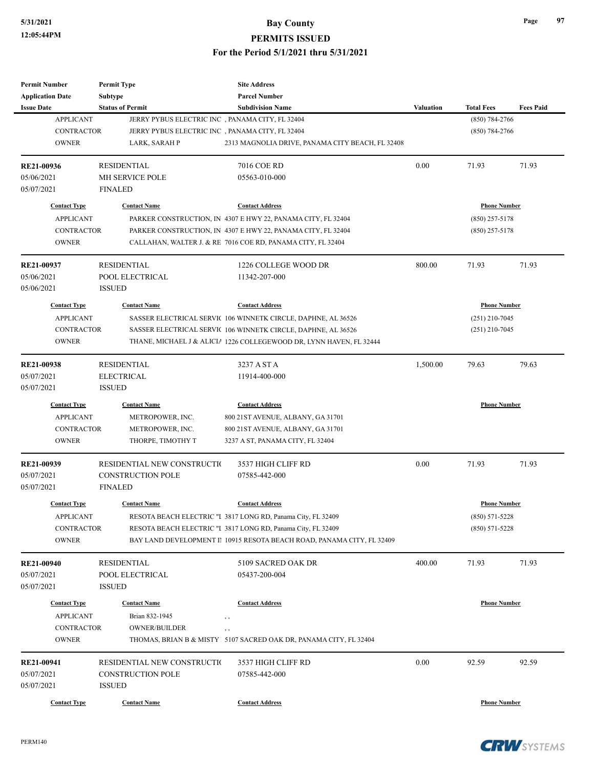| <b>Permit Number</b>            | <b>Permit Type</b>                              | <b>Site Address</b>                                                    |           |                     |                  |
|---------------------------------|-------------------------------------------------|------------------------------------------------------------------------|-----------|---------------------|------------------|
| <b>Application Date</b>         | <b>Subtype</b>                                  | <b>Parcel Number</b>                                                   |           |                     |                  |
| <b>Issue Date</b>               | <b>Status of Permit</b>                         | <b>Subdivision Name</b>                                                | Valuation | <b>Total Fees</b>   | <b>Fees Paid</b> |
| <b>APPLICANT</b>                | JERRY PYBUS ELECTRIC INC, PANAMA CITY, FL 32404 |                                                                        |           | $(850)$ 784-2766    |                  |
| <b>CONTRACTOR</b>               | JERRY PYBUS ELECTRIC INC, PANAMA CITY, FL 32404 |                                                                        |           | $(850) 784 - 2766$  |                  |
| <b>OWNER</b>                    | LARK, SARAH P                                   | 2313 MAGNOLIA DRIVE, PANAMA CITY BEACH, FL 32408                       |           |                     |                  |
| <b>RE21-00936</b>               | <b>RESIDENTIAL</b>                              | 7016 COE RD                                                            | 0.00      | 71.93               | 71.93            |
| 05/06/2021                      | MH SERVICE POLE                                 | 05563-010-000                                                          |           |                     |                  |
| 05/07/2021                      | <b>FINALED</b>                                  |                                                                        |           |                     |                  |
| <b>Contact Type</b>             | <b>Contact Name</b>                             | <b>Contact Address</b>                                                 |           | <b>Phone Number</b> |                  |
| <b>APPLICANT</b>                |                                                 | PARKER CONSTRUCTION, IN 4307 E HWY 22, PANAMA CITY, FL 32404           |           | $(850)$ 257-5178    |                  |
| <b>CONTRACTOR</b>               |                                                 | PARKER CONSTRUCTION, IN 4307 E HWY 22, PANAMA CITY, FL 32404           |           | $(850)$ 257-5178    |                  |
| <b>OWNER</b>                    |                                                 | CALLAHAN, WALTER J. & RE 7016 COE RD, PANAMA CITY, FL 32404            |           |                     |                  |
| RE21-00937                      | <b>RESIDENTIAL</b>                              | 1226 COLLEGE WOOD DR                                                   | 800.00    | 71.93               | 71.93            |
| 05/06/2021                      | POOL ELECTRICAL                                 | 11342-207-000                                                          |           |                     |                  |
| 05/06/2021                      | <b>ISSUED</b>                                   |                                                                        |           |                     |                  |
| <b>Contact Type</b>             | <b>Contact Name</b>                             | <b>Contact Address</b>                                                 |           | <b>Phone Number</b> |                  |
| <b>APPLICANT</b>                |                                                 | SASSER ELECTRICAL SERVIC 106 WINNETK CIRCLE, DAPHNE, AL 36526          |           | $(251)$ 210-7045    |                  |
| <b>CONTRACTOR</b>               |                                                 | SASSER ELECTRICAL SERVIC 106 WINNETK CIRCLE, DAPHNE, AL 36526          |           | $(251)$ 210-7045    |                  |
| <b>OWNER</b>                    |                                                 | THANE, MICHAEL J & ALICIA 1226 COLLEGEWOOD DR, LYNN HAVEN, FL 32444    |           |                     |                  |
|                                 |                                                 |                                                                        |           |                     |                  |
| RE21-00938                      | <b>RESIDENTIAL</b>                              | 3237 A ST A                                                            | 1,500.00  | 79.63               | 79.63            |
| 05/07/2021                      | <b>ELECTRICAL</b>                               | 11914-400-000                                                          |           |                     |                  |
| 05/07/2021                      | <b>ISSUED</b>                                   |                                                                        |           |                     |                  |
| <b>Contact Type</b>             | <b>Contact Name</b>                             | <b>Contact Address</b>                                                 |           | <b>Phone Number</b> |                  |
| <b>APPLICANT</b>                | METROPOWER, INC.                                | 800 21 ST AVENUE, ALBANY, GA 31701                                     |           |                     |                  |
| <b>CONTRACTOR</b>               | METROPOWER, INC.                                | 800 21 ST AVENUE, ALBANY, GA 31701                                     |           |                     |                  |
| <b>OWNER</b>                    | THORPE, TIMOTHY T                               | 3237 A ST, PANAMA CITY, FL 32404                                       |           |                     |                  |
| RE21-00939                      | RESIDENTIAL NEW CONSTRUCTIO                     | 3537 HIGH CLIFF RD                                                     | 0.00      | 71.93               | 71.93            |
| 05/07/2021                      | <b>CONSTRUCTION POLE</b>                        | 07585-442-000                                                          |           |                     |                  |
| 05/07/2021                      | <b>FINALED</b>                                  |                                                                        |           |                     |                  |
| <b>Contact Type</b>             | <b>Contact Name</b>                             | <b>Contact Address</b>                                                 |           | <b>Phone Number</b> |                  |
| <b>APPLICANT</b>                |                                                 | RESOTA BEACH ELECTRIC "I 3817 LONG RD, Panama City, FL 32409           |           | $(850) 571 - 5228$  |                  |
| CONTRACTOR                      |                                                 | RESOTA BEACH ELECTRIC "I 3817 LONG RD, Panama City, FL 32409           |           | $(850) 571 - 5228$  |                  |
| <b>OWNER</b>                    |                                                 | BAY LAND DEVELOPMENT II 10915 RESOTA BEACH ROAD, PANAMA CITY, FL 32409 |           |                     |                  |
|                                 | <b>RESIDENTIAL</b>                              | 5109 SACRED OAK DR                                                     | 400.00    | 71.93               | 71.93            |
| <b>RE21-00940</b><br>05/07/2021 | POOL ELECTRICAL                                 | 05437-200-004                                                          |           |                     |                  |
|                                 |                                                 |                                                                        |           |                     |                  |
| 05/07/2021                      | <b>ISSUED</b>                                   |                                                                        |           |                     |                  |
| <b>Contact Type</b>             | <b>Contact Name</b>                             | <b>Contact Address</b>                                                 |           | <b>Phone Number</b> |                  |
| <b>APPLICANT</b>                | Brian 832-1945                                  | $, \, , \,$                                                            |           |                     |                  |
| <b>CONTRACTOR</b>               | <b>OWNER/BUILDER</b>                            | , ,                                                                    |           |                     |                  |
| <b>OWNER</b>                    |                                                 | THOMAS, BRIAN B & MISTY 5107 SACRED OAK DR, PANAMA CITY, FL 32404      |           |                     |                  |
| RE21-00941                      | RESIDENTIAL NEW CONSTRUCTIO                     | 3537 HIGH CLIFF RD                                                     | 0.00      | 92.59               | 92.59            |
| 05/07/2021                      | <b>CONSTRUCTION POLE</b>                        | 07585-442-000                                                          |           |                     |                  |
| 05/07/2021                      | <b>ISSUED</b>                                   |                                                                        |           |                     |                  |
|                                 |                                                 |                                                                        |           |                     |                  |
| <b>Contact Type</b>             | <b>Contact Name</b>                             | <b>Contact Address</b>                                                 |           | <b>Phone Number</b> |                  |

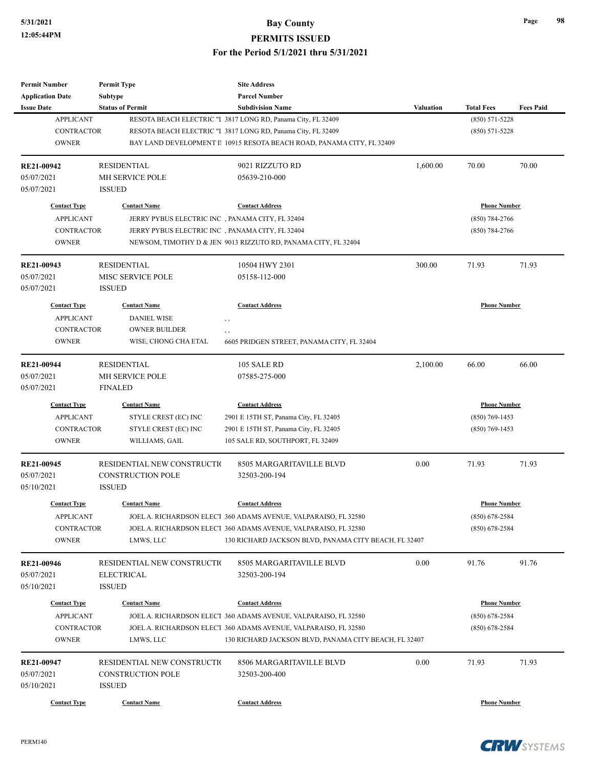**PERMITS ISSUED**

| <b>Permit Number</b>    | <b>Permit Type</b>                               | <b>Site Address</b>                                                    |                  |                     |                  |
|-------------------------|--------------------------------------------------|------------------------------------------------------------------------|------------------|---------------------|------------------|
| <b>Application Date</b> | Subtype                                          | <b>Parcel Number</b>                                                   |                  |                     |                  |
| <b>Issue Date</b>       | <b>Status of Permit</b>                          | <b>Subdivision Name</b>                                                | <b>Valuation</b> | <b>Total Fees</b>   | <b>Fees Paid</b> |
| <b>APPLICANT</b>        |                                                  | RESOTA BEACH ELECTRIC "I 3817 LONG RD, Panama City, FL 32409           |                  | $(850) 571 - 5228$  |                  |
| <b>CONTRACTOR</b>       |                                                  | RESOTA BEACH ELECTRIC "I 3817 LONG RD, Panama City, FL 32409           |                  | $(850) 571 - 5228$  |                  |
| <b>OWNER</b>            |                                                  | BAY LAND DEVELOPMENT II 10915 RESOTA BEACH ROAD, PANAMA CITY, FL 32409 |                  |                     |                  |
| <b>RE21-00942</b>       | <b>RESIDENTIAL</b>                               | 9021 RIZZUTO RD                                                        | 1,600.00         | 70.00               | 70.00            |
| 05/07/2021              | MH SERVICE POLE                                  | 05639-210-000                                                          |                  |                     |                  |
| 05/07/2021              | <b>ISSUED</b>                                    |                                                                        |                  |                     |                  |
| <b>Contact Type</b>     | <b>Contact Name</b>                              | <b>Contact Address</b>                                                 |                  | <b>Phone Number</b> |                  |
| <b>APPLICANT</b>        | JERRY PYBUS ELECTRIC INC, PANAMA CITY, FL 32404  |                                                                        |                  | $(850)$ 784-2766    |                  |
| <b>CONTRACTOR</b>       | JERRY PYBUS ELECTRIC INC, PANAMA CITY, FL 32404  |                                                                        |                  | $(850)$ 784-2766    |                  |
| <b>OWNER</b>            |                                                  | NEWSOM, TIMOTHY D & JEN 9013 RIZZUTO RD, PANAMA CITY, FL 32404         |                  |                     |                  |
| RE21-00943              | <b>RESIDENTIAL</b>                               | 10504 HWY 2301                                                         | 300.00           | 71.93               | 71.93            |
| 05/07/2021              | MISC SERVICE POLE                                | 05158-112-000                                                          |                  |                     |                  |
| 05/07/2021              | <b>ISSUED</b>                                    |                                                                        |                  |                     |                  |
| <b>Contact Type</b>     | <b>Contact Name</b>                              | <b>Contact Address</b>                                                 |                  | <b>Phone Number</b> |                  |
| <b>APPLICANT</b>        | <b>DANIEL WISE</b>                               | $, \,$                                                                 |                  |                     |                  |
| <b>CONTRACTOR</b>       | <b>OWNER BUILDER</b>                             | , ,                                                                    |                  |                     |                  |
| <b>OWNER</b>            | WISE, CHONG CHA ETAL                             | 6605 PRIDGEN STREET, PANAMA CITY, FL 32404                             |                  |                     |                  |
|                         |                                                  |                                                                        |                  |                     |                  |
| RE21-00944              | <b>RESIDENTIAL</b>                               | 105 SALE RD                                                            | 2,100.00         | 66.00               | 66.00            |
| 05/07/2021              | MH SERVICE POLE                                  | 07585-275-000                                                          |                  |                     |                  |
| 05/07/2021              | <b>FINALED</b>                                   |                                                                        |                  |                     |                  |
| <b>Contact Type</b>     | <b>Contact Name</b>                              | <b>Contact Address</b>                                                 |                  | <b>Phone Number</b> |                  |
| <b>APPLICANT</b>        | STYLE CREST (EC) INC                             | 2901 E 15TH ST, Panama City, FL 32405                                  |                  | $(850)$ 769-1453    |                  |
| <b>CONTRACTOR</b>       | STYLE CREST (EC) INC                             | 2901 E 15TH ST, Panama City, FL 32405                                  |                  | $(850)$ 769-1453    |                  |
| <b>OWNER</b>            | WILLIAMS, GAIL                                   | 105 SALE RD, SOUTHPORT, FL 32409                                       |                  |                     |                  |
| RE21-00945              | RESIDENTIAL NEW CONSTRUCTIO                      | 8505 MARGARITAVILLE BLVD                                               | 0.00             | 71.93               | 71.93            |
| 05/07/2021              | <b>CONSTRUCTION POLE</b>                         | 32503-200-194                                                          |                  |                     |                  |
| 05/10/2021              | <b>ISSUED</b>                                    |                                                                        |                  |                     |                  |
| <b>Contact Type</b>     | <b>Contact Name</b>                              | <b>Contact Address</b>                                                 |                  | <b>Phone Number</b> |                  |
| <b>APPLICANT</b>        |                                                  | JOEL A. RICHARDSON ELECT 360 ADAMS AVENUE, VALPARAISO, FL 32580        |                  | $(850)$ 678-2584    |                  |
| <b>CONTRACTOR</b>       |                                                  | JOEL A. RICHARDSON ELECT 360 ADAMS AVENUE, VALPARAISO, FL 32580        |                  | $(850)$ 678-2584    |                  |
| <b>OWNER</b>            | LMWS, LLC                                        | 130 RICHARD JACKSON BLVD, PANAMA CITY BEACH, FL 32407                  |                  |                     |                  |
| RE21-00946              |                                                  | 8505 MARGARITAVILLE BLVD                                               | 0.00             | 91.76               | 91.76            |
| 05/07/2021              | RESIDENTIAL NEW CONSTRUCTIO<br><b>ELECTRICAL</b> | 32503-200-194                                                          |                  |                     |                  |
|                         |                                                  |                                                                        |                  |                     |                  |
| 05/10/2021              | <b>ISSUED</b>                                    |                                                                        |                  |                     |                  |
| <b>Contact Type</b>     | <b>Contact Name</b>                              | <b>Contact Address</b>                                                 |                  | <b>Phone Number</b> |                  |
| <b>APPLICANT</b>        |                                                  | JOEL A. RICHARDSON ELECT 360 ADAMS AVENUE, VALPARAISO, FL 32580        |                  | $(850)$ 678-2584    |                  |
| <b>CONTRACTOR</b>       |                                                  | JOEL A. RICHARDSON ELECT 360 ADAMS AVENUE, VALPARAISO, FL 32580        |                  | $(850)$ 678-2584    |                  |
| <b>OWNER</b>            | LMWS, LLC                                        | 130 RICHARD JACKSON BLVD, PANAMA CITY BEACH, FL 32407                  |                  |                     |                  |
| RE21-00947              | RESIDENTIAL NEW CONSTRUCTIO                      | 8506 MARGARITAVILLE BLVD                                               | 0.00             | 71.93               | 71.93            |
| 05/07/2021              | <b>CONSTRUCTION POLE</b>                         | 32503-200-400                                                          |                  |                     |                  |
| 05/10/2021              | <b>ISSUED</b>                                    |                                                                        |                  |                     |                  |
| <b>Contact Type</b>     | <b>Contact Name</b>                              | <b>Contact Address</b>                                                 |                  | <b>Phone Number</b> |                  |
|                         |                                                  |                                                                        |                  |                     |                  |

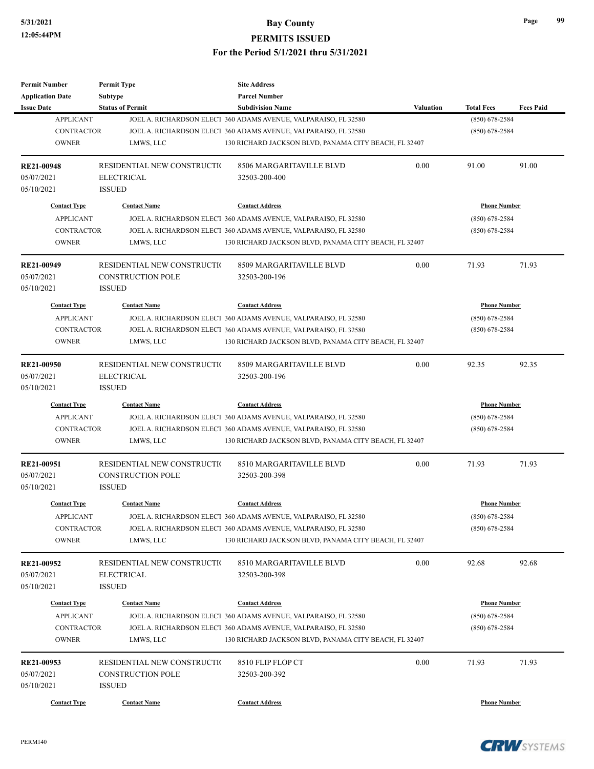| <b>Permit Number</b>    | <b>Permit Type</b>           | <b>Site Address</b>                                             |                  |                     |                  |
|-------------------------|------------------------------|-----------------------------------------------------------------|------------------|---------------------|------------------|
| <b>Application Date</b> | <b>Subtype</b>               | <b>Parcel Number</b>                                            |                  |                     |                  |
| <b>Issue Date</b>       | <b>Status of Permit</b>      | <b>Subdivision Name</b>                                         | <b>Valuation</b> | <b>Total Fees</b>   | <b>Fees Paid</b> |
| <b>APPLICANT</b>        |                              | JOEL A. RICHARDSON ELECT 360 ADAMS AVENUE, VALPARAISO, FL 32580 |                  | $(850) 678 - 2584$  |                  |
| <b>CONTRACTOR</b>       |                              | JOEL A. RICHARDSON ELECT 360 ADAMS AVENUE, VALPARAISO, FL 32580 |                  | $(850)$ 678-2584    |                  |
| <b>OWNER</b>            | LMWS, LLC                    | 130 RICHARD JACKSON BLVD, PANAMA CITY BEACH, FL 32407           |                  |                     |                  |
| <b>RE21-00948</b>       | RESIDENTIAL NEW CONSTRUCTIO  | 8506 MARGARITAVILLE BLVD                                        | 0.00             | 91.00               | 91.00            |
| 05/07/2021              | <b>ELECTRICAL</b>            | 32503-200-400                                                   |                  |                     |                  |
| 05/10/2021              | <b>ISSUED</b>                |                                                                 |                  |                     |                  |
| <b>Contact Type</b>     | <b>Contact Name</b>          | <b>Contact Address</b>                                          |                  | <b>Phone Number</b> |                  |
| <b>APPLICANT</b>        |                              | JOEL A. RICHARDSON ELECT 360 ADAMS AVENUE, VALPARAISO, FL 32580 |                  | $(850)$ 678-2584    |                  |
| <b>CONTRACTOR</b>       |                              | JOEL A. RICHARDSON ELECT 360 ADAMS AVENUE, VALPARAISO, FL 32580 |                  | $(850)$ 678-2584    |                  |
| <b>OWNER</b>            | LMWS, LLC                    | 130 RICHARD JACKSON BLVD, PANAMA CITY BEACH, FL 32407           |                  |                     |                  |
| RE21-00949              | RESIDENTIAL NEW CONSTRUCTION | 8509 MARGARITAVILLE BLVD                                        | 0.00             | 71.93               | 71.93            |
| 05/07/2021              | <b>CONSTRUCTION POLE</b>     | 32503-200-196                                                   |                  |                     |                  |
| 05/10/2021              | <b>ISSUED</b>                |                                                                 |                  |                     |                  |
| <b>Contact Type</b>     | <b>Contact Name</b>          | <b>Contact Address</b>                                          |                  | <b>Phone Number</b> |                  |
| <b>APPLICANT</b>        |                              | JOEL A. RICHARDSON ELECT 360 ADAMS AVENUE, VALPARAISO, FL 32580 |                  | $(850)$ 678-2584    |                  |
| <b>CONTRACTOR</b>       |                              | JOEL A. RICHARDSON ELECT 360 ADAMS AVENUE, VALPARAISO, FL 32580 |                  | $(850)$ 678-2584    |                  |
| <b>OWNER</b>            | LMWS, LLC                    | 130 RICHARD JACKSON BLVD, PANAMA CITY BEACH, FL 32407           |                  |                     |                  |
|                         |                              |                                                                 |                  |                     |                  |
| RE21-00950              | RESIDENTIAL NEW CONSTRUCTIO  | 8509 MARGARITAVILLE BLVD                                        | 0.00             | 92.35               | 92.35            |
| 05/07/2021              | <b>ELECTRICAL</b>            | 32503-200-196                                                   |                  |                     |                  |
| 05/10/2021              | <b>ISSUED</b>                |                                                                 |                  |                     |                  |
| <b>Contact Type</b>     | <b>Contact Name</b>          | <b>Contact Address</b>                                          |                  | <b>Phone Number</b> |                  |
| <b>APPLICANT</b>        |                              | JOEL A. RICHARDSON ELECT 360 ADAMS AVENUE, VALPARAISO, FL 32580 |                  | $(850)$ 678-2584    |                  |
| <b>CONTRACTOR</b>       |                              | JOEL A. RICHARDSON ELECT 360 ADAMS AVENUE, VALPARAISO, FL 32580 |                  | $(850)$ 678-2584    |                  |
| <b>OWNER</b>            | LMWS, LLC                    | 130 RICHARD JACKSON BLVD, PANAMA CITY BEACH, FL 32407           |                  |                     |                  |
| <b>RE21-00951</b>       | RESIDENTIAL NEW CONSTRUCTIO  | 8510 MARGARITAVILLE BLVD                                        | 0.00             | 71.93               | 71.93            |
| 05/07/2021              | <b>CONSTRUCTION POLE</b>     | 32503-200-398                                                   |                  |                     |                  |
| 05/10/2021              | <b>ISSUED</b>                |                                                                 |                  |                     |                  |
| <b>Contact Type</b>     | <b>Contact Name</b>          | <b>Contact Address</b>                                          |                  | <b>Phone Number</b> |                  |
| <b>APPLICANT</b>        |                              | JOEL A. RICHARDSON ELECT 360 ADAMS AVENUE, VALPARAISO, FL 32580 |                  | $(850)$ 678-2584    |                  |
| <b>CONTRACTOR</b>       |                              | JOEL A. RICHARDSON ELECT 360 ADAMS AVENUE, VALPARAISO, FL 32580 |                  | $(850)$ 678-2584    |                  |
| <b>OWNER</b>            | LMWS, LLC                    | 130 RICHARD JACKSON BLVD, PANAMA CITY BEACH, FL 32407           |                  |                     |                  |
| <b>RE21-00952</b>       | RESIDENTIAL NEW CONSTRUCTIO  | 8510 MARGARITAVILLE BLVD                                        | 0.00             | 92.68               | 92.68            |
| 05/07/2021              | <b>ELECTRICAL</b>            | 32503-200-398                                                   |                  |                     |                  |
| 05/10/2021              | <b>ISSUED</b>                |                                                                 |                  |                     |                  |
|                         |                              |                                                                 |                  |                     |                  |
| <b>Contact Type</b>     | <b>Contact Name</b>          | <b>Contact Address</b>                                          |                  | <b>Phone Number</b> |                  |
| <b>APPLICANT</b>        |                              | JOEL A. RICHARDSON ELECT 360 ADAMS AVENUE, VALPARAISO, FL 32580 |                  | $(850)$ 678-2584    |                  |
| CONTRACTOR              |                              | JOEL A. RICHARDSON ELECT 360 ADAMS AVENUE, VALPARAISO, FL 32580 |                  | $(850)$ 678-2584    |                  |
| <b>OWNER</b>            | LMWS, LLC                    | 130 RICHARD JACKSON BLVD, PANAMA CITY BEACH, FL 32407           |                  |                     |                  |
| RE21-00953              | RESIDENTIAL NEW CONSTRUCTIO  | 8510 FLIP FLOP CT                                               | 0.00             | 71.93               | 71.93            |
| 05/07/2021              | <b>CONSTRUCTION POLE</b>     | 32503-200-392                                                   |                  |                     |                  |
| 05/10/2021              | <b>ISSUED</b>                |                                                                 |                  |                     |                  |
|                         |                              |                                                                 |                  |                     |                  |
| <b>Contact Type</b>     | <b>Contact Name</b>          | <b>Contact Address</b>                                          |                  | <b>Phone Number</b> |                  |

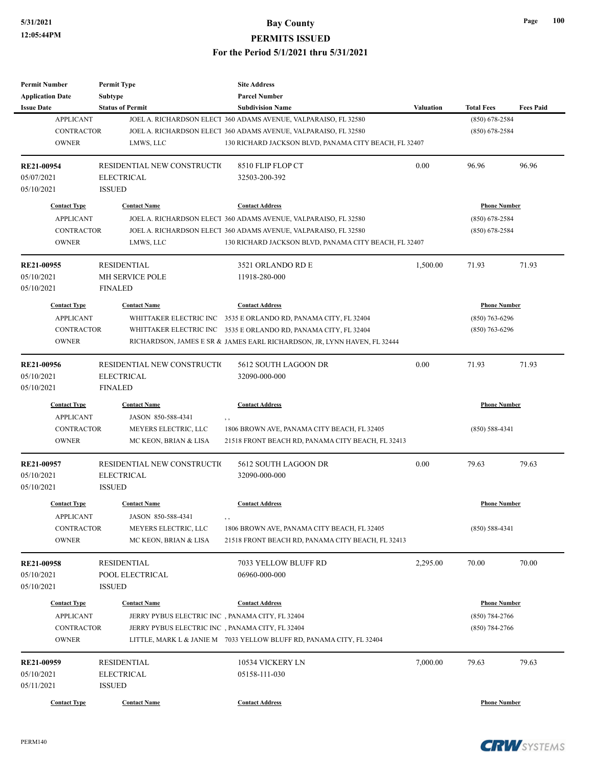| <b>Permit Number</b><br><b>Application Date</b> | <b>Permit Type</b><br><b>Subtype</b>            | <b>Site Address</b><br><b>Parcel Number</b>                                                                              |                     |                     |                  |
|-------------------------------------------------|-------------------------------------------------|--------------------------------------------------------------------------------------------------------------------------|---------------------|---------------------|------------------|
| <b>Issue Date</b>                               | <b>Status of Permit</b>                         | <b>Subdivision Name</b>                                                                                                  | <b>Valuation</b>    | <b>Total Fees</b>   | <b>Fees Paid</b> |
| <b>APPLICANT</b>                                |                                                 | JOEL A. RICHARDSON ELECT 360 ADAMS AVENUE, VALPARAISO, FL 32580                                                          |                     | $(850)$ 678-2584    |                  |
| <b>CONTRACTOR</b><br><b>OWNER</b>               | LMWS, LLC                                       | JOEL A. RICHARDSON ELECT 360 ADAMS AVENUE, VALPARAISO, FL 32580<br>130 RICHARD JACKSON BLVD, PANAMA CITY BEACH, FL 32407 |                     | $(850)$ 678-2584    |                  |
| RE21-00954                                      | RESIDENTIAL NEW CONSTRUCTIO                     | 8510 FLIP FLOP CT                                                                                                        | 0.00                | 96.96               | 96.96            |
| 05/07/2021                                      | <b>ELECTRICAL</b>                               | 32503-200-392                                                                                                            |                     |                     |                  |
| 05/10/2021                                      | <b>ISSUED</b>                                   |                                                                                                                          |                     |                     |                  |
| <b>Contact Type</b>                             | <b>Contact Name</b>                             | <b>Contact Address</b>                                                                                                   |                     | <b>Phone Number</b> |                  |
| <b>APPLICANT</b>                                |                                                 | JOEL A. RICHARDSON ELECT 360 ADAMS AVENUE, VALPARAISO, FL 32580                                                          |                     | $(850)$ 678-2584    |                  |
| <b>CONTRACTOR</b>                               |                                                 | JOEL A. RICHARDSON ELECT 360 ADAMS AVENUE, VALPARAISO, FL 32580                                                          |                     | $(850)$ 678-2584    |                  |
| <b>OWNER</b>                                    | LMWS, LLC                                       | 130 RICHARD JACKSON BLVD, PANAMA CITY BEACH, FL 32407                                                                    |                     |                     |                  |
| RE21-00955                                      | <b>RESIDENTIAL</b>                              | 3521 ORLANDO RD E                                                                                                        | 1,500.00            | 71.93               | 71.93            |
| 05/10/2021<br>05/10/2021                        | <b>MH SERVICE POLE</b><br><b>FINALED</b>        | 11918-280-000                                                                                                            |                     |                     |                  |
| <b>Contact Type</b>                             | <b>Contact Name</b>                             | <b>Contact Address</b>                                                                                                   |                     | <b>Phone Number</b> |                  |
| <b>APPLICANT</b>                                |                                                 | WHITTAKER ELECTRIC INC 3535 E ORLANDO RD, PANAMA CITY, FL 32404                                                          |                     | $(850)$ 763-6296    |                  |
| <b>CONTRACTOR</b>                               |                                                 | WHITTAKER ELECTRIC INC 3535 E ORLANDO RD, PANAMA CITY, FL 32404                                                          |                     | $(850)$ 763-6296    |                  |
| <b>OWNER</b>                                    |                                                 | RICHARDSON, JAMES E SR & JAMES EARL RICHARDSON, JR, LYNN HAVEN, FL 32444                                                 |                     |                     |                  |
| RE21-00956                                      | RESIDENTIAL NEW CONSTRUCTIO                     | 5612 SOUTH LAGOON DR                                                                                                     | 0.00                | 71.93               | 71.93            |
| 05/10/2021                                      | <b>ELECTRICAL</b>                               | 32090-000-000                                                                                                            |                     |                     |                  |
| 05/10/2021                                      | <b>FINALED</b>                                  |                                                                                                                          |                     |                     |                  |
| <b>Contact Type</b>                             | <b>Contact Name</b>                             | <b>Contact Address</b>                                                                                                   | <b>Phone Number</b> |                     |                  |
| <b>APPLICANT</b>                                | JASON 850-588-4341                              |                                                                                                                          |                     |                     |                  |
| <b>CONTRACTOR</b>                               | MEYERS ELECTRIC, LLC                            | 1806 BROWN AVE, PANAMA CITY BEACH, FL 32405                                                                              |                     | $(850) 588 - 4341$  |                  |
| <b>OWNER</b>                                    | MC KEON, BRIAN & LISA                           | 21518 FRONT BEACH RD, PANAMA CITY BEACH, FL 32413                                                                        |                     |                     |                  |
| RE21-00957                                      | RESIDENTIAL NEW CONSTRUCTIO                     | 5612 SOUTH LAGOON DR                                                                                                     | 0.00                | 79.63               | 79.63            |
| 05/10/2021                                      | <b>ELECTRICAL</b>                               | 32090-000-000                                                                                                            |                     |                     |                  |
| 05/10/2021                                      | <b>ISSUED</b>                                   |                                                                                                                          |                     |                     |                  |
| <b>Contact Type</b>                             | <b>Contact Name</b>                             | <b>Contact Address</b>                                                                                                   |                     | <b>Phone Number</b> |                  |
| <b>APPLICANT</b>                                | JASON 850-588-4341                              | $, \, , \,$                                                                                                              |                     |                     |                  |
| <b>CONTRACTOR</b>                               | MEYERS ELECTRIC, LLC                            | 1806 BROWN AVE, PANAMA CITY BEACH, FL 32405                                                                              |                     | $(850) 588 - 4341$  |                  |
| <b>OWNER</b>                                    | MC KEON, BRIAN & LISA                           | 21518 FRONT BEACH RD, PANAMA CITY BEACH, FL 32413                                                                        |                     |                     |                  |
| RE21-00958                                      | <b>RESIDENTIAL</b>                              | 7033 YELLOW BLUFF RD                                                                                                     | 2,295.00            | 70.00               | 70.00            |
| 05/10/2021                                      | POOL ELECTRICAL                                 | 06960-000-000                                                                                                            |                     |                     |                  |
| 05/10/2021                                      | <b>ISSUED</b>                                   |                                                                                                                          |                     |                     |                  |
| <b>Contact Type</b>                             | <b>Contact Name</b>                             | <b>Contact Address</b>                                                                                                   |                     | <b>Phone Number</b> |                  |
| <b>APPLICANT</b>                                | JERRY PYBUS ELECTRIC INC, PANAMA CITY, FL 32404 |                                                                                                                          |                     | $(850) 784 - 2766$  |                  |
| CONTRACTOR                                      | JERRY PYBUS ELECTRIC INC, PANAMA CITY, FL 32404 |                                                                                                                          |                     | $(850)$ 784-2766    |                  |
| <b>OWNER</b>                                    |                                                 | LITTLE, MARK L & JANIE M 7033 YELLOW BLUFF RD, PANAMA CITY, FL 32404                                                     |                     |                     |                  |
| RE21-00959                                      | <b>RESIDENTIAL</b>                              | 10534 VICKERY LN                                                                                                         | 7,000.00            | 79.63               | 79.63            |
| 05/10/2021                                      | <b>ELECTRICAL</b>                               | 05158-111-030                                                                                                            |                     |                     |                  |
| 05/11/2021                                      | <b>ISSUED</b>                                   |                                                                                                                          |                     |                     |                  |
| <b>Contact Type</b>                             | <b>Contact Name</b>                             | <b>Contact Address</b>                                                                                                   |                     | <b>Phone Number</b> |                  |



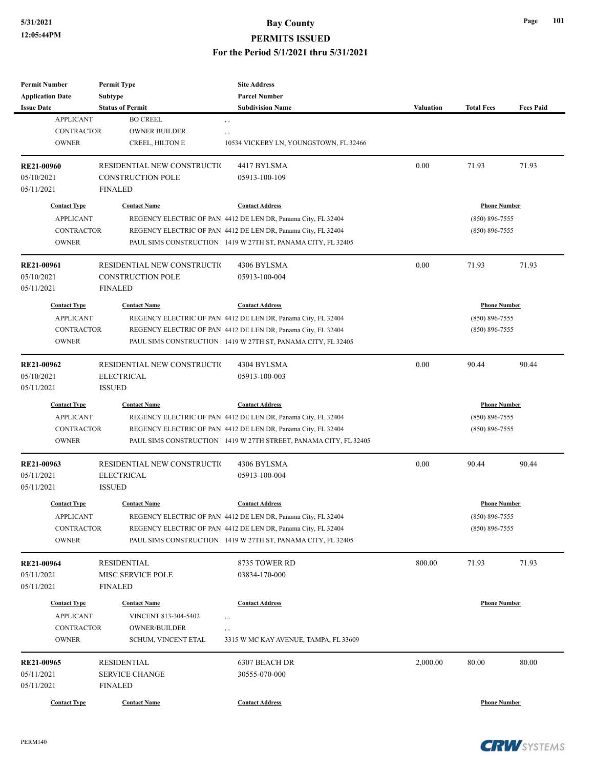| <b>Permit Number</b>              | <b>Permit Type</b>                                 | <b>Site Address</b>                                              |                  |                     |                  |
|-----------------------------------|----------------------------------------------------|------------------------------------------------------------------|------------------|---------------------|------------------|
| <b>Application Date</b>           | Subtype                                            | <b>Parcel Number</b>                                             |                  |                     |                  |
| <b>Issue Date</b>                 | <b>Status of Permit</b>                            | <b>Subdivision Name</b>                                          | <b>Valuation</b> | <b>Total Fees</b>   | <b>Fees Paid</b> |
| <b>APPLICANT</b>                  | <b>BO CREEL</b>                                    | $, \, , \,$                                                      |                  |                     |                  |
| <b>CONTRACTOR</b>                 | <b>OWNER BUILDER</b>                               | , ,                                                              |                  |                     |                  |
| <b>OWNER</b>                      | CREEL, HILTON E                                    | 10534 VICKERY LN, YOUNGSTOWN, FL 32466                           |                  |                     |                  |
| <b>RE21-00960</b>                 | RESIDENTIAL NEW CONSTRUCTIO                        | 4417 BYLSMA                                                      | 0.00             | 71.93               | 71.93            |
| 05/10/2021                        | <b>CONSTRUCTION POLE</b>                           | 05913-100-109                                                    |                  |                     |                  |
| 05/11/2021                        | <b>FINALED</b>                                     |                                                                  |                  |                     |                  |
| <b>Contact Type</b>               | <b>Contact Name</b>                                | <b>Contact Address</b>                                           |                  | <b>Phone Number</b> |                  |
| <b>APPLICANT</b>                  |                                                    | REGENCY ELECTRIC OF PAN 4412 DE LEN DR, Panama City, FL 32404    |                  | $(850) 896 - 7555$  |                  |
| <b>CONTRACTOR</b>                 |                                                    | REGENCY ELECTRIC OF PAN 4412 DE LEN DR, Panama City, FL 32404    |                  | $(850) 896 - 7555$  |                  |
| <b>OWNER</b>                      |                                                    | PAUL SIMS CONSTRUCTION 1 1419 W 27TH ST, PANAMA CITY, FL 32405   |                  |                     |                  |
| RE21-00961                        | RESIDENTIAL NEW CONSTRUCTIO                        | 4306 BYLSMA                                                      | 0.00             | 71.93               | 71.93            |
| 05/10/2021                        | <b>CONSTRUCTION POLE</b>                           | 05913-100-004                                                    |                  |                     |                  |
| 05/11/2021                        | <b>FINALED</b>                                     |                                                                  |                  |                     |                  |
| <b>Contact Type</b>               | <b>Contact Name</b>                                | <b>Contact Address</b>                                           |                  | <b>Phone Number</b> |                  |
| <b>APPLICANT</b>                  |                                                    | REGENCY ELECTRIC OF PAN 4412 DE LEN DR, Panama City, FL 32404    |                  | $(850) 896 - 7555$  |                  |
| <b>CONTRACTOR</b>                 |                                                    | REGENCY ELECTRIC OF PAN 4412 DE LEN DR, Panama City, FL 32404    |                  | $(850) 896 - 7555$  |                  |
| <b>OWNER</b>                      |                                                    | PAUL SIMS CONSTRUCTION   1419 W 27TH ST, PANAMA CITY, FL 32405   |                  |                     |                  |
|                                   |                                                    |                                                                  |                  |                     |                  |
| RE21-00962                        | RESIDENTIAL NEW CONSTRUCTIO                        | 4304 BYLSMA                                                      | 0.00             | 90.44               | 90.44            |
| 05/10/2021                        | <b>ELECTRICAL</b>                                  | 05913-100-003                                                    |                  |                     |                  |
| 05/11/2021                        | <b>ISSUED</b>                                      |                                                                  |                  |                     |                  |
| <b>Contact Type</b>               | <b>Contact Name</b>                                | <b>Contact Address</b>                                           |                  | <b>Phone Number</b> |                  |
| <b>APPLICANT</b>                  |                                                    | REGENCY ELECTRIC OF PAN 4412 DE LEN DR, Panama City, FL 32404    |                  | $(850) 896 - 7555$  |                  |
| CONTRACTOR                        |                                                    | REGENCY ELECTRIC OF PAN 4412 DE LEN DR, Panama City, FL 32404    |                  | $(850) 896 - 7555$  |                  |
| <b>OWNER</b>                      |                                                    | PAUL SIMS CONSTRUCTION 1419 W 27TH STREET, PANAMA CITY, FL 32405 |                  |                     |                  |
| RE21-00963                        | RESIDENTIAL NEW CONSTRUCTIO                        | 4306 BYLSMA                                                      | 0.00             | 90.44               | 90.44            |
| 05/11/2021                        | <b>ELECTRICAL</b>                                  | 05913-100-004                                                    |                  |                     |                  |
| 05/11/2021                        | <b>ISSUED</b>                                      |                                                                  |                  |                     |                  |
| <b>Contact Type</b>               | <b>Contact Name</b>                                | <b>Contact Address</b>                                           |                  | <b>Phone Number</b> |                  |
| <b>APPLICANT</b>                  |                                                    | REGENCY ELECTRIC OF PAN 4412 DE LEN DR, Panama City, FL 32404    |                  | $(850) 896 - 7555$  |                  |
| CONTRACTOR                        |                                                    | REGENCY ELECTRIC OF PAN 4412 DE LEN DR, Panama City, FL 32404    |                  | $(850) 896 - 7555$  |                  |
| <b>OWNER</b>                      |                                                    | PAUL SIMS CONSTRUCTION   1419 W 27TH ST, PANAMA CITY, FL 32405   |                  |                     |                  |
| <b>RE21-00964</b>                 | <b>RESIDENTIAL</b>                                 | 8735 TOWER RD                                                    | 800.00           | 71.93               | 71.93            |
| 05/11/2021                        | MISC SERVICE POLE                                  | 03834-170-000                                                    |                  |                     |                  |
| 05/11/2021                        | <b>FINALED</b>                                     |                                                                  |                  |                     |                  |
|                                   |                                                    | <b>Contact Address</b>                                           |                  | <b>Phone Number</b> |                  |
| <b>Contact Type</b>               | <b>Contact Name</b>                                |                                                                  |                  |                     |                  |
| <b>APPLICANT</b>                  | VINCENT 813-304-5402                               | , ,                                                              |                  |                     |                  |
| <b>CONTRACTOR</b><br><b>OWNER</b> | <b>OWNER/BUILDER</b><br><b>SCHUM, VINCENT ETAL</b> | , ,<br>3315 W MC KAY AVENUE, TAMPA, FL 33609                     |                  |                     |                  |
|                                   |                                                    |                                                                  |                  |                     |                  |
| RE21-00965                        | <b>RESIDENTIAL</b>                                 | 6307 BEACH DR                                                    | 2,000.00         | 80.00               | 80.00            |
| 05/11/2021                        | <b>SERVICE CHANGE</b>                              | 30555-070-000                                                    |                  |                     |                  |
| 05/11/2021                        | <b>FINALED</b>                                     |                                                                  |                  |                     |                  |
| <b>Contact Type</b>               | <b>Contact Name</b>                                | <b>Contact Address</b>                                           |                  | <b>Phone Number</b> |                  |

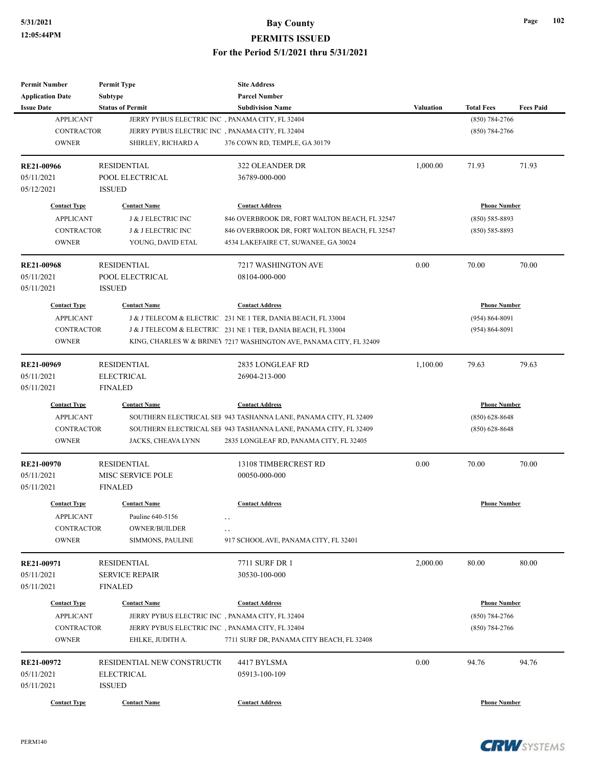| <b>Permit Number</b>    | <b>Permit Type</b>                               | <b>Site Address</b>                                                 |                  |                     |                  |
|-------------------------|--------------------------------------------------|---------------------------------------------------------------------|------------------|---------------------|------------------|
| <b>Application Date</b> | Subtype                                          | <b>Parcel Number</b>                                                |                  |                     |                  |
| <b>Issue Date</b>       | <b>Status of Permit</b>                          | <b>Subdivision Name</b>                                             | <b>Valuation</b> | <b>Total Fees</b>   | <b>Fees Paid</b> |
| <b>APPLICANT</b>        | JERRY PYBUS ELECTRIC INC , PANAMA CITY, FL 32404 |                                                                     |                  | (850) 784-2766      |                  |
| <b>CONTRACTOR</b>       | JERRY PYBUS ELECTRIC INC , PANAMA CITY, FL 32404 |                                                                     |                  | $(850) 784 - 2766$  |                  |
| <b>OWNER</b>            | SHIRLEY, RICHARD A                               | 376 COWN RD, TEMPLE, GA 30179                                       |                  |                     |                  |
| RE21-00966              | <b>RESIDENTIAL</b>                               | <b>322 OLEANDER DR</b>                                              | 1,000.00         | 71.93               | 71.93            |
| 05/11/2021              | POOL ELECTRICAL                                  | 36789-000-000                                                       |                  |                     |                  |
| 05/12/2021              | <b>ISSUED</b>                                    |                                                                     |                  |                     |                  |
| <b>Contact Type</b>     | <b>Contact Name</b>                              | <b>Contact Address</b>                                              |                  | <b>Phone Number</b> |                  |
| <b>APPLICANT</b>        | J & J ELECTRIC INC                               | 846 OVERBROOK DR, FORT WALTON BEACH, FL 32547                       |                  | $(850) 585 - 8893$  |                  |
| <b>CONTRACTOR</b>       | J & J ELECTRIC INC                               | 846 OVERBROOK DR, FORT WALTON BEACH, FL 32547                       |                  | (850) 585-8893      |                  |
| <b>OWNER</b>            | YOUNG, DAVID ETAL                                | 4534 LAKEFAIRE CT, SUWANEE, GA 30024                                |                  |                     |                  |
| <b>RE21-00968</b>       | <b>RESIDENTIAL</b>                               | 7217 WASHINGTON AVE                                                 | 0.00             | 70.00               | 70.00            |
| 05/11/2021              | POOL ELECTRICAL                                  | 08104-000-000                                                       |                  |                     |                  |
| 05/11/2021              | <b>ISSUED</b>                                    |                                                                     |                  |                     |                  |
| <b>Contact Type</b>     | <b>Contact Name</b>                              | <b>Contact Address</b>                                              |                  | <b>Phone Number</b> |                  |
| <b>APPLICANT</b>        |                                                  | J & J TELECOM & ELECTRIC 231 NE 1 TER, DANIA BEACH, FL 33004        |                  | $(954) 864 - 8091$  |                  |
| <b>CONTRACTOR</b>       |                                                  | J & J TELECOM & ELECTRIC   231 NE 1 TER, DANIA BEACH, FL 33004      |                  | (954) 864-8091      |                  |
| <b>OWNER</b>            |                                                  | KING, CHARLES W & BRINEY 7217 WASHINGTON AVE, PANAMA CITY, FL 32409 |                  |                     |                  |
|                         |                                                  |                                                                     |                  |                     |                  |
| RE21-00969              | <b>RESIDENTIAL</b>                               | 2835 LONGLEAF RD                                                    | 1,100.00         | 79.63               | 79.63            |
| 05/11/2021              | <b>ELECTRICAL</b>                                | 26904-213-000                                                       |                  |                     |                  |
| 05/11/2021              | <b>FINALED</b>                                   |                                                                     |                  |                     |                  |
| <b>Contact Type</b>     | <b>Contact Name</b>                              | <b>Contact Address</b>                                              |                  | <b>Phone Number</b> |                  |
| <b>APPLICANT</b>        |                                                  | SOUTHERN ELECTRICAL SEF 943 TASHANNA LANE, PANAMA CITY, FL 32409    |                  | $(850)$ 628-8648    |                  |
| <b>CONTRACTOR</b>       |                                                  | SOUTHERN ELECTRICAL SEF 943 TASHANNA LANE, PANAMA CITY, FL 32409    |                  | $(850) 628 - 8648$  |                  |
| <b>OWNER</b>            | JACKS, CHEAVA LYNN                               | 2835 LONGLEAF RD, PANAMA CITY, FL 32405                             |                  |                     |                  |
| RE21-00970              | <b>RESIDENTIAL</b>                               | 13108 TIMBERCREST RD                                                | 0.00             | 70.00               | 70.00            |
| 05/11/2021              | <b>MISC SERVICE POLE</b>                         | 00050-000-000                                                       |                  |                     |                  |
| 05/11/2021              | <b>FINALED</b>                                   |                                                                     |                  |                     |                  |
| <b>Contact Type</b>     | <b>Contact Name</b>                              | <b>Contact Address</b>                                              |                  | <b>Phone Number</b> |                  |
| <b>APPLICANT</b>        | Pauline 640-5156                                 |                                                                     |                  |                     |                  |
| <b>CONTRACTOR</b>       | <b>OWNER/BUILDER</b>                             | , ,                                                                 |                  |                     |                  |
| <b>OWNER</b>            | SIMMONS, PAULINE                                 | , ,<br>917 SCHOOL AVE, PANAMA CITY, FL 32401                        |                  |                     |                  |
|                         |                                                  |                                                                     |                  |                     |                  |
| RE21-00971              | <b>RESIDENTIAL</b>                               | 7711 SURF DR 1                                                      | 2,000.00         | 80.00               | 80.00            |
| 05/11/2021              | <b>SERVICE REPAIR</b>                            | 30530-100-000                                                       |                  |                     |                  |
| 05/11/2021              | <b>FINALED</b>                                   |                                                                     |                  |                     |                  |
| <b>Contact Type</b>     | <b>Contact Name</b>                              | <b>Contact Address</b>                                              |                  | <b>Phone Number</b> |                  |
| <b>APPLICANT</b>        | JERRY PYBUS ELECTRIC INC, PANAMA CITY, FL 32404  |                                                                     |                  | $(850)$ 784-2766    |                  |
| CONTRACTOR              | JERRY PYBUS ELECTRIC INC , PANAMA CITY, FL 32404 |                                                                     |                  | $(850) 784 - 2766$  |                  |
| <b>OWNER</b>            | EHLKE, JUDITH A.                                 | 7711 SURF DR, PANAMA CITY BEACH, FL 32408                           |                  |                     |                  |
| RE21-00972              | RESIDENTIAL NEW CONSTRUCTIO                      | 4417 BYLSMA                                                         | 0.00             | 94.76               | 94.76            |
| 05/11/2021              | <b>ELECTRICAL</b>                                | 05913-100-109                                                       |                  |                     |                  |
| 05/11/2021              | <b>ISSUED</b>                                    |                                                                     |                  |                     |                  |
|                         |                                                  |                                                                     |                  |                     |                  |
| <b>Contact Type</b>     | <b>Contact Name</b>                              | <b>Contact Address</b>                                              |                  | <b>Phone Number</b> |                  |

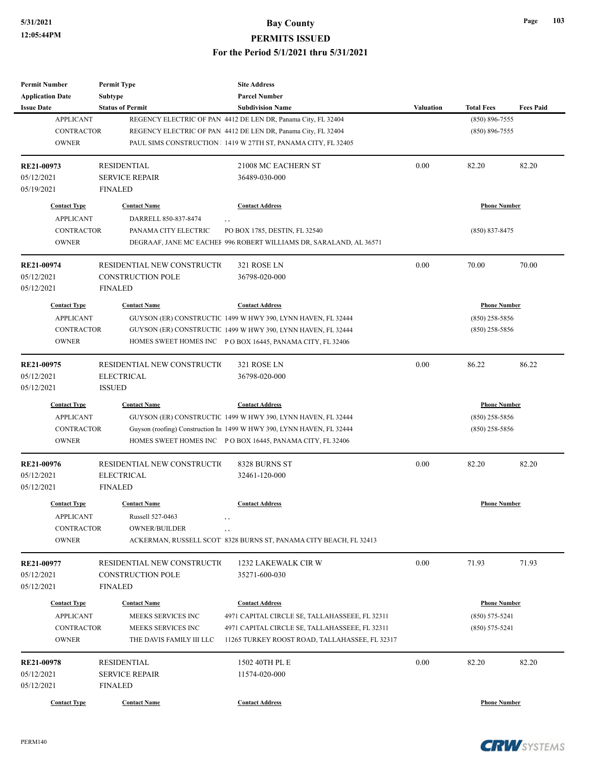| <b>Permit Number</b>    | <b>Permit Type</b>          | <b>Site Address</b>                                                           |                     |                     |                  |
|-------------------------|-----------------------------|-------------------------------------------------------------------------------|---------------------|---------------------|------------------|
| <b>Application Date</b> | <b>Subtype</b>              | <b>Parcel Number</b>                                                          |                     |                     |                  |
| <b>Issue Date</b>       | <b>Status of Permit</b>     | <b>Subdivision Name</b>                                                       | <b>Valuation</b>    | <b>Total Fees</b>   | <b>Fees Paid</b> |
| <b>APPLICANT</b>        |                             | REGENCY ELECTRIC OF PAN 4412 DE LEN DR, Panama City, FL 32404                 |                     | $(850) 896 - 7555$  |                  |
| <b>CONTRACTOR</b>       |                             | REGENCY ELECTRIC OF PAN 4412 DE LEN DR, Panama City, FL 32404                 |                     | $(850) 896 - 7555$  |                  |
| <b>OWNER</b>            |                             | PAUL SIMS CONSTRUCTION 1 1419 W 27TH ST, PANAMA CITY, FL 32405                |                     |                     |                  |
| RE21-00973              | <b>RESIDENTIAL</b>          | 21008 MC EACHERN ST                                                           | 0.00                | 82.20               | 82.20            |
| 05/12/2021              | <b>SERVICE REPAIR</b>       | 36489-030-000                                                                 |                     |                     |                  |
| 05/19/2021              | <b>FINALED</b>              |                                                                               |                     |                     |                  |
| <b>Contact Type</b>     | <b>Contact Name</b>         | <b>Contact Address</b>                                                        |                     | <b>Phone Number</b> |                  |
| <b>APPLICANT</b>        | DARRELL 850-837-8474        | , ,                                                                           |                     |                     |                  |
| <b>CONTRACTOR</b>       | PANAMA CITY ELECTRIC        | PO BOX 1785, DESTIN, FL 32540                                                 |                     | $(850)$ 837-8475    |                  |
| <b>OWNER</b>            |                             | DEGRAAF, JANE MC EACHEF 996 ROBERT WILLIAMS DR, SARALAND, AL 36571            |                     |                     |                  |
| RE21-00974              | RESIDENTIAL NEW CONSTRUCTIO | 321 ROSE LN                                                                   | 0.00                | 70.00               | 70.00            |
| 05/12/2021              | <b>CONSTRUCTION POLE</b>    | 36798-020-000                                                                 |                     |                     |                  |
| 05/12/2021              | <b>FINALED</b>              |                                                                               |                     |                     |                  |
| <b>Contact Type</b>     | <b>Contact Name</b>         | <b>Contact Address</b>                                                        |                     | <b>Phone Number</b> |                  |
| <b>APPLICANT</b>        |                             | GUYSON (ER) CONSTRUCTIC 1499 W HWY 390, LYNN HAVEN, FL 32444                  |                     | $(850)$ 258-5856    |                  |
| <b>CONTRACTOR</b>       |                             | GUYSON (ER) CONSTRUCTIC 1499 W HWY 390, LYNN HAVEN, FL 32444                  |                     | $(850)$ 258-5856    |                  |
|                         |                             |                                                                               |                     |                     |                  |
| <b>OWNER</b>            |                             | HOMES SWEET HOMES INC PO BOX 16445, PANAMA CITY, FL 32406                     |                     |                     |                  |
| RE21-00975              | RESIDENTIAL NEW CONSTRUCTIO | 321 ROSE LN                                                                   | 0.00                | 86.22               | 86.22            |
| 05/12/2021              | <b>ELECTRICAL</b>           | 36798-020-000                                                                 |                     |                     |                  |
| 05/12/2021              | <b>ISSUED</b>               |                                                                               |                     |                     |                  |
| <b>Contact Type</b>     | <b>Contact Name</b>         | <b>Contact Address</b>                                                        | <b>Phone Number</b> |                     |                  |
| <b>APPLICANT</b>        |                             | GUYSON (ER) CONSTRUCTIC 1499 W HWY 390, LYNN HAVEN, FL 32444                  |                     | $(850)$ 258-5856    |                  |
| <b>CONTRACTOR</b>       |                             | Guyson (roofing) Construction In 1499 W HWY 390, LYNN HAVEN, FL 32444         |                     | $(850)$ 258-5856    |                  |
| <b>OWNER</b>            |                             | HOMES SWEET HOMES INC PO BOX 16445, PANAMA CITY, FL 32406                     |                     |                     |                  |
| RE21-00976              | RESIDENTIAL NEW CONSTRUCTIO | 8328 BURNS ST                                                                 | 0.00                | 82.20               | 82.20            |
| 05/12/2021              | <b>ELECTRICAL</b>           | 32461-120-000                                                                 |                     |                     |                  |
| 05/12/2021              | <b>FINALED</b>              |                                                                               |                     |                     |                  |
| <b>Contact Type</b>     | <b>Contact Name</b>         | <b>Contact Address</b>                                                        |                     | <b>Phone Number</b> |                  |
| <b>APPLICANT</b>        | Russell 527-0463            |                                                                               |                     |                     |                  |
| CONTRACTOR              | <b>OWNER/BUILDER</b>        |                                                                               |                     |                     |                  |
| <b>OWNER</b>            |                             | $, \, ,$<br>ACKERMAN, RUSSELL SCOT 8328 BURNS ST, PANAMA CITY BEACH, FL 32413 |                     |                     |                  |
| RE21-00977              | RESIDENTIAL NEW CONSTRUCTIO | 1232 LAKEWALK CIR W                                                           | 0.00                | 71.93               | 71.93            |
| 05/12/2021              | CONSTRUCTION POLE           | 35271-600-030                                                                 |                     |                     |                  |
| 05/12/2021              | FINALED                     |                                                                               |                     |                     |                  |
|                         |                             |                                                                               |                     |                     |                  |
| <b>Contact Type</b>     | <b>Contact Name</b>         | <b>Contact Address</b>                                                        |                     | <b>Phone Number</b> |                  |
| <b>APPLICANT</b>        | MEEKS SERVICES INC          | 4971 CAPITAL CIRCLE SE, TALLAHASSEEE, FL 32311                                |                     | $(850) 575 - 5241$  |                  |
| CONTRACTOR              | MEEKS SERVICES INC          | 4971 CAPITAL CIRCLE SE, TALLAHASSEEE, FL 32311                                |                     | $(850) 575 - 5241$  |                  |
| <b>OWNER</b>            | THE DAVIS FAMILY III LLC    | 11265 TURKEY ROOST ROAD, TALLAHASSEE, FL 32317                                |                     |                     |                  |
| RE21-00978              | <b>RESIDENTIAL</b>          | 1502 40TH PL E                                                                | 0.00                | 82.20               | 82.20            |
| 05/12/2021              | <b>SERVICE REPAIR</b>       | 11574-020-000                                                                 |                     |                     |                  |
| 05/12/2021              | <b>FINALED</b>              |                                                                               |                     |                     |                  |
| <b>Contact Type</b>     | <b>Contact Name</b>         | <b>Contact Address</b>                                                        |                     | <b>Phone Number</b> |                  |
|                         |                             |                                                                               |                     |                     |                  |

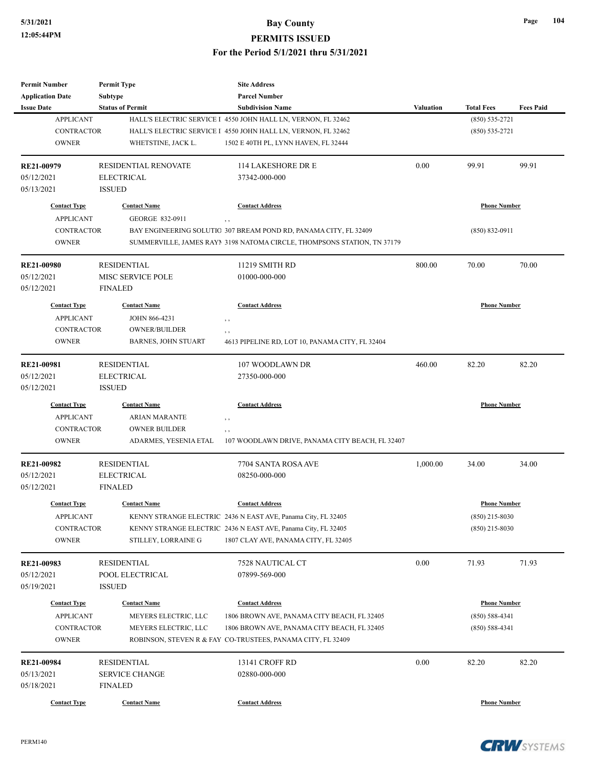| <b>Permit Number</b>    | <b>Permit Type</b>         | <b>Site Address</b>                                                     |                  |                     |                  |
|-------------------------|----------------------------|-------------------------------------------------------------------------|------------------|---------------------|------------------|
| <b>Application Date</b> | <b>Subtype</b>             | <b>Parcel Number</b>                                                    |                  |                     |                  |
| <b>Issue Date</b>       | <b>Status of Permit</b>    | <b>Subdivision Name</b>                                                 | <b>Valuation</b> | <b>Total Fees</b>   | <b>Fees Paid</b> |
| <b>APPLICANT</b>        |                            | HALL'S ELECTRIC SERVICE I 4550 JOHN HALL LN, VERNON, FL 32462           |                  | $(850) 535 - 2721$  |                  |
| <b>CONTRACTOR</b>       |                            | HALL'S ELECTRIC SERVICE I 4550 JOHN HALL LN, VERNON, FL 32462           |                  | $(850) 535 - 2721$  |                  |
| <b>OWNER</b>            | WHETSTINE, JACK L.         | 1502 E 40TH PL, LYNN HAVEN, FL 32444                                    |                  |                     |                  |
| RE21-00979              | RESIDENTIAL RENOVATE       | 114 LAKESHORE DR E                                                      | 0.00             | 99.91               | 99.91            |
| 05/12/2021              | <b>ELECTRICAL</b>          | 37342-000-000                                                           |                  |                     |                  |
| 05/13/2021              | <b>ISSUED</b>              |                                                                         |                  |                     |                  |
| <b>Contact Type</b>     | <b>Contact Name</b>        | <b>Contact Address</b>                                                  |                  | <b>Phone Number</b> |                  |
| <b>APPLICANT</b>        | GEORGE 832-0911            | , ,                                                                     |                  |                     |                  |
| <b>CONTRACTOR</b>       |                            | BAY ENGINEERING SOLUTIO 307 BREAM POND RD, PANAMA CITY, FL 32409        |                  | $(850) 832 - 0911$  |                  |
| <b>OWNER</b>            |                            | SUMMERVILLE, JAMES RAYI 3198 NATOMA CIRCLE, THOMPSONS STATION, TN 37179 |                  |                     |                  |
| <b>RE21-00980</b>       | <b>RESIDENTIAL</b>         | 11219 SMITH RD                                                          | 800.00           | 70.00               | 70.00            |
| 05/12/2021              | MISC SERVICE POLE          | 01000-000-000                                                           |                  |                     |                  |
| 05/12/2021              | <b>FINALED</b>             |                                                                         |                  |                     |                  |
| <b>Contact Type</b>     | <b>Contact Name</b>        | <b>Contact Address</b>                                                  |                  | <b>Phone Number</b> |                  |
| <b>APPLICANT</b>        | <b>JOHN 866-4231</b>       | , ,                                                                     |                  |                     |                  |
| <b>CONTRACTOR</b>       | <b>OWNER/BUILDER</b>       | , ,                                                                     |                  |                     |                  |
| <b>OWNER</b>            | <b>BARNES, JOHN STUART</b> | 4613 PIPELINE RD, LOT 10, PANAMA CITY, FL 32404                         |                  |                     |                  |
|                         |                            |                                                                         |                  |                     |                  |
| RE21-00981              | <b>RESIDENTIAL</b>         | 107 WOODLAWN DR                                                         | 460.00           | 82.20               | 82.20            |
| 05/12/2021              | <b>ELECTRICAL</b>          | 27350-000-000                                                           |                  |                     |                  |
| 05/12/2021              | <b>ISSUED</b>              |                                                                         |                  |                     |                  |
| <b>Contact Type</b>     | <b>Contact Name</b>        | <b>Contact Address</b>                                                  |                  | <b>Phone Number</b> |                  |
| <b>APPLICANT</b>        | <b>ARIAN MARANTE</b>       | $, \, , \,$                                                             |                  |                     |                  |
| <b>CONTRACTOR</b>       | <b>OWNER BUILDER</b>       | $, \, ,$                                                                |                  |                     |                  |
| <b>OWNER</b>            | ADARMES, YESENIA ETAL      | 107 WOODLAWN DRIVE, PANAMA CITY BEACH, FL 32407                         |                  |                     |                  |
| RE21-00982              | <b>RESIDENTIAL</b>         | 7704 SANTA ROSA AVE                                                     | 1,000.00         | 34.00               | 34.00            |
| 05/12/2021              | <b>ELECTRICAL</b>          | 08250-000-000                                                           |                  |                     |                  |
| 05/12/2021              | <b>FINALED</b>             |                                                                         |                  |                     |                  |
| <b>Contact Type</b>     | <b>Contact Name</b>        | <b>Contact Address</b>                                                  |                  | <b>Phone Number</b> |                  |
| <b>APPLICANT</b>        |                            | KENNY STRANGE ELECTRIC 2436 N EAST AVE, Panama City, FL 32405           |                  | $(850)$ 215-8030    |                  |
| <b>CONTRACTOR</b>       |                            | KENNY STRANGE ELECTRIC 2436 N EAST AVE, Panama City, FL 32405           |                  | $(850)$ 215-8030    |                  |
| <b>OWNER</b>            | STILLEY, LORRAINE G        | 1807 CLAY AVE, PANAMA CITY, FL 32405                                    |                  |                     |                  |
| RE21-00983              | <b>RESIDENTIAL</b>         | 7528 NAUTICAL CT                                                        | 0.00             | 71.93               | 71.93            |
| 05/12/2021              | POOL ELECTRICAL            | 07899-569-000                                                           |                  |                     |                  |
| 05/19/2021              | <b>ISSUED</b>              |                                                                         |                  |                     |                  |
|                         |                            |                                                                         |                  |                     |                  |
| <b>Contact Type</b>     | <b>Contact Name</b>        | <b>Contact Address</b>                                                  |                  | <b>Phone Number</b> |                  |
| <b>APPLICANT</b>        | MEYERS ELECTRIC, LLC       | 1806 BROWN AVE, PANAMA CITY BEACH, FL 32405                             |                  | $(850) 588 - 4341$  |                  |
| CONTRACTOR              | MEYERS ELECTRIC, LLC       | 1806 BROWN AVE, PANAMA CITY BEACH, FL 32405                             |                  | $(850) 588 - 4341$  |                  |
| <b>OWNER</b>            |                            | ROBINSON, STEVEN R & FAY CO-TRUSTEES, PANAMA CITY, FL 32409             |                  |                     |                  |
| RE21-00984              | <b>RESIDENTIAL</b>         | 13141 CROFF RD                                                          | 0.00             | 82.20               | 82.20            |
| 05/13/2021              | <b>SERVICE CHANGE</b>      | 02880-000-000                                                           |                  |                     |                  |
| 05/18/2021              | <b>FINALED</b>             |                                                                         |                  |                     |                  |
| <b>Contact Type</b>     | <b>Contact Name</b>        | <b>Contact Address</b>                                                  |                  | <b>Phone Number</b> |                  |

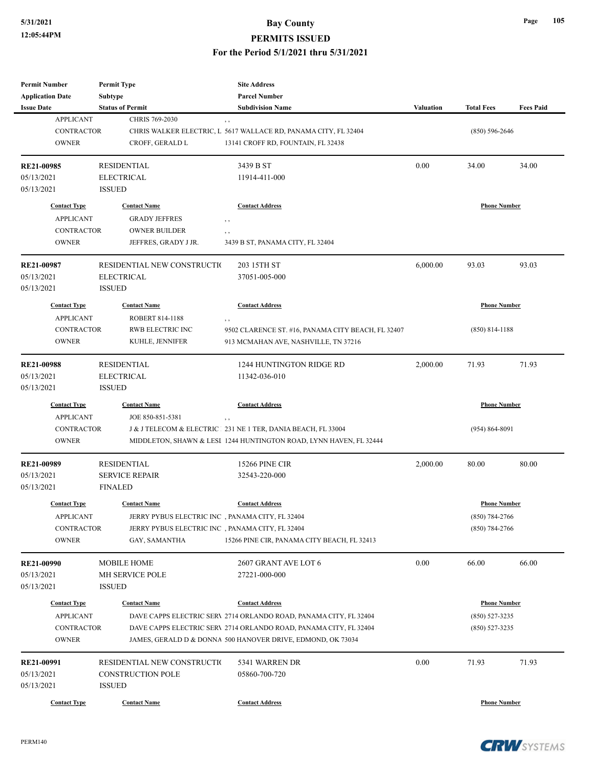| <b>Permit Number</b>    | <b>Permit Type</b>                               | <b>Site Address</b>                                                |                  |                     |                  |
|-------------------------|--------------------------------------------------|--------------------------------------------------------------------|------------------|---------------------|------------------|
| <b>Application Date</b> | Subtype                                          | <b>Parcel Number</b>                                               |                  |                     |                  |
| <b>Issue Date</b>       | <b>Status of Permit</b>                          | <b>Subdivision Name</b>                                            | <b>Valuation</b> | <b>Total Fees</b>   | <b>Fees Paid</b> |
| <b>APPLICANT</b>        | CHRIS 769-2030                                   | , ,                                                                |                  |                     |                  |
| <b>CONTRACTOR</b>       |                                                  | CHRIS WALKER ELECTRIC, L 5617 WALLACE RD, PANAMA CITY, FL 32404    |                  | $(850) 596 - 2646$  |                  |
| <b>OWNER</b>            | CROFF, GERALD L                                  | 13141 CROFF RD, FOUNTAIN, FL 32438                                 |                  |                     |                  |
|                         |                                                  |                                                                    |                  |                     |                  |
| RE21-00985              | <b>RESIDENTIAL</b>                               | 3439 B ST                                                          | 0.00             | 34.00               | 34.00            |
| 05/13/2021              | <b>ELECTRICAL</b>                                | 11914-411-000                                                      |                  |                     |                  |
| 05/13/2021              | <b>ISSUED</b>                                    |                                                                    |                  |                     |                  |
| <b>Contact Type</b>     | <b>Contact Name</b>                              | <b>Contact Address</b>                                             |                  | <b>Phone Number</b> |                  |
|                         |                                                  |                                                                    |                  |                     |                  |
| <b>APPLICANT</b>        | <b>GRADY JEFFRES</b>                             | , ,                                                                |                  |                     |                  |
| <b>CONTRACTOR</b>       | <b>OWNER BUILDER</b>                             | , ,                                                                |                  |                     |                  |
| <b>OWNER</b>            | JEFFRES, GRADY J JR.                             | 3439 B ST, PANAMA CITY, FL 32404                                   |                  |                     |                  |
| RE21-00987              | RESIDENTIAL NEW CONSTRUCTIO                      | 203 15TH ST                                                        | 6,000.00         | 93.03               | 93.03            |
| 05/13/2021              | <b>ELECTRICAL</b>                                | 37051-005-000                                                      |                  |                     |                  |
| 05/13/2021              | <b>ISSUED</b>                                    |                                                                    |                  |                     |                  |
| <b>Contact Type</b>     | <b>Contact Name</b>                              | <b>Contact Address</b>                                             |                  | <b>Phone Number</b> |                  |
|                         |                                                  |                                                                    |                  |                     |                  |
| <b>APPLICANT</b>        | ROBERT 814-1188                                  | , ,                                                                |                  |                     |                  |
| <b>CONTRACTOR</b>       | RWB ELECTRIC INC                                 | 9502 CLARENCE ST. #16, PANAMA CITY BEACH, FL 32407                 |                  | $(850)$ 814-1188    |                  |
| <b>OWNER</b>            | KUHLE, JENNIFER                                  | 913 MCMAHAN AVE, NASHVILLE, TN 37216                               |                  |                     |                  |
| <b>RE21-00988</b>       | <b>RESIDENTIAL</b>                               | 1244 HUNTINGTON RIDGE RD                                           | 2,000.00         | 71.93               | 71.93            |
| 05/13/2021              | <b>ELECTRICAL</b>                                | 11342-036-010                                                      |                  |                     |                  |
| 05/13/2021              | <b>ISSUED</b>                                    |                                                                    |                  |                     |                  |
|                         |                                                  |                                                                    |                  |                     |                  |
| <b>Contact Type</b>     | <b>Contact Name</b>                              | <b>Contact Address</b>                                             |                  | <b>Phone Number</b> |                  |
| <b>APPLICANT</b>        | JOE 850-851-5381                                 | $, \, ,$                                                           |                  |                     |                  |
| <b>CONTRACTOR</b>       |                                                  | J & J TELECOM & ELECTRIC 231 NE 1 TER, DANIA BEACH, FL 33004       |                  | $(954) 864 - 8091$  |                  |
| <b>OWNER</b>            |                                                  | MIDDLETON, SHAWN & LESI 1244 HUNTINGTON ROAD, LYNN HAVEN, FL 32444 |                  |                     |                  |
| RE21-00989              | <b>RESIDENTIAL</b>                               | <b>15266 PINE CIR</b>                                              | 2,000.00         | 80.00               | 80.00            |
| 05/13/2021              | <b>SERVICE REPAIR</b>                            | 32543-220-000                                                      |                  |                     |                  |
| 05/13/2021              | <b>FINALED</b>                                   |                                                                    |                  |                     |                  |
|                         |                                                  |                                                                    |                  |                     |                  |
| <b>Contact Type</b>     | <b>Contact Name</b>                              | <b>Contact Address</b>                                             |                  | <b>Phone Number</b> |                  |
| <b>APPLICANT</b>        | JERRY PYBUS ELECTRIC INC , PANAMA CITY, FL 32404 |                                                                    |                  | $(850)$ 784-2766    |                  |
| CONTRACTOR              | JERRY PYBUS ELECTRIC INC, PANAMA CITY, FL 32404  |                                                                    |                  | $(850) 784 - 2766$  |                  |
| <b>OWNER</b>            | GAY, SAMANTHA                                    | 15266 PINE CIR, PANAMA CITY BEACH, FL 32413                        |                  |                     |                  |
|                         |                                                  |                                                                    |                  |                     |                  |
| <b>RE21-00990</b>       | <b>MOBILE HOME</b>                               | 2607 GRANT AVE LOT 6                                               | 0.00             | 66.00               | 66.00            |
| 05/13/2021              | MH SERVICE POLE                                  | 27221-000-000                                                      |                  |                     |                  |
| 05/13/2021              | <b>ISSUED</b>                                    |                                                                    |                  |                     |                  |
| <b>Contact Type</b>     | <b>Contact Name</b>                              | <b>Contact Address</b>                                             |                  | <b>Phone Number</b> |                  |
| <b>APPLICANT</b>        |                                                  | DAVE CAPPS ELECTRIC SERV 2714 ORLANDO ROAD, PANAMA CITY, FL 32404  |                  | $(850) 527 - 3235$  |                  |
| CONTRACTOR              |                                                  | DAVE CAPPS ELECTRIC SERV 2714 ORLANDO ROAD, PANAMA CITY, FL 32404  |                  | $(850)$ 527-3235    |                  |
| <b>OWNER</b>            |                                                  | JAMES, GERALD D & DONNA 500 HANOVER DRIVE, EDMOND, OK 73034        |                  |                     |                  |
|                         |                                                  |                                                                    |                  |                     |                  |
| RE21-00991              | RESIDENTIAL NEW CONSTRUCTIO                      | 5341 WARREN DR                                                     | 0.00             | 71.93               | 71.93            |
| 05/13/2021              | CONSTRUCTION POLE                                | 05860-700-720                                                      |                  |                     |                  |
| 05/13/2021              | <b>ISSUED</b>                                    |                                                                    |                  |                     |                  |
| <b>Contact Type</b>     | <b>Contact Name</b>                              | <b>Contact Address</b>                                             |                  | <b>Phone Number</b> |                  |



**Page 105**

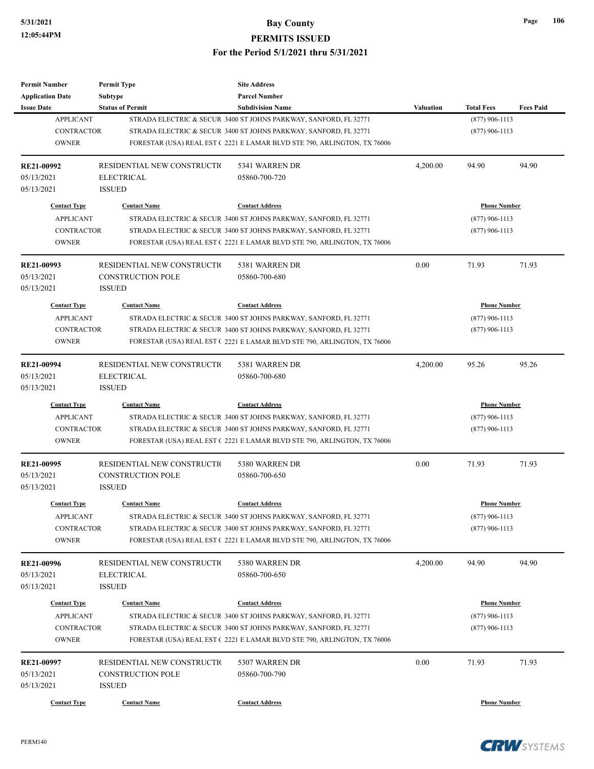**PERMITS ISSUED**

| <b>Permit Number</b><br><b>Application Date</b>                              | <b>Permit Type</b><br><b>Subtype</b>                                     | <b>Site Address</b><br><b>Parcel Number</b>                                                                                                                                                                                               |                  |                                                             |                  |
|------------------------------------------------------------------------------|--------------------------------------------------------------------------|-------------------------------------------------------------------------------------------------------------------------------------------------------------------------------------------------------------------------------------------|------------------|-------------------------------------------------------------|------------------|
| <b>Issue Date</b>                                                            | <b>Status of Permit</b>                                                  | <b>Subdivision Name</b>                                                                                                                                                                                                                   | <b>Valuation</b> | <b>Total Fees</b>                                           | <b>Fees Paid</b> |
| <b>APPLICANT</b><br><b>CONTRACTOR</b><br><b>OWNER</b>                        |                                                                          | STRADA ELECTRIC & SECUR 3400 ST JOHNS PARKWAY, SANFORD, FL 32771<br>STRADA ELECTRIC & SECUR 3400 ST JOHNS PARKWAY, SANFORD, FL 32771<br>FORESTAR (USA) REAL EST (2221 E LAMAR BLVD STE 790, ARLINGTON, TX 76006                           |                  | $(877)$ 906-1113<br>$(877)$ 906-1113                        |                  |
| RE21-00992<br>05/13/2021<br>05/13/2021                                       | RESIDENTIAL NEW CONSTRUCTIO<br><b>ELECTRICAL</b><br><b>ISSUED</b>        | 5341 WARREN DR<br>05860-700-720                                                                                                                                                                                                           | 4,200.00         | 94.90                                                       | 94.90            |
|                                                                              |                                                                          |                                                                                                                                                                                                                                           |                  |                                                             |                  |
| <b>Contact Type</b><br><b>APPLICANT</b><br><b>CONTRACTOR</b><br><b>OWNER</b> | <b>Contact Name</b>                                                      | <b>Contact Address</b><br>STRADA ELECTRIC & SECUR 3400 ST JOHNS PARKWAY, SANFORD, FL 32771<br>STRADA ELECTRIC & SECUR 3400 ST JOHNS PARKWAY, SANFORD, FL 32771<br>FORESTAR (USA) REAL EST (2221 E LAMAR BLVD STE 790, ARLINGTON, TX 76006 |                  | <b>Phone Number</b><br>$(877)$ 906-1113<br>$(877)$ 906-1113 |                  |
| RE21-00993<br>05/13/2021<br>05/13/2021                                       | RESIDENTIAL NEW CONSTRUCTIO<br><b>CONSTRUCTION POLE</b><br><b>ISSUED</b> | 5381 WARREN DR<br>05860-700-680                                                                                                                                                                                                           | 0.00             | 71.93                                                       | 71.93            |
| <b>Contact Type</b><br><b>APPLICANT</b><br><b>CONTRACTOR</b><br><b>OWNER</b> | <b>Contact Name</b>                                                      | <b>Contact Address</b><br>STRADA ELECTRIC & SECUR 3400 ST JOHNS PARKWAY, SANFORD, FL 32771<br>STRADA ELECTRIC & SECUR 3400 ST JOHNS PARKWAY, SANFORD, FL 32771<br>FORESTAR (USA) REAL EST (2221 E LAMAR BLVD STE 790, ARLINGTON, TX 76006 |                  | <b>Phone Number</b><br>$(877)$ 906-1113<br>$(877)$ 906-1113 |                  |
| RE21-00994<br>05/13/2021<br>05/13/2021                                       | RESIDENTIAL NEW CONSTRUCTIO<br><b>ELECTRICAL</b><br><b>ISSUED</b>        | 5381 WARREN DR<br>05860-700-680                                                                                                                                                                                                           | 4,200.00         | 95.26                                                       | 95.26            |
| <b>Contact Type</b><br><b>APPLICANT</b><br><b>CONTRACTOR</b><br><b>OWNER</b> | <b>Contact Name</b>                                                      | <b>Contact Address</b><br>STRADA ELECTRIC & SECUR 3400 ST JOHNS PARKWAY, SANFORD, FL 32771<br>STRADA ELECTRIC & SECUR 3400 ST JOHNS PARKWAY, SANFORD, FL 32771<br>FORESTAR (USA) REAL EST (2221 E LAMAR BLVD STE 790, ARLINGTON, TX 76006 |                  | <b>Phone Number</b><br>$(877)$ 906-1113<br>$(877)$ 906-1113 |                  |
| RE21-00995<br>05/13/2021<br>05/13/2021                                       | RESIDENTIAL NEW CONSTRUCTIO<br><b>CONSTRUCTION POLE</b><br><b>ISSUED</b> | 5380 WARREN DR<br>05860-700-650                                                                                                                                                                                                           | 0.00             | 71.93                                                       | 71.93            |
| <b>Contact Type</b><br><b>APPLICANT</b><br><b>CONTRACTOR</b><br><b>OWNER</b> | <b>Contact Name</b>                                                      | <b>Contact Address</b><br>STRADA ELECTRIC & SECUR 3400 ST JOHNS PARKWAY, SANFORD, FL 32771<br>STRADA ELECTRIC & SECUR 3400 ST JOHNS PARKWAY, SANFORD, FL 32771<br>FORESTAR (USA) REAL EST (2221 E LAMAR BLVD STE 790, ARLINGTON, TX 76006 |                  | <b>Phone Number</b><br>$(877)$ 906-1113<br>$(877)$ 906-1113 |                  |
| <b>RE21-00996</b><br>05/13/2021<br>05/13/2021                                | RESIDENTIAL NEW CONSTRUCTIO<br>ELECTRICAL<br><b>ISSUED</b>               | 5380 WARREN DR<br>05860-700-650                                                                                                                                                                                                           | 4,200.00         | 94.90                                                       | 94.90            |
| <b>Contact Type</b><br><b>APPLICANT</b><br><b>CONTRACTOR</b><br><b>OWNER</b> | <b>Contact Name</b>                                                      | <b>Contact Address</b><br>STRADA ELECTRIC & SECUR 3400 ST JOHNS PARKWAY, SANFORD, FL 32771<br>STRADA ELECTRIC & SECUR 3400 ST JOHNS PARKWAY, SANFORD, FL 32771<br>FORESTAR (USA) REAL EST (2221 E LAMAR BLVD STE 790, ARLINGTON, TX 76006 |                  | <b>Phone Number</b><br>$(877)$ 906-1113<br>$(877)$ 906-1113 |                  |
| RE21-00997<br>05/13/2021<br>05/13/2021                                       | RESIDENTIAL NEW CONSTRUCTIO<br><b>CONSTRUCTION POLE</b><br><b>ISSUED</b> | 5307 WARREN DR<br>05860-700-790                                                                                                                                                                                                           | 0.00             | 71.93                                                       | 71.93            |
| <b>Contact Type</b>                                                          | <b>Contact Name</b>                                                      | <b>Contact Address</b>                                                                                                                                                                                                                    |                  | <b>Phone Number</b>                                         |                  |

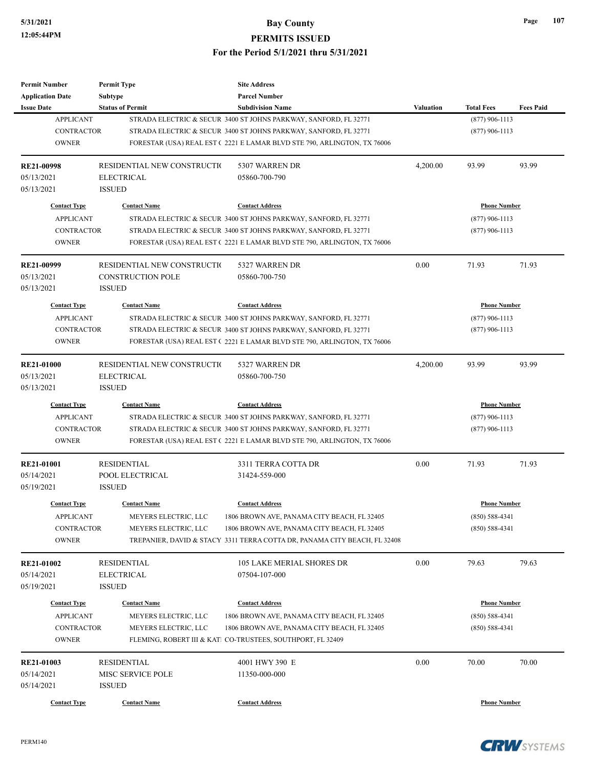**Permit Number**

**Permit Type**

# **5/31/2021 Bay County PERMITS ISSUED For the Period 5/1/2021 thru 5/31/2021**

**Site Address**

| <b>Application Date</b> | <b>Subtype</b>              | <b>Parcel Number</b>                                                      |                  |                     |                  |
|-------------------------|-----------------------------|---------------------------------------------------------------------------|------------------|---------------------|------------------|
| <b>Issue Date</b>       | <b>Status of Permit</b>     | <b>Subdivision Name</b>                                                   | <b>Valuation</b> | <b>Total Fees</b>   | <b>Fees Paid</b> |
| <b>APPLICANT</b>        |                             | STRADA ELECTRIC & SECUR 3400 ST JOHNS PARKWAY, SANFORD, FL 32771          |                  | $(877)$ 906-1113    |                  |
| <b>CONTRACTOR</b>       |                             | STRADA ELECTRIC & SECUR 3400 ST JOHNS PARKWAY, SANFORD, FL 32771          |                  | $(877)$ 906-1113    |                  |
| <b>OWNER</b>            |                             | FORESTAR (USA) REAL EST (2221 E LAMAR BLVD STE 790, ARLINGTON, TX 76006   |                  |                     |                  |
| <b>RE21-00998</b>       | RESIDENTIAL NEW CONSTRUCTIO | 5307 WARREN DR                                                            | 4,200.00         | 93.99               | 93.99            |
| 05/13/2021              | <b>ELECTRICAL</b>           | 05860-700-790                                                             |                  |                     |                  |
| 05/13/2021              | <b>ISSUED</b>               |                                                                           |                  |                     |                  |
| <b>Contact Type</b>     | <b>Contact Name</b>         | <b>Contact Address</b>                                                    |                  | <b>Phone Number</b> |                  |
| <b>APPLICANT</b>        |                             | STRADA ELECTRIC & SECUR 3400 ST JOHNS PARKWAY, SANFORD, FL 32771          |                  | $(877)$ 906-1113    |                  |
| <b>CONTRACTOR</b>       |                             | STRADA ELECTRIC & SECUR 3400 ST JOHNS PARKWAY, SANFORD, FL 32771          |                  | $(877)$ 906-1113    |                  |
| <b>OWNER</b>            |                             | FORESTAR (USA) REAL EST (2221 E LAMAR BLVD STE 790, ARLINGTON, TX 76006   |                  |                     |                  |
| RE21-00999              | RESIDENTIAL NEW CONSTRUCTIO | 5327 WARREN DR                                                            | 0.00             | 71.93               | 71.93            |
| 05/13/2021              | <b>CONSTRUCTION POLE</b>    | 05860-700-750                                                             |                  |                     |                  |
| 05/13/2021              | <b>ISSUED</b>               |                                                                           |                  |                     |                  |
| <b>Contact Type</b>     | <b>Contact Name</b>         | <b>Contact Address</b>                                                    |                  | <b>Phone Number</b> |                  |
| <b>APPLICANT</b>        |                             | STRADA ELECTRIC & SECUR 3400 ST JOHNS PARKWAY, SANFORD, FL 32771          |                  | $(877)$ 906-1113    |                  |
| <b>CONTRACTOR</b>       |                             | STRADA ELECTRIC & SECUR 3400 ST JOHNS PARKWAY, SANFORD, FL 32771          |                  | $(877)$ 906-1113    |                  |
| <b>OWNER</b>            |                             | FORESTAR (USA) REAL EST (2221 E LAMAR BLVD STE 790, ARLINGTON, TX 76006   |                  |                     |                  |
| <b>RE21-01000</b>       | RESIDENTIAL NEW CONSTRUCTIO | 5327 WARREN DR                                                            | 4,200.00         | 93.99               | 93.99            |
| 05/13/2021              | <b>ELECTRICAL</b>           | 05860-700-750                                                             |                  |                     |                  |
| 05/13/2021              | <b>ISSUED</b>               |                                                                           |                  |                     |                  |
| <b>Contact Type</b>     | <b>Contact Name</b>         | <b>Contact Address</b>                                                    |                  | <b>Phone Number</b> |                  |
| <b>APPLICANT</b>        |                             | STRADA ELECTRIC & SECUR 3400 ST JOHNS PARKWAY, SANFORD, FL 32771          |                  | $(877)$ 906-1113    |                  |
| <b>CONTRACTOR</b>       |                             | STRADA ELECTRIC & SECUR 3400 ST JOHNS PARKWAY, SANFORD, FL 32771          |                  | $(877)$ 906-1113    |                  |
| <b>OWNER</b>            |                             | FORESTAR (USA) REAL EST (2221 E LAMAR BLVD STE 790, ARLINGTON, TX 76006   |                  |                     |                  |
| <b>RE21-01001</b>       | <b>RESIDENTIAL</b>          | 3311 TERRA COTTA DR                                                       | 0.00             | 71.93               | 71.93            |
| 05/14/2021              | POOL ELECTRICAL             | 31424-559-000                                                             |                  |                     |                  |
| 05/19/2021              | <b>ISSUED</b>               |                                                                           |                  |                     |                  |
| <b>Contact Type</b>     | <b>Contact Name</b>         | <b>Contact Address</b>                                                    |                  | <b>Phone Number</b> |                  |
| <b>APPLICANT</b>        | MEYERS ELECTRIC, LLC        | 1806 BROWN AVE, PANAMA CITY BEACH, FL 32405                               |                  | $(850) 588 - 4341$  |                  |
| CONTRACTOR              | MEYERS ELECTRIC, LLC        | 1806 BROWN AVE, PANAMA CITY BEACH, FL 32405                               |                  | $(850)$ 588-4341    |                  |
| <b>OWNER</b>            |                             | TREPANIER, DAVID & STACY 3311 TERRA COTTA DR, PANAMA CITY BEACH, FL 32408 |                  |                     |                  |
| <b>RE21-01002</b>       | <b>RESIDENTIAL</b>          | 105 LAKE MERIAL SHORES DR                                                 | 0.00             | 79.63               | 79.63            |
| 05/14/2021              | <b>ELECTRICAL</b>           | 07504-107-000                                                             |                  |                     |                  |
| 05/19/2021              | <b>ISSUED</b>               |                                                                           |                  |                     |                  |
| <b>Contact Type</b>     | <b>Contact Name</b>         | <b>Contact Address</b>                                                    |                  | <b>Phone Number</b> |                  |
| <b>APPLICANT</b>        | MEYERS ELECTRIC, LLC        | 1806 BROWN AVE, PANAMA CITY BEACH, FL 32405                               |                  | $(850) 588 - 4341$  |                  |
| CONTRACTOR              | MEYERS ELECTRIC, LLC        | 1806 BROWN AVE, PANAMA CITY BEACH, FL 32405                               |                  | $(850) 588 - 4341$  |                  |
| <b>OWNER</b>            |                             | FLEMING, ROBERT III & KATI CO-TRUSTEES, SOUTHPORT, FL 32409               |                  |                     |                  |
| RE21-01003              | <b>RESIDENTIAL</b>          | 4001 HWY 390 E                                                            | 0.00             | 70.00               | 70.00            |
| 05/14/2021              | MISC SERVICE POLE           | 11350-000-000                                                             |                  |                     |                  |
| 05/14/2021              | <b>ISSUED</b>               |                                                                           |                  |                     |                  |
| <b>Contact Type</b>     | <b>Contact Name</b>         | <b>Contact Address</b>                                                    |                  | <b>Phone Number</b> |                  |

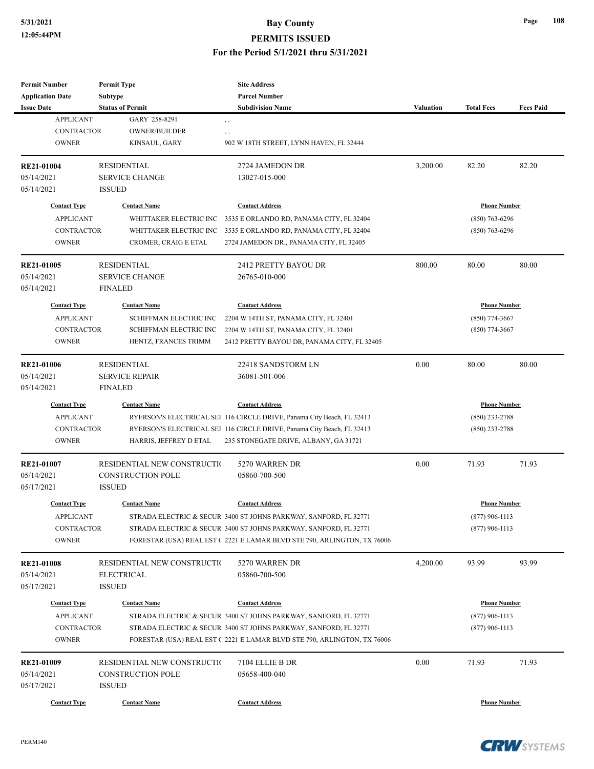# **5/31/2021 Bay County PERMITS ISSUED**

| <b>Permit Number</b><br><b>Application Date</b> | <b>Permit Type</b><br><b>Subtype</b>      | <b>Site Address</b><br><b>Parcel Number</b>                             |                                         |                     |                  |
|-------------------------------------------------|-------------------------------------------|-------------------------------------------------------------------------|-----------------------------------------|---------------------|------------------|
| <b>Issue Date</b>                               | <b>Status of Permit</b>                   | <b>Subdivision Name</b>                                                 | <b>Valuation</b>                        | <b>Total Fees</b>   | <b>Fees Paid</b> |
| <b>APPLICANT</b>                                | GARY 258-8291                             | $\,$ ,                                                                  |                                         |                     |                  |
| <b>CONTRACTOR</b><br><b>OWNER</b>               | OWNER/BUILDER<br>KINSAUL, GARY            | $, \, , \,$<br>902 W 18TH STREET, LYNN HAVEN, FL 32444                  |                                         |                     |                  |
| RE21-01004                                      | <b>RESIDENTIAL</b>                        | 2724 JAMEDON DR                                                         | 3,200.00                                | 82.20               | 82.20            |
| 05/14/2021                                      | <b>SERVICE CHANGE</b>                     | 13027-015-000                                                           |                                         |                     |                  |
| 05/14/2021                                      | <b>ISSUED</b>                             |                                                                         |                                         |                     |                  |
| <b>Contact Type</b>                             | <b>Contact Name</b>                       | <b>Contact Address</b>                                                  |                                         | <b>Phone Number</b> |                  |
| <b>APPLICANT</b>                                | WHITTAKER ELECTRIC INC                    | 3535 E ORLANDO RD, PANAMA CITY, FL 32404                                |                                         | $(850)$ 763-6296    |                  |
| <b>CONTRACTOR</b>                               | WHITTAKER ELECTRIC INC                    | 3535 E ORLANDO RD, PANAMA CITY, FL 32404                                |                                         | $(850)$ 763-6296    |                  |
| <b>OWNER</b>                                    | CROMER, CRAIG E ETAL                      | 2724 JAMEDON DR., PANAMA CITY, FL 32405                                 |                                         |                     |                  |
| <b>RE21-01005</b>                               | <b>RESIDENTIAL</b>                        | 2412 PRETTY BAYOU DR                                                    | 800.00                                  | 80.00               | 80.00            |
| 05/14/2021<br>05/14/2021                        | <b>SERVICE CHANGE</b><br><b>FINALED</b>   | 26765-010-000                                                           |                                         |                     |                  |
| <b>Contact Type</b>                             | <b>Contact Name</b>                       | <b>Contact Address</b>                                                  |                                         |                     |                  |
| <b>APPLICANT</b>                                | SCHIFFMAN ELECTRIC INC                    | 2204 W 14TH ST, PANAMA CITY, FL 32401                                   | <b>Phone Number</b><br>$(850)$ 774-3667 |                     |                  |
| <b>CONTRACTOR</b>                               | SCHIFFMAN ELECTRIC INC                    | 2204 W 14TH ST, PANAMA CITY, FL 32401                                   |                                         | $(850)$ 774-3667    |                  |
| <b>OWNER</b>                                    | HENTZ, FRANCES TRIMM                      | 2412 PRETTY BAYOU DR, PANAMA CITY, FL 32405                             |                                         |                     |                  |
| <b>RE21-01006</b>                               | <b>RESIDENTIAL</b>                        | 22418 SANDSTORM LN                                                      | 0.00                                    | 80.00               | 80.00            |
| 05/14/2021                                      | <b>SERVICE REPAIR</b>                     | 36081-501-006                                                           |                                         |                     |                  |
| 05/14/2021                                      | <b>FINALED</b>                            |                                                                         |                                         |                     |                  |
| <b>Contact Type</b>                             | <b>Contact Name</b>                       | <b>Contact Address</b>                                                  |                                         | <b>Phone Number</b> |                  |
| <b>APPLICANT</b>                                |                                           | RYERSON'S ELECTRICAL SEI 116 CIRCLE DRIVE, Panama City Beach, FL 32413  |                                         | $(850)$ 233-2788    |                  |
| <b>CONTRACTOR</b>                               |                                           | RYERSON'S ELECTRICAL SEI 116 CIRCLE DRIVE, Panama City Beach, FL 32413  |                                         | $(850)$ 233-2788    |                  |
| <b>OWNER</b>                                    | HARRIS, JEFFREY D ETAL                    | 235 STONEGATE DRIVE, ALBANY, GA 31721                                   |                                         |                     |                  |
| RE21-01007                                      | RESIDENTIAL NEW CONSTRUCTIO               | 5270 WARREN DR                                                          | 0.00                                    | 71.93               | 71.93            |
| 05/14/2021<br>05/17/2021                        | <b>CONSTRUCTION POLE</b><br><b>ISSUED</b> | 05860-700-500                                                           |                                         |                     |                  |
| <b>Contact Type</b>                             | <b>Contact Name</b>                       | <b>Contact Address</b>                                                  |                                         | <b>Phone Number</b> |                  |
| <b>APPLICANT</b>                                |                                           | STRADA ELECTRIC & SECUR 3400 ST JOHNS PARKWAY, SANFORD, FL 32771        |                                         | $(877)$ 906-1113    |                  |
| <b>CONTRACTOR</b>                               |                                           | STRADA ELECTRIC & SECUR 3400 ST JOHNS PARKWAY, SANFORD, FL 32771        |                                         | $(877)$ 906-1113    |                  |
| <b>OWNER</b>                                    |                                           | FORESTAR (USA) REAL EST (2221 E LAMAR BLVD STE 790, ARLINGTON, TX 76006 |                                         |                     |                  |
| <b>RE21-01008</b>                               | RESIDENTIAL NEW CONSTRUCTIO               | 5270 WARREN DR                                                          | 4,200.00                                | 93.99               | 93.99            |
| 05/14/2021                                      | <b>ELECTRICAL</b>                         | 05860-700-500                                                           |                                         |                     |                  |
| 05/17/2021                                      | <b>ISSUED</b>                             |                                                                         |                                         |                     |                  |
| <b>Contact Type</b>                             | <b>Contact Name</b>                       | <b>Contact Address</b>                                                  |                                         | <b>Phone Number</b> |                  |
| <b>APPLICANT</b>                                |                                           | STRADA ELECTRIC & SECUR 3400 ST JOHNS PARKWAY, SANFORD, FL 32771        |                                         | $(877)$ 906-1113    |                  |
| <b>CONTRACTOR</b>                               |                                           | STRADA ELECTRIC & SECUR 3400 ST JOHNS PARKWAY, SANFORD, FL 32771        |                                         | $(877)$ 906-1113    |                  |
| <b>OWNER</b>                                    |                                           | FORESTAR (USA) REAL EST (2221 E LAMAR BLVD STE 790, ARLINGTON, TX 76006 |                                         |                     |                  |
| RE21-01009                                      | RESIDENTIAL NEW CONSTRUCTIO               | 7104 ELLIE B DR                                                         | 0.00                                    | 71.93               | 71.93            |
| 05/14/2021                                      | <b>CONSTRUCTION POLE</b>                  | 05658-400-040                                                           |                                         |                     |                  |
| 05/17/2021                                      | <b>ISSUED</b>                             |                                                                         |                                         |                     |                  |
| <b>Contact Type</b>                             | <b>Contact Name</b>                       | <b>Contact Address</b>                                                  |                                         | <b>Phone Number</b> |                  |

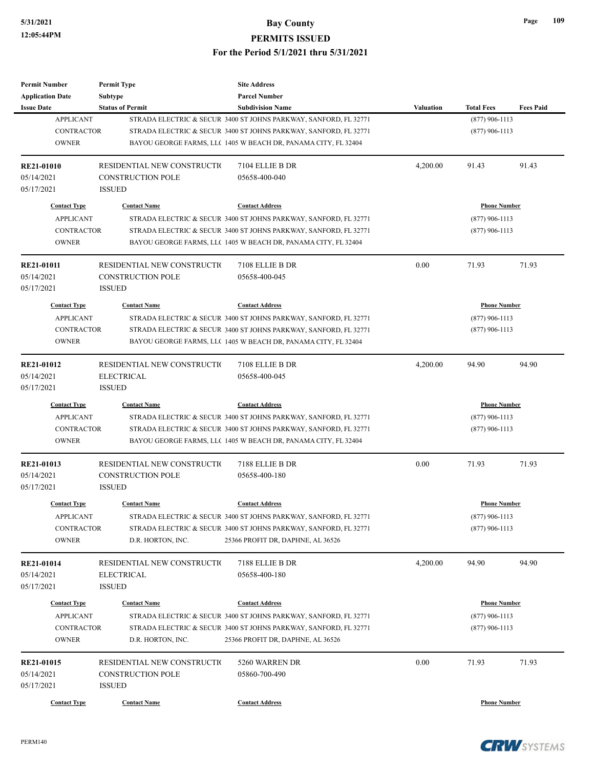| <b>Permit Number</b><br><b>Application Date</b> | <b>Permit Type</b><br>Subtype | <b>Site Address</b><br><b>Parcel Number</b>                      |                  |                     |                  |
|-------------------------------------------------|-------------------------------|------------------------------------------------------------------|------------------|---------------------|------------------|
| <b>Issue Date</b>                               | <b>Status of Permit</b>       | <b>Subdivision Name</b>                                          | <b>Valuation</b> | <b>Total Fees</b>   | <b>Fees Paid</b> |
| <b>APPLICANT</b>                                |                               | STRADA ELECTRIC & SECUR 3400 ST JOHNS PARKWAY, SANFORD, FL 32771 |                  | $(877)$ 906-1113    |                  |
| <b>CONTRACTOR</b>                               |                               | STRADA ELECTRIC & SECUR 3400 ST JOHNS PARKWAY, SANFORD, FL 32771 |                  | $(877)$ 906-1113    |                  |
| <b>OWNER</b>                                    |                               | BAYOU GEORGE FARMS, LLC 1405 W BEACH DR, PANAMA CITY, FL 32404   |                  |                     |                  |
| RE21-01010                                      | RESIDENTIAL NEW CONSTRUCTIO   | 7104 ELLIE B DR                                                  | 4,200.00         | 91.43               | 91.43            |
| 05/14/2021                                      | <b>CONSTRUCTION POLE</b>      | 05658-400-040                                                    |                  |                     |                  |
| 05/17/2021                                      | <b>ISSUED</b>                 |                                                                  |                  |                     |                  |
| <b>Contact Type</b>                             | <b>Contact Name</b>           | <b>Contact Address</b>                                           |                  | <b>Phone Number</b> |                  |
| <b>APPLICANT</b>                                |                               | STRADA ELECTRIC & SECUR 3400 ST JOHNS PARKWAY, SANFORD, FL 32771 |                  | $(877)$ 906-1113    |                  |
| <b>CONTRACTOR</b>                               |                               | STRADA ELECTRIC & SECUR 3400 ST JOHNS PARKWAY, SANFORD, FL 32771 |                  | $(877)$ 906-1113    |                  |
| <b>OWNER</b>                                    |                               | BAYOU GEORGE FARMS, LLC 1405 W BEACH DR, PANAMA CITY, FL 32404   |                  |                     |                  |
| <b>RE21-01011</b>                               | RESIDENTIAL NEW CONSTRUCTIO   | 7108 ELLIE B DR                                                  | 0.00             | 71.93               | 71.93            |
| 05/14/2021                                      | <b>CONSTRUCTION POLE</b>      | 05658-400-045                                                    |                  |                     |                  |
| 05/17/2021                                      | <b>ISSUED</b>                 |                                                                  |                  |                     |                  |
| <b>Contact Type</b>                             | <b>Contact Name</b>           | <b>Contact Address</b>                                           |                  | <b>Phone Number</b> |                  |
| <b>APPLICANT</b>                                |                               | STRADA ELECTRIC & SECUR 3400 ST JOHNS PARKWAY, SANFORD, FL 32771 |                  | $(877)$ 906-1113    |                  |
| <b>CONTRACTOR</b>                               |                               | STRADA ELECTRIC & SECUR 3400 ST JOHNS PARKWAY, SANFORD, FL 32771 |                  | $(877)$ 906-1113    |                  |
| <b>OWNER</b>                                    |                               | BAYOU GEORGE FARMS, LLC 1405 W BEACH DR, PANAMA CITY, FL 32404   |                  |                     |                  |
| RE21-01012                                      | RESIDENTIAL NEW CONSTRUCTIO   | 7108 ELLIE B DR                                                  | 4,200.00         | 94.90               | 94.90            |
| 05/14/2021                                      | <b>ELECTRICAL</b>             | 05658-400-045                                                    |                  |                     |                  |
| 05/17/2021                                      | <b>ISSUED</b>                 |                                                                  |                  |                     |                  |
| <b>Contact Type</b>                             | <b>Contact Name</b>           | <b>Contact Address</b>                                           |                  | <b>Phone Number</b> |                  |
| <b>APPLICANT</b>                                |                               | STRADA ELECTRIC & SECUR 3400 ST JOHNS PARKWAY, SANFORD, FL 32771 |                  | $(877)$ 906-1113    |                  |
| <b>CONTRACTOR</b>                               |                               | STRADA ELECTRIC & SECUR 3400 ST JOHNS PARKWAY, SANFORD, FL 32771 |                  | $(877)$ 906-1113    |                  |
| <b>OWNER</b>                                    |                               | BAYOU GEORGE FARMS, LLC 1405 W BEACH DR, PANAMA CITY, FL 32404   |                  |                     |                  |
| RE21-01013                                      | RESIDENTIAL NEW CONSTRUCTIO   | 7188 ELLIE B DR                                                  | 0.00             | 71.93               | 71.93            |
| 05/14/2021                                      | <b>CONSTRUCTION POLE</b>      | 05658-400-180                                                    |                  |                     |                  |
| 05/17/2021                                      | <b>ISSUED</b>                 |                                                                  |                  |                     |                  |
| <b>Contact Type</b>                             | <b>Contact Name</b>           | <b>Contact Address</b>                                           |                  | <b>Phone Number</b> |                  |
| <b>APPLICANT</b>                                |                               | STRADA ELECTRIC & SECUR 3400 ST JOHNS PARKWAY, SANFORD, FL 32771 |                  | $(877)$ 906-1113    |                  |
| <b>CONTRACTOR</b>                               |                               | STRADA ELECTRIC & SECUR 3400 ST JOHNS PARKWAY, SANFORD, FL 32771 |                  | $(877)$ 906-1113    |                  |
| <b>OWNER</b>                                    | D.R. HORTON, INC.             | 25366 PROFIT DR, DAPHNE, AL 36526                                |                  |                     |                  |
| RE21-01014                                      | RESIDENTIAL NEW CONSTRUCTIO   | 7188 ELLIE B DR                                                  | 4,200.00         | 94.90               | 94.90            |
| 05/14/2021                                      | ELECTRICAL                    | 05658-400-180                                                    |                  |                     |                  |
| 05/17/2021                                      | <b>ISSUED</b>                 |                                                                  |                  |                     |                  |
| <b>Contact Type</b>                             | <b>Contact Name</b>           | <b>Contact Address</b>                                           |                  | <b>Phone Number</b> |                  |
| <b>APPLICANT</b>                                |                               | STRADA ELECTRIC & SECUR 3400 ST JOHNS PARKWAY, SANFORD, FL 32771 |                  | $(877)$ 906-1113    |                  |
| <b>CONTRACTOR</b>                               |                               | STRADA ELECTRIC & SECUR 3400 ST JOHNS PARKWAY, SANFORD, FL 32771 |                  | $(877)$ 906-1113    |                  |
| <b>OWNER</b>                                    | D.R. HORTON, INC.             | 25366 PROFIT DR, DAPHNE, AL 36526                                |                  |                     |                  |
| RE21-01015                                      | RESIDENTIAL NEW CONSTRUCTIO   | 5260 WARREN DR                                                   | 0.00             | 71.93               | 71.93            |
| 05/14/2021                                      | <b>CONSTRUCTION POLE</b>      | 05860-700-490                                                    |                  |                     |                  |
| 05/17/2021                                      | <b>ISSUED</b>                 |                                                                  |                  |                     |                  |
| <b>Contact Type</b>                             | <b>Contact Name</b>           | <b>Contact Address</b>                                           |                  | <b>Phone Number</b> |                  |
|                                                 |                               |                                                                  |                  |                     |                  |



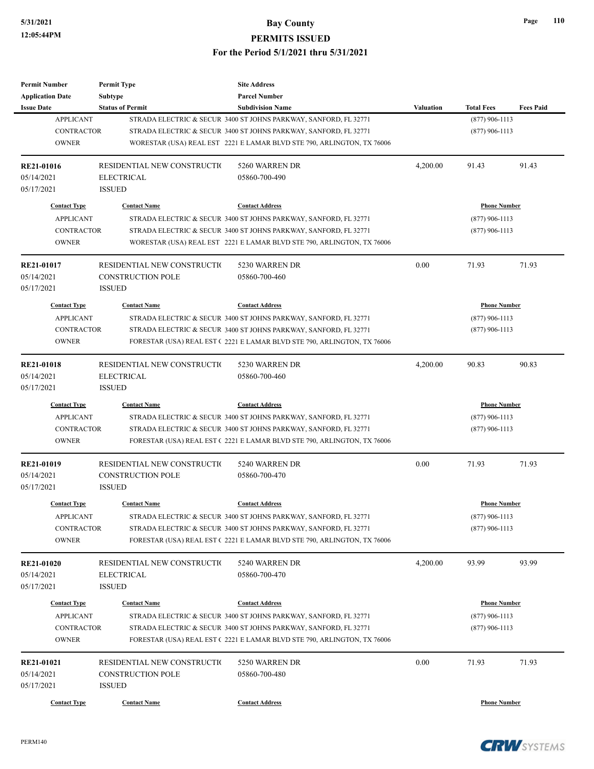| <b>Permit Number</b>     | <b>Permit Type</b>                 | <b>Site Address</b>                                                     |                  |                     |                  |
|--------------------------|------------------------------------|-------------------------------------------------------------------------|------------------|---------------------|------------------|
| <b>Application Date</b>  | Subtype                            | <b>Parcel Number</b>                                                    |                  |                     |                  |
| <b>Issue Date</b>        | <b>Status of Permit</b>            | <b>Subdivision Name</b>                                                 | <b>Valuation</b> | <b>Total Fees</b>   | <b>Fees Paid</b> |
| <b>APPLICANT</b>         |                                    | STRADA ELECTRIC & SECUR 3400 ST JOHNS PARKWAY, SANFORD, FL 32771        |                  | $(877)$ 906-1113    |                  |
| <b>CONTRACTOR</b>        |                                    | STRADA ELECTRIC & SECUR 3400 ST JOHNS PARKWAY, SANFORD, FL 32771        |                  | $(877)$ 906-1113    |                  |
| <b>OWNER</b>             |                                    | WORESTAR (USA) REAL EST 2221 E LAMAR BLVD STE 790, ARLINGTON, TX 76006  |                  |                     |                  |
| <b>RE21-01016</b>        | RESIDENTIAL NEW CONSTRUCTIO        | 5260 WARREN DR                                                          | 4,200.00         | 91.43               | 91.43            |
| 05/14/2021               | <b>ELECTRICAL</b>                  | 05860-700-490                                                           |                  |                     |                  |
| 05/17/2021               | <b>ISSUED</b>                      |                                                                         |                  |                     |                  |
| <b>Contact Type</b>      | <b>Contact Name</b>                | <b>Contact Address</b>                                                  |                  | <b>Phone Number</b> |                  |
| <b>APPLICANT</b>         |                                    | STRADA ELECTRIC & SECUR 3400 ST JOHNS PARKWAY, SANFORD, FL 32771        |                  | $(877)$ 906-1113    |                  |
| <b>CONTRACTOR</b>        |                                    | STRADA ELECTRIC & SECUR 3400 ST JOHNS PARKWAY, SANFORD, FL 32771        |                  | $(877)$ 906-1113    |                  |
| <b>OWNER</b>             |                                    | WORESTAR (USA) REAL EST 2221 E LAMAR BLVD STE 790, ARLINGTON, TX 76006  |                  |                     |                  |
| RE21-01017               | RESIDENTIAL NEW CONSTRUCTIO        | 5230 WARREN DR                                                          | 0.00             | 71.93               | 71.93            |
| 05/14/2021               | <b>CONSTRUCTION POLE</b>           | 05860-700-460                                                           |                  |                     |                  |
| 05/17/2021               | <b>ISSUED</b>                      |                                                                         |                  |                     |                  |
| <b>Contact Type</b>      | <b>Contact Name</b>                | <b>Contact Address</b>                                                  |                  | <b>Phone Number</b> |                  |
| <b>APPLICANT</b>         |                                    | STRADA ELECTRIC & SECUR 3400 ST JOHNS PARKWAY, SANFORD, FL 32771        |                  | $(877)$ 906-1113    |                  |
| <b>CONTRACTOR</b>        |                                    | STRADA ELECTRIC & SECUR 3400 ST JOHNS PARKWAY, SANFORD, FL 32771        |                  | $(877)$ 906-1113    |                  |
| <b>OWNER</b>             |                                    | FORESTAR (USA) REAL EST (2221 E LAMAR BLVD STE 790, ARLINGTON, TX 76006 |                  |                     |                  |
|                          |                                    |                                                                         |                  |                     |                  |
| <b>RE21-01018</b>        | RESIDENTIAL NEW CONSTRUCTIO        | 5230 WARREN DR                                                          | 4,200.00         | 90.83               | 90.83            |
| 05/14/2021<br>05/17/2021 | <b>ELECTRICAL</b><br><b>ISSUED</b> | 05860-700-460                                                           |                  |                     |                  |
|                          |                                    |                                                                         |                  |                     |                  |
| <b>Contact Type</b>      | <b>Contact Name</b>                | <b>Contact Address</b>                                                  |                  | <b>Phone Number</b> |                  |
| <b>APPLICANT</b>         |                                    | STRADA ELECTRIC & SECUR 3400 ST JOHNS PARKWAY, SANFORD, FL 32771        |                  | $(877)$ 906-1113    |                  |
| <b>CONTRACTOR</b>        |                                    | STRADA ELECTRIC & SECUR 3400 ST JOHNS PARKWAY, SANFORD, FL 32771        |                  | $(877)$ 906-1113    |                  |
| <b>OWNER</b>             |                                    | FORESTAR (USA) REAL EST (2221 E LAMAR BLVD STE 790, ARLINGTON, TX 76006 |                  |                     |                  |
| RE21-01019               | RESIDENTIAL NEW CONSTRUCTIO        | 5240 WARREN DR                                                          | 0.00             | 71.93               | 71.93            |
| 05/14/2021               | <b>CONSTRUCTION POLE</b>           | 05860-700-470                                                           |                  |                     |                  |
| 05/17/2021               | <b>ISSUED</b>                      |                                                                         |                  |                     |                  |
| <b>Contact Type</b>      | <b>Contact Name</b>                | <b>Contact Address</b>                                                  |                  | <b>Phone Number</b> |                  |
| <b>APPLICANT</b>         |                                    | STRADA ELECTRIC & SECUR 3400 ST JOHNS PARKWAY, SANFORD, FL 32771        |                  | $(877)$ 906-1113    |                  |
| <b>CONTRACTOR</b>        |                                    | STRADA ELECTRIC & SECUR 3400 ST JOHNS PARKWAY, SANFORD, FL 32771        |                  | $(877)$ 906-1113    |                  |
| <b>OWNER</b>             |                                    | FORESTAR (USA) REAL EST (2221 E LAMAR BLVD STE 790, ARLINGTON, TX 76006 |                  |                     |                  |
| <b>RE21-01020</b>        | RESIDENTIAL NEW CONSTRUCTIO        | 5240 WARREN DR                                                          | 4,200.00         | 93.99               | 93.99            |
| 05/14/2021               | <b>ELECTRICAL</b>                  | 05860-700-470                                                           |                  |                     |                  |
| 05/17/2021               | <b>ISSUED</b>                      |                                                                         |                  |                     |                  |
| <b>Contact Type</b>      | <b>Contact Name</b>                | <b>Contact Address</b>                                                  |                  | <b>Phone Number</b> |                  |
| <b>APPLICANT</b>         |                                    | STRADA ELECTRIC & SECUR 3400 ST JOHNS PARKWAY, SANFORD, FL 32771        |                  | $(877)$ 906-1113    |                  |
| <b>CONTRACTOR</b>        |                                    | STRADA ELECTRIC & SECUR 3400 ST JOHNS PARKWAY, SANFORD, FL 32771        |                  | $(877)$ 906-1113    |                  |
| <b>OWNER</b>             |                                    | FORESTAR (USA) REAL EST (2221 E LAMAR BLVD STE 790, ARLINGTON, TX 76006 |                  |                     |                  |
| RE21-01021               | RESIDENTIAL NEW CONSTRUCTIO        | 5250 WARREN DR                                                          | 0.00             | 71.93               | 71.93            |
| 05/14/2021               | <b>CONSTRUCTION POLE</b>           | 05860-700-480                                                           |                  |                     |                  |
| 05/17/2021               | <b>ISSUED</b>                      |                                                                         |                  |                     |                  |
|                          |                                    |                                                                         |                  |                     |                  |
| <b>Contact Type</b>      | <b>Contact Name</b>                | <b>Contact Address</b>                                                  |                  | <b>Phone Number</b> |                  |

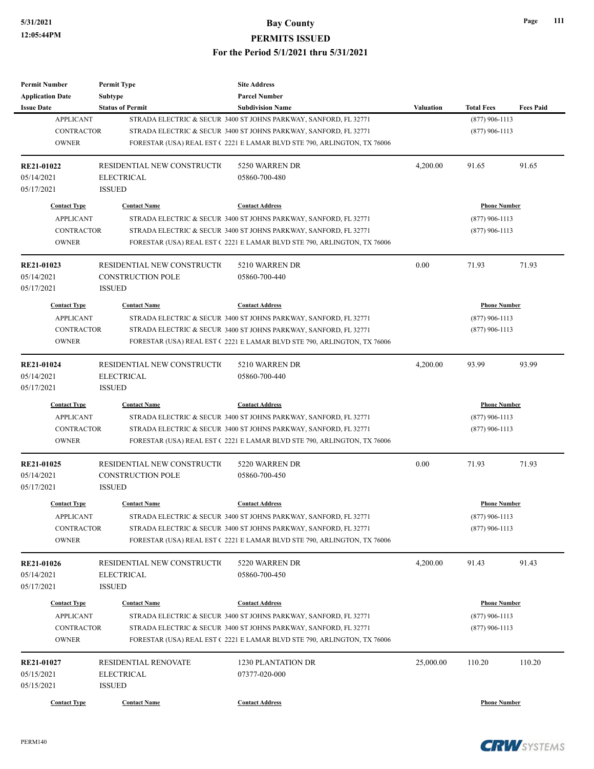| <b>Permit Number</b>                  | <b>Permit Type</b>          | <b>Site Address</b>                                                     |           |                                       |                  |
|---------------------------------------|-----------------------------|-------------------------------------------------------------------------|-----------|---------------------------------------|------------------|
| <b>Application Date</b>               | Subtype                     | <b>Parcel Number</b>                                                    |           |                                       |                  |
| <b>Issue Date</b><br><b>APPLICANT</b> | <b>Status of Permit</b>     | <b>Subdivision Name</b>                                                 | Valuation | <b>Total Fees</b><br>$(877)$ 906-1113 | <b>Fees Paid</b> |
|                                       |                             | STRADA ELECTRIC & SECUR 3400 ST JOHNS PARKWAY, SANFORD, FL 32771        |           |                                       |                  |
| <b>CONTRACTOR</b>                     |                             | STRADA ELECTRIC & SECUR 3400 ST JOHNS PARKWAY, SANFORD, FL 32771        |           | $(877)$ 906-1113                      |                  |
| <b>OWNER</b>                          |                             | FORESTAR (USA) REAL EST (2221 E LAMAR BLVD STE 790, ARLINGTON, TX 76006 |           |                                       |                  |
| RE21-01022                            | RESIDENTIAL NEW CONSTRUCTIO | 5250 WARREN DR                                                          | 4,200.00  | 91.65                                 | 91.65            |
| 05/14/2021                            | <b>ELECTRICAL</b>           | 05860-700-480                                                           |           |                                       |                  |
| 05/17/2021                            | <b>ISSUED</b>               |                                                                         |           |                                       |                  |
| <b>Contact Type</b>                   | <b>Contact Name</b>         | <b>Contact Address</b>                                                  |           | <b>Phone Number</b>                   |                  |
| <b>APPLICANT</b>                      |                             | STRADA ELECTRIC & SECUR 3400 ST JOHNS PARKWAY, SANFORD, FL 32771        |           | $(877)$ 906-1113                      |                  |
| <b>CONTRACTOR</b>                     |                             | STRADA ELECTRIC & SECUR 3400 ST JOHNS PARKWAY, SANFORD, FL 32771        |           | $(877)$ 906-1113                      |                  |
| <b>OWNER</b>                          |                             | FORESTAR (USA) REAL EST (2221 E LAMAR BLVD STE 790, ARLINGTON, TX 76006 |           |                                       |                  |
| RE21-01023                            | RESIDENTIAL NEW CONSTRUCTIO | 5210 WARREN DR                                                          | 0.00      | 71.93                                 | 71.93            |
| 05/14/2021                            | <b>CONSTRUCTION POLE</b>    | 05860-700-440                                                           |           |                                       |                  |
| 05/17/2021                            | <b>ISSUED</b>               |                                                                         |           |                                       |                  |
| <b>Contact Type</b>                   | <b>Contact Name</b>         | <b>Contact Address</b>                                                  |           | <b>Phone Number</b>                   |                  |
| <b>APPLICANT</b>                      |                             | STRADA ELECTRIC & SECUR 3400 ST JOHNS PARKWAY, SANFORD, FL 32771        |           | $(877)$ 906-1113                      |                  |
| <b>CONTRACTOR</b>                     |                             | STRADA ELECTRIC & SECUR 3400 ST JOHNS PARKWAY, SANFORD, FL 32771        |           | $(877)$ 906-1113                      |                  |
| <b>OWNER</b>                          |                             | FORESTAR (USA) REAL EST (2221 E LAMAR BLVD STE 790, ARLINGTON, TX 76006 |           |                                       |                  |
|                                       |                             |                                                                         |           |                                       |                  |
| RE21-01024                            | RESIDENTIAL NEW CONSTRUCTIO | 5210 WARREN DR                                                          | 4,200.00  | 93.99                                 | 93.99            |
| 05/14/2021                            | <b>ELECTRICAL</b>           | 05860-700-440                                                           |           |                                       |                  |
| 05/17/2021                            | <b>ISSUED</b>               |                                                                         |           |                                       |                  |
| <b>Contact Type</b>                   | <b>Contact Name</b>         | <b>Contact Address</b>                                                  |           | <b>Phone Number</b>                   |                  |
| <b>APPLICANT</b>                      |                             | STRADA ELECTRIC & SECUR 3400 ST JOHNS PARKWAY, SANFORD, FL 32771        |           | $(877)$ 906-1113                      |                  |
| <b>CONTRACTOR</b>                     |                             | STRADA ELECTRIC & SECUR 3400 ST JOHNS PARKWAY, SANFORD, FL 32771        |           | $(877)$ 906-1113                      |                  |
| <b>OWNER</b>                          |                             | FORESTAR (USA) REAL EST (2221 E LAMAR BLVD STE 790, ARLINGTON, TX 76006 |           |                                       |                  |
| RE21-01025                            | RESIDENTIAL NEW CONSTRUCTIO | 5220 WARREN DR                                                          | 0.00      | 71.93                                 | 71.93            |
| 05/14/2021                            | <b>CONSTRUCTION POLE</b>    | 05860-700-450                                                           |           |                                       |                  |
| 05/17/2021                            | <b>ISSUED</b>               |                                                                         |           |                                       |                  |
| <b>Contact Type</b>                   | <b>Contact Name</b>         | <b>Contact Address</b>                                                  |           | <b>Phone Number</b>                   |                  |
| APPLICANT                             |                             | STRADA ELECTRIC & SECUR 3400 ST JOHNS PARKWAY, SANFORD, FL 32771        |           | $(877)$ 906-1113                      |                  |
| CONTRACTOR                            |                             | STRADA ELECTRIC & SECUR 3400 ST JOHNS PARKWAY, SANFORD, FL 32771        |           | $(877)$ 906-1113                      |                  |
| <b>OWNER</b>                          |                             | FORESTAR (USA) REAL EST (2221 E LAMAR BLVD STE 790, ARLINGTON, TX 76006 |           |                                       |                  |
|                                       |                             |                                                                         |           |                                       |                  |
| <b>RE21-01026</b>                     | RESIDENTIAL NEW CONSTRUCTIO | 5220 WARREN DR                                                          | 4,200.00  | 91.43                                 | 91.43            |
| 05/14/2021                            | <b>ELECTRICAL</b>           | 05860-700-450                                                           |           |                                       |                  |
| 05/17/2021                            | <b>ISSUED</b>               |                                                                         |           |                                       |                  |
| <b>Contact Type</b>                   | <b>Contact Name</b>         | <b>Contact Address</b>                                                  |           | <b>Phone Number</b>                   |                  |
| <b>APPLICANT</b>                      |                             | STRADA ELECTRIC & SECUR 3400 ST JOHNS PARKWAY, SANFORD, FL 32771        |           | $(877)$ 906-1113                      |                  |
| <b>CONTRACTOR</b>                     |                             | STRADA ELECTRIC & SECUR 3400 ST JOHNS PARKWAY, SANFORD, FL 32771        |           | $(877)$ 906-1113                      |                  |
| <b>OWNER</b>                          |                             | FORESTAR (USA) REAL EST (2221 E LAMAR BLVD STE 790, ARLINGTON, TX 76006 |           |                                       |                  |
| RE21-01027                            | RESIDENTIAL RENOVATE        | 1230 PLANTATION DR                                                      | 25,000.00 | 110.20                                | 110.20           |
| 05/15/2021                            | <b>ELECTRICAL</b>           | 07377-020-000                                                           |           |                                       |                  |
| 05/15/2021                            | <b>ISSUED</b>               |                                                                         |           |                                       |                  |
|                                       |                             |                                                                         |           |                                       |                  |
| <b>Contact Type</b>                   | <b>Contact Name</b>         | <b>Contact Address</b>                                                  |           | <b>Phone Number</b>                   |                  |

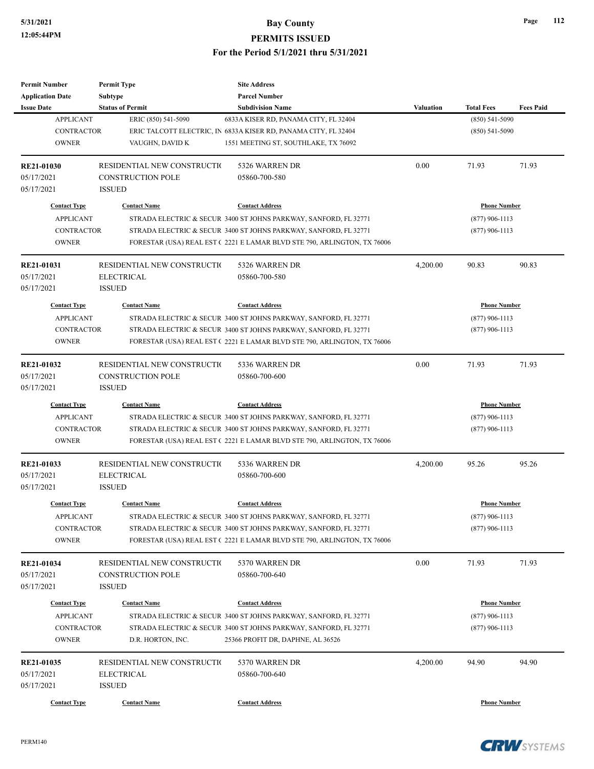| <b>Permit Number</b>    | <b>Permit Type</b>          | <b>Site Address</b>                                                     |                  |                     |                  |
|-------------------------|-----------------------------|-------------------------------------------------------------------------|------------------|---------------------|------------------|
| <b>Application Date</b> | Subtype                     | <b>Parcel Number</b>                                                    |                  |                     |                  |
| <b>Issue Date</b>       | <b>Status of Permit</b>     | <b>Subdivision Name</b>                                                 | <b>Valuation</b> | <b>Total Fees</b>   | <b>Fees Paid</b> |
| <b>APPLICANT</b>        | ERIC (850) 541-5090         | 6833A KISER RD, PANAMA CITY, FL 32404                                   |                  | $(850) 541 - 5090$  |                  |
| <b>CONTRACTOR</b>       |                             | ERIC TALCOTT ELECTRIC, IN 6833A KISER RD, PANAMA CITY, FL 32404         |                  | $(850) 541 - 5090$  |                  |
| <b>OWNER</b>            | VAUGHN, DAVID K             | 1551 MEETING ST, SOUTHLAKE, TX 76092                                    |                  |                     |                  |
| RE21-01030              | RESIDENTIAL NEW CONSTRUCTIO | 5326 WARREN DR                                                          | 0.00             | 71.93               | 71.93            |
| 05/17/2021              | CONSTRUCTION POLE           | 05860-700-580                                                           |                  |                     |                  |
| 05/17/2021              | <b>ISSUED</b>               |                                                                         |                  |                     |                  |
|                         |                             |                                                                         |                  |                     |                  |
| <b>Contact Type</b>     | <b>Contact Name</b>         | <b>Contact Address</b>                                                  |                  | <b>Phone Number</b> |                  |
| <b>APPLICANT</b>        |                             | STRADA ELECTRIC & SECUR 3400 ST JOHNS PARKWAY, SANFORD, FL 32771        |                  | $(877)$ 906-1113    |                  |
| <b>CONTRACTOR</b>       |                             | STRADA ELECTRIC & SECUR 3400 ST JOHNS PARKWAY, SANFORD, FL 32771        |                  | $(877)$ 906-1113    |                  |
| <b>OWNER</b>            |                             | FORESTAR (USA) REAL EST (2221 E LAMAR BLVD STE 790, ARLINGTON, TX 76006 |                  |                     |                  |
| RE21-01031              | RESIDENTIAL NEW CONSTRUCTIO | 5326 WARREN DR                                                          | 4,200.00         | 90.83               | 90.83            |
| 05/17/2021              | <b>ELECTRICAL</b>           | 05860-700-580                                                           |                  |                     |                  |
| 05/17/2021              | <b>ISSUED</b>               |                                                                         |                  |                     |                  |
| <b>Contact Type</b>     | <b>Contact Name</b>         | <b>Contact Address</b>                                                  |                  | <b>Phone Number</b> |                  |
| <b>APPLICANT</b>        |                             | STRADA ELECTRIC & SECUR 3400 ST JOHNS PARKWAY, SANFORD, FL 32771        |                  | $(877)$ 906-1113    |                  |
| <b>CONTRACTOR</b>       |                             | STRADA ELECTRIC & SECUR 3400 ST JOHNS PARKWAY, SANFORD, FL 32771        |                  | $(877)$ 906-1113    |                  |
| <b>OWNER</b>            |                             | FORESTAR (USA) REAL EST (2221 E LAMAR BLVD STE 790, ARLINGTON, TX 76006 |                  |                     |                  |
|                         |                             |                                                                         |                  |                     |                  |
| RE21-01032              | RESIDENTIAL NEW CONSTRUCTIO | 5336 WARREN DR                                                          | 0.00             | 71.93               | 71.93            |
| 05/17/2021              | <b>CONSTRUCTION POLE</b>    | 05860-700-600                                                           |                  |                     |                  |
| 05/17/2021              | <b>ISSUED</b>               |                                                                         |                  |                     |                  |
| <b>Contact Type</b>     | <b>Contact Name</b>         | <b>Contact Address</b>                                                  |                  | <b>Phone Number</b> |                  |
| <b>APPLICANT</b>        |                             | STRADA ELECTRIC & SECUR 3400 ST JOHNS PARKWAY, SANFORD, FL 32771        |                  | $(877)$ 906-1113    |                  |
| <b>CONTRACTOR</b>       |                             | STRADA ELECTRIC & SECUR 3400 ST JOHNS PARKWAY, SANFORD, FL 32771        |                  | $(877)$ 906-1113    |                  |
| <b>OWNER</b>            |                             | FORESTAR (USA) REAL EST (2221 E LAMAR BLVD STE 790, ARLINGTON, TX 76006 |                  |                     |                  |
| RE21-01033              | RESIDENTIAL NEW CONSTRUCTIO | 5336 WARREN DR                                                          | 4,200.00         | 95.26               | 95.26            |
| 05/17/2021              | <b>ELECTRICAL</b>           | 05860-700-600                                                           |                  |                     |                  |
| 05/17/2021              | <b>ISSUED</b>               |                                                                         |                  |                     |                  |
|                         |                             |                                                                         |                  |                     |                  |
| <b>Contact Type</b>     | <b>Contact Name</b>         | <b>Contact Address</b>                                                  |                  | <b>Phone Number</b> |                  |
| <b>APPLICANT</b>        |                             | STRADA ELECTRIC & SECUR 3400 ST JOHNS PARKWAY, SANFORD, FL 32771        |                  | $(877)$ 906-1113    |                  |
| <b>CONTRACTOR</b>       |                             | STRADA ELECTRIC & SECUR 3400 ST JOHNS PARKWAY, SANFORD, FL 32771        |                  | $(877)$ 906-1113    |                  |
| <b>OWNER</b>            |                             | FORESTAR (USA) REAL EST (2221 E LAMAR BLVD STE 790, ARLINGTON, TX 76006 |                  |                     |                  |
| RE21-01034              | RESIDENTIAL NEW CONSTRUCTIO | 5370 WARREN DR                                                          | 0.00             | 71.93               | 71.93            |
| 05/17/2021              | <b>CONSTRUCTION POLE</b>    | 05860-700-640                                                           |                  |                     |                  |
| 05/17/2021              | <b>ISSUED</b>               |                                                                         |                  |                     |                  |
|                         |                             | <b>Contact Address</b>                                                  |                  | <b>Phone Number</b> |                  |
| <b>Contact Type</b>     | <b>Contact Name</b>         |                                                                         |                  |                     |                  |
| <b>APPLICANT</b>        |                             | STRADA ELECTRIC & SECUR 3400 ST JOHNS PARKWAY, SANFORD, FL 32771        |                  | $(877)$ 906-1113    |                  |
| <b>CONTRACTOR</b>       |                             | STRADA ELECTRIC & SECUR 3400 ST JOHNS PARKWAY, SANFORD, FL 32771        |                  | $(877)$ 906-1113    |                  |
| <b>OWNER</b>            | D.R. HORTON, INC.           | 25366 PROFIT DR, DAPHNE, AL 36526                                       |                  |                     |                  |
| RE21-01035              | RESIDENTIAL NEW CONSTRUCTIO | 5370 WARREN DR                                                          | 4,200.00         | 94.90               | 94.90            |
| 05/17/2021              | <b>ELECTRICAL</b>           | 05860-700-640                                                           |                  |                     |                  |
| 05/17/2021              | <b>ISSUED</b>               |                                                                         |                  |                     |                  |
|                         |                             |                                                                         |                  |                     |                  |
| <b>Contact Type</b>     | <b>Contact Name</b>         | <b>Contact Address</b>                                                  |                  | <b>Phone Number</b> |                  |



**Page 112**

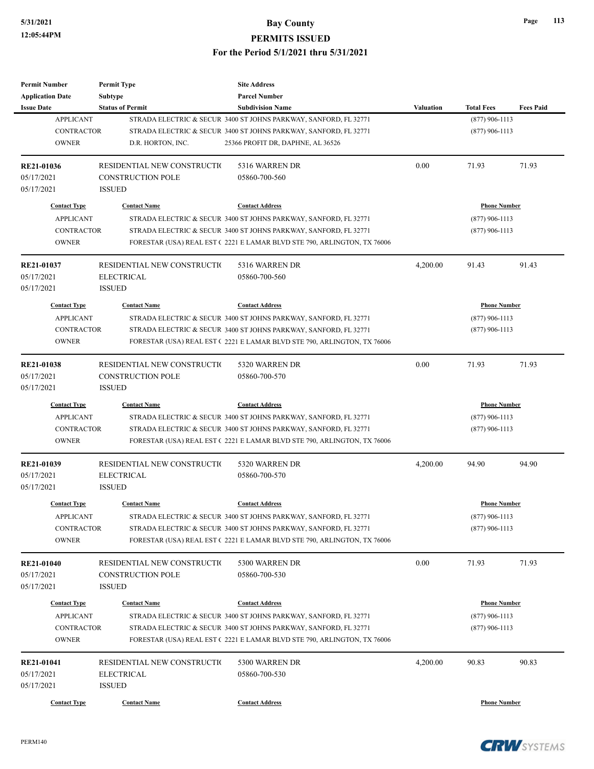| <b>Permit Number</b>    | <b>Permit Type</b>           | <b>Site Address</b>                                                     |                  |                     |                  |
|-------------------------|------------------------------|-------------------------------------------------------------------------|------------------|---------------------|------------------|
| <b>Application Date</b> | <b>Subtype</b>               | <b>Parcel Number</b>                                                    |                  |                     |                  |
| <b>Issue Date</b>       | <b>Status of Permit</b>      | <b>Subdivision Name</b>                                                 | <b>Valuation</b> | <b>Total Fees</b>   | <b>Fees Paid</b> |
| <b>APPLICANT</b>        |                              | STRADA ELECTRIC & SECUR 3400 ST JOHNS PARKWAY, SANFORD, FL 32771        |                  | $(877)$ 906-1113    |                  |
| <b>CONTRACTOR</b>       |                              | STRADA ELECTRIC & SECUR 3400 ST JOHNS PARKWAY, SANFORD, FL 32771        |                  | $(877)$ 906-1113    |                  |
| <b>OWNER</b>            | D.R. HORTON, INC.            | 25366 PROFIT DR, DAPHNE, AL 36526                                       |                  |                     |                  |
| RE21-01036              | RESIDENTIAL NEW CONSTRUCTIO  | 5316 WARREN DR                                                          | 0.00             | 71.93               | 71.93            |
| 05/17/2021              | <b>CONSTRUCTION POLE</b>     | 05860-700-560                                                           |                  |                     |                  |
| 05/17/2021              | <b>ISSUED</b>                |                                                                         |                  |                     |                  |
| <b>Contact Type</b>     | <b>Contact Name</b>          | <b>Contact Address</b>                                                  |                  | <b>Phone Number</b> |                  |
| <b>APPLICANT</b>        |                              | STRADA ELECTRIC & SECUR 3400 ST JOHNS PARKWAY, SANFORD, FL 32771        |                  | $(877)$ 906-1113    |                  |
| <b>CONTRACTOR</b>       |                              | STRADA ELECTRIC & SECUR 3400 ST JOHNS PARKWAY, SANFORD, FL 32771        |                  | $(877)$ 906-1113    |                  |
| <b>OWNER</b>            |                              | FORESTAR (USA) REAL EST (2221 E LAMAR BLVD STE 790, ARLINGTON, TX 76006 |                  |                     |                  |
| RE21-01037              | RESIDENTIAL NEW CONSTRUCTION | 5316 WARREN DR                                                          | 4,200.00         | 91.43               | 91.43            |
| 05/17/2021              | <b>ELECTRICAL</b>            | 05860-700-560                                                           |                  |                     |                  |
| 05/17/2021              | <b>ISSUED</b>                |                                                                         |                  |                     |                  |
| <b>Contact Type</b>     | <b>Contact Name</b>          | <b>Contact Address</b>                                                  |                  | <b>Phone Number</b> |                  |
| <b>APPLICANT</b>        |                              | STRADA ELECTRIC & SECUR 3400 ST JOHNS PARKWAY, SANFORD, FL 32771        |                  | $(877)$ 906-1113    |                  |
| <b>CONTRACTOR</b>       |                              | STRADA ELECTRIC & SECUR 3400 ST JOHNS PARKWAY, SANFORD, FL 32771        |                  | $(877)$ 906-1113    |                  |
| <b>OWNER</b>            |                              | FORESTAR (USA) REAL EST (2221 E LAMAR BLVD STE 790, ARLINGTON, TX 76006 |                  |                     |                  |
|                         |                              |                                                                         |                  |                     |                  |
| <b>RE21-01038</b>       | RESIDENTIAL NEW CONSTRUCTIO  | 5320 WARREN DR                                                          | 0.00             | 71.93               | 71.93            |
| 05/17/2021              | <b>CONSTRUCTION POLE</b>     | 05860-700-570                                                           |                  |                     |                  |
| 05/17/2021              | <b>ISSUED</b>                |                                                                         |                  |                     |                  |
| <b>Contact Type</b>     | <b>Contact Name</b>          | <b>Contact Address</b>                                                  |                  | <b>Phone Number</b> |                  |
| <b>APPLICANT</b>        |                              | STRADA ELECTRIC & SECUR 3400 ST JOHNS PARKWAY, SANFORD, FL 32771        |                  | $(877)$ 906-1113    |                  |
| <b>CONTRACTOR</b>       |                              | STRADA ELECTRIC & SECUR 3400 ST JOHNS PARKWAY, SANFORD, FL 32771        |                  | $(877)$ 906-1113    |                  |
| <b>OWNER</b>            |                              | FORESTAR (USA) REAL EST (2221 E LAMAR BLVD STE 790, ARLINGTON, TX 76006 |                  |                     |                  |
| RE21-01039              | RESIDENTIAL NEW CONSTRUCTIO  | 5320 WARREN DR                                                          | 4,200.00         | 94.90               | 94.90            |
| 05/17/2021              | <b>ELECTRICAL</b>            | 05860-700-570                                                           |                  |                     |                  |
| 05/17/2021              | <b>ISSUED</b>                |                                                                         |                  |                     |                  |
| <b>Contact Type</b>     | <b>Contact Name</b>          | <b>Contact Address</b>                                                  |                  | <b>Phone Number</b> |                  |
| <b>APPLICANT</b>        |                              | STRADA ELECTRIC & SECUR 3400 ST JOHNS PARKWAY, SANFORD, FL 32771        |                  | $(877)$ 906-1113    |                  |
| <b>CONTRACTOR</b>       |                              | STRADA ELECTRIC & SECUR 3400 ST JOHNS PARKWAY, SANFORD, FL 32771        |                  | $(877)$ 906-1113    |                  |
| <b>OWNER</b>            |                              | FORESTAR (USA) REAL EST (2221 E LAMAR BLVD STE 790, ARLINGTON, TX 76006 |                  |                     |                  |
| <b>RE21-01040</b>       | RESIDENTIAL NEW CONSTRUCTIO  | 5300 WARREN DR                                                          | 0.00             | 71.93               | 71.93            |
| 05/17/2021              | <b>CONSTRUCTION POLE</b>     | 05860-700-530                                                           |                  |                     |                  |
| 05/17/2021              | <b>ISSUED</b>                |                                                                         |                  |                     |                  |
|                         |                              |                                                                         |                  |                     |                  |
| <b>Contact Type</b>     | <b>Contact Name</b>          | <b>Contact Address</b>                                                  |                  | <b>Phone Number</b> |                  |
| <b>APPLICANT</b>        |                              | STRADA ELECTRIC & SECUR 3400 ST JOHNS PARKWAY, SANFORD, FL 32771        |                  | $(877)$ 906-1113    |                  |
| CONTRACTOR              |                              | STRADA ELECTRIC & SECUR 3400 ST JOHNS PARKWAY, SANFORD, FL 32771        |                  | $(877)$ 906-1113    |                  |
| <b>OWNER</b>            |                              | FORESTAR (USA) REAL EST (2221 E LAMAR BLVD STE 790, ARLINGTON, TX 76006 |                  |                     |                  |
| RE21-01041              | RESIDENTIAL NEW CONSTRUCTIO  | 5300 WARREN DR                                                          | 4,200.00         | 90.83               | 90.83            |
| 05/17/2021              | <b>ELECTRICAL</b>            | 05860-700-530                                                           |                  |                     |                  |
| 05/17/2021              | <b>ISSUED</b>                |                                                                         |                  |                     |                  |
| <b>Contact Type</b>     | <b>Contact Name</b>          | <b>Contact Address</b>                                                  |                  | <b>Phone Number</b> |                  |
|                         |                              |                                                                         |                  |                     |                  |

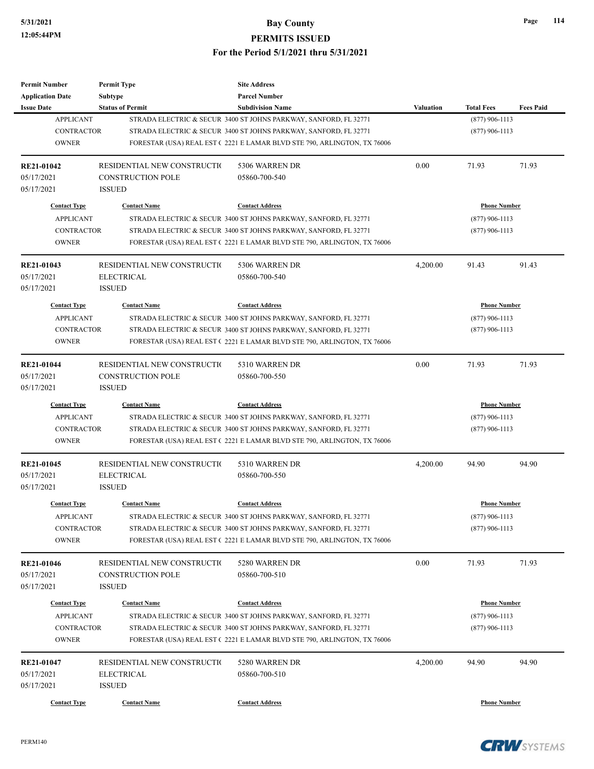| Permit Number           | <b>Permit Type</b>          | <b>Site Address</b>                                                     |           |                     |                  |
|-------------------------|-----------------------------|-------------------------------------------------------------------------|-----------|---------------------|------------------|
| <b>Application Date</b> | Subtype                     | <b>Parcel Number</b>                                                    |           |                     |                  |
| <b>Issue Date</b>       | <b>Status of Permit</b>     | <b>Subdivision Name</b>                                                 | Valuation | <b>Total Fees</b>   | <b>Fees Paid</b> |
| <b>APPLICANT</b>        |                             | STRADA ELECTRIC & SECUR 3400 ST JOHNS PARKWAY, SANFORD, FL 32771        |           | $(877)$ 906-1113    |                  |
| <b>CONTRACTOR</b>       |                             | STRADA ELECTRIC & SECUR 3400 ST JOHNS PARKWAY, SANFORD, FL 32771        |           | $(877)$ 906-1113    |                  |
| <b>OWNER</b>            |                             | FORESTAR (USA) REAL EST (2221 E LAMAR BLVD STE 790, ARLINGTON, TX 76006 |           |                     |                  |
| RE21-01042              | RESIDENTIAL NEW CONSTRUCTIO | 5306 WARREN DR                                                          | 0.00      | 71.93               | 71.93            |
| 05/17/2021              | <b>CONSTRUCTION POLE</b>    | 05860-700-540                                                           |           |                     |                  |
| 05/17/2021              | <b>ISSUED</b>               |                                                                         |           |                     |                  |
| <b>Contact Type</b>     | <b>Contact Name</b>         | <b>Contact Address</b>                                                  |           | <b>Phone Number</b> |                  |
| <b>APPLICANT</b>        |                             | STRADA ELECTRIC & SECUR 3400 ST JOHNS PARKWAY, SANFORD, FL 32771        |           | $(877)$ 906-1113    |                  |
| <b>CONTRACTOR</b>       |                             | STRADA ELECTRIC & SECUR 3400 ST JOHNS PARKWAY, SANFORD, FL 32771        |           | $(877)$ 906-1113    |                  |
| <b>OWNER</b>            |                             | FORESTAR (USA) REAL EST (2221 E LAMAR BLVD STE 790, ARLINGTON, TX 76006 |           |                     |                  |
| RE21-01043              | RESIDENTIAL NEW CONSTRUCTIO | 5306 WARREN DR                                                          | 4,200.00  | 91.43               | 91.43            |
| 05/17/2021              | <b>ELECTRICAL</b>           | 05860-700-540                                                           |           |                     |                  |
| 05/17/2021              | <b>ISSUED</b>               |                                                                         |           |                     |                  |
| <b>Contact Type</b>     | <b>Contact Name</b>         | <b>Contact Address</b>                                                  |           | <b>Phone Number</b> |                  |
| <b>APPLICANT</b>        |                             | STRADA ELECTRIC & SECUR 3400 ST JOHNS PARKWAY, SANFORD, FL 32771        |           | $(877)$ 906-1113    |                  |
| <b>CONTRACTOR</b>       |                             | STRADA ELECTRIC & SECUR 3400 ST JOHNS PARKWAY, SANFORD, FL 32771        |           | $(877)$ 906-1113    |                  |
| <b>OWNER</b>            |                             | FORESTAR (USA) REAL EST (2221 E LAMAR BLVD STE 790, ARLINGTON, TX 76006 |           |                     |                  |
|                         |                             |                                                                         |           |                     |                  |
| RE21-01044              | RESIDENTIAL NEW CONSTRUCTIO | 5310 WARREN DR                                                          | 0.00      | 71.93               | 71.93            |
| 05/17/2021              | <b>CONSTRUCTION POLE</b>    | 05860-700-550                                                           |           |                     |                  |
| 05/17/2021              | <b>ISSUED</b>               |                                                                         |           |                     |                  |
| <b>Contact Type</b>     | <b>Contact Name</b>         | <b>Contact Address</b>                                                  |           | <b>Phone Number</b> |                  |
| <b>APPLICANT</b>        |                             | STRADA ELECTRIC & SECUR 3400 ST JOHNS PARKWAY, SANFORD, FL 32771        |           | $(877)$ 906-1113    |                  |
| <b>CONTRACTOR</b>       |                             | STRADA ELECTRIC & SECUR 3400 ST JOHNS PARKWAY, SANFORD, FL 32771        |           | $(877)$ 906-1113    |                  |
| <b>OWNER</b>            |                             | FORESTAR (USA) REAL EST (2221 E LAMAR BLVD STE 790, ARLINGTON, TX 76006 |           |                     |                  |
| RE21-01045              | RESIDENTIAL NEW CONSTRUCTIO | 5310 WARREN DR                                                          | 4,200.00  | 94.90               | 94.90            |
| 05/17/2021              | <b>ELECTRICAL</b>           | 05860-700-550                                                           |           |                     |                  |
| 05/17/2021              | <b>ISSUED</b>               |                                                                         |           |                     |                  |
| <b>Contact Type</b>     | <b>Contact Name</b>         | <b>Contact Address</b>                                                  |           | <b>Phone Number</b> |                  |
| APPLICANT               |                             | STRADA ELECTRIC & SECUR 3400 ST JOHNS PARKWAY, SANFORD, FL 32771        |           | $(877)$ 906-1113    |                  |
| CONTRACTOR              |                             | STRADA ELECTRIC & SECUR 3400 ST JOHNS PARKWAY, SANFORD, FL 32771        |           | $(877)$ 906-1113    |                  |
| <b>OWNER</b>            |                             | FORESTAR (USA) REAL EST (2221 E LAMAR BLVD STE 790, ARLINGTON, TX 76006 |           |                     |                  |
| <b>RE21-01046</b>       | RESIDENTIAL NEW CONSTRUCTIO | 5280 WARREN DR                                                          | 0.00      | 71.93               | 71.93            |
| 05/17/2021              | <b>CONSTRUCTION POLE</b>    | 05860-700-510                                                           |           |                     |                  |
| 05/17/2021              | <b>ISSUED</b>               |                                                                         |           |                     |                  |
|                         |                             |                                                                         |           |                     |                  |
| <b>Contact Type</b>     | <b>Contact Name</b>         | <b>Contact Address</b>                                                  |           | <b>Phone Number</b> |                  |
| <b>APPLICANT</b>        |                             | STRADA ELECTRIC & SECUR 3400 ST JOHNS PARKWAY, SANFORD, FL 32771        |           | $(877)$ 906-1113    |                  |
| <b>CONTRACTOR</b>       |                             | STRADA ELECTRIC & SECUR 3400 ST JOHNS PARKWAY, SANFORD, FL 32771        |           | $(877)$ 906-1113    |                  |
| <b>OWNER</b>            |                             | FORESTAR (USA) REAL EST (2221 E LAMAR BLVD STE 790, ARLINGTON, TX 76006 |           |                     |                  |
| RE21-01047              | RESIDENTIAL NEW CONSTRUCTIO | 5280 WARREN DR                                                          | 4,200.00  | 94.90               | 94.90            |
| 05/17/2021              | <b>ELECTRICAL</b>           | 05860-700-510                                                           |           |                     |                  |
| 05/17/2021              | <b>ISSUED</b>               |                                                                         |           |                     |                  |
|                         |                             |                                                                         |           |                     |                  |
| <b>Contact Type</b>     | <b>Contact Name</b>         | <b>Contact Address</b>                                                  |           | <b>Phone Number</b> |                  |

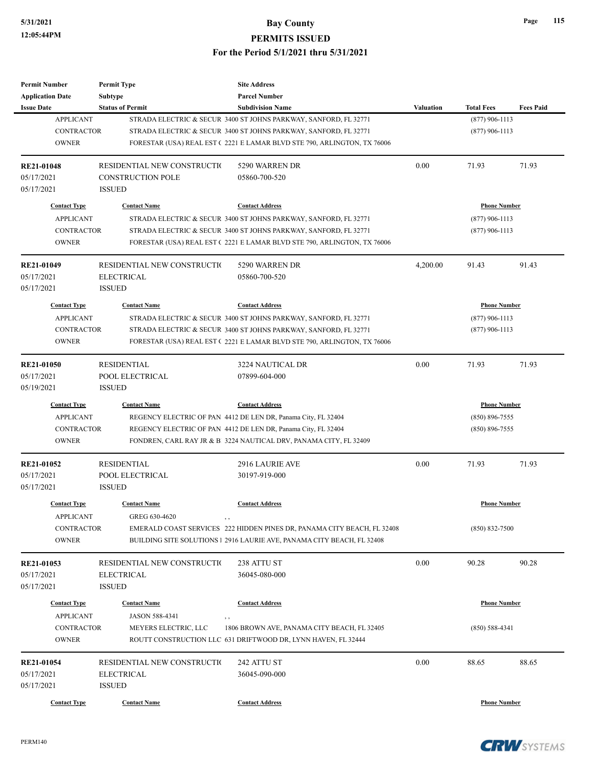| <b>Permit Number</b>    | <b>Permit Type</b>          | <b>Site Address</b>                                                     |           |                     |                  |
|-------------------------|-----------------------------|-------------------------------------------------------------------------|-----------|---------------------|------------------|
| <b>Application Date</b> | <b>Subtype</b>              | <b>Parcel Number</b>                                                    |           |                     |                  |
| <b>Issue Date</b>       | <b>Status of Permit</b>     | <b>Subdivision Name</b>                                                 | Valuation | <b>Total Fees</b>   | <b>Fees Paid</b> |
| <b>APPLICANT</b>        |                             | STRADA ELECTRIC & SECUR 3400 ST JOHNS PARKWAY, SANFORD, FL 32771        |           | $(877)$ 906-1113    |                  |
| <b>CONTRACTOR</b>       |                             | STRADA ELECTRIC & SECUR 3400 ST JOHNS PARKWAY, SANFORD, FL 32771        |           | $(877)$ 906-1113    |                  |
| <b>OWNER</b>            |                             | FORESTAR (USA) REAL EST (2221 E LAMAR BLVD STE 790, ARLINGTON, TX 76006 |           |                     |                  |
| RE21-01048              | RESIDENTIAL NEW CONSTRUCTIO | 5290 WARREN DR                                                          | 0.00      | 71.93               | 71.93            |
| 05/17/2021              | <b>CONSTRUCTION POLE</b>    | 05860-700-520                                                           |           |                     |                  |
| 05/17/2021              | <b>ISSUED</b>               |                                                                         |           |                     |                  |
| <b>Contact Type</b>     | <b>Contact Name</b>         | <b>Contact Address</b>                                                  |           | <b>Phone Number</b> |                  |
| <b>APPLICANT</b>        |                             | STRADA ELECTRIC & SECUR 3400 ST JOHNS PARKWAY, SANFORD, FL 32771        |           | $(877)$ 906-1113    |                  |
| CONTRACTOR              |                             | STRADA ELECTRIC & SECUR 3400 ST JOHNS PARKWAY, SANFORD, FL 32771        |           | $(877)$ 906-1113    |                  |
| <b>OWNER</b>            |                             | FORESTAR (USA) REAL EST (2221 E LAMAR BLVD STE 790, ARLINGTON, TX 76006 |           |                     |                  |
| RE21-01049              | RESIDENTIAL NEW CONSTRUCTIO | 5290 WARREN DR                                                          | 4,200.00  | 91.43               | 91.43            |
| 05/17/2021              | <b>ELECTRICAL</b>           | 05860-700-520                                                           |           |                     |                  |
| 05/17/2021              | <b>ISSUED</b>               |                                                                         |           |                     |                  |
| <b>Contact Type</b>     | <b>Contact Name</b>         | <b>Contact Address</b>                                                  |           | <b>Phone Number</b> |                  |
| <b>APPLICANT</b>        |                             | STRADA ELECTRIC & SECUR 3400 ST JOHNS PARKWAY, SANFORD, FL 32771        |           | $(877)$ 906-1113    |                  |
| <b>CONTRACTOR</b>       |                             | STRADA ELECTRIC & SECUR 3400 ST JOHNS PARKWAY, SANFORD, FL 32771        |           | $(877)$ 906-1113    |                  |
| <b>OWNER</b>            |                             | FORESTAR (USA) REAL EST (2221 E LAMAR BLVD STE 790, ARLINGTON, TX 76006 |           |                     |                  |
| <b>RE21-01050</b>       | <b>RESIDENTIAL</b>          | <b>3224 NAUTICAL DR</b>                                                 | 0.00      | 71.93               | 71.93            |
| 05/17/2021              | POOL ELECTRICAL             | 07899-604-000                                                           |           |                     |                  |
| 05/19/2021              | <b>ISSUED</b>               |                                                                         |           |                     |                  |
| <b>Contact Type</b>     | <b>Contact Name</b>         | <b>Contact Address</b>                                                  |           | <b>Phone Number</b> |                  |
| <b>APPLICANT</b>        |                             | REGENCY ELECTRIC OF PAN 4412 DE LEN DR, Panama City, FL 32404           |           | $(850) 896 - 7555$  |                  |
| <b>CONTRACTOR</b>       |                             | REGENCY ELECTRIC OF PAN 4412 DE LEN DR, Panama City, FL 32404           |           | $(850) 896 - 7555$  |                  |
| <b>OWNER</b>            |                             | FONDREN, CARL RAY JR & B 3224 NAUTICAL DRV, PANAMA CITY, FL 32409       |           |                     |                  |
| RE21-01052              | <b>RESIDENTIAL</b>          | 2916 LAURIE AVE                                                         | 0.00      | 71.93               | 71.93            |
| 05/17/2021              | POOL ELECTRICAL             | 30197-919-000                                                           |           |                     |                  |
| 05/17/2021              | <b>ISSUED</b>               |                                                                         |           |                     |                  |
| <b>Contact Type</b>     | <b>Contact Name</b>         | <b>Contact Address</b>                                                  |           | <b>Phone Number</b> |                  |
| <b>APPLICANT</b>        | GREG 630-4620               |                                                                         |           |                     |                  |
| CONTRACTOR              |                             | EMERALD COAST SERVICES 222 HIDDEN PINES DR, PANAMA CITY BEACH, FL 32408 |           | $(850) 832 - 7500$  |                  |
| <b>OWNER</b>            |                             | BUILDING SITE SOLUTIONS   2916 LAURIE AVE, PANAMA CITY BEACH, FL 32408  |           |                     |                  |
| RE21-01053              | RESIDENTIAL NEW CONSTRUCTIO | 238 ATTU ST                                                             | 0.00      | 90.28               | 90.28            |
| 05/17/2021              | <b>ELECTRICAL</b>           | 36045-080-000                                                           |           |                     |                  |
| 05/17/2021              | <b>ISSUED</b>               |                                                                         |           |                     |                  |
|                         |                             |                                                                         |           |                     |                  |
| <b>Contact Type</b>     | <b>Contact Name</b>         | <b>Contact Address</b>                                                  |           | <b>Phone Number</b> |                  |
| <b>APPLICANT</b>        | JASON 588-4341              | , ,                                                                     |           |                     |                  |
| <b>CONTRACTOR</b>       | MEYERS ELECTRIC, LLC        | 1806 BROWN AVE, PANAMA CITY BEACH, FL 32405                             |           | $(850) 588 - 4341$  |                  |
| <b>OWNER</b>            |                             | ROUTT CONSTRUCTION LLC 631 DRIFTWOOD DR, LYNN HAVEN, FL 32444           |           |                     |                  |
| RE21-01054              | RESIDENTIAL NEW CONSTRUCTIO | 242 ATTU ST                                                             | 0.00      | 88.65               | 88.65            |
| 05/17/2021              | <b>ELECTRICAL</b>           | 36045-090-000                                                           |           |                     |                  |
| 05/17/2021              | <b>ISSUED</b>               |                                                                         |           |                     |                  |
| <b>Contact Type</b>     | <b>Contact Name</b>         | <b>Contact Address</b>                                                  |           | <b>Phone Number</b> |                  |

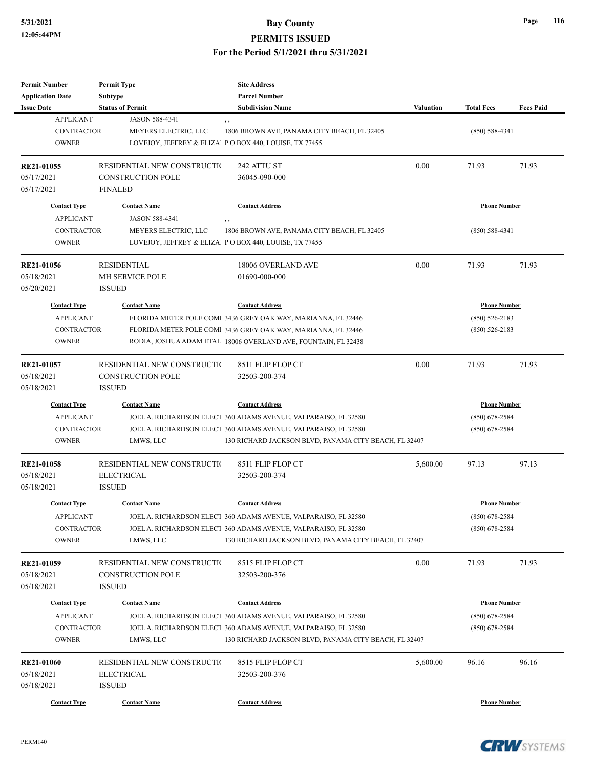| <b>Permit Number</b><br><b>Application Date</b><br><b>Issue Date</b>         | <b>Permit Type</b><br><b>Subtype</b><br><b>Status of Permit</b>           | <b>Site Address</b><br><b>Parcel Number</b><br><b>Subdivision Name</b>                                                                                                                                                     | <b>Valuation</b> |                                                               |                  |
|------------------------------------------------------------------------------|---------------------------------------------------------------------------|----------------------------------------------------------------------------------------------------------------------------------------------------------------------------------------------------------------------------|------------------|---------------------------------------------------------------|------------------|
| <b>APPLICANT</b><br><b>CONTRACTOR</b><br><b>OWNER</b>                        | JASON 588-4341<br>MEYERS ELECTRIC, LLC                                    | , ,<br>1806 BROWN AVE, PANAMA CITY BEACH, FL 32405<br>LOVEJOY, JEFFREY & ELIZAl PO BOX 440, LOUISE, TX 77455                                                                                                               |                  | <b>Total Fees</b><br>$(850) 588 - 4341$                       | <b>Fees Paid</b> |
| RE21-01055<br>05/17/2021<br>05/17/2021                                       | RESIDENTIAL NEW CONSTRUCTIO<br><b>CONSTRUCTION POLE</b><br><b>FINALED</b> | 242 ATTU ST<br>36045-090-000                                                                                                                                                                                               | 0.00             | 71.93                                                         | 71.93            |
| <b>Contact Type</b><br><b>APPLICANT</b>                                      | <b>Contact Name</b><br>JASON 588-4341                                     | <b>Contact Address</b><br>, ,                                                                                                                                                                                              |                  | <b>Phone Number</b>                                           |                  |
| <b>CONTRACTOR</b><br><b>OWNER</b>                                            | MEYERS ELECTRIC, LLC                                                      | 1806 BROWN AVE, PANAMA CITY BEACH, FL 32405<br>LOVEJOY, JEFFREY & ELIZAl PO BOX 440, LOUISE, TX 77455                                                                                                                      |                  | $(850) 588 - 4341$                                            |                  |
| RE21-01056<br>05/18/2021<br>05/20/2021                                       | <b>RESIDENTIAL</b><br>MH SERVICE POLE<br><b>ISSUED</b>                    | 18006 OVERLAND AVE<br>01690-000-000                                                                                                                                                                                        | 0.00             | 71.93                                                         | 71.93            |
| <b>Contact Type</b><br><b>APPLICANT</b><br><b>CONTRACTOR</b><br><b>OWNER</b> | <b>Contact Name</b>                                                       | <b>Contact Address</b><br>FLORIDA METER POLE COMI 3436 GREY OAK WAY, MARIANNA, FL 32446<br>FLORIDA METER POLE COMI 3436 GREY OAK WAY, MARIANNA, FL 32446<br>RODIA, JOSHUA ADAM ETAL 18006 OVERLAND AVE, FOUNTAIN, FL 32438 |                  | <b>Phone Number</b><br>$(850) 526 - 2183$<br>$(850)$ 526-2183 |                  |
| RE21-01057<br>05/18/2021<br>05/18/2021                                       | RESIDENTIAL NEW CONSTRUCTIO<br><b>CONSTRUCTION POLE</b><br><b>ISSUED</b>  | 8511 FLIP FLOP CT<br>32503-200-374                                                                                                                                                                                         | 0.00             | 71.93                                                         | 71.93            |
| <b>Contact Type</b><br><b>APPLICANT</b><br><b>CONTRACTOR</b><br><b>OWNER</b> | <b>Contact Name</b><br>LMWS, LLC                                          | <b>Contact Address</b><br>JOEL A. RICHARDSON ELECT 360 ADAMS AVENUE, VALPARAISO, FL 32580<br>JOEL A. RICHARDSON ELECT 360 ADAMS AVENUE, VALPARAISO, FL 32580<br>130 RICHARD JACKSON BLVD, PANAMA CITY BEACH, FL 32407      |                  | <b>Phone Number</b><br>$(850)$ 678-2584<br>$(850)$ 678-2584   |                  |
| RE21-01058<br>05/18/2021<br>05/18/2021                                       | RESIDENTIAL NEW CONSTRUCTIO<br><b>ELECTRICAL</b><br><b>ISSUED</b>         | 8511 FLIP FLOP CT<br>32503-200-374                                                                                                                                                                                         | 5,600.00         | 97.13                                                         | 97.13            |
| <b>Contact Type</b><br><b>APPLICANT</b><br>CONTRACTOR<br><b>OWNER</b>        | <b>Contact Name</b><br>LMWS, LLC                                          | <b>Contact Address</b><br>JOEL A. RICHARDSON ELECT 360 ADAMS AVENUE, VALPARAISO, FL 32580<br>JOEL A. RICHARDSON ELECT 360 ADAMS AVENUE, VALPARAISO, FL 32580<br>130 RICHARD JACKSON BLVD, PANAMA CITY BEACH, FL 32407      |                  | <b>Phone Number</b><br>$(850) 678 - 2584$<br>$(850)$ 678-2584 |                  |
| RE21-01059<br>05/18/2021<br>05/18/2021                                       | RESIDENTIAL NEW CONSTRUCTIO<br><b>CONSTRUCTION POLE</b><br><b>ISSUED</b>  | 8515 FLIP FLOP CT<br>32503-200-376                                                                                                                                                                                         | 0.00             | 71.93                                                         | 71.93            |
| <b>Contact Type</b><br><b>APPLICANT</b><br>CONTRACTOR<br><b>OWNER</b>        | <b>Contact Name</b><br>LMWS, LLC                                          | <b>Contact Address</b><br>JOEL A. RICHARDSON ELECT 360 ADAMS AVENUE, VALPARAISO, FL 32580<br>JOEL A. RICHARDSON ELECT 360 ADAMS AVENUE, VALPARAISO, FL 32580<br>130 RICHARD JACKSON BLVD, PANAMA CITY BEACH, FL 32407      |                  | <b>Phone Number</b><br>$(850)$ 678-2584<br>$(850)$ 678-2584   |                  |
| <b>RE21-01060</b><br>05/18/2021<br>05/18/2021                                | RESIDENTIAL NEW CONSTRUCTIO<br>ELECTRICAL<br><b>ISSUED</b>                | 8515 FLIP FLOP CT<br>32503-200-376                                                                                                                                                                                         | 5,600.00         | 96.16                                                         | 96.16            |
| <b>Contact Type</b>                                                          | <b>Contact Name</b>                                                       | <b>Contact Address</b>                                                                                                                                                                                                     |                  | <b>Phone Number</b>                                           |                  |

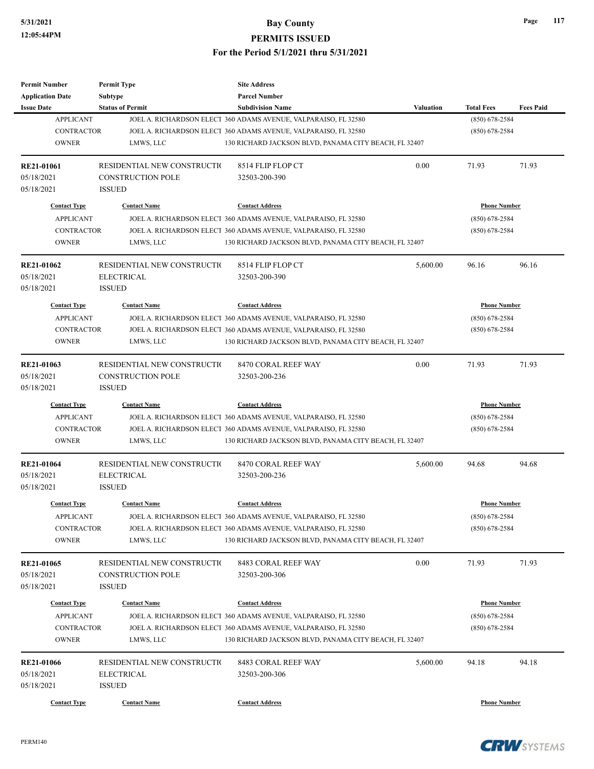| <b>Permit Number</b>    | <b>Permit Type</b>          | <b>Site Address</b>                                             |                  |                     |                  |
|-------------------------|-----------------------------|-----------------------------------------------------------------|------------------|---------------------|------------------|
| <b>Application Date</b> | Subtype                     | <b>Parcel Number</b>                                            |                  |                     |                  |
| <b>Issue Date</b>       | <b>Status of Permit</b>     | <b>Subdivision Name</b>                                         | <b>Valuation</b> | <b>Total Fees</b>   | <b>Fees Paid</b> |
| <b>APPLICANT</b>        |                             | JOEL A. RICHARDSON ELECT 360 ADAMS AVENUE, VALPARAISO, FL 32580 |                  | $(850)$ 678-2584    |                  |
| <b>CONTRACTOR</b>       |                             | JOEL A. RICHARDSON ELECT 360 ADAMS AVENUE, VALPARAISO, FL 32580 |                  | $(850)$ 678-2584    |                  |
| <b>OWNER</b>            | LMWS, LLC                   | 130 RICHARD JACKSON BLVD, PANAMA CITY BEACH, FL 32407           |                  |                     |                  |
| RE21-01061              | RESIDENTIAL NEW CONSTRUCTIO | 8514 FLIP FLOP CT                                               | 0.00             | 71.93               | 71.93            |
| 05/18/2021              | <b>CONSTRUCTION POLE</b>    | 32503-200-390                                                   |                  |                     |                  |
| 05/18/2021              | <b>ISSUED</b>               |                                                                 |                  |                     |                  |
| <b>Contact Type</b>     | <b>Contact Name</b>         | <b>Contact Address</b>                                          |                  | <b>Phone Number</b> |                  |
| <b>APPLICANT</b>        |                             | JOEL A. RICHARDSON ELECT 360 ADAMS AVENUE, VALPARAISO, FL 32580 |                  | $(850)$ 678-2584    |                  |
| <b>CONTRACTOR</b>       |                             | JOEL A. RICHARDSON ELECT 360 ADAMS AVENUE, VALPARAISO, FL 32580 |                  | $(850)$ 678-2584    |                  |
| <b>OWNER</b>            | LMWS, LLC                   | 130 RICHARD JACKSON BLVD, PANAMA CITY BEACH, FL 32407           |                  |                     |                  |
| <b>RE21-01062</b>       | RESIDENTIAL NEW CONSTRUCTIO | 8514 FLIP FLOP CT                                               | 5,600.00         | 96.16               | 96.16            |
| 05/18/2021              | <b>ELECTRICAL</b>           | 32503-200-390                                                   |                  |                     |                  |
| 05/18/2021              | <b>ISSUED</b>               |                                                                 |                  |                     |                  |
| <b>Contact Type</b>     | <b>Contact Name</b>         | <b>Contact Address</b>                                          |                  | <b>Phone Number</b> |                  |
| <b>APPLICANT</b>        |                             | JOEL A. RICHARDSON ELECT 360 ADAMS AVENUE, VALPARAISO, FL 32580 |                  | $(850)$ 678-2584    |                  |
| <b>CONTRACTOR</b>       |                             | JOEL A. RICHARDSON ELECT 360 ADAMS AVENUE, VALPARAISO, FL 32580 |                  | $(850)$ 678-2584    |                  |
| <b>OWNER</b>            | LMWS, LLC                   | 130 RICHARD JACKSON BLVD, PANAMA CITY BEACH, FL 32407           |                  |                     |                  |
|                         |                             |                                                                 |                  |                     |                  |
| RE21-01063              | RESIDENTIAL NEW CONSTRUCTIO | 8470 CORAL REEF WAY                                             | 0.00             | 71.93               | 71.93            |
| 05/18/2021              | <b>CONSTRUCTION POLE</b>    | 32503-200-236                                                   |                  |                     |                  |
| 05/18/2021              | <b>ISSUED</b>               |                                                                 |                  |                     |                  |
| <b>Contact Type</b>     | <b>Contact Name</b>         | <b>Contact Address</b>                                          |                  | <b>Phone Number</b> |                  |
| <b>APPLICANT</b>        |                             | JOEL A. RICHARDSON ELECT 360 ADAMS AVENUE, VALPARAISO, FL 32580 |                  | (850) 678-2584      |                  |
| <b>CONTRACTOR</b>       |                             | JOEL A. RICHARDSON ELECT 360 ADAMS AVENUE, VALPARAISO, FL 32580 |                  | $(850)$ 678-2584    |                  |
| <b>OWNER</b>            | LMWS, LLC                   | 130 RICHARD JACKSON BLVD, PANAMA CITY BEACH, FL 32407           |                  |                     |                  |
| <b>RE21-01064</b>       | RESIDENTIAL NEW CONSTRUCTIO | 8470 CORAL REEF WAY                                             | 5,600.00         | 94.68               | 94.68            |
| 05/18/2021              | <b>ELECTRICAL</b>           | 32503-200-236                                                   |                  |                     |                  |
| 05/18/2021              | <b>ISSUED</b>               |                                                                 |                  |                     |                  |
| <b>Contact Type</b>     | <b>Contact Name</b>         | <b>Contact Address</b>                                          |                  | <b>Phone Number</b> |                  |
| APPLICANT               |                             | JOEL A. RICHARDSON ELECT 360 ADAMS AVENUE, VALPARAISO, FL 32580 |                  | $(850)$ 678-2584    |                  |
| CONTRACTOR              |                             | JOEL A. RICHARDSON ELECT 360 ADAMS AVENUE, VALPARAISO, FL 32580 |                  | $(850)$ 678-2584    |                  |
| <b>OWNER</b>            | LMWS, LLC                   | 130 RICHARD JACKSON BLVD, PANAMA CITY BEACH, FL 32407           |                  |                     |                  |
| RE21-01065              | RESIDENTIAL NEW CONSTRUCTIO | 8483 CORAL REEF WAY                                             | 0.00             | 71.93               | 71.93            |
| 05/18/2021              | <b>CONSTRUCTION POLE</b>    | 32503-200-306                                                   |                  |                     |                  |
| 05/18/2021              | <b>ISSUED</b>               |                                                                 |                  |                     |                  |
|                         |                             |                                                                 |                  |                     |                  |
| <b>Contact Type</b>     | <b>Contact Name</b>         | <b>Contact Address</b>                                          |                  | <b>Phone Number</b> |                  |
| <b>APPLICANT</b>        |                             | JOEL A. RICHARDSON ELECT 360 ADAMS AVENUE, VALPARAISO, FL 32580 |                  | $(850)$ 678-2584    |                  |
| <b>CONTRACTOR</b>       |                             | JOEL A. RICHARDSON ELECT 360 ADAMS AVENUE, VALPARAISO, FL 32580 |                  | $(850)$ 678-2584    |                  |
| <b>OWNER</b>            | LMWS, LLC                   | 130 RICHARD JACKSON BLVD, PANAMA CITY BEACH, FL 32407           |                  |                     |                  |
| <b>RE21-01066</b>       | RESIDENTIAL NEW CONSTRUCTIO | 8483 CORAL REEF WAY                                             | 5,600.00         | 94.18               | 94.18            |
| 05/18/2021              | <b>ELECTRICAL</b>           | 32503-200-306                                                   |                  |                     |                  |
| 05/18/2021              | <b>ISSUED</b>               |                                                                 |                  |                     |                  |
|                         |                             |                                                                 |                  |                     |                  |
| <b>Contact Type</b>     | <b>Contact Name</b>         | <b>Contact Address</b>                                          |                  | <b>Phone Number</b> |                  |



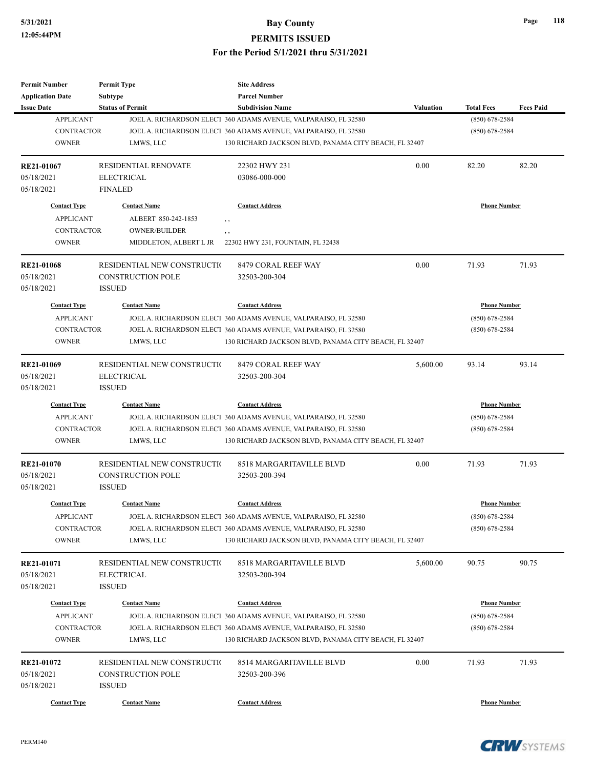| <b>Permit Number</b>    | <b>Permit Type</b>          | <b>Site Address</b>                                             |                  |                     |                  |
|-------------------------|-----------------------------|-----------------------------------------------------------------|------------------|---------------------|------------------|
| <b>Application Date</b> | <b>Subtype</b>              | <b>Parcel Number</b>                                            |                  |                     |                  |
| <b>Issue Date</b>       | <b>Status of Permit</b>     | <b>Subdivision Name</b>                                         | <b>Valuation</b> | <b>Total Fees</b>   | <b>Fees Paid</b> |
| <b>APPLICANT</b>        |                             | JOEL A. RICHARDSON ELECT 360 ADAMS AVENUE, VALPARAISO, FL 32580 |                  | $(850)$ 678-2584    |                  |
| <b>CONTRACTOR</b>       |                             | JOEL A. RICHARDSON ELECT 360 ADAMS AVENUE, VALPARAISO, FL 32580 |                  | $(850)$ 678-2584    |                  |
| <b>OWNER</b>            | LMWS, LLC                   | 130 RICHARD JACKSON BLVD, PANAMA CITY BEACH, FL 32407           |                  |                     |                  |
| RE21-01067              | RESIDENTIAL RENOVATE        | 22302 HWY 231                                                   | 0.00             | 82.20               | 82.20            |
| 05/18/2021              | <b>ELECTRICAL</b>           | 03086-000-000                                                   |                  |                     |                  |
| 05/18/2021              | <b>FINALED</b>              |                                                                 |                  |                     |                  |
| <b>Contact Type</b>     | <b>Contact Name</b>         | <b>Contact Address</b>                                          |                  | <b>Phone Number</b> |                  |
| <b>APPLICANT</b>        | ALBERT 850-242-1853         | $, \, ,$                                                        |                  |                     |                  |
| <b>CONTRACTOR</b>       | <b>OWNER/BUILDER</b>        | $, \, ,$                                                        |                  |                     |                  |
| <b>OWNER</b>            | MIDDLETON, ALBERT L JR      | 22302 HWY 231, FOUNTAIN, FL 32438                               |                  |                     |                  |
| <b>RE21-01068</b>       | RESIDENTIAL NEW CONSTRUCTIO | 8479 CORAL REEF WAY                                             | 0.00             | 71.93               | 71.93            |
| 05/18/2021              | <b>CONSTRUCTION POLE</b>    | 32503-200-304                                                   |                  |                     |                  |
| 05/18/2021              | <b>ISSUED</b>               |                                                                 |                  |                     |                  |
| <b>Contact Type</b>     | <b>Contact Name</b>         | <b>Contact Address</b>                                          |                  | <b>Phone Number</b> |                  |
| <b>APPLICANT</b>        |                             | JOEL A. RICHARDSON ELECT 360 ADAMS AVENUE, VALPARAISO, FL 32580 |                  | $(850) 678 - 2584$  |                  |
| <b>CONTRACTOR</b>       |                             | JOEL A. RICHARDSON ELECT 360 ADAMS AVENUE, VALPARAISO, FL 32580 |                  | $(850)$ 678-2584    |                  |
| <b>OWNER</b>            | LMWS, LLC                   | 130 RICHARD JACKSON BLVD, PANAMA CITY BEACH, FL 32407           |                  |                     |                  |
|                         |                             |                                                                 |                  |                     |                  |
| RE21-01069              | RESIDENTIAL NEW CONSTRUCTIO | 8479 CORAL REEF WAY                                             | 5,600.00         | 93.14               | 93.14            |
| 05/18/2021              | <b>ELECTRICAL</b>           | 32503-200-304                                                   |                  |                     |                  |
| 05/18/2021              | <b>ISSUED</b>               |                                                                 |                  |                     |                  |
| <b>Contact Type</b>     | <b>Contact Name</b>         | <b>Contact Address</b>                                          |                  | <b>Phone Number</b> |                  |
| <b>APPLICANT</b>        |                             | JOEL A. RICHARDSON ELECT 360 ADAMS AVENUE, VALPARAISO, FL 32580 |                  | $(850)$ 678-2584    |                  |
| <b>CONTRACTOR</b>       |                             | JOEL A. RICHARDSON ELECT 360 ADAMS AVENUE, VALPARAISO, FL 32580 |                  | $(850) 678 - 2584$  |                  |
| <b>OWNER</b>            | LMWS, LLC                   | 130 RICHARD JACKSON BLVD, PANAMA CITY BEACH, FL 32407           |                  |                     |                  |
| <b>RE21-01070</b>       | RESIDENTIAL NEW CONSTRUCTIO | 8518 MARGARITAVILLE BLVD                                        | 0.00             | 71.93               | 71.93            |
| 05/18/2021              | <b>CONSTRUCTION POLE</b>    | 32503-200-394                                                   |                  |                     |                  |
| 05/18/2021              | <b>ISSUED</b>               |                                                                 |                  |                     |                  |
|                         |                             |                                                                 |                  |                     |                  |
| <b>Contact Type</b>     | <b>Contact Name</b>         | <b>Contact Address</b>                                          |                  | <b>Phone Number</b> |                  |
| <b>APPLICANT</b>        |                             | JOEL A. RICHARDSON ELECT 360 ADAMS AVENUE, VALPARAISO, FL 32580 |                  | $(850)$ 678-2584    |                  |
| CONTRACTOR              |                             | JOEL A. RICHARDSON ELECT 360 ADAMS AVENUE, VALPARAISO, FL 32580 |                  | $(850)$ 678-2584    |                  |
| <b>OWNER</b>            | LMWS, LLC                   | 130 RICHARD JACKSON BLVD, PANAMA CITY BEACH, FL 32407           |                  |                     |                  |
| RE21-01071              | RESIDENTIAL NEW CONSTRUCTIO | 8518 MARGARITAVILLE BLVD                                        | 5,600.00         | 90.75               | 90.75            |
| 05/18/2021              | <b>ELECTRICAL</b>           | 32503-200-394                                                   |                  |                     |                  |
| 05/18/2021              | <b>ISSUED</b>               |                                                                 |                  |                     |                  |
| <b>Contact Type</b>     | <b>Contact Name</b>         | <b>Contact Address</b>                                          |                  | <b>Phone Number</b> |                  |
|                         |                             |                                                                 |                  |                     |                  |
| <b>APPLICANT</b>        |                             | JOEL A. RICHARDSON ELECT 360 ADAMS AVENUE, VALPARAISO, FL 32580 |                  | $(850)$ 678-2584    |                  |
| <b>CONTRACTOR</b>       |                             | JOEL A. RICHARDSON ELECT 360 ADAMS AVENUE, VALPARAISO, FL 32580 |                  | $(850)$ 678-2584    |                  |
| <b>OWNER</b>            | LMWS, LLC                   | 130 RICHARD JACKSON BLVD, PANAMA CITY BEACH, FL 32407           |                  |                     |                  |
| RE21-01072              | RESIDENTIAL NEW CONSTRUCTIO | 8514 MARGARITAVILLE BLVD                                        | 0.00             | 71.93               | 71.93            |
| 05/18/2021              | <b>CONSTRUCTION POLE</b>    | 32503-200-396                                                   |                  |                     |                  |
| 05/18/2021              | <b>ISSUED</b>               |                                                                 |                  |                     |                  |
|                         |                             |                                                                 |                  |                     |                  |
| <b>Contact Type</b>     | <b>Contact Name</b>         | <b>Contact Address</b>                                          |                  | <b>Phone Number</b> |                  |



```
CRWSYSTEMS
```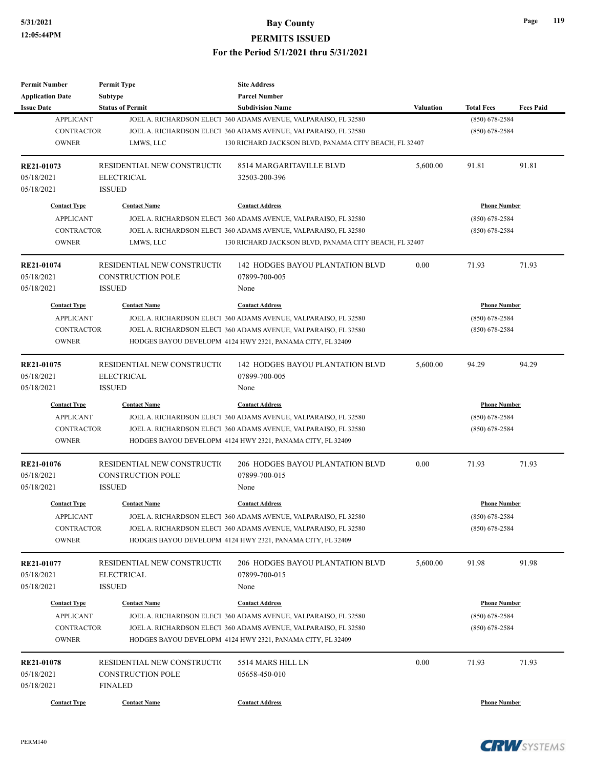| <b>Permit Number</b>     | <b>Permit Type</b>           | <b>Site Address</b>                                             |                  |                     |                  |
|--------------------------|------------------------------|-----------------------------------------------------------------|------------------|---------------------|------------------|
| <b>Application Date</b>  | Subtype                      | <b>Parcel Number</b>                                            |                  |                     |                  |
| <b>Issue Date</b>        | <b>Status of Permit</b>      | <b>Subdivision Name</b>                                         | <b>Valuation</b> | <b>Total Fees</b>   | <b>Fees Paid</b> |
| <b>APPLICANT</b>         |                              | JOEL A. RICHARDSON ELECT 360 ADAMS AVENUE, VALPARAISO, FL 32580 |                  | $(850)$ 678-2584    |                  |
| <b>CONTRACTOR</b>        |                              | JOEL A. RICHARDSON ELECT 360 ADAMS AVENUE, VALPARAISO, FL 32580 |                  | $(850)$ 678-2584    |                  |
| <b>OWNER</b>             | LMWS, LLC                    | 130 RICHARD JACKSON BLVD, PANAMA CITY BEACH, FL 32407           |                  |                     |                  |
| RE21-01073               | RESIDENTIAL NEW CONSTRUCTION | 8514 MARGARITAVILLE BLVD                                        | 5,600.00         | 91.81               | 91.81            |
| 05/18/2021               | <b>ELECTRICAL</b>            | 32503-200-396                                                   |                  |                     |                  |
| 05/18/2021               | <b>ISSUED</b>                |                                                                 |                  |                     |                  |
| <b>Contact Type</b>      | <b>Contact Name</b>          | <b>Contact Address</b>                                          |                  | <b>Phone Number</b> |                  |
| <b>APPLICANT</b>         |                              | JOEL A. RICHARDSON ELECT 360 ADAMS AVENUE, VALPARAISO, FL 32580 |                  | $(850) 678 - 2584$  |                  |
| <b>CONTRACTOR</b>        |                              | JOEL A. RICHARDSON ELECT 360 ADAMS AVENUE, VALPARAISO, FL 32580 |                  | $(850)$ 678-2584    |                  |
| <b>OWNER</b>             | LMWS, LLC                    | 130 RICHARD JACKSON BLVD, PANAMA CITY BEACH, FL 32407           |                  |                     |                  |
| RE21-01074               | RESIDENTIAL NEW CONSTRUCTIO  | 142 HODGES BAYOU PLANTATION BLVD                                | 0.00             | 71.93               | 71.93            |
| 05/18/2021               | <b>CONSTRUCTION POLE</b>     | 07899-700-005                                                   |                  |                     |                  |
| 05/18/2021               | <b>ISSUED</b>                | None                                                            |                  |                     |                  |
| <b>Contact Type</b>      | <b>Contact Name</b>          | <b>Contact Address</b>                                          |                  | <b>Phone Number</b> |                  |
| <b>APPLICANT</b>         |                              | JOEL A. RICHARDSON ELECT 360 ADAMS AVENUE, VALPARAISO, FL 32580 |                  | $(850)$ 678-2584    |                  |
| <b>CONTRACTOR</b>        |                              | JOEL A. RICHARDSON ELECT 360 ADAMS AVENUE, VALPARAISO, FL 32580 |                  | $(850)$ 678-2584    |                  |
| <b>OWNER</b>             |                              | HODGES BAYOU DEVELOPM 4124 HWY 2321, PANAMA CITY, FL 32409      |                  |                     |                  |
|                          |                              |                                                                 |                  |                     |                  |
| RE21-01075               | RESIDENTIAL NEW CONSTRUCTIO  | <b>142 HODGES BAYOU PLANTATION BLVD</b>                         | 5,600.00         | 94.29               | 94.29            |
| 05/18/2021               | <b>ELECTRICAL</b>            | 07899-700-005                                                   |                  |                     |                  |
| 05/18/2021               | <b>ISSUED</b>                | None                                                            |                  |                     |                  |
| <b>Contact Type</b>      | <b>Contact Name</b>          | <b>Contact Address</b>                                          |                  | <b>Phone Number</b> |                  |
| <b>APPLICANT</b>         |                              | JOEL A. RICHARDSON ELECT 360 ADAMS AVENUE, VALPARAISO, FL 32580 |                  | $(850)$ 678-2584    |                  |
| <b>CONTRACTOR</b>        |                              | JOEL A. RICHARDSON ELECT 360 ADAMS AVENUE, VALPARAISO, FL 32580 |                  | $(850)$ 678-2584    |                  |
| <b>OWNER</b>             |                              | HODGES BAYOU DEVELOPM 4124 HWY 2321, PANAMA CITY, FL 32409      |                  |                     |                  |
| RE21-01076               | RESIDENTIAL NEW CONSTRUCTIO  | 206 HODGES BAYOU PLANTATION BLVD                                | 0.00             | 71.93               | 71.93            |
| 05/18/2021               | <b>CONSTRUCTION POLE</b>     | 07899-700-015                                                   |                  |                     |                  |
| 05/18/2021               | <b>ISSUED</b>                | None                                                            |                  |                     |                  |
| <b>Contact Type</b>      | <b>Contact Name</b>          | <b>Contact Address</b>                                          |                  | <b>Phone Number</b> |                  |
| <b>APPLICANT</b>         |                              | JOEL A. RICHARDSON ELECT 360 ADAMS AVENUE, VALPARAISO, FL 32580 |                  | $(850) 678 - 2584$  |                  |
| CONTRACTOR               |                              | JOEL A. RICHARDSON ELECT 360 ADAMS AVENUE, VALPARAISO, FL 32580 |                  | $(850)$ 678-2584    |                  |
| <b>OWNER</b>             |                              | HODGES BAYOU DEVELOPM 4124 HWY 2321, PANAMA CITY, FL 32409      |                  |                     |                  |
| RE21-01077               | RESIDENTIAL NEW CONSTRUCTIO  | 206 HODGES BAYOU PLANTATION BLVD                                | 5,600.00         | 91.98               | 91.98            |
| 05/18/2021               | <b>ELECTRICAL</b>            | 07899-700-015                                                   |                  |                     |                  |
| 05/18/2021               | <b>ISSUED</b>                | None                                                            |                  |                     |                  |
| <b>Contact Type</b>      | <b>Contact Name</b>          | <b>Contact Address</b>                                          |                  | <b>Phone Number</b> |                  |
| <b>APPLICANT</b>         |                              | JOEL A. RICHARDSON ELECT 360 ADAMS AVENUE, VALPARAISO, FL 32580 |                  | $(850)$ 678-2584    |                  |
| CONTRACTOR               |                              | JOEL A. RICHARDSON ELECT 360 ADAMS AVENUE, VALPARAISO, FL 32580 |                  | $(850)$ 678-2584    |                  |
| <b>OWNER</b>             |                              | HODGES BAYOU DEVELOPM 4124 HWY 2321, PANAMA CITY, FL 32409      |                  |                     |                  |
| RE21-01078               | RESIDENTIAL NEW CONSTRUCTIO  | 5514 MARS HILL LN                                               | 0.00             | 71.93               | 71.93            |
|                          | <b>CONSTRUCTION POLE</b>     |                                                                 |                  |                     |                  |
| 05/18/2021<br>05/18/2021 | <b>FINALED</b>               | 05658-450-010                                                   |                  |                     |                  |
|                          |                              |                                                                 |                  |                     |                  |
| <b>Contact Type</b>      | <b>Contact Name</b>          | <b>Contact Address</b>                                          |                  | <b>Phone Number</b> |                  |



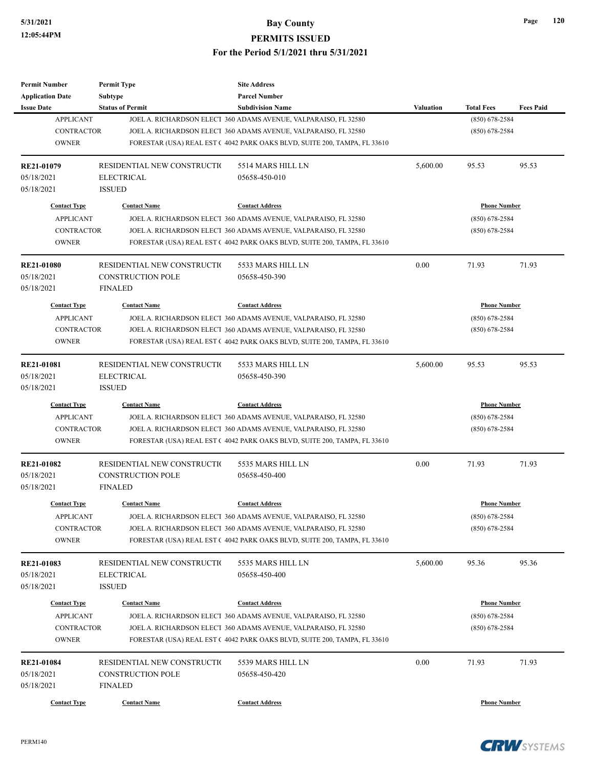| <b>Permit Number</b>    | <b>Permit Type</b>          | <b>Site Address</b>                                                       |                  |                     |                  |
|-------------------------|-----------------------------|---------------------------------------------------------------------------|------------------|---------------------|------------------|
| <b>Application Date</b> | Subtype                     | <b>Parcel Number</b>                                                      |                  |                     |                  |
| <b>Issue Date</b>       | <b>Status of Permit</b>     | <b>Subdivision Name</b>                                                   | <b>Valuation</b> | <b>Total Fees</b>   | <b>Fees Paid</b> |
| <b>APPLICANT</b>        |                             | JOEL A. RICHARDSON ELECT 360 ADAMS AVENUE, VALPARAISO, FL 32580           |                  | $(850)$ 678-2584    |                  |
| <b>CONTRACTOR</b>       |                             | JOEL A. RICHARDSON ELECT 360 ADAMS AVENUE, VALPARAISO, FL 32580           |                  | $(850)$ 678-2584    |                  |
| <b>OWNER</b>            |                             | FORESTAR (USA) REAL EST (4042 PARK OAKS BLVD, SUITE 200, TAMPA, FL 33610  |                  |                     |                  |
| RE21-01079              | RESIDENTIAL NEW CONSTRUCTIO | 5514 MARS HILL LN                                                         | 5,600.00         | 95.53               | 95.53            |
| 05/18/2021              | <b>ELECTRICAL</b>           | 05658-450-010                                                             |                  |                     |                  |
| 05/18/2021              | <b>ISSUED</b>               |                                                                           |                  |                     |                  |
| <b>Contact Type</b>     | <b>Contact Name</b>         | <b>Contact Address</b>                                                    |                  | <b>Phone Number</b> |                  |
| <b>APPLICANT</b>        |                             | JOEL A. RICHARDSON ELECT 360 ADAMS AVENUE, VALPARAISO, FL 32580           |                  | $(850)$ 678-2584    |                  |
| <b>CONTRACTOR</b>       |                             | JOEL A. RICHARDSON ELECT 360 ADAMS AVENUE, VALPARAISO, FL 32580           |                  | $(850)$ 678-2584    |                  |
| <b>OWNER</b>            |                             | FORESTAR (USA) REAL EST (4042 PARK OAKS BLVD, SUITE 200, TAMPA, FL 33610  |                  |                     |                  |
| <b>RE21-01080</b>       | RESIDENTIAL NEW CONSTRUCTIO | 5533 MARS HILL LN                                                         | 0.00             | 71.93               | 71.93            |
| 05/18/2021              | <b>CONSTRUCTION POLE</b>    | 05658-450-390                                                             |                  |                     |                  |
| 05/18/2021              | <b>FINALED</b>              |                                                                           |                  |                     |                  |
| <b>Contact Type</b>     | <b>Contact Name</b>         | <b>Contact Address</b>                                                    |                  | <b>Phone Number</b> |                  |
| <b>APPLICANT</b>        |                             | JOEL A. RICHARDSON ELECT 360 ADAMS AVENUE, VALPARAISO, FL 32580           |                  | $(850)$ 678-2584    |                  |
| <b>CONTRACTOR</b>       |                             | JOEL A. RICHARDSON ELECT 360 ADAMS AVENUE, VALPARAISO, FL 32580           |                  | $(850)$ 678-2584    |                  |
| <b>OWNER</b>            |                             | FORESTAR (USA) REAL EST (4042 PARK OAKS BLVD, SUITE 200, TAMPA, FL 33610  |                  |                     |                  |
|                         |                             |                                                                           |                  |                     |                  |
| RE21-01081              | RESIDENTIAL NEW CONSTRUCTIO | 5533 MARS HILL LN                                                         | 5,600.00         | 95.53               | 95.53            |
| 05/18/2021              | <b>ELECTRICAL</b>           | 05658-450-390                                                             |                  |                     |                  |
| 05/18/2021              | <b>ISSUED</b>               |                                                                           |                  |                     |                  |
| <b>Contact Type</b>     | <b>Contact Name</b>         | <b>Contact Address</b>                                                    |                  | <b>Phone Number</b> |                  |
| <b>APPLICANT</b>        |                             | JOEL A. RICHARDSON ELECT 360 ADAMS AVENUE, VALPARAISO, FL 32580           |                  | $(850)$ 678-2584    |                  |
| <b>CONTRACTOR</b>       |                             | JOEL A. RICHARDSON ELECT 360 ADAMS AVENUE, VALPARAISO, FL 32580           |                  | $(850)$ 678-2584    |                  |
| <b>OWNER</b>            |                             | FORESTAR (USA) REAL EST C 4042 PARK OAKS BLVD, SUITE 200, TAMPA, FL 33610 |                  |                     |                  |
| <b>RE21-01082</b>       | RESIDENTIAL NEW CONSTRUCTIO | 5535 MARS HILL LN                                                         | 0.00             | 71.93               | 71.93            |
| 05/18/2021              | <b>CONSTRUCTION POLE</b>    | 05658-450-400                                                             |                  |                     |                  |
| 05/18/2021              | <b>FINALED</b>              |                                                                           |                  |                     |                  |
| <b>Contact Type</b>     | <b>Contact Name</b>         | <b>Contact Address</b>                                                    |                  | <b>Phone Number</b> |                  |
| <b>APPLICANT</b>        |                             | JOEL A. RICHARDSON ELECT 360 ADAMS AVENUE, VALPARAISO, FL 32580           |                  | $(850) 678 - 2584$  |                  |
| <b>CONTRACTOR</b>       |                             | JOEL A. RICHARDSON ELECT 360 ADAMS AVENUE, VALPARAISO, FL 32580           |                  | $(850)$ 678-2584    |                  |
| <b>OWNER</b>            |                             | FORESTAR (USA) REAL EST (4042 PARK OAKS BLVD, SUITE 200, TAMPA, FL 33610  |                  |                     |                  |
| RE21-01083              | RESIDENTIAL NEW CONSTRUCTIO | 5535 MARS HILL LN                                                         | 5,600.00         | 95.36               | 95.36            |
| 05/18/2021              | <b>ELECTRICAL</b>           | 05658-450-400                                                             |                  |                     |                  |
| 05/18/2021              | <b>ISSUED</b>               |                                                                           |                  |                     |                  |
|                         |                             |                                                                           |                  |                     |                  |
| <b>Contact Type</b>     | <b>Contact Name</b>         | <b>Contact Address</b>                                                    |                  | <b>Phone Number</b> |                  |
| <b>APPLICANT</b>        |                             | JOEL A. RICHARDSON ELECT 360 ADAMS AVENUE, VALPARAISO, FL 32580           |                  | $(850)$ 678-2584    |                  |
| <b>CONTRACTOR</b>       |                             | JOEL A. RICHARDSON ELECT 360 ADAMS AVENUE, VALPARAISO, FL 32580           |                  | $(850)$ 678-2584    |                  |
| <b>OWNER</b>            |                             | FORESTAR (USA) REAL EST (4042 PARK OAKS BLVD, SUITE 200, TAMPA, FL 33610  |                  |                     |                  |
| RE21-01084              | RESIDENTIAL NEW CONSTRUCTIO | 5539 MARS HILL LN                                                         | 0.00             | 71.93               | 71.93            |
| 05/18/2021              | <b>CONSTRUCTION POLE</b>    | 05658-450-420                                                             |                  |                     |                  |
| 05/18/2021              | <b>FINALED</b>              |                                                                           |                  |                     |                  |
| <b>Contact Type</b>     | <b>Contact Name</b>         | <b>Contact Address</b>                                                    |                  | <b>Phone Number</b> |                  |
|                         |                             |                                                                           |                  |                     |                  |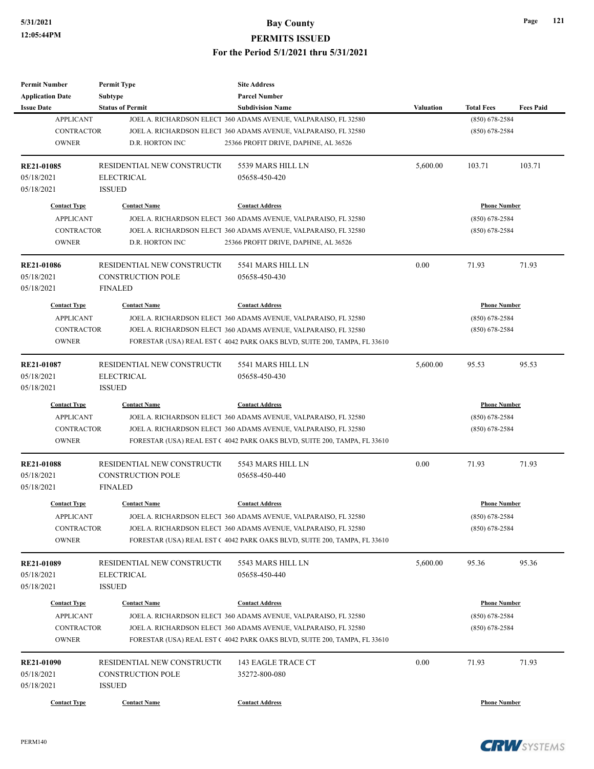| <b>Permit Number</b>     | <b>Permit Type</b>          | <b>Site Address</b>                                                       |                  |                     |                  |
|--------------------------|-----------------------------|---------------------------------------------------------------------------|------------------|---------------------|------------------|
| <b>Application Date</b>  | <b>Subtype</b>              | <b>Parcel Number</b>                                                      |                  |                     |                  |
| <b>Issue Date</b>        | <b>Status of Permit</b>     | <b>Subdivision Name</b>                                                   | <b>Valuation</b> | <b>Total Fees</b>   | <b>Fees Paid</b> |
| <b>APPLICANT</b>         |                             | JOEL A. RICHARDSON ELECT 360 ADAMS AVENUE, VALPARAISO, FL 32580           |                  | $(850) 678 - 2584$  |                  |
| <b>CONTRACTOR</b>        |                             | JOEL A. RICHARDSON ELECT 360 ADAMS AVENUE, VALPARAISO, FL 32580           |                  | $(850)$ 678-2584    |                  |
| <b>OWNER</b>             | D.R. HORTON INC             | 25366 PROFIT DRIVE, DAPHNE, AL 36526                                      |                  |                     |                  |
|                          |                             |                                                                           |                  |                     |                  |
| <b>RE21-01085</b>        | RESIDENTIAL NEW CONSTRUCTIO | 5539 MARS HILL LN                                                         | 5,600.00         | 103.71              | 103.71           |
| 05/18/2021               | <b>ELECTRICAL</b>           | 05658-450-420                                                             |                  |                     |                  |
| 05/18/2021               | <b>ISSUED</b>               |                                                                           |                  |                     |                  |
| <b>Contact Type</b>      | <b>Contact Name</b>         | <b>Contact Address</b>                                                    |                  | <b>Phone Number</b> |                  |
| <b>APPLICANT</b>         |                             | JOEL A. RICHARDSON ELECT 360 ADAMS AVENUE, VALPARAISO, FL 32580           |                  | $(850)$ 678-2584    |                  |
| <b>CONTRACTOR</b>        |                             | JOEL A. RICHARDSON ELECT 360 ADAMS AVENUE, VALPARAISO, FL 32580           |                  | $(850)$ 678-2584    |                  |
| <b>OWNER</b>             | D.R. HORTON INC             | 25366 PROFIT DRIVE, DAPHNE, AL 36526                                      |                  |                     |                  |
|                          |                             |                                                                           |                  |                     |                  |
| RE21-01086               | RESIDENTIAL NEW CONSTRUCTIO | 5541 MARS HILL LN                                                         | 0.00             | 71.93               | 71.93            |
| 05/18/2021               | <b>CONSTRUCTION POLE</b>    | 05658-450-430                                                             |                  |                     |                  |
| 05/18/2021               | <b>FINALED</b>              |                                                                           |                  |                     |                  |
| <b>Contact Type</b>      | <b>Contact Name</b>         | <b>Contact Address</b>                                                    |                  | <b>Phone Number</b> |                  |
|                          |                             |                                                                           |                  |                     |                  |
| <b>APPLICANT</b>         |                             | JOEL A. RICHARDSON ELECT 360 ADAMS AVENUE, VALPARAISO, FL 32580           |                  | $(850)$ 678-2584    |                  |
| <b>CONTRACTOR</b>        |                             | JOEL A. RICHARDSON ELECT 360 ADAMS AVENUE, VALPARAISO, FL 32580           |                  | $(850)$ 678-2584    |                  |
| <b>OWNER</b>             |                             | FORESTAR (USA) REAL EST (4042 PARK OAKS BLVD, SUITE 200, TAMPA, FL 33610  |                  |                     |                  |
| RE21-01087               | RESIDENTIAL NEW CONSTRUCTIO | 5541 MARS HILL LN                                                         | 5,600.00         | 95.53               | 95.53            |
| 05/18/2021               | <b>ELECTRICAL</b>           | 05658-450-430                                                             |                  |                     |                  |
| 05/18/2021               | <b>ISSUED</b>               |                                                                           |                  |                     |                  |
|                          |                             |                                                                           |                  |                     |                  |
| <b>Contact Type</b>      | <b>Contact Name</b>         | <b>Contact Address</b>                                                    |                  | <b>Phone Number</b> |                  |
| <b>APPLICANT</b>         |                             | JOEL A. RICHARDSON ELECT 360 ADAMS AVENUE, VALPARAISO, FL 32580           |                  | $(850)$ 678-2584    |                  |
| <b>CONTRACTOR</b>        |                             | JOEL A. RICHARDSON ELECT 360 ADAMS AVENUE, VALPARAISO, FL 32580           |                  | $(850)$ 678-2584    |                  |
| <b>OWNER</b>             |                             | FORESTAR (USA) REAL EST C 4042 PARK OAKS BLVD, SUITE 200, TAMPA, FL 33610 |                  |                     |                  |
| <b>RE21-01088</b>        | RESIDENTIAL NEW CONSTRUCTIO | 5543 MARS HILL LN                                                         | 0.00             | 71.93               | 71.93            |
| 05/18/2021               | <b>CONSTRUCTION POLE</b>    | 05658-450-440                                                             |                  |                     |                  |
| 05/18/2021               | <b>FINALED</b>              |                                                                           |                  |                     |                  |
|                          |                             |                                                                           |                  |                     |                  |
| <b>Contact Type</b>      | <b>Contact Name</b>         | <b>Contact Address</b>                                                    |                  | <b>Phone Number</b> |                  |
| <b>APPLICANT</b>         |                             | JOEL A. RICHARDSON ELECT 360 ADAMS AVENUE, VALPARAISO, FL 32580           |                  | $(850)$ 678-2584    |                  |
| <b>CONTRACTOR</b>        |                             | JOEL A. RICHARDSON ELECT 360 ADAMS AVENUE, VALPARAISO, FL 32580           |                  | $(850)$ 678-2584    |                  |
| <b>OWNER</b>             |                             | FORESTAR (USA) REAL EST (4042 PARK OAKS BLVD, SUITE 200, TAMPA, FL 33610  |                  |                     |                  |
|                          | RESIDENTIAL NEW CONSTRUCTIO | 5543 MARS HILL LN                                                         | 5,600.00         | 95.36               | 95.36            |
| RE21-01089<br>05/18/2021 | <b>ELECTRICAL</b>           | 05658-450-440                                                             |                  |                     |                  |
|                          |                             |                                                                           |                  |                     |                  |
| 05/18/2021               | <b>ISSUED</b>               |                                                                           |                  |                     |                  |
| <b>Contact Type</b>      | <b>Contact Name</b>         | <b>Contact Address</b>                                                    |                  | <b>Phone Number</b> |                  |
| <b>APPLICANT</b>         |                             | JOEL A. RICHARDSON ELECT 360 ADAMS AVENUE, VALPARAISO, FL 32580           |                  | $(850)$ 678-2584    |                  |
| CONTRACTOR               |                             | JOEL A. RICHARDSON ELECT 360 ADAMS AVENUE, VALPARAISO, FL 32580           |                  | $(850)$ 678-2584    |                  |
| <b>OWNER</b>             |                             | FORESTAR (USA) REAL EST (4042 PARK OAKS BLVD, SUITE 200, TAMPA, FL 33610  |                  |                     |                  |
|                          |                             |                                                                           |                  |                     |                  |
| RE21-01090               | RESIDENTIAL NEW CONSTRUCTIO | 143 EAGLE TRACE CT                                                        | 0.00             | 71.93               | 71.93            |
| 05/18/2021               | <b>CONSTRUCTION POLE</b>    | 35272-800-080                                                             |                  |                     |                  |
| 05/18/2021               | <b>ISSUED</b>               |                                                                           |                  |                     |                  |
| <b>Contact Type</b>      | <b>Contact Name</b>         | <b>Contact Address</b>                                                    |                  | <b>Phone Number</b> |                  |

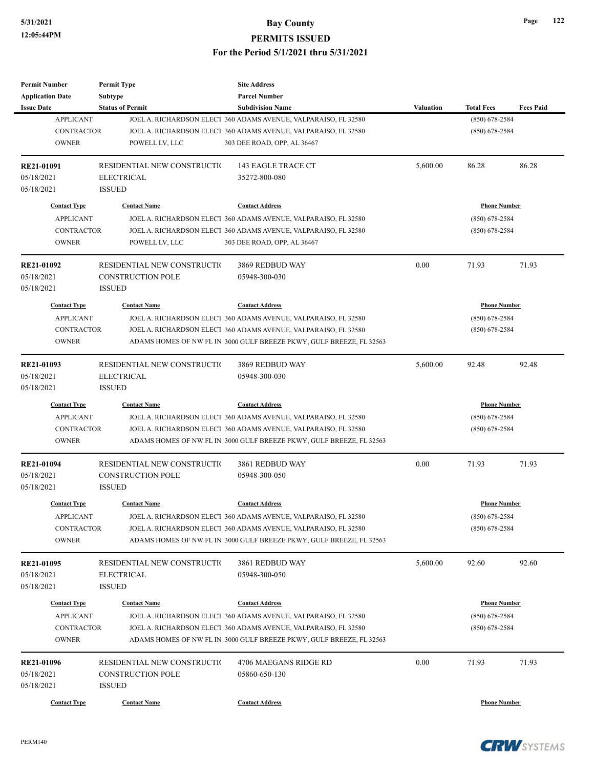| <b>Permit Number</b>    | <b>Permit Type</b>           | <b>Site Address</b>                                                  |                  |                     |                  |
|-------------------------|------------------------------|----------------------------------------------------------------------|------------------|---------------------|------------------|
| <b>Application Date</b> | <b>Subtype</b>               | <b>Parcel Number</b>                                                 |                  |                     |                  |
| <b>Issue Date</b>       | <b>Status of Permit</b>      | <b>Subdivision Name</b>                                              | <b>Valuation</b> | <b>Total Fees</b>   | <b>Fees Paid</b> |
| <b>APPLICANT</b>        |                              | JOEL A. RICHARDSON ELECT 360 ADAMS AVENUE, VALPARAISO, FL 32580      |                  | $(850)$ 678-2584    |                  |
| <b>CONTRACTOR</b>       |                              | JOEL A. RICHARDSON ELECT 360 ADAMS AVENUE, VALPARAISO, FL 32580      |                  | $(850)$ 678-2584    |                  |
| <b>OWNER</b>            | POWELL LV, LLC               | 303 DEE ROAD, OPP, AL 36467                                          |                  |                     |                  |
| RE21-01091              | RESIDENTIAL NEW CONSTRUCTIO  | <b>143 EAGLE TRACE CT</b>                                            | 5,600.00         | 86.28               | 86.28            |
| 05/18/2021              | <b>ELECTRICAL</b>            | 35272-800-080                                                        |                  |                     |                  |
| 05/18/2021              | <b>ISSUED</b>                |                                                                      |                  |                     |                  |
|                         |                              |                                                                      |                  |                     |                  |
| <b>Contact Type</b>     | <b>Contact Name</b>          | <b>Contact Address</b>                                               |                  | <b>Phone Number</b> |                  |
| <b>APPLICANT</b>        |                              | JOEL A. RICHARDSON ELECT 360 ADAMS AVENUE, VALPARAISO, FL 32580      |                  | $(850) 678 - 2584$  |                  |
| <b>CONTRACTOR</b>       |                              | JOEL A. RICHARDSON ELECT 360 ADAMS AVENUE, VALPARAISO, FL 32580      |                  | $(850)$ 678-2584    |                  |
| <b>OWNER</b>            | POWELL LV, LLC               | 303 DEE ROAD, OPP, AL 36467                                          |                  |                     |                  |
| RE21-01092              | RESIDENTIAL NEW CONSTRUCTION | 3869 REDBUD WAY                                                      | 0.00             | 71.93               | 71.93            |
| 05/18/2021              | <b>CONSTRUCTION POLE</b>     | 05948-300-030                                                        |                  |                     |                  |
| 05/18/2021              | <b>ISSUED</b>                |                                                                      |                  |                     |                  |
| <b>Contact Type</b>     | <b>Contact Name</b>          | <b>Contact Address</b>                                               |                  | <b>Phone Number</b> |                  |
| <b>APPLICANT</b>        |                              | JOEL A. RICHARDSON ELECT 360 ADAMS AVENUE, VALPARAISO, FL 32580      |                  | $(850)$ 678-2584    |                  |
| <b>CONTRACTOR</b>       |                              | JOEL A. RICHARDSON ELECT 360 ADAMS AVENUE, VALPARAISO, FL 32580      |                  | $(850)$ 678-2584    |                  |
| <b>OWNER</b>            |                              | ADAMS HOMES OF NW FL IN 3000 GULF BREEZE PKWY, GULF BREEZE, FL 32563 |                  |                     |                  |
|                         |                              |                                                                      |                  |                     |                  |
| RE21-01093              | RESIDENTIAL NEW CONSTRUCTION | 3869 REDBUD WAY                                                      | 5,600.00         | 92.48               | 92.48            |
| 05/18/2021              | <b>ELECTRICAL</b>            | 05948-300-030                                                        |                  |                     |                  |
| 05/18/2021              | <b>ISSUED</b>                |                                                                      |                  |                     |                  |
| <b>Contact Type</b>     | <b>Contact Name</b>          | <b>Contact Address</b>                                               |                  | <b>Phone Number</b> |                  |
| <b>APPLICANT</b>        |                              | JOEL A. RICHARDSON ELECT 360 ADAMS AVENUE, VALPARAISO, FL 32580      |                  | (850) 678-2584      |                  |
| <b>CONTRACTOR</b>       |                              | JOEL A. RICHARDSON ELECT 360 ADAMS AVENUE, VALPARAISO, FL 32580      |                  | $(850)$ 678-2584    |                  |
| <b>OWNER</b>            |                              | ADAMS HOMES OF NW FL IN 3000 GULF BREEZE PKWY, GULF BREEZE, FL 32563 |                  |                     |                  |
| RE21-01094              | RESIDENTIAL NEW CONSTRUCTIO  | 3861 REDBUD WAY                                                      | 0.00             | 71.93               | 71.93            |
| 05/18/2021              | <b>CONSTRUCTION POLE</b>     | 05948-300-050                                                        |                  |                     |                  |
| 05/18/2021              | <b>ISSUED</b>                |                                                                      |                  |                     |                  |
|                         |                              |                                                                      |                  |                     |                  |
| <b>Contact Type</b>     | <b>Contact Name</b>          | <b>Contact Address</b>                                               |                  | <b>Phone Number</b> |                  |
| <b>APPLICANT</b>        |                              | JOEL A. RICHARDSON ELECT 360 ADAMS AVENUE, VALPARAISO, FL 32580      |                  | $(850) 678 - 2584$  |                  |
| <b>CONTRACTOR</b>       |                              | JOEL A. RICHARDSON ELECT 360 ADAMS AVENUE, VALPARAISO, FL 32580      |                  | $(850)$ 678-2584    |                  |
| <b>OWNER</b>            |                              | ADAMS HOMES OF NW FL IN 3000 GULF BREEZE PKWY, GULF BREEZE, FL 32563 |                  |                     |                  |
| RE21-01095              | RESIDENTIAL NEW CONSTRUCTIO  | 3861 REDBUD WAY                                                      | 5,600.00         | 92.60               | 92.60            |
| 05/18/2021              | <b>ELECTRICAL</b>            | 05948-300-050                                                        |                  |                     |                  |
| 05/18/2021              | <b>ISSUED</b>                |                                                                      |                  |                     |                  |
|                         | <b>Contact Name</b>          |                                                                      |                  | <b>Phone Number</b> |                  |
| <b>Contact Type</b>     |                              | <b>Contact Address</b>                                               |                  |                     |                  |
| <b>APPLICANT</b>        |                              | JOEL A. RICHARDSON ELECT 360 ADAMS AVENUE, VALPARAISO, FL 32580      |                  | $(850)$ 678-2584    |                  |
| <b>CONTRACTOR</b>       |                              | JOEL A. RICHARDSON ELECT 360 ADAMS AVENUE, VALPARAISO, FL 32580      |                  | $(850)$ 678-2584    |                  |
| <b>OWNER</b>            |                              | ADAMS HOMES OF NW FL IN 3000 GULF BREEZE PKWY, GULF BREEZE, FL 32563 |                  |                     |                  |
| RE21-01096              | RESIDENTIAL NEW CONSTRUCTIO  | 4706 MAEGANS RIDGE RD                                                | 0.00             | 71.93               | 71.93            |
| 05/18/2021              | <b>CONSTRUCTION POLE</b>     | 05860-650-130                                                        |                  |                     |                  |
| 05/18/2021              | <b>ISSUED</b>                |                                                                      |                  |                     |                  |
|                         |                              |                                                                      |                  |                     |                  |
| <b>Contact Type</b>     | <b>Contact Name</b>          | <b>Contact Address</b>                                               |                  | <b>Phone Number</b> |                  |



**Page 122**

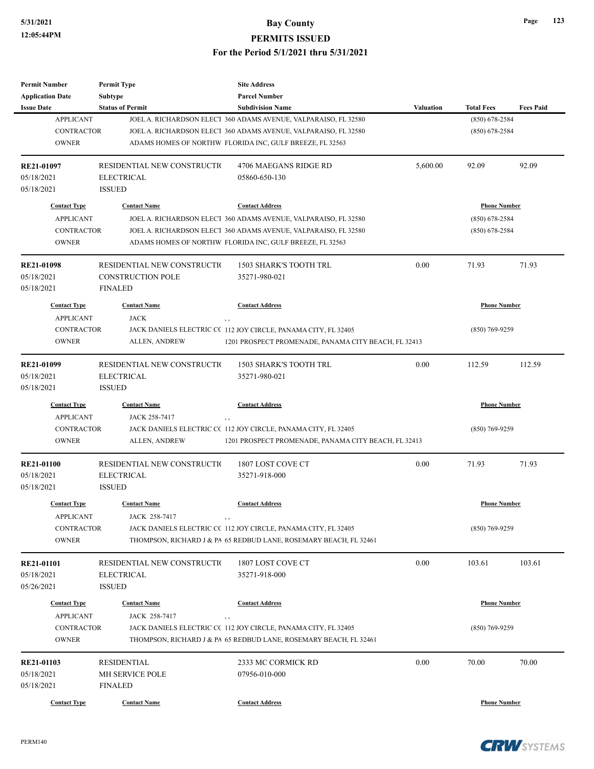| <b>Permit Number</b>    | <b>Permit Type</b>          | <b>Site Address</b>                                               |                  |                     |                  |
|-------------------------|-----------------------------|-------------------------------------------------------------------|------------------|---------------------|------------------|
| <b>Application Date</b> | <b>Subtype</b>              | <b>Parcel Number</b>                                              |                  |                     |                  |
| <b>Issue Date</b>       | <b>Status of Permit</b>     | <b>Subdivision Name</b>                                           | <b>Valuation</b> | <b>Total Fees</b>   | <b>Fees Paid</b> |
| <b>APPLICANT</b>        |                             | JOEL A. RICHARDSON ELECT 360 ADAMS AVENUE, VALPARAISO, FL 32580   |                  | $(850) 678 - 2584$  |                  |
| <b>CONTRACTOR</b>       |                             | JOEL A. RICHARDSON ELECT 360 ADAMS AVENUE, VALPARAISO, FL 32580   |                  | $(850)$ 678-2584    |                  |
| <b>OWNER</b>            |                             | ADAMS HOMES OF NORTHW FLORIDA INC, GULF BREEZE, FL 32563          |                  |                     |                  |
| RE21-01097              | RESIDENTIAL NEW CONSTRUCTIO | 4706 MAEGANS RIDGE RD                                             | 5,600.00         | 92.09               | 92.09            |
| 05/18/2021              | <b>ELECTRICAL</b>           | 05860-650-130                                                     |                  |                     |                  |
| 05/18/2021              | <b>ISSUED</b>               |                                                                   |                  |                     |                  |
| <b>Contact Type</b>     | <b>Contact Name</b>         | <b>Contact Address</b>                                            |                  | <b>Phone Number</b> |                  |
| <b>APPLICANT</b>        |                             | JOEL A. RICHARDSON ELECT 360 ADAMS AVENUE, VALPARAISO, FL 32580   |                  | $(850)$ 678-2584    |                  |
| <b>CONTRACTOR</b>       |                             | JOEL A. RICHARDSON ELECT 360 ADAMS AVENUE, VALPARAISO, FL 32580   |                  | $(850)$ 678-2584    |                  |
| <b>OWNER</b>            |                             | ADAMS HOMES OF NORTHW FLORIDA INC, GULF BREEZE, FL 32563          |                  |                     |                  |
| <b>RE21-01098</b>       | RESIDENTIAL NEW CONSTRUCTIO | 1503 SHARK'S TOOTH TRL                                            | 0.00             | 71.93               | 71.93            |
| 05/18/2021              | <b>CONSTRUCTION POLE</b>    | 35271-980-021                                                     |                  |                     |                  |
| 05/18/2021              | <b>FINALED</b>              |                                                                   |                  |                     |                  |
| <b>Contact Type</b>     | <b>Contact Name</b>         | <b>Contact Address</b>                                            |                  | <b>Phone Number</b> |                  |
| <b>APPLICANT</b>        | <b>JACK</b><br>, ,          |                                                                   |                  |                     |                  |
| <b>CONTRACTOR</b>       |                             | JACK DANIELS ELECTRIC CC 112 JOY CIRCLE, PANAMA CITY, FL 32405    |                  | $(850)$ 769-9259    |                  |
| <b>OWNER</b>            | ALLEN, ANDREW               | 1201 PROSPECT PROMENADE, PANAMA CITY BEACH, FL 32413              |                  |                     |                  |
| RE21-01099              | RESIDENTIAL NEW CONSTRUCTIO | 1503 SHARK'S TOOTH TRL                                            | 0.00             | 112.59              | 112.59           |
| 05/18/2021              | <b>ELECTRICAL</b>           | 35271-980-021                                                     |                  |                     |                  |
| 05/18/2021              | <b>ISSUED</b>               |                                                                   |                  |                     |                  |
| <b>Contact Type</b>     | <b>Contact Name</b>         | <b>Contact Address</b>                                            |                  | <b>Phone Number</b> |                  |
| <b>APPLICANT</b>        | JACK 258-7417<br>, ,        |                                                                   |                  |                     |                  |
| CONTRACTOR              |                             | JACK DANIELS ELECTRIC CC 112 JOY CIRCLE, PANAMA CITY, FL 32405    |                  | $(850)$ 769-9259    |                  |
| <b>OWNER</b>            | ALLEN, ANDREW               | 1201 PROSPECT PROMENADE, PANAMA CITY BEACH, FL 32413              |                  |                     |                  |
| <b>RE21-01100</b>       | RESIDENTIAL NEW CONSTRUCTIO | 1807 LOST COVE CT                                                 | 0.00             | 71.93               | 71.93            |
| 05/18/2021              | <b>ELECTRICAL</b>           | 35271-918-000                                                     |                  |                     |                  |
| 05/18/2021              | <b>ISSUED</b>               |                                                                   |                  |                     |                  |
| <b>Contact Type</b>     | <b>Contact Name</b>         | <b>Contact Address</b>                                            |                  | <b>Phone Number</b> |                  |
| <b>APPLICANT</b>        | JACK 258-7417               |                                                                   |                  |                     |                  |
| <b>CONTRACTOR</b>       |                             | JACK DANIELS ELECTRIC CC 112 JOY CIRCLE, PANAMA CITY, FL 32405    |                  | $(850)$ 769-9259    |                  |
| <b>OWNER</b>            |                             | THOMPSON, RICHARD J & PA 65 REDBUD LANE, ROSEMARY BEACH, FL 32461 |                  |                     |                  |
| <b>RE21-01101</b>       | RESIDENTIAL NEW CONSTRUCTIO | 1807 LOST COVE CT                                                 | 0.00             | 103.61              | 103.61           |
| 05/18/2021              | <b>ELECTRICAL</b>           | 35271-918-000                                                     |                  |                     |                  |
| 05/26/2021              | <b>ISSUED</b>               |                                                                   |                  |                     |                  |
| <b>Contact Type</b>     | <b>Contact Name</b>         | <b>Contact Address</b>                                            |                  | <b>Phone Number</b> |                  |
| <b>APPLICANT</b>        | JACK 258-7417<br>, ,        |                                                                   |                  |                     |                  |
| <b>CONTRACTOR</b>       |                             | JACK DANIELS ELECTRIC CC 112 JOY CIRCLE, PANAMA CITY, FL 32405    |                  | $(850)$ 769-9259    |                  |
| <b>OWNER</b>            |                             | THOMPSON, RICHARD J & PA 65 REDBUD LANE, ROSEMARY BEACH, FL 32461 |                  |                     |                  |
| RE21-01103              | <b>RESIDENTIAL</b>          | 2333 MC CORMICK RD                                                | 0.00             | 70.00               | 70.00            |
| 05/18/2021              | <b>MH SERVICE POLE</b>      | 07956-010-000                                                     |                  |                     |                  |
| 05/18/2021              | <b>FINALED</b>              |                                                                   |                  |                     |                  |
| <b>Contact Type</b>     | <b>Contact Name</b>         | <b>Contact Address</b>                                            |                  | <b>Phone Number</b> |                  |
|                         |                             |                                                                   |                  |                     |                  |

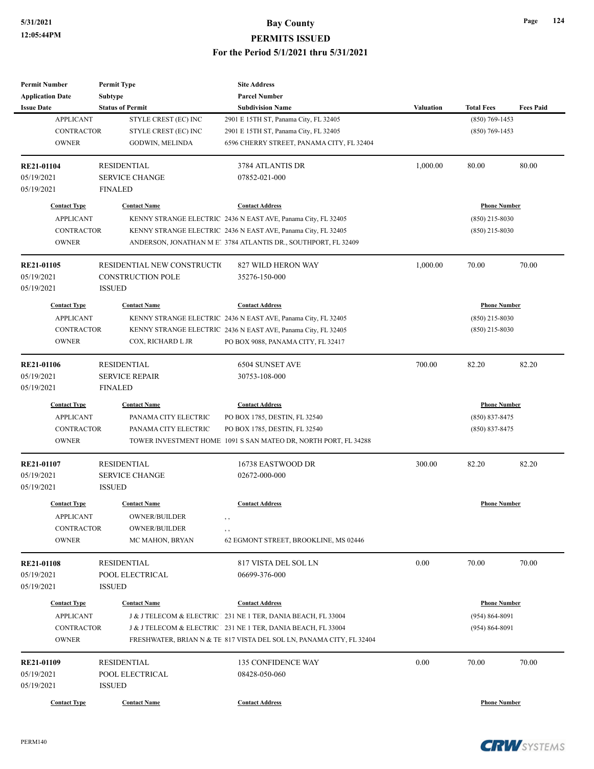| <b>Permit Number</b>    | <b>Permit Type</b>          | <b>Site Address</b>                                                  |           |                     |                  |
|-------------------------|-----------------------------|----------------------------------------------------------------------|-----------|---------------------|------------------|
| <b>Application Date</b> | <b>Subtype</b>              | <b>Parcel Number</b>                                                 |           |                     |                  |
| <b>Issue Date</b>       | <b>Status of Permit</b>     | <b>Subdivision Name</b>                                              | Valuation | <b>Total Fees</b>   | <b>Fees Paid</b> |
| <b>APPLICANT</b>        | STYLE CREST (EC) INC        | 2901 E 15TH ST, Panama City, FL 32405                                |           | $(850) 769 - 1453$  |                  |
| <b>CONTRACTOR</b>       | STYLE CREST (EC) INC        | 2901 E 15TH ST, Panama City, FL 32405                                |           | $(850)$ 769-1453    |                  |
| <b>OWNER</b>            | GODWIN, MELINDA             | 6596 CHERRY STREET, PANAMA CITY, FL 32404                            |           |                     |                  |
| RE21-01104              | <b>RESIDENTIAL</b>          | 3784 ATLANTIS DR                                                     | 1,000.00  | 80.00               | 80.00            |
| 05/19/2021              | <b>SERVICE CHANGE</b>       | 07852-021-000                                                        |           |                     |                  |
| 05/19/2021              | <b>FINALED</b>              |                                                                      |           |                     |                  |
| <b>Contact Type</b>     | <b>Contact Name</b>         | <b>Contact Address</b>                                               |           | <b>Phone Number</b> |                  |
| <b>APPLICANT</b>        |                             | KENNY STRANGE ELECTRIC 2436 N EAST AVE, Panama City, FL 32405        |           | $(850)$ 215-8030    |                  |
| <b>CONTRACTOR</b>       |                             | KENNY STRANGE ELECTRIC 2436 N EAST AVE, Panama City, FL 32405        |           | $(850)$ 215-8030    |                  |
| <b>OWNER</b>            |                             | ANDERSON, JONATHAN M E! 3784 ATLANTIS DR., SOUTHPORT, FL 32409       |           |                     |                  |
| RE21-01105              | RESIDENTIAL NEW CONSTRUCTIO | 827 WILD HERON WAY                                                   | 1,000.00  | 70.00               | 70.00            |
| 05/19/2021              | <b>CONSTRUCTION POLE</b>    | 35276-150-000                                                        |           |                     |                  |
| 05/19/2021              | <b>ISSUED</b>               |                                                                      |           |                     |                  |
| <b>Contact Type</b>     | <b>Contact Name</b>         | <b>Contact Address</b>                                               |           | <b>Phone Number</b> |                  |
| <b>APPLICANT</b>        |                             | KENNY STRANGE ELECTRIC 2436 N EAST AVE, Panama City, FL 32405        |           | $(850)$ 215-8030    |                  |
| <b>CONTRACTOR</b>       |                             | KENNY STRANGE ELECTRIC 2436 N EAST AVE, Panama City, FL 32405        |           | $(850)$ 215-8030    |                  |
| <b>OWNER</b>            | COX, RICHARD L JR           | PO BOX 9088, PANAMA CITY, FL 32417                                   |           |                     |                  |
|                         |                             |                                                                      |           |                     |                  |
| <b>RE21-01106</b>       | <b>RESIDENTIAL</b>          | 6504 SUNSET AVE                                                      | 700.00    | 82.20               | 82.20            |
| 05/19/2021              | <b>SERVICE REPAIR</b>       | 30753-108-000                                                        |           |                     |                  |
| 05/19/2021              | <b>FINALED</b>              |                                                                      |           |                     |                  |
| <b>Contact Type</b>     | <b>Contact Name</b>         | <b>Contact Address</b>                                               |           | <b>Phone Number</b> |                  |
| <b>APPLICANT</b>        | PANAMA CITY ELECTRIC        | PO BOX 1785, DESTIN, FL 32540                                        |           | $(850) 837 - 8475$  |                  |
| <b>CONTRACTOR</b>       | PANAMA CITY ELECTRIC        | PO BOX 1785, DESTIN, FL 32540                                        |           | $(850)$ 837-8475    |                  |
| <b>OWNER</b>            |                             | TOWER INVESTMENT HOME 1091 S SAN MATEO DR, NORTH PORT, FL 34288      |           |                     |                  |
| RE21-01107              | <b>RESIDENTIAL</b>          | 16738 EASTWOOD DR                                                    | 300.00    | 82.20               | 82.20            |
| 05/19/2021              | SERVICE CHANGE              | 02672-000-000                                                        |           |                     |                  |
| 05/19/2021              | <b>ISSUED</b>               |                                                                      |           |                     |                  |
| <b>Contact Type</b>     | <b>Contact Name</b>         | <b>Contact Address</b>                                               |           | <b>Phone Number</b> |                  |
| <b>APPLICANT</b>        | <b>OWNER/BUILDER</b>        |                                                                      |           |                     |                  |
| <b>CONTRACTOR</b>       | OWNER/BUILDER               | , ,                                                                  |           |                     |                  |
| <b>OWNER</b>            | MC MAHON, BRYAN             | ,,<br>62 EGMONT STREET, BROOKLINE, MS 02446                          |           |                     |                  |
| <b>RE21-01108</b>       | <b>RESIDENTIAL</b>          | 817 VISTA DEL SOL LN                                                 | 0.00      | 70.00               | 70.00            |
| 05/19/2021              | POOL ELECTRICAL             | 06699-376-000                                                        |           |                     |                  |
| 05/19/2021              | <b>ISSUED</b>               |                                                                      |           |                     |                  |
|                         |                             |                                                                      |           |                     |                  |
| <b>Contact Type</b>     | <b>Contact Name</b>         | <b>Contact Address</b>                                               |           | <b>Phone Number</b> |                  |
| <b>APPLICANT</b>        |                             | J & J TELECOM & ELECTRIC   231 NE 1 TER, DANIA BEACH, FL 33004       |           | $(954) 864 - 8091$  |                  |
| CONTRACTOR              |                             | J & J TELECOM & ELECTRIC 231 NE 1 TER, DANIA BEACH, FL 33004         |           | $(954) 864 - 8091$  |                  |
| <b>OWNER</b>            |                             | FRESHWATER, BRIAN N & TE 817 VISTA DEL SOL LN, PANAMA CITY, FL 32404 |           |                     |                  |
| RE21-01109              | <b>RESIDENTIAL</b>          | <b>135 CONFIDENCE WAY</b>                                            | 0.00      | 70.00               | 70.00            |
| 05/19/2021              | POOL ELECTRICAL             | 08428-050-060                                                        |           |                     |                  |
| 05/19/2021              | <b>ISSUED</b>               |                                                                      |           |                     |                  |
| <b>Contact Type</b>     | <b>Contact Name</b>         | <b>Contact Address</b>                                               |           | <b>Phone Number</b> |                  |
|                         |                             |                                                                      |           |                     |                  |

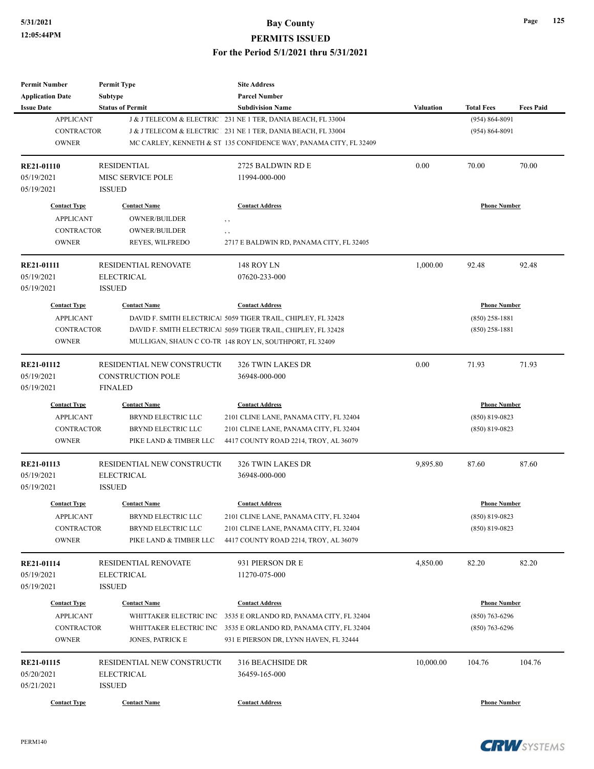| Permit Number<br><b>Application Date</b> | <b>Permit Type</b><br>Subtype | <b>Site Address</b><br><b>Parcel Number</b>                       |           |                     |                  |
|------------------------------------------|-------------------------------|-------------------------------------------------------------------|-----------|---------------------|------------------|
| <b>Issue Date</b>                        | <b>Status of Permit</b>       | <b>Subdivision Name</b>                                           | Valuation | <b>Total Fees</b>   | <b>Fees Paid</b> |
| <b>APPLICANT</b>                         |                               | J & J TELECOM & ELECTRIC   231 NE 1 TER, DANIA BEACH, FL 33004    |           | $(954) 864 - 8091$  |                  |
| <b>CONTRACTOR</b>                        |                               | J & J TELECOM & ELECTRIC 231 NE 1 TER, DANIA BEACH, FL 33004      |           | $(954) 864 - 8091$  |                  |
| <b>OWNER</b>                             |                               | MC CARLEY, KENNETH & ST 135 CONFIDENCE WAY, PANAMA CITY, FL 32409 |           |                     |                  |
|                                          |                               |                                                                   |           |                     |                  |
| <b>RE21-01110</b>                        | <b>RESIDENTIAL</b>            | 2725 BALDWIN RD E                                                 | 0.00      | 70.00               | 70.00            |
| 05/19/2021                               | MISC SERVICE POLE             | 11994-000-000                                                     |           |                     |                  |
| 05/19/2021                               | <b>ISSUED</b>                 |                                                                   |           |                     |                  |
| <b>Contact Type</b>                      | <b>Contact Name</b>           | <b>Contact Address</b>                                            |           | <b>Phone Number</b> |                  |
| <b>APPLICANT</b>                         | <b>OWNER/BUILDER</b>          | $, \, , \,$                                                       |           |                     |                  |
| <b>CONTRACTOR</b>                        | OWNER/BUILDER                 | , ,                                                               |           |                     |                  |
| <b>OWNER</b>                             | REYES, WILFREDO               | 2717 E BALDWIN RD, PANAMA CITY, FL 32405                          |           |                     |                  |
| <b>RE21-01111</b>                        | <b>RESIDENTIAL RENOVATE</b>   | 148 ROY LN                                                        | 1,000.00  | 92.48               | 92.48            |
| 05/19/2021                               | <b>ELECTRICAL</b>             | 07620-233-000                                                     |           |                     |                  |
| 05/19/2021                               | <b>ISSUED</b>                 |                                                                   |           |                     |                  |
| <b>Contact Type</b>                      | <b>Contact Name</b>           | <b>Contact Address</b>                                            |           | <b>Phone Number</b> |                  |
| <b>APPLICANT</b>                         |                               | DAVID F. SMITH ELECTRICAI 5059 TIGER TRAIL, CHIPLEY, FL 32428     |           | $(850)$ 258-1881    |                  |
| <b>CONTRACTOR</b>                        |                               | DAVID F. SMITH ELECTRICAl 5059 TIGER TRAIL, CHIPLEY, FL 32428     |           | $(850)$ 258-1881    |                  |
| <b>OWNER</b>                             |                               | MULLIGAN, SHAUN C CO-TR 148 ROY LN, SOUTHPORT, FL 32409           |           |                     |                  |
|                                          |                               |                                                                   |           |                     |                  |
| RE21-01112                               | RESIDENTIAL NEW CONSTRUCTIO   | 326 TWIN LAKES DR                                                 | 0.00      | 71.93               | 71.93            |
| 05/19/2021                               | <b>CONSTRUCTION POLE</b>      | 36948-000-000                                                     |           |                     |                  |
| 05/19/2021                               | <b>FINALED</b>                |                                                                   |           |                     |                  |
| <b>Contact Type</b>                      | <b>Contact Name</b>           | <b>Contact Address</b>                                            |           | <b>Phone Number</b> |                  |
| <b>APPLICANT</b>                         | BRYND ELECTRIC LLC            | 2101 CLINE LANE, PANAMA CITY, FL 32404                            |           | $(850) 819 - 0823$  |                  |
| <b>CONTRACTOR</b>                        | <b>BRYND ELECTRIC LLC</b>     | 2101 CLINE LANE, PANAMA CITY, FL 32404                            |           | $(850)$ 819-0823    |                  |
| <b>OWNER</b>                             | PIKE LAND & TIMBER LLC        | 4417 COUNTY ROAD 2214, TROY, AL 36079                             |           |                     |                  |
| RE21-01113                               | RESIDENTIAL NEW CONSTRUCTIO   | 326 TWIN LAKES DR                                                 | 9,895.80  | 87.60               | 87.60            |
| 05/19/2021                               | <b>ELECTRICAL</b>             | 36948-000-000                                                     |           |                     |                  |
| 05/19/2021                               | <b>ISSUED</b>                 |                                                                   |           |                     |                  |
| <b>Contact Type</b>                      | <b>Contact Name</b>           | <b>Contact Address</b>                                            |           | <b>Phone Number</b> |                  |
| APPLICANT                                | BRYND ELECTRIC LLC            | 2101 CLINE LANE, PANAMA CITY, FL 32404                            |           | $(850)$ 819-0823    |                  |
|                                          | BRYND ELECTRIC LLC            | 2101 CLINE LANE, PANAMA CITY, FL 32404                            |           | $(850) 819 - 0823$  |                  |
| CONTRACTOR<br><b>OWNER</b>               | PIKE LAND & TIMBER LLC        | 4417 COUNTY ROAD 2214, TROY, AL 36079                             |           |                     |                  |
|                                          |                               |                                                                   |           |                     |                  |
| RE21-01114                               | RESIDENTIAL RENOVATE          | 931 PIERSON DR E                                                  | 4,850.00  | 82.20               | 82.20            |
| 05/19/2021                               | ELECTRICAL                    | 11270-075-000                                                     |           |                     |                  |
| 05/19/2021                               | <b>ISSUED</b>                 |                                                                   |           |                     |                  |
| <b>Contact Type</b>                      | <b>Contact Name</b>           | <b>Contact Address</b>                                            |           | <b>Phone Number</b> |                  |
| <b>APPLICANT</b>                         | WHITTAKER ELECTRIC INC        | 3535 E ORLANDO RD, PANAMA CITY, FL 32404                          |           | $(850)$ 763-6296    |                  |
| <b>CONTRACTOR</b>                        | WHITTAKER ELECTRIC INC        | 3535 E ORLANDO RD, PANAMA CITY, FL 32404                          |           | $(850)$ 763-6296    |                  |
| <b>OWNER</b>                             | JONES, PATRICK E              | 931 E PIERSON DR, LYNN HAVEN, FL 32444                            |           |                     |                  |
| RE21-01115                               | RESIDENTIAL NEW CONSTRUCTIO   | 316 BEACHSIDE DR                                                  | 10,000.00 | 104.76              | 104.76           |
| 05/20/2021                               | <b>ELECTRICAL</b>             | 36459-165-000                                                     |           |                     |                  |
| 05/21/2021                               | <b>ISSUED</b>                 |                                                                   |           |                     |                  |
|                                          |                               |                                                                   |           |                     |                  |
| <b>Contact Type</b>                      | <b>Contact Name</b>           | <b>Contact Address</b>                                            |           | <b>Phone Number</b> |                  |

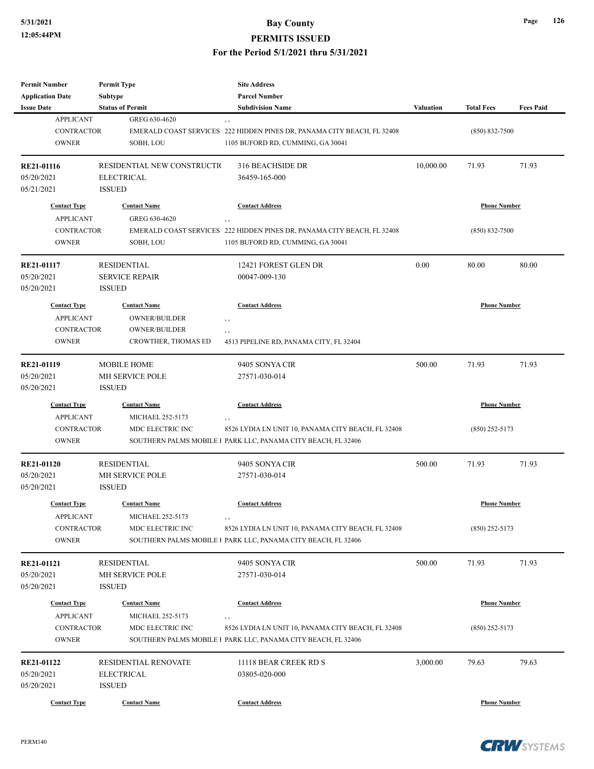| Permit Number           | <b>Permit Type</b>            | <b>Site Address</b>                                                     |           |                     |                  |
|-------------------------|-------------------------------|-------------------------------------------------------------------------|-----------|---------------------|------------------|
| <b>Application Date</b> | <b>Subtype</b>                | <b>Parcel Number</b>                                                    |           |                     |                  |
| <b>Issue Date</b>       | <b>Status of Permit</b>       | <b>Subdivision Name</b>                                                 | Valuation | <b>Total Fees</b>   | <b>Fees Paid</b> |
| <b>APPLICANT</b>        | GREG 630-4620                 | , ,                                                                     |           |                     |                  |
| <b>CONTRACTOR</b>       |                               | EMERALD COAST SERVICES 222 HIDDEN PINES DR, PANAMA CITY BEACH, FL 32408 |           | $(850) 832 - 7500$  |                  |
| <b>OWNER</b>            | SOBH, LOU                     | 1105 BUFORD RD, CUMMING, GA 30041                                       |           |                     |                  |
| RE21-01116              | RESIDENTIAL NEW CONSTRUCTIO   | 316 BEACHSIDE DR                                                        | 10,000.00 | 71.93               | 71.93            |
| 05/20/2021              | <b>ELECTRICAL</b>             | 36459-165-000                                                           |           |                     |                  |
| 05/21/2021              | <b>ISSUED</b>                 |                                                                         |           |                     |                  |
| <b>Contact Type</b>     | <b>Contact Name</b>           | <b>Contact Address</b>                                                  |           | <b>Phone Number</b> |                  |
| <b>APPLICANT</b>        | GREG 630-4620                 | ,,                                                                      |           |                     |                  |
| <b>CONTRACTOR</b>       | <b>EMERALD COAST SERVICES</b> | 222 HIDDEN PINES DR, PANAMA CITY BEACH, FL 32408                        |           | $(850) 832 - 7500$  |                  |
| <b>OWNER</b>            | SOBH, LOU                     | 1105 BUFORD RD, CUMMING, GA 30041                                       |           |                     |                  |
|                         |                               |                                                                         |           |                     |                  |
| <b>RE21-01117</b>       | <b>RESIDENTIAL</b>            | 12421 FOREST GLEN DR                                                    | 0.00      | 80.00               | 80.00            |
| 05/20/2021              | <b>SERVICE REPAIR</b>         | 00047-009-130                                                           |           |                     |                  |
| 05/20/2021              | <b>ISSUED</b>                 |                                                                         |           |                     |                  |
| <b>Contact Type</b>     | <b>Contact Name</b>           | <b>Contact Address</b>                                                  |           | <b>Phone Number</b> |                  |
| <b>APPLICANT</b>        | <b>OWNER/BUILDER</b>          | , ,                                                                     |           |                     |                  |
| <b>CONTRACTOR</b>       | <b>OWNER/BUILDER</b>          | , ,                                                                     |           |                     |                  |
| <b>OWNER</b>            | <b>CROWTHER, THOMAS ED</b>    | 4513 PIPELINE RD, PANAMA CITY, FL 32404                                 |           |                     |                  |
| RE21-01119              | <b>MOBILE HOME</b>            | 9405 SONYA CIR                                                          | 500.00    | 71.93               | 71.93            |
| 05/20/2021              | MH SERVICE POLE               | 27571-030-014                                                           |           |                     |                  |
| 05/20/2021              | <b>ISSUED</b>                 |                                                                         |           |                     |                  |
| <b>Contact Type</b>     | <b>Contact Name</b>           | <b>Contact Address</b>                                                  |           | <b>Phone Number</b> |                  |
| <b>APPLICANT</b>        | MICHAEL 252-5173              |                                                                         |           |                     |                  |
| <b>CONTRACTOR</b>       | MDC ELECTRIC INC              | , ,<br>8526 LYDIA LN UNIT 10, PANAMA CITY BEACH, FL 32408               |           | $(850)$ 252-5173    |                  |
| <b>OWNER</b>            |                               | SOUTHERN PALMS MOBILE I PARK LLC, PANAMA CITY BEACH, FL 32406           |           |                     |                  |
| <b>RE21-01120</b>       | <b>RESIDENTIAL</b>            | 9405 SONYA CIR                                                          | 500.00    | 71.93               | 71.93            |
| 05/20/2021              | <b>MH SERVICE POLE</b>        | 27571-030-014                                                           |           |                     |                  |
| 05/20/2021              | <b>ISSUED</b>                 |                                                                         |           |                     |                  |
|                         |                               |                                                                         |           |                     |                  |
| <b>Contact Type</b>     | <b>Contact Name</b>           | <b>Contact Address</b>                                                  |           | <b>Phone Number</b> |                  |
| <b>APPLICANT</b>        | MICHAEL 252-5173              |                                                                         |           |                     |                  |
| CONTRACTOR              | MDC ELECTRIC INC              | 8526 LYDIA LN UNIT 10, PANAMA CITY BEACH, FL 32408                      |           | (850) 252-5173      |                  |
| <b>OWNER</b>            |                               | SOUTHERN PALMS MOBILE I PARK LLC, PANAMA CITY BEACH, FL 32406           |           |                     |                  |
| RE21-01121              | <b>RESIDENTIAL</b>            | 9405 SONYA CIR                                                          | 500.00    | 71.93               | 71.93            |
| 05/20/2021              | MH SERVICE POLE               | 27571-030-014                                                           |           |                     |                  |
| 05/20/2021              | <b>ISSUED</b>                 |                                                                         |           |                     |                  |
| <b>Contact Type</b>     | <b>Contact Name</b>           | <b>Contact Address</b>                                                  |           | <b>Phone Number</b> |                  |
| <b>APPLICANT</b>        | MICHAEL 252-5173              |                                                                         |           |                     |                  |
| CONTRACTOR              | MDC ELECTRIC INC              | $, \, ,$<br>8526 LYDIA LN UNIT 10, PANAMA CITY BEACH, FL 32408          |           | $(850)$ 252-5173    |                  |
| <b>OWNER</b>            |                               | SOUTHERN PALMS MOBILE I PARK LLC, PANAMA CITY BEACH, FL 32406           |           |                     |                  |
|                         |                               |                                                                         |           |                     |                  |
| RE21-01122              | RESIDENTIAL RENOVATE          | 11118 BEAR CREEK RD S                                                   | 3,000.00  | 79.63               | 79.63            |
| 05/20/2021              | <b>ELECTRICAL</b>             | 03805-020-000                                                           |           |                     |                  |
| 05/20/2021              | <b>ISSUED</b>                 |                                                                         |           |                     |                  |
| <b>Contact Type</b>     | <b>Contact Name</b>           | <b>Contact Address</b>                                                  |           | <b>Phone Number</b> |                  |

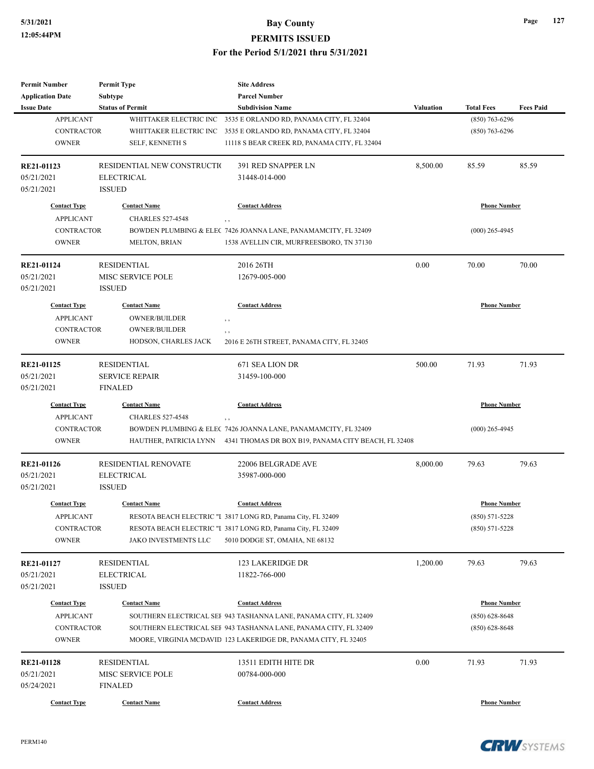| <b>Permit Number</b><br><b>Application Date</b> | <b>Permit Type</b><br><b>Subtype</b> | <b>Site Address</b><br><b>Parcel Number</b>                      |                  |                     |                  |
|-------------------------------------------------|--------------------------------------|------------------------------------------------------------------|------------------|---------------------|------------------|
| <b>Issue Date</b>                               | <b>Status of Permit</b>              | <b>Subdivision Name</b>                                          | <b>Valuation</b> | <b>Total Fees</b>   | <b>Fees Paid</b> |
| <b>APPLICANT</b>                                | WHITTAKER ELECTRIC INC               | 3535 E ORLANDO RD, PANAMA CITY, FL 32404                         |                  | $(850)$ 763-6296    |                  |
| <b>CONTRACTOR</b>                               | WHITTAKER ELECTRIC INC               | 3535 E ORLANDO RD, PANAMA CITY, FL 32404                         |                  | $(850)$ 763-6296    |                  |
| <b>OWNER</b>                                    | SELF, KENNETH S                      | 11118 S BEAR CREEK RD, PANAMA CITY, FL 32404                     |                  |                     |                  |
| RE21-01123                                      | RESIDENTIAL NEW CONSTRUCTION         | 391 RED SNAPPER LN                                               | 8,500.00         | 85.59               | 85.59            |
| 05/21/2021                                      | <b>ELECTRICAL</b>                    | 31448-014-000                                                    |                  |                     |                  |
| 05/21/2021                                      | <b>ISSUED</b>                        |                                                                  |                  |                     |                  |
| <b>Contact Type</b>                             | <b>Contact Name</b>                  | <b>Contact Address</b>                                           |                  | <b>Phone Number</b> |                  |
| <b>APPLICANT</b>                                | <b>CHARLES 527-4548</b>              | , ,                                                              |                  |                     |                  |
| <b>CONTRACTOR</b>                               |                                      | BOWDEN PLUMBING & ELEC 7426 JOANNA LANE, PANAMAMCITY, FL 32409   |                  | $(000)$ 265-4945    |                  |
| <b>OWNER</b>                                    | <b>MELTON, BRIAN</b>                 | 1538 AVELLIN CIR, MURFREESBORO, TN 37130                         |                  |                     |                  |
| RE21-01124                                      | <b>RESIDENTIAL</b>                   | 2016 26TH                                                        | 0.00             | 70.00               | 70.00            |
| 05/21/2021                                      | MISC SERVICE POLE                    | 12679-005-000                                                    |                  |                     |                  |
| 05/21/2021                                      | <b>ISSUED</b>                        |                                                                  |                  |                     |                  |
| <b>Contact Type</b>                             | <b>Contact Name</b>                  | <b>Contact Address</b>                                           |                  | <b>Phone Number</b> |                  |
| <b>APPLICANT</b>                                | <b>OWNER/BUILDER</b>                 | , ,                                                              |                  |                     |                  |
| <b>CONTRACTOR</b>                               | <b>OWNER/BUILDER</b>                 | , ,                                                              |                  |                     |                  |
| <b>OWNER</b>                                    | HODSON, CHARLES JACK                 | 2016 E 26TH STREET, PANAMA CITY, FL 32405                        |                  |                     |                  |
| RE21-01125                                      | <b>RESIDENTIAL</b>                   | 671 SEA LION DR                                                  | 500.00           | 71.93               | 71.93            |
| 05/21/2021                                      | <b>SERVICE REPAIR</b>                | 31459-100-000                                                    |                  |                     |                  |
| 05/21/2021                                      | <b>FINALED</b>                       |                                                                  |                  |                     |                  |
| <b>Contact Type</b>                             | <b>Contact Name</b>                  | <b>Contact Address</b>                                           |                  | <b>Phone Number</b> |                  |
| <b>APPLICANT</b>                                | <b>CHARLES 527-4548</b>              | $, \, ,$                                                         |                  |                     |                  |
| <b>CONTRACTOR</b>                               |                                      | BOWDEN PLUMBING & ELEC 7426 JOANNA LANE, PANAMAMCITY, FL 32409   |                  | $(000)$ 265-4945    |                  |
| <b>OWNER</b>                                    | HAUTHER, PATRICIA LYNN               | 4341 THOMAS DR BOX B19, PANAMA CITY BEACH, FL 32408              |                  |                     |                  |
| RE21-01126                                      | <b>RESIDENTIAL RENOVATE</b>          | 22006 BELGRADE AVE                                               | 8,000.00         | 79.63               | 79.63            |
| 05/21/2021                                      | <b>ELECTRICAL</b>                    | 35987-000-000                                                    |                  |                     |                  |
| 05/21/2021                                      | <b>ISSUED</b>                        |                                                                  |                  |                     |                  |
| <b>Contact Type</b>                             | <b>Contact Name</b>                  | <b>Contact Address</b>                                           |                  | <b>Phone Number</b> |                  |
| <b>APPLICANT</b>                                |                                      | RESOTA BEACH ELECTRIC "I 3817 LONG RD, Panama City, FL 32409     |                  | $(850) 571 - 5228$  |                  |
| <b>CONTRACTOR</b>                               |                                      | RESOTA BEACH ELECTRIC "I 3817 LONG RD, Panama City, FL 32409     |                  | $(850) 571 - 5228$  |                  |
| <b>OWNER</b>                                    | JAKO INVESTMENTS LLC                 | 5010 DODGE ST, OMAHA, NE 68132                                   |                  |                     |                  |
| <b>RE21-01127</b>                               | <b>RESIDENTIAL</b>                   | 123 LAKERIDGE DR                                                 | 1,200.00         | 79.63               | 79.63            |
| 05/21/2021                                      | <b>ELECTRICAL</b>                    | 11822-766-000                                                    |                  |                     |                  |
| 05/21/2021                                      | <b>ISSUED</b>                        |                                                                  |                  |                     |                  |
| <b>Contact Type</b>                             | <b>Contact Name</b>                  | <b>Contact Address</b>                                           |                  | <b>Phone Number</b> |                  |
| <b>APPLICANT</b>                                |                                      | SOUTHERN ELECTRICAL SEF 943 TASHANNA LANE, PANAMA CITY, FL 32409 |                  | $(850) 628 - 8648$  |                  |
| CONTRACTOR                                      |                                      | SOUTHERN ELECTRICAL SEF 943 TASHANNA LANE, PANAMA CITY, FL 32409 |                  | $(850)$ 628-8648    |                  |
| <b>OWNER</b>                                    |                                      | MOORE, VIRGINIA MCDAVID 123 LAKERIDGE DR, PANAMA CITY, FL 32405  |                  |                     |                  |
|                                                 | <b>RESIDENTIAL</b>                   |                                                                  | 0.00             |                     | 71.93            |
| <b>RE21-01128</b>                               | MISC SERVICE POLE                    | 13511 EDITH HITE DR                                              |                  | 71.93               |                  |
| 05/21/2021<br>05/24/2021                        | <b>FINALED</b>                       | 00784-000-000                                                    |                  |                     |                  |
|                                                 |                                      |                                                                  |                  |                     |                  |
| <b>Contact Type</b>                             | <b>Contact Name</b>                  | <b>Contact Address</b>                                           |                  | <b>Phone Number</b> |                  |



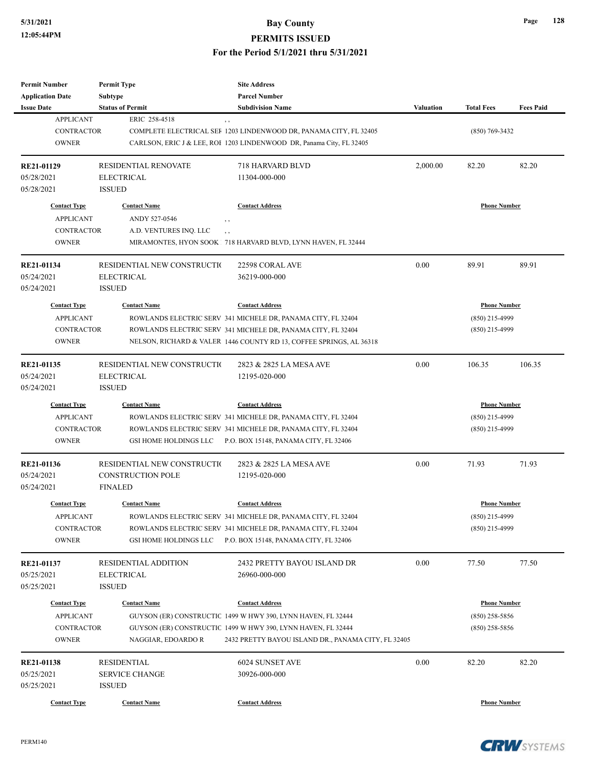| <b>Permit Number</b><br><b>Application Date</b> | <b>Permit Type</b><br><b>Subtype</b>             | <b>Site Address</b><br><b>Parcel Number</b>                                   |           |                     |                  |
|-------------------------------------------------|--------------------------------------------------|-------------------------------------------------------------------------------|-----------|---------------------|------------------|
| <b>Issue Date</b>                               | <b>Status of Permit</b>                          | <b>Subdivision Name</b>                                                       | Valuation | <b>Total Fees</b>   | <b>Fees Paid</b> |
| <b>APPLICANT</b>                                | ERIC 258-4518                                    |                                                                               |           |                     |                  |
| <b>CONTRACTOR</b>                               |                                                  | $, \, ,$<br>COMPLETE ELECTRICAL SEF 1203 LINDENWOOD DR, PANAMA CITY, FL 32405 |           | $(850)$ 769-3432    |                  |
| <b>OWNER</b>                                    |                                                  | CARLSON, ERIC J & LEE, ROI 1203 LINDENWOOD DR, Panama City, FL 32405          |           |                     |                  |
|                                                 |                                                  |                                                                               |           |                     |                  |
| RE21-01129                                      | <b>RESIDENTIAL RENOVATE</b>                      | 718 HARVARD BLVD                                                              | 2,000.00  | 82.20               | 82.20            |
| 05/28/2021                                      | <b>ELECTRICAL</b>                                | 11304-000-000                                                                 |           |                     |                  |
| 05/28/2021                                      | <b>ISSUED</b>                                    |                                                                               |           |                     |                  |
| <b>Contact Type</b>                             | <b>Contact Name</b>                              | <b>Contact Address</b>                                                        |           | <b>Phone Number</b> |                  |
| <b>APPLICANT</b>                                | ANDY 527-0546                                    | , ,                                                                           |           |                     |                  |
| <b>CONTRACTOR</b>                               | A.D. VENTURES INQ. LLC                           | $, \, , \,$                                                                   |           |                     |                  |
| <b>OWNER</b>                                    |                                                  | MIRAMONTES, HYON SOOK 718 HARVARD BLVD, LYNN HAVEN, FL 32444                  |           |                     |                  |
|                                                 |                                                  |                                                                               |           |                     |                  |
| RE21-01134                                      | RESIDENTIAL NEW CONSTRUCTIO                      | 22598 CORAL AVE                                                               | 0.00      | 89.91               | 89.91            |
| 05/24/2021                                      | <b>ELECTRICAL</b>                                | 36219-000-000                                                                 |           |                     |                  |
| 05/24/2021                                      | <b>ISSUED</b>                                    |                                                                               |           |                     |                  |
| <b>Contact Type</b>                             | <b>Contact Name</b>                              | <b>Contact Address</b>                                                        |           | <b>Phone Number</b> |                  |
| <b>APPLICANT</b>                                |                                                  | ROWLANDS ELECTRIC SERV 341 MICHELE DR, PANAMA CITY, FL 32404                  |           | (850) 215-4999      |                  |
| <b>CONTRACTOR</b>                               |                                                  | ROWLANDS ELECTRIC SERV 341 MICHELE DR, PANAMA CITY, FL 32404                  |           | $(850)$ 215-4999    |                  |
| <b>OWNER</b>                                    |                                                  | NELSON, RICHARD & VALER 1446 COUNTY RD 13, COFFEE SPRINGS, AL 36318           |           |                     |                  |
|                                                 |                                                  |                                                                               |           |                     |                  |
| RE21-01135                                      | RESIDENTIAL NEW CONSTRUCTIO                      | 2823 & 2825 LA MESA AVE                                                       | 0.00      | 106.35              | 106.35           |
| 05/24/2021                                      | <b>ELECTRICAL</b>                                | 12195-020-000                                                                 |           |                     |                  |
| 05/24/2021                                      | <b>ISSUED</b>                                    |                                                                               |           |                     |                  |
| <b>Contact Type</b>                             | <b>Contact Name</b>                              | <b>Contact Address</b>                                                        |           | <b>Phone Number</b> |                  |
| <b>APPLICANT</b>                                |                                                  | ROWLANDS ELECTRIC SERV 341 MICHELE DR, PANAMA CITY, FL 32404                  |           | (850) 215-4999      |                  |
| <b>CONTRACTOR</b>                               |                                                  | ROWLANDS ELECTRIC SERV 341 MICHELE DR, PANAMA CITY, FL 32404                  |           | $(850)$ 215-4999    |                  |
| <b>OWNER</b>                                    | GSI HOME HOLDINGS LLC                            | P.O. BOX 15148, PANAMA CITY, FL 32406                                         |           |                     |                  |
|                                                 |                                                  |                                                                               |           |                     |                  |
| RE21-01136                                      | RESIDENTIAL NEW CONSTRUCTIO                      | 2823 & 2825 LA MESA AVE                                                       | 0.00      | 71.93               | 71.93            |
| 05/24/2021                                      | <b>CONSTRUCTION POLE</b>                         | 12195-020-000                                                                 |           |                     |                  |
| 05/24/2021                                      | <b>FINALED</b>                                   |                                                                               |           |                     |                  |
| <b>Contact Type</b>                             | <b>Contact Name</b>                              | <b>Contact Address</b>                                                        |           | <b>Phone Number</b> |                  |
| APPLICANT                                       |                                                  | ROWLANDS ELECTRIC SERV 341 MICHELE DR, PANAMA CITY, FL 32404                  |           | (850) 215-4999      |                  |
| CONTRACTOR                                      |                                                  | ROWLANDS ELECTRIC SERV 341 MICHELE DR, PANAMA CITY, FL 32404                  |           | $(850)$ 215-4999    |                  |
| <b>OWNER</b>                                    | GSI HOME HOLDINGS LLC                            | P.O. BOX 15148, PANAMA CITY, FL 32406                                         |           |                     |                  |
|                                                 |                                                  |                                                                               |           |                     |                  |
| RE21-01137<br>05/25/2021                        | <b>RESIDENTIAL ADDITION</b><br><b>ELECTRICAL</b> | 2432 PRETTY BAYOU ISLAND DR                                                   | 0.00      | 77.50               | 77.50            |
|                                                 |                                                  | 26960-000-000                                                                 |           |                     |                  |
| 05/25/2021                                      | <b>ISSUED</b>                                    |                                                                               |           |                     |                  |
| <b>Contact Type</b>                             | <b>Contact Name</b>                              | <b>Contact Address</b>                                                        |           | <b>Phone Number</b> |                  |
| <b>APPLICANT</b>                                |                                                  | GUYSON (ER) CONSTRUCTIC 1499 W HWY 390, LYNN HAVEN, FL 32444                  |           | $(850)$ 258-5856    |                  |
| CONTRACTOR                                      |                                                  | GUYSON (ER) CONSTRUCTIC 1499 W HWY 390, LYNN HAVEN, FL 32444                  |           | $(850)$ 258-5856    |                  |
| <b>OWNER</b>                                    | NAGGIAR, EDOARDO R                               | 2432 PRETTY BAYOU ISLAND DR., PANAMA CITY, FL 32405                           |           |                     |                  |
|                                                 |                                                  |                                                                               |           |                     |                  |
| RE21-01138                                      | <b>RESIDENTIAL</b>                               | 6024 SUNSET AVE                                                               | 0.00      | 82.20               | 82.20            |
| 05/25/2021                                      | <b>SERVICE CHANGE</b>                            | 30926-000-000                                                                 |           |                     |                  |
| 05/25/2021                                      | <b>ISSUED</b>                                    |                                                                               |           |                     |                  |
| <b>Contact Type</b>                             | <b>Contact Name</b>                              | <b>Contact Address</b>                                                        |           | <b>Phone Number</b> |                  |

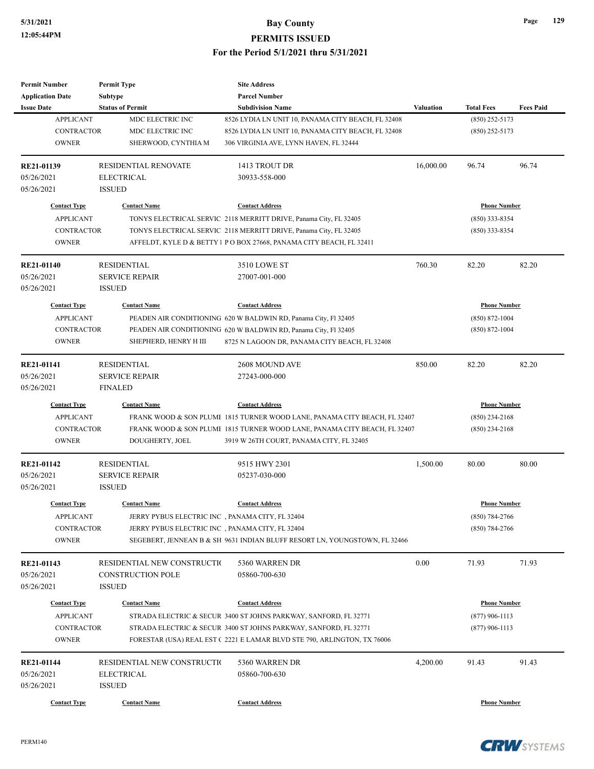| <b>Permit Number</b>    | <b>Permit Type</b>          | <b>Site Address</b>                                                        |                  |                     |                  |
|-------------------------|-----------------------------|----------------------------------------------------------------------------|------------------|---------------------|------------------|
| <b>Application Date</b> | <b>Subtype</b>              | <b>Parcel Number</b>                                                       |                  |                     |                  |
| <b>Issue Date</b>       | <b>Status of Permit</b>     | <b>Subdivision Name</b>                                                    | <b>Valuation</b> | <b>Total Fees</b>   | <b>Fees Paid</b> |
| <b>APPLICANT</b>        | MDC ELECTRIC INC            | 8526 LYDIA LN UNIT 10, PANAMA CITY BEACH, FL 32408                         |                  | $(850)$ 252-5173    |                  |
| <b>CONTRACTOR</b>       | MDC ELECTRIC INC            | 8526 LYDIA LN UNIT 10, PANAMA CITY BEACH, FL 32408                         |                  | $(850)$ 252-5173    |                  |
| <b>OWNER</b>            | SHERWOOD, CYNTHIA M         | 306 VIRGINIA AVE, LYNN HAVEN, FL 32444                                     |                  |                     |                  |
| RE21-01139              | <b>RESIDENTIAL RENOVATE</b> | 1413 TROUT DR                                                              | 16,000.00        | 96.74               | 96.74            |
| 05/26/2021              | <b>ELECTRICAL</b>           | 30933-558-000                                                              |                  |                     |                  |
| 05/26/2021              | <b>ISSUED</b>               |                                                                            |                  |                     |                  |
| <b>Contact Type</b>     | <b>Contact Name</b>         | <b>Contact Address</b>                                                     |                  | <b>Phone Number</b> |                  |
| <b>APPLICANT</b>        |                             | TONYS ELECTRICAL SERVIC 2118 MERRITT DRIVE, Panama City, FL 32405          |                  | $(850)$ 333-8354    |                  |
| CONTRACTOR              |                             | TONYS ELECTRICAL SERVIC 2118 MERRITT DRIVE, Panama City, FL 32405          |                  | $(850)$ 333-8354    |                  |
| <b>OWNER</b>            |                             | AFFELDT, KYLE D & BETTY 1 P O BOX 27668, PANAMA CITY BEACH, FL 32411       |                  |                     |                  |
| <b>RE21-01140</b>       | <b>RESIDENTIAL</b>          | 3510 LOWE ST                                                               | 760.30           | 82.20               | 82.20            |
| 05/26/2021              | <b>SERVICE REPAIR</b>       | 27007-001-000                                                              |                  |                     |                  |
| 05/26/2021              | <b>ISSUED</b>               |                                                                            |                  |                     |                  |
| <b>Contact Type</b>     | <b>Contact Name</b>         | <b>Contact Address</b>                                                     |                  | <b>Phone Number</b> |                  |
| <b>APPLICANT</b>        |                             | PEADEN AIR CONDITIONING 620 W BALDWIN RD, Panama City, Fl 32405            |                  | $(850) 872 - 1004$  |                  |
| <b>CONTRACTOR</b>       |                             | PEADEN AIR CONDITIONING 620 W BALDWIN RD, Panama City, Fl 32405            |                  | $(850)$ 872-1004    |                  |
| <b>OWNER</b>            | SHEPHERD, HENRY H III       | 8725 N LAGOON DR, PANAMA CITY BEACH, FL 32408                              |                  |                     |                  |
|                         |                             |                                                                            |                  |                     |                  |
| RE21-01141              | <b>RESIDENTIAL</b>          | 2608 MOUND AVE                                                             | 850.00           | 82.20               | 82.20            |
| 05/26/2021              | <b>SERVICE REPAIR</b>       | 27243-000-000                                                              |                  |                     |                  |
| 05/26/2021              | <b>FINALED</b>              |                                                                            |                  |                     |                  |
| <b>Contact Type</b>     | <b>Contact Name</b>         | <b>Contact Address</b>                                                     |                  | <b>Phone Number</b> |                  |
| <b>APPLICANT</b>        |                             | FRANK WOOD & SON PLUME 1815 TURNER WOOD LANE, PANAMA CITY BEACH, FL 32407  |                  | $(850)$ 234-2168    |                  |
| <b>CONTRACTOR</b>       |                             | FRANK WOOD & SON PLUME 1815 TURNER WOOD LANE, PANAMA CITY BEACH, FL 32407  |                  | $(850)$ 234-2168    |                  |
| <b>OWNER</b>            | DOUGHERTY, JOEL             | 3919 W 26TH COURT, PANAMA CITY, FL 32405                                   |                  |                     |                  |
| <b>RE21-01142</b>       | <b>RESIDENTIAL</b>          | 9515 HWY 2301                                                              | 1,500.00         | 80.00               | 80.00            |
| 05/26/2021              | <b>SERVICE REPAIR</b>       | 05237-030-000                                                              |                  |                     |                  |
| 05/26/2021              | <b>ISSUED</b>               |                                                                            |                  |                     |                  |
| <b>Contact Type</b>     | <b>Contact Name</b>         | <b>Contact Address</b>                                                     |                  | <b>Phone Number</b> |                  |
| <b>APPLICANT</b>        |                             | JERRY PYBUS ELECTRIC INC , PANAMA CITY, FL 32404                           |                  | $(850) 784 - 2766$  |                  |
| CONTRACTOR              |                             | JERRY PYBUS ELECTRIC INC, PANAMA CITY, FL 32404                            |                  | $(850)$ 784-2766    |                  |
| <b>OWNER</b>            |                             | SEGEBERT, JENNEAN B & SH 9631 INDIAN BLUFF RESORT LN, YOUNGSTOWN, FL 32466 |                  |                     |                  |
| RE21-01143              | RESIDENTIAL NEW CONSTRUCTIO | 5360 WARREN DR                                                             | 0.00             | 71.93               | 71.93            |
| 05/26/2021              | <b>CONSTRUCTION POLE</b>    | 05860-700-630                                                              |                  |                     |                  |
| 05/26/2021              | <b>ISSUED</b>               |                                                                            |                  |                     |                  |
|                         |                             |                                                                            |                  |                     |                  |
| <b>Contact Type</b>     | <b>Contact Name</b>         | <b>Contact Address</b>                                                     |                  | <b>Phone Number</b> |                  |
| <b>APPLICANT</b>        |                             | STRADA ELECTRIC & SECUR 3400 ST JOHNS PARKWAY, SANFORD, FL 32771           |                  | $(877)$ 906-1113    |                  |
| CONTRACTOR              |                             | STRADA ELECTRIC & SECUR 3400 ST JOHNS PARKWAY, SANFORD, FL 32771           |                  | $(877)$ 906-1113    |                  |
| <b>OWNER</b>            |                             | FORESTAR (USA) REAL EST (2221 E LAMAR BLVD STE 790, ARLINGTON, TX 76006    |                  |                     |                  |
| RE21-01144              | RESIDENTIAL NEW CONSTRUCTIO | 5360 WARREN DR                                                             | 4,200.00         | 91.43               | 91.43            |
| 05/26/2021              | <b>ELECTRICAL</b>           | 05860-700-630                                                              |                  |                     |                  |
| 05/26/2021              | <b>ISSUED</b>               |                                                                            |                  |                     |                  |
|                         |                             |                                                                            |                  |                     |                  |
| <b>Contact Type</b>     | <b>Contact Name</b>         | <b>Contact Address</b>                                                     |                  | <b>Phone Number</b> |                  |

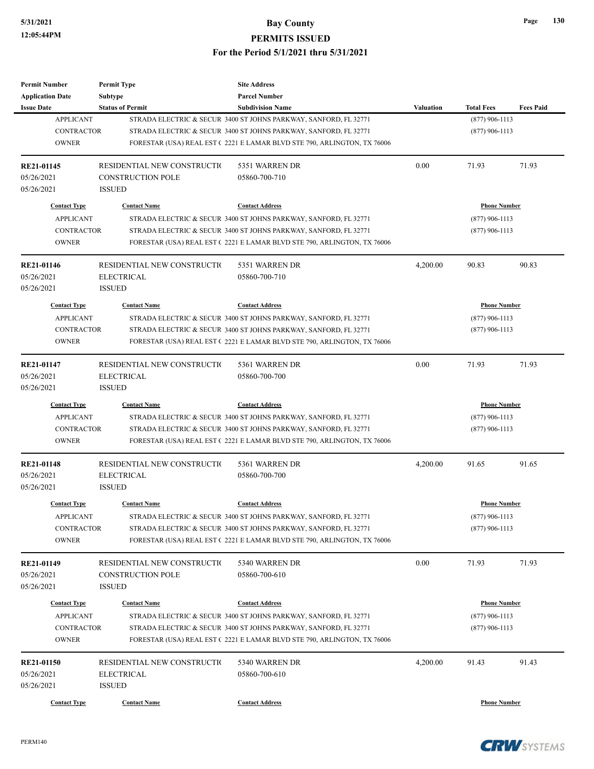| Permit Number                   | <b>Permit Type</b>           | <b>Site Address</b>                                                     |           |                     |                  |
|---------------------------------|------------------------------|-------------------------------------------------------------------------|-----------|---------------------|------------------|
| <b>Application Date</b>         | <b>Subtype</b>               | <b>Parcel Number</b>                                                    |           |                     |                  |
| <b>Issue Date</b>               | <b>Status of Permit</b>      | <b>Subdivision Name</b>                                                 | Valuation | <b>Total Fees</b>   | <b>Fees Paid</b> |
| <b>APPLICANT</b>                |                              | STRADA ELECTRIC & SECUR 3400 ST JOHNS PARKWAY, SANFORD, FL 32771        |           | $(877)$ 906-1113    |                  |
| <b>CONTRACTOR</b>               |                              | STRADA ELECTRIC & SECUR 3400 ST JOHNS PARKWAY, SANFORD, FL 32771        |           | $(877)$ 906-1113    |                  |
| <b>OWNER</b>                    |                              | FORESTAR (USA) REAL EST (2221 E LAMAR BLVD STE 790, ARLINGTON, TX 76006 |           |                     |                  |
|                                 |                              |                                                                         |           |                     |                  |
| RE21-01145                      | RESIDENTIAL NEW CONSTRUCTIO  | 5351 WARREN DR                                                          | 0.00      | 71.93               | 71.93            |
| 05/26/2021                      | <b>CONSTRUCTION POLE</b>     | 05860-700-710                                                           |           |                     |                  |
| 05/26/2021                      | <b>ISSUED</b>                |                                                                         |           |                     |                  |
| <b>Contact Type</b>             | <b>Contact Name</b>          | <b>Contact Address</b>                                                  |           | <b>Phone Number</b> |                  |
| <b>APPLICANT</b>                |                              | STRADA ELECTRIC & SECUR 3400 ST JOHNS PARKWAY, SANFORD, FL 32771        |           | $(877)$ 906-1113    |                  |
| <b>CONTRACTOR</b>               |                              | STRADA ELECTRIC & SECUR 3400 ST JOHNS PARKWAY, SANFORD, FL 32771        |           | $(877)$ 906-1113    |                  |
| <b>OWNER</b>                    |                              | FORESTAR (USA) REAL EST (2221 E LAMAR BLVD STE 790, ARLINGTON, TX 76006 |           |                     |                  |
|                                 |                              |                                                                         |           |                     |                  |
| <b>RE21-01146</b>               | RESIDENTIAL NEW CONSTRUCTIO  | 5351 WARREN DR                                                          | 4,200.00  | 90.83               | 90.83            |
| 05/26/2021                      | <b>ELECTRICAL</b>            | 05860-700-710                                                           |           |                     |                  |
| 05/26/2021                      | <b>ISSUED</b>                |                                                                         |           |                     |                  |
| <b>Contact Type</b>             | <b>Contact Name</b>          | <b>Contact Address</b>                                                  |           | <b>Phone Number</b> |                  |
| <b>APPLICANT</b>                |                              | STRADA ELECTRIC & SECUR 3400 ST JOHNS PARKWAY, SANFORD, FL 32771        |           | $(877)$ 906-1113    |                  |
|                                 |                              |                                                                         |           |                     |                  |
| <b>CONTRACTOR</b>               |                              | STRADA ELECTRIC & SECUR 3400 ST JOHNS PARKWAY, SANFORD, FL 32771        |           | $(877)$ 906-1113    |                  |
| <b>OWNER</b>                    |                              | FORESTAR (USA) REAL EST (2221 E LAMAR BLVD STE 790, ARLINGTON, TX 76006 |           |                     |                  |
| <b>RE21-01147</b>               | RESIDENTIAL NEW CONSTRUCTIO  | 5361 WARREN DR                                                          | 0.00      | 71.93               | 71.93            |
| 05/26/2021                      | <b>ELECTRICAL</b>            | 05860-700-700                                                           |           |                     |                  |
| 05/26/2021                      | <b>ISSUED</b>                |                                                                         |           |                     |                  |
| <b>Contact Type</b>             | <b>Contact Name</b>          | <b>Contact Address</b>                                                  |           | <b>Phone Number</b> |                  |
| <b>APPLICANT</b>                |                              | STRADA ELECTRIC & SECUR 3400 ST JOHNS PARKWAY, SANFORD, FL 32771        |           | $(877)$ 906-1113    |                  |
|                                 |                              |                                                                         |           |                     |                  |
| <b>CONTRACTOR</b>               |                              | STRADA ELECTRIC & SECUR 3400 ST JOHNS PARKWAY, SANFORD, FL 32771        |           | $(877)$ 906-1113    |                  |
| <b>OWNER</b>                    |                              | FORESTAR (USA) REAL EST (2221 E LAMAR BLVD STE 790, ARLINGTON, TX 76006 |           |                     |                  |
| RE21-01148                      | RESIDENTIAL NEW CONSTRUCTION | 5361 WARREN DR                                                          | 4,200.00  | 91.65               | 91.65            |
| 05/26/2021                      | <b>ELECTRICAL</b>            | 05860-700-700                                                           |           |                     |                  |
| 05/26/2021                      | <b>ISSUED</b>                |                                                                         |           |                     |                  |
|                                 |                              |                                                                         |           |                     |                  |
| <b>Contact Type</b>             | <b>Contact Name</b>          | <b>Contact Address</b>                                                  |           | <b>Phone Number</b> |                  |
| APPLICANT                       |                              | STRADA ELECTRIC & SECUR 3400 ST JOHNS PARKWAY, SANFORD, FL 32771        |           | $(877)$ 906-1113    |                  |
| CONTRACTOR                      |                              | STRADA ELECTRIC & SECUR 3400 ST JOHNS PARKWAY, SANFORD, FL 32771        |           | $(877)$ 906-1113    |                  |
| <b>OWNER</b>                    |                              | FORESTAR (USA) REAL EST (2221 E LAMAR BLVD STE 790, ARLINGTON, TX 76006 |           |                     |                  |
|                                 | RESIDENTIAL NEW CONSTRUCTIO  | 5340 WARREN DR                                                          | 0.00      | 71.93               | 71.93            |
| <b>RE21-01149</b><br>05/26/2021 | CONSTRUCTION POLE            | 05860-700-610                                                           |           |                     |                  |
|                                 |                              |                                                                         |           |                     |                  |
| 05/26/2021                      | <b>ISSUED</b>                |                                                                         |           |                     |                  |
| <b>Contact Type</b>             | <b>Contact Name</b>          | <b>Contact Address</b>                                                  |           | <b>Phone Number</b> |                  |
| <b>APPLICANT</b>                |                              | STRADA ELECTRIC & SECUR 3400 ST JOHNS PARKWAY, SANFORD, FL 32771        |           | $(877)$ 906-1113    |                  |
| CONTRACTOR                      |                              | STRADA ELECTRIC & SECUR 3400 ST JOHNS PARKWAY, SANFORD, FL 32771        |           | $(877)$ 906-1113    |                  |
| <b>OWNER</b>                    |                              | FORESTAR (USA) REAL EST (2221 E LAMAR BLVD STE 790, ARLINGTON, TX 76006 |           |                     |                  |
|                                 |                              |                                                                         |           |                     |                  |
| RE21-01150                      | RESIDENTIAL NEW CONSTRUCTIO  | 5340 WARREN DR                                                          | 4,200.00  | 91.43               | 91.43            |
| 05/26/2021                      | <b>ELECTRICAL</b>            | 05860-700-610                                                           |           |                     |                  |
| 05/26/2021                      | <b>ISSUED</b>                |                                                                         |           |                     |                  |
| <b>Contact Type</b>             | <b>Contact Name</b>          | <b>Contact Address</b>                                                  |           | <b>Phone Number</b> |                  |

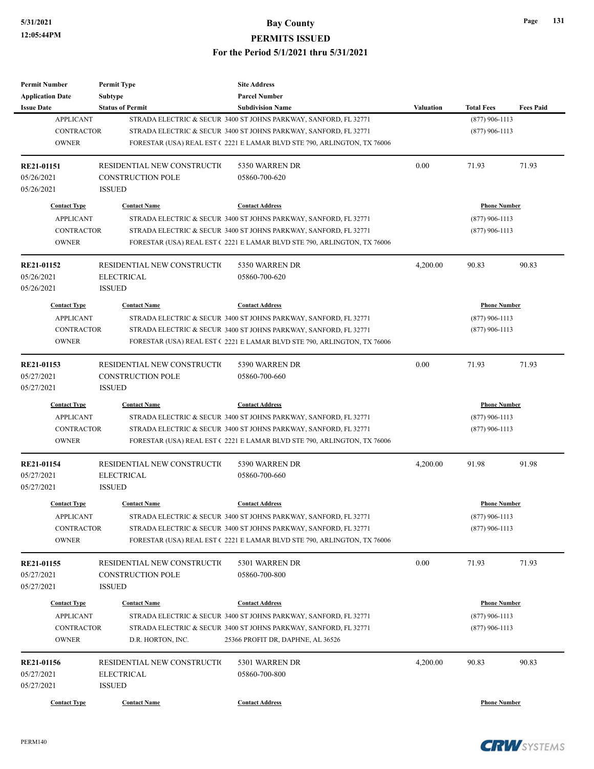| <b>Permit Number</b>    | <b>Permit Type</b>          | <b>Site Address</b>                                                     |                  |                     |                  |
|-------------------------|-----------------------------|-------------------------------------------------------------------------|------------------|---------------------|------------------|
| <b>Application Date</b> | Subtype                     | <b>Parcel Number</b>                                                    |                  |                     |                  |
| <b>Issue Date</b>       | <b>Status of Permit</b>     | <b>Subdivision Name</b>                                                 | <b>Valuation</b> | <b>Total Fees</b>   | <b>Fees Paid</b> |
| <b>APPLICANT</b>        |                             | STRADA ELECTRIC & SECUR 3400 ST JOHNS PARKWAY, SANFORD, FL 32771        |                  | $(877)$ 906-1113    |                  |
| <b>CONTRACTOR</b>       |                             | STRADA ELECTRIC & SECUR 3400 ST JOHNS PARKWAY, SANFORD, FL 32771        |                  | $(877)$ 906-1113    |                  |
| <b>OWNER</b>            |                             | FORESTAR (USA) REAL EST (2221 E LAMAR BLVD STE 790, ARLINGTON, TX 76006 |                  |                     |                  |
| RE21-01151              | RESIDENTIAL NEW CONSTRUCTIO | 5350 WARREN DR                                                          | 0.00             | 71.93               | 71.93            |
| 05/26/2021              | <b>CONSTRUCTION POLE</b>    | 05860-700-620                                                           |                  |                     |                  |
| 05/26/2021              | <b>ISSUED</b>               |                                                                         |                  |                     |                  |
| <b>Contact Type</b>     | <b>Contact Name</b>         | <b>Contact Address</b>                                                  |                  | <b>Phone Number</b> |                  |
| <b>APPLICANT</b>        |                             | STRADA ELECTRIC & SECUR 3400 ST JOHNS PARKWAY, SANFORD, FL 32771        |                  | $(877)$ 906-1113    |                  |
| <b>CONTRACTOR</b>       |                             | STRADA ELECTRIC & SECUR 3400 ST JOHNS PARKWAY, SANFORD, FL 32771        |                  | $(877)$ 906-1113    |                  |
| <b>OWNER</b>            |                             | FORESTAR (USA) REAL EST (2221 E LAMAR BLVD STE 790, ARLINGTON, TX 76006 |                  |                     |                  |
| RE21-01152              | RESIDENTIAL NEW CONSTRUCTIO | 5350 WARREN DR                                                          | 4,200.00         | 90.83               | 90.83            |
| 05/26/2021              | <b>ELECTRICAL</b>           | 05860-700-620                                                           |                  |                     |                  |
| 05/26/2021              | <b>ISSUED</b>               |                                                                         |                  |                     |                  |
| <b>Contact Type</b>     | <b>Contact Name</b>         | <b>Contact Address</b>                                                  |                  | <b>Phone Number</b> |                  |
| <b>APPLICANT</b>        |                             | STRADA ELECTRIC & SECUR 3400 ST JOHNS PARKWAY, SANFORD, FL 32771        |                  | $(877)$ 906-1113    |                  |
| <b>CONTRACTOR</b>       |                             | STRADA ELECTRIC & SECUR 3400 ST JOHNS PARKWAY, SANFORD, FL 32771        |                  | $(877)$ 906-1113    |                  |
| <b>OWNER</b>            |                             | FORESTAR (USA) REAL EST (2221 E LAMAR BLVD STE 790, ARLINGTON, TX 76006 |                  |                     |                  |
|                         |                             |                                                                         |                  |                     |                  |
| RE21-01153              | RESIDENTIAL NEW CONSTRUCTIO | 5390 WARREN DR                                                          | 0.00             | 71.93               | 71.93            |
| 05/27/2021              | <b>CONSTRUCTION POLE</b>    | 05860-700-660                                                           |                  |                     |                  |
| 05/27/2021              | <b>ISSUED</b>               |                                                                         |                  |                     |                  |
| <b>Contact Type</b>     | <b>Contact Name</b>         | <b>Contact Address</b>                                                  |                  | <b>Phone Number</b> |                  |
| <b>APPLICANT</b>        |                             | STRADA ELECTRIC & SECUR 3400 ST JOHNS PARKWAY, SANFORD, FL 32771        |                  | $(877)$ 906-1113    |                  |
| <b>CONTRACTOR</b>       |                             | STRADA ELECTRIC & SECUR 3400 ST JOHNS PARKWAY, SANFORD, FL 32771        |                  | $(877)$ 906-1113    |                  |
| <b>OWNER</b>            |                             | FORESTAR (USA) REAL EST (2221 E LAMAR BLVD STE 790, ARLINGTON, TX 76006 |                  |                     |                  |
| RE21-01154              | RESIDENTIAL NEW CONSTRUCTIO | 5390 WARREN DR                                                          | 4,200.00         | 91.98               | 91.98            |
| 05/27/2021              | <b>ELECTRICAL</b>           | 05860-700-660                                                           |                  |                     |                  |
| 05/27/2021              | <b>ISSUED</b>               |                                                                         |                  |                     |                  |
| <b>Contact Type</b>     | <b>Contact Name</b>         | <b>Contact Address</b>                                                  |                  | <b>Phone Number</b> |                  |
| <b>APPLICANT</b>        |                             | STRADA ELECTRIC & SECUR 3400 ST JOHNS PARKWAY, SANFORD, FL 32771        |                  | $(877)$ 906-1113    |                  |
| CONTRACTOR              |                             | STRADA ELECTRIC & SECUR 3400 ST JOHNS PARKWAY, SANFORD, FL 32771        |                  | $(877)$ 906-1113    |                  |
| <b>OWNER</b>            |                             | FORESTAR (USA) REAL EST (2221 E LAMAR BLVD STE 790, ARLINGTON, TX 76006 |                  |                     |                  |
| RE21-01155              | RESIDENTIAL NEW CONSTRUCTIO | 5301 WARREN DR                                                          | 0.00             | 71.93               | 71.93            |
| 05/27/2021              | <b>CONSTRUCTION POLE</b>    | 05860-700-800                                                           |                  |                     |                  |
| 05/27/2021              |                             |                                                                         |                  |                     |                  |
|                         | <b>ISSUED</b>               |                                                                         |                  |                     |                  |
| <b>Contact Type</b>     | <b>Contact Name</b>         | <b>Contact Address</b>                                                  |                  | <b>Phone Number</b> |                  |
| <b>APPLICANT</b>        |                             | STRADA ELECTRIC & SECUR 3400 ST JOHNS PARKWAY, SANFORD, FL 32771        |                  | $(877)$ 906-1113    |                  |
| <b>CONTRACTOR</b>       |                             | STRADA ELECTRIC & SECUR 3400 ST JOHNS PARKWAY, SANFORD, FL 32771        |                  | $(877)$ 906-1113    |                  |
| <b>OWNER</b>            | D.R. HORTON, INC.           | 25366 PROFIT DR, DAPHNE, AL 36526                                       |                  |                     |                  |
| RE21-01156              | RESIDENTIAL NEW CONSTRUCTIO | 5301 WARREN DR                                                          | 4,200.00         | 90.83               | 90.83            |
| 05/27/2021              | <b>ELECTRICAL</b>           | 05860-700-800                                                           |                  |                     |                  |
| 05/27/2021              | <b>ISSUED</b>               |                                                                         |                  |                     |                  |
|                         |                             |                                                                         |                  |                     |                  |
| <b>Contact Type</b>     | <b>Contact Name</b>         | <b>Contact Address</b>                                                  |                  | <b>Phone Number</b> |                  |

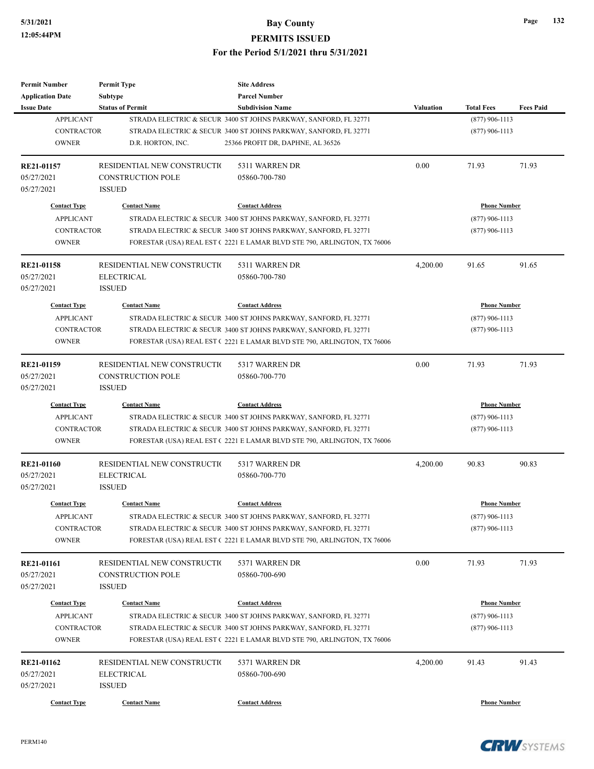| <b>Permit Number</b>    | <b>Permit Type</b>          | <b>Site Address</b>                                                     |                     |                     |                  |
|-------------------------|-----------------------------|-------------------------------------------------------------------------|---------------------|---------------------|------------------|
| <b>Application Date</b> | <b>Subtype</b>              | <b>Parcel Number</b>                                                    |                     |                     |                  |
| <b>Issue Date</b>       | <b>Status of Permit</b>     | <b>Subdivision Name</b>                                                 | <b>Valuation</b>    | <b>Total Fees</b>   | <b>Fees Paid</b> |
| <b>APPLICANT</b>        |                             | STRADA ELECTRIC & SECUR 3400 ST JOHNS PARKWAY, SANFORD, FL 32771        |                     | $(877)$ 906-1113    |                  |
| <b>CONTRACTOR</b>       |                             | STRADA ELECTRIC & SECUR 3400 ST JOHNS PARKWAY, SANFORD, FL 32771        |                     | $(877)$ 906-1113    |                  |
| <b>OWNER</b>            | D.R. HORTON, INC.           | 25366 PROFIT DR, DAPHNE, AL 36526                                       |                     |                     |                  |
| RE21-01157              | RESIDENTIAL NEW CONSTRUCTIO | 5311 WARREN DR                                                          | 0.00                | 71.93               | 71.93            |
| 05/27/2021              | <b>CONSTRUCTION POLE</b>    | 05860-700-780                                                           |                     |                     |                  |
| 05/27/2021              | <b>ISSUED</b>               |                                                                         |                     |                     |                  |
| <b>Contact Type</b>     | <b>Contact Name</b>         | <b>Contact Address</b>                                                  |                     | <b>Phone Number</b> |                  |
| <b>APPLICANT</b>        |                             | STRADA ELECTRIC & SECUR 3400 ST JOHNS PARKWAY, SANFORD, FL 32771        |                     | $(877)$ 906-1113    |                  |
| <b>CONTRACTOR</b>       |                             | STRADA ELECTRIC & SECUR 3400 ST JOHNS PARKWAY, SANFORD, FL 32771        |                     | $(877)$ 906-1113    |                  |
| <b>OWNER</b>            |                             | FORESTAR (USA) REAL EST (2221 E LAMAR BLVD STE 790, ARLINGTON, TX 76006 |                     |                     |                  |
| RE21-01158              | RESIDENTIAL NEW CONSTRUCTIO | 5311 WARREN DR                                                          | 4,200.00            | 91.65               | 91.65            |
| 05/27/2021              | <b>ELECTRICAL</b>           | 05860-700-780                                                           |                     |                     |                  |
| 05/27/2021              | <b>ISSUED</b>               |                                                                         |                     |                     |                  |
| <b>Contact Type</b>     | <b>Contact Name</b>         | <b>Contact Address</b>                                                  |                     | <b>Phone Number</b> |                  |
| <b>APPLICANT</b>        |                             | STRADA ELECTRIC & SECUR 3400 ST JOHNS PARKWAY, SANFORD, FL 32771        |                     | $(877)$ 906-1113    |                  |
| <b>CONTRACTOR</b>       |                             | STRADA ELECTRIC & SECUR 3400 ST JOHNS PARKWAY, SANFORD, FL 32771        |                     | $(877)$ 906-1113    |                  |
| <b>OWNER</b>            |                             | FORESTAR (USA) REAL EST (2221 E LAMAR BLVD STE 790, ARLINGTON, TX 76006 |                     |                     |                  |
|                         |                             |                                                                         |                     |                     |                  |
| RE21-01159              | RESIDENTIAL NEW CONSTRUCTIO | 5317 WARREN DR                                                          | 0.00                | 71.93               | 71.93            |
| 05/27/2021              | <b>CONSTRUCTION POLE</b>    | 05860-700-770                                                           |                     |                     |                  |
| 05/27/2021              | <b>ISSUED</b>               |                                                                         |                     |                     |                  |
| <b>Contact Type</b>     | <b>Contact Name</b>         | <b>Contact Address</b>                                                  | <b>Phone Number</b> |                     |                  |
| <b>APPLICANT</b>        |                             | STRADA ELECTRIC & SECUR 3400 ST JOHNS PARKWAY, SANFORD, FL 32771        |                     | $(877)$ 906-1113    |                  |
| <b>CONTRACTOR</b>       |                             | STRADA ELECTRIC & SECUR 3400 ST JOHNS PARKWAY, SANFORD, FL 32771        |                     | $(877)$ 906-1113    |                  |
| <b>OWNER</b>            |                             | FORESTAR (USA) REAL EST (2221 E LAMAR BLVD STE 790, ARLINGTON, TX 76006 |                     |                     |                  |
| RE21-01160              | RESIDENTIAL NEW CONSTRUCTIO | 5317 WARREN DR                                                          | 4,200.00            | 90.83               | 90.83            |
| 05/27/2021              | <b>ELECTRICAL</b>           | 05860-700-770                                                           |                     |                     |                  |
| 05/27/2021              | <b>ISSUED</b>               |                                                                         |                     |                     |                  |
| <b>Contact Type</b>     | <b>Contact Name</b>         | <b>Contact Address</b>                                                  |                     | <b>Phone Number</b> |                  |
| <b>APPLICANT</b>        |                             |                                                                         |                     |                     |                  |
|                         |                             | STRADA ELECTRIC & SECUR 3400 ST JOHNS PARKWAY, SANFORD, FL 32771        |                     | $(877)$ 906-1113    |                  |
| <b>CONTRACTOR</b>       |                             | STRADA ELECTRIC & SECUR 3400 ST JOHNS PARKWAY, SANFORD, FL 32771        |                     | $(877)$ 906-1113    |                  |
| <b>OWNER</b>            |                             | FORESTAR (USA) REAL EST (2221 E LAMAR BLVD STE 790, ARLINGTON, TX 76006 |                     |                     |                  |
| <b>RE21-01161</b>       | RESIDENTIAL NEW CONSTRUCTIO | 5371 WARREN DR                                                          | 0.00                | 71.93               | 71.93            |
| 05/27/2021              | <b>CONSTRUCTION POLE</b>    | 05860-700-690                                                           |                     |                     |                  |
| 05/27/2021              | <b>ISSUED</b>               |                                                                         |                     |                     |                  |
| <b>Contact Type</b>     | <b>Contact Name</b>         | <b>Contact Address</b>                                                  |                     | <b>Phone Number</b> |                  |
| <b>APPLICANT</b>        |                             | STRADA ELECTRIC & SECUR 3400 ST JOHNS PARKWAY, SANFORD, FL 32771        |                     | $(877)$ 906-1113    |                  |
| <b>CONTRACTOR</b>       |                             | STRADA ELECTRIC & SECUR 3400 ST JOHNS PARKWAY, SANFORD, FL 32771        |                     |                     |                  |
| <b>OWNER</b>            |                             | FORESTAR (USA) REAL EST (2221 E LAMAR BLVD STE 790, ARLINGTON, TX 76006 |                     | $(877)$ 906-1113    |                  |
|                         |                             |                                                                         |                     |                     |                  |
| RE21-01162              | RESIDENTIAL NEW CONSTRUCTIO | 5371 WARREN DR                                                          | 4,200.00            | 91.43               | 91.43            |
| 05/27/2021              | ELECTRICAL                  | 05860-700-690                                                           |                     |                     |                  |
| 05/27/2021              | <b>ISSUED</b>               |                                                                         |                     |                     |                  |
| <b>Contact Type</b>     | <b>Contact Name</b>         | <b>Contact Address</b>                                                  |                     | <b>Phone Number</b> |                  |
|                         |                             |                                                                         |                     |                     |                  |

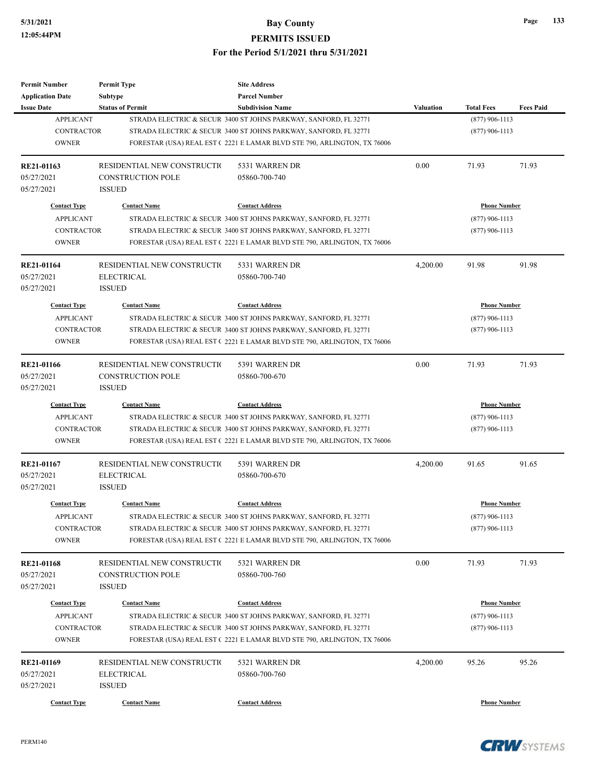| Permit Number                   | <b>Permit Type</b>          | <b>Site Address</b>                                                     |                  |                     |                  |
|---------------------------------|-----------------------------|-------------------------------------------------------------------------|------------------|---------------------|------------------|
| <b>Application Date</b>         | Subtype                     | <b>Parcel Number</b>                                                    |                  |                     |                  |
| <b>Issue Date</b>               | <b>Status of Permit</b>     | <b>Subdivision Name</b>                                                 | Valuation        | <b>Total Fees</b>   | <b>Fees Paid</b> |
| <b>APPLICANT</b>                |                             | STRADA ELECTRIC & SECUR 3400 ST JOHNS PARKWAY, SANFORD, FL 32771        |                  | $(877)$ 906-1113    |                  |
| <b>CONTRACTOR</b>               |                             | STRADA ELECTRIC & SECUR 3400 ST JOHNS PARKWAY, SANFORD, FL 32771        |                  | $(877)$ 906-1113    |                  |
| <b>OWNER</b>                    |                             | FORESTAR (USA) REAL EST (2221 E LAMAR BLVD STE 790, ARLINGTON, TX 76006 |                  |                     |                  |
| RE21-01163                      | RESIDENTIAL NEW CONSTRUCTIO | 5331 WARREN DR                                                          | 0.00             | 71.93               | 71.93            |
| 05/27/2021                      | <b>CONSTRUCTION POLE</b>    | 05860-700-740                                                           |                  |                     |                  |
| 05/27/2021                      | <b>ISSUED</b>               |                                                                         |                  |                     |                  |
| <b>Contact Type</b>             | <b>Contact Name</b>         | <b>Contact Address</b>                                                  |                  | <b>Phone Number</b> |                  |
| <b>APPLICANT</b>                |                             | STRADA ELECTRIC & SECUR 3400 ST JOHNS PARKWAY, SANFORD, FL 32771        |                  | $(877)$ 906-1113    |                  |
| <b>CONTRACTOR</b>               |                             | STRADA ELECTRIC & SECUR 3400 ST JOHNS PARKWAY, SANFORD, FL 32771        |                  | $(877)$ 906-1113    |                  |
| <b>OWNER</b>                    |                             | FORESTAR (USA) REAL EST (2221 E LAMAR BLVD STE 790, ARLINGTON, TX 76006 |                  |                     |                  |
| RE21-01164                      | RESIDENTIAL NEW CONSTRUCTIO | 5331 WARREN DR                                                          | 4,200.00         | 91.98               | 91.98            |
| 05/27/2021                      | <b>ELECTRICAL</b>           | 05860-700-740                                                           |                  |                     |                  |
| 05/27/2021                      | <b>ISSUED</b>               |                                                                         |                  |                     |                  |
| <b>Contact Type</b>             | <b>Contact Name</b>         | <b>Contact Address</b>                                                  |                  | <b>Phone Number</b> |                  |
| <b>APPLICANT</b>                |                             | STRADA ELECTRIC & SECUR 3400 ST JOHNS PARKWAY, SANFORD, FL 32771        |                  | $(877)$ 906-1113    |                  |
| <b>CONTRACTOR</b>               |                             | STRADA ELECTRIC & SECUR 3400 ST JOHNS PARKWAY, SANFORD, FL 32771        | $(877)$ 906-1113 |                     |                  |
| <b>OWNER</b>                    |                             | FORESTAR (USA) REAL EST (2221 E LAMAR BLVD STE 790, ARLINGTON, TX 76006 |                  |                     |                  |
|                                 |                             |                                                                         |                  |                     |                  |
| RE21-01166                      | RESIDENTIAL NEW CONSTRUCTIO | 5391 WARREN DR                                                          | 0.00             | 71.93               | 71.93            |
| 05/27/2021                      | <b>CONSTRUCTION POLE</b>    | 05860-700-670                                                           |                  |                     |                  |
| 05/27/2021                      | <b>ISSUED</b>               |                                                                         |                  |                     |                  |
| <b>Contact Type</b>             | <b>Contact Name</b>         | <b>Contact Address</b>                                                  |                  | <b>Phone Number</b> |                  |
| <b>APPLICANT</b>                |                             | STRADA ELECTRIC & SECUR 3400 ST JOHNS PARKWAY, SANFORD, FL 32771        |                  | $(877)$ 906-1113    |                  |
| <b>CONTRACTOR</b>               |                             | STRADA ELECTRIC & SECUR 3400 ST JOHNS PARKWAY, SANFORD, FL 32771        |                  | $(877)$ 906-1113    |                  |
| <b>OWNER</b>                    |                             | FORESTAR (USA) REAL EST (2221 E LAMAR BLVD STE 790, ARLINGTON, TX 76006 |                  |                     |                  |
| RE21-01167                      | RESIDENTIAL NEW CONSTRUCTIO | 5391 WARREN DR                                                          | 4,200.00         | 91.65               | 91.65            |
| 05/27/2021                      | <b>ELECTRICAL</b>           | 05860-700-670                                                           |                  |                     |                  |
| 05/27/2021                      | <b>ISSUED</b>               |                                                                         |                  |                     |                  |
| <b>Contact Type</b>             | <b>Contact Name</b>         | <b>Contact Address</b>                                                  |                  | <b>Phone Number</b> |                  |
| APPLICANT                       |                             | STRADA ELECTRIC & SECUR 3400 ST JOHNS PARKWAY, SANFORD, FL 32771        |                  | $(877)$ 906-1113    |                  |
| CONTRACTOR                      |                             | STRADA ELECTRIC & SECUR 3400 ST JOHNS PARKWAY, SANFORD, FL 32771        |                  | $(877)$ 906-1113    |                  |
| <b>OWNER</b>                    |                             | FORESTAR (USA) REAL EST (2221 E LAMAR BLVD STE 790, ARLINGTON, TX 76006 |                  |                     |                  |
|                                 | RESIDENTIAL NEW CONSTRUCTIO | 5321 WARREN DR                                                          | 0.00             | 71.93               | 71.93            |
| <b>RE21-01168</b><br>05/27/2021 | <b>CONSTRUCTION POLE</b>    | 05860-700-760                                                           |                  |                     |                  |
|                                 | <b>ISSUED</b>               |                                                                         |                  |                     |                  |
| 05/27/2021                      |                             |                                                                         |                  |                     |                  |
| <b>Contact Type</b>             | <b>Contact Name</b>         | <b>Contact Address</b>                                                  |                  | <b>Phone Number</b> |                  |
| <b>APPLICANT</b>                |                             | STRADA ELECTRIC & SECUR 3400 ST JOHNS PARKWAY, SANFORD, FL 32771        |                  | $(877)$ 906-1113    |                  |
| <b>CONTRACTOR</b>               |                             | STRADA ELECTRIC & SECUR 3400 ST JOHNS PARKWAY, SANFORD, FL 32771        |                  | $(877)$ 906-1113    |                  |
| <b>OWNER</b>                    |                             | FORESTAR (USA) REAL EST (2221 E LAMAR BLVD STE 790, ARLINGTON, TX 76006 |                  |                     |                  |
| RE21-01169                      | RESIDENTIAL NEW CONSTRUCTIO | 5321 WARREN DR                                                          | 4,200.00         | 95.26               | 95.26            |
| 05/27/2021                      | <b>ELECTRICAL</b>           | 05860-700-760                                                           |                  |                     |                  |
| 05/27/2021                      | <b>ISSUED</b>               |                                                                         |                  |                     |                  |
|                                 |                             |                                                                         |                  |                     |                  |
| <b>Contact Type</b>             | <b>Contact Name</b>         | <b>Contact Address</b>                                                  |                  | <b>Phone Number</b> |                  |

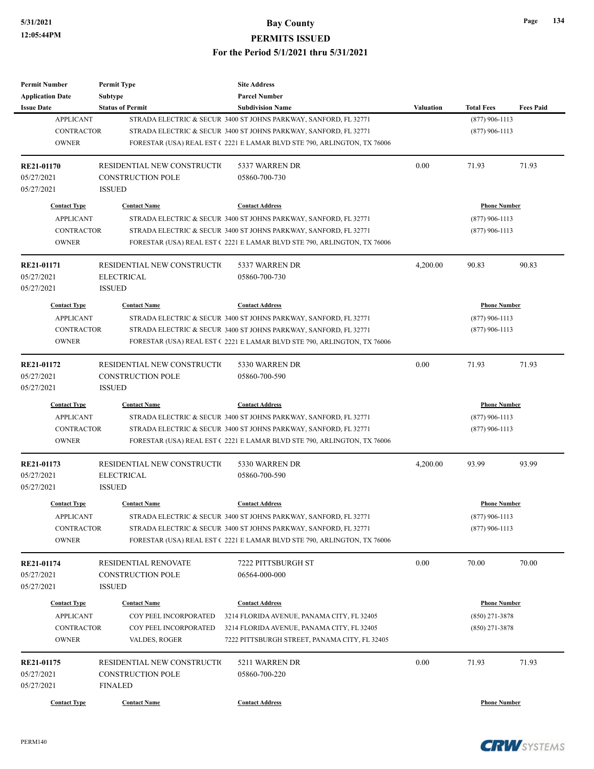| <b>Permit Number</b>     | <b>Permit Type</b>                               | <b>Site Address</b>                                                     |                  |                     |                  |  |
|--------------------------|--------------------------------------------------|-------------------------------------------------------------------------|------------------|---------------------|------------------|--|
| <b>Application Date</b>  | <b>Subtype</b>                                   | <b>Parcel Number</b>                                                    |                  |                     |                  |  |
| <b>Issue Date</b>        | <b>Status of Permit</b>                          | <b>Subdivision Name</b>                                                 | <b>Valuation</b> | <b>Total Fees</b>   | <b>Fees Paid</b> |  |
| <b>APPLICANT</b>         |                                                  | STRADA ELECTRIC & SECUR 3400 ST JOHNS PARKWAY, SANFORD, FL 32771        |                  | $(877)$ 906-1113    |                  |  |
| <b>CONTRACTOR</b>        |                                                  | STRADA ELECTRIC & SECUR 3400 ST JOHNS PARKWAY, SANFORD, FL 32771        |                  | $(877)$ 906-1113    |                  |  |
| <b>OWNER</b>             |                                                  | FORESTAR (USA) REAL EST (2221 E LAMAR BLVD STE 790, ARLINGTON, TX 76006 |                  |                     |                  |  |
| <b>RE21-01170</b>        | RESIDENTIAL NEW CONSTRUCTION                     | 5337 WARREN DR                                                          | 0.00             | 71.93               | 71.93            |  |
| 05/27/2021               | <b>CONSTRUCTION POLE</b>                         | 05860-700-730                                                           |                  |                     |                  |  |
| 05/27/2021               | <b>ISSUED</b>                                    |                                                                         |                  |                     |                  |  |
| <b>Contact Type</b>      | <b>Contact Name</b>                              | <b>Contact Address</b>                                                  |                  | <b>Phone Number</b> |                  |  |
| <b>APPLICANT</b>         |                                                  | STRADA ELECTRIC & SECUR 3400 ST JOHNS PARKWAY, SANFORD, FL 32771        |                  | $(877)$ 906-1113    |                  |  |
| <b>CONTRACTOR</b>        |                                                  | STRADA ELECTRIC & SECUR 3400 ST JOHNS PARKWAY, SANFORD, FL 32771        |                  | $(877)$ 906-1113    |                  |  |
| <b>OWNER</b>             |                                                  | FORESTAR (USA) REAL EST (2221 E LAMAR BLVD STE 790, ARLINGTON, TX 76006 |                  |                     |                  |  |
| <b>RE21-01171</b>        | RESIDENTIAL NEW CONSTRUCTIO                      | 5337 WARREN DR                                                          | 4,200.00         | 90.83               | 90.83            |  |
| 05/27/2021               | <b>ELECTRICAL</b>                                | 05860-700-730                                                           |                  |                     |                  |  |
| 05/27/2021               | <b>ISSUED</b>                                    |                                                                         |                  |                     |                  |  |
| <b>Contact Type</b>      | <b>Contact Name</b>                              | <b>Contact Address</b>                                                  |                  | <b>Phone Number</b> |                  |  |
| <b>APPLICANT</b>         |                                                  | STRADA ELECTRIC & SECUR 3400 ST JOHNS PARKWAY, SANFORD, FL 32771        |                  | $(877)$ 906-1113    |                  |  |
| <b>CONTRACTOR</b>        |                                                  | STRADA ELECTRIC & SECUR 3400 ST JOHNS PARKWAY, SANFORD, FL 32771        | $(877)$ 906-1113 |                     |                  |  |
| <b>OWNER</b>             |                                                  | FORESTAR (USA) REAL EST (2221 E LAMAR BLVD STE 790, ARLINGTON, TX 76006 |                  |                     |                  |  |
|                          |                                                  |                                                                         |                  |                     |                  |  |
| RE21-01172               | RESIDENTIAL NEW CONSTRUCTIO                      | 5330 WARREN DR                                                          | 0.00             | 71.93               | 71.93            |  |
| 05/27/2021               | <b>CONSTRUCTION POLE</b>                         | 05860-700-590                                                           |                  |                     |                  |  |
| 05/27/2021               | <b>ISSUED</b>                                    |                                                                         |                  |                     |                  |  |
| <b>Contact Type</b>      | <b>Contact Name</b>                              | <b>Contact Address</b>                                                  |                  | <b>Phone Number</b> |                  |  |
| <b>APPLICANT</b>         |                                                  | STRADA ELECTRIC & SECUR 3400 ST JOHNS PARKWAY, SANFORD, FL 32771        |                  | $(877)$ 906-1113    |                  |  |
| <b>CONTRACTOR</b>        |                                                  | STRADA ELECTRIC & SECUR 3400 ST JOHNS PARKWAY, SANFORD, FL 32771        |                  | $(877)$ 906-1113    |                  |  |
| <b>OWNER</b>             |                                                  | FORESTAR (USA) REAL EST (2221 E LAMAR BLVD STE 790, ARLINGTON, TX 76006 |                  |                     |                  |  |
| RE21-01173               | RESIDENTIAL NEW CONSTRUCTIO                      | 5330 WARREN DR                                                          | 4,200.00         | 93.99               | 93.99            |  |
| 05/27/2021               | <b>ELECTRICAL</b>                                | 05860-700-590                                                           |                  |                     |                  |  |
| 05/27/2021               | <b>ISSUED</b>                                    |                                                                         |                  |                     |                  |  |
| <b>Contact Type</b>      | <b>Contact Name</b>                              | <b>Contact Address</b>                                                  |                  | <b>Phone Number</b> |                  |  |
| APPLICANT                |                                                  | STRADA ELECTRIC & SECUR 3400 ST JOHNS PARKWAY, SANFORD, FL 32771        |                  | $(877)$ 906-1113    |                  |  |
| <b>CONTRACTOR</b>        |                                                  | STRADA ELECTRIC & SECUR 3400 ST JOHNS PARKWAY, SANFORD, FL 32771        |                  | $(877)$ 906-1113    |                  |  |
| <b>OWNER</b>             |                                                  | FORESTAR (USA) REAL EST (2221 E LAMAR BLVD STE 790, ARLINGTON, TX 76006 |                  |                     |                  |  |
|                          |                                                  |                                                                         |                  |                     |                  |  |
| RE21-01174<br>05/27/2021 | RESIDENTIAL RENOVATE<br><b>CONSTRUCTION POLE</b> | 7222 PITTSBURGH ST                                                      | 0.00             | 70.00               | 70.00            |  |
|                          |                                                  | 06564-000-000                                                           |                  |                     |                  |  |
| 05/27/2021               | <b>ISSUED</b>                                    |                                                                         |                  |                     |                  |  |
| <b>Contact Type</b>      | <b>Contact Name</b>                              | <b>Contact Address</b>                                                  |                  | <b>Phone Number</b> |                  |  |
| <b>APPLICANT</b>         | COY PEEL INCORPORATED                            | 3214 FLORIDA AVENUE, PANAMA CITY, FL 32405                              |                  | $(850)$ 271-3878    |                  |  |
| CONTRACTOR               | COY PEEL INCORPORATED                            | 3214 FLORIDA AVENUE, PANAMA CITY, FL 32405                              |                  | $(850)$ 271-3878    |                  |  |
| <b>OWNER</b>             | VALDES, ROGER                                    | 7222 PITTSBURGH STREET, PANAMA CITY, FL 32405                           |                  |                     |                  |  |
| RE21-01175               | RESIDENTIAL NEW CONSTRUCTIO                      | 5211 WARREN DR                                                          | 0.00             | 71.93               | 71.93            |  |
| 05/27/2021               | <b>CONSTRUCTION POLE</b>                         | 05860-700-220                                                           |                  |                     |                  |  |
| 05/27/2021               | <b>FINALED</b>                                   |                                                                         |                  |                     |                  |  |
|                          |                                                  |                                                                         |                  |                     |                  |  |
| <b>Contact Type</b>      | <b>Contact Name</b>                              | <b>Contact Address</b>                                                  |                  | <b>Phone Number</b> |                  |  |



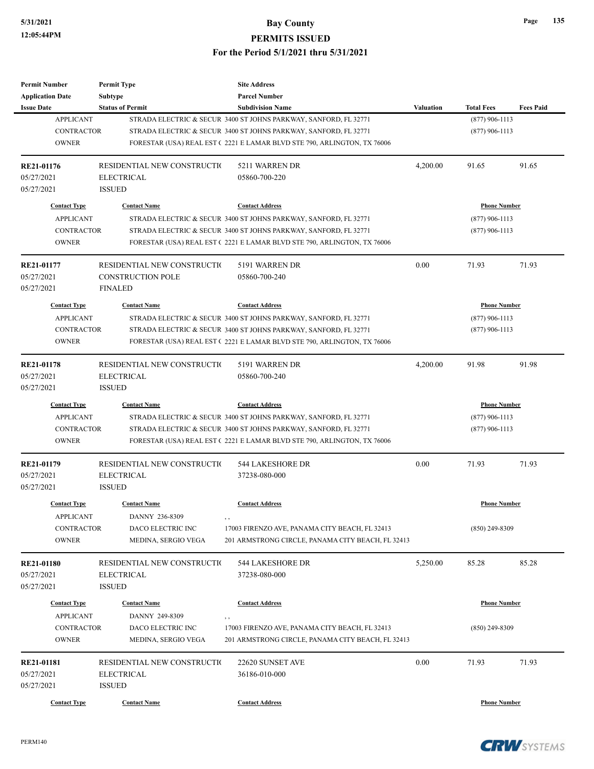| <b>Permit Number</b>                    | <b>Permit Type</b>                    | <b>Site Address</b>                                                     |                  |                     |                  |
|-----------------------------------------|---------------------------------------|-------------------------------------------------------------------------|------------------|---------------------|------------------|
| <b>Application Date</b>                 | <b>Subtype</b>                        | <b>Parcel Number</b>                                                    |                  |                     |                  |
| <b>Issue Date</b>                       | <b>Status of Permit</b>               | <b>Subdivision Name</b>                                                 | <b>Valuation</b> | <b>Total Fees</b>   | <b>Fees Paid</b> |
| <b>APPLICANT</b>                        |                                       | STRADA ELECTRIC & SECUR 3400 ST JOHNS PARKWAY, SANFORD, FL 32771        |                  | $(877)$ 906-1113    |                  |
| <b>CONTRACTOR</b>                       |                                       | STRADA ELECTRIC & SECUR 3400 ST JOHNS PARKWAY, SANFORD, FL 32771        |                  | $(877)$ 906-1113    |                  |
| <b>OWNER</b>                            |                                       | FORESTAR (USA) REAL EST (2221 E LAMAR BLVD STE 790, ARLINGTON, TX 76006 |                  |                     |                  |
| <b>RE21-01176</b>                       | RESIDENTIAL NEW CONSTRUCTIO           | 5211 WARREN DR                                                          | 4,200.00         | 91.65               | 91.65            |
| 05/27/2021                              | <b>ELECTRICAL</b>                     | 05860-700-220                                                           |                  |                     |                  |
| 05/27/2021                              | <b>ISSUED</b>                         |                                                                         |                  |                     |                  |
| <b>Contact Type</b>                     | <b>Contact Name</b>                   | <b>Contact Address</b>                                                  |                  | <b>Phone Number</b> |                  |
| <b>APPLICANT</b>                        |                                       | STRADA ELECTRIC & SECUR 3400 ST JOHNS PARKWAY, SANFORD, FL 32771        |                  | $(877)$ 906-1113    |                  |
| <b>CONTRACTOR</b>                       |                                       | STRADA ELECTRIC & SECUR 3400 ST JOHNS PARKWAY, SANFORD, FL 32771        |                  | $(877)$ 906-1113    |                  |
| <b>OWNER</b>                            |                                       | FORESTAR (USA) REAL EST (2221 E LAMAR BLVD STE 790, ARLINGTON, TX 76006 |                  |                     |                  |
| RE21-01177                              | RESIDENTIAL NEW CONSTRUCTIO           | 5191 WARREN DR                                                          | 0.00             | 71.93               | 71.93            |
| 05/27/2021                              | <b>CONSTRUCTION POLE</b>              | 05860-700-240                                                           |                  |                     |                  |
| 05/27/2021                              | <b>FINALED</b>                        |                                                                         |                  |                     |                  |
| <b>Contact Type</b>                     | <b>Contact Name</b>                   | <b>Contact Address</b>                                                  |                  | <b>Phone Number</b> |                  |
| <b>APPLICANT</b>                        |                                       | STRADA ELECTRIC & SECUR 3400 ST JOHNS PARKWAY, SANFORD, FL 32771        |                  | $(877)$ 906-1113    |                  |
| <b>CONTRACTOR</b>                       |                                       | STRADA ELECTRIC & SECUR 3400 ST JOHNS PARKWAY, SANFORD, FL 32771        |                  | $(877)$ 906-1113    |                  |
| <b>OWNER</b>                            |                                       | FORESTAR (USA) REAL EST (2221 E LAMAR BLVD STE 790, ARLINGTON, TX 76006 |                  |                     |                  |
|                                         |                                       |                                                                         |                  |                     |                  |
| RE21-01178                              | RESIDENTIAL NEW CONSTRUCTIO           | 5191 WARREN DR                                                          | 4,200.00         | 91.98               | 91.98            |
| 05/27/2021                              | <b>ELECTRICAL</b>                     | 05860-700-240                                                           |                  |                     |                  |
| 05/27/2021                              | <b>ISSUED</b>                         |                                                                         |                  |                     |                  |
| <b>Contact Type</b>                     | <b>Contact Name</b>                   | <b>Contact Address</b>                                                  |                  | <b>Phone Number</b> |                  |
| <b>APPLICANT</b>                        |                                       | STRADA ELECTRIC & SECUR 3400 ST JOHNS PARKWAY, SANFORD, FL 32771        |                  | $(877)$ 906-1113    |                  |
| <b>CONTRACTOR</b>                       |                                       | STRADA ELECTRIC & SECUR 3400 ST JOHNS PARKWAY, SANFORD, FL 32771        |                  | $(877)$ 906-1113    |                  |
| <b>OWNER</b>                            |                                       | FORESTAR (USA) REAL EST (2221 E LAMAR BLVD STE 790, ARLINGTON, TX 76006 |                  |                     |                  |
| RE21-01179                              | RESIDENTIAL NEW CONSTRUCTION          | 544 LAKESHORE DR                                                        | 0.00             | 71.93               | 71.93            |
| 05/27/2021                              | <b>ELECTRICAL</b>                     | 37238-080-000                                                           |                  |                     |                  |
| 05/27/2021                              | <b>ISSUED</b>                         |                                                                         |                  |                     |                  |
| <b>Contact Type</b>                     | <b>Contact Name</b>                   | <b>Contact Address</b>                                                  |                  | <b>Phone Number</b> |                  |
| <b>APPLICANT</b>                        | DANNY 236-8309                        |                                                                         |                  |                     |                  |
| CONTRACTOR                              | DACO ELECTRIC INC                     | 17003 FIRENZO AVE, PANAMA CITY BEACH, FL 32413                          |                  | $(850)$ 249-8309    |                  |
| <b>OWNER</b>                            | MEDINA, SERGIO VEGA                   | 201 ARMSTRONG CIRCLE, PANAMA CITY BEACH, FL 32413                       |                  |                     |                  |
| <b>RE21-01180</b>                       | RESIDENTIAL NEW CONSTRUCTION          | 544 LAKESHORE DR                                                        | 5,250.00         | 85.28               | 85.28            |
| 05/27/2021                              | <b>ELECTRICAL</b>                     | 37238-080-000                                                           |                  |                     |                  |
| 05/27/2021                              | <b>ISSUED</b>                         |                                                                         |                  |                     |                  |
|                                         |                                       |                                                                         |                  |                     |                  |
| <b>Contact Type</b><br><b>APPLICANT</b> | <b>Contact Name</b><br>DANNY 249-8309 | <b>Contact Address</b>                                                  |                  | <b>Phone Number</b> |                  |
|                                         |                                       | , ,<br>17003 FIRENZO AVE, PANAMA CITY BEACH, FL 32413                   |                  | $(850)$ 249-8309    |                  |
| CONTRACTOR                              | DACO ELECTRIC INC                     |                                                                         |                  |                     |                  |
| <b>OWNER</b>                            | MEDINA, SERGIO VEGA                   | 201 ARMSTRONG CIRCLE, PANAMA CITY BEACH, FL 32413                       |                  |                     |                  |
| RE21-01181                              | RESIDENTIAL NEW CONSTRUCTIO           | 22620 SUNSET AVE                                                        | 0.00             | 71.93               | 71.93            |
| 05/27/2021                              | <b>ELECTRICAL</b>                     | 36186-010-000                                                           |                  |                     |                  |
| 05/27/2021                              | <b>ISSUED</b>                         |                                                                         |                  |                     |                  |
| <b>Contact Type</b>                     | <b>Contact Name</b>                   | <b>Contact Address</b>                                                  |                  | <b>Phone Number</b> |                  |
|                                         |                                       |                                                                         |                  |                     |                  |

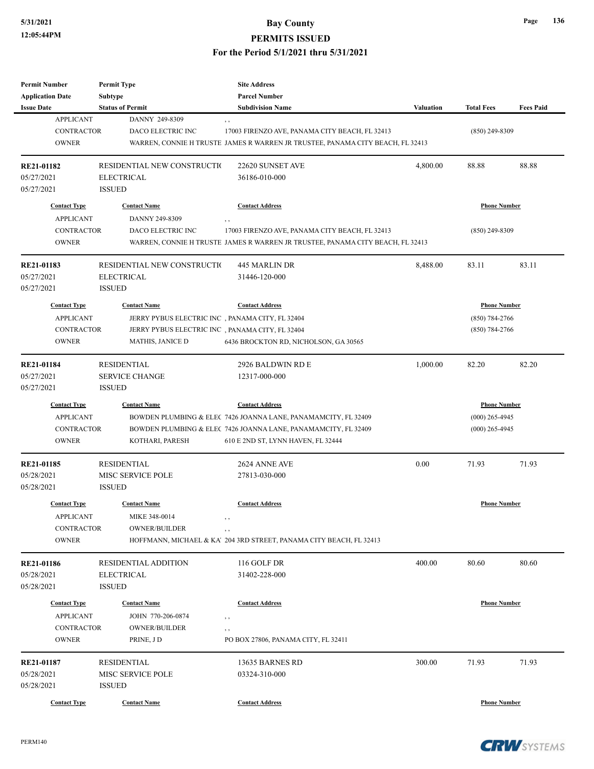# **5/31/2021 Bay County**

#### **PERMITS ISSUED**

| Permit Number           | <b>Permit Type</b>                               | <b>Site Address</b>                                                            |           |                     |                  |
|-------------------------|--------------------------------------------------|--------------------------------------------------------------------------------|-----------|---------------------|------------------|
| <b>Application Date</b> | Subtype                                          | <b>Parcel Number</b>                                                           |           |                     |                  |
| <b>Issue Date</b>       | <b>Status of Permit</b>                          | <b>Subdivision Name</b>                                                        | Valuation | <b>Total Fees</b>   | <b>Fees Paid</b> |
| <b>APPLICANT</b>        | DANNY 249-8309                                   | , ,                                                                            |           |                     |                  |
| <b>CONTRACTOR</b>       | DACO ELECTRIC INC                                | 17003 FIRENZO AVE, PANAMA CITY BEACH, FL 32413                                 |           | $(850)$ 249-8309    |                  |
| <b>OWNER</b>            |                                                  | WARREN, CONNIE H TRUSTE JAMES R WARREN JR TRUSTEE, PANAMA CITY BEACH, FL 32413 |           |                     |                  |
| RE21-01182              | RESIDENTIAL NEW CONSTRUCTIO                      | 22620 SUNSET AVE                                                               | 4,800.00  | 88.88               | 88.88            |
| 05/27/2021              | <b>ELECTRICAL</b>                                | 36186-010-000                                                                  |           |                     |                  |
| 05/27/2021              | <b>ISSUED</b>                                    |                                                                                |           |                     |                  |
| <b>Contact Type</b>     | <b>Contact Name</b>                              | <b>Contact Address</b>                                                         |           | <b>Phone Number</b> |                  |
| <b>APPLICANT</b>        | DANNY 249-8309                                   | , ,                                                                            |           |                     |                  |
| <b>CONTRACTOR</b>       | DACO ELECTRIC INC                                | 17003 FIRENZO AVE, PANAMA CITY BEACH, FL 32413                                 |           | $(850)$ 249-8309    |                  |
| <b>OWNER</b>            |                                                  | WARREN, CONNIE H TRUSTE JAMES R WARREN JR TRUSTEE, PANAMA CITY BEACH, FL 32413 |           |                     |                  |
| RE21-01183              | RESIDENTIAL NEW CONSTRUCTIO                      | 445 MARLIN DR                                                                  | 8,488.00  | 83.11               | 83.11            |
| 05/27/2021              | <b>ELECTRICAL</b>                                | 31446-120-000                                                                  |           |                     |                  |
| 05/27/2021              | <b>ISSUED</b>                                    |                                                                                |           |                     |                  |
| <b>Contact Type</b>     | <b>Contact Name</b>                              | <b>Contact Address</b>                                                         |           | <b>Phone Number</b> |                  |
| <b>APPLICANT</b>        | JERRY PYBUS ELECTRIC INC, PANAMA CITY, FL 32404  |                                                                                |           | $(850) 784 - 2766$  |                  |
| <b>CONTRACTOR</b>       | JERRY PYBUS ELECTRIC INC , PANAMA CITY, FL 32404 |                                                                                |           | $(850)$ 784-2766    |                  |
| <b>OWNER</b>            | <b>MATHIS, JANICE D</b>                          | 6436 BROCKTON RD, NICHOLSON, GA 30565                                          |           |                     |                  |
|                         |                                                  |                                                                                |           |                     |                  |
| <b>RE21-01184</b>       | <b>RESIDENTIAL</b>                               | 2926 BALDWIN RD E                                                              | 1,000.00  | 82.20               | 82.20            |
| 05/27/2021              | <b>SERVICE CHANGE</b>                            | 12317-000-000                                                                  |           |                     |                  |
| 05/27/2021              | <b>ISSUED</b>                                    |                                                                                |           |                     |                  |
| <b>Contact Type</b>     | <b>Contact Name</b>                              | <b>Contact Address</b>                                                         |           | <b>Phone Number</b> |                  |
| <b>APPLICANT</b>        |                                                  | BOWDEN PLUMBING & ELEC 7426 JOANNA LANE, PANAMAMCITY, FL 32409                 |           | $(000)$ 265-4945    |                  |
| <b>CONTRACTOR</b>       |                                                  | BOWDEN PLUMBING & ELEC 7426 JOANNA LANE, PANAMAMCITY, FL 32409                 |           | $(000)$ 265-4945    |                  |
| <b>OWNER</b>            | KOTHARI, PARESH                                  | 610 E 2ND ST, LYNN HAVEN, FL 32444                                             |           |                     |                  |
| RE21-01185              | <b>RESIDENTIAL</b>                               | 2624 ANNE AVE                                                                  | 0.00      | 71.93               | 71.93            |
| 05/28/2021              | MISC SERVICE POLE                                | 27813-030-000                                                                  |           |                     |                  |
| 05/28/2021              | <b>ISSUED</b>                                    |                                                                                |           |                     |                  |
| <b>Contact Type</b>     | <b>Contact Name</b>                              | <b>Contact Address</b>                                                         |           | <b>Phone Number</b> |                  |
| <b>APPLICANT</b>        | MIKE 348-0014                                    |                                                                                |           |                     |                  |
| <b>CONTRACTOR</b>       | OWNER/BUILDER                                    |                                                                                |           |                     |                  |
| <b>OWNER</b>            |                                                  | , ,<br>HOFFMANN, MICHAEL & KA' 204 3RD STREET, PANAMA CITY BEACH, FL 32413     |           |                     |                  |
|                         |                                                  |                                                                                |           |                     |                  |
| RE21-01186              | <b>RESIDENTIAL ADDITION</b>                      | 116 GOLF DR                                                                    | 400.00    | 80.60               | 80.60            |
| 05/28/2021              | <b>ELECTRICAL</b>                                | 31402-228-000                                                                  |           |                     |                  |
| 05/28/2021              | <b>ISSUED</b>                                    |                                                                                |           |                     |                  |
| <b>Contact Type</b>     | <b>Contact Name</b>                              | <b>Contact Address</b>                                                         |           | <b>Phone Number</b> |                  |
| <b>APPLICANT</b>        | JOHN 770-206-0874                                | , ,                                                                            |           |                     |                  |
| <b>CONTRACTOR</b>       | <b>OWNER/BUILDER</b>                             | $, \, , \,$                                                                    |           |                     |                  |
| <b>OWNER</b>            | PRINE, JD                                        | PO BOX 27806, PANAMA CITY, FL 32411                                            |           |                     |                  |
| RE21-01187              | <b>RESIDENTIAL</b>                               | 13635 BARNES RD                                                                | 300.00    | 71.93               | 71.93            |
| 05/28/2021              | MISC SERVICE POLE                                | 03324-310-000                                                                  |           |                     |                  |
| 05/28/2021              | <b>ISSUED</b>                                    |                                                                                |           |                     |                  |
| <b>Contact Type</b>     | <b>Contact Name</b>                              | <b>Contact Address</b>                                                         |           | <b>Phone Number</b> |                  |
|                         |                                                  |                                                                                |           |                     |                  |

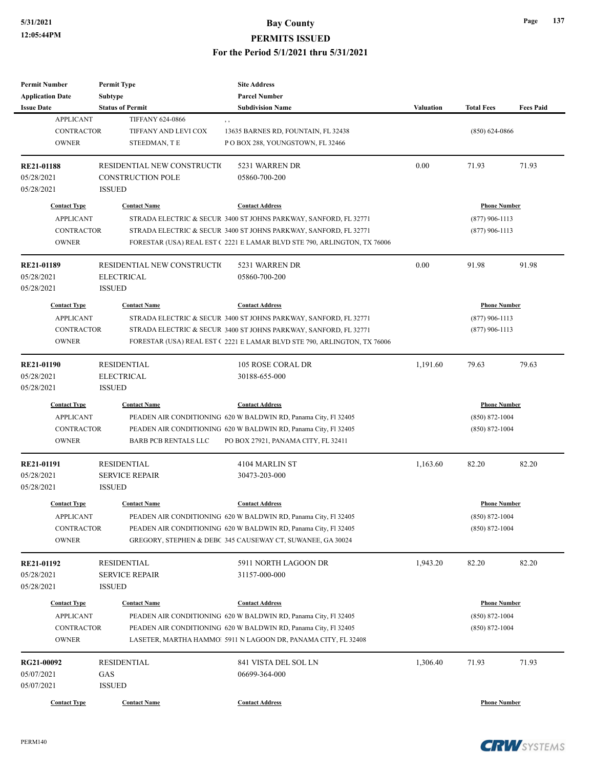| <b>Permit Number</b>    | <b>Permit Type</b>           | <b>Site Address</b>                                                     |                  |                     |                  |
|-------------------------|------------------------------|-------------------------------------------------------------------------|------------------|---------------------|------------------|
| <b>Application Date</b> | <b>Subtype</b>               | <b>Parcel Number</b>                                                    |                  |                     |                  |
| <b>Issue Date</b>       | <b>Status of Permit</b>      | <b>Subdivision Name</b>                                                 | <b>Valuation</b> | <b>Total Fees</b>   | <b>Fees Paid</b> |
| <b>APPLICANT</b>        | <b>TIFFANY 624-0866</b>      | , ,                                                                     |                  |                     |                  |
| <b>CONTRACTOR</b>       | TIFFANY AND LEVI COX         | 13635 BARNES RD, FOUNTAIN, FL 32438                                     |                  | $(850)$ 624-0866    |                  |
| <b>OWNER</b>            | STEEDMAN, TE                 | PO BOX 288, YOUNGSTOWN, FL 32466                                        |                  |                     |                  |
|                         |                              |                                                                         |                  |                     |                  |
| <b>RE21-01188</b>       | RESIDENTIAL NEW CONSTRUCTIO  | 5231 WARREN DR                                                          | 0.00             | 71.93               | 71.93            |
| 05/28/2021              | <b>CONSTRUCTION POLE</b>     | 05860-700-200                                                           |                  |                     |                  |
| 05/28/2021              | <b>ISSUED</b>                |                                                                         |                  |                     |                  |
| <b>Contact Type</b>     | <b>Contact Name</b>          | <b>Contact Address</b>                                                  |                  | <b>Phone Number</b> |                  |
| <b>APPLICANT</b>        |                              | STRADA ELECTRIC & SECUR 3400 ST JOHNS PARKWAY, SANFORD, FL 32771        |                  | $(877)$ 906-1113    |                  |
| CONTRACTOR              |                              | STRADA ELECTRIC & SECUR 3400 ST JOHNS PARKWAY, SANFORD, FL 32771        |                  | $(877)$ 906-1113    |                  |
| <b>OWNER</b>            |                              | FORESTAR (USA) REAL EST (2221 E LAMAR BLVD STE 790, ARLINGTON, TX 76006 |                  |                     |                  |
|                         |                              |                                                                         |                  |                     |                  |
| <b>RE21-01189</b>       | RESIDENTIAL NEW CONSTRUCTION | 5231 WARREN DR                                                          | 0.00             | 91.98               | 91.98            |
| 05/28/2021              | <b>ELECTRICAL</b>            | 05860-700-200                                                           |                  |                     |                  |
| 05/28/2021              | <b>ISSUED</b>                |                                                                         |                  |                     |                  |
| <b>Contact Type</b>     | <b>Contact Name</b>          | <b>Contact Address</b>                                                  |                  | <b>Phone Number</b> |                  |
|                         |                              |                                                                         |                  |                     |                  |
| <b>APPLICANT</b>        |                              | STRADA ELECTRIC & SECUR 3400 ST JOHNS PARKWAY, SANFORD, FL 32771        |                  | $(877)$ 906-1113    |                  |
| <b>CONTRACTOR</b>       |                              | STRADA ELECTRIC & SECUR 3400 ST JOHNS PARKWAY, SANFORD, FL 32771        |                  | $(877)$ 906-1113    |                  |
| <b>OWNER</b>            |                              | FORESTAR (USA) REAL EST (2221 E LAMAR BLVD STE 790, ARLINGTON, TX 76006 |                  |                     |                  |
| <b>RE21-01190</b>       | <b>RESIDENTIAL</b>           | 105 ROSE CORAL DR                                                       | 1,191.60         | 79.63               | 79.63            |
| 05/28/2021              | <b>ELECTRICAL</b>            | 30188-655-000                                                           |                  |                     |                  |
| 05/28/2021              | <b>ISSUED</b>                |                                                                         |                  |                     |                  |
|                         |                              |                                                                         |                  |                     |                  |
| <b>Contact Type</b>     | <b>Contact Name</b>          | <b>Contact Address</b>                                                  |                  | <b>Phone Number</b> |                  |
| <b>APPLICANT</b>        |                              | PEADEN AIR CONDITIONING 620 W BALDWIN RD, Panama City, Fl 32405         |                  | $(850) 872 - 1004$  |                  |
| <b>CONTRACTOR</b>       |                              | PEADEN AIR CONDITIONING 620 W BALDWIN RD, Panama City, Fl 32405         |                  | $(850)$ 872-1004    |                  |
| <b>OWNER</b>            | <b>BARB PCB RENTALS LLC</b>  | PO BOX 27921, PANAMA CITY, FL 32411                                     |                  |                     |                  |
| RE21-01191              | <b>RESIDENTIAL</b>           | 4104 MARLIN ST                                                          | 1,163.60         | 82.20               | 82.20            |
| 05/28/2021              | <b>SERVICE REPAIR</b>        | 30473-203-000                                                           |                  |                     |                  |
| 05/28/2021              | <b>ISSUED</b>                |                                                                         |                  |                     |                  |
|                         |                              |                                                                         |                  |                     |                  |
| <b>Contact Type</b>     | <b>Contact Name</b>          | <b>Contact Address</b>                                                  |                  | <b>Phone Number</b> |                  |
| <b>APPLICANT</b>        |                              | PEADEN AIR CONDITIONING 620 W BALDWIN RD, Panama City, Fl 32405         |                  | (850) 872-1004      |                  |
| CONTRACTOR              |                              | PEADEN AIR CONDITIONING 620 W BALDWIN RD, Panama City, Fl 32405         |                  | $(850) 872 - 1004$  |                  |
| <b>OWNER</b>            |                              | GREGORY, STEPHEN & DEBC 345 CAUSEWAY CT, SUWANEE, GA 30024              |                  |                     |                  |
|                         |                              |                                                                         |                  |                     |                  |
| <b>RE21-01192</b>       | <b>RESIDENTIAL</b>           | 5911 NORTH LAGOON DR                                                    | 1,943.20         | 82.20               | 82.20            |
| 05/28/2021              | <b>SERVICE REPAIR</b>        | 31157-000-000                                                           |                  |                     |                  |
| 05/28/2021              | <b>ISSUED</b>                |                                                                         |                  |                     |                  |
| <b>Contact Type</b>     | <b>Contact Name</b>          | <b>Contact Address</b>                                                  |                  | <b>Phone Number</b> |                  |
| <b>APPLICANT</b>        |                              | PEADEN AIR CONDITIONING 620 W BALDWIN RD, Panama City, Fl 32405         |                  | $(850) 872 - 1004$  |                  |
| <b>CONTRACTOR</b>       |                              | PEADEN AIR CONDITIONING 620 W BALDWIN RD, Panama City, Fl 32405         |                  | $(850) 872 - 1004$  |                  |
| <b>OWNER</b>            |                              | LASETER, MARTHA HAMMO 5911 N LAGOON DR, PANAMA CITY, FL 32408           |                  |                     |                  |
|                         |                              |                                                                         |                  |                     |                  |
| RG21-00092              | <b>RESIDENTIAL</b>           | 841 VISTA DEL SOL LN                                                    | 1,306.40         | 71.93               | 71.93            |
| 05/07/2021              | GAS                          | 06699-364-000                                                           |                  |                     |                  |
| 05/07/2021              | <b>ISSUED</b>                |                                                                         |                  |                     |                  |
| <b>Contact Type</b>     | <b>Contact Name</b>          | <b>Contact Address</b>                                                  |                  | <b>Phone Number</b> |                  |
|                         |                              |                                                                         |                  |                     |                  |



**Page 137**

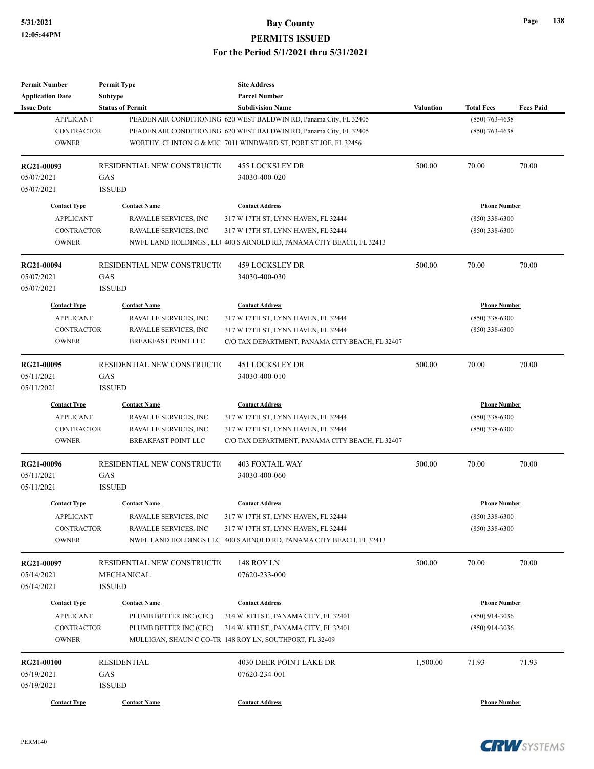| <b>Permit Number</b>                    | <b>Permit Type</b>                            | <b>Site Address</b>                                                 |                  |                                         |                  |
|-----------------------------------------|-----------------------------------------------|---------------------------------------------------------------------|------------------|-----------------------------------------|------------------|
| <b>Application Date</b>                 | Subtype                                       | <b>Parcel Number</b>                                                |                  |                                         |                  |
| <b>Issue Date</b>                       | <b>Status of Permit</b>                       | <b>Subdivision Name</b>                                             | <b>Valuation</b> | <b>Total Fees</b>                       | <b>Fees Paid</b> |
| <b>APPLICANT</b>                        |                                               | PEADEN AIR CONDITIONING 620 WEST BALDWIN RD, Panama City, FL 32405  |                  | $(850)$ 763-4638                        |                  |
| <b>CONTRACTOR</b>                       |                                               | PEADEN AIR CONDITIONING 620 WEST BALDWIN RD, Panama City, FL 32405  |                  | $(850)$ 763-4638                        |                  |
| <b>OWNER</b>                            |                                               | WORTHY, CLINTON G & MIC 7011 WINDWARD ST, PORT ST JOE, FL 32456     |                  |                                         |                  |
| RG21-00093                              | RESIDENTIAL NEW CONSTRUCTIO                   | 455 LOCKSLEY DR                                                     | 500.00           | 70.00                                   | 70.00            |
| 05/07/2021                              | GAS                                           | 34030-400-020                                                       |                  |                                         |                  |
| 05/07/2021                              | <b>ISSUED</b>                                 |                                                                     |                  |                                         |                  |
| <b>Contact Type</b>                     | <b>Contact Name</b>                           | <b>Contact Address</b>                                              |                  | <b>Phone Number</b>                     |                  |
| <b>APPLICANT</b>                        | RAVALLE SERVICES, INC                         | 317 W 17TH ST, LYNN HAVEN, FL 32444                                 |                  | $(850)$ 338-6300                        |                  |
| <b>CONTRACTOR</b>                       | RAVALLE SERVICES, INC                         | 317 W 17TH ST, LYNN HAVEN, FL 32444                                 |                  | $(850)$ 338-6300                        |                  |
| <b>OWNER</b>                            |                                               | NWFL LAND HOLDINGS, LL(400 S ARNOLD RD, PANAMA CITY BEACH, FL 32413 |                  |                                         |                  |
| RG21-00094                              | RESIDENTIAL NEW CONSTRUCTIO                   | 459 LOCKSLEY DR                                                     | 500.00           | 70.00                                   | 70.00            |
| 05/07/2021                              | GAS                                           | 34030-400-030                                                       |                  |                                         |                  |
| 05/07/2021                              | <b>ISSUED</b>                                 |                                                                     |                  |                                         |                  |
| <b>Contact Type</b>                     | <b>Contact Name</b>                           | <b>Contact Address</b>                                              |                  | <b>Phone Number</b>                     |                  |
| <b>APPLICANT</b>                        | RAVALLE SERVICES, INC                         | 317 W 17TH ST, LYNN HAVEN, FL 32444                                 |                  | $(850)$ 338-6300                        |                  |
| <b>CONTRACTOR</b>                       | <b>RAVALLE SERVICES, INC</b>                  | 317 W 17TH ST, LYNN HAVEN, FL 32444                                 |                  | $(850)$ 338-6300                        |                  |
| <b>OWNER</b>                            | <b>BREAKFAST POINT LLC</b>                    | C/O TAX DEPARTMENT, PANAMA CITY BEACH, FL 32407                     |                  |                                         |                  |
|                                         |                                               |                                                                     |                  |                                         |                  |
| RG21-00095                              | RESIDENTIAL NEW CONSTRUCTIO                   | <b>451 LOCKSLEY DR</b>                                              | 500.00           | 70.00                                   | 70.00            |
| 05/11/2021                              | GAS                                           | 34030-400-010                                                       |                  |                                         |                  |
| 05/11/2021                              | <b>ISSUED</b>                                 |                                                                     |                  |                                         |                  |
| <b>Contact Type</b>                     | <b>Contact Name</b>                           | <b>Contact Address</b>                                              |                  | <b>Phone Number</b>                     |                  |
| <b>APPLICANT</b>                        | RAVALLE SERVICES, INC                         | 317 W 17TH ST, LYNN HAVEN, FL 32444                                 |                  | $(850)$ 338-6300                        |                  |
| <b>CONTRACTOR</b>                       | RAVALLE SERVICES, INC                         | 317 W 17TH ST, LYNN HAVEN, FL 32444                                 |                  | $(850)$ 338-6300                        |                  |
| <b>OWNER</b>                            | BREAKFAST POINT LLC                           | C/O TAX DEPARTMENT, PANAMA CITY BEACH, FL 32407                     |                  |                                         |                  |
| RG21-00096                              | RESIDENTIAL NEW CONSTRUCTIO                   | <b>403 FOXTAIL WAY</b>                                              | 500.00           | 70.00                                   | 70.00            |
| 05/11/2021                              | GAS                                           | 34030-400-060                                                       |                  |                                         |                  |
| 05/11/2021                              | <b>ISSUED</b>                                 |                                                                     |                  |                                         |                  |
| <b>Contact Type</b>                     | <b>Contact Name</b>                           | <b>Contact Address</b>                                              |                  | <b>Phone Number</b>                     |                  |
| <b>APPLICANT</b>                        | RAVALLE SERVICES, INC                         | 317 W 17TH ST, LYNN HAVEN, FL 32444                                 |                  | $(850)$ 338-6300                        |                  |
| <b>CONTRACTOR</b>                       | RAVALLE SERVICES, INC                         | 317 W 17TH ST, LYNN HAVEN, FL 32444                                 |                  | $(850)$ 338-6300                        |                  |
| <b>OWNER</b>                            |                                               | NWFL LAND HOLDINGS LLC 400 S ARNOLD RD, PANAMA CITY BEACH, FL 32413 |                  |                                         |                  |
| RG21-00097                              | RESIDENTIAL NEW CONSTRUCTIO                   | 148 ROY LN                                                          | 500.00           | 70.00                                   | 70.00            |
| 05/14/2021                              | MECHANICAL                                    | 07620-233-000                                                       |                  |                                         |                  |
| 05/14/2021                              | <b>ISSUED</b>                                 |                                                                     |                  |                                         |                  |
|                                         |                                               |                                                                     |                  |                                         |                  |
| <b>Contact Type</b><br><b>APPLICANT</b> | <b>Contact Name</b><br>PLUMB BETTER INC (CFC) | <b>Contact Address</b><br>314 W. 8TH ST., PANAMA CITY, FL 32401     |                  | <b>Phone Number</b><br>$(850)$ 914-3036 |                  |
| <b>CONTRACTOR</b>                       | PLUMB BETTER INC (CFC)                        | 314 W. 8TH ST., PANAMA CITY, FL 32401                               |                  | $(850)$ 914-3036                        |                  |
| <b>OWNER</b>                            |                                               | MULLIGAN, SHAUN C CO-TR 148 ROY LN, SOUTHPORT, FL 32409             |                  |                                         |                  |
|                                         |                                               |                                                                     |                  |                                         |                  |
| RG21-00100                              | <b>RESIDENTIAL</b>                            | 4030 DEER POINT LAKE DR                                             | 1,500.00         | 71.93                                   | 71.93            |
| 05/19/2021                              | GAS                                           | 07620-234-001                                                       |                  |                                         |                  |
| 05/19/2021                              | <b>ISSUED</b>                                 |                                                                     |                  |                                         |                  |
| <b>Contact Type</b>                     | <b>Contact Name</b>                           | <b>Contact Address</b>                                              |                  | <b>Phone Number</b>                     |                  |

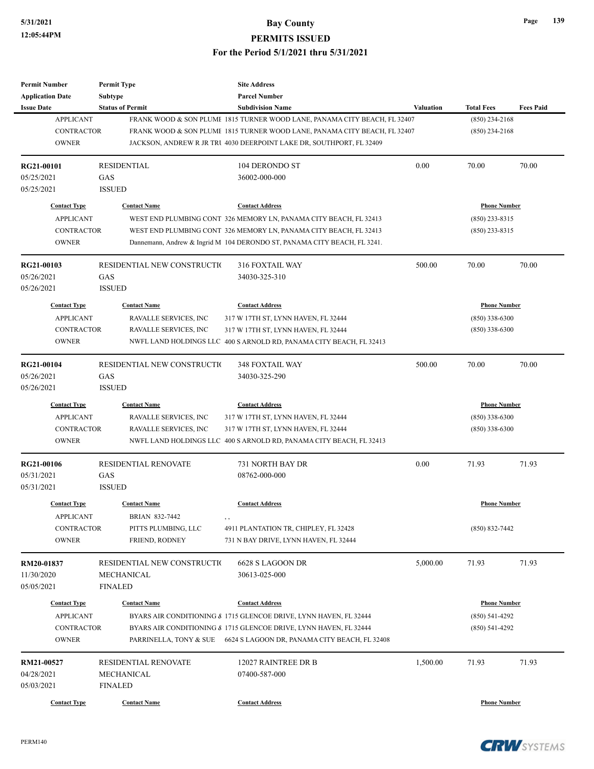| <b>Permit Number</b>     | <b>Permit Type</b>          | <b>Site Address</b>                                                       |                  |                     |                  |
|--------------------------|-----------------------------|---------------------------------------------------------------------------|------------------|---------------------|------------------|
| <b>Application Date</b>  | <b>Subtype</b>              | <b>Parcel Number</b>                                                      |                  |                     |                  |
| <b>Issue Date</b>        | <b>Status of Permit</b>     | <b>Subdivision Name</b>                                                   | <b>Valuation</b> | <b>Total Fees</b>   | <b>Fees Paid</b> |
| <b>APPLICANT</b>         |                             | FRANK WOOD & SON PLUME 1815 TURNER WOOD LANE, PANAMA CITY BEACH, FL 32407 |                  | $(850)$ 234-2168    |                  |
| <b>CONTRACTOR</b>        |                             | FRANK WOOD & SON PLUME 1815 TURNER WOOD LANE, PANAMA CITY BEACH, FL 32407 |                  | $(850)$ 234-2168    |                  |
| <b>OWNER</b>             |                             | JACKSON, ANDREW R JR TRU 4030 DEERPOINT LAKE DR, SOUTHPORT, FL 32409      |                  |                     |                  |
| RG21-00101               | <b>RESIDENTIAL</b>          | 104 DERONDO ST                                                            | 0.00             | 70.00               | 70.00            |
| 05/25/2021               | GAS                         | 36002-000-000                                                             |                  |                     |                  |
| 05/25/2021               | <b>ISSUED</b>               |                                                                           |                  |                     |                  |
| <b>Contact Type</b>      | <b>Contact Name</b>         | <b>Contact Address</b>                                                    |                  | <b>Phone Number</b> |                  |
| <b>APPLICANT</b>         |                             | WEST END PLUMBING CONT 326 MEMORY LN, PANAMA CITY BEACH, FL 32413         |                  | $(850)$ 233-8315    |                  |
| CONTRACTOR               |                             | WEST END PLUMBING CONT 326 MEMORY LN, PANAMA CITY BEACH, FL 32413         |                  | $(850)$ 233-8315    |                  |
| <b>OWNER</b>             |                             | Dannemann, Andrew & Ingrid M 104 DERONDO ST, PANAMA CITY BEACH, FL 3241.  |                  |                     |                  |
| RG21-00103               | RESIDENTIAL NEW CONSTRUCTIO | <b>316 FOXTAIL WAY</b>                                                    | 500.00           | 70.00               | 70.00            |
| 05/26/2021               | GAS                         | 34030-325-310                                                             |                  |                     |                  |
| 05/26/2021               | <b>ISSUED</b>               |                                                                           |                  |                     |                  |
| <b>Contact Type</b>      | <b>Contact Name</b>         | <b>Contact Address</b>                                                    |                  | <b>Phone Number</b> |                  |
| <b>APPLICANT</b>         | RAVALLE SERVICES, INC       | 317 W 17TH ST, LYNN HAVEN, FL 32444                                       |                  | $(850)$ 338-6300    |                  |
| <b>CONTRACTOR</b>        | RAVALLE SERVICES, INC       | 317 W 17TH ST, LYNN HAVEN, FL 32444                                       |                  | $(850)$ 338-6300    |                  |
| <b>OWNER</b>             |                             | NWFL LAND HOLDINGS LLC 400 S ARNOLD RD, PANAMA CITY BEACH, FL 32413       |                  |                     |                  |
|                          |                             |                                                                           |                  |                     |                  |
| RG21-00104               | RESIDENTIAL NEW CONSTRUCTIO | <b>348 FOXTAIL WAY</b>                                                    | 500.00           | 70.00               | 70.00            |
| 05/26/2021               | GAS                         | 34030-325-290                                                             |                  |                     |                  |
| 05/26/2021               | <b>ISSUED</b>               |                                                                           |                  |                     |                  |
| <b>Contact Type</b>      | <b>Contact Name</b>         | <b>Contact Address</b>                                                    |                  | <b>Phone Number</b> |                  |
| <b>APPLICANT</b>         | RAVALLE SERVICES, INC       | 317 W 17TH ST, LYNN HAVEN, FL 32444                                       |                  | $(850)$ 338-6300    |                  |
| <b>CONTRACTOR</b>        | RAVALLE SERVICES, INC       | 317 W 17TH ST, LYNN HAVEN, FL 32444                                       |                  | $(850)$ 338-6300    |                  |
| <b>OWNER</b>             |                             | NWFL LAND HOLDINGS LLC 400 S ARNOLD RD, PANAMA CITY BEACH, FL 32413       |                  |                     |                  |
| RG21-00106               | RESIDENTIAL RENOVATE        | 731 NORTH BAY DR                                                          | 0.00             | 71.93               | 71.93            |
| 05/31/2021               | GAS                         | 08762-000-000                                                             |                  |                     |                  |
| 05/31/2021               | <b>ISSUED</b>               |                                                                           |                  |                     |                  |
| <b>Contact Type</b>      | <b>Contact Name</b>         | <b>Contact Address</b>                                                    |                  | <b>Phone Number</b> |                  |
| <b>APPLICANT</b>         | BRIAN 832-7442              |                                                                           |                  |                     |                  |
| CONTRACTOR               | PITTS PLUMBING, LLC         | , ,<br>4911 PLANTATION TR, CHIPLEY, FL 32428                              |                  | $(850) 832 - 7442$  |                  |
| <b>OWNER</b>             | FRIEND, RODNEY              | 731 N BAY DRIVE, LYNN HAVEN, FL 32444                                     |                  |                     |                  |
|                          | RESIDENTIAL NEW CONSTRUCTIO | 6628 S LAGOON DR                                                          | 5,000.00         | 71.93               | 71.93            |
| RM20-01837<br>11/30/2020 | MECHANICAL                  | 30613-025-000                                                             |                  |                     |                  |
|                          |                             |                                                                           |                  |                     |                  |
| 05/05/2021               | <b>FINALED</b>              |                                                                           |                  |                     |                  |
| <b>Contact Type</b>      | <b>Contact Name</b>         | <b>Contact Address</b>                                                    |                  | <b>Phone Number</b> |                  |
| <b>APPLICANT</b>         |                             | BYARS AIR CONDITIONING & 1715 GLENCOE DRIVE, LYNN HAVEN, FL 32444         |                  | $(850)$ 541-4292    |                  |
| CONTRACTOR               |                             | BYARS AIR CONDITIONING & 1715 GLENCOE DRIVE, LYNN HAVEN, FL 32444         |                  | $(850)$ 541-4292    |                  |
| <b>OWNER</b>             |                             | PARRINELLA, TONY & SUE 6624 S LAGOON DR, PANAMA CITY BEACH, FL 32408      |                  |                     |                  |
| RM21-00527               | RESIDENTIAL RENOVATE        | 12027 RAINTREE DR B                                                       | 1,500.00         | 71.93               | 71.93            |
| 04/28/2021               | MECHANICAL                  | 07400-587-000                                                             |                  |                     |                  |
| 05/03/2021               | <b>FINALED</b>              |                                                                           |                  |                     |                  |
| <b>Contact Type</b>      | <b>Contact Name</b>         | <b>Contact Address</b>                                                    |                  | <b>Phone Number</b> |                  |
|                          |                             |                                                                           |                  |                     |                  |



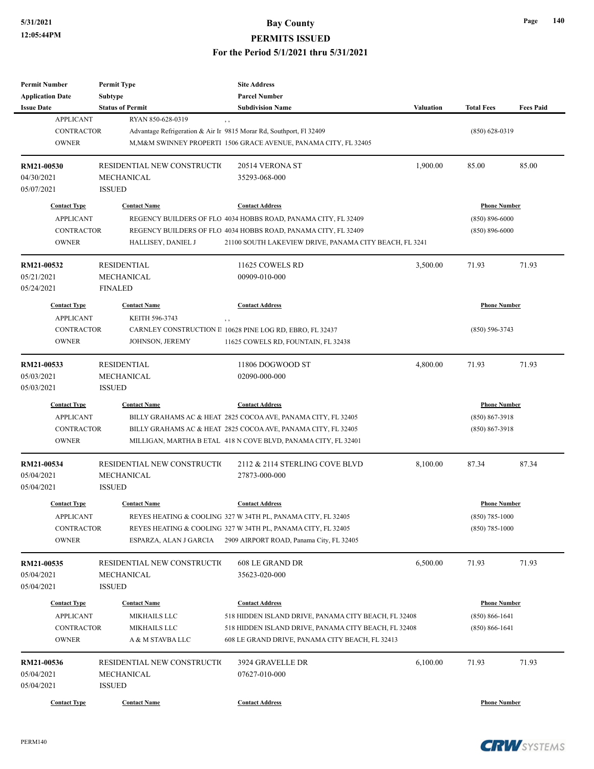**Permit Number**

**Permit Type**

## **5/31/2021 Bay County PERMITS ISSUED For the Period 5/1/2021 thru 5/31/2021**

**Site Address**

| <b>Application Date</b> | Subtype                     | <b>Parcel Number</b>                                                |                  |                     |                  |
|-------------------------|-----------------------------|---------------------------------------------------------------------|------------------|---------------------|------------------|
| <b>Issue Date</b>       | <b>Status of Permit</b>     | <b>Subdivision Name</b>                                             | <b>Valuation</b> | <b>Total Fees</b>   | <b>Fees Paid</b> |
| <b>APPLICANT</b>        | RYAN 850-628-0319           |                                                                     |                  |                     |                  |
| <b>CONTRACTOR</b>       |                             | Advantage Refrigeration & Air Ir 9815 Morar Rd, Southport, Fl 32409 |                  | $(850)$ 628-0319    |                  |
| <b>OWNER</b>            |                             | M, M&M SWINNEY PROPERTI 1506 GRACE AVENUE, PANAMA CITY, FL 32405    |                  |                     |                  |
| RM21-00530              | RESIDENTIAL NEW CONSTRUCTIO | 20514 VERONA ST                                                     | 1,900.00         | 85.00               | 85.00            |
| 04/30/2021              | MECHANICAL                  | 35293-068-000                                                       |                  |                     |                  |
| 05/07/2021              | <b>ISSUED</b>               |                                                                     |                  |                     |                  |
| <b>Contact Type</b>     | <b>Contact Name</b>         | <b>Contact Address</b>                                              |                  | <b>Phone Number</b> |                  |
| <b>APPLICANT</b>        |                             | REGENCY BUILDERS OF FLO 4034 HOBBS ROAD, PANAMA CITY, FL 32409      |                  | $(850) 896 - 6000$  |                  |
| <b>CONTRACTOR</b>       |                             | REGENCY BUILDERS OF FLO 4034 HOBBS ROAD, PANAMA CITY, FL 32409      |                  | $(850) 896 - 6000$  |                  |
| <b>OWNER</b>            | HALLISEY, DANIEL J          | 21100 SOUTH LAKEVIEW DRIVE, PANAMA CITY BEACH, FL 3241              |                  |                     |                  |
| RM21-00532              | <b>RESIDENTIAL</b>          | 11625 COWELS RD                                                     | 3,500.00         | 71.93               | 71.93            |
| 05/21/2021              | MECHANICAL                  | 00909-010-000                                                       |                  |                     |                  |
| 05/24/2021              | <b>FINALED</b>              |                                                                     |                  |                     |                  |
| <b>Contact Type</b>     | <b>Contact Name</b>         | <b>Contact Address</b>                                              |                  | <b>Phone Number</b> |                  |
| <b>APPLICANT</b>        | KEITH 596-3743              | , ,                                                                 |                  |                     |                  |
| CONTRACTOR              |                             | CARNLEY CONSTRUCTION II 10628 PINE LOG RD, EBRO, FL 32437           |                  | $(850) 596 - 3743$  |                  |
| <b>OWNER</b>            | JOHNSON, JEREMY             | 11625 COWELS RD, FOUNTAIN, FL 32438                                 |                  |                     |                  |
| RM21-00533              | <b>RESIDENTIAL</b>          | 11806 DOGWOOD ST                                                    | 4,800.00         | 71.93               | 71.93            |
| 05/03/2021              | MECHANICAL                  | 02090-000-000                                                       |                  |                     |                  |
| 05/03/2021              | <b>ISSUED</b>               |                                                                     |                  |                     |                  |
| <b>Contact Type</b>     | <b>Contact Name</b>         | <b>Contact Address</b>                                              |                  | <b>Phone Number</b> |                  |
| <b>APPLICANT</b>        |                             | BILLY GRAHAMS AC & HEAT 2825 COCOA AVE, PANAMA CITY, FL 32405       |                  | $(850) 867 - 3918$  |                  |
| <b>CONTRACTOR</b>       |                             | BILLY GRAHAMS AC & HEAT 2825 COCOA AVE, PANAMA CITY, FL 32405       |                  | $(850) 867 - 3918$  |                  |
| <b>OWNER</b>            |                             | MILLIGAN, MARTHA B ETAL 418 N COVE BLVD, PANAMA CITY, FL 32401      |                  |                     |                  |
| RM21-00534              | RESIDENTIAL NEW CONSTRUCTIO | 2112 & 2114 STERLING COVE BLVD                                      | 8,100.00         | 87.34               | 87.34            |
| 05/04/2021              | MECHANICAL                  | 27873-000-000                                                       |                  |                     |                  |
| 05/04/2021              | <b>ISSUED</b>               |                                                                     |                  |                     |                  |
| <b>Contact Type</b>     | <b>Contact Name</b>         | <b>Contact Address</b>                                              |                  | <b>Phone Number</b> |                  |
| <b>APPLICANT</b>        |                             | REYES HEATING & COOLING 327 W 34TH PL, PANAMA CITY, FL 32405        |                  | $(850)$ 785-1000    |                  |
| CONTRACTOR              |                             | REYES HEATING & COOLING 327 W 34TH PL, PANAMA CITY, FL 32405        |                  | $(850) 785 - 1000$  |                  |
| <b>OWNER</b>            | ESPARZA, ALAN J GARCIA      | 2909 AIRPORT ROAD, Panama City, FL 32405                            |                  |                     |                  |
| RM21-00535              | RESIDENTIAL NEW CONSTRUCTIO | 608 LE GRAND DR                                                     | 6,500.00         | 71.93               | 71.93            |
| 05/04/2021              | MECHANICAL                  | 35623-020-000                                                       |                  |                     |                  |
| 05/04/2021              | <b>ISSUED</b>               |                                                                     |                  |                     |                  |
| <b>Contact Type</b>     | <b>Contact Name</b>         | <b>Contact Address</b>                                              |                  | <b>Phone Number</b> |                  |
| <b>APPLICANT</b>        | <b>MIKHAILS LLC</b>         | 518 HIDDEN ISLAND DRIVE, PANAMA CITY BEACH, FL 32408                |                  | $(850) 866 - 1641$  |                  |
| CONTRACTOR              | <b>MIKHAILS LLC</b>         | 518 HIDDEN ISLAND DRIVE, PANAMA CITY BEACH, FL 32408                |                  | $(850) 866 - 1641$  |                  |
| <b>OWNER</b>            | A & M STAVBA LLC            | 608 LE GRAND DRIVE, PANAMA CITY BEACH, FL 32413                     |                  |                     |                  |
| RM21-00536              | RESIDENTIAL NEW CONSTRUCTIO | 3924 GRAVELLE DR                                                    | 6,100.00         | 71.93               | 71.93            |
| 05/04/2021              | MECHANICAL                  | 07627-010-000                                                       |                  |                     |                  |
| 05/04/2021              | <b>ISSUED</b>               |                                                                     |                  |                     |                  |
| <b>Contact Type</b>     | <b>Contact Name</b>         | <b>Contact Address</b>                                              |                  | <b>Phone Number</b> |                  |
|                         |                             |                                                                     |                  |                     |                  |



**Page 140**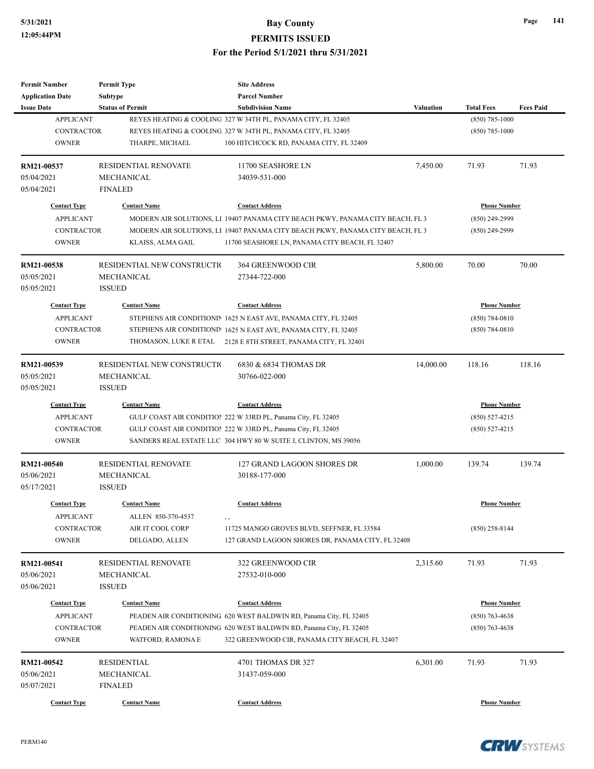| <b>Permit Number</b>    | <b>Permit Type</b>          | <b>Site Address</b>                                                            |                  |                     |                  |
|-------------------------|-----------------------------|--------------------------------------------------------------------------------|------------------|---------------------|------------------|
| <b>Application Date</b> | <b>Subtype</b>              | <b>Parcel Number</b>                                                           |                  |                     |                  |
| <b>Issue Date</b>       | <b>Status of Permit</b>     | <b>Subdivision Name</b>                                                        | <b>Valuation</b> | <b>Total Fees</b>   | <b>Fees Paid</b> |
| <b>APPLICANT</b>        |                             | REYES HEATING & COOLING 327 W 34TH PL, PANAMA CITY, FL 32405                   |                  | $(850)$ 785-1000    |                  |
| <b>CONTRACTOR</b>       |                             | REYES HEATING & COOLING 327 W 34TH PL, PANAMA CITY, FL 32405                   |                  | $(850)$ 785-1000    |                  |
| <b>OWNER</b>            | THARPE, MICHAEL             | 100 HITCHCOCK RD, PANAMA CITY, FL 32409                                        |                  |                     |                  |
|                         |                             |                                                                                |                  |                     |                  |
| RM21-00537              | <b>RESIDENTIAL RENOVATE</b> | 11700 SEASHORE LN                                                              | 7,450.00         | 71.93               | 71.93            |
| 05/04/2021              | MECHANICAL                  | 34039-531-000                                                                  |                  |                     |                  |
| 05/04/2021              | <b>FINALED</b>              |                                                                                |                  |                     |                  |
| <b>Contact Type</b>     | <b>Contact Name</b>         | <b>Contact Address</b>                                                         |                  | <b>Phone Number</b> |                  |
| <b>APPLICANT</b>        |                             | MODERN AIR SOLUTIONS, L1 19407 PANAMA CITY BEACH PKWY, PANAMA CITY BEACH, FL 3 |                  | (850) 249-2999      |                  |
| <b>CONTRACTOR</b>       |                             | MODERN AIR SOLUTIONS, LI 19407 PANAMA CITY BEACH PKWY, PANAMA CITY BEACH, FL 3 |                  | $(850)$ 249-2999    |                  |
| <b>OWNER</b>            |                             |                                                                                |                  |                     |                  |
|                         | KLAISS, ALMA GAIL           | 11700 SEASHORE LN, PANAMA CITY BEACH, FL 32407                                 |                  |                     |                  |
| RM21-00538              | RESIDENTIAL NEW CONSTRUCTIO | 364 GREENWOOD CIR                                                              | 5,800.00         | 70.00               | 70.00            |
| 05/05/2021              | MECHANICAL                  | 27344-722-000                                                                  |                  |                     |                  |
| 05/05/2021              | <b>ISSUED</b>               |                                                                                |                  |                     |                  |
|                         |                             |                                                                                |                  |                     |                  |
| <b>Contact Type</b>     | <b>Contact Name</b>         | <b>Contact Address</b>                                                         |                  | <b>Phone Number</b> |                  |
| <b>APPLICANT</b>        |                             | STEPHENS AIR CONDITIONIN 1625 N EAST AVE, PANAMA CITY, FL 32405                |                  | $(850) 784 - 0810$  |                  |
| <b>CONTRACTOR</b>       |                             | STEPHENS AIR CONDITIONIN 1625 N EAST AVE, PANAMA CITY, FL 32405                |                  | $(850) 784 - 0810$  |                  |
| <b>OWNER</b>            |                             | THOMASON, LUKE R ETAL 2128 E 8TH STREET, PANAMA CITY, FL 32401                 |                  |                     |                  |
| RM21-00539              | RESIDENTIAL NEW CONSTRUCTIO | 6830 & 6834 THOMAS DR                                                          | 14,000.00        | 118.16              | 118.16           |
| 05/05/2021              | MECHANICAL                  | 30766-022-000                                                                  |                  |                     |                  |
| 05/05/2021              | <b>ISSUED</b>               |                                                                                |                  |                     |                  |
|                         |                             |                                                                                |                  |                     |                  |
| <b>Contact Type</b>     | <b>Contact Name</b>         | <b>Contact Address</b>                                                         |                  | <b>Phone Number</b> |                  |
| <b>APPLICANT</b>        |                             | GULF COAST AIR CONDITION 222 W 33RD PL, Panama City, FL 32405                  |                  | $(850)$ 527-4215    |                  |
| <b>CONTRACTOR</b>       |                             | GULF COAST AIR CONDITION 222 W 33RD PL, Panama City, FL 32405                  |                  | $(850)$ 527-4215    |                  |
| <b>OWNER</b>            |                             | SANDERS REAL ESTATE LLC 304 HWY 80 W SUITE J, CLINTON, MS 39056                |                  |                     |                  |
| RM21-00540              | <b>RESIDENTIAL RENOVATE</b> | 127 GRAND LAGOON SHORES DR                                                     | 1,000.00         | 139.74              | 139.74           |
| 05/06/2021              | MECHANICAL                  | 30188-177-000                                                                  |                  |                     |                  |
| 05/17/2021              | <b>ISSUED</b>               |                                                                                |                  |                     |                  |
|                         |                             |                                                                                |                  |                     |                  |
| <b>Contact Type</b>     | <b>Contact Name</b>         | <b>Contact Address</b>                                                         |                  | <b>Phone Number</b> |                  |
| <b>APPLICANT</b>        | ALLEN 850-370-4537          | , ,                                                                            |                  |                     |                  |
| <b>CONTRACTOR</b>       | AIR IT COOL CORP            | 11725 MANGO GROVES BLVD, SEFFNER, FL 33584                                     |                  | $(850)$ 258-8144    |                  |
| <b>OWNER</b>            | DELGADO, ALLEN              | 127 GRAND LAGOON SHORES DR, PANAMA CITY, FL 32408                              |                  |                     |                  |
| RM21-00541              | RESIDENTIAL RENOVATE        | 322 GREENWOOD CIR                                                              | 2,315.60         | 71.93               | 71.93            |
| 05/06/2021              | MECHANICAL                  | 27532-010-000                                                                  |                  |                     |                  |
| 05/06/2021              | <b>ISSUED</b>               |                                                                                |                  |                     |                  |
|                         |                             |                                                                                |                  |                     |                  |
| <b>Contact Type</b>     | <b>Contact Name</b>         | <b>Contact Address</b>                                                         |                  | <b>Phone Number</b> |                  |
| <b>APPLICANT</b>        |                             | PEADEN AIR CONDITIONING 620 WEST BALDWIN RD, Panama City, FL 32405             |                  | $(850)$ 763-4638    |                  |
| <b>CONTRACTOR</b>       |                             | PEADEN AIR CONDITIONING 620 WEST BALDWIN RD, Panama City, FL 32405             |                  | $(850)$ 763-4638    |                  |
| <b>OWNER</b>            | WATFORD, RAMONA E           | 322 GREENWOOD CIR, PANAMA CITY BEACH, FL 32407                                 |                  |                     |                  |
| RM21-00542              | <b>RESIDENTIAL</b>          | 4701 THOMAS DR 327                                                             | 6,301.00         | 71.93               | 71.93            |
| 05/06/2021              | MECHANICAL                  | 31437-059-000                                                                  |                  |                     |                  |
|                         |                             |                                                                                |                  |                     |                  |
| 05/07/2021              | <b>FINALED</b>              |                                                                                |                  |                     |                  |
| <b>Contact Type</b>     | <b>Contact Name</b>         | <b>Contact Address</b>                                                         |                  | <b>Phone Number</b> |                  |

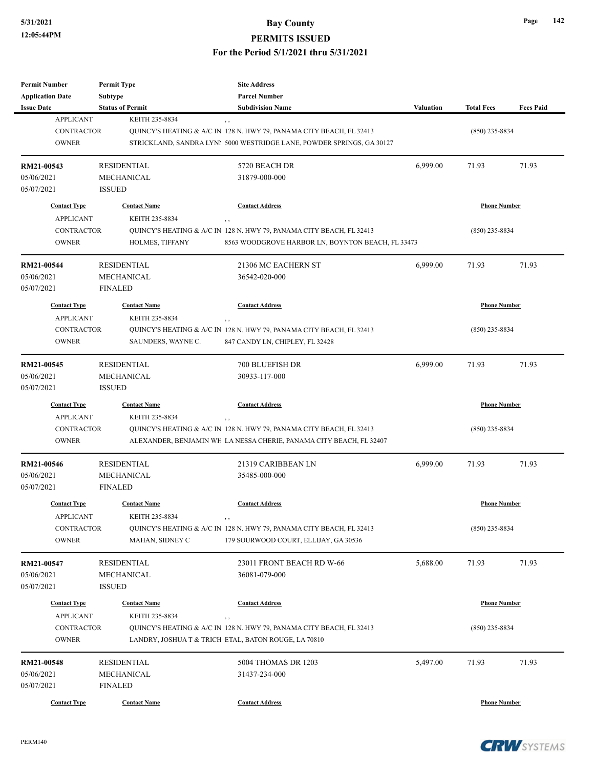| <b>Permit Number</b>                  | <b>Permit Type</b>                        | <b>Site Address</b>                                                         |           |                     |                  |
|---------------------------------------|-------------------------------------------|-----------------------------------------------------------------------------|-----------|---------------------|------------------|
| <b>Application Date</b>               | Subtype                                   | <b>Parcel Number</b>                                                        |           |                     |                  |
| <b>Issue Date</b><br><b>APPLICANT</b> | <b>Status of Permit</b><br>KEITH 235-8834 | <b>Subdivision Name</b>                                                     | Valuation | <b>Total Fees</b>   | <b>Fees Paid</b> |
| <b>CONTRACTOR</b>                     |                                           | QUINCY'S HEATING & A/C IN 128 N. HWY 79, PANAMA CITY BEACH, FL 32413        |           | $(850)$ 235-8834    |                  |
| <b>OWNER</b>                          |                                           | STRICKLAND, SANDRA LYN! 5000 WESTRIDGE LANE, POWDER SPRINGS, GA 30127       |           |                     |                  |
|                                       |                                           |                                                                             |           |                     |                  |
| RM21-00543                            | <b>RESIDENTIAL</b>                        | 5720 BEACH DR                                                               | 6,999.00  | 71.93               | 71.93            |
| 05/06/2021                            | MECHANICAL                                | 31879-000-000                                                               |           |                     |                  |
| 05/07/2021                            | <b>ISSUED</b>                             |                                                                             |           |                     |                  |
| <b>Contact Type</b>                   | <b>Contact Name</b>                       | <b>Contact Address</b>                                                      |           | <b>Phone Number</b> |                  |
| <b>APPLICANT</b>                      | KEITH 235-8834                            |                                                                             |           |                     |                  |
| <b>CONTRACTOR</b>                     |                                           | , ,<br>QUINCY'S HEATING & A/C IN 128 N. HWY 79, PANAMA CITY BEACH, FL 32413 |           | $(850)$ 235-8834    |                  |
| <b>OWNER</b>                          | HOLMES, TIFFANY                           | 8563 WOODGROVE HARBOR LN, BOYNTON BEACH, FL 33473                           |           |                     |                  |
|                                       |                                           |                                                                             |           |                     |                  |
| RM21-00544                            | <b>RESIDENTIAL</b>                        | 21306 MC EACHERN ST                                                         | 6,999.00  | 71.93               | 71.93            |
| 05/06/2021                            | MECHANICAL                                | 36542-020-000                                                               |           |                     |                  |
| 05/07/2021                            | <b>FINALED</b>                            |                                                                             |           |                     |                  |
| <b>Contact Type</b>                   | <b>Contact Name</b>                       | <b>Contact Address</b>                                                      |           | <b>Phone Number</b> |                  |
| <b>APPLICANT</b>                      | KEITH 235-8834                            | , ,                                                                         |           |                     |                  |
| <b>CONTRACTOR</b>                     |                                           | QUINCY'S HEATING & A/C IN 128 N. HWY 79, PANAMA CITY BEACH, FL 32413        |           | $(850)$ 235-8834    |                  |
| <b>OWNER</b>                          | SAUNDERS, WAYNE C.                        | 847 CANDY LN, CHIPLEY, FL 32428                                             |           |                     |                  |
|                                       |                                           |                                                                             |           |                     |                  |
| RM21-00545                            | <b>RESIDENTIAL</b>                        | 700 BLUEFISH DR                                                             | 6,999.00  | 71.93               | 71.93            |
| 05/06/2021                            | MECHANICAL                                | 30933-117-000                                                               |           |                     |                  |
| 05/07/2021                            | <b>ISSUED</b>                             |                                                                             |           |                     |                  |
| <b>Contact Type</b>                   | <b>Contact Name</b>                       | <b>Contact Address</b>                                                      |           | <b>Phone Number</b> |                  |
| <b>APPLICANT</b>                      | KEITH 235-8834                            | , ,                                                                         |           |                     |                  |
| <b>CONTRACTOR</b>                     |                                           | QUINCY'S HEATING & A/C IN 128 N. HWY 79, PANAMA CITY BEACH, FL 32413        |           | $(850)$ 235-8834    |                  |
| <b>OWNER</b>                          |                                           | ALEXANDER, BENJAMIN WH LA NESSA CHERIE, PANAMA CITY BEACH, FL 32407         |           |                     |                  |
|                                       |                                           |                                                                             |           |                     |                  |
| RM21-00546<br>05/06/2021              | <b>RESIDENTIAL</b><br>MECHANICAL          | 21319 CARIBBEAN LN<br>35485-000-000                                         | 6,999.00  | 71.93               | 71.93            |
| 05/07/2021                            | <b>FINALED</b>                            |                                                                             |           |                     |                  |
|                                       |                                           |                                                                             |           |                     |                  |
| <b>Contact Type</b>                   | <b>Contact Name</b>                       | <b>Contact Address</b>                                                      |           | <b>Phone Number</b> |                  |
| <b>APPLICANT</b>                      | KEITH 235-8834                            | , ,                                                                         |           |                     |                  |
| <b>CONTRACTOR</b>                     |                                           | QUINCY'S HEATING & A/C IN 128 N. HWY 79, PANAMA CITY BEACH, FL 32413        |           | $(850)$ 235-8834    |                  |
| <b>OWNER</b>                          | MAHAN, SIDNEY C                           | 179 SOURWOOD COURT, ELLIJAY, GA 30536                                       |           |                     |                  |
| RM21-00547                            | <b>RESIDENTIAL</b>                        | 23011 FRONT BEACH RD W-66                                                   | 5,688.00  | 71.93               | 71.93            |
| 05/06/2021                            | MECHANICAL                                | 36081-079-000                                                               |           |                     |                  |
| 05/07/2021                            | <b>ISSUED</b>                             |                                                                             |           |                     |                  |
|                                       |                                           |                                                                             |           |                     |                  |
| <b>Contact Type</b>                   | <b>Contact Name</b>                       | <b>Contact Address</b>                                                      |           | <b>Phone Number</b> |                  |
| <b>APPLICANT</b>                      | KEITH 235-8834                            | , ,                                                                         |           |                     |                  |
| CONTRACTOR                            |                                           | QUINCY'S HEATING & A/C IN 128 N. HWY 79, PANAMA CITY BEACH, FL 32413        |           | $(850)$ 235-8834    |                  |
| <b>OWNER</b>                          |                                           | LANDRY, JOSHUA T & TRICH ETAL, BATON ROUGE, LA 70810                        |           |                     |                  |
| RM21-00548                            | <b>RESIDENTIAL</b>                        | 5004 THOMAS DR 1203                                                         | 5,497.00  | 71.93               | 71.93            |
| 05/06/2021                            | MECHANICAL                                | 31437-234-000                                                               |           |                     |                  |
| 05/07/2021                            | <b>FINALED</b>                            |                                                                             |           |                     |                  |
|                                       |                                           |                                                                             |           |                     |                  |
| <b>Contact Type</b>                   | <b>Contact Name</b>                       | <b>Contact Address</b>                                                      |           | <b>Phone Number</b> |                  |



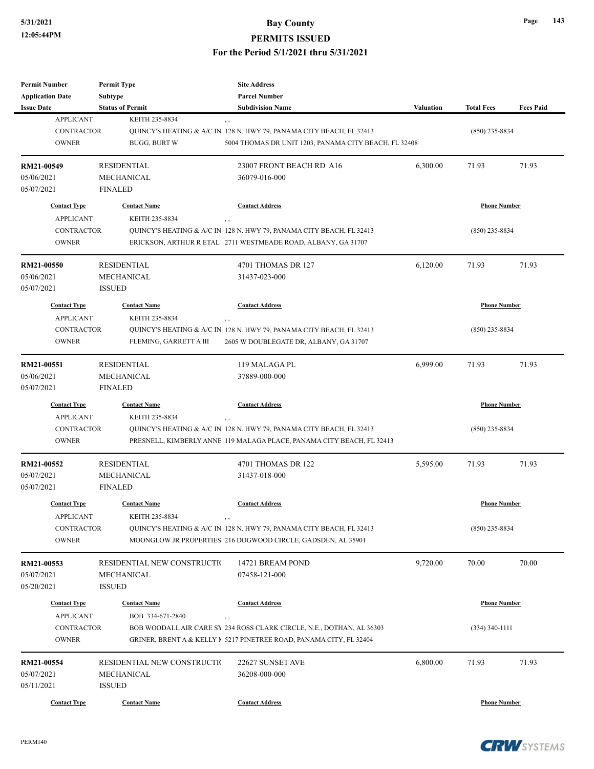| <b>Permit Number</b>     | <b>Permit Type</b>          | <b>Site Address</b>                                                   |                  |                     |                  |
|--------------------------|-----------------------------|-----------------------------------------------------------------------|------------------|---------------------|------------------|
| <b>Application Date</b>  | Subtype                     | <b>Parcel Number</b>                                                  |                  |                     |                  |
| <b>Issue Date</b>        | <b>Status of Permit</b>     | <b>Subdivision Name</b>                                               | <b>Valuation</b> | <b>Total Fees</b>   | <b>Fees Paid</b> |
| <b>APPLICANT</b>         | KEITH 235-8834              | $, \, , \,$                                                           |                  |                     |                  |
| <b>CONTRACTOR</b>        |                             | QUINCY'S HEATING & A/C IN 128 N. HWY 79, PANAMA CITY BEACH, FL 32413  |                  | $(850)$ 235-8834    |                  |
| <b>OWNER</b>             | <b>BUGG, BURT W</b>         | 5004 THOMAS DR UNIT 1203, PANAMA CITY BEACH, FL 32408                 |                  |                     |                  |
| RM21-00549               | <b>RESIDENTIAL</b>          | 23007 FRONT BEACH RD A16                                              | 6,300.00         | 71.93               | 71.93            |
| 05/06/2021               | <b>MECHANICAL</b>           | 36079-016-000                                                         |                  |                     |                  |
| 05/07/2021               | <b>FINALED</b>              |                                                                       |                  |                     |                  |
| <b>Contact Type</b>      | <b>Contact Name</b>         | <b>Contact Address</b>                                                |                  | <b>Phone Number</b> |                  |
| <b>APPLICANT</b>         | KEITH 235-8834              | , ,                                                                   |                  |                     |                  |
| <b>CONTRACTOR</b>        |                             | QUINCY'S HEATING & A/C IN 128 N. HWY 79, PANAMA CITY BEACH, FL 32413  |                  | $(850)$ 235-8834    |                  |
| <b>OWNER</b>             |                             | ERICKSON, ARTHUR R ETAL 2711 WESTMEADE ROAD, ALBANY, GA 31707         |                  |                     |                  |
|                          |                             |                                                                       |                  |                     |                  |
| RM21-00550               | <b>RESIDENTIAL</b>          | 4701 THOMAS DR 127                                                    | 6,120.00         | 71.93               | 71.93            |
| 05/06/2021<br>05/07/2021 | MECHANICAL<br><b>ISSUED</b> | 31437-023-000                                                         |                  |                     |                  |
| <b>Contact Type</b>      | <b>Contact Name</b>         | <b>Contact Address</b>                                                |                  | <b>Phone Number</b> |                  |
| <b>APPLICANT</b>         | KEITH 235-8834              |                                                                       |                  |                     |                  |
| <b>CONTRACTOR</b>        |                             | , ,                                                                   |                  |                     |                  |
|                          |                             | QUINCY'S HEATING & A/C IN 128 N. HWY 79, PANAMA CITY BEACH, FL 32413  |                  | $(850)$ 235-8834    |                  |
| <b>OWNER</b>             | FLEMING, GARRETT A III      | 2605 W DOUBLEGATE DR, ALBANY, GA 31707                                |                  |                     |                  |
| RM21-00551               | <b>RESIDENTIAL</b>          | 119 MALAGA PL                                                         | 6,999.00         | 71.93               | 71.93            |
| 05/06/2021               | MECHANICAL                  | 37889-000-000                                                         |                  |                     |                  |
| 05/07/2021               | <b>FINALED</b>              |                                                                       |                  |                     |                  |
| <b>Contact Type</b>      | <b>Contact Name</b>         | <b>Contact Address</b>                                                |                  | <b>Phone Number</b> |                  |
| <b>APPLICANT</b>         | KEITH 235-8834              | , ,                                                                   |                  |                     |                  |
| <b>CONTRACTOR</b>        |                             | QUINCY'S HEATING & A/C IN 128 N. HWY 79, PANAMA CITY BEACH, FL 32413  |                  | $(850)$ 235-8834    |                  |
| <b>OWNER</b>             |                             | PRESNELL, KIMBERLY ANNE 119 MALAGA PLACE, PANAMA CITY BEACH, FL 32413 |                  |                     |                  |
| RM21-00552               | <b>RESIDENTIAL</b>          | 4701 THOMAS DR 122                                                    | 5,595.00         | 71.93               | 71.93            |
| 05/07/2021               | MECHANICAL                  | 31437-018-000                                                         |                  |                     |                  |
| 05/07/2021               | <b>FINALED</b>              |                                                                       |                  |                     |                  |
|                          |                             |                                                                       |                  |                     |                  |
| <b>Contact Type</b>      | <b>Contact Name</b>         | <b>Contact Address</b>                                                |                  | <b>Phone Number</b> |                  |
| <b>APPLICANT</b>         | KEITH 235-8834              | $, \, , \,$                                                           |                  |                     |                  |
| CONTRACTOR               |                             | QUINCY'S HEATING & A/C IN 128 N. HWY 79, PANAMA CITY BEACH, FL 32413  |                  | $(850)$ 235-8834    |                  |
| <b>OWNER</b>             |                             | MOONGLOW JR PROPERTIES 216 DOGWOOD CIRCLE, GADSDEN, AL 35901          |                  |                     |                  |
| RM21-00553               | RESIDENTIAL NEW CONSTRUCTIO | 14721 BREAM POND                                                      | 9,720.00         | 70.00               | 70.00            |
| 05/07/2021               | MECHANICAL                  | 07458-121-000                                                         |                  |                     |                  |
| 05/20/2021               | ISSUED                      |                                                                       |                  |                     |                  |
| <b>Contact Type</b>      | <b>Contact Name</b>         | <b>Contact Address</b>                                                |                  | <b>Phone Number</b> |                  |
| <b>APPLICANT</b>         | BOB 334-671-2840            |                                                                       |                  |                     |                  |
|                          |                             | , ,                                                                   |                  |                     |                  |
| <b>CONTRACTOR</b>        |                             | BOB WOODALL AIR CARE SY 234 ROSS CLARK CIRCLE, N.E., DOTHAN, AL 36303 |                  | $(334)$ 340-1111    |                  |
| <b>OWNER</b>             |                             | GRINER, BRENT A & KELLY $N$ 5217 PINETREE ROAD, PANAMA CITY, FL 32404 |                  |                     |                  |
| RM21-00554               | RESIDENTIAL NEW CONSTRUCTIO | 22627 SUNSET AVE                                                      | 6,800.00         | 71.93               | 71.93            |
| 05/07/2021               | MECHANICAL                  | 36208-000-000                                                         |                  |                     |                  |
| 05/11/2021               | <b>ISSUED</b>               |                                                                       |                  |                     |                  |
| <b>Contact Type</b>      | <b>Contact Name</b>         | <b>Contact Address</b>                                                |                  | <b>Phone Number</b> |                  |

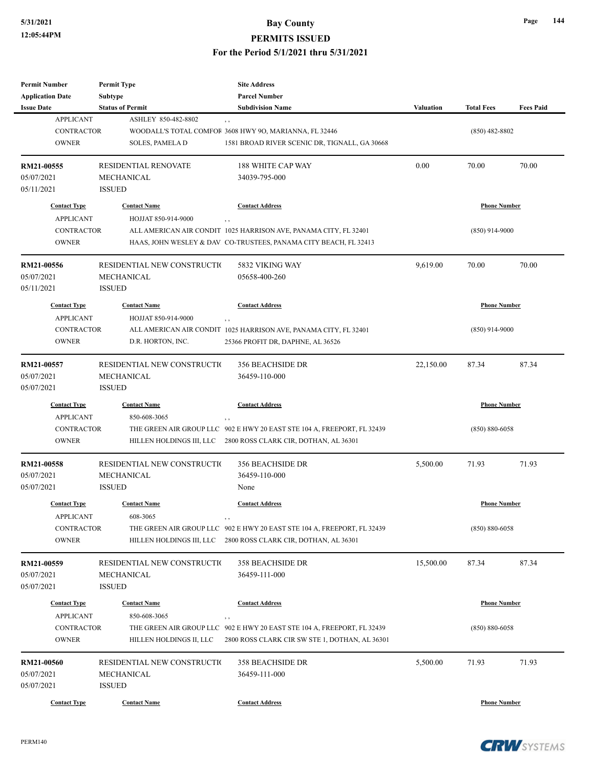| <b>Permit Number</b><br><b>Application Date</b> | <b>Permit Type</b><br>Subtype | <b>Site Address</b><br><b>Parcel Number</b>                                                                                               |                  |                     |                  |
|-------------------------------------------------|-------------------------------|-------------------------------------------------------------------------------------------------------------------------------------------|------------------|---------------------|------------------|
| <b>Issue Date</b>                               | <b>Status of Permit</b>       | <b>Subdivision Name</b>                                                                                                                   | <b>Valuation</b> | <b>Total Fees</b>   | <b>Fees Paid</b> |
| <b>APPLICANT</b>                                | ASHLEY 850-482-8802           | $, \, ,$                                                                                                                                  |                  |                     |                  |
| <b>CONTRACTOR</b>                               |                               | WOODALL'S TOTAL COMFOF 3608 HWY 90, MARIANNA, FL 32446                                                                                    |                  | $(850)$ 482-8802    |                  |
| <b>OWNER</b>                                    | <b>SOLES, PAMELA D</b>        | 1581 BROAD RIVER SCENIC DR, TIGNALL, GA 30668                                                                                             |                  |                     |                  |
| RM21-00555                                      | <b>RESIDENTIAL RENOVATE</b>   | 188 WHITE CAP WAY                                                                                                                         | 0.00             | 70.00               | 70.00            |
| 05/07/2021                                      | <b>MECHANICAL</b>             | 34039-795-000                                                                                                                             |                  |                     |                  |
| 05/11/2021                                      | <b>ISSUED</b>                 |                                                                                                                                           |                  |                     |                  |
| <b>Contact Type</b>                             | <b>Contact Name</b>           | <b>Contact Address</b>                                                                                                                    |                  | <b>Phone Number</b> |                  |
| <b>APPLICANT</b>                                | HOJJAT 850-914-9000           | $, \, , \,$                                                                                                                               |                  |                     |                  |
| CONTRACTOR                                      |                               | ALL AMERICAN AIR CONDIT 1025 HARRISON AVE, PANAMA CITY, FL 32401                                                                          |                  | $(850)$ 914-9000    |                  |
| <b>OWNER</b>                                    |                               | HAAS, JOHN WESLEY & DAV CO-TRUSTEES, PANAMA CITY BEACH, FL 32413                                                                          |                  |                     |                  |
| RM21-00556                                      | RESIDENTIAL NEW CONSTRUCTIO   | 5832 VIKING WAY                                                                                                                           | 9,619.00         | 70.00               | 70.00            |
| 05/07/2021                                      | MECHANICAL                    | 05658-400-260                                                                                                                             |                  |                     |                  |
| 05/11/2021                                      | <b>ISSUED</b>                 |                                                                                                                                           |                  |                     |                  |
| <b>Contact Type</b>                             | <b>Contact Name</b>           | <b>Contact Address</b>                                                                                                                    |                  | <b>Phone Number</b> |                  |
| <b>APPLICANT</b>                                | HOJJAT 850-914-9000           | $, \, ,$                                                                                                                                  |                  |                     |                  |
| <b>CONTRACTOR</b>                               |                               | ALL AMERICAN AIR CONDIT 1025 HARRISON AVE, PANAMA CITY, FL 32401                                                                          |                  | $(850)$ 914-9000    |                  |
| <b>OWNER</b>                                    | D.R. HORTON, INC.             | 25366 PROFIT DR, DAPHNE, AL 36526                                                                                                         |                  |                     |                  |
|                                                 |                               |                                                                                                                                           |                  |                     |                  |
| RM21-00557                                      | RESIDENTIAL NEW CONSTRUCTIO   | <b>356 BEACHSIDE DR</b>                                                                                                                   | 22,150.00        | 87.34               | 87.34            |
| 05/07/2021                                      | <b>MECHANICAL</b>             | 36459-110-000                                                                                                                             |                  |                     |                  |
| 05/07/2021                                      | <b>ISSUED</b>                 |                                                                                                                                           |                  |                     |                  |
| <b>Contact Type</b>                             | <b>Contact Name</b>           | <b>Contact Address</b>                                                                                                                    |                  | <b>Phone Number</b> |                  |
| <b>APPLICANT</b>                                | 850-608-3065                  | $, \, ,$                                                                                                                                  |                  |                     |                  |
| <b>CONTRACTOR</b>                               |                               | THE GREEN AIR GROUP LLC 902 E HWY 20 EAST STE 104 A, FREEPORT, FL 32439                                                                   |                  | $(850) 880 - 6058$  |                  |
| <b>OWNER</b>                                    |                               | HILLEN HOLDINGS III, LLC 2800 ROSS CLARK CIR, DOTHAN, AL 36301                                                                            |                  |                     |                  |
| RM21-00558                                      | RESIDENTIAL NEW CONSTRUCTIO   | <b>356 BEACHSIDE DR</b>                                                                                                                   | 5,500.00         | 71.93               | 71.93            |
| 05/07/2021                                      | <b>MECHANICAL</b>             | 36459-110-000                                                                                                                             |                  |                     |                  |
| 05/07/2021                                      | <b>ISSUED</b>                 | None                                                                                                                                      |                  |                     |                  |
| <b>Contact Type</b>                             | <b>Contact Name</b>           | <b>Contact Address</b>                                                                                                                    |                  | <b>Phone Number</b> |                  |
|                                                 |                               |                                                                                                                                           |                  |                     |                  |
| <b>APPLICANT</b><br>CONTRACTOR                  | 608-3065                      | $, \,$                                                                                                                                    |                  | $(850) 880 - 6058$  |                  |
| <b>OWNER</b>                                    |                               | THE GREEN AIR GROUP LLC 902 E HWY 20 EAST STE 104 A, FREEPORT, FL 32439<br>HILLEN HOLDINGS III, LLC 2800 ROSS CLARK CIR, DOTHAN, AL 36301 |                  |                     |                  |
|                                                 |                               |                                                                                                                                           |                  |                     |                  |
| RM21-00559                                      | RESIDENTIAL NEW CONSTRUCTIO   | 358 BEACHSIDE DR                                                                                                                          | 15,500.00        | 87.34               | 87.34            |
| 05/07/2021                                      | MECHANICAL                    | 36459-111-000                                                                                                                             |                  |                     |                  |
| 05/07/2021                                      | <b>ISSUED</b>                 |                                                                                                                                           |                  |                     |                  |
| <b>Contact Type</b>                             | <b>Contact Name</b>           | <b>Contact Address</b>                                                                                                                    |                  | <b>Phone Number</b> |                  |
| <b>APPLICANT</b>                                | 850-608-3065                  | , ,                                                                                                                                       |                  |                     |                  |
| <b>CONTRACTOR</b>                               |                               | THE GREEN AIR GROUP LLC 902 E HWY 20 EAST STE 104 A, FREEPORT, FL 32439                                                                   |                  | $(850) 880 - 6058$  |                  |
| <b>OWNER</b>                                    | HILLEN HOLDINGS II, LLC       | 2800 ROSS CLARK CIR SW STE 1, DOTHAN, AL 36301                                                                                            |                  |                     |                  |
| RM21-00560                                      | RESIDENTIAL NEW CONSTRUCTIO   | <b>358 BEACHSIDE DR</b>                                                                                                                   | 5,500.00         | 71.93               | 71.93            |
| 05/07/2021                                      | MECHANICAL                    | 36459-111-000                                                                                                                             |                  |                     |                  |
| 05/07/2021                                      | <b>ISSUED</b>                 |                                                                                                                                           |                  |                     |                  |
| <b>Contact Type</b>                             | <b>Contact Name</b>           | <b>Contact Address</b>                                                                                                                    |                  | <b>Phone Number</b> |                  |
|                                                 |                               |                                                                                                                                           |                  |                     |                  |

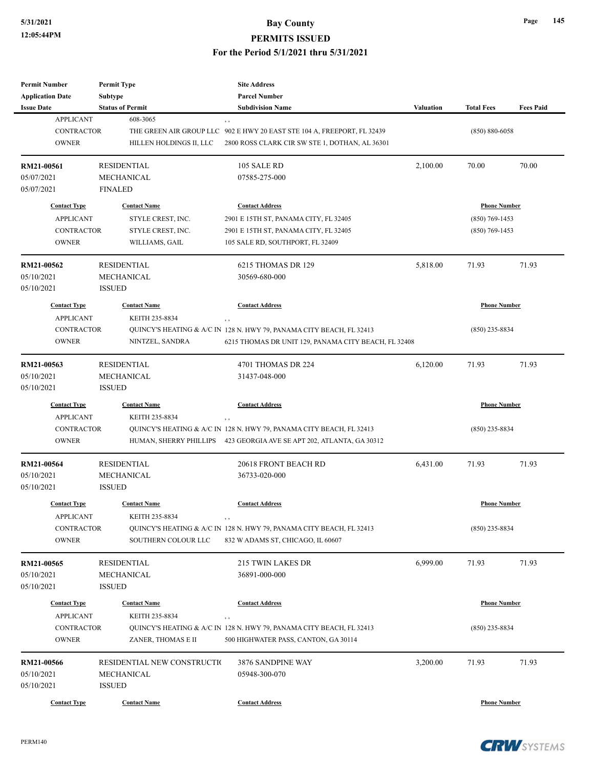| <b>Permit Number</b>    | <b>Permit Type</b>          | <b>Site Address</b>                                                                                                   |                  |                     |                  |
|-------------------------|-----------------------------|-----------------------------------------------------------------------------------------------------------------------|------------------|---------------------|------------------|
| <b>Application Date</b> | Subtype                     | <b>Parcel Number</b>                                                                                                  |                  |                     |                  |
| <b>Issue Date</b>       | <b>Status of Permit</b>     | <b>Subdivision Name</b>                                                                                               | <b>Valuation</b> | <b>Total Fees</b>   | <b>Fees Paid</b> |
| <b>APPLICANT</b>        | 608-3065                    | , ,                                                                                                                   |                  |                     |                  |
| <b>CONTRACTOR</b>       |                             | THE GREEN AIR GROUP LLC 902 E HWY 20 EAST STE 104 A, FREEPORT, FL 32439                                               |                  | $(850) 880 - 6058$  |                  |
| <b>OWNER</b>            | HILLEN HOLDINGS II, LLC     | 2800 ROSS CLARK CIR SW STE 1, DOTHAN, AL 36301                                                                        |                  |                     |                  |
|                         |                             |                                                                                                                       |                  |                     |                  |
| RM21-00561              | <b>RESIDENTIAL</b>          | 105 SALE RD                                                                                                           | 2,100.00         | 70.00               | 70.00            |
| 05/07/2021              | <b>MECHANICAL</b>           | 07585-275-000                                                                                                         |                  |                     |                  |
| 05/07/2021              | <b>FINALED</b>              |                                                                                                                       |                  |                     |                  |
| <b>Contact Type</b>     | <b>Contact Name</b>         | <b>Contact Address</b>                                                                                                |                  | <b>Phone Number</b> |                  |
| <b>APPLICANT</b>        | STYLE CREST, INC.           | 2901 E 15TH ST, PANAMA CITY, FL 32405                                                                                 |                  | $(850)$ 769-1453    |                  |
| <b>CONTRACTOR</b>       | STYLE CREST, INC.           | 2901 E 15TH ST, PANAMA CITY, FL 32405                                                                                 |                  | $(850)$ 769-1453    |                  |
| <b>OWNER</b>            | WILLIAMS, GAIL              | 105 SALE RD, SOUTHPORT, FL 32409                                                                                      |                  |                     |                  |
|                         |                             |                                                                                                                       |                  |                     |                  |
| RM21-00562              | <b>RESIDENTIAL</b>          | 6215 THOMAS DR 129                                                                                                    | 5,818.00         | 71.93               | 71.93            |
| 05/10/2021              | <b>MECHANICAL</b>           | 30569-680-000                                                                                                         |                  |                     |                  |
| 05/10/2021              | <b>ISSUED</b>               |                                                                                                                       |                  |                     |                  |
| <b>Contact Type</b>     | <b>Contact Name</b>         | <b>Contact Address</b>                                                                                                |                  | <b>Phone Number</b> |                  |
| <b>APPLICANT</b>        | KEITH 235-8834              |                                                                                                                       |                  |                     |                  |
|                         |                             | , ,                                                                                                                   |                  |                     |                  |
| CONTRACTOR              |                             | QUINCY'S HEATING & A/C IN 128 N. HWY 79, PANAMA CITY BEACH, FL 32413                                                  |                  | $(850)$ 235-8834    |                  |
| <b>OWNER</b>            | NINTZEL, SANDRA             | 6215 THOMAS DR UNIT 129, PANAMA CITY BEACH, FL 32408                                                                  |                  |                     |                  |
| RM21-00563              | <b>RESIDENTIAL</b>          | 4701 THOMAS DR 224                                                                                                    | 6,120.00         | 71.93               | 71.93            |
| 05/10/2021              | <b>MECHANICAL</b>           | 31437-048-000                                                                                                         |                  |                     |                  |
| 05/10/2021              | <b>ISSUED</b>               |                                                                                                                       |                  |                     |                  |
| <b>Contact Type</b>     | <b>Contact Name</b>         | <b>Contact Address</b>                                                                                                |                  | <b>Phone Number</b> |                  |
| <b>APPLICANT</b>        | KEITH 235-8834              |                                                                                                                       |                  |                     |                  |
| <b>CONTRACTOR</b>       |                             | $, \, ,$                                                                                                              |                  |                     |                  |
| <b>OWNER</b>            | HUMAN, SHERRY PHILLIPS      | QUINCY'S HEATING & A/C IN 128 N. HWY 79, PANAMA CITY BEACH, FL 32413<br>423 GEORGIA AVE SE APT 202, ATLANTA, GA 30312 |                  | $(850)$ 235-8834    |                  |
|                         |                             |                                                                                                                       |                  |                     |                  |
| RM21-00564              | <b>RESIDENTIAL</b>          | 20618 FRONT BEACH RD                                                                                                  | 6,431.00         | 71.93               | 71.93            |
| 05/10/2021              | MECHANICAL                  | 36733-020-000                                                                                                         |                  |                     |                  |
| 05/10/2021              | <b>ISSUED</b>               |                                                                                                                       |                  |                     |                  |
|                         |                             |                                                                                                                       |                  |                     |                  |
| <b>Contact Type</b>     | <b>Contact Name</b>         | <b>Contact Address</b>                                                                                                |                  | <b>Phone Number</b> |                  |
| <b>APPLICANT</b>        | KEITH 235-8834              | $, \, \cdot$                                                                                                          |                  |                     |                  |
| CONTRACTOR              |                             | QUINCY'S HEATING & A/C IN 128 N. HWY 79, PANAMA CITY BEACH, FL 32413                                                  |                  | $(850)$ 235-8834    |                  |
| <b>OWNER</b>            | SOUTHERN COLOUR LLC         | 832 W ADAMS ST, CHICAGO, IL 60607                                                                                     |                  |                     |                  |
| RM21-00565              | <b>RESIDENTIAL</b>          | 215 TWIN LAKES DR                                                                                                     | 6,999.00         | 71.93               | 71.93            |
| 05/10/2021              | MECHANICAL                  | 36891-000-000                                                                                                         |                  |                     |                  |
| 05/10/2021              |                             |                                                                                                                       |                  |                     |                  |
|                         | <b>ISSUED</b>               |                                                                                                                       |                  |                     |                  |
| <b>Contact Type</b>     | <b>Contact Name</b>         | <b>Contact Address</b>                                                                                                |                  | <b>Phone Number</b> |                  |
| <b>APPLICANT</b>        | KEITH 235-8834              | , ,                                                                                                                   |                  |                     |                  |
| CONTRACTOR              |                             | QUINCY'S HEATING & A/C IN 128 N. HWY 79, PANAMA CITY BEACH, FL 32413                                                  |                  | $(850)$ 235-8834    |                  |
| <b>OWNER</b>            | ZANER, THOMAS E II          | 500 HIGHWATER PASS, CANTON, GA 30114                                                                                  |                  |                     |                  |
|                         |                             |                                                                                                                       |                  |                     |                  |
| RM21-00566              | RESIDENTIAL NEW CONSTRUCTIO | 3876 SANDPINE WAY                                                                                                     | 3,200.00         | 71.93               | 71.93            |
| 05/10/2021              | MECHANICAL                  | 05948-300-070                                                                                                         |                  |                     |                  |
| 05/10/2021              | <b>ISSUED</b>               |                                                                                                                       |                  |                     |                  |
| <b>Contact Type</b>     | <b>Contact Name</b>         | <b>Contact Address</b>                                                                                                |                  | <b>Phone Number</b> |                  |



**Page 145**

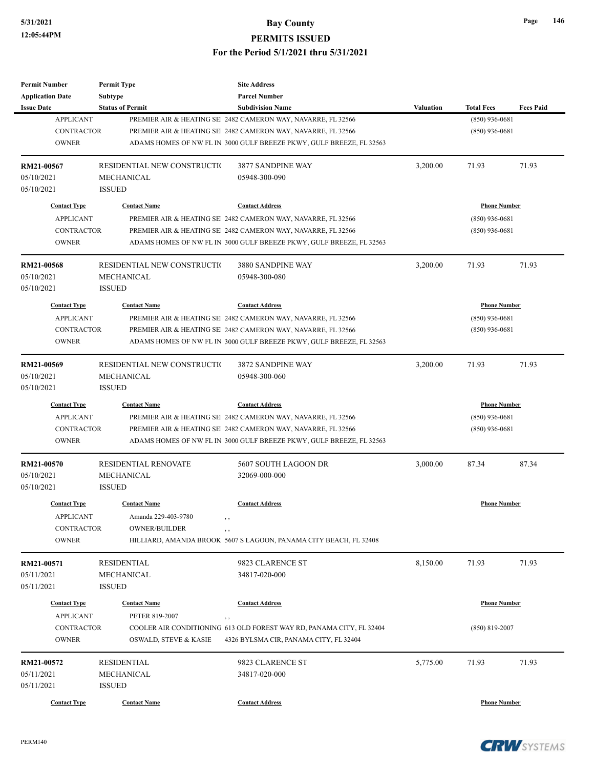# **5/31/2021 Bay County**

**PERMITS ISSUED**

#### **For the Period 5/1/2021 thru 5/31/2021**

| <b>Permit Number</b>                  | <b>Permit Type</b>                 | <b>Site Address</b>                                                                 |                  |                     |                  |
|---------------------------------------|------------------------------------|-------------------------------------------------------------------------------------|------------------|---------------------|------------------|
| <b>Application Date</b>               | Subtype<br><b>Status of Permit</b> | <b>Parcel Number</b><br><b>Subdivision Name</b>                                     | <b>Valuation</b> | <b>Total Fees</b>   | <b>Fees Paid</b> |
| <b>Issue Date</b><br><b>APPLICANT</b> |                                    | PREMIER AIR & HEATING SEI 2482 CAMERON WAY, NAVARRE, FL 32566                       |                  | $(850)$ 936-0681    |                  |
| <b>CONTRACTOR</b>                     |                                    | PREMIER AIR & HEATING SE 2482 CAMERON WAY, NAVARRE, FL 32566                        |                  | $(850)$ 936-0681    |                  |
| <b>OWNER</b>                          |                                    | ADAMS HOMES OF NW FL IN 3000 GULF BREEZE PKWY, GULF BREEZE, FL 32563                |                  |                     |                  |
|                                       |                                    |                                                                                     |                  |                     |                  |
| RM21-00567                            | RESIDENTIAL NEW CONSTRUCTIO        | 3877 SANDPINE WAY                                                                   | 3,200.00         | 71.93               | 71.93            |
| 05/10/2021                            | MECHANICAL                         | 05948-300-090                                                                       |                  |                     |                  |
| 05/10/2021                            | <b>ISSUED</b>                      |                                                                                     |                  |                     |                  |
| <b>Contact Type</b>                   | <b>Contact Name</b>                | <b>Contact Address</b>                                                              |                  | <b>Phone Number</b> |                  |
| <b>APPLICANT</b>                      |                                    | PREMIER AIR & HEATING SE 2482 CAMERON WAY, NAVARRE, FL 32566                        |                  | $(850)$ 936-0681    |                  |
| <b>CONTRACTOR</b>                     |                                    | PREMIER AIR & HEATING SEI 2482 CAMERON WAY, NAVARRE, FL 32566                       |                  | $(850)$ 936-0681    |                  |
| <b>OWNER</b>                          |                                    | ADAMS HOMES OF NW FL IN 3000 GULF BREEZE PKWY, GULF BREEZE, FL 32563                |                  |                     |                  |
| RM21-00568                            | RESIDENTIAL NEW CONSTRUCTIO        | 3880 SANDPINE WAY                                                                   | 3,200.00         | 71.93               | 71.93            |
| 05/10/2021                            | MECHANICAL                         | 05948-300-080                                                                       |                  |                     |                  |
| 05/10/2021                            | <b>ISSUED</b>                      |                                                                                     |                  |                     |                  |
| <b>Contact Type</b>                   | <b>Contact Name</b>                | <b>Contact Address</b>                                                              |                  | <b>Phone Number</b> |                  |
| <b>APPLICANT</b>                      |                                    | PREMIER AIR & HEATING SE 2482 CAMERON WAY, NAVARRE, FL 32566                        |                  | $(850)$ 936-0681    |                  |
| <b>CONTRACTOR</b>                     |                                    | PREMIER AIR & HEATING SE 2482 CAMERON WAY, NAVARRE, FL 32566                        |                  | $(850)$ 936-0681    |                  |
| <b>OWNER</b>                          |                                    | ADAMS HOMES OF NW FL IN 3000 GULF BREEZE PKWY, GULF BREEZE, FL 32563                |                  |                     |                  |
|                                       |                                    |                                                                                     |                  |                     |                  |
| RM21-00569                            | RESIDENTIAL NEW CONSTRUCTIO        | 3872 SANDPINE WAY                                                                   | 3,200.00         | 71.93               | 71.93            |
| 05/10/2021<br>05/10/2021              | MECHANICAL<br><b>ISSUED</b>        | 05948-300-060                                                                       |                  |                     |                  |
|                                       |                                    |                                                                                     |                  |                     |                  |
| <b>Contact Type</b>                   | <b>Contact Name</b>                | <b>Contact Address</b>                                                              |                  | <b>Phone Number</b> |                  |
| <b>APPLICANT</b>                      |                                    | PREMIER AIR & HEATING SE 2482 CAMERON WAY, NAVARRE, FL 32566                        |                  | $(850)$ 936-0681    |                  |
| <b>CONTRACTOR</b>                     |                                    | PREMIER AIR & HEATING SE 2482 CAMERON WAY, NAVARRE, FL 32566                        |                  | $(850)$ 936-0681    |                  |
| <b>OWNER</b>                          |                                    | ADAMS HOMES OF NW FL IN 3000 GULF BREEZE PKWY, GULF BREEZE, FL 32563                |                  |                     |                  |
| <b>RM21-00570</b>                     | <b>RESIDENTIAL RENOVATE</b>        | 5607 SOUTH LAGOON DR                                                                | 3,000.00         | 87.34               | 87.34            |
| 05/10/2021                            | <b>MECHANICAL</b>                  | 32069-000-000                                                                       |                  |                     |                  |
| 05/10/2021                            | <b>ISSUED</b>                      |                                                                                     |                  |                     |                  |
| <b>Contact Type</b>                   | <b>Contact Name</b>                | <b>Contact Address</b>                                                              |                  | <b>Phone Number</b> |                  |
| <b>APPLICANT</b>                      | Amanda 229-403-9780                | , ,                                                                                 |                  |                     |                  |
| <b>CONTRACTOR</b>                     | <b>OWNER/BUILDER</b>               | , ,                                                                                 |                  |                     |                  |
| <b>OWNER</b>                          |                                    | HILLIARD, AMANDA BROOK 5607 S LAGOON, PANAMA CITY BEACH, FL 32408                   |                  |                     |                  |
| RM21-00571                            | RESIDENTIAL                        | 9823 CLARENCE ST                                                                    | 8,150.00         | 71.93               | 71.93            |
| 05/11/2021                            | MECHANICAL                         | 34817-020-000                                                                       |                  |                     |                  |
| 05/11/2021                            | <b>ISSUED</b>                      |                                                                                     |                  |                     |                  |
| <b>Contact Type</b>                   | <b>Contact Name</b>                | <b>Contact Address</b>                                                              |                  | <b>Phone Number</b> |                  |
| <b>APPLICANT</b>                      | PETER 819-2007                     |                                                                                     |                  |                     |                  |
| <b>CONTRACTOR</b>                     |                                    | $, \, , \,$<br>COOLER AIR CONDITIONING 613 OLD FOREST WAY RD, PANAMA CITY, FL 32404 |                  |                     |                  |
| <b>OWNER</b>                          | <b>OSWALD, STEVE &amp; KASIE</b>   | 4326 BYLSMA CIR, PANAMA CITY, FL 32404                                              |                  | $(850)$ 819-2007    |                  |
|                                       |                                    |                                                                                     |                  |                     |                  |
| <b>RM21-00572</b>                     | RESIDENTIAL                        | 9823 CLARENCE ST                                                                    | 5,775.00         | 71.93               | 71.93            |
| 05/11/2021                            | MECHANICAL                         | 34817-020-000                                                                       |                  |                     |                  |
| 05/11/2021                            | <b>ISSUED</b>                      |                                                                                     |                  |                     |                  |
| <b>Contact Type</b>                   | <b>Contact Name</b>                | <b>Contact Address</b>                                                              |                  | <b>Phone Number</b> |                  |



**CRW**SYSTEMS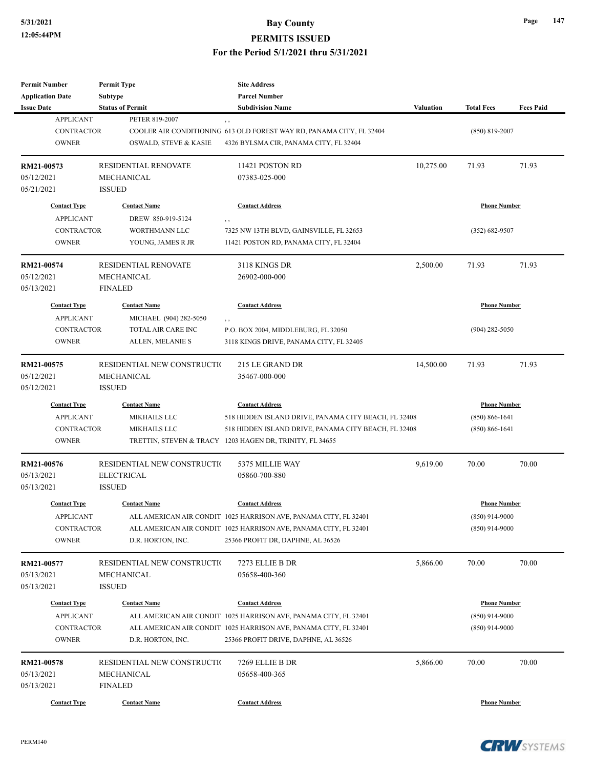| Permit Number                         | <b>Permit Type</b>                        | <b>Site Address</b>                                                         |           |                     |                  |
|---------------------------------------|-------------------------------------------|-----------------------------------------------------------------------------|-----------|---------------------|------------------|
| <b>Application Date</b>               | Subtype                                   | <b>Parcel Number</b>                                                        |           |                     |                  |
| <b>Issue Date</b><br><b>APPLICANT</b> | <b>Status of Permit</b><br>PETER 819-2007 | <b>Subdivision Name</b>                                                     | Valuation | <b>Total Fees</b>   | <b>Fees Paid</b> |
| <b>CONTRACTOR</b>                     |                                           | , ,<br>COOLER AIR CONDITIONING 613 OLD FOREST WAY RD, PANAMA CITY, FL 32404 |           |                     |                  |
|                                       |                                           |                                                                             |           | $(850)$ 819-2007    |                  |
| <b>OWNER</b>                          | OSWALD, STEVE & KASIE                     | 4326 BYLSMA CIR, PANAMA CITY, FL 32404                                      |           |                     |                  |
| RM21-00573                            | <b>RESIDENTIAL RENOVATE</b>               | 11421 POSTON RD                                                             | 10,275.00 | 71.93               | 71.93            |
| 05/12/2021                            | MECHANICAL                                | 07383-025-000                                                               |           |                     |                  |
| 05/21/2021                            | <b>ISSUED</b>                             |                                                                             |           |                     |                  |
| <b>Contact Type</b>                   | <b>Contact Name</b>                       | <b>Contact Address</b>                                                      |           | <b>Phone Number</b> |                  |
| <b>APPLICANT</b>                      | DREW 850-919-5124                         | , ,                                                                         |           |                     |                  |
| <b>CONTRACTOR</b>                     | WORTHMANN LLC                             | 7325 NW 13TH BLVD, GAINSVILLE, FL 32653                                     |           | $(352) 682 - 9507$  |                  |
| <b>OWNER</b>                          | YOUNG, JAMES R JR                         | 11421 POSTON RD, PANAMA CITY, FL 32404                                      |           |                     |                  |
|                                       |                                           |                                                                             |           |                     |                  |
| RM21-00574                            | <b>RESIDENTIAL RENOVATE</b>               | 3118 KINGS DR                                                               | 2,500.00  | 71.93               | 71.93            |
| 05/12/2021                            | MECHANICAL                                | 26902-000-000                                                               |           |                     |                  |
| 05/13/2021                            | <b>FINALED</b>                            |                                                                             |           |                     |                  |
| <b>Contact Type</b>                   | <b>Contact Name</b>                       | <b>Contact Address</b>                                                      |           | <b>Phone Number</b> |                  |
| <b>APPLICANT</b>                      | MICHAEL (904) 282-5050                    | , ,                                                                         |           |                     |                  |
| <b>CONTRACTOR</b>                     | TOTAL AIR CARE INC                        | P.O. BOX 2004, MIDDLEBURG, FL 32050                                         |           | $(904)$ 282-5050    |                  |
| <b>OWNER</b>                          | ALLEN, MELANIE S                          | 3118 KINGS DRIVE, PANAMA CITY, FL 32405                                     |           |                     |                  |
|                                       |                                           |                                                                             |           |                     |                  |
| RM21-00575                            | RESIDENTIAL NEW CONSTRUCTIO               | 215 LE GRAND DR                                                             | 14,500.00 | 71.93               | 71.93            |
| 05/12/2021                            | MECHANICAL                                | 35467-000-000                                                               |           |                     |                  |
| 05/12/2021                            | <b>ISSUED</b>                             |                                                                             |           |                     |                  |
| <b>Contact Type</b>                   | <b>Contact Name</b>                       | <b>Contact Address</b>                                                      |           | <b>Phone Number</b> |                  |
| <b>APPLICANT</b>                      | <b>MIKHAILS LLC</b>                       | 518 HIDDEN ISLAND DRIVE, PANAMA CITY BEACH, FL 32408                        |           | $(850) 866 - 1641$  |                  |
| <b>CONTRACTOR</b>                     | <b>MIKHAILS LLC</b>                       | 518 HIDDEN ISLAND DRIVE, PANAMA CITY BEACH, FL 32408                        |           | $(850) 866 - 1641$  |                  |
| <b>OWNER</b>                          |                                           | TRETTIN, STEVEN & TRACY 1203 HAGEN DR, TRINITY, FL 34655                    |           |                     |                  |
|                                       | RESIDENTIAL NEW CONSTRUCTIO               | 5375 MILLIE WAY                                                             | 9,619.00  | 70.00               | 70.00            |
| RM21-00576                            |                                           |                                                                             |           |                     |                  |
| 05/13/2021                            | <b>ELECTRICAL</b>                         | 05860-700-880                                                               |           |                     |                  |
| 05/13/2021                            | <b>ISSUED</b>                             |                                                                             |           |                     |                  |
| <b>Contact Type</b>                   | <b>Contact Name</b>                       | <b>Contact Address</b>                                                      |           | <b>Phone Number</b> |                  |
| <b>APPLICANT</b>                      |                                           | ALL AMERICAN AIR CONDIT 1025 HARRISON AVE, PANAMA CITY, FL 32401            |           | $(850)$ 914-9000    |                  |
| <b>CONTRACTOR</b>                     |                                           | ALL AMERICAN AIR CONDIT 1025 HARRISON AVE, PANAMA CITY, FL 32401            |           | $(850)$ 914-9000    |                  |
| <b>OWNER</b>                          | D.R. HORTON, INC.                         | 25366 PROFIT DR, DAPHNE, AL 36526                                           |           |                     |                  |
| RM21-00577                            | RESIDENTIAL NEW CONSTRUCTIO               | 7273 ELLIE B DR                                                             | 5,866.00  | 70.00               | 70.00            |
| 05/13/2021                            | MECHANICAL                                | 05658-400-360                                                               |           |                     |                  |
|                                       | <b>ISSUED</b>                             |                                                                             |           |                     |                  |
| 05/13/2021                            |                                           |                                                                             |           |                     |                  |
| <b>Contact Type</b>                   | <b>Contact Name</b>                       | <b>Contact Address</b>                                                      |           | <b>Phone Number</b> |                  |
| <b>APPLICANT</b>                      |                                           | ALL AMERICAN AIR CONDIT 1025 HARRISON AVE, PANAMA CITY, FL 32401            |           | $(850)$ 914-9000    |                  |
| <b>CONTRACTOR</b>                     |                                           | ALL AMERICAN AIR CONDIT 1025 HARRISON AVE, PANAMA CITY, FL 32401            |           | $(850)$ 914-9000    |                  |
| <b>OWNER</b>                          | D.R. HORTON, INC.                         | 25366 PROFIT DRIVE, DAPHNE, AL 36526                                        |           |                     |                  |
| <b>RM21-00578</b>                     | RESIDENTIAL NEW CONSTRUCTIO               | 7269 ELLIE B DR                                                             | 5,866.00  | 70.00               | 70.00            |
|                                       |                                           |                                                                             |           |                     |                  |
| 05/13/2021                            | MECHANICAL                                | 05658-400-365                                                               |           |                     |                  |
| 05/13/2021                            | <b>FINALED</b>                            |                                                                             |           |                     |                  |
| <b>Contact Type</b>                   | <b>Contact Name</b>                       | <b>Contact Address</b>                                                      |           | <b>Phone Number</b> |                  |

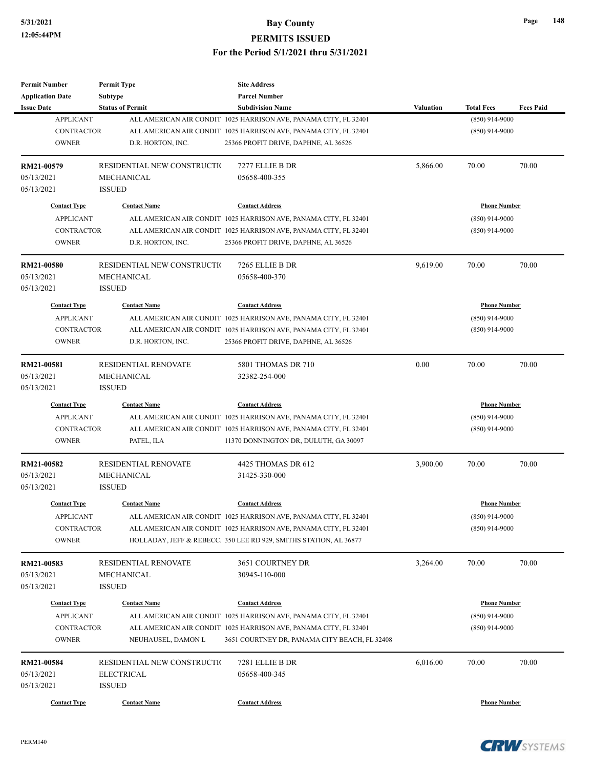| Permit Number            | <b>Permit Type</b>          | <b>Site Address</b>                                               |           |                     |                  |
|--------------------------|-----------------------------|-------------------------------------------------------------------|-----------|---------------------|------------------|
| <b>Application Date</b>  | <b>Subtype</b>              | <b>Parcel Number</b>                                              |           |                     |                  |
| <b>Issue Date</b>        | <b>Status of Permit</b>     | <b>Subdivision Name</b>                                           | Valuation | <b>Total Fees</b>   | <b>Fees Paid</b> |
| <b>APPLICANT</b>         |                             | ALL AMERICAN AIR CONDIT 1025 HARRISON AVE, PANAMA CITY, FL 32401  |           | $(850)$ 914-9000    |                  |
| <b>CONTRACTOR</b>        |                             | ALL AMERICAN AIR CONDIT 1025 HARRISON AVE, PANAMA CITY, FL 32401  |           | $(850)$ 914-9000    |                  |
| <b>OWNER</b>             | D.R. HORTON, INC.           | 25366 PROFIT DRIVE, DAPHNE, AL 36526                              |           |                     |                  |
| RM21-00579               | RESIDENTIAL NEW CONSTRUCTIO | 7277 ELLIE B DR                                                   | 5,866.00  | 70.00               | 70.00            |
| 05/13/2021               | MECHANICAL                  | 05658-400-355                                                     |           |                     |                  |
| 05/13/2021               | <b>ISSUED</b>               |                                                                   |           |                     |                  |
| <b>Contact Type</b>      | <b>Contact Name</b>         | <b>Contact Address</b>                                            |           | <b>Phone Number</b> |                  |
| <b>APPLICANT</b>         |                             | ALL AMERICAN AIR CONDIT 1025 HARRISON AVE, PANAMA CITY, FL 32401  |           | $(850)$ 914-9000    |                  |
| <b>CONTRACTOR</b>        |                             | ALL AMERICAN AIR CONDIT 1025 HARRISON AVE, PANAMA CITY, FL 32401  |           | $(850)$ 914-9000    |                  |
| <b>OWNER</b>             | D.R. HORTON, INC.           | 25366 PROFIT DRIVE, DAPHNE, AL 36526                              |           |                     |                  |
| RM21-00580               | RESIDENTIAL NEW CONSTRUCTIO | 7265 ELLIE B DR                                                   | 9,619.00  | 70.00               | 70.00            |
| 05/13/2021               | MECHANICAL                  | 05658-400-370                                                     |           |                     |                  |
| 05/13/2021               | <b>ISSUED</b>               |                                                                   |           |                     |                  |
| <b>Contact Type</b>      | <b>Contact Name</b>         | <b>Contact Address</b>                                            |           | <b>Phone Number</b> |                  |
| <b>APPLICANT</b>         |                             | ALL AMERICAN AIR CONDIT 1025 HARRISON AVE, PANAMA CITY, FL 32401  |           | $(850)$ 914-9000    |                  |
| <b>CONTRACTOR</b>        |                             | ALL AMERICAN AIR CONDIT 1025 HARRISON AVE, PANAMA CITY, FL 32401  |           | $(850)$ 914-9000    |                  |
| <b>OWNER</b>             | D.R. HORTON, INC.           | 25366 PROFIT DRIVE, DAPHNE, AL 36526                              |           |                     |                  |
|                          |                             |                                                                   |           |                     |                  |
| RM21-00581               | <b>RESIDENTIAL RENOVATE</b> | 5801 THOMAS DR 710                                                | 0.00      | 70.00               | 70.00            |
| 05/13/2021               | MECHANICAL                  | 32382-254-000                                                     |           |                     |                  |
| 05/13/2021               | <b>ISSUED</b>               |                                                                   |           |                     |                  |
| <b>Contact Type</b>      | <b>Contact Name</b>         | <b>Contact Address</b>                                            |           | <b>Phone Number</b> |                  |
| <b>APPLICANT</b>         |                             | ALL AMERICAN AIR CONDIT 1025 HARRISON AVE, PANAMA CITY, FL 32401  |           | $(850)$ 914-9000    |                  |
| <b>CONTRACTOR</b>        |                             | ALL AMERICAN AIR CONDIT 1025 HARRISON AVE, PANAMA CITY, FL 32401  |           | $(850)$ 914-9000    |                  |
| <b>OWNER</b>             | PATEL, ILA                  | 11370 DONNINGTON DR, DULUTH, GA 30097                             |           |                     |                  |
| RM21-00582               | <b>RESIDENTIAL RENOVATE</b> | 4425 THOMAS DR 612                                                | 3,900.00  | 70.00               | 70.00            |
| 05/13/2021               | MECHANICAL                  | 31425-330-000                                                     |           |                     |                  |
| 05/13/2021               | <b>ISSUED</b>               |                                                                   |           |                     |                  |
| <b>Contact Type</b>      | <b>Contact Name</b>         | <b>Contact Address</b>                                            |           | <b>Phone Number</b> |                  |
| APPLICANT                |                             | ALL AMERICAN AIR CONDIT 1025 HARRISON AVE, PANAMA CITY, FL 32401  |           | $(850)$ 914-9000    |                  |
| CONTRACTOR               |                             | ALL AMERICAN AIR CONDIT 1025 HARRISON AVE, PANAMA CITY, FL 32401  |           | $(850)$ 914-9000    |                  |
| <b>OWNER</b>             |                             | HOLLADAY, JEFF & REBECC. 350 LEE RD 929, SMITHS STATION, AL 36877 |           |                     |                  |
|                          |                             |                                                                   |           |                     |                  |
| RM21-00583<br>05/13/2021 | RESIDENTIAL RENOVATE        | 3651 COURTNEY DR                                                  | 3,264.00  | 70.00               | 70.00            |
|                          | MECHANICAL                  | 30945-110-000                                                     |           |                     |                  |
| 05/13/2021               | <b>ISSUED</b>               |                                                                   |           |                     |                  |
| <b>Contact Type</b>      | <b>Contact Name</b>         | <b>Contact Address</b>                                            |           | <b>Phone Number</b> |                  |
| <b>APPLICANT</b>         |                             | ALL AMERICAN AIR CONDIT 1025 HARRISON AVE, PANAMA CITY, FL 32401  |           | $(850)$ 914-9000    |                  |
| <b>CONTRACTOR</b>        |                             | ALL AMERICAN AIR CONDIT 1025 HARRISON AVE, PANAMA CITY, FL 32401  |           | $(850)$ 914-9000    |                  |
| <b>OWNER</b>             | NEUHAUSEL, DAMON L          | 3651 COURTNEY DR, PANAMA CITY BEACH, FL 32408                     |           |                     |                  |
| RM21-00584               | RESIDENTIAL NEW CONSTRUCTIO | 7281 ELLIE B DR                                                   | 6,016.00  | 70.00               | 70.00            |
| 05/13/2021               | <b>ELECTRICAL</b>           | 05658-400-345                                                     |           |                     |                  |
| 05/13/2021               | <b>ISSUED</b>               |                                                                   |           |                     |                  |
|                          |                             |                                                                   |           |                     |                  |
| <b>Contact Type</b>      | <b>Contact Name</b>         | <b>Contact Address</b>                                            |           | <b>Phone Number</b> |                  |



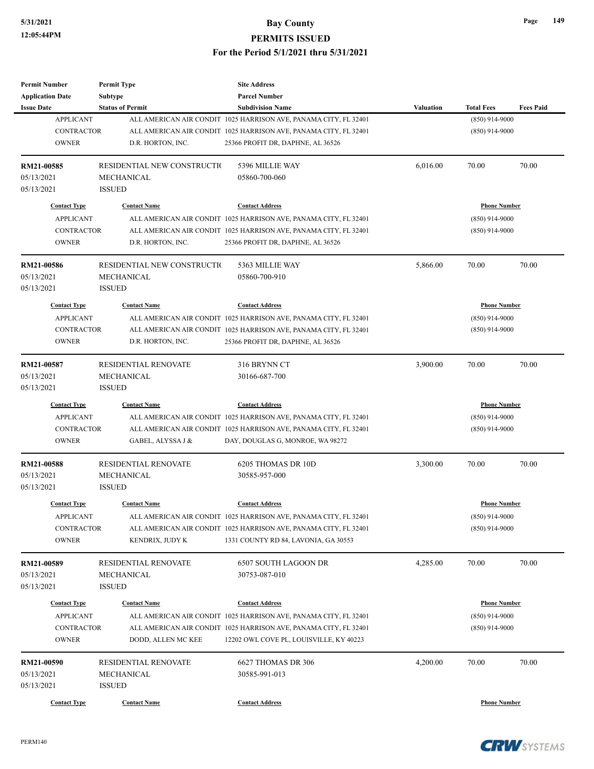| Permit Number           | <b>Permit Type</b>          | <b>Site Address</b>                                              |           |                     |                  |
|-------------------------|-----------------------------|------------------------------------------------------------------|-----------|---------------------|------------------|
| <b>Application Date</b> | <b>Subtype</b>              | <b>Parcel Number</b>                                             |           |                     |                  |
| <b>Issue Date</b>       | <b>Status of Permit</b>     | <b>Subdivision Name</b>                                          | Valuation | <b>Total Fees</b>   | <b>Fees Paid</b> |
| <b>APPLICANT</b>        |                             | ALL AMERICAN AIR CONDIT 1025 HARRISON AVE, PANAMA CITY, FL 32401 |           | $(850)$ 914-9000    |                  |
| <b>CONTRACTOR</b>       |                             | ALL AMERICAN AIR CONDIT 1025 HARRISON AVE, PANAMA CITY, FL 32401 |           | $(850)$ 914-9000    |                  |
| <b>OWNER</b>            | D.R. HORTON, INC.           | 25366 PROFIT DR, DAPHNE, AL 36526                                |           |                     |                  |
| RM21-00585              | RESIDENTIAL NEW CONSTRUCTIO | 5396 MILLIE WAY                                                  | 6,016.00  | 70.00               | 70.00            |
| 05/13/2021              | MECHANICAL                  | 05860-700-060                                                    |           |                     |                  |
| 05/13/2021              | <b>ISSUED</b>               |                                                                  |           |                     |                  |
| <b>Contact Type</b>     | <b>Contact Name</b>         | <b>Contact Address</b>                                           |           | <b>Phone Number</b> |                  |
| <b>APPLICANT</b>        |                             | ALL AMERICAN AIR CONDIT 1025 HARRISON AVE, PANAMA CITY, FL 32401 |           | $(850)$ 914-9000    |                  |
| <b>CONTRACTOR</b>       |                             | ALL AMERICAN AIR CONDIT 1025 HARRISON AVE, PANAMA CITY, FL 32401 |           | $(850)$ 914-9000    |                  |
| <b>OWNER</b>            | D.R. HORTON, INC.           | 25366 PROFIT DR, DAPHNE, AL 36526                                |           |                     |                  |
| RM21-00586              | RESIDENTIAL NEW CONSTRUCTIO | 5363 MILLIE WAY                                                  | 5,866.00  | 70.00               | 70.00            |
| 05/13/2021              | MECHANICAL                  | 05860-700-910                                                    |           |                     |                  |
| 05/13/2021              | <b>ISSUED</b>               |                                                                  |           |                     |                  |
| <b>Contact Type</b>     | <b>Contact Name</b>         | <b>Contact Address</b>                                           |           | <b>Phone Number</b> |                  |
| <b>APPLICANT</b>        |                             | ALL AMERICAN AIR CONDIT 1025 HARRISON AVE, PANAMA CITY, FL 32401 |           | $(850)$ 914-9000    |                  |
| <b>CONTRACTOR</b>       |                             | ALL AMERICAN AIR CONDIT 1025 HARRISON AVE, PANAMA CITY, FL 32401 |           | $(850)$ 914-9000    |                  |
| <b>OWNER</b>            | D.R. HORTON, INC.           | 25366 PROFIT DR, DAPHNE, AL 36526                                |           |                     |                  |
|                         |                             |                                                                  |           |                     |                  |
| RM21-00587              | <b>RESIDENTIAL RENOVATE</b> | 316 BRYNN CT                                                     | 3,900.00  | 70.00               | 70.00            |
| 05/13/2021              | MECHANICAL                  | 30166-687-700                                                    |           |                     |                  |
| 05/13/2021              | <b>ISSUED</b>               |                                                                  |           |                     |                  |
| <b>Contact Type</b>     | <b>Contact Name</b>         | <b>Contact Address</b>                                           |           | <b>Phone Number</b> |                  |
| <b>APPLICANT</b>        |                             | ALL AMERICAN AIR CONDIT 1025 HARRISON AVE, PANAMA CITY, FL 32401 |           | $(850)$ 914-9000    |                  |
| <b>CONTRACTOR</b>       |                             | ALL AMERICAN AIR CONDIT 1025 HARRISON AVE, PANAMA CITY, FL 32401 |           | $(850)$ 914-9000    |                  |
| <b>OWNER</b>            | GABEL, ALYSSA J &           | DAY, DOUGLAS G, MONROE, WA 98272                                 |           |                     |                  |
| RM21-00588              | <b>RESIDENTIAL RENOVATE</b> | 6205 THOMAS DR 10D                                               | 3,300.00  | 70.00               | 70.00            |
| 05/13/2021              | MECHANICAL                  | 30585-957-000                                                    |           |                     |                  |
| 05/13/2021              | <b>ISSUED</b>               |                                                                  |           |                     |                  |
| <b>Contact Type</b>     | <b>Contact Name</b>         | <b>Contact Address</b>                                           |           | <b>Phone Number</b> |                  |
| APPLICANT               |                             | ALL AMERICAN AIR CONDIT 1025 HARRISON AVE, PANAMA CITY, FL 32401 |           | $(850)$ 914-9000    |                  |
| CONTRACTOR              |                             | ALL AMERICAN AIR CONDIT 1025 HARRISON AVE, PANAMA CITY, FL 32401 |           | $(850)$ 914-9000    |                  |
| <b>OWNER</b>            | KENDRIX, JUDY K             | 1331 COUNTY RD 84, LAVONIA, GA 30553                             |           |                     |                  |
| RM21-00589              | RESIDENTIAL RENOVATE        | 6507 SOUTH LAGOON DR                                             | 4,285.00  | 70.00               | 70.00            |
| 05/13/2021              | MECHANICAL                  | 30753-087-010                                                    |           |                     |                  |
| 05/13/2021              | <b>ISSUED</b>               |                                                                  |           |                     |                  |
|                         | <b>Contact Name</b>         |                                                                  |           |                     |                  |
| <b>Contact Type</b>     |                             | <b>Contact Address</b>                                           |           | <b>Phone Number</b> |                  |
| <b>APPLICANT</b>        |                             | ALL AMERICAN AIR CONDIT 1025 HARRISON AVE, PANAMA CITY, FL 32401 |           | $(850)$ 914-9000    |                  |
| <b>CONTRACTOR</b>       |                             | ALL AMERICAN AIR CONDIT 1025 HARRISON AVE, PANAMA CITY, FL 32401 |           | $(850)$ 914-9000    |                  |
| <b>OWNER</b>            | DODD, ALLEN MC KEE          | 12202 OWL COVE PL, LOUISVILLE, KY 40223                          |           |                     |                  |
| RM21-00590              | RESIDENTIAL RENOVATE        | 6627 THOMAS DR 306                                               | 4,200.00  | 70.00               | 70.00            |
| 05/13/2021              | MECHANICAL                  | 30585-991-013                                                    |           |                     |                  |
| 05/13/2021              | <b>ISSUED</b>               |                                                                  |           |                     |                  |
| <b>Contact Type</b>     | <b>Contact Name</b>         | <b>Contact Address</b>                                           |           | <b>Phone Number</b> |                  |
|                         |                             |                                                                  |           |                     |                  |



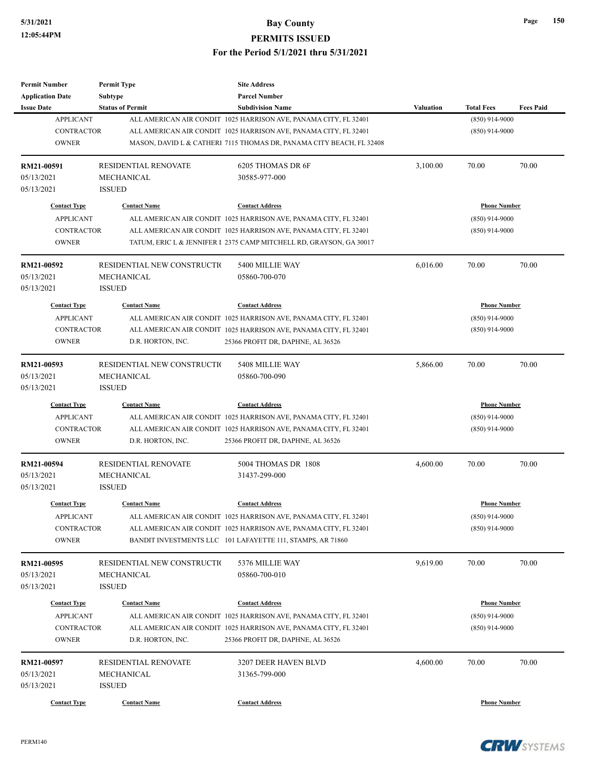| Permit Number                                | <b>Permit Type</b>                        | <b>Site Address</b><br><b>Parcel Number</b>                          |           |                     |                  |
|----------------------------------------------|-------------------------------------------|----------------------------------------------------------------------|-----------|---------------------|------------------|
| <b>Application Date</b><br><b>Issue Date</b> | <b>Subtype</b><br><b>Status of Permit</b> | <b>Subdivision Name</b>                                              | Valuation | <b>Total Fees</b>   | <b>Fees Paid</b> |
| <b>APPLICANT</b>                             |                                           | ALL AMERICAN AIR CONDIT 1025 HARRISON AVE, PANAMA CITY, FL 32401     |           | $(850)$ 914-9000    |                  |
| <b>CONTRACTOR</b>                            |                                           | ALL AMERICAN AIR CONDIT 1025 HARRISON AVE, PANAMA CITY, FL 32401     |           | $(850)$ 914-9000    |                  |
| <b>OWNER</b>                                 |                                           | MASON, DAVID L & CATHER1 7115 THOMAS DR, PANAMA CITY BEACH, FL 32408 |           |                     |                  |
|                                              |                                           |                                                                      |           |                     |                  |
| RM21-00591                                   | <b>RESIDENTIAL RENOVATE</b>               | 6205 THOMAS DR 6F                                                    | 3,100.00  | 70.00               | 70.00            |
| 05/13/2021                                   | MECHANICAL                                | 30585-977-000                                                        |           |                     |                  |
| 05/13/2021                                   | <b>ISSUED</b>                             |                                                                      |           |                     |                  |
| <b>Contact Type</b>                          | <b>Contact Name</b>                       | <b>Contact Address</b>                                               |           | <b>Phone Number</b> |                  |
| <b>APPLICANT</b>                             |                                           | ALL AMERICAN AIR CONDIT 1025 HARRISON AVE, PANAMA CITY, FL 32401     |           | $(850)$ 914-9000    |                  |
| CONTRACTOR                                   |                                           | ALL AMERICAN AIR CONDIT 1025 HARRISON AVE, PANAMA CITY, FL 32401     |           | $(850)$ 914-9000    |                  |
| <b>OWNER</b>                                 |                                           | TATUM, ERIC L & JENNIFER I 2375 CAMP MITCHELL RD, GRAYSON, GA 30017  |           |                     |                  |
| RM21-00592                                   | RESIDENTIAL NEW CONSTRUCTIO               | 5400 MILLIE WAY                                                      | 6,016.00  | 70.00               | 70.00            |
| 05/13/2021                                   | MECHANICAL                                | 05860-700-070                                                        |           |                     |                  |
| 05/13/2021                                   | <b>ISSUED</b>                             |                                                                      |           |                     |                  |
| <b>Contact Type</b>                          | <b>Contact Name</b>                       | <b>Contact Address</b>                                               |           | <b>Phone Number</b> |                  |
| <b>APPLICANT</b>                             |                                           | ALL AMERICAN AIR CONDIT 1025 HARRISON AVE, PANAMA CITY, FL 32401     |           | $(850)$ 914-9000    |                  |
| <b>CONTRACTOR</b>                            |                                           | ALL AMERICAN AIR CONDIT 1025 HARRISON AVE, PANAMA CITY, FL 32401     |           | $(850)$ 914-9000    |                  |
| <b>OWNER</b>                                 | D.R. HORTON, INC.                         | 25366 PROFIT DR, DAPHNE, AL 36526                                    |           |                     |                  |
|                                              |                                           |                                                                      |           |                     |                  |
| RM21-00593                                   | RESIDENTIAL NEW CONSTRUCTIO               | 5408 MILLIE WAY                                                      | 5,866.00  | 70.00               | 70.00            |
| 05/13/2021                                   | <b>MECHANICAL</b>                         | 05860-700-090                                                        |           |                     |                  |
| 05/13/2021                                   | <b>ISSUED</b>                             |                                                                      |           |                     |                  |
| <b>Contact Type</b>                          | <b>Contact Name</b>                       | <b>Contact Address</b>                                               |           | <b>Phone Number</b> |                  |
| <b>APPLICANT</b>                             |                                           | ALL AMERICAN AIR CONDIT 1025 HARRISON AVE, PANAMA CITY, FL 32401     |           | $(850)$ 914-9000    |                  |
| <b>CONTRACTOR</b>                            |                                           | ALL AMERICAN AIR CONDIT 1025 HARRISON AVE, PANAMA CITY, FL 32401     |           | $(850)$ 914-9000    |                  |
| <b>OWNER</b>                                 | D.R. HORTON, INC.                         | 25366 PROFIT DR, DAPHNE, AL 36526                                    |           |                     |                  |
| RM21-00594                                   | <b>RESIDENTIAL RENOVATE</b>               | 5004 THOMAS DR 1808                                                  | 4,600.00  | 70.00               | 70.00            |
| 05/13/2021                                   | <b>MECHANICAL</b>                         | 31437-299-000                                                        |           |                     |                  |
| 05/13/2021                                   | <b>ISSUED</b>                             |                                                                      |           |                     |                  |
| <b>Contact Type</b>                          | <b>Contact Name</b>                       | <b>Contact Address</b>                                               |           | <b>Phone Number</b> |                  |
| APPLICANT                                    |                                           | ALL AMERICAN AIR CONDIT 1025 HARRISON AVE, PANAMA CITY, FL 32401     |           | $(850)$ 914-9000    |                  |
| CONTRACTOR                                   |                                           | ALL AMERICAN AIR CONDIT 1025 HARRISON AVE, PANAMA CITY, FL 32401     |           | $(850)$ 914-9000    |                  |
| <b>OWNER</b>                                 |                                           | BANDIT INVESTMENTS LLC 101 LAFAYETTE 111, STAMPS, AR 71860           |           |                     |                  |
|                                              |                                           |                                                                      |           |                     |                  |
| RM21-00595                                   | RESIDENTIAL NEW CONSTRUCTIO               | 5376 MILLIE WAY                                                      | 9,619.00  | 70.00               | 70.00            |
| 05/13/2021                                   | MECHANICAL                                | 05860-700-010                                                        |           |                     |                  |
| 05/13/2021                                   | <b>ISSUED</b>                             |                                                                      |           |                     |                  |
| <b>Contact Type</b>                          | <b>Contact Name</b>                       | <b>Contact Address</b>                                               |           | <b>Phone Number</b> |                  |
| <b>APPLICANT</b>                             |                                           | ALL AMERICAN AIR CONDIT 1025 HARRISON AVE, PANAMA CITY, FL 32401     |           | $(850)$ 914-9000    |                  |
| <b>CONTRACTOR</b>                            |                                           | ALL AMERICAN AIR CONDIT 1025 HARRISON AVE, PANAMA CITY, FL 32401     |           | $(850)$ 914-9000    |                  |
| <b>OWNER</b>                                 | D.R. HORTON, INC.                         | 25366 PROFIT DR, DAPHNE, AL 36526                                    |           |                     |                  |
| RM21-00597                                   | <b>RESIDENTIAL RENOVATE</b>               | 3207 DEER HAVEN BLVD                                                 | 4,600.00  | 70.00               | 70.00            |
| 05/13/2021                                   | MECHANICAL                                | 31365-799-000                                                        |           |                     |                  |
| 05/13/2021                                   | <b>ISSUED</b>                             |                                                                      |           |                     |                  |
| <b>Contact Type</b>                          | <b>Contact Name</b>                       | <b>Contact Address</b>                                               |           | <b>Phone Number</b> |                  |
|                                              |                                           |                                                                      |           |                     |                  |



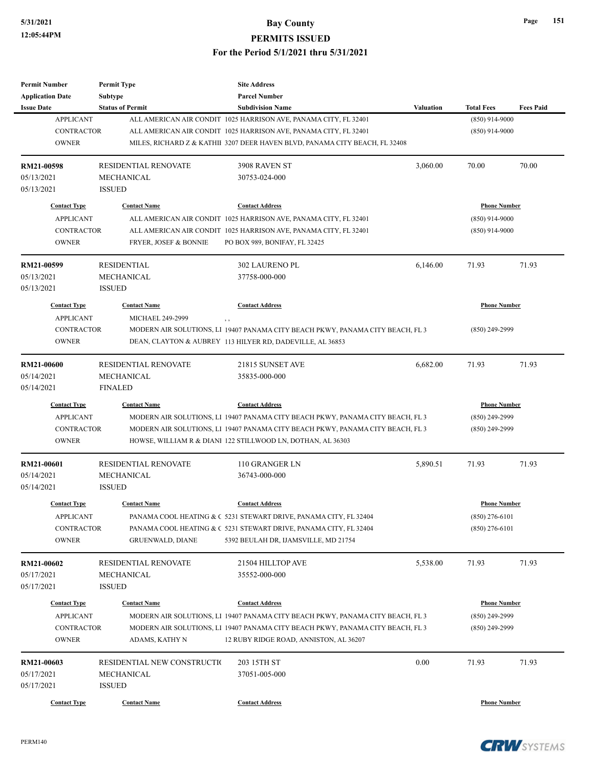## **5/31/2021 Bay County**

**PERMITS ISSUED**

**For the Period 5/1/2021 thru 5/31/2021**

| Permit Number           | <b>Permit Type</b>          | <b>Site Address</b>                                                            |           |                     |                  |
|-------------------------|-----------------------------|--------------------------------------------------------------------------------|-----------|---------------------|------------------|
| <b>Application Date</b> | Subtype                     | <b>Parcel Number</b>                                                           |           |                     |                  |
| <b>Issue Date</b>       | <b>Status of Permit</b>     | <b>Subdivision Name</b>                                                        | Valuation | <b>Total Fees</b>   | <b>Fees Paid</b> |
| <b>APPLICANT</b>        |                             | ALL AMERICAN AIR CONDIT 1025 HARRISON AVE, PANAMA CITY, FL 32401               |           | $(850)$ 914-9000    |                  |
| <b>CONTRACTOR</b>       |                             | ALL AMERICAN AIR CONDIT 1025 HARRISON AVE, PANAMA CITY, FL 32401               |           | $(850)$ 914-9000    |                  |
| <b>OWNER</b>            |                             | MILES, RICHARD Z & KATHII 3207 DEER HAVEN BLVD, PANAMA CITY BEACH, FL 32408    |           |                     |                  |
| RM21-00598              | <b>RESIDENTIAL RENOVATE</b> | 3908 RAVEN ST                                                                  | 3,060.00  | 70.00               | 70.00            |
| 05/13/2021              | MECHANICAL                  | 30753-024-000                                                                  |           |                     |                  |
| 05/13/2021              | <b>ISSUED</b>               |                                                                                |           |                     |                  |
| <b>Contact Type</b>     | <b>Contact Name</b>         | <b>Contact Address</b>                                                         |           | <b>Phone Number</b> |                  |
| <b>APPLICANT</b>        |                             | ALL AMERICAN AIR CONDIT 1025 HARRISON AVE, PANAMA CITY, FL 32401               |           | $(850)$ 914-9000    |                  |
| <b>CONTRACTOR</b>       |                             | ALL AMERICAN AIR CONDIT 1025 HARRISON AVE, PANAMA CITY, FL 32401               |           | $(850)$ 914-9000    |                  |
| <b>OWNER</b>            | FRYER, JOSEF & BONNIE       | PO BOX 989, BONIFAY, FL 32425                                                  |           |                     |                  |
| RM21-00599              | <b>RESIDENTIAL</b>          | <b>302 LAURENO PL</b>                                                          | 6,146.00  | 71.93               | 71.93            |
| 05/13/2021              | MECHANICAL                  | 37758-000-000                                                                  |           |                     |                  |
| 05/13/2021              | <b>ISSUED</b>               |                                                                                |           |                     |                  |
| <b>Contact Type</b>     | <b>Contact Name</b>         | <b>Contact Address</b>                                                         |           | <b>Phone Number</b> |                  |
| <b>APPLICANT</b>        | MICHAEL 249-2999            | , ,                                                                            |           |                     |                  |
| <b>CONTRACTOR</b>       |                             | MODERN AIR SOLUTIONS, L1 19407 PANAMA CITY BEACH PKWY, PANAMA CITY BEACH, FL 3 |           | $(850)$ 249-2999    |                  |
| <b>OWNER</b>            |                             | DEAN, CLAYTON & AUBREY 113 HILYER RD, DADEVILLE, AL 36853                      |           |                     |                  |
|                         |                             |                                                                                |           |                     |                  |
| <b>RM21-00600</b>       | <b>RESIDENTIAL RENOVATE</b> | 21815 SUNSET AVE                                                               | 6,682.00  | 71.93               | 71.93            |
| 05/14/2021              | <b>MECHANICAL</b>           | 35835-000-000                                                                  |           |                     |                  |
| 05/14/2021              | <b>FINALED</b>              |                                                                                |           |                     |                  |
| <b>Contact Type</b>     | <b>Contact Name</b>         | <b>Contact Address</b>                                                         |           | <b>Phone Number</b> |                  |
| <b>APPLICANT</b>        |                             | MODERN AIR SOLUTIONS, L1 19407 PANAMA CITY BEACH PKWY, PANAMA CITY BEACH, FL 3 |           | $(850)$ 249-2999    |                  |
| <b>CONTRACTOR</b>       |                             | MODERN AIR SOLUTIONS, L1 19407 PANAMA CITY BEACH PKWY, PANAMA CITY BEACH, FL 3 |           | $(850)$ 249-2999    |                  |
| <b>OWNER</b>            |                             | HOWSE, WILLIAM R & DIANI 122 STILLWOOD LN, DOTHAN, AL 36303                    |           |                     |                  |
| <b>RM21-00601</b>       | <b>RESIDENTIAL RENOVATE</b> | 110 GRANGER LN                                                                 | 5,890.51  | 71.93               | 71.93            |
| 05/14/2021              | MECHANICAL                  | 36743-000-000                                                                  |           |                     |                  |
| 05/14/2021              | <b>ISSUED</b>               |                                                                                |           |                     |                  |
| <b>Contact Type</b>     | <b>Contact Name</b>         | <b>Contact Address</b>                                                         |           | <b>Phone Number</b> |                  |
| APPLICANT               |                             | PANAMA COOL HEATING & C 5231 STEWART DRIVE, PANAMA CITY, FL 32404              |           | $(850)$ 276-6101    |                  |
| CONTRACTOR              |                             | PANAMA COOL HEATING & C 5231 STEWART DRIVE, PANAMA CITY, FL 32404              |           | $(850)$ 276-6101    |                  |
| <b>OWNER</b>            | <b>GRUENWALD, DIANE</b>     | 5392 BEULAH DR, IJAMSVILLE, MD 21754                                           |           |                     |                  |
| RM21-00602              | RESIDENTIAL RENOVATE        | 21504 HILLTOP AVE                                                              | 5,538.00  | 71.93               | 71.93            |
| 05/17/2021              | MECHANICAL                  | 35552-000-000                                                                  |           |                     |                  |
| 05/17/2021              | <b>ISSUED</b>               |                                                                                |           |                     |                  |
|                         |                             |                                                                                |           |                     |                  |
| <b>Contact Type</b>     | <b>Contact Name</b>         | <b>Contact Address</b>                                                         |           | <b>Phone Number</b> |                  |
| <b>APPLICANT</b>        |                             | MODERN AIR SOLUTIONS, LI 19407 PANAMA CITY BEACH PKWY, PANAMA CITY BEACH, FL 3 |           | $(850)$ 249-2999    |                  |
| <b>CONTRACTOR</b>       |                             | MODERN AIR SOLUTIONS, L1 19407 PANAMA CITY BEACH PKWY, PANAMA CITY BEACH, FL 3 |           | $(850)$ 249-2999    |                  |
| <b>OWNER</b>            | ADAMS, KATHY N              | 12 RUBY RIDGE ROAD, ANNISTON, AL 36207                                         |           |                     |                  |
| RM21-00603              | RESIDENTIAL NEW CONSTRUCTIO | 203 15TH ST                                                                    | 0.00      | 71.93               | 71.93            |
| 05/17/2021              | MECHANICAL                  | 37051-005-000                                                                  |           |                     |                  |
| 05/17/2021              | <b>ISSUED</b>               |                                                                                |           |                     |                  |
|                         |                             |                                                                                |           |                     |                  |
| <b>Contact Type</b>     | <b>Contact Name</b>         | <b>Contact Address</b>                                                         |           | <b>Phone Number</b> |                  |

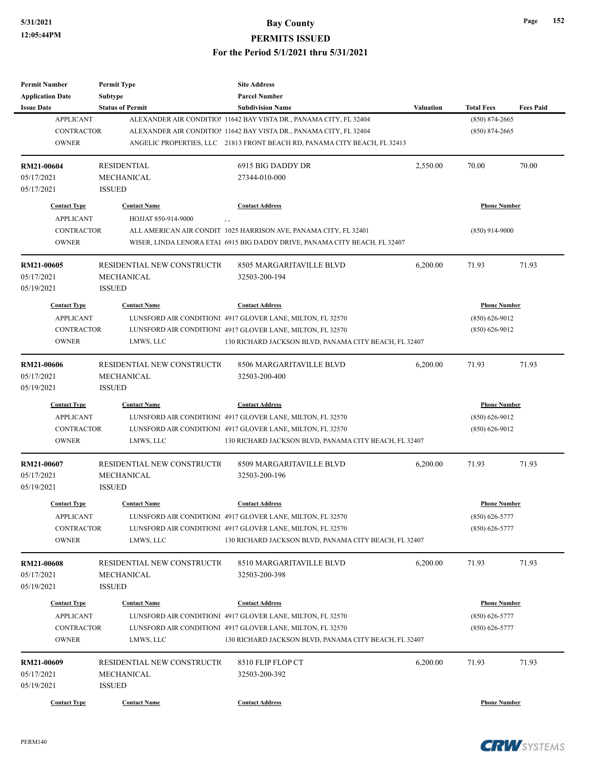## **5/31/2021 Bay County**

**PERMITS ISSUED**

#### **For the Period 5/1/2021 thru 5/31/2021**

| Permit Number           | <b>Permit Type</b>          | <b>Site Address</b>                                                        |           |                     |                  |
|-------------------------|-----------------------------|----------------------------------------------------------------------------|-----------|---------------------|------------------|
| <b>Application Date</b> | Subtype                     | <b>Parcel Number</b>                                                       |           |                     |                  |
| <b>Issue Date</b>       | <b>Status of Permit</b>     | <b>Subdivision Name</b>                                                    | Valuation | <b>Total Fees</b>   | <b>Fees Paid</b> |
| <b>APPLICANT</b>        |                             | ALEXANDER AIR CONDITION 11642 BAY VISTA DR., PANAMA CITY, FL 32404         |           | $(850) 874 - 2665$  |                  |
| <b>CONTRACTOR</b>       |                             | ALEXANDER AIR CONDITION 11642 BAY VISTA DR., PANAMA CITY, FL 32404         |           | $(850) 874 - 2665$  |                  |
| <b>OWNER</b>            |                             | ANGELIC PROPERTIES, LLC 21813 FRONT BEACH RD, PANAMA CITY BEACH, FL 32413  |           |                     |                  |
| RM21-00604              | <b>RESIDENTIAL</b>          | 6915 BIG DADDY DR                                                          | 2,550.00  | 70.00               | 70.00            |
| 05/17/2021              | MECHANICAL                  | 27344-010-000                                                              |           |                     |                  |
| 05/17/2021              | <b>ISSUED</b>               |                                                                            |           |                     |                  |
| <b>Contact Type</b>     | <b>Contact Name</b>         | <b>Contact Address</b>                                                     |           | <b>Phone Number</b> |                  |
| <b>APPLICANT</b>        | HOJJAT 850-914-9000         |                                                                            |           |                     |                  |
| <b>CONTRACTOR</b>       |                             | ALL AMERICAN AIR CONDIT 1025 HARRISON AVE, PANAMA CITY, FL 32401           |           | $(850)$ 914-9000    |                  |
| <b>OWNER</b>            |                             | WISER, LINDA LENORA ETAI 6915 BIG DADDY DRIVE, PANAMA CITY BEACH, FL 32407 |           |                     |                  |
| RM21-00605              | RESIDENTIAL NEW CONSTRUCTIO | 8505 MARGARITAVILLE BLVD                                                   | 6,200.00  | 71.93               | 71.93            |
| 05/17/2021              | MECHANICAL                  | 32503-200-194                                                              |           |                     |                  |
| 05/19/2021              | <b>ISSUED</b>               |                                                                            |           |                     |                  |
| <b>Contact Type</b>     | <b>Contact Name</b>         | <b>Contact Address</b>                                                     |           | <b>Phone Number</b> |                  |
| <b>APPLICANT</b>        |                             | LUNSFORD AIR CONDITIONI 4917 GLOVER LANE, MILTON, FL 32570                 |           | $(850) 626 - 9012$  |                  |
| <b>CONTRACTOR</b>       |                             | LUNSFORD AIR CONDITIONI 4917 GLOVER LANE, MILTON, FL 32570                 |           | $(850) 626 - 9012$  |                  |
| <b>OWNER</b>            | LMWS, LLC                   | 130 RICHARD JACKSON BLVD, PANAMA CITY BEACH, FL 32407                      |           |                     |                  |
|                         |                             |                                                                            |           |                     |                  |
| RM21-00606              | RESIDENTIAL NEW CONSTRUCTIO | 8506 MARGARITAVILLE BLVD                                                   | 6,200.00  | 71.93               | 71.93            |
| 05/17/2021              | <b>MECHANICAL</b>           | 32503-200-400                                                              |           |                     |                  |
| 05/19/2021              | <b>ISSUED</b>               |                                                                            |           |                     |                  |
| <b>Contact Type</b>     | <b>Contact Name</b>         | <b>Contact Address</b>                                                     |           | <b>Phone Number</b> |                  |
| <b>APPLICANT</b>        |                             | LUNSFORD AIR CONDITIONI 4917 GLOVER LANE, MILTON, FL 32570                 |           | $(850) 626 - 9012$  |                  |
| <b>CONTRACTOR</b>       |                             | LUNSFORD AIR CONDITIONI 4917 GLOVER LANE, MILTON, FL 32570                 |           | $(850) 626 - 9012$  |                  |
| <b>OWNER</b>            | LMWS, LLC                   | 130 RICHARD JACKSON BLVD, PANAMA CITY BEACH, FL 32407                      |           |                     |                  |
| RM21-00607              | RESIDENTIAL NEW CONSTRUCTIO | 8509 MARGARITAVILLE BLVD                                                   | 6,200.00  | 71.93               | 71.93            |
| 05/17/2021              | MECHANICAL                  | 32503-200-196                                                              |           |                     |                  |
| 05/19/2021              | <b>ISSUED</b>               |                                                                            |           |                     |                  |
| <b>Contact Type</b>     | <b>Contact Name</b>         | <b>Contact Address</b>                                                     |           | <b>Phone Number</b> |                  |
| APPLICANT               |                             | LUNSFORD AIR CONDITIONI 4917 GLOVER LANE, MILTON, FL 32570                 |           | $(850) 626 - 5777$  |                  |
| <b>CONTRACTOR</b>       |                             | LUNSFORD AIR CONDITIONI 4917 GLOVER LANE, MILTON, FL 32570                 |           | $(850)$ 626-5777    |                  |
| <b>OWNER</b>            | LMWS, LLC                   | 130 RICHARD JACKSON BLVD, PANAMA CITY BEACH, FL 32407                      |           |                     |                  |
|                         |                             |                                                                            |           |                     |                  |
| RM21-00608              | RESIDENTIAL NEW CONSTRUCTIO | 8510 MARGARITAVILLE BLVD                                                   | 6,200.00  | 71.93               | 71.93            |
| 05/17/2021              | MECHANICAL                  | 32503-200-398                                                              |           |                     |                  |
| 05/19/2021              | <b>ISSUED</b>               |                                                                            |           |                     |                  |
| <b>Contact Type</b>     | <b>Contact Name</b>         | <b>Contact Address</b>                                                     |           | <b>Phone Number</b> |                  |
| <b>APPLICANT</b>        |                             | LUNSFORD AIR CONDITIONI 4917 GLOVER LANE, MILTON, FL 32570                 |           | $(850) 626 - 5777$  |                  |
| <b>CONTRACTOR</b>       |                             | LUNSFORD AIR CONDITIONI 4917 GLOVER LANE, MILTON, FL 32570                 |           | $(850) 626 - 5777$  |                  |
| <b>OWNER</b>            | LMWS, LLC                   | 130 RICHARD JACKSON BLVD, PANAMA CITY BEACH, FL 32407                      |           |                     |                  |
|                         |                             |                                                                            |           |                     |                  |
| RM21-00609              | RESIDENTIAL NEW CONSTRUCTIO | 8510 FLIP FLOP CT                                                          | 6,200.00  | 71.93               | 71.93            |
| 05/17/2021              | MECHANICAL                  | 32503-200-392                                                              |           |                     |                  |
| 05/19/2021              | <b>ISSUED</b>               |                                                                            |           |                     |                  |
| <b>Contact Type</b>     | <b>Contact Name</b>         | <b>Contact Address</b>                                                     |           | <b>Phone Number</b> |                  |





**Page 152**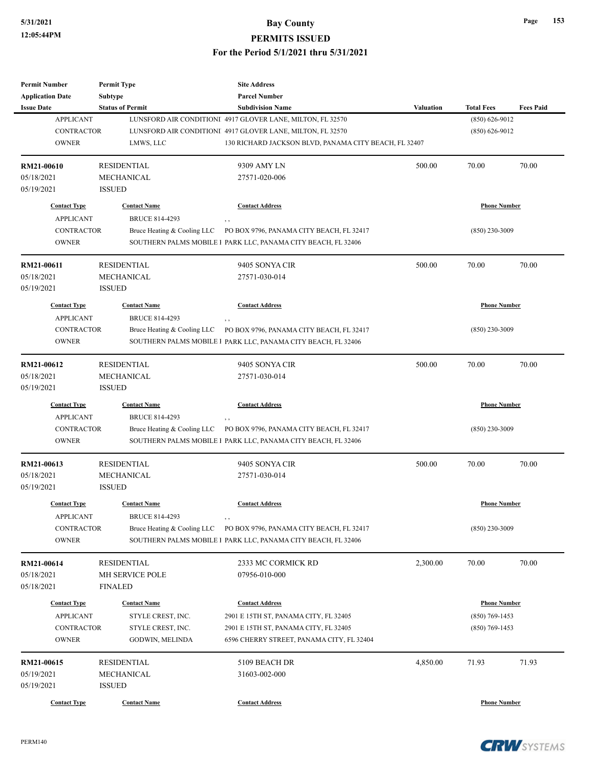### **5/31/2021 Bay County PERMITS ISSUED**

#### **For the Period 5/1/2021 thru 5/31/2021**

| <b>Permit Number</b>    | <b>Permit Type</b>          | <b>Site Address</b>                                                  |                  |                     |                  |
|-------------------------|-----------------------------|----------------------------------------------------------------------|------------------|---------------------|------------------|
| <b>Application Date</b> | <b>Subtype</b>              | <b>Parcel Number</b>                                                 |                  |                     |                  |
| <b>Issue Date</b>       | <b>Status of Permit</b>     | <b>Subdivision Name</b>                                              | <b>Valuation</b> | <b>Total Fees</b>   | <b>Fees Paid</b> |
| <b>APPLICANT</b>        |                             | LUNSFORD AIR CONDITIONI 4917 GLOVER LANE, MILTON, FL 32570           |                  | $(850) 626 - 9012$  |                  |
| <b>CONTRACTOR</b>       |                             | LUNSFORD AIR CONDITIONI 4917 GLOVER LANE, MILTON, FL 32570           |                  | $(850) 626 - 9012$  |                  |
| <b>OWNER</b>            | LMWS, LLC                   | 130 RICHARD JACKSON BLVD, PANAMA CITY BEACH, FL 32407                |                  |                     |                  |
| RM21-00610              | <b>RESIDENTIAL</b>          | 9309 AMY LN                                                          | 500.00           | 70.00               | 70.00            |
| 05/18/2021              | <b>MECHANICAL</b>           | 27571-020-006                                                        |                  |                     |                  |
| 05/19/2021              | <b>ISSUED</b>               |                                                                      |                  |                     |                  |
| <b>Contact Type</b>     | <b>Contact Name</b>         | <b>Contact Address</b>                                               |                  | <b>Phone Number</b> |                  |
| <b>APPLICANT</b>        | <b>BRUCE 814-4293</b>       | , ,                                                                  |                  |                     |                  |
| <b>CONTRACTOR</b>       | Bruce Heating & Cooling LLC | PO BOX 9796, PANAMA CITY BEACH, FL 32417                             |                  | $(850)$ 230-3009    |                  |
| <b>OWNER</b>            |                             | SOUTHERN PALMS MOBILE I PARK LLC, PANAMA CITY BEACH, FL 32406        |                  |                     |                  |
| RM21-00611              | <b>RESIDENTIAL</b>          | 9405 SONYA CIR                                                       | 500.00           | 70.00               | 70.00            |
| 05/18/2021              | <b>MECHANICAL</b>           | 27571-030-014                                                        |                  |                     |                  |
| 05/19/2021              | <b>ISSUED</b>               |                                                                      |                  |                     |                  |
| <b>Contact Type</b>     | <b>Contact Name</b>         | <b>Contact Address</b>                                               |                  | <b>Phone Number</b> |                  |
| <b>APPLICANT</b>        | <b>BRUCE 814-4293</b>       | ,,                                                                   |                  |                     |                  |
| <b>CONTRACTOR</b>       | Bruce Heating & Cooling LLC | PO BOX 9796, PANAMA CITY BEACH, FL 32417                             |                  | $(850)$ 230-3009    |                  |
| <b>OWNER</b>            |                             | SOUTHERN PALMS MOBILE I PARK LLC, PANAMA CITY BEACH, FL 32406        |                  |                     |                  |
|                         |                             |                                                                      |                  |                     |                  |
| RM21-00612              | <b>RESIDENTIAL</b>          | 9405 SONYA CIR                                                       | 500.00           | 70.00               | 70.00            |
| 05/18/2021              | <b>MECHANICAL</b>           | 27571-030-014                                                        |                  |                     |                  |
| 05/19/2021              | <b>ISSUED</b>               |                                                                      |                  |                     |                  |
| <b>Contact Type</b>     | <b>Contact Name</b>         | <b>Contact Address</b>                                               |                  | <b>Phone Number</b> |                  |
| <b>APPLICANT</b>        | <b>BRUCE 814-4293</b>       | $, \, ,$                                                             |                  |                     |                  |
| <b>CONTRACTOR</b>       | Bruce Heating & Cooling LLC | PO BOX 9796, PANAMA CITY BEACH, FL 32417                             |                  | $(850)$ 230-3009    |                  |
| <b>OWNER</b>            |                             | SOUTHERN PALMS MOBILE I PARK LLC, PANAMA CITY BEACH, FL 32406        |                  |                     |                  |
| RM21-00613              | <b>RESIDENTIAL</b>          | 9405 SONYA CIR                                                       | 500.00           | 70.00               | 70.00            |
| 05/18/2021              | MECHANICAL                  | 27571-030-014                                                        |                  |                     |                  |
| 05/19/2021              | <b>ISSUED</b>               |                                                                      |                  |                     |                  |
| <b>Contact Type</b>     | <b>Contact Name</b>         | <b>Contact Address</b>                                               |                  | <b>Phone Number</b> |                  |
| <b>APPLICANT</b>        | <b>BRUCE 814-4293</b>       | , ,                                                                  |                  |                     |                  |
| CONTRACTOR              |                             | Bruce Heating & Cooling LLC PO BOX 9796, PANAMA CITY BEACH, FL 32417 |                  | $(850)$ 230-3009    |                  |
| <b>OWNER</b>            |                             | SOUTHERN PALMS MOBILE I PARK LLC, PANAMA CITY BEACH, FL 32406        |                  |                     |                  |
| RM21-00614              | <b>RESIDENTIAL</b>          | 2333 MC CORMICK RD                                                   | 2,300.00         | 70.00               | 70.00            |
| 05/18/2021              | MH SERVICE POLE             | 07956-010-000                                                        |                  |                     |                  |
| 05/18/2021              | FINALED                     |                                                                      |                  |                     |                  |
| <b>Contact Type</b>     | <b>Contact Name</b>         | <b>Contact Address</b>                                               |                  | <b>Phone Number</b> |                  |
| <b>APPLICANT</b>        | STYLE CREST, INC.           | 2901 E 15TH ST, PANAMA CITY, FL 32405                                |                  | $(850)$ 769-1453    |                  |
|                         |                             |                                                                      |                  |                     |                  |
| CONTRACTOR              | STYLE CREST, INC.           | 2901 E 15TH ST, PANAMA CITY, FL 32405                                |                  | $(850)$ 769-1453    |                  |
| <b>OWNER</b>            | GODWIN, MELINDA             | 6596 CHERRY STREET, PANAMA CITY, FL 32404                            |                  |                     |                  |
| RM21-00615              | <b>RESIDENTIAL</b>          | 5109 BEACH DR                                                        | 4,850.00         | 71.93               | 71.93            |
| 05/19/2021              | MECHANICAL                  | 31603-002-000                                                        |                  |                     |                  |
| 05/19/2021              | <b>ISSUED</b>               |                                                                      |                  |                     |                  |
| <b>Contact Type</b>     | <b>Contact Name</b>         | <b>Contact Address</b>                                               |                  | <b>Phone Number</b> |                  |
|                         |                             |                                                                      |                  |                     |                  |

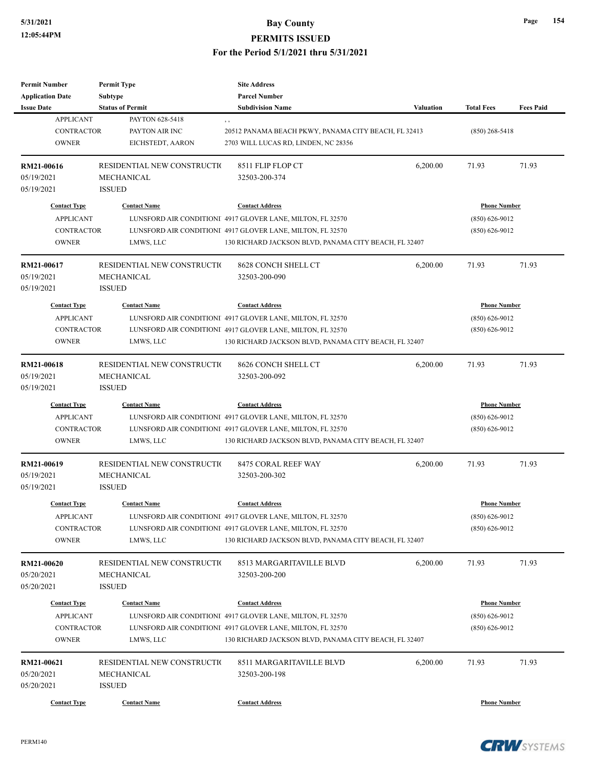| <b>Permit Number</b><br><b>Application Date</b> | <b>Permit Type</b><br>Subtype | <b>Site Address</b><br><b>Parcel Number</b>                |                  |                     |                  |
|-------------------------------------------------|-------------------------------|------------------------------------------------------------|------------------|---------------------|------------------|
| <b>Issue Date</b>                               | <b>Status of Permit</b>       | <b>Subdivision Name</b>                                    | <b>Valuation</b> | <b>Total Fees</b>   | <b>Fees Paid</b> |
| <b>APPLICANT</b>                                | PAYTON 628-5418               | , ,                                                        |                  |                     |                  |
| <b>CONTRACTOR</b>                               | PAYTON AIR INC                | 20512 PANAMA BEACH PKWY, PANAMA CITY BEACH, FL 32413       |                  | $(850)$ 268-5418    |                  |
| <b>OWNER</b>                                    | EICHSTEDT, AARON              | 2703 WILL LUCAS RD, LINDEN, NC 28356                       |                  |                     |                  |
|                                                 |                               |                                                            |                  |                     |                  |
| RM21-00616                                      | RESIDENTIAL NEW CONSTRUCTIO   | 8511 FLIP FLOP CT                                          | 6,200.00         | 71.93               | 71.93            |
| 05/19/2021                                      | MECHANICAL                    | 32503-200-374                                              |                  |                     |                  |
| 05/19/2021                                      | <b>ISSUED</b>                 |                                                            |                  |                     |                  |
| <b>Contact Type</b>                             | <b>Contact Name</b>           | <b>Contact Address</b>                                     |                  | <b>Phone Number</b> |                  |
| <b>APPLICANT</b>                                |                               | LUNSFORD AIR CONDITIONI 4917 GLOVER LANE, MILTON, FL 32570 |                  | $(850) 626 - 9012$  |                  |
|                                                 |                               |                                                            |                  |                     |                  |
| <b>CONTRACTOR</b>                               |                               | LUNSFORD AIR CONDITIONI 4917 GLOVER LANE, MILTON, FL 32570 |                  | $(850) 626 - 9012$  |                  |
| <b>OWNER</b>                                    | LMWS, LLC                     | 130 RICHARD JACKSON BLVD, PANAMA CITY BEACH, FL 32407      |                  |                     |                  |
| RM21-00617                                      | RESIDENTIAL NEW CONSTRUCTIO   | 8628 CONCH SHELL CT                                        | 6,200.00         | 71.93               | 71.93            |
| 05/19/2021                                      | MECHANICAL                    | 32503-200-090                                              |                  |                     |                  |
| 05/19/2021                                      | <b>ISSUED</b>                 |                                                            |                  |                     |                  |
|                                                 |                               |                                                            |                  |                     |                  |
| <b>Contact Type</b>                             | <b>Contact Name</b>           | <b>Contact Address</b>                                     |                  | <b>Phone Number</b> |                  |
| <b>APPLICANT</b>                                |                               | LUNSFORD AIR CONDITIONI 4917 GLOVER LANE, MILTON, FL 32570 |                  | $(850) 626 - 9012$  |                  |
| <b>CONTRACTOR</b>                               |                               | LUNSFORD AIR CONDITIONI 4917 GLOVER LANE, MILTON, FL 32570 |                  | $(850) 626 - 9012$  |                  |
| <b>OWNER</b>                                    | LMWS, LLC                     | 130 RICHARD JACKSON BLVD, PANAMA CITY BEACH, FL 32407      |                  |                     |                  |
| RM21-00618                                      | RESIDENTIAL NEW CONSTRUCTIO   | 8626 CONCH SHELL CT                                        | 6,200.00         | 71.93               | 71.93            |
| 05/19/2021                                      | <b>MECHANICAL</b>             | 32503-200-092                                              |                  |                     |                  |
| 05/19/2021                                      | <b>ISSUED</b>                 |                                                            |                  |                     |                  |
| <b>Contact Type</b>                             | <b>Contact Name</b>           | <b>Contact Address</b>                                     |                  | <b>Phone Number</b> |                  |
| <b>APPLICANT</b>                                |                               | LUNSFORD AIR CONDITIONI 4917 GLOVER LANE, MILTON, FL 32570 |                  | $(850) 626 - 9012$  |                  |
| <b>CONTRACTOR</b>                               |                               |                                                            |                  |                     |                  |
| <b>OWNER</b>                                    |                               | LUNSFORD AIR CONDITIONI 4917 GLOVER LANE, MILTON, FL 32570 |                  | $(850) 626 - 9012$  |                  |
|                                                 | LMWS, LLC                     | 130 RICHARD JACKSON BLVD, PANAMA CITY BEACH, FL 32407      |                  |                     |                  |
| RM21-00619                                      | RESIDENTIAL NEW CONSTRUCTIO   | 8475 CORAL REEF WAY                                        | 6,200.00         | 71.93               | 71.93            |
| 05/19/2021                                      | MECHANICAL                    | 32503-200-302                                              |                  |                     |                  |
| 05/19/2021                                      | <b>ISSUED</b>                 |                                                            |                  |                     |                  |
| <b>Contact Type</b>                             | <b>Contact Name</b>           | <b>Contact Address</b>                                     |                  | <b>Phone Number</b> |                  |
|                                                 |                               |                                                            |                  |                     |                  |
| APPLICANT                                       |                               | LUNSFORD AIR CONDITIONI 4917 GLOVER LANE, MILTON, FL 32570 |                  | $(850) 626 - 9012$  |                  |
| CONTRACTOR                                      |                               | LUNSFORD AIR CONDITIONI 4917 GLOVER LANE, MILTON, FL 32570 |                  | $(850)$ 626-9012    |                  |
| <b>OWNER</b>                                    | LMWS, LLC                     | 130 RICHARD JACKSON BLVD, PANAMA CITY BEACH, FL 32407      |                  |                     |                  |
| <b>RM21-00620</b>                               | RESIDENTIAL NEW CONSTRUCTIO   | 8513 MARGARITAVILLE BLVD                                   | 6,200.00         | 71.93               | 71.93            |
| 05/20/2021                                      | MECHANICAL                    | 32503-200-200                                              |                  |                     |                  |
| 05/20/2021                                      | <b>ISSUED</b>                 |                                                            |                  |                     |                  |
|                                                 |                               |                                                            |                  |                     |                  |
| <b>Contact Type</b>                             | <b>Contact Name</b>           | <b>Contact Address</b>                                     |                  | <b>Phone Number</b> |                  |
| <b>APPLICANT</b>                                |                               | LUNSFORD AIR CONDITIONI 4917 GLOVER LANE, MILTON, FL 32570 |                  | $(850) 626 - 9012$  |                  |
| CONTRACTOR                                      |                               | LUNSFORD AIR CONDITIONI 4917 GLOVER LANE, MILTON, FL 32570 |                  | $(850) 626 - 9012$  |                  |
| <b>OWNER</b>                                    | LMWS, LLC                     | 130 RICHARD JACKSON BLVD, PANAMA CITY BEACH, FL 32407      |                  |                     |                  |
| RM21-00621                                      | RESIDENTIAL NEW CONSTRUCTIO   | 8511 MARGARITAVILLE BLVD                                   | 6,200.00         | 71.93               | 71.93            |
| 05/20/2021                                      | MECHANICAL                    | 32503-200-198                                              |                  |                     |                  |
| 05/20/2021                                      | <b>ISSUED</b>                 |                                                            |                  |                     |                  |
|                                                 |                               |                                                            |                  |                     |                  |
| <b>Contact Type</b>                             | <b>Contact Name</b>           | <b>Contact Address</b>                                     |                  | <b>Phone Number</b> |                  |



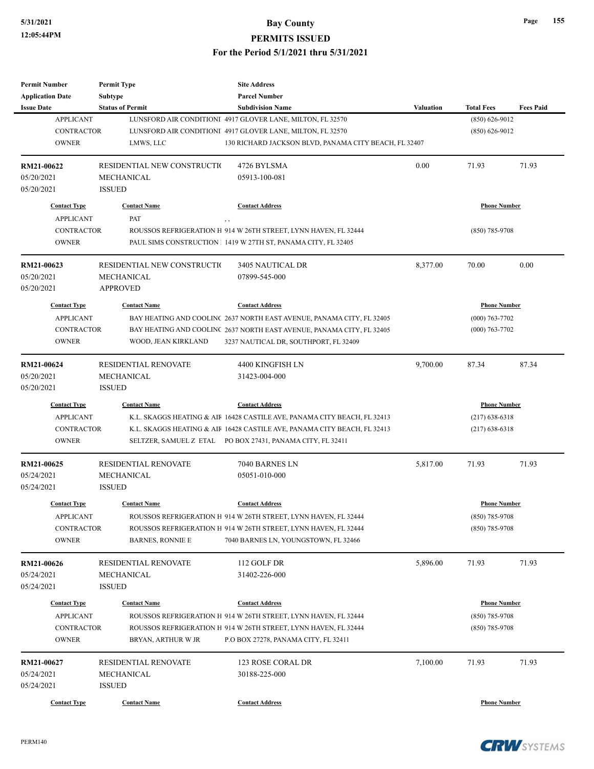## **5/31/2021 Bay County**

**PERMITS ISSUED**

**For the Period 5/1/2021 thru 5/31/2021**

| <b>Permit Number</b>    | <b>Permit Type</b>          | <b>Site Address</b>                                                      |           |                     |                  |
|-------------------------|-----------------------------|--------------------------------------------------------------------------|-----------|---------------------|------------------|
| <b>Application Date</b> | Subtype                     | <b>Parcel Number</b>                                                     |           |                     |                  |
| <b>Issue Date</b>       | <b>Status of Permit</b>     | <b>Subdivision Name</b>                                                  | Valuation | <b>Total Fees</b>   | <b>Fees Paid</b> |
| <b>APPLICANT</b>        |                             | LUNSFORD AIR CONDITIONI 4917 GLOVER LANE, MILTON, FL 32570               |           | $(850) 626 - 9012$  |                  |
| <b>CONTRACTOR</b>       |                             | LUNSFORD AIR CONDITIONI 4917 GLOVER LANE, MILTON, FL 32570               |           | $(850) 626 - 9012$  |                  |
| <b>OWNER</b>            | LMWS, LLC                   | 130 RICHARD JACKSON BLVD, PANAMA CITY BEACH, FL 32407                    |           |                     |                  |
| RM21-00622              | RESIDENTIAL NEW CONSTRUCTIO | 4726 BYLSMA                                                              | 0.00      | 71.93               | 71.93            |
| 05/20/2021              | MECHANICAL                  | 05913-100-081                                                            |           |                     |                  |
| 05/20/2021              | <b>ISSUED</b>               |                                                                          |           |                     |                  |
| <b>Contact Type</b>     | <b>Contact Name</b>         | <b>Contact Address</b>                                                   |           | <b>Phone Number</b> |                  |
| <b>APPLICANT</b>        | PAT                         |                                                                          |           |                     |                  |
| <b>CONTRACTOR</b>       |                             | ROUSSOS REFRIGERATION H 914 W 26TH STREET, LYNN HAVEN, FL 32444          |           | $(850)$ 785-9708    |                  |
| <b>OWNER</b>            |                             | PAUL SIMS CONSTRUCTION 1 1419 W 27TH ST, PANAMA CITY, FL 32405           |           |                     |                  |
| RM21-00623              | RESIDENTIAL NEW CONSTRUCTIO | 3405 NAUTICAL DR                                                         | 8,377.00  | 70.00               | 0.00             |
| 05/20/2021              | MECHANICAL                  | 07899-545-000                                                            |           |                     |                  |
| 05/20/2021              | <b>APPROVED</b>             |                                                                          |           |                     |                  |
| <b>Contact Type</b>     | <b>Contact Name</b>         | <b>Contact Address</b>                                                   |           | <b>Phone Number</b> |                  |
| <b>APPLICANT</b>        |                             | BAY HEATING AND COOLINC 2637 NORTH EAST AVENUE, PANAMA CITY, FL 32405    |           | $(000)$ 763-7702    |                  |
| <b>CONTRACTOR</b>       |                             | BAY HEATING AND COOLINC 2637 NORTH EAST AVENUE, PANAMA CITY, FL 32405    |           | $(000)$ 763-7702    |                  |
| <b>OWNER</b>            | WOOD, JEAN KIRKLAND         |                                                                          |           |                     |                  |
|                         |                             | 3237 NAUTICAL DR, SOUTHPORT, FL 32409                                    |           |                     |                  |
| RM21-00624              | <b>RESIDENTIAL RENOVATE</b> | 4400 KINGFISH LN                                                         | 9,700.00  | 87.34               | 87.34            |
| 05/20/2021              | <b>MECHANICAL</b>           | 31423-004-000                                                            |           |                     |                  |
| 05/20/2021              | <b>ISSUED</b>               |                                                                          |           |                     |                  |
| <b>Contact Type</b>     | <b>Contact Name</b>         | <b>Contact Address</b>                                                   |           | <b>Phone Number</b> |                  |
| <b>APPLICANT</b>        |                             | K.L. SKAGGS HEATING & AIF 16428 CASTILE AVE, PANAMA CITY BEACH, FL 32413 |           | $(217)$ 638-6318    |                  |
| <b>CONTRACTOR</b>       |                             | K.L. SKAGGS HEATING & AIF 16428 CASTILE AVE, PANAMA CITY BEACH, FL 32413 |           | $(217)$ 638-6318    |                  |
| <b>OWNER</b>            |                             | SELTZER, SAMUEL Z ETAL PO BOX 27431, PANAMA CITY, FL 32411               |           |                     |                  |
| RM21-00625              | <b>RESIDENTIAL RENOVATE</b> | 7040 BARNES LN                                                           | 5,817.00  | 71.93               | 71.93            |
| 05/24/2021              | MECHANICAL                  | 05051-010-000                                                            |           |                     |                  |
| 05/24/2021              | <b>ISSUED</b>               |                                                                          |           |                     |                  |
| <b>Contact Type</b>     | <b>Contact Name</b>         | <b>Contact Address</b>                                                   |           | <b>Phone Number</b> |                  |
| APPLICANT               |                             | ROUSSOS REFRIGERATION H 914 W 26TH STREET, LYNN HAVEN, FL 32444          |           | (850) 785-9708      |                  |
| CONTRACTOR              |                             | ROUSSOS REFRIGERATION H 914 W 26TH STREET, LYNN HAVEN, FL 32444          |           | $(850)$ 785-9708    |                  |
| <b>OWNER</b>            | <b>BARNES, RONNIE E</b>     | 7040 BARNES LN, YOUNGSTOWN, FL 32466                                     |           |                     |                  |
|                         |                             |                                                                          |           |                     |                  |
| RM21-00626              | RESIDENTIAL RENOVATE        | 112 GOLF DR                                                              | 5,896.00  | 71.93               | 71.93            |
| 05/24/2021              | <b>MECHANICAL</b>           | 31402-226-000                                                            |           |                     |                  |
| 05/24/2021              | <b>ISSUED</b>               |                                                                          |           |                     |                  |
| <b>Contact Type</b>     | <b>Contact Name</b>         | <b>Contact Address</b>                                                   |           | <b>Phone Number</b> |                  |
| <b>APPLICANT</b>        |                             | ROUSSOS REFRIGERATION H 914 W 26TH STREET, LYNN HAVEN, FL 32444          |           | $(850)$ 785-9708    |                  |
| <b>CONTRACTOR</b>       |                             | ROUSSOS REFRIGERATION H 914 W 26TH STREET, LYNN HAVEN, FL 32444          |           | $(850)$ 785-9708    |                  |
| <b>OWNER</b>            | BRYAN, ARTHUR W JR          | P.O BOX 27278, PANAMA CITY, FL 32411                                     |           |                     |                  |
| RM21-00627              | RESIDENTIAL RENOVATE        | 123 ROSE CORAL DR                                                        | 7,100.00  | 71.93               | 71.93            |
| 05/24/2021              | MECHANICAL                  | 30188-225-000                                                            |           |                     |                  |
| 05/24/2021              | <b>ISSUED</b>               |                                                                          |           |                     |                  |
|                         |                             | <b>Contact Address</b>                                                   |           | <b>Phone Number</b> |                  |
| <b>Contact Type</b>     | <b>Contact Name</b>         |                                                                          |           |                     |                  |

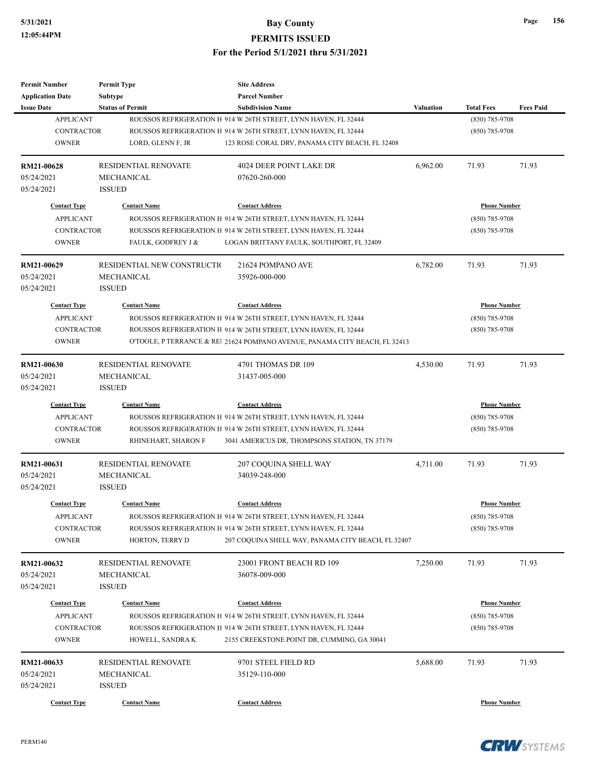| <b>Permit Number</b>     | <b>Permit Type</b>          | <b>Site Address</b>                                                         |                  |                                       |                  |
|--------------------------|-----------------------------|-----------------------------------------------------------------------------|------------------|---------------------------------------|------------------|
| <b>Application Date</b>  | <b>Subtype</b>              | <b>Parcel Number</b>                                                        |                  |                                       |                  |
| <b>Issue Date</b>        | <b>Status of Permit</b>     | <b>Subdivision Name</b>                                                     | <b>Valuation</b> | <b>Total Fees</b>                     | <b>Fees Paid</b> |
| <b>APPLICANT</b>         |                             | ROUSSOS REFRIGERATION H 914 W 26TH STREET, LYNN HAVEN, FL 32444             |                  | (850) 785-9708                        |                  |
| <b>CONTRACTOR</b>        |                             | ROUSSOS REFRIGERATION H 914 W 26TH STREET, LYNN HAVEN, FL 32444             |                  | $(850)$ 785-9708                      |                  |
| <b>OWNER</b>             | LORD, GLENN F, JR           | 123 ROSE CORAL DRV, PANAMA CITY BEACH, FL 32408                             |                  |                                       |                  |
| RM21-00628               | RESIDENTIAL RENOVATE        | 4024 DEER POINT LAKE DR                                                     | 6,962.00         | 71.93                                 | 71.93            |
| 05/24/2021               | <b>MECHANICAL</b>           | 07620-260-000                                                               |                  |                                       |                  |
| 05/24/2021               | <b>ISSUED</b>               |                                                                             |                  |                                       |                  |
| <b>Contact Type</b>      | <b>Contact Name</b>         | <b>Contact Address</b>                                                      |                  | <b>Phone Number</b>                   |                  |
| <b>APPLICANT</b>         |                             | ROUSSOS REFRIGERATION H 914 W 26TH STREET, LYNN HAVEN, FL 32444             |                  | $(850)$ 785-9708                      |                  |
| <b>CONTRACTOR</b>        |                             | ROUSSOS REFRIGERATION H 914 W 26TH STREET, LYNN HAVEN, FL 32444             |                  | $(850)$ 785-9708                      |                  |
| <b>OWNER</b>             | FAULK, GODFREY J &          | LOGAN BRITTANY FAULK, SOUTHPORT, FL 32409                                   |                  |                                       |                  |
| RM21-00629               | RESIDENTIAL NEW CONSTRUCTIO | 21624 POMPANO AVE                                                           | 6,782.00         | 71.93                                 | 71.93            |
| 05/24/2021               | MECHANICAL                  | 35926-000-000                                                               |                  |                                       |                  |
| 05/24/2021               | <b>ISSUED</b>               |                                                                             |                  |                                       |                  |
| <b>Contact Type</b>      | <b>Contact Name</b>         | <b>Contact Address</b>                                                      |                  | <b>Phone Number</b>                   |                  |
| <b>APPLICANT</b>         |                             | ROUSSOS REFRIGERATION H 914 W 26TH STREET, LYNN HAVEN, FL 32444             |                  | $(850)$ 785-9708                      |                  |
| <b>CONTRACTOR</b>        |                             | ROUSSOS REFRIGERATION H 914 W 26TH STREET, LYNN HAVEN, FL 32444             |                  | $(850)$ 785-9708                      |                  |
| <b>OWNER</b>             |                             | O'TOOLE, P TERRANCE & REI 21624 POMPANO AVENUE, PANAMA CITY BEACH, FL 32413 |                  |                                       |                  |
|                          |                             |                                                                             |                  |                                       |                  |
| RM21-00630               | <b>RESIDENTIAL RENOVATE</b> | 4701 THOMAS DR 109                                                          | 4,530.00         | 71.93                                 | 71.93            |
| 05/24/2021               | MECHANICAL                  | 31437-005-000                                                               |                  |                                       |                  |
| 05/24/2021               | <b>ISSUED</b>               |                                                                             |                  |                                       |                  |
| <b>Contact Type</b>      | <b>Contact Name</b>         | <b>Contact Address</b>                                                      |                  | <b>Phone Number</b>                   |                  |
| <b>APPLICANT</b>         |                             | ROUSSOS REFRIGERATION H 914 W 26TH STREET, LYNN HAVEN, FL 32444             |                  | $(850)$ 785-9708                      |                  |
| <b>CONTRACTOR</b>        |                             | ROUSSOS REFRIGERATION H 914 W 26TH STREET, LYNN HAVEN, FL 32444             |                  | $(850)$ 785-9708                      |                  |
| <b>OWNER</b>             | RHINEHART, SHARON F         | 3041 AMERICUS DR, THOMPSONS STATION, TN 37179                               |                  |                                       |                  |
| RM21-00631               | <b>RESIDENTIAL RENOVATE</b> | 207 COQUINA SHELL WAY                                                       | 4,711.00         | 71.93                                 | 71.93            |
| 05/24/2021               | MECHANICAL                  | 34039-248-000                                                               |                  |                                       |                  |
| 05/24/2021               | <b>ISSUED</b>               |                                                                             |                  |                                       |                  |
| <b>Contact Type</b>      | <b>Contact Name</b>         | <b>Contact Address</b>                                                      |                  | <b>Phone Number</b>                   |                  |
| <b>APPLICANT</b>         |                             | ROUSSOS REFRIGERATION H 914 W 26TH STREET, LYNN HAVEN, FL 32444             |                  | (850) 785-9708                        |                  |
| CONTRACTOR               |                             | ROUSSOS REFRIGERATION H 914 W 26TH STREET, LYNN HAVEN, FL 32444             |                  | $(850)$ 785-9708                      |                  |
| <b>OWNER</b>             | HORTON, TERRY D             | 207 COQUINA SHELL WAY, PANAMA CITY BEACH, FL 32407                          |                  |                                       |                  |
|                          | <b>RESIDENTIAL RENOVATE</b> | 23001 FRONT BEACH RD 109                                                    | 7,250.00         | 71.93                                 | 71.93            |
| RM21-00632<br>05/24/2021 | MECHANICAL                  | 36078-009-000                                                               |                  |                                       |                  |
| 05/24/2021               | <b>ISSUED</b>               |                                                                             |                  |                                       |                  |
|                          |                             |                                                                             |                  |                                       |                  |
| <b>Contact Type</b>      | <b>Contact Name</b>         | <b>Contact Address</b>                                                      |                  | <b>Phone Number</b><br>(850) 785-9708 |                  |
| <b>APPLICANT</b>         |                             | ROUSSOS REFRIGERATION H 914 W 26TH STREET, LYNN HAVEN, FL 32444             |                  |                                       |                  |
| CONTRACTOR               |                             | ROUSSOS REFRIGERATION H 914 W 26TH STREET, LYNN HAVEN, FL 32444             |                  | $(850)$ 785-9708                      |                  |
| <b>OWNER</b>             | HOWELL, SANDRA K            | 2155 CREEKSTONE POINT DR, CUMMING, GA 30041                                 |                  |                                       |                  |
| RM21-00633               | RESIDENTIAL RENOVATE        | 9701 STEEL FIELD RD                                                         | 5,688.00         | 71.93                                 | 71.93            |
| 05/24/2021               | MECHANICAL                  | 35129-110-000                                                               |                  |                                       |                  |
| 05/24/2021               | <b>ISSUED</b>               |                                                                             |                  |                                       |                  |
| <b>Contact Type</b>      | <b>Contact Name</b>         | <b>Contact Address</b>                                                      |                  | <b>Phone Number</b>                   |                  |
|                          |                             |                                                                             |                  |                                       |                  |

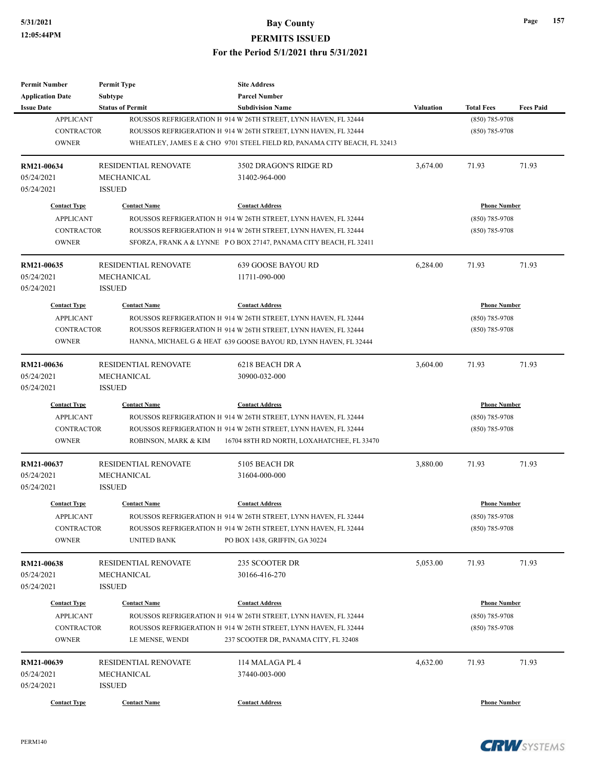| <b>Permit Number</b>                  | <b>Permit Type</b>          | <b>Site Address</b>                                                                        |                     |                                     |                  |
|---------------------------------------|-----------------------------|--------------------------------------------------------------------------------------------|---------------------|-------------------------------------|------------------|
| <b>Application Date</b>               | Subtype                     | <b>Parcel Number</b>                                                                       |                     |                                     |                  |
| <b>Issue Date</b><br><b>APPLICANT</b> | <b>Status of Permit</b>     | <b>Subdivision Name</b><br>ROUSSOS REFRIGERATION H 914 W 26TH STREET, LYNN HAVEN, FL 32444 | Valuation           | <b>Total Fees</b><br>(850) 785-9708 | <b>Fees Paid</b> |
| <b>CONTRACTOR</b>                     |                             | ROUSSOS REFRIGERATION H 914 W 26TH STREET, LYNN HAVEN, FL 32444                            |                     | $(850)$ 785-9708                    |                  |
| <b>OWNER</b>                          |                             | WHEATLEY, JAMES E & CHO 9701 STEEL FIELD RD, PANAMA CITY BEACH, FL 32413                   |                     |                                     |                  |
|                                       |                             |                                                                                            |                     |                                     |                  |
| RM21-00634                            | <b>RESIDENTIAL RENOVATE</b> | 3502 DRAGON'S RIDGE RD                                                                     | 3,674.00            | 71.93                               | 71.93            |
| 05/24/2021                            | MECHANICAL                  | 31402-964-000                                                                              |                     |                                     |                  |
| 05/24/2021                            | <b>ISSUED</b>               |                                                                                            |                     |                                     |                  |
| <b>Contact Type</b>                   | <b>Contact Name</b>         | <b>Contact Address</b>                                                                     |                     | <b>Phone Number</b>                 |                  |
| <b>APPLICANT</b>                      |                             | ROUSSOS REFRIGERATION H 914 W 26TH STREET, LYNN HAVEN, FL 32444                            |                     | $(850)$ 785-9708                    |                  |
| <b>CONTRACTOR</b>                     |                             | ROUSSOS REFRIGERATION H 914 W 26TH STREET, LYNN HAVEN, FL 32444                            |                     | $(850)$ 785-9708                    |                  |
| <b>OWNER</b>                          |                             | SFORZA, FRANK A & LYNNE PO BOX 27147, PANAMA CITY BEACH, FL 32411                          |                     |                                     |                  |
| RM21-00635                            | <b>RESIDENTIAL RENOVATE</b> | 639 GOOSE BAYOU RD                                                                         | 6,284.00            | 71.93                               | 71.93            |
| 05/24/2021                            | MECHANICAL                  | 11711-090-000                                                                              |                     |                                     |                  |
| 05/24/2021                            | <b>ISSUED</b>               |                                                                                            |                     |                                     |                  |
| <b>Contact Type</b>                   | <b>Contact Name</b>         | <b>Contact Address</b>                                                                     |                     | <b>Phone Number</b>                 |                  |
| <b>APPLICANT</b>                      |                             | ROUSSOS REFRIGERATION H 914 W 26TH STREET, LYNN HAVEN, FL 32444                            |                     | $(850)$ 785-9708                    |                  |
| <b>CONTRACTOR</b>                     |                             | ROUSSOS REFRIGERATION H 914 W 26TH STREET, LYNN HAVEN, FL 32444                            |                     | $(850)$ 785-9708                    |                  |
| <b>OWNER</b>                          |                             | HANNA, MICHAEL G & HEAT 639 GOOSE BAYOU RD, LYNN HAVEN, FL 32444                           |                     |                                     |                  |
|                                       |                             |                                                                                            |                     |                                     |                  |
| RM21-00636                            | <b>RESIDENTIAL RENOVATE</b> | 6218 BEACH DR A                                                                            | 3,604.00            | 71.93                               | 71.93            |
| 05/24/2021                            | <b>MECHANICAL</b>           | 30900-032-000                                                                              |                     |                                     |                  |
| 05/24/2021                            | <b>ISSUED</b>               |                                                                                            |                     |                                     |                  |
| <b>Contact Type</b>                   | <b>Contact Name</b>         | <b>Contact Address</b>                                                                     | <b>Phone Number</b> |                                     |                  |
| <b>APPLICANT</b>                      |                             | ROUSSOS REFRIGERATION H 914 W 26TH STREET, LYNN HAVEN, FL 32444                            |                     | $(850)$ 785-9708                    |                  |
| <b>CONTRACTOR</b>                     |                             | ROUSSOS REFRIGERATION H 914 W 26TH STREET, LYNN HAVEN, FL 32444                            |                     | $(850)$ 785-9708                    |                  |
| <b>OWNER</b>                          | ROBINSON, MARK & KIM        | 16704 88TH RD NORTH, LOXAHATCHEE, FL 33470                                                 |                     |                                     |                  |
| RM21-00637                            | <b>RESIDENTIAL RENOVATE</b> | 5105 BEACH DR                                                                              | 3,880.00            | 71.93                               | 71.93            |
| 05/24/2021                            | MECHANICAL                  | 31604-000-000                                                                              |                     |                                     |                  |
| 05/24/2021                            | <b>ISSUED</b>               |                                                                                            |                     |                                     |                  |
| <b>Contact Type</b>                   | <b>Contact Name</b>         | <b>Contact Address</b>                                                                     |                     | <b>Phone Number</b>                 |                  |
| APPLICANT                             |                             | ROUSSOS REFRIGERATION H 914 W 26TH STREET, LYNN HAVEN, FL 32444                            |                     | $(850)$ 785-9708                    |                  |
| <b>CONTRACTOR</b>                     |                             | ROUSSOS REFRIGERATION H 914 W 26TH STREET, LYNN HAVEN, FL 32444                            |                     | $(850)$ 785-9708                    |                  |
| <b>OWNER</b>                          | <b>UNITED BANK</b>          | PO BOX 1438, GRIFFIN, GA 30224                                                             |                     |                                     |                  |
| RM21-00638                            | RESIDENTIAL RENOVATE        | 235 SCOOTER DR                                                                             | 5,053.00            | 71.93                               | 71.93            |
| 05/24/2021                            | MECHANICAL                  | 30166-416-270                                                                              |                     |                                     |                  |
| 05/24/2021                            | <b>ISSUED</b>               |                                                                                            |                     |                                     |                  |
| <b>Contact Type</b>                   | <b>Contact Name</b>         | <b>Contact Address</b>                                                                     |                     | <b>Phone Number</b>                 |                  |
| <b>APPLICANT</b>                      |                             | ROUSSOS REFRIGERATION H 914 W 26TH STREET, LYNN HAVEN, FL 32444                            |                     | $(850)$ 785-9708                    |                  |
| <b>CONTRACTOR</b>                     |                             | ROUSSOS REFRIGERATION H 914 W 26TH STREET, LYNN HAVEN, FL 32444                            |                     | $(850)$ 785-9708                    |                  |
| <b>OWNER</b>                          | LE MENSE, WENDI             | 237 SCOOTER DR, PANAMA CITY, FL 32408                                                      |                     |                                     |                  |
|                                       |                             |                                                                                            |                     |                                     |                  |
| RM21-00639                            | RESIDENTIAL RENOVATE        | 114 MALAGA PL 4                                                                            | 4,632.00            | 71.93                               | 71.93            |
| 05/24/2021<br>05/24/2021              | MECHANICAL<br><b>ISSUED</b> | 37440-003-000                                                                              |                     |                                     |                  |
|                                       |                             |                                                                                            |                     |                                     |                  |
| <b>Contact Type</b>                   | <b>Contact Name</b>         | <b>Contact Address</b>                                                                     |                     | <b>Phone Number</b>                 |                  |

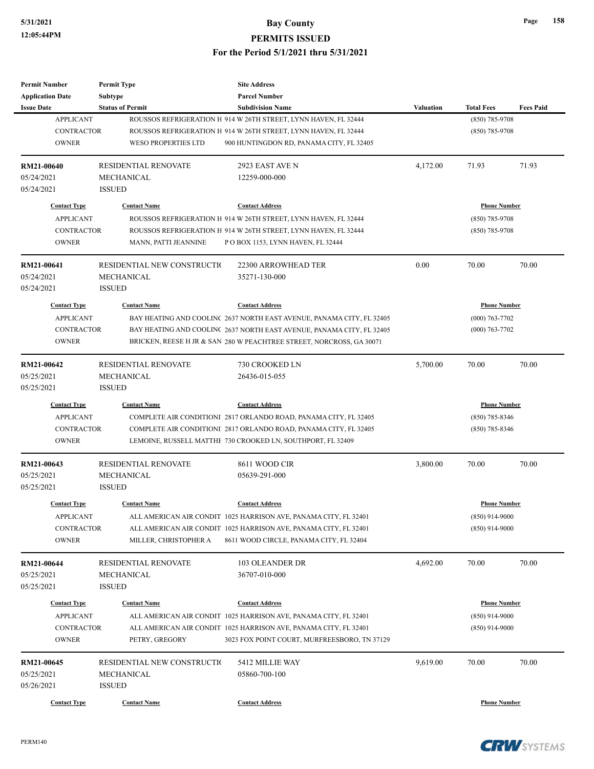| <b>Permit Number</b>    | <b>Permit Type</b>          | <b>Site Address</b>                                                   |                     |                     |                  |
|-------------------------|-----------------------------|-----------------------------------------------------------------------|---------------------|---------------------|------------------|
| <b>Application Date</b> | <b>Subtype</b>              | <b>Parcel Number</b>                                                  |                     |                     |                  |
| <b>Issue Date</b>       | <b>Status of Permit</b>     | <b>Subdivision Name</b>                                               | Valuation           | <b>Total Fees</b>   | <b>Fees Paid</b> |
| <b>APPLICANT</b>        |                             | ROUSSOS REFRIGERATION H 914 W 26TH STREET, LYNN HAVEN, FL 32444       |                     | (850) 785-9708      |                  |
| <b>CONTRACTOR</b>       |                             | ROUSSOS REFRIGERATION H 914 W 26TH STREET, LYNN HAVEN, FL 32444       |                     | $(850)$ 785-9708    |                  |
| <b>OWNER</b>            | <b>WESO PROPERTIES LTD</b>  | 900 HUNTINGDON RD, PANAMA CITY, FL 32405                              |                     |                     |                  |
| RM21-00640              | <b>RESIDENTIAL RENOVATE</b> | 2923 EAST AVE N                                                       | 4,172.00            | 71.93               | 71.93            |
| 05/24/2021              | MECHANICAL                  | 12259-000-000                                                         |                     |                     |                  |
| 05/24/2021              | <b>ISSUED</b>               |                                                                       |                     |                     |                  |
| <b>Contact Type</b>     | <b>Contact Name</b>         | <b>Contact Address</b>                                                |                     | <b>Phone Number</b> |                  |
| <b>APPLICANT</b>        |                             | ROUSSOS REFRIGERATION H 914 W 26TH STREET, LYNN HAVEN, FL 32444       |                     | $(850)$ 785-9708    |                  |
| <b>CONTRACTOR</b>       |                             | ROUSSOS REFRIGERATION H 914 W 26TH STREET, LYNN HAVEN, FL 32444       |                     | $(850)$ 785-9708    |                  |
| <b>OWNER</b>            | MANN, PATTI JEANNINE        | PO BOX 1153, LYNN HAVEN, FL 32444                                     |                     |                     |                  |
| RM21-00641              | RESIDENTIAL NEW CONSTRUCTIO | 22300 ARROWHEAD TER                                                   | 0.00                | 70.00               | 70.00            |
| 05/24/2021              | MECHANICAL                  | 35271-130-000                                                         |                     |                     |                  |
| 05/24/2021              | <b>ISSUED</b>               |                                                                       |                     |                     |                  |
| <b>Contact Type</b>     | <b>Contact Name</b>         | <b>Contact Address</b>                                                |                     | <b>Phone Number</b> |                  |
| <b>APPLICANT</b>        |                             | BAY HEATING AND COOLINC 2637 NORTH EAST AVENUE, PANAMA CITY, FL 32405 |                     | $(000)$ 763-7702    |                  |
| <b>CONTRACTOR</b>       |                             | BAY HEATING AND COOLINC 2637 NORTH EAST AVENUE, PANAMA CITY, FL 32405 |                     | $(000)$ 763-7702    |                  |
| <b>OWNER</b>            |                             | BRICKEN, REESE H JR & SAN 280 W PEACHTREE STREET, NORCROSS, GA 30071  |                     |                     |                  |
|                         |                             |                                                                       |                     |                     |                  |
| RM21-00642              | <b>RESIDENTIAL RENOVATE</b> | 730 CROOKED LN                                                        | 5,700.00            | 70.00               | 70.00            |
| 05/25/2021              | <b>MECHANICAL</b>           | 26436-015-055                                                         |                     |                     |                  |
| 05/25/2021              | <b>ISSUED</b>               |                                                                       |                     |                     |                  |
| <b>Contact Type</b>     | <b>Contact Name</b>         | <b>Contact Address</b>                                                | <b>Phone Number</b> |                     |                  |
| <b>APPLICANT</b>        |                             | COMPLETE AIR CONDITIONI 2817 ORLANDO ROAD, PANAMA CITY, FL 32405      |                     | $(850)$ 785-8346    |                  |
| <b>CONTRACTOR</b>       |                             | COMPLETE AIR CONDITIONI 2817 ORLANDO ROAD, PANAMA CITY, FL 32405      |                     | $(850)$ 785-8346    |                  |
| <b>OWNER</b>            |                             | LEMOINE, RUSSELL MATTHE 730 CROOKED LN, SOUTHPORT, FL 32409           |                     |                     |                  |
| RM21-00643              | <b>RESIDENTIAL RENOVATE</b> | 8611 WOOD CIR                                                         | 3,800.00            | 70.00               | 70.00            |
| 05/25/2021              | MECHANICAL                  | 05639-291-000                                                         |                     |                     |                  |
| 05/25/2021              | <b>ISSUED</b>               |                                                                       |                     |                     |                  |
| <b>Contact Type</b>     | <b>Contact Name</b>         | <b>Contact Address</b>                                                |                     | <b>Phone Number</b> |                  |
| APPLICANT               |                             | ALL AMERICAN AIR CONDIT 1025 HARRISON AVE, PANAMA CITY, FL 32401      |                     | $(850)$ 914-9000    |                  |
| CONTRACTOR              |                             | ALL AMERICAN AIR CONDIT 1025 HARRISON AVE, PANAMA CITY, FL 32401      |                     | $(850)$ 914-9000    |                  |
| <b>OWNER</b>            | MILLER, CHRISTOPHER A       | 8611 WOOD CIRCLE, PANAMA CITY, FL 32404                               |                     |                     |                  |
| RM21-00644              | RESIDENTIAL RENOVATE        | 103 OLEANDER DR                                                       | 4,692.00            | 70.00               | 70.00            |
| 05/25/2021              | MECHANICAL                  | 36707-010-000                                                         |                     |                     |                  |
| 05/25/2021              | <b>ISSUED</b>               |                                                                       |                     |                     |                  |
| <b>Contact Type</b>     | <b>Contact Name</b>         | <b>Contact Address</b>                                                |                     | <b>Phone Number</b> |                  |
|                         |                             |                                                                       |                     |                     |                  |
| <b>APPLICANT</b>        |                             | ALL AMERICAN AIR CONDIT 1025 HARRISON AVE, PANAMA CITY, FL 32401      |                     | $(850)$ 914-9000    |                  |
| <b>CONTRACTOR</b>       |                             | ALL AMERICAN AIR CONDIT 1025 HARRISON AVE, PANAMA CITY, FL 32401      |                     | $(850)$ 914-9000    |                  |
| <b>OWNER</b>            | PETRY, GREGORY              | 3023 FOX POINT COURT, MURFREESBORO, TN 37129                          |                     |                     |                  |
| RM21-00645              | RESIDENTIAL NEW CONSTRUCTIO | 5412 MILLIE WAY                                                       | 9,619.00            | 70.00               | 70.00            |
| 05/25/2021              | MECHANICAL                  | 05860-700-100                                                         |                     |                     |                  |
| 05/26/2021              | <b>ISSUED</b>               |                                                                       |                     |                     |                  |
| <b>Contact Type</b>     | <b>Contact Name</b>         | <b>Contact Address</b>                                                |                     | <b>Phone Number</b> |                  |
|                         |                             |                                                                       |                     |                     |                  |

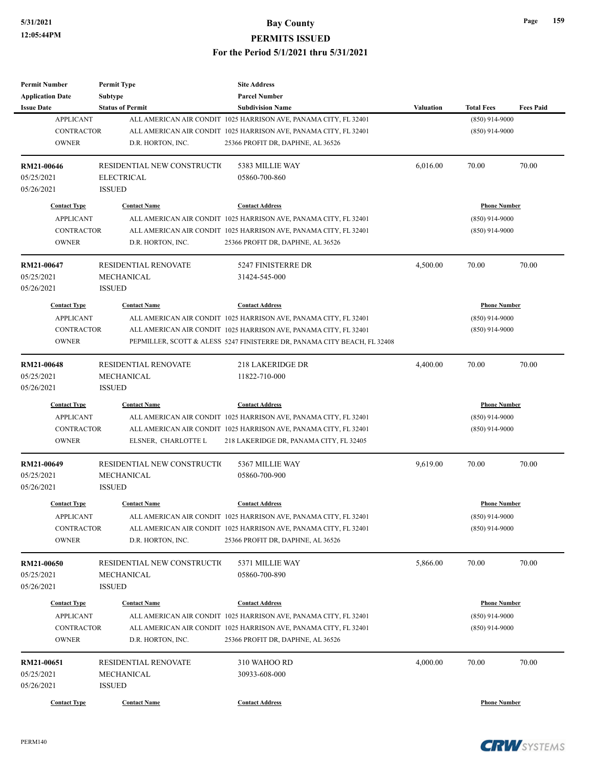| <b>Permit Number</b>                    | <b>Permit Type</b>           | <b>Site Address</b>                                                      |                     |                                         |                  |
|-----------------------------------------|------------------------------|--------------------------------------------------------------------------|---------------------|-----------------------------------------|------------------|
| <b>Application Date</b>                 | <b>Subtype</b>               | <b>Parcel Number</b>                                                     |                     |                                         |                  |
| <b>Issue Date</b>                       | <b>Status of Permit</b>      | <b>Subdivision Name</b>                                                  | Valuation           | <b>Total Fees</b>                       | <b>Fees Paid</b> |
| <b>APPLICANT</b>                        |                              | ALL AMERICAN AIR CONDIT 1025 HARRISON AVE, PANAMA CITY, FL 32401         |                     | $(850)$ 914-9000                        |                  |
| <b>CONTRACTOR</b>                       |                              | ALL AMERICAN AIR CONDIT 1025 HARRISON AVE, PANAMA CITY, FL 32401         |                     | $(850)$ 914-9000                        |                  |
| <b>OWNER</b>                            | D.R. HORTON, INC.            | 25366 PROFIT DR, DAPHNE, AL 36526                                        |                     |                                         |                  |
| RM21-00646                              | RESIDENTIAL NEW CONSTRUCTION | 5383 MILLIE WAY                                                          | 6,016.00            | 70.00                                   | 70.00            |
| 05/25/2021                              | <b>ELECTRICAL</b>            | 05860-700-860                                                            |                     |                                         |                  |
| 05/26/2021                              | <b>ISSUED</b>                |                                                                          |                     |                                         |                  |
| <b>Contact Type</b>                     | <b>Contact Name</b>          | <b>Contact Address</b>                                                   |                     | <b>Phone Number</b>                     |                  |
| <b>APPLICANT</b>                        |                              | ALL AMERICAN AIR CONDIT 1025 HARRISON AVE, PANAMA CITY, FL 32401         |                     | $(850)$ 914-9000                        |                  |
| <b>CONTRACTOR</b>                       |                              | ALL AMERICAN AIR CONDIT 1025 HARRISON AVE, PANAMA CITY, FL 32401         |                     | $(850)$ 914-9000                        |                  |
| <b>OWNER</b>                            | D.R. HORTON, INC.            | 25366 PROFIT DR, DAPHNE, AL 36526                                        |                     |                                         |                  |
| RM21-00647                              | <b>RESIDENTIAL RENOVATE</b>  | 5247 FINISTERRE DR                                                       | 4,500.00            | 70.00                                   | 70.00            |
| 05/25/2021                              | MECHANICAL                   | 31424-545-000                                                            |                     |                                         |                  |
| 05/26/2021                              | <b>ISSUED</b>                |                                                                          |                     |                                         |                  |
| <b>Contact Type</b>                     | <b>Contact Name</b>          | <b>Contact Address</b>                                                   |                     | <b>Phone Number</b>                     |                  |
| <b>APPLICANT</b>                        |                              | ALL AMERICAN AIR CONDIT 1025 HARRISON AVE, PANAMA CITY, FL 32401         |                     | $(850)$ 914-9000                        |                  |
| <b>CONTRACTOR</b>                       |                              | ALL AMERICAN AIR CONDIT 1025 HARRISON AVE, PANAMA CITY, FL 32401         |                     | $(850)$ 914-9000                        |                  |
| <b>OWNER</b>                            |                              | PEPMILLER, SCOTT & ALESS 5247 FINISTERRE DR, PANAMA CITY BEACH, FL 32408 |                     |                                         |                  |
|                                         |                              |                                                                          |                     |                                         |                  |
| RM21-00648                              | RESIDENTIAL RENOVATE         | <b>218 LAKERIDGE DR</b>                                                  | 4,400.00            | 70.00                                   | 70.00            |
| 05/25/2021                              | MECHANICAL                   | 11822-710-000                                                            |                     |                                         |                  |
| 05/26/2021                              | <b>ISSUED</b>                |                                                                          |                     |                                         |                  |
| <b>Contact Type</b>                     | <b>Contact Name</b>          | <b>Contact Address</b>                                                   | <b>Phone Number</b> |                                         |                  |
| <b>APPLICANT</b>                        |                              | ALL AMERICAN AIR CONDIT 1025 HARRISON AVE, PANAMA CITY, FL 32401         |                     | $(850)$ 914-9000                        |                  |
| <b>CONTRACTOR</b>                       |                              | ALL AMERICAN AIR CONDIT 1025 HARRISON AVE, PANAMA CITY, FL 32401         |                     | $(850)$ 914-9000                        |                  |
| <b>OWNER</b>                            | ELSNER, CHARLOTTE L          | 218 LAKERIDGE DR, PANAMA CITY, FL 32405                                  |                     |                                         |                  |
| RM21-00649                              | RESIDENTIAL NEW CONSTRUCTIO  | 5367 MILLIE WAY                                                          | 9,619.00            | 70.00                                   | 70.00            |
| 05/25/2021                              | MECHANICAL                   | 05860-700-900                                                            |                     |                                         |                  |
| 05/26/2021                              | <b>ISSUED</b>                |                                                                          |                     |                                         |                  |
| <b>Contact Type</b>                     | <b>Contact Name</b>          | <b>Contact Address</b>                                                   |                     | <b>Phone Number</b>                     |                  |
| <b>APPLICANT</b>                        |                              | ALL AMERICAN AIR CONDIT 1025 HARRISON AVE, PANAMA CITY, FL 32401         |                     | $(850)$ 914-9000                        |                  |
| <b>CONTRACTOR</b>                       |                              | ALL AMERICAN AIR CONDIT 1025 HARRISON AVE, PANAMA CITY, FL 32401         |                     | $(850)$ 914-9000                        |                  |
| <b>OWNER</b>                            | D.R. HORTON, INC.            | 25366 PROFIT DR, DAPHNE, AL 36526                                        |                     |                                         |                  |
| RM21-00650                              | RESIDENTIAL NEW CONSTRUCTION | 5371 MILLIE WAY                                                          | 5,866.00            | 70.00                                   | 70.00            |
| 05/25/2021                              | MECHANICAL                   | 05860-700-890                                                            |                     |                                         |                  |
| 05/26/2021                              | <b>ISSUED</b>                |                                                                          |                     |                                         |                  |
|                                         |                              |                                                                          |                     |                                         |                  |
| <b>Contact Type</b><br><b>APPLICANT</b> | <b>Contact Name</b>          | <b>Contact Address</b>                                                   |                     | <b>Phone Number</b><br>$(850)$ 914-9000 |                  |
|                                         |                              | ALL AMERICAN AIR CONDIT 1025 HARRISON AVE, PANAMA CITY, FL 32401         |                     |                                         |                  |
| <b>CONTRACTOR</b>                       |                              | ALL AMERICAN AIR CONDIT 1025 HARRISON AVE, PANAMA CITY, FL 32401         |                     | $(850)$ 914-9000                        |                  |
| <b>OWNER</b>                            | D.R. HORTON, INC.            | 25366 PROFIT DR, DAPHNE, AL 36526                                        |                     |                                         |                  |
| RM21-00651                              | <b>RESIDENTIAL RENOVATE</b>  | 310 WAHOO RD                                                             | 4,000.00            | 70.00                                   | 70.00            |
| 05/25/2021                              | MECHANICAL                   | 30933-608-000                                                            |                     |                                         |                  |
| 05/26/2021                              | <b>ISSUED</b>                |                                                                          |                     |                                         |                  |
| <b>Contact Type</b>                     | <b>Contact Name</b>          | <b>Contact Address</b>                                                   |                     | <b>Phone Number</b>                     |                  |
|                                         |                              |                                                                          |                     |                                         |                  |



PERM140

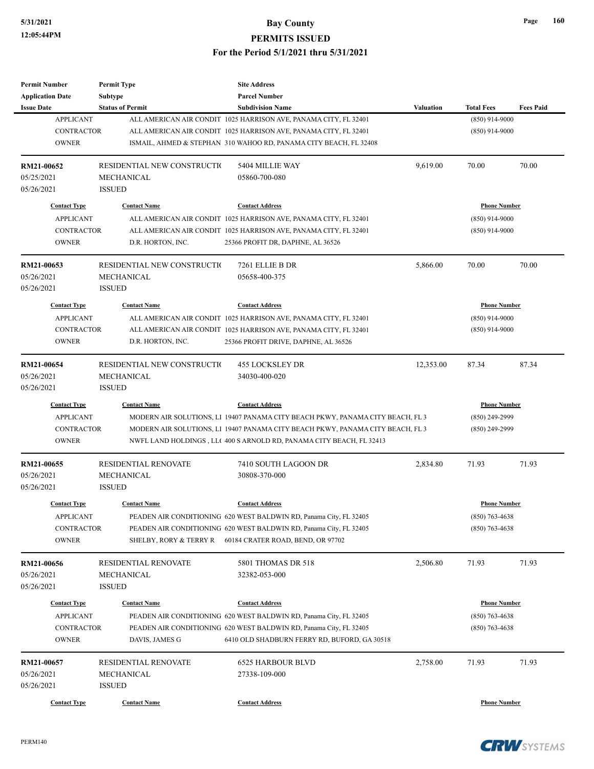## **5/31/2021 Bay County PERMITS ISSUED**

#### **For the Period 5/1/2021 thru 5/31/2021**

| Permit Number           | <b>Permit Type</b>          | <b>Site Address</b>                                                            |           |                     |                  |
|-------------------------|-----------------------------|--------------------------------------------------------------------------------|-----------|---------------------|------------------|
| <b>Application Date</b> | Subtype                     | <b>Parcel Number</b>                                                           |           |                     |                  |
| <b>Issue Date</b>       | <b>Status of Permit</b>     | <b>Subdivision Name</b>                                                        | Valuation | <b>Total Fees</b>   | <b>Fees Paid</b> |
| <b>APPLICANT</b>        |                             | ALL AMERICAN AIR CONDIT 1025 HARRISON AVE, PANAMA CITY, FL 32401               |           | $(850)$ 914-9000    |                  |
| <b>CONTRACTOR</b>       |                             | ALL AMERICAN AIR CONDIT 1025 HARRISON AVE, PANAMA CITY, FL 32401               |           | $(850)$ 914-9000    |                  |
| <b>OWNER</b>            |                             | ISMAIL, AHMED & STEPHAN 310 WAHOO RD, PANAMA CITY BEACH, FL 32408              |           |                     |                  |
| RM21-00652              | RESIDENTIAL NEW CONSTRUCTIO | 5404 MILLIE WAY                                                                | 9,619.00  | 70.00               | 70.00            |
| 05/25/2021              | MECHANICAL                  | 05860-700-080                                                                  |           |                     |                  |
| 05/26/2021              | <b>ISSUED</b>               |                                                                                |           |                     |                  |
| <b>Contact Type</b>     | <b>Contact Name</b>         | <b>Contact Address</b>                                                         |           | <b>Phone Number</b> |                  |
| <b>APPLICANT</b>        |                             | ALL AMERICAN AIR CONDIT 1025 HARRISON AVE, PANAMA CITY, FL 32401               |           | $(850)$ 914-9000    |                  |
| <b>CONTRACTOR</b>       |                             | ALL AMERICAN AIR CONDIT 1025 HARRISON AVE, PANAMA CITY, FL 32401               |           | $(850)$ 914-9000    |                  |
| <b>OWNER</b>            | D.R. HORTON, INC.           | 25366 PROFIT DR, DAPHNE, AL 36526                                              |           |                     |                  |
| RM21-00653              | RESIDENTIAL NEW CONSTRUCTIO | 7261 ELLIE B DR                                                                | 5,866.00  | 70.00               | 70.00            |
| 05/26/2021              | MECHANICAL                  | 05658-400-375                                                                  |           |                     |                  |
| 05/26/2021              | <b>ISSUED</b>               |                                                                                |           |                     |                  |
| <b>Contact Type</b>     | <b>Contact Name</b>         | <b>Contact Address</b>                                                         |           | <b>Phone Number</b> |                  |
| <b>APPLICANT</b>        |                             | ALL AMERICAN AIR CONDIT 1025 HARRISON AVE, PANAMA CITY, FL 32401               |           | $(850)$ 914-9000    |                  |
| <b>CONTRACTOR</b>       |                             | ALL AMERICAN AIR CONDIT 1025 HARRISON AVE, PANAMA CITY, FL 32401               |           | $(850)$ 914-9000    |                  |
| <b>OWNER</b>            |                             |                                                                                |           |                     |                  |
|                         | D.R. HORTON, INC.           | 25366 PROFIT DRIVE, DAPHNE, AL 36526                                           |           |                     |                  |
| RM21-00654              | RESIDENTIAL NEW CONSTRUCTIO | <b>455 LOCKSLEY DR</b>                                                         | 12,353.00 | 87.34               | 87.34            |
| 05/26/2021              | <b>MECHANICAL</b>           | 34030-400-020                                                                  |           |                     |                  |
| 05/26/2021              | <b>ISSUED</b>               |                                                                                |           |                     |                  |
| <b>Contact Type</b>     | <b>Contact Name</b>         | <b>Contact Address</b>                                                         |           | <b>Phone Number</b> |                  |
| <b>APPLICANT</b>        |                             | MODERN AIR SOLUTIONS, L1 19407 PANAMA CITY BEACH PKWY, PANAMA CITY BEACH, FL 3 |           | $(850)$ 249-2999    |                  |
| <b>CONTRACTOR</b>       |                             | MODERN AIR SOLUTIONS, L1 19407 PANAMA CITY BEACH PKWY, PANAMA CITY BEACH, FL 3 |           | $(850)$ 249-2999    |                  |
| <b>OWNER</b>            |                             | NWFL LAND HOLDINGS, LLC 400 S ARNOLD RD, PANAMA CITY BEACH, FL 32413           |           |                     |                  |
| RM21-00655              | <b>RESIDENTIAL RENOVATE</b> | 7410 SOUTH LAGOON DR                                                           | 2,834.80  | 71.93               | 71.93            |
| 05/26/2021              | <b>MECHANICAL</b>           | 30808-370-000                                                                  |           |                     |                  |
| 05/26/2021              | <b>ISSUED</b>               |                                                                                |           |                     |                  |
| <b>Contact Type</b>     | <b>Contact Name</b>         | <b>Contact Address</b>                                                         |           | <b>Phone Number</b> |                  |
| APPLICANT               |                             | PEADEN AIR CONDITIONING 620 WEST BALDWIN RD, Panama City, FL 32405             |           | $(850) 763 - 4638$  |                  |
| CONTRACTOR              |                             | PEADEN AIR CONDITIONING 620 WEST BALDWIN RD, Panama City, FL 32405             |           | $(850)$ 763-4638    |                  |
| <b>OWNER</b>            | SHELBY, RORY & TERRY R      | 60184 CRATER ROAD, BEND, OR 97702                                              |           |                     |                  |
|                         |                             |                                                                                |           |                     |                  |
| RM21-00656              | RESIDENTIAL RENOVATE        | 5801 THOMAS DR 518                                                             | 2,506.80  | 71.93               | 71.93            |
| 05/26/2021              | MECHANICAL                  | 32382-053-000                                                                  |           |                     |                  |
| 05/26/2021              | <b>ISSUED</b>               |                                                                                |           |                     |                  |
| <b>Contact Type</b>     | <b>Contact Name</b>         | <b>Contact Address</b>                                                         |           | <b>Phone Number</b> |                  |
| <b>APPLICANT</b>        |                             | PEADEN AIR CONDITIONING 620 WEST BALDWIN RD, Panama City, FL 32405             |           | $(850)$ 763-4638    |                  |
| <b>CONTRACTOR</b>       |                             | PEADEN AIR CONDITIONING 620 WEST BALDWIN RD, Panama City, FL 32405             |           | $(850)$ 763-4638    |                  |
| <b>OWNER</b>            | DAVIS, JAMES G              | 6410 OLD SHADBURN FERRY RD, BUFORD, GA 30518                                   |           |                     |                  |
| RM21-00657              | RESIDENTIAL RENOVATE        | <b>6525 HARBOUR BLVD</b>                                                       | 2,758.00  | 71.93               | 71.93            |
| 05/26/2021              | MECHANICAL                  | 27338-109-000                                                                  |           |                     |                  |
| 05/26/2021              | <b>ISSUED</b>               |                                                                                |           |                     |                  |
|                         |                             |                                                                                |           |                     |                  |
| <b>Contact Type</b>     | <b>Contact Name</b>         | <b>Contact Address</b>                                                         |           | <b>Phone Number</b> |                  |



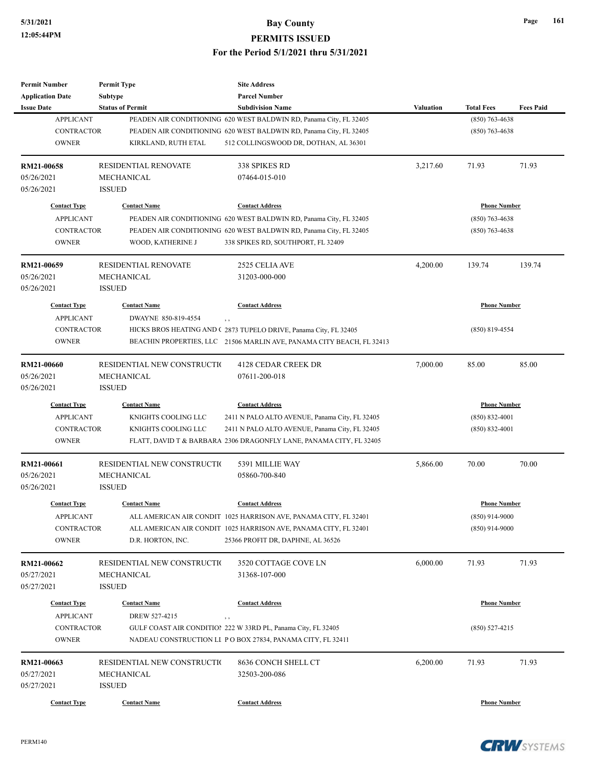| <b>Permit Number</b>     | <b>Permit Type</b>           | <b>Site Address</b>                                                   |                    |                     |                  |
|--------------------------|------------------------------|-----------------------------------------------------------------------|--------------------|---------------------|------------------|
| <b>Application Date</b>  | <b>Subtype</b>               | <b>Parcel Number</b>                                                  |                    |                     |                  |
| <b>Issue Date</b>        | <b>Status of Permit</b>      | <b>Subdivision Name</b>                                               | <b>Valuation</b>   | <b>Total Fees</b>   | <b>Fees Paid</b> |
| <b>APPLICANT</b>         |                              | PEADEN AIR CONDITIONING 620 WEST BALDWIN RD, Panama City, FL 32405    |                    | $(850)$ 763-4638    |                  |
| <b>CONTRACTOR</b>        |                              | PEADEN AIR CONDITIONING 620 WEST BALDWIN RD, Panama City, FL 32405    |                    | $(850)$ 763-4638    |                  |
| <b>OWNER</b>             | KIRKLAND, RUTH ETAL          | 512 COLLINGSWOOD DR, DOTHAN, AL 36301                                 |                    |                     |                  |
|                          |                              |                                                                       |                    |                     |                  |
| RM21-00658               | <b>RESIDENTIAL RENOVATE</b>  | 338 SPIKES RD                                                         | 3,217.60           | 71.93               | 71.93            |
| 05/26/2021               | <b>MECHANICAL</b>            | 07464-015-010                                                         |                    |                     |                  |
| 05/26/2021               | <b>ISSUED</b>                |                                                                       |                    |                     |                  |
| <b>Contact Type</b>      | <b>Contact Name</b>          | <b>Contact Address</b>                                                |                    | <b>Phone Number</b> |                  |
| <b>APPLICANT</b>         |                              | PEADEN AIR CONDITIONING 620 WEST BALDWIN RD, Panama City, FL 32405    |                    | $(850)$ 763-4638    |                  |
| <b>CONTRACTOR</b>        |                              | PEADEN AIR CONDITIONING 620 WEST BALDWIN RD, Panama City, FL 32405    |                    | $(850)$ 763-4638    |                  |
| <b>OWNER</b>             |                              |                                                                       |                    |                     |                  |
|                          | WOOD, KATHERINE J            | 338 SPIKES RD, SOUTHPORT, FL 32409                                    |                    |                     |                  |
| RM21-00659               | <b>RESIDENTIAL RENOVATE</b>  | 2525 CELIA AVE                                                        | 4,200.00           | 139.74              | 139.74           |
| 05/26/2021               | <b>MECHANICAL</b>            | 31203-000-000                                                         |                    |                     |                  |
| 05/26/2021               | <b>ISSUED</b>                |                                                                       |                    |                     |                  |
| <b>Contact Type</b>      | <b>Contact Name</b>          | <b>Contact Address</b>                                                |                    | <b>Phone Number</b> |                  |
|                          |                              |                                                                       |                    |                     |                  |
| <b>APPLICANT</b>         | DWAYNE 850-819-4554          | $, \, , \,$                                                           |                    |                     |                  |
| <b>CONTRACTOR</b>        |                              | HICKS BROS HEATING AND (2873 TUPELO DRIVE, Panama City, FL 32405      |                    | $(850) 819 - 4554$  |                  |
| <b>OWNER</b>             |                              | BEACHIN PROPERTIES, LLC 21506 MARLIN AVE, PANAMA CITY BEACH, FL 32413 |                    |                     |                  |
| RM21-00660               | RESIDENTIAL NEW CONSTRUCTIO  | <b>4128 CEDAR CREEK DR</b>                                            | 7,000.00           | 85.00               | 85.00            |
| 05/26/2021               | MECHANICAL                   | 07611-200-018                                                         |                    |                     |                  |
| 05/26/2021               | <b>ISSUED</b>                |                                                                       |                    |                     |                  |
| <b>Contact Type</b>      | <b>Contact Name</b>          | <b>Contact Address</b>                                                |                    | <b>Phone Number</b> |                  |
| <b>APPLICANT</b>         | KNIGHTS COOLING LLC          | 2411 N PALO ALTO AVENUE, Panama City, FL 32405                        | $(850) 832 - 4001$ |                     |                  |
|                          |                              |                                                                       |                    |                     |                  |
| <b>CONTRACTOR</b>        | KNIGHTS COOLING LLC          | 2411 N PALO ALTO AVENUE, Panama City, FL 32405                        |                    | $(850) 832 - 4001$  |                  |
| <b>OWNER</b>             |                              | FLATT, DAVID T & BARBARA 2306 DRAGONFLY LANE, PANAMA CITY, FL 32405   |                    |                     |                  |
| RM21-00661               | RESIDENTIAL NEW CONSTRUCTIO  | 5391 MILLIE WAY                                                       | 5,866.00           | 70.00               | 70.00            |
| 05/26/2021               | MECHANICAL                   | 05860-700-840                                                         |                    |                     |                  |
| 05/26/2021               | <b>ISSUED</b>                |                                                                       |                    |                     |                  |
|                          |                              |                                                                       |                    |                     |                  |
| <b>Contact Type</b>      | <b>Contact Name</b>          | <b>Contact Address</b>                                                |                    | <b>Phone Number</b> |                  |
| <b>APPLICANT</b>         |                              | ALL AMERICAN AIR CONDIT 1025 HARRISON AVE, PANAMA CITY, FL 32401      |                    | $(850)$ 914-9000    |                  |
| <b>CONTRACTOR</b>        |                              | ALL AMERICAN AIR CONDIT 1025 HARRISON AVE, PANAMA CITY, FL 32401      |                    | $(850)$ 914-9000    |                  |
| <b>OWNER</b>             | D.R. HORTON, INC.            | 25366 PROFIT DR, DAPHNE, AL 36526                                     |                    |                     |                  |
|                          | RESIDENTIAL NEW CONSTRUCTION | 3520 COTTAGE COVE LN                                                  | 6,000.00           | 71.93               | 71.93            |
| RM21-00662<br>05/27/2021 | MECHANICAL                   | 31368-107-000                                                         |                    |                     |                  |
|                          |                              |                                                                       |                    |                     |                  |
| 05/27/2021               | <b>ISSUED</b>                |                                                                       |                    |                     |                  |
| <b>Contact Type</b>      | <b>Contact Name</b>          | <b>Contact Address</b>                                                |                    | <b>Phone Number</b> |                  |
| <b>APPLICANT</b>         | DREW 527-4215                | $, \, , \,$                                                           |                    |                     |                  |
| <b>CONTRACTOR</b>        |                              | GULF COAST AIR CONDITION 222 W 33RD PL, Panama City, FL 32405         |                    | $(850) 527 - 4215$  |                  |
| <b>OWNER</b>             |                              | NADEAU CONSTRUCTION LI PO BOX 27834, PANAMA CITY, FL 32411            |                    |                     |                  |
| RM21-00663               | RESIDENTIAL NEW CONSTRUCTIO  | 8636 CONCH SHELL CT                                                   |                    | 71.93               | 71.93            |
|                          |                              |                                                                       | 6,200.00           |                     |                  |
| 05/27/2021               | MECHANICAL                   | 32503-200-086                                                         |                    |                     |                  |
| 05/27/2021               | <b>ISSUED</b>                |                                                                       |                    |                     |                  |
| <b>Contact Type</b>      | <b>Contact Name</b>          | <b>Contact Address</b>                                                |                    | <b>Phone Number</b> |                  |



**Page 161**

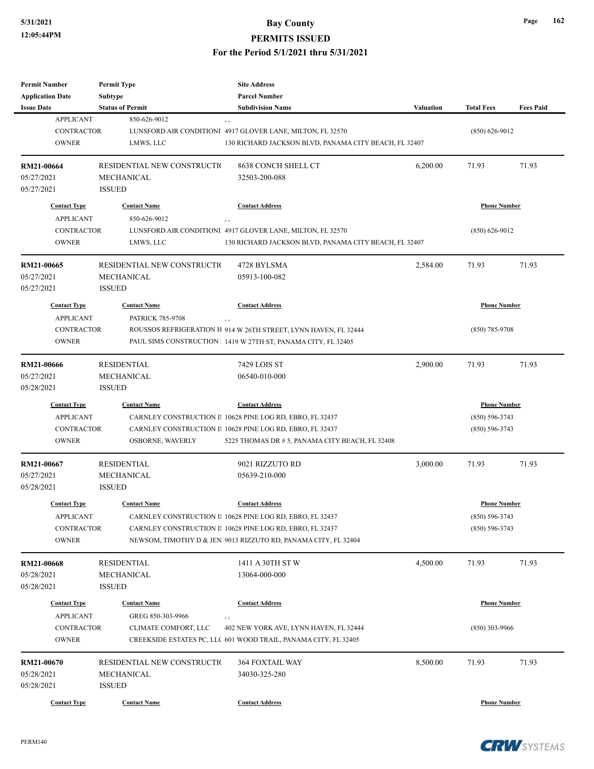# **5/31/2021 Bay County**

## **PERMITS ISSUED**

#### **For the Period 5/1/2021 thru 5/31/2021**

| <b>Permit Number</b><br><b>Application Date</b>                              | <b>Permit Type</b><br><b>Subtype</b>                       | <b>Site Address</b><br><b>Parcel Number</b>                                                                                                                                                                        |                  |                                                                 |                  |
|------------------------------------------------------------------------------|------------------------------------------------------------|--------------------------------------------------------------------------------------------------------------------------------------------------------------------------------------------------------------------|------------------|-----------------------------------------------------------------|------------------|
| <b>Issue Date</b>                                                            | <b>Status of Permit</b>                                    | <b>Subdivision Name</b>                                                                                                                                                                                            | <b>Valuation</b> | <b>Total Fees</b>                                               | <b>Fees Paid</b> |
| <b>APPLICANT</b><br><b>CONTRACTOR</b><br><b>OWNER</b>                        | 850-626-9012<br>LMWS, LLC                                  | $, \, ,$<br>LUNSFORD AIR CONDITIONI 4917 GLOVER LANE, MILTON, FL 32570<br>130 RICHARD JACKSON BLVD, PANAMA CITY BEACH, FL 32407                                                                                    |                  | $(850) 626 - 9012$                                              |                  |
| RM21-00664<br>05/27/2021<br>05/27/2021                                       | RESIDENTIAL NEW CONSTRUCTIO<br>MECHANICAL<br><b>ISSUED</b> | 8638 CONCH SHELL CT<br>32503-200-088                                                                                                                                                                               | 6,200.00         | 71.93                                                           | 71.93            |
| <b>Contact Type</b>                                                          | <b>Contact Name</b>                                        | <b>Contact Address</b>                                                                                                                                                                                             |                  | <b>Phone Number</b>                                             |                  |
| <b>APPLICANT</b><br><b>CONTRACTOR</b><br><b>OWNER</b>                        | 850-626-9012<br>LMWS, LLC                                  | $, \, ,$<br>LUNSFORD AIR CONDITIONI 4917 GLOVER LANE, MILTON, FL 32570<br>130 RICHARD JACKSON BLVD, PANAMA CITY BEACH, FL 32407                                                                                    |                  | $(850) 626 - 9012$                                              |                  |
| RM21-00665<br>05/27/2021<br>05/27/2021                                       | RESIDENTIAL NEW CONSTRUCTIO<br>MECHANICAL<br><b>ISSUED</b> | 4728 BYLSMA<br>05913-100-082                                                                                                                                                                                       | 2,584.00         | 71.93                                                           | 71.93            |
| <b>Contact Type</b><br><b>APPLICANT</b>                                      | <b>Contact Name</b><br><b>PATRICK 785-9708</b>             | <b>Contact Address</b><br>, ,                                                                                                                                                                                      |                  | <b>Phone Number</b>                                             |                  |
| <b>CONTRACTOR</b><br><b>OWNER</b>                                            |                                                            | ROUSSOS REFRIGERATION H 914 W 26TH STREET, LYNN HAVEN, FL 32444<br>PAUL SIMS CONSTRUCTION 1 1419 W 27TH ST, PANAMA CITY, FL 32405                                                                                  |                  | $(850)$ 785-9708                                                |                  |
| RM21-00666<br>05/27/2021<br>05/28/2021                                       | <b>RESIDENTIAL</b><br>MECHANICAL<br><b>ISSUED</b>          | 7429 LOIS ST<br>06540-010-000                                                                                                                                                                                      | 2,900.00         | 71.93                                                           | 71.93            |
| <b>Contact Type</b><br><b>APPLICANT</b><br><b>CONTRACTOR</b><br><b>OWNER</b> | <b>Contact Name</b><br>OSBORNE, WAVERLY                    | <b>Contact Address</b><br>CARNLEY CONSTRUCTION II 10628 PINE LOG RD, EBRO, FL 32437<br>CARNLEY CONSTRUCTION II 10628 PINE LOG RD, EBRO, FL 32437<br>5225 THOMAS DR # 5, PANAMA CITY BEACH, FL 32408                |                  | <b>Phone Number</b><br>$(850) 596 - 3743$<br>$(850) 596 - 3743$ |                  |
| RM21-00667<br>05/27/2021<br>05/28/2021                                       | <b>RESIDENTIAL</b><br>MECHANICAL<br><b>ISSUED</b>          | 9021 RIZZUTO RD<br>05639-210-000                                                                                                                                                                                   | 3,000.00         | 71.93                                                           | 71.93            |
| <b>Contact Type</b><br><b>APPLICANT</b><br><b>CONTRACTOR</b><br><b>OWNER</b> | <b>Contact Name</b>                                        | <b>Contact Address</b><br>CARNLEY CONSTRUCTION II 10628 PINE LOG RD, EBRO, FL 32437<br>CARNLEY CONSTRUCTION II 10628 PINE LOG RD, EBRO, FL 32437<br>NEWSOM, TIMOTHY D & JEN 9013 RIZZUTO RD, PANAMA CITY, FL 32404 |                  | <b>Phone Number</b><br>$(850) 596 - 3743$<br>$(850) 596 - 3743$ |                  |
| RM21-00668<br>05/28/2021<br>05/28/2021                                       | <b>RESIDENTIAL</b><br>MECHANICAL<br><b>ISSUED</b>          | 1411 A 30TH ST W<br>13064-000-000                                                                                                                                                                                  | 4,500.00         | 71.93                                                           | 71.93            |
| <b>Contact Type</b><br><b>APPLICANT</b>                                      | <b>Contact Name</b><br>GREG 850-303-9966                   | <b>Contact Address</b><br>$, \, ,$                                                                                                                                                                                 |                  | <b>Phone Number</b>                                             |                  |
| CONTRACTOR<br><b>OWNER</b>                                                   | CLIMATE COMFORT, LLC                                       | 402 NEW YORK AVE, LYNN HAVEN, FL 32444<br>CREEKSIDE ESTATES PC, LLC 601 WOOD TRAIL, PANAMA CITY, FL 32405                                                                                                          |                  | $(850)$ 303-9966                                                |                  |
| RM21-00670<br>05/28/2021<br>05/28/2021                                       | RESIDENTIAL NEW CONSTRUCTIO<br>MECHANICAL<br><b>ISSUED</b> | <b>364 FOXTAIL WAY</b><br>34030-325-280                                                                                                                                                                            | 8,500.00         | 71.93                                                           | 71.93            |
| <b>Contact Type</b>                                                          | <b>Contact Name</b>                                        | <b>Contact Address</b>                                                                                                                                                                                             |                  | <b>Phone Number</b>                                             |                  |

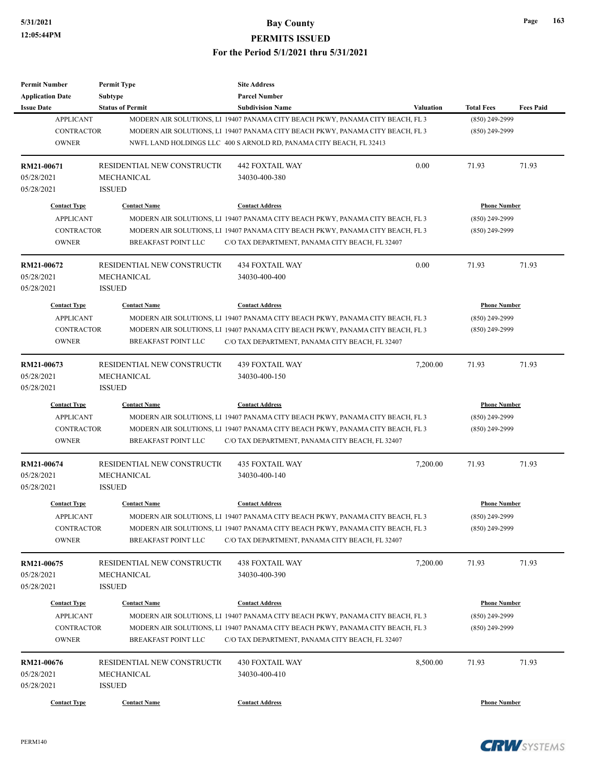| <b>Permit Number</b>                  | <b>Permit Type</b>                        | <b>Site Address</b>                                                                                       |                  |                                     |                  |
|---------------------------------------|-------------------------------------------|-----------------------------------------------------------------------------------------------------------|------------------|-------------------------------------|------------------|
| <b>Application Date</b>               | <b>Subtype</b>                            | <b>Parcel Number</b>                                                                                      |                  |                                     |                  |
| <b>Issue Date</b><br><b>APPLICANT</b> | <b>Status of Permit</b>                   | <b>Subdivision Name</b><br>MODERN AIR SOLUTIONS, L1 19407 PANAMA CITY BEACH PKWY, PANAMA CITY BEACH, FL 3 | <b>Valuation</b> | <b>Total Fees</b><br>(850) 249-2999 | <b>Fees Paid</b> |
| <b>CONTRACTOR</b>                     |                                           | MODERN AIR SOLUTIONS, LI 19407 PANAMA CITY BEACH PKWY, PANAMA CITY BEACH, FL 3                            |                  | $(850)$ 249-2999                    |                  |
| <b>OWNER</b>                          |                                           | NWFL LAND HOLDINGS LLC 400 S ARNOLD RD, PANAMA CITY BEACH, FL 32413                                       |                  |                                     |                  |
|                                       |                                           |                                                                                                           |                  |                                     |                  |
| RM21-00671                            | RESIDENTIAL NEW CONSTRUCTIO               | <b>442 FOXTAIL WAY</b>                                                                                    | 0.00             | 71.93                               | 71.93            |
| 05/28/2021                            | MECHANICAL                                | 34030-400-380                                                                                             |                  |                                     |                  |
| 05/28/2021                            | <b>ISSUED</b>                             |                                                                                                           |                  |                                     |                  |
| <b>Contact Type</b>                   | <b>Contact Name</b>                       | <b>Contact Address</b>                                                                                    |                  | <b>Phone Number</b>                 |                  |
| <b>APPLICANT</b>                      |                                           | MODERN AIR SOLUTIONS, L1 19407 PANAMA CITY BEACH PKWY, PANAMA CITY BEACH, FL 3                            |                  | (850) 249-2999                      |                  |
| <b>CONTRACTOR</b>                     |                                           | MODERN AIR SOLUTIONS, LI 19407 PANAMA CITY BEACH PKWY, PANAMA CITY BEACH, FL 3                            |                  | (850) 249-2999                      |                  |
| <b>OWNER</b>                          | <b>BREAKFAST POINT LLC</b>                | C/O TAX DEPARTMENT, PANAMA CITY BEACH, FL 32407                                                           |                  |                                     |                  |
|                                       |                                           |                                                                                                           |                  |                                     |                  |
| RM21-00672                            | RESIDENTIAL NEW CONSTRUCTION              | <b>434 FOXTAIL WAY</b>                                                                                    | 0.00             | 71.93                               | 71.93            |
| 05/28/2021                            | MECHANICAL                                | 34030-400-400                                                                                             |                  |                                     |                  |
| 05/28/2021                            | <b>ISSUED</b>                             |                                                                                                           |                  |                                     |                  |
| <b>Contact Type</b>                   | <b>Contact Name</b>                       | <b>Contact Address</b>                                                                                    |                  | <b>Phone Number</b>                 |                  |
| <b>APPLICANT</b>                      |                                           | MODERN AIR SOLUTIONS, LI 19407 PANAMA CITY BEACH PKWY, PANAMA CITY BEACH, FL 3                            |                  | (850) 249-2999                      |                  |
| <b>CONTRACTOR</b>                     |                                           | MODERN AIR SOLUTIONS, LI 19407 PANAMA CITY BEACH PKWY, PANAMA CITY BEACH, FL 3                            |                  | (850) 249-2999                      |                  |
| <b>OWNER</b>                          | <b>BREAKFAST POINT LLC</b>                | C/O TAX DEPARTMENT, PANAMA CITY BEACH, FL 32407                                                           |                  |                                     |                  |
|                                       |                                           |                                                                                                           |                  |                                     |                  |
| RM21-00673                            | RESIDENTIAL NEW CONSTRUCTION              | <b>439 FOXTAIL WAY</b>                                                                                    | 7,200.00         | 71.93                               | 71.93            |
| 05/28/2021                            | MECHANICAL                                | 34030-400-150                                                                                             |                  |                                     |                  |
| 05/28/2021                            | <b>ISSUED</b>                             |                                                                                                           |                  |                                     |                  |
| <b>Contact Type</b>                   | <b>Contact Name</b>                       | <b>Contact Address</b>                                                                                    |                  | <b>Phone Number</b>                 |                  |
| <b>APPLICANT</b>                      |                                           | MODERN AIR SOLUTIONS, LI 19407 PANAMA CITY BEACH PKWY, PANAMA CITY BEACH, FL 3                            |                  | (850) 249-2999                      |                  |
| <b>CONTRACTOR</b>                     |                                           | MODERN AIR SOLUTIONS, LI 19407 PANAMA CITY BEACH PKWY, PANAMA CITY BEACH, FL 3                            |                  | (850) 249-2999                      |                  |
| <b>OWNER</b>                          | <b>BREAKFAST POINT LLC</b>                | C/O TAX DEPARTMENT, PANAMA CITY BEACH, FL 32407                                                           |                  |                                     |                  |
|                                       |                                           |                                                                                                           |                  |                                     |                  |
| RM21-00674                            | RESIDENTIAL NEW CONSTRUCTIO               | <b>435 FOXTAIL WAY</b>                                                                                    | 7,200.00         | 71.93                               | 71.93            |
| 05/28/2021                            | MECHANICAL                                | 34030-400-140                                                                                             |                  |                                     |                  |
| 05/28/2021                            | <b>ISSUED</b>                             |                                                                                                           |                  |                                     |                  |
| <b>Contact Type</b>                   | <b>Contact Name</b>                       | <b>Contact Address</b>                                                                                    |                  | <b>Phone Number</b>                 |                  |
| <b>APPLICANT</b>                      |                                           | MODERN AIR SOLUTIONS, LI 19407 PANAMA CITY BEACH PKWY, PANAMA CITY BEACH, FL 3                            |                  | (850) 249-2999                      |                  |
| CONTRACTOR                            |                                           | MODERN AIR SOLUTIONS, L1 19407 PANAMA CITY BEACH PKWY, PANAMA CITY BEACH, FL 3                            |                  | (850) 249-2999                      |                  |
| <b>OWNER</b>                          | <b>BREAKFAST POINT LLC</b>                | C/O TAX DEPARTMENT, PANAMA CITY BEACH, FL 32407                                                           |                  |                                     |                  |
|                                       |                                           |                                                                                                           |                  |                                     |                  |
| RM21-00675                            | RESIDENTIAL NEW CONSTRUCTIO<br>MECHANICAL | <b>438 FOXTAIL WAY</b><br>34030-400-390                                                                   | 7,200.00         | 71.93                               | 71.93            |
| 05/28/2021                            |                                           |                                                                                                           |                  |                                     |                  |
| 05/28/2021                            | <b>ISSUED</b>                             |                                                                                                           |                  |                                     |                  |
| <b>Contact Type</b>                   | <b>Contact Name</b>                       | <b>Contact Address</b>                                                                                    |                  | <b>Phone Number</b>                 |                  |
| <b>APPLICANT</b>                      |                                           | MODERN AIR SOLUTIONS, LI 19407 PANAMA CITY BEACH PKWY, PANAMA CITY BEACH, FL 3                            |                  | (850) 249-2999                      |                  |
| CONTRACTOR                            |                                           | MODERN AIR SOLUTIONS, LI 19407 PANAMA CITY BEACH PKWY, PANAMA CITY BEACH, FL 3                            |                  | (850) 249-2999                      |                  |
| <b>OWNER</b>                          | BREAKFAST POINT LLC                       | C/O TAX DEPARTMENT, PANAMA CITY BEACH, FL 32407                                                           |                  |                                     |                  |
|                                       |                                           |                                                                                                           |                  |                                     |                  |
| RM21-00676                            | RESIDENTIAL NEW CONSTRUCTI(               | <b>430 FOXTAIL WAY</b>                                                                                    | 8,500.00         | 71.93                               | 71.93            |
| 05/28/2021                            | MECHANICAL                                | 34030-400-410                                                                                             |                  |                                     |                  |
| 05/28/2021                            | <b>ISSUED</b>                             |                                                                                                           |                  |                                     |                  |
| <b>Contact Type</b>                   | <b>Contact Name</b>                       | <b>Contact Address</b>                                                                                    |                  | <b>Phone Number</b>                 |                  |

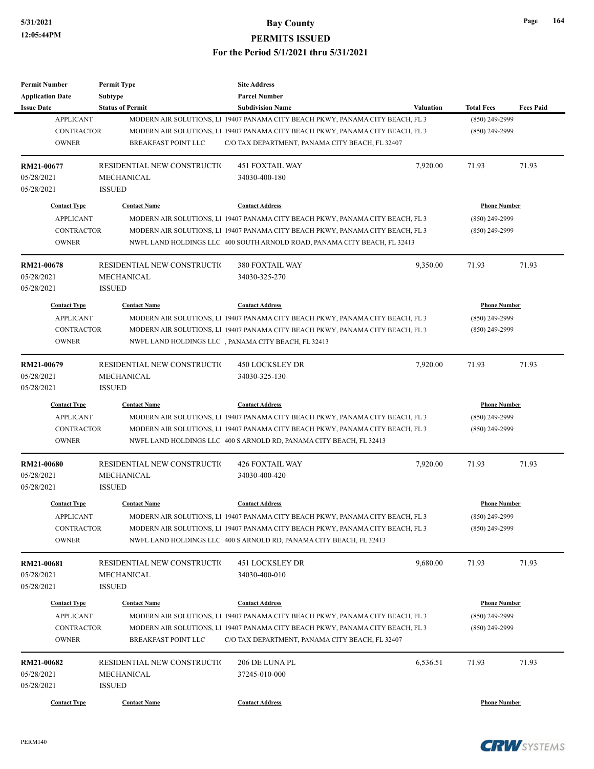| <b>Permit Number</b>                         | <b>Permit Type</b>                 | <b>Site Address</b><br><b>Parcel Number</b>                                    |                  |                     |                  |
|----------------------------------------------|------------------------------------|--------------------------------------------------------------------------------|------------------|---------------------|------------------|
| <b>Application Date</b><br><b>Issue Date</b> | Subtype<br><b>Status of Permit</b> | <b>Subdivision Name</b>                                                        |                  | <b>Total Fees</b>   | <b>Fees Paid</b> |
| <b>APPLICANT</b>                             |                                    | MODERN AIR SOLUTIONS, L1 19407 PANAMA CITY BEACH PKWY, PANAMA CITY BEACH, FL 3 | <b>Valuation</b> | (850) 249-2999      |                  |
| <b>CONTRACTOR</b>                            |                                    | MODERN AIR SOLUTIONS, L1 19407 PANAMA CITY BEACH PKWY, PANAMA CITY BEACH, FL 3 |                  | $(850)$ 249-2999    |                  |
| <b>OWNER</b>                                 | <b>BREAKFAST POINT LLC</b>         | C/O TAX DEPARTMENT, PANAMA CITY BEACH, FL 32407                                |                  |                     |                  |
|                                              |                                    |                                                                                |                  |                     |                  |
| RM21-00677                                   | RESIDENTIAL NEW CONSTRUCTIO        | <b>451 FOXTAIL WAY</b>                                                         | 7,920.00         | 71.93               | 71.93            |
| 05/28/2021                                   | MECHANICAL                         | 34030-400-180                                                                  |                  |                     |                  |
| 05/28/2021                                   | <b>ISSUED</b>                      |                                                                                |                  |                     |                  |
| <b>Contact Type</b>                          | <b>Contact Name</b>                | <b>Contact Address</b>                                                         |                  | <b>Phone Number</b> |                  |
| <b>APPLICANT</b>                             |                                    | MODERN AIR SOLUTIONS, LI 19407 PANAMA CITY BEACH PKWY, PANAMA CITY BEACH, FL 3 |                  | $(850)$ 249-2999    |                  |
| <b>CONTRACTOR</b>                            |                                    | MODERN AIR SOLUTIONS, LI 19407 PANAMA CITY BEACH PKWY, PANAMA CITY BEACH, FL 3 |                  | $(850)$ 249-2999    |                  |
| <b>OWNER</b>                                 |                                    | NWFL LAND HOLDINGS LLC 400 SOUTH ARNOLD ROAD, PANAMA CITY BEACH, FL 32413      |                  |                     |                  |
| RM21-00678                                   | RESIDENTIAL NEW CONSTRUCTIO        | <b>380 FOXTAIL WAY</b>                                                         | 9,350.00         | 71.93               | 71.93            |
| 05/28/2021                                   |                                    |                                                                                |                  |                     |                  |
| 05/28/2021                                   | MECHANICAL<br><b>ISSUED</b>        | 34030-325-270                                                                  |                  |                     |                  |
| <b>Contact Type</b>                          | <b>Contact Name</b>                | <b>Contact Address</b>                                                         |                  | <b>Phone Number</b> |                  |
|                                              |                                    |                                                                                |                  |                     |                  |
| <b>APPLICANT</b>                             |                                    | MODERN AIR SOLUTIONS, LI 19407 PANAMA CITY BEACH PKWY, PANAMA CITY BEACH, FL 3 |                  | $(850)$ 249-2999    |                  |
| <b>CONTRACTOR</b>                            |                                    | MODERN AIR SOLUTIONS, L1 19407 PANAMA CITY BEACH PKWY, PANAMA CITY BEACH, FL 3 |                  | $(850)$ 249-2999    |                  |
| <b>OWNER</b>                                 |                                    | NWFL LAND HOLDINGS LLC, PANAMA CITY BEACH, FL 32413                            |                  |                     |                  |
| RM21-00679                                   | RESIDENTIAL NEW CONSTRUCTIO        | 450 LOCKSLEY DR                                                                | 7,920.00         | 71.93               | 71.93            |
| 05/28/2021                                   | MECHANICAL                         | 34030-325-130                                                                  |                  |                     |                  |
| 05/28/2021                                   | <b>ISSUED</b>                      |                                                                                |                  |                     |                  |
| <b>Contact Type</b>                          | <b>Contact Name</b>                | <b>Contact Address</b>                                                         |                  | <b>Phone Number</b> |                  |
| <b>APPLICANT</b>                             |                                    | MODERN AIR SOLUTIONS, LI 19407 PANAMA CITY BEACH PKWY, PANAMA CITY BEACH, FL 3 |                  | $(850)$ 249-2999    |                  |
| <b>CONTRACTOR</b>                            |                                    | MODERN AIR SOLUTIONS, LI 19407 PANAMA CITY BEACH PKWY, PANAMA CITY BEACH, FL 3 |                  | $(850)$ 249-2999    |                  |
| <b>OWNER</b>                                 |                                    | NWFL LAND HOLDINGS LLC 400 S ARNOLD RD, PANAMA CITY BEACH, FL 32413            |                  |                     |                  |
| <b>RM21-00680</b>                            | RESIDENTIAL NEW CONSTRUCTIO        | <b>426 FOXTAIL WAY</b>                                                         | 7,920.00         | 71.93               | 71.93            |
| 05/28/2021                                   | <b>MECHANICAL</b>                  | 34030-400-420                                                                  |                  |                     |                  |
| 05/28/2021                                   | <b>ISSUED</b>                      |                                                                                |                  |                     |                  |
|                                              |                                    |                                                                                |                  |                     |                  |
| <b>Contact Type</b>                          | <b>Contact Name</b>                | <b>Contact Address</b>                                                         |                  | <b>Phone Number</b> |                  |
| <b>APPLICANT</b>                             |                                    | MODERN AIR SOLUTIONS, L1 19407 PANAMA CITY BEACH PKWY, PANAMA CITY BEACH, FL 3 |                  | $(850)$ 249-2999    |                  |
| <b>CONTRACTOR</b>                            |                                    | MODERN AIR SOLUTIONS, LI 19407 PANAMA CITY BEACH PKWY, PANAMA CITY BEACH, FL 3 |                  | $(850)$ 249-2999    |                  |
| <b>OWNER</b>                                 |                                    | NWFL LAND HOLDINGS LLC 400 S ARNOLD RD, PANAMA CITY BEACH, FL 32413            |                  |                     |                  |
| RM21-00681                                   | RESIDENTIAL NEW CONSTRUCTION       | 451 LOCKSLEY DR                                                                | 9,680.00         | 71.93               | 71.93            |
| 05/28/2021                                   | MECHANICAL                         | 34030-400-010                                                                  |                  |                     |                  |
| 05/28/2021                                   | <b>ISSUED</b>                      |                                                                                |                  |                     |                  |
|                                              | <b>Contact Name</b>                | <b>Contact Address</b>                                                         |                  |                     |                  |
| <b>Contact Type</b>                          |                                    |                                                                                |                  | <b>Phone Number</b> |                  |
| <b>APPLICANT</b>                             |                                    | MODERN AIR SOLUTIONS, LI 19407 PANAMA CITY BEACH PKWY, PANAMA CITY BEACH, FL 3 |                  | $(850)$ 249-2999    |                  |
| CONTRACTOR                                   |                                    | MODERN AIR SOLUTIONS, LI 19407 PANAMA CITY BEACH PKWY, PANAMA CITY BEACH, FL 3 |                  | $(850)$ 249-2999    |                  |
| <b>OWNER</b>                                 | <b>BREAKFAST POINT LLC</b>         | C/O TAX DEPARTMENT, PANAMA CITY BEACH, FL 32407                                |                  |                     |                  |
| RM21-00682                                   | RESIDENTIAL NEW CONSTRUCTION       | 206 DE LUNA PL                                                                 | 6,536.51         | 71.93               | 71.93            |
| 05/28/2021                                   | MECHANICAL                         | 37245-010-000                                                                  |                  |                     |                  |
| 05/28/2021                                   | <b>ISSUED</b>                      |                                                                                |                  |                     |                  |
| <b>Contact Type</b>                          | <b>Contact Name</b>                | <b>Contact Address</b>                                                         |                  | <b>Phone Number</b> |                  |
|                                              |                                    |                                                                                |                  |                     |                  |

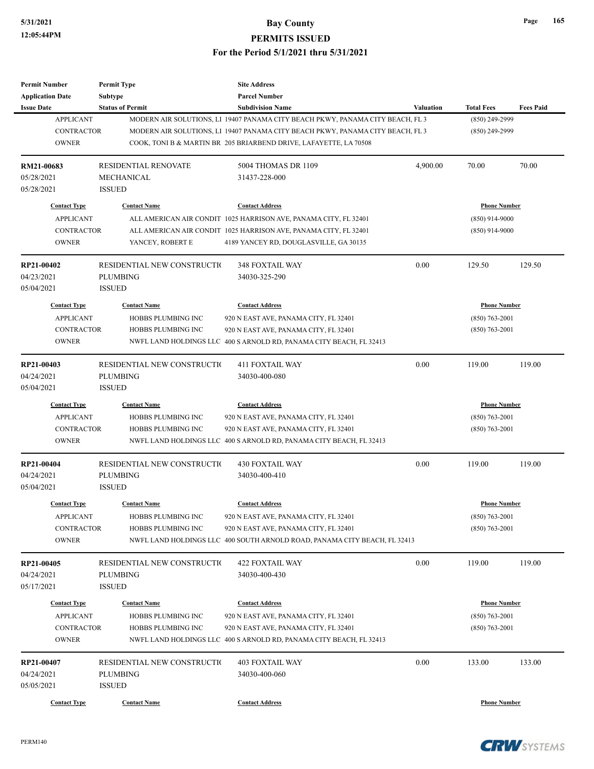| <b>Permit Number</b>    | <b>Permit Type</b>           | <b>Site Address</b>                                                            |                     |                     |                  |
|-------------------------|------------------------------|--------------------------------------------------------------------------------|---------------------|---------------------|------------------|
| <b>Application Date</b> | <b>Subtype</b>               | <b>Parcel Number</b>                                                           |                     |                     |                  |
| <b>Issue Date</b>       | <b>Status of Permit</b>      | <b>Subdivision Name</b>                                                        | <b>Valuation</b>    | <b>Total Fees</b>   | <b>Fees Paid</b> |
| <b>APPLICANT</b>        |                              | MODERN AIR SOLUTIONS, LI 19407 PANAMA CITY BEACH PKWY, PANAMA CITY BEACH, FL 3 |                     | (850) 249-2999      |                  |
| <b>CONTRACTOR</b>       |                              | MODERN AIR SOLUTIONS, LI 19407 PANAMA CITY BEACH PKWY, PANAMA CITY BEACH, FL 3 |                     | $(850)$ 249-2999    |                  |
| <b>OWNER</b>            |                              | COOK, TONI B & MARTIN BR 205 BRIARBEND DRIVE, LAFAYETTE, LA 70508              |                     |                     |                  |
| RM21-00683              | <b>RESIDENTIAL RENOVATE</b>  | 5004 THOMAS DR 1109                                                            | 4,900.00            | 70.00               | 70.00            |
| 05/28/2021              | <b>MECHANICAL</b>            | 31437-228-000                                                                  |                     |                     |                  |
| 05/28/2021              | <b>ISSUED</b>                |                                                                                |                     |                     |                  |
| <b>Contact Type</b>     | <b>Contact Name</b>          | <b>Contact Address</b>                                                         |                     | <b>Phone Number</b> |                  |
| <b>APPLICANT</b>        |                              | ALL AMERICAN AIR CONDIT 1025 HARRISON AVE, PANAMA CITY, FL 32401               |                     | $(850)$ 914-9000    |                  |
| <b>CONTRACTOR</b>       |                              | ALL AMERICAN AIR CONDIT 1025 HARRISON AVE, PANAMA CITY, FL 32401               |                     | $(850)$ 914-9000    |                  |
| <b>OWNER</b>            | YANCEY, ROBERT E             | 4189 YANCEY RD, DOUGLASVILLE, GA 30135                                         |                     |                     |                  |
| RP21-00402              | RESIDENTIAL NEW CONSTRUCTIO  | 348 FOXTAIL WAY                                                                | 0.00                | 129.50              | 129.50           |
| 04/23/2021              | <b>PLUMBING</b>              | 34030-325-290                                                                  |                     |                     |                  |
| 05/04/2021              | <b>ISSUED</b>                |                                                                                |                     |                     |                  |
| <b>Contact Type</b>     | <b>Contact Name</b>          | <b>Contact Address</b>                                                         |                     | <b>Phone Number</b> |                  |
| <b>APPLICANT</b>        | HOBBS PLUMBING INC           | 920 N EAST AVE, PANAMA CITY, FL 32401                                          |                     | $(850)$ 763-2001    |                  |
| <b>CONTRACTOR</b>       | HOBBS PLUMBING INC           | 920 N EAST AVE, PANAMA CITY, FL 32401                                          |                     | $(850)$ 763-2001    |                  |
| <b>OWNER</b>            |                              | NWFL LAND HOLDINGS LLC 400 S ARNOLD RD, PANAMA CITY BEACH, FL 32413            |                     |                     |                  |
|                         |                              |                                                                                |                     |                     |                  |
| RP21-00403              | RESIDENTIAL NEW CONSTRUCTIO  | <b>411 FOXTAIL WAY</b>                                                         | 0.00                | 119.00              | 119.00           |
| 04/24/2021              | <b>PLUMBING</b>              | 34030-400-080                                                                  |                     |                     |                  |
| 05/04/2021              | <b>ISSUED</b>                |                                                                                |                     |                     |                  |
| <b>Contact Type</b>     | <b>Contact Name</b>          | <b>Contact Address</b>                                                         | <b>Phone Number</b> |                     |                  |
| <b>APPLICANT</b>        | HOBBS PLUMBING INC           | 920 N EAST AVE, PANAMA CITY, FL 32401                                          |                     | $(850)$ 763-2001    |                  |
| <b>CONTRACTOR</b>       | HOBBS PLUMBING INC           | 920 N EAST AVE, PANAMA CITY, FL 32401                                          |                     | $(850) 763 - 2001$  |                  |
| <b>OWNER</b>            |                              | NWFL LAND HOLDINGS LLC 400 S ARNOLD RD, PANAMA CITY BEACH, FL 32413            |                     |                     |                  |
| RP21-00404              | RESIDENTIAL NEW CONSTRUCTION | <b>430 FOXTAIL WAY</b>                                                         | 0.00                | 119.00              | 119.00           |
| 04/24/2021              | <b>PLUMBING</b>              | 34030-400-410                                                                  |                     |                     |                  |
| 05/04/2021              | <b>ISSUED</b>                |                                                                                |                     |                     |                  |
| <b>Contact Type</b>     | <b>Contact Name</b>          | <b>Contact Address</b>                                                         |                     | <b>Phone Number</b> |                  |
| <b>APPLICANT</b>        | HOBBS PLUMBING INC           | 920 N EAST AVE, PANAMA CITY, FL 32401                                          |                     | $(850) 763 - 2001$  |                  |
| CONTRACTOR              | HOBBS PLUMBING INC           | 920 N EAST AVE, PANAMA CITY, FL 32401                                          |                     | $(850)$ 763-2001    |                  |
| <b>OWNER</b>            |                              | NWFL LAND HOLDINGS LLC 400 SOUTH ARNOLD ROAD, PANAMA CITY BEACH, FL 32413      |                     |                     |                  |
| RP21-00405              | RESIDENTIAL NEW CONSTRUCTIO  | <b>422 FOXTAIL WAY</b>                                                         | 0.00                | 119.00              | 119.00           |
| 04/24/2021              | <b>PLUMBING</b>              | 34030-400-430                                                                  |                     |                     |                  |
| 05/17/2021              | <b>ISSUED</b>                |                                                                                |                     |                     |                  |
| <b>Contact Type</b>     | <b>Contact Name</b>          | <b>Contact Address</b>                                                         |                     | <b>Phone Number</b> |                  |
| <b>APPLICANT</b>        | HOBBS PLUMBING INC           | 920 N EAST AVE, PANAMA CITY, FL 32401                                          |                     | $(850)$ 763-2001    |                  |
| CONTRACTOR              | HOBBS PLUMBING INC           | 920 N EAST AVE, PANAMA CITY, FL 32401                                          |                     | $(850)$ 763-2001    |                  |
| <b>OWNER</b>            |                              | NWFL LAND HOLDINGS LLC 400 S ARNOLD RD, PANAMA CITY BEACH, FL 32413            |                     |                     |                  |
| RP21-00407              | RESIDENTIAL NEW CONSTRUCTIO  | 403 FOXTAIL WAY                                                                | 0.00                | 133.00              | 133.00           |
| 04/24/2021              | <b>PLUMBING</b>              | 34030-400-060                                                                  |                     |                     |                  |
| 05/05/2021              | <b>ISSUED</b>                |                                                                                |                     |                     |                  |
|                         |                              |                                                                                |                     |                     |                  |
| <b>Contact Type</b>     | <b>Contact Name</b>          | <b>Contact Address</b>                                                         |                     | <b>Phone Number</b> |                  |



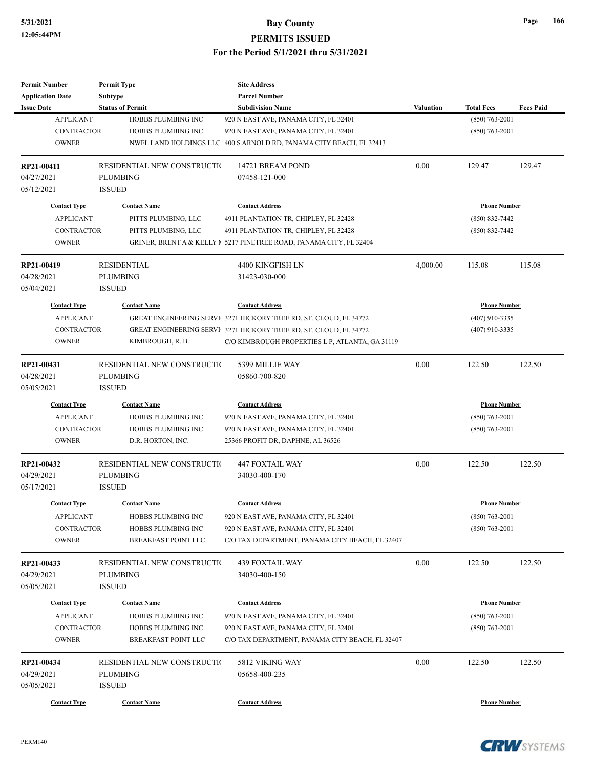| <b>Permit Number</b>    | <b>Permit Type</b>                        | <b>Site Address</b>                                                   |                  |                                         |                  |
|-------------------------|-------------------------------------------|-----------------------------------------------------------------------|------------------|-----------------------------------------|------------------|
| <b>Application Date</b> | Subtype                                   | <b>Parcel Number</b>                                                  |                  |                                         |                  |
| <b>Issue Date</b>       | <b>Status of Permit</b>                   | <b>Subdivision Name</b>                                               | <b>Valuation</b> | <b>Total Fees</b>                       | <b>Fees Paid</b> |
| <b>APPLICANT</b>        | HOBBS PLUMBING INC                        | 920 N EAST AVE, PANAMA CITY, FL 32401                                 |                  | $(850) 763 - 2001$                      |                  |
| <b>CONTRACTOR</b>       | HOBBS PLUMBING INC                        | 920 N EAST AVE, PANAMA CITY, FL 32401                                 |                  | $(850)$ 763-2001                        |                  |
| <b>OWNER</b>            |                                           | NWFL LAND HOLDINGS LLC 400 S ARNOLD RD, PANAMA CITY BEACH, FL 32413   |                  |                                         |                  |
|                         |                                           |                                                                       |                  |                                         |                  |
| RP21-00411              | RESIDENTIAL NEW CONSTRUCTIO               | 14721 BREAM POND                                                      | 0.00             | 129.47                                  | 129.47           |
| 04/27/2021              | <b>PLUMBING</b>                           | 07458-121-000                                                         |                  |                                         |                  |
| 05/12/2021              | <b>ISSUED</b>                             |                                                                       |                  |                                         |                  |
| <b>Contact Type</b>     | <b>Contact Name</b>                       | <b>Contact Address</b>                                                |                  | <b>Phone Number</b>                     |                  |
|                         |                                           |                                                                       |                  |                                         |                  |
| <b>APPLICANT</b>        | PITTS PLUMBING, LLC                       | 4911 PLANTATION TR, CHIPLEY, FL 32428                                 |                  | $(850) 832 - 7442$                      |                  |
| <b>CONTRACTOR</b>       | PITTS PLUMBING, LLC                       | 4911 PLANTATION TR, CHIPLEY, FL 32428                                 |                  | $(850) 832 - 7442$                      |                  |
| <b>OWNER</b>            |                                           | GRINER, BRENT A & KELLY $N$ 5217 PINETREE ROAD, PANAMA CITY, FL 32404 |                  |                                         |                  |
| RP21-00419              | <b>RESIDENTIAL</b>                        | 4400 KINGFISH LN                                                      | 4,000.00         | 115.08                                  | 115.08           |
| 04/28/2021              | <b>PLUMBING</b>                           | 31423-030-000                                                         |                  |                                         |                  |
| 05/04/2021              | <b>ISSUED</b>                             |                                                                       |                  |                                         |                  |
| <b>Contact Type</b>     | <b>Contact Name</b>                       | <b>Contact Address</b>                                                |                  | <b>Phone Number</b>                     |                  |
|                         |                                           | GREAT ENGINEERING SERVI 3271 HICKORY TREE RD, ST. CLOUD, FL 34772     |                  | $(407)$ 910-3335                        |                  |
| <b>APPLICANT</b>        |                                           |                                                                       |                  |                                         |                  |
| <b>CONTRACTOR</b>       |                                           | GREAT ENGINEERING SERVI 3271 HICKORY TREE RD, ST. CLOUD, FL 34772     |                  | $(407)$ 910-3335                        |                  |
| <b>OWNER</b>            | KIMBROUGH, R. B.                          | C/O KIMBROUGH PROPERTIES L P, ATLANTA, GA 31119                       |                  |                                         |                  |
| RP21-00431              | RESIDENTIAL NEW CONSTRUCTIO               | 5399 MILLIE WAY                                                       | 0.00             | 122.50                                  | 122.50           |
| 04/28/2021              | <b>PLUMBING</b>                           | 05860-700-820                                                         |                  |                                         |                  |
| 05/05/2021              | <b>ISSUED</b>                             |                                                                       |                  |                                         |                  |
| <b>Contact Type</b>     | <b>Contact Name</b>                       | <b>Contact Address</b>                                                |                  | <b>Phone Number</b>                     |                  |
| <b>APPLICANT</b>        | HOBBS PLUMBING INC                        | 920 N EAST AVE, PANAMA CITY, FL 32401                                 |                  | $(850)$ 763-2001                        |                  |
| <b>CONTRACTOR</b>       | HOBBS PLUMBING INC                        | 920 N EAST AVE, PANAMA CITY, FL 32401                                 |                  | $(850)$ 763-2001                        |                  |
| <b>OWNER</b>            |                                           |                                                                       |                  |                                         |                  |
|                         | D.R. HORTON, INC.                         | 25366 PROFIT DR, DAPHNE, AL 36526                                     |                  |                                         |                  |
| RP21-00432              | RESIDENTIAL NEW CONSTRUCTIO               | <b>447 FOXTAIL WAY</b>                                                | 0.00             | 122.50                                  | 122.50           |
| 04/29/2021              | <b>PLUMBING</b>                           | 34030-400-170                                                         |                  |                                         |                  |
| 05/17/2021              | <b>ISSUED</b>                             |                                                                       |                  |                                         |                  |
| <b>Contact Type</b>     | <b>Contact Name</b>                       | <b>Contact Address</b>                                                |                  | <b>Phone Number</b>                     |                  |
|                         |                                           |                                                                       |                  |                                         |                  |
| <b>APPLICANT</b>        | HOBBS PLUMBING INC                        | 920 N EAST AVE, PANAMA CITY, FL 32401                                 |                  | $(850)$ 763-2001                        |                  |
| CONTRACTOR              | HOBBS PLUMBING INC                        | 920 N EAST AVE, PANAMA CITY, FL 32401                                 |                  | $(850)$ 763-2001                        |                  |
| <b>OWNER</b>            | BREAKFAST POINT LLC                       | C/O TAX DEPARTMENT, PANAMA CITY BEACH, FL 32407                       |                  |                                         |                  |
| RP21-00433              | RESIDENTIAL NEW CONSTRUCTIO               | <b>439 FOXTAIL WAY</b>                                                | 0.00             | 122.50                                  | 122.50           |
| 04/29/2021              | <b>PLUMBING</b>                           | 34030-400-150                                                         |                  |                                         |                  |
| 05/05/2021              | <b>ISSUED</b>                             |                                                                       |                  |                                         |                  |
| <b>Contact Type</b>     |                                           |                                                                       |                  |                                         |                  |
| <b>APPLICANT</b>        | <b>Contact Name</b><br>HOBBS PLUMBING INC | <b>Contact Address</b><br>920 N EAST AVE, PANAMA CITY, FL 32401       |                  | <b>Phone Number</b><br>$(850)$ 763-2001 |                  |
|                         |                                           |                                                                       |                  |                                         |                  |
| CONTRACTOR              | HOBBS PLUMBING INC                        | 920 N EAST AVE, PANAMA CITY, FL 32401                                 |                  | $(850)$ 763-2001                        |                  |
| <b>OWNER</b>            | BREAKFAST POINT LLC                       | C/O TAX DEPARTMENT, PANAMA CITY BEACH, FL 32407                       |                  |                                         |                  |
| RP21-00434              | RESIDENTIAL NEW CONSTRUCTIO               | 5812 VIKING WAY                                                       | 0.00             | 122.50                                  | 122.50           |
| 04/29/2021              | PLUMBING                                  | 05658-400-235                                                         |                  |                                         |                  |
| 05/05/2021              | <b>ISSUED</b>                             |                                                                       |                  |                                         |                  |
|                         |                                           |                                                                       |                  |                                         |                  |
| <b>Contact Type</b>     | <b>Contact Name</b>                       | <b>Contact Address</b>                                                |                  | <b>Phone Number</b>                     |                  |



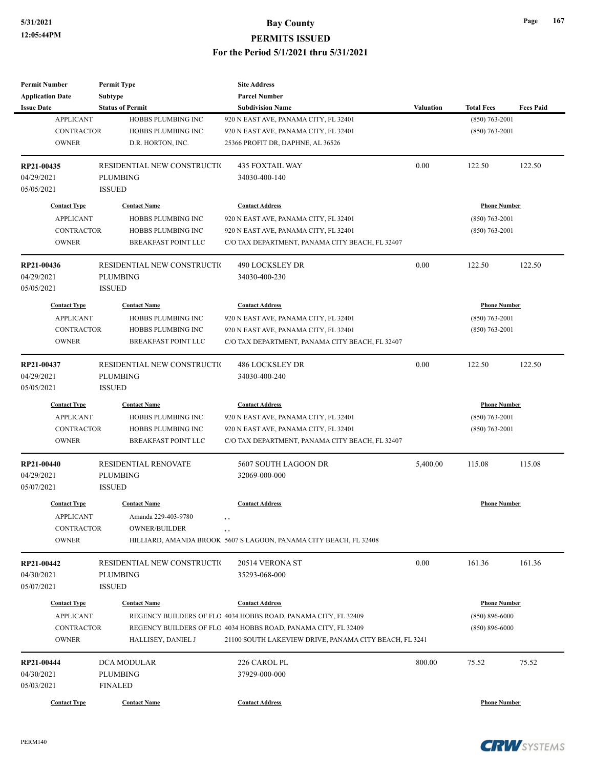| <b>Permit Number</b>       | <b>Permit Type</b>                | <b>Site Address</b>                                               |                  |                     |                  |
|----------------------------|-----------------------------------|-------------------------------------------------------------------|------------------|---------------------|------------------|
| <b>Application Date</b>    | Subtype                           | <b>Parcel Number</b>                                              |                  |                     |                  |
| <b>Issue Date</b>          | <b>Status of Permit</b>           | <b>Subdivision Name</b>                                           | <b>Valuation</b> | <b>Total Fees</b>   | <b>Fees Paid</b> |
| <b>APPLICANT</b>           | HOBBS PLUMBING INC                | 920 N EAST AVE, PANAMA CITY, FL 32401                             |                  | $(850)$ 763-2001    |                  |
| <b>CONTRACTOR</b>          | HOBBS PLUMBING INC                | 920 N EAST AVE, PANAMA CITY, FL 32401                             |                  | $(850)$ 763-2001    |                  |
| <b>OWNER</b>               | D.R. HORTON, INC.                 | 25366 PROFIT DR, DAPHNE, AL 36526                                 |                  |                     |                  |
| RP21-00435                 | RESIDENTIAL NEW CONSTRUCTIO       | <b>435 FOXTAIL WAY</b>                                            | 0.00             | 122.50              | 122.50           |
| 04/29/2021                 | <b>PLUMBING</b>                   | 34030-400-140                                                     |                  |                     |                  |
| 05/05/2021                 | <b>ISSUED</b>                     |                                                                   |                  |                     |                  |
| <b>Contact Type</b>        | <b>Contact Name</b>               | <b>Contact Address</b>                                            |                  | <b>Phone Number</b> |                  |
| <b>APPLICANT</b>           | HOBBS PLUMBING INC                | 920 N EAST AVE, PANAMA CITY, FL 32401                             |                  | $(850) 763 - 2001$  |                  |
| <b>CONTRACTOR</b>          | HOBBS PLUMBING INC                | 920 N EAST AVE, PANAMA CITY, FL 32401                             |                  | $(850)$ 763-2001    |                  |
| <b>OWNER</b>               | <b>BREAKFAST POINT LLC</b>        | C/O TAX DEPARTMENT, PANAMA CITY BEACH, FL 32407                   |                  |                     |                  |
| RP21-00436                 | RESIDENTIAL NEW CONSTRUCTIO       | 490 LOCKSLEY DR                                                   | 0.00             | 122.50              | 122.50           |
| 04/29/2021                 | <b>PLUMBING</b>                   | 34030-400-230                                                     |                  |                     |                  |
| 05/05/2021                 | <b>ISSUED</b>                     |                                                                   |                  |                     |                  |
| <b>Contact Type</b>        | <b>Contact Name</b>               | <b>Contact Address</b>                                            |                  | <b>Phone Number</b> |                  |
| <b>APPLICANT</b>           | HOBBS PLUMBING INC                | 920 N EAST AVE, PANAMA CITY, FL 32401                             |                  | $(850)$ 763-2001    |                  |
| CONTRACTOR                 | HOBBS PLUMBING INC                | 920 N EAST AVE, PANAMA CITY, FL 32401                             |                  | $(850)$ 763-2001    |                  |
| <b>OWNER</b>               | BREAKFAST POINT LLC               | C/O TAX DEPARTMENT, PANAMA CITY BEACH, FL 32407                   |                  |                     |                  |
| RP21-00437                 | RESIDENTIAL NEW CONSTRUCTIO       | <b>486 LOCKSLEY DR</b>                                            | 0.00             | 122.50              | 122.50           |
| 04/29/2021                 | <b>PLUMBING</b>                   | 34030-400-240                                                     |                  |                     |                  |
| 05/05/2021                 | <b>ISSUED</b>                     |                                                                   |                  |                     |                  |
| <b>Contact Type</b>        | <b>Contact Name</b>               | <b>Contact Address</b>                                            |                  | <b>Phone Number</b> |                  |
| <b>APPLICANT</b>           | HOBBS PLUMBING INC                | 920 N EAST AVE, PANAMA CITY, FL 32401                             |                  | $(850)$ 763-2001    |                  |
| <b>CONTRACTOR</b>          | HOBBS PLUMBING INC                | 920 N EAST AVE, PANAMA CITY, FL 32401                             |                  | $(850)$ 763-2001    |                  |
| <b>OWNER</b>               | BREAKFAST POINT LLC               | C/O TAX DEPARTMENT, PANAMA CITY BEACH, FL 32407                   |                  |                     |                  |
| RP21-00440                 | <b>RESIDENTIAL RENOVATE</b>       | 5607 SOUTH LAGOON DR                                              | 5,400.00         | 115.08              | 115.08           |
| 04/29/2021                 | <b>PLUMBING</b>                   | 32069-000-000                                                     |                  |                     |                  |
| 05/07/2021                 | <b>ISSUED</b>                     |                                                                   |                  |                     |                  |
| <b>Contact Type</b>        | <b>Contact Name</b>               | <b>Contact Address</b>                                            |                  | <b>Phone Number</b> |                  |
| <b>APPLICANT</b>           | Amanda 229-403-9780               | $\,$ ,                                                            |                  |                     |                  |
| CONTRACTOR                 | <b>OWNER/BUILDER</b>              | , ,                                                               |                  |                     |                  |
| <b>OWNER</b>               |                                   | HILLIARD, AMANDA BROOK 5607 S LAGOON, PANAMA CITY BEACH, FL 32408 |                  |                     |                  |
| RP21-00442                 | RESIDENTIAL NEW CONSTRUCTIO       | 20514 VERONA ST                                                   | 0.00             | 161.36              | 161.36           |
| 04/30/2021                 | PLUMBING                          | 35293-068-000                                                     |                  |                     |                  |
| 05/07/2021                 | <b>ISSUED</b>                     |                                                                   |                  |                     |                  |
| <b>Contact Type</b>        | <b>Contact Name</b>               | <b>Contact Address</b>                                            |                  | <b>Phone Number</b> |                  |
| <b>APPLICANT</b>           |                                   | REGENCY BUILDERS OF FLO 4034 HOBBS ROAD, PANAMA CITY, FL 32409    |                  | $(850) 896 - 6000$  |                  |
|                            |                                   | REGENCY BUILDERS OF FLO 4034 HOBBS ROAD, PANAMA CITY, FL 32409    |                  |                     |                  |
|                            |                                   |                                                                   |                  |                     |                  |
| CONTRACTOR<br><b>OWNER</b> | HALLISEY, DANIEL J                | 21100 SOUTH LAKEVIEW DRIVE, PANAMA CITY BEACH, FL 3241            |                  | $(850) 896 - 6000$  |                  |
|                            |                                   |                                                                   |                  |                     |                  |
| RP21-00444                 | DCA MODULAR                       | 226 CAROL PL                                                      | 800.00           | 75.52               | 75.52            |
| 04/30/2021<br>05/03/2021   | <b>PLUMBING</b><br><b>FINALED</b> | 37929-000-000                                                     |                  |                     |                  |

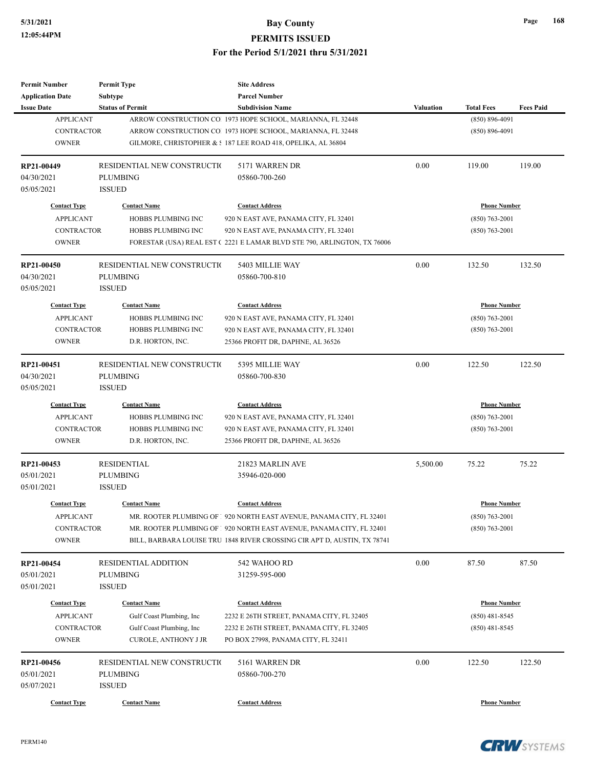**Permit Number**

**Permit Type**

## **5/31/2021 Bay County PERMITS ISSUED For the Period 5/1/2021 thru 5/31/2021**

**Site Address**

| <b>Application Date</b>           | Subtype                     | <b>Parcel Number</b>                                                     |           |                     |                  |
|-----------------------------------|-----------------------------|--------------------------------------------------------------------------|-----------|---------------------|------------------|
| <b>Issue Date</b>                 | <b>Status of Permit</b>     | <b>Subdivision Name</b>                                                  | Valuation | <b>Total Fees</b>   | <b>Fees Paid</b> |
| <b>APPLICANT</b>                  |                             | ARROW CONSTRUCTION CO. 1973 HOPE SCHOOL, MARIANNA, FL 32448              |           | $(850) 896 - 4091$  |                  |
| <b>CONTRACTOR</b>                 |                             | ARROW CONSTRUCTION CO. 1973 HOPE SCHOOL, MARIANNA, FL 32448              |           | $(850) 896 - 4091$  |                  |
| <b>OWNER</b>                      |                             | GILMORE, CHRISTOPHER & : 187 LEE ROAD 418, OPELIKA, AL 36804             |           |                     |                  |
| RP21-00449                        | RESIDENTIAL NEW CONSTRUCTIO | 5171 WARREN DR                                                           | 0.00      | 119.00              | 119.00           |
| 04/30/2021                        | <b>PLUMBING</b>             | 05860-700-260                                                            |           |                     |                  |
| 05/05/2021                        | <b>ISSUED</b>               |                                                                          |           |                     |                  |
| <b>Contact Type</b>               | <b>Contact Name</b>         | <b>Contact Address</b>                                                   |           | <b>Phone Number</b> |                  |
| <b>APPLICANT</b>                  | <b>HOBBS PLUMBING INC</b>   | 920 N EAST AVE, PANAMA CITY, FL 32401                                    |           | $(850) 763 - 2001$  |                  |
| <b>CONTRACTOR</b>                 | HOBBS PLUMBING INC          | 920 N EAST AVE, PANAMA CITY, FL 32401                                    |           | $(850)$ 763-2001    |                  |
| <b>OWNER</b>                      |                             | FORESTAR (USA) REAL EST (2221 E LAMAR BLVD STE 790, ARLINGTON, TX 76006  |           |                     |                  |
| RP21-00450                        | RESIDENTIAL NEW CONSTRUCTIO | 5403 MILLIE WAY                                                          | 0.00      | 132.50              | 132.50           |
| 04/30/2021                        | PLUMBING                    | 05860-700-810                                                            |           |                     |                  |
| 05/05/2021                        | <b>ISSUED</b>               |                                                                          |           |                     |                  |
| <b>Contact Type</b>               | <b>Contact Name</b>         | <b>Contact Address</b>                                                   |           | <b>Phone Number</b> |                  |
| <b>APPLICANT</b>                  | HOBBS PLUMBING INC          | 920 N EAST AVE, PANAMA CITY, FL 32401                                    |           | $(850) 763 - 2001$  |                  |
| <b>CONTRACTOR</b>                 | HOBBS PLUMBING INC          | 920 N EAST AVE, PANAMA CITY, FL 32401                                    |           | $(850)$ 763-2001    |                  |
| <b>OWNER</b>                      | D.R. HORTON, INC.           | 25366 PROFIT DR, DAPHNE, AL 36526                                        |           |                     |                  |
| RP21-00451                        | RESIDENTIAL NEW CONSTRUCTIO | 5395 MILLIE WAY                                                          | 0.00      | 122.50              | 122.50           |
| 04/30/2021                        | PLUMBING                    | 05860-700-830                                                            |           |                     |                  |
| 05/05/2021                        | <b>ISSUED</b>               |                                                                          |           |                     |                  |
| <b>Contact Type</b>               | <b>Contact Name</b>         | <b>Contact Address</b>                                                   |           | <b>Phone Number</b> |                  |
| <b>APPLICANT</b>                  | HOBBS PLUMBING INC          | 920 N EAST AVE, PANAMA CITY, FL 32401                                    |           | $(850)$ 763-2001    |                  |
| <b>CONTRACTOR</b>                 | HOBBS PLUMBING INC          | 920 N EAST AVE, PANAMA CITY, FL 32401                                    |           | $(850)$ 763-2001    |                  |
| <b>OWNER</b>                      | D.R. HORTON, INC.           | 25366 PROFIT DR, DAPHNE, AL 36526                                        |           |                     |                  |
| RP21-00453                        | <b>RESIDENTIAL</b>          | 21823 MARLIN AVE                                                         | 5,500.00  | 75.22               | 75.22            |
| 05/01/2021                        | PLUMBING                    | 35946-020-000                                                            |           |                     |                  |
| 05/01/2021                        | <b>ISSUED</b>               |                                                                          |           |                     |                  |
| <b>Contact Type</b>               | <b>Contact Name</b>         | <b>Contact Address</b>                                                   |           | <b>Phone Number</b> |                  |
| <b>APPLICANT</b>                  |                             | MR. ROOTER PLUMBING OF 1 920 NORTH EAST AVENUE, PANAMA CITY, FL 32401    |           | $(850)$ 763-2001    |                  |
| CONTRACTOR                        |                             | MR. ROOTER PLUMBING OF   920 NORTH EAST AVENUE, PANAMA CITY, FL 32401    |           | $(850) 763 - 2001$  |                  |
| <b>OWNER</b>                      |                             | BILL, BARBARA LOUISE TRU 1848 RIVER CROSSING CIR APT D, AUSTIN, TX 78741 |           |                     |                  |
| RP21-00454                        | <b>RESIDENTIAL ADDITION</b> | 542 WAHOO RD                                                             | 0.00      | 87.50               | 87.50            |
| 05/01/2021                        | PLUMBING                    | 31259-595-000                                                            |           |                     |                  |
| 05/01/2021                        | <b>ISSUED</b>               |                                                                          |           |                     |                  |
| <b>Contact Type</b>               | <b>Contact Name</b>         | <b>Contact Address</b>                                                   |           | <b>Phone Number</b> |                  |
| <b>APPLICANT</b>                  | Gulf Coast Plumbing, Inc    | 2232 E 26TH STREET, PANAMA CITY, FL 32405                                |           | $(850)$ 481-8545    |                  |
| <b>CONTRACTOR</b>                 | Gulf Coast Plumbing, Inc    | 2232 E 26TH STREET, PANAMA CITY, FL 32405                                |           | $(850)$ 481-8545    |                  |
| <b>OWNER</b>                      | <b>CUROLE, ANTHONY J JR</b> | PO BOX 27998, PANAMA CITY, FL 32411                                      |           |                     |                  |
| RP21-00456                        | RESIDENTIAL NEW CONSTRUCTIO | 5161 WARREN DR                                                           | 0.00      | 122.50              | 122.50           |
| 05/01/2021                        | PLUMBING                    | 05860-700-270                                                            |           |                     |                  |
|                                   | <b>ISSUED</b>               |                                                                          |           |                     |                  |
|                                   |                             |                                                                          |           |                     |                  |
| 05/07/2021<br><b>Contact Type</b> | <b>Contact Name</b>         | <b>Contact Address</b>                                                   |           | <b>Phone Number</b> |                  |

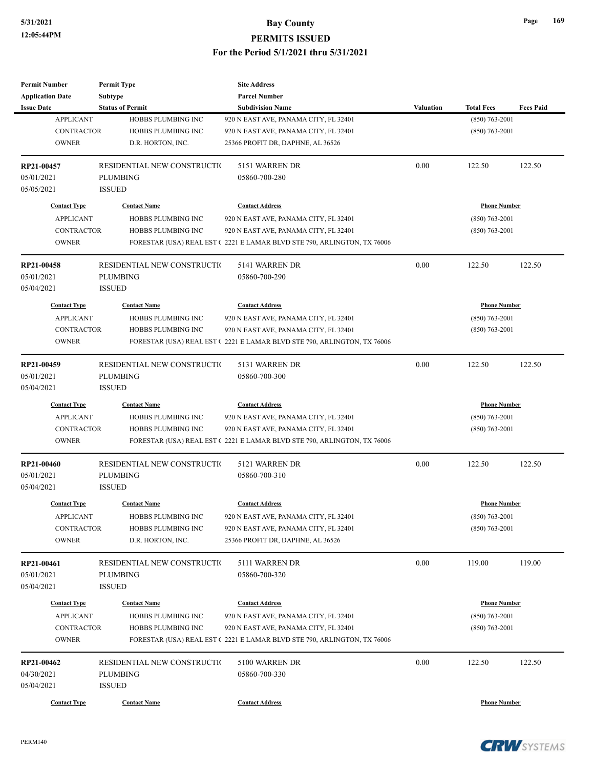| <b>Permit Number</b>                  | <b>Permit Type</b>                             | <b>Site Address</b>                                                     |                  |                     |                  |
|---------------------------------------|------------------------------------------------|-------------------------------------------------------------------------|------------------|---------------------|------------------|
| <b>Application Date</b>               | Subtype                                        | <b>Parcel Number</b>                                                    |                  |                     |                  |
| <b>Issue Date</b>                     | <b>Status of Permit</b>                        | <b>Subdivision Name</b>                                                 | <b>Valuation</b> | <b>Total Fees</b>   | <b>Fees Paid</b> |
| <b>APPLICANT</b>                      | HOBBS PLUMBING INC                             | 920 N EAST AVE, PANAMA CITY, FL 32401                                   |                  | $(850)$ 763-2001    |                  |
| <b>CONTRACTOR</b>                     | <b>HOBBS PLUMBING INC</b>                      | 920 N EAST AVE, PANAMA CITY, FL 32401                                   |                  | $(850)$ 763-2001    |                  |
| <b>OWNER</b>                          | D.R. HORTON, INC.                              | 25366 PROFIT DR, DAPHNE, AL 36526                                       |                  |                     |                  |
| RP21-00457                            | RESIDENTIAL NEW CONSTRUCTIO                    | 5151 WARREN DR                                                          | 0.00             | 122.50              | 122.50           |
| 05/01/2021                            | <b>PLUMBING</b>                                | 05860-700-280                                                           |                  |                     |                  |
| 05/05/2021                            | <b>ISSUED</b>                                  |                                                                         |                  |                     |                  |
| <b>Contact Type</b>                   | <b>Contact Name</b>                            | <b>Contact Address</b>                                                  |                  | <b>Phone Number</b> |                  |
| <b>APPLICANT</b>                      | HOBBS PLUMBING INC                             | 920 N EAST AVE, PANAMA CITY, FL 32401                                   |                  | $(850)$ 763-2001    |                  |
| <b>CONTRACTOR</b>                     | <b>HOBBS PLUMBING INC</b>                      | 920 N EAST AVE, PANAMA CITY, FL 32401                                   |                  | $(850)$ 763-2001    |                  |
| <b>OWNER</b>                          |                                                | FORESTAR (USA) REAL EST (2221 E LAMAR BLVD STE 790, ARLINGTON, TX 76006 |                  |                     |                  |
| RP21-00458                            | RESIDENTIAL NEW CONSTRUCTIO                    | 5141 WARREN DR                                                          | 0.00             | 122.50              | 122.50           |
| 05/01/2021                            | <b>PLUMBING</b>                                | 05860-700-290                                                           |                  |                     |                  |
| 05/04/2021                            | <b>ISSUED</b>                                  |                                                                         |                  |                     |                  |
| <b>Contact Type</b>                   | <b>Contact Name</b>                            | <b>Contact Address</b>                                                  |                  | <b>Phone Number</b> |                  |
| <b>APPLICANT</b>                      | HOBBS PLUMBING INC                             | 920 N EAST AVE, PANAMA CITY, FL 32401                                   |                  | $(850)$ 763-2001    |                  |
| <b>CONTRACTOR</b>                     | HOBBS PLUMBING INC                             | 920 N EAST AVE, PANAMA CITY, FL 32401                                   |                  | $(850)$ 763-2001    |                  |
| <b>OWNER</b>                          |                                                | FORESTAR (USA) REAL EST (2221 E LAMAR BLVD STE 790, ARLINGTON, TX 76006 |                  |                     |                  |
|                                       |                                                |                                                                         |                  |                     |                  |
| RP21-00459                            | RESIDENTIAL NEW CONSTRUCTIO                    | 5131 WARREN DR                                                          | 0.00             | 122.50              | 122.50           |
| 05/01/2021                            | <b>PLUMBING</b>                                | 05860-700-300                                                           |                  |                     |                  |
| 05/04/2021                            | <b>ISSUED</b>                                  |                                                                         |                  |                     |                  |
| <b>Contact Type</b>                   | <b>Contact Name</b>                            | <b>Contact Address</b>                                                  |                  | <b>Phone Number</b> |                  |
| <b>APPLICANT</b>                      | HOBBS PLUMBING INC                             | 920 N EAST AVE, PANAMA CITY, FL 32401                                   |                  | $(850)$ 763-2001    |                  |
| <b>CONTRACTOR</b>                     | HOBBS PLUMBING INC                             | 920 N EAST AVE, PANAMA CITY, FL 32401                                   |                  | $(850)$ 763-2001    |                  |
| <b>OWNER</b>                          |                                                | FORESTAR (USA) REAL EST (2221 E LAMAR BLVD STE 790, ARLINGTON, TX 76006 |                  |                     |                  |
| RP21-00460                            | RESIDENTIAL NEW CONSTRUCTIO                    | 5121 WARREN DR                                                          | 0.00             | 122.50              | 122.50           |
| 05/01/2021                            | <b>PLUMBING</b>                                | 05860-700-310                                                           |                  |                     |                  |
| 05/04/2021                            | <b>ISSUED</b>                                  |                                                                         |                  |                     |                  |
| <b>Contact Type</b>                   | <b>Contact Name</b>                            | <b>Contact Address</b>                                                  |                  | <b>Phone Number</b> |                  |
|                                       | HOBBS PLUMBING INC                             | 920 N EAST AVE, PANAMA CITY, FL 32401                                   |                  | $(850) 763 - 2001$  |                  |
| <b>APPLICANT</b><br><b>CONTRACTOR</b> | HOBBS PLUMBING INC                             | 920 N EAST AVE, PANAMA CITY, FL 32401                                   |                  |                     |                  |
| <b>OWNER</b>                          | D.R. HORTON, INC.                              | 25366 PROFIT DR, DAPHNE, AL 36526                                       |                  | $(850)$ 763-2001    |                  |
|                                       |                                                |                                                                         |                  |                     |                  |
| RP21-00461                            | RESIDENTIAL NEW CONSTRUCTIO<br><b>PLUMBING</b> | 5111 WARREN DR<br>05860-700-320                                         | 0.00             | 119.00              | 119.00           |
| 05/01/2021                            |                                                |                                                                         |                  |                     |                  |
| 05/04/2021                            | <b>ISSUED</b>                                  |                                                                         |                  |                     |                  |
| <b>Contact Type</b>                   | <b>Contact Name</b>                            | <b>Contact Address</b>                                                  |                  | <b>Phone Number</b> |                  |
| <b>APPLICANT</b>                      | HOBBS PLUMBING INC                             | 920 N EAST AVE, PANAMA CITY, FL 32401                                   |                  | $(850)$ 763-2001    |                  |
| <b>CONTRACTOR</b>                     | HOBBS PLUMBING INC                             | 920 N EAST AVE, PANAMA CITY, FL 32401                                   |                  | $(850)$ 763-2001    |                  |
| <b>OWNER</b>                          |                                                | FORESTAR (USA) REAL EST (2221 E LAMAR BLVD STE 790, ARLINGTON, TX 76006 |                  |                     |                  |
| RP21-00462                            | RESIDENTIAL NEW CONSTRUCTIO                    | 5100 WARREN DR                                                          | 0.00             | 122.50              | 122.50           |
| 04/30/2021                            | <b>PLUMBING</b>                                | 05860-700-330                                                           |                  |                     |                  |
| 05/04/2021                            | <b>ISSUED</b>                                  |                                                                         |                  |                     |                  |
| <b>Contact Type</b>                   | <b>Contact Name</b>                            | <b>Contact Address</b>                                                  |                  | <b>Phone Number</b> |                  |
|                                       |                                                |                                                                         |                  |                     |                  |

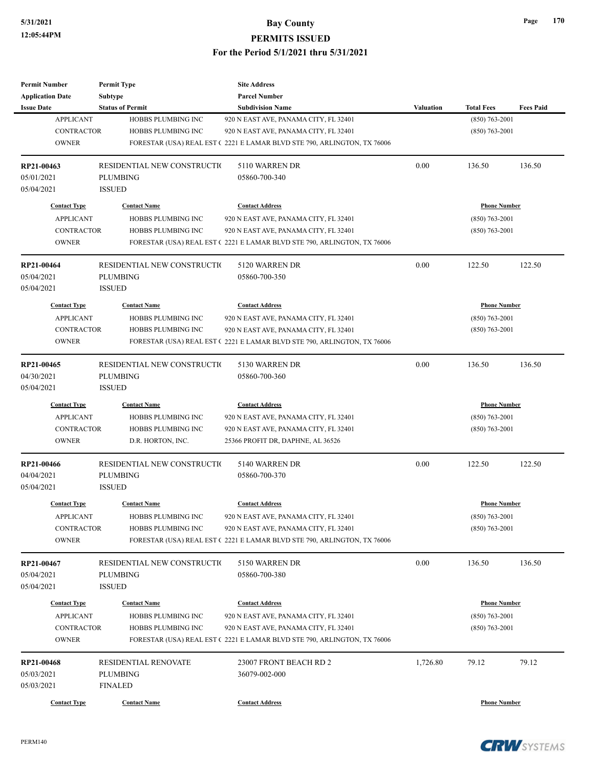| <b>Permit Number</b>                    | <b>Permit Type</b>                        | <b>Site Address</b>                                                     |                  |                                         |                  |
|-----------------------------------------|-------------------------------------------|-------------------------------------------------------------------------|------------------|-----------------------------------------|------------------|
| <b>Application Date</b>                 | Subtype                                   | <b>Parcel Number</b>                                                    |                  |                                         |                  |
| <b>Issue Date</b>                       | <b>Status of Permit</b>                   | <b>Subdivision Name</b>                                                 | <b>Valuation</b> | <b>Total Fees</b>                       | <b>Fees Paid</b> |
| <b>APPLICANT</b>                        | HOBBS PLUMBING INC                        | 920 N EAST AVE, PANAMA CITY, FL 32401                                   |                  | $(850)$ 763-2001                        |                  |
| <b>CONTRACTOR</b>                       | <b>HOBBS PLUMBING INC</b>                 | 920 N EAST AVE, PANAMA CITY, FL 32401                                   |                  | $(850)$ 763-2001                        |                  |
| <b>OWNER</b>                            |                                           | FORESTAR (USA) REAL EST (2221 E LAMAR BLVD STE 790, ARLINGTON, TX 76006 |                  |                                         |                  |
| RP21-00463                              | RESIDENTIAL NEW CONSTRUCTIO               | 5110 WARREN DR                                                          | 0.00             | 136.50                                  | 136.50           |
| 05/01/2021                              | PLUMBING                                  | 05860-700-340                                                           |                  |                                         |                  |
| 05/04/2021                              | <b>ISSUED</b>                             |                                                                         |                  |                                         |                  |
| <b>Contact Type</b>                     | <b>Contact Name</b>                       | <b>Contact Address</b>                                                  |                  | <b>Phone Number</b>                     |                  |
| <b>APPLICANT</b>                        | HOBBS PLUMBING INC                        | 920 N EAST AVE, PANAMA CITY, FL 32401                                   |                  | $(850)$ 763-2001                        |                  |
| <b>CONTRACTOR</b>                       | HOBBS PLUMBING INC                        | 920 N EAST AVE, PANAMA CITY, FL 32401                                   |                  | $(850)$ 763-2001                        |                  |
| <b>OWNER</b>                            |                                           | FORESTAR (USA) REAL EST (2221 E LAMAR BLVD STE 790, ARLINGTON, TX 76006 |                  |                                         |                  |
| RP21-00464                              | RESIDENTIAL NEW CONSTRUCTIO               | 5120 WARREN DR                                                          | 0.00             | 122.50                                  | 122.50           |
| 05/04/2021                              | PLUMBING                                  | 05860-700-350                                                           |                  |                                         |                  |
| 05/04/2021                              | <b>ISSUED</b>                             |                                                                         |                  |                                         |                  |
| <b>Contact Type</b>                     | <b>Contact Name</b>                       | <b>Contact Address</b>                                                  |                  | <b>Phone Number</b>                     |                  |
| <b>APPLICANT</b>                        | HOBBS PLUMBING INC                        | 920 N EAST AVE, PANAMA CITY, FL 32401                                   |                  | $(850)$ 763-2001                        |                  |
| <b>CONTRACTOR</b>                       | HOBBS PLUMBING INC                        | 920 N EAST AVE, PANAMA CITY, FL 32401                                   |                  | $(850)$ 763-2001                        |                  |
| <b>OWNER</b>                            |                                           | FORESTAR (USA) REAL EST (2221 E LAMAR BLVD STE 790, ARLINGTON, TX 76006 |                  |                                         |                  |
|                                         |                                           |                                                                         |                  |                                         |                  |
| RP21-00465                              | RESIDENTIAL NEW CONSTRUCTIO               | 5130 WARREN DR                                                          | 0.00             | 136.50                                  | 136.50           |
| 04/30/2021                              | <b>PLUMBING</b>                           | 05860-700-360                                                           |                  |                                         |                  |
| 05/04/2021                              | <b>ISSUED</b>                             |                                                                         |                  |                                         |                  |
| <b>Contact Type</b>                     | <b>Contact Name</b>                       | <b>Contact Address</b>                                                  |                  | <b>Phone Number</b>                     |                  |
| <b>APPLICANT</b>                        | HOBBS PLUMBING INC                        | 920 N EAST AVE, PANAMA CITY, FL 32401                                   |                  | $(850)$ 763-2001                        |                  |
| <b>CONTRACTOR</b>                       | HOBBS PLUMBING INC                        | 920 N EAST AVE, PANAMA CITY, FL 32401                                   |                  | $(850)$ 763-2001                        |                  |
| <b>OWNER</b>                            | D.R. HORTON, INC.                         | 25366 PROFIT DR, DAPHNE, AL 36526                                       |                  |                                         |                  |
| RP21-00466                              | RESIDENTIAL NEW CONSTRUCTIO               | 5140 WARREN DR                                                          | 0.00             | 122.50                                  | 122.50           |
| 04/04/2021                              | PLUMBING                                  | 05860-700-370                                                           |                  |                                         |                  |
| 05/04/2021                              | <b>ISSUED</b>                             |                                                                         |                  |                                         |                  |
| <b>Contact Type</b>                     | <b>Contact Name</b>                       | <b>Contact Address</b>                                                  |                  | <b>Phone Number</b>                     |                  |
| <b>APPLICANT</b>                        | HOBBS PLUMBING INC                        | 920 N EAST AVE, PANAMA CITY, FL 32401                                   |                  | $(850) 763 - 2001$                      |                  |
| <b>CONTRACTOR</b>                       | HOBBS PLUMBING INC                        | 920 N EAST AVE, PANAMA CITY, FL 32401                                   |                  | $(850)$ 763-2001                        |                  |
| <b>OWNER</b>                            |                                           | FORESTAR (USA) REAL EST (2221 E LAMAR BLVD STE 790, ARLINGTON, TX 76006 |                  |                                         |                  |
| RP21-00467                              | RESIDENTIAL NEW CONSTRUCTIO               | 5150 WARREN DR                                                          | 0.00             | 136.50                                  | 136.50           |
| 05/04/2021                              | PLUMBING                                  | 05860-700-380                                                           |                  |                                         |                  |
| 05/04/2021                              | <b>ISSUED</b>                             |                                                                         |                  |                                         |                  |
|                                         |                                           | <b>Contact Address</b>                                                  |                  |                                         |                  |
| <b>Contact Type</b><br><b>APPLICANT</b> | <b>Contact Name</b><br>HOBBS PLUMBING INC | 920 N EAST AVE, PANAMA CITY, FL 32401                                   |                  | <b>Phone Number</b><br>$(850)$ 763-2001 |                  |
| <b>CONTRACTOR</b>                       | HOBBS PLUMBING INC                        | 920 N EAST AVE, PANAMA CITY, FL 32401                                   |                  | $(850)$ 763-2001                        |                  |
| <b>OWNER</b>                            |                                           | FORESTAR (USA) REAL EST (2221 E LAMAR BLVD STE 790, ARLINGTON, TX 76006 |                  |                                         |                  |
|                                         |                                           |                                                                         |                  |                                         |                  |
| RP21-00468                              | RESIDENTIAL RENOVATE                      | 23007 FRONT BEACH RD 2                                                  | 1,726.80         | 79.12                                   | 79.12            |
| 05/03/2021                              | PLUMBING                                  | 36079-002-000                                                           |                  |                                         |                  |
| 05/03/2021                              | <b>FINALED</b>                            |                                                                         |                  |                                         |                  |
| <b>Contact Type</b>                     | <b>Contact Name</b>                       | <b>Contact Address</b>                                                  |                  | <b>Phone Number</b>                     |                  |

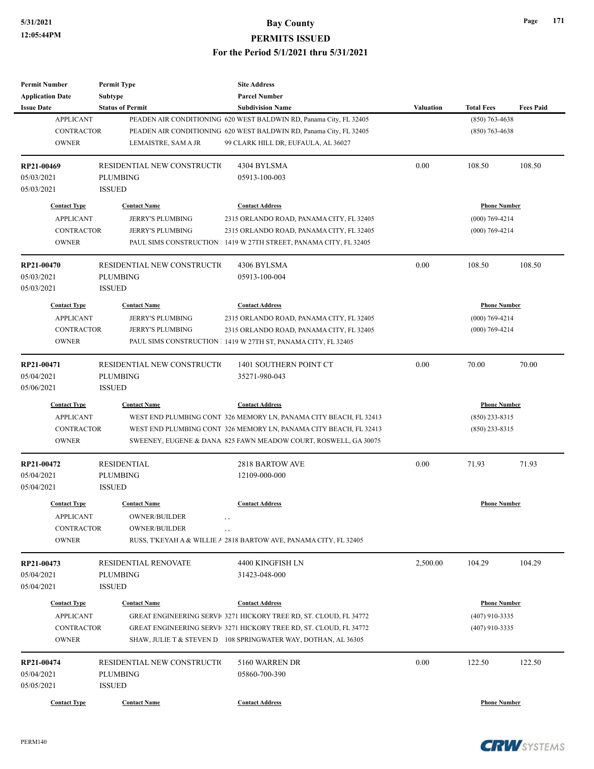| <b>Permit Number</b>     | <b>Permit Type</b>                      | <b>Site Address</b>                                                |                  |                     |                  |
|--------------------------|-----------------------------------------|--------------------------------------------------------------------|------------------|---------------------|------------------|
| <b>Application Date</b>  | <b>Subtype</b>                          | <b>Parcel Number</b>                                               |                  |                     |                  |
| <b>Issue Date</b>        | <b>Status of Permit</b>                 | <b>Subdivision Name</b>                                            | <b>Valuation</b> | <b>Total Fees</b>   | <b>Fees Paid</b> |
| <b>APPLICANT</b>         |                                         | PEADEN AIR CONDITIONING 620 WEST BALDWIN RD, Panama City, FL 32405 |                  | $(850)$ 763-4638    |                  |
| <b>CONTRACTOR</b>        |                                         | PEADEN AIR CONDITIONING 620 WEST BALDWIN RD, Panama City, FL 32405 |                  | $(850)$ 763-4638    |                  |
| <b>OWNER</b>             | LEMAISTRE, SAM A JR                     | 99 CLARK HILL DR, EUFAULA, AL 36027                                |                  |                     |                  |
|                          |                                         |                                                                    |                  |                     |                  |
| RP21-00469               | RESIDENTIAL NEW CONSTRUCTIO             | 4304 BYLSMA                                                        | 0.00             | 108.50              | 108.50           |
| 05/03/2021               | <b>PLUMBING</b>                         | 05913-100-003                                                      |                  |                     |                  |
| 05/03/2021               | <b>ISSUED</b>                           |                                                                    |                  |                     |                  |
| <b>Contact Type</b>      | <b>Contact Name</b>                     | <b>Contact Address</b>                                             |                  | <b>Phone Number</b> |                  |
| <b>APPLICANT</b>         | <b>JERRY'S PLUMBING</b>                 | 2315 ORLANDO ROAD, PANAMA CITY, FL 32405                           |                  | $(000)$ 769-4214    |                  |
| <b>CONTRACTOR</b>        | <b>JERRY'S PLUMBING</b>                 | 2315 ORLANDO ROAD, PANAMA CITY, FL 32405                           |                  | $(000)$ 769-4214    |                  |
| <b>OWNER</b>             |                                         | PAUL SIMS CONSTRUCTION 1419 W 27TH STREET, PANAMA CITY, FL 32405   |                  |                     |                  |
|                          |                                         |                                                                    |                  |                     |                  |
| RP21-00470               | RESIDENTIAL NEW CONSTRUCTIO             | 4306 BYLSMA                                                        | 0.00             | 108.50              | 108.50           |
| 05/03/2021               | <b>PLUMBING</b>                         | 05913-100-004                                                      |                  |                     |                  |
| 05/03/2021               | <b>ISSUED</b>                           |                                                                    |                  |                     |                  |
| <b>Contact Type</b>      | <b>Contact Name</b>                     | <b>Contact Address</b>                                             |                  | <b>Phone Number</b> |                  |
|                          |                                         |                                                                    |                  |                     |                  |
| <b>APPLICANT</b>         | <b>JERRY'S PLUMBING</b>                 | 2315 ORLANDO ROAD, PANAMA CITY, FL 32405                           |                  | $(000)$ 769-4214    |                  |
| <b>CONTRACTOR</b>        | <b>JERRY'S PLUMBING</b>                 | 2315 ORLANDO ROAD, PANAMA CITY, FL 32405                           |                  | $(000)$ 769-4214    |                  |
| <b>OWNER</b>             |                                         | PAUL SIMS CONSTRUCTION 1 1419 W 27TH ST, PANAMA CITY, FL 32405     |                  |                     |                  |
| RP21-00471               | RESIDENTIAL NEW CONSTRUCTIO             | 1401 SOUTHERN POINT CT                                             | 0.00             | 70.00               | 70.00            |
| 05/04/2021               | <b>PLUMBING</b>                         | 35271-980-043                                                      |                  |                     |                  |
| 05/06/2021               | <b>ISSUED</b>                           |                                                                    |                  |                     |                  |
| <b>Contact Type</b>      | <b>Contact Name</b>                     | <b>Contact Address</b>                                             |                  | <b>Phone Number</b> |                  |
|                          |                                         |                                                                    |                  |                     |                  |
| <b>APPLICANT</b>         |                                         | WEST END PLUMBING CONT 326 MEMORY LN, PANAMA CITY BEACH, FL 32413  |                  | $(850)$ 233-8315    |                  |
| <b>CONTRACTOR</b>        |                                         | WEST END PLUMBING CONT 326 MEMORY LN, PANAMA CITY BEACH, FL 32413  |                  | $(850)$ 233-8315    |                  |
| <b>OWNER</b>             |                                         | SWEENEY, EUGENE & DANA 825 FAWN MEADOW COURT, ROSWELL, GA 30075    |                  |                     |                  |
| RP21-00472               | <b>RESIDENTIAL</b>                      | 2818 BARTOW AVE                                                    | 0.00             | 71.93               | 71.93            |
| 05/04/2021               | <b>PLUMBING</b>                         | 12109-000-000                                                      |                  |                     |                  |
| 05/04/2021               | <b>ISSUED</b>                           |                                                                    |                  |                     |                  |
|                          |                                         |                                                                    |                  |                     |                  |
| <b>Contact Type</b>      | <b>Contact Name</b>                     | <b>Contact Address</b>                                             |                  | <b>Phone Number</b> |                  |
| <b>APPLICANT</b>         | OWNER/BUILDER                           | , ,                                                                |                  |                     |                  |
| CONTRACTOR               | <b>OWNER/BUILDER</b>                    | $, \, , \,$                                                        |                  |                     |                  |
| <b>OWNER</b>             |                                         | RUSS, TKEYAH A & WILLIE A 2818 BARTOW AVE, PANAMA CITY, FL 32405   |                  |                     |                  |
|                          |                                         |                                                                    | 2,500.00         |                     | 104.29           |
| RP21-00473<br>05/04/2021 | RESIDENTIAL RENOVATE<br><b>PLUMBING</b> | 4400 KINGFISH LN<br>31423-048-000                                  |                  | 104.29              |                  |
|                          |                                         |                                                                    |                  |                     |                  |
| 05/04/2021               | <b>ISSUED</b>                           |                                                                    |                  |                     |                  |
| <b>Contact Type</b>      | <b>Contact Name</b>                     | <b>Contact Address</b>                                             |                  | <b>Phone Number</b> |                  |
| <b>APPLICANT</b>         |                                         | GREAT ENGINEERING SERVI 3271 HICKORY TREE RD, ST. CLOUD, FL 34772  |                  | $(407)$ 910-3335    |                  |
| CONTRACTOR               |                                         | GREAT ENGINEERING SERVI 3271 HICKORY TREE RD, ST. CLOUD, FL 34772  |                  | $(407)$ 910-3335    |                  |
| <b>OWNER</b>             |                                         | SHAW, JULIE T & STEVEN D 108 SPRINGWATER WAY, DOTHAN, AL 36305     |                  |                     |                  |
|                          |                                         |                                                                    |                  |                     |                  |
| RP21-00474               | RESIDENTIAL NEW CONSTRUCTIO             | 5160 WARREN DR                                                     | 0.00             | 122.50              | 122.50           |
| 05/04/2021               | <b>PLUMBING</b>                         | 05860-700-390                                                      |                  |                     |                  |
| 05/05/2021               | <b>ISSUED</b>                           |                                                                    |                  |                     |                  |
| <b>Contact Type</b>      | <b>Contact Name</b>                     | <b>Contact Address</b>                                             |                  | <b>Phone Number</b> |                  |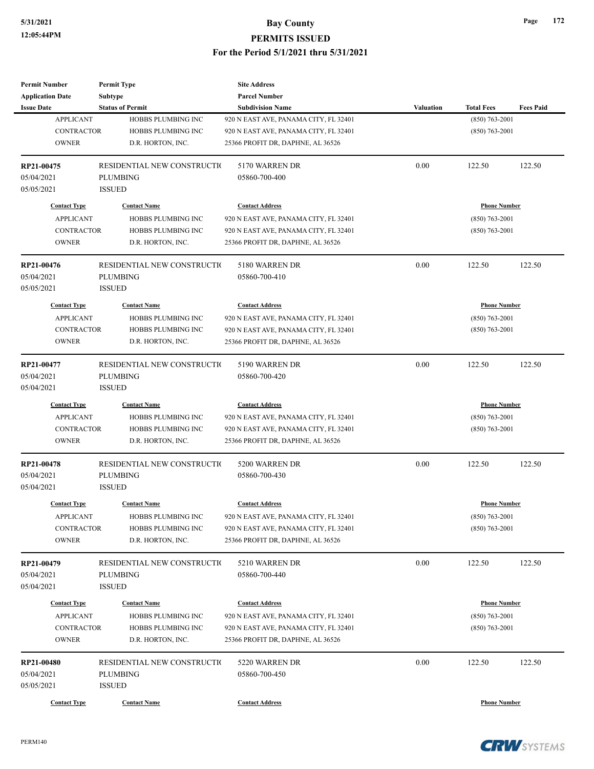| <b>Permit Number</b>    | <b>Permit Type</b>          | <b>Site Address</b>                   |                  |                     |                  |
|-------------------------|-----------------------------|---------------------------------------|------------------|---------------------|------------------|
| <b>Application Date</b> | Subtype                     | <b>Parcel Number</b>                  |                  |                     |                  |
| <b>Issue Date</b>       | <b>Status of Permit</b>     | <b>Subdivision Name</b>               | <b>Valuation</b> | <b>Total Fees</b>   | <b>Fees Paid</b> |
| <b>APPLICANT</b>        | HOBBS PLUMBING INC          | 920 N EAST AVE, PANAMA CITY, FL 32401 |                  | $(850)$ 763-2001    |                  |
| <b>CONTRACTOR</b>       | HOBBS PLUMBING INC          | 920 N EAST AVE, PANAMA CITY, FL 32401 |                  | $(850)$ 763-2001    |                  |
| <b>OWNER</b>            | D.R. HORTON, INC.           | 25366 PROFIT DR, DAPHNE, AL 36526     |                  |                     |                  |
|                         |                             |                                       |                  |                     |                  |
| RP21-00475              | RESIDENTIAL NEW CONSTRUCTIO | 5170 WARREN DR                        | 0.00             | 122.50              | 122.50           |
| 05/04/2021              | <b>PLUMBING</b>             | 05860-700-400                         |                  |                     |                  |
| 05/05/2021              | <b>ISSUED</b>               |                                       |                  |                     |                  |
| <b>Contact Type</b>     | <b>Contact Name</b>         | <b>Contact Address</b>                |                  | <b>Phone Number</b> |                  |
| <b>APPLICANT</b>        |                             |                                       |                  |                     |                  |
|                         | HOBBS PLUMBING INC          | 920 N EAST AVE, PANAMA CITY, FL 32401 |                  | $(850)$ 763-2001    |                  |
| <b>CONTRACTOR</b>       | HOBBS PLUMBING INC          | 920 N EAST AVE, PANAMA CITY, FL 32401 |                  | $(850)$ 763-2001    |                  |
| <b>OWNER</b>            | D.R. HORTON, INC.           | 25366 PROFIT DR, DAPHNE, AL 36526     |                  |                     |                  |
| RP21-00476              | RESIDENTIAL NEW CONSTRUCTIO | 5180 WARREN DR                        | 0.00             | 122.50              | 122.50           |
| 05/04/2021              | <b>PLUMBING</b>             | 05860-700-410                         |                  |                     |                  |
| 05/05/2021              | <b>ISSUED</b>               |                                       |                  |                     |                  |
| <b>Contact Type</b>     | <b>Contact Name</b>         | <b>Contact Address</b>                |                  | <b>Phone Number</b> |                  |
|                         |                             |                                       |                  |                     |                  |
| <b>APPLICANT</b>        | HOBBS PLUMBING INC          | 920 N EAST AVE, PANAMA CITY, FL 32401 |                  | $(850) 763 - 2001$  |                  |
| <b>CONTRACTOR</b>       | HOBBS PLUMBING INC          | 920 N EAST AVE, PANAMA CITY, FL 32401 |                  | $(850)$ 763-2001    |                  |
| <b>OWNER</b>            | D.R. HORTON, INC.           | 25366 PROFIT DR, DAPHNE, AL 36526     |                  |                     |                  |
| RP21-00477              | RESIDENTIAL NEW CONSTRUCTIO | 5190 WARREN DR                        | 0.00             | 122.50              | 122.50           |
| 05/04/2021              | <b>PLUMBING</b>             | 05860-700-420                         |                  |                     |                  |
| 05/04/2021              | <b>ISSUED</b>               |                                       |                  |                     |                  |
| <b>Contact Type</b>     | <b>Contact Name</b>         | <b>Contact Address</b>                |                  | <b>Phone Number</b> |                  |
| <b>APPLICANT</b>        | HOBBS PLUMBING INC          | 920 N EAST AVE, PANAMA CITY, FL 32401 |                  | $(850) 763 - 2001$  |                  |
|                         |                             |                                       |                  |                     |                  |
| <b>CONTRACTOR</b>       | HOBBS PLUMBING INC          | 920 N EAST AVE, PANAMA CITY, FL 32401 |                  | $(850)$ 763-2001    |                  |
| <b>OWNER</b>            | D.R. HORTON, INC.           | 25366 PROFIT DR, DAPHNE, AL 36526     |                  |                     |                  |
| RP21-00478              | RESIDENTIAL NEW CONSTRUCTIO | 5200 WARREN DR                        | 0.00             | 122.50              | 122.50           |
| 05/04/2021              | <b>PLUMBING</b>             | 05860-700-430                         |                  |                     |                  |
| 05/04/2021              | <b>ISSUED</b>               |                                       |                  |                     |                  |
| <b>Contact Type</b>     | <b>Contact Name</b>         | <b>Contact Address</b>                |                  | <b>Phone Number</b> |                  |
|                         |                             |                                       |                  |                     |                  |
| <b>APPLICANT</b>        | HOBBS PLUMBING INC          | 920 N EAST AVE, PANAMA CITY, FL 32401 |                  | $(850)$ 763-2001    |                  |
| <b>CONTRACTOR</b>       | HOBBS PLUMBING INC          | 920 N EAST AVE, PANAMA CITY, FL 32401 |                  | $(850)$ 763-2001    |                  |
| <b>OWNER</b>            | D.R. HORTON, INC.           | 25366 PROFIT DR, DAPHNE, AL 36526     |                  |                     |                  |
| RP21-00479              | RESIDENTIAL NEW CONSTRUCTIO | 5210 WARREN DR                        | 0.00             | 122.50              | 122.50           |
| 05/04/2021              | <b>PLUMBING</b>             | 05860-700-440                         |                  |                     |                  |
| 05/04/2021              | <b>ISSUED</b>               |                                       |                  |                     |                  |
|                         |                             |                                       |                  |                     |                  |
| <b>Contact Type</b>     | <b>Contact Name</b>         | <b>Contact Address</b>                |                  | <b>Phone Number</b> |                  |
| <b>APPLICANT</b>        | HOBBS PLUMBING INC          | 920 N EAST AVE, PANAMA CITY, FL 32401 |                  | $(850) 763 - 2001$  |                  |
| CONTRACTOR              | HOBBS PLUMBING INC          | 920 N EAST AVE, PANAMA CITY, FL 32401 |                  | $(850)$ 763-2001    |                  |
| <b>OWNER</b>            | D.R. HORTON, INC.           | 25366 PROFIT DR, DAPHNE, AL 36526     |                  |                     |                  |
| RP21-00480              | RESIDENTIAL NEW CONSTRUCTIO | 5220 WARREN DR                        | 0.00             | 122.50              | 122.50           |
| 05/04/2021              | PLUMBING                    | 05860-700-450                         |                  |                     |                  |
| 05/05/2021              | <b>ISSUED</b>               |                                       |                  |                     |                  |
|                         |                             |                                       |                  |                     |                  |
| <b>Contact Type</b>     | <b>Contact Name</b>         | <b>Contact Address</b>                |                  | <b>Phone Number</b> |                  |

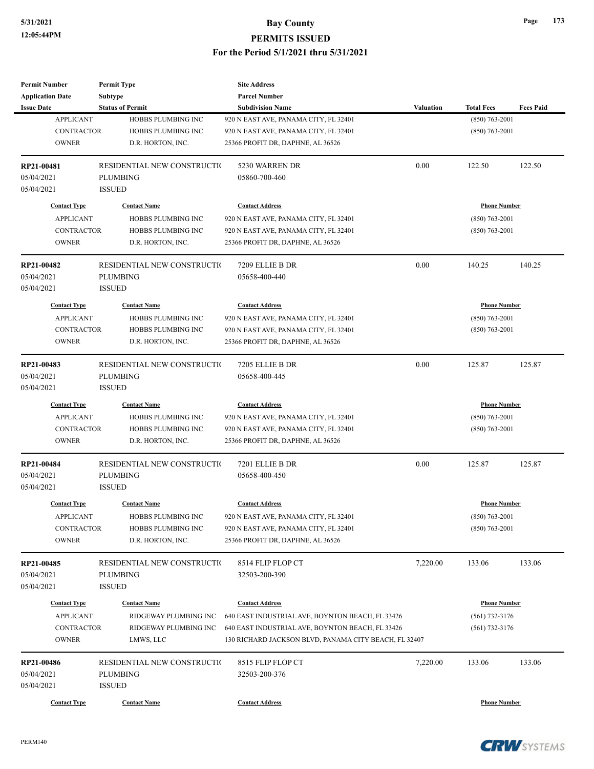| <b>Permit Number</b>    | <b>Permit Type</b>          | <b>Site Address</b>                                   |                  |                     |                  |
|-------------------------|-----------------------------|-------------------------------------------------------|------------------|---------------------|------------------|
| <b>Application Date</b> | Subtype                     | <b>Parcel Number</b>                                  |                  |                     |                  |
| <b>Issue Date</b>       | <b>Status of Permit</b>     | <b>Subdivision Name</b>                               | <b>Valuation</b> | <b>Total Fees</b>   | <b>Fees Paid</b> |
| <b>APPLICANT</b>        | HOBBS PLUMBING INC          | 920 N EAST AVE, PANAMA CITY, FL 32401                 |                  | $(850)$ 763-2001    |                  |
| <b>CONTRACTOR</b>       | HOBBS PLUMBING INC          | 920 N EAST AVE, PANAMA CITY, FL 32401                 |                  | $(850) 763 - 2001$  |                  |
| <b>OWNER</b>            | D.R. HORTON, INC.           | 25366 PROFIT DR, DAPHNE, AL 36526                     |                  |                     |                  |
| RP21-00481              | RESIDENTIAL NEW CONSTRUCTIO | 5230 WARREN DR                                        | 0.00             | 122.50              | 122.50           |
| 05/04/2021              | <b>PLUMBING</b>             | 05860-700-460                                         |                  |                     |                  |
| 05/04/2021              | <b>ISSUED</b>               |                                                       |                  |                     |                  |
| <b>Contact Type</b>     | <b>Contact Name</b>         | <b>Contact Address</b>                                |                  | <b>Phone Number</b> |                  |
| <b>APPLICANT</b>        | HOBBS PLUMBING INC          | 920 N EAST AVE, PANAMA CITY, FL 32401                 |                  | $(850)$ 763-2001    |                  |
| <b>CONTRACTOR</b>       | HOBBS PLUMBING INC          | 920 N EAST AVE, PANAMA CITY, FL 32401                 |                  | $(850)$ 763-2001    |                  |
| <b>OWNER</b>            | D.R. HORTON, INC.           | 25366 PROFIT DR, DAPHNE, AL 36526                     |                  |                     |                  |
| RP21-00482              | RESIDENTIAL NEW CONSTRUCTIO | 7209 ELLIE B DR                                       | 0.00             | 140.25              | 140.25           |
| 05/04/2021              | <b>PLUMBING</b>             | 05658-400-440                                         |                  |                     |                  |
| 05/04/2021              | <b>ISSUED</b>               |                                                       |                  |                     |                  |
| <b>Contact Type</b>     | <b>Contact Name</b>         | <b>Contact Address</b>                                |                  | <b>Phone Number</b> |                  |
| <b>APPLICANT</b>        | HOBBS PLUMBING INC          | 920 N EAST AVE, PANAMA CITY, FL 32401                 |                  | $(850) 763 - 2001$  |                  |
| <b>CONTRACTOR</b>       | HOBBS PLUMBING INC          | 920 N EAST AVE, PANAMA CITY, FL 32401                 |                  | $(850)$ 763-2001    |                  |
| <b>OWNER</b>            | D.R. HORTON, INC.           | 25366 PROFIT DR, DAPHNE, AL 36526                     |                  |                     |                  |
|                         |                             |                                                       |                  |                     |                  |
| RP21-00483              | RESIDENTIAL NEW CONSTRUCTIO | 7205 ELLIE B DR                                       | 0.00             | 125.87              | 125.87           |
| 05/04/2021              | <b>PLUMBING</b>             | 05658-400-445                                         |                  |                     |                  |
| 05/04/2021              | <b>ISSUED</b>               |                                                       |                  |                     |                  |
| <b>Contact Type</b>     | <b>Contact Name</b>         | <b>Contact Address</b>                                |                  | <b>Phone Number</b> |                  |
| <b>APPLICANT</b>        | HOBBS PLUMBING INC          | 920 N EAST AVE, PANAMA CITY, FL 32401                 |                  | $(850)$ 763-2001    |                  |
| <b>CONTRACTOR</b>       | HOBBS PLUMBING INC          | 920 N EAST AVE, PANAMA CITY, FL 32401                 |                  | $(850)$ 763-2001    |                  |
| <b>OWNER</b>            | D.R. HORTON, INC.           | 25366 PROFIT DR, DAPHNE, AL 36526                     |                  |                     |                  |
| RP21-00484              | RESIDENTIAL NEW CONSTRUCTIO | 7201 ELLIE B DR                                       | 0.00             | 125.87              | 125.87           |
| 05/04/2021              | <b>PLUMBING</b>             | 05658-400-450                                         |                  |                     |                  |
| 05/04/2021              | <b>ISSUED</b>               |                                                       |                  |                     |                  |
| <b>Contact Type</b>     | <b>Contact Name</b>         | <b>Contact Address</b>                                |                  | <b>Phone Number</b> |                  |
| <b>APPLICANT</b>        | HOBBS PLUMBING INC          | 920 N EAST AVE, PANAMA CITY, FL 32401                 |                  | $(850) 763 - 2001$  |                  |
| CONTRACTOR              | HOBBS PLUMBING INC          | 920 N EAST AVE, PANAMA CITY, FL 32401                 |                  | $(850)$ 763-2001    |                  |
| <b>OWNER</b>            | D.R. HORTON, INC.           | 25366 PROFIT DR, DAPHNE, AL 36526                     |                  |                     |                  |
| RP21-00485              | RESIDENTIAL NEW CONSTRUCTIO | 8514 FLIP FLOP CT                                     | 7,220.00         | 133.06              | 133.06           |
| 05/04/2021              | <b>PLUMBING</b>             | 32503-200-390                                         |                  |                     |                  |
| 05/04/2021              | <b>ISSUED</b>               |                                                       |                  |                     |                  |
| <b>Contact Type</b>     | <b>Contact Name</b>         | <b>Contact Address</b>                                |                  | <b>Phone Number</b> |                  |
| <b>APPLICANT</b>        | RIDGEWAY PLUMBING INC       | 640 EAST INDUSTRIAL AVE, BOYNTON BEACH, FL 33426      |                  | $(561)$ 732-3176    |                  |
| <b>CONTRACTOR</b>       | RIDGEWAY PLUMBING INC       | 640 EAST INDUSTRIAL AVE, BOYNTON BEACH, FL 33426      |                  | $(561)$ 732-3176    |                  |
| <b>OWNER</b>            | LMWS, LLC                   | 130 RICHARD JACKSON BLVD, PANAMA CITY BEACH, FL 32407 |                  |                     |                  |
| RP21-00486              | RESIDENTIAL NEW CONSTRUCTIO | 8515 FLIP FLOP CT                                     | 7,220.00         | 133.06              | 133.06           |
| 05/04/2021              | <b>PLUMBING</b>             | 32503-200-376                                         |                  |                     |                  |
| 05/04/2021              | <b>ISSUED</b>               |                                                       |                  |                     |                  |
|                         |                             |                                                       |                  |                     |                  |
| <b>Contact Type</b>     | <b>Contact Name</b>         | <b>Contact Address</b>                                |                  | <b>Phone Number</b> |                  |

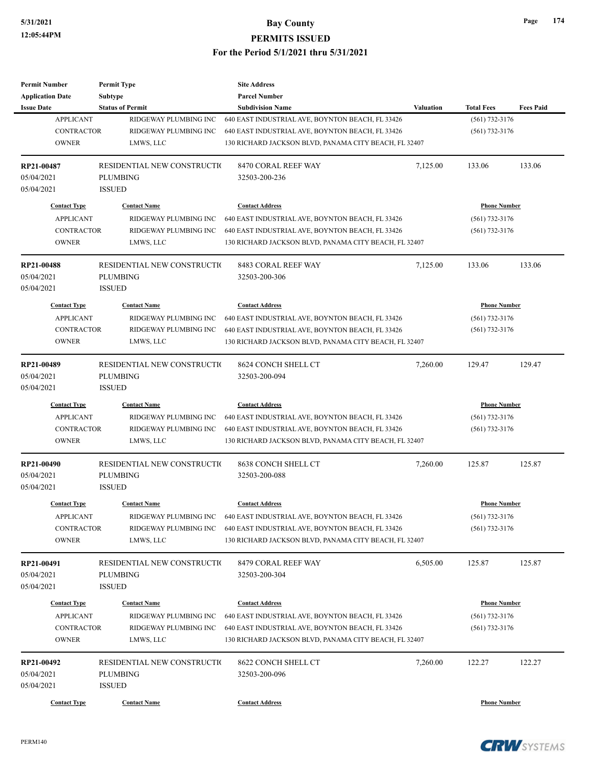| <b>Permit Number</b>                    | <b>Permit Type</b>          | <b>Site Address</b>                                                    |                  |                     |                  |
|-----------------------------------------|-----------------------------|------------------------------------------------------------------------|------------------|---------------------|------------------|
| <b>Application Date</b>                 | <b>Subtype</b>              | <b>Parcel Number</b>                                                   |                  |                     |                  |
| <b>Issue Date</b>                       | <b>Status of Permit</b>     | <b>Subdivision Name</b>                                                | <b>Valuation</b> | <b>Total Fees</b>   | <b>Fees Paid</b> |
| <b>APPLICANT</b>                        | RIDGEWAY PLUMBING INC       | 640 EAST INDUSTRIAL AVE, BOYNTON BEACH, FL 33426                       |                  | $(561)$ 732-3176    |                  |
| <b>CONTRACTOR</b>                       | RIDGEWAY PLUMBING INC       | 640 EAST INDUSTRIAL AVE, BOYNTON BEACH, FL 33426                       |                  | $(561)$ 732-3176    |                  |
| <b>OWNER</b>                            | LMWS, LLC                   | 130 RICHARD JACKSON BLVD, PANAMA CITY BEACH, FL 32407                  |                  |                     |                  |
| RP21-00487                              | RESIDENTIAL NEW CONSTRUCTIO | 8470 CORAL REEF WAY                                                    | 7,125.00         | 133.06              | 133.06           |
| 05/04/2021                              | <b>PLUMBING</b>             | 32503-200-236                                                          |                  |                     |                  |
| 05/04/2021                              | <b>ISSUED</b>               |                                                                        |                  |                     |                  |
| <b>Contact Type</b>                     | <b>Contact Name</b>         | <b>Contact Address</b>                                                 |                  | <b>Phone Number</b> |                  |
| <b>APPLICANT</b>                        | RIDGEWAY PLUMBING INC       | 640 EAST INDUSTRIAL AVE, BOYNTON BEACH, FL 33426                       |                  | $(561)$ 732-3176    |                  |
| CONTRACTOR                              | RIDGEWAY PLUMBING INC       | 640 EAST INDUSTRIAL AVE, BOYNTON BEACH, FL 33426                       |                  | $(561)$ 732-3176    |                  |
| <b>OWNER</b>                            | LMWS, LLC                   | 130 RICHARD JACKSON BLVD, PANAMA CITY BEACH, FL 32407                  |                  |                     |                  |
| RP21-00488                              | RESIDENTIAL NEW CONSTRUCTIO | 8483 CORAL REEF WAY                                                    | 7,125.00         | 133.06              | 133.06           |
| 05/04/2021                              | <b>PLUMBING</b>             | 32503-200-306                                                          |                  |                     |                  |
| 05/04/2021                              | <b>ISSUED</b>               |                                                                        |                  |                     |                  |
| <b>Contact Type</b>                     | <b>Contact Name</b>         | <b>Contact Address</b>                                                 |                  | <b>Phone Number</b> |                  |
| <b>APPLICANT</b>                        | RIDGEWAY PLUMBING INC       | 640 EAST INDUSTRIAL AVE, BOYNTON BEACH, FL 33426                       |                  | $(561)$ 732-3176    |                  |
| <b>CONTRACTOR</b>                       | RIDGEWAY PLUMBING INC       | 640 EAST INDUSTRIAL AVE, BOYNTON BEACH, FL 33426                       |                  | $(561)$ 732-3176    |                  |
| <b>OWNER</b>                            | LMWS, LLC                   | 130 RICHARD JACKSON BLVD, PANAMA CITY BEACH, FL 32407                  |                  |                     |                  |
|                                         |                             |                                                                        |                  |                     |                  |
| RP21-00489                              | RESIDENTIAL NEW CONSTRUCTIO | 8624 CONCH SHELL CT                                                    | 7,260.00         | 129.47              | 129.47           |
| 05/04/2021                              | <b>PLUMBING</b>             | 32503-200-094                                                          |                  |                     |                  |
| 05/04/2021                              | <b>ISSUED</b>               |                                                                        |                  |                     |                  |
| <b>Contact Type</b>                     | <b>Contact Name</b>         | <b>Contact Address</b>                                                 |                  | <b>Phone Number</b> |                  |
| <b>APPLICANT</b>                        | RIDGEWAY PLUMBING INC       | 640 EAST INDUSTRIAL AVE, BOYNTON BEACH, FL 33426                       |                  | $(561)$ 732-3176    |                  |
| <b>CONTRACTOR</b>                       | RIDGEWAY PLUMBING INC       | 640 EAST INDUSTRIAL AVE, BOYNTON BEACH, FL 33426                       |                  | $(561)$ 732-3176    |                  |
| <b>OWNER</b>                            | LMWS, LLC                   | 130 RICHARD JACKSON BLVD, PANAMA CITY BEACH, FL 32407                  |                  |                     |                  |
| RP21-00490                              | RESIDENTIAL NEW CONSTRUCTIO | 8638 CONCH SHELL CT                                                    | 7,260.00         | 125.87              | 125.87           |
| 05/04/2021                              | <b>PLUMBING</b>             | 32503-200-088                                                          |                  |                     |                  |
| 05/04/2021                              | <b>ISSUED</b>               |                                                                        |                  |                     |                  |
| <b>Contact Type</b>                     | <b>Contact Name</b>         | <b>Contact Address</b>                                                 |                  | <b>Phone Number</b> |                  |
| <b>APPLICANT</b>                        |                             | RIDGEWAY PLUMBING INC 640 EAST INDUSTRIAL AVE, BOYNTON BEACH, FL 33426 |                  | $(561)$ 732-3176    |                  |
| <b>CONTRACTOR</b>                       | RIDGEWAY PLUMBING INC       | 640 EAST INDUSTRIAL AVE, BOYNTON BEACH, FL 33426                       |                  | $(561)$ 732-3176    |                  |
| <b>OWNER</b>                            | LMWS, LLC                   | 130 RICHARD JACKSON BLVD, PANAMA CITY BEACH, FL 32407                  |                  |                     |                  |
| RP21-00491                              | RESIDENTIAL NEW CONSTRUCTIO | 8479 CORAL REEF WAY                                                    | 6,505.00         | 125.87              | 125.87           |
| 05/04/2021                              | PLUMBING                    | 32503-200-304                                                          |                  |                     |                  |
| 05/04/2021                              | <b>ISSUED</b>               |                                                                        |                  |                     |                  |
|                                         | <b>Contact Name</b>         | <b>Contact Address</b>                                                 |                  | <b>Phone Number</b> |                  |
| <b>Contact Type</b><br><b>APPLICANT</b> | RIDGEWAY PLUMBING INC       | 640 EAST INDUSTRIAL AVE, BOYNTON BEACH, FL 33426                       |                  | $(561)$ 732-3176    |                  |
| CONTRACTOR                              | RIDGEWAY PLUMBING INC       | 640 EAST INDUSTRIAL AVE, BOYNTON BEACH, FL 33426                       |                  | $(561)$ 732-3176    |                  |
|                                         |                             |                                                                        |                  |                     |                  |
| <b>OWNER</b>                            | LMWS, LLC                   | 130 RICHARD JACKSON BLVD, PANAMA CITY BEACH, FL 32407                  |                  |                     |                  |
| RP21-00492                              | RESIDENTIAL NEW CONSTRUCTIO | 8622 CONCH SHELL CT                                                    | 7,260.00         | 122.27              | 122.27           |
| 05/04/2021                              | PLUMBING                    | 32503-200-096                                                          |                  |                     |                  |
| 05/04/2021                              | <b>ISSUED</b>               |                                                                        |                  |                     |                  |
| <b>Contact Type</b>                     | <b>Contact Name</b>         | <b>Contact Address</b>                                                 |                  | <b>Phone Number</b> |                  |

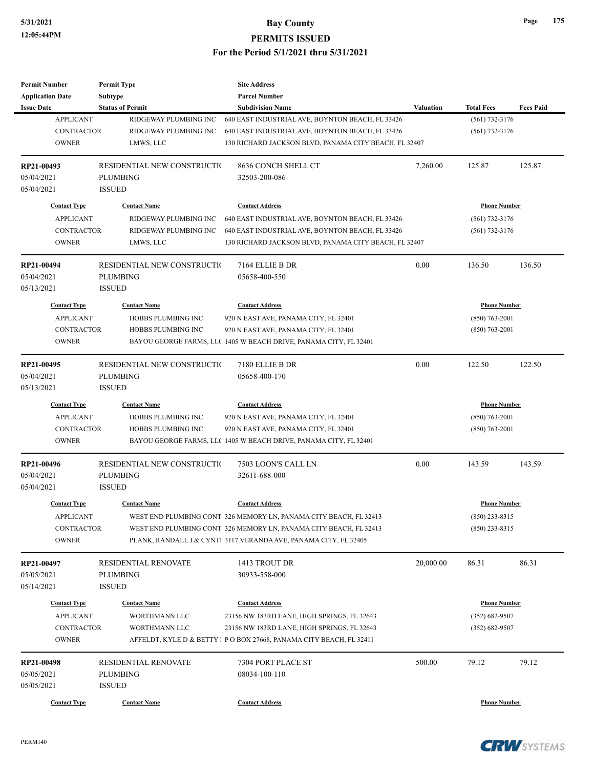| <b>Permit Number</b>    | <b>Permit Type</b>           | <b>Site Address</b>                                                  |                  |                     |                  |
|-------------------------|------------------------------|----------------------------------------------------------------------|------------------|---------------------|------------------|
| <b>Application Date</b> | <b>Subtype</b>               | <b>Parcel Number</b>                                                 |                  |                     |                  |
| <b>Issue Date</b>       | <b>Status of Permit</b>      | <b>Subdivision Name</b>                                              | <b>Valuation</b> | <b>Total Fees</b>   | <b>Fees Paid</b> |
| <b>APPLICANT</b>        | RIDGEWAY PLUMBING INC        | 640 EAST INDUSTRIAL AVE, BOYNTON BEACH, FL 33426                     |                  | $(561) 732 - 3176$  |                  |
| <b>CONTRACTOR</b>       | RIDGEWAY PLUMBING INC        | 640 EAST INDUSTRIAL AVE, BOYNTON BEACH, FL 33426                     |                  | $(561)$ 732-3176    |                  |
| <b>OWNER</b>            | LMWS, LLC                    | 130 RICHARD JACKSON BLVD, PANAMA CITY BEACH, FL 32407                |                  |                     |                  |
| RP21-00493              | RESIDENTIAL NEW CONSTRUCTIO  | 8636 CONCH SHELL CT                                                  | 7,260.00         | 125.87              | 125.87           |
| 05/04/2021              | <b>PLUMBING</b>              | 32503-200-086                                                        |                  |                     |                  |
| 05/04/2021              | <b>ISSUED</b>                |                                                                      |                  |                     |                  |
| <b>Contact Type</b>     | <b>Contact Name</b>          | <b>Contact Address</b>                                               |                  | <b>Phone Number</b> |                  |
| <b>APPLICANT</b>        | RIDGEWAY PLUMBING INC        | 640 EAST INDUSTRIAL AVE, BOYNTON BEACH, FL 33426                     |                  | $(561)$ 732-3176    |                  |
| <b>CONTRACTOR</b>       | RIDGEWAY PLUMBING INC        | 640 EAST INDUSTRIAL AVE, BOYNTON BEACH, FL 33426                     |                  | $(561)$ 732-3176    |                  |
| <b>OWNER</b>            | LMWS, LLC                    | 130 RICHARD JACKSON BLVD, PANAMA CITY BEACH, FL 32407                |                  |                     |                  |
| RP21-00494              | RESIDENTIAL NEW CONSTRUCTIO  | 7164 ELLIE B DR                                                      | 0.00             | 136.50              | 136.50           |
| 05/04/2021              | <b>PLUMBING</b>              | 05658-400-550                                                        |                  |                     |                  |
| 05/13/2021              | <b>ISSUED</b>                |                                                                      |                  |                     |                  |
| <b>Contact Type</b>     | <b>Contact Name</b>          | <b>Contact Address</b>                                               |                  | <b>Phone Number</b> |                  |
| <b>APPLICANT</b>        | HOBBS PLUMBING INC           | 920 N EAST AVE, PANAMA CITY, FL 32401                                |                  | $(850)$ 763-2001    |                  |
| <b>CONTRACTOR</b>       | HOBBS PLUMBING INC           | 920 N EAST AVE, PANAMA CITY, FL 32401                                |                  | $(850)$ 763-2001    |                  |
| <b>OWNER</b>            |                              | BAYOU GEORGE FARMS, LLC 1405 W BEACH DRIVE, PANAMA CITY, FL 32401    |                  |                     |                  |
|                         |                              |                                                                      |                  |                     |                  |
| RP21-00495              | RESIDENTIAL NEW CONSTRUCTIO  | 7180 ELLIE B DR                                                      | 0.00             | 122.50              | 122.50           |
| 05/04/2021              | <b>PLUMBING</b>              | 05658-400-170                                                        |                  |                     |                  |
| 05/13/2021              | <b>ISSUED</b>                |                                                                      |                  |                     |                  |
| <b>Contact Type</b>     | <b>Contact Name</b>          | <b>Contact Address</b>                                               |                  | <b>Phone Number</b> |                  |
| <b>APPLICANT</b>        | HOBBS PLUMBING INC           | 920 N EAST AVE, PANAMA CITY, FL 32401                                |                  | $(850)$ 763-2001    |                  |
| <b>CONTRACTOR</b>       | HOBBS PLUMBING INC           | 920 N EAST AVE, PANAMA CITY, FL 32401                                |                  | $(850) 763 - 2001$  |                  |
| <b>OWNER</b>            |                              | BAYOU GEORGE FARMS, LLC 1405 W BEACH DRIVE, PANAMA CITY, FL 32401    |                  |                     |                  |
| RP21-00496              | RESIDENTIAL NEW CONSTRUCTION | 7503 LOON'S CALL LN                                                  | 0.00             | 143.59              | 143.59           |
| 05/04/2021              | <b>PLUMBING</b>              | 32611-688-000                                                        |                  |                     |                  |
| 05/04/2021              | <b>ISSUED</b>                |                                                                      |                  |                     |                  |
| <b>Contact Type</b>     | <b>Contact Name</b>          | <b>Contact Address</b>                                               |                  | <b>Phone Number</b> |                  |
| <b>APPLICANT</b>        |                              | WEST END PLUMBING CONT 326 MEMORY LN, PANAMA CITY BEACH, FL 32413    |                  | (850) 233-8315      |                  |
| CONTRACTOR              |                              | WEST END PLUMBING CONT 326 MEMORY LN, PANAMA CITY BEACH, FL 32413    |                  | $(850)$ 233-8315    |                  |
| <b>OWNER</b>            |                              | PLANK, RANDALL J & CYNT1 3117 VERANDA AVE, PANAMA CITY, FL 32405     |                  |                     |                  |
| RP21-00497              | RESIDENTIAL RENOVATE         | 1413 TROUT DR                                                        | 20,000.00        | 86.31               | 86.31            |
| 05/05/2021              | <b>PLUMBING</b>              | 30933-558-000                                                        |                  |                     |                  |
| 05/14/2021              | <b>ISSUED</b>                |                                                                      |                  |                     |                  |
| <b>Contact Type</b>     | <b>Contact Name</b>          | <b>Contact Address</b>                                               |                  | <b>Phone Number</b> |                  |
| <b>APPLICANT</b>        | WORTHMANN LLC                | 23156 NW 183RD LANE, HIGH SPRINGS, FL 32643                          |                  | $(352) 682 - 9507$  |                  |
| CONTRACTOR              | WORTHMANN LLC                | 23156 NW 183RD LANE, HIGH SPRINGS, FL 32643                          |                  | $(352) 682 - 9507$  |                  |
| <b>OWNER</b>            |                              | AFFELDT, KYLE D & BETTY 1 P O BOX 27668, PANAMA CITY BEACH, FL 32411 |                  |                     |                  |
|                         |                              |                                                                      |                  |                     |                  |
| RP21-00498              | RESIDENTIAL RENOVATE         | 7304 PORT PLACE ST                                                   | 500.00           | 79.12               | 79.12            |
| 05/05/2021              | <b>PLUMBING</b>              | 08034-100-110                                                        |                  |                     |                  |
| 05/05/2021              | <b>ISSUED</b>                |                                                                      |                  |                     |                  |
| <b>Contact Type</b>     | <b>Contact Name</b>          | <b>Contact Address</b>                                               |                  | <b>Phone Number</b> |                  |



**CRW**SYSTEMS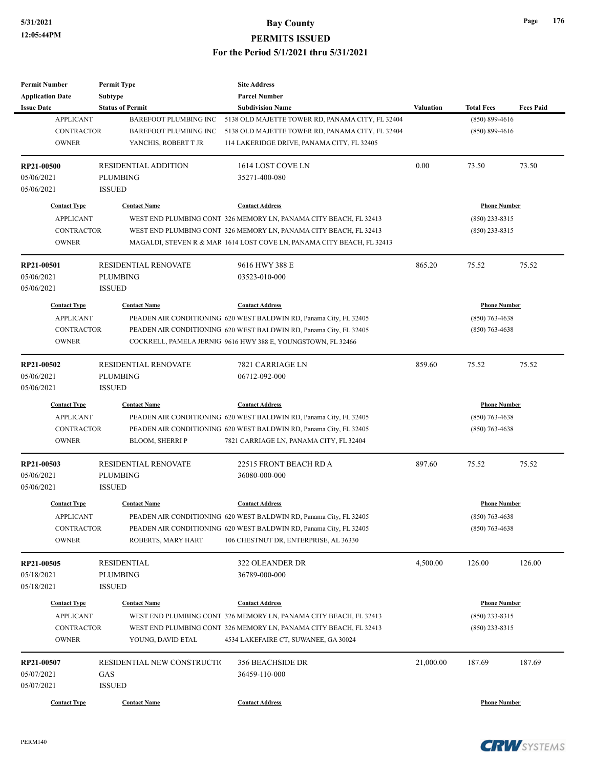| <b>Permit Number</b>     | <b>Permit Type</b>           | <b>Site Address</b>                                                    |                  |                     |                  |
|--------------------------|------------------------------|------------------------------------------------------------------------|------------------|---------------------|------------------|
| <b>Application Date</b>  | <b>Subtype</b>               | <b>Parcel Number</b>                                                   |                  |                     |                  |
| <b>Issue Date</b>        | <b>Status of Permit</b>      | <b>Subdivision Name</b>                                                | <b>Valuation</b> | <b>Total Fees</b>   | <b>Fees Paid</b> |
| <b>APPLICANT</b>         | <b>BAREFOOT PLUMBING INC</b> | 5138 OLD MAJETTE TOWER RD, PANAMA CITY, FL 32404                       |                  | $(850) 899 - 4616$  |                  |
| <b>CONTRACTOR</b>        | <b>BAREFOOT PLUMBING INC</b> | 5138 OLD MAJETTE TOWER RD, PANAMA CITY, FL 32404                       |                  | $(850) 899 - 4616$  |                  |
| <b>OWNER</b>             | YANCHIS, ROBERT T JR         | 114 LAKERIDGE DRIVE, PANAMA CITY, FL 32405                             |                  |                     |                  |
| RP21-00500               | <b>RESIDENTIAL ADDITION</b>  | 1614 LOST COVE LN                                                      | 0.00             | 73.50               | 73.50            |
| 05/06/2021               | <b>PLUMBING</b>              | 35271-400-080                                                          |                  |                     |                  |
| 05/06/2021               | <b>ISSUED</b>                |                                                                        |                  |                     |                  |
| <b>Contact Type</b>      | <b>Contact Name</b>          | <b>Contact Address</b>                                                 |                  | <b>Phone Number</b> |                  |
| <b>APPLICANT</b>         |                              | WEST END PLUMBING CONT 326 MEMORY LN, PANAMA CITY BEACH, FL 32413      |                  | $(850)$ 233-8315    |                  |
| <b>CONTRACTOR</b>        |                              | WEST END PLUMBING CONT 326 MEMORY LN, PANAMA CITY BEACH, FL 32413      |                  | $(850)$ 233-8315    |                  |
| <b>OWNER</b>             |                              | MAGALDI, STEVEN R & MAR 1614 LOST COVE LN, PANAMA CITY BEACH, FL 32413 |                  |                     |                  |
| RP21-00501               | <b>RESIDENTIAL RENOVATE</b>  | 9616 HWY 388 E                                                         | 865.20           | 75.52               | 75.52            |
| 05/06/2021               | <b>PLUMBING</b>              | 03523-010-000                                                          |                  |                     |                  |
| 05/06/2021               | <b>ISSUED</b>                |                                                                        |                  |                     |                  |
| <b>Contact Type</b>      | <b>Contact Name</b>          | <b>Contact Address</b>                                                 |                  | <b>Phone Number</b> |                  |
| <b>APPLICANT</b>         |                              | PEADEN AIR CONDITIONING 620 WEST BALDWIN RD, Panama City, FL 32405     |                  | $(850)$ 763-4638    |                  |
| <b>CONTRACTOR</b>        |                              | PEADEN AIR CONDITIONING 620 WEST BALDWIN RD, Panama City, FL 32405     |                  | $(850)$ 763-4638    |                  |
| <b>OWNER</b>             |                              | COCKRELL, PAMELA JERNIG 9616 HWY 388 E, YOUNGSTOWN, FL 32466           |                  |                     |                  |
| RP21-00502               | RESIDENTIAL RENOVATE         | 7821 CARRIAGE LN                                                       | 859.60           | 75.52               | 75.52            |
|                          | <b>PLUMBING</b>              | 06712-092-000                                                          |                  |                     |                  |
| 05/06/2021<br>05/06/2021 | <b>ISSUED</b>                |                                                                        |                  |                     |                  |
|                          |                              |                                                                        |                  |                     |                  |
| <b>Contact Type</b>      | <b>Contact Name</b>          | <b>Contact Address</b>                                                 |                  | <b>Phone Number</b> |                  |
| <b>APPLICANT</b>         |                              | PEADEN AIR CONDITIONING 620 WEST BALDWIN RD, Panama City, FL 32405     |                  | $(850)$ 763-4638    |                  |
| <b>CONTRACTOR</b>        |                              | PEADEN AIR CONDITIONING 620 WEST BALDWIN RD, Panama City, FL 32405     |                  | $(850)$ 763-4638    |                  |
| <b>OWNER</b>             | <b>BLOOM, SHERRI P</b>       | 7821 CARRIAGE LN, PANAMA CITY, FL 32404                                |                  |                     |                  |
| RP21-00503               | RESIDENTIAL RENOVATE         | 22515 FRONT BEACH RD A                                                 | 897.60           | 75.52               | 75.52            |
| 05/06/2021               | <b>PLUMBING</b>              | 36080-000-000                                                          |                  |                     |                  |
| 05/06/2021               | <b>ISSUED</b>                |                                                                        |                  |                     |                  |
| <b>Contact Type</b>      | <b>Contact Name</b>          | <b>Contact Address</b>                                                 |                  | <b>Phone Number</b> |                  |
| <b>APPLICANT</b>         |                              | PEADEN AIR CONDITIONING 620 WEST BALDWIN RD, Panama City, FL 32405     |                  | $(850)$ 763-4638    |                  |
| <b>CONTRACTOR</b>        |                              | PEADEN AIR CONDITIONING 620 WEST BALDWIN RD, Panama City, FL 32405     |                  | $(850)$ 763-4638    |                  |
| <b>OWNER</b>             | ROBERTS, MARY HART           | 106 CHESTNUT DR, ENTERPRISE, AL 36330                                  |                  |                     |                  |
| RP21-00505               | <b>RESIDENTIAL</b>           | 322 OLEANDER DR                                                        | 4,500.00         | 126.00              | 126.00           |
| 05/18/2021               | <b>PLUMBING</b>              | 36789-000-000                                                          |                  |                     |                  |
| 05/18/2021               | <b>ISSUED</b>                |                                                                        |                  |                     |                  |
| <b>Contact Type</b>      |                              | <b>Contact Address</b>                                                 |                  |                     |                  |
|                          | <b>Contact Name</b>          |                                                                        |                  | <b>Phone Number</b> |                  |
| <b>APPLICANT</b>         |                              | WEST END PLUMBING CONT 326 MEMORY LN, PANAMA CITY BEACH, FL 32413      |                  | $(850)$ 233-8315    |                  |
| <b>CONTRACTOR</b>        |                              | WEST END PLUMBING CONT 326 MEMORY LN, PANAMA CITY BEACH, FL 32413      |                  | (850) 233-8315      |                  |
| <b>OWNER</b>             | YOUNG, DAVID ETAL            | 4534 LAKEFAIRE CT, SUWANEE, GA 30024                                   |                  |                     |                  |
| RP21-00507               | RESIDENTIAL NEW CONSTRUCTIO  | <b>356 BEACHSIDE DR</b>                                                | 21,000.00        | 187.69              | 187.69           |
| 05/07/2021               | GAS                          | 36459-110-000                                                          |                  |                     |                  |
| 05/07/2021               | <b>ISSUED</b>                |                                                                        |                  |                     |                  |
| <b>Contact Type</b>      | <b>Contact Name</b>          | <b>Contact Address</b>                                                 |                  | <b>Phone Number</b> |                  |

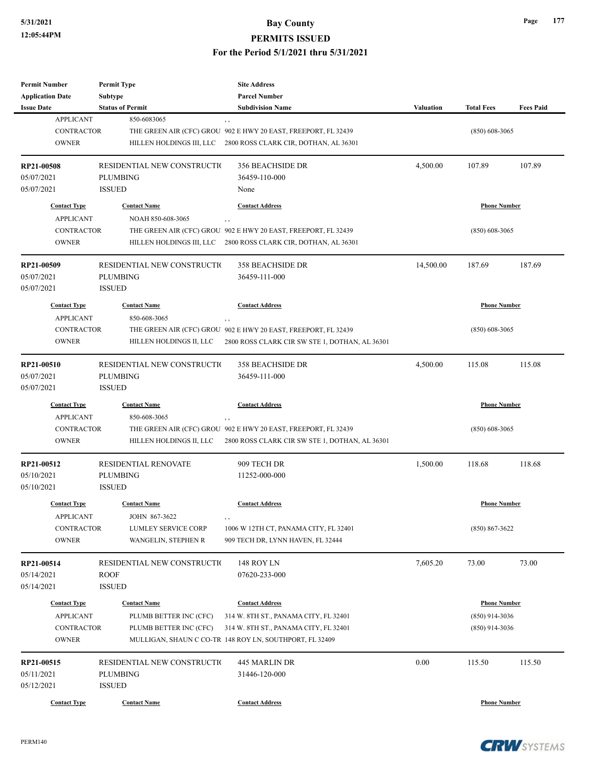| <b>Permit Number</b>     | <b>Permit Type</b>                          | <b>Site Address</b>                                                    |                  |                     |                  |
|--------------------------|---------------------------------------------|------------------------------------------------------------------------|------------------|---------------------|------------------|
| <b>Application Date</b>  | Subtype                                     | <b>Parcel Number</b>                                                   |                  |                     |                  |
| <b>Issue Date</b>        | <b>Status of Permit</b>                     | <b>Subdivision Name</b>                                                | <b>Valuation</b> | <b>Total Fees</b>   | <b>Fees Paid</b> |
| <b>APPLICANT</b>         | 850-6083065                                 | $, \, ,$                                                               |                  |                     |                  |
| <b>CONTRACTOR</b>        |                                             | THE GREEN AIR (CFC) GROU. 902 E HWY 20 EAST, FREEPORT, FL 32439        |                  | $(850)$ 608-3065    |                  |
| <b>OWNER</b>             | HILLEN HOLDINGS III, LLC                    | 2800 ROSS CLARK CIR, DOTHAN, AL 36301                                  |                  |                     |                  |
| RP21-00508               | RESIDENTIAL NEW CONSTRUCTIO                 | <b>356 BEACHSIDE DR</b>                                                | 4,500.00         | 107.89              | 107.89           |
| 05/07/2021               | <b>PLUMBING</b>                             | 36459-110-000                                                          |                  |                     |                  |
| 05/07/2021               | <b>ISSUED</b>                               | None                                                                   |                  |                     |                  |
|                          |                                             |                                                                        |                  |                     |                  |
| <b>Contact Type</b>      | <b>Contact Name</b>                         | <b>Contact Address</b>                                                 |                  | <b>Phone Number</b> |                  |
| <b>APPLICANT</b>         | NOAH 850-608-3065                           | , ,                                                                    |                  |                     |                  |
| <b>CONTRACTOR</b>        |                                             | THE GREEN AIR (CFC) GROU. 902 E HWY 20 EAST, FREEPORT, FL 32439        |                  | $(850)$ 608-3065    |                  |
| <b>OWNER</b>             | HILLEN HOLDINGS III, LLC                    | 2800 ROSS CLARK CIR, DOTHAN, AL 36301                                  |                  |                     |                  |
| RP21-00509               | RESIDENTIAL NEW CONSTRUCTIO                 | <b>358 BEACHSIDE DR</b>                                                | 14,500.00        | 187.69              | 187.69           |
| 05/07/2021               | <b>PLUMBING</b>                             | 36459-111-000                                                          |                  |                     |                  |
| 05/07/2021               | <b>ISSUED</b>                               |                                                                        |                  |                     |                  |
| <b>Contact Type</b>      | <b>Contact Name</b>                         | <b>Contact Address</b>                                                 |                  | <b>Phone Number</b> |                  |
| <b>APPLICANT</b>         | 850-608-3065                                |                                                                        |                  |                     |                  |
| CONTRACTOR               |                                             | , ,<br>THE GREEN AIR (CFC) GROU. 902 E HWY 20 EAST, FREEPORT, FL 32439 |                  | $(850)$ 608-3065    |                  |
| <b>OWNER</b>             | HILLEN HOLDINGS II, LLC                     | 2800 ROSS CLARK CIR SW STE 1, DOTHAN, AL 36301                         |                  |                     |                  |
|                          |                                             |                                                                        |                  |                     |                  |
| RP21-00510               | RESIDENTIAL NEW CONSTRUCTIO                 | <b>358 BEACHSIDE DR</b>                                                | 4,500.00         | 115.08              | 115.08           |
| 05/07/2021               | <b>PLUMBING</b>                             | 36459-111-000                                                          |                  |                     |                  |
| 05/07/2021               | <b>ISSUED</b>                               |                                                                        |                  |                     |                  |
| <b>Contact Type</b>      | <b>Contact Name</b>                         | <b>Contact Address</b>                                                 |                  | <b>Phone Number</b> |                  |
| <b>APPLICANT</b>         | 850-608-3065                                | $, \, ,$                                                               |                  |                     |                  |
| <b>CONTRACTOR</b>        |                                             | THE GREEN AIR (CFC) GROU. 902 E HWY 20 EAST, FREEPORT, FL 32439        |                  | $(850)$ 608-3065    |                  |
| <b>OWNER</b>             | HILLEN HOLDINGS II, LLC                     | 2800 ROSS CLARK CIR SW STE 1, DOTHAN, AL 36301                         |                  |                     |                  |
|                          |                                             |                                                                        |                  |                     |                  |
| RP21-00512               | <b>RESIDENTIAL RENOVATE</b>                 | 909 TECH DR                                                            | 1,500.00         | 118.68              | 118.68           |
| 05/10/2021               | <b>PLUMBING</b>                             | 11252-000-000                                                          |                  |                     |                  |
| 05/10/2021               | <b>ISSUED</b>                               |                                                                        |                  |                     |                  |
| <b>Contact Type</b>      | <b>Contact Name</b>                         | <b>Contact Address</b>                                                 |                  | <b>Phone Number</b> |                  |
| <b>APPLICANT</b>         | JOHN 867-3622                               |                                                                        |                  |                     |                  |
| CONTRACTOR               | LUMLEY SERVICE CORP                         | 1006 W 12TH CT, PANAMA CITY, FL 32401                                  |                  | $(850) 867 - 3622$  |                  |
| <b>OWNER</b>             | WANGELIN, STEPHEN R                         | 909 TECH DR, LYNN HAVEN, FL 32444                                      |                  |                     |                  |
|                          |                                             |                                                                        |                  |                     |                  |
| RP21-00514<br>05/14/2021 | RESIDENTIAL NEW CONSTRUCTION<br><b>ROOF</b> | 148 ROY LN<br>07620-233-000                                            | 7,605.20         | 73.00               | 73.00            |
| 05/14/2021               | <b>ISSUED</b>                               |                                                                        |                  |                     |                  |
|                          |                                             |                                                                        |                  |                     |                  |
| <b>Contact Type</b>      | <b>Contact Name</b>                         | <b>Contact Address</b>                                                 |                  | <b>Phone Number</b> |                  |
| <b>APPLICANT</b>         | PLUMB BETTER INC (CFC)                      | 314 W. 8TH ST., PANAMA CITY, FL 32401                                  |                  | $(850)$ 914-3036    |                  |
| CONTRACTOR               | PLUMB BETTER INC (CFC)                      | 314 W. 8TH ST., PANAMA CITY, FL 32401                                  |                  | $(850)$ 914-3036    |                  |
| <b>OWNER</b>             |                                             | MULLIGAN, SHAUN C CO-TR 148 ROY LN, SOUTHPORT, FL 32409                |                  |                     |                  |
| RP21-00515               | RESIDENTIAL NEW CONSTRUCTIO                 | 445 MARLIN DR                                                          | 0.00             | 115.50              | 115.50           |
| 05/11/2021               | <b>PLUMBING</b>                             | 31446-120-000                                                          |                  |                     |                  |
| 05/12/2021               | <b>ISSUED</b>                               |                                                                        |                  |                     |                  |
| <b>Contact Type</b>      | <b>Contact Name</b>                         | <b>Contact Address</b>                                                 |                  | <b>Phone Number</b> |                  |
|                          |                                             |                                                                        |                  |                     |                  |

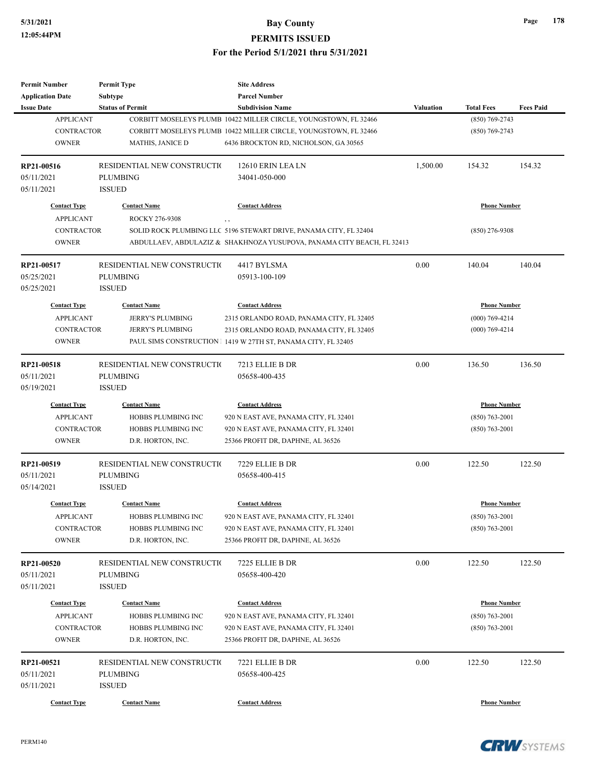| <b>Permit Number</b>    | <b>Permit Type</b>          | <b>Site Address</b>                                                    |                  |                     |                  |
|-------------------------|-----------------------------|------------------------------------------------------------------------|------------------|---------------------|------------------|
| <b>Application Date</b> | <b>Subtype</b>              | <b>Parcel Number</b>                                                   |                  |                     |                  |
| <b>Issue Date</b>       | <b>Status of Permit</b>     | <b>Subdivision Name</b>                                                | <b>Valuation</b> | <b>Total Fees</b>   | <b>Fees Paid</b> |
| <b>APPLICANT</b>        |                             | CORBITT MOSELEYS PLUMB 10422 MILLER CIRCLE, YOUNGSTOWN, FL 32466       |                  | $(850)$ 769-2743    |                  |
| <b>CONTRACTOR</b>       |                             | CORBITT MOSELEYS PLUMB 10422 MILLER CIRCLE, YOUNGSTOWN, FL 32466       |                  | $(850)$ 769-2743    |                  |
| <b>OWNER</b>            | <b>MATHIS, JANICE D</b>     | 6436 BROCKTON RD, NICHOLSON, GA 30565                                  |                  |                     |                  |
| RP21-00516              | RESIDENTIAL NEW CONSTRUCTIO | 12610 ERIN LEA LN                                                      | 1,500.00         | 154.32              | 154.32           |
| 05/11/2021              | <b>PLUMBING</b>             | 34041-050-000                                                          |                  |                     |                  |
| 05/11/2021              | <b>ISSUED</b>               |                                                                        |                  |                     |                  |
| <b>Contact Type</b>     | <b>Contact Name</b>         | <b>Contact Address</b>                                                 |                  | <b>Phone Number</b> |                  |
| <b>APPLICANT</b>        | ROCKY 276-9308              | $, \, , \,$                                                            |                  |                     |                  |
| <b>CONTRACTOR</b>       |                             | SOLID ROCK PLUMBING LLC 5196 STEWART DRIVE, PANAMA CITY, FL 32404      |                  | $(850)$ 276-9308    |                  |
| <b>OWNER</b>            |                             | ABDULLAEV, ABDULAZIZ & SHAKHNOZA YUSUPOVA, PANAMA CITY BEACH, FL 32413 |                  |                     |                  |
| RP21-00517              | RESIDENTIAL NEW CONSTRUCTIO | 4417 BYLSMA                                                            | 0.00             | 140.04              | 140.04           |
| 05/25/2021              | <b>PLUMBING</b>             | 05913-100-109                                                          |                  |                     |                  |
| 05/25/2021              | <b>ISSUED</b>               |                                                                        |                  |                     |                  |
| <b>Contact Type</b>     | <b>Contact Name</b>         | <b>Contact Address</b>                                                 |                  | <b>Phone Number</b> |                  |
| <b>APPLICANT</b>        | <b>JERRY'S PLUMBING</b>     | 2315 ORLANDO ROAD, PANAMA CITY, FL 32405                               |                  | $(000)$ 769-4214    |                  |
| <b>CONTRACTOR</b>       | <b>JERRY'S PLUMBING</b>     | 2315 ORLANDO ROAD, PANAMA CITY, FL 32405                               |                  | $(000)$ 769-4214    |                  |
| <b>OWNER</b>            |                             | PAUL SIMS CONSTRUCTION 1 1419 W 27TH ST, PANAMA CITY, FL 32405         |                  |                     |                  |
|                         |                             |                                                                        |                  |                     |                  |
| RP21-00518              | RESIDENTIAL NEW CONSTRUCTIO | 7213 ELLIE B DR                                                        | 0.00             | 136.50              | 136.50           |
| 05/11/2021              | <b>PLUMBING</b>             | 05658-400-435                                                          |                  |                     |                  |
| 05/19/2021              | <b>ISSUED</b>               |                                                                        |                  |                     |                  |
| <b>Contact Type</b>     | <b>Contact Name</b>         | <b>Contact Address</b>                                                 |                  | <b>Phone Number</b> |                  |
| <b>APPLICANT</b>        | HOBBS PLUMBING INC          | 920 N EAST AVE, PANAMA CITY, FL 32401                                  |                  | $(850) 763 - 2001$  |                  |
| <b>CONTRACTOR</b>       | HOBBS PLUMBING INC          | 920 N EAST AVE, PANAMA CITY, FL 32401                                  |                  | $(850)$ 763-2001    |                  |
| <b>OWNER</b>            | D.R. HORTON, INC.           | 25366 PROFIT DR, DAPHNE, AL 36526                                      |                  |                     |                  |
| RP21-00519              | RESIDENTIAL NEW CONSTRUCTIO | 7229 ELLIE B DR                                                        | 0.00             | 122.50              | 122.50           |
| 05/11/2021              | <b>PLUMBING</b>             | 05658-400-415                                                          |                  |                     |                  |
| 05/14/2021              | <b>ISSUED</b>               |                                                                        |                  |                     |                  |
| <b>Contact Type</b>     | <b>Contact Name</b>         | <b>Contact Address</b>                                                 |                  | <b>Phone Number</b> |                  |
| <b>APPLICANT</b>        | HOBBS PLUMBING INC          | 920 N EAST AVE, PANAMA CITY, FL 32401                                  |                  | $(850) 763 - 2001$  |                  |
| CONTRACTOR              | HOBBS PLUMBING INC          | 920 N EAST AVE, PANAMA CITY, FL 32401                                  |                  | $(850) 763 - 2001$  |                  |
| <b>OWNER</b>            | D.R. HORTON, INC.           | 25366 PROFIT DR, DAPHNE, AL 36526                                      |                  |                     |                  |
| RP21-00520              | RESIDENTIAL NEW CONSTRUCTIO | 7225 ELLIE B DR                                                        | 0.00             | 122.50              | 122.50           |
| 05/11/2021              | <b>PLUMBING</b>             | 05658-400-420                                                          |                  |                     |                  |
| 05/11/2021              | <b>ISSUED</b>               |                                                                        |                  |                     |                  |
| <b>Contact Type</b>     | <b>Contact Name</b>         | <b>Contact Address</b>                                                 |                  | <b>Phone Number</b> |                  |
|                         |                             |                                                                        |                  |                     |                  |
| <b>APPLICANT</b>        | HOBBS PLUMBING INC          | 920 N EAST AVE, PANAMA CITY, FL 32401                                  |                  | $(850)$ 763-2001    |                  |
| <b>CONTRACTOR</b>       | HOBBS PLUMBING INC          | 920 N EAST AVE, PANAMA CITY, FL 32401                                  |                  | $(850) 763 - 2001$  |                  |
| <b>OWNER</b>            | D.R. HORTON, INC.           | 25366 PROFIT DR, DAPHNE, AL 36526                                      |                  |                     |                  |
| RP21-00521              | RESIDENTIAL NEW CONSTRUCTIO | 7221 ELLIE B DR                                                        | 0.00             | 122.50              | 122.50           |
| 05/11/2021              | <b>PLUMBING</b>             | 05658-400-425                                                          |                  |                     |                  |
| 05/11/2021              | <b>ISSUED</b>               |                                                                        |                  |                     |                  |
| <b>Contact Type</b>     | <b>Contact Name</b>         | <b>Contact Address</b>                                                 |                  | <b>Phone Number</b> |                  |
|                         |                             |                                                                        |                  |                     |                  |



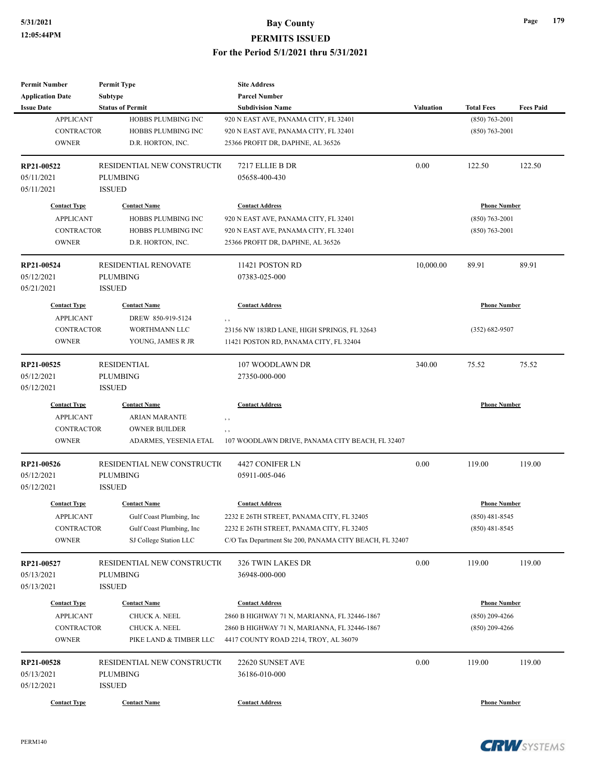| <b>Permit Number</b>       | <b>Permit Type</b>                      | <b>Site Address</b>                                                                   |                  |                     |                  |
|----------------------------|-----------------------------------------|---------------------------------------------------------------------------------------|------------------|---------------------|------------------|
| <b>Application Date</b>    | Subtype                                 | <b>Parcel Number</b>                                                                  |                  |                     |                  |
| <b>Issue Date</b>          | <b>Status of Permit</b>                 | <b>Subdivision Name</b>                                                               | <b>Valuation</b> | <b>Total Fees</b>   | <b>Fees Paid</b> |
| <b>APPLICANT</b>           | HOBBS PLUMBING INC                      | 920 N EAST AVE, PANAMA CITY, FL 32401                                                 |                  | $(850)$ 763-2001    |                  |
| <b>CONTRACTOR</b>          | <b>HOBBS PLUMBING INC</b>               | 920 N EAST AVE, PANAMA CITY, FL 32401                                                 |                  | $(850)$ 763-2001    |                  |
| <b>OWNER</b>               | D.R. HORTON, INC.                       | 25366 PROFIT DR, DAPHNE, AL 36526                                                     |                  |                     |                  |
| RP21-00522                 | RESIDENTIAL NEW CONSTRUCTIO             | 7217 ELLIE B DR                                                                       | 0.00             | 122.50              | 122.50           |
| 05/11/2021                 | <b>PLUMBING</b>                         | 05658-400-430                                                                         |                  |                     |                  |
| 05/11/2021                 | <b>ISSUED</b>                           |                                                                                       |                  |                     |                  |
| <b>Contact Type</b>        | <b>Contact Name</b>                     | <b>Contact Address</b>                                                                |                  | <b>Phone Number</b> |                  |
| <b>APPLICANT</b>           | HOBBS PLUMBING INC                      | 920 N EAST AVE, PANAMA CITY, FL 32401                                                 |                  | $(850)$ 763-2001    |                  |
| <b>CONTRACTOR</b>          | HOBBS PLUMBING INC                      | 920 N EAST AVE, PANAMA CITY, FL 32401                                                 |                  | $(850)$ 763-2001    |                  |
| <b>OWNER</b>               | D.R. HORTON, INC.                       | 25366 PROFIT DR, DAPHNE, AL 36526                                                     |                  |                     |                  |
| RP21-00524                 | <b>RESIDENTIAL RENOVATE</b>             | 11421 POSTON RD                                                                       | 10,000.00        | 89.91               | 89.91            |
| 05/12/2021                 | <b>PLUMBING</b>                         | 07383-025-000                                                                         |                  |                     |                  |
| 05/21/2021                 | <b>ISSUED</b>                           |                                                                                       |                  |                     |                  |
| <b>Contact Type</b>        | <b>Contact Name</b>                     | <b>Contact Address</b>                                                                |                  | <b>Phone Number</b> |                  |
| <b>APPLICANT</b>           | DREW 850-919-5124                       | , ,                                                                                   |                  |                     |                  |
| <b>CONTRACTOR</b>          | WORTHMANN LLC                           | 23156 NW 183RD LANE, HIGH SPRINGS, FL 32643                                           |                  | $(352) 682 - 9507$  |                  |
| <b>OWNER</b>               | YOUNG, JAMES R JR                       | 11421 POSTON RD, PANAMA CITY, FL 32404                                                |                  |                     |                  |
|                            |                                         |                                                                                       |                  |                     |                  |
| RP21-00525                 | <b>RESIDENTIAL</b>                      | 107 WOODLAWN DR                                                                       | 340.00           | 75.52               | 75.52            |
| 05/12/2021                 | <b>PLUMBING</b>                         | 27350-000-000                                                                         |                  |                     |                  |
| 05/12/2021                 | <b>ISSUED</b>                           |                                                                                       |                  |                     |                  |
| <b>Contact Type</b>        | <b>Contact Name</b>                     | <b>Contact Address</b>                                                                |                  | <b>Phone Number</b> |                  |
| <b>APPLICANT</b>           | <b>ARIAN MARANTE</b>                    | , ,                                                                                   |                  |                     |                  |
| <b>CONTRACTOR</b>          | <b>OWNER BUILDER</b>                    | $, \, , \,$                                                                           |                  |                     |                  |
| <b>OWNER</b>               | ADARMES, YESENIA ETAL                   | 107 WOODLAWN DRIVE, PANAMA CITY BEACH, FL 32407                                       |                  |                     |                  |
| RP21-00526                 | RESIDENTIAL NEW CONSTRUCTIO             | 4427 CONIFER LN                                                                       | 0.00             | 119.00              | 119.00           |
| 05/12/2021                 | <b>PLUMBING</b>                         | 05911-005-046                                                                         |                  |                     |                  |
| 05/12/2021                 | <b>ISSUED</b>                           |                                                                                       |                  |                     |                  |
| <b>Contact Type</b>        | <b>Contact Name</b>                     | <b>Contact Address</b>                                                                |                  | <b>Phone Number</b> |                  |
| <b>APPLICANT</b>           | Gulf Coast Plumbing, Inc.               | 2232 E 26TH STREET, PANAMA CITY, FL 32405                                             |                  | $(850)$ 481-8545    |                  |
| <b>CONTRACTOR</b>          | Gulf Coast Plumbing, Inc                | 2232 E 26TH STREET, PANAMA CITY, FL 32405                                             |                  | $(850)$ 481-8545    |                  |
| <b>OWNER</b>               | SJ College Station LLC                  | C/O Tax Department Ste 200, PANAMA CITY BEACH, FL 32407                               |                  |                     |                  |
| RP21-00527                 | RESIDENTIAL NEW CONSTRUCTIO             | 326 TWIN LAKES DR                                                                     | $0.00\,$         | 119.00              | 119.00           |
| 05/13/2021                 | <b>PLUMBING</b>                         | 36948-000-000                                                                         |                  |                     |                  |
| 05/13/2021                 | <b>ISSUED</b>                           |                                                                                       |                  |                     |                  |
| <b>Contact Type</b>        | <b>Contact Name</b>                     | <b>Contact Address</b>                                                                |                  | <b>Phone Number</b> |                  |
| <b>APPLICANT</b>           | CHUCK A. NEEL                           |                                                                                       |                  |                     |                  |
|                            |                                         | 2860 B HIGHWAY 71 N, MARIANNA, FL 32446-1867                                          |                  | $(850)$ 209-4266    |                  |
| CONTRACTOR<br><b>OWNER</b> | CHUCK A. NEEL<br>PIKE LAND & TIMBER LLC | 2860 B HIGHWAY 71 N, MARIANNA, FL 32446-1867<br>4417 COUNTY ROAD 2214, TROY, AL 36079 |                  | $(850)$ 209-4266    |                  |
|                            |                                         |                                                                                       |                  |                     |                  |
| RP21-00528                 | RESIDENTIAL NEW CONSTRUCTIO             | 22620 SUNSET AVE                                                                      | 0.00             | 119.00              | 119.00           |
| 05/13/2021                 | PLUMBING                                | 36186-010-000                                                                         |                  |                     |                  |
| 05/12/2021                 | <b>ISSUED</b>                           |                                                                                       |                  |                     |                  |
| <b>Contact Type</b>        | <b>Contact Name</b>                     | <b>Contact Address</b>                                                                |                  | <b>Phone Number</b> |                  |

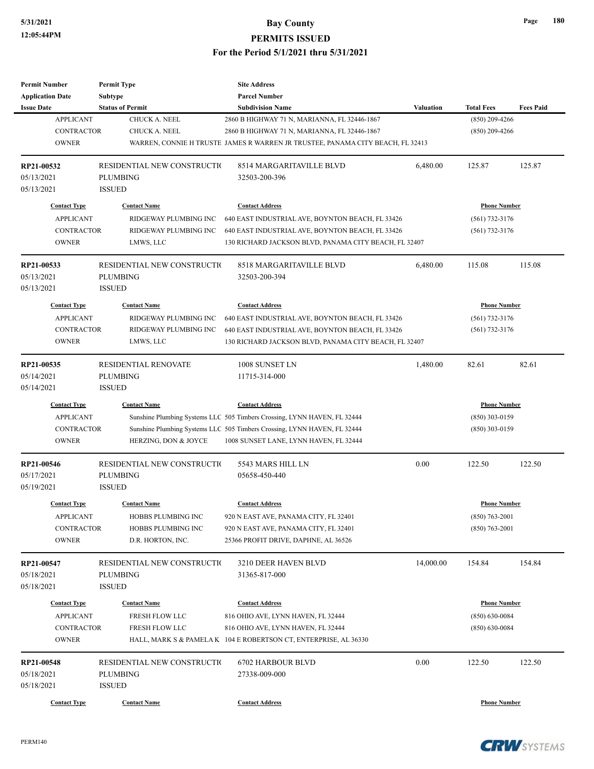| <b>Permit Number</b>     | <b>Permit Type</b>          | <b>Site Address</b>                                                            |           |                     |                  |
|--------------------------|-----------------------------|--------------------------------------------------------------------------------|-----------|---------------------|------------------|
| <b>Application Date</b>  | Subtype                     | <b>Parcel Number</b>                                                           |           |                     |                  |
| <b>Issue Date</b>        | <b>Status of Permit</b>     | <b>Subdivision Name</b>                                                        | Valuation | <b>Total Fees</b>   | <b>Fees Paid</b> |
| <b>APPLICANT</b>         | CHUCK A. NEEL               | 2860 B HIGHWAY 71 N, MARIANNA, FL 32446-1867                                   |           | $(850)$ 209-4266    |                  |
| <b>CONTRACTOR</b>        | CHUCK A. NEEL               | 2860 B HIGHWAY 71 N, MARIANNA, FL 32446-1867                                   |           | $(850)$ 209-4266    |                  |
| <b>OWNER</b>             |                             | WARREN, CONNIE H TRUSTE JAMES R WARREN JR TRUSTEE, PANAMA CITY BEACH, FL 32413 |           |                     |                  |
| RP21-00532               | RESIDENTIAL NEW CONSTRUCTIO | 8514 MARGARITAVILLE BLVD                                                       | 6,480.00  | 125.87              | 125.87           |
| 05/13/2021               | <b>PLUMBING</b>             | 32503-200-396                                                                  |           |                     |                  |
| 05/13/2021               | <b>ISSUED</b>               |                                                                                |           |                     |                  |
| <b>Contact Type</b>      | <b>Contact Name</b>         | <b>Contact Address</b>                                                         |           | <b>Phone Number</b> |                  |
| <b>APPLICANT</b>         | RIDGEWAY PLUMBING INC       | 640 EAST INDUSTRIAL AVE, BOYNTON BEACH, FL 33426                               |           | $(561)$ 732-3176    |                  |
| <b>CONTRACTOR</b>        | RIDGEWAY PLUMBING INC       | 640 EAST INDUSTRIAL AVE, BOYNTON BEACH, FL 33426                               |           | $(561)$ 732-3176    |                  |
| <b>OWNER</b>             | LMWS, LLC                   | 130 RICHARD JACKSON BLVD, PANAMA CITY BEACH, FL 32407                          |           |                     |                  |
| RP21-00533               | RESIDENTIAL NEW CONSTRUCTIO | 8518 MARGARITAVILLE BLVD                                                       | 6,480.00  | 115.08              | 115.08           |
| 05/13/2021               | <b>PLUMBING</b>             | 32503-200-394                                                                  |           |                     |                  |
| 05/13/2021               | <b>ISSUED</b>               |                                                                                |           |                     |                  |
| <b>Contact Type</b>      | <b>Contact Name</b>         | <b>Contact Address</b>                                                         |           | <b>Phone Number</b> |                  |
| <b>APPLICANT</b>         | RIDGEWAY PLUMBING INC       | 640 EAST INDUSTRIAL AVE, BOYNTON BEACH, FL 33426                               |           | $(561)$ 732-3176    |                  |
| <b>CONTRACTOR</b>        | RIDGEWAY PLUMBING INC       | 640 EAST INDUSTRIAL AVE, BOYNTON BEACH, FL 33426                               |           | $(561)$ 732-3176    |                  |
| <b>OWNER</b>             | LMWS, LLC                   | 130 RICHARD JACKSON BLVD, PANAMA CITY BEACH, FL 32407                          |           |                     |                  |
|                          |                             |                                                                                |           |                     |                  |
| RP21-00535               | <b>RESIDENTIAL RENOVATE</b> | 1008 SUNSET LN                                                                 | 1,480.00  | 82.61               | 82.61            |
| 05/14/2021               | <b>PLUMBING</b>             | 11715-314-000                                                                  |           |                     |                  |
| 05/14/2021               | <b>ISSUED</b>               |                                                                                |           |                     |                  |
| <b>Contact Type</b>      | <b>Contact Name</b>         | <b>Contact Address</b>                                                         |           | <b>Phone Number</b> |                  |
| <b>APPLICANT</b>         |                             | Sunshine Plumbing Systems LLC 505 Timbers Crossing, LYNN HAVEN, FL 32444       |           | $(850)$ 303-0159    |                  |
| <b>CONTRACTOR</b>        |                             | Sunshine Plumbing Systems LLC 505 Timbers Crossing, LYNN HAVEN, FL 32444       |           | $(850)$ 303-0159    |                  |
| <b>OWNER</b>             | HERZING, DON & JOYCE        | 1008 SUNSET LANE, LYNN HAVEN, FL 32444                                         |           |                     |                  |
| RP21-00546               | RESIDENTIAL NEW CONSTRUCTIO | 5543 MARS HILL LN                                                              | 0.00      | 122.50              | 122.50           |
| 05/17/2021               | <b>PLUMBING</b>             | 05658-450-440                                                                  |           |                     |                  |
| 05/19/2021               | <b>ISSUED</b>               |                                                                                |           |                     |                  |
| <b>Contact Type</b>      | <b>Contact Name</b>         | <b>Contact Address</b>                                                         |           | <b>Phone Number</b> |                  |
| <b>APPLICANT</b>         | HOBBS PLUMBING INC          | 920 N EAST AVE, PANAMA CITY, FL 32401                                          |           | $(850)$ 763-2001    |                  |
| CONTRACTOR               | HOBBS PLUMBING INC          | 920 N EAST AVE, PANAMA CITY, FL 32401                                          |           | $(850) 763 - 2001$  |                  |
| <b>OWNER</b>             | D.R. HORTON, INC.           | 25366 PROFIT DRIVE, DAPHNE, AL 36526                                           |           |                     |                  |
|                          |                             |                                                                                |           |                     |                  |
| RP21-00547               | RESIDENTIAL NEW CONSTRUCTIO | 3210 DEER HAVEN BLVD                                                           | 14,000.00 | 154.84              | 154.84           |
| 05/18/2021               | <b>PLUMBING</b>             | 31365-817-000                                                                  |           |                     |                  |
| 05/18/2021               | <b>ISSUED</b>               |                                                                                |           |                     |                  |
| <b>Contact Type</b>      | <b>Contact Name</b>         | <b>Contact Address</b>                                                         |           | <b>Phone Number</b> |                  |
| <b>APPLICANT</b>         | FRESH FLOW LLC              | 816 OHIO AVE, LYNN HAVEN, FL 32444                                             |           | $(850) 630 - 0084$  |                  |
| CONTRACTOR               | FRESH FLOW LLC              | 816 OHIO AVE, LYNN HAVEN, FL 32444                                             |           | $(850) 630 - 0084$  |                  |
| <b>OWNER</b>             |                             | HALL, MARK S & PAMELA K 104 E ROBERTSON CT, ENTERPRISE, AL 36330               |           |                     |                  |
| RP21-00548               | RESIDENTIAL NEW CONSTRUCTIO | 6702 HARBOUR BLVD                                                              | 0.00      | 122.50              | 122.50           |
|                          |                             |                                                                                |           |                     |                  |
| 05/18/2021<br>05/18/2021 | PLUMBING<br><b>ISSUED</b>   | 27338-009-000                                                                  |           |                     |                  |
|                          |                             |                                                                                |           |                     |                  |
| <b>Contact Type</b>      | <b>Contact Name</b>         | <b>Contact Address</b>                                                         |           | <b>Phone Number</b> |                  |

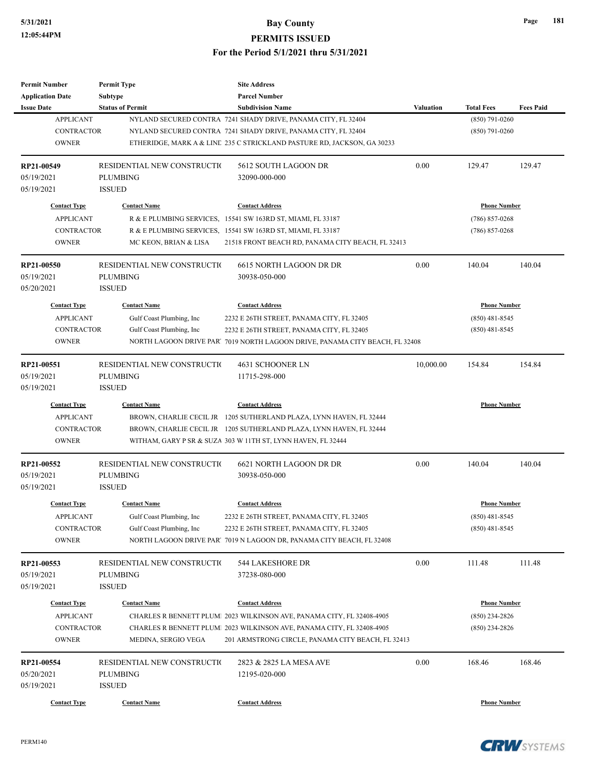# **5/31/2021 Bay County**

**PERMITS ISSUED**

### **For the Period 5/1/2021 thru 5/31/2021**

| <b>Permit Number</b><br><b>Application Date</b>                              | <b>Permit Type</b><br>Subtype                                               | <b>Site Address</b><br><b>Parcel Number</b>                                                                                                                                                                                          |                  |                                                             |                  |
|------------------------------------------------------------------------------|-----------------------------------------------------------------------------|--------------------------------------------------------------------------------------------------------------------------------------------------------------------------------------------------------------------------------------|------------------|-------------------------------------------------------------|------------------|
| <b>Issue Date</b><br><b>APPLICANT</b><br><b>CONTRACTOR</b><br><b>OWNER</b>   | <b>Status of Permit</b>                                                     | <b>Subdivision Name</b><br>NYLAND SECURED CONTRA 7241 SHADY DRIVE, PANAMA CITY, FL 32404<br>NYLAND SECURED CONTRA 7241 SHADY DRIVE, PANAMA CITY, FL 32404<br>ETHERIDGE, MARK A & LINE 235 C STRICKLAND PASTURE RD, JACKSON, GA 30233 | <b>Valuation</b> | <b>Total Fees</b><br>$(850)$ 791-0260<br>$(850)$ 791-0260   | <b>Fees Paid</b> |
| RP21-00549<br>05/19/2021<br>05/19/2021                                       | RESIDENTIAL NEW CONSTRUCTIO<br>PLUMBING<br><b>ISSUED</b>                    | 5612 SOUTH LAGOON DR<br>32090-000-000                                                                                                                                                                                                | 0.00             | 129.47                                                      | 129.47           |
| <b>Contact Type</b>                                                          | <b>Contact Name</b>                                                         | <b>Contact Address</b>                                                                                                                                                                                                               |                  | <b>Phone Number</b>                                         |                  |
| <b>APPLICANT</b><br><b>CONTRACTOR</b><br><b>OWNER</b>                        | MC KEON, BRIAN & LISA                                                       | R & E PLUMBING SERVICES, 15541 SW 163RD ST, MIAMI, FL 33187<br>R & E PLUMBING SERVICES, 15541 SW 163RD ST, MIAMI, FL 33187<br>21518 FRONT BEACH RD, PANAMA CITY BEACH, FL 32413                                                      |                  | $(786) 857 - 0268$<br>$(786)$ 857-0268                      |                  |
| RP21-00550<br>05/19/2021<br>05/20/2021                                       | RESIDENTIAL NEW CONSTRUCTIO<br>PLUMBING<br><b>ISSUED</b>                    | 6615 NORTH LAGOON DR DR<br>30938-050-000                                                                                                                                                                                             | 0.00             | 140.04                                                      | 140.04           |
| <b>Contact Type</b><br><b>APPLICANT</b><br><b>CONTRACTOR</b><br><b>OWNER</b> | <b>Contact Name</b><br>Gulf Coast Plumbing, Inc<br>Gulf Coast Plumbing, Inc | <b>Contact Address</b><br>2232 E 26TH STREET, PANAMA CITY, FL 32405<br>2232 E 26TH STREET, PANAMA CITY, FL 32405<br>NORTH LAGOON DRIVE PAR. 7019 NORTH LAGOON DRIVE, PANAMA CITY BEACH, FL 32408                                     |                  | <b>Phone Number</b><br>$(850)$ 481-8545<br>$(850)$ 481-8545 |                  |
| RP21-00551<br>05/19/2021<br>05/19/2021                                       | RESIDENTIAL NEW CONSTRUCTIO<br>PLUMBING<br><b>ISSUED</b>                    | 4631 SCHOONER LN<br>11715-298-000                                                                                                                                                                                                    | 10,000.00        | 154.84                                                      | 154.84           |
| <b>Contact Type</b><br><b>APPLICANT</b><br><b>CONTRACTOR</b><br><b>OWNER</b> | <b>Contact Name</b>                                                         | <b>Contact Address</b><br>BROWN, CHARLIE CECIL JR 1205 SUTHERLAND PLAZA, LYNN HAVEN, FL 32444<br>BROWN, CHARLIE CECIL JR 1205 SUTHERLAND PLAZA, LYNN HAVEN, FL 32444<br>WITHAM, GARY P SR & SUZA 303 W 11TH ST, LYNN HAVEN, FL 32444 |                  | <b>Phone Number</b>                                         |                  |
| RP21-00552<br>05/19/2021<br>05/19/2021                                       | RESIDENTIAL NEW CONSTRUCTIO<br><b>PLUMBING</b><br><b>ISSUED</b>             | 6621 NORTH LAGOON DR DR<br>30938-050-000                                                                                                                                                                                             | 0.00             | 140.04                                                      | 140.04           |
| <b>Contact Type</b><br><b>APPLICANT</b><br><b>CONTRACTOR</b><br><b>OWNER</b> | <b>Contact Name</b><br>Gulf Coast Plumbing, Inc<br>Gulf Coast Plumbing, Inc | <b>Contact Address</b><br>2232 E 26TH STREET, PANAMA CITY, FL 32405<br>2232 E 26TH STREET, PANAMA CITY, FL 32405<br>NORTH LAGOON DRIVE PAR. 7019 N LAGOON DR, PANAMA CITY BEACH, FL 32408                                            |                  | <b>Phone Number</b><br>$(850)$ 481-8545<br>$(850)$ 481-8545 |                  |
| RP21-00553<br>05/19/2021<br>05/19/2021                                       | RESIDENTIAL NEW CONSTRUCTIO<br><b>PLUMBING</b><br><b>ISSUED</b>             | 544 LAKESHORE DR<br>37238-080-000                                                                                                                                                                                                    | 0.00             | 111.48                                                      | 111.48           |
| <b>Contact Type</b><br><b>APPLICANT</b><br>CONTRACTOR<br><b>OWNER</b>        | <b>Contact Name</b><br>MEDINA, SERGIO VEGA                                  | <b>Contact Address</b><br>CHARLES R BENNETT PLUM 2023 WILKINSON AVE, PANAMA CITY, FL 32408-4905<br>CHARLES R BENNETT PLUM 2023 WILKINSON AVE, PANAMA CITY, FL 32408-4905<br>201 ARMSTRONG CIRCLE, PANAMA CITY BEACH, FL 32413        |                  | <b>Phone Number</b><br>$(850)$ 234-2826<br>$(850)$ 234-2826 |                  |
| RP21-00554<br>05/20/2021<br>05/19/2021                                       | RESIDENTIAL NEW CONSTRUCTIO<br>PLUMBING<br><b>ISSUED</b>                    | 2823 & 2825 LA MESA AVE<br>12195-020-000                                                                                                                                                                                             | 0.00             | 168.46                                                      | 168.46           |
| <b>Contact Type</b>                                                          | <b>Contact Name</b>                                                         | <b>Contact Address</b>                                                                                                                                                                                                               |                  | <b>Phone Number</b>                                         |                  |



**Page 181**

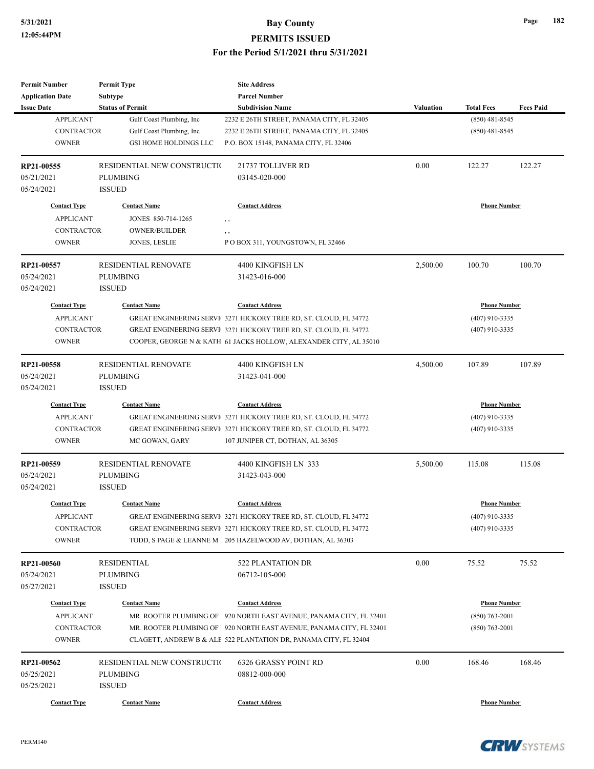| <b>Permit Number</b>    | <b>Permit Type</b>           | <b>Site Address</b>                                                   |                  |                     |                  |
|-------------------------|------------------------------|-----------------------------------------------------------------------|------------------|---------------------|------------------|
| <b>Application Date</b> | Subtype                      | <b>Parcel Number</b>                                                  |                  |                     |                  |
| <b>Issue Date</b>       | <b>Status of Permit</b>      | <b>Subdivision Name</b>                                               | <b>Valuation</b> | <b>Total Fees</b>   | <b>Fees Paid</b> |
| <b>APPLICANT</b>        | Gulf Coast Plumbing, Inc     | 2232 E 26TH STREET, PANAMA CITY, FL 32405                             |                  | $(850)$ 481-8545    |                  |
| <b>CONTRACTOR</b>       | Gulf Coast Plumbing, Inc     | 2232 E 26TH STREET, PANAMA CITY, FL 32405                             |                  | $(850)$ 481-8545    |                  |
| <b>OWNER</b>            | <b>GSI HOME HOLDINGS LLC</b> | P.O. BOX 15148, PANAMA CITY, FL 32406                                 |                  |                     |                  |
|                         |                              |                                                                       |                  |                     |                  |
| RP21-00555              | RESIDENTIAL NEW CONSTRUCTIO  | 21737 TOLLIVER RD                                                     | 0.00             | 122.27              | 122.27           |
| 05/21/2021              | <b>PLUMBING</b>              | 03145-020-000                                                         |                  |                     |                  |
| 05/24/2021              | <b>ISSUED</b>                |                                                                       |                  |                     |                  |
| <b>Contact Type</b>     | <b>Contact Name</b>          | <b>Contact Address</b>                                                |                  | <b>Phone Number</b> |                  |
| <b>APPLICANT</b>        | JONES 850-714-1265           | , ,                                                                   |                  |                     |                  |
| <b>CONTRACTOR</b>       | <b>OWNER/BUILDER</b>         |                                                                       |                  |                     |                  |
| <b>OWNER</b>            | JONES, LESLIE                | , ,<br>PO BOX 311, YOUNGSTOWN, FL 32466                               |                  |                     |                  |
|                         |                              |                                                                       |                  |                     |                  |
| RP21-00557              | <b>RESIDENTIAL RENOVATE</b>  | 4400 KINGFISH LN                                                      | 2,500.00         | 100.70              | 100.70           |
| 05/24/2021              | <b>PLUMBING</b>              | 31423-016-000                                                         |                  |                     |                  |
| 05/24/2021              | <b>ISSUED</b>                |                                                                       |                  |                     |                  |
| <b>Contact Type</b>     | <b>Contact Name</b>          | <b>Contact Address</b>                                                |                  | <b>Phone Number</b> |                  |
|                         |                              |                                                                       |                  |                     |                  |
| <b>APPLICANT</b>        |                              | GREAT ENGINEERING SERVI 3271 HICKORY TREE RD, ST. CLOUD, FL 34772     |                  | $(407)$ 910-3335    |                  |
| <b>CONTRACTOR</b>       |                              | GREAT ENGINEERING SERVI 3271 HICKORY TREE RD, ST. CLOUD, FL 34772     |                  | $(407)$ 910-3335    |                  |
| <b>OWNER</b>            |                              | COOPER, GEORGE N & KATH 61 JACKS HOLLOW, ALEXANDER CITY, AL 35010     |                  |                     |                  |
| RP21-00558              | RESIDENTIAL RENOVATE         | 4400 KINGFISH LN                                                      | 4,500.00         | 107.89              | 107.89           |
| 05/24/2021              | <b>PLUMBING</b>              | 31423-041-000                                                         |                  |                     |                  |
| 05/24/2021              | <b>ISSUED</b>                |                                                                       |                  |                     |                  |
| <b>Contact Type</b>     | <b>Contact Name</b>          | <b>Contact Address</b>                                                |                  | <b>Phone Number</b> |                  |
|                         |                              |                                                                       |                  |                     |                  |
| <b>APPLICANT</b>        |                              | GREAT ENGINEERING SERVI 3271 HICKORY TREE RD, ST. CLOUD, FL 34772     |                  | $(407)$ 910-3335    |                  |
| <b>CONTRACTOR</b>       |                              | GREAT ENGINEERING SERVI 3271 HICKORY TREE RD, ST. CLOUD, FL 34772     |                  | $(407)$ 910-3335    |                  |
| <b>OWNER</b>            | MC GOWAN, GARY               | 107 JUNIPER CT, DOTHAN, AL 36305                                      |                  |                     |                  |
| RP21-00559              | <b>RESIDENTIAL RENOVATE</b>  | 4400 KINGFISH LN 333                                                  | 5,500.00         | 115.08              | 115.08           |
| 05/24/2021              | <b>PLUMBING</b>              | 31423-043-000                                                         |                  |                     |                  |
| 05/24/2021              | <b>ISSUED</b>                |                                                                       |                  |                     |                  |
|                         |                              |                                                                       |                  |                     |                  |
| <b>Contact Type</b>     | <b>Contact Name</b>          | <b>Contact Address</b>                                                |                  | <b>Phone Number</b> |                  |
| <b>APPLICANT</b>        |                              | GREAT ENGINEERING SERVI 3271 HICKORY TREE RD, ST. CLOUD, FL 34772     |                  | (407) 910-3335      |                  |
| CONTRACTOR              |                              | GREAT ENGINEERING SERVI 3271 HICKORY TREE RD, ST. CLOUD, FL 34772     |                  | $(407)$ 910-3335    |                  |
| <b>OWNER</b>            |                              | TODD, SPAGE & LEANNE M 205 HAZELWOOD AV, DOTHAN, AL 36303             |                  |                     |                  |
|                         |                              | <b>522 PLANTATION DR</b>                                              | 0.00             |                     |                  |
| RP21-00560              | RESIDENTIAL                  | 06712-105-000                                                         |                  | 75.52               | 75.52            |
| 05/24/2021              | <b>PLUMBING</b>              |                                                                       |                  |                     |                  |
| 05/27/2021              | <b>ISSUED</b>                |                                                                       |                  |                     |                  |
| <b>Contact Type</b>     | <b>Contact Name</b>          | <b>Contact Address</b>                                                |                  | <b>Phone Number</b> |                  |
| <b>APPLICANT</b>        |                              | MR. ROOTER PLUMBING OF 1 920 NORTH EAST AVENUE, PANAMA CITY, FL 32401 |                  | $(850) 763 - 2001$  |                  |
| <b>CONTRACTOR</b>       |                              | MR. ROOTER PLUMBING OF 1920 NORTH EAST AVENUE, PANAMA CITY, FL 32401  |                  | $(850)$ 763-2001    |                  |
| <b>OWNER</b>            |                              | CLAGETT, ANDREW B & ALE 522 PLANTATION DR, PANAMA CITY, FL 32404      |                  |                     |                  |
|                         |                              |                                                                       |                  |                     |                  |
| RP21-00562              | RESIDENTIAL NEW CONSTRUCTIO  | 6326 GRASSY POINT RD                                                  | 0.00             | 168.46              | 168.46           |
| 05/25/2021              | <b>PLUMBING</b>              | 08812-000-000                                                         |                  |                     |                  |
| 05/25/2021              | <b>ISSUED</b>                |                                                                       |                  |                     |                  |
| <b>Contact Type</b>     | <b>Contact Name</b>          | <b>Contact Address</b>                                                |                  | <b>Phone Number</b> |                  |

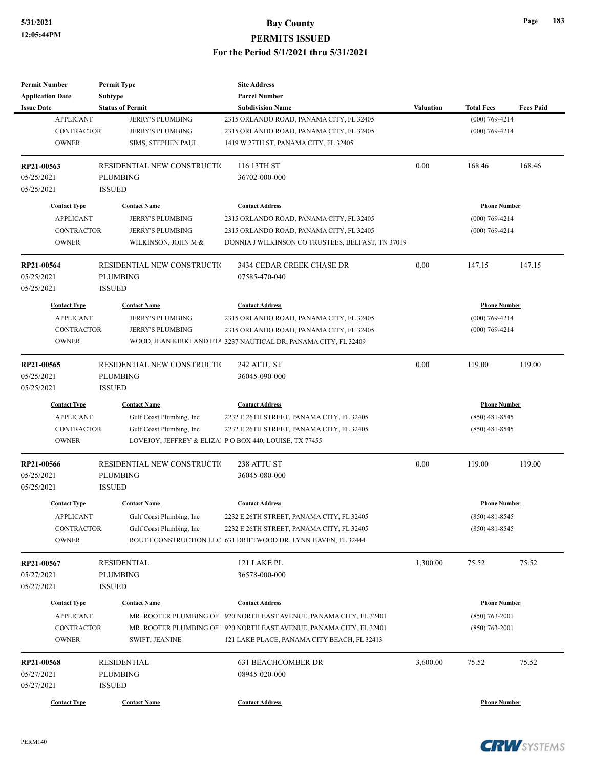| <b>Permit Number</b>    | <b>Permit Type</b>          | <b>Site Address</b>                                                   |           |                     |                  |
|-------------------------|-----------------------------|-----------------------------------------------------------------------|-----------|---------------------|------------------|
| <b>Application Date</b> | Subtype                     | <b>Parcel Number</b>                                                  |           |                     |                  |
| <b>Issue Date</b>       | <b>Status of Permit</b>     | <b>Subdivision Name</b>                                               | Valuation | <b>Total Fees</b>   | <b>Fees Paid</b> |
| <b>APPLICANT</b>        | JERRY'S PLUMBING            | 2315 ORLANDO ROAD, PANAMA CITY, FL 32405                              |           | $(000) 769 - 4214$  |                  |
| <b>CONTRACTOR</b>       | JERRY'S PLUMBING            | 2315 ORLANDO ROAD, PANAMA CITY, FL 32405                              |           | $(000)$ 769-4214    |                  |
| <b>OWNER</b>            | SIMS, STEPHEN PAUL          | 1419 W 27TH ST, PANAMA CITY, FL 32405                                 |           |                     |                  |
| RP21-00563              | RESIDENTIAL NEW CONSTRUCTIO | 116 13TH ST                                                           | 0.00      | 168.46              | 168.46           |
| 05/25/2021              | <b>PLUMBING</b>             | 36702-000-000                                                         |           |                     |                  |
| 05/25/2021              | <b>ISSUED</b>               |                                                                       |           |                     |                  |
| <b>Contact Type</b>     | <b>Contact Name</b>         | <b>Contact Address</b>                                                |           | <b>Phone Number</b> |                  |
| <b>APPLICANT</b>        | JERRY'S PLUMBING            | 2315 ORLANDO ROAD, PANAMA CITY, FL 32405                              |           | $(000)$ 769-4214    |                  |
| <b>CONTRACTOR</b>       | <b>JERRY'S PLUMBING</b>     | 2315 ORLANDO ROAD, PANAMA CITY, FL 32405                              |           | $(000)$ 769-4214    |                  |
| <b>OWNER</b>            | WILKINSON, JOHN M &         | DONNIA J WILKINSON CO TRUSTEES, BELFAST, TN 37019                     |           |                     |                  |
| RP21-00564              | RESIDENTIAL NEW CONSTRUCTIO | 3434 CEDAR CREEK CHASE DR                                             | 0.00      | 147.15              | 147.15           |
| 05/25/2021              | <b>PLUMBING</b>             | 07585-470-040                                                         |           |                     |                  |
| 05/25/2021              | <b>ISSUED</b>               |                                                                       |           |                     |                  |
| <b>Contact Type</b>     | <b>Contact Name</b>         | <b>Contact Address</b>                                                |           | <b>Phone Number</b> |                  |
| <b>APPLICANT</b>        | <b>JERRY'S PLUMBING</b>     | 2315 ORLANDO ROAD, PANAMA CITY, FL 32405                              |           | $(000)$ 769-4214    |                  |
| <b>CONTRACTOR</b>       | <b>JERRY'S PLUMBING</b>     | 2315 ORLANDO ROAD, PANAMA CITY, FL 32405                              |           | $(000)$ 769-4214    |                  |
| <b>OWNER</b>            |                             | WOOD, JEAN KIRKLAND ETA 3237 NAUTICAL DR, PANAMA CITY, FL 32409       |           |                     |                  |
| RP21-00565              | RESIDENTIAL NEW CONSTRUCTIO | 242 ATTU ST                                                           | 0.00      | 119.00              | 119.00           |
| 05/25/2021              | <b>PLUMBING</b>             | 36045-090-000                                                         |           |                     |                  |
| 05/25/2021              | <b>ISSUED</b>               |                                                                       |           |                     |                  |
| <b>Contact Type</b>     | <b>Contact Name</b>         | <b>Contact Address</b>                                                |           | <b>Phone Number</b> |                  |
| <b>APPLICANT</b>        | Gulf Coast Plumbing, Inc    | 2232 E 26TH STREET, PANAMA CITY, FL 32405                             |           | $(850)$ 481-8545    |                  |
| <b>CONTRACTOR</b>       | Gulf Coast Plumbing, Inc    | 2232 E 26TH STREET, PANAMA CITY, FL 32405                             |           | $(850)$ 481-8545    |                  |
| <b>OWNER</b>            |                             | LOVEJOY, JEFFREY & ELIZAl PO BOX 440, LOUISE, TX 77455                |           |                     |                  |
| RP21-00566              | RESIDENTIAL NEW CONSTRUCTIO | 238 ATTU ST                                                           | 0.00      | 119.00              | 119.00           |
| 05/25/2021              | <b>PLUMBING</b>             | 36045-080-000                                                         |           |                     |                  |
| 05/25/2021              | <b>ISSUED</b>               |                                                                       |           |                     |                  |
| <b>Contact Type</b>     | <b>Contact Name</b>         | <b>Contact Address</b>                                                |           | <b>Phone Number</b> |                  |
| APPLICANT               | Gulf Coast Plumbing, Inc.   | 2232 E 26TH STREET, PANAMA CITY, FL 32405                             |           | $(850)$ 481-8545    |                  |
| CONTRACTOR              | Gulf Coast Plumbing, Inc    | 2232 E 26TH STREET, PANAMA CITY, FL 32405                             |           | $(850)$ 481-8545    |                  |
| <b>OWNER</b>            |                             | ROUTT CONSTRUCTION LLC 631 DRIFTWOOD DR, LYNN HAVEN, FL 32444         |           |                     |                  |
| RP21-00567              | <b>RESIDENTIAL</b>          | 121 LAKE PL                                                           | 1,300.00  | 75.52               | 75.52            |
| 05/27/2021              | <b>PLUMBING</b>             | 36578-000-000                                                         |           |                     |                  |
| 05/27/2021              | <b>ISSUED</b>               |                                                                       |           |                     |                  |
| <b>Contact Type</b>     | <b>Contact Name</b>         | <b>Contact Address</b>                                                |           | <b>Phone Number</b> |                  |
| <b>APPLICANT</b>        |                             | MR. ROOTER PLUMBING OF 1 920 NORTH EAST AVENUE, PANAMA CITY, FL 32401 |           | $(850)$ 763-2001    |                  |
| CONTRACTOR              |                             | MR. ROOTER PLUMBING OF 1 920 NORTH EAST AVENUE, PANAMA CITY, FL 32401 |           | $(850)$ 763-2001    |                  |
| <b>OWNER</b>            | SWIFT, JEANINE              | 121 LAKE PLACE, PANAMA CITY BEACH, FL 32413                           |           |                     |                  |
| RP21-00568              | <b>RESIDENTIAL</b>          | <b>631 BEACHCOMBER DR</b>                                             | 3,600.00  | 75.52               | 75.52            |
| 05/27/2021              | <b>PLUMBING</b>             | 08945-020-000                                                         |           |                     |                  |
| 05/27/2021              | <b>ISSUED</b>               |                                                                       |           |                     |                  |
| <b>Contact Type</b>     | <b>Contact Name</b>         | <b>Contact Address</b>                                                |           | <b>Phone Number</b> |                  |

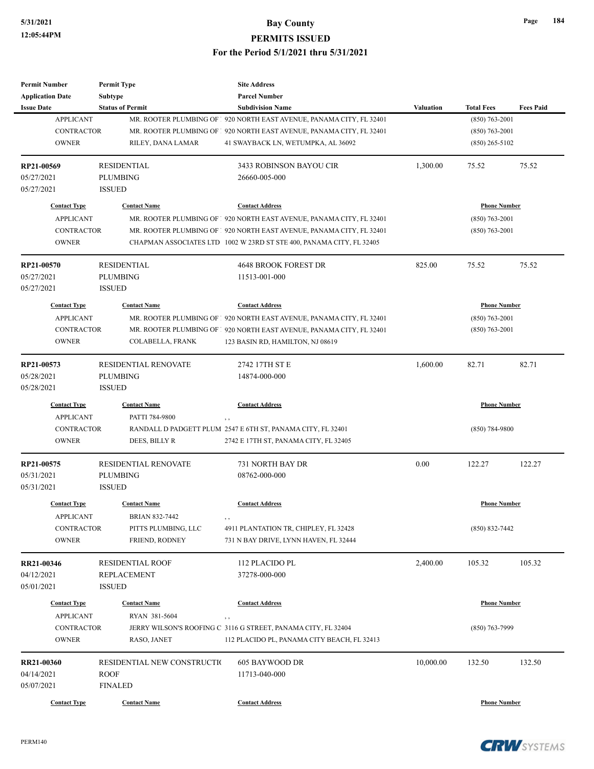| <b>Permit Number</b>                    | <b>Permit Type</b>                   | <b>Site Address</b>                                                   |           |                     |                  |
|-----------------------------------------|--------------------------------------|-----------------------------------------------------------------------|-----------|---------------------|------------------|
| <b>Application Date</b>                 | <b>Subtype</b>                       | <b>Parcel Number</b>                                                  |           |                     |                  |
| <b>Issue Date</b>                       | <b>Status of Permit</b>              | <b>Subdivision Name</b>                                               | Valuation | <b>Total Fees</b>   | <b>Fees Paid</b> |
| <b>APPLICANT</b>                        |                                      | MR. ROOTER PLUMBING OF 1 920 NORTH EAST AVENUE, PANAMA CITY, FL 32401 |           | $(850) 763 - 2001$  |                  |
| <b>CONTRACTOR</b>                       |                                      | MR. ROOTER PLUMBING OF 1 920 NORTH EAST AVENUE, PANAMA CITY, FL 32401 |           | $(850) 763 - 2001$  |                  |
| <b>OWNER</b>                            | RILEY, DANA LAMAR                    | 41 SWAYBACK LN, WETUMPKA, AL 36092                                    |           | $(850)$ 265-5102    |                  |
| RP21-00569                              | <b>RESIDENTIAL</b>                   | 3433 ROBINSON BAYOU CIR                                               | 1,300.00  | 75.52               | 75.52            |
| 05/27/2021                              | <b>PLUMBING</b>                      | 26660-005-000                                                         |           |                     |                  |
| 05/27/2021                              | <b>ISSUED</b>                        |                                                                       |           |                     |                  |
| <b>Contact Type</b>                     | <b>Contact Name</b>                  | <b>Contact Address</b>                                                |           | <b>Phone Number</b> |                  |
| <b>APPLICANT</b>                        |                                      | MR. ROOTER PLUMBING OF 1 920 NORTH EAST AVENUE, PANAMA CITY, FL 32401 |           | $(850)$ 763-2001    |                  |
| <b>CONTRACTOR</b>                       |                                      | MR. ROOTER PLUMBING OF 1 920 NORTH EAST AVENUE, PANAMA CITY, FL 32401 |           | $(850)$ 763-2001    |                  |
| <b>OWNER</b>                            |                                      | CHAPMAN ASSOCIATES LTD 1002 W 23RD ST STE 400, PANAMA CITY, FL 32405  |           |                     |                  |
| RP21-00570                              | <b>RESIDENTIAL</b>                   | 4648 BROOK FOREST DR                                                  | 825.00    | 75.52               | 75.52            |
| 05/27/2021                              | <b>PLUMBING</b>                      | 11513-001-000                                                         |           |                     |                  |
| 05/27/2021                              | <b>ISSUED</b>                        |                                                                       |           |                     |                  |
| <b>Contact Type</b>                     | <b>Contact Name</b>                  | <b>Contact Address</b>                                                |           | <b>Phone Number</b> |                  |
| <b>APPLICANT</b>                        |                                      | MR. ROOTER PLUMBING OF 1 920 NORTH EAST AVENUE, PANAMA CITY, FL 32401 |           | $(850) 763 - 2001$  |                  |
| <b>CONTRACTOR</b>                       |                                      | MR. ROOTER PLUMBING OF 1 920 NORTH EAST AVENUE, PANAMA CITY, FL 32401 |           | $(850)$ 763-2001    |                  |
| <b>OWNER</b>                            | COLABELLA, FRANK                     | 123 BASIN RD, HAMILTON, NJ 08619                                      |           |                     |                  |
|                                         |                                      |                                                                       |           |                     |                  |
| RP21-00573                              | RESIDENTIAL RENOVATE                 | 2742 17TH ST E                                                        | 1,600.00  | 82.71               | 82.71            |
| 05/28/2021                              | <b>PLUMBING</b>                      | 14874-000-000                                                         |           |                     |                  |
| 05/28/2021                              | <b>ISSUED</b>                        |                                                                       |           |                     |                  |
| <b>Contact Type</b>                     | <b>Contact Name</b>                  | <b>Contact Address</b>                                                |           | <b>Phone Number</b> |                  |
| <b>APPLICANT</b>                        | PATTI 784-9800                       | , ,                                                                   |           |                     |                  |
| <b>CONTRACTOR</b>                       |                                      | RANDALL D PADGETT PLUM 2547 E 6TH ST, PANAMA CITY, FL 32401           |           | $(850)$ 784-9800    |                  |
| <b>OWNER</b>                            | DEES, BILLY R                        | 2742 E 17TH ST, PANAMA CITY, FL 32405                                 |           |                     |                  |
| RP21-00575                              | RESIDENTIAL RENOVATE                 | 731 NORTH BAY DR                                                      | 0.00      | 122.27              | 122.27           |
| 05/31/2021                              | <b>PLUMBING</b>                      | 08762-000-000                                                         |           |                     |                  |
| 05/31/2021                              | <b>ISSUED</b>                        |                                                                       |           |                     |                  |
| <b>Contact Type</b>                     | <b>Contact Name</b>                  | <b>Contact Address</b>                                                |           | <b>Phone Number</b> |                  |
| <b>APPLICANT</b>                        | <b>BRIAN 832-7442</b>                |                                                                       |           |                     |                  |
| <b>CONTRACTOR</b>                       | PITTS PLUMBING, LLC                  | 4911 PLANTATION TR, CHIPLEY, FL 32428                                 |           | $(850) 832 - 7442$  |                  |
| <b>OWNER</b>                            | FRIEND, RODNEY                       | 731 N BAY DRIVE, LYNN HAVEN, FL 32444                                 |           |                     |                  |
| RR21-00346                              | <b>RESIDENTIAL ROOF</b>              | 112 PLACIDO PL                                                        | 2,400.00  | 105.32              | 105.32           |
| 04/12/2021                              | <b>REPLACEMENT</b>                   | 37278-000-000                                                         |           |                     |                  |
| 05/01/2021                              | <b>ISSUED</b>                        |                                                                       |           |                     |                  |
|                                         |                                      |                                                                       |           |                     |                  |
| <b>Contact Type</b><br><b>APPLICANT</b> | <b>Contact Name</b><br>RYAN 381-5604 | <b>Contact Address</b>                                                |           | <b>Phone Number</b> |                  |
| <b>CONTRACTOR</b>                       |                                      | , ,<br>JERRY WILSON'S ROOFING C 3116 G STREET, PANAMA CITY, FL 32404  |           | $(850)$ 763-7999    |                  |
| <b>OWNER</b>                            | RASO, JANET                          | 112 PLACIDO PL, PANAMA CITY BEACH, FL 32413                           |           |                     |                  |
|                                         |                                      |                                                                       |           |                     |                  |
| RR21-00360                              | RESIDENTIAL NEW CONSTRUCTIO          | 605 BAYWOOD DR                                                        | 10,000.00 | 132.50              | 132.50           |
| 04/14/2021                              | <b>ROOF</b>                          | 11713-040-000                                                         |           |                     |                  |
| 05/07/2021                              | <b>FINALED</b>                       |                                                                       |           |                     |                  |
| <b>Contact Type</b>                     | <b>Contact Name</b>                  | <b>Contact Address</b>                                                |           | <b>Phone Number</b> |                  |
|                                         |                                      |                                                                       |           |                     |                  |

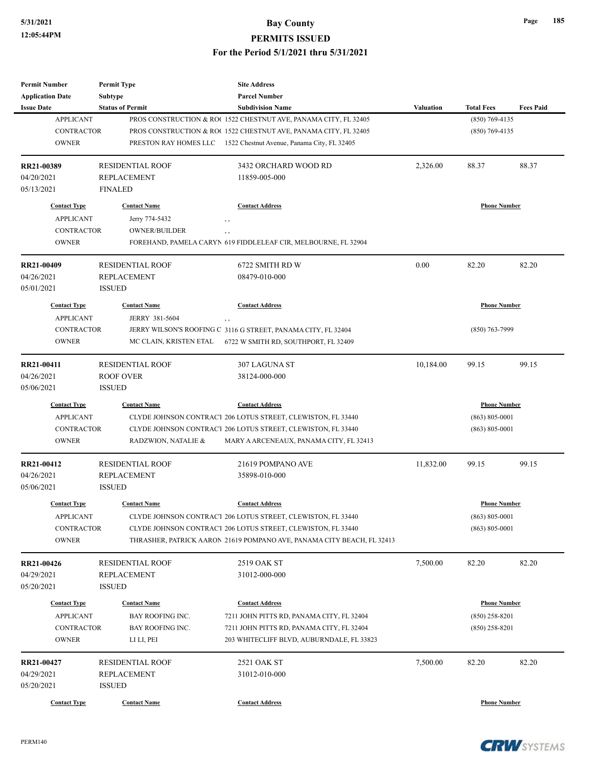| <b>Permit Number</b>                         | <b>Permit Type</b>                   | <b>Site Address</b>                                                                    |                  |                     |                  |
|----------------------------------------------|--------------------------------------|----------------------------------------------------------------------------------------|------------------|---------------------|------------------|
| <b>Application Date</b><br><b>Issue Date</b> | <b>Subtype</b>                       | <b>Parcel Number</b><br><b>Subdivision Name</b>                                        | <b>Valuation</b> | <b>Total Fees</b>   | <b>Fees Paid</b> |
| <b>APPLICANT</b>                             | <b>Status of Permit</b>              | PROS CONSTRUCTION & RO(1522 CHESTNUT AVE, PANAMA CITY, FL 32405                        |                  | $(850)$ 769-4135    |                  |
| <b>CONTRACTOR</b>                            |                                      | PROS CONSTRUCTION & RO( 1522 CHESTNUT AVE, PANAMA CITY, FL 32405                       |                  | $(850)$ 769-4135    |                  |
| <b>OWNER</b>                                 |                                      | PRESTON RAY HOMES LLC 1522 Chestnut Avenue, Panama City, FL 32405                      |                  |                     |                  |
|                                              |                                      |                                                                                        |                  |                     |                  |
| RR21-00389                                   | <b>RESIDENTIAL ROOF</b>              | 3432 ORCHARD WOOD RD                                                                   | 2,326.00         | 88.37               | 88.37            |
| 04/20/2021                                   | <b>REPLACEMENT</b>                   | 11859-005-000                                                                          |                  |                     |                  |
| 05/13/2021                                   | <b>FINALED</b>                       |                                                                                        |                  |                     |                  |
| <b>Contact Type</b>                          | <b>Contact Name</b>                  | <b>Contact Address</b>                                                                 |                  | <b>Phone Number</b> |                  |
| <b>APPLICANT</b>                             | Jerry 774-5432                       | $, \, , \,$                                                                            |                  |                     |                  |
| <b>CONTRACTOR</b>                            | <b>OWNER/BUILDER</b>                 | , ,                                                                                    |                  |                     |                  |
| <b>OWNER</b>                                 |                                      | FOREHAND, PAMELA CARYN 619 FIDDLELEAF CIR, MELBOURNE, FL 32904                         |                  |                     |                  |
| RR21-00409                                   | <b>RESIDENTIAL ROOF</b>              | 6722 SMITH RD W                                                                        | 0.00             | 82.20               | 82.20            |
| 04/26/2021                                   | <b>REPLACEMENT</b>                   | 08479-010-000                                                                          |                  |                     |                  |
| 05/01/2021                                   | <b>ISSUED</b>                        |                                                                                        |                  |                     |                  |
| <b>Contact Type</b>                          | <b>Contact Name</b>                  | <b>Contact Address</b>                                                                 |                  | <b>Phone Number</b> |                  |
| <b>APPLICANT</b>                             | JERRY 381-5604                       |                                                                                        |                  |                     |                  |
| <b>CONTRACTOR</b>                            |                                      | , ,<br>JERRY WILSON'S ROOFING C 3116 G STREET, PANAMA CITY, FL 32404                   |                  | $(850)$ 763-7999    |                  |
| <b>OWNER</b>                                 | MC CLAIN, KRISTEN ETAL               | 6722 W SMITH RD, SOUTHPORT, FL 32409                                                   |                  |                     |                  |
|                                              |                                      |                                                                                        |                  |                     |                  |
| RR21-00411                                   | <b>RESIDENTIAL ROOF</b>              | 307 LAGUNA ST                                                                          | 10,184.00        | 99.15               | 99.15            |
| 04/26/2021                                   | ROOF OVER                            | 38124-000-000                                                                          |                  |                     |                  |
| 05/06/2021                                   | <b>ISSUED</b>                        |                                                                                        |                  |                     |                  |
| <b>Contact Type</b>                          | <b>Contact Name</b>                  | <b>Contact Address</b>                                                                 |                  | <b>Phone Number</b> |                  |
| <b>APPLICANT</b>                             |                                      | CLYDE JOHNSON CONTRACT 206 LOTUS STREET, CLEWISTON, FL 33440                           |                  | $(863) 805 - 0001$  |                  |
| <b>CONTRACTOR</b>                            |                                      | CLYDE JOHNSON CONTRACT 206 LOTUS STREET, CLEWISTON, FL 33440                           |                  | $(863) 805 - 0001$  |                  |
| <b>OWNER</b>                                 | RADZWION, NATALIE &                  | MARY A ARCENEAUX, PANAMA CITY, FL 32413                                                |                  |                     |                  |
| RR21-00412                                   | <b>RESIDENTIAL ROOF</b>              | 21619 POMPANO AVE                                                                      | 11,832.00        | 99.15               | 99.15            |
| 04/26/2021                                   | <b>REPLACEMENT</b>                   | 35898-010-000                                                                          |                  |                     |                  |
| 05/06/2021                                   | <b>ISSUED</b>                        |                                                                                        |                  |                     |                  |
| <b>Contact Type</b>                          | <b>Contact Name</b>                  | <b>Contact Address</b>                                                                 |                  | <b>Phone Number</b> |                  |
| <b>APPLICANT</b>                             |                                      | CLYDE JOHNSON CONTRACT 206 LOTUS STREET, CLEWISTON, FL 33440                           |                  | $(863) 805 - 0001$  |                  |
| CONTRACTOR                                   |                                      | CLYDE JOHNSON CONTRACT 206 LOTUS STREET, CLEWISTON, FL 33440                           |                  | $(863) 805 - 0001$  |                  |
| <b>OWNER</b>                                 |                                      | THRASHER, PATRICK AARON 21619 POMPANO AVE, PANAMA CITY BEACH, FL 32413                 |                  |                     |                  |
| RR21-00426                                   | <b>RESIDENTIAL ROOF</b>              | 2519 OAK ST                                                                            | 7,500.00         | 82.20               | 82.20            |
| 04/29/2021                                   | <b>REPLACEMENT</b>                   | 31012-000-000                                                                          |                  |                     |                  |
| 05/20/2021                                   | <b>ISSUED</b>                        |                                                                                        |                  |                     |                  |
|                                              |                                      | <b>Contact Address</b>                                                                 |                  |                     |                  |
| <b>Contact Type</b>                          | <b>Contact Name</b>                  |                                                                                        |                  | <b>Phone Number</b> |                  |
| <b>APPLICANT</b><br>CONTRACTOR               | BAY ROOFING INC.<br>BAY ROOFING INC. | 7211 JOHN PITTS RD, PANAMA CITY, FL 32404                                              |                  | $(850)$ 258-8201    |                  |
| <b>OWNER</b>                                 | LI LI, PEI                           | 7211 JOHN PITTS RD, PANAMA CITY, FL 32404<br>203 WHITECLIFF BLVD, AUBURNDALE, FL 33823 |                  | $(850)$ 258-8201    |                  |
|                                              |                                      |                                                                                        |                  |                     |                  |
| RR21-00427                                   | <b>RESIDENTIAL ROOF</b>              | 2521 OAK ST                                                                            | 7,500.00         | 82.20               | 82.20            |
| 04/29/2021                                   | <b>REPLACEMENT</b>                   | 31012-010-000                                                                          |                  |                     |                  |
|                                              | <b>ISSUED</b>                        |                                                                                        |                  |                     |                  |
| 05/20/2021                                   |                                      |                                                                                        |                  |                     |                  |

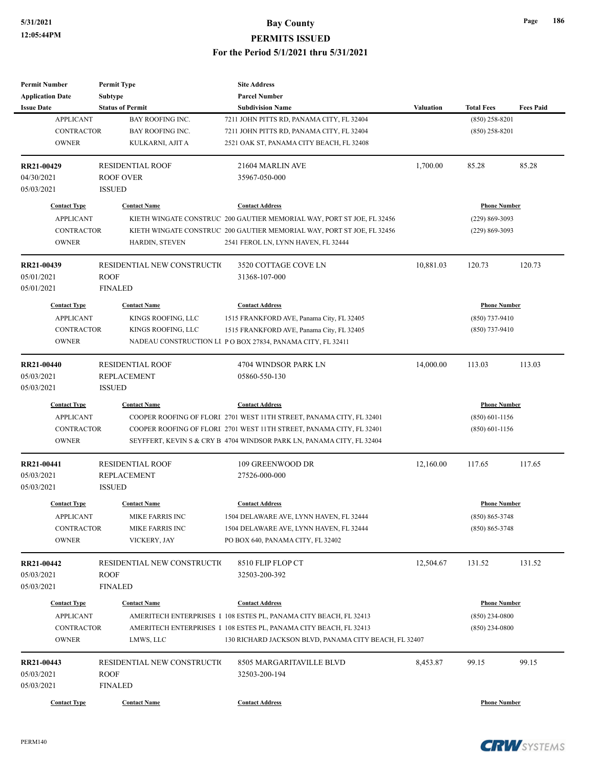| <b>Permit Number</b>    | <b>Permit Type</b>          | <b>Site Address</b>                                                    |                  |                     |                  |
|-------------------------|-----------------------------|------------------------------------------------------------------------|------------------|---------------------|------------------|
| <b>Application Date</b> | Subtype                     | <b>Parcel Number</b>                                                   |                  |                     |                  |
| <b>Issue Date</b>       | <b>Status of Permit</b>     | <b>Subdivision Name</b>                                                | <b>Valuation</b> | <b>Total Fees</b>   | <b>Fees Paid</b> |
| <b>APPLICANT</b>        | <b>BAY ROOFING INC.</b>     | 7211 JOHN PITTS RD, PANAMA CITY, FL 32404                              |                  | $(850)$ 258-8201    |                  |
| <b>CONTRACTOR</b>       | <b>BAY ROOFING INC.</b>     | 7211 JOHN PITTS RD, PANAMA CITY, FL 32404                              |                  | $(850)$ 258-8201    |                  |
| <b>OWNER</b>            | KULKARNI, AJIT A            | 2521 OAK ST, PANAMA CITY BEACH, FL 32408                               |                  |                     |                  |
| RR21-00429              | <b>RESIDENTIAL ROOF</b>     | 21604 MARLIN AVE                                                       | 1,700.00         | 85.28               | 85.28            |
| 04/30/2021              | <b>ROOF OVER</b>            | 35967-050-000                                                          |                  |                     |                  |
| 05/03/2021              | <b>ISSUED</b>               |                                                                        |                  |                     |                  |
| <b>Contact Type</b>     | <b>Contact Name</b>         | <b>Contact Address</b>                                                 |                  | <b>Phone Number</b> |                  |
| <b>APPLICANT</b>        |                             | KIETH WINGATE CONSTRUC 200 GAUTIER MEMORIAL WAY, PORT ST JOE, FL 32456 |                  | $(229)$ 869-3093    |                  |
| <b>CONTRACTOR</b>       |                             | KIETH WINGATE CONSTRUC 200 GAUTIER MEMORIAL WAY, PORT ST JOE, FL 32456 |                  | $(229)$ 869-3093    |                  |
| <b>OWNER</b>            | HARDIN, STEVEN              | 2541 FEROL LN, LYNN HAVEN, FL 32444                                    |                  |                     |                  |
| RR21-00439              | RESIDENTIAL NEW CONSTRUCTIO | 3520 COTTAGE COVE LN                                                   | 10,881.03        | 120.73              | 120.73           |
| 05/01/2021              | <b>ROOF</b>                 | 31368-107-000                                                          |                  |                     |                  |
| 05/01/2021              | <b>FINALED</b>              |                                                                        |                  |                     |                  |
| <b>Contact Type</b>     | <b>Contact Name</b>         | <b>Contact Address</b>                                                 |                  | <b>Phone Number</b> |                  |
| <b>APPLICANT</b>        | KINGS ROOFING, LLC          | 1515 FRANKFORD AVE, Panama City, FL 32405                              |                  | $(850)$ 737-9410    |                  |
| <b>CONTRACTOR</b>       | KINGS ROOFING, LLC          | 1515 FRANKFORD AVE, Panama City, FL 32405                              |                  | $(850)$ 737-9410    |                  |
| <b>OWNER</b>            |                             | NADEAU CONSTRUCTION LI PO BOX 27834, PANAMA CITY, FL 32411             |                  |                     |                  |
|                         |                             |                                                                        |                  |                     |                  |
| <b>RR21-00440</b>       | <b>RESIDENTIAL ROOF</b>     | 4704 WINDSOR PARK LN                                                   | 14,000.00        | 113.03              | 113.03           |
| 05/03/2021              | <b>REPLACEMENT</b>          | 05860-550-130                                                          |                  |                     |                  |
| 05/03/2021              | <b>ISSUED</b>               |                                                                        |                  |                     |                  |
| <b>Contact Type</b>     | <b>Contact Name</b>         | <b>Contact Address</b>                                                 |                  | <b>Phone Number</b> |                  |
| <b>APPLICANT</b>        |                             | COOPER ROOFING OF FLORI 2701 WEST 11TH STREET, PANAMA CITY, FL 32401   |                  | $(850)$ 601-1156    |                  |
| <b>CONTRACTOR</b>       |                             | COOPER ROOFING OF FLORI 2701 WEST 11TH STREET, PANAMA CITY, FL 32401   |                  | $(850)$ 601-1156    |                  |
| <b>OWNER</b>            |                             | SEYFFERT, KEVIN S & CRY B 4704 WINDSOR PARK LN, PANAMA CITY, FL 32404  |                  |                     |                  |
| RR21-00441              | <b>RESIDENTIAL ROOF</b>     | 109 GREENWOOD DR                                                       | 12,160.00        | 117.65              | 117.65           |
| 05/03/2021              | <b>REPLACEMENT</b>          | 27526-000-000                                                          |                  |                     |                  |
| 05/03/2021              | <b>ISSUED</b>               |                                                                        |                  |                     |                  |
| <b>Contact Type</b>     | <b>Contact Name</b>         | <b>Contact Address</b>                                                 |                  | <b>Phone Number</b> |                  |
| <b>APPLICANT</b>        | MIKE FARRIS INC             | 1504 DELAWARE AVE, LYNN HAVEN, FL 32444                                |                  | $(850) 865 - 3748$  |                  |
| CONTRACTOR              | MIKE FARRIS INC             | 1504 DELAWARE AVE, LYNN HAVEN, FL 32444                                |                  | $(850) 865 - 3748$  |                  |
| <b>OWNER</b>            | VICKERY, JAY                | PO BOX 640, PANAMA CITY, FL 32402                                      |                  |                     |                  |
| RR21-00442              | RESIDENTIAL NEW CONSTRUCTIO | 8510 FLIP FLOP CT                                                      | 12,504.67        | 131.52              | 131.52           |
| 05/03/2021              | ROOF                        | 32503-200-392                                                          |                  |                     |                  |
| 05/03/2021              | <b>FINALED</b>              |                                                                        |                  |                     |                  |
| <b>Contact Type</b>     | <b>Contact Name</b>         | <b>Contact Address</b>                                                 |                  | <b>Phone Number</b> |                  |
|                         |                             |                                                                        |                  |                     |                  |
| <b>APPLICANT</b>        |                             | AMERITECH ENTERPRISES I 108 ESTES PL, PANAMA CITY BEACH, FL 32413      |                  | $(850)$ 234-0800    |                  |
| CONTRACTOR              |                             | AMERITECH ENTERPRISES I 108 ESTES PL, PANAMA CITY BEACH, FL 32413      |                  | $(850)$ 234-0800    |                  |
| <b>OWNER</b>            | LMWS, LLC                   | 130 RICHARD JACKSON BLVD, PANAMA CITY BEACH, FL 32407                  |                  |                     |                  |
| RR21-00443              | RESIDENTIAL NEW CONSTRUCTIO | 8505 MARGARITAVILLE BLVD                                               | 8,453.87         | 99.15               | 99.15            |
| 05/03/2021              | <b>ROOF</b>                 | 32503-200-194                                                          |                  |                     |                  |
| 05/03/2021              | <b>FINALED</b>              |                                                                        |                  |                     |                  |
|                         | <b>Contact Name</b>         | <b>Contact Address</b>                                                 |                  | <b>Phone Number</b> |                  |

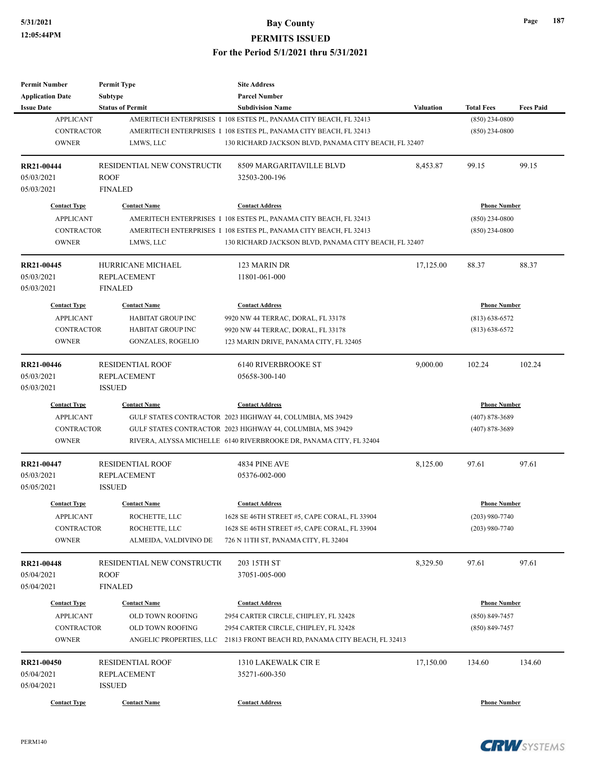| <b>Permit Number</b>    | <b>Permit Type</b>          | <b>Site Address</b>                                                |                  |                     |                     |  |
|-------------------------|-----------------------------|--------------------------------------------------------------------|------------------|---------------------|---------------------|--|
| <b>Application Date</b> | <b>Subtype</b>              | <b>Parcel Number</b>                                               |                  |                     |                     |  |
| <b>Issue Date</b>       | <b>Status of Permit</b>     | <b>Subdivision Name</b>                                            | <b>Valuation</b> | <b>Total Fees</b>   | <b>Fees Paid</b>    |  |
| <b>APPLICANT</b>        |                             | AMERITECH ENTERPRISES I 108 ESTES PL, PANAMA CITY BEACH, FL 32413  |                  | $(850)$ 234-0800    |                     |  |
| <b>CONTRACTOR</b>       |                             | AMERITECH ENTERPRISES I 108 ESTES PL, PANAMA CITY BEACH, FL 32413  |                  | $(850)$ 234-0800    |                     |  |
| <b>OWNER</b>            | LMWS, LLC                   | 130 RICHARD JACKSON BLVD, PANAMA CITY BEACH, FL 32407              |                  |                     |                     |  |
| RR21-00444              | RESIDENTIAL NEW CONSTRUCTIO | 8509 MARGARITAVILLE BLVD                                           | 8,453.87         | 99.15               | 99.15               |  |
| 05/03/2021              | <b>ROOF</b>                 | 32503-200-196                                                      |                  |                     |                     |  |
| 05/03/2021              | <b>FINALED</b>              |                                                                    |                  |                     |                     |  |
| <b>Contact Type</b>     | <b>Contact Name</b>         | <b>Contact Address</b>                                             |                  | <b>Phone Number</b> |                     |  |
| <b>APPLICANT</b>        |                             | AMERITECH ENTERPRISES I 108 ESTES PL, PANAMA CITY BEACH, FL 32413  |                  | $(850)$ 234-0800    |                     |  |
| <b>CONTRACTOR</b>       |                             | AMERITECH ENTERPRISES I 108 ESTES PL, PANAMA CITY BEACH, FL 32413  |                  | $(850)$ 234-0800    |                     |  |
| <b>OWNER</b>            | LMWS, LLC                   | 130 RICHARD JACKSON BLVD, PANAMA CITY BEACH, FL 32407              |                  |                     |                     |  |
| RR21-00445              | HURRICANE MICHAEL           | 123 MARIN DR                                                       | 17,125.00        | 88.37               | 88.37               |  |
| 05/03/2021              | <b>REPLACEMENT</b>          | 11801-061-000                                                      |                  |                     |                     |  |
| 05/03/2021              | <b>FINALED</b>              |                                                                    |                  |                     |                     |  |
| <b>Contact Type</b>     | <b>Contact Name</b>         | <b>Contact Address</b>                                             |                  |                     | <b>Phone Number</b> |  |
| <b>APPLICANT</b>        | HABITAT GROUP INC           | 9920 NW 44 TERRAC, DORAL, FL 33178                                 |                  | $(813) 638 - 6572$  |                     |  |
| <b>CONTRACTOR</b>       | HABITAT GROUP INC           | 9920 NW 44 TERRAC, DORAL, FL 33178                                 |                  | $(813) 638 - 6572$  |                     |  |
| <b>OWNER</b>            | <b>GONZALES, ROGELIO</b>    | 123 MARIN DRIVE, PANAMA CITY, FL 32405                             |                  |                     |                     |  |
|                         |                             |                                                                    |                  |                     |                     |  |
| RR21-00446              | <b>RESIDENTIAL ROOF</b>     | <b>6140 RIVERBROOKE ST</b>                                         | 9,000.00         | 102.24              | 102.24              |  |
| 05/03/2021              | <b>REPLACEMENT</b>          | 05658-300-140                                                      |                  |                     |                     |  |
| 05/03/2021              | <b>ISSUED</b>               |                                                                    |                  |                     |                     |  |
| <b>Contact Type</b>     | <b>Contact Name</b>         | <b>Contact Address</b>                                             |                  | <b>Phone Number</b> |                     |  |
| <b>APPLICANT</b>        |                             | GULF STATES CONTRACTOR 2023 HIGHWAY 44, COLUMBIA, MS 39429         |                  | $(407) 878 - 3689$  |                     |  |
| <b>CONTRACTOR</b>       |                             | GULF STATES CONTRACTOR 2023 HIGHWAY 44, COLUMBIA, MS 39429         |                  | $(407) 878 - 3689$  |                     |  |
| <b>OWNER</b>            |                             | RIVERA, ALYSSA MICHELLE 6140 RIVERBROOKE DR, PANAMA CITY, FL 32404 |                  |                     |                     |  |
| RR21-00447              | <b>RESIDENTIAL ROOF</b>     | 4834 PINE AVE                                                      | 8,125.00         | 97.61               | 97.61               |  |
| 05/03/2021              | <b>REPLACEMENT</b>          | 05376-002-000                                                      |                  |                     |                     |  |
| 05/05/2021              | <b>ISSUED</b>               |                                                                    |                  |                     |                     |  |
| <b>Contact Type</b>     | <b>Contact Name</b>         | <b>Contact Address</b>                                             |                  | <b>Phone Number</b> |                     |  |
| <b>APPLICANT</b>        | ROCHETTE, LLC               | 1628 SE 46TH STREET #5, CAPE CORAL, FL 33904                       |                  | $(203)$ 980-7740    |                     |  |
| CONTRACTOR              | ROCHETTE, LLC               | 1628 SE 46TH STREET #5, CAPE CORAL, FL 33904                       |                  | $(203)$ 980-7740    |                     |  |
| <b>OWNER</b>            | ALMEIDA, VALDIVINO DE       | 726 N 11TH ST, PANAMA CITY, FL 32404                               |                  |                     |                     |  |
| RR21-00448              | RESIDENTIAL NEW CONSTRUCTIO | 203 15TH ST                                                        | 8,329.50         | 97.61               | 97.61               |  |
| 05/04/2021              | <b>ROOF</b>                 | 37051-005-000                                                      |                  |                     |                     |  |
| 05/04/2021              | <b>FINALED</b>              |                                                                    |                  |                     |                     |  |
|                         |                             |                                                                    |                  |                     |                     |  |
| <b>Contact Type</b>     | <b>Contact Name</b>         | <b>Contact Address</b>                                             |                  | <b>Phone Number</b> |                     |  |
| <b>APPLICANT</b>        | OLD TOWN ROOFING            | 2954 CARTER CIRCLE, CHIPLEY, FL 32428                              |                  | $(850) 849 - 7457$  |                     |  |
| CONTRACTOR              | <b>OLD TOWN ROOFING</b>     | 2954 CARTER CIRCLE, CHIPLEY, FL 32428                              |                  | $(850) 849 - 7457$  |                     |  |
| <b>OWNER</b>            | ANGELIC PROPERTIES, LLC     | 21813 FRONT BEACH RD, PANAMA CITY BEACH, FL 32413                  |                  |                     |                     |  |
| RR21-00450              | <b>RESIDENTIAL ROOF</b>     | 1310 LAKEWALK CIR E                                                | 17,150.00        | 134.60              | 134.60              |  |
| 05/04/2021              | <b>REPLACEMENT</b>          | 35271-600-350                                                      |                  |                     |                     |  |
| 05/04/2021              | <b>ISSUED</b>               |                                                                    |                  |                     |                     |  |
| <b>Contact Type</b>     | <b>Contact Name</b>         | <b>Contact Address</b>                                             |                  | <b>Phone Number</b> |                     |  |
|                         |                             |                                                                    |                  |                     |                     |  |

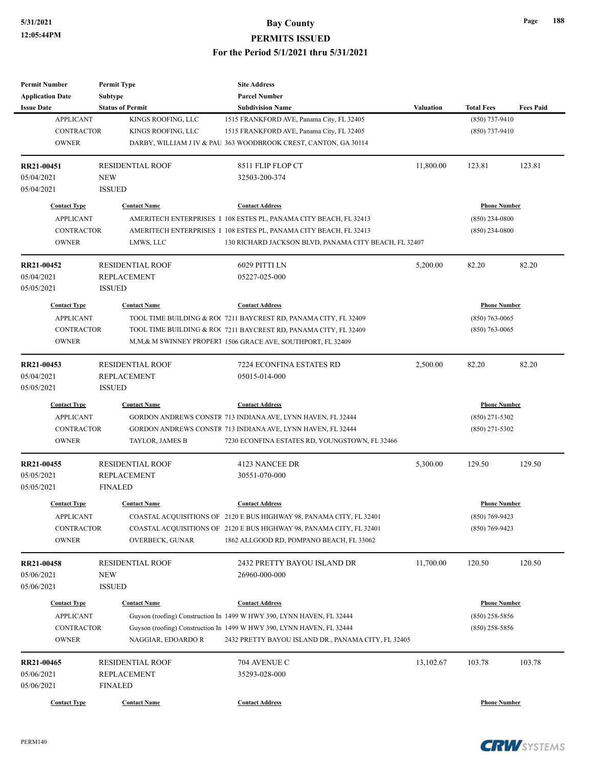| <b>Permit Number</b>                    | <b>Permit Type</b>      | <b>Site Address</b>                                                   |                  |                                         |                  |
|-----------------------------------------|-------------------------|-----------------------------------------------------------------------|------------------|-----------------------------------------|------------------|
| <b>Application Date</b>                 | <b>Subtype</b>          | <b>Parcel Number</b>                                                  |                  |                                         |                  |
| <b>Issue Date</b>                       | <b>Status of Permit</b> | <b>Subdivision Name</b>                                               | <b>Valuation</b> | <b>Total Fees</b>                       | <b>Fees Paid</b> |
| <b>APPLICANT</b>                        | KINGS ROOFING, LLC      | 1515 FRANKFORD AVE, Panama City, FL 32405                             |                  | (850) 737-9410                          |                  |
| <b>CONTRACTOR</b>                       | KINGS ROOFING, LLC      | 1515 FRANKFORD AVE, Panama City, FL 32405                             |                  | $(850)$ 737-9410                        |                  |
| <b>OWNER</b>                            |                         | DARBY, WILLIAM J IV & PAU 363 WOODBROOK CREST, CANTON, GA 30114       |                  |                                         |                  |
| RR21-00451                              | <b>RESIDENTIAL ROOF</b> | 8511 FLIP FLOP CT                                                     | 11,800.00        | 123.81                                  | 123.81           |
| 05/04/2021                              | <b>NEW</b>              | 32503-200-374                                                         |                  |                                         |                  |
| 05/04/2021                              | <b>ISSUED</b>           |                                                                       |                  |                                         |                  |
| <b>Contact Type</b>                     | <b>Contact Name</b>     | <b>Contact Address</b>                                                |                  | <b>Phone Number</b>                     |                  |
| <b>APPLICANT</b>                        |                         | AMERITECH ENTERPRISES I 108 ESTES PL, PANAMA CITY BEACH, FL 32413     |                  | $(850)$ 234-0800                        |                  |
| <b>CONTRACTOR</b>                       |                         | AMERITECH ENTERPRISES I 108 ESTES PL, PANAMA CITY BEACH, FL 32413     |                  | $(850)$ 234-0800                        |                  |
| <b>OWNER</b>                            | LMWS, LLC               | 130 RICHARD JACKSON BLVD, PANAMA CITY BEACH, FL 32407                 |                  |                                         |                  |
| RR21-00452                              | <b>RESIDENTIAL ROOF</b> | 6029 PITTI LN                                                         | 5,200.00         | 82.20                                   | 82.20            |
| 05/04/2021                              | <b>REPLACEMENT</b>      | 05227-025-000                                                         |                  |                                         |                  |
| 05/05/2021                              | <b>ISSUED</b>           |                                                                       |                  |                                         |                  |
| <b>Contact Type</b>                     | <b>Contact Name</b>     | <b>Contact Address</b>                                                |                  | <b>Phone Number</b>                     |                  |
| <b>APPLICANT</b>                        |                         | TOOL TIME BUILDING & ROC 7211 BAYCREST RD, PANAMA CITY, FL 32409      |                  | $(850)$ 763-0065                        |                  |
| <b>CONTRACTOR</b>                       |                         | TOOL TIME BUILDING & ROC 7211 BAYCREST RD, PANAMA CITY, FL 32409      |                  | $(850)$ 763-0065                        |                  |
| <b>OWNER</b>                            |                         | M,M,& M SWINNEY PROPERT 1506 GRACE AVE, SOUTHPORT, FL 32409           |                  |                                         |                  |
|                                         |                         |                                                                       |                  |                                         |                  |
| RR21-00453                              | <b>RESIDENTIAL ROOF</b> | 7224 ECONFINA ESTATES RD                                              | 2,500.00         | 82.20                                   | 82.20            |
| 05/04/2021                              | <b>REPLACEMENT</b>      | 05015-014-000                                                         |                  |                                         |                  |
| 05/05/2021                              | <b>ISSUED</b>           |                                                                       |                  |                                         |                  |
| <b>Contact Type</b>                     | <b>Contact Name</b>     | <b>Contact Address</b>                                                |                  | <b>Phone Number</b>                     |                  |
| <b>APPLICANT</b>                        |                         | GORDON ANDREWS CONSTR 713 INDIANA AVE, LYNN HAVEN, FL 32444           |                  | $(850)$ 271-5302                        |                  |
| <b>CONTRACTOR</b>                       |                         | GORDON ANDREWS CONSTR 713 INDIANA AVE, LYNN HAVEN, FL 32444           |                  | $(850)$ 271-5302                        |                  |
| <b>OWNER</b>                            | TAYLOR, JAMES B         | 7230 ECONFINA ESTATES RD, YOUNGSTOWN, FL 32466                        |                  |                                         |                  |
| RR21-00455                              | <b>RESIDENTIAL ROOF</b> | 4123 NANCEE DR                                                        | 5,300.00         | 129.50                                  | 129.50           |
| 05/05/2021                              | <b>REPLACEMENT</b>      | 30551-070-000                                                         |                  |                                         |                  |
| 05/05/2021                              | <b>FINALED</b>          |                                                                       |                  |                                         |                  |
| <b>Contact Type</b>                     | <b>Contact Name</b>     | <b>Contact Address</b>                                                |                  | <b>Phone Number</b>                     |                  |
| <b>APPLICANT</b>                        |                         | COASTAL ACQUISITIONS OF 2120 E BUS HIGHWAY 98, PANAMA CITY, FL 32401  |                  | (850) 769-9423                          |                  |
| CONTRACTOR                              |                         | COASTAL ACQUISITIONS OF 2120 E BUS HIGHWAY 98, PANAMA CITY, FL 32401  |                  | $(850)$ 769-9423                        |                  |
| <b>OWNER</b>                            | <b>OVERBECK, GUNAR</b>  | 1862 ALLGOOD RD, POMPANO BEACH, FL 33062                              |                  |                                         |                  |
| RR21-00458                              | <b>RESIDENTIAL ROOF</b> | 2432 PRETTY BAYOU ISLAND DR                                           | 11,700.00        | 120.50                                  | 120.50           |
| 05/06/2021                              | NEW                     | 26960-000-000                                                         |                  |                                         |                  |
|                                         |                         |                                                                       |                  |                                         |                  |
| 05/06/2021                              | <b>ISSUED</b>           |                                                                       |                  |                                         |                  |
| <b>Contact Type</b><br><b>APPLICANT</b> | <b>Contact Name</b>     | <b>Contact Address</b>                                                |                  | <b>Phone Number</b><br>$(850)$ 258-5856 |                  |
| <b>CONTRACTOR</b>                       |                         | Guyson (roofing) Construction In 1499 W HWY 390, LYNN HAVEN, FL 32444 |                  |                                         |                  |
|                                         |                         | Guyson (roofing) Construction In 1499 W HWY 390, LYNN HAVEN, FL 32444 |                  | $(850)$ 258-5856                        |                  |
| <b>OWNER</b>                            | NAGGIAR, EDOARDO R      | 2432 PRETTY BAYOU ISLAND DR., PANAMA CITY, FL 32405                   |                  |                                         |                  |
| RR21-00465                              | <b>RESIDENTIAL ROOF</b> | 704 AVENUE C                                                          | 13,102.67        | 103.78                                  | 103.78           |
| 05/06/2021                              | REPLACEMENT             | 35293-028-000                                                         |                  |                                         |                  |
| 05/06/2021                              | <b>FINALED</b>          |                                                                       |                  |                                         |                  |
| <b>Contact Type</b>                     | <b>Contact Name</b>     | <b>Contact Address</b>                                                |                  | <b>Phone Number</b>                     |                  |
|                                         |                         |                                                                       |                  |                                         |                  |



**Page 188**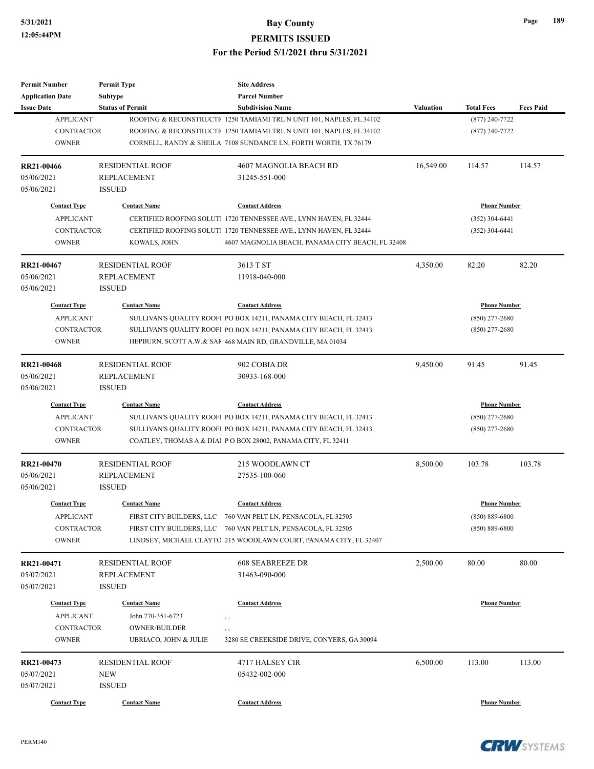| <b>Total Fees</b>   | <b>Fees Paid</b>                              |
|---------------------|-----------------------------------------------|
| $(877)$ 240-7722    |                                               |
| $(877)$ 240-7722    |                                               |
|                     |                                               |
| 114.57              | 114.57                                        |
|                     |                                               |
|                     |                                               |
| <b>Phone Number</b> |                                               |
| $(352)$ 304-6441    |                                               |
| $(352)$ 304-6441    |                                               |
|                     |                                               |
| 82.20               | 82.20                                         |
|                     |                                               |
|                     |                                               |
| <b>Phone Number</b> |                                               |
|                     |                                               |
|                     |                                               |
|                     |                                               |
|                     |                                               |
|                     | 91.45                                         |
|                     |                                               |
|                     |                                               |
| <b>Phone Number</b> |                                               |
| $(850)$ 277-2680    |                                               |
| $(850)$ 277-2680    |                                               |
|                     |                                               |
| 103.78              | 103.78                                        |
|                     |                                               |
|                     |                                               |
| <b>Phone Number</b> |                                               |
| $(850) 889-6800$    |                                               |
| $(850) 889 - 6800$  |                                               |
|                     |                                               |
| 80.00               | 80.00                                         |
|                     |                                               |
|                     |                                               |
|                     |                                               |
| <b>Phone Number</b> |                                               |
|                     |                                               |
|                     |                                               |
|                     |                                               |
| 113.00              | 113.00                                        |
|                     |                                               |
|                     |                                               |
|                     | $(850)$ 277-2680<br>$(850)$ 277-2680<br>91.45 |

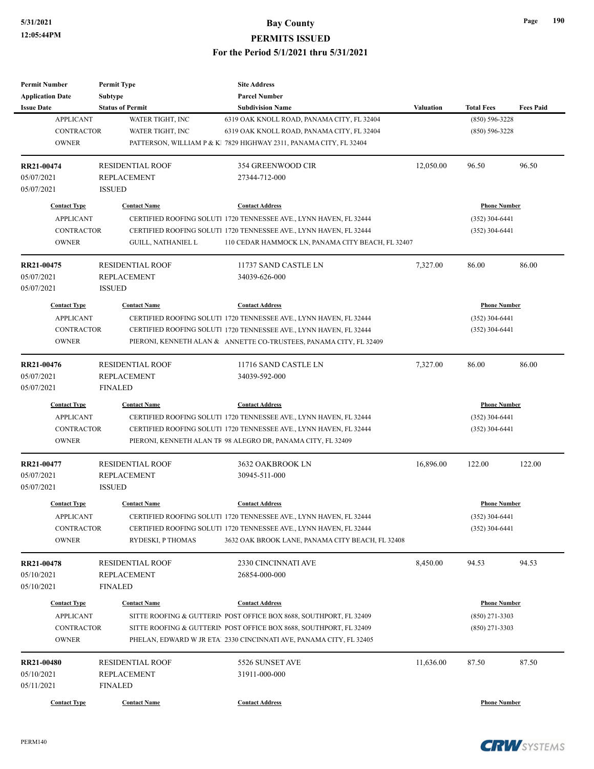| <b>Permit Number</b>    | <b>Permit Type</b>      | <b>Site Address</b>                                                |                  |                     |                  |
|-------------------------|-------------------------|--------------------------------------------------------------------|------------------|---------------------|------------------|
| <b>Application Date</b> | Subtype                 | <b>Parcel Number</b>                                               |                  |                     |                  |
| <b>Issue Date</b>       | <b>Status of Permit</b> | <b>Subdivision Name</b>                                            | <b>Valuation</b> | <b>Total Fees</b>   | <b>Fees Paid</b> |
| <b>APPLICANT</b>        | WATER TIGHT, INC        | 6319 OAK KNOLL ROAD, PANAMA CITY, FL 32404                         |                  | $(850) 596 - 3228$  |                  |
| <b>CONTRACTOR</b>       | WATER TIGHT, INC        | 6319 OAK KNOLL ROAD, PANAMA CITY, FL 32404                         |                  | $(850) 596 - 3228$  |                  |
| <b>OWNER</b>            |                         | PATTERSON, WILLIAM P & K  7829 HIGHWAY 2311, PANAMA CITY, FL 32404 |                  |                     |                  |
| RR21-00474              | <b>RESIDENTIAL ROOF</b> | 354 GREENWOOD CIR                                                  | 12,050.00        | 96.50               | 96.50            |
| 05/07/2021              | <b>REPLACEMENT</b>      | 27344-712-000                                                      |                  |                     |                  |
| 05/07/2021              | <b>ISSUED</b>           |                                                                    |                  |                     |                  |
| <b>Contact Type</b>     | <b>Contact Name</b>     | <b>Contact Address</b>                                             |                  | <b>Phone Number</b> |                  |
| <b>APPLICANT</b>        |                         | CERTIFIED ROOFING SOLUTI 1720 TENNESSEE AVE., LYNN HAVEN, FL 32444 |                  | $(352)$ 304-6441    |                  |
| <b>CONTRACTOR</b>       |                         | CERTIFIED ROOFING SOLUTI 1720 TENNESSEE AVE., LYNN HAVEN, FL 32444 |                  | (352) 304-6441      |                  |
| <b>OWNER</b>            | GUILL, NATHANIEL L      | 110 CEDAR HAMMOCK LN, PANAMA CITY BEACH, FL 32407                  |                  |                     |                  |
| RR21-00475              | <b>RESIDENTIAL ROOF</b> | 11737 SAND CASTLE LN                                               | 7,327.00         | 86.00               | 86.00            |
| 05/07/2021              | <b>REPLACEMENT</b>      | 34039-626-000                                                      |                  |                     |                  |
| 05/07/2021              | <b>ISSUED</b>           |                                                                    |                  |                     |                  |
| <b>Contact Type</b>     | <b>Contact Name</b>     | <b>Contact Address</b>                                             |                  | <b>Phone Number</b> |                  |
| <b>APPLICANT</b>        |                         | CERTIFIED ROOFING SOLUTI 1720 TENNESSEE AVE., LYNN HAVEN, FL 32444 |                  | $(352)$ 304-6441    |                  |
| <b>CONTRACTOR</b>       |                         | CERTIFIED ROOFING SOLUTI 1720 TENNESSEE AVE., LYNN HAVEN, FL 32444 |                  | (352) 304-6441      |                  |
| <b>OWNER</b>            |                         | PIERONI, KENNETH ALAN & ANNETTE CO-TRUSTEES, PANAMA CITY, FL 32409 |                  |                     |                  |
|                         |                         |                                                                    |                  |                     |                  |
| RR21-00476              | <b>RESIDENTIAL ROOF</b> | 11716 SAND CASTLE LN                                               | 7,327.00         | 86.00               | 86.00            |
| 05/07/2021              | <b>REPLACEMENT</b>      | 34039-592-000                                                      |                  |                     |                  |
| 05/07/2021              | <b>FINALED</b>          |                                                                    |                  |                     |                  |
| <b>Contact Type</b>     | <b>Contact Name</b>     | <b>Contact Address</b>                                             |                  | <b>Phone Number</b> |                  |
| <b>APPLICANT</b>        |                         | CERTIFIED ROOFING SOLUTI 1720 TENNESSEE AVE., LYNN HAVEN, FL 32444 |                  | $(352)$ 304-6441    |                  |
| <b>CONTRACTOR</b>       |                         | CERTIFIED ROOFING SOLUTI 1720 TENNESSEE AVE., LYNN HAVEN, FL 32444 |                  | (352) 304-6441      |                  |
| <b>OWNER</b>            |                         | PIERONI, KENNETH ALAN TF 98 ALEGRO DR, PANAMA CITY, FL 32409       |                  |                     |                  |
| RR21-00477              | <b>RESIDENTIAL ROOF</b> | 3632 OAKBROOK LN                                                   | 16,896.00        | 122.00              | 122.00           |
| 05/07/2021              | <b>REPLACEMENT</b>      | 30945-511-000                                                      |                  |                     |                  |
| 05/07/2021              | <b>ISSUED</b>           |                                                                    |                  |                     |                  |
| <b>Contact Type</b>     | <b>Contact Name</b>     | <b>Contact Address</b>                                             |                  | <b>Phone Number</b> |                  |
| <b>APPLICANT</b>        |                         | CERTIFIED ROOFING SOLUTI 1720 TENNESSEE AVE., LYNN HAVEN, FL 32444 |                  | $(352)$ 304-6441    |                  |
| CONTRACTOR              |                         | CERTIFIED ROOFING SOLUTI 1720 TENNESSEE AVE., LYNN HAVEN, FL 32444 |                  | $(352)$ 304-6441    |                  |
| <b>OWNER</b>            | RYDESKI, P THOMAS       | 3632 OAK BROOK LANE, PANAMA CITY BEACH, FL 32408                   |                  |                     |                  |
| RR21-00478              | RESIDENTIAL ROOF        | 2330 CINCINNATI AVE                                                | 8,450.00         | 94.53               | 94.53            |
| 05/10/2021              | <b>REPLACEMENT</b>      | 26854-000-000                                                      |                  |                     |                  |
| 05/10/2021              | <b>FINALED</b>          |                                                                    |                  |                     |                  |
| <b>Contact Type</b>     | <b>Contact Name</b>     | <b>Contact Address</b>                                             |                  | <b>Phone Number</b> |                  |
| <b>APPLICANT</b>        |                         | SITTE ROOFING & GUTTERIN POST OFFICE BOX 8688, SOUTHPORT, FL 32409 |                  | $(850)$ 271-3303    |                  |
| <b>CONTRACTOR</b>       |                         | SITTE ROOFING & GUTTERIN POST OFFICE BOX 8688, SOUTHPORT, FL 32409 |                  | $(850)$ 271-3303    |                  |
| <b>OWNER</b>            |                         | PHELAN, EDWARD W JR ETA 2330 CINCINNATI AVE, PANAMA CITY, FL 32405 |                  |                     |                  |
| RR21-00480              | <b>RESIDENTIAL ROOF</b> | 5526 SUNSET AVE                                                    | 11,636.00        | 87.50               | 87.50            |
| 05/10/2021              | REPLACEMENT             | 31911-000-000                                                      |                  |                     |                  |
| 05/11/2021              | <b>FINALED</b>          |                                                                    |                  |                     |                  |
| <b>Contact Type</b>     | <b>Contact Name</b>     | <b>Contact Address</b>                                             |                  | <b>Phone Number</b> |                  |
|                         |                         |                                                                    |                  |                     |                  |

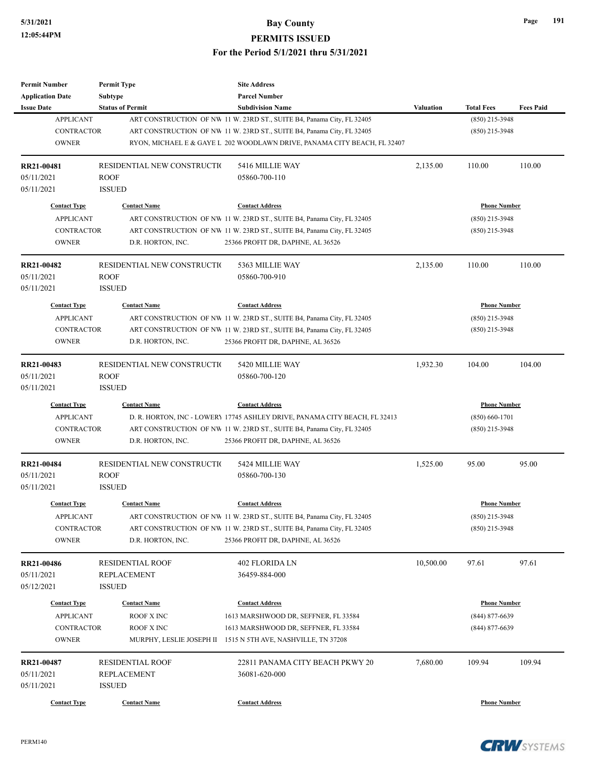| <b>Permit Number</b>                  | <b>Permit Type</b>           | <b>Site Address</b>                                                                                                                                |           |                     |                  |
|---------------------------------------|------------------------------|----------------------------------------------------------------------------------------------------------------------------------------------------|-----------|---------------------|------------------|
| <b>Application Date</b>               | Subtype                      | <b>Parcel Number</b>                                                                                                                               |           |                     |                  |
| <b>Issue Date</b><br><b>APPLICANT</b> | <b>Status of Permit</b>      | <b>Subdivision Name</b>                                                                                                                            | Valuation | <b>Total Fees</b>   | <b>Fees Paid</b> |
| <b>CONTRACTOR</b>                     |                              | ART CONSTRUCTION OF NW 11 W. 23RD ST., SUITE B4, Panama City, FL 32405                                                                             |           | (850) 215-3948      |                  |
| <b>OWNER</b>                          |                              | ART CONSTRUCTION OF NW 11 W. 23RD ST., SUITE B4, Panama City, FL 32405<br>RYON, MICHAEL E & GAYE L 202 WOODLAWN DRIVE, PANAMA CITY BEACH, FL 32407 |           | $(850)$ 215-3948    |                  |
|                                       |                              |                                                                                                                                                    |           |                     |                  |
| RR21-00481                            | RESIDENTIAL NEW CONSTRUCTIO  | 5416 MILLIE WAY                                                                                                                                    | 2,135.00  | 110.00              | 110.00           |
| 05/11/2021                            | ROOF                         | 05860-700-110                                                                                                                                      |           |                     |                  |
| 05/11/2021                            | <b>ISSUED</b>                |                                                                                                                                                    |           |                     |                  |
| <b>Contact Type</b>                   | <b>Contact Name</b>          | <b>Contact Address</b>                                                                                                                             |           | <b>Phone Number</b> |                  |
| <b>APPLICANT</b>                      |                              | ART CONSTRUCTION OF NW 11 W. 23RD ST., SUITE B4, Panama City, FL 32405                                                                             |           | $(850)$ 215-3948    |                  |
| <b>CONTRACTOR</b>                     |                              | ART CONSTRUCTION OF NW 11 W. 23RD ST., SUITE B4, Panama City, FL 32405                                                                             |           | $(850)$ 215-3948    |                  |
| <b>OWNER</b>                          | D.R. HORTON, INC.            | 25366 PROFIT DR, DAPHNE, AL 36526                                                                                                                  |           |                     |                  |
| RR21-00482                            | RESIDENTIAL NEW CONSTRUCTIO  | 5363 MILLIE WAY                                                                                                                                    | 2,135.00  | 110.00              | 110.00           |
| 05/11/2021                            | <b>ROOF</b>                  | 05860-700-910                                                                                                                                      |           |                     |                  |
| 05/11/2021                            | <b>ISSUED</b>                |                                                                                                                                                    |           |                     |                  |
| <b>Contact Type</b>                   | <b>Contact Name</b>          | <b>Contact Address</b>                                                                                                                             |           | <b>Phone Number</b> |                  |
| <b>APPLICANT</b>                      |                              | ART CONSTRUCTION OF NW 11 W. 23RD ST., SUITE B4, Panama City, FL 32405                                                                             |           | $(850)$ 215-3948    |                  |
| <b>CONTRACTOR</b>                     |                              | ART CONSTRUCTION OF NW 11 W. 23RD ST., SUITE B4, Panama City, FL 32405                                                                             |           | $(850)$ 215-3948    |                  |
| <b>OWNER</b>                          | D.R. HORTON, INC.            | 25366 PROFIT DR, DAPHNE, AL 36526                                                                                                                  |           |                     |                  |
|                                       |                              |                                                                                                                                                    |           |                     |                  |
| RR21-00483                            | RESIDENTIAL NEW CONSTRUCTIO  | 5420 MILLIE WAY                                                                                                                                    | 1,932.30  | 104.00              | 104.00           |
| 05/11/2021                            | <b>ROOF</b>                  | 05860-700-120                                                                                                                                      |           |                     |                  |
| 05/11/2021                            | <b>ISSUED</b>                |                                                                                                                                                    |           |                     |                  |
| <b>Contact Type</b>                   | <b>Contact Name</b>          | <b>Contact Address</b>                                                                                                                             |           | <b>Phone Number</b> |                  |
| <b>APPLICANT</b>                      |                              | D. R. HORTON, INC - LOWERY 17745 ASHLEY DRIVE, PANAMA CITY BEACH, FL 32413                                                                         |           | $(850) 660 - 1701$  |                  |
| <b>CONTRACTOR</b>                     |                              | ART CONSTRUCTION OF NW 11 W. 23RD ST., SUITE B4, Panama City, FL 32405                                                                             |           | $(850)$ 215-3948    |                  |
| <b>OWNER</b>                          | D.R. HORTON, INC.            | 25366 PROFIT DR, DAPHNE, AL 36526                                                                                                                  |           |                     |                  |
| <b>RR21-00484</b>                     | RESIDENTIAL NEW CONSTRUCTIO  | 5424 MILLIE WAY                                                                                                                                    | 1,525.00  | 95.00               | 95.00            |
| 05/11/2021                            | ROOF                         | 05860-700-130                                                                                                                                      |           |                     |                  |
| 05/11/2021                            | <b>ISSUED</b>                |                                                                                                                                                    |           |                     |                  |
| <b>Contact Type</b>                   | <b>Contact Name</b>          | <b>Contact Address</b>                                                                                                                             |           | <b>Phone Number</b> |                  |
| APPLICANT                             |                              | ART CONSTRUCTION OF NW 11 W. 23RD ST., SUITE B4, Panama City, FL 32405                                                                             |           | (850) 215-3948      |                  |
| CONTRACTOR                            |                              | ART CONSTRUCTION OF NW 11 W. 23RD ST., SUITE B4, Panama City, FL 32405                                                                             |           | $(850)$ 215-3948    |                  |
| <b>OWNER</b>                          | D.R. HORTON, INC.            | 25366 PROFIT DR, DAPHNE, AL 36526                                                                                                                  |           |                     |                  |
| RR21-00486                            | RESIDENTIAL ROOF             | 402 FLORIDA LN                                                                                                                                     | 10,500.00 | 97.61               | 97.61            |
| 05/11/2021                            | <b>REPLACEMENT</b>           | 36459-884-000                                                                                                                                      |           |                     |                  |
| 05/12/2021                            | <b>ISSUED</b>                |                                                                                                                                                    |           |                     |                  |
| <b>Contact Type</b>                   | <b>Contact Name</b>          | <b>Contact Address</b>                                                                                                                             |           | <b>Phone Number</b> |                  |
| <b>APPLICANT</b>                      | ROOF X INC                   | 1613 MARSHWOOD DR, SEFFNER, FL 33584                                                                                                               |           | $(844)$ 877-6639    |                  |
| <b>CONTRACTOR</b>                     | ROOF X INC                   | 1613 MARSHWOOD DR, SEFFNER, FL 33584                                                                                                               |           | $(844)$ 877-6639    |                  |
| <b>OWNER</b>                          |                              | MURPHY, LESLIE JOSEPH II 1515 N 5TH AVE, NASHVILLE, TN 37208                                                                                       |           |                     |                  |
| RR21-00487                            | <b>RESIDENTIAL ROOF</b>      | 22811 PANAMA CITY BEACH PKWY 20                                                                                                                    |           |                     | 109.94           |
| 05/11/2021                            |                              |                                                                                                                                                    | 7,680.00  | 109.94              |                  |
| 05/11/2021                            | REPLACEMENT<br><b>ISSUED</b> | 36081-620-000                                                                                                                                      |           |                     |                  |
|                                       |                              |                                                                                                                                                    |           |                     |                  |
| <b>Contact Type</b>                   | <b>Contact Name</b>          | <b>Contact Address</b>                                                                                                                             |           | <b>Phone Number</b> |                  |



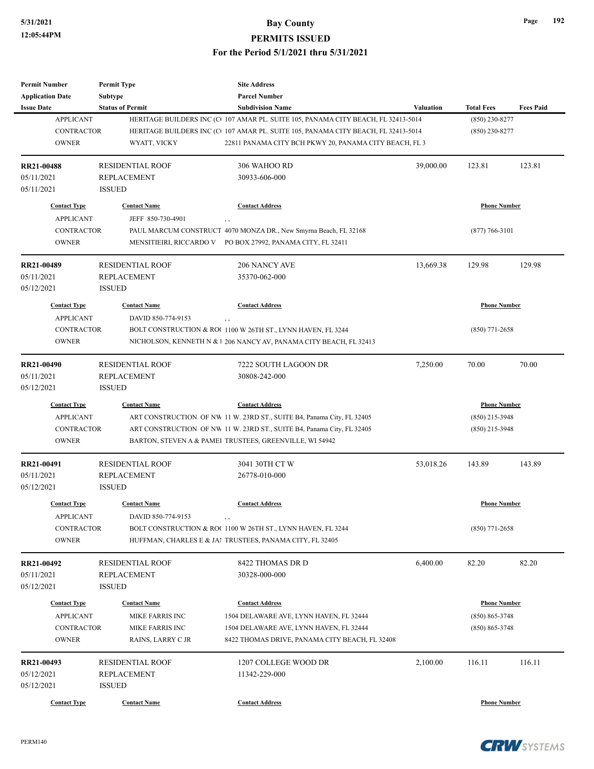| <b>Permit Number</b>    | <b>Permit Type</b>      | <b>Site Address</b>                                                               |                  |                     |                  |
|-------------------------|-------------------------|-----------------------------------------------------------------------------------|------------------|---------------------|------------------|
| <b>Application Date</b> | Subtype                 | <b>Parcel Number</b>                                                              |                  |                     |                  |
| <b>Issue Date</b>       | <b>Status of Permit</b> | <b>Subdivision Name</b>                                                           | <b>Valuation</b> | <b>Total Fees</b>   | <b>Fees Paid</b> |
| <b>APPLICANT</b>        |                         | HERITAGE BUILDERS INC (C 107 AMAR PL. SUITE 105, PANAMA CITY BEACH, FL 32413-5014 |                  | $(850)$ 230-8277    |                  |
| <b>CONTRACTOR</b>       |                         | HERITAGE BUILDERS INC (C 107 AMAR PL. SUITE 105, PANAMA CITY BEACH, FL 32413-5014 |                  | $(850)$ 230-8277    |                  |
| <b>OWNER</b>            | WYATT, VICKY            | 22811 PANAMA CITY BCH PKWY 20, PANAMA CITY BEACH, FL 3                            |                  |                     |                  |
| <b>RR21-00488</b>       | <b>RESIDENTIAL ROOF</b> | 306 WAHOO RD                                                                      | 39,000.00        | 123.81              | 123.81           |
| 05/11/2021              | <b>REPLACEMENT</b>      | 30933-606-000                                                                     |                  |                     |                  |
| 05/11/2021              | <b>ISSUED</b>           |                                                                                   |                  |                     |                  |
| <b>Contact Type</b>     | <b>Contact Name</b>     | <b>Contact Address</b>                                                            |                  | <b>Phone Number</b> |                  |
| <b>APPLICANT</b>        | JEFF 850-730-4901       | , ,                                                                               |                  |                     |                  |
| <b>CONTRACTOR</b>       |                         | PAUL MARCUM CONSTRUCT 4070 MONZA DR., New Smyrna Beach, FL 32168                  |                  | $(877) 766 - 3101$  |                  |
| <b>OWNER</b>            |                         | MENSITIEIRI, RICCARDO V PO BOX 27992, PANAMA CITY, FL 32411                       |                  |                     |                  |
| RR21-00489              | <b>RESIDENTIAL ROOF</b> | 206 NANCY AVE                                                                     | 13,669.38        | 129.98              | 129.98           |
| 05/11/2021              | <b>REPLACEMENT</b>      | 35370-062-000                                                                     |                  |                     |                  |
| 05/12/2021              | <b>ISSUED</b>           |                                                                                   |                  |                     |                  |
| <b>Contact Type</b>     | <b>Contact Name</b>     | <b>Contact Address</b>                                                            |                  | <b>Phone Number</b> |                  |
| <b>APPLICANT</b>        | DAVID 850-774-9153      |                                                                                   |                  |                     |                  |
| <b>CONTRACTOR</b>       |                         | BOLT CONSTRUCTION & ROC 1100 W 26TH ST., LYNN HAVEN, FL 3244                      |                  | $(850)$ 771-2658    |                  |
| <b>OWNER</b>            |                         | NICHOLSON, KENNETH N & 1 206 NANCY AV, PANAMA CITY BEACH, FL 32413                |                  |                     |                  |
| RR21-00490              | <b>RESIDENTIAL ROOF</b> | 7222 SOUTH LAGOON DR                                                              | 7,250.00         | 70.00               | 70.00            |
| 05/11/2021              | <b>REPLACEMENT</b>      | 30808-242-000                                                                     |                  |                     |                  |
| 05/12/2021              | <b>ISSUED</b>           |                                                                                   |                  |                     |                  |
| <b>Contact Type</b>     | <b>Contact Name</b>     | <b>Contact Address</b>                                                            |                  | <b>Phone Number</b> |                  |
| <b>APPLICANT</b>        |                         | ART CONSTRUCTION OF NW 11 W. 23RD ST., SUITE B4, Panama City, FL 32405            |                  | $(850)$ 215-3948    |                  |
| <b>CONTRACTOR</b>       |                         | ART CONSTRUCTION OF NW 11 W. 23RD ST., SUITE B4, Panama City, FL 32405            |                  | $(850)$ 215-3948    |                  |
| <b>OWNER</b>            |                         | BARTON, STEVEN A & PAMEI TRUSTEES, GREENVILLE, WI 54942                           |                  |                     |                  |
| RR21-00491              | <b>RESIDENTIAL ROOF</b> | 3041 30TH CT W                                                                    | 53,018.26        | 143.89              | 143.89           |
| 05/11/2021              | <b>REPLACEMENT</b>      | 26778-010-000                                                                     |                  |                     |                  |
| 05/12/2021              | <b>ISSUED</b>           |                                                                                   |                  |                     |                  |
| <b>Contact Type</b>     | <b>Contact Name</b>     | <b>Contact Address</b>                                                            |                  | <b>Phone Number</b> |                  |
| APPLICANT               | DAVID 850-774-9153      | , ,                                                                               |                  |                     |                  |
| <b>CONTRACTOR</b>       |                         | BOLT CONSTRUCTION & ROC 1100 W 26TH ST., LYNN HAVEN, FL 3244                      |                  | $(850)$ 771-2658    |                  |
| <b>OWNER</b>            |                         | HUFFMAN, CHARLES E & JAI TRUSTEES, PANAMA CITY, FL 32405                          |                  |                     |                  |
| RR21-00492              | <b>RESIDENTIAL ROOF</b> | 8422 THOMAS DR D                                                                  | 6,400.00         | 82.20               | 82.20            |
| 05/11/2021              | REPLACEMENT             | 30328-000-000                                                                     |                  |                     |                  |
| 05/12/2021              | <b>ISSUED</b>           |                                                                                   |                  |                     |                  |
| <b>Contact Type</b>     | <b>Contact Name</b>     | <b>Contact Address</b>                                                            |                  | <b>Phone Number</b> |                  |
| <b>APPLICANT</b>        | MIKE FARRIS INC         | 1504 DELAWARE AVE, LYNN HAVEN, FL 32444                                           |                  | $(850) 865 - 3748$  |                  |
| CONTRACTOR              | MIKE FARRIS INC         | 1504 DELAWARE AVE, LYNN HAVEN, FL 32444                                           |                  | $(850) 865 - 3748$  |                  |
| <b>OWNER</b>            | RAINS, LARRY C JR       | 8422 THOMAS DRIVE, PANAMA CITY BEACH, FL 32408                                    |                  |                     |                  |
| RR21-00493              | <b>RESIDENTIAL ROOF</b> | 1207 COLLEGE WOOD DR                                                              | 2,100.00         | 116.11              | 116.11           |
| 05/12/2021              | <b>REPLACEMENT</b>      | 11342-229-000                                                                     |                  |                     |                  |
| 05/12/2021              | <b>ISSUED</b>           |                                                                                   |                  |                     |                  |
| <b>Contact Type</b>     | <b>Contact Name</b>     | <b>Contact Address</b>                                                            |                  | <b>Phone Number</b> |                  |

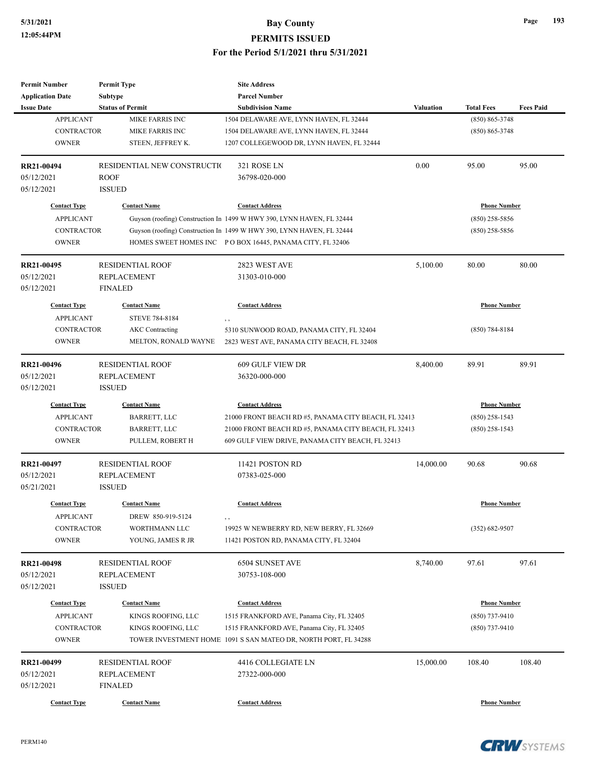| <b>Permit Number</b>                  | <b>Permit Type</b>          | <b>Site Address</b>                                                   |                  |                     |                  |
|---------------------------------------|-----------------------------|-----------------------------------------------------------------------|------------------|---------------------|------------------|
| <b>Application Date</b>               | Subtype                     | <b>Parcel Number</b>                                                  |                  |                     |                  |
| <b>Issue Date</b>                     | <b>Status of Permit</b>     | <b>Subdivision Name</b>                                               | <b>Valuation</b> | <b>Total Fees</b>   | <b>Fees Paid</b> |
| <b>APPLICANT</b>                      | MIKE FARRIS INC             | 1504 DELAWARE AVE, LYNN HAVEN, FL 32444                               |                  | $(850) 865 - 3748$  |                  |
| <b>CONTRACTOR</b>                     | MIKE FARRIS INC             | 1504 DELAWARE AVE, LYNN HAVEN, FL 32444                               |                  | $(850) 865 - 3748$  |                  |
| <b>OWNER</b>                          | STEEN, JEFFREY K.           | 1207 COLLEGEWOOD DR, LYNN HAVEN, FL 32444                             |                  |                     |                  |
|                                       |                             |                                                                       |                  |                     |                  |
| <b>RR21-00494</b>                     | RESIDENTIAL NEW CONSTRUCTIO | 321 ROSE LN                                                           | 0.00             | 95.00               | 95.00            |
| 05/12/2021                            | <b>ROOF</b>                 | 36798-020-000                                                         |                  |                     |                  |
| 05/12/2021                            | <b>ISSUED</b>               |                                                                       |                  |                     |                  |
| <b>Contact Type</b>                   | <b>Contact Name</b>         | <b>Contact Address</b>                                                |                  | <b>Phone Number</b> |                  |
| <b>APPLICANT</b>                      |                             | Guyson (roofing) Construction In 1499 W HWY 390, LYNN HAVEN, FL 32444 |                  | $(850)$ 258-5856    |                  |
| <b>CONTRACTOR</b>                     |                             | Guyson (roofing) Construction In 1499 W HWY 390, LYNN HAVEN, FL 32444 |                  | (850) 258-5856      |                  |
| <b>OWNER</b>                          |                             | HOMES SWEET HOMES INC PO BOX 16445, PANAMA CITY, FL 32406             |                  |                     |                  |
|                                       |                             |                                                                       |                  |                     |                  |
| RR21-00495                            | <b>RESIDENTIAL ROOF</b>     | 2823 WEST AVE                                                         | 5,100.00         | 80.00               | 80.00            |
| 05/12/2021                            | <b>REPLACEMENT</b>          | 31303-010-000                                                         |                  |                     |                  |
| 05/12/2021                            | <b>FINALED</b>              |                                                                       |                  |                     |                  |
| <b>Contact Type</b>                   | <b>Contact Name</b>         | <b>Contact Address</b>                                                |                  | <b>Phone Number</b> |                  |
|                                       |                             |                                                                       |                  |                     |                  |
| <b>APPLICANT</b><br><b>CONTRACTOR</b> | STEVE 784-8184              | , ,                                                                   |                  |                     |                  |
|                                       | <b>AKC</b> Contracting      | 5310 SUNWOOD ROAD, PANAMA CITY, FL 32404                              |                  | $(850)$ 784-8184    |                  |
| <b>OWNER</b>                          | MELTON, RONALD WAYNE        | 2823 WEST AVE, PANAMA CITY BEACH, FL 32408                            |                  |                     |                  |
| RR21-00496                            | <b>RESIDENTIAL ROOF</b>     | 609 GULF VIEW DR                                                      | 8,400.00         | 89.91               | 89.91            |
| 05/12/2021                            | <b>REPLACEMENT</b>          | 36320-000-000                                                         |                  |                     |                  |
| 05/12/2021                            | <b>ISSUED</b>               |                                                                       |                  |                     |                  |
|                                       |                             |                                                                       |                  |                     |                  |
| <b>Contact Type</b>                   | <b>Contact Name</b>         | <b>Contact Address</b>                                                |                  | <b>Phone Number</b> |                  |
| <b>APPLICANT</b>                      | BARRETT, LLC                | 21000 FRONT BEACH RD #5, PANAMA CITY BEACH, FL 32413                  |                  | $(850)$ 258-1543    |                  |
| <b>CONTRACTOR</b>                     | <b>BARRETT, LLC</b>         | 21000 FRONT BEACH RD #5, PANAMA CITY BEACH, FL 32413                  |                  | (850) 258-1543      |                  |
| <b>OWNER</b>                          | PULLEM, ROBERT H            | 609 GULF VIEW DRIVE, PANAMA CITY BEACH, FL 32413                      |                  |                     |                  |
| RR21-00497                            | <b>RESIDENTIAL ROOF</b>     | 11421 POSTON RD                                                       | 14,000.00        | 90.68               | 90.68            |
| 05/12/2021                            | <b>REPLACEMENT</b>          | 07383-025-000                                                         |                  |                     |                  |
| 05/21/2021                            | <b>ISSUED</b>               |                                                                       |                  |                     |                  |
|                                       |                             |                                                                       |                  |                     |                  |
| <b>Contact Type</b>                   | <b>Contact Name</b>         | <b>Contact Address</b>                                                |                  | <b>Phone Number</b> |                  |
| <b>APPLICANT</b>                      | DREW 850-919-5124           | $, \, , \,$                                                           |                  |                     |                  |
| <b>CONTRACTOR</b>                     | WORTHMANN LLC               | 19925 W NEWBERRY RD, NEW BERRY, FL 32669                              |                  | $(352) 682 - 9507$  |                  |
| <b>OWNER</b>                          | YOUNG, JAMES R JR           | 11421 POSTON RD, PANAMA CITY, FL 32404                                |                  |                     |                  |
|                                       |                             |                                                                       |                  |                     |                  |
| RR21-00498                            | <b>RESIDENTIAL ROOF</b>     | 6504 SUNSET AVE                                                       | 8,740.00         | 97.61               | 97.61            |
| 05/12/2021                            | <b>REPLACEMENT</b>          | 30753-108-000                                                         |                  |                     |                  |
| 05/12/2021                            | <b>ISSUED</b>               |                                                                       |                  |                     |                  |
| <b>Contact Type</b>                   | <b>Contact Name</b>         | <b>Contact Address</b>                                                |                  | <b>Phone Number</b> |                  |
| <b>APPLICANT</b>                      | KINGS ROOFING, LLC          | 1515 FRANKFORD AVE, Panama City, FL 32405                             |                  | (850) 737-9410      |                  |
| CONTRACTOR                            | KINGS ROOFING, LLC          | 1515 FRANKFORD AVE, Panama City, FL 32405                             |                  | (850) 737-9410      |                  |
| <b>OWNER</b>                          |                             | TOWER INVESTMENT HOME 1091 S SAN MATEO DR, NORTH PORT, FL 34288       |                  |                     |                  |
|                                       |                             |                                                                       |                  |                     |                  |
| RR21-00499                            | <b>RESIDENTIAL ROOF</b>     | 4416 COLLEGIATE LN                                                    | 15,000.00        | 108.40              | 108.40           |
| 05/12/2021                            | REPLACEMENT                 | 27322-000-000                                                         |                  |                     |                  |
| 05/12/2021                            | <b>FINALED</b>              |                                                                       |                  |                     |                  |
| <b>Contact Type</b>                   | <b>Contact Name</b>         | <b>Contact Address</b>                                                |                  | <b>Phone Number</b> |                  |



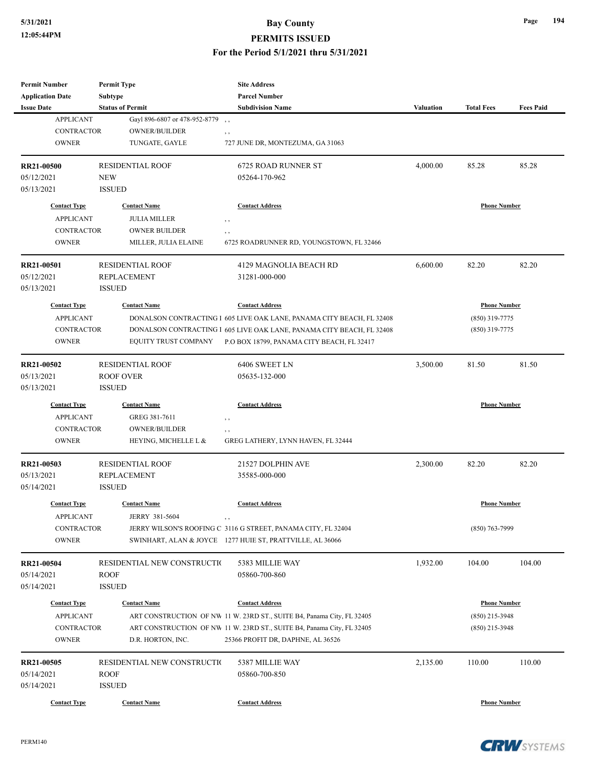| <b>Permit Number</b><br><b>Application Date</b>                              | <b>Permit Type</b><br><b>Subtype</b>                                                               | <b>Site Address</b><br><b>Parcel Number</b>                                                                                                                                                                            |                  |                                                           |                  |
|------------------------------------------------------------------------------|----------------------------------------------------------------------------------------------------|------------------------------------------------------------------------------------------------------------------------------------------------------------------------------------------------------------------------|------------------|-----------------------------------------------------------|------------------|
| <b>Issue Date</b><br><b>APPLICANT</b><br><b>CONTRACTOR</b><br><b>OWNER</b>   | <b>Status of Permit</b><br>Gayl 896-6807 or 478-952-8779<br><b>OWNER/BUILDER</b><br>TUNGATE, GAYLE | <b>Subdivision Name</b><br>, ,<br>, ,<br>727 JUNE DR, MONTEZUMA, GA 31063                                                                                                                                              | <b>Valuation</b> | <b>Total Fees</b>                                         | <b>Fees Paid</b> |
| <b>RR21-00500</b><br>05/12/2021<br>05/13/2021                                | <b>RESIDENTIAL ROOF</b><br><b>NEW</b><br><b>ISSUED</b>                                             | 6725 ROAD RUNNER ST<br>05264-170-962                                                                                                                                                                                   | 4,000.00         | 85.28                                                     | 85.28            |
| <b>Contact Type</b><br><b>APPLICANT</b><br><b>CONTRACTOR</b>                 | <b>Contact Name</b><br><b>JULIA MILLER</b><br><b>OWNER BUILDER</b>                                 | <b>Contact Address</b><br>, ,<br>, ,                                                                                                                                                                                   |                  | <b>Phone Number</b>                                       |                  |
| <b>OWNER</b><br><b>RR21-00501</b><br>05/12/2021<br>05/13/2021                | MILLER, JULIA ELAINE<br><b>RESIDENTIAL ROOF</b><br><b>REPLACEMENT</b>                              | 6725 ROADRUNNER RD, YOUNGSTOWN, FL 32466<br>4129 MAGNOLIA BEACH RD<br>31281-000-000                                                                                                                                    | 6,600.00         | 82.20                                                     | 82.20            |
| <b>Contact Type</b><br><b>APPLICANT</b><br><b>CONTRACTOR</b><br><b>OWNER</b> | <b>ISSUED</b><br><b>Contact Name</b><br>EQUITY TRUST COMPANY                                       | <b>Contact Address</b><br>DONALSON CONTRACTING 1 605 LIVE OAK LANE, PANAMA CITY BEACH, FL 32408<br>DONALSON CONTRACTING 1 605 LIVE OAK LANE, PANAMA CITY BEACH, FL 32408<br>P.O BOX 18799, PANAMA CITY BEACH, FL 32417 |                  | <b>Phone Number</b><br>(850) 319-7775<br>(850) 319-7775   |                  |
| RR21-00502<br>05/13/2021<br>05/13/2021                                       | <b>RESIDENTIAL ROOF</b><br><b>ROOF OVER</b><br><b>ISSUED</b>                                       | 6406 SWEET LN<br>05635-132-000                                                                                                                                                                                         | 3,500.00         | 81.50                                                     | 81.50            |
| <b>Contact Type</b><br><b>APPLICANT</b><br>CONTRACTOR<br><b>OWNER</b>        | <b>Contact Name</b><br>GREG 381-7611<br>OWNER/BUILDER<br>HEYING, MICHELLE L &                      | <b>Contact Address</b><br>, ,<br>$, \, , \,$<br>GREG LATHERY, LYNN HAVEN, FL 32444                                                                                                                                     |                  | <b>Phone Number</b>                                       |                  |
| RR21-00503<br>05/13/2021<br>05/14/2021                                       | <b>RESIDENTIAL ROOF</b><br><b>REPLACEMENT</b><br><b>ISSUED</b>                                     | 21527 DOLPHIN AVE<br>35585-000-000                                                                                                                                                                                     | 2,300.00         | 82.20                                                     | 82.20            |
| <b>Contact Type</b><br><b>APPLICANT</b><br><b>CONTRACTOR</b><br><b>OWNER</b> | <b>Contact Name</b><br>JERRY 381-5604                                                              | <b>Contact Address</b><br>, ,<br>JERRY WILSON'S ROOFING C 3116 G STREET, PANAMA CITY, FL 32404<br>SWINHART, ALAN & JOYCE 1277 HUIE ST, PRATTVILLE, AL 36066                                                            |                  | <b>Phone Number</b><br>$(850)$ 763-7999                   |                  |
| <b>RR21-00504</b><br>05/14/2021<br>05/14/2021                                | RESIDENTIAL NEW CONSTRUCTIO<br><b>ROOF</b><br><b>ISSUED</b>                                        | 5383 MILLIE WAY<br>05860-700-860                                                                                                                                                                                       | 1,932.00         | 104.00                                                    | 104.00           |
| <b>Contact Type</b><br><b>APPLICANT</b><br>CONTRACTOR<br><b>OWNER</b>        | <b>Contact Name</b><br>D.R. HORTON, INC.                                                           | <b>Contact Address</b><br>ART CONSTRUCTION OF NW 11 W. 23RD ST., SUITE B4, Panama City, FL 32405<br>ART CONSTRUCTION OF NW 11 W. 23RD ST., SUITE B4, Panama City, FL 32405<br>25366 PROFIT DR, DAPHNE, AL 36526        |                  | <b>Phone Number</b><br>(850) 215-3948<br>$(850)$ 215-3948 |                  |
| RR21-00505<br>05/14/2021<br>05/14/2021                                       | RESIDENTIAL NEW CONSTRUCTIO<br><b>ROOF</b><br><b>ISSUED</b>                                        | 5387 MILLIE WAY<br>05860-700-850                                                                                                                                                                                       | 2,135.00         | 110.00                                                    | 110.00           |
| <b>Contact Type</b>                                                          | <b>Contact Name</b>                                                                                | <b>Contact Address</b>                                                                                                                                                                                                 |                  | <b>Phone Number</b>                                       |                  |

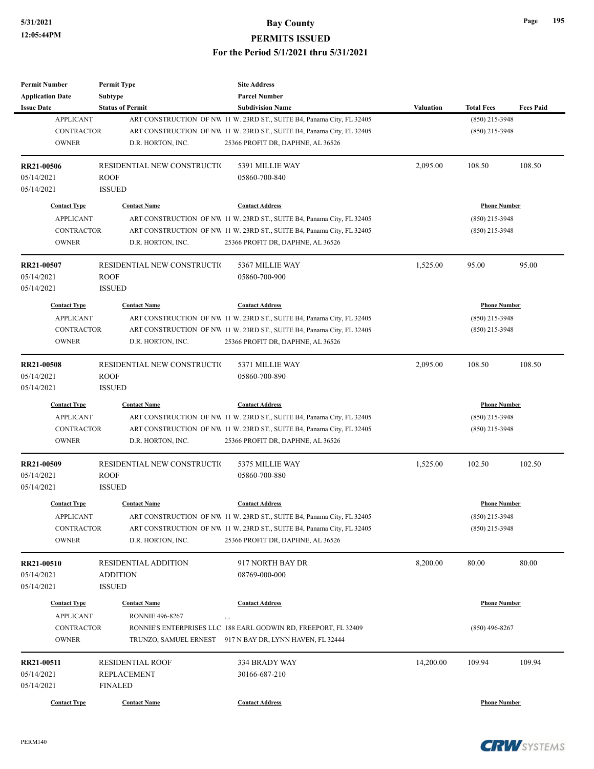| <b>Permit Number</b>                    | <b>Permit Type</b>          | <b>Site Address</b>                                                            |                  |                     |                  |
|-----------------------------------------|-----------------------------|--------------------------------------------------------------------------------|------------------|---------------------|------------------|
| <b>Application Date</b>                 | <b>Subtype</b>              | <b>Parcel Number</b>                                                           |                  |                     |                  |
| <b>Issue Date</b>                       | <b>Status of Permit</b>     | <b>Subdivision Name</b>                                                        | <b>Valuation</b> | <b>Total Fees</b>   | <b>Fees Paid</b> |
| <b>APPLICANT</b>                        |                             | ART CONSTRUCTION OF NW 11 W. 23RD ST., SUITE B4, Panama City, FL 32405         |                  | (850) 215-3948      |                  |
| <b>CONTRACTOR</b>                       |                             | ART CONSTRUCTION OF NW 11 W. 23RD ST., SUITE B4, Panama City, FL 32405         |                  | $(850)$ 215-3948    |                  |
| <b>OWNER</b>                            | D.R. HORTON, INC.           | 25366 PROFIT DR, DAPHNE, AL 36526                                              |                  |                     |                  |
| RR21-00506                              | RESIDENTIAL NEW CONSTRUCTIO | 5391 MILLIE WAY                                                                | 2,095.00         | 108.50              | 108.50           |
| 05/14/2021                              | <b>ROOF</b>                 | 05860-700-840                                                                  |                  |                     |                  |
| 05/14/2021                              | <b>ISSUED</b>               |                                                                                |                  |                     |                  |
| <b>Contact Type</b>                     | <b>Contact Name</b>         | <b>Contact Address</b>                                                         |                  | <b>Phone Number</b> |                  |
| <b>APPLICANT</b>                        |                             | ART CONSTRUCTION OF NW 11 W. 23RD ST., SUITE B4, Panama City, FL 32405         |                  | $(850)$ 215-3948    |                  |
| <b>CONTRACTOR</b>                       |                             | ART CONSTRUCTION OF NW 11 W. 23RD ST., SUITE B4, Panama City, FL 32405         |                  | $(850)$ 215-3948    |                  |
| <b>OWNER</b>                            | D.R. HORTON, INC.           | 25366 PROFIT DR, DAPHNE, AL 36526                                              |                  |                     |                  |
| RR21-00507                              | RESIDENTIAL NEW CONSTRUCTIO | 5367 MILLIE WAY                                                                | 1,525.00         | 95.00               | 95.00            |
| 05/14/2021                              | <b>ROOF</b>                 | 05860-700-900                                                                  |                  |                     |                  |
| 05/14/2021                              | <b>ISSUED</b>               |                                                                                |                  |                     |                  |
| <b>Contact Type</b>                     | <b>Contact Name</b>         | <b>Contact Address</b>                                                         |                  | <b>Phone Number</b> |                  |
| <b>APPLICANT</b>                        |                             | ART CONSTRUCTION OF NW 11 W. 23RD ST., SUITE B4, Panama City, FL 32405         |                  | $(850)$ 215-3948    |                  |
| <b>CONTRACTOR</b>                       |                             | ART CONSTRUCTION OF NW 11 W. 23RD ST., SUITE B4, Panama City, FL 32405         |                  | $(850)$ 215-3948    |                  |
| <b>OWNER</b>                            | D.R. HORTON, INC.           | 25366 PROFIT DR, DAPHNE, AL 36526                                              |                  |                     |                  |
|                                         |                             |                                                                                |                  |                     |                  |
| RR21-00508                              | RESIDENTIAL NEW CONSTRUCTIO | 5371 MILLIE WAY                                                                | 2,095.00         | 108.50              | 108.50           |
| 05/14/2021                              | <b>ROOF</b>                 | 05860-700-890                                                                  |                  |                     |                  |
| 05/14/2021                              | <b>ISSUED</b>               |                                                                                |                  |                     |                  |
| <b>Contact Type</b>                     | <b>Contact Name</b>         | <b>Contact Address</b>                                                         |                  | <b>Phone Number</b> |                  |
| <b>APPLICANT</b>                        |                             | ART CONSTRUCTION OF NW 11 W. 23RD ST., SUITE B4, Panama City, FL 32405         |                  | $(850)$ 215-3948    |                  |
| <b>CONTRACTOR</b>                       |                             | ART CONSTRUCTION OF NW 11 W. 23RD ST., SUITE B4, Panama City, FL 32405         |                  | $(850)$ 215-3948    |                  |
| <b>OWNER</b>                            | D.R. HORTON, INC.           | 25366 PROFIT DR, DAPHNE, AL 36526                                              |                  |                     |                  |
| RR21-00509                              | RESIDENTIAL NEW CONSTRUCTIO | 5375 MILLIE WAY                                                                | 1,525.00         | 102.50              | 102.50           |
| 05/14/2021                              | <b>ROOF</b>                 | 05860-700-880                                                                  |                  |                     |                  |
| 05/14/2021                              | <b>ISSUED</b>               |                                                                                |                  |                     |                  |
| <b>Contact Type</b>                     | <b>Contact Name</b>         | <b>Contact Address</b>                                                         |                  | <b>Phone Number</b> |                  |
| <b>APPLICANT</b>                        |                             | ART CONSTRUCTION OF NW 11 W. 23RD ST., SUITE B4, Panama City, FL 32405         |                  | (850) 215-3948      |                  |
| CONTRACTOR                              |                             | ART CONSTRUCTION OF NW 11 W. 23RD ST., SUITE B4, Panama City, FL 32405         |                  | $(850)$ 215-3948    |                  |
| <b>OWNER</b>                            | D.R. HORTON, INC.           | 25366 PROFIT DR, DAPHNE, AL 36526                                              |                  |                     |                  |
| RR21-00510                              | <b>RESIDENTIAL ADDITION</b> | 917 NORTH BAY DR                                                               | 8,200.00         | 80.00               | 80.00            |
| 05/14/2021                              | ADDITION                    | 08769-000-000                                                                  |                  |                     |                  |
| 05/14/2021                              | <b>ISSUED</b>               |                                                                                |                  |                     |                  |
|                                         | <b>Contact Name</b>         | <b>Contact Address</b>                                                         |                  | <b>Phone Number</b> |                  |
| <b>Contact Type</b><br><b>APPLICANT</b> | <b>RONNIE 496-8267</b>      |                                                                                |                  |                     |                  |
| CONTRACTOR                              |                             | $, \, , \,$<br>RONNIE'S ENTERPRISES LLC 188 EARL GODWIN RD, FREEPORT, FL 32409 |                  | $(850)$ 496-8267    |                  |
| <b>OWNER</b>                            |                             | TRUNZO, SAMUEL ERNEST 917 N BAY DR, LYNN HAVEN, FL 32444                       |                  |                     |                  |
|                                         |                             |                                                                                |                  |                     |                  |
| RR21-00511                              | <b>RESIDENTIAL ROOF</b>     | 334 BRADY WAY                                                                  | 14,200.00        | 109.94              | 109.94           |
| 05/14/2021                              | REPLACEMENT                 | 30166-687-210                                                                  |                  |                     |                  |
| 05/14/2021                              | <b>FINALED</b>              |                                                                                |                  |                     |                  |
| <b>Contact Type</b>                     | <b>Contact Name</b>         | <b>Contact Address</b>                                                         |                  | <b>Phone Number</b> |                  |

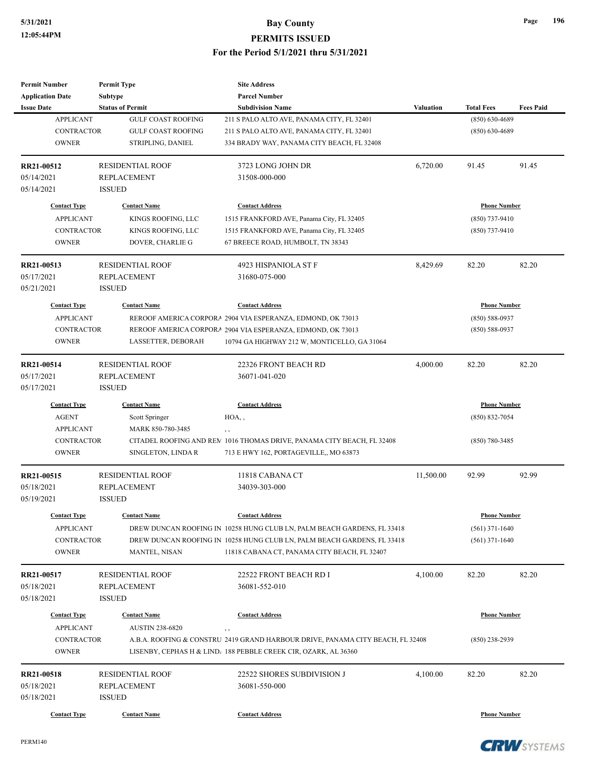| <b>Permit Number</b>    | <b>Permit Type</b>        | <b>Site Address</b>                                                            |                  |                     |                  |
|-------------------------|---------------------------|--------------------------------------------------------------------------------|------------------|---------------------|------------------|
| <b>Application Date</b> | Subtype                   | <b>Parcel Number</b>                                                           |                  |                     |                  |
| <b>Issue Date</b>       | <b>Status of Permit</b>   | <b>Subdivision Name</b>                                                        | <b>Valuation</b> | <b>Total Fees</b>   | <b>Fees Paid</b> |
| <b>APPLICANT</b>        | <b>GULF COAST ROOFING</b> | 211 S PALO ALTO AVE, PANAMA CITY, FL 32401                                     |                  | $(850) 630 - 4689$  |                  |
| <b>CONTRACTOR</b>       | <b>GULF COAST ROOFING</b> | 211 S PALO ALTO AVE, PANAMA CITY, FL 32401                                     |                  | $(850) 630 - 4689$  |                  |
| <b>OWNER</b>            | STRIPLING, DANIEL         | 334 BRADY WAY, PANAMA CITY BEACH, FL 32408                                     |                  |                     |                  |
| RR21-00512              | <b>RESIDENTIAL ROOF</b>   | 3723 LONG JOHN DR                                                              | 6,720.00         | 91.45               | 91.45            |
| 05/14/2021              | <b>REPLACEMENT</b>        | 31508-000-000                                                                  |                  |                     |                  |
| 05/14/2021              | <b>ISSUED</b>             |                                                                                |                  |                     |                  |
| <b>Contact Type</b>     | <b>Contact Name</b>       | <b>Contact Address</b>                                                         |                  | <b>Phone Number</b> |                  |
| <b>APPLICANT</b>        | KINGS ROOFING, LLC        | 1515 FRANKFORD AVE, Panama City, FL 32405                                      |                  | $(850)$ 737-9410    |                  |
| <b>CONTRACTOR</b>       | KINGS ROOFING, LLC        | 1515 FRANKFORD AVE, Panama City, FL 32405                                      |                  | $(850)$ 737-9410    |                  |
| <b>OWNER</b>            | DOVER, CHARLIE G          | 67 BREECE ROAD, HUMBOLT, TN 38343                                              |                  |                     |                  |
| RR21-00513              | <b>RESIDENTIAL ROOF</b>   | 4923 HISPANIOLA ST F                                                           | 8,429.69         | 82.20               | 82.20            |
| 05/17/2021              | <b>REPLACEMENT</b>        | 31680-075-000                                                                  |                  |                     |                  |
| 05/21/2021              | <b>ISSUED</b>             |                                                                                |                  |                     |                  |
| <b>Contact Type</b>     | <b>Contact Name</b>       | <b>Contact Address</b>                                                         |                  | <b>Phone Number</b> |                  |
| <b>APPLICANT</b>        |                           | REROOF AMERICA CORPORA 2904 VIA ESPERANZA, EDMOND, OK 73013                    |                  | $(850) 588 - 0937$  |                  |
| CONTRACTOR              |                           | REROOF AMERICA CORPORA 2904 VIA ESPERANZA, EDMOND, OK 73013                    |                  | $(850) 588 - 0937$  |                  |
| <b>OWNER</b>            | LASSETTER, DEBORAH        | 10794 GA HIGHWAY 212 W, MONTICELLO, GA 31064                                   |                  |                     |                  |
| RR21-00514              | <b>RESIDENTIAL ROOF</b>   | 22326 FRONT BEACH RD                                                           | 4,000.00         | 82.20               | 82.20            |
| 05/17/2021              | <b>REPLACEMENT</b>        | 36071-041-020                                                                  |                  |                     |                  |
| 05/17/2021              | <b>ISSUED</b>             |                                                                                |                  |                     |                  |
| <b>Contact Type</b>     | <b>Contact Name</b>       | <b>Contact Address</b>                                                         |                  | <b>Phone Number</b> |                  |
| <b>AGENT</b>            | Scott Springer            | HOA,,                                                                          |                  | $(850) 832 - 7054$  |                  |
| <b>APPLICANT</b>        | MARK 850-780-3485         | $, \, , \,$                                                                    |                  |                     |                  |
| <b>CONTRACTOR</b>       |                           | CITADEL ROOFING AND REM 1016 THOMAS DRIVE, PANAMA CITY BEACH, FL 32408         |                  | $(850)$ 780-3485    |                  |
| <b>OWNER</b>            | SINGLETON, LINDA R        | 713 E HWY 162, PORTAGEVILLE,, MO 63873                                         |                  |                     |                  |
| RR21-00515              | <b>RESIDENTIAL ROOF</b>   | 11818 CABANA CT                                                                | 11,500.00        | 92.99               | 92.99            |
| 05/18/2021              | <b>REPLACEMENT</b>        | 34039-303-000                                                                  |                  |                     |                  |
| 05/19/2021              | <b>ISSUED</b>             |                                                                                |                  |                     |                  |
| <b>Contact Type</b>     | <b>Contact Name</b>       | <b>Contact Address</b>                                                         |                  | <b>Phone Number</b> |                  |
| <b>APPLICANT</b>        |                           | DREW DUNCAN ROOFING IN 10258 HUNG CLUB LN, PALM BEACH GARDENS, FL 33418        |                  | $(561)$ 371-1640    |                  |
| CONTRACTOR              |                           | DREW DUNCAN ROOFING IN 10258 HUNG CLUB LN, PALM BEACH GARDENS, FL 33418        |                  | $(561)$ 371-1640    |                  |
| <b>OWNER</b>            | MANTEL, NISAN             | 11818 CABANA CT, PANAMA CITY BEACH, FL 32407                                   |                  |                     |                  |
| RR21-00517              | <b>RESIDENTIAL ROOF</b>   | 22522 FRONT BEACH RD I                                                         | 4,100.00         | 82.20               | 82.20            |
| 05/18/2021              | <b>REPLACEMENT</b>        | 36081-552-010                                                                  |                  |                     |                  |
| 05/18/2021              | <b>ISSUED</b>             |                                                                                |                  |                     |                  |
| <b>Contact Type</b>     | <b>Contact Name</b>       | <b>Contact Address</b>                                                         |                  | <b>Phone Number</b> |                  |
| <b>APPLICANT</b>        | <b>AUSTIN 238-6820</b>    | $, \, , \,$                                                                    |                  |                     |                  |
| CONTRACTOR              |                           | A.B.A. ROOFING & CONSTRU 2419 GRAND HARBOUR DRIVE, PANAMA CITY BEACH, FL 32408 |                  | $(850)$ 238-2939    |                  |
| <b>OWNER</b>            |                           | LISENBY, CEPHAS H & LIND, 188 PEBBLE CREEK CIR, OZARK, AL 36360                |                  |                     |                  |
| RR21-00518              | RESIDENTIAL ROOF          | 22522 SHORES SUBDIVISION J                                                     | 4,100.00         | 82.20               | 82.20            |
| 05/18/2021              | <b>REPLACEMENT</b>        | 36081-550-000                                                                  |                  |                     |                  |
| 05/18/2021              | <b>ISSUED</b>             |                                                                                |                  |                     |                  |
| <b>Contact Type</b>     | <b>Contact Name</b>       | <b>Contact Address</b>                                                         |                  | <b>Phone Number</b> |                  |

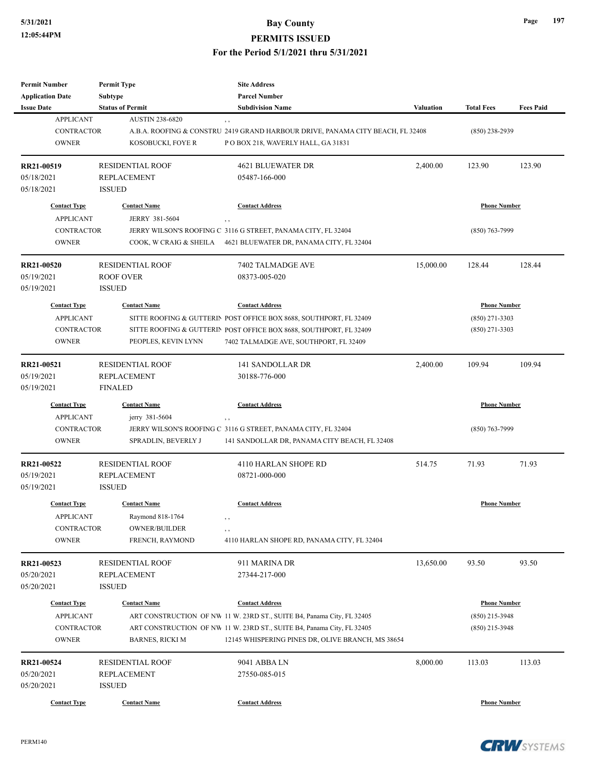| Permit Number                         | <b>Permit Type</b>                                | <b>Site Address</b><br><b>Parcel Number</b>                                           |           |                     |                  |
|---------------------------------------|---------------------------------------------------|---------------------------------------------------------------------------------------|-----------|---------------------|------------------|
| <b>Application Date</b>               | Subtype                                           |                                                                                       |           |                     |                  |
| <b>Issue Date</b><br><b>APPLICANT</b> | <b>Status of Permit</b><br><b>AUSTIN 238-6820</b> | <b>Subdivision Name</b>                                                               | Valuation | <b>Total Fees</b>   | <b>Fees Paid</b> |
| <b>CONTRACTOR</b>                     |                                                   | , ,<br>A.B.A. ROOFING & CONSTRU 2419 GRAND HARBOUR DRIVE, PANAMA CITY BEACH, FL 32408 |           | $(850)$ 238-2939    |                  |
| <b>OWNER</b>                          | KOSOBUCKI, FOYE R                                 | P O BOX 218, WAVERLY HALL, GA 31831                                                   |           |                     |                  |
|                                       |                                                   |                                                                                       |           |                     |                  |
| RR21-00519                            | <b>RESIDENTIAL ROOF</b>                           | 4621 BLUEWATER DR                                                                     | 2,400.00  | 123.90              | 123.90           |
| 05/18/2021                            | REPLACEMENT                                       | 05487-166-000                                                                         |           |                     |                  |
| 05/18/2021                            | <b>ISSUED</b>                                     |                                                                                       |           |                     |                  |
| <b>Contact Type</b>                   | <b>Contact Name</b>                               | <b>Contact Address</b>                                                                |           | <b>Phone Number</b> |                  |
| <b>APPLICANT</b>                      | JERRY 381-5604                                    |                                                                                       |           |                     |                  |
| <b>CONTRACTOR</b>                     |                                                   | JERRY WILSON'S ROOFING C 3116 G STREET, PANAMA CITY, FL 32404                         |           | $(850)$ 763-7999    |                  |
| <b>OWNER</b>                          | COOK, W CRAIG & SHEILA                            | 4621 BLUEWATER DR, PANAMA CITY, FL 32404                                              |           |                     |                  |
|                                       |                                                   |                                                                                       |           |                     |                  |
| RR21-00520                            | <b>RESIDENTIAL ROOF</b>                           | 7402 TALMADGE AVE                                                                     | 15,000.00 | 128.44              | 128.44           |
| 05/19/2021                            | ROOF OVER                                         | 08373-005-020                                                                         |           |                     |                  |
| 05/19/2021                            | <b>ISSUED</b>                                     |                                                                                       |           |                     |                  |
| <b>Contact Type</b>                   | <b>Contact Name</b>                               | <b>Contact Address</b>                                                                |           | <b>Phone Number</b> |                  |
| <b>APPLICANT</b>                      |                                                   | SITTE ROOFING & GUTTERIN POST OFFICE BOX 8688, SOUTHPORT, FL 32409                    |           | $(850)$ 271-3303    |                  |
| <b>CONTRACTOR</b>                     |                                                   | SITTE ROOFING & GUTTERIN POST OFFICE BOX 8688, SOUTHPORT, FL 32409                    |           | $(850)$ 271-3303    |                  |
| <b>OWNER</b>                          | PEOPLES, KEVIN LYNN                               | 7402 TALMADGE AVE, SOUTHPORT, FL 32409                                                |           |                     |                  |
|                                       |                                                   |                                                                                       |           |                     |                  |
| RR21-00521                            | <b>RESIDENTIAL ROOF</b>                           | <b>141 SANDOLLAR DR</b>                                                               | 2,400.00  | 109.94              | 109.94           |
| 05/19/2021                            | <b>REPLACEMENT</b>                                | 30188-776-000                                                                         |           |                     |                  |
| 05/19/2021                            | <b>FINALED</b>                                    |                                                                                       |           |                     |                  |
| <b>Contact Type</b>                   | <b>Contact Name</b>                               | <b>Contact Address</b>                                                                |           | <b>Phone Number</b> |                  |
| <b>APPLICANT</b>                      | jerry 381-5604                                    | $, \, ,$                                                                              |           |                     |                  |
| <b>CONTRACTOR</b>                     |                                                   | JERRY WILSON'S ROOFING C 3116 G STREET, PANAMA CITY, FL 32404                         |           | $(850)$ 763-7999    |                  |
| <b>OWNER</b>                          | SPRADLIN, BEVERLY J                               | 141 SANDOLLAR DR, PANAMA CITY BEACH, FL 32408                                         |           |                     |                  |
|                                       |                                                   |                                                                                       |           |                     |                  |
| RR21-00522                            | <b>RESIDENTIAL ROOF</b>                           | 4110 HARLAN SHOPE RD                                                                  | 514.75    | 71.93               | 71.93            |
| 05/19/2021                            | REPLACEMENT                                       | 08721-000-000                                                                         |           |                     |                  |
| 05/19/2021                            | <b>ISSUED</b>                                     |                                                                                       |           |                     |                  |
| <b>Contact Type</b>                   | <b>Contact Name</b>                               | <b>Contact Address</b>                                                                |           | <b>Phone Number</b> |                  |
| <b>APPLICANT</b>                      | Raymond 818-1764                                  |                                                                                       |           |                     |                  |
| CONTRACTOR                            | OWNER/BUILDER                                     | , ,                                                                                   |           |                     |                  |
| <b>OWNER</b>                          | FRENCH, RAYMOND                                   | 4110 HARLAN SHOPE RD, PANAMA CITY, FL 32404                                           |           |                     |                  |
|                                       |                                                   |                                                                                       |           |                     |                  |
| RR21-00523                            | <b>RESIDENTIAL ROOF</b>                           | 911 MARINA DR                                                                         | 13,650.00 | 93.50               | 93.50            |
| 05/20/2021                            | <b>REPLACEMENT</b>                                | 27344-217-000                                                                         |           |                     |                  |
| 05/20/2021                            | <b>ISSUED</b>                                     |                                                                                       |           |                     |                  |
| <b>Contact Type</b>                   | <b>Contact Name</b>                               | <b>Contact Address</b>                                                                |           | <b>Phone Number</b> |                  |
| <b>APPLICANT</b>                      |                                                   | ART CONSTRUCTION OF NW 11 W. 23RD ST., SUITE B4, Panama City, FL 32405                |           | $(850)$ 215-3948    |                  |
| <b>CONTRACTOR</b>                     |                                                   | ART CONSTRUCTION OF NW 11 W. 23RD ST., SUITE B4, Panama City, FL 32405                |           | $(850)$ 215-3948    |                  |
| <b>OWNER</b>                          | <b>BARNES, RICKI M</b>                            | 12145 WHISPERING PINES DR, OLIVE BRANCH, MS 38654                                     |           |                     |                  |
|                                       |                                                   |                                                                                       |           |                     |                  |
| RR21-00524                            | <b>RESIDENTIAL ROOF</b>                           | 9041 ABBA LN                                                                          | 8,000.00  | 113.03              | 113.03           |
| 05/20/2021                            | REPLACEMENT                                       | 27550-085-015                                                                         |           |                     |                  |
| 05/20/2021                            | <b>ISSUED</b>                                     |                                                                                       |           |                     |                  |
| <b>Contact Type</b>                   | <b>Contact Name</b>                               | <b>Contact Address</b>                                                                |           | <b>Phone Number</b> |                  |

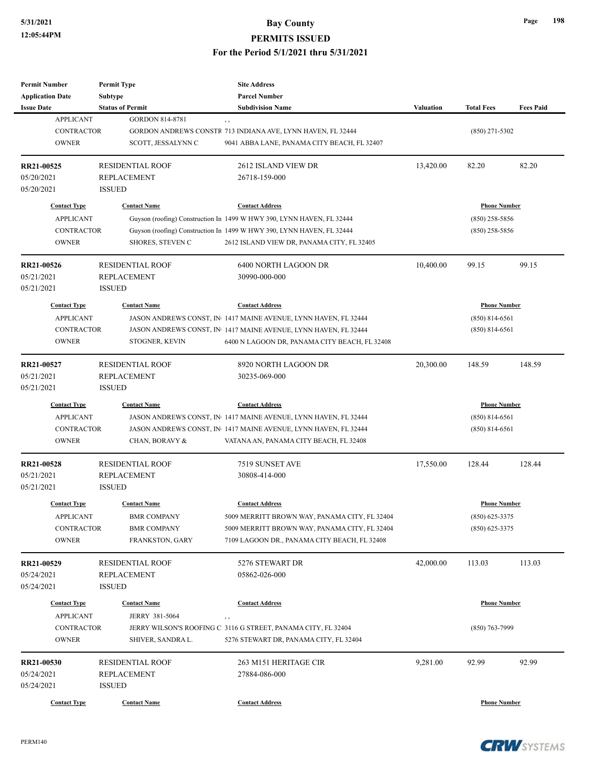| Page | 198 |
|------|-----|
|      |     |

| <b>Permit Number</b><br><b>Application Date</b>                              | <b>Permit Type</b><br><b>Subtype</b>                                                      | <b>Site Address</b><br><b>Parcel Number</b>                                                                                                                                                                            |                                                               |                                                               |                  |
|------------------------------------------------------------------------------|-------------------------------------------------------------------------------------------|------------------------------------------------------------------------------------------------------------------------------------------------------------------------------------------------------------------------|---------------------------------------------------------------|---------------------------------------------------------------|------------------|
| <b>Issue Date</b>                                                            | <b>Status of Permit</b>                                                                   | <b>Subdivision Name</b>                                                                                                                                                                                                | <b>Valuation</b>                                              | <b>Total Fees</b>                                             | <b>Fees Paid</b> |
| <b>APPLICANT</b><br><b>CONTRACTOR</b><br><b>OWNER</b>                        | <b>GORDON 814-8781</b><br>SCOTT, JESSALYNN C                                              | GORDON ANDREWS CONSTR 713 INDIANA AVE, LYNN HAVEN, FL 32444<br>9041 ABBA LANE, PANAMA CITY BEACH, FL 32407                                                                                                             |                                                               | $(850)$ 271-5302                                              |                  |
| RR21-00525<br>05/20/2021<br>05/20/2021                                       | <b>RESIDENTIAL ROOF</b><br><b>REPLACEMENT</b><br><b>ISSUED</b>                            | 2612 ISLAND VIEW DR<br>26718-159-000                                                                                                                                                                                   | 13,420.00                                                     | 82.20                                                         | 82.20            |
| <b>Contact Type</b><br><b>APPLICANT</b><br><b>CONTRACTOR</b><br><b>OWNER</b> | <b>Contact Name</b><br>SHORES, STEVEN C                                                   | <b>Contact Address</b><br>Guyson (roofing) Construction In 1499 W HWY 390, LYNN HAVEN, FL 32444<br>Guyson (roofing) Construction In 1499 W HWY 390, LYNN HAVEN, FL 32444<br>2612 ISLAND VIEW DR, PANAMA CITY, FL 32405 |                                                               | <b>Phone Number</b><br>$(850)$ 258-5856<br>$(850)$ 258-5856   |                  |
| RR21-00526<br>05/21/2021<br>05/21/2021                                       | <b>RESIDENTIAL ROOF</b><br><b>REPLACEMENT</b><br><b>ISSUED</b>                            | 6400 NORTH LAGOON DR<br>30990-000-000                                                                                                                                                                                  | 10,400.00                                                     | 99.15                                                         | 99.15            |
| <b>Contact Type</b><br><b>APPLICANT</b><br>CONTRACTOR<br><b>OWNER</b>        | <b>Contact Name</b><br>STOGNER, KEVIN                                                     | <b>Contact Address</b><br>JASON ANDREWS CONST, IN 1417 MAINE AVENUE, LYNN HAVEN, FL 32444<br>JASON ANDREWS CONST, IN 1417 MAINE AVENUE, LYNN HAVEN, FL 32444<br>6400 N LAGOON DR, PANAMA CITY BEACH, FL 32408          |                                                               | <b>Phone Number</b><br>$(850) 814 - 6561$<br>$(850)$ 814-6561 |                  |
| RR21-00527<br>05/21/2021<br>05/21/2021                                       | <b>RESIDENTIAL ROOF</b><br><b>REPLACEMENT</b><br><b>ISSUED</b>                            | 8920 NORTH LAGOON DR<br>30235-069-000                                                                                                                                                                                  | 20,300.00                                                     | 148.59                                                        | 148.59           |
| <b>Contact Type</b><br><b>APPLICANT</b><br><b>CONTRACTOR</b><br><b>OWNER</b> | <b>Contact Name</b><br>CHAN, BORAVY &                                                     | <b>Contact Address</b><br>JASON ANDREWS CONST, IN 1417 MAINE AVENUE, LYNN HAVEN, FL 32444<br>JASON ANDREWS CONST, IN 1417 MAINE AVENUE, LYNN HAVEN, FL 32444<br>VATANA AN, PANAMA CITY BEACH, FL 32408                 | <b>Phone Number</b><br>$(850) 814 - 6561$<br>$(850)$ 814-6561 |                                                               |                  |
| RR21-00528<br>05/21/2021<br>05/21/2021                                       | <b>RESIDENTIAL ROOF</b><br><b>REPLACEMENT</b><br><b>ISSUED</b>                            | 7519 SUNSET AVE<br>30808-414-000                                                                                                                                                                                       | 17,550.00                                                     | 128.44                                                        | 128.44           |
| <b>Contact Type</b><br><b>APPLICANT</b><br><b>CONTRACTOR</b><br><b>OWNER</b> | <b>Contact Name</b><br><b>BMR COMPANY</b><br><b>BMR COMPANY</b><br><b>FRANKSTON, GARY</b> | <b>Contact Address</b><br>5009 MERRITT BROWN WAY, PANAMA CITY, FL 32404<br>5009 MERRITT BROWN WAY, PANAMA CITY, FL 32404<br>7109 LAGOON DR., PANAMA CITY BEACH, FL 32408                                               |                                                               | <b>Phone Number</b><br>$(850) 625 - 3375$<br>$(850)$ 625-3375 |                  |
| RR21-00529<br>05/24/2021<br>05/24/2021                                       | <b>RESIDENTIAL ROOF</b><br><b>REPLACEMENT</b><br><b>ISSUED</b>                            | 5276 STEWART DR<br>05862-026-000                                                                                                                                                                                       | 42,000.00                                                     | 113.03                                                        | 113.03           |
| <b>Contact Type</b><br><b>APPLICANT</b><br>CONTRACTOR<br><b>OWNER</b>        | <b>Contact Name</b><br>JERRY 381-5064<br>SHIVER, SANDRA L.                                | <b>Contact Address</b><br>, ,<br>JERRY WILSON'S ROOFING C 3116 G STREET, PANAMA CITY, FL 32404<br>5276 STEWART DR, PANAMA CITY, FL 32404                                                                               |                                                               | <b>Phone Number</b><br>$(850)$ 763-7999                       |                  |
| RR21-00530<br>05/24/2021<br>05/24/2021                                       | <b>RESIDENTIAL ROOF</b><br><b>REPLACEMENT</b><br><b>ISSUED</b>                            | 263 M151 HERITAGE CIR<br>27884-086-000                                                                                                                                                                                 | 9,281.00                                                      | 92.99                                                         | 92.99            |
| <b>Contact Type</b>                                                          | <b>Contact Name</b>                                                                       | <b>Contact Address</b>                                                                                                                                                                                                 |                                                               | <b>Phone Number</b>                                           |                  |

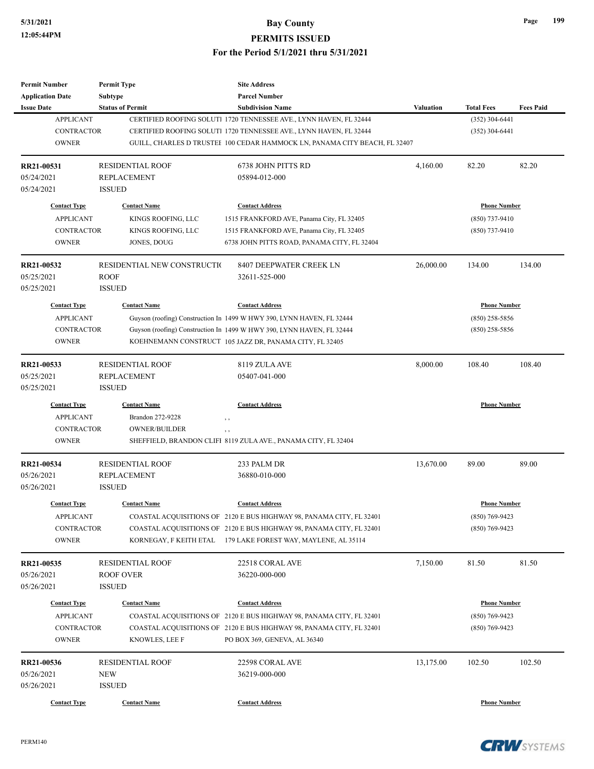| <b>Permit Number</b>                         | <b>Permit Type</b>                 | <b>Site Address</b><br><b>Parcel Number</b>                                |                  |                     |                  |
|----------------------------------------------|------------------------------------|----------------------------------------------------------------------------|------------------|---------------------|------------------|
| <b>Application Date</b><br><b>Issue Date</b> | Subtype<br><b>Status of Permit</b> | <b>Subdivision Name</b>                                                    | <b>Valuation</b> | <b>Total Fees</b>   | <b>Fees Paid</b> |
| <b>APPLICANT</b>                             |                                    | CERTIFIED ROOFING SOLUTI 1720 TENNESSEE AVE., LYNN HAVEN, FL 32444         |                  | $(352)$ 304-6441    |                  |
| <b>CONTRACTOR</b>                            |                                    | CERTIFIED ROOFING SOLUTI 1720 TENNESSEE AVE., LYNN HAVEN, FL 32444         |                  | $(352)$ 304-6441    |                  |
| <b>OWNER</b>                                 |                                    | GUILL, CHARLES D TRUSTEI 100 CEDAR HAMMOCK LN, PANAMA CITY BEACH, FL 32407 |                  |                     |                  |
|                                              |                                    |                                                                            |                  |                     |                  |
| RR21-00531                                   | <b>RESIDENTIAL ROOF</b>            | 6738 JOHN PITTS RD                                                         | 4,160.00         | 82.20               | 82.20            |
| 05/24/2021                                   | <b>REPLACEMENT</b>                 | 05894-012-000                                                              |                  |                     |                  |
| 05/24/2021                                   | <b>ISSUED</b>                      |                                                                            |                  |                     |                  |
| <b>Contact Type</b>                          | <b>Contact Name</b>                | <b>Contact Address</b>                                                     |                  | <b>Phone Number</b> |                  |
| <b>APPLICANT</b>                             | KINGS ROOFING, LLC                 | 1515 FRANKFORD AVE, Panama City, FL 32405                                  |                  | $(850)$ 737-9410    |                  |
| <b>CONTRACTOR</b>                            | KINGS ROOFING, LLC                 | 1515 FRANKFORD AVE, Panama City, FL 32405                                  |                  | $(850)$ 737-9410    |                  |
| <b>OWNER</b>                                 | JONES, DOUG                        | 6738 JOHN PITTS ROAD, PANAMA CITY, FL 32404                                |                  |                     |                  |
| RR21-00532                                   | RESIDENTIAL NEW CONSTRUCTIO        | 8407 DEEPWATER CREEK LN                                                    | 26,000.00        | 134.00              | 134.00           |
| 05/25/2021                                   | <b>ROOF</b>                        | 32611-525-000                                                              |                  |                     |                  |
| 05/25/2021                                   | <b>ISSUED</b>                      |                                                                            |                  |                     |                  |
| <b>Contact Type</b>                          | <b>Contact Name</b>                | <b>Contact Address</b>                                                     |                  | <b>Phone Number</b> |                  |
| <b>APPLICANT</b>                             |                                    | Guyson (roofing) Construction In 1499 W HWY 390, LYNN HAVEN, FL 32444      |                  | $(850)$ 258-5856    |                  |
| <b>CONTRACTOR</b>                            |                                    | Guyson (roofing) Construction In 1499 W HWY 390, LYNN HAVEN, FL 32444      |                  | $(850)$ 258-5856    |                  |
|                                              |                                    |                                                                            |                  |                     |                  |
| <b>OWNER</b>                                 |                                    | KOEHNEMANN CONSTRUCT 105 JAZZ DR, PANAMA CITY, FL 32405                    |                  |                     |                  |
| RR21-00533                                   | <b>RESIDENTIAL ROOF</b>            | 8119 ZULA AVE                                                              | 8,000.00         | 108.40              | 108.40           |
| 05/25/2021                                   | <b>REPLACEMENT</b>                 | 05407-041-000                                                              |                  |                     |                  |
| 05/25/2021                                   | <b>ISSUED</b>                      |                                                                            |                  |                     |                  |
| <b>Contact Type</b>                          | <b>Contact Name</b>                | <b>Contact Address</b>                                                     |                  | <b>Phone Number</b> |                  |
| <b>APPLICANT</b>                             | Brandon 272-9228                   | $, \,$                                                                     |                  |                     |                  |
| <b>CONTRACTOR</b>                            | <b>OWNER/BUILDER</b>               | , ,                                                                        |                  |                     |                  |
| <b>OWNER</b>                                 |                                    | SHEFFIELD, BRANDON CLIFI 8119 ZULA AVE., PANAMA CITY, FL 32404             |                  |                     |                  |
| RR21-00534                                   | <b>RESIDENTIAL ROOF</b>            | 233 PALM DR                                                                | 13,670.00        | 89.00               | 89.00            |
| 05/26/2021                                   | <b>REPLACEMENT</b>                 | 36880-010-000                                                              |                  |                     |                  |
| 05/26/2021                                   | <b>ISSUED</b>                      |                                                                            |                  |                     |                  |
| <b>Contact Type</b>                          | <b>Contact Name</b>                | <b>Contact Address</b>                                                     |                  | <b>Phone Number</b> |                  |
| <b>APPLICANT</b>                             |                                    | COASTAL ACQUISITIONS OF 2120 E BUS HIGHWAY 98, PANAMA CITY, FL 32401       |                  | (850) 769-9423      |                  |
| <b>CONTRACTOR</b>                            |                                    | COASTAL ACQUISITIONS OF 2120 E BUS HIGHWAY 98, PANAMA CITY, FL 32401       |                  | $(850)$ 769-9423    |                  |
| <b>OWNER</b>                                 |                                    | KORNEGAY, F KEITH ETAL 179 LAKE FOREST WAY, MAYLENE, AL 35114              |                  |                     |                  |
|                                              | <b>RESIDENTIAL ROOF</b>            | 22518 CORAL AVE                                                            | 7,150.00         | 81.50               | 81.50            |
| RR21-00535<br>05/26/2021                     |                                    |                                                                            |                  |                     |                  |
|                                              | <b>ROOF OVER</b>                   | 36220-000-000                                                              |                  |                     |                  |
| 05/26/2021                                   | <b>ISSUED</b>                      |                                                                            |                  |                     |                  |
| <b>Contact Type</b>                          | <b>Contact Name</b>                | <b>Contact Address</b>                                                     |                  | <b>Phone Number</b> |                  |
|                                              |                                    | COASTAL ACQUISITIONS OF 2120 E BUS HIGHWAY 98, PANAMA CITY, FL 32401       |                  | $(850)$ 769-9423    |                  |
| <b>APPLICANT</b>                             |                                    | COASTAL ACQUISITIONS OF 2120 E BUS HIGHWAY 98, PANAMA CITY, FL 32401       |                  | $(850)$ 769-9423    |                  |
| <b>CONTRACTOR</b>                            |                                    |                                                                            |                  |                     |                  |
| <b>OWNER</b>                                 | KNOWLES, LEE F                     | PO BOX 369, GENEVA, AL 36340                                               |                  |                     |                  |
| RR21-00536                                   | <b>RESIDENTIAL ROOF</b>            | 22598 CORAL AVE                                                            | 13,175.00        | 102.50              | 102.50           |
| 05/26/2021                                   | <b>NEW</b>                         | 36219-000-000                                                              |                  |                     |                  |
| 05/26/2021                                   | <b>ISSUED</b>                      |                                                                            |                  |                     |                  |

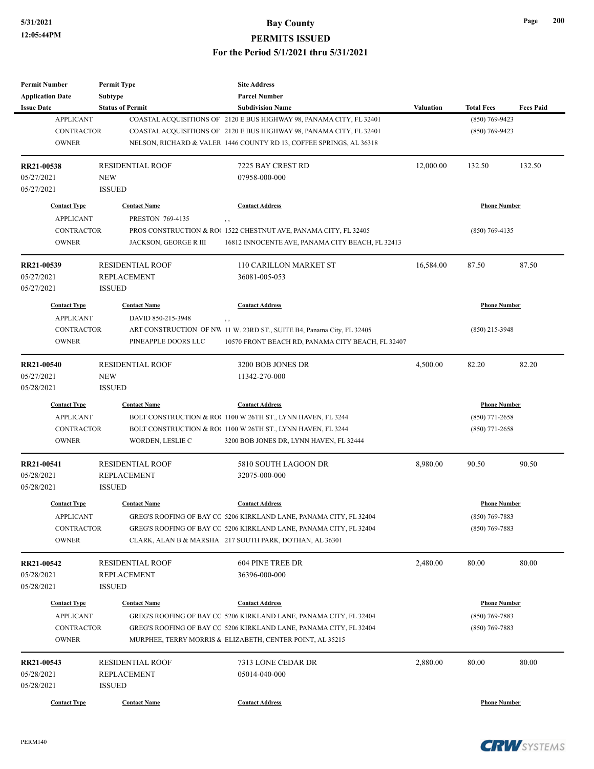| <b>Permit Number</b>    | <b>Permit Type</b>      | <b>Site Address</b>                                                    |                  |                     |                  |
|-------------------------|-------------------------|------------------------------------------------------------------------|------------------|---------------------|------------------|
| <b>Application Date</b> | <b>Subtype</b>          | <b>Parcel Number</b>                                                   |                  |                     |                  |
| <b>Issue Date</b>       | <b>Status of Permit</b> | <b>Subdivision Name</b>                                                | <b>Valuation</b> | <b>Total Fees</b>   | <b>Fees Paid</b> |
| <b>APPLICANT</b>        |                         | COASTAL ACQUISITIONS OF 2120 E BUS HIGHWAY 98, PANAMA CITY, FL 32401   |                  | $(850) 769 - 9423$  |                  |
| <b>CONTRACTOR</b>       |                         | COASTAL ACQUISITIONS OF 2120 E BUS HIGHWAY 98, PANAMA CITY, FL 32401   |                  | $(850)$ 769-9423    |                  |
| <b>OWNER</b>            |                         | NELSON, RICHARD & VALER 1446 COUNTY RD 13, COFFEE SPRINGS, AL 36318    |                  |                     |                  |
| RR21-00538              | <b>RESIDENTIAL ROOF</b> | 7225 BAY CREST RD                                                      | 12,000.00        | 132.50              | 132.50           |
| 05/27/2021              | <b>NEW</b>              | 07958-000-000                                                          |                  |                     |                  |
| 05/27/2021              | <b>ISSUED</b>           |                                                                        |                  |                     |                  |
| <b>Contact Type</b>     | <b>Contact Name</b>     | <b>Contact Address</b>                                                 |                  | <b>Phone Number</b> |                  |
| <b>APPLICANT</b>        | PRESTON 769-4135        | , ,                                                                    |                  |                     |                  |
| <b>CONTRACTOR</b>       |                         | PROS CONSTRUCTION & ROC 1522 CHESTNUT AVE, PANAMA CITY, FL 32405       |                  | $(850)$ 769-4135    |                  |
| <b>OWNER</b>            | JACKSON, GEORGE R III   | 16812 INNOCENTE AVE, PANAMA CITY BEACH, FL 32413                       |                  |                     |                  |
| RR21-00539              | <b>RESIDENTIAL ROOF</b> | 110 CARILLON MARKET ST                                                 | 16,584.00        | 87.50               | 87.50            |
| 05/27/2021              | <b>REPLACEMENT</b>      | 36081-005-053                                                          |                  |                     |                  |
| 05/27/2021              | <b>ISSUED</b>           |                                                                        |                  |                     |                  |
| <b>Contact Type</b>     | <b>Contact Name</b>     | <b>Contact Address</b>                                                 |                  | <b>Phone Number</b> |                  |
| <b>APPLICANT</b>        | DAVID 850-215-3948      | , ,                                                                    |                  |                     |                  |
| <b>CONTRACTOR</b>       |                         | ART CONSTRUCTION OF NW 11 W. 23RD ST., SUITE B4, Panama City, FL 32405 |                  | $(850)$ 215-3948    |                  |
| <b>OWNER</b>            | PINEAPPLE DOORS LLC     | 10570 FRONT BEACH RD, PANAMA CITY BEACH, FL 32407                      |                  |                     |                  |
|                         |                         |                                                                        |                  |                     |                  |
| RR21-00540              | <b>RESIDENTIAL ROOF</b> | 3200 BOB JONES DR                                                      | 4,500.00         | 82.20               | 82.20            |
| 05/27/2021              | <b>NEW</b>              | 11342-270-000                                                          |                  |                     |                  |
| 05/28/2021              | <b>ISSUED</b>           |                                                                        |                  |                     |                  |
| <b>Contact Type</b>     | <b>Contact Name</b>     | <b>Contact Address</b>                                                 |                  | <b>Phone Number</b> |                  |
| <b>APPLICANT</b>        |                         | BOLT CONSTRUCTION & RO(1100 W 26TH ST., LYNN HAVEN, FL 3244            |                  | $(850)$ 771-2658    |                  |
| <b>CONTRACTOR</b>       |                         | BOLT CONSTRUCTION & ROC 1100 W 26TH ST., LYNN HAVEN, FL 3244           |                  | $(850)$ 771-2658    |                  |
| <b>OWNER</b>            | WORDEN, LESLIE C        | 3200 BOB JONES DR, LYNN HAVEN, FL 32444                                |                  |                     |                  |
| RR21-00541              | <b>RESIDENTIAL ROOF</b> | 5810 SOUTH LAGOON DR                                                   | 8,980.00         | 90.50               | 90.50            |
| 05/28/2021              | <b>REPLACEMENT</b>      | 32075-000-000                                                          |                  |                     |                  |
| 05/28/2021              | <b>ISSUED</b>           |                                                                        |                  |                     |                  |
| <b>Contact Type</b>     | <b>Contact Name</b>     | <b>Contact Address</b>                                                 |                  | <b>Phone Number</b> |                  |
| <b>APPLICANT</b>        |                         | GREG'S ROOFING OF BAY CO 5206 KIRKLAND LANE, PANAMA CITY, FL 32404     |                  | (850) 769-7883      |                  |
| CONTRACTOR              |                         | GREG'S ROOFING OF BAY CO 5206 KIRKLAND LANE, PANAMA CITY, FL 32404     |                  | $(850)$ 769-7883    |                  |
| <b>OWNER</b>            |                         | CLARK, ALAN B & MARSHA   217 SOUTH PARK, DOTHAN, AL 36301              |                  |                     |                  |
| RR21-00542              | <b>RESIDENTIAL ROOF</b> | 604 PINE TREE DR                                                       | 2,480.00         | 80.00               | 80.00            |
| 05/28/2021              | <b>REPLACEMENT</b>      | 36396-000-000                                                          |                  |                     |                  |
| 05/28/2021              | <b>ISSUED</b>           |                                                                        |                  |                     |                  |
|                         |                         |                                                                        |                  |                     |                  |
| <b>Contact Type</b>     | <b>Contact Name</b>     | <b>Contact Address</b>                                                 |                  | <b>Phone Number</b> |                  |
| <b>APPLICANT</b>        |                         | GREG'S ROOFING OF BAY CO 5206 KIRKLAND LANE, PANAMA CITY, FL 32404     |                  | $(850)$ 769-7883    |                  |
| CONTRACTOR              |                         | GREG'S ROOFING OF BAY CO 5206 KIRKLAND LANE, PANAMA CITY, FL 32404     |                  | $(850)$ 769-7883    |                  |
| <b>OWNER</b>            |                         | MURPHEE, TERRY MORRIS & ELIZABETH, CENTER POINT, AL 35215              |                  |                     |                  |
| RR21-00543              | <b>RESIDENTIAL ROOF</b> | 7313 LONE CEDAR DR                                                     | 2,880.00         | 80.00               | 80.00            |
| 05/28/2021              | <b>REPLACEMENT</b>      | 05014-040-000                                                          |                  |                     |                  |
| 05/28/2021              | <b>ISSUED</b>           |                                                                        |                  |                     |                  |
|                         |                         |                                                                        |                  |                     |                  |
| <b>Contact Type</b>     | <b>Contact Name</b>     | <b>Contact Address</b>                                                 |                  | <b>Phone Number</b> |                  |

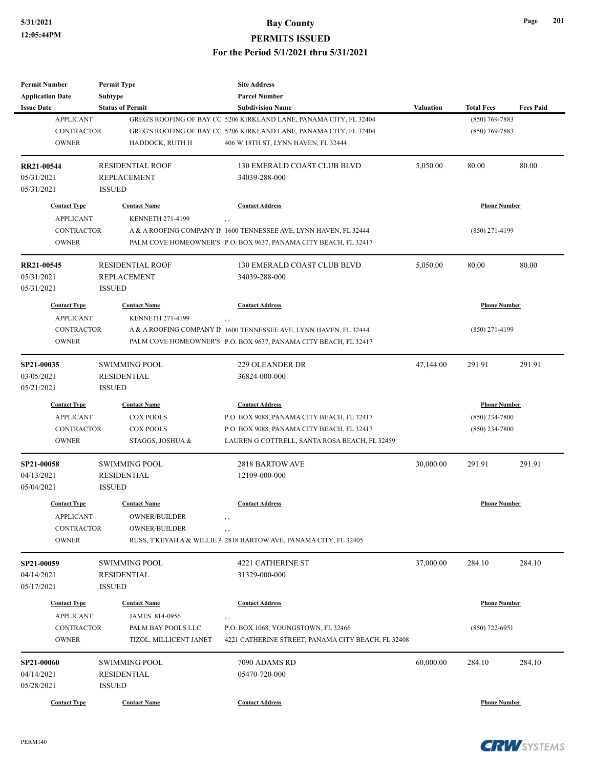| <b>Permit Number</b>    | <b>Permit Type</b>      | <b>Site Address</b>                                                           |                  |                     |                  |
|-------------------------|-------------------------|-------------------------------------------------------------------------------|------------------|---------------------|------------------|
| <b>Application Date</b> | <b>Subtype</b>          | <b>Parcel Number</b>                                                          |                  |                     |                  |
| <b>Issue Date</b>       | <b>Status of Permit</b> | <b>Subdivision Name</b>                                                       | <b>Valuation</b> | <b>Total Fees</b>   | <b>Fees Paid</b> |
| <b>APPLICANT</b>        |                         | GREG'S ROOFING OF BAY CO 5206 KIRKLAND LANE, PANAMA CITY, FL 32404            |                  | $(850)$ 769-7883    |                  |
| <b>CONTRACTOR</b>       |                         | GREG'S ROOFING OF BAY CO 5206 KIRKLAND LANE, PANAMA CITY, FL 32404            |                  | $(850)$ 769-7883    |                  |
| <b>OWNER</b>            | HADDOCK, RUTH H         | 406 W 18TH ST, LYNN HAVEN, FL 32444                                           |                  |                     |                  |
|                         |                         |                                                                               |                  |                     |                  |
| <b>RR21-00544</b>       | <b>RESIDENTIAL ROOF</b> | 130 EMERALD COAST CLUB BLVD                                                   | 5,050.00         | 80.00               | 80.00            |
| 05/31/2021              | <b>REPLACEMENT</b>      | 34039-288-000                                                                 |                  |                     |                  |
| 05/31/2021              | <b>ISSUED</b>           |                                                                               |                  |                     |                  |
| <b>Contact Type</b>     | <b>Contact Name</b>     | <b>Contact Address</b>                                                        |                  | <b>Phone Number</b> |                  |
| <b>APPLICANT</b>        | <b>KENNETH 271-4199</b> |                                                                               |                  |                     |                  |
| <b>CONTRACTOR</b>       |                         | $, \, ,$<br>A & A ROOFING COMPANY IN 1600 TENNESSEE AVE, LYNN HAVEN, FL 32444 |                  | $(850)$ 271-4199    |                  |
|                         |                         |                                                                               |                  |                     |                  |
| <b>OWNER</b>            |                         | PALM COVE HOMEOWNER'S P.O. BOX 9637, PANAMA CITY BEACH, FL 32417              |                  |                     |                  |
| RR21-00545              | <b>RESIDENTIAL ROOF</b> | 130 EMERALD COAST CLUB BLVD                                                   | 5,050.00         | 80.00               | 80.00            |
| 05/31/2021              | <b>REPLACEMENT</b>      | 34039-288-000                                                                 |                  |                     |                  |
| 05/31/2021              | <b>ISSUED</b>           |                                                                               |                  |                     |                  |
|                         |                         |                                                                               |                  |                     |                  |
| <b>Contact Type</b>     | <b>Contact Name</b>     | <b>Contact Address</b>                                                        |                  | <b>Phone Number</b> |                  |
| <b>APPLICANT</b>        | <b>KENNETH 271-4199</b> | , ,                                                                           |                  |                     |                  |
| <b>CONTRACTOR</b>       |                         | A & A ROOFING COMPANY IN 1600 TENNESSEE AVE, LYNN HAVEN, FL 32444             |                  | $(850)$ 271-4199    |                  |
| <b>OWNER</b>            |                         | PALM COVE HOMEOWNER'S P.O. BOX 9637, PANAMA CITY BEACH, FL 32417              |                  |                     |                  |
| SP21-00035              | <b>SWIMMING POOL</b>    | 229 OLEANDER DR                                                               | 47,144.00        | 291.91              | 291.91           |
| 03/05/2021              | <b>RESIDENTIAL</b>      | 36824-000-000                                                                 |                  |                     |                  |
| 05/21/2021              | <b>ISSUED</b>           |                                                                               |                  |                     |                  |
| <b>Contact Type</b>     | <b>Contact Name</b>     | <b>Contact Address</b>                                                        |                  | <b>Phone Number</b> |                  |
| <b>APPLICANT</b>        | <b>COX POOLS</b>        | P.O. BOX 9088, PANAMA CITY BEACH, FL 32417                                    |                  | $(850)$ 234-7800    |                  |
|                         |                         |                                                                               |                  |                     |                  |
| <b>CONTRACTOR</b>       | <b>COX POOLS</b>        | P.O. BOX 9088, PANAMA CITY BEACH, FL 32417                                    |                  | (850) 234-7800      |                  |
| <b>OWNER</b>            | STAGGS, JOSHUA &        | LAUREN G COTTRELL, SANTA ROSA BEACH, FL 32459                                 |                  |                     |                  |
| SP21-00058              | <b>SWIMMING POOL</b>    | <b>2818 BARTOW AVE</b>                                                        | 30,000.00        | 291.91              | 291.91           |
| 04/13/2021              | <b>RESIDENTIAL</b>      | 12109-000-000                                                                 |                  |                     |                  |
| 05/04/2021              | <b>ISSUED</b>           |                                                                               |                  |                     |                  |
|                         |                         |                                                                               |                  |                     |                  |
| <b>Contact Type</b>     | <b>Contact Name</b>     | <b>Contact Address</b>                                                        |                  | <b>Phone Number</b> |                  |
| <b>APPLICANT</b>        | OWNER/BUILDER           | $, \, , \,$                                                                   |                  |                     |                  |
| <b>CONTRACTOR</b>       | <b>OWNER/BUILDER</b>    | , ,                                                                           |                  |                     |                  |
| <b>OWNER</b>            |                         | RUSS, TKEYAH A & WILLIE A 2818 BARTOW AVE, PANAMA CITY, FL 32405              |                  |                     |                  |
| SP21-00059              | SWIMMING POOL           | <b>4221 CATHERINE ST</b>                                                      | 37,000.00        | 284.10              | 284.10           |
| 04/14/2021              | RESIDENTIAL             | 31329-000-000                                                                 |                  |                     |                  |
| 05/17/2021              | <b>ISSUED</b>           |                                                                               |                  |                     |                  |
|                         |                         |                                                                               |                  |                     |                  |
| <b>Contact Type</b>     | <b>Contact Name</b>     | <b>Contact Address</b>                                                        |                  | <b>Phone Number</b> |                  |
| <b>APPLICANT</b>        | JAMES 814-0956          | $, \, ,$                                                                      |                  |                     |                  |
| CONTRACTOR              | PALM BAY POOLS LLC      | P.O. BOX 1068, YOUNGSTOWN, FL 32466                                           |                  | (850) 722-6951      |                  |
| <b>OWNER</b>            | TIZOL, MILLICENT JANET  | 4221 CATHERINE STREET, PANAMA CITY BEACH, FL 32408                            |                  |                     |                  |
| SP21-00060              |                         | 7090 ADAMS RD                                                                 |                  |                     | 284.10           |
|                         | SWIMMING POOL           |                                                                               | 60,000.00        | 284.10              |                  |
| 04/14/2021              | RESIDENTIAL             | 05470-720-000                                                                 |                  |                     |                  |
| 05/28/2021              | <b>ISSUED</b>           |                                                                               |                  |                     |                  |
| <b>Contact Type</b>     | <b>Contact Name</b>     | <b>Contact Address</b>                                                        |                  | <b>Phone Number</b> |                  |

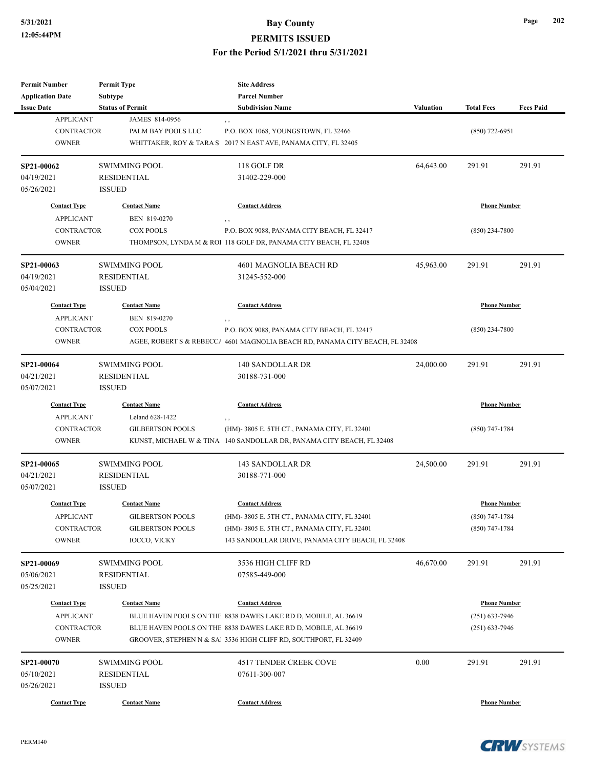| <b>Permit Number</b>    | <b>Permit Type</b>      | <b>Site Address</b>                                                          |                  |                     |                  |
|-------------------------|-------------------------|------------------------------------------------------------------------------|------------------|---------------------|------------------|
| <b>Application Date</b> | Subtype                 | <b>Parcel Number</b>                                                         |                  |                     |                  |
| <b>Issue Date</b>       | <b>Status of Permit</b> | <b>Subdivision Name</b>                                                      | <b>Valuation</b> | <b>Total Fees</b>   | <b>Fees Paid</b> |
| <b>APPLICANT</b>        | JAMES 814-0956          |                                                                              |                  |                     |                  |
| <b>CONTRACTOR</b>       | PALM BAY POOLS LLC      | P.O. BOX 1068, YOUNGSTOWN, FL 32466                                          |                  | $(850)$ 722-6951    |                  |
| <b>OWNER</b>            |                         | WHITTAKER, ROY & TARA S 2017 N EAST AVE, PANAMA CITY, FL 32405               |                  |                     |                  |
| SP21-00062              | <b>SWIMMING POOL</b>    | 118 GOLF DR                                                                  | 64,643.00        | 291.91              | 291.91           |
| 04/19/2021              | <b>RESIDENTIAL</b>      | 31402-229-000                                                                |                  |                     |                  |
| 05/26/2021              | <b>ISSUED</b>           |                                                                              |                  |                     |                  |
| <b>Contact Type</b>     | <b>Contact Name</b>     | <b>Contact Address</b>                                                       |                  | <b>Phone Number</b> |                  |
| <b>APPLICANT</b>        | BEN 819-0270            | , ,                                                                          |                  |                     |                  |
| <b>CONTRACTOR</b>       | <b>COX POOLS</b>        | P.O. BOX 9088, PANAMA CITY BEACH, FL 32417                                   |                  | $(850)$ 234-7800    |                  |
| <b>OWNER</b>            |                         | THOMPSON, LYNDA M & ROI 118 GOLF DR, PANAMA CITY BEACH, FL 32408             |                  |                     |                  |
| SP21-00063              | <b>SWIMMING POOL</b>    | 4601 MAGNOLIA BEACH RD                                                       | 45,963.00        | 291.91              | 291.91           |
| 04/19/2021              | <b>RESIDENTIAL</b>      | 31245-552-000                                                                |                  |                     |                  |
| 05/04/2021              | <b>ISSUED</b>           |                                                                              |                  |                     |                  |
| <b>Contact Type</b>     | <b>Contact Name</b>     | <b>Contact Address</b>                                                       |                  | <b>Phone Number</b> |                  |
| <b>APPLICANT</b>        | BEN 819-0270            |                                                                              |                  |                     |                  |
| <b>CONTRACTOR</b>       | <b>COX POOLS</b>        | P.O. BOX 9088, PANAMA CITY BEACH, FL 32417                                   |                  | $(850)$ 234-7800    |                  |
|                         |                         |                                                                              |                  |                     |                  |
| <b>OWNER</b>            |                         | AGEE, ROBERT S & REBECCA 4601 MAGNOLIA BEACH RD, PANAMA CITY BEACH, FL 32408 |                  |                     |                  |
| SP21-00064              | <b>SWIMMING POOL</b>    | 140 SANDOLLAR DR                                                             | 24,000.00        | 291.91              | 291.91           |
| 04/21/2021              | <b>RESIDENTIAL</b>      | 30188-731-000                                                                |                  |                     |                  |
| 05/07/2021              | <b>ISSUED</b>           |                                                                              |                  |                     |                  |
| <b>Contact Type</b>     | <b>Contact Name</b>     | <b>Contact Address</b>                                                       |                  | <b>Phone Number</b> |                  |
| <b>APPLICANT</b>        | Leland 628-1422         |                                                                              |                  |                     |                  |
| <b>CONTRACTOR</b>       | <b>GILBERTSON POOLS</b> | , ,<br>(HM)-3805 E. 5TH CT., PANAMA CITY, FL 32401                           |                  | $(850)$ 747-1784    |                  |
| <b>OWNER</b>            |                         | KUNST, MICHAEL W & TINA 140 SANDOLLAR DR, PANAMA CITY BEACH, FL 32408        |                  |                     |                  |
|                         |                         |                                                                              |                  |                     |                  |
| SP21-00065              | <b>SWIMMING POOL</b>    | 143 SANDOLLAR DR                                                             | 24,500.00        | 291.91              | 291.91           |
| 04/21/2021              | <b>RESIDENTIAL</b>      | 30188-771-000                                                                |                  |                     |                  |
| 05/07/2021              | <b>ISSUED</b>           |                                                                              |                  |                     |                  |
| <b>Contact Type</b>     | <b>Contact Name</b>     | <b>Contact Address</b>                                                       |                  | <b>Phone Number</b> |                  |
| APPLICANT               | <b>GILBERTSON POOLS</b> | (HM)-3805 E. 5TH CT., PANAMA CITY, FL 32401                                  |                  | $(850)$ 747-1784    |                  |
| CONTRACTOR              | <b>GILBERTSON POOLS</b> | (HM)-3805 E. 5TH CT., PANAMA CITY, FL 32401                                  |                  | $(850)$ 747-1784    |                  |
| <b>OWNER</b>            | IOCCO, VICKY            | 143 SANDOLLAR DRIVE, PANAMA CITY BEACH, FL 32408                             |                  |                     |                  |
| SP21-00069              | <b>SWIMMING POOL</b>    | 3536 HIGH CLIFF RD                                                           | 46,670.00        | 291.91              | 291.91           |
| 05/06/2021              | RESIDENTIAL             | 07585-449-000                                                                |                  |                     |                  |
| 05/25/2021              | <b>ISSUED</b>           |                                                                              |                  |                     |                  |
|                         |                         |                                                                              |                  |                     |                  |
| <b>Contact Type</b>     | <b>Contact Name</b>     | <b>Contact Address</b>                                                       |                  | <b>Phone Number</b> |                  |
| <b>APPLICANT</b>        |                         | BLUE HAVEN POOLS ON THE 8838 DAWES LAKE RD D, MOBILE, AL 36619               |                  | $(251) 633 - 7946$  |                  |
| CONTRACTOR              |                         | BLUE HAVEN POOLS ON THE 8838 DAWES LAKE RD D, MOBILE, AL 36619               |                  | $(251)$ 633-7946    |                  |
| <b>OWNER</b>            |                         | GROOVER, STEPHEN N & SAl 3536 HIGH CLIFF RD, SOUTHPORT, FL 32409             |                  |                     |                  |
| SP21-00070              | <b>SWIMMING POOL</b>    | 4517 TENDER CREEK COVE                                                       | 0.00             | 291.91              | 291.91           |
| 05/10/2021              | <b>RESIDENTIAL</b>      | 07611-300-007                                                                |                  |                     |                  |
| 05/26/2021              | <b>ISSUED</b>           |                                                                              |                  |                     |                  |
|                         |                         |                                                                              |                  |                     |                  |
| <b>Contact Type</b>     | <b>Contact Name</b>     | <b>Contact Address</b>                                                       |                  | <b>Phone Number</b> |                  |